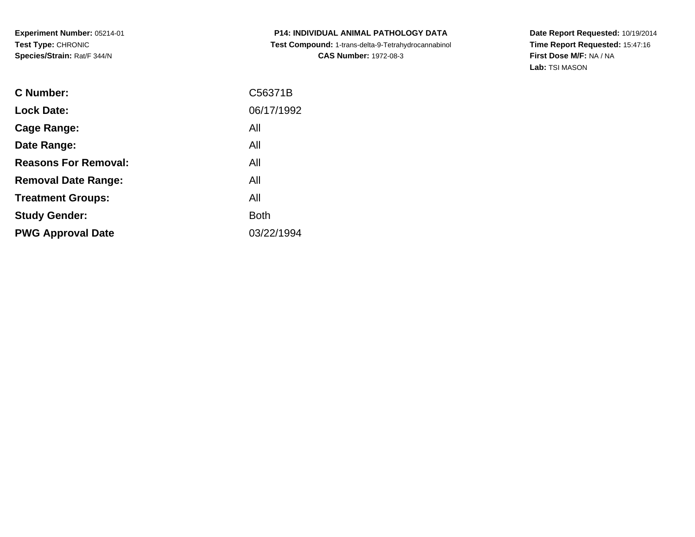**P14: INDIVIDUAL ANIMAL PATHOLOGY DATA Test Compound:** 1-trans-delta-9-Tetrahydrocannabinol **CAS Number:** 1972-08-3

| C Number:                   | C56371B     |
|-----------------------------|-------------|
| <b>Lock Date:</b>           | 06/17/1992  |
| Cage Range:                 | All         |
| Date Range:                 | All         |
| <b>Reasons For Removal:</b> | All         |
| <b>Removal Date Range:</b>  | All         |
| <b>Treatment Groups:</b>    | All         |
| <b>Study Gender:</b>        | <b>Both</b> |
| <b>PWG Approval Date</b>    | 03/22/1994  |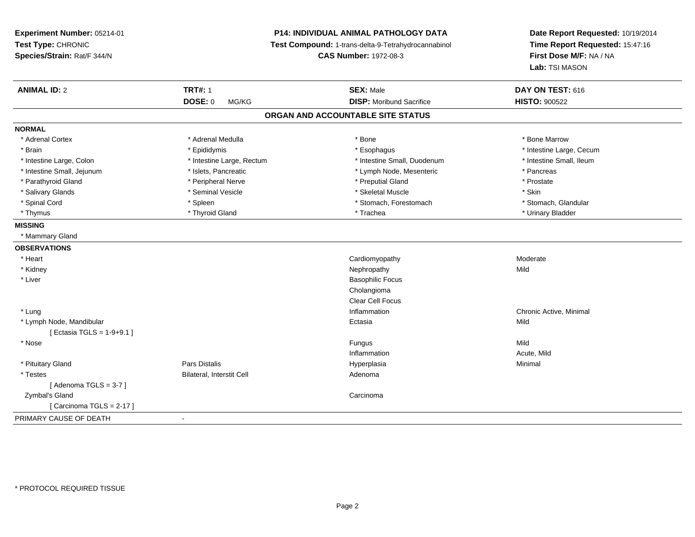**Experiment Number:** 05214-01**Test Type:** CHRONIC **Species/Strain:** Rat/F 344/N**P14: INDIVIDUAL ANIMAL PATHOLOGY DATA Test Compound:** 1-trans-delta-9-Tetrahydrocannabinol **CAS Number:** 1972-08-3**Date Report Requested:** 10/19/2014**Time Report Requested:** 15:47:16**First Dose M/F:** NA / NA**Lab:** TSI MASON**ANIMAL ID:** 2**TRT#:** 1 **SEX:** Male **DAY ON TEST:** 616 **DOSE:** 0 MG/KG **DISP:** Moribund Sacrifice **HISTO:** <sup>900522</sup> **ORGAN AND ACCOUNTABLE SITE STATUSNORMAL**\* Adrenal Cortex \* Adrenal Medulla \* Adrenal Medulla \* Bone \* Bone \* Bone \* Bone \* Bone Marrow \* Brain \* Explorer \* Epididymis \* \* Epididymis \* \* Esophagus \* Esophagus \* \* Esophagus \* Intestine Large, Cecum \* \* Intestine Large, Cecum \* Intestine Small, Ileum \* Intestine Large, Colon \* Intestine Large, Rectum \* Intestine Small, Duodenum \* Intestine Small, Duodenum \* Intestine Small, Jejunum \* The Theory \* Islets, Pancreatic The Theory \* Lymph Node, Mesenteric \* Theory \* Pancreas \* Prostate \* Parathyroid Gland \* **Arror and \* Peripheral Nerve** \* **Arror and \* Preputial Gland \* Preputial Gland** \* Preputial Gland \* Salivary Glands \* Seminal Vesicle \* Skeletal Muscle \* Skin\* Stomach. Glandular \* Spinal Cord \* Spinal Cord \* Spinal Cord \* Stomach, Forestomach \* Stomach, Forestomach \* Stomach, Forestomach \* Thymus \* Thyroid Gland \* Trachea \* Urinary Bladder \* **MISSING** \* Mammary Gland**OBSERVATIONS** \* Heart CardiomyopathyModerate<br>Mild \* Kidneyy the controller of the controller of the controller of the controller of the controller of the controller of the controller of the controller of the controller of the controller of the controller of the controller of the \* Liver Basophilic FocusCholangioma Clear Cell Focus \* Lungg is a controller to the controller of the controller of the chronic Active, Minimal of the chronic Active, Minimal of the chronic Active, Minimal of the chronic Active, Minimal of the chronic Active, Minimal of the chroni \* Lymph Node, Mandibularr and the contract of the contract of the contract of the contract of the contract of the contract of the contract of the contract of the contract of the contract of the contract of the contract of the contract of the cont a **Mild**  $[$  Ectasia TGLS = 1-9+9.1  $]$  \* Nosee and the state of the state of the state of the state of the state of the state of the state of the state of the state of the state of the state of the state of the state of the state of the state of the state of the stat InflammationInflammation and the control of the Acute, Mild<br>
Acute, Mild<br>
Hyperplasia \* Pituitary Gland Pars Distalis Hyperplasia Minimal \* TestesBilateral, Interstit Cell **Adenoma** Adenoma  $[$  Adenoma TGLS = 3-7  $]$  Zymbal's Glandd<sub>d</sub> Carcinoma [ Carcinoma TGLS = 2-17 ]PRIMARY CAUSE OF DEATH-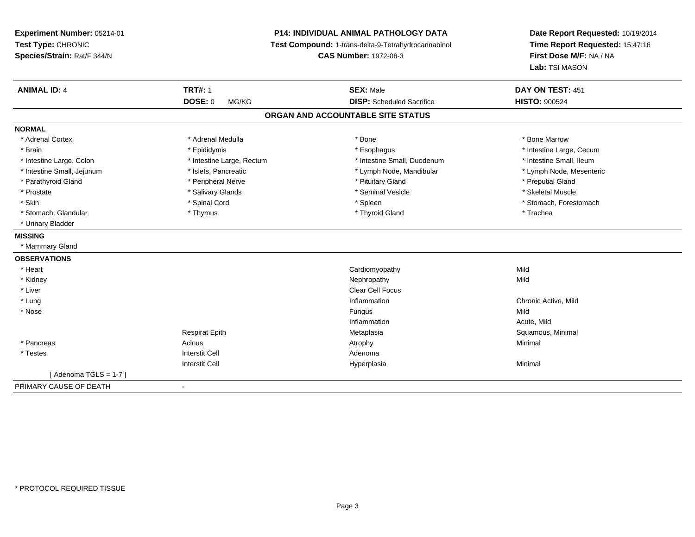**Experiment Number:** 05214-01**Test Type:** CHRONIC **Species/Strain:** Rat/F 344/N**P14: INDIVIDUAL ANIMAL PATHOLOGY DATA Test Compound:** 1-trans-delta-9-Tetrahydrocannabinol **CAS Number:** 1972-08-3**Date Report Requested:** 10/19/2014**Time Report Requested:** 15:47:16**First Dose M/F:** NA / NA**Lab:** TSI MASON**ANIMAL ID:** 4**TRT#:** 1 **SEX:** Male **DAY ON TEST:** 451 **DOSE:** 0 MG/KG **DISP:** Scheduled Sacrifice **HISTO:** <sup>900524</sup> **ORGAN AND ACCOUNTABLE SITE STATUSNORMAL**\* Adrenal Cortex \* Adrenal Medulla \* Adrenal Medulla \* Bone \* Bone \* Bone \* Bone \* Bone Marrow \* Brain \* Explorer \* Epididymis \* \* Epididymis \* \* Esophagus \* Esophagus \* \* Esophagus \* Intestine Large, Cecum \* \* Intestine Large, Cecum \* Intestine Small, Ileum \* Intestine Large, Colon \* Intestine Large, Rectum \* Intestine Small, Duodenum \* Intestine Small, Duodenum \* Lymph Node, Mesenteric \* Intestine Small, Jejunum \* Mandibular \* Islets, Pancreatic \* Mandibular \* Lymph Node, Mandibular \* Parathyroid Gland \* \* The parathyroid Gland \* Peripheral Nerve \* \* Preputial Gland \* Preputial Gland \* \* Preputial Gland \* \* Preputial Gland \* \* Preputial Gland \* \* Preputial Gland \* \* Preputial Gland \* \* Preputial Gland \* Skeletal Muscle \* Prostate \* \* Skeletal Muscle \* \* Salivary Glands \* \* Steminal Vesicle \* \* Seminal Vesicle \* \* Skeletal Muscle \* Skin \* Spinal Cord \* Spinal Cord \* Spinal Cord \* Spinal \* Spinal \* Stomach, Forestomach \* Stomach, Forestomach \* Stomach, Glandular \* Thymus \* Thymus \* Thymus \* Thyroid Gland \* Thyroid Gland \* Thachea \* Urinary Bladder**MISSING** \* Mammary Gland**OBSERVATIONS** \* Heart Cardiomyopathyy Mild Mild \* Kidneyy the controller of the controller of the controller of the controller of the controller of the controller of the controller of the controller of the controller of the controller of the controller of the controller of the \* Liverr and the contract of the contract of the contract of the contract of the contract of the contract of the contract of the contract of the contract of the contract of the contract of the contract of the contract of the cont \* Lung Inflammation Chronic Active, Mild \* Nosee and the state of the state of the state of the state of the state of the state of the state of the state of the state of the state of the state of the state of the state of the state of the state of the state of the stat Inflammation Acute, Mild Respirat Epith Metaplasia Squamous, Minimal \* Pancreass the control of the control of the control of the control of the control of the control of the control of the control of the control of the control of the control of the control of the control of the control of the contro \* Testess and the contractive contractive contractive contractive contractive contractive contractive contractive contractive contractive contractive contractive contractive contractive contractive contractive contractive contract I and the contract of the Hyperplasia Interstit Cella **Minimal**  $[$  Adenoma TGLS = 1-7  $]$ PRIMARY CAUSE OF DEATH-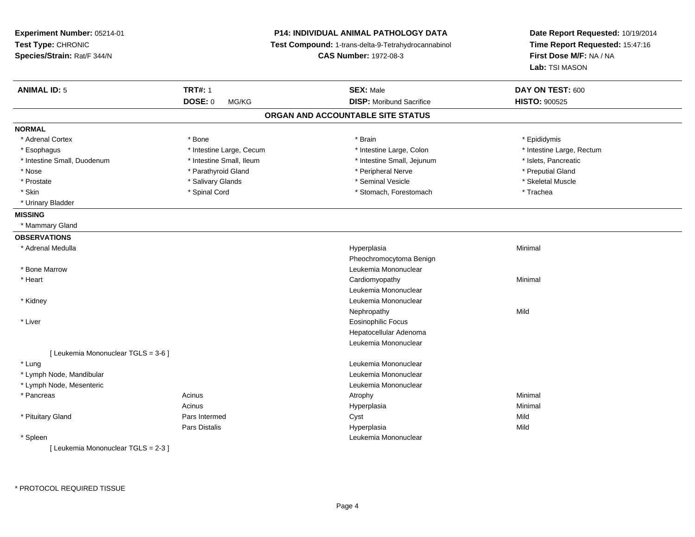| Experiment Number: 05214-01<br>Test Type: CHRONIC<br>Species/Strain: Rat/F 344/N |                          | <b>P14: INDIVIDUAL ANIMAL PATHOLOGY DATA</b><br>Test Compound: 1-trans-delta-9-Tetrahydrocannabinol<br><b>CAS Number: 1972-08-3</b> | Date Report Requested: 10/19/2014<br>Time Report Requested: 15:47:16<br>First Dose M/F: NA / NA<br>Lab: TSI MASON |  |
|----------------------------------------------------------------------------------|--------------------------|-------------------------------------------------------------------------------------------------------------------------------------|-------------------------------------------------------------------------------------------------------------------|--|
| <b>ANIMAL ID: 5</b>                                                              | <b>TRT#: 1</b>           | <b>SEX: Male</b>                                                                                                                    | DAY ON TEST: 600                                                                                                  |  |
|                                                                                  | <b>DOSE: 0</b><br>MG/KG  | <b>DISP:</b> Moribund Sacrifice                                                                                                     | <b>HISTO: 900525</b>                                                                                              |  |
|                                                                                  |                          | ORGAN AND ACCOUNTABLE SITE STATUS                                                                                                   |                                                                                                                   |  |
| <b>NORMAL</b>                                                                    |                          |                                                                                                                                     |                                                                                                                   |  |
| * Adrenal Cortex                                                                 | * Bone                   | * Brain                                                                                                                             | * Epididymis                                                                                                      |  |
| * Esophagus                                                                      | * Intestine Large, Cecum | * Intestine Large, Colon                                                                                                            | * Intestine Large, Rectum                                                                                         |  |
| * Intestine Small, Duodenum                                                      | * Intestine Small, Ileum | * Intestine Small, Jejunum                                                                                                          | * Islets, Pancreatic                                                                                              |  |
| $^{\star}$ Nose                                                                  | * Parathyroid Gland      | * Peripheral Nerve                                                                                                                  | * Preputial Gland                                                                                                 |  |
| * Prostate                                                                       | * Salivary Glands        | * Seminal Vesicle                                                                                                                   | * Skeletal Muscle                                                                                                 |  |
| * Skin                                                                           | * Spinal Cord            | * Stomach, Forestomach                                                                                                              | * Trachea                                                                                                         |  |
| * Urinary Bladder                                                                |                          |                                                                                                                                     |                                                                                                                   |  |
| <b>MISSING</b>                                                                   |                          |                                                                                                                                     |                                                                                                                   |  |
| * Mammary Gland                                                                  |                          |                                                                                                                                     |                                                                                                                   |  |
| <b>OBSERVATIONS</b>                                                              |                          |                                                                                                                                     |                                                                                                                   |  |
| * Adrenal Medulla                                                                |                          | Hyperplasia                                                                                                                         | Minimal                                                                                                           |  |
|                                                                                  |                          | Pheochromocytoma Benign                                                                                                             |                                                                                                                   |  |
| * Bone Marrow                                                                    |                          | Leukemia Mononuclear                                                                                                                |                                                                                                                   |  |
| * Heart                                                                          |                          | Cardiomyopathy                                                                                                                      | Minimal                                                                                                           |  |
|                                                                                  |                          | Leukemia Mononuclear                                                                                                                |                                                                                                                   |  |
| * Kidney                                                                         |                          | Leukemia Mononuclear                                                                                                                |                                                                                                                   |  |
|                                                                                  |                          | Nephropathy                                                                                                                         | Mild                                                                                                              |  |
| * Liver                                                                          |                          | Eosinophilic Focus                                                                                                                  |                                                                                                                   |  |
|                                                                                  |                          | Hepatocellular Adenoma                                                                                                              |                                                                                                                   |  |
|                                                                                  |                          | Leukemia Mononuclear                                                                                                                |                                                                                                                   |  |
| [ Leukemia Mononuclear TGLS = 3-6 ]                                              |                          |                                                                                                                                     |                                                                                                                   |  |
| * Lung                                                                           |                          | Leukemia Mononuclear                                                                                                                |                                                                                                                   |  |
| * Lymph Node, Mandibular                                                         |                          | Leukemia Mononuclear                                                                                                                |                                                                                                                   |  |
| * Lymph Node, Mesenteric                                                         |                          | Leukemia Mononuclear                                                                                                                |                                                                                                                   |  |
| * Pancreas                                                                       | Acinus                   | Atrophy                                                                                                                             | Minimal                                                                                                           |  |
|                                                                                  | Acinus                   | Hyperplasia                                                                                                                         | Minimal                                                                                                           |  |
| * Pituitary Gland                                                                | Pars Intermed            | Cyst                                                                                                                                | Mild                                                                                                              |  |
|                                                                                  | Pars Distalis            | Hyperplasia                                                                                                                         | Mild                                                                                                              |  |
| * Spleen                                                                         |                          | Leukemia Mononuclear                                                                                                                |                                                                                                                   |  |
| $L$ subsets Managuaises $TOLO$ $QQ$                                              |                          |                                                                                                                                     |                                                                                                                   |  |

[ Leukemia Mononuclear TGLS = 2-3 ]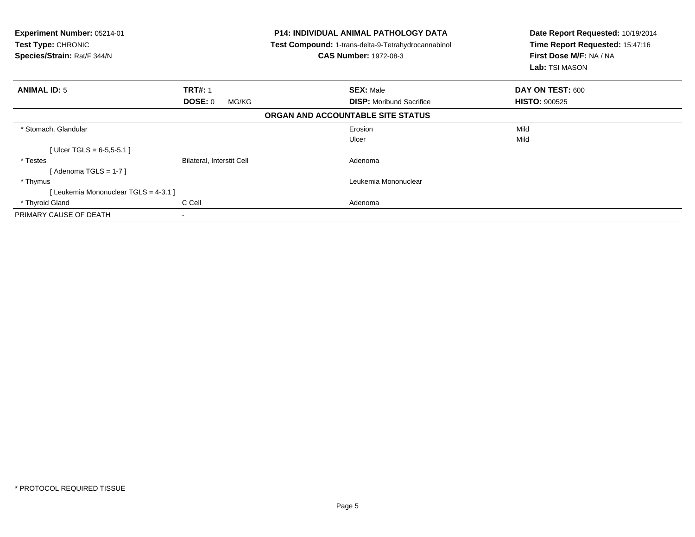| <b>Experiment Number: 05214-01</b><br>Test Type: CHRONIC<br>Species/Strain: Rat/F 344/N |                           | <b>P14: INDIVIDUAL ANIMAL PATHOLOGY DATA</b><br>Test Compound: 1-trans-delta-9-Tetrahydrocannabinol<br><b>CAS Number: 1972-08-3</b> | Date Report Requested: 10/19/2014<br>Time Report Requested: 15:47:16<br>First Dose M/F: NA / NA<br>Lab: TSI MASON |
|-----------------------------------------------------------------------------------------|---------------------------|-------------------------------------------------------------------------------------------------------------------------------------|-------------------------------------------------------------------------------------------------------------------|
| <b>ANIMAL ID: 5</b>                                                                     | <b>TRT#: 1</b>            | <b>SEX: Male</b>                                                                                                                    | DAY ON TEST: 600                                                                                                  |
|                                                                                         | DOSE: 0<br>MG/KG          | <b>DISP:</b> Moribund Sacrifice                                                                                                     | <b>HISTO: 900525</b>                                                                                              |
|                                                                                         |                           | ORGAN AND ACCOUNTABLE SITE STATUS                                                                                                   |                                                                                                                   |
| * Stomach, Glandular                                                                    |                           | Erosion                                                                                                                             | Mild                                                                                                              |
|                                                                                         |                           | Ulcer                                                                                                                               | Mild                                                                                                              |
| [Ulcer TGLS = $6-5,5-5.1$ ]                                                             |                           |                                                                                                                                     |                                                                                                                   |
| * Testes                                                                                | Bilateral, Interstit Cell | Adenoma                                                                                                                             |                                                                                                                   |
| [ Adenoma TGLS = 1-7 ]                                                                  |                           |                                                                                                                                     |                                                                                                                   |
| * Thymus                                                                                |                           | Leukemia Mononuclear                                                                                                                |                                                                                                                   |
| [Leukemia Mononuclear TGLS = 4-3.1 ]                                                    |                           |                                                                                                                                     |                                                                                                                   |
| * Thyroid Gland                                                                         | C Cell                    | Adenoma                                                                                                                             |                                                                                                                   |
| PRIMARY CAUSE OF DEATH                                                                  | $\blacksquare$            |                                                                                                                                     |                                                                                                                   |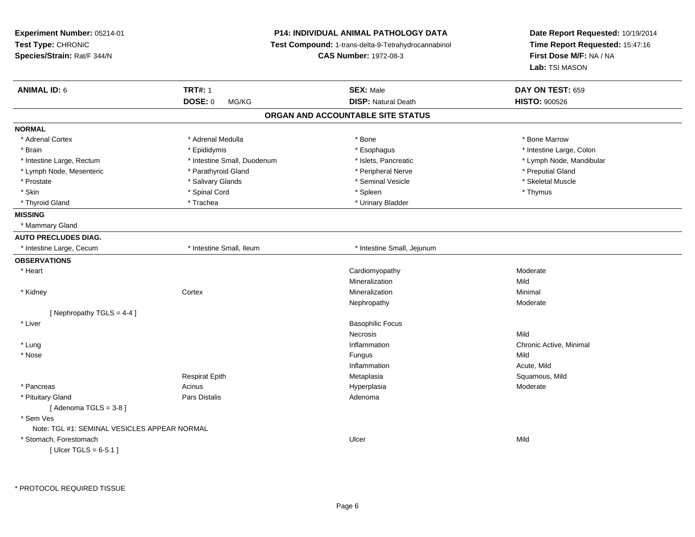| Experiment Number: 05214-01                  |                             | <b>P14: INDIVIDUAL ANIMAL PATHOLOGY DATA</b>        | Date Report Requested: 10/19/2014 |
|----------------------------------------------|-----------------------------|-----------------------------------------------------|-----------------------------------|
| Test Type: CHRONIC                           |                             | Test Compound: 1-trans-delta-9-Tetrahydrocannabinol | Time Report Requested: 15:47:16   |
| Species/Strain: Rat/F 344/N                  |                             | <b>CAS Number: 1972-08-3</b>                        | First Dose M/F: NA / NA           |
|                                              |                             |                                                     | Lab: TSI MASON                    |
| <b>ANIMAL ID: 6</b>                          | <b>TRT#: 1</b>              | <b>SEX: Male</b>                                    | DAY ON TEST: 659                  |
|                                              | DOSE: 0<br>MG/KG            | <b>DISP: Natural Death</b>                          | <b>HISTO: 900526</b>              |
|                                              |                             | ORGAN AND ACCOUNTABLE SITE STATUS                   |                                   |
| <b>NORMAL</b>                                |                             |                                                     |                                   |
| * Adrenal Cortex                             | * Adrenal Medulla           | * Bone                                              | * Bone Marrow                     |
| * Brain                                      | * Epididymis                | * Esophagus                                         | * Intestine Large, Colon          |
| * Intestine Large, Rectum                    | * Intestine Small, Duodenum | * Islets, Pancreatic                                | * Lymph Node, Mandibular          |
| * Lymph Node, Mesenteric                     | * Parathyroid Gland         | * Peripheral Nerve                                  | * Preputial Gland                 |
| * Prostate                                   | * Salivary Glands           | * Seminal Vesicle                                   | * Skeletal Muscle                 |
| * Skin                                       | * Spinal Cord               | * Spleen                                            | * Thymus                          |
| * Thyroid Gland                              | * Trachea                   | * Urinary Bladder                                   |                                   |
| <b>MISSING</b>                               |                             |                                                     |                                   |
| * Mammary Gland                              |                             |                                                     |                                   |
| <b>AUTO PRECLUDES DIAG.</b>                  |                             |                                                     |                                   |
| * Intestine Large, Cecum                     | * Intestine Small, Ileum    | * Intestine Small, Jejunum                          |                                   |
| <b>OBSERVATIONS</b>                          |                             |                                                     |                                   |
| * Heart                                      |                             | Cardiomyopathy                                      | Moderate                          |
|                                              |                             | Mineralization                                      | Mild                              |
| * Kidney                                     | Cortex                      | Mineralization                                      | Minimal                           |
|                                              |                             | Nephropathy                                         | Moderate                          |
| [Nephropathy TGLS = 4-4]                     |                             |                                                     |                                   |
| * Liver                                      |                             | <b>Basophilic Focus</b>                             |                                   |
|                                              |                             | <b>Necrosis</b>                                     | Mild                              |
| * Lung                                       |                             | Inflammation                                        | Chronic Active, Minimal           |
| * Nose                                       |                             | Fungus                                              | Mild                              |
|                                              |                             | Inflammation                                        | Acute, Mild                       |
|                                              | <b>Respirat Epith</b>       | Metaplasia                                          | Squamous, Mild                    |
| * Pancreas                                   | Acinus                      | Hyperplasia                                         | Moderate                          |
| * Pituitary Gland                            | Pars Distalis               | Adenoma                                             |                                   |
| [Adenoma TGLS = $3-8$ ]                      |                             |                                                     |                                   |
| * Sem Ves                                    |                             |                                                     |                                   |
| Note: TGL #1: SEMINAL VESICLES APPEAR NORMAL |                             |                                                     |                                   |
| * Stomach, Forestomach                       |                             | Ulcer                                               | Mild                              |
| [ $Uicer TGLS = 6-5.1$ ]                     |                             |                                                     |                                   |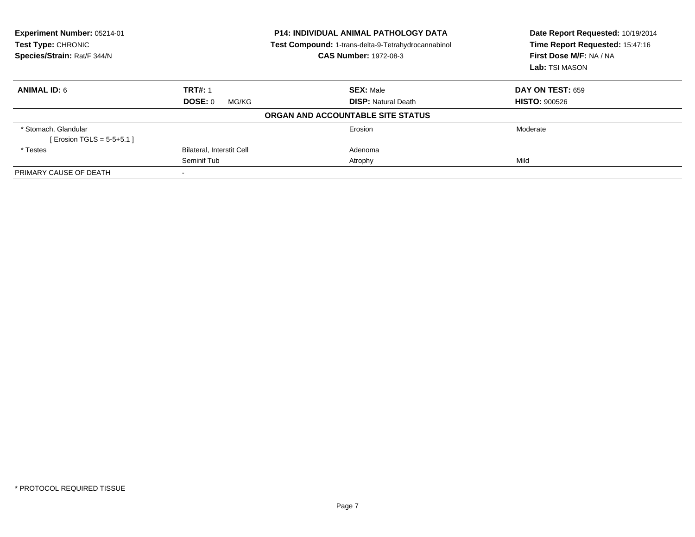| Experiment Number: 05214-01<br>Test Type: CHRONIC<br>Species/Strain: Rat/F 344/N | <b>P14: INDIVIDUAL ANIMAL PATHOLOGY DATA</b><br>Test Compound: 1-trans-delta-9-Tetrahydrocannabinol<br><b>CAS Number: 1972-08-3</b> |                                   | Date Report Requested: 10/19/2014<br>Time Report Requested: 15:47:16<br>First Dose M/F: NA / NA<br>Lab: TSI MASON |
|----------------------------------------------------------------------------------|-------------------------------------------------------------------------------------------------------------------------------------|-----------------------------------|-------------------------------------------------------------------------------------------------------------------|
| <b>ANIMAL ID: 6</b>                                                              | <b>TRT#: 1</b>                                                                                                                      | <b>SEX: Male</b>                  | <b>DAY ON TEST: 659</b>                                                                                           |
|                                                                                  | <b>DOSE: 0</b><br>MG/KG                                                                                                             | <b>DISP: Natural Death</b>        | <b>HISTO: 900526</b>                                                                                              |
|                                                                                  |                                                                                                                                     | ORGAN AND ACCOUNTABLE SITE STATUS |                                                                                                                   |
| * Stomach, Glandular<br>[ Erosion TGLS = $5-5+5.1$ ]                             |                                                                                                                                     | Erosion                           | Moderate                                                                                                          |
| * Testes                                                                         | <b>Bilateral, Interstit Cell</b>                                                                                                    | Adenoma                           |                                                                                                                   |
|                                                                                  | Seminif Tub                                                                                                                         | Atrophy                           | Mild                                                                                                              |
| PRIMARY CAUSE OF DEATH                                                           |                                                                                                                                     |                                   |                                                                                                                   |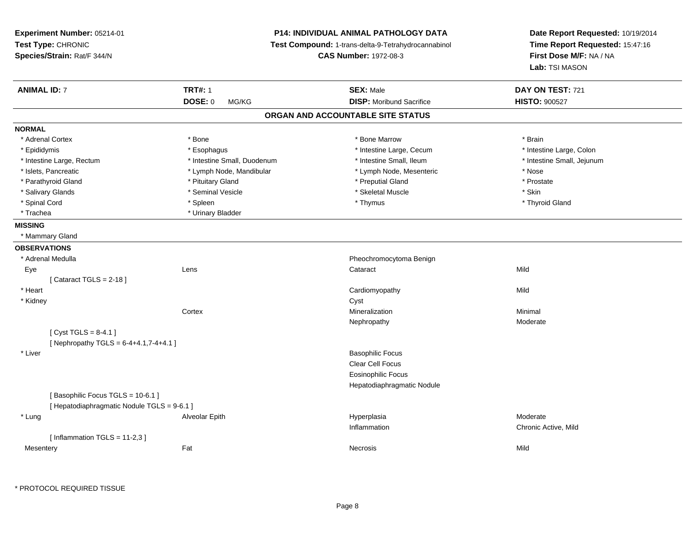**Experiment Number:** 05214-01**Test Type:** CHRONIC **Species/Strain:** Rat/F 344/N**P14: INDIVIDUAL ANIMAL PATHOLOGY DATA Test Compound:** 1-trans-delta-9-Tetrahydrocannabinol **CAS Number:** 1972-08-3**Date Report Requested:** 10/19/2014**Time Report Requested:** 15:47:16**First Dose M/F:** NA / NA**Lab:** TSI MASON**ANIMAL ID:** 7**TRT#:** 1 **SEX:** Male **DAY ON TEST:** 721 **DOSE:** 0 MG/KG**DISP:** Moribund Sacrifice **HISTO:**  $900527$ **ORGAN AND ACCOUNTABLE SITE STATUSNORMAL**\* Adrenal Cortex \* Adrenal Cortex \* \* Adrenal Cortex \* Brain \* Bone \* \* Bone Marrow \* Bone Marrow \* \* Brain \* Brain \* Brain \* Brain \* Brain \* Brain \* Brain \* Brain \* Brain \* Brain \* Brain \* Brain \* Brain \* Brain \* Brain \* Brain \* Brain \* B \* Intestine Large, Colon \* Epididymis \* Intestine Large, Cecum \* Esophagus \* Intestine Large, Cecum \* Intestine Large, Cecum \* Intestine Large, Rectum \* Thestine Small, Duodenum \* Number of the small, Ileum \* Intestine Small, Jejunum \* Intestine Small, Jejunum \* Islets, Pancreatic \* Lymph Node, Mandibular \* Lymph Node, Mesenteric \* Nose\* Prostate \* Parathyroid Gland \* **All and \* Pituitary Gland \* Preputial Gland \* Preputial Gland** \* Preputial Gland \* Salivary Glands \* Seminal Vesicle \* Skeletal Muscle \* Skin\* Thyroid Gland \* Spinal Cord \* \* \* Sheen \* \* \* Spleen \* \* \* Thymus \* \* Thymus \* \* The \* \* Thyroid Gland \* \* Thyroid Gland \* \* Thyroid Gland \* \* Thyroid Gland \* Trachea \* Urinary Bladder**MISSING** \* Mammary Gland**OBSERVATIONS** \* Adrenal MedullaPheochromocytoma Benign<br>
Cataract<br>
Cataract Eyee and the contract of the contract of the contract of the contract of the contract of the contract of the contract of the contract of the contract of the contract of the contract of the contract of the contract of the cont  $[$  Cataract TGLS = 2-18  $]$  \* Heart Cardiomyopathyy Mild \* Kidneyy control of the control of the control of the control of the control of the control of the control of the control of the control of the control of the control of the control of the control of the control of the control of **Cortex**  Mineralizationn Minimal Nephropathy Moderate $[$  Cyst TGLS = 8-4.1  $]$ [ Nephropathy TGLS =  $6-4+4.1,7-4+4.1$  ] \* Liverr and the contract of the contract of the contract of the contract of the contract of the Basophilic Focus of the contract of the contract of the contract of the contract of the contract of the contract of the contract of Clear Cell Focus Eosinophilic Focus Hepatodiaphragmatic Nodule[ Basophilic Focus TGLS = 10-6.1 ][ Hepatodiaphragmatic Nodule TGLS = 9-6.1 ] \* Lung Alveolar Epith Hyperplasia Moderate Inflammation Chronic Active, Mild  $[$  Inflammation TGLS = 11-2,3  $]$ **Mesentery** y the contract of the contract of the contract of the contract of the contract of the contract of the contract of the contract of the contract of the contract of the contract of the contract of the contract of the contract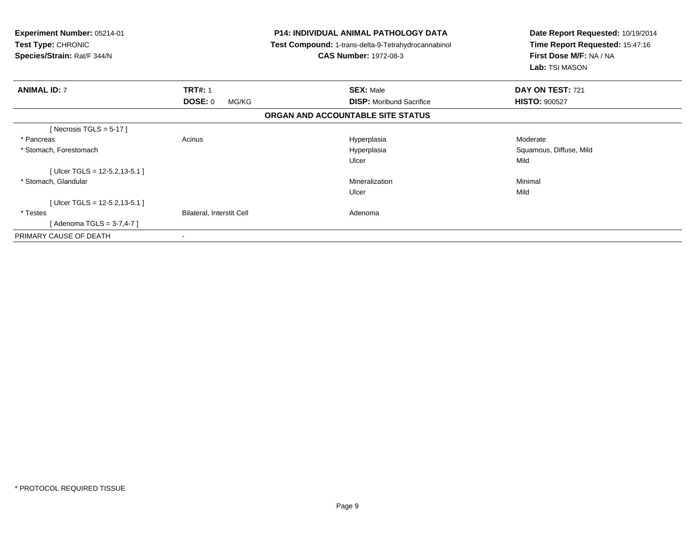| Experiment Number: 05214-01<br><b>Test Type: CHRONIC</b><br>Species/Strain: Rat/F 344/N |                                  | <b>P14: INDIVIDUAL ANIMAL PATHOLOGY DATA</b><br>Test Compound: 1-trans-delta-9-Tetrahydrocannabinol<br><b>CAS Number: 1972-08-3</b> | Date Report Requested: 10/19/2014<br>Time Report Requested: 15:47:16<br>First Dose M/F: NA / NA<br>Lab: TSI MASON |  |
|-----------------------------------------------------------------------------------------|----------------------------------|-------------------------------------------------------------------------------------------------------------------------------------|-------------------------------------------------------------------------------------------------------------------|--|
| <b>ANIMAL ID: 7</b>                                                                     | <b>TRT#: 1</b>                   | <b>SEX: Male</b>                                                                                                                    | DAY ON TEST: 721                                                                                                  |  |
|                                                                                         | DOSE: 0<br>MG/KG                 | <b>DISP:</b> Moribund Sacrifice                                                                                                     | <b>HISTO: 900527</b>                                                                                              |  |
|                                                                                         |                                  | ORGAN AND ACCOUNTABLE SITE STATUS                                                                                                   |                                                                                                                   |  |
| [Necrosis TGLS = $5-17$ ]                                                               |                                  |                                                                                                                                     |                                                                                                                   |  |
| * Pancreas                                                                              | Acinus                           | Hyperplasia                                                                                                                         | Moderate                                                                                                          |  |
| * Stomach, Forestomach                                                                  |                                  | Hyperplasia                                                                                                                         | Squamous, Diffuse, Mild                                                                                           |  |
|                                                                                         |                                  | Ulcer                                                                                                                               | Mild                                                                                                              |  |
| [Ulcer TGLS = $12-5.2, 13-5.1$ ]                                                        |                                  |                                                                                                                                     |                                                                                                                   |  |
| * Stomach, Glandular                                                                    |                                  | Mineralization                                                                                                                      | Minimal                                                                                                           |  |
|                                                                                         |                                  | Ulcer                                                                                                                               | Mild                                                                                                              |  |
| [Ulcer TGLS = $12-5.2, 13-5.1$ ]                                                        |                                  |                                                                                                                                     |                                                                                                                   |  |
| * Testes                                                                                | <b>Bilateral, Interstit Cell</b> | Adenoma                                                                                                                             |                                                                                                                   |  |
| [Adenoma TGLS = 3-7,4-7]                                                                |                                  |                                                                                                                                     |                                                                                                                   |  |
| PRIMARY CAUSE OF DEATH                                                                  | $\,$ $\,$                        |                                                                                                                                     |                                                                                                                   |  |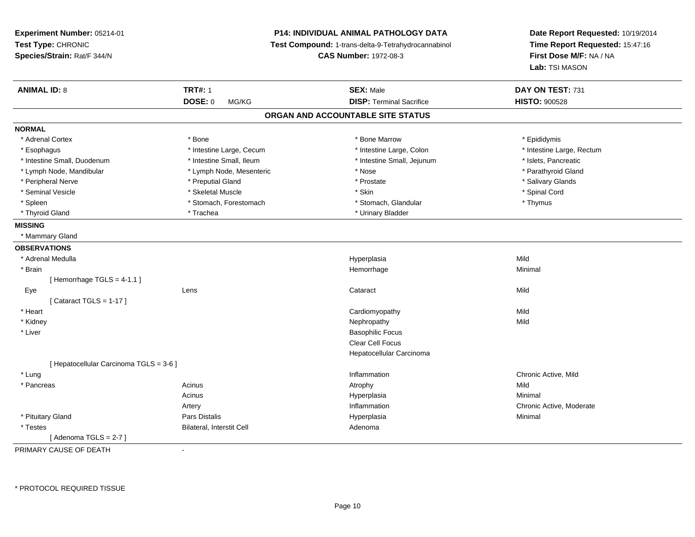| Experiment Number: 05214-01<br>Test Type: CHRONIC<br>Species/Strain: Rat/F 344/N |                           | <b>P14: INDIVIDUAL ANIMAL PATHOLOGY DATA</b><br>Test Compound: 1-trans-delta-9-Tetrahydrocannabinol<br><b>CAS Number: 1972-08-3</b> | Date Report Requested: 10/19/2014<br>Time Report Requested: 15:47:16<br>First Dose M/F: NA / NA<br>Lab: TSI MASON |
|----------------------------------------------------------------------------------|---------------------------|-------------------------------------------------------------------------------------------------------------------------------------|-------------------------------------------------------------------------------------------------------------------|
| <b>ANIMAL ID: 8</b>                                                              | <b>TRT#: 1</b>            | <b>SEX: Male</b>                                                                                                                    | DAY ON TEST: 731                                                                                                  |
|                                                                                  | <b>DOSE: 0</b><br>MG/KG   | <b>DISP: Terminal Sacrifice</b>                                                                                                     | <b>HISTO: 900528</b>                                                                                              |
|                                                                                  |                           | ORGAN AND ACCOUNTABLE SITE STATUS                                                                                                   |                                                                                                                   |
| <b>NORMAL</b>                                                                    |                           |                                                                                                                                     |                                                                                                                   |
| * Adrenal Cortex                                                                 | * Bone                    | * Bone Marrow                                                                                                                       | * Epididymis                                                                                                      |
| * Esophagus                                                                      | * Intestine Large, Cecum  | * Intestine Large, Colon                                                                                                            | * Intestine Large, Rectum                                                                                         |
| * Intestine Small, Duodenum                                                      | * Intestine Small, Ileum  | * Intestine Small, Jejunum                                                                                                          | * Islets, Pancreatic                                                                                              |
| * Lymph Node, Mandibular                                                         | * Lymph Node, Mesenteric  | * Nose                                                                                                                              | * Parathyroid Gland                                                                                               |
| * Peripheral Nerve                                                               | * Preputial Gland         | * Prostate                                                                                                                          | * Salivary Glands                                                                                                 |
| * Seminal Vesicle                                                                | * Skeletal Muscle         | * Skin                                                                                                                              | * Spinal Cord                                                                                                     |
| * Spleen                                                                         | * Stomach, Forestomach    | * Stomach, Glandular                                                                                                                | * Thymus                                                                                                          |
| * Thyroid Gland                                                                  | * Trachea                 | * Urinary Bladder                                                                                                                   |                                                                                                                   |
| <b>MISSING</b>                                                                   |                           |                                                                                                                                     |                                                                                                                   |
| * Mammary Gland                                                                  |                           |                                                                                                                                     |                                                                                                                   |
| <b>OBSERVATIONS</b>                                                              |                           |                                                                                                                                     |                                                                                                                   |
| * Adrenal Medulla                                                                |                           | Hyperplasia                                                                                                                         | Mild                                                                                                              |
| * Brain                                                                          |                           | Hemorrhage                                                                                                                          | Minimal                                                                                                           |
| [Hemorrhage $TGLS = 4-1.1$ ]                                                     |                           |                                                                                                                                     |                                                                                                                   |
| Eye                                                                              | Lens                      | Cataract                                                                                                                            | Mild                                                                                                              |
| [Cataract TGLS = $1-17$ ]                                                        |                           |                                                                                                                                     |                                                                                                                   |
| * Heart                                                                          |                           | Cardiomyopathy                                                                                                                      | Mild                                                                                                              |
| * Kidney                                                                         |                           | Nephropathy                                                                                                                         | Mild                                                                                                              |
| * Liver                                                                          |                           | <b>Basophilic Focus</b>                                                                                                             |                                                                                                                   |
|                                                                                  |                           | Clear Cell Focus                                                                                                                    |                                                                                                                   |
|                                                                                  |                           | Hepatocellular Carcinoma                                                                                                            |                                                                                                                   |
| [ Hepatocellular Carcinoma TGLS = 3-6 ]                                          |                           |                                                                                                                                     |                                                                                                                   |
| * Lung                                                                           |                           | Inflammation                                                                                                                        | Chronic Active, Mild                                                                                              |
| * Pancreas                                                                       | Acinus                    | Atrophy                                                                                                                             | Mild                                                                                                              |
|                                                                                  | Acinus                    | Hyperplasia                                                                                                                         | Minimal                                                                                                           |
|                                                                                  | Artery                    | Inflammation                                                                                                                        | Chronic Active, Moderate                                                                                          |
| * Pituitary Gland                                                                | <b>Pars Distalis</b>      | Hyperplasia                                                                                                                         | Minimal                                                                                                           |
| * Testes                                                                         | Bilateral, Interstit Cell | Adenoma                                                                                                                             |                                                                                                                   |
| [Adenoma TGLS = $2-7$ ]<br><b>DOILIADY OALIGE OF DEATH</b>                       |                           |                                                                                                                                     |                                                                                                                   |

PRIMARY CAUSE OF DEATH-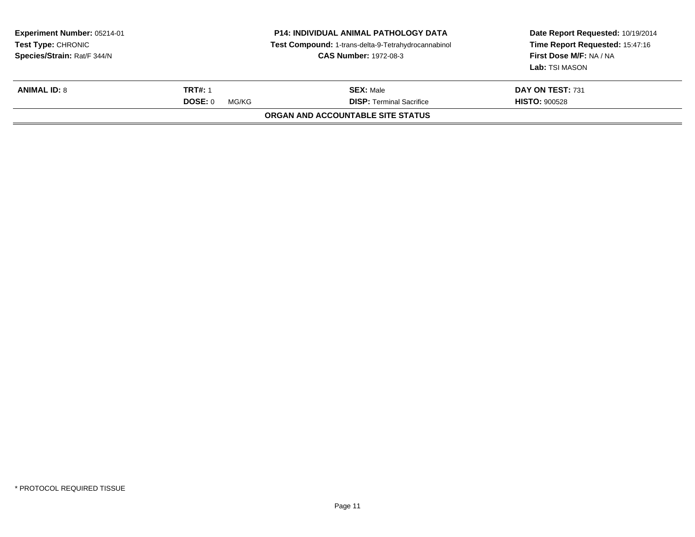| Experiment Number: 05214-01<br><b>Test Type: CHRONIC</b><br>Species/Strain: Rat/F 344/N |                  | <b>P14: INDIVIDUAL ANIMAL PATHOLOGY DATA</b><br>Test Compound: 1-trans-delta-9-Tetrahydrocannabinol<br><b>CAS Number: 1972-08-3</b> | Date Report Requested: 10/19/2014<br>Time Report Requested: 15:47:16<br>First Dose M/F: NA / NA<br>Lab: TSI MASON |
|-----------------------------------------------------------------------------------------|------------------|-------------------------------------------------------------------------------------------------------------------------------------|-------------------------------------------------------------------------------------------------------------------|
| <b>ANIMAL ID: 8</b>                                                                     | <b>TRT#: 1</b>   | <b>SEX: Male</b>                                                                                                                    | DAY ON TEST: 731                                                                                                  |
|                                                                                         | DOSE: 0<br>MG/KG | <b>DISP: Terminal Sacrifice</b>                                                                                                     | <b>HISTO: 900528</b>                                                                                              |
|                                                                                         |                  | ORGAN AND ACCOUNTABLE SITE STATUS                                                                                                   |                                                                                                                   |
|                                                                                         |                  |                                                                                                                                     |                                                                                                                   |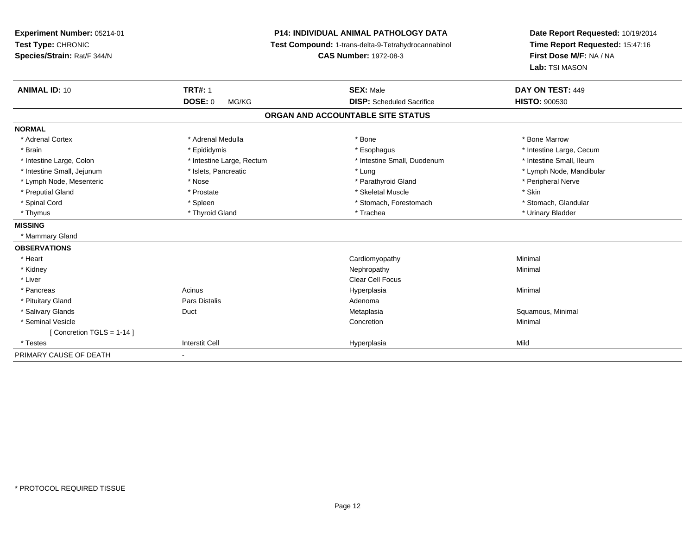| <b>Experiment Number: 05214-01</b><br>Test Type: CHRONIC<br>Species/Strain: Rat/F 344/N<br><b>ANIMAL ID: 10</b> | <b>TRT#: 1</b>            | <b>P14: INDIVIDUAL ANIMAL PATHOLOGY DATA</b><br>Date Report Requested: 10/19/2014<br>Time Report Requested: 15:47:16<br>Test Compound: 1-trans-delta-9-Tetrahydrocannabinol<br>First Dose M/F: NA / NA<br><b>CAS Number: 1972-08-3</b><br>Lab: TSI MASON<br>DAY ON TEST: 449<br><b>SEX: Male</b> |                          |
|-----------------------------------------------------------------------------------------------------------------|---------------------------|--------------------------------------------------------------------------------------------------------------------------------------------------------------------------------------------------------------------------------------------------------------------------------------------------|--------------------------|
|                                                                                                                 | <b>DOSE: 0</b><br>MG/KG   | <b>DISP:</b> Scheduled Sacrifice                                                                                                                                                                                                                                                                 | <b>HISTO: 900530</b>     |
|                                                                                                                 |                           | ORGAN AND ACCOUNTABLE SITE STATUS                                                                                                                                                                                                                                                                |                          |
| <b>NORMAL</b>                                                                                                   |                           |                                                                                                                                                                                                                                                                                                  |                          |
| * Adrenal Cortex                                                                                                | * Adrenal Medulla         | * Bone                                                                                                                                                                                                                                                                                           | * Bone Marrow            |
| * Brain                                                                                                         | * Epididymis              | * Esophagus                                                                                                                                                                                                                                                                                      | * Intestine Large, Cecum |
| * Intestine Large, Colon                                                                                        | * Intestine Large, Rectum | * Intestine Small, Duodenum                                                                                                                                                                                                                                                                      | * Intestine Small, Ileum |
| * Intestine Small, Jejunum                                                                                      | * Islets, Pancreatic      | * Lung                                                                                                                                                                                                                                                                                           | * Lymph Node, Mandibular |
| * Lymph Node, Mesenteric                                                                                        | * Nose                    | * Parathyroid Gland                                                                                                                                                                                                                                                                              | * Peripheral Nerve       |
| * Preputial Gland                                                                                               | * Prostate                | * Skeletal Muscle                                                                                                                                                                                                                                                                                | * Skin                   |
| * Spinal Cord                                                                                                   | * Spleen                  | * Stomach, Forestomach                                                                                                                                                                                                                                                                           | * Stomach, Glandular     |
| * Thymus                                                                                                        | * Thyroid Gland           | * Trachea                                                                                                                                                                                                                                                                                        | * Urinary Bladder        |
| <b>MISSING</b>                                                                                                  |                           |                                                                                                                                                                                                                                                                                                  |                          |
| * Mammary Gland                                                                                                 |                           |                                                                                                                                                                                                                                                                                                  |                          |
| <b>OBSERVATIONS</b>                                                                                             |                           |                                                                                                                                                                                                                                                                                                  |                          |
| * Heart                                                                                                         |                           | Cardiomyopathy                                                                                                                                                                                                                                                                                   | Minimal                  |
| * Kidney                                                                                                        |                           | Nephropathy                                                                                                                                                                                                                                                                                      | Minimal                  |
| * Liver                                                                                                         |                           | <b>Clear Cell Focus</b>                                                                                                                                                                                                                                                                          |                          |
| * Pancreas                                                                                                      | Acinus                    | Hyperplasia                                                                                                                                                                                                                                                                                      | Minimal                  |
| * Pituitary Gland                                                                                               | <b>Pars Distalis</b>      | Adenoma                                                                                                                                                                                                                                                                                          |                          |
| * Salivary Glands                                                                                               | Duct                      | Metaplasia                                                                                                                                                                                                                                                                                       | Squamous, Minimal        |
| * Seminal Vesicle                                                                                               |                           | Concretion                                                                                                                                                                                                                                                                                       | Minimal                  |
| [Concretion TGLS = 1-14]                                                                                        |                           |                                                                                                                                                                                                                                                                                                  |                          |
| * Testes                                                                                                        | <b>Interstit Cell</b>     | Hyperplasia                                                                                                                                                                                                                                                                                      | Mild                     |
| PRIMARY CAUSE OF DEATH                                                                                          | ٠                         |                                                                                                                                                                                                                                                                                                  |                          |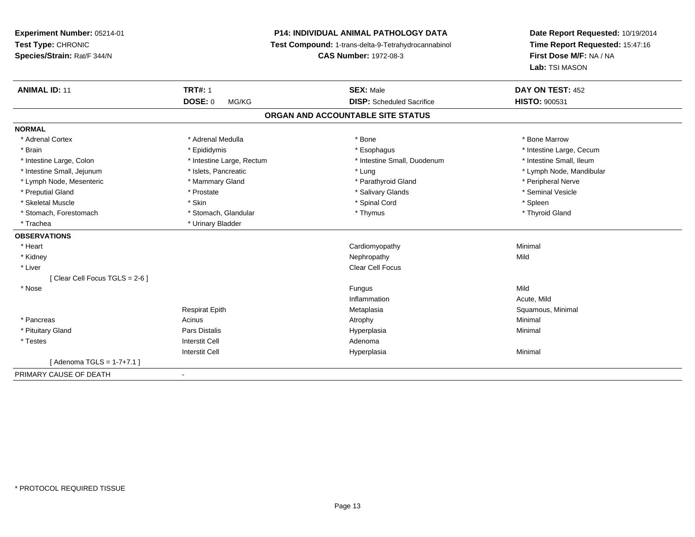**Experiment Number:** 05214-01**Test Type:** CHRONIC **Species/Strain:** Rat/F 344/N**P14: INDIVIDUAL ANIMAL PATHOLOGY DATA Test Compound:** 1-trans-delta-9-Tetrahydrocannabinol **CAS Number:** 1972-08-3**Date Report Requested:** 10/19/2014**Time Report Requested:** 15:47:16**First Dose M/F:** NA / NA**Lab:** TSI MASON**ANIMAL ID:** 11**TRT#:** 1 **SEX:** Male **DAY ON TEST:** 452 **DOSE:** 0 MG/KG **DISP:** Scheduled Sacrifice **HISTO:** <sup>900531</sup> **ORGAN AND ACCOUNTABLE SITE STATUSNORMAL**\* Adrenal Cortex \* Adrenal Medulla \* Adrenal Medulla \* Bone \* Bone \* Bone \* Bone \* Bone Marrow \* Brain \* Explorer \* Epididymis \* \* Epididymis \* \* Esophagus \* Esophagus \* \* Esophagus \* Intestine Large, Cecum \* \* Intestine Large, Cecum \* Intestine Small, Ileum \* Intestine Large, Colon \* Intestine Large, Rectum \* Intestine Small, Duodenum \* Intestine Small, Duodenum \* Intestine Small, Jejunum \* \* \* https://www.fat.com/setter/educition/setter/filesophysics.com/setter/filesophysics.com/setter/filesophysics.com/setter/filesophysics.com/setter/filesophysics.com/setter/filesophysics.com/se \* Lymph Node, Mesenteric \* The matter of the Mammary Gland \* Mammary Gland \* Parathyroid Gland \* Peripheral Nerve \* Seminal Vesicle \* Preputial Gland \* \* Annual vesicle \* \* Prostate \* \* Salivary Glands \* \* Salivary Glands \* \* Seminal Vesicle \* \* Skeletal Muscle \* Skin \* Spinal Cord \* Spleen \* Thyroid Gland \* Stomach, Forestomach \* Thymus \* Stomach, Glandular \* Thymus \* Thymus \* Thymus \* Thymus \* Thymus \* Thymus \* Thymus \* Thymus \* Thymus \* Thymus \* Thymus \* Thymus \* Thymus \* Thymus \* Thymus \* Thymus \* Thymus \* Thymus \* Thymu \* Trachea \* Urinary Bladder**OBSERVATIONS** \* Heart Cardiomyopathy Minimal \* Kidneyy the control of the control of the control of the control of the control of the control of the control of the control of the control of the control of the control of the control of the control of the control of the contro \* Liver Clear Cell Focus[ Clear Cell Focus TGLS = 2-6 ] \* Nosee and the state of the state of the state of the state of the state of the state of the state of the state of the state of the state of the state of the state of the state of the state of the state of the state of the stat Inflammation Acute, Mild Respirat EpithMetaplasia **Squamous, Minimal**  \* Pancreass the control of the control of the control of the control of the control of the control of the control of the control of the control of the control of the control of the control of the control of the control of the contro \* Pituitary Gland Pars Distalis Hyperplasia Minimal \* Testes Interstit Cell AdenomaInterstit Cell Hyperplasiaa and a studies of the studies of the Minimal [ Adenoma TGLS = 1-7+7.1 ]PRIMARY CAUSE OF DEATH-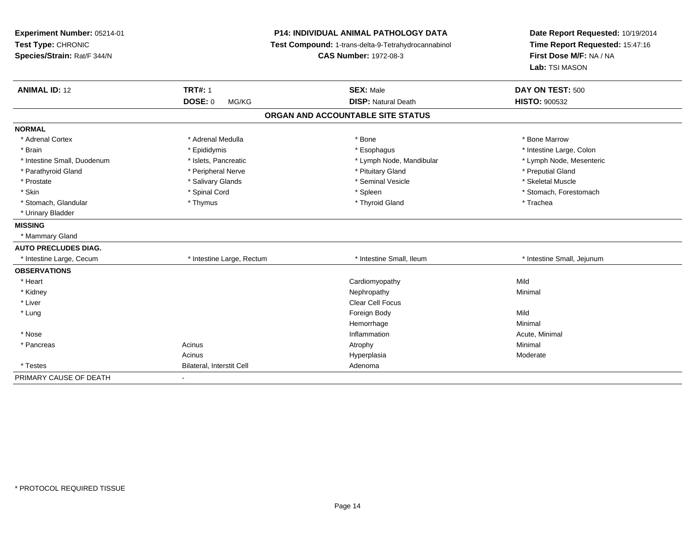| Experiment Number: 05214-01<br>Test Type: CHRONIC<br>Species/Strain: Rat/F 344/N | <b>P14: INDIVIDUAL ANIMAL PATHOLOGY DATA</b><br>Test Compound: 1-trans-delta-9-Tetrahydrocannabinol<br><b>CAS Number: 1972-08-3</b> |                                   | Date Report Requested: 10/19/2014<br>Time Report Requested: 15:47:16<br>First Dose M/F: NA / NA<br>Lab: TSI MASON |
|----------------------------------------------------------------------------------|-------------------------------------------------------------------------------------------------------------------------------------|-----------------------------------|-------------------------------------------------------------------------------------------------------------------|
| <b>ANIMAL ID: 12</b>                                                             | <b>TRT#: 1</b>                                                                                                                      | <b>SEX: Male</b>                  | DAY ON TEST: 500                                                                                                  |
|                                                                                  | <b>DOSE: 0</b><br>MG/KG                                                                                                             | <b>DISP: Natural Death</b>        | <b>HISTO: 900532</b>                                                                                              |
|                                                                                  |                                                                                                                                     | ORGAN AND ACCOUNTABLE SITE STATUS |                                                                                                                   |
| <b>NORMAL</b>                                                                    |                                                                                                                                     |                                   |                                                                                                                   |
| * Adrenal Cortex                                                                 | * Adrenal Medulla                                                                                                                   | * Bone                            | * Bone Marrow                                                                                                     |
| * Brain                                                                          | * Epididymis                                                                                                                        | * Esophagus                       | * Intestine Large, Colon                                                                                          |
| * Intestine Small, Duodenum                                                      | * Islets, Pancreatic                                                                                                                | * Lymph Node, Mandibular          | * Lymph Node, Mesenteric                                                                                          |
| * Parathyroid Gland                                                              | * Peripheral Nerve                                                                                                                  | * Pituitary Gland                 | * Preputial Gland                                                                                                 |
| * Prostate                                                                       | * Salivary Glands                                                                                                                   | * Seminal Vesicle                 | * Skeletal Muscle                                                                                                 |
| * Skin                                                                           | * Spinal Cord                                                                                                                       | * Spleen                          | * Stomach. Forestomach                                                                                            |
| * Stomach, Glandular                                                             | * Thymus                                                                                                                            | * Thyroid Gland                   | * Trachea                                                                                                         |
| * Urinary Bladder                                                                |                                                                                                                                     |                                   |                                                                                                                   |
| <b>MISSING</b>                                                                   |                                                                                                                                     |                                   |                                                                                                                   |
| * Mammary Gland                                                                  |                                                                                                                                     |                                   |                                                                                                                   |
| <b>AUTO PRECLUDES DIAG.</b>                                                      |                                                                                                                                     |                                   |                                                                                                                   |
| * Intestine Large, Cecum                                                         | * Intestine Large, Rectum                                                                                                           | * Intestine Small, Ileum          | * Intestine Small, Jejunum                                                                                        |
| <b>OBSERVATIONS</b>                                                              |                                                                                                                                     |                                   |                                                                                                                   |
| * Heart                                                                          |                                                                                                                                     | Cardiomyopathy                    | Mild                                                                                                              |
| * Kidney                                                                         |                                                                                                                                     | Nephropathy                       | Minimal                                                                                                           |
| * Liver                                                                          |                                                                                                                                     | Clear Cell Focus                  |                                                                                                                   |
| * Lung                                                                           |                                                                                                                                     | Foreign Body                      | Mild                                                                                                              |
|                                                                                  |                                                                                                                                     | Hemorrhage                        | Minimal                                                                                                           |
| * Nose                                                                           |                                                                                                                                     | Inflammation                      | Acute, Minimal                                                                                                    |
| * Pancreas                                                                       | Acinus                                                                                                                              | Atrophy                           | Minimal                                                                                                           |
|                                                                                  | Acinus                                                                                                                              | Hyperplasia                       | Moderate                                                                                                          |
| * Testes                                                                         | Bilateral, Interstit Cell                                                                                                           | Adenoma                           |                                                                                                                   |
| PRIMARY CAUSE OF DEATH                                                           | $\sim$                                                                                                                              |                                   |                                                                                                                   |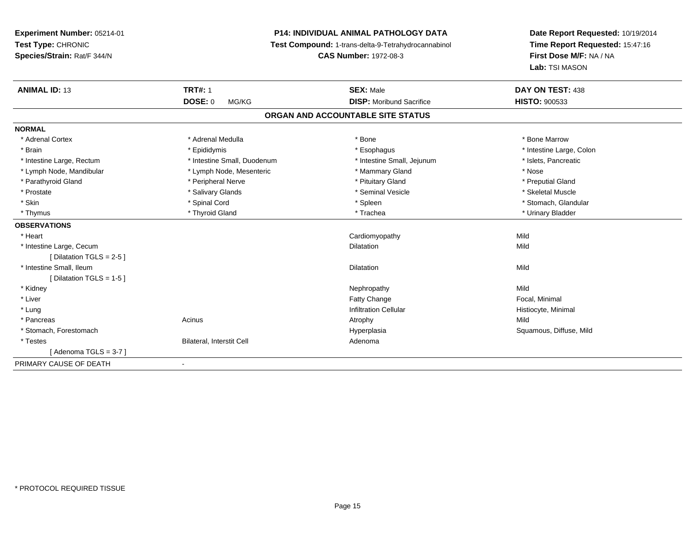## **P14: INDIVIDUAL ANIMAL PATHOLOGY DATA**

**Test Compound:** 1-trans-delta-9-Tetrahydrocannabinol

**CAS Number:** 1972-08-3

| <b>ANIMAL ID: 13</b>       | <b>TRT#: 1</b>              | <b>SEX: Male</b>                  | DAY ON TEST: 438         |  |
|----------------------------|-----------------------------|-----------------------------------|--------------------------|--|
|                            | <b>DOSE: 0</b><br>MG/KG     | <b>DISP:</b> Moribund Sacrifice   | <b>HISTO: 900533</b>     |  |
|                            |                             | ORGAN AND ACCOUNTABLE SITE STATUS |                          |  |
| <b>NORMAL</b>              |                             |                                   |                          |  |
| * Adrenal Cortex           | * Adrenal Medulla           | * Bone                            | * Bone Marrow            |  |
| * Brain                    | * Epididymis                | * Esophagus                       | * Intestine Large, Colon |  |
| * Intestine Large, Rectum  | * Intestine Small, Duodenum | * Intestine Small, Jejunum        | * Islets, Pancreatic     |  |
| * Lymph Node, Mandibular   | * Lymph Node, Mesenteric    | * Mammary Gland                   | * Nose                   |  |
| * Parathyroid Gland        | * Peripheral Nerve          | * Pituitary Gland                 | * Preputial Gland        |  |
| * Prostate                 | * Salivary Glands           | * Seminal Vesicle                 | * Skeletal Muscle        |  |
| * Skin                     | * Spinal Cord               | * Spleen                          | * Stomach, Glandular     |  |
| * Thymus                   | * Thyroid Gland             | * Trachea                         | * Urinary Bladder        |  |
| <b>OBSERVATIONS</b>        |                             |                                   |                          |  |
| * Heart                    |                             | Cardiomyopathy                    | Mild                     |  |
| * Intestine Large, Cecum   |                             | <b>Dilatation</b>                 | Mild                     |  |
| [Dilatation TGLS = $2-5$ ] |                             |                                   |                          |  |
| * Intestine Small, Ileum   |                             | Dilatation                        | Mild                     |  |
| [Dilatation TGLS = 1-5 ]   |                             |                                   |                          |  |
| * Kidney                   |                             | Nephropathy                       | Mild                     |  |
| * Liver                    |                             | <b>Fatty Change</b>               | Focal, Minimal           |  |
| * Lung                     |                             | <b>Infiltration Cellular</b>      | Histiocyte, Minimal      |  |
| * Pancreas                 | Acinus                      | Atrophy                           | Mild                     |  |
| * Stomach, Forestomach     |                             | Hyperplasia                       | Squamous, Diffuse, Mild  |  |
| * Testes                   | Bilateral, Interstit Cell   | Adenoma                           |                          |  |
| [Adenoma TGLS = $3-7$ ]    |                             |                                   |                          |  |
| PRIMARY CAUSE OF DEATH     | $\blacksquare$              |                                   |                          |  |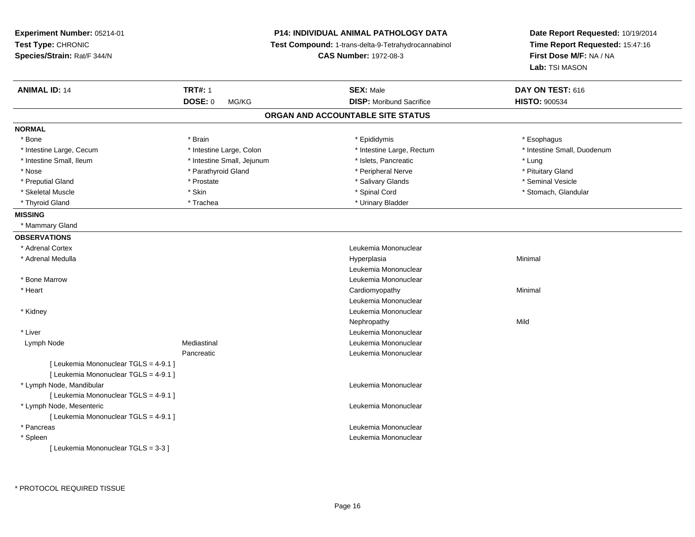| Experiment Number: 05214-01<br>Test Type: CHRONIC<br>Species/Strain: Rat/F 344/N | P14: INDIVIDUAL ANIMAL PATHOLOGY DATA<br>Test Compound: 1-trans-delta-9-Tetrahydrocannabinol<br><b>CAS Number: 1972-08-3</b> |                                   | Date Report Requested: 10/19/2014<br>Time Report Requested: 15:47:16<br>First Dose M/F: NA / NA<br>Lab: TSI MASON |  |
|----------------------------------------------------------------------------------|------------------------------------------------------------------------------------------------------------------------------|-----------------------------------|-------------------------------------------------------------------------------------------------------------------|--|
| <b>ANIMAL ID: 14</b>                                                             | <b>TRT#: 1</b>                                                                                                               | <b>SEX: Male</b>                  | DAY ON TEST: 616                                                                                                  |  |
|                                                                                  | DOSE: 0<br>MG/KG                                                                                                             | <b>DISP:</b> Moribund Sacrifice   | <b>HISTO: 900534</b>                                                                                              |  |
|                                                                                  |                                                                                                                              | ORGAN AND ACCOUNTABLE SITE STATUS |                                                                                                                   |  |
| <b>NORMAL</b>                                                                    |                                                                                                                              |                                   |                                                                                                                   |  |
| * Bone                                                                           | * Brain                                                                                                                      | * Epididymis                      | * Esophagus                                                                                                       |  |
| * Intestine Large, Cecum                                                         | * Intestine Large, Colon                                                                                                     | * Intestine Large, Rectum         | * Intestine Small, Duodenum                                                                                       |  |
| * Intestine Small, Ileum                                                         | * Intestine Small, Jejunum                                                                                                   | * Islets, Pancreatic              | * Lung                                                                                                            |  |
| * Nose                                                                           | * Parathyroid Gland                                                                                                          | * Peripheral Nerve                | * Pituitary Gland                                                                                                 |  |
| * Preputial Gland                                                                | * Prostate                                                                                                                   | * Salivary Glands                 | * Seminal Vesicle                                                                                                 |  |
| * Skeletal Muscle                                                                | * Skin                                                                                                                       | * Spinal Cord                     | * Stomach, Glandular                                                                                              |  |
| * Thyroid Gland                                                                  | * Trachea                                                                                                                    | * Urinary Bladder                 |                                                                                                                   |  |
| <b>MISSING</b>                                                                   |                                                                                                                              |                                   |                                                                                                                   |  |
| * Mammary Gland                                                                  |                                                                                                                              |                                   |                                                                                                                   |  |
| <b>OBSERVATIONS</b>                                                              |                                                                                                                              |                                   |                                                                                                                   |  |
| * Adrenal Cortex                                                                 |                                                                                                                              | Leukemia Mononuclear              |                                                                                                                   |  |
| * Adrenal Medulla                                                                |                                                                                                                              | Hyperplasia                       | Minimal                                                                                                           |  |
|                                                                                  |                                                                                                                              | Leukemia Mononuclear              |                                                                                                                   |  |
| * Bone Marrow                                                                    |                                                                                                                              | Leukemia Mononuclear              |                                                                                                                   |  |
| * Heart                                                                          |                                                                                                                              | Cardiomyopathy                    | Minimal                                                                                                           |  |
|                                                                                  |                                                                                                                              | Leukemia Mononuclear              |                                                                                                                   |  |
| * Kidney                                                                         |                                                                                                                              | Leukemia Mononuclear              |                                                                                                                   |  |
|                                                                                  |                                                                                                                              | Nephropathy                       | Mild                                                                                                              |  |
| * Liver                                                                          |                                                                                                                              | Leukemia Mononuclear              |                                                                                                                   |  |
| Lymph Node                                                                       | Mediastinal                                                                                                                  | Leukemia Mononuclear              |                                                                                                                   |  |
|                                                                                  | Pancreatic                                                                                                                   | Leukemia Mononuclear              |                                                                                                                   |  |
| [ Leukemia Mononuclear TGLS = 4-9.1 ]                                            |                                                                                                                              |                                   |                                                                                                                   |  |
| [ Leukemia Mononuclear TGLS = 4-9.1 ]                                            |                                                                                                                              |                                   |                                                                                                                   |  |
| * Lymph Node, Mandibular                                                         |                                                                                                                              | Leukemia Mononuclear              |                                                                                                                   |  |
| [ Leukemia Mononuclear TGLS = 4-9.1 ]                                            |                                                                                                                              |                                   |                                                                                                                   |  |
| * Lymph Node, Mesenteric                                                         |                                                                                                                              | Leukemia Mononuclear              |                                                                                                                   |  |
| [ Leukemia Mononuclear TGLS = 4-9.1 ]                                            |                                                                                                                              |                                   |                                                                                                                   |  |
| * Pancreas                                                                       |                                                                                                                              | Leukemia Mononuclear              |                                                                                                                   |  |
| * Spleen                                                                         |                                                                                                                              | Leukemia Mononuclear              |                                                                                                                   |  |
| [Leukemia Mononuclear TGLS = 3-3 ]                                               |                                                                                                                              |                                   |                                                                                                                   |  |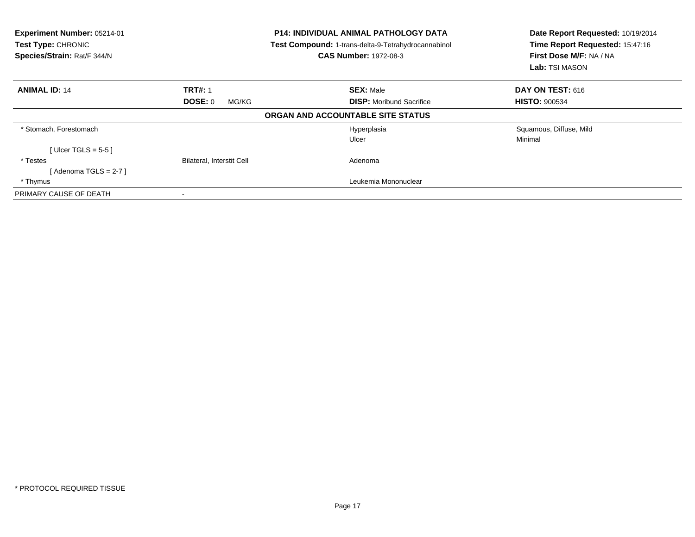| Experiment Number: 05214-01<br>Test Type: CHRONIC<br>Species/Strain: Rat/F 344/N |                           | <b>P14: INDIVIDUAL ANIMAL PATHOLOGY DATA</b><br><b>Test Compound: 1-trans-delta-9-Tetrahydrocannabinol</b><br><b>CAS Number: 1972-08-3</b> | Date Report Requested: 10/19/2014<br>Time Report Requested: 15:47:16<br>First Dose M/F: NA / NA<br><b>Lab:</b> TSI MASON |
|----------------------------------------------------------------------------------|---------------------------|--------------------------------------------------------------------------------------------------------------------------------------------|--------------------------------------------------------------------------------------------------------------------------|
| <b>ANIMAL ID: 14</b>                                                             | <b>TRT#: 1</b>            | <b>SEX: Male</b>                                                                                                                           | <b>DAY ON TEST: 616</b>                                                                                                  |
|                                                                                  | DOSE: 0<br>MG/KG          | <b>DISP:</b> Moribund Sacrifice                                                                                                            | <b>HISTO: 900534</b>                                                                                                     |
|                                                                                  |                           | ORGAN AND ACCOUNTABLE SITE STATUS                                                                                                          |                                                                                                                          |
| * Stomach, Forestomach                                                           |                           | Hyperplasia                                                                                                                                | Squamous, Diffuse, Mild                                                                                                  |
|                                                                                  |                           | Ulcer                                                                                                                                      | Minimal                                                                                                                  |
| [ Ulcer TGLS = $5-5$ ]                                                           |                           |                                                                                                                                            |                                                                                                                          |
| * Testes                                                                         | Bilateral, Interstit Cell | Adenoma                                                                                                                                    |                                                                                                                          |
| [Adenoma TGLS = $2-7$ ]                                                          |                           |                                                                                                                                            |                                                                                                                          |
| * Thymus                                                                         |                           | Leukemia Mononuclear                                                                                                                       |                                                                                                                          |
| PRIMARY CAUSE OF DEATH                                                           | -                         |                                                                                                                                            |                                                                                                                          |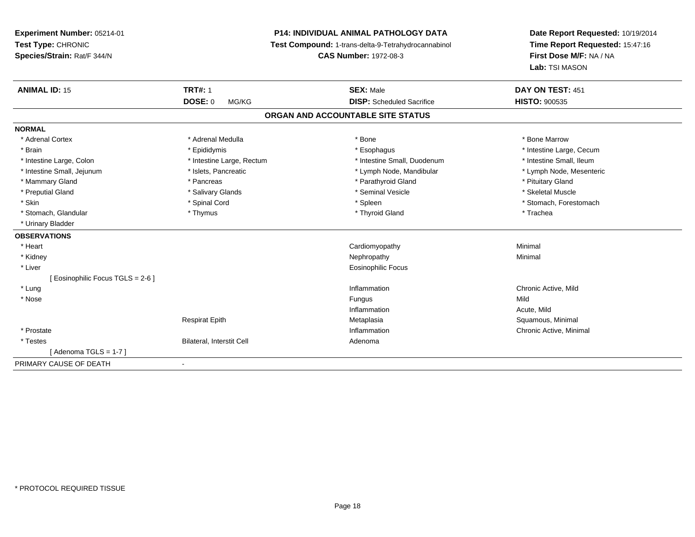**Experiment Number:** 05214-01**Test Type:** CHRONIC **Species/Strain:** Rat/F 344/N**P14: INDIVIDUAL ANIMAL PATHOLOGY DATA Test Compound:** 1-trans-delta-9-Tetrahydrocannabinol **CAS Number:** 1972-08-3**Date Report Requested:** 10/19/2014**Time Report Requested:** 15:47:16**First Dose M/F:** NA / NA**Lab:** TSI MASON**ANIMAL ID:** 15**TRT#:** 1 **SEX:** Male **DAY ON TEST:** 451 **DOSE:** 0 MG/KG **DISP:** Scheduled Sacrifice **HISTO:** <sup>900535</sup> **ORGAN AND ACCOUNTABLE SITE STATUSNORMAL**\* Adrenal Cortex \* Adrenal Medulla \* Adrenal Medulla \* Bone \* Bone \* Bone \* Bone \* Bone Marrow \* Brain \* Explorer \* Epididymis \* \* Epididymis \* \* Esophagus \* Esophagus \* \* Esophagus \* Intestine Large, Cecum \* \* Intestine Large, Cecum \* Intestine Small, Ileum \* Intestine Large, Colon \* Intestine Large, Rectum \* Intestine Small, Duodenum \* Intestine Small, Duodenum \* Lymph Node, Mesenteric \* Intestine Small, Jejunum \* Mandibular \* Islets, Pancreatic \* Mandibular \* Lymph Node, Mandibular \* Mammary Gland \* **All and \* Pancreas** \* Pancreas \* Parathyroid Gland \* Parathyroid Gland \* Pituitary Gland \* Pituitary Gland \* Skeletal Muscle \* Preputial Gland \* \* \* \* Salivary Glands \* \* Salivary Glands \* \* Seminal Vesicle \* \* \* Steretal Muscle \* \* Skeletal Muscle \* Skin \* Spinal Cord \* Spinal Cord \* Spinal Cord \* Spinal \* Spinal \* Stomach, Forestomach \* Stomach, Forestomach \* Stomach, Glandular \* Thymus \* Thymus \* Thymus \* Thyroid Gland \* Thyroid Gland \* Thachea \* Urinary Bladder**OBSERVATIONS** \* Heart Cardiomyopathy Minimal \* Kidneyy the control of the control of the control of the control of the control of the control of the control of the control of the control of the control of the control of the control of the control of the control of the contro \* Liver Eosinophilic Focus[ Eosinophilic Focus TGLS = 2-6 ] \* Lungg is a controller to the controller of the controller of the controller of the controller of the chronic Active, Mild \* Nosee and the state of the state of the state of the state of the state of the state of the state of the state of the state of the state of the state of the state of the state of the state of the state of the state of the stat Inflammation Acute, Mild Respirat Epith Metaplasia Squamous, Minimal \* Prostatee the contraction of the chronic Active, Minimal and the chronic Active, Minimal and the chronic Active, Minimal and the chronic Active, Minimal and the chronic Active, Minimal and the chronic Active, Minimal and the chron \* TestesBilateral, Interstit Cell **Adenoma** Adenoma  $[$  Adenoma TGLS = 1-7  $]$ PRIMARY CAUSE OF DEATH-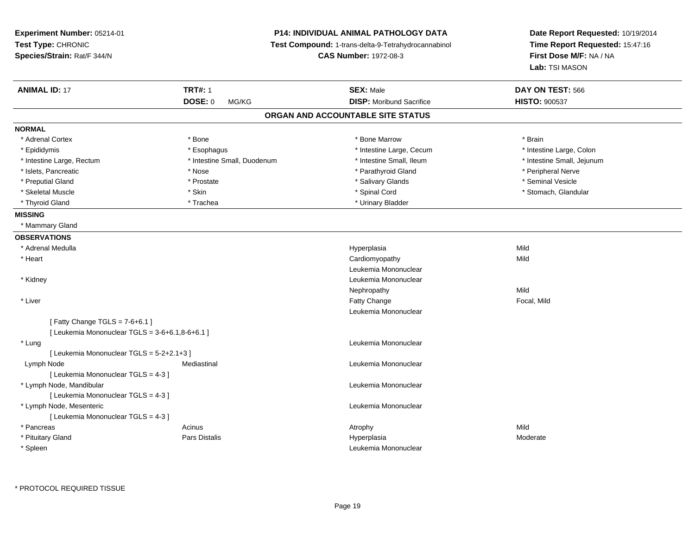| Experiment Number: 05214-01<br>Test Type: CHRONIC<br>Species/Strain: Rat/F 344/N |                             | P14: INDIVIDUAL ANIMAL PATHOLOGY DATA<br>Test Compound: 1-trans-delta-9-Tetrahydrocannabinol<br><b>CAS Number: 1972-08-3</b> | Date Report Requested: 10/19/2014<br>Time Report Requested: 15:47:16<br>First Dose M/F: NA / NA<br>Lab: TSI MASON |
|----------------------------------------------------------------------------------|-----------------------------|------------------------------------------------------------------------------------------------------------------------------|-------------------------------------------------------------------------------------------------------------------|
| <b>ANIMAL ID: 17</b>                                                             | <b>TRT#: 1</b>              | <b>SEX: Male</b>                                                                                                             | DAY ON TEST: 566                                                                                                  |
|                                                                                  | DOSE: 0<br>MG/KG            | <b>DISP:</b> Moribund Sacrifice                                                                                              | <b>HISTO: 900537</b>                                                                                              |
|                                                                                  |                             | ORGAN AND ACCOUNTABLE SITE STATUS                                                                                            |                                                                                                                   |
| <b>NORMAL</b>                                                                    |                             |                                                                                                                              |                                                                                                                   |
| * Adrenal Cortex                                                                 | * Bone                      | * Bone Marrow                                                                                                                | * Brain                                                                                                           |
| * Epididymis                                                                     | * Esophagus                 | * Intestine Large, Cecum                                                                                                     | * Intestine Large, Colon                                                                                          |
| * Intestine Large, Rectum                                                        | * Intestine Small, Duodenum | * Intestine Small, Ileum                                                                                                     | * Intestine Small, Jejunum                                                                                        |
| * Islets, Pancreatic                                                             | * Nose                      | * Parathyroid Gland                                                                                                          | * Peripheral Nerve                                                                                                |
| * Preputial Gland                                                                | * Prostate                  | * Salivary Glands                                                                                                            | * Seminal Vesicle                                                                                                 |
| * Skeletal Muscle                                                                | * Skin                      | * Spinal Cord                                                                                                                | * Stomach, Glandular                                                                                              |
| * Thyroid Gland                                                                  | * Trachea                   | * Urinary Bladder                                                                                                            |                                                                                                                   |
| <b>MISSING</b>                                                                   |                             |                                                                                                                              |                                                                                                                   |
| * Mammary Gland                                                                  |                             |                                                                                                                              |                                                                                                                   |
| <b>OBSERVATIONS</b>                                                              |                             |                                                                                                                              |                                                                                                                   |
| * Adrenal Medulla                                                                |                             | Hyperplasia                                                                                                                  | Mild                                                                                                              |
| * Heart                                                                          |                             | Cardiomyopathy                                                                                                               | Mild                                                                                                              |
|                                                                                  |                             | Leukemia Mononuclear                                                                                                         |                                                                                                                   |
| * Kidney                                                                         |                             | Leukemia Mononuclear                                                                                                         |                                                                                                                   |
|                                                                                  |                             | Nephropathy                                                                                                                  | Mild                                                                                                              |
| * Liver                                                                          |                             | Fatty Change                                                                                                                 | Focal, Mild                                                                                                       |
|                                                                                  |                             | Leukemia Mononuclear                                                                                                         |                                                                                                                   |
| [Fatty Change TGLS = $7-6+6.1$ ]                                                 |                             |                                                                                                                              |                                                                                                                   |
| [ Leukemia Mononuclear TGLS = 3-6+6.1,8-6+6.1 ]                                  |                             |                                                                                                                              |                                                                                                                   |
| * Lung                                                                           |                             | Leukemia Mononuclear                                                                                                         |                                                                                                                   |
| [Leukemia Mononuclear TGLS = 5-2+2.1+3]                                          |                             |                                                                                                                              |                                                                                                                   |
| Lymph Node                                                                       | Mediastinal                 | Leukemia Mononuclear                                                                                                         |                                                                                                                   |
| [ Leukemia Mononuclear TGLS = 4-3 ]                                              |                             |                                                                                                                              |                                                                                                                   |
| * Lymph Node, Mandibular                                                         |                             | Leukemia Mononuclear                                                                                                         |                                                                                                                   |
| [ Leukemia Mononuclear TGLS = 4-3 ]                                              |                             |                                                                                                                              |                                                                                                                   |
| * Lymph Node, Mesenteric                                                         |                             | Leukemia Mononuclear                                                                                                         |                                                                                                                   |
| [ Leukemia Mononuclear TGLS = 4-3 ]                                              |                             |                                                                                                                              |                                                                                                                   |
| * Pancreas                                                                       | Acinus                      | Atrophy                                                                                                                      | Mild                                                                                                              |
| * Pituitary Gland                                                                | Pars Distalis               | Hyperplasia                                                                                                                  | Moderate                                                                                                          |
| * Spleen                                                                         |                             | Leukemia Mononuclear                                                                                                         |                                                                                                                   |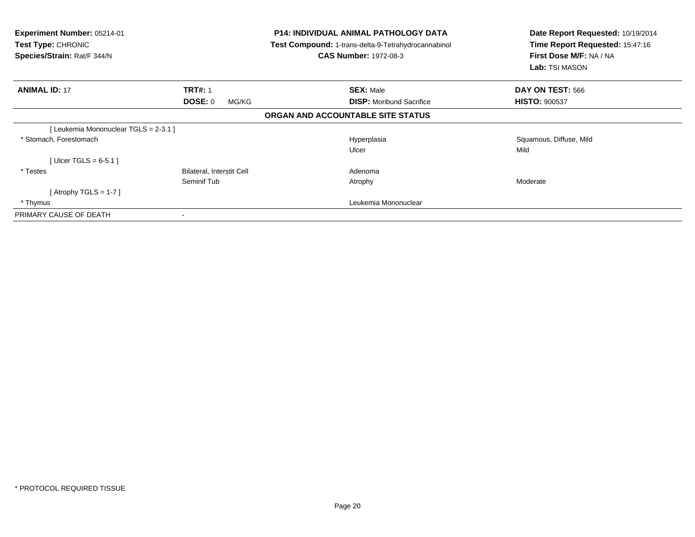| <b>Experiment Number: 05214-01</b><br><b>Test Type: CHRONIC</b><br>Species/Strain: Rat/F 344/N |                           | <b>P14: INDIVIDUAL ANIMAL PATHOLOGY DATA</b><br>Test Compound: 1-trans-delta-9-Tetrahydrocannabinol<br><b>CAS Number: 1972-08-3</b> | Date Report Requested: 10/19/2014<br>Time Report Requested: 15:47:16<br>First Dose M/F: NA / NA<br>Lab: TSI MASON |
|------------------------------------------------------------------------------------------------|---------------------------|-------------------------------------------------------------------------------------------------------------------------------------|-------------------------------------------------------------------------------------------------------------------|
| <b>ANIMAL ID: 17</b>                                                                           | <b>TRT#: 1</b>            | <b>SEX: Male</b>                                                                                                                    | DAY ON TEST: 566                                                                                                  |
|                                                                                                | DOSE: 0<br>MG/KG          | <b>DISP:</b> Moribund Sacrifice                                                                                                     | <b>HISTO: 900537</b>                                                                                              |
|                                                                                                |                           | ORGAN AND ACCOUNTABLE SITE STATUS                                                                                                   |                                                                                                                   |
| [Leukemia Mononuclear TGLS = 2-3.1 ]                                                           |                           |                                                                                                                                     |                                                                                                                   |
| * Stomach, Forestomach                                                                         |                           | Hyperplasia                                                                                                                         | Squamous, Diffuse, Mild                                                                                           |
|                                                                                                |                           | Ulcer                                                                                                                               | Mild                                                                                                              |
| [Ulcer TGLS = $6-5.1$ ]                                                                        |                           |                                                                                                                                     |                                                                                                                   |
| * Testes                                                                                       | Bilateral, Interstit Cell | Adenoma                                                                                                                             |                                                                                                                   |
|                                                                                                | Seminif Tub               | Atrophy                                                                                                                             | Moderate                                                                                                          |
| [Atrophy TGLS = 1-7 ]                                                                          |                           |                                                                                                                                     |                                                                                                                   |
| * Thymus                                                                                       |                           | Leukemia Mononuclear                                                                                                                |                                                                                                                   |
| PRIMARY CAUSE OF DEATH                                                                         |                           |                                                                                                                                     |                                                                                                                   |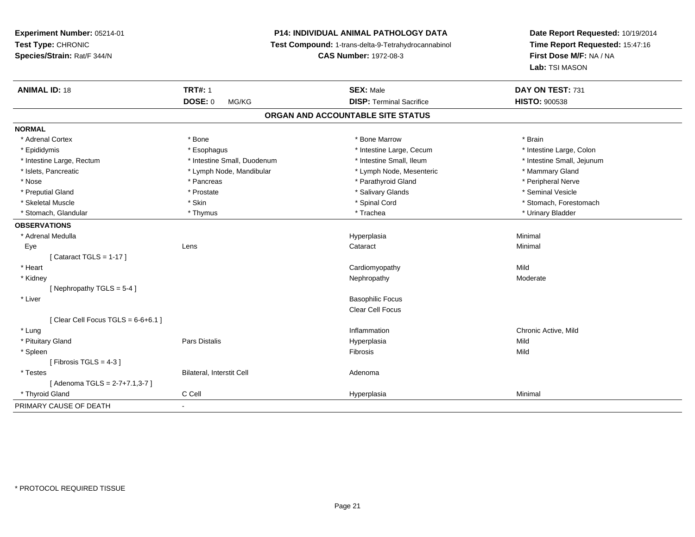## **P14: INDIVIDUAL ANIMAL PATHOLOGY DATA**

**Test Compound:** 1-trans-delta-9-Tetrahydrocannabinol

**CAS Number:** 1972-08-3

| <b>ANIMAL ID: 18</b>                 | <b>TRT#: 1</b>              | <b>SEX: Male</b>                  | DAY ON TEST: 731           |
|--------------------------------------|-----------------------------|-----------------------------------|----------------------------|
|                                      | <b>DOSE: 0</b><br>MG/KG     | <b>DISP: Terminal Sacrifice</b>   | <b>HISTO: 900538</b>       |
|                                      |                             | ORGAN AND ACCOUNTABLE SITE STATUS |                            |
| <b>NORMAL</b>                        |                             |                                   |                            |
| * Adrenal Cortex                     | * Bone                      | * Bone Marrow                     | * Brain                    |
| * Epididymis                         | * Esophagus                 | * Intestine Large, Cecum          | * Intestine Large, Colon   |
| * Intestine Large, Rectum            | * Intestine Small, Duodenum | * Intestine Small, Ileum          | * Intestine Small, Jejunum |
| * Islets, Pancreatic                 | * Lymph Node, Mandibular    | * Lymph Node, Mesenteric          | * Mammary Gland            |
| * Nose                               | * Pancreas                  | * Parathyroid Gland               | * Peripheral Nerve         |
| * Preputial Gland                    | * Prostate                  | * Salivary Glands                 | * Seminal Vesicle          |
| * Skeletal Muscle                    | * Skin                      | * Spinal Cord                     | * Stomach, Forestomach     |
| * Stomach, Glandular                 | * Thymus                    | * Trachea                         | * Urinary Bladder          |
| <b>OBSERVATIONS</b>                  |                             |                                   |                            |
| * Adrenal Medulla                    |                             | Hyperplasia                       | Minimal                    |
| Eye                                  | Lens                        | Cataract                          | Minimal                    |
| [Cataract TGLS = $1-17$ ]            |                             |                                   |                            |
| * Heart                              |                             | Cardiomyopathy                    | Mild                       |
| * Kidney                             |                             | Nephropathy                       | Moderate                   |
| [Nephropathy TGLS = 5-4]             |                             |                                   |                            |
| * Liver                              |                             | <b>Basophilic Focus</b>           |                            |
|                                      |                             | Clear Cell Focus                  |                            |
| [Clear Cell Focus TGLS = $6-6+6.1$ ] |                             |                                   |                            |
| * Lung                               |                             | Inflammation                      | Chronic Active, Mild       |
| * Pituitary Gland                    | Pars Distalis               | Hyperplasia                       | Mild                       |
| * Spleen                             |                             | Fibrosis                          | Mild                       |
| [ Fibrosis TGLS = $4-3$ ]            |                             |                                   |                            |
| * Testes                             | Bilateral, Interstit Cell   | Adenoma                           |                            |
| [Adenoma TGLS = 2-7+7.1,3-7]         |                             |                                   |                            |
| * Thyroid Gland                      | C Cell                      | Hyperplasia                       | Minimal                    |
| PRIMARY CAUSE OF DEATH               | $\blacksquare$              |                                   |                            |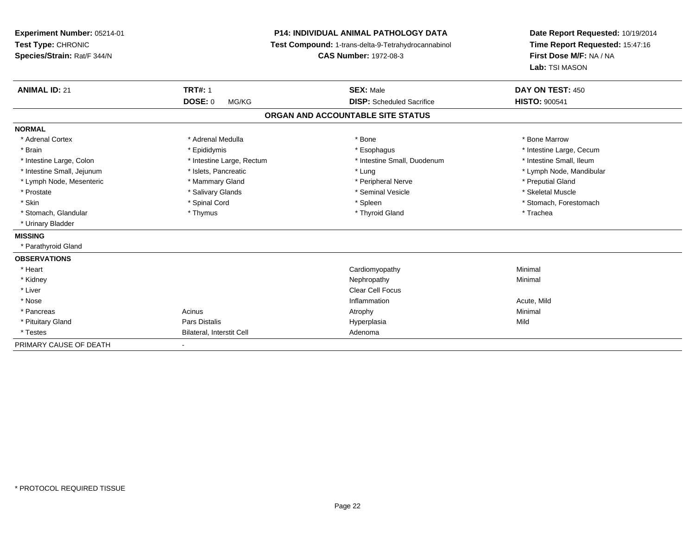| Experiment Number: 05214-01<br>Test Type: CHRONIC<br>Species/Strain: Rat/F 344/N | <b>P14: INDIVIDUAL ANIMAL PATHOLOGY DATA</b><br>Test Compound: 1-trans-delta-9-Tetrahydrocannabinol<br><b>CAS Number: 1972-08-3</b> |                                   | Date Report Requested: 10/19/2014<br>Time Report Requested: 15:47:16<br>First Dose M/F: NA / NA<br>Lab: TSI MASON |
|----------------------------------------------------------------------------------|-------------------------------------------------------------------------------------------------------------------------------------|-----------------------------------|-------------------------------------------------------------------------------------------------------------------|
| <b>ANIMAL ID: 21</b>                                                             | <b>TRT#: 1</b>                                                                                                                      | <b>SEX: Male</b>                  | DAY ON TEST: 450                                                                                                  |
|                                                                                  | <b>DOSE: 0</b><br>MG/KG                                                                                                             | <b>DISP:</b> Scheduled Sacrifice  | <b>HISTO: 900541</b>                                                                                              |
|                                                                                  |                                                                                                                                     | ORGAN AND ACCOUNTABLE SITE STATUS |                                                                                                                   |
| <b>NORMAL</b>                                                                    |                                                                                                                                     |                                   |                                                                                                                   |
| * Adrenal Cortex                                                                 | * Adrenal Medulla                                                                                                                   | * Bone                            | * Bone Marrow                                                                                                     |
| * Brain                                                                          | * Epididymis                                                                                                                        | * Esophagus                       | * Intestine Large, Cecum                                                                                          |
| * Intestine Large, Colon                                                         | * Intestine Large, Rectum                                                                                                           | * Intestine Small, Duodenum       | * Intestine Small, Ileum                                                                                          |
| * Intestine Small, Jejunum                                                       | * Islets, Pancreatic                                                                                                                | * Lung                            | * Lymph Node, Mandibular                                                                                          |
| * Lymph Node, Mesenteric                                                         | * Mammary Gland                                                                                                                     | * Peripheral Nerve                | * Preputial Gland                                                                                                 |
| * Prostate                                                                       | * Salivary Glands                                                                                                                   | * Seminal Vesicle                 | * Skeletal Muscle                                                                                                 |
| * Skin                                                                           | * Spinal Cord                                                                                                                       | * Spleen                          | * Stomach, Forestomach                                                                                            |
| * Stomach, Glandular                                                             | * Thymus                                                                                                                            | * Thyroid Gland                   | * Trachea                                                                                                         |
| * Urinary Bladder                                                                |                                                                                                                                     |                                   |                                                                                                                   |
| <b>MISSING</b>                                                                   |                                                                                                                                     |                                   |                                                                                                                   |
| * Parathyroid Gland                                                              |                                                                                                                                     |                                   |                                                                                                                   |
| <b>OBSERVATIONS</b>                                                              |                                                                                                                                     |                                   |                                                                                                                   |
| * Heart                                                                          |                                                                                                                                     | Cardiomyopathy                    | Minimal                                                                                                           |
| * Kidney                                                                         |                                                                                                                                     | Nephropathy                       | Minimal                                                                                                           |
| * Liver                                                                          |                                                                                                                                     | <b>Clear Cell Focus</b>           |                                                                                                                   |
| * Nose                                                                           |                                                                                                                                     | Inflammation                      | Acute, Mild                                                                                                       |
| * Pancreas                                                                       | Acinus                                                                                                                              | Atrophy                           | Minimal                                                                                                           |
| * Pituitary Gland                                                                | <b>Pars Distalis</b>                                                                                                                | Hyperplasia                       | Mild                                                                                                              |
| * Testes                                                                         | Bilateral, Interstit Cell                                                                                                           | Adenoma                           |                                                                                                                   |
| PRIMARY CAUSE OF DEATH                                                           |                                                                                                                                     |                                   |                                                                                                                   |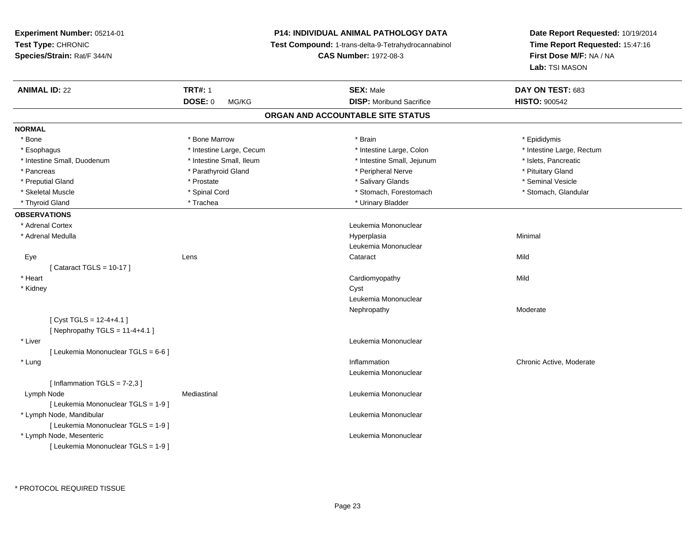**Experiment Number:** 05214-01**Test Type:** CHRONIC **Species/Strain:** Rat/F 344/N**P14: INDIVIDUAL ANIMAL PATHOLOGY DATA Test Compound:** 1-trans-delta-9-Tetrahydrocannabinol **CAS Number:** 1972-08-3**Date Report Requested:** 10/19/2014**Time Report Requested:** 15:47:16**First Dose M/F:** NA / NA**Lab:** TSI MASON**ANIMAL ID:** 22 **TRT#:** <sup>1</sup> **SEX:** Male **DAY ON TEST:** <sup>683</sup> **DOSE:** 0 MG/KG **DISP:** Moribund Sacrifice **HISTO:** <sup>900542</sup> **ORGAN AND ACCOUNTABLE SITE STATUSNORMAL**\* Bone \* Bone \* Bone Marrow \* Brain \* Epididymis \* Intestine Large, Rectum \* Esophagus \* Intestine Large, Cecum \* Intestine Large, Cecum \* Intestine Large, Colon \* Intestine Small, Duodenum \* Intestine Small, Ileum \* Intestine Small, Intestine Small, Jejunum \* Islets, Pancreatic \* Pancreas \* Parathyroid Gland \* \* Parathyroid Gland \* \* Peripheral Nerve \* \* Peripheral Nerve \* Pituitary Gland \* Seminal Vesicle \* Preputial Gland \* \* Annual vesicle \* \* Prostate \* \* Salivary Glands \* \* Salivary Glands \* \* Seminal Vesicle \* \* Stomach, Glandular \* Skeletal Muscle \* Spinal Cord \* Spinal Cord \* Stomach, Forestomach \* Stomach, Forestomach \* Thyroid Gland \* Trachea \* Trachea \* Trachea \* Thyroid Gland \* Urinary Bladder **OBSERVATIONS** \* Adrenal Cortex Leukemia Mononuclear \* Adrenal Medullaa and the control of the control of the control of the Hyperplasia and the control of the Minimal of the control of the control of the control of the control of the control of the control of the control of the control of t Leukemia Mononuclear Eyee the contract of the contract of the contract of the contract of the contract of the contract of the contract  $\mathsf{Mild}$ [ Cataract TGLS = 10-17 ] \* Heart Cardiomyopathyy Mild \* Kidneyy control of the control of the control of the control of the control of the control of the control of the control of the control of the control of the control of the control of the control of the control of the control of Leukemia MononuclearNephropathy Moderate $[$  Cyst TGLS = 12-4+4.1  $]$  $[$  Nephropathy TGLS = 11-4+4.1 ] \* Liver Leukemia Mononuclear [ Leukemia Mononuclear TGLS = 6-6 ] \* Lung Inflammation Chronic Active, Moderate Leukemia Mononuclear $[$  Inflammation TGLS = 7-2,3  $]$  Lymph NodeMediastinal **Mediastinal** Mononuclear **Leukemia Mononuclear** [ Leukemia Mononuclear TGLS = 1-9 ] \* Lymph Node, Mandibular Leukemia Mononuclear [ Leukemia Mononuclear TGLS = 1-9 ] \* Lymph Node, Mesenteric Leukemia Mononuclear [ Leukemia Mononuclear TGLS = 1-9 ]

\* PROTOCOL REQUIRED TISSUE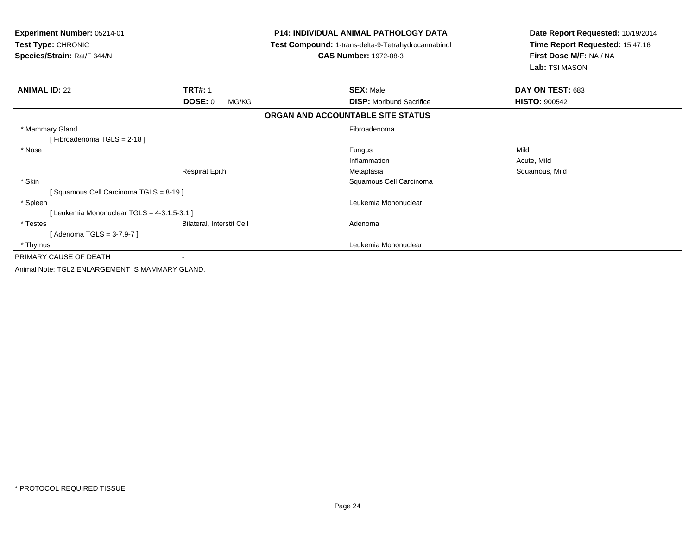| Experiment Number: 05214-01<br>Test Type: CHRONIC<br>Species/Strain: Rat/F 344/N |                           | <b>P14: INDIVIDUAL ANIMAL PATHOLOGY DATA</b><br>Test Compound: 1-trans-delta-9-Tetrahydrocannabinol<br><b>CAS Number: 1972-08-3</b> | Date Report Requested: 10/19/2014<br>Time Report Requested: 15:47:16<br>First Dose M/F: NA / NA<br>Lab: TSI MASON |  |
|----------------------------------------------------------------------------------|---------------------------|-------------------------------------------------------------------------------------------------------------------------------------|-------------------------------------------------------------------------------------------------------------------|--|
| <b>ANIMAL ID: 22</b>                                                             | <b>TRT#: 1</b>            | <b>SEX: Male</b>                                                                                                                    | DAY ON TEST: 683                                                                                                  |  |
|                                                                                  | DOSE: 0<br>MG/KG          | <b>DISP:</b> Moribund Sacrifice                                                                                                     | <b>HISTO: 900542</b>                                                                                              |  |
|                                                                                  |                           | ORGAN AND ACCOUNTABLE SITE STATUS                                                                                                   |                                                                                                                   |  |
| * Mammary Gland                                                                  |                           | Fibroadenoma                                                                                                                        |                                                                                                                   |  |
| [Fibroadenoma TGLS = $2-18$ ]                                                    |                           |                                                                                                                                     |                                                                                                                   |  |
| * Nose                                                                           |                           | Fungus                                                                                                                              | Mild                                                                                                              |  |
|                                                                                  |                           | Inflammation                                                                                                                        | Acute, Mild                                                                                                       |  |
|                                                                                  | <b>Respirat Epith</b>     | Metaplasia                                                                                                                          | Squamous, Mild                                                                                                    |  |
| * Skin                                                                           |                           | Squamous Cell Carcinoma                                                                                                             |                                                                                                                   |  |
| [Squamous Cell Carcinoma TGLS = 8-19]                                            |                           |                                                                                                                                     |                                                                                                                   |  |
| * Spleen                                                                         |                           | Leukemia Mononuclear                                                                                                                |                                                                                                                   |  |
| [ Leukemia Mononuclear TGLS = 4-3.1,5-3.1 ]                                      |                           |                                                                                                                                     |                                                                                                                   |  |
| * Testes                                                                         | Bilateral, Interstit Cell | Adenoma                                                                                                                             |                                                                                                                   |  |
| [ Adenoma TGLS = 3-7,9-7 ]                                                       |                           |                                                                                                                                     |                                                                                                                   |  |
| * Thymus                                                                         |                           | Leukemia Mononuclear                                                                                                                |                                                                                                                   |  |
| PRIMARY CAUSE OF DEATH                                                           |                           |                                                                                                                                     |                                                                                                                   |  |
| Animal Note: TGL2 ENLARGEMENT IS MAMMARY GLAND.                                  |                           |                                                                                                                                     |                                                                                                                   |  |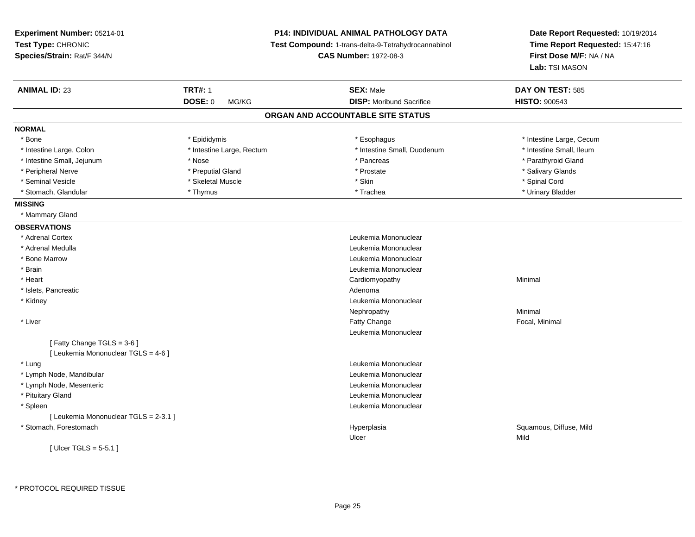| Experiment Number: 05214-01<br>Test Type: CHRONIC<br>Species/Strain: Rat/F 344/N |                           | <b>P14: INDIVIDUAL ANIMAL PATHOLOGY DATA</b><br>Test Compound: 1-trans-delta-9-Tetrahydrocannabinol<br><b>CAS Number: 1972-08-3</b> | Date Report Requested: 10/19/2014<br>Time Report Requested: 15:47:16<br>First Dose M/F: NA / NA |  |
|----------------------------------------------------------------------------------|---------------------------|-------------------------------------------------------------------------------------------------------------------------------------|-------------------------------------------------------------------------------------------------|--|
|                                                                                  |                           |                                                                                                                                     | Lab: TSI MASON                                                                                  |  |
| <b>ANIMAL ID: 23</b>                                                             | <b>TRT#: 1</b>            | <b>SEX: Male</b>                                                                                                                    | DAY ON TEST: 585                                                                                |  |
|                                                                                  | <b>DOSE: 0</b><br>MG/KG   | <b>DISP:</b> Moribund Sacrifice                                                                                                     | <b>HISTO: 900543</b>                                                                            |  |
|                                                                                  |                           | ORGAN AND ACCOUNTABLE SITE STATUS                                                                                                   |                                                                                                 |  |
| <b>NORMAL</b>                                                                    |                           |                                                                                                                                     |                                                                                                 |  |
| * Bone                                                                           | * Epididymis              | * Esophagus                                                                                                                         | * Intestine Large, Cecum                                                                        |  |
| * Intestine Large, Colon                                                         | * Intestine Large, Rectum | * Intestine Small, Duodenum                                                                                                         | * Intestine Small, Ileum                                                                        |  |
| * Intestine Small, Jejunum                                                       | * Nose                    | * Pancreas                                                                                                                          | * Parathyroid Gland                                                                             |  |
| * Peripheral Nerve                                                               | * Preputial Gland         | * Prostate                                                                                                                          | * Salivary Glands                                                                               |  |
| * Seminal Vesicle                                                                | * Skeletal Muscle         | * Skin                                                                                                                              | * Spinal Cord                                                                                   |  |
| * Stomach, Glandular                                                             | * Thymus                  | * Trachea                                                                                                                           | * Urinary Bladder                                                                               |  |
| <b>MISSING</b>                                                                   |                           |                                                                                                                                     |                                                                                                 |  |
| * Mammary Gland                                                                  |                           |                                                                                                                                     |                                                                                                 |  |
| <b>OBSERVATIONS</b>                                                              |                           |                                                                                                                                     |                                                                                                 |  |
| * Adrenal Cortex                                                                 |                           | Leukemia Mononuclear                                                                                                                |                                                                                                 |  |
| * Adrenal Medulla                                                                |                           | Leukemia Mononuclear                                                                                                                |                                                                                                 |  |
| * Bone Marrow                                                                    |                           | Leukemia Mononuclear                                                                                                                |                                                                                                 |  |
| * Brain                                                                          |                           | Leukemia Mononuclear                                                                                                                |                                                                                                 |  |
| * Heart                                                                          |                           | Cardiomyopathy                                                                                                                      | Minimal                                                                                         |  |
| * Islets, Pancreatic                                                             |                           | Adenoma                                                                                                                             |                                                                                                 |  |
| * Kidney                                                                         |                           | Leukemia Mononuclear                                                                                                                |                                                                                                 |  |
|                                                                                  |                           | Nephropathy                                                                                                                         | Minimal                                                                                         |  |
| * Liver                                                                          |                           | Fatty Change                                                                                                                        | Focal, Minimal                                                                                  |  |
|                                                                                  |                           | Leukemia Mononuclear                                                                                                                |                                                                                                 |  |
| [Fatty Change TGLS = 3-6]                                                        |                           |                                                                                                                                     |                                                                                                 |  |
| [ Leukemia Mononuclear TGLS = 4-6 ]                                              |                           |                                                                                                                                     |                                                                                                 |  |
| * Lung                                                                           |                           | Leukemia Mononuclear                                                                                                                |                                                                                                 |  |
| * Lymph Node, Mandibular                                                         |                           | Leukemia Mononuclear                                                                                                                |                                                                                                 |  |
| * Lymph Node, Mesenteric                                                         |                           | Leukemia Mononuclear                                                                                                                |                                                                                                 |  |
| * Pituitary Gland                                                                |                           | Leukemia Mononuclear                                                                                                                |                                                                                                 |  |
| * Spleen                                                                         |                           | Leukemia Mononuclear                                                                                                                |                                                                                                 |  |
| [ Leukemia Mononuclear TGLS = 2-3.1 ]                                            |                           |                                                                                                                                     |                                                                                                 |  |
| * Stomach, Forestomach                                                           |                           | Hyperplasia                                                                                                                         | Squamous, Diffuse, Mild                                                                         |  |
|                                                                                  |                           | Ulcer                                                                                                                               | Mild                                                                                            |  |
| [ Ulcer TGLS = $5-5.1$ ]                                                         |                           |                                                                                                                                     |                                                                                                 |  |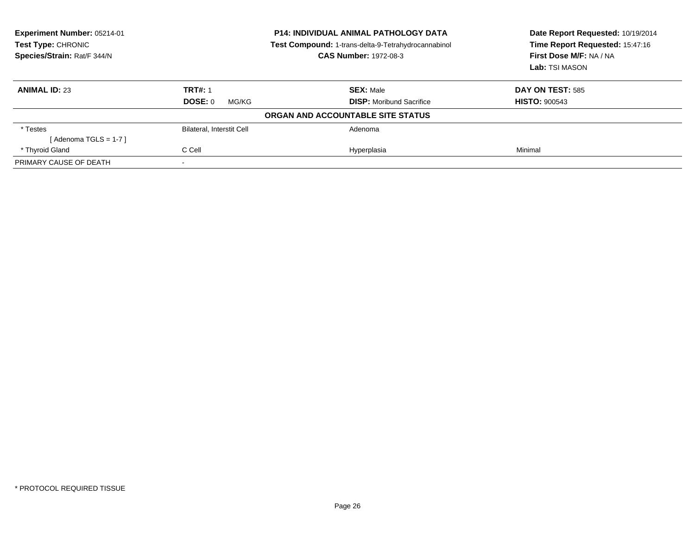| Experiment Number: 05214-01<br><b>Test Type: CHRONIC</b><br>Species/Strain: Rat/F 344/N | <b>P14: INDIVIDUAL ANIMAL PATHOLOGY DATA</b><br>Test Compound: 1-trans-delta-9-Tetrahydrocannabinol<br><b>CAS Number: 1972-08-3</b> |                                   | Date Report Requested: 10/19/2014<br>Time Report Requested: 15:47:16<br>First Dose M/F: NA / NA<br>Lab: TSI MASON |
|-----------------------------------------------------------------------------------------|-------------------------------------------------------------------------------------------------------------------------------------|-----------------------------------|-------------------------------------------------------------------------------------------------------------------|
| <b>ANIMAL ID: 23</b>                                                                    | <b>TRT#: 1</b>                                                                                                                      | <b>SEX: Male</b>                  | <b>DAY ON TEST: 585</b>                                                                                           |
|                                                                                         | DOSE: 0<br>MG/KG                                                                                                                    | <b>DISP:</b> Moribund Sacrifice   | <b>HISTO: 900543</b>                                                                                              |
|                                                                                         |                                                                                                                                     | ORGAN AND ACCOUNTABLE SITE STATUS |                                                                                                                   |
| * Testes                                                                                | Bilateral, Interstit Cell                                                                                                           | Adenoma                           |                                                                                                                   |
| [Adenoma TGLS = 1-7 ]                                                                   |                                                                                                                                     |                                   |                                                                                                                   |
| * Thyroid Gland                                                                         | C Cell                                                                                                                              | Hyperplasia                       | Minimal                                                                                                           |
| PRIMARY CAUSE OF DEATH                                                                  |                                                                                                                                     |                                   |                                                                                                                   |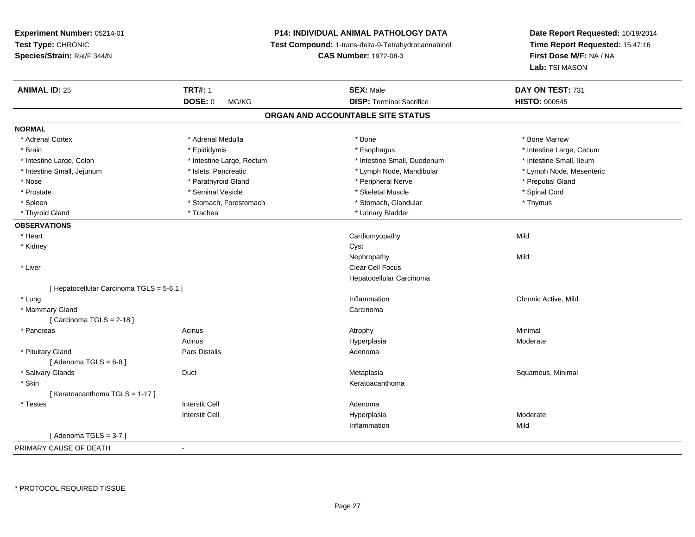**Experiment Number:** 05214-01**Test Type:** CHRONIC **Species/Strain:** Rat/F 344/N**P14: INDIVIDUAL ANIMAL PATHOLOGY DATA Test Compound:** 1-trans-delta-9-Tetrahydrocannabinol **CAS Number:** 1972-08-3**ANIMAL ID:** 25**TRT#:** 1 **SEX:** Male **DAY ON TEST:** 731 **DOSE:** 0 MG/KG**DISP:** Terminal Sacrifice **HISTO:**  $900545$ **ORGAN AND ACCOUNTABLE SITE STATUSNORMAL**\* Adrenal Cortex \* Adrenal Medulla \* Adrenal Medulla \* Bone \* Bone \* Bone \* Bone \* Bone Marrow \* Brain \* Explorer \* Epididymis \* \* Epididymis \* \* Esophagus \* Esophagus \* \* Esophagus \* Intestine Large, Cecum \* \* Intestine Large, Cecum \* Intestine Small. Ileum \* Intestine Large, Colon \* Intestine Large, Rectum \* Intestine Small, Duodenum \* Intestine Small, Duodenum \* Lymph Node, Mesenteric \* Intestine Small, Jejunum \* Mandibular \* Islets, Pancreatic \* Mandibular \* Lymph Node, Mandibular \* Nose \* Parathyroid Gland \* Peripheral Nerve \* Preputial Gland \* Prostate \* \* Seminal Vesicle \* \* Seminal Vesicle \* \* Skeletal Muscle \* \* Skeletal Muscle \* \* Spinal Cord \* Spinal Cord \* \* Spinal Cord \* \* Spinal Cord \* \* Spinal Cord \* \* Spinal Cord \* \* Spinal Cord \* \* Spinal Cord \* \* S \* Spleen \* Stomach, Forestomach \* Stomach \* Stomach, Glandular \* Thymus \* Thymus \* Thyroid Gland \* Trachea \* Trachea \* Trachea \* Urinary Bladder **OBSERVATIONS** \* Heart Cardiomyopathyy Mild \* Kidneyy control of the control of the control of the control of the control of the control of the control of the control of the control of the control of the control of the control of the control of the control of the control of Nephropathyy Mild \* Liver Clear Cell Focus Hepatocellular Carcinoma[ Hepatocellular Carcinoma TGLS = 5-6.1 ] \* Lung \* Mammary Glandd<sub>d</sub> Carcinoma  $[$  Carcinoma TGLS = 2-18  $]$  \* PancreasAcinusHyperplasia

g is a controller to the controller of the controller of the controller of the controller of the chronic Active, Mild s the control of the control of the control of the control of the control of the control of the control of the control of the control of the control of the control of the control of the control of the control of the contro Moderate \* Pituitary Glandd and the contract of Pars Distalis and the contract of Adenoma and Adenoma and the Adenoma and the Adenoma and  $\lambda$  $[$  Adenoma TGLS =  $6-8$ ] \* Salivary Glands Duct MetaplasiaMetaplasia **Mataplasia** et al. et al. et al. et al. et al. et al. et al. et al. et al. et al. et al. et al. et a \* Skinn anns an t-ainmeile anns an t-ainmeile anns an t-ainmeile anns an t-ainmeile anns an t-ainmeile anns an t-ainm [ Keratoacanthoma TGLS = 1-17 ] \* Testes Interstit Cell AdenomaI **Hyperplasia** Interstit CellModerate<br>Mild Inflammationn Mild  $[$  Adenoma TGLS = 3-7  $]$ 

**Date Report Requested:** 10/19/2014**Time Report Requested:** 15:47:16

**First Dose M/F:** NA / NA

**Lab:** TSI MASON

PRIMARY CAUSE OF DEATH-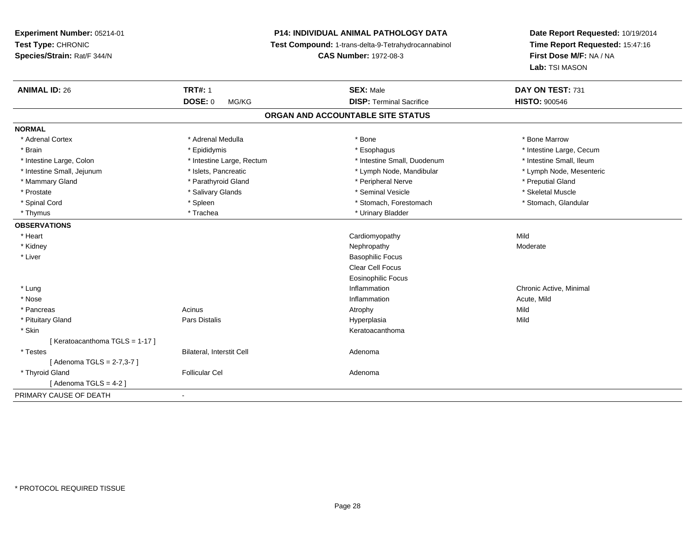## **P14: INDIVIDUAL ANIMAL PATHOLOGY DATA**

**Test Compound:** 1-trans-delta-9-Tetrahydrocannabinol

**CAS Number:** 1972-08-3

| <b>ANIMAL ID: 26</b>          | <b>TRT#: 1</b>            | <b>SEX: Male</b>                  | DAY ON TEST: 731         |  |
|-------------------------------|---------------------------|-----------------------------------|--------------------------|--|
|                               | <b>DOSE: 0</b><br>MG/KG   | <b>DISP: Terminal Sacrifice</b>   | <b>HISTO: 900546</b>     |  |
|                               |                           | ORGAN AND ACCOUNTABLE SITE STATUS |                          |  |
| <b>NORMAL</b>                 |                           |                                   |                          |  |
| * Adrenal Cortex              | * Adrenal Medulla         | * Bone                            | * Bone Marrow            |  |
| * Brain                       | * Epididymis              | * Esophagus                       | * Intestine Large, Cecum |  |
| * Intestine Large, Colon      | * Intestine Large, Rectum | * Intestine Small, Duodenum       | * Intestine Small, Ileum |  |
| * Intestine Small, Jejunum    | * Islets, Pancreatic      | * Lymph Node, Mandibular          | * Lymph Node, Mesenteric |  |
| * Mammary Gland               | * Parathyroid Gland       | * Peripheral Nerve                | * Preputial Gland        |  |
| * Prostate                    | * Salivary Glands         | * Seminal Vesicle                 | * Skeletal Muscle        |  |
| * Spinal Cord                 | * Spleen                  | * Stomach, Forestomach            | * Stomach, Glandular     |  |
| * Thymus                      | * Trachea                 | * Urinary Bladder                 |                          |  |
| <b>OBSERVATIONS</b>           |                           |                                   |                          |  |
| * Heart                       |                           | Cardiomyopathy                    | Mild                     |  |
| * Kidney                      |                           | Nephropathy                       | Moderate                 |  |
| * Liver                       |                           | <b>Basophilic Focus</b>           |                          |  |
|                               |                           | Clear Cell Focus                  |                          |  |
|                               |                           | <b>Eosinophilic Focus</b>         |                          |  |
| * Lung                        |                           | Inflammation                      | Chronic Active, Minimal  |  |
| * Nose                        |                           | Inflammation                      | Acute, Mild              |  |
| * Pancreas                    | Acinus                    | Atrophy                           | Mild                     |  |
| * Pituitary Gland             | <b>Pars Distalis</b>      | Hyperplasia                       | Mild                     |  |
| * Skin                        |                           | Keratoacanthoma                   |                          |  |
| [Keratoacanthoma TGLS = 1-17] |                           |                                   |                          |  |
| * Testes                      | Bilateral, Interstit Cell | Adenoma                           |                          |  |
| [Adenoma TGLS = 2-7,3-7]      |                           |                                   |                          |  |
| * Thyroid Gland               | <b>Follicular Cel</b>     | Adenoma                           |                          |  |
| [Adenoma TGLS = 4-2]          |                           |                                   |                          |  |
| PRIMARY CAUSE OF DEATH        | $\blacksquare$            |                                   |                          |  |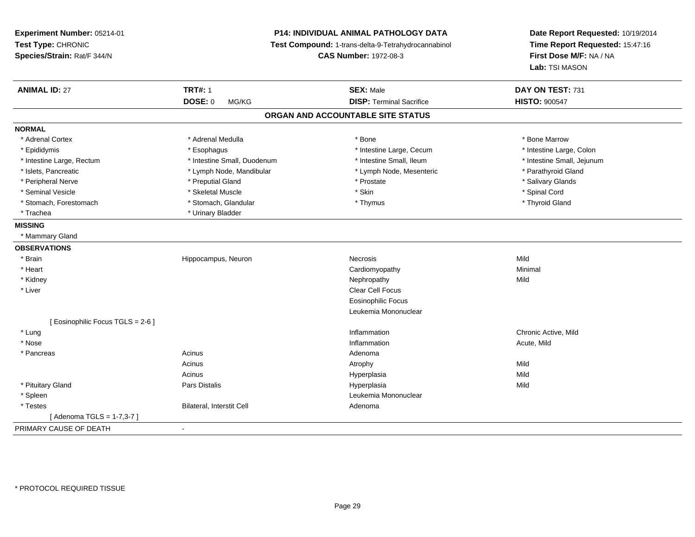**Experiment Number:** 05214-01**Test Type:** CHRONIC **Species/Strain:** Rat/F 344/N**P14: INDIVIDUAL ANIMAL PATHOLOGY DATA Test Compound:** 1-trans-delta-9-Tetrahydrocannabinol **CAS Number:** 1972-08-3**Date Report Requested:** 10/19/2014**Time Report Requested:** 15:47:16**First Dose M/F:** NA / NA**Lab:** TSI MASON**ANIMAL ID:** 27**TRT#:** 1 **SEX:** Male **DAY ON TEST:** 731 **DOSE:** 0 MG/KG **DISP:** Terminal Sacrifice **HISTO:** <sup>900547</sup> **ORGAN AND ACCOUNTABLE SITE STATUSNORMAL**\* Adrenal Cortex \* Adrenal Medulla \* Adrenal Medulla \* Bone \* Bone \* Bone \* Bone \* Bone Marrow \* Intestine Large, Colon \* Epididymis \* Esophagus \* Esophagus \* Esophagus \* 11testine Large, Cecum \* Intestine Large, Rectum \* Thestine Small, Duodenum \* Number of the small, Ileum \* Intestine Small, Jejunum \* Intestine Small, Jejunum \* Islets, Pancreatic \* The same of the Lymph Node, Mandibular \* Lymph Node, Mesenteric \* Parathyroid Gland \* Peripheral Nerve \* \* \* Preputial Gland \* \* Preputial Gland \* \* Prostate \* \* Salivary Glands \* Salivary Glands \* Seminal Vesicle \* \* Spinal Cord \* Skeletal Muscle \* \* Skin \* \* Skin \* \* Spinal Vesicle \* Spinal Cord \* Spinal Cord \* Thyroid Gland \* Stomach, Forestomach \* Thymus \* Stomach, Glandular \* Thymus \* Thymus \* Thymus \* Thymus \* Thymus \* Thymus \* Thymus \* Thymus \* Thymus \* Thymus \* Thymus \* Thymus \* Thymus \* Thymus \* Thymus \* Thymus \* Thymus \* Thymus \* Thymu \* Trachea \* Urinary Bladder**MISSING** \* Mammary Gland**OBSERVATIONS** \* Brainn and the Hippocampus, Neuron and the Necrosis Necrosis and the Mild Mild Mild and Mild Street and Mild Street \* Heart Cardiomyopathy Minimal \* Kidneyy the controller of the controller of the controller of the controller of the controller of the controller of the controller of the controller of the controller of the controller of the controller of the controller of the \* Liverr and the contract of the contract of the contract of the contract of the contract of the contract of the contract of the contract of the contract of the contract of the contract of the contract of the contract of the cont Eosinophilic Focus Leukemia Mononuclear[ Eosinophilic Focus TGLS = 2-6 ] \* Lung Inflammation Chronic Active, Mild \* Nosee the contraction of the contraction of the contraction of the contraction of the contraction of the contraction  $\mathsf{Acute},\mathsf{Mild}$  \* Pancreass the contract of the contract of the contract of the contract of the contract of the contract of the contract of the contract of the contract of the contract of the contract of the contract of the contract of the contract Acinuss and the contract of the contract of the contract of the contract of the contract of the contract of the contract of  $\mathsf{A}$ **Mild** Acinus Hyperplasiaa Mild \* Pituitary Gland Pars Distalis Hyperplasia Mild \* SpleenLeukemia Mononuclear<br>Adenoma \* TestesBilateral, Interstit Cell [ Adenoma TGLS = 1-7,3-7 ]PRIMARY CAUSE OF DEATH-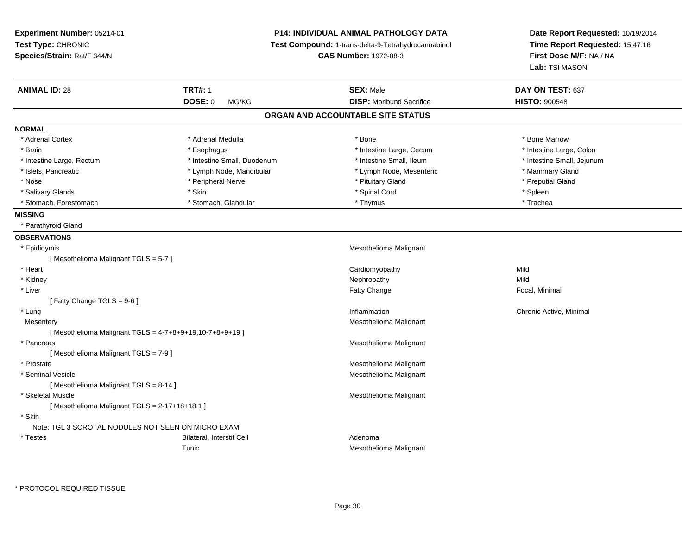| Experiment Number: 05214-01<br>Test Type: CHRONIC<br>Time Report Requested: 15:47:16<br>Test Compound: 1-trans-delta-9-Tetrahydrocannabinol<br>Species/Strain: Rat/F 344/N<br><b>CAS Number: 1972-08-3</b><br>First Dose M/F: NA / NA<br>Lab: TSI MASON<br><b>TRT#: 1</b><br><b>ANIMAL ID: 28</b><br><b>SEX: Male</b><br>DAY ON TEST: 637<br><b>DOSE: 0</b><br><b>DISP:</b> Moribund Sacrifice<br><b>HISTO: 900548</b><br>MG/KG<br>ORGAN AND ACCOUNTABLE SITE STATUS<br><b>NORMAL</b><br>* Adrenal Cortex<br>* Adrenal Medulla<br>* Bone<br>* Bone Marrow<br>* Intestine Large, Cecum<br>* Intestine Large, Colon<br>* Brain<br>* Esophagus<br>* Intestine Small, Duodenum<br>* Intestine Small, Ileum<br>* Intestine Small, Jejunum<br>* Intestine Large, Rectum<br>* Islets, Pancreatic<br>* Lymph Node, Mandibular<br>* Lymph Node, Mesenteric<br>* Mammary Gland<br>* Nose<br>* Peripheral Nerve<br>* Pituitary Gland<br>* Preputial Gland<br>* Spinal Cord<br>* Salivary Glands<br>* Skin<br>* Spleen<br>* Stomach, Forestomach<br>* Thymus<br>* Trachea<br>* Stomach, Glandular<br><b>MISSING</b><br>* Parathyroid Gland<br><b>OBSERVATIONS</b> | Date Report Requested: 10/19/2014 |  |
|-------------------------------------------------------------------------------------------------------------------------------------------------------------------------------------------------------------------------------------------------------------------------------------------------------------------------------------------------------------------------------------------------------------------------------------------------------------------------------------------------------------------------------------------------------------------------------------------------------------------------------------------------------------------------------------------------------------------------------------------------------------------------------------------------------------------------------------------------------------------------------------------------------------------------------------------------------------------------------------------------------------------------------------------------------------------------------------------------------------------------------------------------------|-----------------------------------|--|
|                                                                                                                                                                                                                                                                                                                                                                                                                                                                                                                                                                                                                                                                                                                                                                                                                                                                                                                                                                                                                                                                                                                                                       |                                   |  |
|                                                                                                                                                                                                                                                                                                                                                                                                                                                                                                                                                                                                                                                                                                                                                                                                                                                                                                                                                                                                                                                                                                                                                       |                                   |  |
|                                                                                                                                                                                                                                                                                                                                                                                                                                                                                                                                                                                                                                                                                                                                                                                                                                                                                                                                                                                                                                                                                                                                                       |                                   |  |
|                                                                                                                                                                                                                                                                                                                                                                                                                                                                                                                                                                                                                                                                                                                                                                                                                                                                                                                                                                                                                                                                                                                                                       |                                   |  |
|                                                                                                                                                                                                                                                                                                                                                                                                                                                                                                                                                                                                                                                                                                                                                                                                                                                                                                                                                                                                                                                                                                                                                       |                                   |  |
|                                                                                                                                                                                                                                                                                                                                                                                                                                                                                                                                                                                                                                                                                                                                                                                                                                                                                                                                                                                                                                                                                                                                                       |                                   |  |
|                                                                                                                                                                                                                                                                                                                                                                                                                                                                                                                                                                                                                                                                                                                                                                                                                                                                                                                                                                                                                                                                                                                                                       |                                   |  |
|                                                                                                                                                                                                                                                                                                                                                                                                                                                                                                                                                                                                                                                                                                                                                                                                                                                                                                                                                                                                                                                                                                                                                       |                                   |  |
|                                                                                                                                                                                                                                                                                                                                                                                                                                                                                                                                                                                                                                                                                                                                                                                                                                                                                                                                                                                                                                                                                                                                                       |                                   |  |
|                                                                                                                                                                                                                                                                                                                                                                                                                                                                                                                                                                                                                                                                                                                                                                                                                                                                                                                                                                                                                                                                                                                                                       |                                   |  |
|                                                                                                                                                                                                                                                                                                                                                                                                                                                                                                                                                                                                                                                                                                                                                                                                                                                                                                                                                                                                                                                                                                                                                       |                                   |  |
|                                                                                                                                                                                                                                                                                                                                                                                                                                                                                                                                                                                                                                                                                                                                                                                                                                                                                                                                                                                                                                                                                                                                                       |                                   |  |
|                                                                                                                                                                                                                                                                                                                                                                                                                                                                                                                                                                                                                                                                                                                                                                                                                                                                                                                                                                                                                                                                                                                                                       |                                   |  |
|                                                                                                                                                                                                                                                                                                                                                                                                                                                                                                                                                                                                                                                                                                                                                                                                                                                                                                                                                                                                                                                                                                                                                       |                                   |  |
|                                                                                                                                                                                                                                                                                                                                                                                                                                                                                                                                                                                                                                                                                                                                                                                                                                                                                                                                                                                                                                                                                                                                                       |                                   |  |
|                                                                                                                                                                                                                                                                                                                                                                                                                                                                                                                                                                                                                                                                                                                                                                                                                                                                                                                                                                                                                                                                                                                                                       |                                   |  |
|                                                                                                                                                                                                                                                                                                                                                                                                                                                                                                                                                                                                                                                                                                                                                                                                                                                                                                                                                                                                                                                                                                                                                       |                                   |  |
| Mesothelioma Malignant<br>* Epididymis                                                                                                                                                                                                                                                                                                                                                                                                                                                                                                                                                                                                                                                                                                                                                                                                                                                                                                                                                                                                                                                                                                                |                                   |  |
| [Mesothelioma Malignant TGLS = 5-7]                                                                                                                                                                                                                                                                                                                                                                                                                                                                                                                                                                                                                                                                                                                                                                                                                                                                                                                                                                                                                                                                                                                   |                                   |  |
| * Heart<br>Cardiomyopathy<br>Mild                                                                                                                                                                                                                                                                                                                                                                                                                                                                                                                                                                                                                                                                                                                                                                                                                                                                                                                                                                                                                                                                                                                     |                                   |  |
| * Kidney<br>Nephropathy<br>Mild                                                                                                                                                                                                                                                                                                                                                                                                                                                                                                                                                                                                                                                                                                                                                                                                                                                                                                                                                                                                                                                                                                                       |                                   |  |
| * Liver<br>Fatty Change<br>Focal, Minimal                                                                                                                                                                                                                                                                                                                                                                                                                                                                                                                                                                                                                                                                                                                                                                                                                                                                                                                                                                                                                                                                                                             |                                   |  |
| [ Fatty Change TGLS = $9-6$ ]                                                                                                                                                                                                                                                                                                                                                                                                                                                                                                                                                                                                                                                                                                                                                                                                                                                                                                                                                                                                                                                                                                                         |                                   |  |
| * Lung<br>Inflammation<br>Chronic Active, Minimal                                                                                                                                                                                                                                                                                                                                                                                                                                                                                                                                                                                                                                                                                                                                                                                                                                                                                                                                                                                                                                                                                                     |                                   |  |
| Mesothelioma Malignant<br>Mesentery                                                                                                                                                                                                                                                                                                                                                                                                                                                                                                                                                                                                                                                                                                                                                                                                                                                                                                                                                                                                                                                                                                                   |                                   |  |
| [Mesothelioma Malignant TGLS = 4-7+8+9+19,10-7+8+9+19]                                                                                                                                                                                                                                                                                                                                                                                                                                                                                                                                                                                                                                                                                                                                                                                                                                                                                                                                                                                                                                                                                                |                                   |  |
| Mesothelioma Malignant<br>* Pancreas                                                                                                                                                                                                                                                                                                                                                                                                                                                                                                                                                                                                                                                                                                                                                                                                                                                                                                                                                                                                                                                                                                                  |                                   |  |
| [Mesothelioma Malignant TGLS = 7-9]                                                                                                                                                                                                                                                                                                                                                                                                                                                                                                                                                                                                                                                                                                                                                                                                                                                                                                                                                                                                                                                                                                                   |                                   |  |
| * Prostate<br>Mesothelioma Malignant                                                                                                                                                                                                                                                                                                                                                                                                                                                                                                                                                                                                                                                                                                                                                                                                                                                                                                                                                                                                                                                                                                                  |                                   |  |
| * Seminal Vesicle<br>Mesothelioma Malignant                                                                                                                                                                                                                                                                                                                                                                                                                                                                                                                                                                                                                                                                                                                                                                                                                                                                                                                                                                                                                                                                                                           |                                   |  |
| [Mesothelioma Malignant TGLS = 8-14]                                                                                                                                                                                                                                                                                                                                                                                                                                                                                                                                                                                                                                                                                                                                                                                                                                                                                                                                                                                                                                                                                                                  |                                   |  |
| * Skeletal Muscle<br>Mesothelioma Malignant                                                                                                                                                                                                                                                                                                                                                                                                                                                                                                                                                                                                                                                                                                                                                                                                                                                                                                                                                                                                                                                                                                           |                                   |  |
| [Mesothelioma Malignant TGLS = 2-17+18+18.1]                                                                                                                                                                                                                                                                                                                                                                                                                                                                                                                                                                                                                                                                                                                                                                                                                                                                                                                                                                                                                                                                                                          |                                   |  |
| * Skin                                                                                                                                                                                                                                                                                                                                                                                                                                                                                                                                                                                                                                                                                                                                                                                                                                                                                                                                                                                                                                                                                                                                                |                                   |  |
| Note: TGL 3 SCROTAL NODULES NOT SEEN ON MICRO EXAM                                                                                                                                                                                                                                                                                                                                                                                                                                                                                                                                                                                                                                                                                                                                                                                                                                                                                                                                                                                                                                                                                                    |                                   |  |
| * Testes<br>Bilateral, Interstit Cell<br>Adenoma                                                                                                                                                                                                                                                                                                                                                                                                                                                                                                                                                                                                                                                                                                                                                                                                                                                                                                                                                                                                                                                                                                      |                                   |  |
| Tunic<br>Mesothelioma Malignant                                                                                                                                                                                                                                                                                                                                                                                                                                                                                                                                                                                                                                                                                                                                                                                                                                                                                                                                                                                                                                                                                                                       |                                   |  |

\* PROTOCOL REQUIRED TISSUE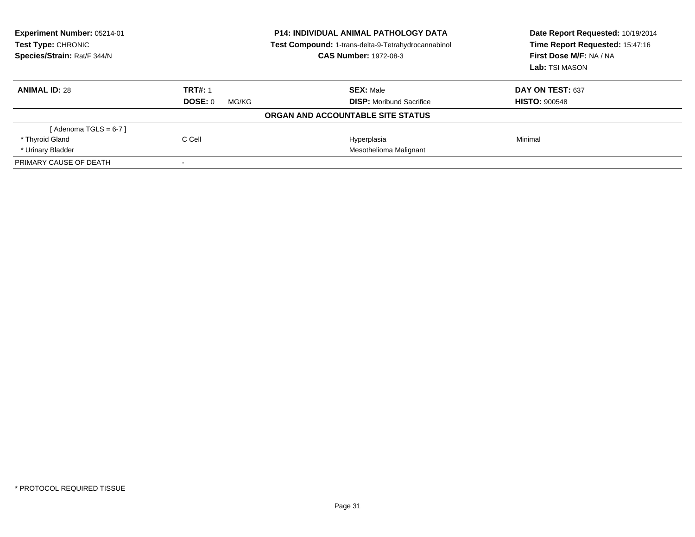| <b>Experiment Number: 05214-01</b><br>Test Type: CHRONIC<br>Species/Strain: Rat/F 344/N |                  | <b>P14: INDIVIDUAL ANIMAL PATHOLOGY DATA</b><br>Test Compound: 1-trans-delta-9-Tetrahydrocannabinol<br><b>CAS Number: 1972-08-3</b> | Date Report Requested: 10/19/2014<br>Time Report Requested: 15:47:16<br>First Dose M/F: NA / NA<br>Lab: TSI MASON |
|-----------------------------------------------------------------------------------------|------------------|-------------------------------------------------------------------------------------------------------------------------------------|-------------------------------------------------------------------------------------------------------------------|
| <b>ANIMAL ID: 28</b>                                                                    | <b>TRT#: 1</b>   | <b>SEX: Male</b>                                                                                                                    | DAY ON TEST: 637                                                                                                  |
|                                                                                         | DOSE: 0<br>MG/KG | <b>DISP:</b> Moribund Sacrifice                                                                                                     | <b>HISTO: 900548</b>                                                                                              |
|                                                                                         |                  | ORGAN AND ACCOUNTABLE SITE STATUS                                                                                                   |                                                                                                                   |
| [Adenoma TGLS = $6-7$ ]                                                                 |                  |                                                                                                                                     |                                                                                                                   |
| * Thyroid Gland                                                                         | C Cell           | Hyperplasia                                                                                                                         | Minimal                                                                                                           |
| * Urinary Bladder                                                                       |                  | Mesothelioma Malignant                                                                                                              |                                                                                                                   |
| PRIMARY CAUSE OF DEATH                                                                  | $\sim$           |                                                                                                                                     |                                                                                                                   |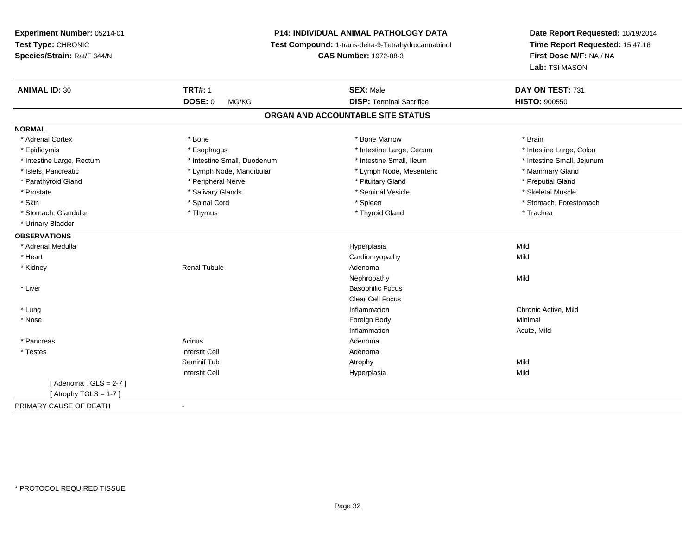## **P14: INDIVIDUAL ANIMAL PATHOLOGY DATA**

**Test Compound:** 1-trans-delta-9-Tetrahydrocannabinol

**CAS Number:** 1972-08-3

| <b>ANIMAL ID: 30</b>              | <b>TRT#: 1</b>              | <b>SEX: Male</b>                | DAY ON TEST: 731           |  |  |
|-----------------------------------|-----------------------------|---------------------------------|----------------------------|--|--|
|                                   | <b>DOSE: 0</b><br>MG/KG     | <b>DISP: Terminal Sacrifice</b> | <b>HISTO: 900550</b>       |  |  |
| ORGAN AND ACCOUNTABLE SITE STATUS |                             |                                 |                            |  |  |
| <b>NORMAL</b>                     |                             |                                 |                            |  |  |
| * Adrenal Cortex                  | * Bone                      | * Bone Marrow                   | * Brain                    |  |  |
| * Epididymis                      | * Esophagus                 | * Intestine Large, Cecum        | * Intestine Large, Colon   |  |  |
| * Intestine Large, Rectum         | * Intestine Small, Duodenum | * Intestine Small, Ileum        | * Intestine Small, Jejunum |  |  |
| * Islets, Pancreatic              | * Lymph Node, Mandibular    | * Lymph Node, Mesenteric        | * Mammary Gland            |  |  |
| * Parathyroid Gland               | * Peripheral Nerve          | * Pituitary Gland               | * Preputial Gland          |  |  |
| * Prostate                        | * Salivary Glands           | * Seminal Vesicle               | * Skeletal Muscle          |  |  |
| * Skin                            | * Spinal Cord               | * Spleen                        | * Stomach, Forestomach     |  |  |
| * Stomach, Glandular              | * Thymus                    | * Thyroid Gland                 | * Trachea                  |  |  |
| * Urinary Bladder                 |                             |                                 |                            |  |  |
| <b>OBSERVATIONS</b>               |                             |                                 |                            |  |  |
| * Adrenal Medulla                 |                             | Hyperplasia                     | Mild                       |  |  |
| * Heart                           |                             | Cardiomyopathy                  | Mild                       |  |  |
| * Kidney                          | <b>Renal Tubule</b>         | Adenoma                         |                            |  |  |
|                                   |                             | Nephropathy                     | Mild                       |  |  |
| * Liver                           |                             | <b>Basophilic Focus</b>         |                            |  |  |
|                                   |                             | Clear Cell Focus                |                            |  |  |
| * Lung                            |                             | Inflammation                    | Chronic Active, Mild       |  |  |
| * Nose                            |                             | Foreign Body                    | Minimal                    |  |  |
|                                   |                             | Inflammation                    | Acute, Mild                |  |  |
| * Pancreas                        | Acinus                      | Adenoma                         |                            |  |  |
| * Testes                          | <b>Interstit Cell</b>       | Adenoma                         |                            |  |  |
|                                   | Seminif Tub                 | Atrophy                         | Mild                       |  |  |
|                                   | <b>Interstit Cell</b>       | Hyperplasia                     | Mild                       |  |  |
| [Adenoma TGLS = $2-7$ ]           |                             |                                 |                            |  |  |
| [Atrophy TGLS = $1-7$ ]           |                             |                                 |                            |  |  |
| PRIMARY CAUSE OF DEATH            | $\sim$                      |                                 |                            |  |  |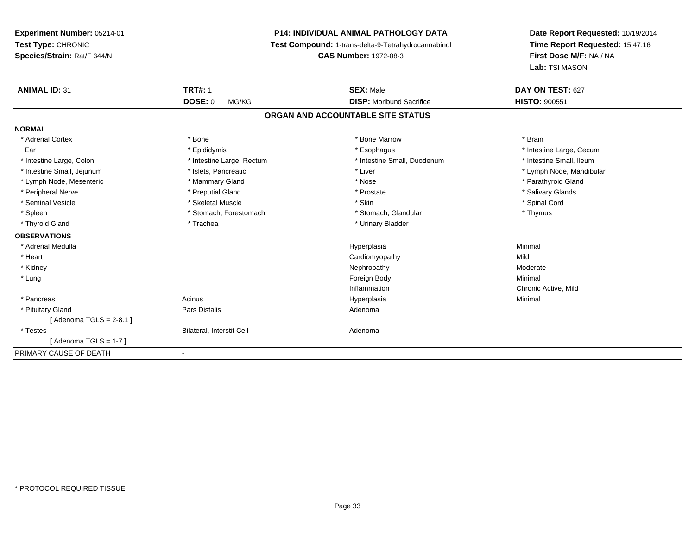**Experiment Number:** 05214-01**Test Type:** CHRONIC **Species/Strain:** Rat/F 344/N**P14: INDIVIDUAL ANIMAL PATHOLOGY DATA Test Compound:** 1-trans-delta-9-Tetrahydrocannabinol **CAS Number:** 1972-08-3**Date Report Requested:** 10/19/2014**Time Report Requested:** 15:47:16**First Dose M/F:** NA / NA**Lab:** TSI MASON**ANIMAL ID:** 31**TRT#:** 1 **SEX:** Male **DAY ON TEST:** 627 **DOSE:** 0 MG/KG **DISP:** Moribund Sacrifice **HISTO:** <sup>900551</sup> **ORGAN AND ACCOUNTABLE SITE STATUSNORMAL**\* Adrenal Cortex \* \* The matter of the state of the Marrow \* Bone Marrow \* Bone Marrow \* The matter of the Marrow \* Brain \* Brain \* Brain \* Brain \* Brain \* Brain \* Brain \* Brain \* Brain \* Brain \* Brain \* Brain \* Brain \* Br Ear \* Epididymis \* Esophagus \* Intestine Large, Cecum\* Intestine Small, Ileum \* Intestine Large, Colon \* Intestine Large, Rectum \* Intestine Small, Duodenum \* Intestine Small, Duodenum \* Intestine Small, Jejunum \* \* et \* \* http://www.fat.com/mandibulary.com/mandibulary/state/state/state/state/state/state/state/state/state/state/state/state/state/state/state/state/state/state/state/state/state/state/state \* Lymph Node, Mesenteric \* \* Mammary Gland \* Mammary Gland \* Nose \* Nose \* \* Nose \* \* Parathyroid Gland \* Parathyroid Gland \* Peripheral Nerve \* \* \* Preputial Gland \* \* Preputial Gland \* \* Prostate \* \* Salivary Glands \* Salivary Glands \* Seminal Vesicle \* \* Spinal Cord \* Skeletal Muscle \* \* Skin \* \* Skin \* \* Spinal Vesicle \* Spinal Cord \* Spinal Cord \* Spleen \* Stomach, Forestomach \* Stomach \* Stomach, Glandular \* Stomach, Glandular \* Thymus \* Thyroid Gland \* Trachea \* Trachea \* Trachea \* Urinary Bladder **OBSERVATIONS** \* Adrenal Medullaa and the control of the control of the control of the Hyperplasia and the control of the Minimal of the control of the control of the control of the control of the control of the control of the control of the control of t \* Heart Cardiomyopathyy Mild Moderate \* Kidneyy which is a state of the control of the Moderate of the Moderate of the Moderate of the Moderate of the Moderate of the Moderate of the Moderate of the Moderate of the Moderate of the Moderate of the Moderate of the Moder \* Lungg and the state of the state of the state of the state of the state of the state of the state of the state of the state of the state of the state of the state of the state of the state of the state of the state of the stat Inflammation Chronic Active, Mild \* Pancreas Acinus Hyperplasiaa and a studies of the studies of the Minimal \* Pituitary Glandd and the contract of Pars Distalis and the contract of Adenoma and Adenoma and the Adenoma and the Adenoma and  $\alpha$ [ Adenoma TGLS = 2-8.1 ] \* TestesBilateral, Interstit Cell **Adenoma** Adenoma  $[$  Adenoma TGLS = 1-7  $]$ PRIMARY CAUSE OF DEATH-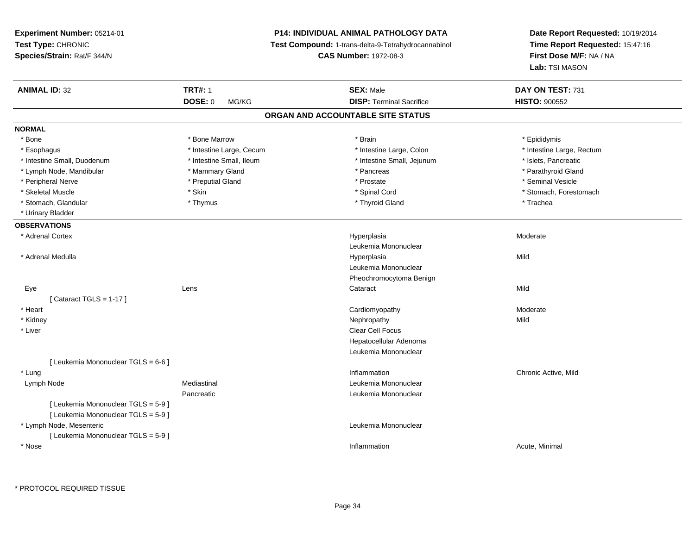**Experiment Number:** 05214-01**Test Type:** CHRONIC **Species/Strain:** Rat/F 344/N**P14: INDIVIDUAL ANIMAL PATHOLOGY DATA Test Compound:** 1-trans-delta-9-Tetrahydrocannabinol **CAS Number:** 1972-08-3**Date Report Requested:** 10/19/2014**Time Report Requested:** 15:47:16**First Dose M/F:** NA / NA**Lab:** TSI MASON**ANIMAL ID:** 32**TRT#:** 1 **SEX:** Male **DAY ON TEST:** 731 **DOSE:** 0 MG/KG **DISP:** Terminal Sacrifice **HISTO:** <sup>900552</sup> **ORGAN AND ACCOUNTABLE SITE STATUSNORMAL**\* Bone \* Bone \* Bone Marrow \* Brain \* Epididymis \* Esophagus \* Thestine Large, Cecum \* Intestine Large, Cecum \* Intestine Large, Colon \* Intestine Large, Rectum \* Intestine Small, Duodenum \* Intestine Small, Ileum \* Intestine Small, Jejunum \* Islets, Pancreatic\* Parathyroid Gland \* Lymph Node, Mandibular \* Mammary Gland \* Mammary Gland \* Pancreas \* Pancreas \* \* Peripheral Nerve \* \* Treputial Gland \* \* Preputial Gland \* \* Prostate \* \* Seminal Vesicle \* \* Seminal Vesicle \* Skeletal Muscle \* The state of the set of the set of the set of the set of the set of the set of the set of the set of the set of the set of the set of the set of the set of the set of the set of the set of the set of th \* Stomach, Glandular \* Thymus \* Thyroid Gland \* Trachea \* Urinary Bladder**OBSERVATIONS** \* Adrenal Cortexx and the contract of the contract of the contract of the contract of the contract of the contract of the contract of the contract of the contract of the contract of the contract of the contract of the contract of the cont Hyperplasia Moderate Leukemia Mononuclear \* Adrenal Medulla Hyperplasia Mild Leukemia MononuclearPheochromocytoma Benign Eyee the contract of the contract of the contract of the contract of the contract of the contract of the contract  $\mathsf{Mild}$  $[$  Cataract TGLS = 1-17  $]$  \* Heart Cardiomyopathy Moderate \* Kidneyy the control of the control of the control of the control of the control of the control of the control of the control of the control of the control of the control of the control of the control of the control of the contro \* Liver Clear Cell Focus Hepatocellular Adenoma Leukemia Mononuclear[ Leukemia Mononuclear TGLS = 6-6 ] \* Lungg is a controller to the controller of the controller of the controller of the controller of the chronic Active, Mild Lymph Node Mediastinal Leukemia Mononuclear Pancreatic Leukemia Mononuclear [ Leukemia Mononuclear TGLS = 5-9 ][ Leukemia Mononuclear TGLS = 5-9 ] \* Lymph Node, Mesenteric Leukemia Mononuclear [ Leukemia Mononuclear TGLS = 5-9 ] \* Nosee the contraction of the contraction of the contraction of the contraction of the contraction of the contraction  $\mathsf{Acute}$ , Minimal

\* PROTOCOL REQUIRED TISSUE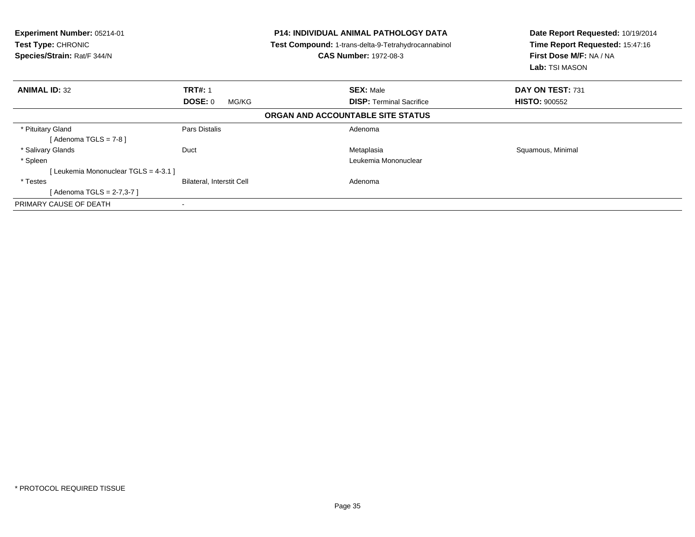| <b>Experiment Number: 05214-01</b><br><b>Test Type: CHRONIC</b><br>Species/Strain: Rat/F 344/N |                           | <b>P14: INDIVIDUAL ANIMAL PATHOLOGY DATA</b><br>Test Compound: 1-trans-delta-9-Tetrahydrocannabinol<br><b>CAS Number: 1972-08-3</b> | Date Report Requested: 10/19/2014<br>Time Report Requested: 15:47:16<br>First Dose M/F: NA / NA<br><b>Lab: TSI MASON</b> |
|------------------------------------------------------------------------------------------------|---------------------------|-------------------------------------------------------------------------------------------------------------------------------------|--------------------------------------------------------------------------------------------------------------------------|
| <b>ANIMAL ID: 32</b>                                                                           | <b>TRT#: 1</b>            | <b>SEX: Male</b>                                                                                                                    | DAY ON TEST: 731                                                                                                         |
|                                                                                                | <b>DOSE: 0</b><br>MG/KG   | <b>DISP:</b> Terminal Sacrifice                                                                                                     | <b>HISTO: 900552</b>                                                                                                     |
|                                                                                                |                           | ORGAN AND ACCOUNTABLE SITE STATUS                                                                                                   |                                                                                                                          |
| * Pituitary Gland<br>[ Adenoma TGLS = 7-8 ]                                                    | Pars Distalis             | Adenoma                                                                                                                             |                                                                                                                          |
| * Salivary Glands                                                                              | Duct                      | Metaplasia                                                                                                                          | Squamous, Minimal                                                                                                        |
| * Spleen                                                                                       |                           | Leukemia Mononuclear                                                                                                                |                                                                                                                          |
| [ Leukemia Mononuclear TGLS = 4-3.1 ]                                                          |                           |                                                                                                                                     |                                                                                                                          |
| * Testes                                                                                       | Bilateral, Interstit Cell | Adenoma                                                                                                                             |                                                                                                                          |
| [Adenoma TGLS = 2-7,3-7]                                                                       |                           |                                                                                                                                     |                                                                                                                          |
| PRIMARY CAUSE OF DEATH                                                                         |                           |                                                                                                                                     |                                                                                                                          |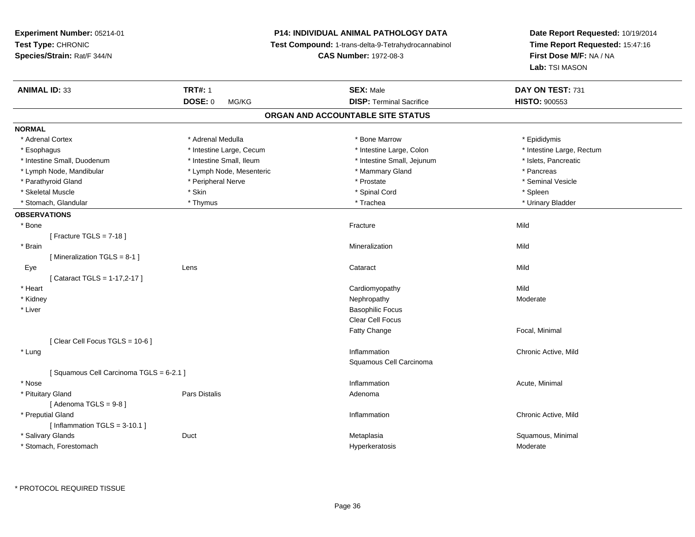**Experiment Number:** 05214-01**Test Type:** CHRONIC **Species/Strain:** Rat/F 344/N**P14: INDIVIDUAL ANIMAL PATHOLOGY DATA Test Compound:** 1-trans-delta-9-Tetrahydrocannabinol **CAS Number:** 1972-08-3**Date Report Requested:** 10/19/2014**Time Report Requested:** 15:47:16**First Dose M/F:** NA / NA**Lab:** TSI MASON**ANIMAL ID:** 33**TRT#:** 1 **SEX:** Male **DAY ON TEST:** 731 **DOSE:** 0 MG/KG **DISP:** Terminal Sacrifice **HISTO:** <sup>900553</sup> **ORGAN AND ACCOUNTABLE SITE STATUSNORMAL**\* Adrenal Cortex \* Adrenal Cortex \* \* Andrenal Medulla \* \* Adrenal Medulla \* \* Bone Marrow \* \* Bone Marrow \* \* Epididymis \* Epididymis \* Esophagus \* Thestine Large, Cecum \* Intestine Large, Cecum \* Intestine Large, Colon \* Intestine Large, Rectum \* Intestine Small, Duodenum \* Intestine Small, Ileum \* Intestine Small, Jejunum \* Islets, Pancreatic\* Lymph Node, Mandibular \* The same \* Lymph Node, Mesenteric \* The same \* Mammary Gland \* The same \* Pancreas \* Seminal Vesicle \* Parathyroid Gland \* \* The process of the series are the series of the series of the series of the series and the series of the series of the series of the series of the series of the series of the series of the series of \* Skeletal Muscle \* Skin \* Spinal Cord \* Spleen \* Urinary Bladder \* Stomach, Glandular \* \* \* Thymus \* \* Thymus \* \* The \* \* Trachea \* \* Trachea \* \* Urinary Bladder \* \* Urinary Bladder \* **OBSERVATIONS** \* Bonee de la contratture de la contratture de la contratture de la contratture de la contratture de la contratture d<br>District de la contrattura de la contrattura de la contrattura de la contrattura de la contrattura de la contr [ Fracture TGLS = 7-18 ] \* Brainn and the control of the control of the control of the Mineralization and the control of the Mild of the Mild o [ Mineralization TGLS = 8-1 ] Eyee the contract of the contract of the contract of the contract of the contract of the contract of the contract  $\mathsf{Mild}$ [ Cataract TGLS = 1-17,2-17 ] \* Heart Cardiomyopathyy Mild Moderate \* Kidneyy which is a state of the control of the Moderate of the Moderate of the Moderate of the Moderate of the Moderate of the Moderate of the Moderate of the Moderate of the Moderate of the Moderate of the Moderate of the Moder \* Liver Basophilic Focus Clear Cell FocusFatty Change Focal, Minimal [ Clear Cell Focus TGLS = 10-6 ] \* Lungg is a controller to the controller of the controller of the controller of the controller of the chronic Active, Mild Squamous Cell Carcinoma[ Squamous Cell Carcinoma TGLS = 6-2.1 ] \* Nosee the contraction of the contraction of the contraction of the contraction of the contraction of the contraction  $\mathsf{Acute}$ , Minimal \* Pituitary Glandd and the contract of Pars Distalis and the contract of Adenoma and Adenoma and the Adenoma and the Adenoma and  $\alpha$  $[$  Adenoma TGLS =  $9-8$ ] \* Preputial Glandd the contraction of the contraction of the contraction of the contraction of the chronic Active, Mild and the contraction of the contraction of  $\alpha$  chronic Active, Mild and the contraction of the contraction of the contr  $[$  Inflammation TGLS = 3-10.1  $]$  \* Salivary Glands Duct MetaplasiaMetaplasia **Mataplasia** et al. et al. et al. et al. et al. et al. et al. et al. et al. et al. et al. et al. et a \* Stomach, Forestomachh and the settlement of the settlement of the Hyperkeratosis the Moderate of the Moderate of the Moderate of the Moderate of the Moderate of the Moderate of the Moderate of the Moderate of the Moderate of the Moderate of t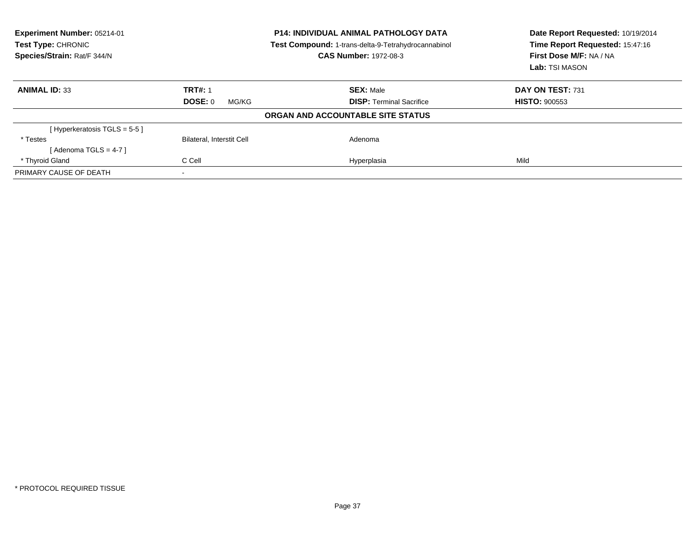| Experiment Number: 05214-01<br><b>Test Type: CHRONIC</b><br>Species/Strain: Rat/F 344/N |                                  | <b>P14: INDIVIDUAL ANIMAL PATHOLOGY DATA</b><br>Test Compound: 1-trans-delta-9-Tetrahydrocannabinol<br><b>CAS Number: 1972-08-3</b> | Date Report Requested: 10/19/2014<br>Time Report Requested: 15:47:16<br>First Dose M/F: NA / NA<br>Lab: TSI MASON |
|-----------------------------------------------------------------------------------------|----------------------------------|-------------------------------------------------------------------------------------------------------------------------------------|-------------------------------------------------------------------------------------------------------------------|
| <b>ANIMAL ID: 33</b>                                                                    | <b>TRT#: 1</b>                   | <b>SEX: Male</b>                                                                                                                    | DAY ON TEST: 731                                                                                                  |
|                                                                                         | DOSE: 0<br>MG/KG                 | <b>DISP:</b> Terminal Sacrifice                                                                                                     | <b>HISTO: 900553</b>                                                                                              |
|                                                                                         |                                  | ORGAN AND ACCOUNTABLE SITE STATUS                                                                                                   |                                                                                                                   |
| [Hyperkeratosis $TGLS = 5-5$ ]                                                          |                                  |                                                                                                                                     |                                                                                                                   |
| * Testes                                                                                | <b>Bilateral, Interstit Cell</b> | Adenoma                                                                                                                             |                                                                                                                   |
| [Adenoma TGLS = $4-7$ ]                                                                 |                                  |                                                                                                                                     |                                                                                                                   |
| * Thyroid Gland                                                                         | C Cell                           | Hyperplasia                                                                                                                         | Mild                                                                                                              |
| PRIMARY CAUSE OF DEATH                                                                  |                                  |                                                                                                                                     |                                                                                                                   |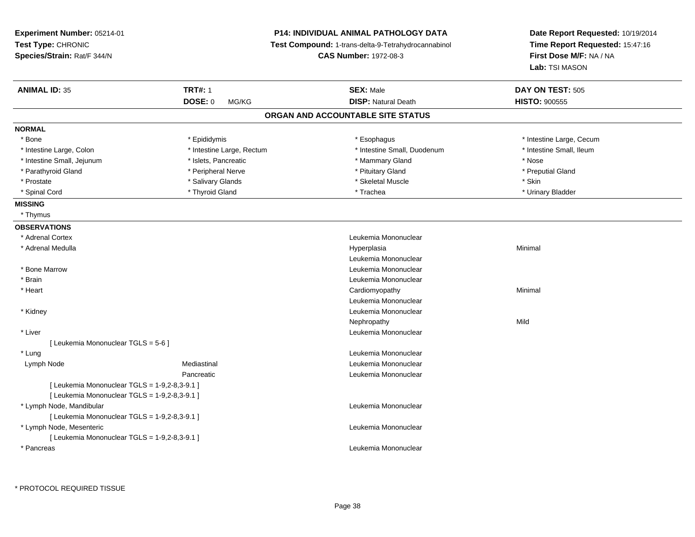| Time Report Requested: 15:47:16<br>Test Compound: 1-trans-delta-9-Tetrahydrocannabinol<br><b>CAS Number: 1972-08-3</b><br>First Dose M/F: NA / NA<br>Lab: TSI MASON<br><b>TRT#: 1</b><br><b>ANIMAL ID: 35</b><br><b>SEX: Male</b><br>DAY ON TEST: 505<br><b>DOSE: 0</b><br><b>DISP: Natural Death</b><br><b>HISTO: 900555</b><br>MG/KG<br>ORGAN AND ACCOUNTABLE SITE STATUS<br>* Intestine Large, Cecum<br>* Bone<br>* Epididymis<br>* Esophagus<br>* Intestine Large, Rectum<br>* Intestine Small, Duodenum<br>* Intestine Small, Ileum<br>* Intestine Large, Colon<br>* Intestine Small, Jejunum<br>* Islets, Pancreatic<br>* Mammary Gland<br>* Nose<br>* Peripheral Nerve<br>* Pituitary Gland<br>* Preputial Gland<br>* Parathyroid Gland<br>* Salivary Glands<br>* Skeletal Muscle<br>* Skin<br>* Prostate<br>* Thyroid Gland<br>* Spinal Cord<br>* Trachea<br>* Urinary Bladder<br>* Thymus<br>* Adrenal Cortex<br>Leukemia Mononuclear<br>* Adrenal Medulla<br>Minimal<br>Hyperplasia<br>Leukemia Mononuclear<br>* Bone Marrow<br>Leukemia Mononuclear<br>* Brain<br>Leukemia Mononuclear<br>* Heart<br>Minimal<br>Cardiomyopathy<br>Leukemia Mononuclear<br>Leukemia Mononuclear<br>* Kidney<br>Mild<br>Nephropathy<br>* Liver<br>Leukemia Mononuclear<br>[ Leukemia Mononuclear TGLS = 5-6 ]<br>* Lung<br>Leukemia Mononuclear<br>Lymph Node<br>Mediastinal<br>Leukemia Mononuclear<br>Pancreatic<br>Leukemia Mononuclear<br>[ Leukemia Mononuclear TGLS = 1-9,2-8,3-9.1 ]<br>[ Leukemia Mononuclear TGLS = 1-9,2-8,3-9.1 ]<br>* Lymph Node, Mandibular<br>Leukemia Mononuclear<br>[ Leukemia Mononuclear TGLS = 1-9,2-8,3-9.1 ]<br>* Lymph Node, Mesenteric<br>Leukemia Mononuclear<br>[ Leukemia Mononuclear TGLS = 1-9,2-8,3-9.1 ]<br>Leukemia Mononuclear<br>* Pancreas | Experiment Number: 05214-01 | <b>P14: INDIVIDUAL ANIMAL PATHOLOGY DATA</b> | Date Report Requested: 10/19/2014 |
|---------------------------------------------------------------------------------------------------------------------------------------------------------------------------------------------------------------------------------------------------------------------------------------------------------------------------------------------------------------------------------------------------------------------------------------------------------------------------------------------------------------------------------------------------------------------------------------------------------------------------------------------------------------------------------------------------------------------------------------------------------------------------------------------------------------------------------------------------------------------------------------------------------------------------------------------------------------------------------------------------------------------------------------------------------------------------------------------------------------------------------------------------------------------------------------------------------------------------------------------------------------------------------------------------------------------------------------------------------------------------------------------------------------------------------------------------------------------------------------------------------------------------------------------------------------------------------------------------------------------------------------------------------------------------------------------------------------------------------------------------------------------------------------|-----------------------------|----------------------------------------------|-----------------------------------|
|                                                                                                                                                                                                                                                                                                                                                                                                                                                                                                                                                                                                                                                                                                                                                                                                                                                                                                                                                                                                                                                                                                                                                                                                                                                                                                                                                                                                                                                                                                                                                                                                                                                                                                                                                                                       | Test Type: CHRONIC          |                                              |                                   |
|                                                                                                                                                                                                                                                                                                                                                                                                                                                                                                                                                                                                                                                                                                                                                                                                                                                                                                                                                                                                                                                                                                                                                                                                                                                                                                                                                                                                                                                                                                                                                                                                                                                                                                                                                                                       | Species/Strain: Rat/F 344/N |                                              |                                   |
|                                                                                                                                                                                                                                                                                                                                                                                                                                                                                                                                                                                                                                                                                                                                                                                                                                                                                                                                                                                                                                                                                                                                                                                                                                                                                                                                                                                                                                                                                                                                                                                                                                                                                                                                                                                       |                             |                                              |                                   |
|                                                                                                                                                                                                                                                                                                                                                                                                                                                                                                                                                                                                                                                                                                                                                                                                                                                                                                                                                                                                                                                                                                                                                                                                                                                                                                                                                                                                                                                                                                                                                                                                                                                                                                                                                                                       |                             |                                              |                                   |
|                                                                                                                                                                                                                                                                                                                                                                                                                                                                                                                                                                                                                                                                                                                                                                                                                                                                                                                                                                                                                                                                                                                                                                                                                                                                                                                                                                                                                                                                                                                                                                                                                                                                                                                                                                                       |                             |                                              |                                   |
|                                                                                                                                                                                                                                                                                                                                                                                                                                                                                                                                                                                                                                                                                                                                                                                                                                                                                                                                                                                                                                                                                                                                                                                                                                                                                                                                                                                                                                                                                                                                                                                                                                                                                                                                                                                       |                             |                                              |                                   |
|                                                                                                                                                                                                                                                                                                                                                                                                                                                                                                                                                                                                                                                                                                                                                                                                                                                                                                                                                                                                                                                                                                                                                                                                                                                                                                                                                                                                                                                                                                                                                                                                                                                                                                                                                                                       | <b>NORMAL</b>               |                                              |                                   |
|                                                                                                                                                                                                                                                                                                                                                                                                                                                                                                                                                                                                                                                                                                                                                                                                                                                                                                                                                                                                                                                                                                                                                                                                                                                                                                                                                                                                                                                                                                                                                                                                                                                                                                                                                                                       |                             |                                              |                                   |
|                                                                                                                                                                                                                                                                                                                                                                                                                                                                                                                                                                                                                                                                                                                                                                                                                                                                                                                                                                                                                                                                                                                                                                                                                                                                                                                                                                                                                                                                                                                                                                                                                                                                                                                                                                                       |                             |                                              |                                   |
|                                                                                                                                                                                                                                                                                                                                                                                                                                                                                                                                                                                                                                                                                                                                                                                                                                                                                                                                                                                                                                                                                                                                                                                                                                                                                                                                                                                                                                                                                                                                                                                                                                                                                                                                                                                       |                             |                                              |                                   |
|                                                                                                                                                                                                                                                                                                                                                                                                                                                                                                                                                                                                                                                                                                                                                                                                                                                                                                                                                                                                                                                                                                                                                                                                                                                                                                                                                                                                                                                                                                                                                                                                                                                                                                                                                                                       |                             |                                              |                                   |
|                                                                                                                                                                                                                                                                                                                                                                                                                                                                                                                                                                                                                                                                                                                                                                                                                                                                                                                                                                                                                                                                                                                                                                                                                                                                                                                                                                                                                                                                                                                                                                                                                                                                                                                                                                                       |                             |                                              |                                   |
|                                                                                                                                                                                                                                                                                                                                                                                                                                                                                                                                                                                                                                                                                                                                                                                                                                                                                                                                                                                                                                                                                                                                                                                                                                                                                                                                                                                                                                                                                                                                                                                                                                                                                                                                                                                       |                             |                                              |                                   |
|                                                                                                                                                                                                                                                                                                                                                                                                                                                                                                                                                                                                                                                                                                                                                                                                                                                                                                                                                                                                                                                                                                                                                                                                                                                                                                                                                                                                                                                                                                                                                                                                                                                                                                                                                                                       | <b>MISSING</b>              |                                              |                                   |
|                                                                                                                                                                                                                                                                                                                                                                                                                                                                                                                                                                                                                                                                                                                                                                                                                                                                                                                                                                                                                                                                                                                                                                                                                                                                                                                                                                                                                                                                                                                                                                                                                                                                                                                                                                                       |                             |                                              |                                   |
|                                                                                                                                                                                                                                                                                                                                                                                                                                                                                                                                                                                                                                                                                                                                                                                                                                                                                                                                                                                                                                                                                                                                                                                                                                                                                                                                                                                                                                                                                                                                                                                                                                                                                                                                                                                       | <b>OBSERVATIONS</b>         |                                              |                                   |
|                                                                                                                                                                                                                                                                                                                                                                                                                                                                                                                                                                                                                                                                                                                                                                                                                                                                                                                                                                                                                                                                                                                                                                                                                                                                                                                                                                                                                                                                                                                                                                                                                                                                                                                                                                                       |                             |                                              |                                   |
|                                                                                                                                                                                                                                                                                                                                                                                                                                                                                                                                                                                                                                                                                                                                                                                                                                                                                                                                                                                                                                                                                                                                                                                                                                                                                                                                                                                                                                                                                                                                                                                                                                                                                                                                                                                       |                             |                                              |                                   |
|                                                                                                                                                                                                                                                                                                                                                                                                                                                                                                                                                                                                                                                                                                                                                                                                                                                                                                                                                                                                                                                                                                                                                                                                                                                                                                                                                                                                                                                                                                                                                                                                                                                                                                                                                                                       |                             |                                              |                                   |
|                                                                                                                                                                                                                                                                                                                                                                                                                                                                                                                                                                                                                                                                                                                                                                                                                                                                                                                                                                                                                                                                                                                                                                                                                                                                                                                                                                                                                                                                                                                                                                                                                                                                                                                                                                                       |                             |                                              |                                   |
|                                                                                                                                                                                                                                                                                                                                                                                                                                                                                                                                                                                                                                                                                                                                                                                                                                                                                                                                                                                                                                                                                                                                                                                                                                                                                                                                                                                                                                                                                                                                                                                                                                                                                                                                                                                       |                             |                                              |                                   |
|                                                                                                                                                                                                                                                                                                                                                                                                                                                                                                                                                                                                                                                                                                                                                                                                                                                                                                                                                                                                                                                                                                                                                                                                                                                                                                                                                                                                                                                                                                                                                                                                                                                                                                                                                                                       |                             |                                              |                                   |
|                                                                                                                                                                                                                                                                                                                                                                                                                                                                                                                                                                                                                                                                                                                                                                                                                                                                                                                                                                                                                                                                                                                                                                                                                                                                                                                                                                                                                                                                                                                                                                                                                                                                                                                                                                                       |                             |                                              |                                   |
|                                                                                                                                                                                                                                                                                                                                                                                                                                                                                                                                                                                                                                                                                                                                                                                                                                                                                                                                                                                                                                                                                                                                                                                                                                                                                                                                                                                                                                                                                                                                                                                                                                                                                                                                                                                       |                             |                                              |                                   |
|                                                                                                                                                                                                                                                                                                                                                                                                                                                                                                                                                                                                                                                                                                                                                                                                                                                                                                                                                                                                                                                                                                                                                                                                                                                                                                                                                                                                                                                                                                                                                                                                                                                                                                                                                                                       |                             |                                              |                                   |
|                                                                                                                                                                                                                                                                                                                                                                                                                                                                                                                                                                                                                                                                                                                                                                                                                                                                                                                                                                                                                                                                                                                                                                                                                                                                                                                                                                                                                                                                                                                                                                                                                                                                                                                                                                                       |                             |                                              |                                   |
|                                                                                                                                                                                                                                                                                                                                                                                                                                                                                                                                                                                                                                                                                                                                                                                                                                                                                                                                                                                                                                                                                                                                                                                                                                                                                                                                                                                                                                                                                                                                                                                                                                                                                                                                                                                       |                             |                                              |                                   |
|                                                                                                                                                                                                                                                                                                                                                                                                                                                                                                                                                                                                                                                                                                                                                                                                                                                                                                                                                                                                                                                                                                                                                                                                                                                                                                                                                                                                                                                                                                                                                                                                                                                                                                                                                                                       |                             |                                              |                                   |
|                                                                                                                                                                                                                                                                                                                                                                                                                                                                                                                                                                                                                                                                                                                                                                                                                                                                                                                                                                                                                                                                                                                                                                                                                                                                                                                                                                                                                                                                                                                                                                                                                                                                                                                                                                                       |                             |                                              |                                   |
|                                                                                                                                                                                                                                                                                                                                                                                                                                                                                                                                                                                                                                                                                                                                                                                                                                                                                                                                                                                                                                                                                                                                                                                                                                                                                                                                                                                                                                                                                                                                                                                                                                                                                                                                                                                       |                             |                                              |                                   |
|                                                                                                                                                                                                                                                                                                                                                                                                                                                                                                                                                                                                                                                                                                                                                                                                                                                                                                                                                                                                                                                                                                                                                                                                                                                                                                                                                                                                                                                                                                                                                                                                                                                                                                                                                                                       |                             |                                              |                                   |
|                                                                                                                                                                                                                                                                                                                                                                                                                                                                                                                                                                                                                                                                                                                                                                                                                                                                                                                                                                                                                                                                                                                                                                                                                                                                                                                                                                                                                                                                                                                                                                                                                                                                                                                                                                                       |                             |                                              |                                   |
|                                                                                                                                                                                                                                                                                                                                                                                                                                                                                                                                                                                                                                                                                                                                                                                                                                                                                                                                                                                                                                                                                                                                                                                                                                                                                                                                                                                                                                                                                                                                                                                                                                                                                                                                                                                       |                             |                                              |                                   |
|                                                                                                                                                                                                                                                                                                                                                                                                                                                                                                                                                                                                                                                                                                                                                                                                                                                                                                                                                                                                                                                                                                                                                                                                                                                                                                                                                                                                                                                                                                                                                                                                                                                                                                                                                                                       |                             |                                              |                                   |
|                                                                                                                                                                                                                                                                                                                                                                                                                                                                                                                                                                                                                                                                                                                                                                                                                                                                                                                                                                                                                                                                                                                                                                                                                                                                                                                                                                                                                                                                                                                                                                                                                                                                                                                                                                                       |                             |                                              |                                   |
|                                                                                                                                                                                                                                                                                                                                                                                                                                                                                                                                                                                                                                                                                                                                                                                                                                                                                                                                                                                                                                                                                                                                                                                                                                                                                                                                                                                                                                                                                                                                                                                                                                                                                                                                                                                       |                             |                                              |                                   |
|                                                                                                                                                                                                                                                                                                                                                                                                                                                                                                                                                                                                                                                                                                                                                                                                                                                                                                                                                                                                                                                                                                                                                                                                                                                                                                                                                                                                                                                                                                                                                                                                                                                                                                                                                                                       |                             |                                              |                                   |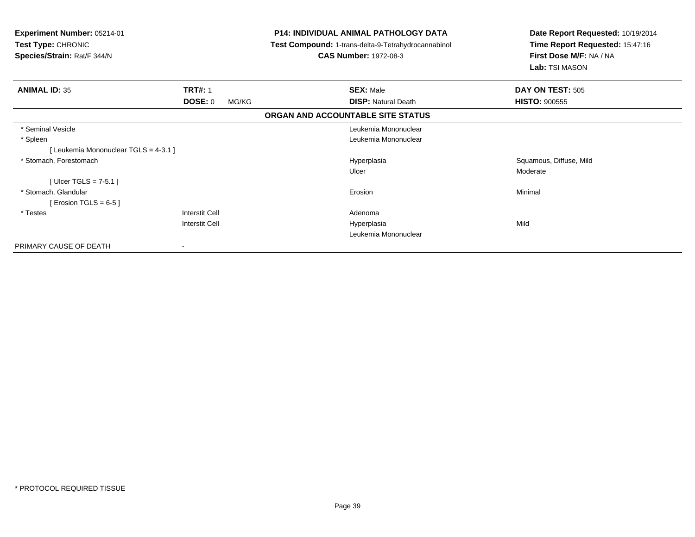| Experiment Number: 05214-01<br>Test Type: CHRONIC<br>Species/Strain: Rat/F 344/N |                         | <b>P14: INDIVIDUAL ANIMAL PATHOLOGY DATA</b><br>Test Compound: 1-trans-delta-9-Tetrahydrocannabinol<br><b>CAS Number: 1972-08-3</b> | Date Report Requested: 10/19/2014<br>Time Report Requested: 15:47:16<br>First Dose M/F: NA / NA<br>Lab: TSI MASON |
|----------------------------------------------------------------------------------|-------------------------|-------------------------------------------------------------------------------------------------------------------------------------|-------------------------------------------------------------------------------------------------------------------|
| <b>ANIMAL ID: 35</b>                                                             | <b>TRT#: 1</b>          | <b>SEX: Male</b>                                                                                                                    | DAY ON TEST: 505                                                                                                  |
|                                                                                  | <b>DOSE: 0</b><br>MG/KG | <b>DISP: Natural Death</b>                                                                                                          | <b>HISTO: 900555</b>                                                                                              |
|                                                                                  |                         | ORGAN AND ACCOUNTABLE SITE STATUS                                                                                                   |                                                                                                                   |
| * Seminal Vesicle                                                                |                         | Leukemia Mononuclear                                                                                                                |                                                                                                                   |
| * Spleen                                                                         |                         | Leukemia Mononuclear                                                                                                                |                                                                                                                   |
| [Leukemia Mononuclear TGLS = 4-3.1]                                              |                         |                                                                                                                                     |                                                                                                                   |
| * Stomach, Forestomach                                                           |                         | Hyperplasia                                                                                                                         | Squamous, Diffuse, Mild                                                                                           |
|                                                                                  |                         | Ulcer                                                                                                                               | Moderate                                                                                                          |
| [ Ulcer TGLS = $7-5.1$ ]                                                         |                         |                                                                                                                                     |                                                                                                                   |
| * Stomach, Glandular                                                             |                         | Erosion                                                                                                                             | Minimal                                                                                                           |
| [ Erosion TGLS = $6-5$ ]                                                         |                         |                                                                                                                                     |                                                                                                                   |
| * Testes                                                                         | Interstit Cell          | Adenoma                                                                                                                             |                                                                                                                   |
|                                                                                  | Interstit Cell          | Hyperplasia                                                                                                                         | Mild                                                                                                              |
|                                                                                  |                         | Leukemia Mononuclear                                                                                                                |                                                                                                                   |
| PRIMARY CAUSE OF DEATH                                                           |                         |                                                                                                                                     |                                                                                                                   |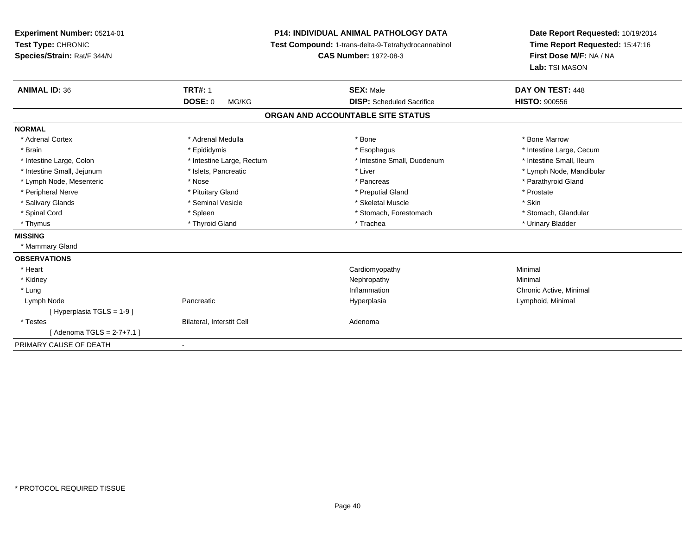| Experiment Number: 05214-01<br>Test Type: CHRONIC<br>Species/Strain: Rat/F 344/N |                                  | <b>P14: INDIVIDUAL ANIMAL PATHOLOGY DATA</b><br>Test Compound: 1-trans-delta-9-Tetrahydrocannabinol<br><b>CAS Number: 1972-08-3</b> | Date Report Requested: 10/19/2014<br>Time Report Requested: 15:47:16<br>First Dose M/F: NA / NA<br>Lab: TSI MASON |
|----------------------------------------------------------------------------------|----------------------------------|-------------------------------------------------------------------------------------------------------------------------------------|-------------------------------------------------------------------------------------------------------------------|
| <b>ANIMAL ID: 36</b>                                                             | <b>TRT#: 1</b>                   | <b>SEX: Male</b>                                                                                                                    | DAY ON TEST: 448                                                                                                  |
|                                                                                  | <b>DOSE: 0</b><br>MG/KG          | <b>DISP:</b> Scheduled Sacrifice                                                                                                    | <b>HISTO: 900556</b>                                                                                              |
|                                                                                  |                                  | ORGAN AND ACCOUNTABLE SITE STATUS                                                                                                   |                                                                                                                   |
| <b>NORMAL</b>                                                                    |                                  |                                                                                                                                     |                                                                                                                   |
| * Adrenal Cortex                                                                 | * Adrenal Medulla                | * Bone                                                                                                                              | * Bone Marrow                                                                                                     |
| * Brain                                                                          | * Epididymis                     | * Esophagus                                                                                                                         | * Intestine Large, Cecum                                                                                          |
| * Intestine Large, Colon                                                         | * Intestine Large, Rectum        | * Intestine Small, Duodenum                                                                                                         | * Intestine Small, Ileum                                                                                          |
| * Intestine Small, Jejunum                                                       | * Islets, Pancreatic             | * Liver                                                                                                                             | * Lymph Node, Mandibular                                                                                          |
| * Lymph Node, Mesenteric                                                         | * Nose                           | * Pancreas                                                                                                                          | * Parathyroid Gland                                                                                               |
| * Peripheral Nerve                                                               | * Pituitary Gland                | * Preputial Gland                                                                                                                   | * Prostate                                                                                                        |
| * Salivary Glands                                                                | * Seminal Vesicle                | * Skeletal Muscle                                                                                                                   | * Skin                                                                                                            |
| * Spinal Cord                                                                    | * Spleen                         | * Stomach, Forestomach                                                                                                              | * Stomach, Glandular                                                                                              |
| * Thymus                                                                         | * Thyroid Gland                  | * Trachea                                                                                                                           | * Urinary Bladder                                                                                                 |
| <b>MISSING</b>                                                                   |                                  |                                                                                                                                     |                                                                                                                   |
| * Mammary Gland                                                                  |                                  |                                                                                                                                     |                                                                                                                   |
| <b>OBSERVATIONS</b>                                                              |                                  |                                                                                                                                     |                                                                                                                   |
| * Heart                                                                          |                                  | Cardiomyopathy                                                                                                                      | Minimal                                                                                                           |
| * Kidney                                                                         |                                  | Nephropathy                                                                                                                         | Minimal                                                                                                           |
| * Lung                                                                           |                                  | Inflammation                                                                                                                        | Chronic Active, Minimal                                                                                           |
| Lymph Node                                                                       | Pancreatic                       | Hyperplasia                                                                                                                         | Lymphoid, Minimal                                                                                                 |
| [Hyperplasia TGLS = 1-9]                                                         |                                  |                                                                                                                                     |                                                                                                                   |
| * Testes                                                                         | <b>Bilateral, Interstit Cell</b> | Adenoma                                                                                                                             |                                                                                                                   |
| [ Adenoma TGLS = 2-7+7.1 ]                                                       |                                  |                                                                                                                                     |                                                                                                                   |
| PRIMARY CAUSE OF DEATH                                                           |                                  |                                                                                                                                     |                                                                                                                   |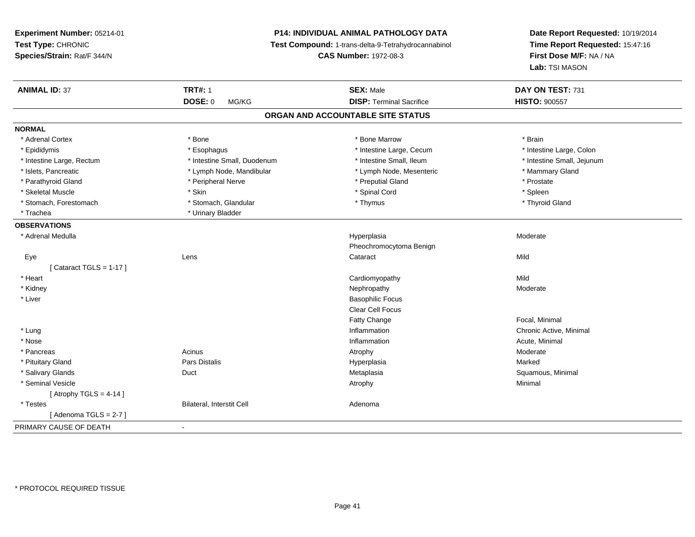# **P14: INDIVIDUAL ANIMAL PATHOLOGY DATA**

**Test Compound:** 1-trans-delta-9-Tetrahydrocannabinol

**CAS Number:** 1972-08-3

| <b>ANIMAL ID: 37</b>      | <b>TRT#: 1</b>              | <b>SEX: Male</b>                  | DAY ON TEST: 731           |  |
|---------------------------|-----------------------------|-----------------------------------|----------------------------|--|
|                           | <b>DOSE: 0</b><br>MG/KG     | <b>DISP: Terminal Sacrifice</b>   | <b>HISTO: 900557</b>       |  |
|                           |                             | ORGAN AND ACCOUNTABLE SITE STATUS |                            |  |
| <b>NORMAL</b>             |                             |                                   |                            |  |
| * Adrenal Cortex          | * Bone                      | * Bone Marrow                     | * Brain                    |  |
| * Epididymis              | * Esophagus                 | * Intestine Large, Cecum          | * Intestine Large, Colon   |  |
| * Intestine Large, Rectum | * Intestine Small, Duodenum | * Intestine Small, Ileum          | * Intestine Small, Jejunum |  |
| * Islets, Pancreatic      | * Lymph Node, Mandibular    | * Lymph Node, Mesenteric          | * Mammary Gland            |  |
| * Parathyroid Gland       | * Peripheral Nerve          | * Preputial Gland                 | * Prostate                 |  |
| * Skeletal Muscle         | * Skin                      | * Spinal Cord                     | * Spleen                   |  |
| * Stomach, Forestomach    | * Stomach, Glandular        | * Thymus                          | * Thyroid Gland            |  |
| * Trachea                 | * Urinary Bladder           |                                   |                            |  |
| <b>OBSERVATIONS</b>       |                             |                                   |                            |  |
| * Adrenal Medulla         |                             | Hyperplasia                       | Moderate                   |  |
|                           |                             | Pheochromocytoma Benign           |                            |  |
| Eye                       | Lens                        | Cataract                          | Mild                       |  |
| [Cataract TGLS = $1-17$ ] |                             |                                   |                            |  |
| * Heart                   |                             | Cardiomyopathy                    | Mild                       |  |
| * Kidney                  |                             | Nephropathy                       | Moderate                   |  |
| * Liver                   |                             | <b>Basophilic Focus</b>           |                            |  |
|                           |                             | <b>Clear Cell Focus</b>           |                            |  |
|                           |                             | Fatty Change                      | Focal, Minimal             |  |
| * Lung                    |                             | Inflammation                      | Chronic Active, Minimal    |  |
| * Nose                    |                             | Inflammation                      | Acute, Minimal             |  |
| * Pancreas                | Acinus                      | Atrophy                           | Moderate                   |  |
| * Pituitary Gland         | <b>Pars Distalis</b>        | Hyperplasia                       | Marked                     |  |
| * Salivary Glands         | Duct                        | Metaplasia                        | Squamous, Minimal          |  |
| * Seminal Vesicle         |                             | Atrophy                           | Minimal                    |  |
| [ Atrophy TGLS = $4-14$ ] |                             |                                   |                            |  |
| * Testes                  | Bilateral, Interstit Cell   | Adenoma                           |                            |  |
| [Adenoma TGLS = $2-7$ ]   |                             |                                   |                            |  |
| PRIMARY CAUSE OF DEATH    | $\blacksquare$              |                                   |                            |  |
|                           |                             |                                   |                            |  |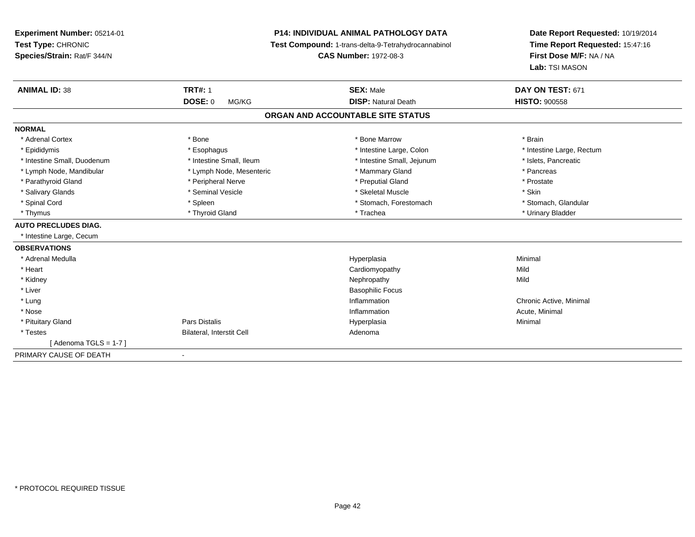**Experiment Number:** 05214-01**Test Type:** CHRONIC **Species/Strain:** Rat/F 344/N**P14: INDIVIDUAL ANIMAL PATHOLOGY DATA Test Compound:** 1-trans-delta-9-Tetrahydrocannabinol **CAS Number:** 1972-08-3**Date Report Requested:** 10/19/2014**Time Report Requested:** 15:47:16**First Dose M/F:** NA / NA**Lab:** TSI MASON**ANIMAL ID:** 38**TRT#:** 1 **SEX:** Male **DAY ON TEST:** 671 **DOSE:** 0 MG/KG**DISP:** Natural Death **HISTO:**  $900558$ **ORGAN AND ACCOUNTABLE SITE STATUSNORMAL**\* Adrenal Cortex \* \* The matter of the state of the Marrow \* Bone Marrow \* Bone Marrow \* The matter of the Marrow \* Brain \* Brain \* Brain \* Brain \* Brain \* Brain \* Brain \* Brain \* Brain \* Brain \* Brain \* Brain \* Brain \* Br \* Epididymis **\* Explose Activate and Activity Active** \* Esophagus \* Intestine Large, Colon **\* Intestine Large, Rectum** \* Intestine Large, Rectum \* Intestine Large, Rectum \* Intestine Small, Duodenum \* Intestine Small, Ileum \* 1ntestine Small, Intestine Small, Jejunum \* Islets, Pancreatic \* Lymph Node, Mandibular \* The same \* Lymph Node, Mesenteric \* The same \* Mammary Gland \* The same \* Pancreas \* Prostate \* Parathyroid Gland \* **All and \* Peripheral Nerve** \* Peripheral Nerve \* \* Preputial Gland \* Salivary Glands \* Seminal Vesicle \* Skeletal Muscle \* Skin\* Stomach, Glandular \* Spinal Cord \* Spinal Cord \* Spinal Cord \* Stomach, Forestomach \* Stomach, Forestomach \* Stomach, Forestomach \* Thymus \* Thyroid Gland \* Trachea \* Urinary Bladder \* **AUTO PRECLUDES DIAG.** \* Intestine Large, Cecum**OBSERVATIONS** \* Adrenal Medullaa and the control of the control of the control of the Hyperplasia and the control of the control of the control of the control of the control of the control of the control of the control of the control of the control of t \* Heart Cardiomyopathyy Mild Mild \* Kidneyy the controller of the controller of the controller of the controller of the controller of the controller of the controller of the controller of the controller of the controller of the controller of the controller of the \* Liver Basophilic Focus \* Lungg is a controller to the controller of the controller of the chronic Active, Minimal of the chronic Active, Minimal of the chronic Active, Minimal of the chronic Active, Minimal of the chronic Active, Minimal of the chroni \* Nosee the contraction of the contraction of the contraction of the contraction of the contraction of the contraction  $\mathsf{Acute}$ , Minimal \* Pituitary Gland Pars Distalis Hyperplasia Minimal \* TestesBilateral, Interstit Cell **Adenoma** Adenoma  $[$  Adenoma TGLS = 1-7  $]$ PRIMARY CAUSE OF DEATH-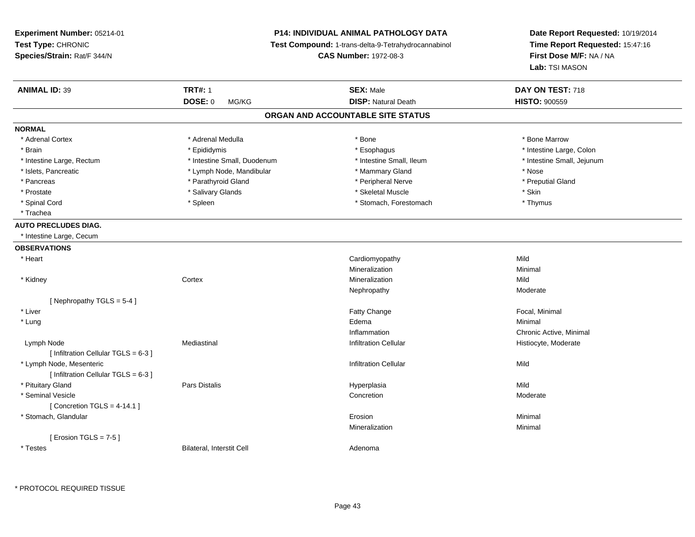**Experiment Number:** 05214-01**Test Type:** CHRONIC **Species/Strain:** Rat/F 344/N**P14: INDIVIDUAL ANIMAL PATHOLOGY DATA Test Compound:** 1-trans-delta-9-Tetrahydrocannabinol **CAS Number:** 1972-08-3**Date Report Requested:** 10/19/2014**Time Report Requested:** 15:47:16**First Dose M/F:** NA / NA**Lab:** TSI MASON**ANIMAL ID:** 39 **TRT#:** <sup>1</sup> **SEX:** Male **DAY ON TEST:** <sup>718</sup> **DOSE:** 0 MG/KG**DISP:** Natural Death **HISTO:**  $900559$ **ORGAN AND ACCOUNTABLE SITE STATUSNORMAL**\* Adrenal Cortex \* Adrenal Medulla \* Adrenal Medulla \* Bone \* Bone \* Bone \* Bone \* Bone Marrow \* Brain \* The the state of the state of the state of the state of the state of the state of the state of the state of the state of the state of the state of the state of the state of the state of the state of the state of \* Intestine Large, Rectum \* Thestine Small, Duodenum \* Number of the small, Ileum \* Intestine Small, Jejunum \* Intestine Small, Jejunum \* Islets, Pancreatic \* The same \* Lymph Node, Mandibular \* Nammary Gland \* Nose \* Nose \* Nose \* Nose \* Preputial Gland \* Pancreas \* \* Parathyroid Gland \* \* Parathyroid Gland \* \* Peripheral Nerve \* \* Peripheral Nerve \* \* Preputial Gland \* Prostate \* \* Salivary Glands \* \* Salivary Glands \* \* Skeletal Muscle \* \* Skeletal Muscle \* \* Skin \* Thymus \* Spinal Cord **\* Stomach, Forestomach \* Spinal Cord \*** Stomach, Forestomach \* Stomach, Forestomach \* Trachea**AUTO PRECLUDES DIAG.** \* Intestine Large, Cecum**OBSERVATIONS** \* Heart Cardiomyopathyy Mild Minimal Mineralizationn Minimal \* Kidneyy the context of the context of the context of the context of the context of the context of the context of the context of the context of the context of the context of the context of the context of the context of the contex n Mild Nephropathyy and the contract of the Moderate [ Nephropathy TGLS = 5-4 ] \* Liverr and the contract of the contract of the contract of the contract of the contract of the contract of the contract of the contract of the contract of the contract of the contract of the contract of the contract of the cont Focal, Minimal \* Lungg and the state of the state of the state of the state of the state of the state of the state of the state of the state of the state of the state of the state of the state of the state of the state of the state of the stat InflammationInflammation<br>
Inflammation<br>
Inflitration Cellular<br>
Chronic Active, Moderate<br>
Histiocyte, Moderate Lymph Node Mediastinal Infiltration Cellular Histiocyte, Moderate  $[$  Infiltration Cellular TGLS = 6-3 ] \* Lymph Node, Mesentericc contract the contract of the contract of the contract of the contract of the contract of the contract of the contract of the contract of the contract of the contract of the contract of the contract of the contract of the  $[$  Infiltration Cellular TGLS = 6-3 ] \* Pituitary Gland Pars Distalis Hyperplasia Mild \* Seminal Vesiclee and the concretion of the concretion of the concretion of the concretion of the concretion of the concretion of  $\sim$  Moderate  $[$  Concretion TGLS = 4-14.1  $]$  \* Stomach, Glandularr and the contract of the contract of the contract of the contract of the contract of the contract of the contract of the contract of the contract of the contract of the contract of the contract of the contract of the cont n and a studies of the state of the Minimal Mineralizationn Minimal  $[$  Erosion TGLS = 7-5  $]$  \* TestesBilateral, Interstit Cell **Adenoma** Adenoma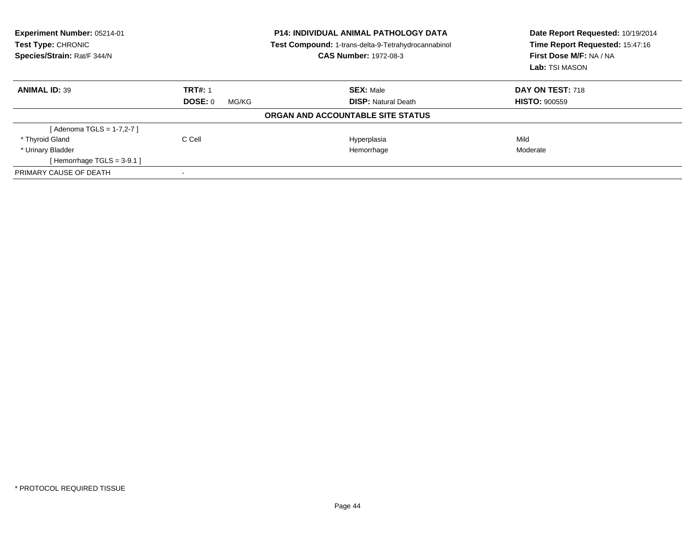| Experiment Number: 05214-01<br><b>Test Type: CHRONIC</b><br>Species/Strain: Rat/F 344/N |                  | <b>P14: INDIVIDUAL ANIMAL PATHOLOGY DATA</b><br>Test Compound: 1-trans-delta-9-Tetrahydrocannabinol<br><b>CAS Number: 1972-08-3</b> | Date Report Requested: 10/19/2014<br>Time Report Requested: 15:47:16<br>First Dose M/F: NA / NA<br>Lab: TSI MASON |
|-----------------------------------------------------------------------------------------|------------------|-------------------------------------------------------------------------------------------------------------------------------------|-------------------------------------------------------------------------------------------------------------------|
| <b>ANIMAL ID: 39</b>                                                                    | <b>TRT#: 1</b>   | <b>SEX: Male</b>                                                                                                                    | DAY ON TEST: 718                                                                                                  |
|                                                                                         | DOSE: 0<br>MG/KG | <b>DISP: Natural Death</b>                                                                                                          | <b>HISTO: 900559</b>                                                                                              |
|                                                                                         |                  | ORGAN AND ACCOUNTABLE SITE STATUS                                                                                                   |                                                                                                                   |
| [Adenoma TGLS = 1-7,2-7]                                                                |                  |                                                                                                                                     |                                                                                                                   |
| * Thyroid Gland                                                                         | C Cell           | Hyperplasia                                                                                                                         | Mild                                                                                                              |
| * Urinary Bladder                                                                       |                  | Hemorrhage                                                                                                                          | Moderate                                                                                                          |
| [Hemorrhage TGLS = $3-9.1$ ]                                                            |                  |                                                                                                                                     |                                                                                                                   |
| PRIMARY CAUSE OF DEATH                                                                  |                  |                                                                                                                                     |                                                                                                                   |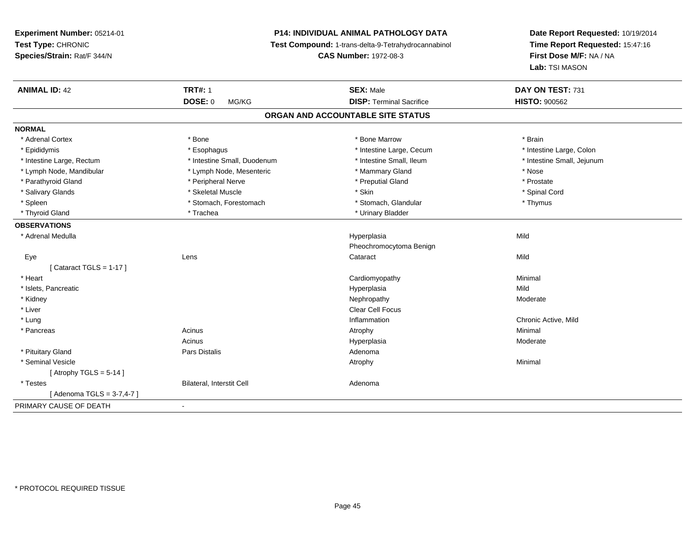**Experiment Number:** 05214-01**Test Type:** CHRONIC **Species/Strain:** Rat/F 344/N**P14: INDIVIDUAL ANIMAL PATHOLOGY DATA Test Compound:** 1-trans-delta-9-Tetrahydrocannabinol **CAS Number:** 1972-08-3**Date Report Requested:** 10/19/2014**Time Report Requested:** 15:47:16**First Dose M/F:** NA / NA**Lab:** TSI MASON**ANIMAL ID:** 42**TRT#:** 1 **SEX:** Male **DAY ON TEST:** 731 **DOSE:** 0 MG/KG **DISP:** Terminal Sacrifice **HISTO:** <sup>900562</sup> **ORGAN AND ACCOUNTABLE SITE STATUSNORMAL**\* Adrenal Cortex \* Adrenal Cortex \* \* Adrenal Cortex \* Brain \* Bone \* \* Bone Marrow \* Bone Marrow \* \* Brain \* Brain \* Brain \* Brain \* Brain \* Brain \* Brain \* Brain \* Brain \* Brain \* Brain \* Brain \* Brain \* Brain \* Brain \* Brain \* Brain \* B \* Intestine Large, Colon \* Epididymis \* Intestine Large, Cecum \* Esophagus \* Intestine Large, Cecum \* Intestine Large, Cecum \* Intestine Large, Rectum \* Thestine Small, Duodenum \* Number of the small, Ileum \* Intestine Small, Jejunum \* Intestine Small, Jejunum \* Lymph Node, Mandibular \* The state of the state of the second temperature and the state of the state of the state of the state of the state of the state of the state of the state of the state of the state of the state of \* Prostate \* Parathyroid Gland \* **Arror and \* Peripheral Nerve \*** Parathyroid Gland \* Preputial Gland \* Spinal Cord \* Salivary Glands \* \* Steeden \* \* Skeletal Muscle \* \* Skin \* \* Skin \* \* Steeden \* Spinal Cord \* Spinal Cord \* Spinal Cord \* Spinal Cord \* Spinal Cord \* Spinal Cord \* Spinal Cord \* Spinal Cord \* Spinal Cord \* Spinal Cord \* \* Spleen \* Stomach, Forestomach \* Stomach \* Stomach, Glandular \* Thymus \* Thymus \* Thyroid Gland \* Trachea \* Trachea \* Trachea \* Urinary Bladder **OBSERVATIONS** \* Adrenal Medulla Hyperplasia Mild Pheochromocytoma Benign Eyee the contract of the contract of the contract of the contract of the contract of the contract of the contract  $\mathsf{Mild}$  $[$  Cataract TGLS = 1-17  $]$  \* Heart Cardiomyopathy Minimal \* Islets, Pancreaticc description of the control of the control of the control of the control of the control of the control of the control of the control of the control of the control of the control of the control of the control of the contro a Mild \* Kidneyy which is a state of the control of the Moderate of the Moderate of the Moderate of the Moderate of the Moderate of the Moderate of the Moderate of the Moderate of the Moderate of the Moderate of the Moderate of the Moder \* Liver Clear Cell Focus \* Lungg is a controller to the controller of the controller of the controller of the controller of the chronic Active, Mild \* Pancreass the control of the control of the control of the control of the control of the control of the control of the control of the control of the control of the control of the control of the control of the control of the contro Acinus Hyperplasia Moderate \* Pituitary Glandd and the contract of Pars Distalis and the contract of Adenoma and Adenoma and the Adenoma and the Adenoma and  $\lambda$  \* Seminal Vesiclee and the control of the control of the control of the control of the control of the control of the control of the control of the control of the control of the control of the control of the control of the control of the co  $[$  Atrophy TGLS = 5-14  $]$  \* TestesBilateral, Interstit Cell **Adenoma** Adenoma [ Adenoma TGLS = 3-7,4-7 ]PRIMARY CAUSE OF DEATH-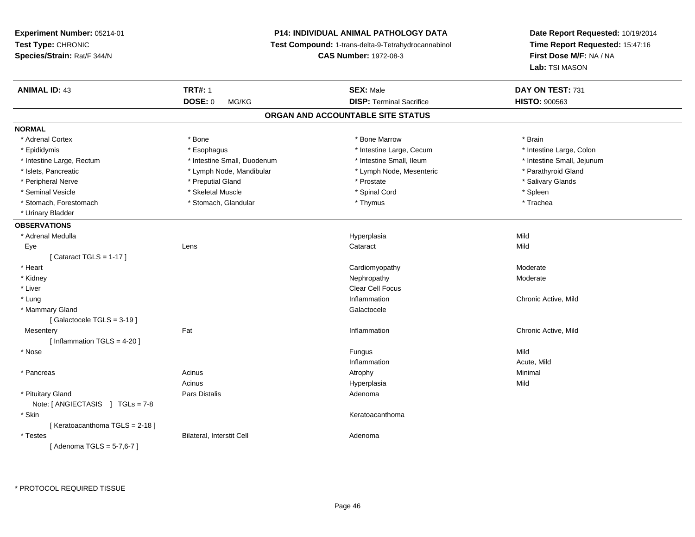**Experiment Number:** 05214-01**Test Type:** CHRONIC **Species/Strain:** Rat/F 344/N**P14: INDIVIDUAL ANIMAL PATHOLOGY DATA Test Compound:** 1-trans-delta-9-Tetrahydrocannabinol **CAS Number:** 1972-08-3**Date Report Requested:** 10/19/2014**Time Report Requested:** 15:47:16**First Dose M/F:** NA / NA**Lab:** TSI MASON**ANIMAL ID:** 43**TRT#:** 1 **SEX:** Male **DAY ON TEST:** 731 **DOSE:** 0 MG/KG **DISP:** Terminal Sacrifice **HISTO:** <sup>900563</sup> **ORGAN AND ACCOUNTABLE SITE STATUSNORMAL**\* Adrenal Cortex \* Adrenal Cortex \* \* Adrenal Cortex \* Brain \* Bone \* \* Bone Marrow \* Bone Marrow \* \* Brain \* Brain \* Brain \* Brain \* Brain \* Brain \* Brain \* Brain \* Brain \* Brain \* Brain \* Brain \* Brain \* Brain \* Brain \* Brain \* Brain \* B \* Intestine Large, Colon \* Epididymis \* Esophagus \* Esophagus \* Esophagus \* 11testine Large, Cecum \* Intestine Large, Rectum \* Thestine Small, Duodenum \* Number of the small, Ileum \* Intestine Small, Jejunum \* Intestine Small, Jejunum \* Islets, Pancreatic \* The same of the Lymph Node, Mandibular \* Lymph Node, Mesenteric \* Parathyroid Gland \* Peripheral Nerve \* \* \* Preputial Gland \* \* Preputial Gland \* \* Prostate \* \* Salivary Glands \* Salivary Glands \* Seminal Vesicle \* \* \* \* Sheem \* Skeletal Muscle \* \* \* Spinal Cord \* \* Spinal Cord \* \* Spinal Vesicle \* \* Spleen \* \* Spleen \* \* Spinal Cord \* \* Spinal Cord \* \* \* Spinal Cord \* \* \* Spinal Cord \* \* \* Spinal Cord \* \* \* Spina \* Trachea \* Stomach, Forestomach \* Thymus \* Stomach, Glandular \* Thymus \* Thymus \* Thymus \* Thymus \* Thymus \* Thymus \* Thymus \* Thymus \* Thymus \* Thymus \* Thymus \* Thymus \* Thymus \* Thymus \* Thymus \* Thymus \* Thymus \* Thymus \* Thymu \* Urinary Bladder**OBSERVATIONS** \* Adrenal Medulla Hyperplasia Mild Eyee the contract of the contract of the contract of the contract of the contract of the contract of the contract  $\mathsf{Mild}$  $[$  Cataract TGLS = 1-17  $]$  \* Heart Cardiomyopathy ModerateModerate \* Kidneyy which is a state of the control of the Moderate of the Moderate of the Moderate of the Moderate of the Moderate of the Moderate of the Moderate of the Moderate of the Moderate of the Moderate of the Moderate of the Moder \* Liver Clear Cell Focus \* Lungg is a controller to the controller of the controller of the controller of the controller of the chronic Active, Mild \* Mammary Glandd Galactocele in the control of the control of the control of the Calactocele of the Calactocele [ Galactocele TGLS = 3-19 ]**Mesentery** y the contract of the set of the set of the set of the set of the set of the set of the set of the set of the s Chronic Active, Mild [ Inflammation TGLS = 4-20 ] \* Nosee and the state of the state of the state of the state of the state of the state of the state of the state of the state of the state of the state of the state of the state of the state of the state of the state of the stat Inflammation Acute, Mild \* Pancreass the control of the control of the control of the control of the control of the control of the control of the control of the control of the control of the control of the control of the control of the control of the contro Acinus Hyperplasiaa Mild \* Pituitary Glandd and the contract of Pars Distalis and the contract of Adenoma and Adenoma and the Adenoma and the Adenoma and  $\lambda$ Note: [ ANGIECTASIS ] TGLs = 7-8 \* Skinn anns an t-ainmeile anns an t-ainmeile anns an t-ainmeile anns an t-ainmeile anns an t-ainmeile anns an t-ainm [ Keratoacanthoma TGLS = 2-18 ] \* TestesBilateral, Interstit Cell **Adenoma** Adenoma [ Adenoma TGLS = 5-7,6-7 ]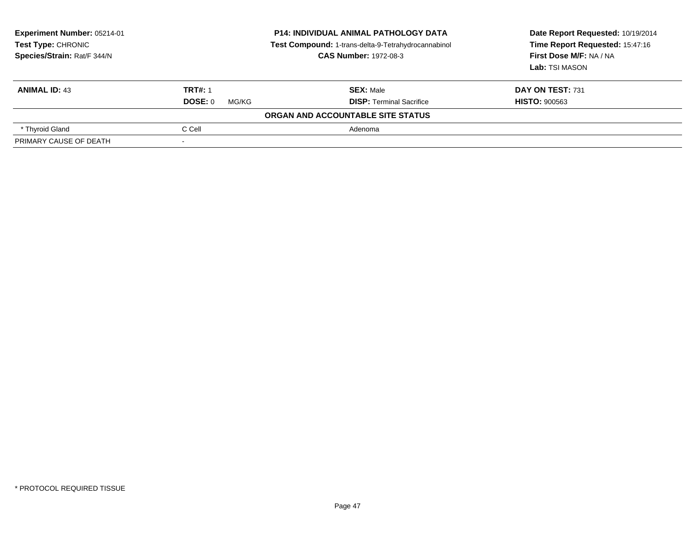| <b>Experiment Number: 05214-01</b><br><b>Test Type: CHRONIC</b><br>Species/Strain: Rat/F 344/N |                  | <b>P14: INDIVIDUAL ANIMAL PATHOLOGY DATA</b><br>Test Compound: 1-trans-delta-9-Tetrahydrocannabinol<br><b>CAS Number: 1972-08-3</b> | Date Report Requested: 10/19/2014<br>Time Report Requested: 15:47:16<br>First Dose M/F: NA / NA<br>Lab: TSI MASON |
|------------------------------------------------------------------------------------------------|------------------|-------------------------------------------------------------------------------------------------------------------------------------|-------------------------------------------------------------------------------------------------------------------|
| <b>ANIMAL ID: 43</b>                                                                           | <b>TRT#: 1</b>   | <b>SEX: Male</b>                                                                                                                    | DAY ON TEST: 731                                                                                                  |
|                                                                                                | DOSE: 0<br>MG/KG | <b>DISP:</b> Terminal Sacrifice                                                                                                     | <b>HISTO: 900563</b>                                                                                              |
|                                                                                                |                  | ORGAN AND ACCOUNTABLE SITE STATUS                                                                                                   |                                                                                                                   |
| * Thyroid Gland                                                                                | C Cell           | Adenoma                                                                                                                             |                                                                                                                   |
| PRIMARY CAUSE OF DEATH                                                                         |                  |                                                                                                                                     |                                                                                                                   |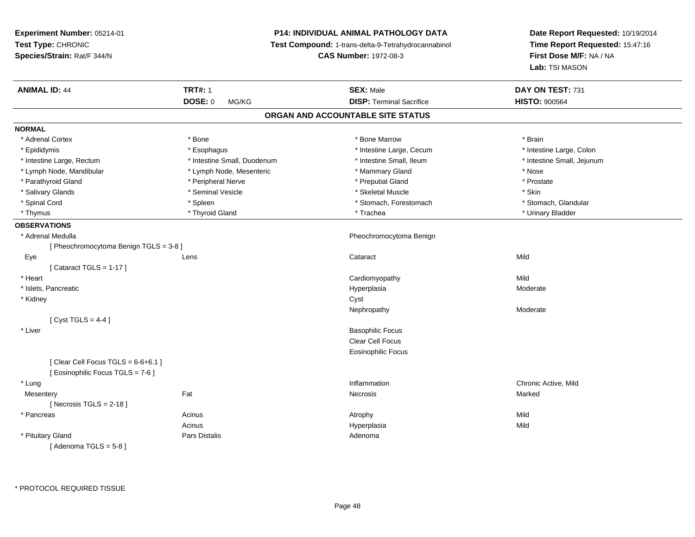**Experiment Number:** 05214-01**Test Type:** CHRONIC **Species/Strain:** Rat/F 344/N**P14: INDIVIDUAL ANIMAL PATHOLOGY DATA Test Compound:** 1-trans-delta-9-Tetrahydrocannabinol **CAS Number:** 1972-08-3**Date Report Requested:** 10/19/2014**Time Report Requested:** 15:47:16**First Dose M/F:** NA / NA**Lab:** TSI MASON**ANIMAL ID:** 44 **TRT#:** <sup>1</sup> **SEX:** Male **DAY ON TEST:** <sup>731</sup> **DOSE:** 0 MG/KG**DISP:** Terminal Sacrifice **HISTO:** 900564 **ORGAN AND ACCOUNTABLE SITE STATUSNORMAL**\* Adrenal Cortex \* Adrenal Cortex \* \* Adrenal Cortex \* Brain \* Bone \* \* Bone Marrow \* Bone Marrow \* \* Brain \* Brain \* Brain \* Brain \* Brain \* Brain \* Brain \* Brain \* Brain \* Brain \* Brain \* Brain \* Brain \* Brain \* Brain \* Brain \* Brain \* B \* Intestine Large, Colon \* Epididymis \* Intestine Large, Cecum \* Esophagus \* Intestine Large, Cecum \* Intestine Large, Cecum \* Intestine Large, Rectum \* Thestine Small, Duodenum \* Number of the small, Ileum \* Intestine Small, Jejunum \* Intestine Small, Jejunum \* Lymph Node, Mandibular \* The same \* Lymph Node, Mesenteric \* Mammary Gland \* Mammary Gland \* Nose \* Prostate \* Parathyroid Gland \* **Arror and \* Peripheral Nerve \*** Parathyroid Gland \* Preputial Gland \* Salivary Glands \* Seminal Vesicle \* Skeletal Muscle \* Skin\* Stomach. Glandular \* Spinal Cord \* Stomach, Forestomach \* Spleen \* Stomach, Forestomach \* Stomach, Forestomach \* Stomach, Glandular \* Thymus \* Thyroid Gland \* Trachea \* Urinary Bladder \* **OBSERVATIONS** \* Adrenal Medulla Pheochromocytoma Benign [ Pheochromocytoma Benign TGLS = 3-8 ] Eyee the contract of the contract of the contract of the contract of the contract of the contract of the contract  $\mathsf{Mild}$  $[$  Cataract TGLS = 1-17  $]$  \* Heart Cardiomyopathyy Mild Moderate \* Islets, Pancreaticc description of the control of the control of the control of the control of the control of the control of the control of the control of the control of the control of the control of the control of the control of the contro a **Moderate**  \* Kidneyy control of the control of the control of the control of the control of the control of the control of the control of the control of the control of the control of the control of the control of the control of the control of Nephropathy Moderate $[$  Cyst TGLS = 4-4  $]$  \* Liver Basophilic Focus Clear Cell Focus Eosinophilic Focus $[$  Clear Cell Focus TGLS = 6-6+6.1  $]$ [ Eosinophilic Focus TGLS = 7-6 ] \* Lungg is a controller to the controller of the controller of the controller of the controller of the chronic Active, Mild **Mesentery** y the control of the Marked States of the Marked States of the Marked States of the Marked States of the Marked States of the Marked States of the Marked States of the Marked States of the Marked States of the Marked State  $[$  Necrosis TGLS = 2-18  $]$  \* Pancreass and the contract of the Acinus and Acinus and Acinus and Acinus Atrophy and Acinus and Mild Mild Acinus Hyperplasiaa Mild \* Pituitary Glandd and the contract of Pars Distalis and the contract of Adenoma and Adenoma and the Adenoma and the Adenoma and  $\lambda$  $[$  Adenoma TGLS =  $5-8$   $]$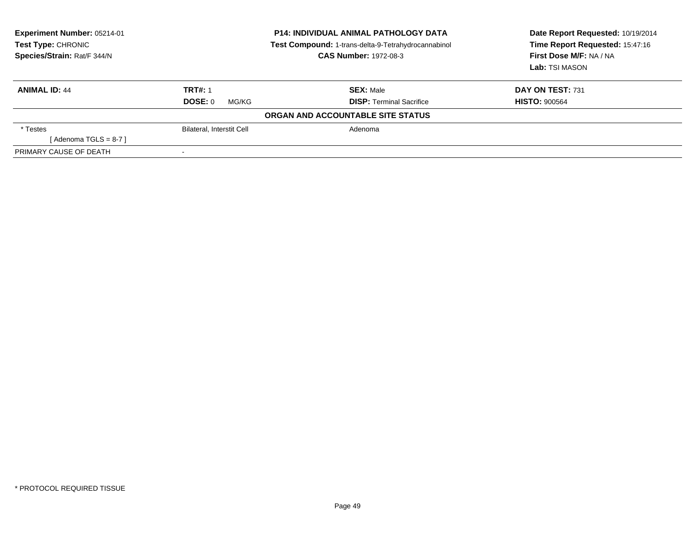| <b>Experiment Number: 05214-01</b><br><b>Test Type: CHRONIC</b><br>Species/Strain: Rat/F 344/N |                                  | <b>P14: INDIVIDUAL ANIMAL PATHOLOGY DATA</b><br>Test Compound: 1-trans-delta-9-Tetrahydrocannabinol<br><b>CAS Number: 1972-08-3</b> | Date Report Requested: 10/19/2014<br>Time Report Requested: 15:47:16<br>First Dose M/F: NA / NA<br>Lab: TSI MASON |
|------------------------------------------------------------------------------------------------|----------------------------------|-------------------------------------------------------------------------------------------------------------------------------------|-------------------------------------------------------------------------------------------------------------------|
| <b>ANIMAL ID: 44</b>                                                                           | <b>TRT#: 1</b>                   | <b>SEX: Male</b>                                                                                                                    | DAY ON TEST: 731                                                                                                  |
|                                                                                                | DOSE: 0<br>MG/KG                 | <b>DISP:</b> Terminal Sacrifice                                                                                                     | <b>HISTO: 900564</b>                                                                                              |
|                                                                                                |                                  | ORGAN AND ACCOUNTABLE SITE STATUS                                                                                                   |                                                                                                                   |
| * Testes                                                                                       | <b>Bilateral, Interstit Cell</b> | Adenoma                                                                                                                             |                                                                                                                   |
| [Adenoma TGLS = $8-7$ ]                                                                        |                                  |                                                                                                                                     |                                                                                                                   |
| PRIMARY CAUSE OF DEATH                                                                         |                                  |                                                                                                                                     |                                                                                                                   |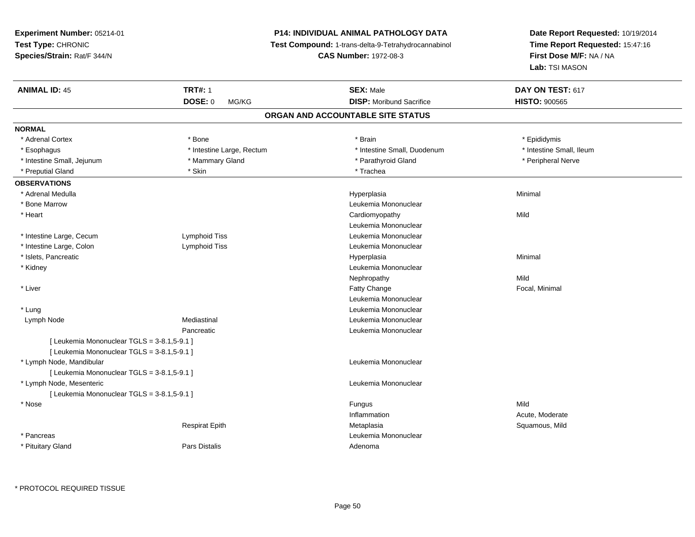# **P14: INDIVIDUAL ANIMAL PATHOLOGY DATA**

**Test Compound:** 1-trans-delta-9-Tetrahydrocannabinol

**CAS Number:** 1972-08-3

| <b>ANIMAL ID: 45</b>                        | <b>TRT#: 1</b>            | <b>SEX: Male</b>                  | DAY ON TEST: 617         |  |
|---------------------------------------------|---------------------------|-----------------------------------|--------------------------|--|
|                                             | <b>DOSE: 0</b><br>MG/KG   | <b>DISP:</b> Moribund Sacrifice   | <b>HISTO: 900565</b>     |  |
|                                             |                           | ORGAN AND ACCOUNTABLE SITE STATUS |                          |  |
| <b>NORMAL</b>                               |                           |                                   |                          |  |
| * Adrenal Cortex                            | * Bone                    | * Brain                           | * Epididymis             |  |
| * Esophagus                                 | * Intestine Large, Rectum | * Intestine Small, Duodenum       | * Intestine Small, Ileum |  |
| * Intestine Small, Jejunum                  | * Mammary Gland           | * Parathyroid Gland               | * Peripheral Nerve       |  |
| * Preputial Gland                           | * Skin                    | * Trachea                         |                          |  |
| <b>OBSERVATIONS</b>                         |                           |                                   |                          |  |
| * Adrenal Medulla                           |                           | Hyperplasia                       | Minimal                  |  |
| * Bone Marrow                               |                           | Leukemia Mononuclear              |                          |  |
| * Heart                                     |                           | Cardiomyopathy                    | Mild                     |  |
|                                             |                           | Leukemia Mononuclear              |                          |  |
| * Intestine Large, Cecum                    | Lymphoid Tiss             | Leukemia Mononuclear              |                          |  |
| * Intestine Large, Colon                    | Lymphoid Tiss             | Leukemia Mononuclear              |                          |  |
| * Islets, Pancreatic                        |                           | Hyperplasia                       | Minimal                  |  |
| * Kidney                                    |                           | Leukemia Mononuclear              |                          |  |
|                                             |                           | Nephropathy                       | Mild                     |  |
| * Liver                                     |                           | Fatty Change                      | Focal, Minimal           |  |
|                                             |                           | Leukemia Mononuclear              |                          |  |
| * Lung                                      |                           | Leukemia Mononuclear              |                          |  |
| Lymph Node                                  | Mediastinal               | Leukemia Mononuclear              |                          |  |
|                                             | Pancreatic                | Leukemia Mononuclear              |                          |  |
| [ Leukemia Mononuclear TGLS = 3-8.1,5-9.1 ] |                           |                                   |                          |  |
| [ Leukemia Mononuclear TGLS = 3-8.1,5-9.1 ] |                           |                                   |                          |  |
| * Lymph Node, Mandibular                    |                           | Leukemia Mononuclear              |                          |  |
| [ Leukemia Mononuclear TGLS = 3-8.1,5-9.1 ] |                           |                                   |                          |  |
| * Lymph Node, Mesenteric                    |                           | Leukemia Mononuclear              |                          |  |
| [ Leukemia Mononuclear TGLS = 3-8.1,5-9.1 ] |                           |                                   |                          |  |
| * Nose                                      |                           | Fungus                            | Mild                     |  |
|                                             |                           | Inflammation                      | Acute, Moderate          |  |
|                                             | <b>Respirat Epith</b>     | Metaplasia                        | Squamous, Mild           |  |
| * Pancreas                                  |                           | Leukemia Mononuclear              |                          |  |
| * Pituitary Gland                           | <b>Pars Distalis</b>      | Adenoma                           |                          |  |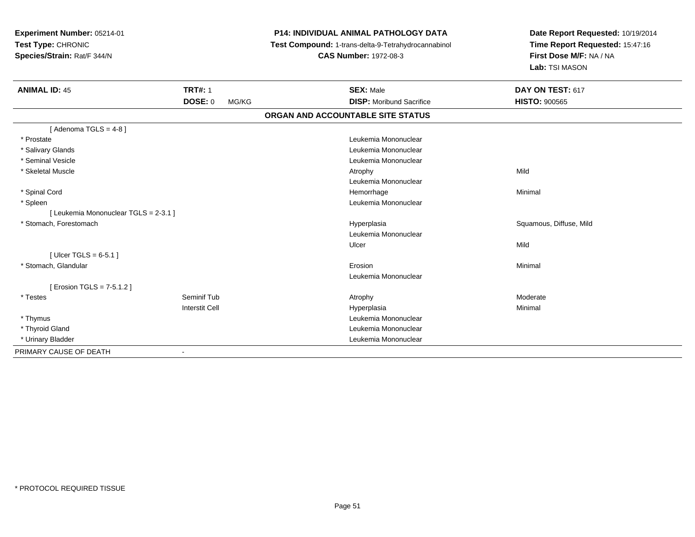| Experiment Number: 05214-01<br>Test Type: CHRONIC<br>Species/Strain: Rat/F 344/N |                         | <b>P14: INDIVIDUAL ANIMAL PATHOLOGY DATA</b><br>Test Compound: 1-trans-delta-9-Tetrahydrocannabinol<br><b>CAS Number: 1972-08-3</b> | Date Report Requested: 10/19/2014<br>Time Report Requested: 15:47:16<br>First Dose M/F: NA / NA<br>Lab: TSI MASON |
|----------------------------------------------------------------------------------|-------------------------|-------------------------------------------------------------------------------------------------------------------------------------|-------------------------------------------------------------------------------------------------------------------|
| <b>ANIMAL ID: 45</b>                                                             | <b>TRT#: 1</b>          | <b>SEX: Male</b>                                                                                                                    | DAY ON TEST: 617                                                                                                  |
|                                                                                  | <b>DOSE: 0</b><br>MG/KG | <b>DISP:</b> Moribund Sacrifice                                                                                                     | <b>HISTO: 900565</b>                                                                                              |
|                                                                                  |                         | ORGAN AND ACCOUNTABLE SITE STATUS                                                                                                   |                                                                                                                   |
| [Adenoma TGLS = $4-8$ ]                                                          |                         |                                                                                                                                     |                                                                                                                   |
| * Prostate                                                                       |                         | Leukemia Mononuclear                                                                                                                |                                                                                                                   |
| * Salivary Glands                                                                |                         | Leukemia Mononuclear                                                                                                                |                                                                                                                   |
| * Seminal Vesicle                                                                |                         | Leukemia Mononuclear                                                                                                                |                                                                                                                   |
| * Skeletal Muscle                                                                |                         | Atrophy                                                                                                                             | Mild                                                                                                              |
|                                                                                  |                         | Leukemia Mononuclear                                                                                                                |                                                                                                                   |
| * Spinal Cord                                                                    |                         | Hemorrhage                                                                                                                          | Minimal                                                                                                           |
| * Spleen                                                                         |                         | Leukemia Mononuclear                                                                                                                |                                                                                                                   |
| [ Leukemia Mononuclear TGLS = 2-3.1 ]                                            |                         |                                                                                                                                     |                                                                                                                   |
| * Stomach, Forestomach                                                           |                         | Hyperplasia                                                                                                                         | Squamous, Diffuse, Mild                                                                                           |
|                                                                                  |                         | Leukemia Mononuclear                                                                                                                |                                                                                                                   |
|                                                                                  |                         | Ulcer                                                                                                                               | Mild                                                                                                              |
| [ Ulcer TGLS = $6-5.1$ ]                                                         |                         |                                                                                                                                     |                                                                                                                   |
| * Stomach, Glandular                                                             |                         | Erosion                                                                                                                             | Minimal                                                                                                           |
|                                                                                  |                         | Leukemia Mononuclear                                                                                                                |                                                                                                                   |
| [ Erosion TGLS = 7-5.1.2 ]                                                       |                         |                                                                                                                                     |                                                                                                                   |
| * Testes                                                                         | Seminif Tub             | Atrophy                                                                                                                             | Moderate                                                                                                          |
|                                                                                  | <b>Interstit Cell</b>   | Hyperplasia                                                                                                                         | Minimal                                                                                                           |
| * Thymus                                                                         |                         | Leukemia Mononuclear                                                                                                                |                                                                                                                   |
| * Thyroid Gland                                                                  |                         | Leukemia Mononuclear                                                                                                                |                                                                                                                   |
| * Urinary Bladder                                                                |                         | Leukemia Mononuclear                                                                                                                |                                                                                                                   |
| PRIMARY CAUSE OF DEATH                                                           | $\blacksquare$          |                                                                                                                                     |                                                                                                                   |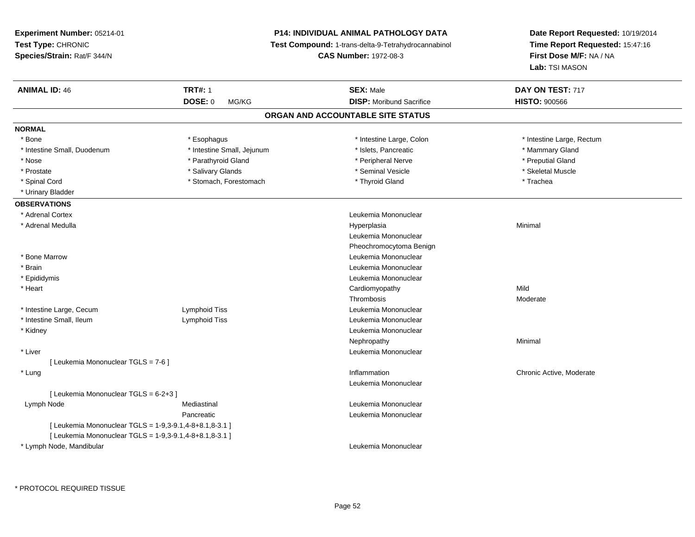**Experiment Number:** 05214-01**Test Type:** CHRONIC **Species/Strain:** Rat/F 344/N**P14: INDIVIDUAL ANIMAL PATHOLOGY DATA Test Compound:** 1-trans-delta-9-Tetrahydrocannabinol **CAS Number:** 1972-08-3**Date Report Requested:** 10/19/2014**Time Report Requested:** 15:47:16**First Dose M/F:** NA / NA**Lab:** TSI MASON**ANIMAL ID:** 46**6 TRT#:** 1 **TRT#:** 1 **SEX:** Male **SEX:** Male **DAY ON TEST:** 717 **DOSE:** 0 MG/KG**DISP:** Moribund Sacrifice **HISTO:**  $900566$ **ORGAN AND ACCOUNTABLE SITE STATUSNORMAL**\* Bone \* Esophagus \* Intestine Large, Colon \* Intestine Large, Colon \* \* Intestine Large, Rectum \* Intestine Small, Duodenum \* Thestine Small, Jejunum \* New York Number of Small, Sejunum \* Islets, Pancreatic \* Mammary Gland \* Preputial Gland \* Nose \* Parathyroid Gland \* Peripheral Nerve \* Preputial Gland \* Skeletal Muscle \* Prostate \* \* Skeletal Muscle \* \* Salivary Glands \* \* Steminal Vesicle \* \* Seminal Vesicle \* \* Skeletal Muscle \* Spinal Cord **\*** Stomach, Forestomach \* Thyroid Gland \* Thomas \* The \* Trachea \* Urinary Bladder**OBSERVATIONS** \* Adrenal Cortex Leukemia Mononuclear \* Adrenal Medullaa and the control of the control of the control of the Hyperplasia and the control of the Minimal of the control of the control of the control of the control of the control of the control of the control of the control of t Leukemia MononuclearPheochromocytoma Benign \* Bone Marrow Leukemia Mononuclear \* Brain Leukemia Mononuclear \* Epididymis Leukemia Mononuclear \* Heart Cardiomyopathyy Mild s Moderate Thrombosis \* Intestine Large, Cecum Lymphoid Tiss Leukemia Mononuclear \* Intestine Small, Ileum Lymphoid Tiss Leukemia Mononuclear \* Kidney Leukemia Mononuclear Nephropathyy the contract of the Minimal Minimal Section 1996 and the contract of the Minimal Section 1997 and the contract of the contract of the contract of the contract of the contract of the contract of the contract of the contra \* Liver Leukemia Mononuclear [ Leukemia Mononuclear TGLS = 7-6 ] \* Lung Inflammation Chronic Active, Moderate Leukemia Mononuclear[ Leukemia Mononuclear TGLS = 6-2+3 ] Lymph Node Mediastinal Leukemia Mononuclear Pancreatic Leukemia Mononuclear [ Leukemia Mononuclear TGLS = 1-9,3-9.1,4-8+8.1,8-3.1 ][ Leukemia Mononuclear TGLS = 1-9,3-9.1,4-8+8.1,8-3.1 ] \* Lymph Node, MandibularLeukemia Mononuclear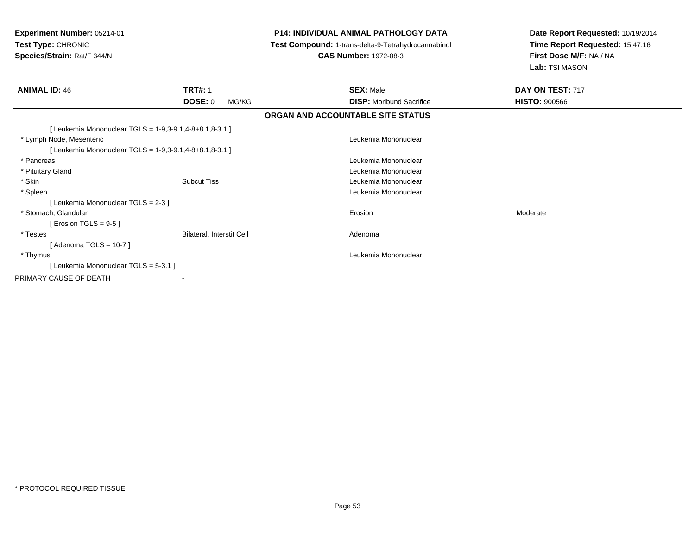| Experiment Number: 05214-01<br>Test Type: CHRONIC<br>Species/Strain: Rat/F 344/N |                           | <b>P14: INDIVIDUAL ANIMAL PATHOLOGY DATA</b><br>Test Compound: 1-trans-delta-9-Tetrahydrocannabinol<br><b>CAS Number: 1972-08-3</b> | Date Report Requested: 10/19/2014<br>Time Report Requested: 15:47:16<br>First Dose M/F: NA / NA<br>Lab: TSI MASON |
|----------------------------------------------------------------------------------|---------------------------|-------------------------------------------------------------------------------------------------------------------------------------|-------------------------------------------------------------------------------------------------------------------|
| <b>ANIMAL ID: 46</b>                                                             | <b>TRT#: 1</b>            | <b>SEX: Male</b>                                                                                                                    | DAY ON TEST: 717                                                                                                  |
|                                                                                  | <b>DOSE: 0</b><br>MG/KG   | <b>DISP:</b> Moribund Sacrifice                                                                                                     | <b>HISTO: 900566</b>                                                                                              |
|                                                                                  |                           | ORGAN AND ACCOUNTABLE SITE STATUS                                                                                                   |                                                                                                                   |
| [ Leukemia Mononuclear TGLS = 1-9,3-9.1,4-8+8.1,8-3.1 ]                          |                           |                                                                                                                                     |                                                                                                                   |
| * Lymph Node, Mesenteric                                                         |                           | Leukemia Mononuclear                                                                                                                |                                                                                                                   |
| [ Leukemia Mononuclear TGLS = 1-9,3-9.1,4-8+8.1,8-3.1 ]                          |                           |                                                                                                                                     |                                                                                                                   |
| * Pancreas                                                                       |                           | Leukemia Mononuclear                                                                                                                |                                                                                                                   |
| * Pituitary Gland                                                                |                           | Leukemia Mononuclear                                                                                                                |                                                                                                                   |
| * Skin                                                                           | <b>Subcut Tiss</b>        | Leukemia Mononuclear                                                                                                                |                                                                                                                   |
| * Spleen                                                                         |                           | Leukemia Mononuclear                                                                                                                |                                                                                                                   |
| [Leukemia Mononuclear TGLS = 2-3]                                                |                           |                                                                                                                                     |                                                                                                                   |
| * Stomach, Glandular                                                             |                           | Erosion                                                                                                                             | Moderate                                                                                                          |
| [ Erosion TGLS = $9-5$ ]                                                         |                           |                                                                                                                                     |                                                                                                                   |
| * Testes                                                                         | Bilateral, Interstit Cell | Adenoma                                                                                                                             |                                                                                                                   |
| [Adenoma TGLS = $10-7$ ]                                                         |                           |                                                                                                                                     |                                                                                                                   |
| * Thymus                                                                         |                           | Leukemia Mononuclear                                                                                                                |                                                                                                                   |
| [Leukemia Mononuclear TGLS = 5-3.1]                                              |                           |                                                                                                                                     |                                                                                                                   |
| PRIMARY CAUSE OF DEATH                                                           |                           |                                                                                                                                     |                                                                                                                   |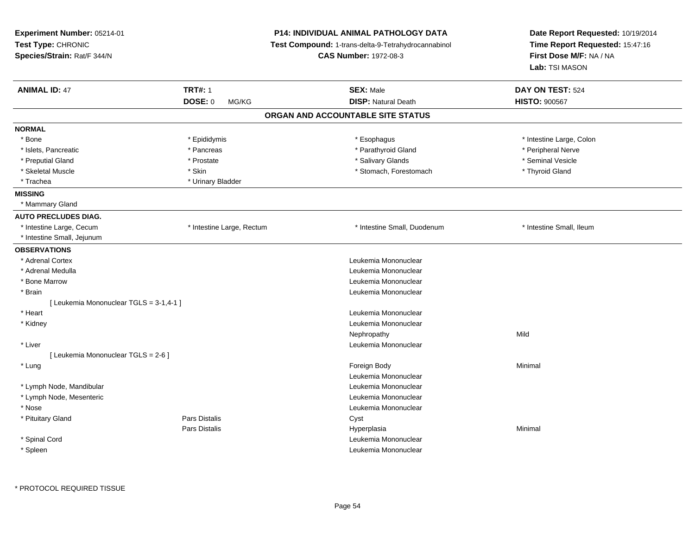| Experiment Number: 05214-01<br>Test Type: CHRONIC<br>Species/Strain: Rat/F 344/N |                                  | <b>P14: INDIVIDUAL ANIMAL PATHOLOGY DATA</b><br>Test Compound: 1-trans-delta-9-Tetrahydrocannabinol<br><b>CAS Number: 1972-08-3</b> | Date Report Requested: 10/19/2014<br>Time Report Requested: 15:47:16<br>First Dose M/F: NA / NA<br>Lab: TSI MASON |
|----------------------------------------------------------------------------------|----------------------------------|-------------------------------------------------------------------------------------------------------------------------------------|-------------------------------------------------------------------------------------------------------------------|
| <b>ANIMAL ID: 47</b>                                                             | <b>TRT#: 1</b><br><b>DOSE: 0</b> | <b>SEX: Male</b><br><b>DISP: Natural Death</b>                                                                                      | DAY ON TEST: 524                                                                                                  |
|                                                                                  | MG/KG                            |                                                                                                                                     | <b>HISTO: 900567</b>                                                                                              |
|                                                                                  |                                  | ORGAN AND ACCOUNTABLE SITE STATUS                                                                                                   |                                                                                                                   |
| <b>NORMAL</b>                                                                    |                                  |                                                                                                                                     |                                                                                                                   |
| * Bone                                                                           | * Epididymis                     | * Esophagus                                                                                                                         | * Intestine Large, Colon                                                                                          |
| * Islets, Pancreatic                                                             | * Pancreas                       | * Parathyroid Gland                                                                                                                 | * Peripheral Nerve                                                                                                |
| * Preputial Gland                                                                | * Prostate                       | * Salivary Glands                                                                                                                   | * Seminal Vesicle                                                                                                 |
| * Skeletal Muscle                                                                | * Skin                           | * Stomach, Forestomach                                                                                                              | * Thyroid Gland                                                                                                   |
| * Trachea                                                                        | * Urinary Bladder                |                                                                                                                                     |                                                                                                                   |
| <b>MISSING</b>                                                                   |                                  |                                                                                                                                     |                                                                                                                   |
| * Mammary Gland                                                                  |                                  |                                                                                                                                     |                                                                                                                   |
| <b>AUTO PRECLUDES DIAG.</b>                                                      |                                  |                                                                                                                                     |                                                                                                                   |
| * Intestine Large, Cecum                                                         | * Intestine Large, Rectum        | * Intestine Small, Duodenum                                                                                                         | * Intestine Small, Ileum                                                                                          |
| * Intestine Small, Jejunum                                                       |                                  |                                                                                                                                     |                                                                                                                   |
| <b>OBSERVATIONS</b>                                                              |                                  |                                                                                                                                     |                                                                                                                   |
| * Adrenal Cortex                                                                 |                                  | Leukemia Mononuclear                                                                                                                |                                                                                                                   |
| * Adrenal Medulla                                                                |                                  | Leukemia Mononuclear                                                                                                                |                                                                                                                   |
| * Bone Marrow                                                                    |                                  | Leukemia Mononuclear                                                                                                                |                                                                                                                   |
| * Brain                                                                          |                                  | Leukemia Mononuclear                                                                                                                |                                                                                                                   |
| [ Leukemia Mononuclear TGLS = 3-1,4-1 ]                                          |                                  |                                                                                                                                     |                                                                                                                   |
| $*$ Heart                                                                        |                                  | Leukemia Mononuclear                                                                                                                |                                                                                                                   |
| * Kidney                                                                         |                                  | Leukemia Mononuclear                                                                                                                |                                                                                                                   |
|                                                                                  |                                  | Nephropathy                                                                                                                         | Mild                                                                                                              |
| * Liver                                                                          |                                  | Leukemia Mononuclear                                                                                                                |                                                                                                                   |
| [ Leukemia Mononuclear TGLS = 2-6 ]                                              |                                  |                                                                                                                                     |                                                                                                                   |
| * Lung                                                                           |                                  | Foreign Body                                                                                                                        | Minimal                                                                                                           |
|                                                                                  |                                  | Leukemia Mononuclear                                                                                                                |                                                                                                                   |
| * Lymph Node, Mandibular                                                         |                                  | Leukemia Mononuclear                                                                                                                |                                                                                                                   |
| * Lymph Node, Mesenteric                                                         |                                  | Leukemia Mononuclear                                                                                                                |                                                                                                                   |
| * Nose                                                                           |                                  | Leukemia Mononuclear                                                                                                                |                                                                                                                   |
| * Pituitary Gland                                                                | <b>Pars Distalis</b>             | Cyst                                                                                                                                |                                                                                                                   |
|                                                                                  | <b>Pars Distalis</b>             | Hyperplasia                                                                                                                         | Minimal                                                                                                           |
| * Spinal Cord                                                                    |                                  | Leukemia Mononuclear                                                                                                                |                                                                                                                   |
| * Spleen                                                                         |                                  | Leukemia Mononuclear                                                                                                                |                                                                                                                   |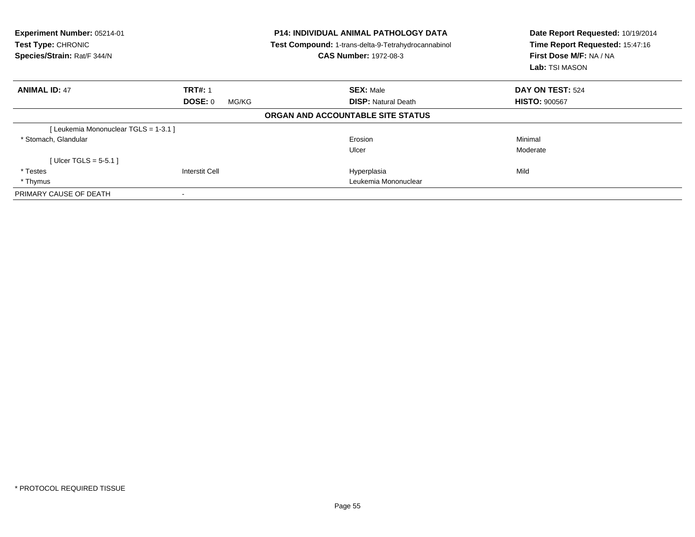| Experiment Number: 05214-01<br>Test Type: CHRONIC<br>Species/Strain: Rat/F 344/N |                          | <b>P14: INDIVIDUAL ANIMAL PATHOLOGY DATA</b><br>Test Compound: 1-trans-delta-9-Tetrahydrocannabinol<br><b>CAS Number: 1972-08-3</b> | Date Report Requested: 10/19/2014<br>Time Report Requested: 15:47:16<br>First Dose M/F: NA / NA<br>Lab: TSI MASON |
|----------------------------------------------------------------------------------|--------------------------|-------------------------------------------------------------------------------------------------------------------------------------|-------------------------------------------------------------------------------------------------------------------|
| <b>ANIMAL ID: 47</b>                                                             | <b>TRT#: 1</b>           | <b>SEX: Male</b>                                                                                                                    | DAY ON TEST: 524                                                                                                  |
|                                                                                  | <b>DOSE: 0</b><br>MG/KG  | <b>DISP: Natural Death</b>                                                                                                          | <b>HISTO: 900567</b>                                                                                              |
|                                                                                  |                          | ORGAN AND ACCOUNTABLE SITE STATUS                                                                                                   |                                                                                                                   |
| [Leukemia Mononuclear TGLS = 1-3.1]                                              |                          |                                                                                                                                     |                                                                                                                   |
| * Stomach, Glandular                                                             |                          | Erosion                                                                                                                             | Minimal                                                                                                           |
|                                                                                  |                          | Ulcer                                                                                                                               | Moderate                                                                                                          |
| [Ulcer TGLS = $5-5.1$ ]                                                          |                          |                                                                                                                                     |                                                                                                                   |
| * Testes                                                                         | Interstit Cell           | Hyperplasia                                                                                                                         | Mild                                                                                                              |
| * Thymus                                                                         |                          | Leukemia Mononuclear                                                                                                                |                                                                                                                   |
| PRIMARY CAUSE OF DEATH                                                           | $\overline{\phantom{a}}$ |                                                                                                                                     |                                                                                                                   |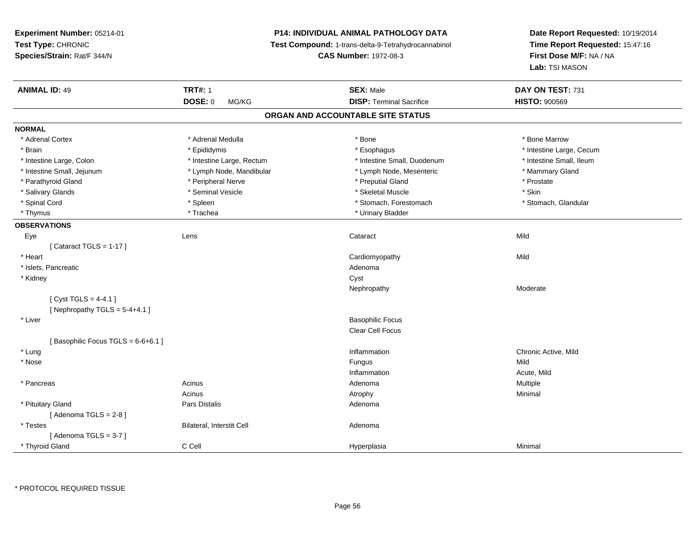**Experiment Number:** 05214-01**Test Type:** CHRONIC **Species/Strain:** Rat/F 344/N**P14: INDIVIDUAL ANIMAL PATHOLOGY DATA Test Compound:** 1-trans-delta-9-Tetrahydrocannabinol **CAS Number:** 1972-08-3**Date Report Requested:** 10/19/2014**Time Report Requested:** 15:47:16**First Dose M/F:** NA / NA**Lab:** TSI MASON**ANIMAL ID:** 49 **TRT#:** <sup>1</sup> **SEX:** Male **DAY ON TEST:** <sup>731</sup> **DOSE:** 0 MG/KG**DISP:** Terminal Sacrifice **HISTO:**  $900569$ **ORGAN AND ACCOUNTABLE SITE STATUSNORMAL**\* Adrenal Cortex \* Adrenal Medulla \* Adrenal Medulla \* Bone \* Bone \* Bone \* Bone \* Bone Marrow \* Brain \* Explorer \* Epididymis \* \* Epididymis \* \* Esophagus \* Esophagus \* \* Esophagus \* Intestine Large, Cecum \* \* Intestine Large, Cecum \* Intestine Small, Ileum \* Intestine Large, Colon \* Intestine Large, Rectum \* Intestine Small, Duodenum \* Intestine Small, Duodenum \* Intestine Small, Jejunum \* The mannery Gland \* Lymph Node, Mandibular \* The mannery Stand \* Mammary Gland \* Mammary Gland \* Parathyroid Gland \* Peripheral Nerve \* \* Peripheral Nerve \* \* Preputial Gland \* \* Preputial Gland \* Prostate \* Salivary Glands \* Seminal Vesicle \* Skeletal Muscle \* Skin\* Stomach, Glandular \* Spinal Cord \* Spinal Cord \* Spinal Cord \* Stomach, Forestomach \* Stomach, Forestomach \* Stomach, Forestomach \* Thymus \* Trachea \* Trachea \* Urinary Bladder **OBSERVATIONS** Eyee the contract of the contract of the contract of the contract of the contract of the contract of the contract  $\mathsf{Mild}$  $[$  Cataract TGLS = 1-17  $]$  \* Heart Cardiomyopathyy Mild \* Islets, Pancreaticc and the contract of the contract of the contract of the contract of the contract of the contract of the contract of the contract of the contract of the contract of the contract of the contract of the contract of the cont \* Kidneyy control of the control of the control of the control of the control of the control of the control of the control of the control of the control of the control of the control of the control of the control of the control of Nephropathy Moderate $[$  Cyst TGLS = 4-4.1  $]$  $[$  Nephropathy TGLS = 5-4+4.1 ] \* Liver Basophilic Focus Clear Cell Focus[ Basophilic Focus TGLS =  $6-6+6.1$  ] \* Lungg is a controller to the controller of the controller of the controller of the controller of the chronic Active, Mild \* Nosee and the state of the state of the state of the state of the state of the state of the state of the state of the state of the state of the state of the state of the state of the state of the state of the state of the stat Inflammation Acute, Mild \* Pancreas Acinus AdenomaAdenoma Multiple Acinuss and the control of the Atrophy Atrophy and the Control of Minimal Minimal Section 4.1 ( $\sim$  2011) \* Pituitary Glandd and the contract of Pars Distalis and the contract of Adenoma and Adenoma and the Adenoma and the Adenoma and  $\lambda$  $[$  Adenoma TGLS = 2-8  $]$  \* TestesBilateral, Interstit Cell **Adenoma** Adenoma [ Adenoma TGLS = 3-7 ] \* Thyroid GlandC Cell Hyperplasia Minimal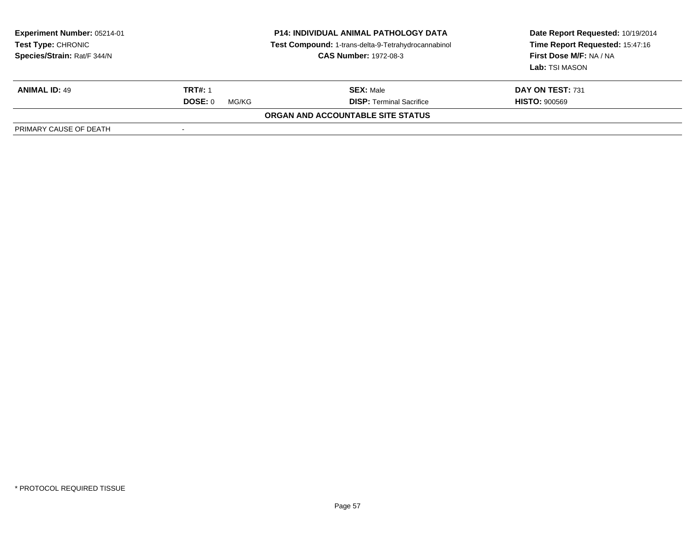| <b>Experiment Number: 05214-01</b><br>Test Type: CHRONIC<br>Species/Strain: Rat/F 344/N | <b>P14: INDIVIDUAL ANIMAL PATHOLOGY DATA</b><br>Test Compound: 1-trans-delta-9-Tetrahydrocannabinol<br><b>CAS Number: 1972-08-3</b> |                                   | Date Report Requested: 10/19/2014<br>Time Report Requested: 15:47:16<br><b>First Dose M/F: NA / NA</b><br>Lab: TSI MASON |
|-----------------------------------------------------------------------------------------|-------------------------------------------------------------------------------------------------------------------------------------|-----------------------------------|--------------------------------------------------------------------------------------------------------------------------|
| <b>ANIMAL ID: 49</b>                                                                    | <b>TRT#: 1</b>                                                                                                                      | <b>SEX: Male</b>                  | <b>DAY ON TEST: 731</b>                                                                                                  |
|                                                                                         | DOSE: 0<br>MG/KG                                                                                                                    | <b>DISP: Terminal Sacrifice</b>   | <b>HISTO: 900569</b>                                                                                                     |
|                                                                                         |                                                                                                                                     | ORGAN AND ACCOUNTABLE SITE STATUS |                                                                                                                          |
| PRIMARY CAUSE OF DEATH                                                                  |                                                                                                                                     |                                   |                                                                                                                          |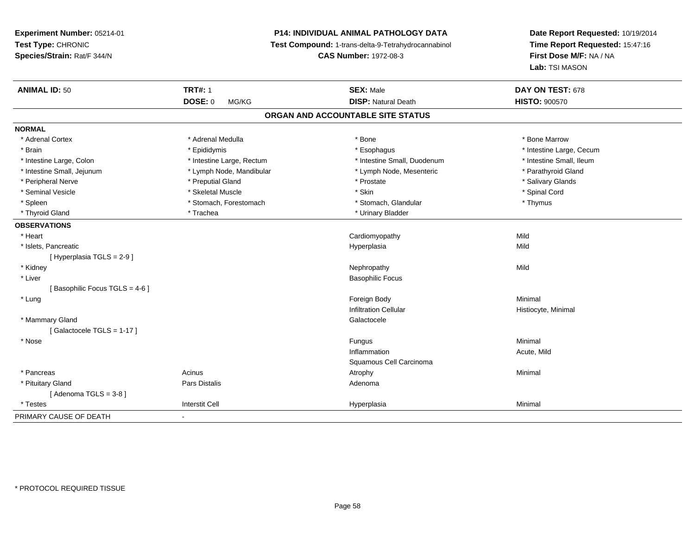# **P14: INDIVIDUAL ANIMAL PATHOLOGY DATA**

**Test Compound:** 1-trans-delta-9-Tetrahydrocannabinol

**CAS Number:** 1972-08-3

| <b>ANIMAL ID: 50</b>          | <b>TRT#: 1</b>            | <b>SEX: Male</b>                  | DAY ON TEST: 678         |
|-------------------------------|---------------------------|-----------------------------------|--------------------------|
|                               | <b>DOSE: 0</b><br>MG/KG   | <b>DISP: Natural Death</b>        | <b>HISTO: 900570</b>     |
|                               |                           | ORGAN AND ACCOUNTABLE SITE STATUS |                          |
| <b>NORMAL</b>                 |                           |                                   |                          |
| * Adrenal Cortex              | * Adrenal Medulla         | * Bone                            | * Bone Marrow            |
| * Brain                       | * Epididymis              | * Esophagus                       | * Intestine Large, Cecum |
| * Intestine Large, Colon      | * Intestine Large, Rectum | * Intestine Small, Duodenum       | * Intestine Small, Ileum |
| * Intestine Small, Jejunum    | * Lymph Node, Mandibular  | * Lymph Node, Mesenteric          | * Parathyroid Gland      |
| * Peripheral Nerve            | * Preputial Gland         | * Prostate                        | * Salivary Glands        |
| * Seminal Vesicle             | * Skeletal Muscle         | * Skin                            | * Spinal Cord            |
| * Spleen                      | * Stomach, Forestomach    | * Stomach, Glandular              | * Thymus                 |
| * Thyroid Gland               | * Trachea                 | * Urinary Bladder                 |                          |
| <b>OBSERVATIONS</b>           |                           |                                   |                          |
| * Heart                       |                           | Cardiomyopathy                    | Mild                     |
| * Islets, Pancreatic          |                           | Hyperplasia                       | Mild                     |
| [Hyperplasia TGLS = $2-9$ ]   |                           |                                   |                          |
| * Kidney                      |                           | Nephropathy                       | Mild                     |
| * Liver                       |                           | <b>Basophilic Focus</b>           |                          |
| [Basophilic Focus TGLS = 4-6] |                           |                                   |                          |
| * Lung                        |                           | Foreign Body                      | Minimal                  |
|                               |                           | <b>Infiltration Cellular</b>      | Histiocyte, Minimal      |
| * Mammary Gland               |                           | Galactocele                       |                          |
| [Galactocele TGLS = 1-17]     |                           |                                   |                          |
| * Nose                        |                           | Fungus                            | Minimal                  |
|                               |                           | Inflammation                      | Acute, Mild              |
|                               |                           | Squamous Cell Carcinoma           |                          |
| * Pancreas                    | Acinus                    | Atrophy                           | Minimal                  |
| * Pituitary Gland             | Pars Distalis             | Adenoma                           |                          |
| [Adenoma TGLS = $3-8$ ]       |                           |                                   |                          |
| * Testes                      | <b>Interstit Cell</b>     | Hyperplasia                       | Minimal                  |
| PRIMARY CAUSE OF DEATH        | $\sim$                    |                                   |                          |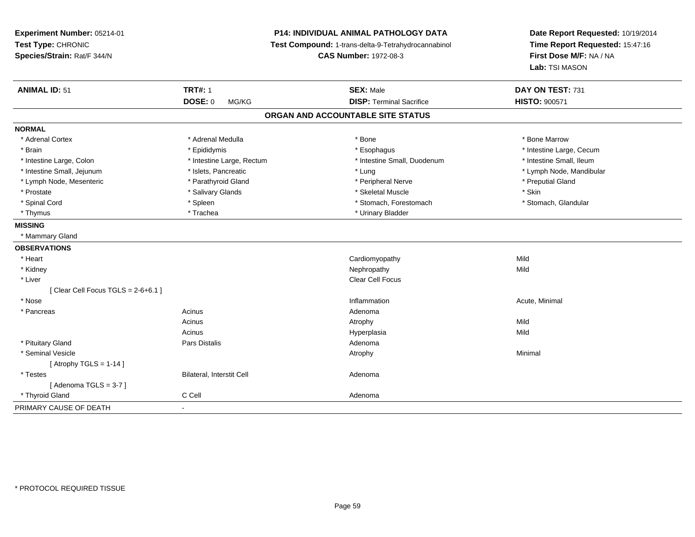| Experiment Number: 05214-01<br>Test Type: CHRONIC<br>Species/Strain: Rat/F 344/N | P14: INDIVIDUAL ANIMAL PATHOLOGY DATA<br>Test Compound: 1-trans-delta-9-Tetrahydrocannabinol<br><b>CAS Number: 1972-08-3</b> |                                   | Date Report Requested: 10/19/2014<br>Time Report Requested: 15:47:16<br>First Dose M/F: NA / NA<br>Lab: TSI MASON |
|----------------------------------------------------------------------------------|------------------------------------------------------------------------------------------------------------------------------|-----------------------------------|-------------------------------------------------------------------------------------------------------------------|
| <b>ANIMAL ID: 51</b>                                                             | <b>TRT#: 1</b>                                                                                                               | <b>SEX: Male</b>                  | DAY ON TEST: 731                                                                                                  |
|                                                                                  | <b>DOSE: 0</b><br>MG/KG                                                                                                      | <b>DISP: Terminal Sacrifice</b>   | <b>HISTO: 900571</b>                                                                                              |
|                                                                                  |                                                                                                                              | ORGAN AND ACCOUNTABLE SITE STATUS |                                                                                                                   |
| <b>NORMAL</b>                                                                    |                                                                                                                              |                                   |                                                                                                                   |
| * Adrenal Cortex                                                                 | * Adrenal Medulla                                                                                                            | * Bone                            | * Bone Marrow                                                                                                     |
| * Brain                                                                          | * Epididymis                                                                                                                 | * Esophagus                       | * Intestine Large, Cecum                                                                                          |
| * Intestine Large, Colon                                                         | * Intestine Large, Rectum                                                                                                    | * Intestine Small, Duodenum       | * Intestine Small, Ileum                                                                                          |
| * Intestine Small, Jejunum                                                       | * Islets, Pancreatic                                                                                                         | * Lung                            | * Lymph Node, Mandibular                                                                                          |
| * Lymph Node, Mesenteric                                                         | * Parathyroid Gland                                                                                                          | * Peripheral Nerve                | * Preputial Gland                                                                                                 |
| * Prostate                                                                       | * Salivary Glands                                                                                                            | * Skeletal Muscle                 | * Skin                                                                                                            |
| * Spinal Cord                                                                    | * Spleen                                                                                                                     | * Stomach, Forestomach            | * Stomach, Glandular                                                                                              |
| * Thymus                                                                         | * Trachea                                                                                                                    | * Urinary Bladder                 |                                                                                                                   |
| <b>MISSING</b>                                                                   |                                                                                                                              |                                   |                                                                                                                   |
| * Mammary Gland                                                                  |                                                                                                                              |                                   |                                                                                                                   |
| <b>OBSERVATIONS</b>                                                              |                                                                                                                              |                                   |                                                                                                                   |
| * Heart                                                                          |                                                                                                                              | Cardiomyopathy                    | Mild                                                                                                              |
| * Kidney                                                                         |                                                                                                                              | Nephropathy                       | Mild                                                                                                              |
| * Liver                                                                          |                                                                                                                              | Clear Cell Focus                  |                                                                                                                   |
| [Clear Cell Focus TGLS = $2-6+6.1$ ]                                             |                                                                                                                              |                                   |                                                                                                                   |
| * Nose                                                                           |                                                                                                                              | Inflammation                      | Acute, Minimal                                                                                                    |
| * Pancreas                                                                       | Acinus                                                                                                                       | Adenoma                           |                                                                                                                   |
|                                                                                  | Acinus                                                                                                                       | Atrophy                           | Mild                                                                                                              |
|                                                                                  | Acinus                                                                                                                       | Hyperplasia                       | Mild                                                                                                              |
| * Pituitary Gland                                                                | Pars Distalis                                                                                                                | Adenoma                           |                                                                                                                   |
| * Seminal Vesicle                                                                |                                                                                                                              | Atrophy                           | Minimal                                                                                                           |
| [Atrophy TGLS = $1-14$ ]                                                         |                                                                                                                              |                                   |                                                                                                                   |
| * Testes                                                                         | Bilateral, Interstit Cell                                                                                                    | Adenoma                           |                                                                                                                   |
| [Adenoma TGLS = $3-7$ ]                                                          |                                                                                                                              |                                   |                                                                                                                   |
| * Thyroid Gland                                                                  | C Cell                                                                                                                       | Adenoma                           |                                                                                                                   |
| PRIMARY CAUSE OF DEATH                                                           | ÷.                                                                                                                           |                                   |                                                                                                                   |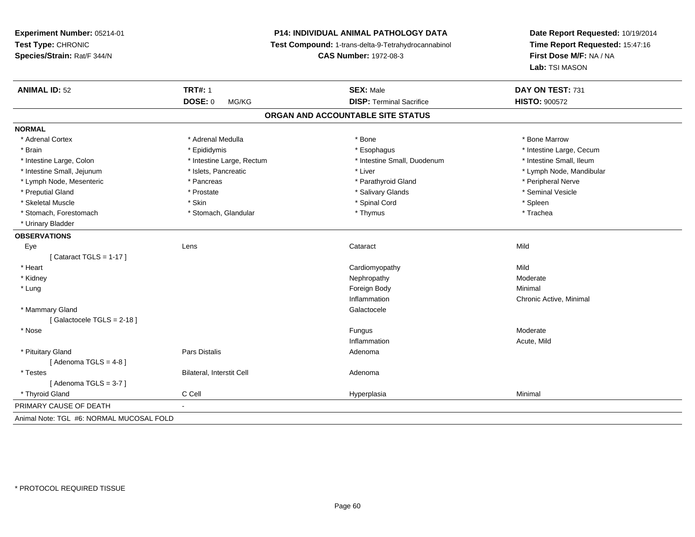**Experiment Number:** 05214-01**Test Type:** CHRONIC **Species/Strain:** Rat/F 344/N**P14: INDIVIDUAL ANIMAL PATHOLOGY DATA Test Compound:** 1-trans-delta-9-Tetrahydrocannabinol **CAS Number:** 1972-08-3**Date Report Requested:** 10/19/2014**Time Report Requested:** 15:47:16**First Dose M/F:** NA / NA**Lab:** TSI MASON**ANIMAL ID:** 52**TRT#:** 1 **SEX:** Male **DAY ON TEST:** 731 **DOSE:** 0 MG/KG **DISP:** Terminal Sacrifice **HISTO:** <sup>900572</sup> **ORGAN AND ACCOUNTABLE SITE STATUSNORMAL**\* Adrenal Cortex \* Adrenal Medulla \* Adrenal Medulla \* Bone \* Bone \* Bone \* Bone \* Bone Marrow \* Brain \* Explorer \* Epididymis \* \* Epididymis \* \* Esophagus \* Esophagus \* \* Esophagus \* Intestine Large, Cecum \* \* Intestine Large, Cecum \* Intestine Small, Ileum \* Intestine Large, Colon \* Intestine Large, Rectum \* Intestine Small, Duodenum \* Intestine Small, Duodenum \* Intestine Small, Jejunum \* \* et \* \* http://www.fat.com/mandibulary.com/mandibulary/state/state/state/state/state/state/state/state/state/state/state/state/state/state/state/state/state/state/state/state/state/state/state \* Lymph Node, Mesenteric \* Pancreas \* Parathyroid Gland \* Peripheral Nerve\* Seminal Vesicle \* Preputial Gland \* \* Annual vesicle \* \* Prostate \* \* Salivary Glands \* \* Salivary Glands \* \* Seminal Vesicle \* \* Skeletal Muscle \* Skin \* Spinal Cord \* Spleen \* Trachea \* Stomach, Forestomach \* Thymus \* Stomach, Glandular \* Thymus \* Thymus \* Thymus \* Thymus \* Thymus \* Thymus \* Thymus \* Thymus \* Thymus \* Thymus \* Thymus \* Thymus \* Thymus \* Thymus \* Thymus \* Thymus \* Thymus \* Thymus \* Thymu \* Urinary Bladder**OBSERVATIONS** Eyee the contract of the contract of the contract of the contract of the contract of the contract of the contract  $\mathsf{Mild}$  $[$  Cataract TGLS = 1-17  $]$  \* Heart Cardiomyopathyy Mild Moderate \* Kidneyy which is a state of the control of the Moderate of the Moderate of the Moderate of the Moderate of the Moderate of the Moderate of the Moderate of the Moderate of the Moderate of the Moderate of the Moderate of the Moder \* Lungg and the state of the state of the state of the state of the state of the state of the state of the state of the state of the state of the state of the state of the state of the state of the state of the state of the stat InflammationInflammation **Exercise Server Active** Chronic Active, Minimal Galactocele \* Mammary Glandd Galactocele in the control of the control of the control of the Calactocele of the Calactocele [ Galactocele TGLS = 2-18 ] \* Nosee de la contrate de la contrate de la contrate de la contrate de la contrate de la contrate de la contrate de l<br>Desdevenirs de la contrate de la contrate de la contrate de la contrate de la contrate de la contrate de la co Inflammation Acute, Mild \* Pituitary Glandd and the contract of Pars Distalis and the contract of Adenoma and Adenoma and the Adenoma and the Adenoma and  $\lambda$  $[$  Adenoma TGLS = 4-8  $]$  \* TestesBilateral, Interstit Cell **Adenoma** Adenoma  $[$  Adenoma TGLS = 3-7  $]$  \* Thyroid Gland C Cell Hyperplasia Minimal PRIMARY CAUSE OF DEATH - Animal Note: TGL #6: NORMAL MUCOSAL FOLD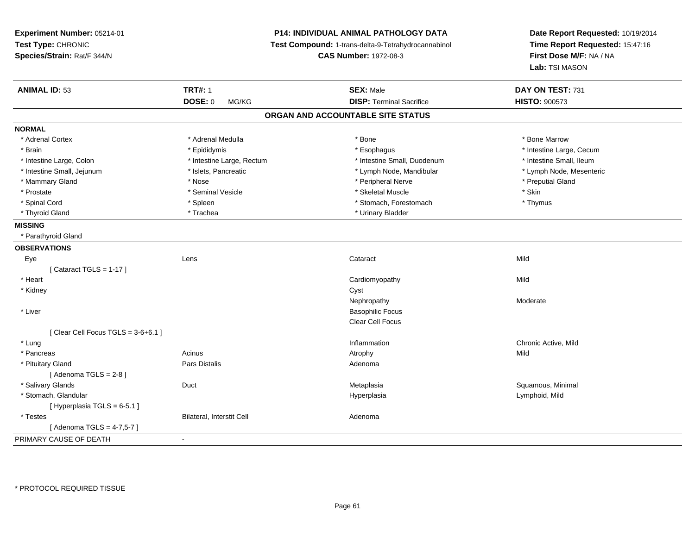| Experiment Number: 05214-01<br>Test Type: CHRONIC<br>Species/Strain: Rat/F 344/N | P14: INDIVIDUAL ANIMAL PATHOLOGY DATA<br>Test Compound: 1-trans-delta-9-Tetrahydrocannabinol<br><b>CAS Number: 1972-08-3</b> |                                   | Date Report Requested: 10/19/2014<br>Time Report Requested: 15:47:16<br>First Dose M/F: NA / NA<br>Lab: TSI MASON |  |
|----------------------------------------------------------------------------------|------------------------------------------------------------------------------------------------------------------------------|-----------------------------------|-------------------------------------------------------------------------------------------------------------------|--|
| <b>ANIMAL ID: 53</b>                                                             | <b>TRT#: 1</b>                                                                                                               | <b>SEX: Male</b>                  | DAY ON TEST: 731                                                                                                  |  |
|                                                                                  | <b>DOSE: 0</b><br>MG/KG                                                                                                      | <b>DISP: Terminal Sacrifice</b>   | <b>HISTO: 900573</b>                                                                                              |  |
|                                                                                  |                                                                                                                              | ORGAN AND ACCOUNTABLE SITE STATUS |                                                                                                                   |  |
| <b>NORMAL</b>                                                                    |                                                                                                                              |                                   |                                                                                                                   |  |
| * Adrenal Cortex                                                                 | * Adrenal Medulla                                                                                                            | * Bone                            | * Bone Marrow                                                                                                     |  |
| * Brain                                                                          | * Epididymis                                                                                                                 | * Esophagus                       | * Intestine Large, Cecum                                                                                          |  |
| * Intestine Large, Colon                                                         | * Intestine Large, Rectum                                                                                                    | * Intestine Small, Duodenum       | * Intestine Small, Ileum                                                                                          |  |
| * Intestine Small, Jejunum                                                       | * Islets, Pancreatic                                                                                                         | * Lymph Node, Mandibular          | * Lymph Node, Mesenteric                                                                                          |  |
| * Mammary Gland                                                                  | * Nose                                                                                                                       | * Peripheral Nerve                | * Preputial Gland                                                                                                 |  |
| * Prostate                                                                       | * Seminal Vesicle                                                                                                            | * Skeletal Muscle                 | * Skin                                                                                                            |  |
| * Spinal Cord                                                                    | * Spleen                                                                                                                     | * Stomach, Forestomach            | * Thymus                                                                                                          |  |
| * Thyroid Gland                                                                  | * Trachea                                                                                                                    | * Urinary Bladder                 |                                                                                                                   |  |
| <b>MISSING</b>                                                                   |                                                                                                                              |                                   |                                                                                                                   |  |
| * Parathyroid Gland                                                              |                                                                                                                              |                                   |                                                                                                                   |  |
| <b>OBSERVATIONS</b>                                                              |                                                                                                                              |                                   |                                                                                                                   |  |
| Eye                                                                              | Lens                                                                                                                         | Cataract                          | Mild                                                                                                              |  |
| [Cataract TGLS = $1-17$ ]                                                        |                                                                                                                              |                                   |                                                                                                                   |  |
| * Heart                                                                          |                                                                                                                              | Cardiomyopathy                    | Mild                                                                                                              |  |
| * Kidney                                                                         |                                                                                                                              | Cyst                              |                                                                                                                   |  |
|                                                                                  |                                                                                                                              | Nephropathy                       | Moderate                                                                                                          |  |
| * Liver                                                                          |                                                                                                                              | <b>Basophilic Focus</b>           |                                                                                                                   |  |
|                                                                                  |                                                                                                                              | Clear Cell Focus                  |                                                                                                                   |  |
| [Clear Cell Focus TGLS = 3-6+6.1]                                                |                                                                                                                              |                                   |                                                                                                                   |  |
| * Lung                                                                           |                                                                                                                              | Inflammation                      | Chronic Active, Mild                                                                                              |  |
| * Pancreas                                                                       | Acinus                                                                                                                       | Atrophy                           | Mild                                                                                                              |  |
| * Pituitary Gland                                                                | Pars Distalis                                                                                                                | Adenoma                           |                                                                                                                   |  |
| [Adenoma TGLS = $2-8$ ]                                                          |                                                                                                                              |                                   |                                                                                                                   |  |
| * Salivary Glands                                                                | Duct                                                                                                                         | Metaplasia                        | Squamous, Minimal                                                                                                 |  |
| * Stomach, Glandular                                                             |                                                                                                                              | Hyperplasia                       | Lymphoid, Mild                                                                                                    |  |
| [Hyperplasia TGLS = $6-5.1$ ]                                                    |                                                                                                                              |                                   |                                                                                                                   |  |
| * Testes                                                                         | <b>Bilateral, Interstit Cell</b>                                                                                             | Adenoma                           |                                                                                                                   |  |
| [ Adenoma TGLS = 4-7,5-7 ]                                                       |                                                                                                                              |                                   |                                                                                                                   |  |
| PRIMARY CAUSE OF DEATH                                                           | $\blacksquare$                                                                                                               |                                   |                                                                                                                   |  |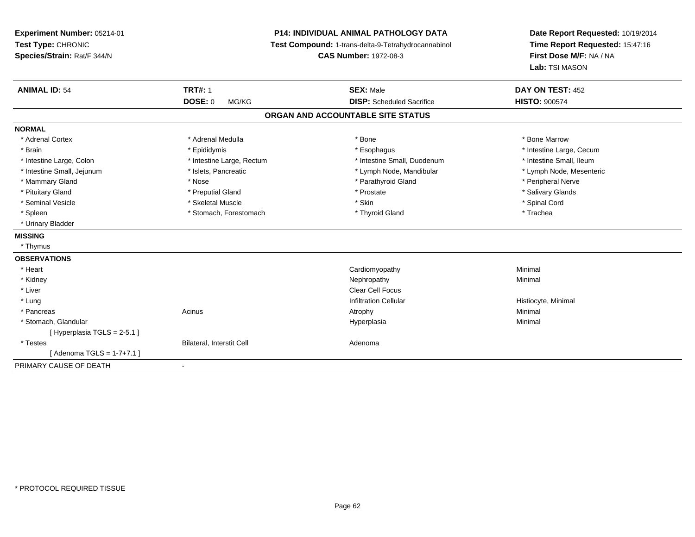**Experiment Number:** 05214-01**Test Type:** CHRONIC **Species/Strain:** Rat/F 344/N**P14: INDIVIDUAL ANIMAL PATHOLOGY DATA Test Compound:** 1-trans-delta-9-Tetrahydrocannabinol **CAS Number:** 1972-08-3**Date Report Requested:** 10/19/2014**Time Report Requested:** 15:47:16**First Dose M/F:** NA / NA**Lab:** TSI MASON**ANIMAL ID:** 54**TRT#:** 1 **SEX:** Male **DAY ON TEST:** 452 **DOSE:** 0 MG/KG **DISP:** Scheduled Sacrifice **HISTO:** <sup>900574</sup> **ORGAN AND ACCOUNTABLE SITE STATUSNORMAL**\* Adrenal Cortex \* Adrenal Medulla \* Adrenal Medulla \* Bone \* Bone \* Bone \* Bone \* Bone Marrow \* Brain \* Explorer \* Epididymis \* \* Epididymis \* \* Esophagus \* Esophagus \* \* Esophagus \* Intestine Large, Cecum \* \* Intestine Large, Cecum \* Intestine Small, Ileum \* Intestine Large, Colon \* Intestine Large, Rectum \* Intestine Small, Duodenum \* Intestine Small, Duodenum \* Lymph Node, Mesenteric \* Intestine Small, Jejunum \* Mandibular \* Islets, Pancreatic \* Mandibular \* Lymph Node, Mandibular \* Mammary Gland \* \* Annume \* Nose \* \* Nose \* \* Parathyroid Gland \* Peripheral Nerve \* Peripheral Nerve \* \* Peripheral Nerve \* \* Peripheral Nerve \* \* Peripheral Nerve \* \* Peripheral Nerve \* \* Peripheral Nerve \* \* \* \* \* \* \* \* Salivary Glands \* Pituitary Gland \* \* Then the state \* Preputial Gland \* Prosection \* Prostate \* \* Salivary Glands \* Salivary Glands \* Salivary Glands \* Salivary Glands \* Salivary Glands \* Salivary Glands \* Salivary Glands \* Salivary Glan \* Seminal Vesicle \* \* Spinal Cord \* Skeletal Muscle \* \* Skin \* \* Skin \* \* Spinal Vesicle \* Spinal Cord \* Spinal Cord \* Spleen \* Stomach, Forestomach \* Thyroid Gland \* Thomas \* The the store and the store and the store and the store and the store and the store and the store and the store and the store and the store and the store and the s \* Urinary Bladder**MISSING** \* Thymus**OBSERVATIONS** \* Heart Cardiomyopathy Minimal \* Kidneyy the control of the control of the control of the control of the control of the control of the control of the control of the control of the control of the control of the control of the control of the control of the contro \* Liverr and the contract of the contract of the contract of the contract of the contract of the contract of the contract of the contract of the contract of the contract of the contract of the contract of the contract of the cont **Infiltration Cellular**  \* Lungg is a constant of the contract of the construction Cellular and the construction Cellular construction Cellular Histiocyte, Minimal Democration Cellular and Histiocyte, Minimal Democration Cellular and Democration Cellula \* Pancreass the control of the control of the control of the control of the control of the control of the control of the control of the control of the control of the control of the control of the control of the control of the contro \* Stomach, Glandular Hyperplasiaa **Minimal** [ Hyperplasia TGLS = 2-5.1 ] \* TestesBilateral, Interstit Cell **Adenoma** Adenoma  $[$  Adenoma TGLS = 1-7+7.1  $]$ PRIMARY CAUSE OF DEATH-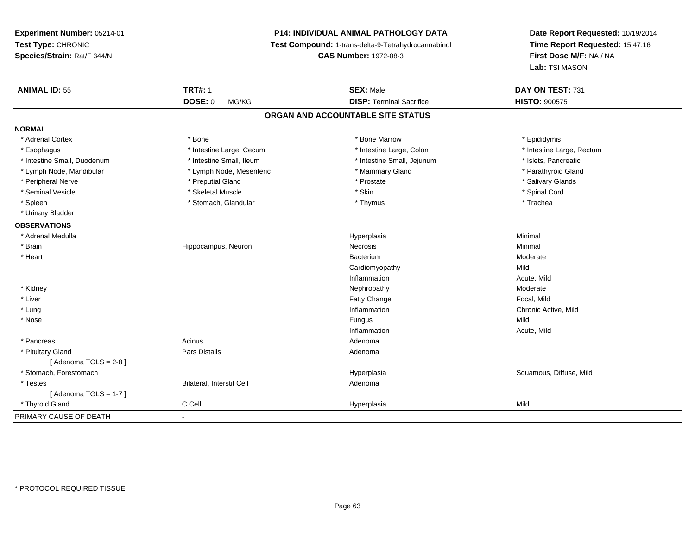**Experiment Number:** 05214-01**Test Type:** CHRONIC **Species/Strain:** Rat/F 344/N**P14: INDIVIDUAL ANIMAL PATHOLOGY DATA Test Compound:** 1-trans-delta-9-Tetrahydrocannabinol **CAS Number:** 1972-08-3**Date Report Requested:** 10/19/2014**Time Report Requested:** 15:47:16**First Dose M/F:** NA / NA**Lab:** TSI MASON**ANIMAL ID:** 55**TRT#:** 1 **SEX:** Male **DAY ON TEST:** 731 **DOSE:** 0 MG/KG**DISP:** Terminal Sacrifice **HISTO:**  $900575$ **ORGAN AND ACCOUNTABLE SITE STATUSNORMAL**\* Adrenal Cortex \* Adrenal Cortex \* \* The matter of the state of the state of the Marrow \* Bone Marrow \* Epididymis \* Epididymis \* Epididymis \* Bone Marrow \* Adrenal Cortex \* Epididymis \* Epididymis \* Bone Marrow \* Epididymis \* Epididymis \* Esophagus \* Thestine Large, Cecum \* Intestine Large, Cecum \* Intestine Large, Colon \* Intestine Large, Rectum \* Intestine Small, Duodenum \* Intestine Small, Ileum \* Intestine Small, Jejunum \* Islets, Pancreatic\* Parathyroid Gland \* Lymph Node, Mandibular \* Lymph Node, Mesenteric \* Mammary Gland \* Mammary Gland \* Peripheral Nerve \* \* \* Preputial Gland \* \* Preputial Gland \* \* Prostate \* \* Salivary Glands \* Salivary Glands \* Seminal Vesicle \* \* Spinal Cord \* Skeletal Muscle \* \* Skin \* \* Skin \* \* Spinal Vesicle \* Spinal Cord \* Spinal Cord \* Spleen \* \* Stomach, Glandular \* \* Thymus \* Thymus \* The \* \* Thachea \* Urinary Bladder**OBSERVATIONS** \* Adrenal Medullaa and the control of the control of the control of the Hyperplasia and the control of the Minimal of the control of the control of the control of the control of the control of the control of the control of the control of t \* Brain Hippocampus, Neuron Necrosis Minimal \* Heartt de la communicación de la communicación de la communicación de la communicación de la communicación de la co m Moderate Cardiomyopathyy Mild n and a control of the Acute, Mild Inflammation \* Kidneyy which is a state of the control of the Moderate of the Moderate of the Moderate of the Moderate of the Moderate of the Moderate of the Moderate of the Moderate of the Moderate of the Moderate of the Moderate of the Moder e **Focal**, Mild \* Liver Fatty Change \* Lungg is a controller to the controller of the controller of the controller of the controller of the chronic Active, Mild \* Nosee and the state of the state of the state of the state of the state of the state of the state of the state of the state of the state of the state of the state of the state of the state of the state of the state of the stat Inflammation Acute, Mild \* Pancreas Acinus AdenomaAdenoma \* Pituitary Glandd and the contract of Pars Distalis and the contract of Adenoma and Adenoma and the Adenoma and the Adenoma and  $\lambda$  $[$  Adenoma TGLS = 2-8  $]$  \* Stomach, ForestomachHyperplasia **Squamous, Diffuse, Mild**  \* TestesBilateral, Interstit Cell **Adenoma** Adenoma  $[$  Adenoma TGLS = 1-7  $]$  \* Thyroid Gland C Cell Hyperplasia Mild PRIMARY CAUSE OF DEATH-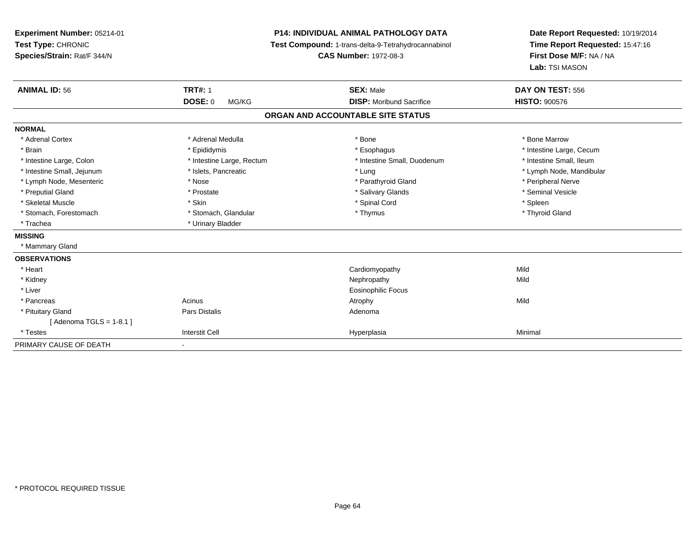| Experiment Number: 05214-01<br>Test Type: CHRONIC<br>Species/Strain: Rat/F 344/N<br><b>ANIMAL ID: 56</b> | <b>TRT#: 1</b><br><b>DOSE: 0</b><br>MG/KG | <b>P14: INDIVIDUAL ANIMAL PATHOLOGY DATA</b><br>Test Compound: 1-trans-delta-9-Tetrahydrocannabinol<br><b>CAS Number: 1972-08-3</b><br><b>SEX: Male</b><br><b>DISP:</b> Moribund Sacrifice | Date Report Requested: 10/19/2014<br>Time Report Requested: 15:47:16<br>First Dose M/F: NA / NA<br>Lab: TSI MASON<br>DAY ON TEST: 556<br><b>HISTO: 900576</b> |
|----------------------------------------------------------------------------------------------------------|-------------------------------------------|--------------------------------------------------------------------------------------------------------------------------------------------------------------------------------------------|---------------------------------------------------------------------------------------------------------------------------------------------------------------|
|                                                                                                          |                                           |                                                                                                                                                                                            |                                                                                                                                                               |
|                                                                                                          |                                           | ORGAN AND ACCOUNTABLE SITE STATUS                                                                                                                                                          |                                                                                                                                                               |
| <b>NORMAL</b>                                                                                            |                                           |                                                                                                                                                                                            |                                                                                                                                                               |
| * Adrenal Cortex                                                                                         | * Adrenal Medulla                         | * Bone                                                                                                                                                                                     | * Bone Marrow                                                                                                                                                 |
| * Brain                                                                                                  | * Epididymis                              | * Esophagus                                                                                                                                                                                | * Intestine Large, Cecum                                                                                                                                      |
| * Intestine Large, Colon                                                                                 | * Intestine Large, Rectum                 | * Intestine Small, Duodenum                                                                                                                                                                | * Intestine Small, Ileum                                                                                                                                      |
| * Intestine Small, Jejunum                                                                               | * Islets, Pancreatic                      | * Lung                                                                                                                                                                                     | * Lymph Node, Mandibular                                                                                                                                      |
| * Lymph Node, Mesenteric                                                                                 | * Nose                                    | * Parathyroid Gland                                                                                                                                                                        | * Peripheral Nerve                                                                                                                                            |
| * Preputial Gland                                                                                        | * Prostate                                | * Salivary Glands                                                                                                                                                                          | * Seminal Vesicle                                                                                                                                             |
| * Skeletal Muscle                                                                                        | * Skin                                    | * Spinal Cord                                                                                                                                                                              | * Spleen                                                                                                                                                      |
| * Stomach, Forestomach                                                                                   | * Stomach, Glandular                      | * Thymus                                                                                                                                                                                   | * Thyroid Gland                                                                                                                                               |
| * Trachea                                                                                                | * Urinary Bladder                         |                                                                                                                                                                                            |                                                                                                                                                               |
| <b>MISSING</b>                                                                                           |                                           |                                                                                                                                                                                            |                                                                                                                                                               |
| * Mammary Gland                                                                                          |                                           |                                                                                                                                                                                            |                                                                                                                                                               |
| <b>OBSERVATIONS</b>                                                                                      |                                           |                                                                                                                                                                                            |                                                                                                                                                               |
| * Heart                                                                                                  |                                           | Cardiomyopathy                                                                                                                                                                             | Mild                                                                                                                                                          |
| * Kidney                                                                                                 |                                           | Nephropathy                                                                                                                                                                                | Mild                                                                                                                                                          |
| * Liver                                                                                                  |                                           | <b>Eosinophilic Focus</b>                                                                                                                                                                  |                                                                                                                                                               |
| * Pancreas                                                                                               | Acinus                                    | Atrophy                                                                                                                                                                                    | Mild                                                                                                                                                          |
| * Pituitary Gland                                                                                        | <b>Pars Distalis</b>                      | Adenoma                                                                                                                                                                                    |                                                                                                                                                               |
| [Adenoma TGLS = $1-8.1$ ]                                                                                |                                           |                                                                                                                                                                                            |                                                                                                                                                               |
| * Testes                                                                                                 | <b>Interstit Cell</b>                     | Hyperplasia                                                                                                                                                                                | Minimal                                                                                                                                                       |
| PRIMARY CAUSE OF DEATH                                                                                   | $\blacksquare$                            |                                                                                                                                                                                            |                                                                                                                                                               |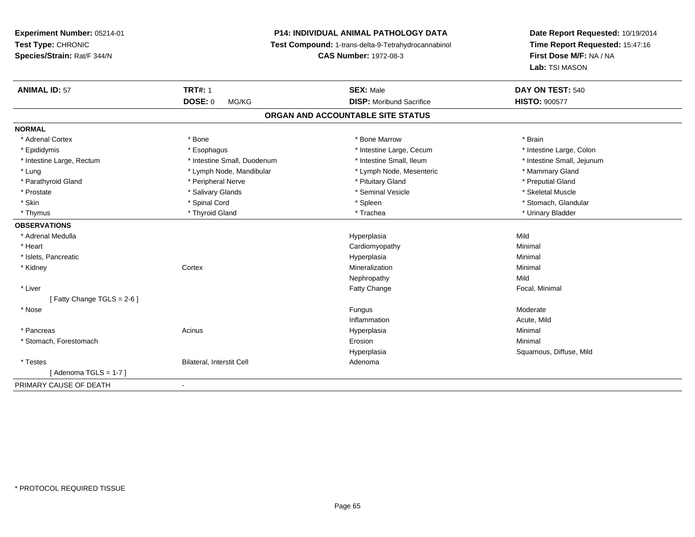# **P14: INDIVIDUAL ANIMAL PATHOLOGY DATA**

**Test Compound:** 1-trans-delta-9-Tetrahydrocannabinol

**CAS Number:** 1972-08-3

| <b>ANIMAL ID: 57</b>      | <b>TRT#: 1</b>              | <b>SEX: Male</b>                  | DAY ON TEST: 540           |
|---------------------------|-----------------------------|-----------------------------------|----------------------------|
|                           | DOSE: 0<br>MG/KG            | <b>DISP: Moribund Sacrifice</b>   | <b>HISTO: 900577</b>       |
|                           |                             | ORGAN AND ACCOUNTABLE SITE STATUS |                            |
| <b>NORMAL</b>             |                             |                                   |                            |
| * Adrenal Cortex          | * Bone                      | * Bone Marrow                     | * Brain                    |
| * Epididymis              | * Esophagus                 | * Intestine Large, Cecum          | * Intestine Large, Colon   |
| * Intestine Large, Rectum | * Intestine Small, Duodenum | * Intestine Small, Ileum          | * Intestine Small, Jejunum |
| * Lung                    | * Lymph Node, Mandibular    | * Lymph Node, Mesenteric          | * Mammary Gland            |
| * Parathyroid Gland       | * Peripheral Nerve          | * Pituitary Gland                 | * Preputial Gland          |
| * Prostate                | * Salivary Glands           | * Seminal Vesicle                 | * Skeletal Muscle          |
| * Skin                    | * Spinal Cord               | * Spleen                          | * Stomach, Glandular       |
| * Thymus                  | * Thyroid Gland             | * Trachea                         | * Urinary Bladder          |
| <b>OBSERVATIONS</b>       |                             |                                   |                            |
| * Adrenal Medulla         |                             | Hyperplasia                       | Mild                       |
| * Heart                   |                             | Cardiomyopathy                    | Minimal                    |
| * Islets, Pancreatic      |                             | Hyperplasia                       | Minimal                    |
| * Kidney                  | Cortex                      | Mineralization                    | Minimal                    |
|                           |                             | Nephropathy                       | Mild                       |
| * Liver                   |                             | <b>Fatty Change</b>               | Focal, Minimal             |
| [Fatty Change TGLS = 2-6] |                             |                                   |                            |
| * Nose                    |                             | Fungus                            | Moderate                   |
|                           |                             | Inflammation                      | Acute, Mild                |
| * Pancreas                | Acinus                      | Hyperplasia                       | Minimal                    |
| * Stomach, Forestomach    |                             | Erosion                           | Minimal                    |
|                           |                             | Hyperplasia                       | Squamous, Diffuse, Mild    |
| * Testes                  | Bilateral, Interstit Cell   | Adenoma                           |                            |
| [Adenoma TGLS = $1-7$ ]   |                             |                                   |                            |
| PRIMARY CAUSE OF DEATH    | Ĭ.                          |                                   |                            |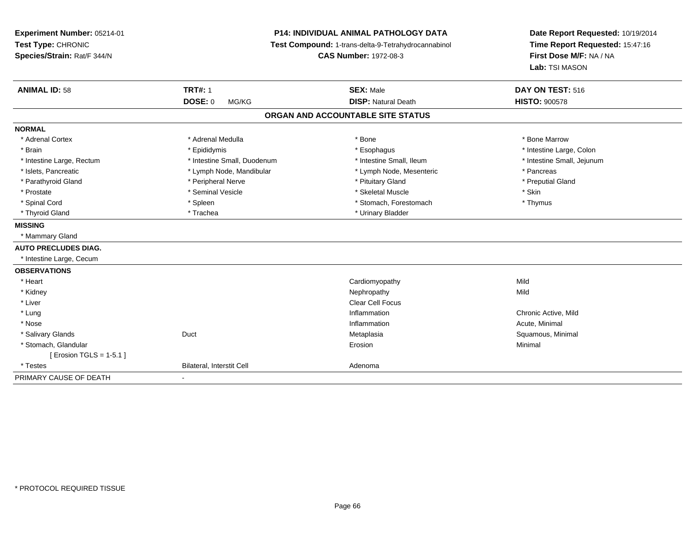**Experiment Number:** 05214-01**Test Type:** CHRONIC **Species/Strain:** Rat/F 344/N**P14: INDIVIDUAL ANIMAL PATHOLOGY DATA Test Compound:** 1-trans-delta-9-Tetrahydrocannabinol **CAS Number:** 1972-08-3**Date Report Requested:** 10/19/2014**Time Report Requested:** 15:47:16**First Dose M/F:** NA / NA**Lab:** TSI MASON**ANIMAL ID:** 58**TRT#:** 1 **SEX:** Male **DAY ON TEST:** 516 **DOSE:** 0 MG/KG**DISP:** Natural Death **HISTO:**  $900578$ **ORGAN AND ACCOUNTABLE SITE STATUSNORMAL**\* Adrenal Cortex \* Adrenal Medulla \* Adrenal Medulla \* Bone \* Bone \* Bone \* Bone \* Bone Marrow \* Brain \* The the state of the state of the state of the state of the state of the state of the state of the state of the state of the state of the state of the state of the state of the state of the state of the state of \* Intestine Small, Jejunum \* Intestine Large, Rectum \* Intestine Small, Duodenum \* Intestine Small, Duodenum \* \* Intestine Small, Ileum \* Islets, Pancreatic \* The same \* Lymph Node, Mandibular \* Lymph Node, Mesenteric \* Pancreas \* Pancreas \* Preputial Gland \* Parathyroid Gland \* \* The parathyroid Gland \* Peripheral Nerve \* \* Preputial Gland \* Preputial Gland \* \* Preputial Gland \* \* Preputial Gland \* \* Preputial Gland \* \* Preputial Gland \* \* Preputial Gland \* \* Preputial Gland \* Prostate \* The state \* Seminal Vesicle \* Skeletal Muscle \* Skeletal Muscle \* Skin \* Thymus \* Spinal Cord \* Spinal Cord \* Spinal Cord \* Stomach, Forestomach \* Stomach, Forestomach \* Stomach, Forestomach \* Thyroid Gland \* Trachea \* Trachea \* Trachea \* Urinary Bladder **MISSING** \* Mammary Gland**AUTO PRECLUDES DIAG.** \* Intestine Large, Cecum**OBSERVATIONS** \* Heart Cardiomyopathyy Mild Mild \* Kidneyy the controller of the controller of the controller of the controller of the controller of the controller of the controller of the controller of the controller of the controller of the controller of the controller of the \* Liverr and the control of the control of the control of the control of the control of the Clear Cell Focus of the control of the control of the control of the control of the control of the control of the control of the control \* Lung Inflammation Chronic Active, Mild \* Nosee the contraction of the contraction of the contraction of the contraction of the contraction of the contraction  $\mathsf{Acute}$ , Minimal \* Salivary Glandss Duct Metaplasia Metaplasia **Magnetic Contract Contract Contract Contract Contract Contract Contract Contract Contract Contract Contract Contract Contract Contract Contract Contract Contract Contract Contract Contract Contract Contract Con**  \* Stomach, Glandularr and the contract of the contract of the contract of the contract of the contract of the contract of the contract of the contract of the contract of the contract of the contract of the contract of the contract of the cont n and a studies of the state of the Minimal [ Erosion TGLS = 1-5.1 ] \* TestesBilateral, Interstit Cell **Adenoma** PRIMARY CAUSE OF DEATH-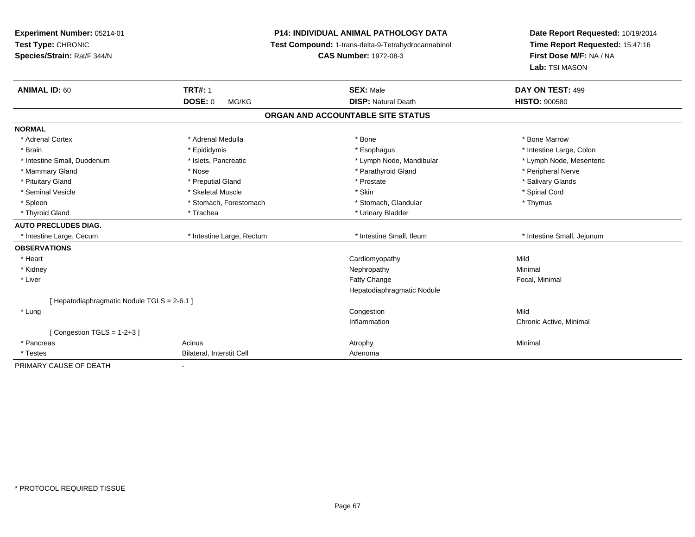**Experiment Number:** 05214-01**Test Type:** CHRONIC **Species/Strain:** Rat/F 344/N**P14: INDIVIDUAL ANIMAL PATHOLOGY DATA Test Compound:** 1-trans-delta-9-Tetrahydrocannabinol **CAS Number:** 1972-08-3**Date Report Requested:** 10/19/2014**Time Report Requested:** 15:47:16**First Dose M/F:** NA / NA**Lab:** TSI MASON**ANIMAL ID:** 60**TRT#:** 1 **SEX:** Male **DAY ON TEST:** 499 **DOSE:** 0 MG/KG**DISP:** Natural Death **HISTO:**  $900580$ **ORGAN AND ACCOUNTABLE SITE STATUSNORMAL**\* Adrenal Cortex \* Adrenal Medulla \* Adrenal Medulla \* Bone \* Bone \* Bone \* Bone \* Bone Marrow \* Brain \* The the state of the state of the state of the state of the state of the state of the state of the state of the state of the state of the state of the state of the state of the state of the state of the state of \* Lymph Node, Mesenteric \* Intestine Small, Duodenum **\* Western and The Americ 19th Americ** \* Lymph Node, Mandibular \* Lymph Node, Mandibular \* Mammary Gland \* \* Annume \* Nose \* \* Nose \* \* Parathyroid Gland \* Peripheral Nerve \* Peripheral Nerve \* \* Peripheral Nerve \* \* Peripheral Nerve \* \* Peripheral Nerve \* \* Peripheral Nerve \* \* Peripheral Nerve \* \* \* \* \* \* \* \* Salivary Glands \* Pituitary Gland \* \* Then the state \* Preputial Gland \* Prosection \* Prostate \* \* Salivary Glands \* Salivary Glands \* Salivary Glands \* Salivary Glands \* Salivary Glands \* Salivary Glands \* Salivary Glands \* Salivary Glan \* Seminal Vesicle \* \* Spinal Cord \* Skeletal Muscle \* \* Skin \* \* Skin \* \* Spinal Vesicle \* Spinal Cord \* Spinal Cord \* Spleen \* Stomach, Forestomach \* Stomach \* Stomach, Glandular \* Stomach, Glandular \* Thymus \* Thyroid Gland \* Trachea \* Trachea \* Trachea \* Urinary Bladder **AUTO PRECLUDES DIAG.** \* Intestine Large, Cecum \* Intestine Large, Rectum \* Intestine Small, Ileum \* Intestine Small, Jejunum**OBSERVATIONS** \* Heart Cardiomyopathyy Mild Minimal \* Kidneyy the control of the control of the control of the control of the control of the control of the control of the control of the control of the control of the control of the control of the control of the control of the contro \* Liver Fatty Change Focal, Minimal Hepatodiaphragmatic Nodule[ Hepatodiaphragmatic Nodule TGLS = 2-6.1 ] \* Lungg is a complete that the congestion of the congestion of the congestion of the congestion of  $\mathbb{N}$ ild Inflammation Chronic Active, Minimal  $[$  Congestion TGLS = 1-2+3  $]$  \* Pancreass the control of the control of the control of the control of the control of the control of the control of the control of the control of the control of the control of the control of the control of the control of the contro \* TestesBilateral, Interstit Cell **Adenoma** Adenoma PRIMARY CAUSE OF DEATH-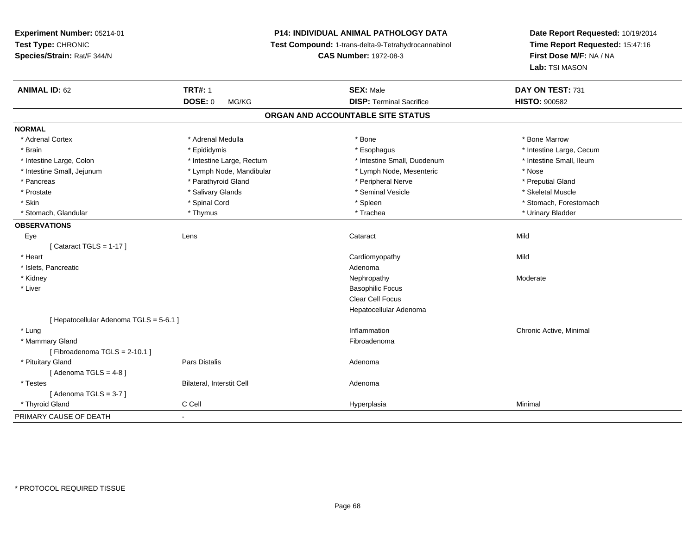# **P14: INDIVIDUAL ANIMAL PATHOLOGY DATA**

**Test Compound:** 1-trans-delta-9-Tetrahydrocannabinol

**CAS Number:** 1972-08-3

| <b>ANIMAL ID: 62</b>                    | <b>TRT#: 1</b>            | <b>SEX: Male</b>                  | DAY ON TEST: 731         |
|-----------------------------------------|---------------------------|-----------------------------------|--------------------------|
|                                         | <b>DOSE: 0</b><br>MG/KG   | <b>DISP: Terminal Sacrifice</b>   | <b>HISTO: 900582</b>     |
|                                         |                           | ORGAN AND ACCOUNTABLE SITE STATUS |                          |
| <b>NORMAL</b>                           |                           |                                   |                          |
| * Adrenal Cortex                        | * Adrenal Medulla         | * Bone                            | * Bone Marrow            |
| * Brain                                 | * Epididymis              | * Esophagus                       | * Intestine Large, Cecum |
| * Intestine Large, Colon                | * Intestine Large, Rectum | * Intestine Small, Duodenum       | * Intestine Small, Ileum |
| * Intestine Small, Jejunum              | * Lymph Node, Mandibular  | * Lymph Node, Mesenteric          | * Nose                   |
| * Pancreas                              | * Parathyroid Gland       | * Peripheral Nerve                | * Preputial Gland        |
| * Prostate                              | * Salivary Glands         | * Seminal Vesicle                 | * Skeletal Muscle        |
| * Skin                                  | * Spinal Cord             | * Spleen                          | * Stomach, Forestomach   |
| * Stomach, Glandular                    | * Thymus                  | * Trachea                         | * Urinary Bladder        |
| <b>OBSERVATIONS</b>                     |                           |                                   |                          |
| Eye                                     | Lens                      | Cataract                          | Mild                     |
| [Cataract TGLS = $1-17$ ]               |                           |                                   |                          |
| * Heart                                 |                           | Cardiomyopathy                    | Mild                     |
| * Islets, Pancreatic                    |                           | Adenoma                           |                          |
| * Kidney                                |                           | Nephropathy                       | Moderate                 |
| * Liver                                 |                           | <b>Basophilic Focus</b>           |                          |
|                                         |                           | Clear Cell Focus                  |                          |
|                                         |                           | Hepatocellular Adenoma            |                          |
| [ Hepatocellular Adenoma TGLS = 5-6.1 ] |                           |                                   |                          |
| * Lung                                  |                           | Inflammation                      | Chronic Active, Minimal  |
| * Mammary Gland                         |                           | Fibroadenoma                      |                          |
| [Fibroadenoma TGLS = $2-10.1$ ]         |                           |                                   |                          |
| * Pituitary Gland                       | <b>Pars Distalis</b>      | Adenoma                           |                          |
| [Adenoma TGLS = $4-8$ ]                 |                           |                                   |                          |
| * Testes                                | Bilateral, Interstit Cell | Adenoma                           |                          |
| [Adenoma TGLS = $3-7$ ]                 |                           |                                   |                          |
| * Thyroid Gland                         | C Cell                    | Hyperplasia                       | Minimal                  |
| PRIMARY CAUSE OF DEATH                  | $\blacksquare$            |                                   |                          |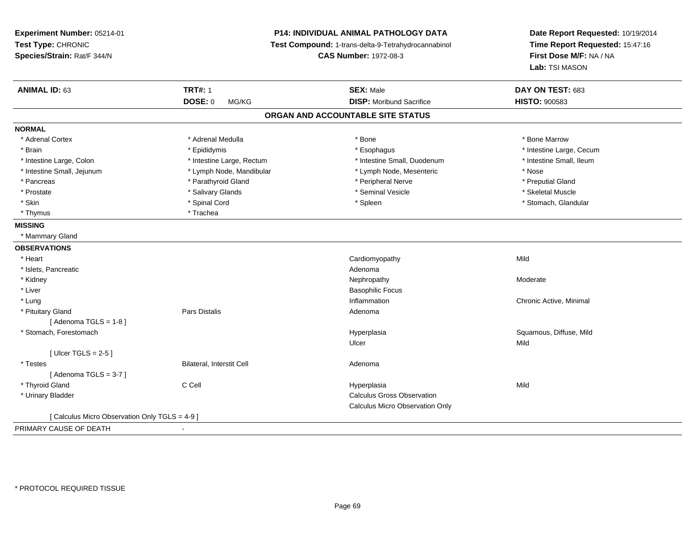**Experiment Number:** 05214-01**Test Type:** CHRONIC **Species/Strain:** Rat/F 344/N**P14: INDIVIDUAL ANIMAL PATHOLOGY DATA Test Compound:** 1-trans-delta-9-Tetrahydrocannabinol **CAS Number:** 1972-08-3**Date Report Requested:** 10/19/2014**Time Report Requested:** 15:47:16**First Dose M/F:** NA / NA**Lab:** TSI MASON**ANIMAL ID:** 63**TRT#:** 1 **SEX:** Male **DAY ON TEST:** 683 **DOSE:** 0 MG/KG **DISP:** Moribund Sacrifice **HISTO:** <sup>900583</sup> **ORGAN AND ACCOUNTABLE SITE STATUSNORMAL**\* Adrenal Cortex \* Adrenal Medulla \* Adrenal Medulla \* Bone \* Bone \* Bone \* Bone \* Bone Marrow \* Brain \* Explorer \* Epididymis \* \* Epididymis \* \* Esophagus \* Esophagus \* \* Esophagus \* Intestine Large, Cecum \* \* Intestine Large, Cecum \* Intestine Small. Ileum \* Intestine Large, Colon \* Intestine Large, Rectum \* Intestine Small, Duodenum \* Intestine Small, Duodenum \* Intestine Small, Jejunum \* Lymph Node, Mandibular \* Lymph Node, Mesenteric \* Nose\* Preputial Gland \* Pancreas \* \* Parathyroid Gland \* \* Parathyroid Gland \* \* Peripheral Nerve \* \* Peripheral Nerve \* \* Preputial Gland \* Skeletal Muscle \* Prostate \* \* Skeletal Muscle \* \* Salivary Glands \* \* Steminal Vesicle \* \* Seminal Vesicle \* \* Skeletal Muscle \* Stomach. Glandular \* Skin \* Stomach, Glandular \* Spinal Cord \* \* Stomach, Stomach, Glandular \* Spinal Cord \* \* Stomach, Glandular \* Thymus \* Trachea **MISSING** \* Mammary Gland**OBSERVATIONS** \* Heart Cardiomyopathyy Mild \* Islets, Pancreaticc and the contract of the contract of the contract of the contract of the contract of the contract of the contract of the contract of the contract of the contract of the contract of the contract of the contract of the cont Nephropathy \* Kidneyy the controller of the controller of the controller of the Moderate Moderate of the Moderate of the Moderate o \* Liver Basophilic Focus \* Lungg is a controller to the controller of the controller of the chronic Active, Minimal of the chronic Active, Minimal of the chronic Active, Minimal of the chronic Active, Minimal of the chronic Active, Minimal of the chroni \* Pituitary Glandd and the set of Pars Distalis and the Second Adenomal Adenomal Second Second Pars Distallis  $[$  Adenoma TGLS = 1-8  $]$  \* Stomach, Forestomachh and the state of the state of the Hyperplasia Squamous, Diffuse, Mild and the Squamous, Diffuse, Mild and the Squamous, Diffuse, Mild and the Squamous, Diffuse, Mild and the Squamous, Diffuse, Mild and the Squamous, Diff Ulcerr **Mild**  $[$  Ulcer TGLS = 2-5  $]$  \* TestesBilateral, Interstit Cell **Adenoma** Adenoma  $[$  Adenoma TGLS = 3-7  $]$  \* Thyroid Gland C Cell Hyperplasia Mild \* Urinary Bladder Calculus Gross Observation Calculus Micro Observation Only[ Calculus Micro Observation Only TGLS = 4-9 ]PRIMARY CAUSE OF DEATH-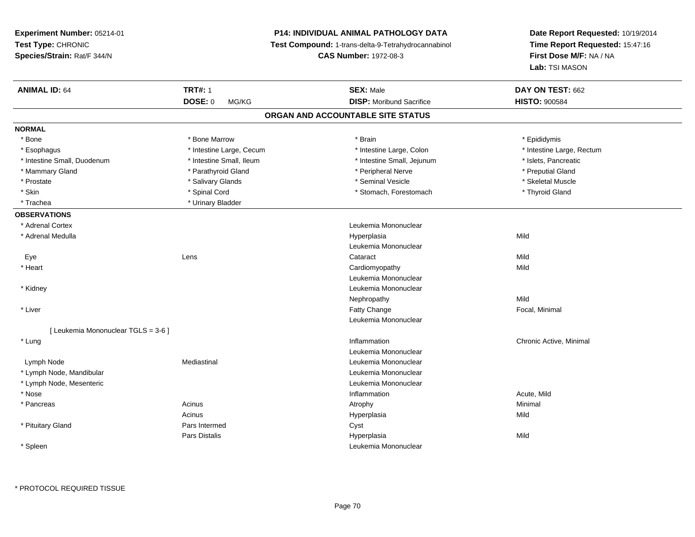**Experiment Number:** 05214-01**Test Type:** CHRONIC **Species/Strain:** Rat/F 344/N**P14: INDIVIDUAL ANIMAL PATHOLOGY DATA Test Compound:** 1-trans-delta-9-Tetrahydrocannabinol **CAS Number:** 1972-08-3**Date Report Requested:** 10/19/2014**Time Report Requested:** 15:47:16**First Dose M/F:** NA / NA**Lab:** TSI MASON**ANIMAL ID:** 64 **TRT#:** <sup>1</sup> **SEX:** Male **DAY ON TEST:** <sup>662</sup> **DOSE:** 0 MG/KG**DISP:** Moribund Sacrifice **HISTO:** 900584 **ORGAN AND ACCOUNTABLE SITE STATUSNORMAL**\* Bone \* Bone \* Bone Marrow \* Brain \* Epididymis \* Intestine Large, Rectum \* Esophagus \* Intestine Large, Cecum \* Intestine Large, Cecum \* Intestine Large, Colon \* Intestine Small, Duodenum \* Intestine Small, Ileum \* Intestine Small, Jejunum \* Islets, Pancreatic\* Mammary Gland \* \* Parathyroid Gland \* \* Parathyroid Gland \* \* Peripheral Nerve \* \* Peripheral Nerve \* Preputial Gland \* Skeletal Muscle \* Prostate \* \* Skeletal Muscle \* \* Salivary Glands \* \* Steminal Vesicle \* \* Seminal Vesicle \* \* Skeletal Muscle \* Skin \* Spinal Cord \* Spinal Cord \* Stomach, Forestomach \* Thyroid Gland \* Thyroid Gland \* Trachea **\*** Urinary Bladder **OBSERVATIONS** \* Adrenal Cortex Leukemia Mononuclear \* Adrenal Medulla Hyperplasia Mild Leukemia Mononuclear Eyee the contract of the contract of the contract of the contract of the contract of the contract of the contract  $\mathsf{Mild}$  \* Heart Cardiomyopathyy Mild Leukemia Mononuclear \* Kidney Leukemia Mononuclear Nephropathyy Mild e **Exercise Exercise Exercise Focal, Minimal**  \* Liverr and the contract of the contract of the contract of the contract of the contract of the contract of the contract of the contract of the contract of the contract of the contract of the contract of the contract of the cont Leukemia Mononuclear[ Leukemia Mononuclear TGLS = 3-6 ] \* Lungg is a controller to the controller of the controller of the chronic Active, Minimal of the chronic Active, Minimal of the chronic Active, Minimal of the chronic Active, Minimal of the chronic Active, Minimal of the chroni Leukemia Mononuclear Lymph NodeMediastinal **Mediastinal** Mononuclear **Leukemia Mononuclear**  \* Lymph Node, Mandibular Leukemia Mononuclear \* Lymph Node, Mesenteric Leukemia Mononuclear \* Nosee the contraction of the contraction of the contraction of the contraction of the contraction of the contraction  $\mathsf{Acute},\mathsf{Mild}$  \* Pancreass the control of the control of the control of the control of the control of the control of the control of the control of the control of the control of the control of the control of the control of the control of the contro Acinus Hyperplasiaa Mild \* Pituitary Glandd Cyst Pars Distalis Hyperplasiaa Mild \* SpleenLeukemia Mononuclear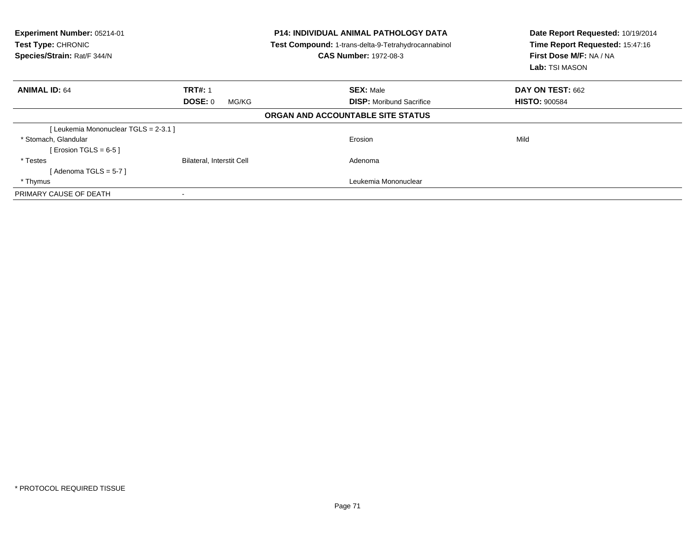| Experiment Number: 05214-01<br><b>Test Type: CHRONIC</b><br>Species/Strain: Rat/F 344/N | <b>P14: INDIVIDUAL ANIMAL PATHOLOGY DATA</b><br>Test Compound: 1-trans-delta-9-Tetrahydrocannabinol<br><b>CAS Number: 1972-08-3</b> |                                   | Date Report Requested: 10/19/2014<br>Time Report Requested: 15:47:16<br>First Dose M/F: NA / NA<br>Lab: TSI MASON |
|-----------------------------------------------------------------------------------------|-------------------------------------------------------------------------------------------------------------------------------------|-----------------------------------|-------------------------------------------------------------------------------------------------------------------|
| <b>ANIMAL ID: 64</b>                                                                    | <b>TRT#: 1</b>                                                                                                                      | <b>SEX: Male</b>                  | <b>DAY ON TEST: 662</b>                                                                                           |
|                                                                                         | DOSE: 0<br>MG/KG                                                                                                                    | <b>DISP:</b> Moribund Sacrifice   | <b>HISTO: 900584</b>                                                                                              |
|                                                                                         |                                                                                                                                     | ORGAN AND ACCOUNTABLE SITE STATUS |                                                                                                                   |
| [Leukemia Mononuclear TGLS = 2-3.1 ]                                                    |                                                                                                                                     |                                   |                                                                                                                   |
| * Stomach, Glandular                                                                    |                                                                                                                                     | Erosion                           | Mild                                                                                                              |
| [ Erosion TGLS = $6-5$ ]                                                                |                                                                                                                                     |                                   |                                                                                                                   |
| * Testes                                                                                | Bilateral, Interstit Cell                                                                                                           | Adenoma                           |                                                                                                                   |
| [Adenoma TGLS = $5-7$ ]                                                                 |                                                                                                                                     |                                   |                                                                                                                   |
| * Thymus                                                                                |                                                                                                                                     | Leukemia Mononuclear              |                                                                                                                   |
| PRIMARY CAUSE OF DEATH                                                                  |                                                                                                                                     |                                   |                                                                                                                   |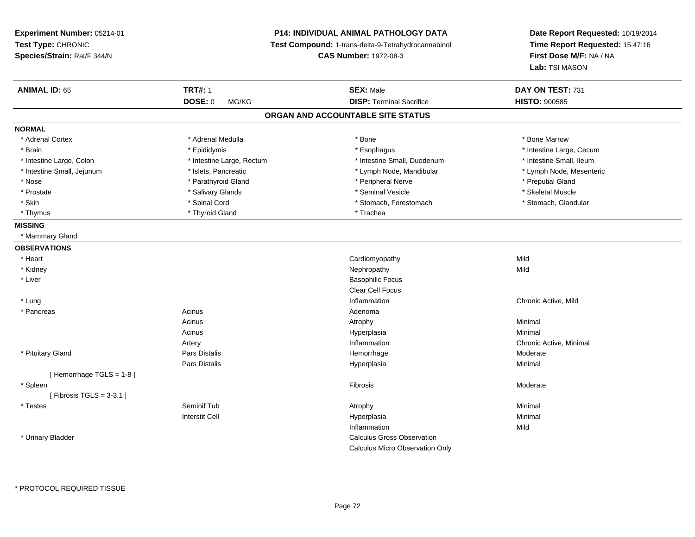**Experiment Number:** 05214-01**Test Type:** CHRONIC **Species/Strain:** Rat/F 344/N**P14: INDIVIDUAL ANIMAL PATHOLOGY DATA Test Compound:** 1-trans-delta-9-Tetrahydrocannabinol **CAS Number:** 1972-08-3**Date Report Requested:** 10/19/2014**Time Report Requested:** 15:47:16**First Dose M/F:** NA / NA**Lab:** TSI MASON**ANIMAL ID:** 65**TRT#:** 1 **SEX:** Male **DAY ON TEST:** 731 **DOSE:** 0 MG/KG**DISP:** Terminal Sacrifice **HISTO:**  $900585$ **ORGAN AND ACCOUNTABLE SITE STATUSNORMAL**\* Adrenal Cortex \* Adrenal Medulla \* Adrenal Medulla \* Bone \* Bone \* Bone \* Bone \* Bone Marrow \* Brain \* Explorer \* Epididymis \* \* Epididymis \* \* Esophagus \* Esophagus \* \* Esophagus \* Intestine Large, Cecum \* \* Intestine Large, Cecum \* Intestine Small. Ileum \* Intestine Large, Colon \* Intestine Large, Rectum \* Intestine Small, Duodenum \* Intestine Small, Duodenum \* Lymph Node, Mesenteric \* Intestine Small, Jejunum \* Mandibular \* Islets, Pancreatic \* Mandibular \* Lymph Node, Mandibular \* Nose \* Parathyroid Gland \* Peripheral Nerve \* Preputial Gland \* Skeletal Muscle \* Prostate \* \* Skeletal Muscle \* \* Salivary Glands \* \* Steminal Vesicle \* \* Seminal Vesicle \* \* Skeletal Muscle \* Stomach. Glandular \* Skin \* Spinal Cord \* Spinal Cord \* Stomach, Forestomach \* Stomach, Forestomach \* Thyrnus \* Thyroid Gland \* Thursday \* Thursday \* Thursday \* Thursday \* Trachea **MISSING** \* Mammary Gland**OBSERVATIONS** \* Heart Cardiomyopathyy Mild **Mild**  \* Kidneyy the controller of the controller of the controller of the controller of the controller of the controller of the controller of the controller of the controller of the controller of the controller of the controller of the \* Liver Basophilic Focus Clear Cell Focus \* Lung Inflammation Chronic Active, Mild \* Pancreass the contract of the contract of the contract of the contract of the contract of the contract of the contract of the contract of the contract of the contract of the contract of the contract of the contract of the contract Acinuss and the control of the control of the control of the control of the control of the control of the control of the control of the control of the control of the control of the control of the control of the control of the co Acinus Hyperplasiaa **Minimal** Artery InflammationInflammation **Example 2018** Chronic Active, Minimal Hemorrhage **Chronic Active**  \* Pituitary Gland Pars Distalis Hemorrhage Moderate Pars Distalis Hyperplasiaa **Minimal** [ Hemorrhage TGLS = 1-8 ] \* Spleenn and the state of the state of the state of the state of the state of the state of the state of the state of the state of the state of the state of the state of the state of the state of the state of the state of the stat  $[$  Fibrosis TGLS = 3-3.1  $]$  \* Testes Seminif Tubb the contract of the contract of the contract of the contract of the contract of the contract of the contract of  $\lambda$ Interstit Cell Hyperplasiaa **Minimal** Inflammationn Mild \* Urinary Bladder Calculus Gross ObservationCalculus Micro Observation Only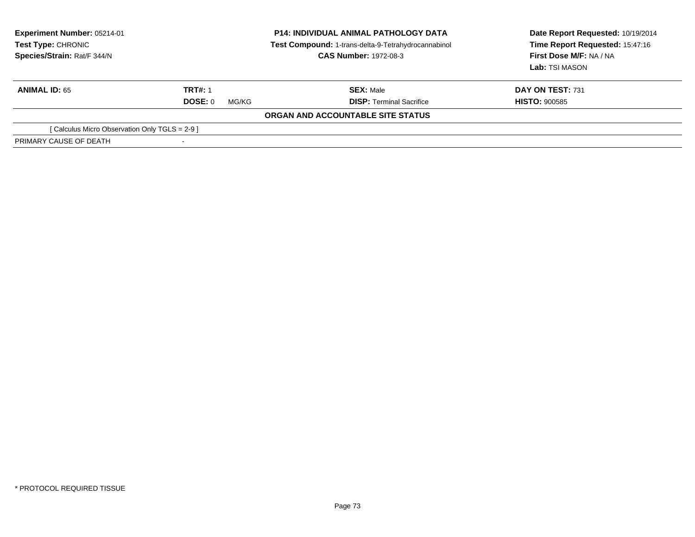| <b>Experiment Number: 05214-01</b><br>Test Type: CHRONIC<br>Species/Strain: Rat/F 344/N | <b>P14: INDIVIDUAL ANIMAL PATHOLOGY DATA</b><br>Test Compound: 1-trans-delta-9-Tetrahydrocannabinol<br><b>CAS Number: 1972-08-3</b> |                                   | Date Report Requested: 10/19/2014<br>Time Report Requested: 15:47:16<br>First Dose M/F: NA / NA<br>Lab: TSI MASON |
|-----------------------------------------------------------------------------------------|-------------------------------------------------------------------------------------------------------------------------------------|-----------------------------------|-------------------------------------------------------------------------------------------------------------------|
| <b>ANIMAL ID: 65</b>                                                                    | <b>TRT#: 1</b>                                                                                                                      | <b>SEX: Male</b>                  | DAY ON TEST: 731                                                                                                  |
|                                                                                         | DOSE: 0<br>MG/KG                                                                                                                    | <b>DISP: Terminal Sacrifice</b>   | <b>HISTO: 900585</b>                                                                                              |
|                                                                                         |                                                                                                                                     | ORGAN AND ACCOUNTABLE SITE STATUS |                                                                                                                   |
| [ Calculus Micro Observation Only TGLS = 2-9 ]                                          |                                                                                                                                     |                                   |                                                                                                                   |
| PRIMARY CAUSE OF DEATH                                                                  |                                                                                                                                     |                                   |                                                                                                                   |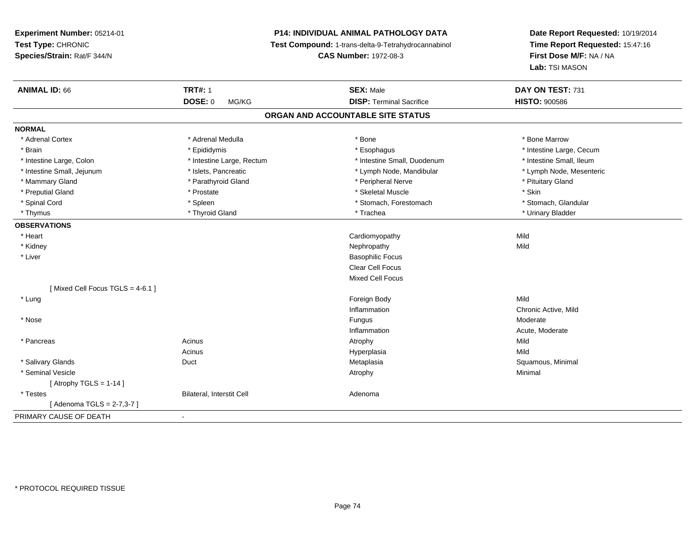# **P14: INDIVIDUAL ANIMAL PATHOLOGY DATA**

**Test Compound:** 1-trans-delta-9-Tetrahydrocannabinol

**CAS Number:** 1972-08-3

| <b>ANIMAL ID: 66</b>            | <b>TRT#: 1</b>            | <b>SEX: Male</b>                  | DAY ON TEST: 731         |
|---------------------------------|---------------------------|-----------------------------------|--------------------------|
|                                 | <b>DOSE: 0</b><br>MG/KG   | <b>DISP: Terminal Sacrifice</b>   | <b>HISTO: 900586</b>     |
|                                 |                           | ORGAN AND ACCOUNTABLE SITE STATUS |                          |
| <b>NORMAL</b>                   |                           |                                   |                          |
| * Adrenal Cortex                | * Adrenal Medulla         | * Bone                            | * Bone Marrow            |
| * Brain                         | * Epididymis              | * Esophagus                       | * Intestine Large, Cecum |
| * Intestine Large, Colon        | * Intestine Large, Rectum | * Intestine Small, Duodenum       | * Intestine Small, Ileum |
| * Intestine Small, Jejunum      | * Islets, Pancreatic      | * Lymph Node, Mandibular          | * Lymph Node, Mesenteric |
| * Mammary Gland                 | * Parathyroid Gland       | * Peripheral Nerve                | * Pituitary Gland        |
| * Preputial Gland               | * Prostate                | * Skeletal Muscle                 | * Skin                   |
| * Spinal Cord                   | * Spleen                  | * Stomach, Forestomach            | * Stomach, Glandular     |
| * Thymus                        | * Thyroid Gland           | * Trachea                         | * Urinary Bladder        |
| <b>OBSERVATIONS</b>             |                           |                                   |                          |
| * Heart                         |                           | Cardiomyopathy                    | Mild                     |
| * Kidney                        |                           | Nephropathy                       | Mild                     |
| * Liver                         |                           | <b>Basophilic Focus</b>           |                          |
|                                 |                           | <b>Clear Cell Focus</b>           |                          |
|                                 |                           | <b>Mixed Cell Focus</b>           |                          |
| [Mixed Cell Focus TGLS = 4-6.1] |                           |                                   |                          |
| * Lung                          |                           | Foreign Body                      | Mild                     |
|                                 |                           | Inflammation                      | Chronic Active, Mild     |
| * Nose                          |                           | Fungus                            | Moderate                 |
|                                 |                           | Inflammation                      | Acute, Moderate          |
| * Pancreas                      | Acinus                    | Atrophy                           | Mild                     |
|                                 | Acinus                    | Hyperplasia                       | Mild                     |
| * Salivary Glands               | Duct                      | Metaplasia                        | Squamous, Minimal        |
| * Seminal Vesicle               |                           | Atrophy                           | Minimal                  |
| [Atrophy TGLS = $1-14$ ]        |                           |                                   |                          |
| * Testes                        | Bilateral, Interstit Cell | Adenoma                           |                          |
| [ Adenoma TGLS = 2-7,3-7 ]      |                           |                                   |                          |
| PRIMARY CAUSE OF DEATH          | $\blacksquare$            |                                   |                          |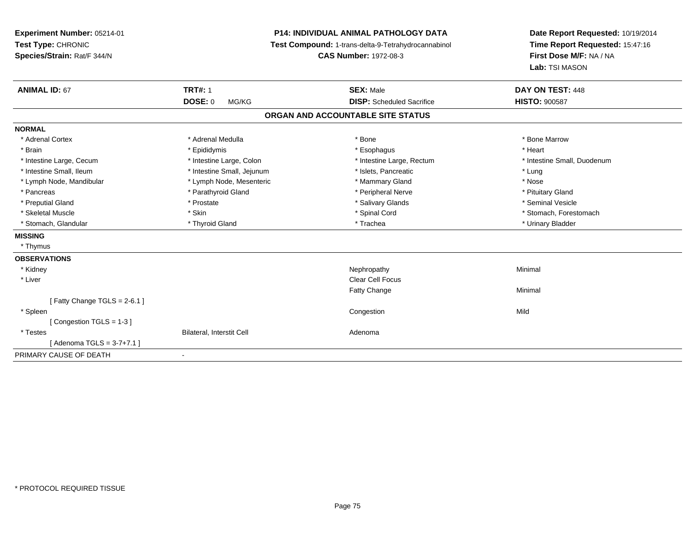| Experiment Number: 05214-01<br>Test Type: CHRONIC<br>Species/Strain: Rat/F 344/N |                            | <b>P14: INDIVIDUAL ANIMAL PATHOLOGY DATA</b><br>Test Compound: 1-trans-delta-9-Tetrahydrocannabinol<br><b>CAS Number: 1972-08-3</b> | Date Report Requested: 10/19/2014<br>Time Report Requested: 15:47:16<br>First Dose M/F: NA / NA<br>Lab: TSI MASON |
|----------------------------------------------------------------------------------|----------------------------|-------------------------------------------------------------------------------------------------------------------------------------|-------------------------------------------------------------------------------------------------------------------|
| <b>ANIMAL ID: 67</b>                                                             | <b>TRT#: 1</b>             | <b>SEX: Male</b>                                                                                                                    | DAY ON TEST: 448                                                                                                  |
|                                                                                  | <b>DOSE: 0</b><br>MG/KG    | <b>DISP:</b> Scheduled Sacrifice                                                                                                    | <b>HISTO: 900587</b>                                                                                              |
|                                                                                  |                            | ORGAN AND ACCOUNTABLE SITE STATUS                                                                                                   |                                                                                                                   |
| <b>NORMAL</b>                                                                    |                            |                                                                                                                                     |                                                                                                                   |
| * Adrenal Cortex                                                                 | * Adrenal Medulla          | * Bone                                                                                                                              | * Bone Marrow                                                                                                     |
| * Brain                                                                          | * Epididymis               | * Esophagus                                                                                                                         | * Heart                                                                                                           |
| * Intestine Large, Cecum                                                         | * Intestine Large, Colon   | * Intestine Large, Rectum                                                                                                           | * Intestine Small, Duodenum                                                                                       |
| * Intestine Small, Ileum                                                         | * Intestine Small, Jejunum | * Islets, Pancreatic                                                                                                                | * Lung                                                                                                            |
| * Lymph Node, Mandibular                                                         | * Lymph Node, Mesenteric   | * Mammary Gland                                                                                                                     | * Nose                                                                                                            |
| * Pancreas                                                                       | * Parathyroid Gland        | * Peripheral Nerve                                                                                                                  | * Pituitary Gland                                                                                                 |
| * Preputial Gland                                                                | * Prostate                 | * Salivary Glands                                                                                                                   | * Seminal Vesicle                                                                                                 |
| * Skeletal Muscle                                                                | * Skin                     | * Spinal Cord                                                                                                                       | * Stomach, Forestomach                                                                                            |
| * Stomach, Glandular                                                             | * Thyroid Gland            | * Trachea                                                                                                                           | * Urinary Bladder                                                                                                 |
| <b>MISSING</b>                                                                   |                            |                                                                                                                                     |                                                                                                                   |
| * Thymus                                                                         |                            |                                                                                                                                     |                                                                                                                   |
| <b>OBSERVATIONS</b>                                                              |                            |                                                                                                                                     |                                                                                                                   |
| * Kidney                                                                         |                            | Nephropathy                                                                                                                         | Minimal                                                                                                           |
| * Liver                                                                          |                            | <b>Clear Cell Focus</b>                                                                                                             |                                                                                                                   |
|                                                                                  |                            | Fatty Change                                                                                                                        | Minimal                                                                                                           |
| [Fatty Change TGLS = $2-6.1$ ]                                                   |                            |                                                                                                                                     |                                                                                                                   |
| * Spleen                                                                         |                            | Congestion                                                                                                                          | Mild                                                                                                              |
| [Congestion TGLS = 1-3]                                                          |                            |                                                                                                                                     |                                                                                                                   |
| * Testes                                                                         | Bilateral, Interstit Cell  | Adenoma                                                                                                                             |                                                                                                                   |
| [Adenoma TGLS = $3-7+7.1$ ]                                                      |                            |                                                                                                                                     |                                                                                                                   |
| PRIMARY CAUSE OF DEATH                                                           | ٠                          |                                                                                                                                     |                                                                                                                   |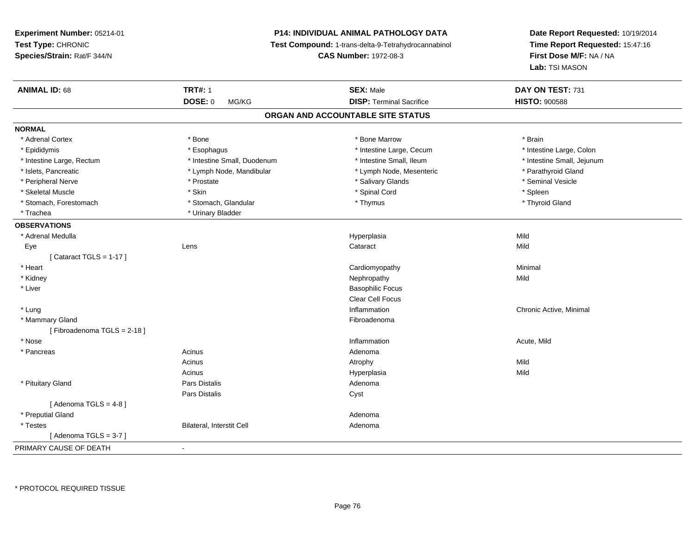# **P14: INDIVIDUAL ANIMAL PATHOLOGY DATA**

**Test Compound:** 1-trans-delta-9-Tetrahydrocannabinol

**CAS Number:** 1972-08-3

| DOSE: 0<br><b>DISP: Terminal Sacrifice</b><br><b>HISTO: 900588</b><br>MG/KG<br>ORGAN AND ACCOUNTABLE SITE STATUS<br>* Adrenal Cortex<br>* Brain<br>* Bone<br>* Bone Marrow<br>* Intestine Large, Cecum<br>* Intestine Large, Colon<br>* Epididymis<br>* Esophagus<br>* Intestine Small, Ileum<br>* Intestine Large, Rectum<br>* Intestine Small, Duodenum<br>* Intestine Small, Jejunum<br>* Islets, Pancreatic<br>* Lymph Node, Mesenteric<br>* Parathyroid Gland<br>* Lymph Node, Mandibular<br>* Peripheral Nerve<br>* Salivary Glands<br>* Seminal Vesicle<br>* Prostate<br>* Spinal Cord<br>* Skeletal Muscle<br>* Skin<br>* Spleen<br>* Stomach, Forestomach<br>* Stomach, Glandular<br>* Thymus<br>* Thyroid Gland<br>* Urinary Bladder<br>* Trachea<br>Mild<br>* Adrenal Medulla<br>Hyperplasia<br>Mild<br>Eye<br>Lens<br>Cataract<br>[Cataract TGLS = $1-17$ ]<br>* Heart<br>Minimal<br>Cardiomyopathy<br>Mild<br>* Kidney<br>Nephropathy<br>* Liver<br><b>Basophilic Focus</b><br><b>Clear Cell Focus</b><br>Inflammation<br>* Lung<br>Chronic Active, Minimal<br>* Mammary Gland<br>Fibroadenoma<br>[Fibroadenoma TGLS = 2-18]<br>* Nose<br>Inflammation<br>Acute, Mild<br>Acinus<br>* Pancreas<br>Adenoma<br>Mild<br>Acinus<br>Atrophy<br>Mild<br>Acinus<br>Hyperplasia<br>* Pituitary Gland<br>Pars Distalis<br>Adenoma<br>Pars Distalis<br>Cyst<br>[Adenoma TGLS = $4-8$ ]<br>* Preputial Gland<br>Adenoma<br>Bilateral, Interstit Cell<br>* Testes<br>Adenoma<br>[Adenoma TGLS = $3-7$ ] | <b>ANIMAL ID: 68</b>   | <b>TRT#: 1</b> | <b>SEX: Male</b> | DAY ON TEST: 731 |  |
|---------------------------------------------------------------------------------------------------------------------------------------------------------------------------------------------------------------------------------------------------------------------------------------------------------------------------------------------------------------------------------------------------------------------------------------------------------------------------------------------------------------------------------------------------------------------------------------------------------------------------------------------------------------------------------------------------------------------------------------------------------------------------------------------------------------------------------------------------------------------------------------------------------------------------------------------------------------------------------------------------------------------------------------------------------------------------------------------------------------------------------------------------------------------------------------------------------------------------------------------------------------------------------------------------------------------------------------------------------------------------------------------------------------------------------------------------------------------------------------------------------|------------------------|----------------|------------------|------------------|--|
|                                                                                                                                                                                                                                                                                                                                                                                                                                                                                                                                                                                                                                                                                                                                                                                                                                                                                                                                                                                                                                                                                                                                                                                                                                                                                                                                                                                                                                                                                                         |                        |                |                  |                  |  |
|                                                                                                                                                                                                                                                                                                                                                                                                                                                                                                                                                                                                                                                                                                                                                                                                                                                                                                                                                                                                                                                                                                                                                                                                                                                                                                                                                                                                                                                                                                         |                        |                |                  |                  |  |
|                                                                                                                                                                                                                                                                                                                                                                                                                                                                                                                                                                                                                                                                                                                                                                                                                                                                                                                                                                                                                                                                                                                                                                                                                                                                                                                                                                                                                                                                                                         | <b>NORMAL</b>          |                |                  |                  |  |
|                                                                                                                                                                                                                                                                                                                                                                                                                                                                                                                                                                                                                                                                                                                                                                                                                                                                                                                                                                                                                                                                                                                                                                                                                                                                                                                                                                                                                                                                                                         |                        |                |                  |                  |  |
|                                                                                                                                                                                                                                                                                                                                                                                                                                                                                                                                                                                                                                                                                                                                                                                                                                                                                                                                                                                                                                                                                                                                                                                                                                                                                                                                                                                                                                                                                                         |                        |                |                  |                  |  |
|                                                                                                                                                                                                                                                                                                                                                                                                                                                                                                                                                                                                                                                                                                                                                                                                                                                                                                                                                                                                                                                                                                                                                                                                                                                                                                                                                                                                                                                                                                         |                        |                |                  |                  |  |
|                                                                                                                                                                                                                                                                                                                                                                                                                                                                                                                                                                                                                                                                                                                                                                                                                                                                                                                                                                                                                                                                                                                                                                                                                                                                                                                                                                                                                                                                                                         |                        |                |                  |                  |  |
|                                                                                                                                                                                                                                                                                                                                                                                                                                                                                                                                                                                                                                                                                                                                                                                                                                                                                                                                                                                                                                                                                                                                                                                                                                                                                                                                                                                                                                                                                                         |                        |                |                  |                  |  |
|                                                                                                                                                                                                                                                                                                                                                                                                                                                                                                                                                                                                                                                                                                                                                                                                                                                                                                                                                                                                                                                                                                                                                                                                                                                                                                                                                                                                                                                                                                         |                        |                |                  |                  |  |
|                                                                                                                                                                                                                                                                                                                                                                                                                                                                                                                                                                                                                                                                                                                                                                                                                                                                                                                                                                                                                                                                                                                                                                                                                                                                                                                                                                                                                                                                                                         |                        |                |                  |                  |  |
|                                                                                                                                                                                                                                                                                                                                                                                                                                                                                                                                                                                                                                                                                                                                                                                                                                                                                                                                                                                                                                                                                                                                                                                                                                                                                                                                                                                                                                                                                                         |                        |                |                  |                  |  |
|                                                                                                                                                                                                                                                                                                                                                                                                                                                                                                                                                                                                                                                                                                                                                                                                                                                                                                                                                                                                                                                                                                                                                                                                                                                                                                                                                                                                                                                                                                         | <b>OBSERVATIONS</b>    |                |                  |                  |  |
|                                                                                                                                                                                                                                                                                                                                                                                                                                                                                                                                                                                                                                                                                                                                                                                                                                                                                                                                                                                                                                                                                                                                                                                                                                                                                                                                                                                                                                                                                                         |                        |                |                  |                  |  |
|                                                                                                                                                                                                                                                                                                                                                                                                                                                                                                                                                                                                                                                                                                                                                                                                                                                                                                                                                                                                                                                                                                                                                                                                                                                                                                                                                                                                                                                                                                         |                        |                |                  |                  |  |
|                                                                                                                                                                                                                                                                                                                                                                                                                                                                                                                                                                                                                                                                                                                                                                                                                                                                                                                                                                                                                                                                                                                                                                                                                                                                                                                                                                                                                                                                                                         |                        |                |                  |                  |  |
|                                                                                                                                                                                                                                                                                                                                                                                                                                                                                                                                                                                                                                                                                                                                                                                                                                                                                                                                                                                                                                                                                                                                                                                                                                                                                                                                                                                                                                                                                                         |                        |                |                  |                  |  |
|                                                                                                                                                                                                                                                                                                                                                                                                                                                                                                                                                                                                                                                                                                                                                                                                                                                                                                                                                                                                                                                                                                                                                                                                                                                                                                                                                                                                                                                                                                         |                        |                |                  |                  |  |
|                                                                                                                                                                                                                                                                                                                                                                                                                                                                                                                                                                                                                                                                                                                                                                                                                                                                                                                                                                                                                                                                                                                                                                                                                                                                                                                                                                                                                                                                                                         |                        |                |                  |                  |  |
|                                                                                                                                                                                                                                                                                                                                                                                                                                                                                                                                                                                                                                                                                                                                                                                                                                                                                                                                                                                                                                                                                                                                                                                                                                                                                                                                                                                                                                                                                                         |                        |                |                  |                  |  |
|                                                                                                                                                                                                                                                                                                                                                                                                                                                                                                                                                                                                                                                                                                                                                                                                                                                                                                                                                                                                                                                                                                                                                                                                                                                                                                                                                                                                                                                                                                         |                        |                |                  |                  |  |
|                                                                                                                                                                                                                                                                                                                                                                                                                                                                                                                                                                                                                                                                                                                                                                                                                                                                                                                                                                                                                                                                                                                                                                                                                                                                                                                                                                                                                                                                                                         |                        |                |                  |                  |  |
|                                                                                                                                                                                                                                                                                                                                                                                                                                                                                                                                                                                                                                                                                                                                                                                                                                                                                                                                                                                                                                                                                                                                                                                                                                                                                                                                                                                                                                                                                                         |                        |                |                  |                  |  |
|                                                                                                                                                                                                                                                                                                                                                                                                                                                                                                                                                                                                                                                                                                                                                                                                                                                                                                                                                                                                                                                                                                                                                                                                                                                                                                                                                                                                                                                                                                         |                        |                |                  |                  |  |
|                                                                                                                                                                                                                                                                                                                                                                                                                                                                                                                                                                                                                                                                                                                                                                                                                                                                                                                                                                                                                                                                                                                                                                                                                                                                                                                                                                                                                                                                                                         |                        |                |                  |                  |  |
|                                                                                                                                                                                                                                                                                                                                                                                                                                                                                                                                                                                                                                                                                                                                                                                                                                                                                                                                                                                                                                                                                                                                                                                                                                                                                                                                                                                                                                                                                                         |                        |                |                  |                  |  |
|                                                                                                                                                                                                                                                                                                                                                                                                                                                                                                                                                                                                                                                                                                                                                                                                                                                                                                                                                                                                                                                                                                                                                                                                                                                                                                                                                                                                                                                                                                         |                        |                |                  |                  |  |
|                                                                                                                                                                                                                                                                                                                                                                                                                                                                                                                                                                                                                                                                                                                                                                                                                                                                                                                                                                                                                                                                                                                                                                                                                                                                                                                                                                                                                                                                                                         |                        |                |                  |                  |  |
|                                                                                                                                                                                                                                                                                                                                                                                                                                                                                                                                                                                                                                                                                                                                                                                                                                                                                                                                                                                                                                                                                                                                                                                                                                                                                                                                                                                                                                                                                                         |                        |                |                  |                  |  |
|                                                                                                                                                                                                                                                                                                                                                                                                                                                                                                                                                                                                                                                                                                                                                                                                                                                                                                                                                                                                                                                                                                                                                                                                                                                                                                                                                                                                                                                                                                         |                        |                |                  |                  |  |
|                                                                                                                                                                                                                                                                                                                                                                                                                                                                                                                                                                                                                                                                                                                                                                                                                                                                                                                                                                                                                                                                                                                                                                                                                                                                                                                                                                                                                                                                                                         |                        |                |                  |                  |  |
|                                                                                                                                                                                                                                                                                                                                                                                                                                                                                                                                                                                                                                                                                                                                                                                                                                                                                                                                                                                                                                                                                                                                                                                                                                                                                                                                                                                                                                                                                                         |                        |                |                  |                  |  |
|                                                                                                                                                                                                                                                                                                                                                                                                                                                                                                                                                                                                                                                                                                                                                                                                                                                                                                                                                                                                                                                                                                                                                                                                                                                                                                                                                                                                                                                                                                         |                        |                |                  |                  |  |
|                                                                                                                                                                                                                                                                                                                                                                                                                                                                                                                                                                                                                                                                                                                                                                                                                                                                                                                                                                                                                                                                                                                                                                                                                                                                                                                                                                                                                                                                                                         | PRIMARY CAUSE OF DEATH | $\blacksquare$ |                  |                  |  |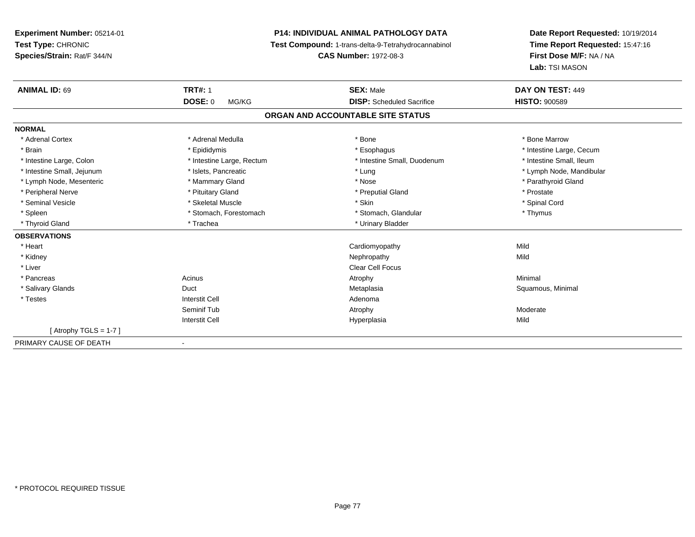**Experiment Number:** 05214-01**Test Type:** CHRONIC **Species/Strain:** Rat/F 344/N**P14: INDIVIDUAL ANIMAL PATHOLOGY DATA Test Compound:** 1-trans-delta-9-Tetrahydrocannabinol **CAS Number:** 1972-08-3**Date Report Requested:** 10/19/2014**Time Report Requested:** 15:47:16**First Dose M/F:** NA / NA**Lab:** TSI MASON**ANIMAL ID:** 69**TRT#:** 1 **SEX:** Male **DAY ON TEST:** 449 **DOSE:** 0 MG/KG **DISP:** Scheduled Sacrifice **HISTO:** <sup>900589</sup> **ORGAN AND ACCOUNTABLE SITE STATUSNORMAL**\* Adrenal Cortex \* Adrenal Medulla \* Adrenal Medulla \* Bone \* Bone \* Bone \* Bone \* Bone Marrow \* Brain \* Explorer \* Epididymis \* \* Epididymis \* \* Esophagus \* Esophagus \* \* Esophagus \* Intestine Large, Cecum \* \* Intestine Large, Cecum \* Intestine Small, Ileum \* Intestine Large, Colon \* Intestine Large, Rectum \* Intestine Small, Duodenum \* Intestine Small, Duodenum \* Intestine Small, Jejunum \* \* \* https://www.fat.com/setter/educition/setter/filesophysics.com/setter/filesophysics.com/setter/filesophysics.com/setter/filesophysics.com/setter/filesophysics.com/setter/filesophysics.com/se \* Lymph Node, Mesenteric \* \* Mammary Gland \* Mammary Gland \* Nose \* Nose \* \* Parathyroid Gland \* Parathyroid Gland \* Peripheral Nerve \* \* \* Prostate \* \* Pretuitary Gland \* \* \* \* \* \* \* Preputial Gland \* \* \* Prostate \* Prostate \* Spinal Cord \* Seminal Vesicle \* \* Spinal Cord \* Skeletal Muscle \* \* Skin \* \* Skin \* \* Spinal Vesicle \* Spinal Cord \* Spinal Cord \* Spleen \* Stomach, Forestomach \* Stomach \* Stomach, Glandular \* Stomach, Glandular \* Thymus \* Thyroid Gland \* Trachea \* Trachea \* Trachea \* Thyroid Gland **OBSERVATIONS** \* Heart Cardiomyopathyy Mild Mild \* Kidneyy the control of the control of the control of the control of the control of the control of the control of the control of the control of the control of the control of the control of the control of the control of the contro \* Liver Clear Cell Focus \* Pancreass the control of the control of the control of the control of the control of the control of the control of the control of the control of the control of the control of the control of the control of the control of the contro \* Salivary Glands Duct MetaplasiaMetaplasia **Mataplasia** Metaplasia Reserves and Squamous, Minimal \* Testes Interstit Cell AdenomaSeminif Tubb and the control of the control of the control of the control of the control of the control of the control of  $\lambda$ Interstit Cell Hyperplasiaa Mild  $[$  Atrophy TGLS = 1-7  $]$ PRIMARY CAUSE OF DEATH-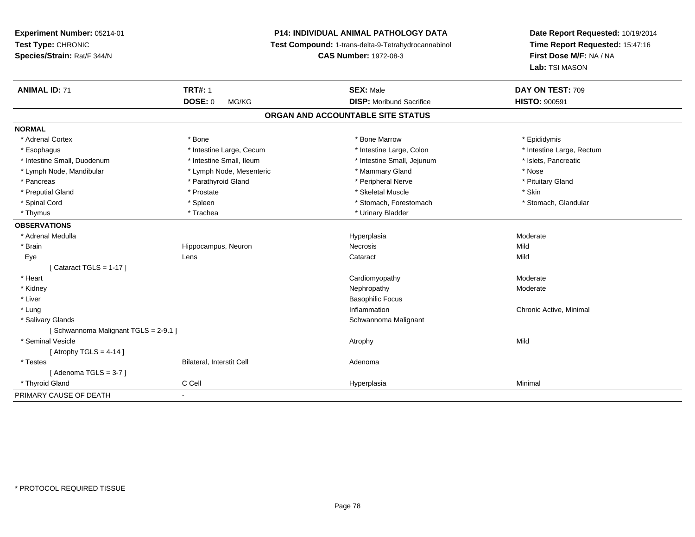**Experiment Number:** 05214-01**Test Type:** CHRONIC **Species/Strain:** Rat/F 344/N**P14: INDIVIDUAL ANIMAL PATHOLOGY DATA Test Compound:** 1-trans-delta-9-Tetrahydrocannabinol **CAS Number:** 1972-08-3**Date Report Requested:** 10/19/2014**Time Report Requested:** 15:47:16**First Dose M/F:** NA / NA**Lab:** TSI MASON**ANIMAL ID:** 71**TRT#:** 1 **SEX:** Male **DAY ON TEST:** 709 **DOSE:** 0 MG/KG**DISP:** Moribund Sacrifice **HISTO:** 900591 **ORGAN AND ACCOUNTABLE SITE STATUSNORMAL**\* Adrenal Cortex \* Adrenal Cortex \* \* The matter of the state of the state of the Marrow \* Bone Marrow \* Epididymis \* Epididymis \* Epididymis \* Bone Marrow \* Adrenal Cortex \* Epididymis \* Epididymis \* Bone Marrow \* Epididymis \* Epididymis \* Esophagus \* Thestine Large, Cecum \* Intestine Large, Cecum \* Intestine Large, Colon \* Intestine Large, Rectum \* Intestine Small, Duodenum \* Intestine Small, Ileum \* Intestine Small, Intestine Small, Jejunum \* Islets, Pancreatic \* Lymph Node, Mandibular \* The same \* Lymph Node, Mesenteric \* Mammary Gland \* Mammary Gland \* Nose \* Pituitary Gland \* Pancreas \* Parathyroid Gland \* Peripheral Nerve \* Peripheral Nerve \* Preputial Gland \* \* \* Prostate \* \* Prostate \* \* Skeletal Muscle \* \* Skeletal Muscle \* \* Skin \* Stomach. Glandular \* Spinal Cord \* Spinal Cord \* Spinal Cord \* Stomach, Forestomach \* Stomach, Forestomach \* Stomach, Forestomach \* Thymus \* Trachea \* Trachea \* Urinary Bladder **OBSERVATIONS** \* Adrenal Medullaa and the state of the state of the state of the Hyperplasia and the Moderate of the Moderate of the Shane and T \* Brainn and the Hippocampus, Neuron and the Necrosis Necrosis and the Mild Mild Mild and Mild Street and Mild Street Eyee the contract of the contract of the contract of the contract of the contract of the contract of the contract  $\mathsf{Mild}$  $[$  Cataract TGLS = 1-17  $]$  \* Heart Cardiomyopathy ModerateModerate \* Kidneyy which is a set of the control of the control of the Moderate of the Moderate of the Moderate of the Moderate  $\lambda$  \* Liver Basophilic Focus \* Lungg is a controller to the controller of the controller of the chronic Active, Minimal of the chronic Active, Minimal of the chronic Active, Minimal of the chronic Active, Minimal of the chronic Active, Minimal of the chroni \* Salivary Glands Schwannoma Malignant [ Schwannoma Malignant TGLS = 2-9.1 ] \* Seminal Vesiclee and the control of the control of the control of the control of the control of the control of the control of the control of the control of the control of the control of the control of the control of the control of the co  $[$  Atrophy TGLS = 4-14  $]$  \* TestesBilateral, Interstit Cell **Adenoma** [ Adenoma TGLS = 3-7 ] \* Thyroid Gland C Cell Hyperplasia Minimal PRIMARY CAUSE OF DEATH-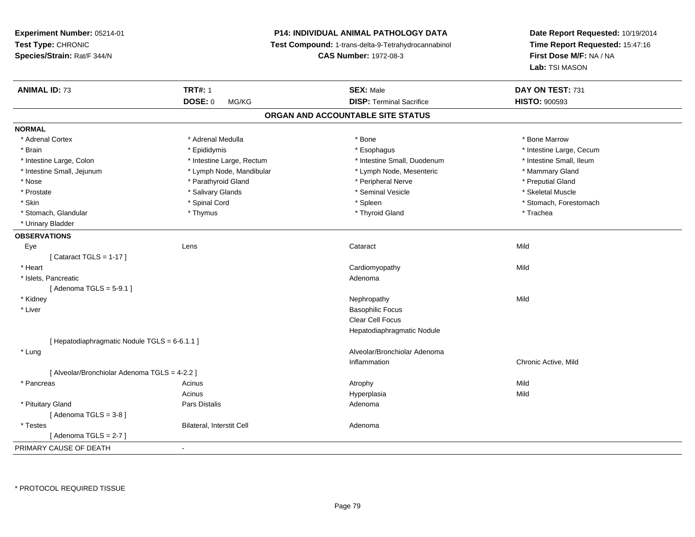**Experiment Number:** 05214-01**Test Type:** CHRONIC **Species/Strain:** Rat/F 344/N**P14: INDIVIDUAL ANIMAL PATHOLOGY DATA Test Compound:** 1-trans-delta-9-Tetrahydrocannabinol **CAS Number:** 1972-08-3**ANIMAL ID:** 73**TRT#:** 1 **SEX:** Male **DAY ON TEST:** 731 **DOSE:** 0 MG/KG **DISP:** Terminal Sacrifice **HISTO:** <sup>900593</sup> **ORGAN AND ACCOUNTABLE SITE STATUSNORMAL**\* Adrenal Cortex \* Adrenal Medulla \* Adrenal Medulla \* Bone \* Bone \* Bone \* Bone \* Bone Marrow \* Brain \* Explorer \* Epididymis \* \* Epididymis \* \* Esophagus \* Esophagus \* \* Esophagus \* Intestine Large, Cecum \* \* Intestine Large, Cecum \* Intestine Large, Colon \* Intestine Large, Rectum \* Intestine Small, Duodenum \* Intestine Small, Duodenum \* Intestine Small, Jejunum \* The mannery Gland \* Lymph Node, Mandibular \* The mannery Stand \* Mammary Gland \* Mammary Gland \* Nose \* Parathyroid Gland \* Peripheral Nerve \* Preputial Gland \* Prostate \* \* Skeletal Muscle \* \* Salivary Glands \* \* Steminal Vesicle \* \* Seminal Vesicle \* \* Skeletal Muscle \* Skin \* Spinal Cord \* Spinal Cord \* Spinal Cord \* Spinal \* Spinal \* Stomach, Forestomach \* Stomach, Forestomach \* Stomach, Glandular \* Thymus \* Thymus \* Thymus \* Thyroid Gland \* Thyroid Gland \* Trachea \* Urinary Bladder**OBSERVATIONS** Eyee the contract of the contract of the contract of the contract of the contract of the contract of the contract  $\mathsf{Mild}$  $[$  Cataract TGLS = 1-17  $]$  \* Heart Cardiomyopathyy Mild \* Islets, Pancreaticc and the contract of the contract of the contract of the contract of the contract of the contract of the contract of the contract of the contract of the contract of the contract of the contract of the contract of the cont  $[$  Adenoma TGLS = 5-9.1  $]$  \* Kidneyy the control of the control of the control of the control of the control of the control of the control of the control of the control of the control of the control of the control of the control of the control of the contro \* Liver Basophilic FocusClear Cell Focus

[ Hepatodiaphragmatic Nodule TGLS = 6-6.1.1 ]\* Lung

Inflammation Chronic Active, Mild [ Alveolar/Bronchiolar Adenoma TGLS = 4-2.2 ] \* Pancreass and the contract of the Acinus and Acinus and Acinus and Acinus Atrophy and Acinus and Mild Mild Acinus Hyperplasiaa Mild \* Pituitary Glandd and the contract of Pars Distalis and the contract of Adenoma and Adenoma and the Adenoma and the Adenoma and  $\lambda$  $[$  Adenoma TGLS = 3-8  $]$  \* TestesBilateral, Interstit Cell **Adenoma** Adenoma  $[$  Adenoma TGLS = 2-7  $]$ PRIMARY CAUSE OF DEATH-

Hepatodiaphragmatic Nodule

Alveolar/Bronchiolar Adenoma

\* PROTOCOL REQUIRED TISSUE

**Date Report Requested:** 10/19/2014**Time Report Requested:** 15:47:16**First Dose M/F:** NA / NA**Lab:** TSI MASON

\* Intestine Small, Ileum

\* Preputial Gland

\* Skeletal Muscle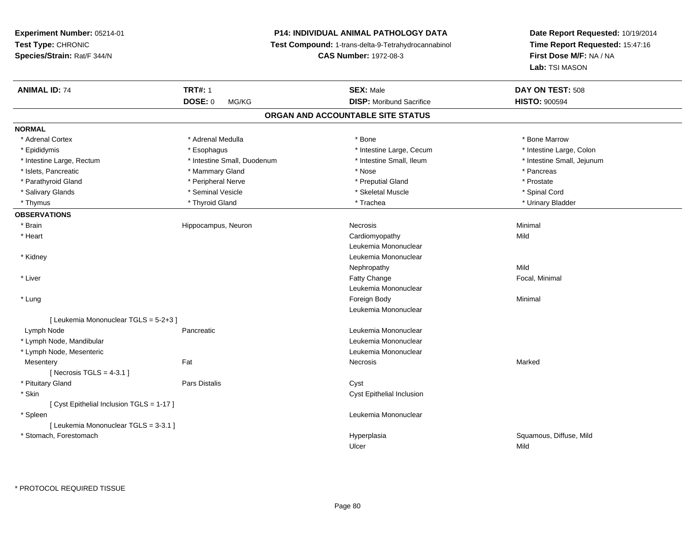# **P14: INDIVIDUAL ANIMAL PATHOLOGY DATA**

**Test Compound:** 1-trans-delta-9-Tetrahydrocannabinol

**CAS Number:** 1972-08-3

| <b>ANIMAL ID: 74</b>                      | <b>TRT#: 1</b>              | <b>SEX: Male</b>                  | DAY ON TEST: 508                |
|-------------------------------------------|-----------------------------|-----------------------------------|---------------------------------|
|                                           | DOSE: 0<br>MG/KG            | <b>DISP:</b> Moribund Sacrifice   | <b>HISTO: 900594</b>            |
|                                           |                             | ORGAN AND ACCOUNTABLE SITE STATUS |                                 |
| <b>NORMAL</b>                             |                             |                                   |                                 |
| * Adrenal Cortex                          | * Adrenal Medulla           | * Bone                            | * Bone Marrow                   |
| * Epididymis                              | * Esophagus                 | * Intestine Large, Cecum          | * Intestine Large, Colon        |
| * Intestine Large, Rectum                 | * Intestine Small, Duodenum | * Intestine Small, Ileum          | * Intestine Small, Jejunum      |
| * Islets, Pancreatic                      | * Mammary Gland             | * Nose                            | * Pancreas                      |
| * Parathyroid Gland                       | * Peripheral Nerve          | * Preputial Gland                 | * Prostate                      |
| * Salivary Glands                         | * Seminal Vesicle           | * Skeletal Muscle                 | * Spinal Cord                   |
| * Thymus                                  | * Thyroid Gland             | * Trachea                         | * Urinary Bladder               |
| <b>OBSERVATIONS</b>                       |                             |                                   |                                 |
| * Brain                                   | Hippocampus, Neuron         | Necrosis                          | Minimal                         |
| * Heart                                   |                             | Cardiomyopathy                    | Mild                            |
|                                           |                             | Leukemia Mononuclear              |                                 |
| * Kidney                                  |                             | Leukemia Mononuclear              |                                 |
|                                           |                             | Nephropathy                       | Mild                            |
| * Liver                                   |                             | Fatty Change                      | Focal, Minimal                  |
|                                           |                             | Leukemia Mononuclear              |                                 |
| * Lung                                    |                             | Foreign Body                      | Minimal                         |
|                                           |                             | Leukemia Mononuclear              |                                 |
| [ Leukemia Mononuclear TGLS = 5-2+3 ]     |                             |                                   |                                 |
| Lymph Node                                | Pancreatic                  | Leukemia Mononuclear              |                                 |
| * Lymph Node, Mandibular                  |                             | Leukemia Mononuclear              |                                 |
| * Lymph Node, Mesenteric                  |                             | Leukemia Mononuclear              |                                 |
| Mesentery                                 | Fat                         | Necrosis                          | Marked                          |
| [Necrosis $TGLS = 4-3.1$ ]                |                             |                                   |                                 |
| * Pituitary Gland                         | <b>Pars Distalis</b>        | Cyst                              |                                 |
| * Skin                                    |                             | Cyst Epithelial Inclusion         |                                 |
| [ Cyst Epithelial Inclusion TGLS = 1-17 ] |                             |                                   |                                 |
| * Spleen                                  |                             | Leukemia Mononuclear              |                                 |
| [ Leukemia Mononuclear TGLS = 3-3.1 ]     |                             |                                   |                                 |
| * Stomach, Forestomach                    |                             | Hyperplasia<br>Ulcer              | Squamous, Diffuse, Mild<br>Mild |
|                                           |                             |                                   |                                 |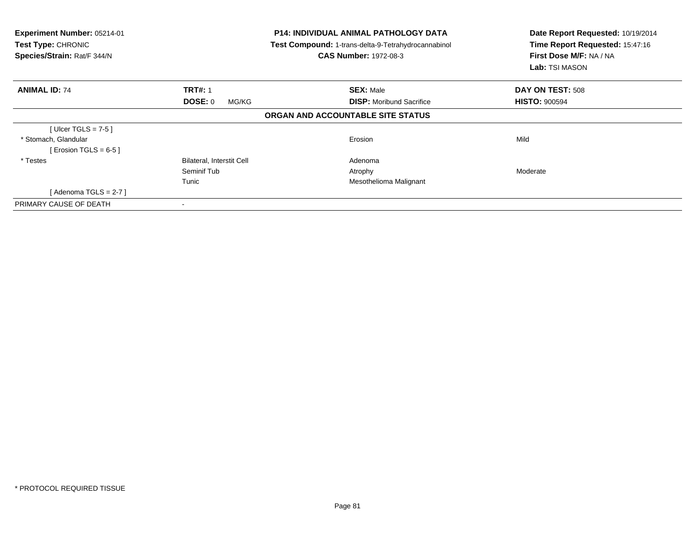| Experiment Number: 05214-01<br><b>Test Type: CHRONIC</b><br>Species/Strain: Rat/F 344/N |                           | <b>P14: INDIVIDUAL ANIMAL PATHOLOGY DATA</b><br>Test Compound: 1-trans-delta-9-Tetrahydrocannabinol<br><b>CAS Number: 1972-08-3</b> | Date Report Requested: 10/19/2014<br>Time Report Requested: 15:47:16<br>First Dose M/F: NA / NA<br>Lab: TSI MASON |
|-----------------------------------------------------------------------------------------|---------------------------|-------------------------------------------------------------------------------------------------------------------------------------|-------------------------------------------------------------------------------------------------------------------|
| <b>ANIMAL ID: 74</b>                                                                    | <b>TRT#: 1</b>            | <b>SEX: Male</b>                                                                                                                    | DAY ON TEST: 508                                                                                                  |
|                                                                                         | DOSE: 0<br>MG/KG          | <b>DISP:</b> Moribund Sacrifice                                                                                                     | <b>HISTO: 900594</b>                                                                                              |
|                                                                                         |                           | ORGAN AND ACCOUNTABLE SITE STATUS                                                                                                   |                                                                                                                   |
| [Ulcer TGLS = $7-5$ ]                                                                   |                           |                                                                                                                                     |                                                                                                                   |
| * Stomach, Glandular                                                                    |                           | Erosion                                                                                                                             | Mild                                                                                                              |
| [ Erosion TGLS = $6-5$ ]                                                                |                           |                                                                                                                                     |                                                                                                                   |
| * Testes                                                                                | Bilateral, Interstit Cell | Adenoma                                                                                                                             |                                                                                                                   |
|                                                                                         | Seminif Tub               | Atrophy                                                                                                                             | Moderate                                                                                                          |
|                                                                                         | Tunic                     | Mesothelioma Malignant                                                                                                              |                                                                                                                   |
| [ Adenoma TGLS = 2-7 ]                                                                  |                           |                                                                                                                                     |                                                                                                                   |
| PRIMARY CAUSE OF DEATH                                                                  |                           |                                                                                                                                     |                                                                                                                   |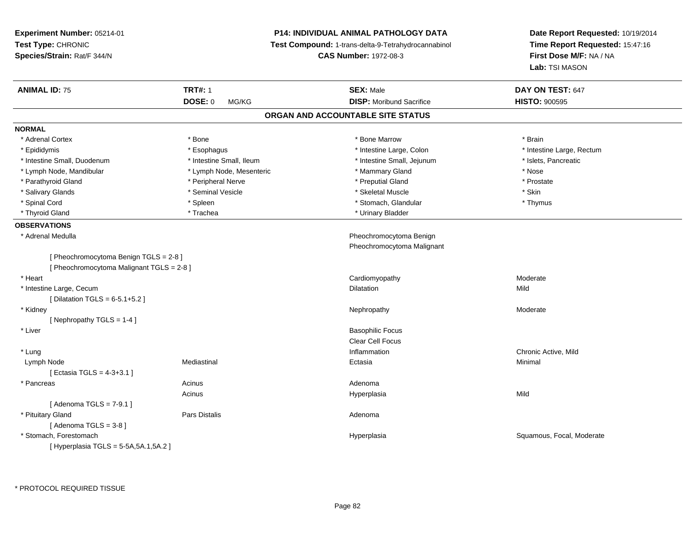**Experiment Number:** 05214-01**Test Type:** CHRONIC **Species/Strain:** Rat/F 344/N**P14: INDIVIDUAL ANIMAL PATHOLOGY DATA Test Compound:** 1-trans-delta-9-Tetrahydrocannabinol **CAS Number:** 1972-08-3**Date Report Requested:** 10/19/2014**Time Report Requested:** 15:47:16**First Dose M/F:** NA / NA**Lab:** TSI MASON**ANIMAL ID:** 75**TRT#:** 1 **SEX:** Male **DAY ON TEST:** 647 **DOSE:** 0 MG/KG**DISP:** Moribund Sacrifice **HISTO:**  $900595$ **ORGAN AND ACCOUNTABLE SITE STATUSNORMAL**\* Adrenal Cortex \* Adrenal Cortex \* \* Adrenal Cortex \* Brain \* Bone \* \* Bone Marrow \* Bone Marrow \* \* Brain \* Brain \* Brain \* Brain \* Brain \* Brain \* Brain \* Brain \* Brain \* Brain \* Brain \* Brain \* Brain \* Brain \* Brain \* Brain \* Brain \* B \* Epididymis **\* Explose Activate and Activity Active** \* Esophagus \* Intestine Large, Colon **\* Intestine Large, Rectum** \* Intestine Large, Rectum \* Intestine Large, Rectum \* Intestine Small, Duodenum \* Intestine Small, Ileum \* Intestine Small, Jejunum \* Islets, Pancreatic\* Lymph Node, Mandibular \* The same \* Lymph Node, Mesenteric \* Mammary Gland \* Mammary Gland \* Nose \* Prostate \* Parathyroid Gland \* **Arror and \* Peripheral Nerve \*** Peripheral Text \* Preputial Gland \* Salivary Glands \* Seminal Vesicle \* Skeletal Muscle \* Skin\* Thymus \* Spinal Cord \* \* Stomach, Glandular \* Stomach, Glandular \* Stomach, Glandular \* Thymus \* Thymus \* Thymus \* \* Thymus \* Thyroid Gland \* Trachea \* Trachea \* Trachea \* Urinary Bladder **OBSERVATIONS** \* Adrenal Medulla Pheochromocytoma Benign Pheochromocytoma Malignant[ Pheochromocytoma Benign TGLS = 2-8 ][ Pheochromocytoma Malignant TGLS = 2-8 ] \* Heart Cardiomyopathy Moderate \* Intestine Large, Cecum Dilatation Mild  $[$  Dilatation TGLS = 6-5.1+5.2  $]$  \* Kidneyy which is a set of the control of the control of the Moderate of the Moderate of the Moderate of the Moderate  $\lambda$ [ Nephropathy TGLS = 1-4 ] \* Liver Basophilic Focus Clear Cell Focus \* Lungg is a controller to the controller of the controller of the controller of the controller of the chronic Active, Mild Lymph Node Mediastinal Ectasia Minimal [ Ectasia TGLS = 4-3+3.1 ] \* Pancreas Acinus Adenomas Supervisor of the Mathematic Section of Hyperplasia Acinusa Mild [ Adenoma TGLS = 7-9.1 ] \* Pituitary Glandd and the contract of Pars Distalis and the contract of Adenoma and Adenoma and the Adenoma and the Adenoma and  $\lambda$  $[$  Adenoma TGLS = 3-8  $]$  \* Stomach, ForestomachHyperplasia **Squamous, Focal, Moderate** [ Hyperplasia TGLS = 5-5A,5A.1,5A.2 ]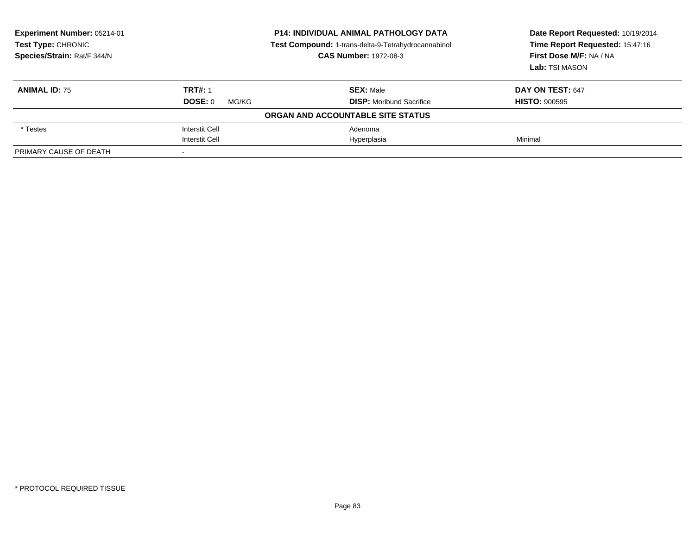| Experiment Number: 05214-01<br><b>Test Type: CHRONIC</b><br>Species/Strain: Rat/F 344/N |                       | <b>P14: INDIVIDUAL ANIMAL PATHOLOGY DATA</b><br>Test Compound: 1-trans-delta-9-Tetrahydrocannabinol<br><b>CAS Number: 1972-08-3</b> | Date Report Requested: 10/19/2014<br>Time Report Requested: 15:47:16<br>First Dose M/F: NA / NA<br>Lab: TSI MASON |
|-----------------------------------------------------------------------------------------|-----------------------|-------------------------------------------------------------------------------------------------------------------------------------|-------------------------------------------------------------------------------------------------------------------|
| <b>ANIMAL ID: 75</b>                                                                    | <b>TRT#: 1</b>        | <b>SEX: Male</b>                                                                                                                    | DAY ON TEST: 647                                                                                                  |
|                                                                                         | DOSE: 0<br>MG/KG      | <b>DISP:</b> Moribund Sacrifice                                                                                                     | <b>HISTO: 900595</b>                                                                                              |
|                                                                                         |                       | ORGAN AND ACCOUNTABLE SITE STATUS                                                                                                   |                                                                                                                   |
| * Testes                                                                                | <b>Interstit Cell</b> | Adenoma                                                                                                                             |                                                                                                                   |
|                                                                                         | <b>Interstit Cell</b> | Hyperplasia                                                                                                                         | Minimal                                                                                                           |
| PRIMARY CAUSE OF DEATH                                                                  |                       |                                                                                                                                     |                                                                                                                   |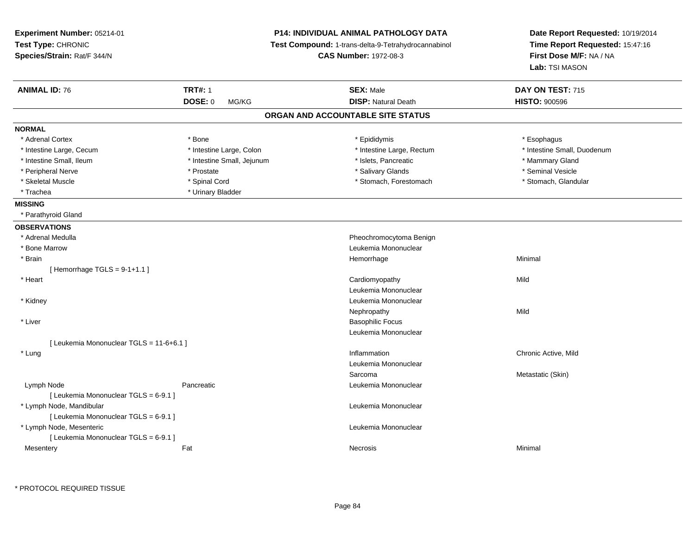| Experiment Number: 05214-01<br>Test Type: CHRONIC<br>Species/Strain: Rat/F 344/N |                            | <b>P14: INDIVIDUAL ANIMAL PATHOLOGY DATA</b><br>Test Compound: 1-trans-delta-9-Tetrahydrocannabinol<br><b>CAS Number: 1972-08-3</b> | Date Report Requested: 10/19/2014<br>Time Report Requested: 15:47:16<br>First Dose M/F: NA / NA<br>Lab: TSI MASON |
|----------------------------------------------------------------------------------|----------------------------|-------------------------------------------------------------------------------------------------------------------------------------|-------------------------------------------------------------------------------------------------------------------|
| <b>ANIMAL ID: 76</b>                                                             | <b>TRT#: 1</b>             | <b>SEX: Male</b>                                                                                                                    | DAY ON TEST: 715                                                                                                  |
|                                                                                  | <b>DOSE: 0</b><br>MG/KG    | <b>DISP: Natural Death</b>                                                                                                          | <b>HISTO: 900596</b>                                                                                              |
|                                                                                  |                            | ORGAN AND ACCOUNTABLE SITE STATUS                                                                                                   |                                                                                                                   |
| <b>NORMAL</b>                                                                    |                            |                                                                                                                                     |                                                                                                                   |
| * Adrenal Cortex                                                                 | * Bone                     | * Epididymis                                                                                                                        | * Esophagus                                                                                                       |
| * Intestine Large, Cecum                                                         | * Intestine Large, Colon   | * Intestine Large, Rectum                                                                                                           | * Intestine Small, Duodenum                                                                                       |
| * Intestine Small, Ileum                                                         | * Intestine Small, Jejunum | * Islets, Pancreatic                                                                                                                | * Mammary Gland                                                                                                   |
| * Peripheral Nerve                                                               | * Prostate                 | * Salivary Glands                                                                                                                   | * Seminal Vesicle                                                                                                 |
| * Skeletal Muscle                                                                | * Spinal Cord              | * Stomach, Forestomach                                                                                                              | * Stomach, Glandular                                                                                              |
| * Trachea                                                                        | * Urinary Bladder          |                                                                                                                                     |                                                                                                                   |
| <b>MISSING</b>                                                                   |                            |                                                                                                                                     |                                                                                                                   |
| * Parathyroid Gland                                                              |                            |                                                                                                                                     |                                                                                                                   |
| <b>OBSERVATIONS</b>                                                              |                            |                                                                                                                                     |                                                                                                                   |
| * Adrenal Medulla                                                                |                            | Pheochromocytoma Benign                                                                                                             |                                                                                                                   |
| * Bone Marrow                                                                    |                            | Leukemia Mononuclear                                                                                                                |                                                                                                                   |
| * Brain                                                                          |                            | Hemorrhage                                                                                                                          | Minimal                                                                                                           |
| [Hemorrhage TGLS = $9-1+1.1$ ]                                                   |                            |                                                                                                                                     |                                                                                                                   |
| * Heart                                                                          |                            | Cardiomyopathy                                                                                                                      | Mild                                                                                                              |
|                                                                                  |                            | Leukemia Mononuclear                                                                                                                |                                                                                                                   |
| * Kidney                                                                         |                            | Leukemia Mononuclear                                                                                                                |                                                                                                                   |
|                                                                                  |                            | Nephropathy                                                                                                                         | Mild                                                                                                              |
| * Liver                                                                          |                            | <b>Basophilic Focus</b>                                                                                                             |                                                                                                                   |
|                                                                                  |                            | Leukemia Mononuclear                                                                                                                |                                                                                                                   |
| [ Leukemia Mononuclear TGLS = 11-6+6.1 ]                                         |                            |                                                                                                                                     |                                                                                                                   |
| * Lung                                                                           |                            | Inflammation                                                                                                                        | Chronic Active, Mild                                                                                              |
|                                                                                  |                            | Leukemia Mononuclear                                                                                                                |                                                                                                                   |
|                                                                                  |                            | Sarcoma                                                                                                                             | Metastatic (Skin)                                                                                                 |
| Lymph Node                                                                       | Pancreatic                 | Leukemia Mononuclear                                                                                                                |                                                                                                                   |
| [ Leukemia Mononuclear TGLS = 6-9.1 ]                                            |                            |                                                                                                                                     |                                                                                                                   |
| * Lymph Node, Mandibular                                                         |                            | Leukemia Mononuclear                                                                                                                |                                                                                                                   |
| [ Leukemia Mononuclear TGLS = 6-9.1 ]                                            |                            | Leukemia Mononuclear                                                                                                                |                                                                                                                   |
| * Lymph Node, Mesenteric                                                         |                            |                                                                                                                                     |                                                                                                                   |
| [ Leukemia Mononuclear TGLS = 6-9.1 ]                                            | Fat                        |                                                                                                                                     | Minimal                                                                                                           |
| Mesentery                                                                        |                            | Necrosis                                                                                                                            |                                                                                                                   |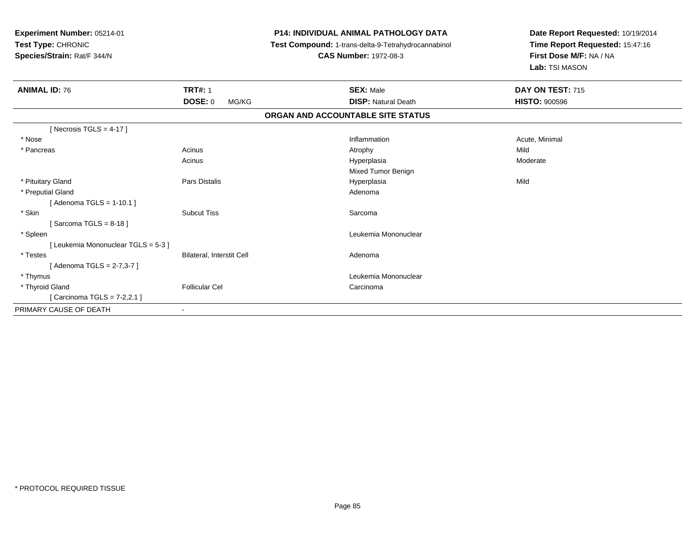**Experiment Number:** 05214-01**Test Type:** CHRONIC **Species/Strain:** Rat/F 344/N**P14: INDIVIDUAL ANIMAL PATHOLOGY DATA Test Compound:** 1-trans-delta-9-Tetrahydrocannabinol **CAS Number:** 1972-08-3**Date Report Requested:** 10/19/2014**Time Report Requested:** 15:47:16**First Dose M/F:** NA / NA**Lab:** TSI MASON**ANIMAL ID:** 76**6 TRT#:** 1 **TRT#:** 1 **SEX:** Male **SEX:** Male **DAY ON TEST:** 715 **DOSE:** 0 MG/KG**DISP:** Natural Death **HISTO:**  $900596$ **ORGAN AND ACCOUNTABLE SITE STATUS** $[$  Necrosis TGLS = 4-17  $]$  \* Nosee the contraction of the contraction of the contraction of the contraction of the contraction of the contraction  $\mathsf{Acute}$ , Minimal \* Pancreass the contract of the contract of the contract of the contract of the contract of the contract of the contract of the contract of the contract of the contract of the contract of the contract of the contract of the contract a Moderate Acinus HyperplasiaMixed Tumor Benign \* Pituitary Gland Pars Distalis Hyperplasia Mild \* Preputial Glandd and a state of the control of the control of the control of the control of the control of the control of the control of the control of the control of the control of the control of the control of the control of the contro [ Adenoma TGLS = 1-10.1 ] \* Skinn and the subcut Tiss of the Subcut Tiss of the Sarcoma state of the Sarcoma state of the Sarcoma state of the Sarcoma state of the Sarcoma state of the Sarcoma state of the Sarcoma state of the Sarcoma state of the Sarcom  $[$  Sarcoma TGLS = 8-18  $]$  \* Spleen Leukemia Mononuclear [ Leukemia Mononuclear TGLS = 5-3 ] \* TestesBilateral, Interstit Cell **Adenoma** [ Adenoma TGLS = 2-7,3-7 ] \* Thymus Leukemia Mononuclear \* Thyroid Glandd Carcinoma **Follicular Cel** Carcinoma Carcinoma Carcinoma Carcinoma Carcinoma Carcinoma Carcinoma Carcinoma Carcinoma Carcinoma Carcinoma Carcinoma Carcinoma Carcinoma Carcinoma Carcinoma Carcinoma Carcinoma Carcinoma Car [ Carcinoma TGLS = 7-2,2.1 ]PRIMARY CAUSE OF DEATH-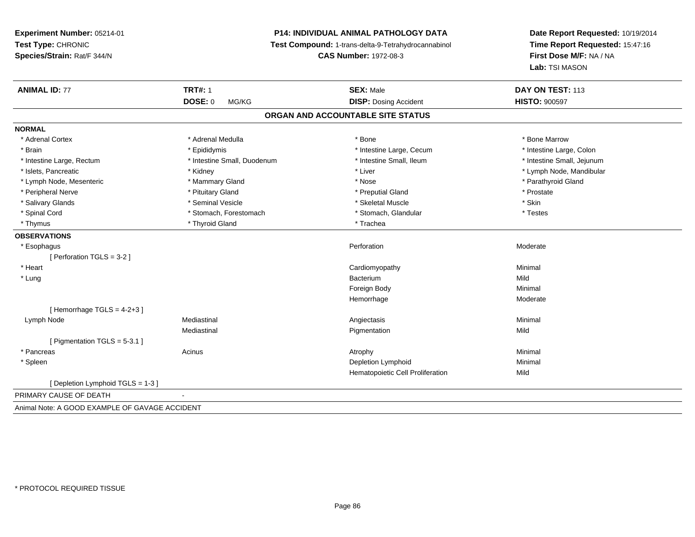**Experiment Number:** 05214-01**Test Type:** CHRONIC **Species/Strain:** Rat/F 344/N**P14: INDIVIDUAL ANIMAL PATHOLOGY DATA Test Compound:** 1-trans-delta-9-Tetrahydrocannabinol **CAS Number:** 1972-08-3**ANIMAL ID:** 77**TRT#:** 1 **SEX:** Male **DAY ON TEST:** 113 **DOSE:** 0 MG/KG**DISP:** Dosing Accident **HISTO:**  $900597$ **ORGAN AND ACCOUNTABLE SITE STATUSNORMAL**\* Adrenal Cortex \* Adrenal Medulla \* Adrenal Medulla \* Bone \* Bone \* Bone \* Bone \* Bone Marrow \* Brain \* Epididymis \* Epididymis \* The state of the Large, Cecum \* Intestine Large, Cecum \* Intestine Large, Cecum \* Intestine Large, Rectum \* Thestine Small, Duodenum \* Number of the small, Ileum \* Intestine Small, Jejunum \* Intestine Small, Jejunum \* Islets, Pancreatic \* \* Andrew \* Kidney \* Kidney \* Kidney \* Liver \* Liver \* Liver \* Number \* Lymph Node, Mandibular \* Lymph Node, Mandibular \* Lymph Node, Mandibular \* Lymph Node, Mandibular \* Lymph Node, Mandibular \* Lym \* Lymph Node, Mesenteric \* \* Mammary Gland \* Mammary Gland \* Nose \* Nose \* \* Nose \* \* Parathyroid Gland \* Parathyroid Gland \* Peripheral Nerve \* \* \* Prostate \* \* Pretuitary Gland \* \* \* \* \* \* \* Preputial Gland \* \* \* Prostate \* Prostate \* Salivary Glands \* Seminal Vesicle \* Skeletal Muscle \* Skin\* Spinal Cord **\*** Stomach, Forestomach \* Stomach, Spinal Cord \* Stomach, Glandular \* Testess \* Stomach, Glandular \* Thymus \* Thyroid Gland \* Thyroid Gland \* The \* Trachea **OBSERVATIONS** \* Esophaguss and the contract of the contract of the contract of the contract of the contract of the contract of the contract of the contract of the contract of the contract of the contract of the contract of the contract of the cont Perforation **Moderate** [ Perforation TGLS = 3-2 ] \* Heart Cardiomyopathy Minimal \* Lungg and the state of the state of the state of the state of the state of the state of the state of the state of the state of the state of the state of the state of the state of the state of the state of the state of the stat m Mild<br>———————————————————— Foreign Bodyy the contract of the Minimal Minimal Section 1996 and the contract of the Minimal Section 1997 and the contract of the contract of the contract of the contract of the contract of the contract of the contract of the contra Hemorrhage Moderate  $[$  Hemorrhage TGLS = 4-2+3  $]$  Lymph Node Mediastinal Angiectasis Minimal Mediastinal**Pigmentation** 

[ Pigmentation TGLS = 5-3.1 ] \* Pancreass the control of the control of the control of the control of the control of the control of the control of the control of the control of the control of the control of the control of the control of the control of the contro \* Spleenn and the control of the control of the control of the control of the control of the control of the control of the control of the control of the control of the control of the control of the control of the control of the co Hematopoietic Cell Proliferation

[ Depletion Lymphoid TGLS = 1-3 ]

PRIMARY CAUSE OF DEATH-

Animal Note: A GOOD EXAMPLE OF GAVAGE ACCIDENT

**Date Report Requested:** 10/19/2014**Time Report Requested:** 15:47:16

**First Dose M/F:** NA / NA

**Lab:** TSI MASON

\* Intestine Large, Colon

\* Testes

n Mild

n Mild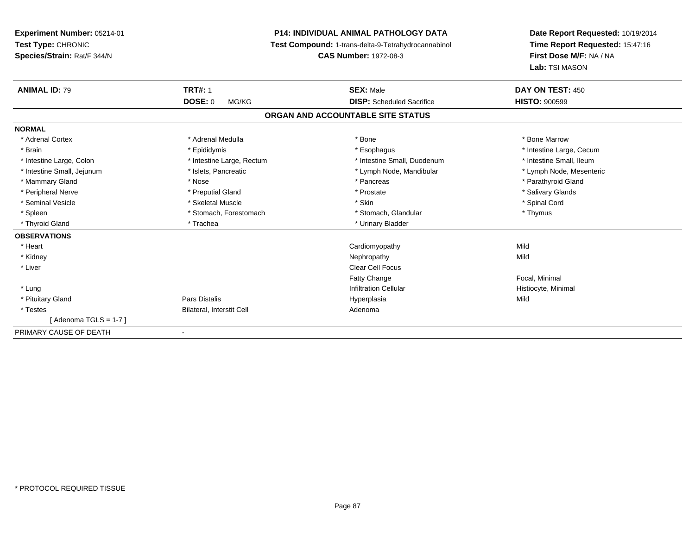**Experiment Number:** 05214-01**Test Type:** CHRONIC **Species/Strain:** Rat/F 344/N**P14: INDIVIDUAL ANIMAL PATHOLOGY DATA Test Compound:** 1-trans-delta-9-Tetrahydrocannabinol **CAS Number:** 1972-08-3**Date Report Requested:** 10/19/2014**Time Report Requested:** 15:47:16**First Dose M/F:** NA / NA**Lab:** TSI MASON**ANIMAL ID:** 79**TRT#:** 1 **SEX:** Male **DAY ON TEST:** 450 **DOSE:** 0 MG/KG **DISP:** Scheduled Sacrifice **HISTO:** <sup>900599</sup> **ORGAN AND ACCOUNTABLE SITE STATUSNORMAL**\* Adrenal Cortex \* Adrenal Medulla \* Adrenal Medulla \* Bone \* Bone \* Bone \* Bone \* Bone Marrow \* Brain \* Explorer \* Epididymis \* \* Epididymis \* \* Esophagus \* Esophagus \* \* Esophagus \* Intestine Large, Cecum \* \* Intestine Large, Cecum \* Intestine Small, Ileum \* Intestine Large, Colon \* Intestine Large, Rectum \* Intestine Small, Duodenum \* Intestine Small, Duodenum \* Lymph Node, Mesenteric \* Intestine Small, Jejunum \* Mandibular \* Islets, Pancreatic \* Mandibular \* Lymph Node, Mandibular \* Mammary Gland \* \* Nose \* \* Nose \* \* Pancreas \* Pancreas \* \* Pancreas \* \* Pancreas \* \* Pancreas \* \* Parathyroid Gland \* Peripheral Nerve \* \* \* Preputial Gland \* \* Preputial Gland \* \* Prostate \* \* Salivary Glands \* Salivary Glands \* Seminal Vesicle \* \* Spinal Cord \* Skeletal Muscle \* \* Skin \* \* Skin \* \* Spinal Vesicle \* Spinal Cord \* Spinal Cord \* Spleen \* Stomach, Forestomach \* Stomach \* Stomach, Glandular \* Stomach, Glandular \* Thymus \* Thyroid Gland \* Trachea \* Trachea \* Trachea \* Urinary Bladder **OBSERVATIONS** \* Heart Cardiomyopathyy Mild Mild \* Kidneyy the control of the control of the control of the control of the control of the control of the control of the control of the control of the control of the control of the control of the control of the control of the contro \* Liver Clear Cell FocusFatty ChangeFatty Change **Focal, Minimal**<br>
Infiltration Cellular **Focal, Minimal**<br>
Histiocyte, Mini \* Lungg is a construction Cellular Historyte, Minimal (1990) and the set of the construction Cellular Historyte, Minimal (1990) and the set of the construction Cellular (1990) and Historyte, Minimal (1990) and the construction \* Pituitary Gland Pars Distalis Hyperplasia Mild \* TestesBilateral, Interstit Cell **Adenoma** Adenoma [ Adenoma TGLS = 1-7 ]PRIMARY CAUSE OF DEATH-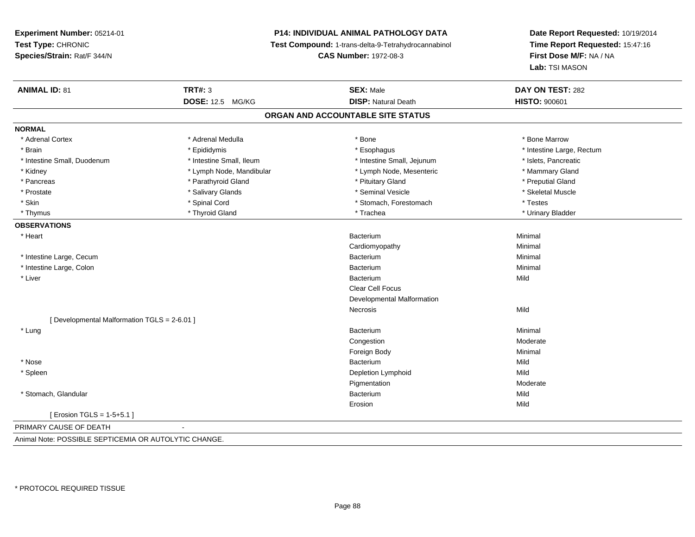# **P14: INDIVIDUAL ANIMAL PATHOLOGY DATA**

**Test Compound:** 1-trans-delta-9-Tetrahydrocannabinol

**CAS Number:** 1972-08-3

| <b>ANIMAL ID: 81</b>                                  | <b>TRT#: 3</b>           | <b>SEX: Male</b>                  | DAY ON TEST: 282          |
|-------------------------------------------------------|--------------------------|-----------------------------------|---------------------------|
|                                                       | <b>DOSE: 12.5 MG/KG</b>  | <b>DISP: Natural Death</b>        | <b>HISTO: 900601</b>      |
|                                                       |                          | ORGAN AND ACCOUNTABLE SITE STATUS |                           |
| <b>NORMAL</b>                                         |                          |                                   |                           |
| * Adrenal Cortex                                      | * Adrenal Medulla        | * Bone                            | * Bone Marrow             |
| * Brain                                               | * Epididymis             | * Esophagus                       | * Intestine Large, Rectum |
| * Intestine Small, Duodenum                           | * Intestine Small, Ileum | * Intestine Small, Jejunum        | * Islets, Pancreatic      |
| * Kidney                                              | * Lymph Node, Mandibular | * Lymph Node, Mesenteric          | * Mammary Gland           |
| * Pancreas                                            | * Parathyroid Gland      | * Pituitary Gland                 | * Preputial Gland         |
| * Prostate                                            | * Salivary Glands        | * Seminal Vesicle                 | * Skeletal Muscle         |
| * Skin                                                | * Spinal Cord            | * Stomach, Forestomach            | * Testes                  |
| * Thymus                                              | * Thyroid Gland          | * Trachea                         | * Urinary Bladder         |
| <b>OBSERVATIONS</b>                                   |                          |                                   |                           |
| * Heart                                               |                          | Bacterium                         | Minimal                   |
|                                                       |                          | Cardiomyopathy                    | Minimal                   |
| * Intestine Large, Cecum                              |                          | Bacterium                         | Minimal                   |
| * Intestine Large, Colon                              |                          | Bacterium                         | Minimal                   |
| * Liver                                               |                          | Bacterium                         | Mild                      |
|                                                       |                          | Clear Cell Focus                  |                           |
|                                                       |                          | Developmental Malformation        |                           |
|                                                       |                          | Necrosis                          | Mild                      |
| [ Developmental Malformation TGLS = 2-6.01 ]          |                          |                                   |                           |
| * Lung                                                |                          | <b>Bacterium</b>                  | Minimal                   |
|                                                       |                          | Congestion                        | Moderate                  |
|                                                       |                          | Foreign Body                      | Minimal                   |
| * Nose                                                |                          | <b>Bacterium</b>                  | Mild                      |
| * Spleen                                              |                          | Depletion Lymphoid                | Mild                      |
|                                                       |                          | Pigmentation                      | Moderate                  |
| * Stomach, Glandular                                  |                          | Bacterium                         | Mild                      |
|                                                       |                          | Erosion                           | Mild                      |
| [ Erosion TGLS = 1-5+5.1 ]                            |                          |                                   |                           |
| PRIMARY CAUSE OF DEATH                                |                          |                                   |                           |
| Animal Note: POSSIBLE SEPTICEMIA OR AUTOLYTIC CHANGE. |                          |                                   |                           |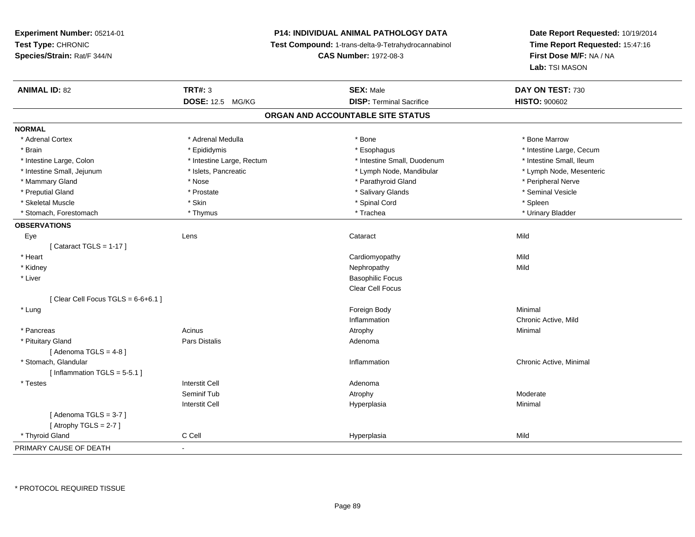# **P14: INDIVIDUAL ANIMAL PATHOLOGY DATA**

**Test Compound:** 1-trans-delta-9-Tetrahydrocannabinol

**CAS Number:** 1972-08-3

| <b>ANIMAL ID: 82</b>                 | <b>TRT#: 3</b>            | <b>SEX: Male</b>                  | DAY ON TEST: 730         |
|--------------------------------------|---------------------------|-----------------------------------|--------------------------|
|                                      | <b>DOSE: 12.5 MG/KG</b>   | <b>DISP: Terminal Sacrifice</b>   | <b>HISTO: 900602</b>     |
|                                      |                           | ORGAN AND ACCOUNTABLE SITE STATUS |                          |
| <b>NORMAL</b>                        |                           |                                   |                          |
| * Adrenal Cortex                     | * Adrenal Medulla         | * Bone                            | * Bone Marrow            |
| * Brain                              | * Epididymis              | * Esophagus                       | * Intestine Large, Cecum |
| * Intestine Large, Colon             | * Intestine Large, Rectum | * Intestine Small, Duodenum       | * Intestine Small, Ileum |
| * Intestine Small, Jejunum           | * Islets, Pancreatic      | * Lymph Node, Mandibular          | * Lymph Node, Mesenteric |
| * Mammary Gland                      | * Nose                    | * Parathyroid Gland               | * Peripheral Nerve       |
| * Preputial Gland                    | * Prostate                | * Salivary Glands                 | * Seminal Vesicle        |
| * Skeletal Muscle                    | * Skin                    | * Spinal Cord                     | * Spleen                 |
| * Stomach, Forestomach               | * Thymus                  | * Trachea                         | * Urinary Bladder        |
| <b>OBSERVATIONS</b>                  |                           |                                   |                          |
| Eye                                  | Lens                      | Cataract                          | Mild                     |
| [Cataract TGLS = $1-17$ ]            |                           |                                   |                          |
| * Heart                              |                           | Cardiomyopathy                    | Mild                     |
| * Kidney                             |                           | Nephropathy                       | Mild                     |
| * Liver                              |                           | <b>Basophilic Focus</b>           |                          |
|                                      |                           | <b>Clear Cell Focus</b>           |                          |
| [Clear Cell Focus TGLS = $6-6+6.1$ ] |                           |                                   |                          |
| * Lung                               |                           | Foreign Body                      | Minimal                  |
|                                      |                           | Inflammation                      | Chronic Active, Mild     |
| * Pancreas                           | Acinus                    | Atrophy                           | Minimal                  |
| * Pituitary Gland                    | Pars Distalis             | Adenoma                           |                          |
| [Adenoma TGLS = $4-8$ ]              |                           |                                   |                          |
| * Stomach, Glandular                 |                           | Inflammation                      | Chronic Active, Minimal  |
| [Inflammation TGLS = $5-5.1$ ]       |                           |                                   |                          |
| * Testes                             | <b>Interstit Cell</b>     | Adenoma                           |                          |
|                                      | Seminif Tub               | Atrophy                           | Moderate                 |
|                                      | <b>Interstit Cell</b>     | Hyperplasia                       | Minimal                  |
| [Adenoma TGLS = $3-7$ ]              |                           |                                   |                          |
| [Atrophy TGLS = $2-7$ ]              |                           |                                   |                          |
| * Thyroid Gland                      | C Cell                    | Hyperplasia                       | Mild                     |
| PRIMARY CAUSE OF DEATH               | $\blacksquare$            |                                   |                          |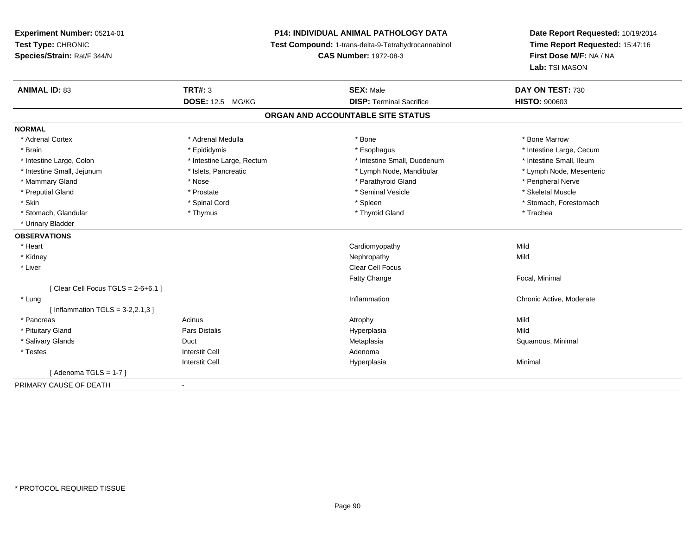# **P14: INDIVIDUAL ANIMAL PATHOLOGY DATA**

**Test Compound:** 1-trans-delta-9-Tetrahydrocannabinol

**CAS Number:** 1972-08-3

| <b>ANIMAL ID: 83</b>                 | <b>TRT#: 3</b>            | <b>SEX: Male</b>                  | DAY ON TEST: 730         |
|--------------------------------------|---------------------------|-----------------------------------|--------------------------|
|                                      | <b>DOSE: 12.5 MG/KG</b>   | <b>DISP: Terminal Sacrifice</b>   | <b>HISTO: 900603</b>     |
|                                      |                           | ORGAN AND ACCOUNTABLE SITE STATUS |                          |
| <b>NORMAL</b>                        |                           |                                   |                          |
| * Adrenal Cortex                     | * Adrenal Medulla         | * Bone                            | * Bone Marrow            |
| * Brain                              | * Epididymis              | * Esophagus                       | * Intestine Large, Cecum |
| * Intestine Large, Colon             | * Intestine Large, Rectum | * Intestine Small, Duodenum       | * Intestine Small, Ileum |
| * Intestine Small, Jejunum           | * Islets, Pancreatic      | * Lymph Node, Mandibular          | * Lymph Node, Mesenteric |
| * Mammary Gland                      | * Nose                    | * Parathyroid Gland               | * Peripheral Nerve       |
| * Preputial Gland                    | * Prostate                | * Seminal Vesicle                 | * Skeletal Muscle        |
| * Skin                               | * Spinal Cord             | * Spleen                          | * Stomach, Forestomach   |
| * Stomach, Glandular                 | * Thymus                  | * Thyroid Gland                   | * Trachea                |
| * Urinary Bladder                    |                           |                                   |                          |
| <b>OBSERVATIONS</b>                  |                           |                                   |                          |
| * Heart                              |                           | Cardiomyopathy                    | Mild                     |
| * Kidney                             |                           | Nephropathy                       | Mild                     |
| * Liver                              |                           | <b>Clear Cell Focus</b>           |                          |
|                                      |                           | Fatty Change                      | Focal, Minimal           |
| [Clear Cell Focus TGLS = $2-6+6.1$ ] |                           |                                   |                          |
| * Lung                               |                           | Inflammation                      | Chronic Active, Moderate |
| [Inflammation TGLS = $3-2,2.1,3$ ]   |                           |                                   |                          |
| * Pancreas                           | Acinus                    | Atrophy                           | Mild                     |
| * Pituitary Gland                    | Pars Distalis             | Hyperplasia                       | Mild                     |
| * Salivary Glands                    | Duct                      | Metaplasia                        | Squamous, Minimal        |
| * Testes                             | <b>Interstit Cell</b>     | Adenoma                           |                          |
|                                      | <b>Interstit Cell</b>     | Hyperplasia                       | Minimal                  |
| [Adenoma TGLS = $1-7$ ]              |                           |                                   |                          |
| PRIMARY CAUSE OF DEATH               | $\blacksquare$            |                                   |                          |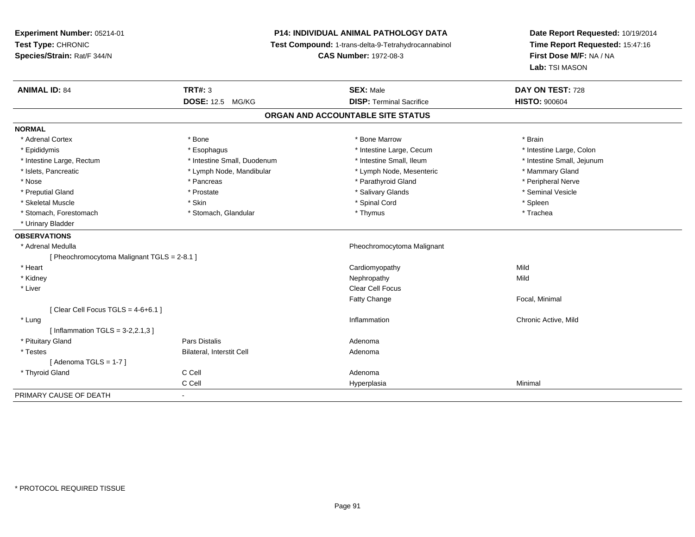# **P14: INDIVIDUAL ANIMAL PATHOLOGY DATA**

**Test Compound:** 1-trans-delta-9-Tetrahydrocannabinol

**CAS Number:** 1972-08-3

| <b>ANIMAL ID: 84</b>                        | <b>TRT#: 3</b>              | <b>SEX: Male</b>                  | DAY ON TEST: 728           |
|---------------------------------------------|-----------------------------|-----------------------------------|----------------------------|
|                                             | DOSE: 12.5 MG/KG            | <b>DISP: Terminal Sacrifice</b>   | <b>HISTO: 900604</b>       |
|                                             |                             | ORGAN AND ACCOUNTABLE SITE STATUS |                            |
| <b>NORMAL</b>                               |                             |                                   |                            |
| * Adrenal Cortex                            | * Bone                      | * Bone Marrow                     | * Brain                    |
| * Epididymis                                | * Esophagus                 | * Intestine Large, Cecum          | * Intestine Large, Colon   |
| * Intestine Large, Rectum                   | * Intestine Small, Duodenum | * Intestine Small. Ileum          | * Intestine Small, Jejunum |
| * Islets, Pancreatic                        | * Lymph Node, Mandibular    | * Lymph Node, Mesenteric          | * Mammary Gland            |
| * Nose                                      | * Pancreas                  | * Parathyroid Gland               | * Peripheral Nerve         |
| * Preputial Gland                           | * Prostate                  | * Salivary Glands                 | * Seminal Vesicle          |
| * Skeletal Muscle                           | * Skin                      | * Spinal Cord                     | * Spleen                   |
| * Stomach. Forestomach                      | * Stomach, Glandular        | * Thymus                          | * Trachea                  |
| * Urinary Bladder                           |                             |                                   |                            |
| <b>OBSERVATIONS</b>                         |                             |                                   |                            |
| * Adrenal Medulla                           |                             | Pheochromocytoma Malignant        |                            |
| [ Pheochromocytoma Malignant TGLS = 2-8.1 ] |                             |                                   |                            |
| * Heart                                     |                             | Cardiomyopathy                    | Mild                       |
| * Kidney                                    |                             | Nephropathy                       | Mild                       |
| * Liver                                     |                             | <b>Clear Cell Focus</b>           |                            |
|                                             |                             | <b>Fatty Change</b>               | Focal, Minimal             |
| [ Clear Cell Focus TGLS = $4-6+6.1$ ]       |                             |                                   |                            |
| * Lung                                      |                             | Inflammation                      | Chronic Active, Mild       |
| [Inflammation TGLS = $3-2,2.1,3$ ]          |                             |                                   |                            |
| * Pituitary Gland                           | Pars Distalis               | Adenoma                           |                            |
| * Testes                                    | Bilateral, Interstit Cell   | Adenoma                           |                            |
| [Adenoma TGLS = $1-7$ ]                     |                             |                                   |                            |
| * Thyroid Gland                             | C Cell                      | Adenoma                           |                            |
|                                             | C Cell                      | Hyperplasia                       | Minimal                    |
| PRIMARY CAUSE OF DEATH                      | $\blacksquare$              |                                   |                            |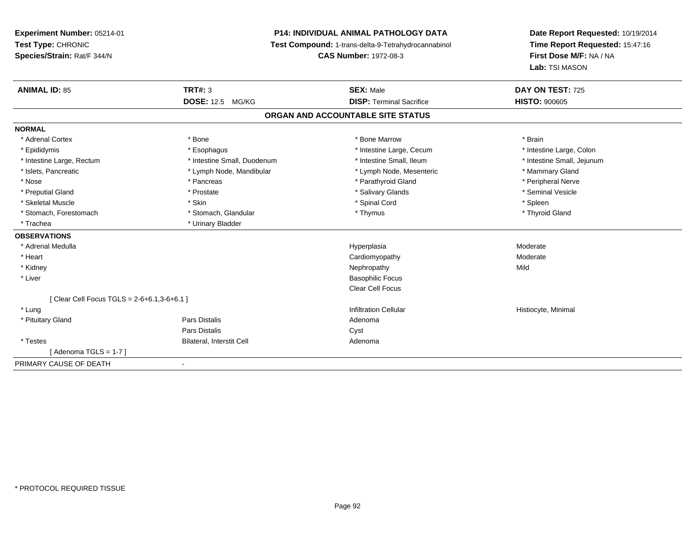# **P14: INDIVIDUAL ANIMAL PATHOLOGY DATA**

**Test Compound:** 1-trans-delta-9-Tetrahydrocannabinol

**CAS Number:** 1972-08-3

| <b>ANIMAL ID: 85</b>                          | <b>TRT#: 3</b>              | <b>SEX: Male</b>                  | DAY ON TEST: 725           |
|-----------------------------------------------|-----------------------------|-----------------------------------|----------------------------|
|                                               | <b>DOSE: 12.5 MG/KG</b>     | <b>DISP: Terminal Sacrifice</b>   | <b>HISTO: 900605</b>       |
|                                               |                             | ORGAN AND ACCOUNTABLE SITE STATUS |                            |
| <b>NORMAL</b>                                 |                             |                                   |                            |
| * Adrenal Cortex                              | * Bone                      | * Bone Marrow                     | * Brain                    |
| * Epididymis                                  | * Esophagus                 | * Intestine Large, Cecum          | * Intestine Large, Colon   |
| * Intestine Large, Rectum                     | * Intestine Small, Duodenum | * Intestine Small, Ileum          | * Intestine Small, Jejunum |
| * Islets, Pancreatic                          | * Lymph Node, Mandibular    | * Lymph Node, Mesenteric          | * Mammary Gland            |
| * Nose                                        | * Pancreas                  | * Parathyroid Gland               | * Peripheral Nerve         |
| * Preputial Gland                             | * Prostate                  | * Salivary Glands                 | * Seminal Vesicle          |
| * Skeletal Muscle                             | * Skin                      | * Spinal Cord                     | * Spleen                   |
| * Stomach, Forestomach                        | * Stomach, Glandular        | * Thymus                          | * Thyroid Gland            |
| * Trachea                                     | * Urinary Bladder           |                                   |                            |
| <b>OBSERVATIONS</b>                           |                             |                                   |                            |
| * Adrenal Medulla                             |                             | Hyperplasia                       | Moderate                   |
| * Heart                                       |                             | Cardiomyopathy                    | Moderate                   |
| * Kidney                                      |                             | Nephropathy                       | Mild                       |
| * Liver                                       |                             | <b>Basophilic Focus</b>           |                            |
|                                               |                             | <b>Clear Cell Focus</b>           |                            |
| [ Clear Cell Focus TGLS = $2-6+6.1,3-6+6.1$ ] |                             |                                   |                            |
| * Lung                                        |                             | <b>Infiltration Cellular</b>      | Histiocyte, Minimal        |
| * Pituitary Gland                             | Pars Distalis               | Adenoma                           |                            |
|                                               | <b>Pars Distalis</b>        | Cyst                              |                            |
| * Testes                                      | Bilateral, Interstit Cell   | Adenoma                           |                            |
| [Adenoma TGLS = 1-7]                          |                             |                                   |                            |
| PRIMARY CAUSE OF DEATH                        |                             |                                   |                            |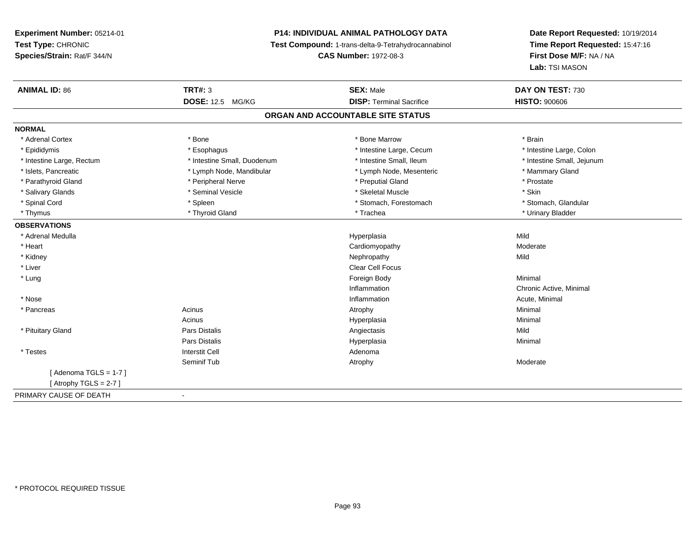# **P14: INDIVIDUAL ANIMAL PATHOLOGY DATA**

**Test Compound:** 1-trans-delta-9-Tetrahydrocannabinol

**CAS Number:** 1972-08-3

| <b>DOSE: 12.5</b><br><b>DISP: Terminal Sacrifice</b><br><b>HISTO: 900606</b><br>MG/KG<br>ORGAN AND ACCOUNTABLE SITE STATUS<br><b>NORMAL</b><br>* Adrenal Cortex<br>* Bone<br>* Bone Marrow<br>* Brain<br>* Intestine Large, Colon<br>* Epididymis<br>* Esophagus<br>* Intestine Large, Cecum<br>* Intestine Small, Duodenum<br>* Intestine Small, Ileum<br>* Intestine Small, Jejunum<br>* Intestine Large, Rectum<br>* Islets, Pancreatic<br>* Lymph Node, Mandibular<br>* Lymph Node, Mesenteric<br>* Mammary Gland<br>* Parathyroid Gland<br>* Peripheral Nerve<br>* Preputial Gland<br>* Prostate<br>* Seminal Vesicle<br>* Skin<br>* Skeletal Muscle<br>* Salivary Glands<br>* Spinal Cord<br>* Spleen<br>* Stomach, Forestomach<br>* Stomach, Glandular<br>* Thyroid Gland<br>* Trachea<br>* Urinary Bladder<br>* Thymus<br><b>OBSERVATIONS</b><br>Mild<br>* Adrenal Medulla<br>Hyperplasia<br>* Heart<br>Moderate<br>Cardiomyopathy<br>Mild<br>* Kidney<br>Nephropathy<br>* Liver<br>Clear Cell Focus<br>* Lung<br>Foreign Body<br>Minimal<br>Inflammation<br>Chronic Active, Minimal<br>* Nose<br>Inflammation<br>Acute, Minimal |
|------------------------------------------------------------------------------------------------------------------------------------------------------------------------------------------------------------------------------------------------------------------------------------------------------------------------------------------------------------------------------------------------------------------------------------------------------------------------------------------------------------------------------------------------------------------------------------------------------------------------------------------------------------------------------------------------------------------------------------------------------------------------------------------------------------------------------------------------------------------------------------------------------------------------------------------------------------------------------------------------------------------------------------------------------------------------------------------------------------------------------------------|
|                                                                                                                                                                                                                                                                                                                                                                                                                                                                                                                                                                                                                                                                                                                                                                                                                                                                                                                                                                                                                                                                                                                                          |
|                                                                                                                                                                                                                                                                                                                                                                                                                                                                                                                                                                                                                                                                                                                                                                                                                                                                                                                                                                                                                                                                                                                                          |
|                                                                                                                                                                                                                                                                                                                                                                                                                                                                                                                                                                                                                                                                                                                                                                                                                                                                                                                                                                                                                                                                                                                                          |
|                                                                                                                                                                                                                                                                                                                                                                                                                                                                                                                                                                                                                                                                                                                                                                                                                                                                                                                                                                                                                                                                                                                                          |
|                                                                                                                                                                                                                                                                                                                                                                                                                                                                                                                                                                                                                                                                                                                                                                                                                                                                                                                                                                                                                                                                                                                                          |
|                                                                                                                                                                                                                                                                                                                                                                                                                                                                                                                                                                                                                                                                                                                                                                                                                                                                                                                                                                                                                                                                                                                                          |
|                                                                                                                                                                                                                                                                                                                                                                                                                                                                                                                                                                                                                                                                                                                                                                                                                                                                                                                                                                                                                                                                                                                                          |
|                                                                                                                                                                                                                                                                                                                                                                                                                                                                                                                                                                                                                                                                                                                                                                                                                                                                                                                                                                                                                                                                                                                                          |
|                                                                                                                                                                                                                                                                                                                                                                                                                                                                                                                                                                                                                                                                                                                                                                                                                                                                                                                                                                                                                                                                                                                                          |
|                                                                                                                                                                                                                                                                                                                                                                                                                                                                                                                                                                                                                                                                                                                                                                                                                                                                                                                                                                                                                                                                                                                                          |
|                                                                                                                                                                                                                                                                                                                                                                                                                                                                                                                                                                                                                                                                                                                                                                                                                                                                                                                                                                                                                                                                                                                                          |
|                                                                                                                                                                                                                                                                                                                                                                                                                                                                                                                                                                                                                                                                                                                                                                                                                                                                                                                                                                                                                                                                                                                                          |
|                                                                                                                                                                                                                                                                                                                                                                                                                                                                                                                                                                                                                                                                                                                                                                                                                                                                                                                                                                                                                                                                                                                                          |
|                                                                                                                                                                                                                                                                                                                                                                                                                                                                                                                                                                                                                                                                                                                                                                                                                                                                                                                                                                                                                                                                                                                                          |
|                                                                                                                                                                                                                                                                                                                                                                                                                                                                                                                                                                                                                                                                                                                                                                                                                                                                                                                                                                                                                                                                                                                                          |
|                                                                                                                                                                                                                                                                                                                                                                                                                                                                                                                                                                                                                                                                                                                                                                                                                                                                                                                                                                                                                                                                                                                                          |
|                                                                                                                                                                                                                                                                                                                                                                                                                                                                                                                                                                                                                                                                                                                                                                                                                                                                                                                                                                                                                                                                                                                                          |
|                                                                                                                                                                                                                                                                                                                                                                                                                                                                                                                                                                                                                                                                                                                                                                                                                                                                                                                                                                                                                                                                                                                                          |
|                                                                                                                                                                                                                                                                                                                                                                                                                                                                                                                                                                                                                                                                                                                                                                                                                                                                                                                                                                                                                                                                                                                                          |
| Minimal<br>Acinus<br>* Pancreas<br>Atrophy                                                                                                                                                                                                                                                                                                                                                                                                                                                                                                                                                                                                                                                                                                                                                                                                                                                                                                                                                                                                                                                                                               |
| Acinus<br>Minimal<br>Hyperplasia                                                                                                                                                                                                                                                                                                                                                                                                                                                                                                                                                                                                                                                                                                                                                                                                                                                                                                                                                                                                                                                                                                         |
| Mild<br>* Pituitary Gland<br>Pars Distalis<br>Angiectasis                                                                                                                                                                                                                                                                                                                                                                                                                                                                                                                                                                                                                                                                                                                                                                                                                                                                                                                                                                                                                                                                                |
| <b>Pars Distalis</b><br>Hyperplasia<br>Minimal                                                                                                                                                                                                                                                                                                                                                                                                                                                                                                                                                                                                                                                                                                                                                                                                                                                                                                                                                                                                                                                                                           |
| <b>Interstit Cell</b><br>* Testes<br>Adenoma                                                                                                                                                                                                                                                                                                                                                                                                                                                                                                                                                                                                                                                                                                                                                                                                                                                                                                                                                                                                                                                                                             |
| Seminif Tub<br>Moderate<br>Atrophy                                                                                                                                                                                                                                                                                                                                                                                                                                                                                                                                                                                                                                                                                                                                                                                                                                                                                                                                                                                                                                                                                                       |
| [Adenoma TGLS = $1-7$ ]                                                                                                                                                                                                                                                                                                                                                                                                                                                                                                                                                                                                                                                                                                                                                                                                                                                                                                                                                                                                                                                                                                                  |
| [Atrophy TGLS = $2-7$ ]                                                                                                                                                                                                                                                                                                                                                                                                                                                                                                                                                                                                                                                                                                                                                                                                                                                                                                                                                                                                                                                                                                                  |
| PRIMARY CAUSE OF DEATH<br>$\blacksquare$                                                                                                                                                                                                                                                                                                                                                                                                                                                                                                                                                                                                                                                                                                                                                                                                                                                                                                                                                                                                                                                                                                 |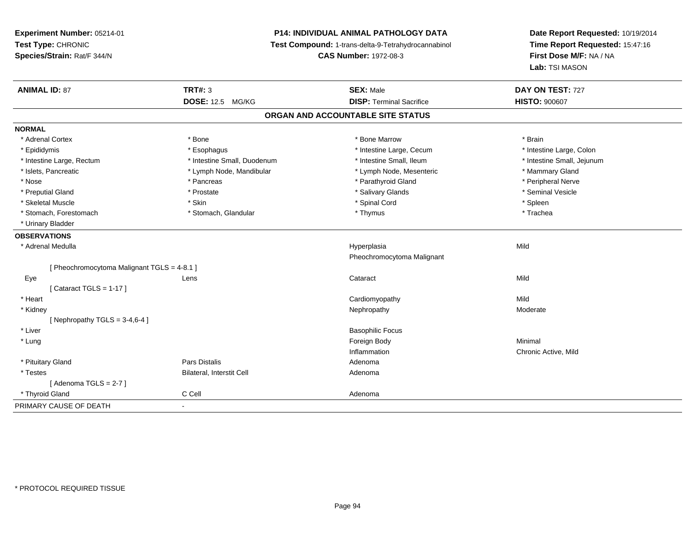# **P14: INDIVIDUAL ANIMAL PATHOLOGY DATA**

**Test Compound:** 1-trans-delta-9-Tetrahydrocannabinol

**CAS Number:** 1972-08-3

| <b>ANIMAL ID: 87</b>                      | <b>TRT#: 3</b>              | <b>SEX: Male</b>                  | DAY ON TEST: 727           |
|-------------------------------------------|-----------------------------|-----------------------------------|----------------------------|
|                                           | <b>DOSE: 12.5 MG/KG</b>     | <b>DISP: Terminal Sacrifice</b>   | <b>HISTO: 900607</b>       |
|                                           |                             | ORGAN AND ACCOUNTABLE SITE STATUS |                            |
| <b>NORMAL</b>                             |                             |                                   |                            |
| * Adrenal Cortex                          | * Bone                      | * Bone Marrow                     | * Brain                    |
| * Epididymis                              | * Esophagus                 | * Intestine Large, Cecum          | * Intestine Large, Colon   |
| * Intestine Large, Rectum                 | * Intestine Small, Duodenum | * Intestine Small, Ileum          | * Intestine Small, Jejunum |
| * Islets, Pancreatic                      | * Lymph Node, Mandibular    | * Lymph Node, Mesenteric          | * Mammary Gland            |
| * Nose                                    | * Pancreas                  | * Parathyroid Gland               | * Peripheral Nerve         |
| * Preputial Gland                         | * Prostate                  | * Salivary Glands                 | * Seminal Vesicle          |
| * Skeletal Muscle                         | * Skin                      | * Spinal Cord                     | * Spleen                   |
| * Stomach, Forestomach                    | * Stomach, Glandular        | * Thymus                          | * Trachea                  |
| * Urinary Bladder                         |                             |                                   |                            |
| <b>OBSERVATIONS</b>                       |                             |                                   |                            |
| * Adrenal Medulla                         |                             | Hyperplasia                       | Mild                       |
|                                           |                             | Pheochromocytoma Malignant        |                            |
| [Pheochromocytoma Malignant TGLS = 4-8.1] |                             |                                   |                            |
| Eye                                       | Lens                        | Cataract                          | Mild                       |
| [Cataract TGLS = 1-17]                    |                             |                                   |                            |
| * Heart                                   |                             | Cardiomyopathy                    | Mild                       |
| * Kidney                                  |                             | Nephropathy                       | Moderate                   |
| [Nephropathy TGLS = $3-4,6-4$ ]           |                             |                                   |                            |
| * Liver                                   |                             | <b>Basophilic Focus</b>           |                            |
| * Lung                                    |                             | Foreign Body                      | Minimal                    |
|                                           |                             | Inflammation                      | Chronic Active, Mild       |
| * Pituitary Gland                         | Pars Distalis               | Adenoma                           |                            |
| * Testes                                  | Bilateral, Interstit Cell   | Adenoma                           |                            |
| [Adenoma TGLS = 2-7]                      |                             |                                   |                            |
| * Thyroid Gland                           | C Cell                      | Adenoma                           |                            |
| PRIMARY CAUSE OF DEATH                    | $\blacksquare$              |                                   |                            |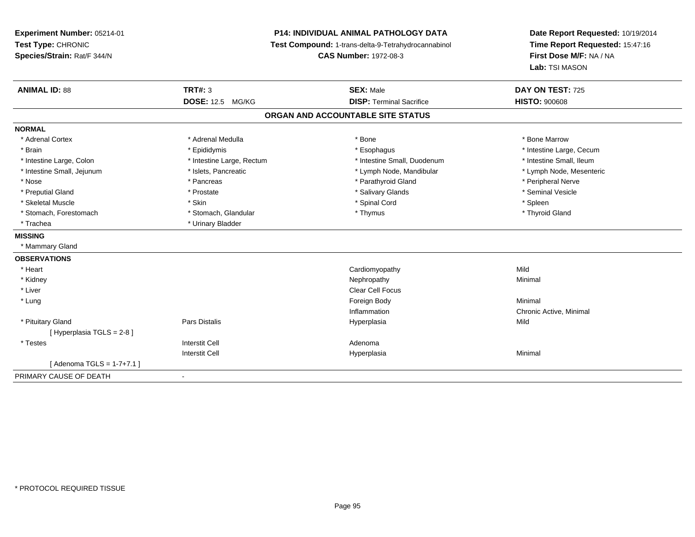**Experiment Number:** 05214-01**Test Type:** CHRONIC **Species/Strain:** Rat/F 344/N**P14: INDIVIDUAL ANIMAL PATHOLOGY DATA Test Compound:** 1-trans-delta-9-Tetrahydrocannabinol **CAS Number:** 1972-08-3**Date Report Requested:** 10/19/2014**Time Report Requested:** 15:47:16**First Dose M/F:** NA / NA**Lab:** TSI MASON**ANIMAL ID:** 88**TRT#:** 3 **SEX:** Male **DAY ON TEST:** 725 **DOSE:** 12.5 MG/KG**DISP:** Terminal Sacrifice **HISTO:**  $900608$ **ORGAN AND ACCOUNTABLE SITE STATUSNORMAL**\* Adrenal Cortex \* Adrenal Medulla \* Adrenal Medulla \* Bone \* Bone \* Bone \* Bone \* Bone Marrow \* Brain \* Explorer \* Epididymis \* \* Epididymis \* \* Esophagus \* Esophagus \* \* Esophagus \* Intestine Large, Cecum \* \* Intestine Large, Cecum \* Intestine Small, Ileum \* Intestine Large, Colon \* Intestine Large, Rectum \* Intestine Small, Duodenum \* Intestine Small, Duodenum \* Lymph Node, Mesenteric \* Intestine Small, Jejunum \* Mandibular \* Islets, Pancreatic \* Mandibular \* Lymph Node, Mandibular \* Nose \* \* Pancreas \* \* Pancreas \* \* Pancreas \* \* Parathyroid Gland \* \* Peripheral Nerve \* Peripheral Nerve \* \* Seminal Vesicle \* Preputial Gland \* \* Annual vesicle \* \* Prostate \* \* Salivary Glands \* \* Salivary Glands \* \* Seminal Vesicle \* \* Skeletal Muscle \* Skin \* Spinal Cord \* Spleen \* Thyroid Gland \* Stomach, Forestomach \* Thymus \* Stomach, Glandular \* Thymus \* Thymus \* Thymus \* Thymus \* Thymus \* Thymus \* Thymus \* Thymus \* Thymus \* Thymus \* Thymus \* Thymus \* Thymus \* Thymus \* Thymus \* Thymus \* Thymus \* Thymus \* Thymu \* Trachea **\*** Urinary Bladder **MISSING** \* Mammary Gland**OBSERVATIONS** \* Heart Cardiomyopathyy Mild Minimal \* Kidneyy the control of the control of the control of the control of the control of the control of the control of the control of the control of the control of the control of the control of the control of the control of the contro \* Liverr and the contract of the contract of the contract of the contract of the contract of the contract of the contract of the contract of the contract of the contract of the contract of the contract of the contract of the cont \* Lungg and the state of the state of the state of the state of the state of the state of the state of the state of the state of the state of the state of the state of the state of the state of the state of the state of the stat InflammationInflammation **Example 2** Chronic Active, Minimal Hyperplasia **Chronic Active**  \* Pituitary Gland Pars Distalis Hyperplasia Mild [ Hyperplasia TGLS = 2-8 ] \* Testess and the contractive contractive contractive contractive contractive contractive contractive contractive contractive contractive contractive contractive contractive contractive contractive contractive contractive contract I Contract to the Contract of the Hyperplasia Interstit Cella **Minimal**  $[$  Adenoma TGLS = 1-7+7.1  $]$ PRIMARY CAUSE OF DEATH-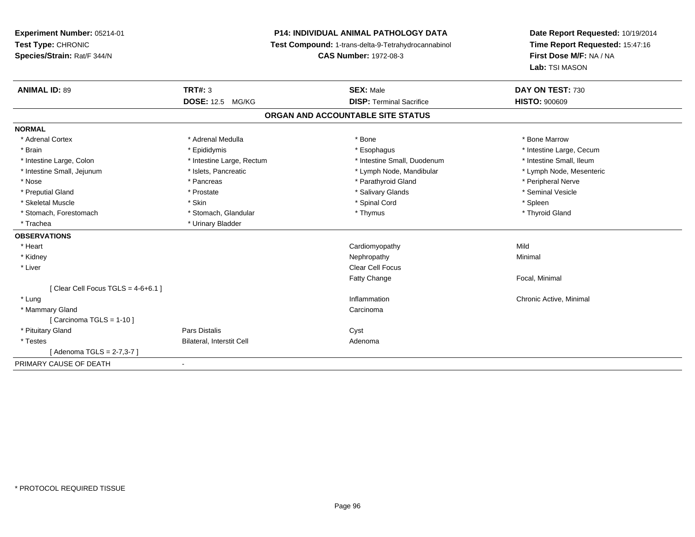# **P14: INDIVIDUAL ANIMAL PATHOLOGY DATA**

**Test Compound:** 1-trans-delta-9-Tetrahydrocannabinol

**CAS Number:** 1972-08-3

| <b>ANIMAL ID: 89</b>                | TRT#: 3                   | <b>SEX: Male</b>                  | DAY ON TEST: 730         |
|-------------------------------------|---------------------------|-----------------------------------|--------------------------|
|                                     | <b>DOSE: 12.5 MG/KG</b>   | <b>DISP: Terminal Sacrifice</b>   | <b>HISTO: 900609</b>     |
|                                     |                           | ORGAN AND ACCOUNTABLE SITE STATUS |                          |
| <b>NORMAL</b>                       |                           |                                   |                          |
| * Adrenal Cortex                    | * Adrenal Medulla         | * Bone                            | * Bone Marrow            |
| * Brain                             | * Epididymis              | * Esophagus                       | * Intestine Large, Cecum |
| * Intestine Large, Colon            | * Intestine Large, Rectum | * Intestine Small, Duodenum       | * Intestine Small, Ileum |
| * Intestine Small, Jejunum          | * Islets, Pancreatic      | * Lymph Node, Mandibular          | * Lymph Node, Mesenteric |
| * Nose                              | * Pancreas                | * Parathyroid Gland               | * Peripheral Nerve       |
| * Preputial Gland                   | * Prostate                | * Salivary Glands                 | * Seminal Vesicle        |
| * Skeletal Muscle                   | * Skin                    | * Spinal Cord                     | * Spleen                 |
| * Stomach, Forestomach              | * Stomach, Glandular      | * Thymus                          | * Thyroid Gland          |
| * Trachea                           | * Urinary Bladder         |                                   |                          |
| <b>OBSERVATIONS</b>                 |                           |                                   |                          |
| * Heart                             |                           | Cardiomyopathy                    | Mild                     |
| * Kidney                            |                           | Nephropathy                       | Minimal                  |
| * Liver                             |                           | <b>Clear Cell Focus</b>           |                          |
|                                     |                           | <b>Fatty Change</b>               | Focal, Minimal           |
| [ Clear Cell Focus TGLS = 4-6+6.1 ] |                           |                                   |                          |
| * Lung                              |                           | Inflammation                      | Chronic Active, Minimal  |
| * Mammary Gland                     |                           | Carcinoma                         |                          |
| [Carcinoma TGLS = $1-10$ ]          |                           |                                   |                          |
| * Pituitary Gland                   | Pars Distalis             | Cyst                              |                          |
| * Testes                            | Bilateral, Interstit Cell | Adenoma                           |                          |
| [Adenoma TGLS = 2-7,3-7]            |                           |                                   |                          |
| PRIMARY CAUSE OF DEATH              | $\blacksquare$            |                                   |                          |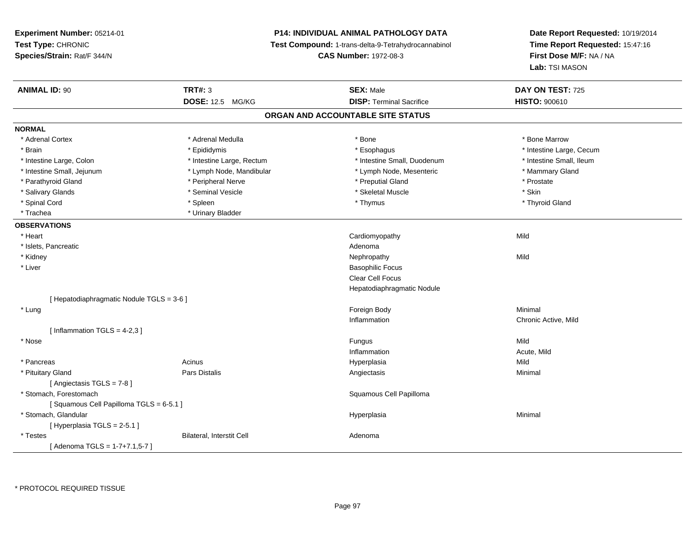# **P14: INDIVIDUAL ANIMAL PATHOLOGY DATA**

**Test Compound:** 1-trans-delta-9-Tetrahydrocannabinol

**CAS Number:** 1972-08-3

| <b>ANIMAL ID: 90</b>                      | <b>TRT#: 3</b>            | <b>SEX: Male</b>                  | DAY ON TEST: 725         |
|-------------------------------------------|---------------------------|-----------------------------------|--------------------------|
|                                           | <b>DOSE: 12.5 MG/KG</b>   | <b>DISP: Terminal Sacrifice</b>   | <b>HISTO: 900610</b>     |
|                                           |                           | ORGAN AND ACCOUNTABLE SITE STATUS |                          |
| <b>NORMAL</b>                             |                           |                                   |                          |
| * Adrenal Cortex                          | * Adrenal Medulla         | * Bone                            | * Bone Marrow            |
| * Brain                                   | * Epididymis              | * Esophagus                       | * Intestine Large, Cecum |
| * Intestine Large, Colon                  | * Intestine Large, Rectum | * Intestine Small, Duodenum       | * Intestine Small, Ileum |
| * Intestine Small, Jejunum                | * Lymph Node, Mandibular  | * Lymph Node, Mesenteric          | * Mammary Gland          |
| * Parathyroid Gland                       | * Peripheral Nerve        | * Preputial Gland                 | * Prostate               |
| * Salivary Glands                         | * Seminal Vesicle         | * Skeletal Muscle                 | * Skin                   |
| * Spinal Cord                             | * Spleen                  | * Thymus                          | * Thyroid Gland          |
| * Trachea                                 | * Urinary Bladder         |                                   |                          |
| <b>OBSERVATIONS</b>                       |                           |                                   |                          |
| * Heart                                   |                           | Cardiomyopathy                    | Mild                     |
| * Islets, Pancreatic                      |                           | Adenoma                           |                          |
| * Kidney                                  |                           | Nephropathy                       | Mild                     |
| * Liver                                   |                           | <b>Basophilic Focus</b>           |                          |
|                                           |                           | Clear Cell Focus                  |                          |
|                                           |                           | Hepatodiaphragmatic Nodule        |                          |
| [ Hepatodiaphragmatic Nodule TGLS = 3-6 ] |                           |                                   |                          |
| * Lung                                    |                           | Foreign Body                      | Minimal                  |
|                                           |                           | Inflammation                      | Chronic Active, Mild     |
| [Inflammation TGLS = $4-2,3$ ]            |                           |                                   |                          |
| * Nose                                    |                           | Fungus                            | Mild                     |
|                                           |                           | Inflammation                      | Acute, Mild              |
| * Pancreas                                | Acinus                    | Hyperplasia                       | Mild                     |
| * Pituitary Gland                         | Pars Distalis             | Angiectasis                       | Minimal                  |
| [Angiectasis TGLS = 7-8]                  |                           |                                   |                          |
| * Stomach, Forestomach                    |                           | Squamous Cell Papilloma           |                          |
| [Squamous Cell Papilloma TGLS = 6-5.1]    |                           |                                   |                          |
| * Stomach, Glandular                      |                           | Hyperplasia                       | Minimal                  |
| [Hyperplasia TGLS = 2-5.1]                |                           |                                   |                          |
| * Testes                                  | Bilateral, Interstit Cell | Adenoma                           |                          |
| [Adenoma TGLS = $1-7+7.1,5-7$ ]           |                           |                                   |                          |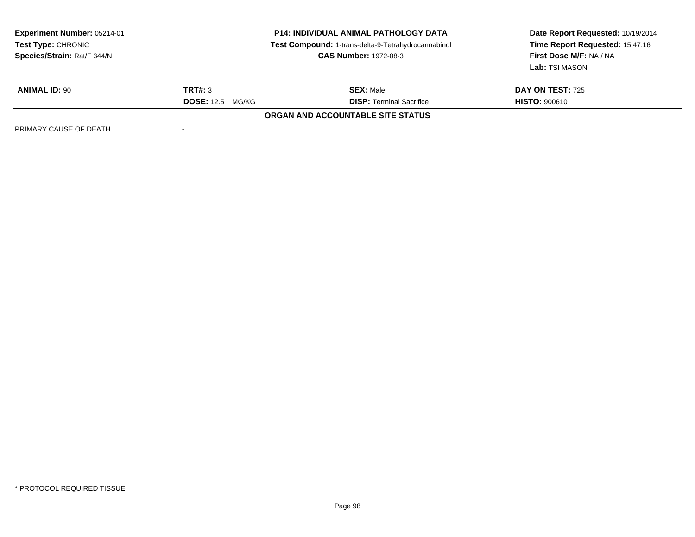| <b>Experiment Number: 05214-01</b><br><b>Test Type: CHRONIC</b><br>Species/Strain: Rat/F 344/N |                         | <b>P14: INDIVIDUAL ANIMAL PATHOLOGY DATA</b><br>Test Compound: 1-trans-delta-9-Tetrahydrocannabinol<br><b>CAS Number: 1972-08-3</b> | Date Report Requested: 10/19/2014<br>Time Report Requested: 15:47:16<br>First Dose M/F: NA / NA<br>Lab: TSI MASON |
|------------------------------------------------------------------------------------------------|-------------------------|-------------------------------------------------------------------------------------------------------------------------------------|-------------------------------------------------------------------------------------------------------------------|
| <b>ANIMAL ID: 90</b>                                                                           | <b>TRT#: 3</b>          | <b>SEX: Male</b>                                                                                                                    | <b>DAY ON TEST: 725</b>                                                                                           |
|                                                                                                | <b>DOSE:</b> 12.5 MG/KG | <b>DISP: Terminal Sacrifice</b>                                                                                                     | <b>HISTO: 900610</b>                                                                                              |
|                                                                                                |                         | <b>ORGAN AND ACCOUNTABLE SITE STATUS</b>                                                                                            |                                                                                                                   |
| PRIMARY CAUSE OF DEATH                                                                         |                         |                                                                                                                                     |                                                                                                                   |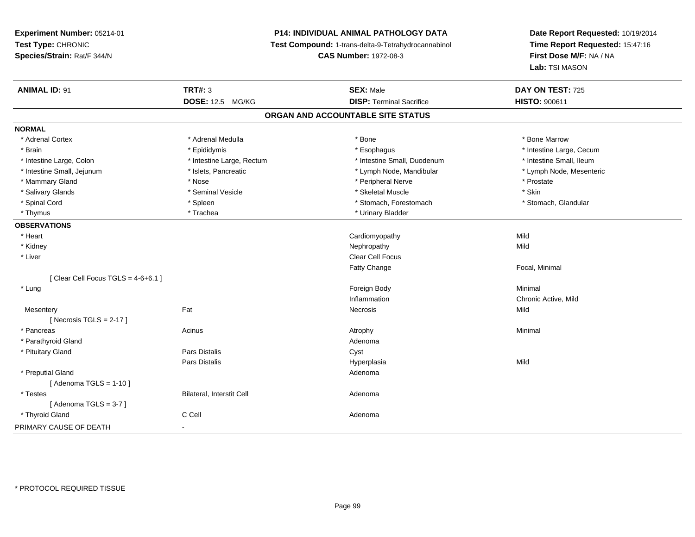# **P14: INDIVIDUAL ANIMAL PATHOLOGY DATA**

**Test Compound:** 1-trans-delta-9-Tetrahydrocannabinol

**CAS Number:** 1972-08-3

| <b>ANIMAL ID: 91</b>                  | <b>TRT#: 3</b>            | <b>SEX: Male</b>                  | DAY ON TEST: 725         |
|---------------------------------------|---------------------------|-----------------------------------|--------------------------|
|                                       | <b>DOSE: 12.5 MG/KG</b>   | <b>DISP: Terminal Sacrifice</b>   | <b>HISTO: 900611</b>     |
|                                       |                           | ORGAN AND ACCOUNTABLE SITE STATUS |                          |
| <b>NORMAL</b>                         |                           |                                   |                          |
| * Adrenal Cortex                      | * Adrenal Medulla         | * Bone                            | * Bone Marrow            |
| * Brain                               | * Epididymis              | * Esophagus                       | * Intestine Large, Cecum |
| * Intestine Large, Colon              | * Intestine Large, Rectum | * Intestine Small, Duodenum       | * Intestine Small, Ileum |
| * Intestine Small, Jejunum            | * Islets, Pancreatic      | * Lymph Node, Mandibular          | * Lymph Node, Mesenteric |
| * Mammary Gland                       | * Nose                    | * Peripheral Nerve                | * Prostate               |
| * Salivary Glands                     | * Seminal Vesicle         | * Skeletal Muscle                 | * Skin                   |
| * Spinal Cord                         | * Spleen                  | * Stomach, Forestomach            | * Stomach, Glandular     |
| * Thymus                              | * Trachea                 | * Urinary Bladder                 |                          |
| <b>OBSERVATIONS</b>                   |                           |                                   |                          |
| * Heart                               |                           | Cardiomyopathy                    | Mild                     |
| * Kidney                              |                           | Nephropathy                       | Mild                     |
| * Liver                               |                           | Clear Cell Focus                  |                          |
|                                       |                           | <b>Fatty Change</b>               | Focal, Minimal           |
| [ Clear Cell Focus TGLS = $4-6+6.1$ ] |                           |                                   |                          |
| * Lung                                |                           | Foreign Body                      | Minimal                  |
|                                       |                           | Inflammation                      | Chronic Active, Mild     |
| Mesentery                             | Fat                       | Necrosis                          | Mild                     |
| [Necrosis TGLS = $2-17$ ]             |                           |                                   |                          |
| * Pancreas                            | Acinus                    | Atrophy                           | Minimal                  |
| * Parathyroid Gland                   |                           | Adenoma                           |                          |
| * Pituitary Gland                     | <b>Pars Distalis</b>      | Cyst                              |                          |
|                                       | <b>Pars Distalis</b>      | Hyperplasia                       | Mild                     |
| * Preputial Gland                     |                           | Adenoma                           |                          |
| [Adenoma TGLS = $1-10$ ]              |                           |                                   |                          |
| * Testes                              | Bilateral, Interstit Cell | Adenoma                           |                          |
| [Adenoma TGLS = $3-7$ ]               |                           |                                   |                          |
| * Thyroid Gland                       | C Cell                    | Adenoma                           |                          |
| PRIMARY CAUSE OF DEATH                | $\blacksquare$            |                                   |                          |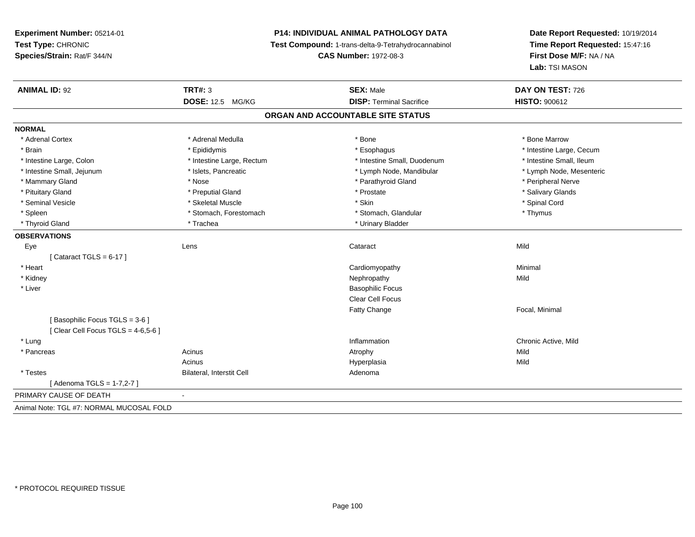# **P14: INDIVIDUAL ANIMAL PATHOLOGY DATA**

**Test Compound:** 1-trans-delta-9-Tetrahydrocannabinol

**CAS Number:** 1972-08-3

| <b>ANIMAL ID: 92</b>                     | <b>TRT#: 3</b>            | <b>SEX: Male</b>                  | DAY ON TEST: 726         |
|------------------------------------------|---------------------------|-----------------------------------|--------------------------|
|                                          | <b>DOSE: 12.5 MG/KG</b>   | <b>DISP: Terminal Sacrifice</b>   | <b>HISTO: 900612</b>     |
|                                          |                           | ORGAN AND ACCOUNTABLE SITE STATUS |                          |
| <b>NORMAL</b>                            |                           |                                   |                          |
| * Adrenal Cortex                         | * Adrenal Medulla         | * Bone                            | * Bone Marrow            |
| * Brain                                  | * Epididymis              | * Esophagus                       | * Intestine Large, Cecum |
| * Intestine Large, Colon                 | * Intestine Large, Rectum | * Intestine Small, Duodenum       | * Intestine Small, Ileum |
| * Intestine Small, Jejunum               | * Islets, Pancreatic      | * Lymph Node, Mandibular          | * Lymph Node, Mesenteric |
| * Mammary Gland                          | * Nose                    | * Parathyroid Gland               | * Peripheral Nerve       |
| * Pituitary Gland                        | * Preputial Gland         | * Prostate                        | * Salivary Glands        |
| * Seminal Vesicle                        | * Skeletal Muscle         | * Skin                            | * Spinal Cord            |
| * Spleen                                 | * Stomach, Forestomach    | * Stomach, Glandular              | * Thymus                 |
| * Thyroid Gland                          | * Trachea                 | * Urinary Bladder                 |                          |
| <b>OBSERVATIONS</b>                      |                           |                                   |                          |
| Eye                                      | Lens                      | Cataract                          | Mild                     |
| [Cataract TGLS = $6-17$ ]                |                           |                                   |                          |
| * Heart                                  |                           | Cardiomyopathy                    | Minimal                  |
| * Kidney                                 |                           | Nephropathy                       | Mild                     |
| * Liver                                  |                           | <b>Basophilic Focus</b>           |                          |
|                                          |                           | Clear Cell Focus                  |                          |
|                                          |                           | Fatty Change                      | Focal, Minimal           |
| [Basophilic Focus TGLS = 3-6]            |                           |                                   |                          |
| Clear Cell Focus TGLS = $4-6,5-6$ ]      |                           |                                   |                          |
| * Lung                                   |                           | Inflammation                      | Chronic Active, Mild     |
| * Pancreas                               | Acinus                    | Atrophy                           | Mild                     |
|                                          | Acinus                    | Hyperplasia                       | Mild                     |
| * Testes                                 | Bilateral, Interstit Cell | Adenoma                           |                          |
| [Adenoma TGLS = 1-7,2-7]                 |                           |                                   |                          |
| PRIMARY CAUSE OF DEATH                   | $\blacksquare$            |                                   |                          |
| Animal Note: TGL #7: NORMAL MUCOSAL FOLD |                           |                                   |                          |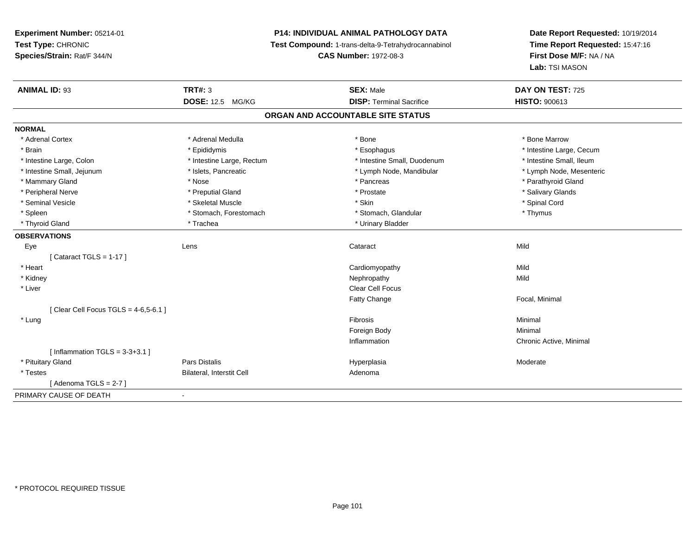# **P14: INDIVIDUAL ANIMAL PATHOLOGY DATA**

**Test Compound:** 1-trans-delta-9-Tetrahydrocannabinol

**CAS Number:** 1972-08-3

| <b>ANIMAL ID: 93</b>                   | <b>TRT#: 3</b>            | <b>SEX: Male</b>                  | DAY ON TEST: 725         |
|----------------------------------------|---------------------------|-----------------------------------|--------------------------|
|                                        | <b>DOSE: 12.5 MG/KG</b>   | <b>DISP: Terminal Sacrifice</b>   | <b>HISTO: 900613</b>     |
|                                        |                           | ORGAN AND ACCOUNTABLE SITE STATUS |                          |
| <b>NORMAL</b>                          |                           |                                   |                          |
| * Adrenal Cortex                       | * Adrenal Medulla         | * Bone                            | * Bone Marrow            |
| * Brain                                | * Epididymis              | * Esophagus                       | * Intestine Large, Cecum |
| * Intestine Large, Colon               | * Intestine Large, Rectum | * Intestine Small, Duodenum       | * Intestine Small, Ileum |
| * Intestine Small, Jejunum             | * Islets, Pancreatic      | * Lymph Node, Mandibular          | * Lymph Node, Mesenteric |
| * Mammary Gland                        | * Nose                    | * Pancreas                        | * Parathyroid Gland      |
| * Peripheral Nerve                     | * Preputial Gland         | * Prostate                        | * Salivary Glands        |
| * Seminal Vesicle                      | * Skeletal Muscle         | * Skin                            | * Spinal Cord            |
| * Spleen                               | * Stomach, Forestomach    | * Stomach, Glandular              | * Thymus                 |
| * Thyroid Gland                        | * Trachea                 | * Urinary Bladder                 |                          |
| <b>OBSERVATIONS</b>                    |                           |                                   |                          |
| Eye                                    | Lens                      | Cataract                          | Mild                     |
| Cataract TGLS = 1-17 ]                 |                           |                                   |                          |
| * Heart                                |                           | Cardiomyopathy                    | Mild                     |
| * Kidney                               |                           | Nephropathy                       | Mild                     |
| * Liver                                |                           | Clear Cell Focus                  |                          |
|                                        |                           | <b>Fatty Change</b>               | Focal, Minimal           |
| [Clear Cell Focus TGLS = $4-6,5-6.1$ ] |                           |                                   |                          |
| * Lung                                 |                           | Fibrosis                          | Minimal                  |
|                                        |                           | Foreign Body                      | Minimal                  |
|                                        |                           | Inflammation                      | Chronic Active, Minimal  |
| [Inflammation TGLS = $3-3+3.1$ ]       |                           |                                   |                          |
| * Pituitary Gland                      | <b>Pars Distalis</b>      | Hyperplasia                       | Moderate                 |
| * Testes                               | Bilateral, Interstit Cell | Adenoma                           |                          |
| [ Adenoma TGLS = 2-7 ]                 |                           |                                   |                          |
| PRIMARY CAUSE OF DEATH                 | $\blacksquare$            |                                   |                          |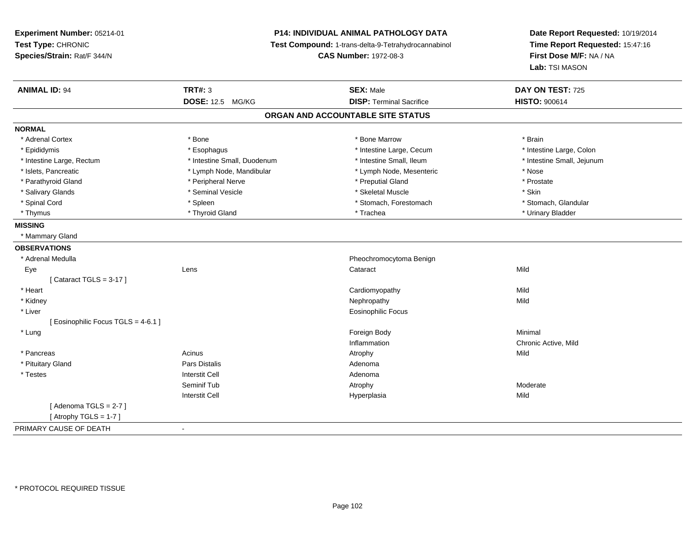# **P14: INDIVIDUAL ANIMAL PATHOLOGY DATA**

**Test Compound:** 1-trans-delta-9-Tetrahydrocannabinol

**CAS Number:** 1972-08-3

| <b>ANIMAL ID: 94</b>                | <b>TRT#: 3</b>              | <b>SEX: Male</b>                  | DAY ON TEST: 725           |
|-------------------------------------|-----------------------------|-----------------------------------|----------------------------|
|                                     | <b>DOSE: 12.5 MG/KG</b>     | <b>DISP: Terminal Sacrifice</b>   | <b>HISTO: 900614</b>       |
|                                     |                             | ORGAN AND ACCOUNTABLE SITE STATUS |                            |
| <b>NORMAL</b>                       |                             |                                   |                            |
| * Adrenal Cortex                    | * Bone                      | * Bone Marrow                     | * Brain                    |
| * Epididymis                        | * Esophagus                 | * Intestine Large, Cecum          | * Intestine Large, Colon   |
| * Intestine Large, Rectum           | * Intestine Small, Duodenum | * Intestine Small, Ileum          | * Intestine Small, Jejunum |
| * Islets, Pancreatic                | * Lymph Node, Mandibular    | * Lymph Node, Mesenteric          | * Nose                     |
| * Parathyroid Gland                 | * Peripheral Nerve          | * Preputial Gland                 | * Prostate                 |
| * Salivary Glands                   | * Seminal Vesicle           | * Skeletal Muscle                 | * Skin                     |
| * Spinal Cord                       | * Spleen                    | * Stomach, Forestomach            | * Stomach, Glandular       |
| * Thymus                            | * Thyroid Gland             | * Trachea                         | * Urinary Bladder          |
| <b>MISSING</b>                      |                             |                                   |                            |
| * Mammary Gland                     |                             |                                   |                            |
| <b>OBSERVATIONS</b>                 |                             |                                   |                            |
| * Adrenal Medulla                   |                             | Pheochromocytoma Benign           |                            |
| Eye                                 | Lens                        | Cataract                          | Mild                       |
| [Cataract TGLS = $3-17$ ]           |                             |                                   |                            |
| * Heart                             |                             | Cardiomyopathy                    | Mild                       |
| * Kidney                            |                             | Nephropathy                       | Mild                       |
| * Liver                             |                             | Eosinophilic Focus                |                            |
| [ Eosinophilic Focus TGLS = 4-6.1 ] |                             |                                   |                            |
| * Lung                              |                             | Foreign Body                      | Minimal                    |
|                                     |                             | Inflammation                      | Chronic Active, Mild       |
| * Pancreas                          | Acinus                      | Atrophy                           | Mild                       |
| * Pituitary Gland                   | <b>Pars Distalis</b>        | Adenoma                           |                            |
| * Testes                            | <b>Interstit Cell</b>       | Adenoma                           |                            |
|                                     | Seminif Tub                 | Atrophy                           | Moderate                   |
|                                     | <b>Interstit Cell</b>       | Hyperplasia                       | Mild                       |
| [Adenoma TGLS = $2-7$ ]             |                             |                                   |                            |
| [Atrophy TGLS = 1-7]                |                             |                                   |                            |
| PRIMARY CAUSE OF DEATH              |                             |                                   |                            |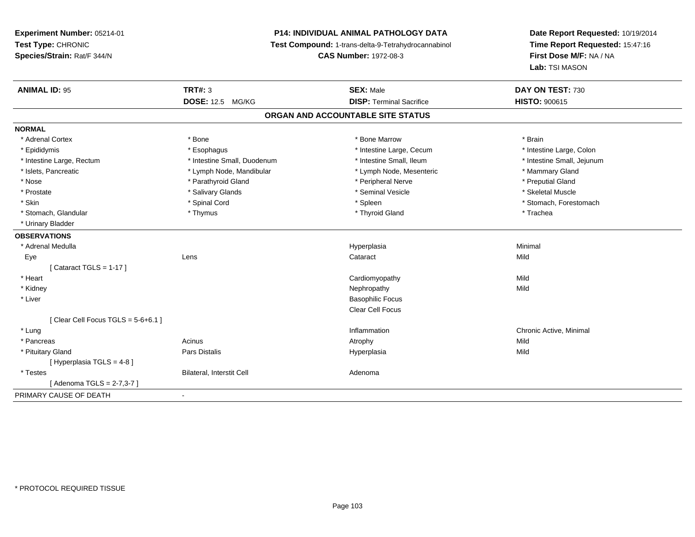# **P14: INDIVIDUAL ANIMAL PATHOLOGY DATA**

**Test Compound:** 1-trans-delta-9-Tetrahydrocannabinol

**CAS Number:** 1972-08-3

| <b>ANIMAL ID: 95</b>                 | <b>TRT#: 3</b>              | <b>SEX: Male</b>                  | DAY ON TEST: 730           |
|--------------------------------------|-----------------------------|-----------------------------------|----------------------------|
|                                      | <b>DOSE: 12.5 MG/KG</b>     | <b>DISP: Terminal Sacrifice</b>   | <b>HISTO: 900615</b>       |
|                                      |                             | ORGAN AND ACCOUNTABLE SITE STATUS |                            |
| <b>NORMAL</b>                        |                             |                                   |                            |
| * Adrenal Cortex                     | * Bone                      | * Bone Marrow                     | * Brain                    |
| * Epididymis                         | * Esophagus                 | * Intestine Large, Cecum          | * Intestine Large, Colon   |
| * Intestine Large, Rectum            | * Intestine Small, Duodenum | * Intestine Small, Ileum          | * Intestine Small, Jejunum |
| * Islets, Pancreatic                 | * Lymph Node, Mandibular    | * Lymph Node, Mesenteric          | * Mammary Gland            |
| * Nose                               | * Parathyroid Gland         | * Peripheral Nerve                | * Preputial Gland          |
| * Prostate                           | * Salivary Glands           | * Seminal Vesicle                 | * Skeletal Muscle          |
| * Skin                               | * Spinal Cord               | * Spleen                          | * Stomach, Forestomach     |
| * Stomach, Glandular                 | * Thymus                    | * Thyroid Gland                   | * Trachea                  |
| * Urinary Bladder                    |                             |                                   |                            |
| <b>OBSERVATIONS</b>                  |                             |                                   |                            |
| * Adrenal Medulla                    |                             | Hyperplasia                       | Minimal                    |
| Eye                                  | Lens                        | Cataract                          | Mild                       |
| [Cataract TGLS = $1-17$ ]            |                             |                                   |                            |
| * Heart                              |                             | Cardiomyopathy                    | Mild                       |
| * Kidney                             |                             | Nephropathy                       | Mild                       |
| * Liver                              |                             | <b>Basophilic Focus</b>           |                            |
|                                      |                             | Clear Cell Focus                  |                            |
| [Clear Cell Focus TGLS = $5-6+6.1$ ] |                             |                                   |                            |
| * Lung                               |                             | Inflammation                      | Chronic Active, Minimal    |
| * Pancreas                           | Acinus                      | Atrophy                           | Mild                       |
| * Pituitary Gland                    | Pars Distalis               | Hyperplasia                       | Mild                       |
| [ Hyperplasia TGLS = 4-8 ]           |                             |                                   |                            |
| * Testes                             | Bilateral, Interstit Cell   | Adenoma                           |                            |
| [Adenoma TGLS = 2-7,3-7]             |                             |                                   |                            |
| PRIMARY CAUSE OF DEATH               | $\blacksquare$              |                                   |                            |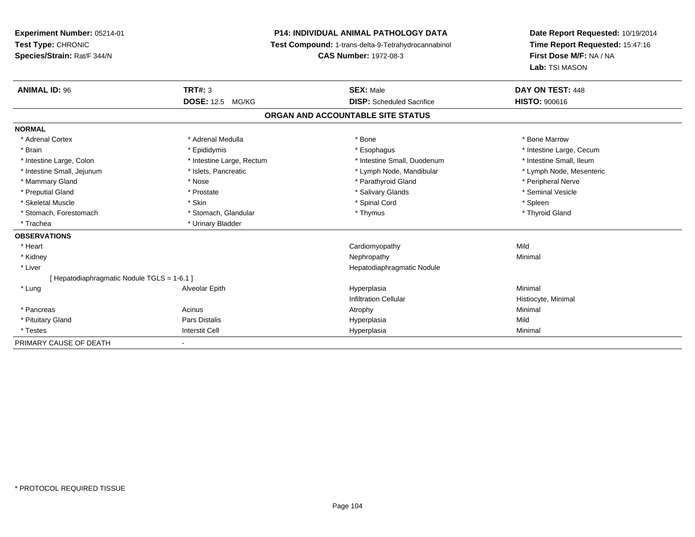# **P14: INDIVIDUAL ANIMAL PATHOLOGY DATA**

**Test Compound:** 1-trans-delta-9-Tetrahydrocannabinol

**CAS Number:** 1972-08-3

| <b>ANIMAL ID: 96</b>                      | TRT#: 3                   | <b>SEX: Male</b>                  | DAY ON TEST: 448         |  |
|-------------------------------------------|---------------------------|-----------------------------------|--------------------------|--|
|                                           | <b>DOSE: 12.5 MG/KG</b>   | <b>DISP:</b> Scheduled Sacrifice  | <b>HISTO: 900616</b>     |  |
|                                           |                           | ORGAN AND ACCOUNTABLE SITE STATUS |                          |  |
| <b>NORMAL</b>                             |                           |                                   |                          |  |
| * Adrenal Cortex                          | * Adrenal Medulla         | * Bone                            | * Bone Marrow            |  |
| * Brain                                   | * Epididymis              | * Esophagus                       | * Intestine Large, Cecum |  |
| * Intestine Large, Colon                  | * Intestine Large, Rectum | * Intestine Small, Duodenum       | * Intestine Small, Ileum |  |
| * Intestine Small, Jejunum                | * Islets, Pancreatic      | * Lymph Node, Mandibular          | * Lymph Node, Mesenteric |  |
| * Mammary Gland                           | * Nose                    | * Parathyroid Gland               | * Peripheral Nerve       |  |
| * Preputial Gland                         | * Prostate                | * Salivary Glands                 | * Seminal Vesicle        |  |
| * Skeletal Muscle                         | * Skin                    | * Spinal Cord                     | * Spleen                 |  |
| * Stomach, Forestomach                    | * Stomach, Glandular      | * Thymus                          | * Thyroid Gland          |  |
| * Trachea                                 | * Urinary Bladder         |                                   |                          |  |
| <b>OBSERVATIONS</b>                       |                           |                                   |                          |  |
| * Heart                                   |                           | Cardiomyopathy                    | Mild                     |  |
| * Kidney                                  |                           | Nephropathy                       | Minimal                  |  |
| * Liver                                   |                           | Hepatodiaphragmatic Nodule        |                          |  |
| [Hepatodiaphragmatic Nodule TGLS = 1-6.1] |                           |                                   |                          |  |
| * Lung                                    | Alveolar Epith            | Hyperplasia                       | Minimal                  |  |
|                                           |                           | <b>Infiltration Cellular</b>      | Histiocyte, Minimal      |  |
| * Pancreas                                | Acinus                    | Atrophy                           | Minimal                  |  |
| * Pituitary Gland                         | Pars Distalis             | Hyperplasia                       | Mild                     |  |
| * Testes                                  | <b>Interstit Cell</b>     | Hyperplasia                       | Minimal                  |  |
| PRIMARY CAUSE OF DEATH                    |                           |                                   |                          |  |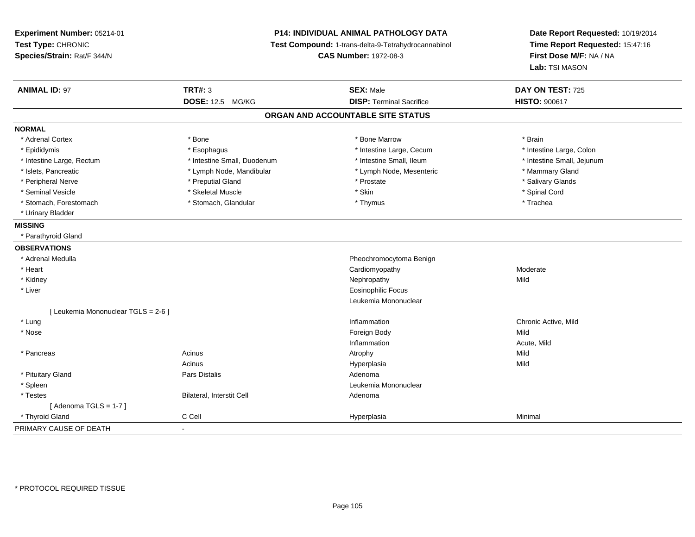**Experiment Number:** 05214-01**Test Type:** CHRONIC **Species/Strain:** Rat/F 344/N**P14: INDIVIDUAL ANIMAL PATHOLOGY DATA Test Compound:** 1-trans-delta-9-Tetrahydrocannabinol **CAS Number:** 1972-08-3**Date Report Requested:** 10/19/2014**Time Report Requested:** 15:47:16**First Dose M/F:** NA / NA**Lab:** TSI MASON**ANIMAL ID:** 97 **TRT#:** <sup>3</sup> **SEX:** Male **DAY ON TEST:** <sup>725</sup> **DOSE:** 12.5 MG/KG**DISP:** Terminal Sacrifice **HISTO:**  $900617$ **ORGAN AND ACCOUNTABLE SITE STATUSNORMAL**\* Adrenal Cortex \* Adrenal Cortex \* \* Adrenal Cortex \* Brain \* Bone \* \* Bone Marrow \* Bone Marrow \* \* Brain \* Brain \* Brain \* Brain \* Brain \* Brain \* Brain \* Brain \* Brain \* Brain \* Brain \* Brain \* Brain \* Brain \* Brain \* Brain \* Brain \* B \* Intestine Large, Colon \* Epididymis \* Intestine Large, Cecum \* Esophagus \* Intestine Large, Cecum \* Intestine Large, Cecum \* Intestine Large, Rectum \* Thestine Small, Duodenum \* Number of the small, Ileum \* Intestine Small, Jejunum \* Intestine Small, Jejunum \* Islets, Pancreatic \* The mannery Gland \* Lymph Node, Mandibular \* Lymph Node, Mesenteric \* Mammary Gland \* Salivary Glands \* Peripheral Nerve \* \* \* Preputial Gland \* \* Preputial Gland \* \* Prostate \* \* Salivary Glands \* Salivary Glands \* Seminal Vesicle \* \* Spinal Cord \* Skeletal Muscle \* \* Skin \* \* Skin \* \* Spinal Vesicle \* Spinal Cord \* Spinal Cord \* Stomach, Forestomach \* Trachea \* Stomach, Glandular \* Thymus \* Thymus \* The metal \* Trachea \* Urinary Bladder**MISSING** \* Parathyroid Gland**OBSERVATIONS** \* Adrenal Medulla Pheochromocytoma Benign \* Heart Cardiomyopathyy Moderate \* Kidneyy the controller of the controller of the controller of the controller of the controller of the controller of the controller of the controller of the controller of the controller of the controller of the controller of the \* Liver Eosinophilic Focus Leukemia Mononuclear[ Leukemia Mononuclear TGLS = 2-6 ] \* Lung Inflammation Chronic Active, Mild \* Nosee and the state of the state of the state of the state of the state of the state of the state of the state of the state of the state of the state of the state of the state of the state of the state of the state of the stat Inflammation Acute, Mild \* Pancreass the contract of the contract of the contract of the contract of the contract of the contract of the contract of the contract of the contract of the contract of the contract of the contract of the contract of the contract **Mild** AcinusAcinus (Acinus and Acinus and Acinus and Acinus and Acinus and Acinus and Acinus Acinus Acinus Acinus Acinus A<br>Pars Distalis a Mild \* Pituitary Glandd and the set of Pars Distalis and the Second Adenomal Adenomal Second Second Pars Distallis \* Spleenn and the control of the control of the control of the control of the control of the control of the control of the control of the control of the control of the control of the control of the control of the control of the co \* TestesBilateral, Interstit Cell **Adenoma** Adenoma  $[$  Adenoma TGLS = 1-7  $]$  \* Thyroid Gland C Cell Hyperplasia Minimal PRIMARY CAUSE OF DEATH-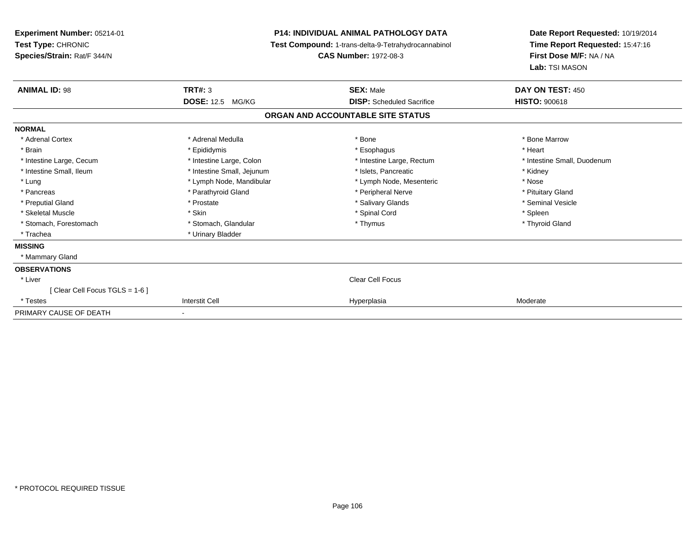| <b>Experiment Number: 05214-01</b><br>Test Type: CHRONIC<br>Species/Strain: Rat/F 344/N |                            | <b>P14: INDIVIDUAL ANIMAL PATHOLOGY DATA</b><br>Test Compound: 1-trans-delta-9-Tetrahydrocannabinol<br><b>CAS Number: 1972-08-3</b> | Date Report Requested: 10/19/2014<br>Time Report Requested: 15:47:16<br>First Dose M/F: NA / NA<br>Lab: TSI MASON |
|-----------------------------------------------------------------------------------------|----------------------------|-------------------------------------------------------------------------------------------------------------------------------------|-------------------------------------------------------------------------------------------------------------------|
| <b>ANIMAL ID: 98</b>                                                                    | <b>TRT#: 3</b>             | <b>SEX: Male</b>                                                                                                                    | DAY ON TEST: 450                                                                                                  |
|                                                                                         | <b>DOSE: 12.5 MG/KG</b>    | <b>DISP:</b> Scheduled Sacrifice                                                                                                    | <b>HISTO: 900618</b>                                                                                              |
|                                                                                         |                            | ORGAN AND ACCOUNTABLE SITE STATUS                                                                                                   |                                                                                                                   |
| <b>NORMAL</b>                                                                           |                            |                                                                                                                                     |                                                                                                                   |
| * Adrenal Cortex                                                                        | * Adrenal Medulla          | * Bone                                                                                                                              | * Bone Marrow                                                                                                     |
| * Brain                                                                                 | * Epididymis               | * Esophagus                                                                                                                         | * Heart                                                                                                           |
| * Intestine Large, Cecum                                                                | * Intestine Large, Colon   | * Intestine Large, Rectum                                                                                                           | * Intestine Small, Duodenum                                                                                       |
| * Intestine Small, Ileum                                                                | * Intestine Small, Jejunum | * Islets, Pancreatic                                                                                                                | * Kidney                                                                                                          |
| * Lung                                                                                  | * Lymph Node, Mandibular   | * Lymph Node, Mesenteric                                                                                                            | * Nose                                                                                                            |
| * Pancreas                                                                              | * Parathyroid Gland        | * Peripheral Nerve                                                                                                                  | * Pituitary Gland                                                                                                 |
| * Preputial Gland                                                                       | * Prostate                 | * Salivary Glands                                                                                                                   | * Seminal Vesicle                                                                                                 |
| * Skeletal Muscle                                                                       | * Skin                     | * Spinal Cord                                                                                                                       | * Spleen                                                                                                          |
| * Stomach, Forestomach                                                                  | * Stomach, Glandular       | * Thymus                                                                                                                            | * Thyroid Gland                                                                                                   |
| * Trachea                                                                               | * Urinary Bladder          |                                                                                                                                     |                                                                                                                   |
| <b>MISSING</b>                                                                          |                            |                                                                                                                                     |                                                                                                                   |
| * Mammary Gland                                                                         |                            |                                                                                                                                     |                                                                                                                   |
| <b>OBSERVATIONS</b>                                                                     |                            |                                                                                                                                     |                                                                                                                   |
| * Liver                                                                                 |                            | <b>Clear Cell Focus</b>                                                                                                             |                                                                                                                   |
| Clear Cell Focus TGLS = 1-6 ]                                                           |                            |                                                                                                                                     |                                                                                                                   |
| * Testes                                                                                | <b>Interstit Cell</b>      | Hyperplasia                                                                                                                         | Moderate                                                                                                          |
| PRIMARY CAUSE OF DEATH                                                                  |                            |                                                                                                                                     |                                                                                                                   |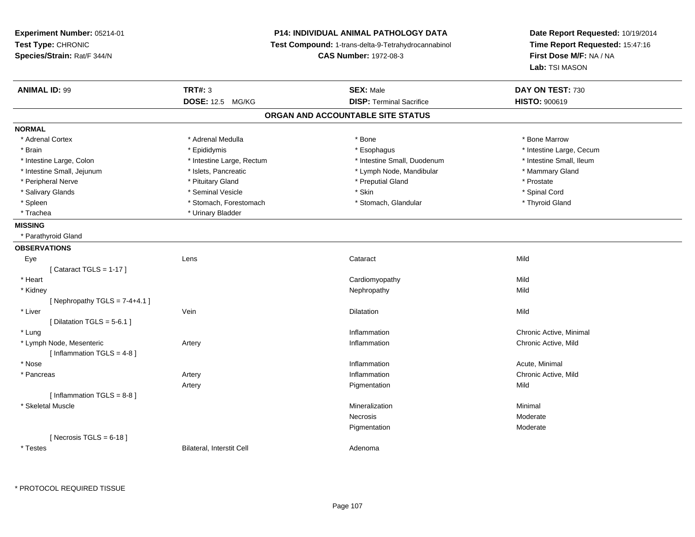**Experiment Number:** 05214-01**Test Type:** CHRONIC **Species/Strain:** Rat/F 344/N**P14: INDIVIDUAL ANIMAL PATHOLOGY DATA Test Compound:** 1-trans-delta-9-Tetrahydrocannabinol **CAS Number:** 1972-08-3**Date Report Requested:** 10/19/2014**Time Report Requested:** 15:47:16**First Dose M/F:** NA / NA**Lab:** TSI MASON**ANIMAL ID:** 99 **TRT#:** <sup>3</sup> **SEX:** Male **DAY ON TEST:** <sup>730</sup> **DOSE:** 12.5 MG/KG**DISP:** Terminal Sacrifice **HISTO:**  $900619$ **ORGAN AND ACCOUNTABLE SITE STATUSNORMAL**\* Adrenal Cortex \* Adrenal Medulla \* Adrenal Medulla \* Bone \* Bone \* Bone \* Bone \* Bone Marrow \* Brain \* Explorer \* Epididymis \* \* Epididymis \* \* Esophagus \* Esophagus \* \* Esophagus \* Intestine Large, Cecum \* \* Intestine Large, Cecum \* Intestine Small, Ileum \* Intestine Large, Colon \* Intestine Large, Rectum \* Intestine Small, Duodenum \* 1 \* Intestine Small, Jejunum \* The mannery Gland \* Islets, Pancreatic **\* Example 1998** \* Lymph Node, Mandibular \* Mammary Gland \* Peripheral Nerve \* \* \* Prostate \* \* Pretuitary Gland \* \* \* \* \* \* \* Preputial Gland \* \* \* Prostate \* Prostate \* Spinal Cord \* Salivary Glands \* \* Seminal Vesicle \* \* Seminal Vesicle \* \* Skin \* \* Skin \* \* Stember \* Spinal Cord \* Spinal Cord \* Spinal Cord \* Spinal Cord \* Spinal Cord \* Spinal Cord \* Spinal Cord \* Spinal Cord \* Spinal Cord \* Spinal \* Thyroid Gland \* Spleen \* Stomach, Forestomach \* Stomach \* Stomach \* Stomach, Glandular \* Glandular \* Trachea \* Urinary Bladder**MISSING** \* Parathyroid Gland**OBSERVATIONS** Eyee and the contract of the contract of the contract of the contract of the contract of the contract of the contract of the contract of the contract of the contract of the contract of the contract of the contract of the cont  $[$  Cataract TGLS = 1-17  $]$  \* Heart Cardiomyopathyy Mild **Mild**  \* Kidneyy the controller of the controller of the controller of the controller of the controller of the controller of the controller of the controller of the controller of the controller of the controller of the controller of the [ Nephropathy  $TGLS = 7-4+4.1$  ] \* Liverr vein van de Vein van de Vein van de Vein van de Vein van de Vein van de Vein van de Vein van de Vein van de n and the control of the Dilatation of the control of the Mild and the Mild and the Mild and the Mild and the M  $[$  Dilatation TGLS = 5-6.1 ] \* Lungg is a controller to the controller of the controller of the chronic Active, Minimal of the chronic Active, Minimal of the chronic Active, Minimal of the chronic Active, Minimal of the chronic Active, Minimal of the chroni \* Lymph Node, Mesentericc **Executive Series Artery** Artery and the series of the series of the Inflammation Chronic Active, Mild  $[$  Inflammation TGLS = 4-8  $]$  \* Nosee the contraction of the contraction of the contraction of the contraction of the contraction of the contraction  $\mathsf{Acute}$ , Minimal \* Pancreass and the contract of the contract of the contract of the contract of the contract of the contract of the contract of the contract of the contract of the contract of the contract of the contract of the contract of the cont **Inflammation**<br> **Chronic Active, Mild**<br> **Pigmentation** Artery Pigmentationn Mild  $[$  Inflammation TGLS = 8-8  $]$  \* Skeletal Musclee substitution of the control of the control of the Minimal Minimal and the control of the control of the control of the control of the control of the control of the control of the control of the control of the control of Necrosis Moderaten Moderate Pigmentation $[$  Necrosis TGLS = 6-18  $]$  \* TestesBilateral, Interstit Cell **Adenoma** Adenoma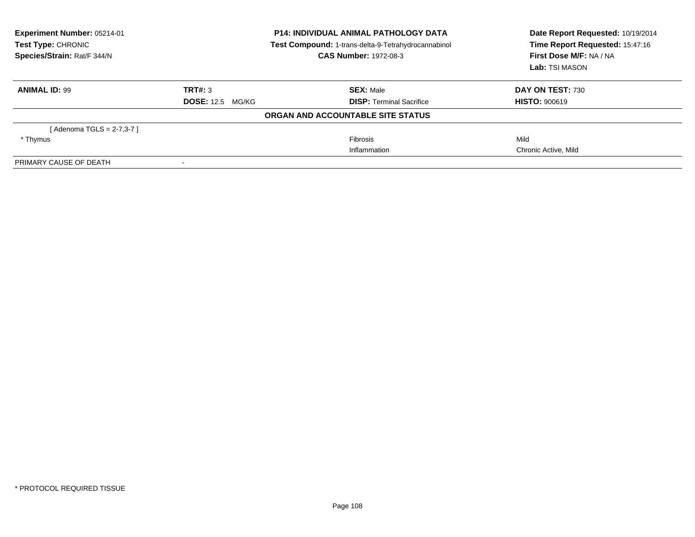| Experiment Number: 05214-01<br>Test Type: CHRONIC<br>Species/Strain: Rat/F 344/N | <b>P14: INDIVIDUAL ANIMAL PATHOLOGY DATA</b><br>Test Compound: 1-trans-delta-9-Tetrahydrocannabinol<br><b>CAS Number: 1972-08-3</b> |                                   | Date Report Requested: 10/19/2014<br>Time Report Requested: 15:47:16<br>First Dose M/F: NA / NA<br>Lab: TSI MASON |
|----------------------------------------------------------------------------------|-------------------------------------------------------------------------------------------------------------------------------------|-----------------------------------|-------------------------------------------------------------------------------------------------------------------|
| <b>ANIMAL ID: 99</b>                                                             | TRT#: 3                                                                                                                             | <b>SEX: Male</b>                  | <b>DAY ON TEST: 730</b>                                                                                           |
|                                                                                  | <b>DOSE:</b> 12.5 MG/KG                                                                                                             | <b>DISP:</b> Terminal Sacrifice   | <b>HISTO: 900619</b>                                                                                              |
|                                                                                  |                                                                                                                                     | ORGAN AND ACCOUNTABLE SITE STATUS |                                                                                                                   |
| [ Adenoma TGLS = 2-7,3-7 ]                                                       |                                                                                                                                     |                                   |                                                                                                                   |
| * Thymus                                                                         |                                                                                                                                     | <b>Fibrosis</b>                   | Mild                                                                                                              |
|                                                                                  |                                                                                                                                     | Inflammation                      | Chronic Active, Mild                                                                                              |
| PRIMARY CAUSE OF DEATH                                                           |                                                                                                                                     |                                   |                                                                                                                   |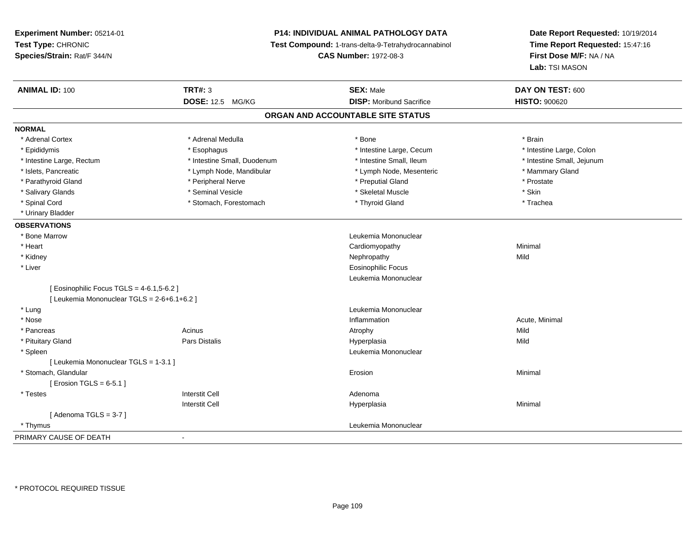# **P14: INDIVIDUAL ANIMAL PATHOLOGY DATA**

**Test Compound:** 1-trans-delta-9-Tetrahydrocannabinol

**CAS Number:** 1972-08-3

| <b>ANIMAL ID: 100</b>                       | <b>TRT#: 3</b>              | <b>SEX: Male</b>                  | DAY ON TEST: 600           |  |
|---------------------------------------------|-----------------------------|-----------------------------------|----------------------------|--|
|                                             | DOSE: 12.5 MG/KG            | <b>DISP:</b> Moribund Sacrifice   | <b>HISTO: 900620</b>       |  |
|                                             |                             | ORGAN AND ACCOUNTABLE SITE STATUS |                            |  |
| <b>NORMAL</b>                               |                             |                                   |                            |  |
| * Adrenal Cortex                            | * Adrenal Medulla           | * Bone                            | * Brain                    |  |
| * Epididymis                                | * Esophagus                 | * Intestine Large, Cecum          | * Intestine Large, Colon   |  |
| * Intestine Large, Rectum                   | * Intestine Small, Duodenum | * Intestine Small, Ileum          | * Intestine Small, Jejunum |  |
| * Islets, Pancreatic                        | * Lymph Node, Mandibular    | * Lymph Node, Mesenteric          | * Mammary Gland            |  |
| * Parathyroid Gland                         | * Peripheral Nerve          | * Preputial Gland                 | * Prostate                 |  |
| * Salivary Glands                           | * Seminal Vesicle           | * Skeletal Muscle                 | * Skin                     |  |
| * Spinal Cord                               | * Stomach, Forestomach      | * Thyroid Gland                   | * Trachea                  |  |
| * Urinary Bladder                           |                             |                                   |                            |  |
| <b>OBSERVATIONS</b>                         |                             |                                   |                            |  |
| * Bone Marrow                               |                             | Leukemia Mononuclear              |                            |  |
| * Heart                                     |                             | Cardiomyopathy                    | Minimal                    |  |
| * Kidney                                    |                             | Nephropathy                       | Mild                       |  |
| * Liver                                     |                             | <b>Eosinophilic Focus</b>         |                            |  |
|                                             |                             | Leukemia Mononuclear              |                            |  |
| [ Eosinophilic Focus TGLS = 4-6.1,5-6.2 ]   |                             |                                   |                            |  |
| [ Leukemia Mononuclear TGLS = 2-6+6.1+6.2 ] |                             |                                   |                            |  |
| * Lung                                      |                             | Leukemia Mononuclear              |                            |  |
| * Nose                                      |                             | Inflammation                      | Acute, Minimal             |  |
| * Pancreas                                  | Acinus                      | Atrophy                           | Mild                       |  |
| * Pituitary Gland                           | <b>Pars Distalis</b>        | Hyperplasia                       | Mild                       |  |
| * Spleen                                    |                             | Leukemia Mononuclear              |                            |  |
| [ Leukemia Mononuclear TGLS = 1-3.1 ]       |                             |                                   |                            |  |
| * Stomach, Glandular                        |                             | Erosion                           | Minimal                    |  |
| [ Erosion TGLS = $6-5.1$ ]                  |                             |                                   |                            |  |
| * Testes                                    | <b>Interstit Cell</b>       | Adenoma                           |                            |  |
|                                             | <b>Interstit Cell</b>       | Hyperplasia                       | Minimal                    |  |
| [Adenoma TGLS = $3-7$ ]                     |                             |                                   |                            |  |
| * Thymus                                    |                             | Leukemia Mononuclear              |                            |  |
| PRIMARY CAUSE OF DEATH                      | $\blacksquare$              |                                   |                            |  |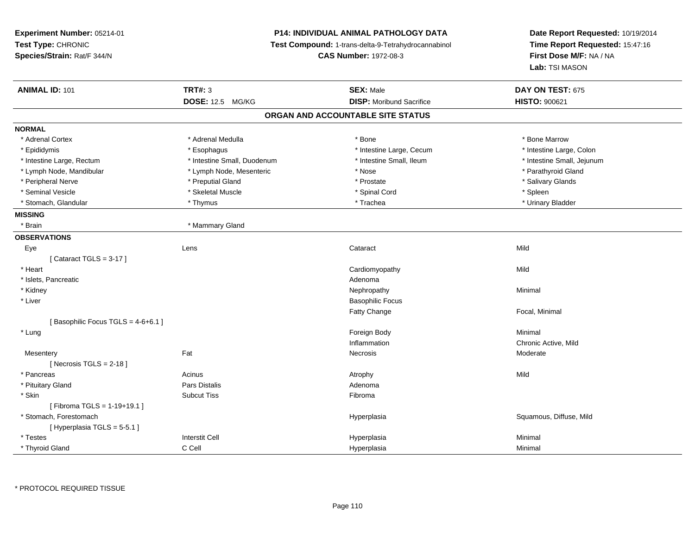**Experiment Number:** 05214-01**Test Type:** CHRONIC **Species/Strain:** Rat/F 344/N**P14: INDIVIDUAL ANIMAL PATHOLOGY DATA Test Compound:** 1-trans-delta-9-Tetrahydrocannabinol **CAS Number:** 1972-08-3**Date Report Requested:** 10/19/2014**Time Report Requested:** 15:47:16**First Dose M/F:** NA / NA**Lab:** TSI MASON**ANIMAL ID:** 101**TRT#:** 3 **SEX:** Male **DAY ON TEST:** 675 **DOSE:** 12.5 MG/KG**DISP:** Moribund Sacrifice **HISTO:**  $900621$ **ORGAN AND ACCOUNTABLE SITE STATUSNORMAL**\* Adrenal Cortex \* Adrenal Medulla \* Adrenal Medulla \* Bone \* Bone \* Bone \* Bone \* Bone Marrow \* Intestine Large, Colon \* Epididymis \* Esophagus \* Esophagus \* Esophagus \* 11testine Large, Cecum \* Intestine Large, Rectum \* Thestine Small, Duodenum \* Number of the small, Ileum \* Intestine Small, Jejunum \* Intestine Small, Jejunum \* Lymph Node, Mandibular \* The state of the Mode, Mesenteric \* The state \* Nose \* Nose \* Nose \* Parathyroid Gland \* Peripheral Nerve \* \* \* Preputial Gland \* \* Preputial Gland \* \* Prostate \* \* Salivary Glands \* Salivary Glands \* Seminal Vesicle \* \* \* \* Sheem \* Skeletal Muscle \* \* \* Spinal Cord \* \* Spinal Cord \* \* Spinal Vesicle \* \* Spleen \* \* Spleen \* \* Spinal Cord \* \* Spinal Cord \* \* \* Spinal Cord \* \* \* Spinal Cord \* \* \* Spinal Cord \* \* \* Spina \* Urinary Bladder \* Stomach, Glandular \* \* \* Thymus \* \* Thymus \* \* The \* \* Trachea \* \* Trachea \* \* Urinary Bladder \* \* Urinary Bladder \* **MISSING**\* Brain \* Mammary Gland **OBSERVATIONS** Eyee and the contract of the contract of the contract of the contract of the contract of the contract of the contract of the contract of the contract of the contract of the contract of the contract of the contract of the cont  $[$  Cataract TGLS = 3-17  $]$  \* Heart Cardiomyopathyy Mild \* Islets, Pancreaticc and the contract of the contract of the contract of the contract of the contract of the contract of the contract of the contract of the contract of the contract of the contract of the contract of the contract of the cont Nephropathy \* Kidneyy the control of the control of the control of the control of the control of the control of the control of the control of the control of the control of the control of the control of the control of the control of the contro \* Liver Basophilic FocusFatty Change Focal, Minimal [ Basophilic Focus TGLS =  $4-6+6.1$  ] \* Lungg and the state of the state of the state of the state of the state of the state of the state of the state of the state of the state of the state of the state of the state of the state of the state of the state of the stat Inflammation Chronic Active, Mild Mesenteryy the control of the set of the control of the Moderate of the Moderate of the Moderate of the Moderate of the Moderate of the Moderate of the Moderate of the Moderate of the Moderate of the Moderate of the Moderate of the  $[$  Necrosis TGLS = 2-18  $]$  \* Pancreass the contract of the contract of the contract of the contract of the contract of the contract of the contract of the contract of the contract of the contract of the contract of the contract of the contract of the contract \* Pituitary Glandd and the set of Pars Distalis and the Second Adenomal Adenomal Second Second Pars Distallis \* Skinn and the state of the Subcut Tiss and the state of the Subset of the Subset of the Subset of the Subset of the Subset of the Subset of the Subset of the Subset of the Subset of the Subset of the Subset of the Subset of th [ Fibroma TGLS = 1-19+19.1 ] \* Stomach, Forestomachh and the state of the state of the Hyperplasia Squamous, Diffuse, Mild and the Squamous, Diffuse, Mild and the Squamous, Diffuse, Mild and the Squamous, Diffuse, Mild and the Squamous, Diffuse, Mild and the Squamous, Diff [ Hyperplasia TGLS = 5-5.1 ] \* Testess Interstit Cell Hyperplasia a **Minimal**  \* Thyroid GlandC Cell Hyperplasia Minimal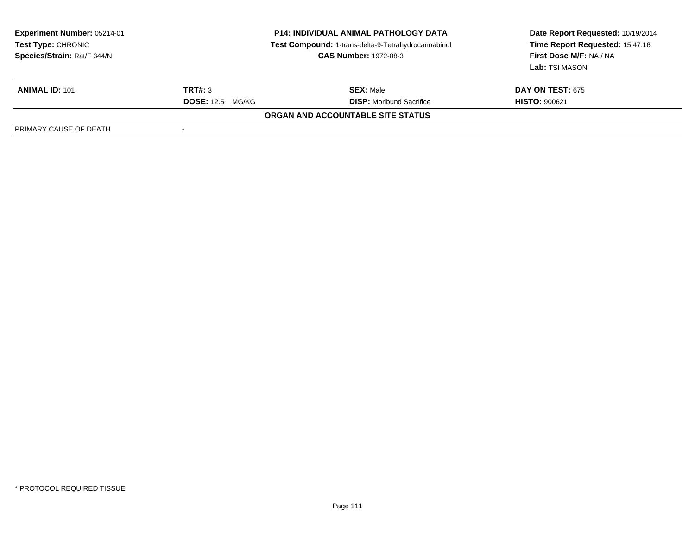| <b>Experiment Number: 05214-01</b><br>Test Type: CHRONIC<br>Species/Strain: Rat/F 344/N | <b>P14: INDIVIDUAL ANIMAL PATHOLOGY DATA</b><br>Test Compound: 1-trans-delta-9-Tetrahydrocannabinol<br><b>CAS Number: 1972-08-3</b> |                                          | Date Report Requested: 10/19/2014<br>Time Report Requested: 15:47:16<br>First Dose M/F: NA / NA<br>Lab: TSI MASON |
|-----------------------------------------------------------------------------------------|-------------------------------------------------------------------------------------------------------------------------------------|------------------------------------------|-------------------------------------------------------------------------------------------------------------------|
| <b>ANIMAL ID: 101</b>                                                                   | TRT#: 3                                                                                                                             | <b>SEX: Male</b>                         | <b>DAY ON TEST: 675</b>                                                                                           |
|                                                                                         | <b>DOSE:</b> 12.5 MG/KG                                                                                                             | <b>DISP:</b> Moribund Sacrifice          | <b>HISTO: 900621</b>                                                                                              |
|                                                                                         |                                                                                                                                     | <b>ORGAN AND ACCOUNTABLE SITE STATUS</b> |                                                                                                                   |
| PRIMARY CAUSE OF DEATH                                                                  |                                                                                                                                     |                                          |                                                                                                                   |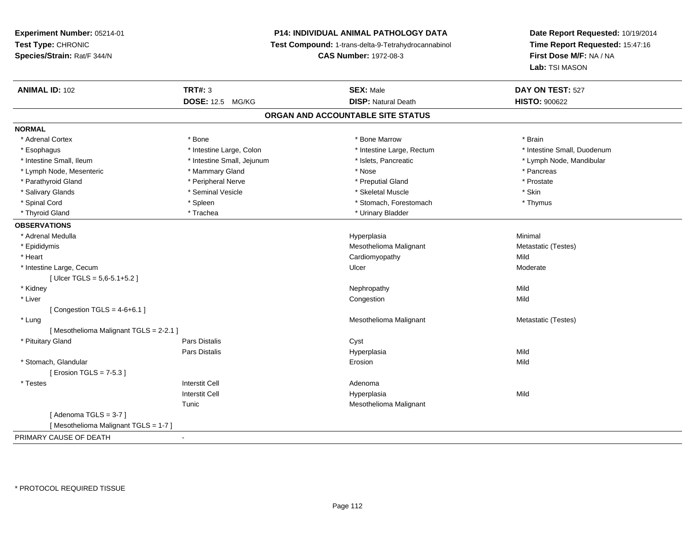# **P14: INDIVIDUAL ANIMAL PATHOLOGY DATA**

**Test Compound:** 1-trans-delta-9-Tetrahydrocannabinol

**CAS Number:** 1972-08-3

| <b>ANIMAL ID: 102</b>                 | <b>TRT#: 3</b>             | <b>SEX: Male</b>                  | DAY ON TEST: 527            |  |
|---------------------------------------|----------------------------|-----------------------------------|-----------------------------|--|
|                                       | <b>DOSE: 12.5 MG/KG</b>    | <b>DISP: Natural Death</b>        | <b>HISTO: 900622</b>        |  |
|                                       |                            | ORGAN AND ACCOUNTABLE SITE STATUS |                             |  |
| <b>NORMAL</b>                         |                            |                                   |                             |  |
| * Adrenal Cortex                      | * Bone                     | * Bone Marrow                     | * Brain                     |  |
| * Esophagus                           | * Intestine Large, Colon   | * Intestine Large, Rectum         | * Intestine Small, Duodenum |  |
| * Intestine Small, Ileum              | * Intestine Small, Jejunum | * Islets, Pancreatic              | * Lymph Node, Mandibular    |  |
| * Lymph Node, Mesenteric              | * Mammary Gland            | * Nose                            | * Pancreas                  |  |
| * Parathyroid Gland                   | * Peripheral Nerve         | * Preputial Gland                 | * Prostate                  |  |
| * Salivary Glands                     | * Seminal Vesicle          | * Skeletal Muscle                 | * Skin                      |  |
| * Spinal Cord                         | * Spleen                   | * Stomach, Forestomach            | * Thymus                    |  |
| * Thyroid Gland                       | * Trachea                  | * Urinary Bladder                 |                             |  |
| <b>OBSERVATIONS</b>                   |                            |                                   |                             |  |
| * Adrenal Medulla                     |                            | Hyperplasia                       | Minimal                     |  |
| * Epididymis                          |                            | Mesothelioma Malignant            | Metastatic (Testes)         |  |
| * Heart                               |                            | Cardiomyopathy                    | Mild                        |  |
| * Intestine Large, Cecum              |                            | Ulcer                             | Moderate                    |  |
| [Ulcer TGLS = $5,6-5.1+5.2$ ]         |                            |                                   |                             |  |
| * Kidney                              |                            | Nephropathy                       | Mild                        |  |
| * Liver                               |                            | Congestion                        | Mild                        |  |
| [Congestion TGLS = $4-6+6.1$ ]        |                            |                                   |                             |  |
| * Lung                                |                            | Mesothelioma Malignant            | Metastatic (Testes)         |  |
| [Mesothelioma Malignant TGLS = 2-2.1] |                            |                                   |                             |  |
| * Pituitary Gland                     | Pars Distalis              | Cyst                              |                             |  |
|                                       | Pars Distalis              | Hyperplasia                       | Mild                        |  |
| * Stomach, Glandular                  |                            | Erosion                           | Mild                        |  |
| [ Erosion TGLS = 7-5.3 ]              |                            |                                   |                             |  |
| * Testes                              | <b>Interstit Cell</b>      | Adenoma                           |                             |  |
|                                       | <b>Interstit Cell</b>      | Hyperplasia                       | Mild                        |  |
|                                       | Tunic                      | Mesothelioma Malignant            |                             |  |
| [Adenoma TGLS = $3-7$ ]               |                            |                                   |                             |  |
| [Mesothelioma Malignant TGLS = 1-7]   |                            |                                   |                             |  |
| PRIMARY CAUSE OF DEATH                | $\blacksquare$             |                                   |                             |  |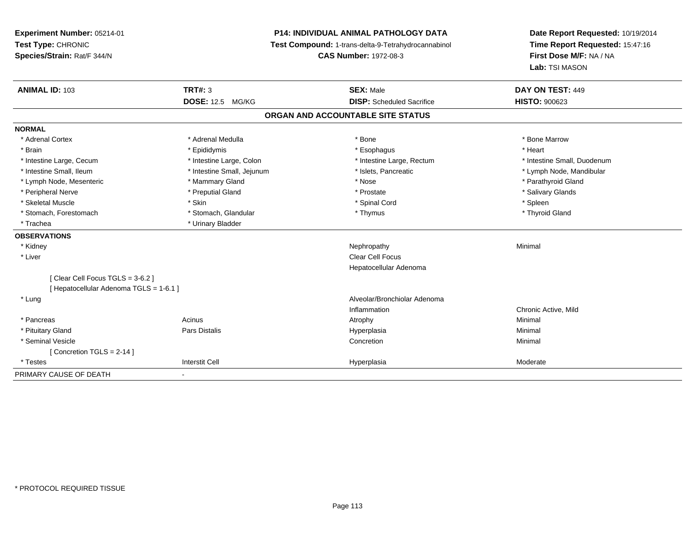**Experiment Number:** 05214-01**Test Type:** CHRONIC **Species/Strain:** Rat/F 344/N**P14: INDIVIDUAL ANIMAL PATHOLOGY DATA Test Compound:** 1-trans-delta-9-Tetrahydrocannabinol **CAS Number:** 1972-08-3**Date Report Requested:** 10/19/2014**Time Report Requested:** 15:47:16**First Dose M/F:** NA / NA**Lab:** TSI MASON**ANIMAL ID:** 103**TRT#:** 3 **SEX:** Male **DAY ON TEST:** 449 **DOSE:** 12.5 MG/KG **DISP:** Scheduled Sacrifice **HISTO:** <sup>900623</sup> **ORGAN AND ACCOUNTABLE SITE STATUSNORMAL**\* Adrenal Cortex \* Adrenal Medulla \* Adrenal Medulla \* Bone \* Bone \* Bone \* Bone \* Bone Marrow \* Brain \* \* Esophagus \* \* Esophagus \* \* Esophagus \* \* Esophagus \* \* Esophagus \* Heart \* Heart \* Heart \* Heart \* Intestine Large, Cecum \* Intestine Large, Colon \* Intestine Large, Rectum \* Intestine Small, Duodenum\* Intestine Small, Ileum \* \* Thestine Small, Jejunum \* \* Sets, Pancreatic \* \* Thestine Small, Nejunum \* Lymph Node, Mandibular \* Lymph Node, Mesenteric \* \* Mammary Gland \* Mammary Gland \* Nose \* Nose \* \* Nose \* \* Parathyroid Gland \* Parathyroid Gland \* Peripheral Nerve \* \* \* Preputial Gland \* \* Preputial Gland \* \* Prostate \* \* Salivary Glands \* Salivary Glands \* Skeletal Muscle \* Skin \* Spinal Cord \* Spleen \* Thyroid Gland \* Stomach, Forestomach \* Thymus \* Stomach, Glandular \* Thymus \* Thymus \* Thymus \* Thymus \* Thymus \* Thymus \* Thymus \* Thymus \* Thymus \* Thymus \* Thymus \* Thymus \* Thymus \* Thymus \* Thymus \* Thymus \* Thymus \* Thymus \* Thymu \* Trachea \* Urinary Bladder**OBSERVATIONS** \* Kidneyy the control of the control of the control of the control of the control of the control of the control of the control of the control of the control of the control of the control of the control of the control of the contro \* Liver Clear Cell Focus Hepatocellular Adenoma[ Clear Cell Focus TGLS = 3-6.2 ][ Hepatocellular Adenoma TGLS = 1-6.1 ] \* Lung Alveolar/Bronchiolar Adenoma Inflammation Chronic Active, Mild \* Pancreass the control of the control of the control of the control of the control of the control of the control of the control of the control of the control of the control of the control of the control of the control of the contro \* Pituitary Gland Pars Distalis Hyperplasia Minimal \* Seminal Vesiclee de la concertion de la concertion de la concertion de la concertion de la concertion de la concertion de la concertion de la concertion de la concertion de la concertion de la concertion de la concertion de la concertion [ Concretion TGLS = 2-14 ] \* Testess Interstit Cell Hyperplasia Hyperplasia eta alderate eta alderate eta alderate eta alderate eta alderate eta alderate eta alderate eta ald PRIMARY CAUSE OF DEATH-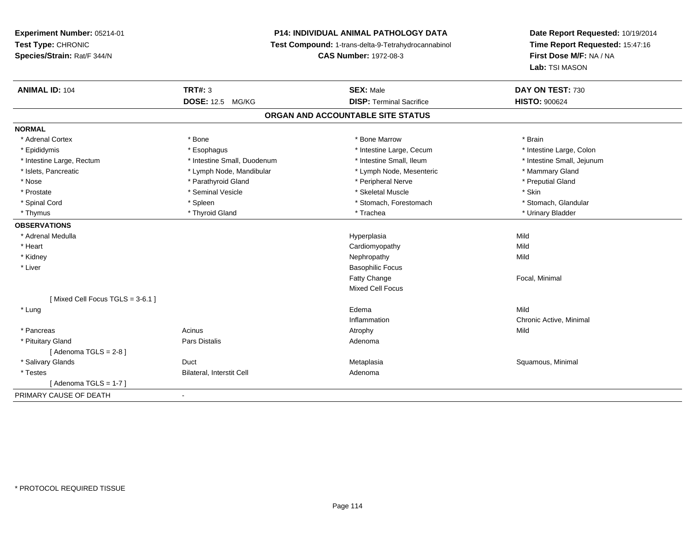# **P14: INDIVIDUAL ANIMAL PATHOLOGY DATA**

**Test Compound:** 1-trans-delta-9-Tetrahydrocannabinol

**CAS Number:** 1972-08-3

| <b>ANIMAL ID: 104</b>           | <b>TRT#: 3</b>              | <b>SEX: Male</b>                  | DAY ON TEST: 730           |  |
|---------------------------------|-----------------------------|-----------------------------------|----------------------------|--|
|                                 | <b>DOSE: 12.5 MG/KG</b>     | <b>DISP: Terminal Sacrifice</b>   | <b>HISTO: 900624</b>       |  |
|                                 |                             | ORGAN AND ACCOUNTABLE SITE STATUS |                            |  |
| <b>NORMAL</b>                   |                             |                                   |                            |  |
| * Adrenal Cortex                | * Bone                      | * Bone Marrow                     | * Brain                    |  |
| * Epididymis                    | * Esophagus                 | * Intestine Large, Cecum          | * Intestine Large, Colon   |  |
| * Intestine Large, Rectum       | * Intestine Small, Duodenum | * Intestine Small, Ileum          | * Intestine Small, Jejunum |  |
| * Islets, Pancreatic            | * Lymph Node, Mandibular    | * Lymph Node, Mesenteric          | * Mammary Gland            |  |
| * Nose                          | * Parathyroid Gland         | * Peripheral Nerve                | * Preputial Gland          |  |
| * Prostate                      | * Seminal Vesicle           | * Skeletal Muscle                 | * Skin                     |  |
| * Spinal Cord                   | * Spleen                    | * Stomach, Forestomach            | * Stomach, Glandular       |  |
| * Thymus                        | * Thyroid Gland             | * Trachea                         | * Urinary Bladder          |  |
| <b>OBSERVATIONS</b>             |                             |                                   |                            |  |
| * Adrenal Medulla               |                             | Hyperplasia                       | Mild                       |  |
| * Heart                         |                             | Cardiomyopathy                    | Mild                       |  |
| * Kidney                        |                             | Nephropathy                       | Mild                       |  |
| * Liver                         |                             | <b>Basophilic Focus</b>           |                            |  |
|                                 |                             | <b>Fatty Change</b>               | Focal, Minimal             |  |
|                                 |                             | <b>Mixed Cell Focus</b>           |                            |  |
| [Mixed Cell Focus TGLS = 3-6.1] |                             |                                   |                            |  |
| * Lung                          |                             | Edema                             | Mild                       |  |
|                                 |                             | Inflammation                      | Chronic Active, Minimal    |  |
| * Pancreas                      | Acinus                      | Atrophy                           | Mild                       |  |
| * Pituitary Gland               | <b>Pars Distalis</b>        | Adenoma                           |                            |  |
| [Adenoma TGLS = $2-8$ ]         |                             |                                   |                            |  |
| * Salivary Glands               | Duct                        | Metaplasia                        | Squamous, Minimal          |  |
| * Testes                        | Bilateral, Interstit Cell   | Adenoma                           |                            |  |
| [Adenoma TGLS = $1-7$ ]         |                             |                                   |                            |  |
| PRIMARY CAUSE OF DEATH          | $\blacksquare$              |                                   |                            |  |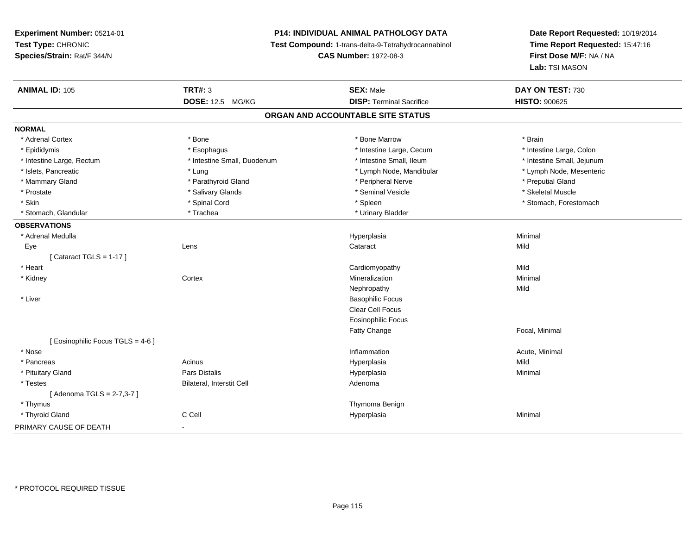# **P14: INDIVIDUAL ANIMAL PATHOLOGY DATA**

**Test Compound:** 1-trans-delta-9-Tetrahydrocannabinol

**CAS Number:** 1972-08-3

| <b>ANIMAL ID: 105</b>             | <b>TRT#: 3</b>              | <b>SEX: Male</b>                  | DAY ON TEST: 730           |
|-----------------------------------|-----------------------------|-----------------------------------|----------------------------|
|                                   | <b>DOSE: 12.5 MG/KG</b>     | <b>DISP: Terminal Sacrifice</b>   | <b>HISTO: 900625</b>       |
|                                   |                             | ORGAN AND ACCOUNTABLE SITE STATUS |                            |
| <b>NORMAL</b>                     |                             |                                   |                            |
| * Adrenal Cortex                  | * Bone                      | * Bone Marrow                     | * Brain                    |
| * Epididymis                      | * Esophagus                 | * Intestine Large, Cecum          | * Intestine Large, Colon   |
| * Intestine Large, Rectum         | * Intestine Small, Duodenum | * Intestine Small, Ileum          | * Intestine Small, Jejunum |
| * Islets, Pancreatic              | * Lung                      | * Lymph Node, Mandibular          | * Lymph Node, Mesenteric   |
| * Mammary Gland                   | * Parathyroid Gland         | * Peripheral Nerve                | * Preputial Gland          |
| * Prostate                        | * Salivary Glands           | * Seminal Vesicle                 | * Skeletal Muscle          |
| * Skin                            | * Spinal Cord               | * Spleen                          | * Stomach, Forestomach     |
| * Stomach, Glandular              | * Trachea                   | * Urinary Bladder                 |                            |
| <b>OBSERVATIONS</b>               |                             |                                   |                            |
| * Adrenal Medulla                 |                             | Hyperplasia                       | Minimal                    |
| Eye                               | Lens                        | Cataract                          | Mild                       |
| [Cataract TGLS = $1-17$ ]         |                             |                                   |                            |
| * Heart                           |                             | Cardiomyopathy                    | Mild                       |
| * Kidney                          | Cortex                      | Mineralization                    | Minimal                    |
|                                   |                             | Nephropathy                       | Mild                       |
| * Liver                           |                             | <b>Basophilic Focus</b>           |                            |
|                                   |                             | Clear Cell Focus                  |                            |
|                                   |                             | <b>Eosinophilic Focus</b>         |                            |
|                                   |                             | Fatty Change                      | Focal, Minimal             |
| [ Eosinophilic Focus TGLS = 4-6 ] |                             |                                   |                            |
| * Nose                            |                             | Inflammation                      | Acute, Minimal             |
| * Pancreas                        | Acinus                      | Hyperplasia                       | Mild                       |
| * Pituitary Gland                 | Pars Distalis               | Hyperplasia                       | Minimal                    |
| * Testes                          | Bilateral, Interstit Cell   | Adenoma                           |                            |
| [Adenoma TGLS = $2-7,3-7$ ]       |                             |                                   |                            |
| * Thymus                          |                             | Thymoma Benign                    |                            |
| * Thyroid Gland                   | C Cell                      | Hyperplasia                       | Minimal                    |
| PRIMARY CAUSE OF DEATH            | $\blacksquare$              |                                   |                            |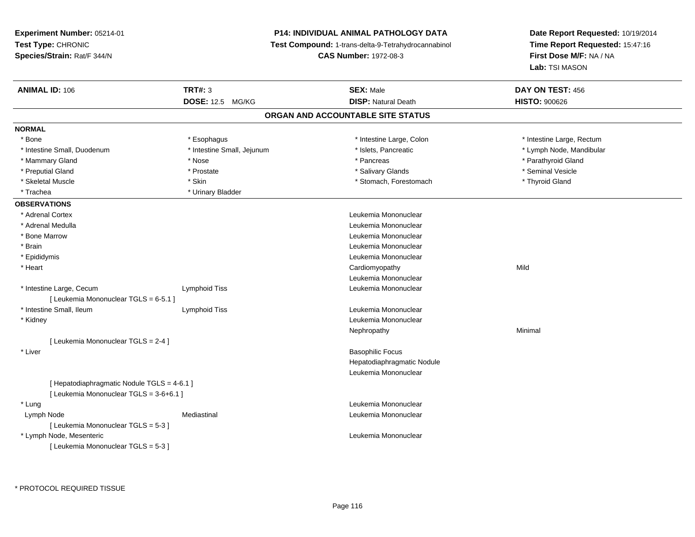**Experiment Number:** 05214-01**Test Type:** CHRONIC **Species/Strain:** Rat/F 344/N**P14: INDIVIDUAL ANIMAL PATHOLOGY DATA Test Compound:** 1-trans-delta-9-Tetrahydrocannabinol **CAS Number:** 1972-08-3**Date Report Requested:** 10/19/2014**Time Report Requested:** 15:47:16**First Dose M/F:** NA / NA**Lab:** TSI MASON**ANIMAL ID:** 106**TRT#:** 3 **SEX:** Male **DAY ON TEST:** 456 **DOSE:** 12.5 MG/KG**DISP:** Natural Death **HISTO:**  $900626$ **ORGAN AND ACCOUNTABLE SITE STATUSNORMAL**\* Bone \* Esophagus \* Intestine Large, Colon \* Intestine Large, Colon \* \* Intestine Large, Rectum \* Intestine Small, Duodenum \* \* Thestine Small, Jejunum \* \* Thestine Small, Jejunum \* 1998 \* Lymph Node, Mandibular \* Mammary Gland \* \* Nose \* \* Nose \* \* Pancreas \* Pancreas \* \* Pancreas \* \* Pancreas \* \* Pancreas \* \* Parathyroid Gland \* Preputial Gland \* \* Annual vesicle \* \* Prostate \* \* Salivary Glands \* \* Salivary Glands \* \* Seminal Vesicle \* \* Skeletal Muscle \* Thyroid Gland \* Skin \* Skin \* Stomach, Forestomach \* Stomach, Forestomach \* Thyroid Gland \* Trachea \* Urinary Bladder**OBSERVATIONS** \* Adrenal Cortex Leukemia Mononuclear \* Adrenal Medulla Leukemia Mononuclear \* Bone Marrow Leukemia Mononuclear \* Brain Leukemia Mononuclear \* Epididymis Leukemia Mononuclear \* Heart Cardiomyopathyy Mild Leukemia Mononuclear \* Intestine Large, Cecum Lymphoid Tiss Leukemia Mononuclear [ Leukemia Mononuclear TGLS = 6-5.1 ] \* Intestine Small, Ileum Lymphoid Tiss Leukemia Mononuclear \* Kidney Leukemia Mononuclear Nephropathyy the contract of the Minimal Minimal Section 1996 and the contract of the Minimal Section 1997 and the contract of the contract of the contract of the contract of the contract of the contract of the contract of the contra [ Leukemia Mononuclear TGLS = 2-4 ] \* Liver Basophilic Focus Hepatodiaphragmatic NoduleLeukemia Mononuclear[ Hepatodiaphragmatic Nodule TGLS = 4-6.1 ][ Leukemia Mononuclear TGLS = 3-6+6.1 ] \* Lungg and the set of the set of the set of the set of the set of the set of the set of the set of the set of the set of the set of the set of the set of the set of the set of the set of the set of the set of the set of the set Lymph NodeMediastinal **Mediastinal** Mononuclear **Leukemia Mononuclear** [ Leukemia Mononuclear TGLS = 5-3 ] \* Lymph Node, Mesenteric Leukemia Mononuclear [ Leukemia Mononuclear TGLS = 5-3 ]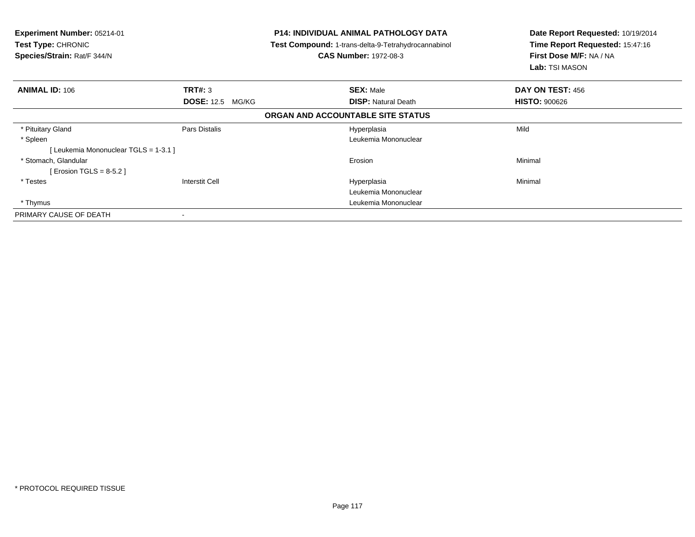| <b>Experiment Number: 05214-01</b><br><b>Test Type: CHRONIC</b><br>Species/Strain: Rat/F 344/N |                            | <b>P14: INDIVIDUAL ANIMAL PATHOLOGY DATA</b><br>Test Compound: 1-trans-delta-9-Tetrahydrocannabinol<br><b>CAS Number: 1972-08-3</b> | Date Report Requested: 10/19/2014<br>Time Report Requested: 15:47:16<br>First Dose M/F: NA / NA<br><b>Lab:</b> TSI MASON |  |
|------------------------------------------------------------------------------------------------|----------------------------|-------------------------------------------------------------------------------------------------------------------------------------|--------------------------------------------------------------------------------------------------------------------------|--|
| <b>ANIMAL ID: 106</b>                                                                          | <b>TRT#: 3</b>             | <b>SEX: Male</b>                                                                                                                    | DAY ON TEST: 456                                                                                                         |  |
|                                                                                                | <b>DOSE: 12.5</b><br>MG/KG | <b>DISP: Natural Death</b>                                                                                                          | <b>HISTO: 900626</b>                                                                                                     |  |
|                                                                                                |                            | ORGAN AND ACCOUNTABLE SITE STATUS                                                                                                   |                                                                                                                          |  |
| * Pituitary Gland                                                                              | Pars Distalis              | Hyperplasia                                                                                                                         | Mild                                                                                                                     |  |
| * Spleen                                                                                       |                            | Leukemia Mononuclear                                                                                                                |                                                                                                                          |  |
| [Leukemia Mononuclear TGLS = 1-3.1]                                                            |                            |                                                                                                                                     |                                                                                                                          |  |
| * Stomach, Glandular                                                                           |                            | Erosion                                                                                                                             | Minimal                                                                                                                  |  |
| [ Erosion TGLS = $8-5.2$ ]                                                                     |                            |                                                                                                                                     |                                                                                                                          |  |
| * Testes                                                                                       | <b>Interstit Cell</b>      | Hyperplasia                                                                                                                         | Minimal                                                                                                                  |  |
|                                                                                                |                            | Leukemia Mononuclear                                                                                                                |                                                                                                                          |  |
| * Thymus                                                                                       |                            | Leukemia Mononuclear                                                                                                                |                                                                                                                          |  |
| PRIMARY CAUSE OF DEATH                                                                         | $\overline{\phantom{a}}$   |                                                                                                                                     |                                                                                                                          |  |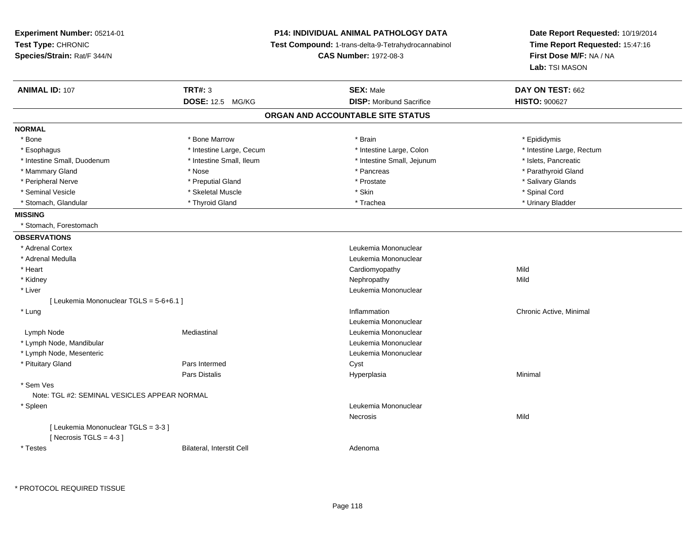| Experiment Number: 05214-01<br>Test Type: CHRONIC<br>Species/Strain: Rat/F 344/N |                           | P14: INDIVIDUAL ANIMAL PATHOLOGY DATA<br>Test Compound: 1-trans-delta-9-Tetrahydrocannabinol<br><b>CAS Number: 1972-08-3</b> |                                 | Date Report Requested: 10/19/2014<br>Time Report Requested: 15:47:16<br>First Dose M/F: NA / NA<br>Lab: TSI MASON |
|----------------------------------------------------------------------------------|---------------------------|------------------------------------------------------------------------------------------------------------------------------|---------------------------------|-------------------------------------------------------------------------------------------------------------------|
| <b>ANIMAL ID: 107</b>                                                            | <b>TRT#: 3</b>            |                                                                                                                              | <b>SEX: Male</b>                | DAY ON TEST: 662                                                                                                  |
|                                                                                  | DOSE: 12.5 MG/KG          |                                                                                                                              | <b>DISP:</b> Moribund Sacrifice | <b>HISTO: 900627</b>                                                                                              |
|                                                                                  |                           | ORGAN AND ACCOUNTABLE SITE STATUS                                                                                            |                                 |                                                                                                                   |
| <b>NORMAL</b>                                                                    |                           |                                                                                                                              |                                 |                                                                                                                   |
| * Bone                                                                           | * Bone Marrow             |                                                                                                                              | * Brain                         | * Epididymis                                                                                                      |
| * Esophagus                                                                      | * Intestine Large, Cecum  |                                                                                                                              | * Intestine Large, Colon        | * Intestine Large, Rectum                                                                                         |
| * Intestine Small, Duodenum                                                      | * Intestine Small, Ileum  |                                                                                                                              | * Intestine Small, Jejunum      | * Islets, Pancreatic                                                                                              |
| * Mammary Gland                                                                  | * Nose                    |                                                                                                                              | * Pancreas                      | * Parathyroid Gland                                                                                               |
| * Peripheral Nerve                                                               | * Preputial Gland         |                                                                                                                              | * Prostate                      | * Salivary Glands                                                                                                 |
| * Seminal Vesicle                                                                | * Skeletal Muscle         |                                                                                                                              | * Skin                          | * Spinal Cord                                                                                                     |
| * Stomach, Glandular                                                             | * Thyroid Gland           |                                                                                                                              | * Trachea                       | * Urinary Bladder                                                                                                 |
| <b>MISSING</b>                                                                   |                           |                                                                                                                              |                                 |                                                                                                                   |
| * Stomach, Forestomach                                                           |                           |                                                                                                                              |                                 |                                                                                                                   |
| <b>OBSERVATIONS</b>                                                              |                           |                                                                                                                              |                                 |                                                                                                                   |
| * Adrenal Cortex                                                                 |                           |                                                                                                                              | Leukemia Mononuclear            |                                                                                                                   |
| * Adrenal Medulla                                                                |                           |                                                                                                                              | Leukemia Mononuclear            |                                                                                                                   |
| * Heart                                                                          |                           |                                                                                                                              | Cardiomyopathy                  | Mild                                                                                                              |
| * Kidney                                                                         |                           |                                                                                                                              | Nephropathy                     | Mild                                                                                                              |
| * Liver                                                                          |                           |                                                                                                                              | Leukemia Mononuclear            |                                                                                                                   |
| [ Leukemia Mononuclear TGLS = 5-6+6.1 ]                                          |                           |                                                                                                                              |                                 |                                                                                                                   |
| * Lung                                                                           |                           |                                                                                                                              | Inflammation                    | Chronic Active, Minimal                                                                                           |
|                                                                                  |                           |                                                                                                                              | Leukemia Mononuclear            |                                                                                                                   |
| Lymph Node                                                                       | Mediastinal               |                                                                                                                              | Leukemia Mononuclear            |                                                                                                                   |
| * Lymph Node, Mandibular                                                         |                           |                                                                                                                              | Leukemia Mononuclear            |                                                                                                                   |
| * Lymph Node, Mesenteric                                                         |                           |                                                                                                                              | Leukemia Mononuclear            |                                                                                                                   |
| * Pituitary Gland                                                                | Pars Intermed             |                                                                                                                              | Cyst                            |                                                                                                                   |
|                                                                                  | Pars Distalis             |                                                                                                                              | Hyperplasia                     | Minimal                                                                                                           |
| * Sem Ves<br>Note: TGL #2: SEMINAL VESICLES APPEAR NORMAL                        |                           |                                                                                                                              |                                 |                                                                                                                   |
|                                                                                  |                           |                                                                                                                              | Leukemia Mononuclear            |                                                                                                                   |
| * Spleen                                                                         |                           |                                                                                                                              |                                 |                                                                                                                   |
| [ Leukemia Mononuclear TGLS = 3-3 ]<br>[Necrosis $TGLS = 4-3$ ]                  |                           |                                                                                                                              | Necrosis                        | Mild                                                                                                              |
| * Testes                                                                         | Bilateral, Interstit Cell |                                                                                                                              | Adenoma                         |                                                                                                                   |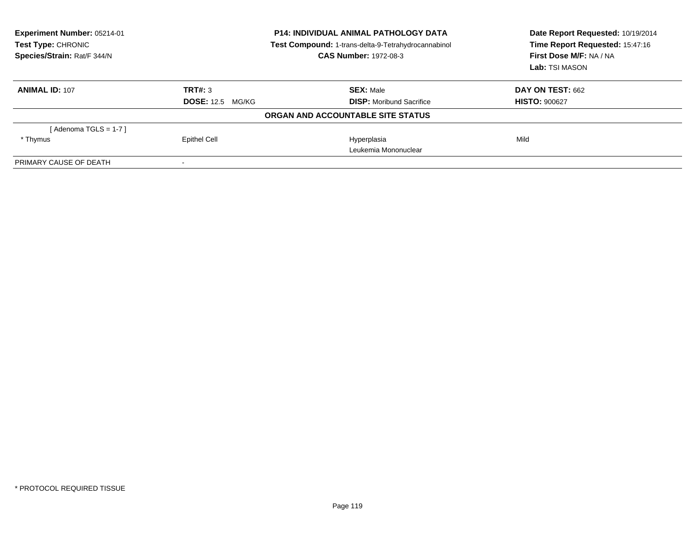| <b>Experiment Number: 05214-01</b><br>Test Type: CHRONIC<br>Species/Strain: Rat/F 344/N | <b>P14: INDIVIDUAL ANIMAL PATHOLOGY DATA</b><br>Test Compound: 1-trans-delta-9-Tetrahydrocannabinol<br><b>CAS Number: 1972-08-3</b> |                                   | Date Report Requested: 10/19/2014<br>Time Report Requested: 15:47:16<br>First Dose M/F: NA / NA<br>Lab: TSI MASON |  |
|-----------------------------------------------------------------------------------------|-------------------------------------------------------------------------------------------------------------------------------------|-----------------------------------|-------------------------------------------------------------------------------------------------------------------|--|
| <b>ANIMAL ID: 107</b>                                                                   | TRT#: 3                                                                                                                             | <b>SEX: Male</b>                  | DAY ON TEST: 662                                                                                                  |  |
|                                                                                         | <b>DOSE:</b> 12.5 MG/KG                                                                                                             | <b>DISP:</b> Moribund Sacrifice   | <b>HISTO: 900627</b>                                                                                              |  |
|                                                                                         |                                                                                                                                     | ORGAN AND ACCOUNTABLE SITE STATUS |                                                                                                                   |  |
| [Adenoma TGLS = $1-7$ ]                                                                 |                                                                                                                                     |                                   |                                                                                                                   |  |
| * Thymus                                                                                | <b>Epithel Cell</b>                                                                                                                 | Hyperplasia                       | Mild                                                                                                              |  |
|                                                                                         |                                                                                                                                     | Leukemia Mononuclear              |                                                                                                                   |  |
| PRIMARY CAUSE OF DEATH                                                                  |                                                                                                                                     |                                   |                                                                                                                   |  |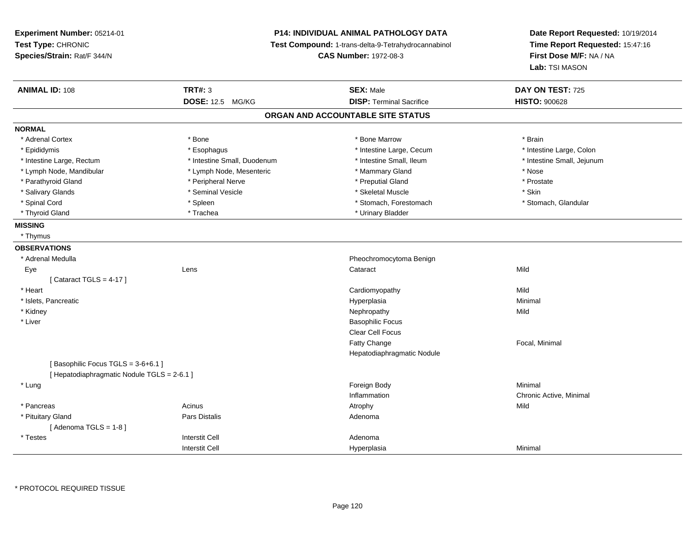**Experiment Number:** 05214-01**Test Type:** CHRONIC **Species/Strain:** Rat/F 344/N**P14: INDIVIDUAL ANIMAL PATHOLOGY DATA Test Compound:** 1-trans-delta-9-Tetrahydrocannabinol **CAS Number:** 1972-08-3**Date Report Requested:** 10/19/2014**Time Report Requested:** 15:47:16**First Dose M/F:** NA / NA**Lab:** TSI MASON**ANIMAL ID:** 108**TRT#:** 3 **SEX:** Male **DAY ON TEST:** 725 **DOSE:** 12.5 MG/KG**DISP:** Terminal Sacrifice **HISTO:**  $900628$ **ORGAN AND ACCOUNTABLE SITE STATUSNORMAL**\* Adrenal Cortex \* Adrenal Cortex \* \* Adrenal Cortex \* Brain \* Bone \* \* Bone Marrow \* Bone Marrow \* \* Brain \* Brain \* Brain \* Brain \* Brain \* Brain \* Brain \* Brain \* Brain \* Brain \* Brain \* Brain \* Brain \* Brain \* Brain \* Brain \* Brain \* B \* Intestine Large, Colon \* Epididymis \* Intestine Large, Cecum \* Esophagus \* Intestine Large, Cecum \* Intestine Large, Cecum \* Intestine Large, Rectum \* Thestine Small, Duodenum \* Number of the small, Ileum \* Intestine Small, Jejunum \* Intestine Small, Jejunum \* Lymph Node, Mandibular \* The state of the state of the second temperature and the state of the state of the state of the state of the state of the state of the state of the state of the state of the state of the state of \* Prostate \* Parathyroid Gland \* **Arror and \* Peripheral Nerve \*** Peripheral Text \* Preputial Gland \* Salivary Glands \* Seminal Vesicle \* Skeletal Muscle \* Skin\* Stomach, Glandular \* Spinal Cord \* Spinal Cord \* Spinal Cord \* Stomach, Forestomach \* Stomach, Forestomach \* Stomach, Forestomach \* Thyroid Gland \* Trachea \* Trachea \* Trachea \* Urinary Bladder **MISSING** \* Thymus**OBSERVATIONS** \* Adrenal MedullaPheochromocytoma Benign<br>
Cataract<br>
Cataract Eyee and the contract of the contract of the contract of the contract of the contract of the contract of the contract of the contract of the contract of the contract of the contract of the contract of the contract of the cont  $[$  Cataract TGLS = 4-17  $]$  \* Heart Cardiomyopathyy Mild Minimal \* Islets, Pancreaticc and the contract of the contract of the contract of the contract of the contract of the contract of the contract of the contract of the contract of the contract of the contract of the contract of the contract of the cont a **Minimal**  \* Kidneyy the controller of the controller of the controller of the controller of the controller of the controller of the controller of the controller of the controller of the controller of the controller of the controller of the \* Liverr and the state of the state of the state of the state of the state of the Basophilic Focus in the Basophilic Focus Clear Cell FocusFatty Change Focal, Minimal Hepatodiaphragmatic Nodule[ Basophilic Focus TGLS =  $3-6+6.1$  ] [ Hepatodiaphragmatic Nodule TGLS = 2-6.1 ] \* Lungg and the state of the state of the state of the state of the state of the state of the state of the state of the state of the state of the state of the state of the state of the state of the state of the state of the stat Inflammation Chronic Active, Minimal \* Pancreass the contract of the contract of the contract of the contract of the contract of the contract of the contract of the contract of the contract of the contract of the contract of the contract of the contract of the contract \* Pituitary Glandd and the set of Pars Distalis and the Second Adenomal Adenomal Second Second Pars Distallis [ Adenoma TGLS = 1-8 ] \* Testess and the contractive contractive contractive contractive contractive contractive contractive contractive contractive contractive contractive contractive contractive contractive contractive contractive contractive contract I Contract to the Contract of the Hyperplasia Interstit Cella Minimal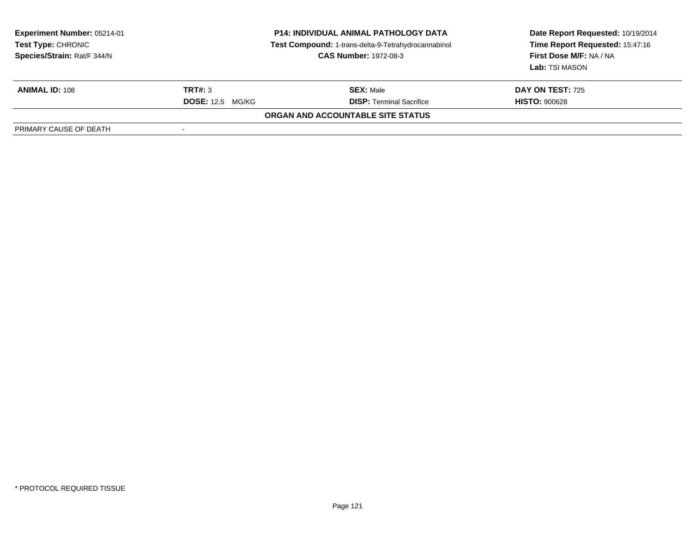| <b>Experiment Number: 05214-01</b><br><b>Test Type: CHRONIC</b><br>Species/Strain: Rat/F 344/N | <b>P14: INDIVIDUAL ANIMAL PATHOLOGY DATA</b><br>Test Compound: 1-trans-delta-9-Tetrahydrocannabinol<br><b>CAS Number: 1972-08-3</b> |                                          | Date Report Requested: 10/19/2014<br>Time Report Requested: 15:47:16<br>First Dose M/F: NA / NA<br>Lab: TSI MASON |  |
|------------------------------------------------------------------------------------------------|-------------------------------------------------------------------------------------------------------------------------------------|------------------------------------------|-------------------------------------------------------------------------------------------------------------------|--|
| <b>ANIMAL ID: 108</b>                                                                          | <b>TRT#: 3</b>                                                                                                                      | <b>SEX: Male</b>                         | <b>DAY ON TEST: 725</b>                                                                                           |  |
|                                                                                                | <b>DOSE:</b> 12.5 MG/KG                                                                                                             | <b>DISP: Terminal Sacrifice</b>          | <b>HISTO: 900628</b>                                                                                              |  |
|                                                                                                |                                                                                                                                     | <b>ORGAN AND ACCOUNTABLE SITE STATUS</b> |                                                                                                                   |  |
| PRIMARY CAUSE OF DEATH                                                                         |                                                                                                                                     |                                          |                                                                                                                   |  |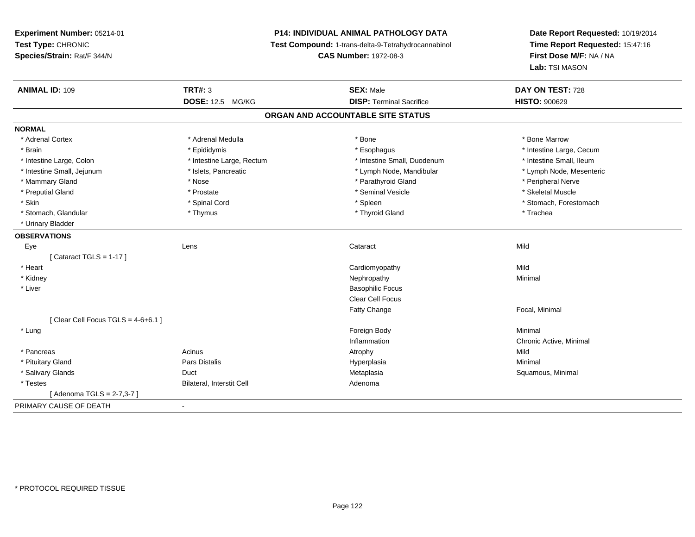# **P14: INDIVIDUAL ANIMAL PATHOLOGY DATA**

**Test Compound:** 1-trans-delta-9-Tetrahydrocannabinol

**CAS Number:** 1972-08-3

| <b>ANIMAL ID: 109</b>             | <b>TRT#: 3</b>                   | <b>SEX: Male</b>                  | DAY ON TEST: 728         |
|-----------------------------------|----------------------------------|-----------------------------------|--------------------------|
|                                   | DOSE: 12.5 MG/KG                 | <b>DISP: Terminal Sacrifice</b>   | <b>HISTO: 900629</b>     |
|                                   |                                  | ORGAN AND ACCOUNTABLE SITE STATUS |                          |
| <b>NORMAL</b>                     |                                  |                                   |                          |
| * Adrenal Cortex                  | * Adrenal Medulla                | * Bone                            | * Bone Marrow            |
| * Brain                           | * Epididymis                     | * Esophagus                       | * Intestine Large, Cecum |
| * Intestine Large, Colon          | * Intestine Large, Rectum        | * Intestine Small, Duodenum       | * Intestine Small, Ileum |
| * Intestine Small, Jejunum        | * Islets, Pancreatic             | * Lymph Node, Mandibular          | * Lymph Node, Mesenteric |
| * Mammary Gland                   | * Nose                           | * Parathyroid Gland               | * Peripheral Nerve       |
| * Preputial Gland                 | * Prostate                       | * Seminal Vesicle                 | * Skeletal Muscle        |
| * Skin                            | * Spinal Cord                    | * Spleen                          | * Stomach, Forestomach   |
| * Stomach, Glandular              | * Thymus                         | * Thyroid Gland                   | * Trachea                |
| * Urinary Bladder                 |                                  |                                   |                          |
| <b>OBSERVATIONS</b>               |                                  |                                   |                          |
| Eye                               | Lens                             | Cataract                          | Mild                     |
| [Cataract TGLS = $1-17$ ]         |                                  |                                   |                          |
| * Heart                           |                                  | Cardiomyopathy                    | Mild                     |
| * Kidney                          |                                  | Nephropathy                       | Minimal                  |
| * Liver                           |                                  | <b>Basophilic Focus</b>           |                          |
|                                   |                                  | <b>Clear Cell Focus</b>           |                          |
|                                   |                                  | Fatty Change                      | Focal, Minimal           |
| [Clear Cell Focus TGLS = 4-6+6.1] |                                  |                                   |                          |
| * Lung                            |                                  | Foreign Body                      | Minimal                  |
|                                   |                                  | Inflammation                      | Chronic Active, Minimal  |
| * Pancreas                        | Acinus                           | Atrophy                           | Mild                     |
| * Pituitary Gland                 | <b>Pars Distalis</b>             | Hyperplasia                       | Minimal                  |
| * Salivary Glands                 | Duct                             | Metaplasia                        | Squamous, Minimal        |
| * Testes                          | <b>Bilateral, Interstit Cell</b> | Adenoma                           |                          |
| [Adenoma TGLS = 2-7,3-7]          |                                  |                                   |                          |
| PRIMARY CAUSE OF DEATH            | $\blacksquare$                   |                                   |                          |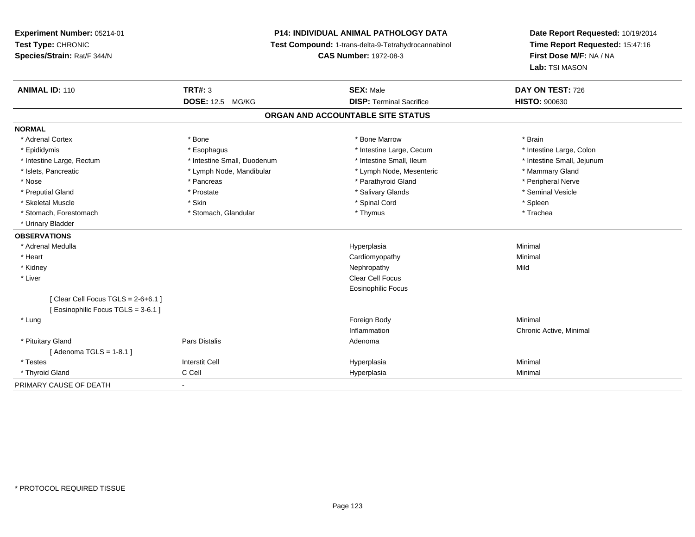# **P14: INDIVIDUAL ANIMAL PATHOLOGY DATA**

**Test Compound:** 1-trans-delta-9-Tetrahydrocannabinol

**CAS Number:** 1972-08-3

| <b>ANIMAL ID: 110</b>             | <b>TRT#: 3</b>              | <b>SEX: Male</b>                | DAY ON TEST: 726           |  |  |  |
|-----------------------------------|-----------------------------|---------------------------------|----------------------------|--|--|--|
|                                   | DOSE: 12.5 MG/KG            | <b>DISP: Terminal Sacrifice</b> | <b>HISTO: 900630</b>       |  |  |  |
| ORGAN AND ACCOUNTABLE SITE STATUS |                             |                                 |                            |  |  |  |
| <b>NORMAL</b>                     |                             |                                 |                            |  |  |  |
| * Adrenal Cortex                  | * Bone                      | * Bone Marrow                   | * Brain                    |  |  |  |
| * Epididymis                      | * Esophagus                 | * Intestine Large, Cecum        | * Intestine Large, Colon   |  |  |  |
| * Intestine Large, Rectum         | * Intestine Small, Duodenum | * Intestine Small, Ileum        | * Intestine Small, Jejunum |  |  |  |
| * Islets, Pancreatic              | * Lymph Node, Mandibular    | * Lymph Node, Mesenteric        | * Mammary Gland            |  |  |  |
| * Nose                            | * Pancreas                  | * Parathyroid Gland             | * Peripheral Nerve         |  |  |  |
| * Preputial Gland                 | * Prostate                  | * Salivary Glands               | * Seminal Vesicle          |  |  |  |
| * Skeletal Muscle                 | * Skin                      | * Spinal Cord                   | * Spleen                   |  |  |  |
| * Stomach, Forestomach            | * Stomach, Glandular        | * Thymus                        | * Trachea                  |  |  |  |
| * Urinary Bladder                 |                             |                                 |                            |  |  |  |
| <b>OBSERVATIONS</b>               |                             |                                 |                            |  |  |  |
| * Adrenal Medulla                 |                             | Hyperplasia                     | Minimal                    |  |  |  |
| * Heart                           |                             | Cardiomyopathy                  | Minimal                    |  |  |  |
| * Kidney                          |                             | Nephropathy                     | Mild                       |  |  |  |
| * Liver                           |                             | <b>Clear Cell Focus</b>         |                            |  |  |  |
|                                   |                             | <b>Eosinophilic Focus</b>       |                            |  |  |  |
| [Clear Cell Focus TGLS = 2-6+6.1] |                             |                                 |                            |  |  |  |
| [Eosinophilic Focus TGLS = 3-6.1] |                             |                                 |                            |  |  |  |
| * Lung                            |                             | Foreign Body                    | Minimal                    |  |  |  |
|                                   |                             | Inflammation                    | Chronic Active, Minimal    |  |  |  |
| * Pituitary Gland                 | Pars Distalis               | Adenoma                         |                            |  |  |  |
| [ Adenoma TGLS = 1-8.1 ]          |                             |                                 |                            |  |  |  |
| * Testes                          | <b>Interstit Cell</b>       | Hyperplasia                     | Minimal                    |  |  |  |
| * Thyroid Gland                   | C Cell                      | Hyperplasia                     | Minimal                    |  |  |  |
| PRIMARY CAUSE OF DEATH            | $\blacksquare$              |                                 |                            |  |  |  |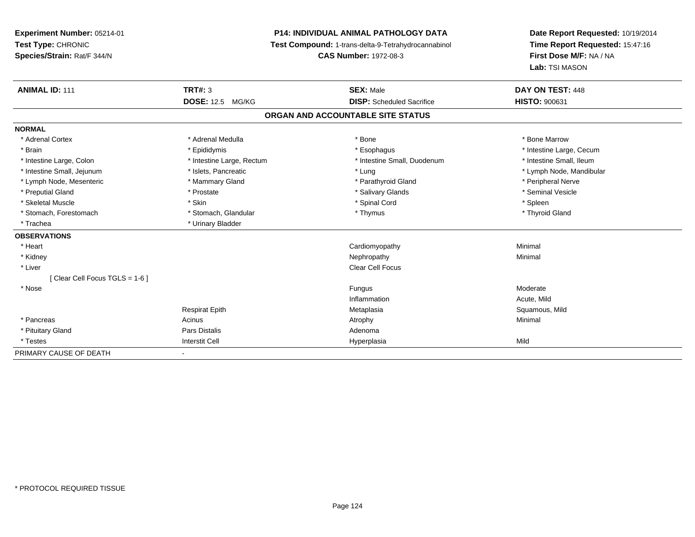**Experiment Number:** 05214-01**Test Type:** CHRONIC **Species/Strain:** Rat/F 344/N**P14: INDIVIDUAL ANIMAL PATHOLOGY DATA Test Compound:** 1-trans-delta-9-Tetrahydrocannabinol **CAS Number:** 1972-08-3**Date Report Requested:** 10/19/2014**Time Report Requested:** 15:47:16**First Dose M/F:** NA / NA**Lab:** TSI MASON**ANIMAL ID:** 111**TRT#:** 3 **SEX:** Male **DAY ON TEST:** 448 **DOSE:** 12.5 MG/KG **DISP:** Scheduled Sacrifice **HISTO:** <sup>900631</sup> **ORGAN AND ACCOUNTABLE SITE STATUSNORMAL**\* Adrenal Cortex \* Adrenal Medulla \* Adrenal Medulla \* Bone \* Bone \* Bone \* Bone \* Bone Marrow \* Brain \* Explorer \* Epididymis \* \* Epididymis \* \* Esophagus \* Esophagus \* \* Esophagus \* Intestine Large, Cecum \* \* Intestine Large, Cecum \* Intestine Small, Ileum \* Intestine Large, Colon \* Intestine Large, Rectum \* Intestine Small, Duodenum \* Intestine Small, Duodenum \* Intestine Small, Jejunum \* \* \* https://www.fat.com/setter/educition/setter/filesophysics.com/setter/filesophysics.com/setter/filesophysics.com/setter/filesophysics.com/setter/filesophysics.com/setter/filesophysics.com/se \* Lymph Node, Mesenteric \* The matter of the Mammary Gland \* Mammary Gland \* Parathyroid Gland \* Peripheral Nerve \* Seminal Vesicle \* Preputial Gland \* \* Annual vesicle \* \* Prostate \* \* Salivary Glands \* \* Salivary Glands \* \* Seminal Vesicle \* \* Skeletal Muscle \* Skin \* Spinal Cord \* Spleen \* Thyroid Gland \* Stomach, Forestomach \* Thymus \* Stomach, Glandular \* Thymus \* Thymus \* Thymus \* Thymus \* Thymus \* Thymus \* Thymus \* Thymus \* Thymus \* Thymus \* Thymus \* Thymus \* Thymus \* Thymus \* Thymus \* Thymus \* Thymus \* Thymus \* Thymu \* Trachea \* Urinary Bladder**OBSERVATIONS** \* Heart Cardiomyopathy Minimal \* Kidneyy the control of the control of the control of the control of the control of the control of the control of the control of the control of the control of the control of the control of the control of the control of the contro \* Liver Clear Cell Focus[ Clear Cell Focus TGLS = 1-6 ] \* Nosee de la contrasta de la contrasta de la contrasta de la contrasta de la contrasta de la contrasta de la contrasta de la contrasta de la contrasta de la contrasta de la contrasta de la contrasta de la contrasta de la contra InflammationAcute, Mild

|                        | <b>Respirat Epith</b> | Metaplasia  | Squamous, Mild |
|------------------------|-----------------------|-------------|----------------|
| * Pancreas             | Acinus                | Atrophy     | Minimal        |
| * Pituitary Gland      | Pars Distalis         | Adenoma     |                |
| * Testes               | <b>Interstit Cell</b> | Hyperplasia | Mila           |
| PRIMARY CAUSE OF DEATH |                       |             |                |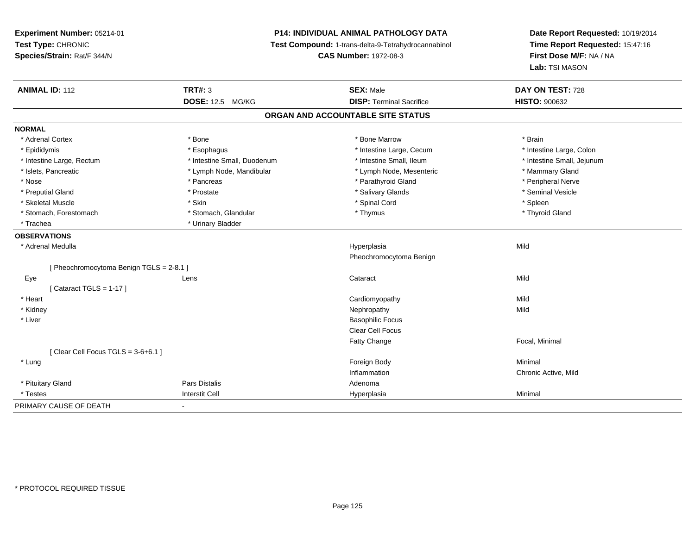# **P14: INDIVIDUAL ANIMAL PATHOLOGY DATA**

**Test Compound:** 1-trans-delta-9-Tetrahydrocannabinol

**CAS Number:** 1972-08-3

| <b>ANIMAL ID: 112</b>                    | <b>TRT#: 3</b>              | <b>SEX: Male</b>                  | DAY ON TEST: 728           |
|------------------------------------------|-----------------------------|-----------------------------------|----------------------------|
|                                          | DOSE: 12.5 MG/KG            | <b>DISP: Terminal Sacrifice</b>   | <b>HISTO: 900632</b>       |
|                                          |                             | ORGAN AND ACCOUNTABLE SITE STATUS |                            |
| <b>NORMAL</b>                            |                             |                                   |                            |
| * Adrenal Cortex                         | * Bone                      | * Bone Marrow                     | * Brain                    |
| * Epididymis                             | * Esophagus                 | * Intestine Large, Cecum          | * Intestine Large, Colon   |
| * Intestine Large, Rectum                | * Intestine Small, Duodenum | * Intestine Small, Ileum          | * Intestine Small, Jejunum |
| * Islets, Pancreatic                     | * Lymph Node, Mandibular    | * Lymph Node, Mesenteric          | * Mammary Gland            |
| * Nose                                   | * Pancreas                  | * Parathyroid Gland               | * Peripheral Nerve         |
| * Preputial Gland                        | * Prostate                  | * Salivary Glands                 | * Seminal Vesicle          |
| * Skeletal Muscle                        | * Skin                      | * Spinal Cord                     | * Spleen                   |
| * Stomach, Forestomach                   | * Stomach, Glandular        | * Thymus                          | * Thyroid Gland            |
| * Trachea                                | * Urinary Bladder           |                                   |                            |
| <b>OBSERVATIONS</b>                      |                             |                                   |                            |
| * Adrenal Medulla                        |                             | Hyperplasia                       | Mild                       |
|                                          |                             | Pheochromocytoma Benign           |                            |
| [ Pheochromocytoma Benign TGLS = 2-8.1 ] |                             |                                   |                            |
| Eye                                      | Lens                        | Cataract                          | Mild                       |
| [Cataract TGLS = $1-17$ ]                |                             |                                   |                            |
| * Heart                                  |                             | Cardiomyopathy                    | Mild                       |
| * Kidney                                 |                             | Nephropathy                       | Mild                       |
| * Liver                                  |                             | <b>Basophilic Focus</b>           |                            |
|                                          |                             | Clear Cell Focus                  |                            |
|                                          |                             | Fatty Change                      | Focal, Minimal             |
| [Clear Cell Focus TGLS = $3-6+6.1$ ]     |                             |                                   |                            |
| * Lung                                   |                             | Foreign Body                      | Minimal                    |
|                                          |                             | Inflammation                      | Chronic Active, Mild       |
| * Pituitary Gland                        | <b>Pars Distalis</b>        | Adenoma                           |                            |
| * Testes                                 | <b>Interstit Cell</b>       | Hyperplasia                       | Minimal                    |
| PRIMARY CAUSE OF DEATH                   | $\blacksquare$              |                                   |                            |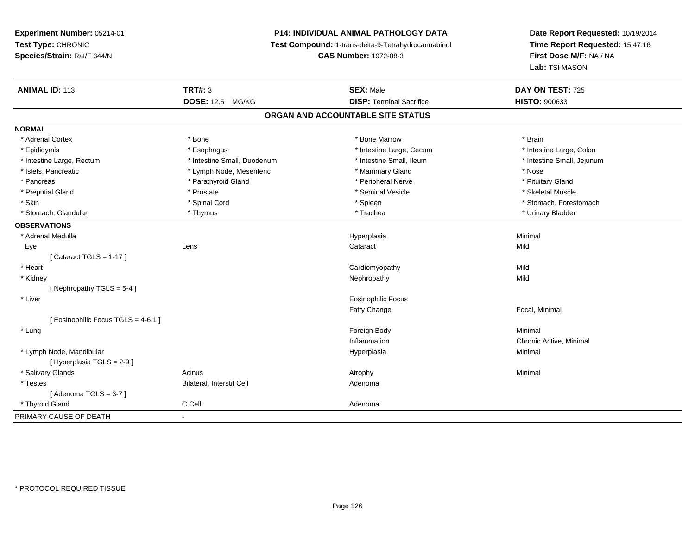# **P14: INDIVIDUAL ANIMAL PATHOLOGY DATA**

**Test Compound:** 1-trans-delta-9-Tetrahydrocannabinol

**CAS Number:** 1972-08-3

| <b>ANIMAL ID: 113</b>               | <b>TRT#: 3</b>              | <b>SEX: Male</b>                  | DAY ON TEST: 725           |
|-------------------------------------|-----------------------------|-----------------------------------|----------------------------|
|                                     | <b>DOSE: 12.5 MG/KG</b>     | <b>DISP: Terminal Sacrifice</b>   | <b>HISTO: 900633</b>       |
|                                     |                             | ORGAN AND ACCOUNTABLE SITE STATUS |                            |
| <b>NORMAL</b>                       |                             |                                   |                            |
| * Adrenal Cortex                    | * Bone                      | * Bone Marrow                     | * Brain                    |
| * Epididymis                        | * Esophagus                 | * Intestine Large, Cecum          | * Intestine Large, Colon   |
| * Intestine Large, Rectum           | * Intestine Small, Duodenum | * Intestine Small, Ileum          | * Intestine Small, Jejunum |
| * Islets, Pancreatic                | * Lymph Node, Mesenteric    | * Mammary Gland                   | * Nose                     |
| * Pancreas                          | * Parathyroid Gland         | * Peripheral Nerve                | * Pituitary Gland          |
| * Preputial Gland                   | * Prostate                  | * Seminal Vesicle                 | * Skeletal Muscle          |
| * Skin                              | * Spinal Cord               | * Spleen                          | * Stomach, Forestomach     |
| * Stomach, Glandular                | * Thymus                    | * Trachea                         | * Urinary Bladder          |
| <b>OBSERVATIONS</b>                 |                             |                                   |                            |
| * Adrenal Medulla                   |                             | Hyperplasia                       | Minimal                    |
| Eye                                 | Lens                        | Cataract                          | Mild                       |
| [Cataract TGLS = $1-17$ ]           |                             |                                   |                            |
| * Heart                             |                             | Cardiomyopathy                    | Mild                       |
| * Kidney                            |                             | Nephropathy                       | Mild                       |
| [Nephropathy TGLS = $5-4$ ]         |                             |                                   |                            |
| * Liver                             |                             | <b>Eosinophilic Focus</b>         |                            |
|                                     |                             | Fatty Change                      | Focal, Minimal             |
| [ Eosinophilic Focus TGLS = 4-6.1 ] |                             |                                   |                            |
| * Lung                              |                             | Foreign Body                      | Minimal                    |
|                                     |                             | Inflammation                      | Chronic Active, Minimal    |
| * Lymph Node, Mandibular            |                             | Hyperplasia                       | Minimal                    |
| [ Hyperplasia TGLS = 2-9 ]          |                             |                                   |                            |
| * Salivary Glands                   | Acinus                      | Atrophy                           | Minimal                    |
| * Testes                            | Bilateral, Interstit Cell   | Adenoma                           |                            |
| [Adenoma TGLS = $3-7$ ]             |                             |                                   |                            |
| * Thyroid Gland                     | C Cell                      | Adenoma                           |                            |
| PRIMARY CAUSE OF DEATH              | $\overline{\phantom{a}}$    |                                   |                            |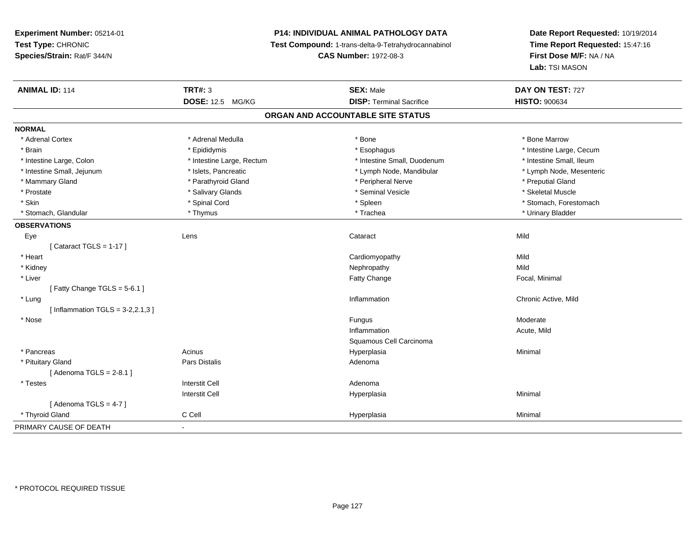# **P14: INDIVIDUAL ANIMAL PATHOLOGY DATA**

**Test Compound:** 1-trans-delta-9-Tetrahydrocannabinol

**CAS Number:** 1972-08-3

| <b>ANIMAL ID: 114</b>              | <b>TRT#: 3</b>            | <b>SEX: Male</b>                  | DAY ON TEST: 727         |
|------------------------------------|---------------------------|-----------------------------------|--------------------------|
|                                    | <b>DOSE: 12.5 MG/KG</b>   | <b>DISP: Terminal Sacrifice</b>   | <b>HISTO: 900634</b>     |
|                                    |                           | ORGAN AND ACCOUNTABLE SITE STATUS |                          |
| <b>NORMAL</b>                      |                           |                                   |                          |
| * Adrenal Cortex                   | * Adrenal Medulla         | * Bone                            | * Bone Marrow            |
| * Brain                            | * Epididymis              | * Esophagus                       | * Intestine Large, Cecum |
| * Intestine Large, Colon           | * Intestine Large, Rectum | * Intestine Small, Duodenum       | * Intestine Small, Ileum |
| * Intestine Small, Jejunum         | * Islets, Pancreatic      | * Lymph Node, Mandibular          | * Lymph Node, Mesenteric |
| * Mammary Gland                    | * Parathyroid Gland       | * Peripheral Nerve                | * Preputial Gland        |
| * Prostate                         | * Salivary Glands         | * Seminal Vesicle                 | * Skeletal Muscle        |
| * Skin                             | * Spinal Cord             | * Spleen                          | * Stomach, Forestomach   |
| * Stomach, Glandular               | * Thymus                  | * Trachea                         | * Urinary Bladder        |
| <b>OBSERVATIONS</b>                |                           |                                   |                          |
| Eye                                | Lens                      | Cataract                          | Mild                     |
| [Cataract TGLS = $1-17$ ]          |                           |                                   |                          |
| * Heart                            |                           | Cardiomyopathy                    | Mild                     |
| * Kidney                           |                           | Nephropathy                       | Mild                     |
| * Liver                            |                           | Fatty Change                      | Focal, Minimal           |
| [Fatty Change TGLS = $5-6.1$ ]     |                           |                                   |                          |
| * Lung                             |                           | Inflammation                      | Chronic Active, Mild     |
| [Inflammation TGLS = $3-2,2.1,3$ ] |                           |                                   |                          |
| * Nose                             |                           | Fungus                            | Moderate                 |
|                                    |                           | Inflammation                      | Acute, Mild              |
|                                    |                           | Squamous Cell Carcinoma           |                          |
| * Pancreas                         | Acinus                    | Hyperplasia                       | Minimal                  |
| * Pituitary Gland                  | Pars Distalis             | Adenoma                           |                          |
| [Adenoma TGLS = $2-8.1$ ]          |                           |                                   |                          |
| * Testes                           | <b>Interstit Cell</b>     | Adenoma                           |                          |
|                                    | <b>Interstit Cell</b>     | Hyperplasia                       | Minimal                  |
| [Adenoma TGLS = $4-7$ ]            |                           |                                   |                          |
| * Thyroid Gland                    | C Cell                    | Hyperplasia                       | Minimal                  |
| PRIMARY CAUSE OF DEATH             | $\blacksquare$            |                                   |                          |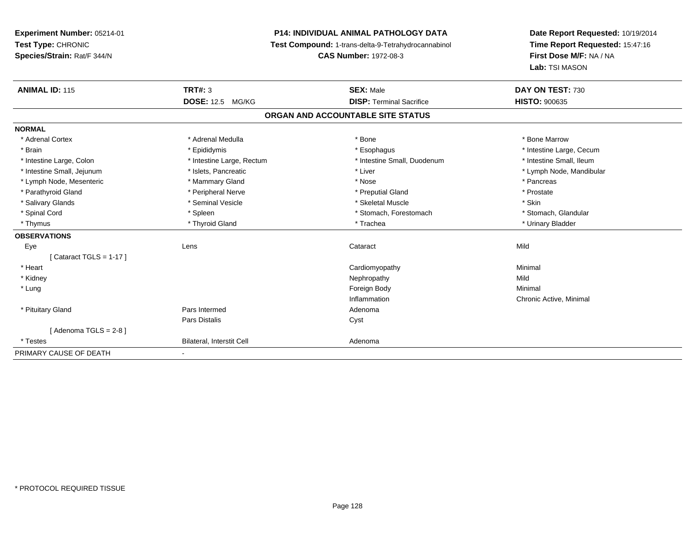**Experiment Number:** 05214-01**Test Type:** CHRONIC **Species/Strain:** Rat/F 344/N**P14: INDIVIDUAL ANIMAL PATHOLOGY DATA Test Compound:** 1-trans-delta-9-Tetrahydrocannabinol **CAS Number:** 1972-08-3**Date Report Requested:** 10/19/2014**Time Report Requested:** 15:47:16**First Dose M/F:** NA / NA**Lab:** TSI MASON**ANIMAL ID:** 115**TRT#:** 3 **SEX:** Male **DAY ON TEST:** 730 **DOSE:** 12.5 MG/KG**DISP:** Terminal Sacrifice **HISTO:**  $900635$ **ORGAN AND ACCOUNTABLE SITE STATUSNORMAL**\* Adrenal Cortex \* Adrenal Medulla \* Adrenal Medulla \* Bone \* Bone \* Bone \* Bone \* Bone Marrow \* Brain \* Explorer \* Epididymis \* \* Epididymis \* \* Esophagus \* Esophagus \* \* Esophagus \* Intestine Large, Cecum \* \* Intestine Large, Cecum \* Intestine Small, Ileum \* Intestine Large, Colon \* Intestine Large, Rectum \* Intestine Small, Duodenum \* Intestine Small, Duodenum \* Intestine Small, Jejunum \* \* et \* \* http://www.fat.com/mandibulary.com/mandibulary/state/state/state/state/state/state/state/state/state/state/state/state/state/state/state/state/state/state/state/state/state/state/state \* Lymph Node, Mesenteric \* \* The mannery Gland \* Mammary Gland \* Nose \* Nose \* \* Pancreas \* Pancreas \* Pancreas \* Prostate \* Parathyroid Gland \* **All and \* Peripheral Nerve \* Prostate \* Preputial Gland \* Preputial Gland** \*  $\bullet$  \* Preputial Gland \* Salivary Glands \* Seminal Vesicle \* Skeletal Muscle \* Skin\* Stomach, Glandular \* Spinal Cord **\* Stomach, Forestomach \* Spinal Cord \*** Stomach, Forestomach \* Stomach, Forestomach \* Thymus \* Thyroid Gland \* Trachea \* Urinary Bladder \* **OBSERVATIONS** Eyee the contract of the contract of the contract of the contract of the contract of the contract of the contract  $\mathsf{Mild}$  $[$  Cataract TGLS = 1-17  $]$  \* Heart Cardiomyopathy Minimal \* Kidneyy the control of the control of the control of the control of the control of the control of the control of the control of the control of the control of the control of the control of the control of the control of the contro Minimal \* Lungg and the state of the state of the state of the state of the state of the state of the state of the state of the state of the state of the state of the state of the state of the state of the state of the state of the stat Inflammation Chronic Active, Minimal \* Pituitary Glandd and the contract of Pars Intermed and the contract of Adenoma Pars Distaliss Cyst  $[$  Adenoma TGLS = 2-8  $]$  \* TestesBilateral, Interstit Cell **Adenoma** Adenoma PRIMARY CAUSE OF DEATH

-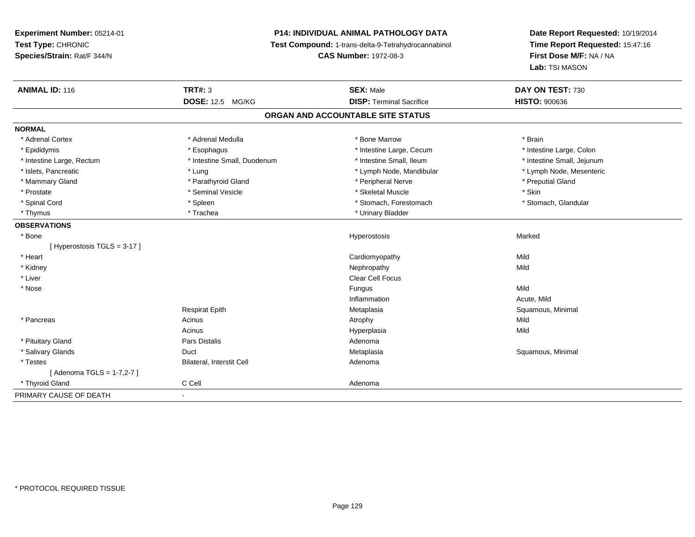# **P14: INDIVIDUAL ANIMAL PATHOLOGY DATA**

**Test Compound:** 1-trans-delta-9-Tetrahydrocannabinol

**CAS Number:** 1972-08-3

| <b>ANIMAL ID: 116</b>      | <b>TRT#: 3</b>              | <b>SEX: Male</b>                  | DAY ON TEST: 730           |
|----------------------------|-----------------------------|-----------------------------------|----------------------------|
|                            | <b>DOSE: 12.5 MG/KG</b>     | <b>DISP: Terminal Sacrifice</b>   | <b>HISTO: 900636</b>       |
|                            |                             | ORGAN AND ACCOUNTABLE SITE STATUS |                            |
| <b>NORMAL</b>              |                             |                                   |                            |
| * Adrenal Cortex           | * Adrenal Medulla           | * Bone Marrow                     | * Brain                    |
| * Epididymis               | * Esophagus                 | * Intestine Large, Cecum          | * Intestine Large, Colon   |
| * Intestine Large, Rectum  | * Intestine Small, Duodenum | * Intestine Small, Ileum          | * Intestine Small, Jejunum |
| * Islets, Pancreatic       | * Lung                      | * Lymph Node, Mandibular          | * Lymph Node, Mesenteric   |
| * Mammary Gland            | * Parathyroid Gland         | * Peripheral Nerve                | * Preputial Gland          |
| * Prostate                 | * Seminal Vesicle           | * Skeletal Muscle                 | * Skin                     |
| * Spinal Cord              | * Spleen                    | * Stomach, Forestomach            | * Stomach, Glandular       |
| * Thymus                   | * Trachea                   | * Urinary Bladder                 |                            |
| <b>OBSERVATIONS</b>        |                             |                                   |                            |
| * Bone                     |                             | Hyperostosis                      | Marked                     |
| [Hyperostosis TGLS = 3-17] |                             |                                   |                            |
| * Heart                    |                             | Cardiomyopathy                    | Mild                       |
| * Kidney                   |                             | Nephropathy                       | Mild                       |
| * Liver                    |                             | Clear Cell Focus                  |                            |
| * Nose                     |                             | Fungus                            | Mild                       |
|                            |                             | Inflammation                      | Acute, Mild                |
|                            | <b>Respirat Epith</b>       | Metaplasia                        | Squamous, Minimal          |
| * Pancreas                 | Acinus                      | Atrophy                           | Mild                       |
|                            | Acinus                      | Hyperplasia                       | Mild                       |
| * Pituitary Gland          | <b>Pars Distalis</b>        | Adenoma                           |                            |
| * Salivary Glands          | Duct                        | Metaplasia                        | Squamous, Minimal          |
| * Testes                   | Bilateral, Interstit Cell   | Adenoma                           |                            |
| [ Adenoma TGLS = 1-7,2-7 ] |                             |                                   |                            |
| * Thyroid Gland            | C Cell                      | Adenoma                           |                            |
| PRIMARY CAUSE OF DEATH     | $\blacksquare$              |                                   |                            |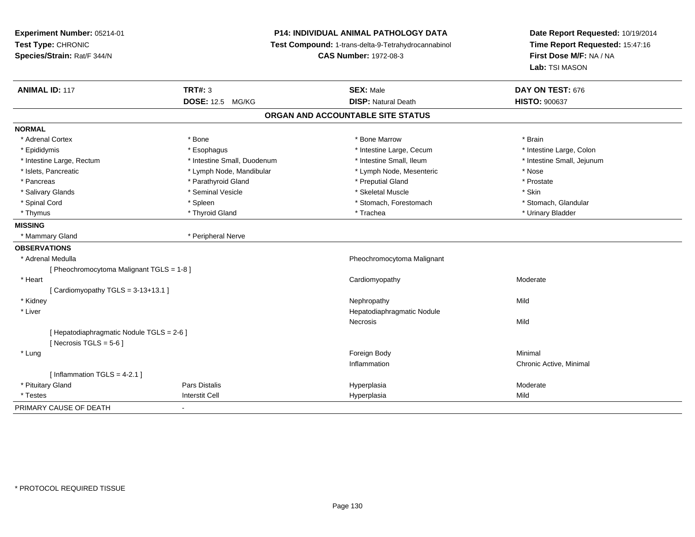# **P14: INDIVIDUAL ANIMAL PATHOLOGY DATA**

**Test Compound:** 1-trans-delta-9-Tetrahydrocannabinol

**CAS Number:** 1972-08-3

| <b>ANIMAL ID: 117</b>                                                  | <b>TRT#: 3</b>              | <b>SEX: Male</b>                  | DAY ON TEST: 676           |
|------------------------------------------------------------------------|-----------------------------|-----------------------------------|----------------------------|
|                                                                        | <b>DOSE: 12.5 MG/KG</b>     | <b>DISP: Natural Death</b>        | <b>HISTO: 900637</b>       |
|                                                                        |                             | ORGAN AND ACCOUNTABLE SITE STATUS |                            |
| <b>NORMAL</b>                                                          |                             |                                   |                            |
| * Adrenal Cortex                                                       | * Bone                      | * Bone Marrow                     | * Brain                    |
| * Epididymis                                                           | * Esophagus                 | * Intestine Large, Cecum          | * Intestine Large, Colon   |
| * Intestine Large, Rectum                                              | * Intestine Small, Duodenum | * Intestine Small, Ileum          | * Intestine Small, Jejunum |
| * Islets, Pancreatic                                                   | * Lymph Node, Mandibular    | * Lymph Node, Mesenteric          | * Nose                     |
| * Pancreas                                                             | * Parathyroid Gland         | * Preputial Gland                 | * Prostate                 |
| * Salivary Glands                                                      | * Seminal Vesicle           | * Skeletal Muscle                 | * Skin                     |
| * Spinal Cord                                                          | * Spleen                    | * Stomach, Forestomach            | * Stomach, Glandular       |
| * Thymus                                                               | * Thyroid Gland             | * Trachea                         | * Urinary Bladder          |
| <b>MISSING</b>                                                         |                             |                                   |                            |
| * Mammary Gland                                                        | * Peripheral Nerve          |                                   |                            |
| <b>OBSERVATIONS</b>                                                    |                             |                                   |                            |
| * Adrenal Medulla                                                      |                             | Pheochromocytoma Malignant        |                            |
| [Pheochromocytoma Malignant TGLS = 1-8]                                |                             |                                   |                            |
| * Heart                                                                |                             | Cardiomyopathy                    | Moderate                   |
| [Cardiomyopathy TGLS = 3-13+13.1]                                      |                             |                                   |                            |
| * Kidney                                                               |                             | Nephropathy                       | Mild                       |
| * Liver                                                                |                             | Hepatodiaphragmatic Nodule        |                            |
|                                                                        |                             | Necrosis                          | Mild                       |
| [ Hepatodiaphragmatic Nodule TGLS = 2-6 ]<br>[ Necrosis TGLS = $5-6$ ] |                             |                                   |                            |
| * Lung                                                                 |                             | Foreign Body                      | Minimal                    |
|                                                                        |                             | Inflammation                      | Chronic Active, Minimal    |
| [Inflammation TGLS = $4-2.1$ ]                                         |                             |                                   |                            |
| * Pituitary Gland                                                      | <b>Pars Distalis</b>        | Hyperplasia                       | Moderate                   |
| * Testes                                                               | <b>Interstit Cell</b>       | Hyperplasia                       | Mild                       |
| PRIMARY CAUSE OF DEATH                                                 |                             |                                   |                            |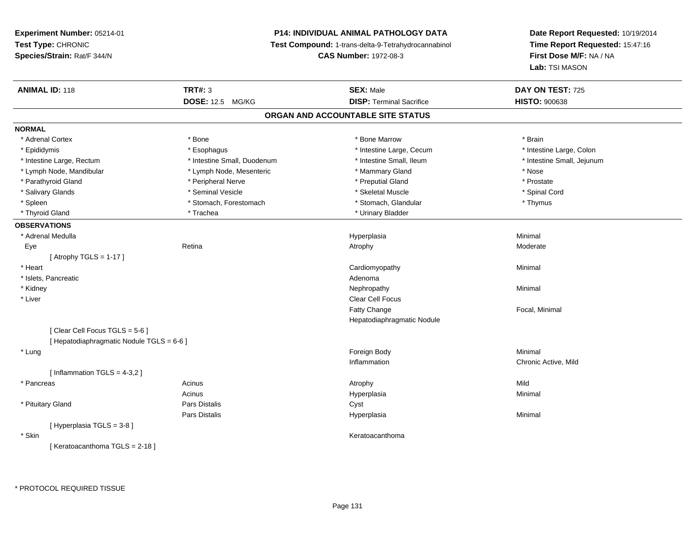# **P14: INDIVIDUAL ANIMAL PATHOLOGY DATA**

**Test Compound:** 1-trans-delta-9-Tetrahydrocannabinol

**CAS Number:** 1972-08-3

| <b>ANIMAL ID: 118</b>                     | <b>TRT#: 3</b><br><b>DOSE: 12.5 MG/KG</b> | <b>SEX: Male</b><br><b>DISP: Terminal Sacrifice</b> | DAY ON TEST: 725<br><b>HISTO: 900638</b> |
|-------------------------------------------|-------------------------------------------|-----------------------------------------------------|------------------------------------------|
|                                           |                                           | ORGAN AND ACCOUNTABLE SITE STATUS                   |                                          |
| <b>NORMAL</b>                             |                                           |                                                     |                                          |
| * Adrenal Cortex                          | * Bone                                    | * Bone Marrow                                       | * Brain                                  |
| * Epididymis                              | * Esophagus                               | * Intestine Large, Cecum                            | * Intestine Large, Colon                 |
| * Intestine Large, Rectum                 | * Intestine Small, Duodenum               | * Intestine Small, Ileum                            | * Intestine Small, Jejunum               |
| * Lymph Node, Mandibular                  | * Lymph Node, Mesenteric                  | * Mammary Gland                                     | * Nose                                   |
| * Parathyroid Gland                       | * Peripheral Nerve                        | * Preputial Gland                                   | * Prostate                               |
| * Salivary Glands                         | * Seminal Vesicle                         | * Skeletal Muscle                                   | * Spinal Cord                            |
| * Spleen                                  | * Stomach, Forestomach                    | * Stomach, Glandular                                | * Thymus                                 |
| * Thyroid Gland                           | * Trachea                                 | * Urinary Bladder                                   |                                          |
| <b>OBSERVATIONS</b>                       |                                           |                                                     |                                          |
| * Adrenal Medulla                         |                                           | Hyperplasia                                         | Minimal                                  |
| Eye                                       | Retina                                    | Atrophy                                             | Moderate                                 |
| [Atrophy TGLS = $1-17$ ]                  |                                           |                                                     |                                          |
| * Heart                                   |                                           | Cardiomyopathy                                      | Minimal                                  |
| * Islets, Pancreatic                      |                                           | Adenoma                                             |                                          |
| * Kidney                                  |                                           | Nephropathy                                         | Minimal                                  |
| * Liver                                   |                                           | Clear Cell Focus                                    |                                          |
|                                           |                                           | Fatty Change                                        | Focal, Minimal                           |
|                                           |                                           | Hepatodiaphragmatic Nodule                          |                                          |
| [Clear Cell Focus TGLS = 5-6]             |                                           |                                                     |                                          |
| [ Hepatodiaphragmatic Nodule TGLS = 6-6 ] |                                           |                                                     |                                          |
| * Lung                                    |                                           | Foreign Body                                        | Minimal                                  |
|                                           |                                           | Inflammation                                        | Chronic Active, Mild                     |
| [Inflammation TGLS = $4-3,2$ ]            |                                           |                                                     |                                          |
| * Pancreas                                | Acinus                                    | Atrophy                                             | Mild                                     |
|                                           | Acinus                                    | Hyperplasia                                         | Minimal                                  |
| * Pituitary Gland                         | <b>Pars Distalis</b>                      | Cyst                                                |                                          |
|                                           | Pars Distalis                             | Hyperplasia                                         | Minimal                                  |
| [Hyperplasia TGLS = 3-8]                  |                                           |                                                     |                                          |
| * Skin                                    |                                           | Keratoacanthoma                                     |                                          |
| [Keratoacanthoma TGLS = 2-18]             |                                           |                                                     |                                          |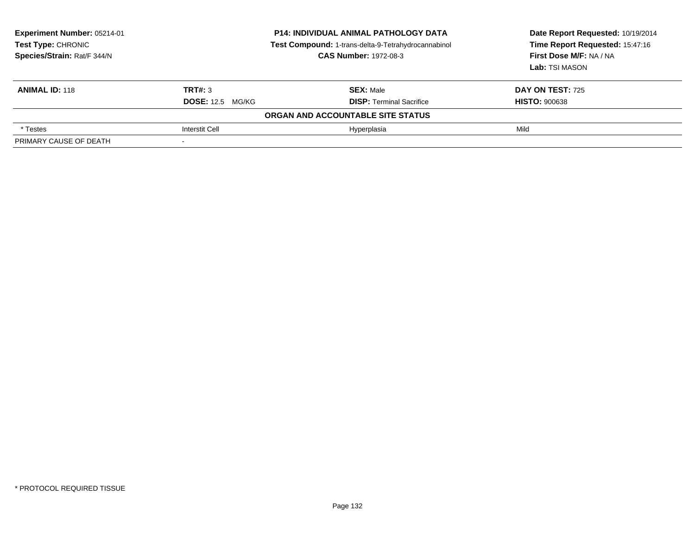| <b>Experiment Number: 05214-01</b><br>Test Type: CHRONIC<br>Species/Strain: Rat/F 344/N | <b>P14: INDIVIDUAL ANIMAL PATHOLOGY DATA</b><br>Test Compound: 1-trans-delta-9-Tetrahydrocannabinol<br><b>CAS Number: 1972-08-3</b> |                                   | Date Report Requested: 10/19/2014<br>Time Report Requested: 15:47:16<br>First Dose M/F: NA / NA<br>Lab: TSI MASON |
|-----------------------------------------------------------------------------------------|-------------------------------------------------------------------------------------------------------------------------------------|-----------------------------------|-------------------------------------------------------------------------------------------------------------------|
| <b>ANIMAL ID: 118</b>                                                                   | TRT#: 3                                                                                                                             | <b>SEX: Male</b>                  | <b>DAY ON TEST: 725</b>                                                                                           |
|                                                                                         | <b>DOSE: 12.5 MG/KG</b>                                                                                                             | <b>DISP:</b> Terminal Sacrifice   | <b>HISTO: 900638</b>                                                                                              |
|                                                                                         |                                                                                                                                     | ORGAN AND ACCOUNTABLE SITE STATUS |                                                                                                                   |
| * Testes                                                                                | <b>Interstit Cell</b>                                                                                                               | Hyperplasia                       | Mild                                                                                                              |
| PRIMARY CAUSE OF DEATH                                                                  |                                                                                                                                     |                                   |                                                                                                                   |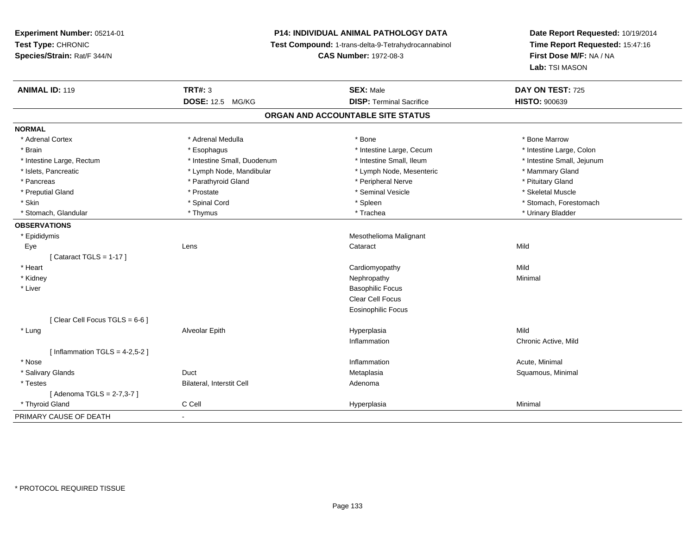# **P14: INDIVIDUAL ANIMAL PATHOLOGY DATA**

**Test Compound:** 1-trans-delta-9-Tetrahydrocannabinol

**CAS Number:** 1972-08-3

| <b>ANIMAL ID: 119</b>            | <b>TRT#: 3</b><br>DOSE: 12.5 MG/KG | <b>SEX: Male</b><br><b>DISP: Terminal Sacrifice</b> | DAY ON TEST: 725<br><b>HISTO: 900639</b> |
|----------------------------------|------------------------------------|-----------------------------------------------------|------------------------------------------|
|                                  |                                    | ORGAN AND ACCOUNTABLE SITE STATUS                   |                                          |
|                                  |                                    |                                                     |                                          |
| <b>NORMAL</b>                    |                                    |                                                     |                                          |
| * Adrenal Cortex                 | * Adrenal Medulla                  | * Bone                                              | * Bone Marrow                            |
| * Brain                          | * Esophagus                        | * Intestine Large, Cecum                            | * Intestine Large, Colon                 |
| * Intestine Large, Rectum        | * Intestine Small, Duodenum        | * Intestine Small, Ileum                            | * Intestine Small, Jejunum               |
| * Islets, Pancreatic             | * Lymph Node, Mandibular           | * Lymph Node, Mesenteric                            | * Mammary Gland                          |
| * Pancreas                       | * Parathyroid Gland                | * Peripheral Nerve                                  | * Pituitary Gland                        |
| * Preputial Gland                | * Prostate                         | * Seminal Vesicle                                   | * Skeletal Muscle                        |
| * Skin                           | * Spinal Cord                      | * Spleen                                            | * Stomach, Forestomach                   |
| * Stomach, Glandular             | * Thymus                           | * Trachea                                           | * Urinary Bladder                        |
| <b>OBSERVATIONS</b>              |                                    |                                                     |                                          |
| * Epididymis                     |                                    | Mesothelioma Malignant                              |                                          |
| Eye                              | Lens                               | Cataract                                            | Mild                                     |
| [Cataract TGLS = $1-17$ ]        |                                    |                                                     |                                          |
| * Heart                          |                                    | Cardiomyopathy                                      | Mild                                     |
| * Kidney                         |                                    | Nephropathy                                         | Minimal                                  |
| * Liver                          |                                    | <b>Basophilic Focus</b>                             |                                          |
|                                  |                                    | <b>Clear Cell Focus</b>                             |                                          |
|                                  |                                    | <b>Eosinophilic Focus</b>                           |                                          |
| [Clear Cell Focus TGLS = 6-6]    |                                    |                                                     |                                          |
| * Lung                           | Alveolar Epith                     | Hyperplasia                                         | Mild                                     |
|                                  |                                    | Inflammation                                        | Chronic Active, Mild                     |
| [Inflammation TGLS = $4-2,5-2$ ] |                                    |                                                     |                                          |
| * Nose                           |                                    | Inflammation                                        | Acute, Minimal                           |
| * Salivary Glands                | Duct                               | Metaplasia                                          | Squamous, Minimal                        |
| * Testes                         | Bilateral, Interstit Cell          | Adenoma                                             |                                          |
| [ Adenoma TGLS = 2-7,3-7 ]       |                                    |                                                     |                                          |
| * Thyroid Gland                  | C Cell                             | Hyperplasia                                         | Minimal                                  |
| PRIMARY CAUSE OF DEATH           |                                    |                                                     |                                          |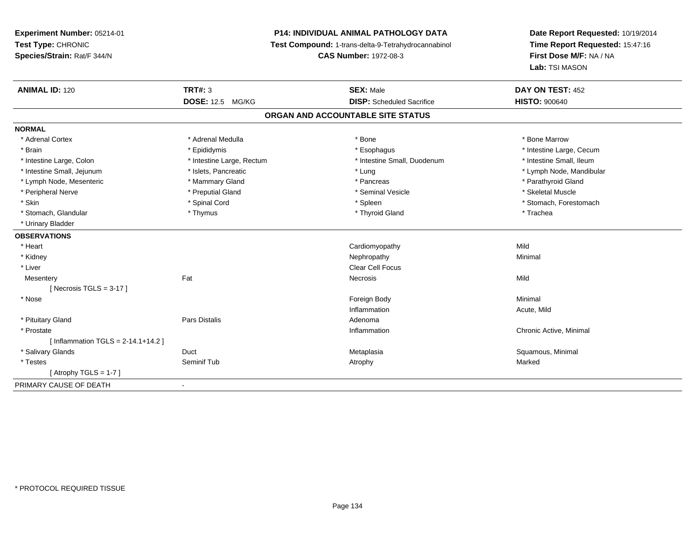# **P14: INDIVIDUAL ANIMAL PATHOLOGY DATA**

**Test Compound:** 1-trans-delta-9-Tetrahydrocannabinol

**CAS Number:** 1972-08-3

| <b>ANIMAL ID: 120</b>                    | <b>TRT#: 3</b>            | <b>SEX: Male</b>                  | DAY ON TEST: 452         |
|------------------------------------------|---------------------------|-----------------------------------|--------------------------|
|                                          | <b>DOSE: 12.5 MG/KG</b>   | <b>DISP:</b> Scheduled Sacrifice  | <b>HISTO: 900640</b>     |
|                                          |                           | ORGAN AND ACCOUNTABLE SITE STATUS |                          |
| <b>NORMAL</b>                            |                           |                                   |                          |
| * Adrenal Cortex                         | * Adrenal Medulla         | * Bone                            | * Bone Marrow            |
| * Brain                                  | * Epididymis              | * Esophagus                       | * Intestine Large, Cecum |
| * Intestine Large, Colon                 | * Intestine Large, Rectum | * Intestine Small, Duodenum       | * Intestine Small, Ileum |
| * Intestine Small, Jejunum               | * Islets, Pancreatic      | * Lung                            | * Lymph Node, Mandibular |
| * Lymph Node, Mesenteric                 | * Mammary Gland           | * Pancreas                        | * Parathyroid Gland      |
| * Peripheral Nerve                       | * Preputial Gland         | * Seminal Vesicle                 | * Skeletal Muscle        |
| * Skin                                   | * Spinal Cord             | * Spleen                          | * Stomach, Forestomach   |
| * Stomach, Glandular                     | * Thymus                  | * Thyroid Gland                   | * Trachea                |
| * Urinary Bladder                        |                           |                                   |                          |
| <b>OBSERVATIONS</b>                      |                           |                                   |                          |
| * Heart                                  |                           | Cardiomyopathy                    | Mild                     |
| * Kidney                                 |                           | Nephropathy                       | Minimal                  |
| * Liver                                  |                           | <b>Clear Cell Focus</b>           |                          |
| Mesentery                                | Fat                       | Necrosis                          | Mild                     |
| [Necrosis TGLS = $3-17$ ]                |                           |                                   |                          |
| * Nose                                   |                           | Foreign Body                      | Minimal                  |
|                                          |                           | Inflammation                      | Acute, Mild              |
| * Pituitary Gland                        | <b>Pars Distalis</b>      | Adenoma                           |                          |
| * Prostate                               |                           | Inflammation                      | Chronic Active, Minimal  |
| [Inflammation TGLS = $2 - 14.1 + 14.2$ ] |                           |                                   |                          |
| * Salivary Glands                        | Duct                      | Metaplasia                        | Squamous, Minimal        |
| * Testes                                 | Seminif Tub               | Atrophy                           | Marked                   |
| [ Atrophy TGLS = $1-7$ ]                 |                           |                                   |                          |
| PRIMARY CAUSE OF DEATH                   |                           |                                   |                          |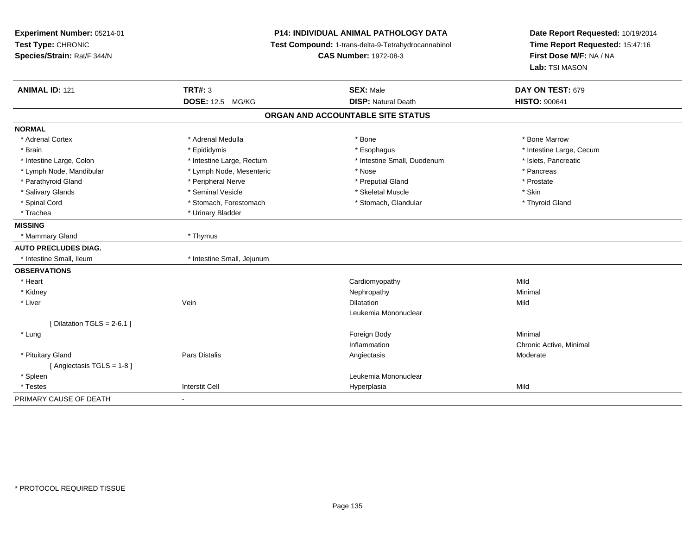| Experiment Number: 05214-01<br>Test Type: CHRONIC<br>Species/Strain: Rat/F 344/N | <b>P14: INDIVIDUAL ANIMAL PATHOLOGY DATA</b><br>Test Compound: 1-trans-delta-9-Tetrahydrocannabinol<br><b>CAS Number: 1972-08-3</b> |                                                | Date Report Requested: 10/19/2014<br>Time Report Requested: 15:47:16<br>First Dose M/F: NA / NA<br>Lab: TSI MASON |  |
|----------------------------------------------------------------------------------|-------------------------------------------------------------------------------------------------------------------------------------|------------------------------------------------|-------------------------------------------------------------------------------------------------------------------|--|
| <b>ANIMAL ID: 121</b>                                                            | <b>TRT#: 3</b><br><b>DOSE: 12.5 MG/KG</b>                                                                                           | <b>SEX: Male</b><br><b>DISP: Natural Death</b> | DAY ON TEST: 679<br><b>HISTO: 900641</b>                                                                          |  |
|                                                                                  |                                                                                                                                     | ORGAN AND ACCOUNTABLE SITE STATUS              |                                                                                                                   |  |
| <b>NORMAL</b>                                                                    |                                                                                                                                     |                                                |                                                                                                                   |  |
| * Adrenal Cortex                                                                 | * Adrenal Medulla                                                                                                                   | * Bone                                         | * Bone Marrow                                                                                                     |  |
| * Brain                                                                          | * Epididymis                                                                                                                        | * Esophagus                                    | * Intestine Large, Cecum                                                                                          |  |
| * Intestine Large, Colon                                                         | * Intestine Large, Rectum                                                                                                           | * Intestine Small, Duodenum                    | * Islets, Pancreatic                                                                                              |  |
| * Lymph Node, Mandibular                                                         | * Lymph Node, Mesenteric                                                                                                            | * Nose                                         | * Pancreas                                                                                                        |  |
| * Parathyroid Gland                                                              | * Peripheral Nerve                                                                                                                  | * Preputial Gland                              | * Prostate                                                                                                        |  |
| * Salivary Glands                                                                | * Seminal Vesicle                                                                                                                   | * Skeletal Muscle                              | * Skin                                                                                                            |  |
| * Spinal Cord                                                                    | * Stomach, Forestomach                                                                                                              | * Stomach, Glandular                           | * Thyroid Gland                                                                                                   |  |
| * Trachea                                                                        | * Urinary Bladder                                                                                                                   |                                                |                                                                                                                   |  |
| <b>MISSING</b>                                                                   |                                                                                                                                     |                                                |                                                                                                                   |  |
| * Mammary Gland                                                                  | * Thymus                                                                                                                            |                                                |                                                                                                                   |  |
| <b>AUTO PRECLUDES DIAG.</b>                                                      |                                                                                                                                     |                                                |                                                                                                                   |  |
| * Intestine Small, Ileum                                                         | * Intestine Small, Jejunum                                                                                                          |                                                |                                                                                                                   |  |
| <b>OBSERVATIONS</b>                                                              |                                                                                                                                     |                                                |                                                                                                                   |  |
| * Heart                                                                          |                                                                                                                                     | Cardiomyopathy                                 | Mild                                                                                                              |  |
| * Kidney                                                                         |                                                                                                                                     | Nephropathy                                    | Minimal                                                                                                           |  |
| * Liver                                                                          | Vein                                                                                                                                | <b>Dilatation</b>                              | Mild                                                                                                              |  |
|                                                                                  |                                                                                                                                     | Leukemia Mononuclear                           |                                                                                                                   |  |
| [ Dilatation TGLS = $2-6.1$ ]                                                    |                                                                                                                                     |                                                |                                                                                                                   |  |
| * Lung                                                                           |                                                                                                                                     | Foreign Body                                   | Minimal                                                                                                           |  |
|                                                                                  |                                                                                                                                     | Inflammation                                   | Chronic Active, Minimal                                                                                           |  |
| * Pituitary Gland                                                                | Pars Distalis                                                                                                                       | Angiectasis                                    | Moderate                                                                                                          |  |
| [Angiectasis TGLS = 1-8]                                                         |                                                                                                                                     |                                                |                                                                                                                   |  |
| * Spleen                                                                         |                                                                                                                                     | Leukemia Mononuclear                           |                                                                                                                   |  |
| * Testes                                                                         | <b>Interstit Cell</b>                                                                                                               | Hyperplasia                                    | Mild                                                                                                              |  |
| PRIMARY CAUSE OF DEATH                                                           | $\blacksquare$                                                                                                                      |                                                |                                                                                                                   |  |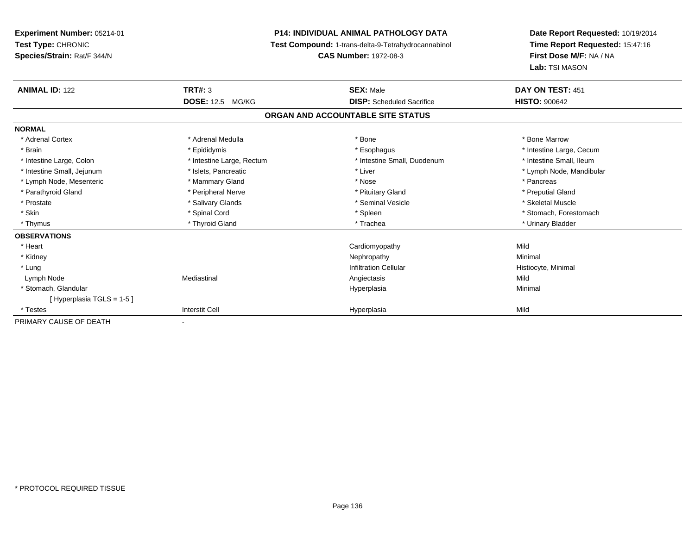**Experiment Number:** 05214-01**Test Type:** CHRONIC **Species/Strain:** Rat/F 344/N**P14: INDIVIDUAL ANIMAL PATHOLOGY DATA Test Compound:** 1-trans-delta-9-Tetrahydrocannabinol **CAS Number:** 1972-08-3**Date Report Requested:** 10/19/2014**Time Report Requested:** 15:47:16**First Dose M/F:** NA / NA**Lab:** TSI MASON**ANIMAL ID:** 122 **TRT#:** <sup>3</sup> **SEX:** Male **DAY ON TEST:** <sup>451</sup> **DOSE:** 12.5 MG/KG **DISP:** Scheduled Sacrifice **HISTO:** <sup>900642</sup> **ORGAN AND ACCOUNTABLE SITE STATUSNORMAL**\* Adrenal Cortex \* Adrenal Medulla \* Adrenal Medulla \* Bone \* Bone \* Bone \* Bone \* Bone Marrow \* Brain \* Explorer \* Epididymis \* \* Epididymis \* \* Esophagus \* Esophagus \* \* Esophagus \* Intestine Large, Cecum \* \* Intestine Large, Cecum \* Intestine Small, Ileum \* Intestine Large, Colon \* Intestine Large, Rectum \* Intestine Small, Duodenum \* Intestine Small, Duodenum \* Intestine Small, Jejunum \* \* et \* \* http://www.fat.com/mandibulary.com/mandibulary/state/state/state/state/state/state/state/state/state/state/state/state/state/state/state/state/state/state/state/state/state/state/state \* Lymph Node, Mesenteric \* The matter of the Mammary Gland \* The matter \* Nose \* The matter of the matter \* Pancreas \* Pancreas \* Preputial Gland \* Parathyroid Gland \* **All and \* Peripheral Nerve \* Preputial Gland \* Pituitary Gland** \* Prituitary Gland \* Skeletal Muscle \* Prostate \* \* Skeletal Muscle \* \* Salivary Glands \* \* Steminal Vesicle \* \* Seminal Vesicle \* \* Skeletal Muscle \* Skin \* Spinal Cord \* Spinal Cord \* Spinal Cord \* Spinal \* Spinal \* Stomach, Forestomach \* Stomach, Forestomach \* Thymus \* Thyroid Gland \* Trachea \* Urinary Bladder \* **OBSERVATIONS** \* Heart Cardiomyopathyy Mild Minimal \* Kidneyy the control of the control of the control of the control of the control of the control of the control of the control of the control of the control of the control of the control of the control of the control of the contro \* Lungg is a construction Cellular Historyte, Minimal (1990) and the set of the construction Cellular Historyte, Minimal (1990) and the set of the construction Cellular (1990) and Historyte, Minimal (1990) and the construction Lymph Node Mediastinal Angiectasis Mild \* Stomach, Glandular Hyperplasiaa and a studies of the studies of the Minimal [ Hyperplasia TGLS = 1-5 ] \* Testess Interstit Cell Hyperplasia a Mild PRIMARY CAUSE OF DEATH-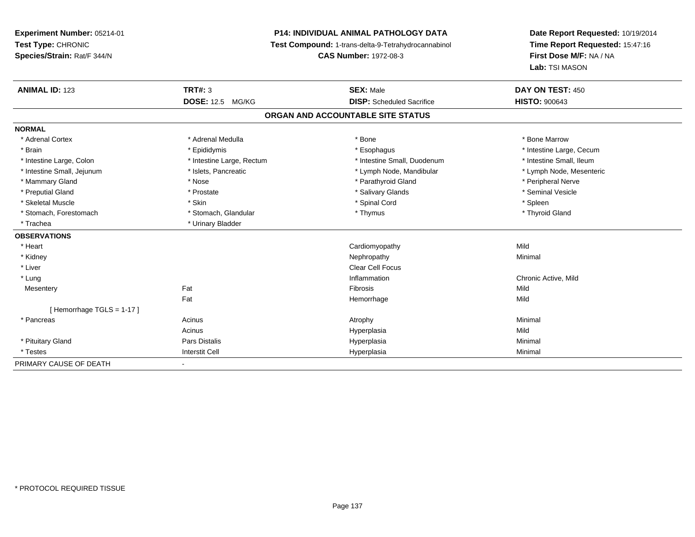# **P14: INDIVIDUAL ANIMAL PATHOLOGY DATA**

**Test Compound:** 1-trans-delta-9-Tetrahydrocannabinol

**CAS Number:** 1972-08-3

| <b>ANIMAL ID: 123</b>      | <b>TRT#: 3</b>            | <b>SEX: Male</b>                  | DAY ON TEST: 450         |
|----------------------------|---------------------------|-----------------------------------|--------------------------|
|                            | <b>DOSE: 12.5 MG/KG</b>   | <b>DISP:</b> Scheduled Sacrifice  | <b>HISTO: 900643</b>     |
|                            |                           | ORGAN AND ACCOUNTABLE SITE STATUS |                          |
| <b>NORMAL</b>              |                           |                                   |                          |
| * Adrenal Cortex           | * Adrenal Medulla         | * Bone                            | * Bone Marrow            |
| * Brain                    | * Epididymis              | * Esophagus                       | * Intestine Large, Cecum |
| * Intestine Large, Colon   | * Intestine Large, Rectum | * Intestine Small, Duodenum       | * Intestine Small, Ileum |
| * Intestine Small, Jejunum | * Islets, Pancreatic      | * Lymph Node, Mandibular          | * Lymph Node, Mesenteric |
| * Mammary Gland            | * Nose                    | * Parathyroid Gland               | * Peripheral Nerve       |
| * Preputial Gland          | * Prostate                | * Salivary Glands                 | * Seminal Vesicle        |
| * Skeletal Muscle          | * Skin                    | * Spinal Cord                     | * Spleen                 |
| * Stomach, Forestomach     | * Stomach, Glandular      | * Thymus                          | * Thyroid Gland          |
| * Trachea                  | * Urinary Bladder         |                                   |                          |
| <b>OBSERVATIONS</b>        |                           |                                   |                          |
| * Heart                    |                           | Cardiomyopathy                    | Mild                     |
| * Kidney                   |                           | Nephropathy                       | Minimal                  |
| * Liver                    |                           | <b>Clear Cell Focus</b>           |                          |
| * Lung                     |                           | Inflammation                      | Chronic Active, Mild     |
| Mesentery                  | Fat                       | Fibrosis                          | Mild                     |
|                            | Fat                       | Hemorrhage                        | Mild                     |
| [Hemorrhage TGLS = 1-17]   |                           |                                   |                          |
| * Pancreas                 | Acinus                    | Atrophy                           | Minimal                  |
|                            | Acinus                    | Hyperplasia                       | Mild                     |
| * Pituitary Gland          | Pars Distalis             | Hyperplasia                       | Minimal                  |
| * Testes                   | <b>Interstit Cell</b>     | Hyperplasia                       | Minimal                  |
| PRIMARY CAUSE OF DEATH     |                           |                                   |                          |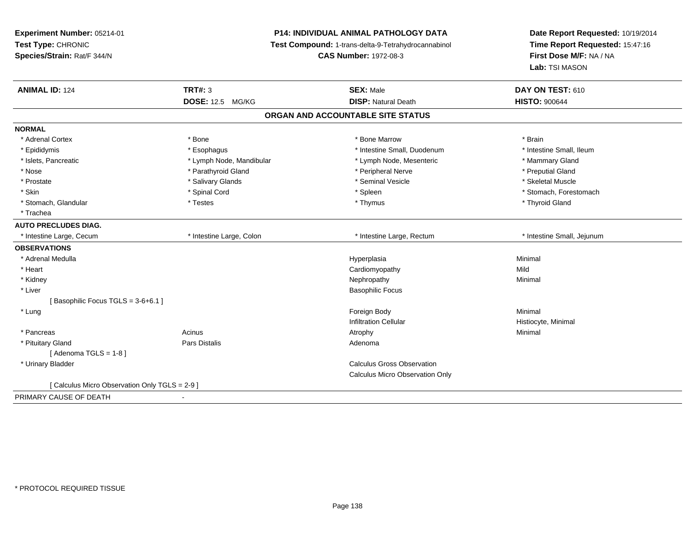**Experiment Number:** 05214-01**Test Type:** CHRONIC **Species/Strain:** Rat/F 344/N**P14: INDIVIDUAL ANIMAL PATHOLOGY DATA Test Compound:** 1-trans-delta-9-Tetrahydrocannabinol **CAS Number:** 1972-08-3**Date Report Requested:** 10/19/2014**Time Report Requested:** 15:47:16**First Dose M/F:** NA / NA**Lab:** TSI MASON**ANIMAL ID:** 124**TRT#:** 3 **SEX:** Male **DAY ON TEST:** 610 **DOSE:** 12.5 MG/KG**DISP:** Natural Death **HISTO:**  $900644$ **ORGAN AND ACCOUNTABLE SITE STATUSNORMAL**\* Adrenal Cortex \* Adrenal Cortex \* \* Adrenal Cortex \* Brain \* Bone \* \* Bone Marrow \* Bone Marrow \* \* Brain \* Brain \* Brain \* Brain \* Brain \* Brain \* Brain \* Brain \* Brain \* Brain \* Brain \* Brain \* Brain \* Brain \* Brain \* Brain \* Brain \* B \* Intestine Small, Ileum \* Epididymis **\* Integral of the Community of Community** \* Intestine Small, Duodenum \* Intestine Small, Duodenum \* Islets, Pancreatic \* The mannery Gland \* Lymph Node, Mandibular \* Lymph Node, Mesenteric \* Mammary Gland \* Preputial Gland \* Nose \* Parathyroid Gland \* Peripheral Nerve \* Preputial Gland \* Skeletal Muscle \* Prostate \* \* Skeletal Muscle \* \* Salivary Glands \* \* Steminal Vesicle \* \* Seminal Vesicle \* \* Skeletal Muscle \* Skin \* Spinal Cord \* Spinal Cord \* Spinal Cord \* Spinal \* Spinal \* Stomach, Forestomach \* Stomach, Forestomach \* Stomach, Glandular \* Thyroid Gland \* Testes \* Thyroid Gland \* Thyroid Gland \* Thyroid Gland \* Thyroid Gland \* Trachea**AUTO PRECLUDES DIAG.** \* Intestine Large, Cecum \* Intestine Large, Colon \* Intestine Large, Rectum \* Intestine Small, Jejunum**OBSERVATIONS** \* Adrenal Medullaa and the control of the control of the control of the Hyperplasia and the control of the control of the control of the control of the control of the control of the control of the control of the control of the control of t \* Heart Cardiomyopathyy Mild Minimal \* Kidneyy the control of the control of the control of the control of the control of the control of the control of the control of the control of the control of the control of the control of the control of the control of the contro \* Liver Basophilic Focus[ Basophilic Focus TGLS = 3-6+6.1 ] \* Lungg and the state of the state of the state of the state of the state of the state of the state of the state of the state of the state of the state of the state of the state of the state of the state of the state of the stat Infiltration Cellular Histiocyte, Minimal \* Pancreass the control of the control of the control of the control of the control of the control of the control of the control of the control of the control of the control of the control of the control of the control of the contro \* Pituitary Glandd and the set of Pars Distalis and the Second Adenomal Adenomal Second Second Pars Distallis [ Adenoma TGLS = 1-8 ] \* Urinary Bladder Calculus Gross Observation Calculus Micro Observation Only[ Calculus Micro Observation Only TGLS = 2-9 ]PRIMARY CAUSE OF DEATH-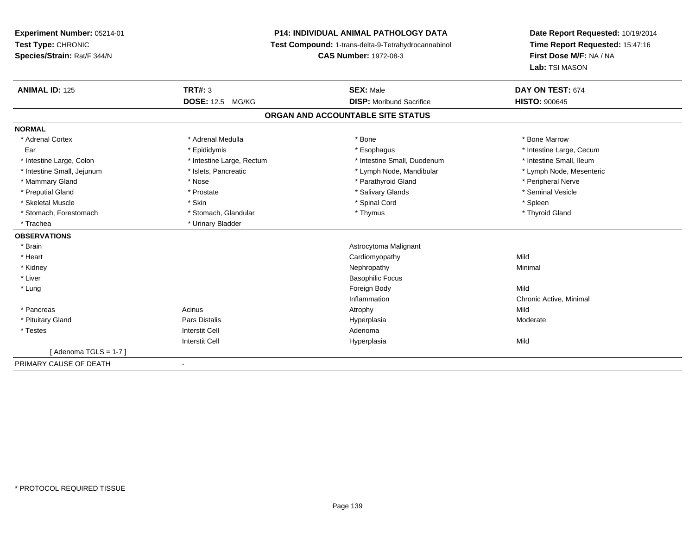# **P14: INDIVIDUAL ANIMAL PATHOLOGY DATA**

**Test Compound:** 1-trans-delta-9-Tetrahydrocannabinol

**CAS Number:** 1972-08-3

| <b>ANIMAL ID: 125</b>      | TRT#: 3                   | <b>SEX: Male</b>                  | DAY ON TEST: 674         |
|----------------------------|---------------------------|-----------------------------------|--------------------------|
|                            | <b>DOSE: 12.5 MG/KG</b>   | <b>DISP:</b> Moribund Sacrifice   | <b>HISTO: 900645</b>     |
|                            |                           | ORGAN AND ACCOUNTABLE SITE STATUS |                          |
| <b>NORMAL</b>              |                           |                                   |                          |
| * Adrenal Cortex           | * Adrenal Medulla         | * Bone                            | * Bone Marrow            |
| Ear                        | * Epididymis              | * Esophagus                       | * Intestine Large, Cecum |
| * Intestine Large, Colon   | * Intestine Large, Rectum | * Intestine Small, Duodenum       | * Intestine Small, Ileum |
| * Intestine Small, Jejunum | * Islets, Pancreatic      | * Lymph Node, Mandibular          | * Lymph Node, Mesenteric |
| * Mammary Gland            | * Nose                    | * Parathyroid Gland               | * Peripheral Nerve       |
| * Preputial Gland          | * Prostate                | * Salivary Glands                 | * Seminal Vesicle        |
| * Skeletal Muscle          | * Skin                    | * Spinal Cord                     | * Spleen                 |
| * Stomach, Forestomach     | * Stomach, Glandular      | * Thymus                          | * Thyroid Gland          |
| * Trachea                  | * Urinary Bladder         |                                   |                          |
| <b>OBSERVATIONS</b>        |                           |                                   |                          |
| * Brain                    |                           | Astrocytoma Malignant             |                          |
| * Heart                    |                           | Cardiomyopathy                    | Mild                     |
| * Kidney                   |                           | Nephropathy                       | Minimal                  |
| * Liver                    |                           | <b>Basophilic Focus</b>           |                          |
| * Lung                     |                           | Foreign Body                      | Mild                     |
|                            |                           | Inflammation                      | Chronic Active, Minimal  |
| * Pancreas                 | Acinus                    | Atrophy                           | Mild                     |
| * Pituitary Gland          | Pars Distalis             | Hyperplasia                       | Moderate                 |
| * Testes                   | Interstit Cell            | Adenoma                           |                          |
|                            | <b>Interstit Cell</b>     | Hyperplasia                       | Mild                     |
| [Adenoma TGLS = $1-7$ ]    |                           |                                   |                          |
| PRIMARY CAUSE OF DEATH     | $\blacksquare$            |                                   |                          |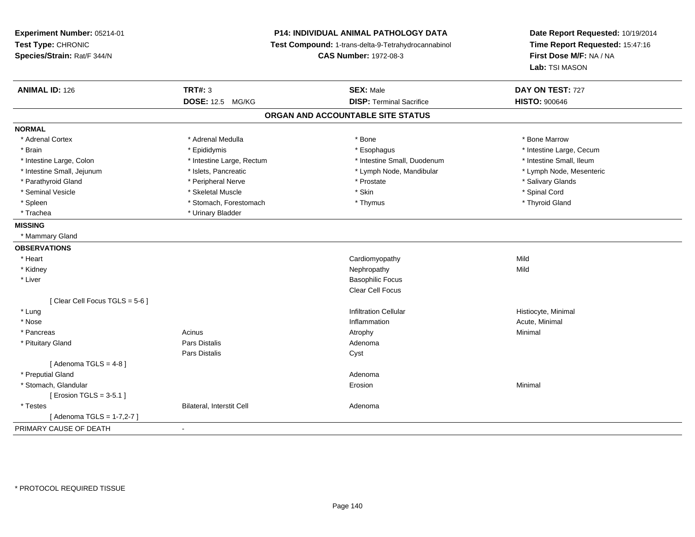| Experiment Number: 05214-01<br>Test Type: CHRONIC<br>Species/Strain: Rat/F 344/N | <b>P14: INDIVIDUAL ANIMAL PATHOLOGY DATA</b><br>Test Compound: 1-trans-delta-9-Tetrahydrocannabinol<br><b>CAS Number: 1972-08-3</b> |                                   | Date Report Requested: 10/19/2014<br>Time Report Requested: 15:47:16<br>First Dose M/F: NA / NA<br>Lab: TSI MASON |
|----------------------------------------------------------------------------------|-------------------------------------------------------------------------------------------------------------------------------------|-----------------------------------|-------------------------------------------------------------------------------------------------------------------|
| <b>ANIMAL ID: 126</b>                                                            | <b>TRT#: 3</b>                                                                                                                      | <b>SEX: Male</b>                  | DAY ON TEST: 727                                                                                                  |
|                                                                                  | DOSE: 12.5 MG/KG                                                                                                                    | <b>DISP: Terminal Sacrifice</b>   | <b>HISTO: 900646</b>                                                                                              |
|                                                                                  |                                                                                                                                     | ORGAN AND ACCOUNTABLE SITE STATUS |                                                                                                                   |
| <b>NORMAL</b>                                                                    |                                                                                                                                     |                                   |                                                                                                                   |
| * Adrenal Cortex                                                                 | * Adrenal Medulla                                                                                                                   | * Bone                            | * Bone Marrow                                                                                                     |
| * Brain                                                                          | * Epididymis                                                                                                                        | * Esophagus                       | * Intestine Large, Cecum                                                                                          |
| * Intestine Large, Colon                                                         | * Intestine Large, Rectum                                                                                                           | * Intestine Small, Duodenum       | * Intestine Small, Ileum                                                                                          |
| * Intestine Small, Jejunum                                                       | * Islets, Pancreatic                                                                                                                | * Lymph Node, Mandibular          | * Lymph Node, Mesenteric                                                                                          |
| * Parathyroid Gland                                                              | * Peripheral Nerve                                                                                                                  | * Prostate                        | * Salivary Glands                                                                                                 |
| * Seminal Vesicle                                                                | * Skeletal Muscle                                                                                                                   | * Skin                            | * Spinal Cord                                                                                                     |
| * Spleen                                                                         | * Stomach, Forestomach                                                                                                              | * Thymus                          | * Thyroid Gland                                                                                                   |
| * Trachea                                                                        | * Urinary Bladder                                                                                                                   |                                   |                                                                                                                   |
| <b>MISSING</b>                                                                   |                                                                                                                                     |                                   |                                                                                                                   |
| * Mammary Gland                                                                  |                                                                                                                                     |                                   |                                                                                                                   |
| <b>OBSERVATIONS</b>                                                              |                                                                                                                                     |                                   |                                                                                                                   |
| * Heart                                                                          |                                                                                                                                     | Cardiomyopathy                    | Mild                                                                                                              |
| * Kidney                                                                         |                                                                                                                                     | Nephropathy                       | Mild                                                                                                              |
| * Liver                                                                          |                                                                                                                                     | <b>Basophilic Focus</b>           |                                                                                                                   |
|                                                                                  |                                                                                                                                     | Clear Cell Focus                  |                                                                                                                   |
| [Clear Cell Focus TGLS = 5-6]                                                    |                                                                                                                                     |                                   |                                                                                                                   |
| * Lung                                                                           |                                                                                                                                     | <b>Infiltration Cellular</b>      | Histiocyte, Minimal                                                                                               |
| * Nose                                                                           |                                                                                                                                     | Inflammation                      | Acute, Minimal                                                                                                    |
| * Pancreas                                                                       | Acinus                                                                                                                              | Atrophy                           | Minimal                                                                                                           |
| * Pituitary Gland                                                                | <b>Pars Distalis</b>                                                                                                                | Adenoma                           |                                                                                                                   |
|                                                                                  | Pars Distalis                                                                                                                       | Cyst                              |                                                                                                                   |
| [Adenoma TGLS = $4-8$ ]                                                          |                                                                                                                                     |                                   |                                                                                                                   |
| * Preputial Gland                                                                |                                                                                                                                     | Adenoma                           |                                                                                                                   |
| * Stomach, Glandular                                                             |                                                                                                                                     | Erosion                           | Minimal                                                                                                           |
| [ Erosion TGLS = $3-5.1$ ]                                                       |                                                                                                                                     |                                   |                                                                                                                   |
| * Testes                                                                         | Bilateral, Interstit Cell                                                                                                           | Adenoma                           |                                                                                                                   |
| [ Adenoma TGLS = 1-7,2-7 ]                                                       |                                                                                                                                     |                                   |                                                                                                                   |
| PRIMARY CAUSE OF DEATH                                                           | $\blacksquare$                                                                                                                      |                                   |                                                                                                                   |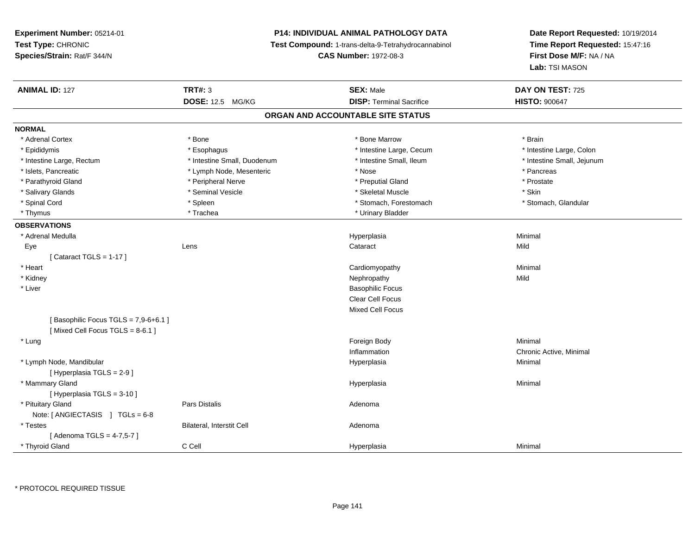# **P14: INDIVIDUAL ANIMAL PATHOLOGY DATA**

**Test Compound:** 1-trans-delta-9-Tetrahydrocannabinol

**CAS Number:** 1972-08-3

| <b>DOSE: 12.5 MG/KG</b><br><b>DISP: Terminal Sacrifice</b><br><b>HISTO: 900647</b><br>ORGAN AND ACCOUNTABLE SITE STATUS<br><b>NORMAL</b><br>* Adrenal Cortex<br>* Bone<br>* Bone Marrow<br>* Brain<br>* Epididymis<br>* Intestine Large, Cecum<br>* Intestine Large, Colon<br>* Esophagus<br>* Intestine Small, Duodenum<br>* Intestine Small, Ileum<br>* Intestine Small, Jejunum<br>* Intestine Large, Rectum<br>* Islets, Pancreatic<br>* Lymph Node, Mesenteric<br>* Nose<br>* Pancreas<br>* Parathyroid Gland<br>* Peripheral Nerve<br>* Preputial Gland<br>* Prostate<br>* Seminal Vesicle<br>* Skeletal Muscle<br>* Skin<br>* Salivary Glands<br>* Spinal Cord<br>* Spleen<br>* Stomach, Forestomach<br>* Stomach, Glandular<br>* Trachea<br>* Urinary Bladder<br>* Thymus<br><b>OBSERVATIONS</b><br>Minimal<br>* Adrenal Medulla<br>Hyperplasia |
|---------------------------------------------------------------------------------------------------------------------------------------------------------------------------------------------------------------------------------------------------------------------------------------------------------------------------------------------------------------------------------------------------------------------------------------------------------------------------------------------------------------------------------------------------------------------------------------------------------------------------------------------------------------------------------------------------------------------------------------------------------------------------------------------------------------------------------------------------------|
|                                                                                                                                                                                                                                                                                                                                                                                                                                                                                                                                                                                                                                                                                                                                                                                                                                                         |
|                                                                                                                                                                                                                                                                                                                                                                                                                                                                                                                                                                                                                                                                                                                                                                                                                                                         |
|                                                                                                                                                                                                                                                                                                                                                                                                                                                                                                                                                                                                                                                                                                                                                                                                                                                         |
|                                                                                                                                                                                                                                                                                                                                                                                                                                                                                                                                                                                                                                                                                                                                                                                                                                                         |
|                                                                                                                                                                                                                                                                                                                                                                                                                                                                                                                                                                                                                                                                                                                                                                                                                                                         |
|                                                                                                                                                                                                                                                                                                                                                                                                                                                                                                                                                                                                                                                                                                                                                                                                                                                         |
|                                                                                                                                                                                                                                                                                                                                                                                                                                                                                                                                                                                                                                                                                                                                                                                                                                                         |
|                                                                                                                                                                                                                                                                                                                                                                                                                                                                                                                                                                                                                                                                                                                                                                                                                                                         |
|                                                                                                                                                                                                                                                                                                                                                                                                                                                                                                                                                                                                                                                                                                                                                                                                                                                         |
|                                                                                                                                                                                                                                                                                                                                                                                                                                                                                                                                                                                                                                                                                                                                                                                                                                                         |
|                                                                                                                                                                                                                                                                                                                                                                                                                                                                                                                                                                                                                                                                                                                                                                                                                                                         |
|                                                                                                                                                                                                                                                                                                                                                                                                                                                                                                                                                                                                                                                                                                                                                                                                                                                         |
|                                                                                                                                                                                                                                                                                                                                                                                                                                                                                                                                                                                                                                                                                                                                                                                                                                                         |
| Mild<br>Lens<br>Cataract<br>Eye                                                                                                                                                                                                                                                                                                                                                                                                                                                                                                                                                                                                                                                                                                                                                                                                                         |
| [Cataract TGLS = $1-17$ ]                                                                                                                                                                                                                                                                                                                                                                                                                                                                                                                                                                                                                                                                                                                                                                                                                               |
| Minimal<br>* Heart<br>Cardiomyopathy                                                                                                                                                                                                                                                                                                                                                                                                                                                                                                                                                                                                                                                                                                                                                                                                                    |
| * Kidney<br>Mild<br>Nephropathy                                                                                                                                                                                                                                                                                                                                                                                                                                                                                                                                                                                                                                                                                                                                                                                                                         |
| * Liver<br><b>Basophilic Focus</b>                                                                                                                                                                                                                                                                                                                                                                                                                                                                                                                                                                                                                                                                                                                                                                                                                      |
| Clear Cell Focus                                                                                                                                                                                                                                                                                                                                                                                                                                                                                                                                                                                                                                                                                                                                                                                                                                        |
| Mixed Cell Focus                                                                                                                                                                                                                                                                                                                                                                                                                                                                                                                                                                                                                                                                                                                                                                                                                                        |
| [Basophilic Focus TGLS = 7,9-6+6.1]                                                                                                                                                                                                                                                                                                                                                                                                                                                                                                                                                                                                                                                                                                                                                                                                                     |
| [Mixed Cell Focus TGLS = $8-6.1$ ]                                                                                                                                                                                                                                                                                                                                                                                                                                                                                                                                                                                                                                                                                                                                                                                                                      |
| Foreign Body<br>Minimal<br>* Lung                                                                                                                                                                                                                                                                                                                                                                                                                                                                                                                                                                                                                                                                                                                                                                                                                       |
| Inflammation<br>Chronic Active, Minimal                                                                                                                                                                                                                                                                                                                                                                                                                                                                                                                                                                                                                                                                                                                                                                                                                 |
| * Lymph Node, Mandibular<br>Minimal<br>Hyperplasia                                                                                                                                                                                                                                                                                                                                                                                                                                                                                                                                                                                                                                                                                                                                                                                                      |
| [ Hyperplasia TGLS = 2-9 ]                                                                                                                                                                                                                                                                                                                                                                                                                                                                                                                                                                                                                                                                                                                                                                                                                              |
| * Mammary Gland<br>Minimal<br>Hyperplasia                                                                                                                                                                                                                                                                                                                                                                                                                                                                                                                                                                                                                                                                                                                                                                                                               |
| [ Hyperplasia TGLS = 3-10 ]                                                                                                                                                                                                                                                                                                                                                                                                                                                                                                                                                                                                                                                                                                                                                                                                                             |
| * Pituitary Gland<br>Pars Distalis<br>Adenoma                                                                                                                                                                                                                                                                                                                                                                                                                                                                                                                                                                                                                                                                                                                                                                                                           |
| Note: [ANGIECTASIS ] TGLs = 6-8                                                                                                                                                                                                                                                                                                                                                                                                                                                                                                                                                                                                                                                                                                                                                                                                                         |
| Bilateral, Interstit Cell<br>* Testes<br>Adenoma                                                                                                                                                                                                                                                                                                                                                                                                                                                                                                                                                                                                                                                                                                                                                                                                        |
| [Adenoma TGLS = 4-7,5-7]                                                                                                                                                                                                                                                                                                                                                                                                                                                                                                                                                                                                                                                                                                                                                                                                                                |
| C Cell<br>* Thyroid Gland<br>Minimal<br>Hyperplasia                                                                                                                                                                                                                                                                                                                                                                                                                                                                                                                                                                                                                                                                                                                                                                                                     |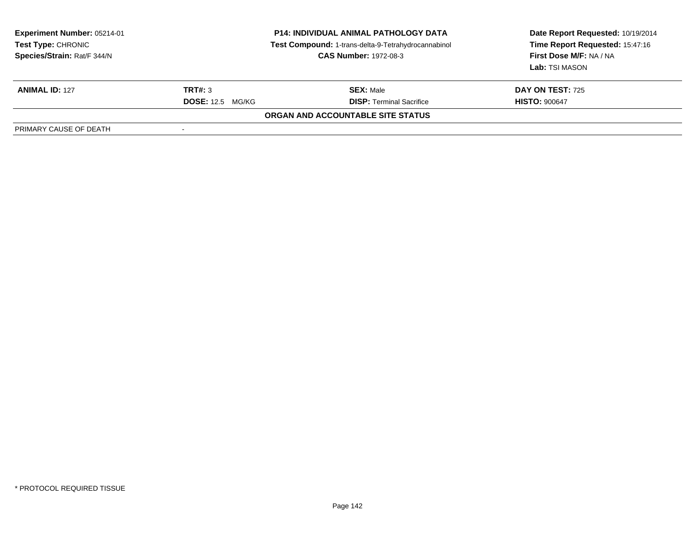| <b>Experiment Number: 05214-01</b><br><b>Test Type: CHRONIC</b><br>Species/Strain: Rat/F 344/N | <b>P14: INDIVIDUAL ANIMAL PATHOLOGY DATA</b><br>Test Compound: 1-trans-delta-9-Tetrahydrocannabinol<br><b>CAS Number: 1972-08-3</b> |                                          | Date Report Requested: 10/19/2014<br>Time Report Requested: 15:47:16<br>First Dose M/F: NA / NA<br>Lab: TSI MASON |
|------------------------------------------------------------------------------------------------|-------------------------------------------------------------------------------------------------------------------------------------|------------------------------------------|-------------------------------------------------------------------------------------------------------------------|
| <b>ANIMAL ID: 127</b>                                                                          | TRT#: 3                                                                                                                             | <b>SEX: Male</b>                         | <b>DAY ON TEST: 725</b>                                                                                           |
|                                                                                                | <b>DOSE:</b> 12.5 MG/KG                                                                                                             | <b>DISP: Terminal Sacrifice</b>          | <b>HISTO: 900647</b>                                                                                              |
|                                                                                                |                                                                                                                                     | <b>ORGAN AND ACCOUNTABLE SITE STATUS</b> |                                                                                                                   |
| PRIMARY CAUSE OF DEATH                                                                         |                                                                                                                                     |                                          |                                                                                                                   |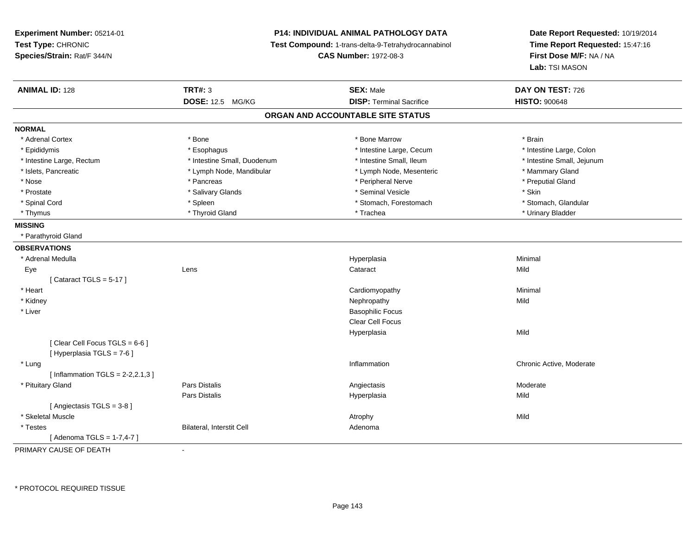**Experiment Number:** 05214-01**Test Type:** CHRONIC **Species/Strain:** Rat/F 344/N**P14: INDIVIDUAL ANIMAL PATHOLOGY DATA Test Compound:** 1-trans-delta-9-Tetrahydrocannabinol **CAS Number:** 1972-08-3**Date Report Requested:** 10/19/2014**Time Report Requested:** 15:47:16**First Dose M/F:** NA / NA**Lab:** TSI MASON**ANIMAL ID:** 128**TRT#:** 3 **SEX:** Male **DAY ON TEST:** 726 **DOSE:** 12.5 MG/KG**DISP:** Terminal Sacrifice **HISTO:**  $900648$ **ORGAN AND ACCOUNTABLE SITE STATUSNORMAL**\* Adrenal Cortex \* Adrenal Cortex \* \* Adrenal Cortex \* Brain \* Bone \* \* Bone Marrow \* Bone Marrow \* \* Brain \* Brain \* Brain \* Brain \* Brain \* Brain \* Brain \* Brain \* Brain \* Brain \* Brain \* Brain \* Brain \* Brain \* Brain \* Brain \* Brain \* B \* Intestine Large, Colon \* Epididymis \* Esophagus \* Esophagus \* Esophagus \* 11testine Large, Cecum \* Intestine Large, Rectum \* Thestine Small, Duodenum \* Number of the small, Ileum \* Intestine Small, Jejunum \* Intestine Small, Jejunum \* Islets, Pancreatic \* The mannery Gland \* Lymph Node, Mandibular \* Lymph Node, Mesenteric \* Mammary Gland \* Preputial Gland \* Nose \* Pancreas \* Peripheral Nerve \* Preputial Gland \* Prostate \* \* Salivary Glands \* \* Salivary Glands \* \* Seminal Vesicle \* \* \* Seminal Yestrich \* \* Skin \* \* Skin \* Stomach. Glandular \* Spinal Cord \* Spinal Cord \* Spinal Cord \* Stomach, Forestomach \* Stomach, Forestomach \* Stomach, Forestomach \* Thymus \* Thyroid Gland \* Trachea \* Urinary Bladder \* **MISSING** \* Parathyroid Gland**OBSERVATIONS** \* Adrenal Medullaa and the control of the control of the control of the Hyperplasia and the control of the control of the control of the control of the control of the control of the control of the control of the control of the control of t Eyee and the contract of the contract of the contract of the contract of the contract of the contract of the contract of the contract of the contract of the contract of the contract of the contract of the contract of the cont  $[$  Cataract TGLS = 5-17  $]$  \* Heart Cardiomyopathy Minimal \* Kidneyy the controller of the controller of the controller of the controller of the controller of the controller of the controller of the controller of the controller of the controller of the controller of the controller of the \* Liver Basophilic Focus Clear Cell FocusHyperplasiaa Mild  $[$  Clear Cell Focus TGLS = 6-6  $]$ [ Hyperplasia TGLS = 7-6 ] \* Lung Inflammation Chronic Active, Moderate  $[ Inflammation TGLS = 2-2,2.1,3]$  \* Pituitary Gland Pars Distalis Angiectasis Moderate Pars Distalis Hyperplasiaa Mild [ Angiectasis TGLS = 3-8 ] \* Skeletal Musclee and the state of the state of the state of the Middle State of the Middle State of the Middle State of the Middle State of the State of the State of the State of the State of the State of the State of the State of the St \* TestesBilateral, Interstit Cell **Adenoma** Adenoma [ Adenoma TGLS = 1-7,4-7 ]

PRIMARY CAUSE OF DEATH-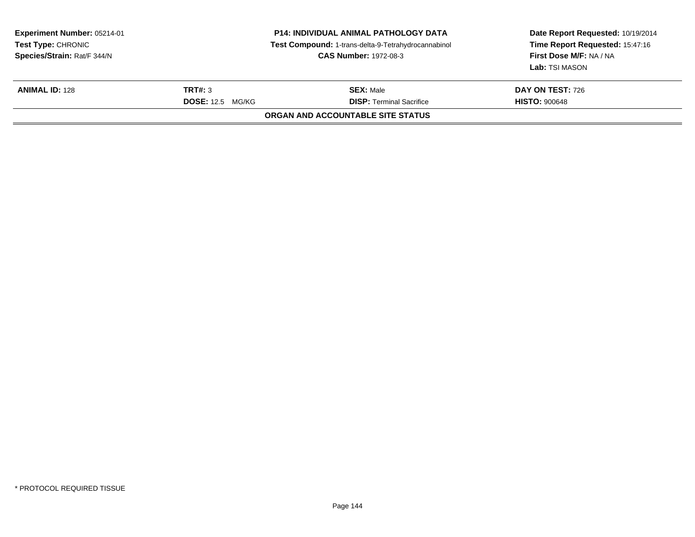| Experiment Number: 05214-01<br><b>Test Type: CHRONIC</b><br>Species/Strain: Rat/F 344/N |                                    | P14: INDIVIDUAL ANIMAL PATHOLOGY DATA<br>Test Compound: 1-trans-delta-9-Tetrahydrocannabinol<br><b>CAS Number: 1972-08-3</b> | Date Report Requested: 10/19/2014<br>Time Report Requested: 15:47:16<br>First Dose M/F: NA / NA<br>Lab: TSI MASON |  |  |  |  |
|-----------------------------------------------------------------------------------------|------------------------------------|------------------------------------------------------------------------------------------------------------------------------|-------------------------------------------------------------------------------------------------------------------|--|--|--|--|
| <b>ANIMAL ID: 128</b>                                                                   | TRT#: 3<br><b>DOSE:</b> 12.5 MG/KG | <b>SEX: Male</b><br><b>DISP: Terminal Sacrifice</b>                                                                          | <b>DAY ON TEST: 726</b><br><b>HISTO: 900648</b>                                                                   |  |  |  |  |
| ORGAN AND ACCOUNTABLE SITE STATUS                                                       |                                    |                                                                                                                              |                                                                                                                   |  |  |  |  |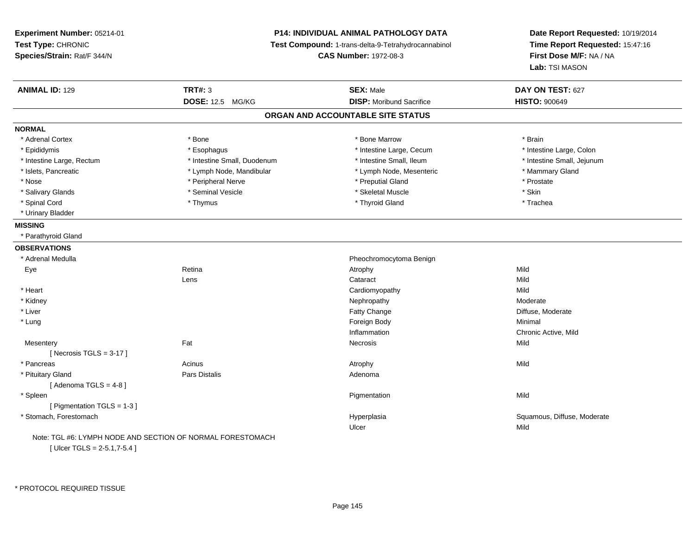**Experiment Number:** 05214-01**Test Type:** CHRONIC **Species/Strain:** Rat/F 344/N**P14: INDIVIDUAL ANIMAL PATHOLOGY DATA Test Compound:** 1-trans-delta-9-Tetrahydrocannabinol **CAS Number:** 1972-08-3**Date Report Requested:** 10/19/2014**Time Report Requested:** 15:47:16**First Dose M/F:** NA / NA**Lab:** TSI MASON**ANIMAL ID:** 129**SEX:** Male **DAY ON TEST:** 627 **DOSE:** 12.5 MG/KG **DISP:** Moribund Sacrifice **HISTO:** <sup>900649</sup> **ORGAN AND ACCOUNTABLE SITE STATUSNORMAL**\* Adrenal Cortex \* Adrenal Cortex \* \* Adrenal Cortex \* Brain \* Bone \* \* Bone Marrow \* Bone Marrow \* \* Brain \* Brain \* Brain \* Brain \* Brain \* Brain \* Brain \* Brain \* Brain \* Brain \* Brain \* Brain \* Brain \* Brain \* Brain \* Brain \* Brain \* B \* Intestine Large, Colon \* Epididymis \* Intestine Large, Cecum \* Esophagus \* Intestine Large, Cecum \* Intestine Large, Cecum \* Intestine Large, Rectum \* Thestine Small, Duodenum \* Number of the small, Ileum \* Intestine Small, Jejunum \* Intestine Small, Jejunum \* Islets, Pancreatic \* The mannery Gland \* Lymph Node, Mandibular \* Lymph Node, Mesenteric \* Mammary Gland \* Nose \* \* Peripheral Nerve \* \* Peripheral Nerve \* \* Preputial Gland \* \* Preputial Gland \* \* Prostate \* \* Prostate \* \* Salivary Glands \* Seminal Vesicle \* Skeletal Muscle \* Skin\* Trachea \* Spinal Cord \* \* \* Thymus \* \* Thymus \* \* \* Thymus \* \* Thyroid Gland \* \* Thyroid Gland \* \* Trachea \* Urinary Bladder**MISSING** \* Parathyroid Gland**OBSERVATIONS** \* Adrenal Medulla Pheochromocytoma Benign Eyee and the setting of the setting of the setting of the setting of the setting  $\mathsf{A}$ trophy  $\mathsf{A}$  Mild Lenss and the contract contract contract contract of the contract of the contract contract contract contract control  $\mathsf{Mild}$ **Mild**  \* Heart Cardiomyopathyy Mild Moderate \* Kidneyy the controller that the controller temperature of  $\lambda$  . Nephropathy the controller temperature  $\lambda$  Moderate e Diffuse, Moderate \* Liver Fatty Change \* Lungg and the state of the state of the state of the state of the state of the state of the state of the state of the state of the state of the state of the state of the state of the state of the state of the state of the stat Inflammation Chronic Active, Mild **Mesentery** y the contract of the contract of the contract of the contract of the contract of the contract of the contract of the contract of the contract of the contract of the contract of the contract of the contract of the contract  $[$  Necrosis TGLS = 3-17  $]$  \* Pancreass the contract of the contract of the contract of the contract of the contract of the contract of the contract of the contract of the contract of the contract of the contract of the contract of the contract of the contract \* Pituitary Glandd and the set of Pars Distalis and the Second Adenomal Adenomal Second Second Pars Distallis  $[$  Adenoma TGLS = 4-8  $]$  \* Spleenn and the control of the control of the control of the control of the control of the control of the control of the control of the control of the control of the control of the control of the control of the control of the co [ Pigmentation TGLS = 1-3 ] \* Stomach, Forestomach Hyperplasia Squamous, Diffuse, Moderate Ulcerr **Mild** Note: TGL #6: LYMPH NODE AND SECTION OF NORMAL FORESTOMACH

 $[$  Ulcer TGLS = 2-5.1,7-5.4  $]$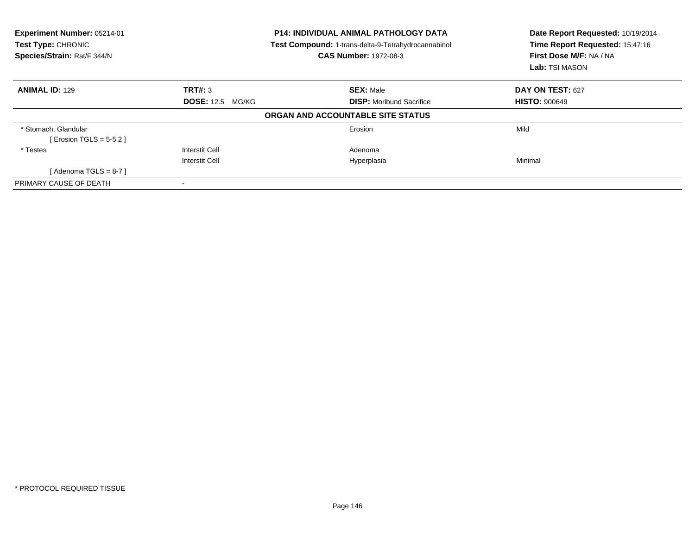| Experiment Number: 05214-01<br>Test Type: CHRONIC<br>Species/Strain: Rat/F 344/N |                         | <b>P14: INDIVIDUAL ANIMAL PATHOLOGY DATA</b><br>Test Compound: 1-trans-delta-9-Tetrahydrocannabinol<br><b>CAS Number: 1972-08-3</b> | Date Report Requested: 10/19/2014<br>Time Report Requested: 15:47:16<br>First Dose M/F: NA / NA<br>Lab: TSI MASON |  |
|----------------------------------------------------------------------------------|-------------------------|-------------------------------------------------------------------------------------------------------------------------------------|-------------------------------------------------------------------------------------------------------------------|--|
| <b>ANIMAL ID: 129</b>                                                            | TRT#: 3                 | <b>SEX: Male</b>                                                                                                                    | DAY ON TEST: 627                                                                                                  |  |
|                                                                                  | <b>DOSE: 12.5 MG/KG</b> | <b>DISP:</b> Moribund Sacrifice                                                                                                     | <b>HISTO: 900649</b>                                                                                              |  |
|                                                                                  |                         | ORGAN AND ACCOUNTABLE SITE STATUS                                                                                                   |                                                                                                                   |  |
| * Stomach, Glandular                                                             |                         | Erosion                                                                                                                             | Mild                                                                                                              |  |
| [ Erosion TGLS = $5-5.2$ ]                                                       |                         |                                                                                                                                     |                                                                                                                   |  |
| * Testes                                                                         | <b>Interstit Cell</b>   | Adenoma                                                                                                                             |                                                                                                                   |  |
|                                                                                  | <b>Interstit Cell</b>   | Hyperplasia                                                                                                                         | Minimal                                                                                                           |  |
| [Adenoma TGLS = $8-7$ ]                                                          |                         |                                                                                                                                     |                                                                                                                   |  |
| PRIMARY CAUSE OF DEATH                                                           |                         |                                                                                                                                     |                                                                                                                   |  |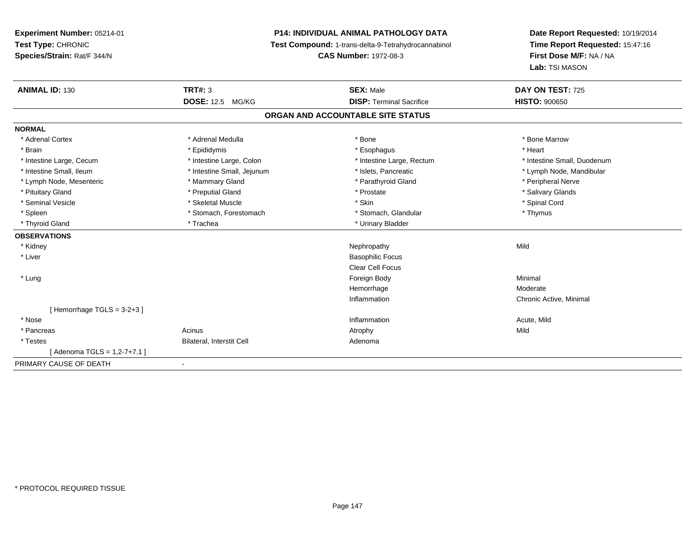**Experiment Number:** 05214-01**Test Type:** CHRONIC **Species/Strain:** Rat/F 344/N**P14: INDIVIDUAL ANIMAL PATHOLOGY DATA Test Compound:** 1-trans-delta-9-Tetrahydrocannabinol **CAS Number:** 1972-08-3**Date Report Requested:** 10/19/2014**Time Report Requested:** 15:47:16**First Dose M/F:** NA / NA**Lab:** TSI MASON**ANIMAL ID:** 130**C TRT#:** 3 **SEX:** Male **DAY ON TEST:** 725 **DOSE:** 12.5 MG/KG **DISP:** Terminal Sacrifice **HISTO:** <sup>900650</sup> **ORGAN AND ACCOUNTABLE SITE STATUSNORMAL**\* Adrenal Cortex \* Adrenal Medulla \* Adrenal Medulla \* Bone \* Bone \* Bone \* Bone \* Bone Marrow \* Brain \* \* Esophagus \* \* Esophagus \* \* Esophagus \* \* Esophagus \* \* Esophagus \* Heart \* Heart \* Heart \* Heart \* Intestine Large, Cecum \* Intestine Large, Colon \* Intestine Large, Rectum \* Intestine Small, Duodenum \* Intestine Small, Ileum \* \* Thestine Small, Jejunum \* \* Sets, Pancreatic \* \* Thestine Small, Nejunum \* Lymph Node, Mandibular \* Lymph Node, Mesenteric \* The matter of the Mammary Gland \* Mammary Gland \* Parathyroid Gland \* Peripheral Nerve \* Salivary Glands \* Pituitary Gland \* \* Then the state \* Preputial Gland \* Prosection \* Prostate \* \* Salivary Glands \* Salivary Glands \* Salivary Glands \* Salivary Glands \* Salivary Glands \* Salivary Glands \* Salivary Glands \* Salivary Glan \* Seminal Vesicle \* \* Spinal Cord \* Skeletal Muscle \* \* Skin \* \* Skin \* \* Spinal Vesicle \* Spinal Cord \* Spinal Cord \* Spleen \* Stomach, Forestomach \* Stomach \* Stomach, Glandular \* Thymus \* Thymus \* Thyroid Gland \* Trachea \* Trachea \* Trachea \* Trachea \* Urinary Bladder **OBSERVATIONS** \* Kidneyy the control of the control of the control of the control of the control of the control of the control of the control of the control of the control of the control of the control of the control of the control of the contro \* Liver Basophilic Focus Clear Cell Focus \* Lungg and the state of the state of the state of the state of the state of the state of the state of the state of the state of the state of the state of the state of the state of the state of the state of the state of the stat Hemorrhagee Moderate Inflammation Chronic Active, Minimal [ Hemorrhage TGLS = 3-2+3 ] \* Nosee the contraction of the contraction of the contraction of the contraction of the contraction of the contraction  $\mathsf{Acute},\mathsf{Mild}$  \* Pancreass and the contract of the Acinus and Acinus and Acinus and Acinus Atrophy and Acinus and Mild \* TestesBilateral, Interstit Cell **Adenoma** Adenoma [ Adenoma TGLS = 1,2-7+7.1 ]PRIMARY CAUSE OF DEATH-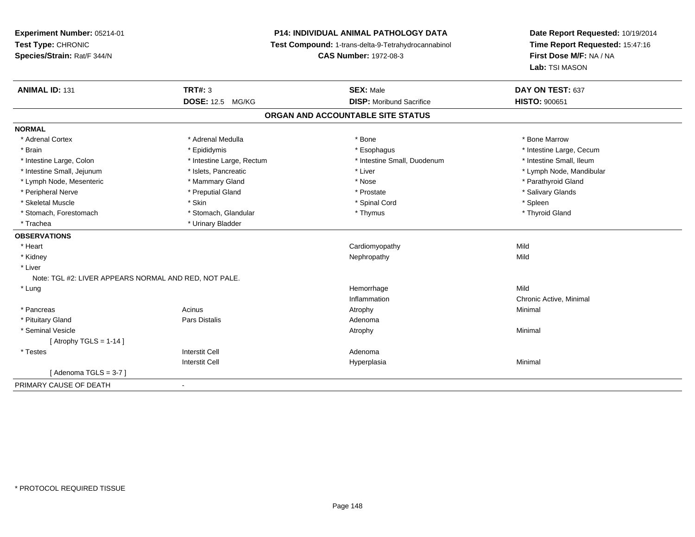# **P14: INDIVIDUAL ANIMAL PATHOLOGY DATA**

**Test Compound:** 1-trans-delta-9-Tetrahydrocannabinol

**CAS Number:** 1972-08-3

| <b>ANIMAL ID: 131</b>                                 | <b>TRT#: 3</b>            | <b>SEX: Male</b>                  | DAY ON TEST: 637         |  |
|-------------------------------------------------------|---------------------------|-----------------------------------|--------------------------|--|
|                                                       | DOSE: 12.5 MG/KG          | <b>DISP:</b> Moribund Sacrifice   | <b>HISTO: 900651</b>     |  |
|                                                       |                           | ORGAN AND ACCOUNTABLE SITE STATUS |                          |  |
| <b>NORMAL</b>                                         |                           |                                   |                          |  |
| * Adrenal Cortex                                      | * Adrenal Medulla         | * Bone                            | * Bone Marrow            |  |
| * Brain                                               | * Epididymis              | * Esophagus                       | * Intestine Large, Cecum |  |
| * Intestine Large, Colon                              | * Intestine Large, Rectum | * Intestine Small, Duodenum       | * Intestine Small, Ileum |  |
| * Intestine Small, Jejunum                            | * Islets, Pancreatic      | * Liver                           | * Lymph Node, Mandibular |  |
| * Lymph Node, Mesenteric                              | * Mammary Gland           | * Nose                            | * Parathyroid Gland      |  |
| * Peripheral Nerve                                    | * Preputial Gland         | * Prostate                        | * Salivary Glands        |  |
| * Skeletal Muscle                                     | * Skin                    | * Spinal Cord                     | * Spleen                 |  |
| * Stomach, Forestomach                                | * Stomach, Glandular      | * Thymus                          | * Thyroid Gland          |  |
| * Trachea                                             | * Urinary Bladder         |                                   |                          |  |
| <b>OBSERVATIONS</b>                                   |                           |                                   |                          |  |
| * Heart                                               |                           | Cardiomyopathy                    | Mild                     |  |
| * Kidney                                              |                           | Nephropathy                       | Mild                     |  |
| * Liver                                               |                           |                                   |                          |  |
| Note: TGL #2: LIVER APPEARS NORMAL AND RED, NOT PALE. |                           |                                   |                          |  |
| * Lung                                                |                           | Hemorrhage                        | Mild                     |  |
|                                                       |                           | Inflammation                      | Chronic Active, Minimal  |  |
| * Pancreas                                            | Acinus                    | Atrophy                           | Minimal                  |  |
| * Pituitary Gland                                     | <b>Pars Distalis</b>      | Adenoma                           |                          |  |
| * Seminal Vesicle                                     |                           | Atrophy                           | Minimal                  |  |
| [Atrophy TGLS = $1-14$ ]                              |                           |                                   |                          |  |
| * Testes                                              | <b>Interstit Cell</b>     | Adenoma                           |                          |  |
|                                                       | <b>Interstit Cell</b>     | Hyperplasia                       | Minimal                  |  |
| [Adenoma TGLS = 3-7]                                  |                           |                                   |                          |  |
| PRIMARY CAUSE OF DEATH                                |                           |                                   |                          |  |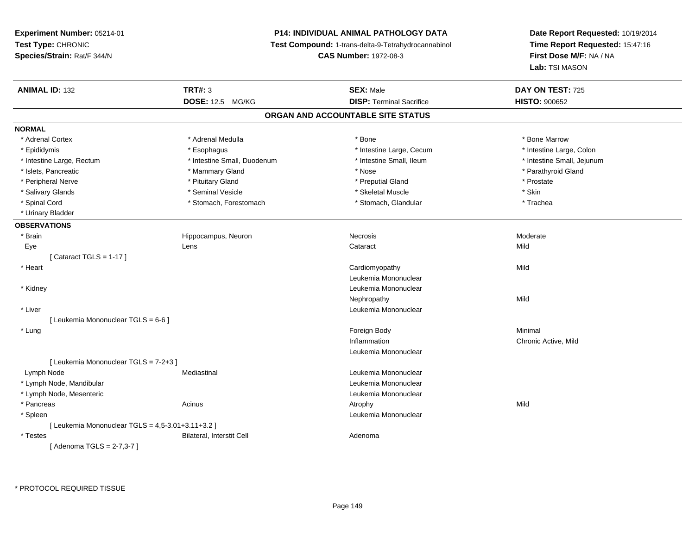# **P14: INDIVIDUAL ANIMAL PATHOLOGY DATA**

**Test Compound:** 1-trans-delta-9-Tetrahydrocannabinol

**CAS Number:** 1972-08-3

| <b>ANIMAL ID: 132</b>                               | <b>TRT#: 3</b>              | <b>SEX: Male</b>                | DAY ON TEST: 725           |  |  |  |
|-----------------------------------------------------|-----------------------------|---------------------------------|----------------------------|--|--|--|
|                                                     | <b>DOSE: 12.5 MG/KG</b>     | <b>DISP: Terminal Sacrifice</b> | <b>HISTO: 900652</b>       |  |  |  |
| ORGAN AND ACCOUNTABLE SITE STATUS                   |                             |                                 |                            |  |  |  |
| <b>NORMAL</b>                                       |                             |                                 |                            |  |  |  |
| * Adrenal Cortex                                    | * Adrenal Medulla           | * Bone                          | * Bone Marrow              |  |  |  |
| * Epididymis                                        | * Esophagus                 | * Intestine Large, Cecum        | * Intestine Large, Colon   |  |  |  |
| * Intestine Large, Rectum                           | * Intestine Small, Duodenum | * Intestine Small, Ileum        | * Intestine Small, Jejunum |  |  |  |
| * Islets, Pancreatic                                | * Mammary Gland             | * Nose                          | * Parathyroid Gland        |  |  |  |
| * Peripheral Nerve                                  | * Pituitary Gland           | * Preputial Gland               | * Prostate                 |  |  |  |
| * Salivary Glands                                   | * Seminal Vesicle           | * Skeletal Muscle               | * Skin                     |  |  |  |
| * Spinal Cord                                       | * Stomach, Forestomach      | * Stomach, Glandular            | * Trachea                  |  |  |  |
| * Urinary Bladder                                   |                             |                                 |                            |  |  |  |
| <b>OBSERVATIONS</b>                                 |                             |                                 |                            |  |  |  |
| * Brain                                             | Hippocampus, Neuron         | <b>Necrosis</b>                 | Moderate                   |  |  |  |
| Eye                                                 | Lens                        | Cataract                        | Mild                       |  |  |  |
| [Cataract TGLS = $1-17$ ]                           |                             |                                 |                            |  |  |  |
| * Heart                                             |                             | Cardiomyopathy                  | Mild                       |  |  |  |
|                                                     |                             | Leukemia Mononuclear            |                            |  |  |  |
| * Kidney                                            |                             | Leukemia Mononuclear            |                            |  |  |  |
|                                                     |                             | Nephropathy                     | Mild                       |  |  |  |
| * Liver                                             |                             | Leukemia Mononuclear            |                            |  |  |  |
| [ Leukemia Mononuclear TGLS = 6-6 ]                 |                             |                                 |                            |  |  |  |
| * Lung                                              |                             | Foreign Body                    | Minimal                    |  |  |  |
|                                                     |                             | Inflammation                    | Chronic Active, Mild       |  |  |  |
|                                                     |                             | Leukemia Mononuclear            |                            |  |  |  |
| [ Leukemia Mononuclear TGLS = 7-2+3 ]               |                             |                                 |                            |  |  |  |
| Lymph Node                                          | Mediastinal                 | Leukemia Mononuclear            |                            |  |  |  |
| * Lymph Node, Mandibular                            |                             | Leukemia Mononuclear            |                            |  |  |  |
| * Lymph Node, Mesenteric                            |                             | Leukemia Mononuclear            |                            |  |  |  |
| * Pancreas                                          | Acinus                      | Atrophy                         | Mild                       |  |  |  |
| * Spleen                                            |                             | Leukemia Mononuclear            |                            |  |  |  |
| [ Leukemia Mononuclear TGLS = $4,5-3.01+3.11+3.2$ ] |                             |                                 |                            |  |  |  |
| * Testes                                            | Bilateral, Interstit Cell   | Adenoma                         |                            |  |  |  |
| [Adenoma TGLS = 2-7,3-7]                            |                             |                                 |                            |  |  |  |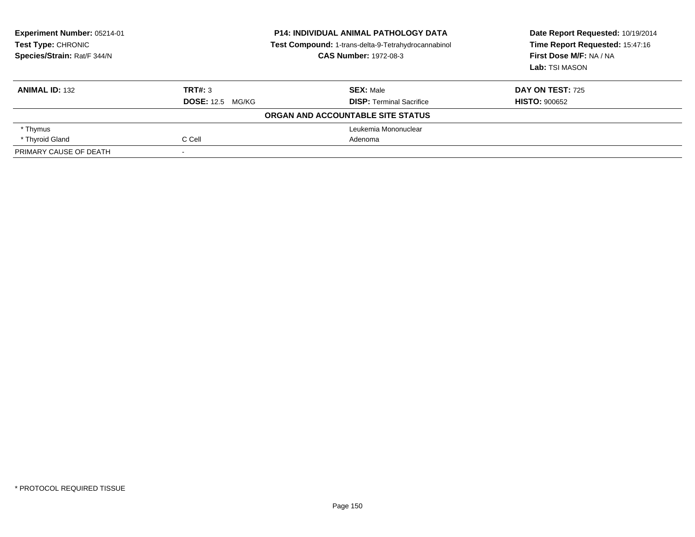| <b>Experiment Number: 05214-01</b><br>Test Type: CHRONIC<br>Species/Strain: Rat/F 344/N | <b>P14: INDIVIDUAL ANIMAL PATHOLOGY DATA</b><br>Test Compound: 1-trans-delta-9-Tetrahydrocannabinol<br><b>CAS Number: 1972-08-3</b> |                                   | Date Report Requested: 10/19/2014<br>Time Report Requested: 15:47:16<br>First Dose M/F: NA / NA<br>Lab: TSI MASON |  |
|-----------------------------------------------------------------------------------------|-------------------------------------------------------------------------------------------------------------------------------------|-----------------------------------|-------------------------------------------------------------------------------------------------------------------|--|
| <b>ANIMAL ID: 132</b>                                                                   | TRT#: 3                                                                                                                             | <b>SEX: Male</b>                  | <b>DAY ON TEST: 725</b>                                                                                           |  |
|                                                                                         | <b>DOSE: 12.5 MG/KG</b>                                                                                                             | <b>DISP: Terminal Sacrifice</b>   | <b>HISTO: 900652</b>                                                                                              |  |
|                                                                                         |                                                                                                                                     | ORGAN AND ACCOUNTABLE SITE STATUS |                                                                                                                   |  |
| * Thymus                                                                                |                                                                                                                                     | Leukemia Mononuclear              |                                                                                                                   |  |
| * Thyroid Gland                                                                         | C Cell                                                                                                                              | Adenoma                           |                                                                                                                   |  |
| PRIMARY CAUSE OF DEATH                                                                  |                                                                                                                                     |                                   |                                                                                                                   |  |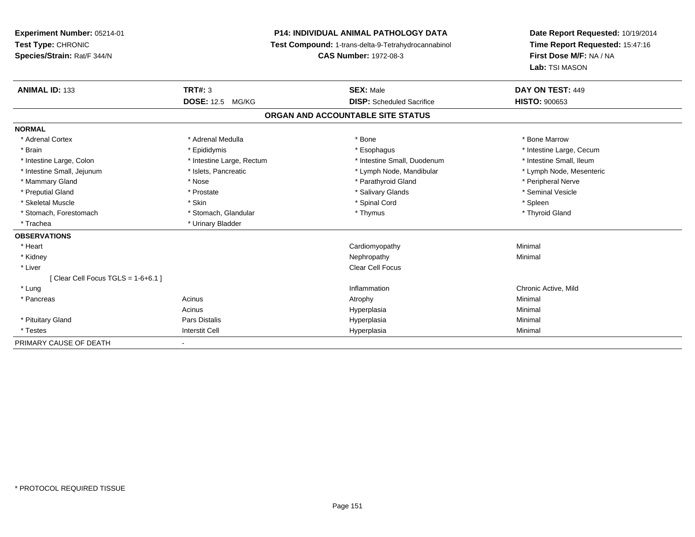# **P14: INDIVIDUAL ANIMAL PATHOLOGY DATA**

**Test Compound:** 1-trans-delta-9-Tetrahydrocannabinol

**CAS Number:** 1972-08-3

| <b>ANIMAL ID: 133</b>             | TRT#: 3                    | <b>SEX: Male</b>                  | DAY ON TEST: 449         |
|-----------------------------------|----------------------------|-----------------------------------|--------------------------|
|                                   | <b>DOSE: 12.5</b><br>MG/KG | <b>DISP:</b> Scheduled Sacrifice  | <b>HISTO: 900653</b>     |
|                                   |                            | ORGAN AND ACCOUNTABLE SITE STATUS |                          |
| <b>NORMAL</b>                     |                            |                                   |                          |
| * Adrenal Cortex                  | * Adrenal Medulla          | * Bone                            | * Bone Marrow            |
| * Brain                           | * Epididymis               | * Esophagus                       | * Intestine Large, Cecum |
| * Intestine Large, Colon          | * Intestine Large, Rectum  | * Intestine Small, Duodenum       | * Intestine Small, Ileum |
| * Intestine Small, Jejunum        | * Islets, Pancreatic       | * Lymph Node, Mandibular          | * Lymph Node, Mesenteric |
| * Mammary Gland                   | * Nose                     | * Parathyroid Gland               | * Peripheral Nerve       |
| * Preputial Gland                 | * Prostate                 | * Salivary Glands                 | * Seminal Vesicle        |
| * Skeletal Muscle                 | * Skin                     | * Spinal Cord                     | * Spleen                 |
| * Stomach, Forestomach            | * Stomach, Glandular       | * Thymus                          | * Thyroid Gland          |
| * Trachea                         | * Urinary Bladder          |                                   |                          |
| <b>OBSERVATIONS</b>               |                            |                                   |                          |
| * Heart                           |                            | Cardiomyopathy                    | Minimal                  |
| * Kidney                          |                            | Nephropathy                       | Minimal                  |
| * Liver                           |                            | <b>Clear Cell Focus</b>           |                          |
| [Clear Cell Focus TGLS = 1-6+6.1] |                            |                                   |                          |
| * Lung                            |                            | Inflammation                      | Chronic Active, Mild     |
| * Pancreas                        | Acinus                     | Atrophy                           | Minimal                  |
|                                   | Acinus                     | Hyperplasia                       | Minimal                  |
| * Pituitary Gland                 | Pars Distalis              | Hyperplasia                       | Minimal                  |
| * Testes                          | <b>Interstit Cell</b>      | Hyperplasia                       | Minimal                  |
| PRIMARY CAUSE OF DEATH            |                            |                                   |                          |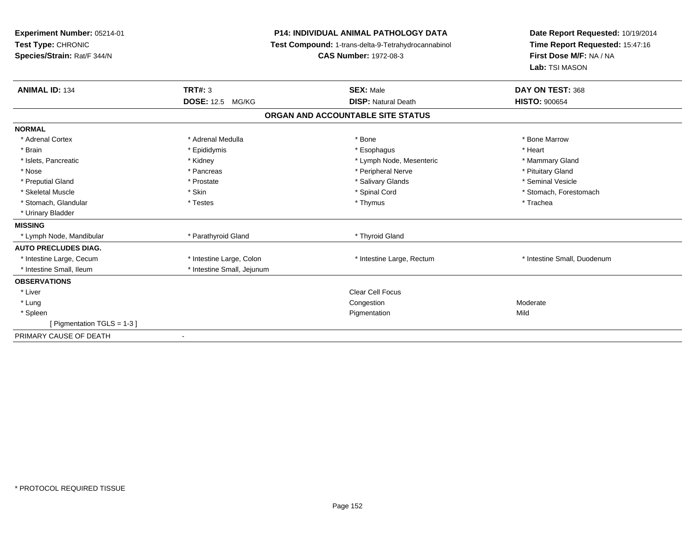| Experiment Number: 05214-01<br>Test Type: CHRONIC<br>Species/Strain: Rat/F 344/N<br><b>ANIMAL ID: 134</b> | TRT#: 3<br><b>DOSE: 12.5 MG/KG</b> | <b>P14: INDIVIDUAL ANIMAL PATHOLOGY DATA</b><br>Test Compound: 1-trans-delta-9-Tetrahydrocannabinol<br><b>CAS Number: 1972-08-3</b><br><b>SEX: Male</b><br><b>DISP: Natural Death</b> | Date Report Requested: 10/19/2014<br>Time Report Requested: 15:47:16<br>First Dose M/F: NA / NA<br>Lab: TSI MASON<br>DAY ON TEST: 368<br><b>HISTO: 900654</b> |
|-----------------------------------------------------------------------------------------------------------|------------------------------------|---------------------------------------------------------------------------------------------------------------------------------------------------------------------------------------|---------------------------------------------------------------------------------------------------------------------------------------------------------------|
|                                                                                                           |                                    | ORGAN AND ACCOUNTABLE SITE STATUS                                                                                                                                                     |                                                                                                                                                               |
| <b>NORMAL</b>                                                                                             |                                    |                                                                                                                                                                                       |                                                                                                                                                               |
| * Adrenal Cortex                                                                                          | * Adrenal Medulla                  | * Bone                                                                                                                                                                                | * Bone Marrow                                                                                                                                                 |
| * Brain                                                                                                   | * Epididymis                       | * Esophagus                                                                                                                                                                           | * Heart                                                                                                                                                       |
| * Islets, Pancreatic                                                                                      | * Kidney                           | * Lymph Node, Mesenteric                                                                                                                                                              | * Mammary Gland                                                                                                                                               |
| * Nose                                                                                                    | * Pancreas                         | * Peripheral Nerve                                                                                                                                                                    | * Pituitary Gland                                                                                                                                             |
| * Preputial Gland                                                                                         | * Prostate                         | * Salivary Glands                                                                                                                                                                     | * Seminal Vesicle                                                                                                                                             |
| * Skeletal Muscle                                                                                         | * Skin                             | * Spinal Cord                                                                                                                                                                         | * Stomach, Forestomach                                                                                                                                        |
| * Stomach, Glandular                                                                                      | * Testes                           | * Thymus                                                                                                                                                                              | * Trachea                                                                                                                                                     |
| * Urinary Bladder                                                                                         |                                    |                                                                                                                                                                                       |                                                                                                                                                               |
| <b>MISSING</b>                                                                                            |                                    |                                                                                                                                                                                       |                                                                                                                                                               |
| * Lymph Node, Mandibular                                                                                  | * Parathyroid Gland                | * Thyroid Gland                                                                                                                                                                       |                                                                                                                                                               |
| <b>AUTO PRECLUDES DIAG.</b>                                                                               |                                    |                                                                                                                                                                                       |                                                                                                                                                               |
| * Intestine Large, Cecum                                                                                  | * Intestine Large, Colon           | * Intestine Large, Rectum                                                                                                                                                             | * Intestine Small, Duodenum                                                                                                                                   |
| * Intestine Small, Ileum                                                                                  | * Intestine Small, Jejunum         |                                                                                                                                                                                       |                                                                                                                                                               |
| <b>OBSERVATIONS</b>                                                                                       |                                    |                                                                                                                                                                                       |                                                                                                                                                               |
| * Liver                                                                                                   |                                    | Clear Cell Focus                                                                                                                                                                      |                                                                                                                                                               |
| * Lung                                                                                                    |                                    | Congestion                                                                                                                                                                            | Moderate                                                                                                                                                      |
| * Spleen                                                                                                  |                                    | Pigmentation                                                                                                                                                                          | Mild                                                                                                                                                          |
| [ Pigmentation TGLS = $1-3$ ]                                                                             |                                    |                                                                                                                                                                                       |                                                                                                                                                               |
| PRIMARY CAUSE OF DEATH                                                                                    | $\blacksquare$                     |                                                                                                                                                                                       |                                                                                                                                                               |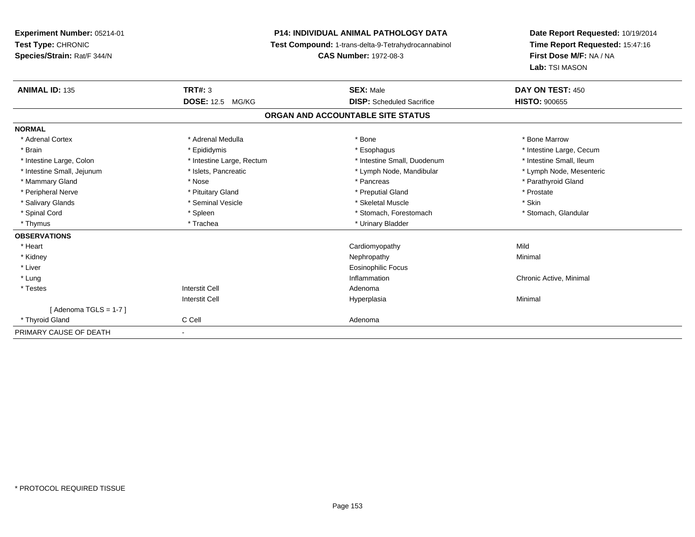**Experiment Number:** 05214-01**Test Type:** CHRONIC **Species/Strain:** Rat/F 344/N**P14: INDIVIDUAL ANIMAL PATHOLOGY DATA Test Compound:** 1-trans-delta-9-Tetrahydrocannabinol **CAS Number:** 1972-08-3**Date Report Requested:** 10/19/2014**Time Report Requested:** 15:47:16**First Dose M/F:** NA / NA**Lab:** TSI MASON**ANIMAL ID:** 135**TRT#:** 3 **SEX:** Male **DAY ON TEST:** 450 **DOSE:** 12.5 MG/KG **DISP:** Scheduled Sacrifice **HISTO:** <sup>900655</sup> **ORGAN AND ACCOUNTABLE SITE STATUSNORMAL**\* Adrenal Cortex \* Adrenal Medulla \* Adrenal Medulla \* Bone \* Bone \* Bone \* Bone \* Bone Marrow \* Brain \* Explorer \* Epididymis \* \* Epididymis \* \* Esophagus \* Esophagus \* \* Esophagus \* Intestine Large, Cecum \* \* Intestine Large, Cecum \* Intestine Small, Ileum \* Intestine Large, Colon \* Intestine Large, Rectum \* Intestine Small, Duodenum \* Intestine Small, Duodenum \* Lymph Node, Mesenteric \* Intestine Small, Jejunum \* Mandibular \* Islets, Pancreatic \* Mandibular \* Lymph Node, Mandibular \* Mammary Gland \* \* Nose \* \* Nose \* \* Pancreas \* Pancreas \* \* Pancreas \* \* Pancreas \* \* Pancreas \* \* Parathyroid Gland \* Peripheral Nerve \* \* \* Prostate \* \* Pretuitary Gland \* \* \* \* \* \* \* Preputial Gland \* \* \* Prostate \* Prostate \* Salivary Glands \* Seminal Vesicle \* Seminal Vesicle \* Skeletal Muscle \* Skeletal Muscle \* Skin \* Stomach, Glandular \* Spinal Cord **\* Stomach, Forestomach \* Spinal Cord \*** Stomach, Forestomach \* Stomach, Forestomach \* Thymus \* Trachea \* Trachea \* Trachea \* Urinary Bladder **OBSERVATIONS** \* Heart Cardiomyopathyy Mild Minimal \* Kidneyy the control of the control of the control of the control of the control of the control of the control of the control of the control of the control of the control of the control of the control of the control of the contro \* Liver Eosinophilic Focus \* Lungg is a controller to the controller of the controller of the chronic Active, Minimal of the chronic Active, Minimal of the chronic Active, Minimal of the chronic Active, Minimal of the chronic Active, Minimal of the chroni \* Testes Interstit Cell AdenomaI **Hyperplasia** Interstit Cella and a studies of the studies of the Minimal  $[$  Adenoma TGLS = 1-7  $]$  \* Thyroid Glandd C Cell C Cell Adenoma PRIMARY CAUSE OF DEATH-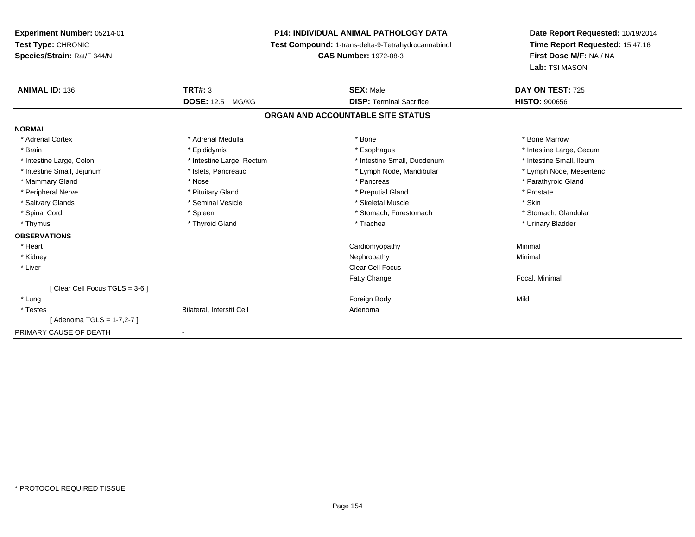**Experiment Number:** 05214-01**Test Type:** CHRONIC **Species/Strain:** Rat/F 344/N**P14: INDIVIDUAL ANIMAL PATHOLOGY DATA Test Compound:** 1-trans-delta-9-Tetrahydrocannabinol **CAS Number:** 1972-08-3**Date Report Requested:** 10/19/2014**Time Report Requested:** 15:47:16**First Dose M/F:** NA / NA**Lab:** TSI MASON**ANIMAL ID:** 136**6 DAY ON TEST:** 725 **DOSE:** 12.5 MG/KG **DISP:** Terminal Sacrifice **HISTO:** <sup>900656</sup> **ORGAN AND ACCOUNTABLE SITE STATUSNORMAL**\* Adrenal Cortex \* Adrenal Medulla \* Adrenal Medulla \* Bone \* Bone \* Bone \* Bone \* Bone Marrow \* Brain \* Explorer \* Epididymis \* \* Epididymis \* \* Esophagus \* Esophagus \* \* Esophagus \* Intestine Large, Cecum \* \* Intestine Large, Cecum \* Intestine Small, Ileum \* Intestine Large, Colon \* Intestine Large, Rectum \* Intestine Small, Duodenum \* Intestine Small, Duodenum \* Lymph Node, Mesenteric \* Intestine Small, Jejunum \* Mandibular \* Islets, Pancreatic \* Mandibular \* Lymph Node, Mandibular \* Mammary Gland \* \* Nose \* \* Nose \* \* Pancreas \* Pancreas \* \* Pancreas \* \* Pancreas \* \* Pancreas \* \* Parathyroid Gland \* Peripheral Nerve \* \* \* Prostate \* \* Pretuitary Gland \* \* \* \* \* \* \* Preputial Gland \* \* \* Prostate \* Prostate \* Salivary Glands \* Seminal Vesicle \* Seminal Vesicle \* Skeletal Muscle \* Skeletal Muscle \* Skin \* Stomach, Glandular \* Spinal Cord \* Spinal Cord \* Spinal Cord \* Stomach, Forestomach \* Spinal Cord \* Stomach, Forestomach \* Thymus \* Thyroid Gland \* Trachea \* Urinary Bladder \* **OBSERVATIONS** \* Heart Cardiomyopathy Minimal \* Kidneyy the control of the control of the control of the control of the control of the control of the control of the control of the control of the control of the control of the control of the control of the control of the contro \* Liver Clear Cell FocusFatty Change Focal, Minimal [ Clear Cell Focus TGLS = 3-6 ] \* Lungg and the state of the state of the state of the state of the state of the state of the state of the state of the state of the state of the state of the state of the state of the state of the state of the state of the stat \* TestesBilateral, Interstit Cell **Adenoma** Adenoma [ Adenoma TGLS = 1-7,2-7 ]PRIMARY CAUSE OF DEATH

-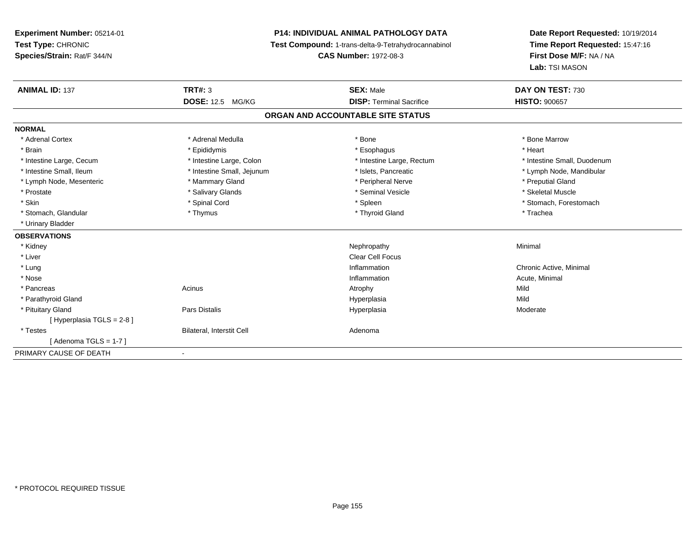**Experiment Number:** 05214-01**Test Type:** CHRONIC **Species/Strain:** Rat/F 344/N**P14: INDIVIDUAL ANIMAL PATHOLOGY DATA Test Compound:** 1-trans-delta-9-Tetrahydrocannabinol **CAS Number:** 1972-08-3**Date Report Requested:** 10/19/2014**Time Report Requested:** 15:47:16**First Dose M/F:** NA / NA**Lab:** TSI MASON**ANIMAL ID:** 137**TRT#:** 3 **SEX:** Male **DAY ON TEST:** 730 **DOSE:** 12.5 MG/KG **DISP:** Terminal Sacrifice **HISTO:** <sup>900657</sup> **ORGAN AND ACCOUNTABLE SITE STATUSNORMAL**\* Adrenal Cortex \* Adrenal Medulla \* Adrenal Medulla \* Bone \* Bone \* Bone \* Bone \* Bone Marrow \* Brain \* \* Esophagus \* \* Esophagus \* \* Esophagus \* \* Esophagus \* \* Esophagus \* Heart \* Heart \* Heart \* Heart \* Intestine Large, Cecum \* Intestine Large, Colon \* Intestine Large, Rectum \* Intestine Small, Duodenum \* Intestine Small, Ileum \* \* Thestine Small, Jejunum \* \* Sets, Pancreatic \* \* Thestine Small, Nejunum \* Lymph Node, Mandibular \* Lymph Node, Mesenteric \* \* Mammary Gland \* Mammary Gland \* Peripheral Nerve \* Peripheral Nerve \* \* Preputial Gland \* Skeletal Muscle \* Prostate \* \* Skeletal Muscle \* \* Salivary Glands \* \* Steminal Vesicle \* \* Seminal Vesicle \* \* Skeletal Muscle \* Skin \* Spinal Cord \* Spinal Cord \* Spinal Cord \* Spinal \* Spinal \* Stomach, Forestomach \* Stomach, Forestomach \* Stomach, Glandular \* Thymus \* Thymus \* Thymus \* Thyroid Gland \* Thyroid Gland \* The \* Trachea \* Urinary Bladder**OBSERVATIONS** \* Kidneyy the control of the control of the control of the control of the control of the control of the control of the control of the control of the control of the control of the control of the control of the control of the contro \* Liver Clear Cell Focus \* Lungg is a controller to the controller of the controller of the chronic Active, Minimal of the chronic Active, Minimal of the chronic Active, Minimal of the chronic Active, Minimal of the chronic Active, Minimal of the chroni \* Nosee the contraction of the contraction of the contraction of the contraction of the contraction of the contraction  $\mathsf{Acute}$ , Minimal \* Pancreass and the contract of the Acinus and Acinus and Acinus and Acinus Atrophy and Acinus and Mild Mild \* Parathyroid Glandd and the control of the control of the control of the Hyperplasia and the control of the control of the control of the control of the control of the control of the control of the control of the control of the control of t \* Pituitary Gland Pars Distalis Hyperplasia Moderate [ Hyperplasia TGLS = 2-8 ] \* TestesBilateral, Interstit Cell **Adenoma** Adenoma  $[$  Adenoma TGLS = 1-7  $]$ PRIMARY CAUSE OF DEATH-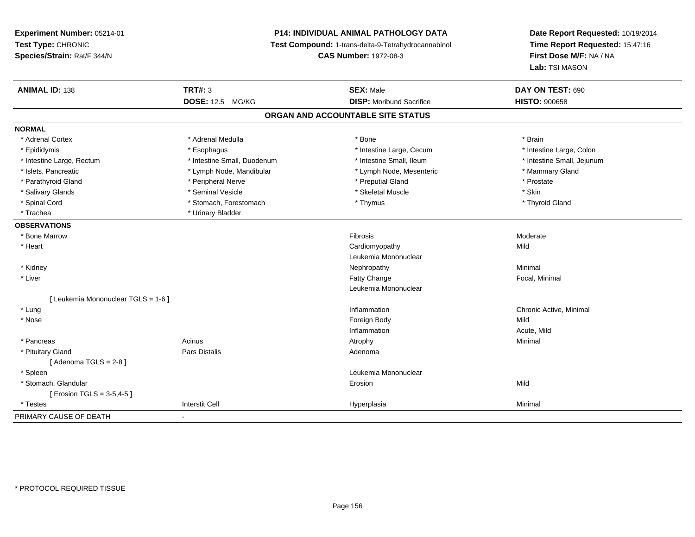# **P14: INDIVIDUAL ANIMAL PATHOLOGY DATA**

**Test Compound:** 1-trans-delta-9-Tetrahydrocannabinol

**CAS Number:** 1972-08-3

| <b>ANIMAL ID: 138</b>               | <b>TRT#: 3</b>              | <b>SEX: Male</b>                | DAY ON TEST: 690           |  |  |
|-------------------------------------|-----------------------------|---------------------------------|----------------------------|--|--|
|                                     | <b>DOSE: 12.5 MG/KG</b>     | <b>DISP:</b> Moribund Sacrifice | <b>HISTO: 900658</b>       |  |  |
| ORGAN AND ACCOUNTABLE SITE STATUS   |                             |                                 |                            |  |  |
| <b>NORMAL</b>                       |                             |                                 |                            |  |  |
| * Adrenal Cortex                    | * Adrenal Medulla           | * Bone                          | * Brain                    |  |  |
| * Epididymis                        | * Esophagus                 | * Intestine Large, Cecum        | * Intestine Large, Colon   |  |  |
| * Intestine Large, Rectum           | * Intestine Small, Duodenum | * Intestine Small, Ileum        | * Intestine Small, Jejunum |  |  |
| * Islets, Pancreatic                | * Lymph Node, Mandibular    | * Lymph Node, Mesenteric        | * Mammary Gland            |  |  |
| * Parathyroid Gland                 | * Peripheral Nerve          | * Preputial Gland               | * Prostate                 |  |  |
| * Salivary Glands                   | * Seminal Vesicle           | * Skeletal Muscle               | * Skin                     |  |  |
| * Spinal Cord                       | * Stomach, Forestomach      | * Thymus                        | * Thyroid Gland            |  |  |
| * Trachea                           | * Urinary Bladder           |                                 |                            |  |  |
| <b>OBSERVATIONS</b>                 |                             |                                 |                            |  |  |
| * Bone Marrow                       |                             | Fibrosis                        | Moderate                   |  |  |
| * Heart                             |                             | Cardiomyopathy                  | Mild                       |  |  |
|                                     |                             | Leukemia Mononuclear            |                            |  |  |
| * Kidney                            |                             | Nephropathy                     | Minimal                    |  |  |
| * Liver                             |                             | Fatty Change                    | Focal, Minimal             |  |  |
|                                     |                             | Leukemia Mononuclear            |                            |  |  |
| [ Leukemia Mononuclear TGLS = 1-6 ] |                             |                                 |                            |  |  |
| * Lung                              |                             | Inflammation                    | Chronic Active, Minimal    |  |  |
| * Nose                              |                             | Foreign Body                    | Mild                       |  |  |
|                                     |                             | Inflammation                    | Acute, Mild                |  |  |
| * Pancreas                          | Acinus                      | Atrophy                         | Minimal                    |  |  |
| * Pituitary Gland                   | <b>Pars Distalis</b>        | Adenoma                         |                            |  |  |
| [Adenoma TGLS = $2-8$ ]             |                             |                                 |                            |  |  |
| * Spleen                            |                             | Leukemia Mononuclear            |                            |  |  |
| * Stomach, Glandular                |                             | Erosion                         | Mild                       |  |  |
| [ Erosion TGLS = $3-5,4-5$ ]        |                             |                                 |                            |  |  |
| * Testes                            | <b>Interstit Cell</b>       | Hyperplasia                     | Minimal                    |  |  |
| PRIMARY CAUSE OF DEATH              | $\blacksquare$              |                                 |                            |  |  |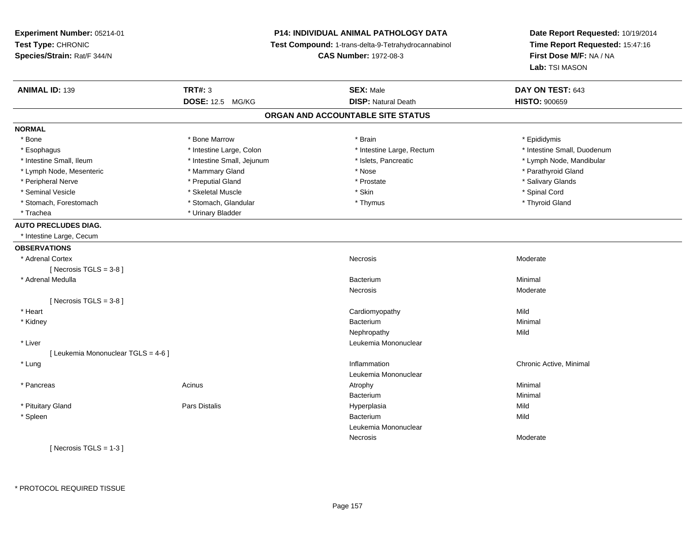**Experiment Number:** 05214-01**Test Type:** CHRONIC **Species/Strain:** Rat/F 344/N**P14: INDIVIDUAL ANIMAL PATHOLOGY DATA Test Compound:** 1-trans-delta-9-Tetrahydrocannabinol **CAS Number:** 1972-08-3**Date Report Requested:** 10/19/2014**Time Report Requested:** 15:47:16**First Dose M/F:** NA / NA**Lab:** TSI MASON**ANIMAL ID:** 139**SEX:** Male **DAY ON TEST:** 643 **DOSE:** 12.5 MG/KG**DISP:** Natural Death **HISTO:**  $900659$ **ORGAN AND ACCOUNTABLE SITE STATUSNORMAL**\* Bone \* Bone \* Bone Marrow \* Brain \* Epididymis \* Esophagus \* Thestine Large, Colon \* 11testine Large, Colon \* Intestine Large, Rectum \* Intestine Small, Duodenum \* Intestine Small, Ileum \* \* Thestine Small, Jejunum \* \* Sets, Pancreatic \* \* Thestine Small, Nejunum \* Lymph Node, Mandibular \* Lymph Node, Mesenteric \* \* Mammary Gland \* Mammary Gland \* Nose \* Nose \* \* Parathyroid Gland \* Parathyroid Gland \* Peripheral Nerve \* \* \* Preputial Gland \* \* Preputial Gland \* \* Prostate \* \* Salivary Glands \* Salivary Glands \* Seminal Vesicle \* \* Spinal Cord \* Skeletal Muscle \* \* Skin \* \* Skin \* \* Spinal Vesicle \* Spinal Cord \* Spinal Cord \* Thyroid Gland \* Stomach, Forestomach \* Thymus \* Stomach, Glandular \* Thymus \* Thymus \* Thymus \* Thymus \* Thymus \* Thymus \* Thymus \* Thymus \* Thymus \* Thymus \* Thymus \* Thymus \* Thymus \* Thymus \* Thymus \* Thymus \* Thymus \* Thymus \* Thymu \* Trachea \* Urinary Bladder**AUTO PRECLUDES DIAG.** \* Intestine Large, Cecum**OBSERVATIONS** \* Adrenal Cortexx and the contract of the contract of the contract of the Moderate of the Moderate of the Moderate of the Moderate of the Moderate of the Moderate of the Moderate of the Moderate of the Moderate of the Moderate of the Mode  $[$  Necrosis TGLS = 3-8  $]$  \* Adrenal Medullaa Bacterium and the contract of the contract of the contract of the Bacterium Bacterium m Minimal Necrosis Moderate $[$  Necrosis TGLS = 3-8  $]$  \* Heart Cardiomyopathyy Mild Minimal \* Kidneyy and the state of the state of the state of the state of the state of the state of the state of the state of the state of the state of the state of the state of the state of the state of the state of the state of the stat m Minimal Nephropathyy Mild \* Liver Leukemia Mononuclear [ Leukemia Mononuclear TGLS = 4-6 ] \* Lungg is a controller to the controller of the controller of the chronic Active, Minimal of the chronic Active, Minimal of the chronic Active, Minimal of the chronic Active, Minimal of the chronic Active, Minimal of the chroni Leukemia Mononuclear \* Pancreass the control of the control of the control of the control of the control of the control of the control of the control of the control of the control of the control of the control of the control of the control of the contro Bacteriumm<br>External of the matrix of the Minimal<br>External of the matrix of the matrix of the matrix of the matrix of the matrix of the matrix of the matrix of \* Pituitary Gland Pars Distalis Hyperplasia Mild \* Spleenn Bacterium and the control of the control of the control of the control of the Bacterium and Bacterium and the control of the control of the control of the control of the control of the control of the control of the contr m Mild Leukemia MononuclearNecrosis Moderate $[$  Necrosis TGLS = 1-3  $]$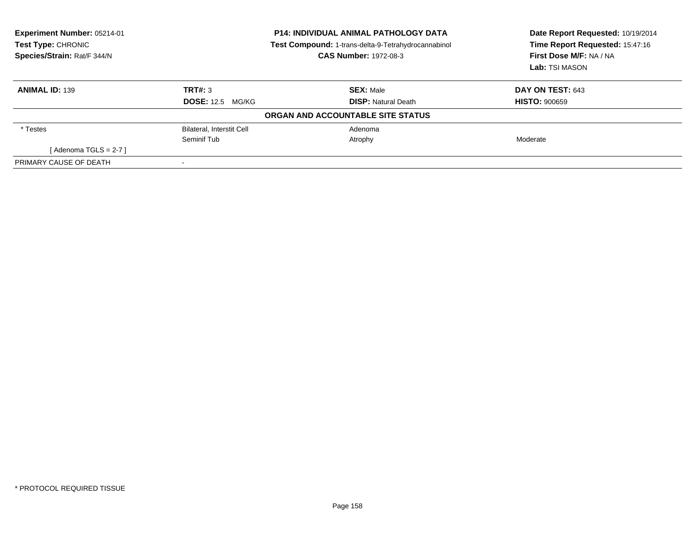| Experiment Number: 05214-01<br><b>Test Type: CHRONIC</b><br>Species/Strain: Rat/F 344/N |                                  | <b>P14: INDIVIDUAL ANIMAL PATHOLOGY DATA</b><br>Test Compound: 1-trans-delta-9-Tetrahydrocannabinol<br><b>CAS Number: 1972-08-3</b> | Date Report Requested: 10/19/2014<br>Time Report Requested: 15:47:16<br>First Dose M/F: NA / NA<br>Lab: TSI MASON |
|-----------------------------------------------------------------------------------------|----------------------------------|-------------------------------------------------------------------------------------------------------------------------------------|-------------------------------------------------------------------------------------------------------------------|
| <b>ANIMAL ID: 139</b>                                                                   | TRT#: 3                          | <b>SEX: Male</b>                                                                                                                    | DAY ON TEST: 643                                                                                                  |
|                                                                                         | <b>DOSE: 12.5 MG/KG</b>          | <b>DISP: Natural Death</b>                                                                                                          | <b>HISTO: 900659</b>                                                                                              |
|                                                                                         |                                  | ORGAN AND ACCOUNTABLE SITE STATUS                                                                                                   |                                                                                                                   |
| * Testes                                                                                | <b>Bilateral, Interstit Cell</b> | Adenoma                                                                                                                             |                                                                                                                   |
|                                                                                         | Seminif Tub                      | Atrophy                                                                                                                             | Moderate                                                                                                          |
| [Adenoma TGLS = $2-7$ ]                                                                 |                                  |                                                                                                                                     |                                                                                                                   |
| PRIMARY CAUSE OF DEATH                                                                  |                                  |                                                                                                                                     |                                                                                                                   |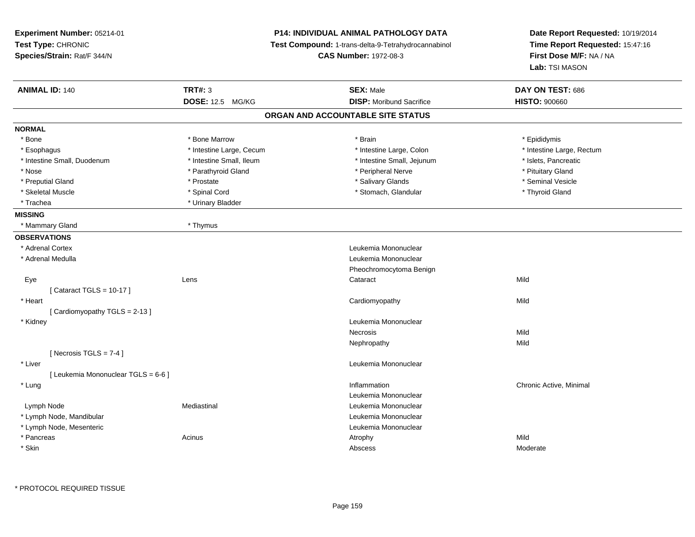| Experiment Number: 05214-01<br>Test Type: CHRONIC<br>Species/Strain: Rat/F 344/N |                          | <b>P14: INDIVIDUAL ANIMAL PATHOLOGY DATA</b><br><b>Test Compound: 1-trans-delta-9-Tetrahydrocannabinol</b><br><b>CAS Number: 1972-08-3</b> | Date Report Requested: 10/19/2014<br>Time Report Requested: 15:47:16<br>First Dose M/F: NA / NA<br>Lab: TSI MASON |
|----------------------------------------------------------------------------------|--------------------------|--------------------------------------------------------------------------------------------------------------------------------------------|-------------------------------------------------------------------------------------------------------------------|
| <b>ANIMAL ID: 140</b>                                                            | <b>TRT#: 3</b>           | <b>SEX: Male</b>                                                                                                                           | DAY ON TEST: 686                                                                                                  |
|                                                                                  | DOSE: 12.5 MG/KG         | <b>DISP:</b> Moribund Sacrifice                                                                                                            | <b>HISTO: 900660</b>                                                                                              |
|                                                                                  |                          | ORGAN AND ACCOUNTABLE SITE STATUS                                                                                                          |                                                                                                                   |
| <b>NORMAL</b>                                                                    |                          |                                                                                                                                            |                                                                                                                   |
| * Bone                                                                           | * Bone Marrow            | * Brain                                                                                                                                    | * Epididymis                                                                                                      |
| * Esophagus                                                                      | * Intestine Large, Cecum | * Intestine Large, Colon                                                                                                                   | * Intestine Large, Rectum                                                                                         |
| * Intestine Small, Duodenum                                                      | * Intestine Small, Ileum | * Intestine Small, Jejunum                                                                                                                 | * Islets, Pancreatic                                                                                              |
| * Nose                                                                           | * Parathyroid Gland      | * Peripheral Nerve                                                                                                                         | * Pituitary Gland                                                                                                 |
| * Preputial Gland                                                                | * Prostate               | * Salivary Glands                                                                                                                          | * Seminal Vesicle                                                                                                 |
| * Skeletal Muscle                                                                | * Spinal Cord            | * Stomach, Glandular                                                                                                                       | * Thyroid Gland                                                                                                   |
| * Trachea                                                                        | * Urinary Bladder        |                                                                                                                                            |                                                                                                                   |
| <b>MISSING</b>                                                                   |                          |                                                                                                                                            |                                                                                                                   |
| * Mammary Gland                                                                  | * Thymus                 |                                                                                                                                            |                                                                                                                   |
| <b>OBSERVATIONS</b>                                                              |                          |                                                                                                                                            |                                                                                                                   |
| * Adrenal Cortex                                                                 |                          | Leukemia Mononuclear                                                                                                                       |                                                                                                                   |
| * Adrenal Medulla                                                                |                          | Leukemia Mononuclear                                                                                                                       |                                                                                                                   |
|                                                                                  |                          | Pheochromocytoma Benign                                                                                                                    |                                                                                                                   |
| Eye                                                                              | Lens                     | Cataract                                                                                                                                   | Mild                                                                                                              |
| [Cataract TGLS = $10-17$ ]                                                       |                          |                                                                                                                                            |                                                                                                                   |
| * Heart                                                                          |                          | Cardiomyopathy                                                                                                                             | Mild                                                                                                              |
| [Cardiomyopathy TGLS = 2-13]                                                     |                          |                                                                                                                                            |                                                                                                                   |
| * Kidney                                                                         |                          | Leukemia Mononuclear                                                                                                                       |                                                                                                                   |
|                                                                                  |                          | <b>Necrosis</b>                                                                                                                            | Mild                                                                                                              |
|                                                                                  |                          | Nephropathy                                                                                                                                | Mild                                                                                                              |
| [Necrosis TGLS = $7-4$ ]                                                         |                          |                                                                                                                                            |                                                                                                                   |
| * Liver                                                                          |                          | Leukemia Mononuclear                                                                                                                       |                                                                                                                   |
| [ Leukemia Mononuclear TGLS = 6-6 ]                                              |                          |                                                                                                                                            |                                                                                                                   |
| * Lung                                                                           |                          | Inflammation                                                                                                                               | Chronic Active, Minimal                                                                                           |
|                                                                                  |                          | Leukemia Mononuclear                                                                                                                       |                                                                                                                   |
| Lymph Node                                                                       | Mediastinal              | Leukemia Mononuclear                                                                                                                       |                                                                                                                   |
| * Lymph Node, Mandibular                                                         |                          | Leukemia Mononuclear                                                                                                                       |                                                                                                                   |
| * Lymph Node, Mesenteric                                                         |                          | Leukemia Mononuclear                                                                                                                       |                                                                                                                   |
| * Pancreas                                                                       | Acinus                   | Atrophy                                                                                                                                    | Mild                                                                                                              |
| * Skin                                                                           |                          | Abscess                                                                                                                                    | Moderate                                                                                                          |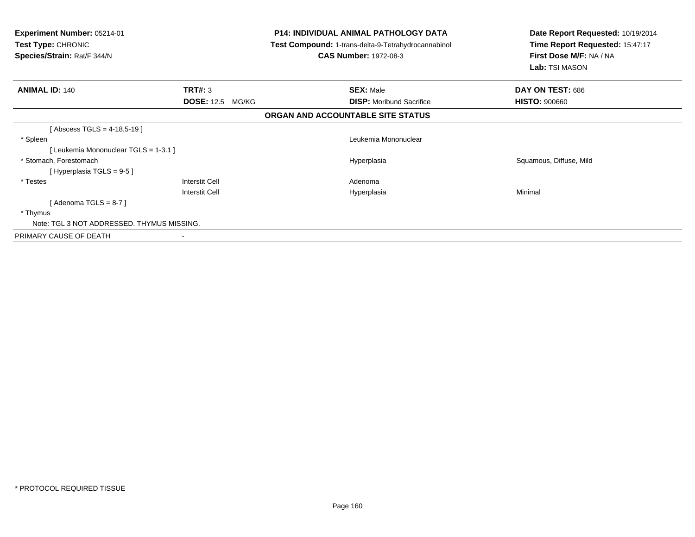| Experiment Number: 05214-01<br><b>Test Type: CHRONIC</b><br>Species/Strain: Rat/F 344/N |                         | P14: INDIVIDUAL ANIMAL PATHOLOGY DATA<br><b>Test Compound: 1-trans-delta-9-Tetrahydrocannabinol</b><br><b>CAS Number: 1972-08-3</b> | Date Report Requested: 10/19/2014<br>Time Report Requested: 15:47:17<br>First Dose M/F: NA / NA<br>Lab: TSI MASON |  |
|-----------------------------------------------------------------------------------------|-------------------------|-------------------------------------------------------------------------------------------------------------------------------------|-------------------------------------------------------------------------------------------------------------------|--|
| <b>ANIMAL ID: 140</b>                                                                   | TRT#: 3                 | <b>SEX: Male</b>                                                                                                                    | DAY ON TEST: 686                                                                                                  |  |
|                                                                                         | <b>DOSE: 12.5 MG/KG</b> | <b>DISP:</b> Moribund Sacrifice                                                                                                     | <b>HISTO: 900660</b>                                                                                              |  |
|                                                                                         |                         | ORGAN AND ACCOUNTABLE SITE STATUS                                                                                                   |                                                                                                                   |  |
| Abscess TGLS = $4-18,5-19$ ]                                                            |                         |                                                                                                                                     |                                                                                                                   |  |
| * Spleen                                                                                |                         | Leukemia Mononuclear                                                                                                                |                                                                                                                   |  |
| [Leukemia Mononuclear TGLS = 1-3.1 ]                                                    |                         |                                                                                                                                     |                                                                                                                   |  |
| * Stomach, Forestomach                                                                  |                         | Hyperplasia                                                                                                                         | Squamous, Diffuse, Mild                                                                                           |  |
| [Hyperplasia TGLS = 9-5]                                                                |                         |                                                                                                                                     |                                                                                                                   |  |
| * Testes                                                                                | Interstit Cell          | Adenoma                                                                                                                             |                                                                                                                   |  |
|                                                                                         | Interstit Cell          | Hyperplasia                                                                                                                         | Minimal                                                                                                           |  |
| [Adenoma TGLS = $8-7$ ]                                                                 |                         |                                                                                                                                     |                                                                                                                   |  |
| * Thymus                                                                                |                         |                                                                                                                                     |                                                                                                                   |  |
| Note: TGL 3 NOT ADDRESSED. THYMUS MISSING.                                              |                         |                                                                                                                                     |                                                                                                                   |  |
| PRIMARY CAUSE OF DEATH                                                                  |                         |                                                                                                                                     |                                                                                                                   |  |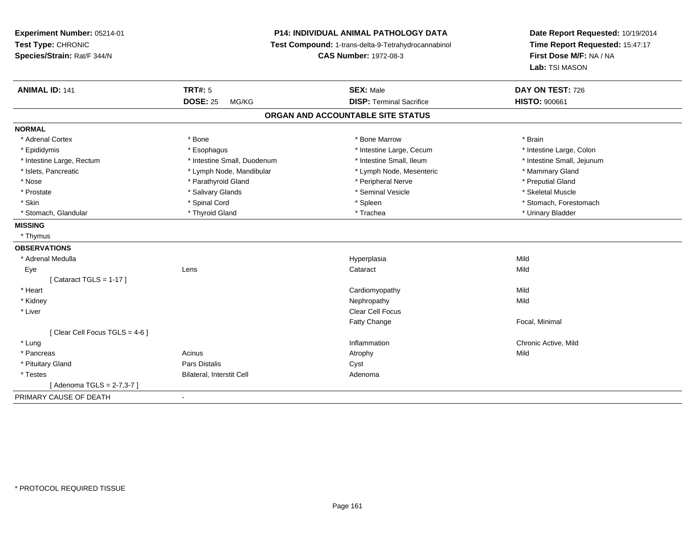**Experiment Number:** 05214-01**Test Type:** CHRONIC **Species/Strain:** Rat/F 344/N**P14: INDIVIDUAL ANIMAL PATHOLOGY DATA Test Compound:** 1-trans-delta-9-Tetrahydrocannabinol **CAS Number:** 1972-08-3**Date Report Requested:** 10/19/2014**Time Report Requested:** 15:47:17**First Dose M/F:** NA / NA**Lab:** TSI MASON**ANIMAL ID:** 141**TRT#:** 5 **SEX:** Male **DAY ON TEST:** 726 **DOSE:** 25 MG/KG**DISP:** Terminal Sacrifice **HISTO:** 900661 **ORGAN AND ACCOUNTABLE SITE STATUSNORMAL**\* Adrenal Cortex \* \* The matter of the state of the Marrow \* Bone Marrow \* Bone Marrow \* The matter of the Marrow \* Brain \* Brain \* Brain \* Brain \* Brain \* Brain \* Brain \* Brain \* Brain \* Brain \* Brain \* Brain \* Brain \* Br \* Intestine Large, Colon \* Epididymis \* Intestine Large, Cecum \* Esophagus \* Intestine Large, Cecum \* Intestine Large, Cecum \* Intestine Small, Jejunum \* Intestine Large, Rectum \* Intestine Small, Duodenum \* Intestine Small, Duodenum \* \* Intestine Small, Ileum \* Islets, Pancreatic \* The manner of the Lymph Node, Mandibular \* Lymph Node, Mesenteric \* Mammary Gland \* Preputial Gland \* Nose \* Parathyroid Gland \* Peripheral Nerve \* Preputial Gland \* Skeletal Muscle \* Prostate \* \* Skeletal Muscle \* \* Salivary Glands \* \* Steminal Vesicle \* \* Seminal Vesicle \* \* Skeletal Muscle \* Skin \* Spinal Cord \* Spinal Cord \* Spinal Cord \* Spinal \* Spinal \* Stomach, Forestomach \* Stomach, Forestomach \* Stomach, Glandular \* Thyroid Gland \* Thyroid Gland \* Trachea \* Trachea \* Trachea \* Urinary Bladder **MISSING** \* Thymus**OBSERVATIONS** \* Adrenal Medullaa and the control of the control of the control of the Hyperplasia and the control of the Mild of the control o Eyee and the contract of the contract of the contract of the contract of the contract of the contract of the contract of the contract of the contract of the contract of the contract of the contract of the contract of the cont  $[$  Cataract TGLS = 1-17  $]$  \* Heart Cardiomyopathyy Mild Mild \* Kidneyy the controller of the controller of the controller of the controller of the controller of the controller of the controller of the controller of the controller of the controller of the controller of the controller of the \* Liverr and the contract of the contract of the contract of the contract of the contract of the contract of the contract of the contract of the contract of the contract of the contract of the contract of the contract of the cont Fatty Change Focal, Minimal [ Clear Cell Focus TGLS = 4-6 ] \* Lung Inflammation Chronic Active, Mild \* Pancreass the contract of the contract of the contract of the contract of the contract of the contract of the contract of the contract of the contract of the contract of the contract of the contract of the contract of the contract \* Pituitary Glandd **Example 2018** Pars Distalis **Contains 2018** Cyst \* TestesBilateral, Interstit Cell **Adenoma** Adenoma [ Adenoma TGLS = 2-7,3-7 ]PRIMARY CAUSE OF DEATH-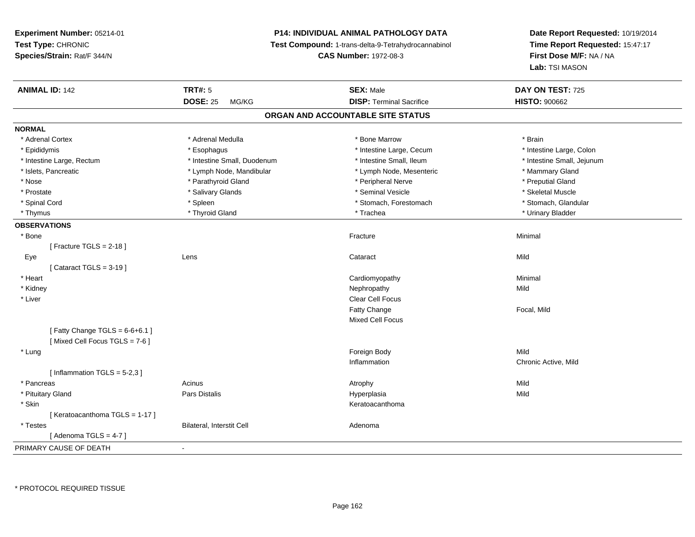# **P14: INDIVIDUAL ANIMAL PATHOLOGY DATA**

**Test Compound:** 1-trans-delta-9-Tetrahydrocannabinol

**CAS Number:** 1972-08-3

**Date Report Requested:** 10/19/2014 **Time Report Requested:** 15:47:17**First Dose M/F:** NA / NA**Lab:** TSI MASON

| <b>ANIMAL ID: 142</b>            | <b>TRT#: 5</b>              | <b>SEX: Male</b>                  | DAY ON TEST: 725           |  |
|----------------------------------|-----------------------------|-----------------------------------|----------------------------|--|
|                                  | <b>DOSE: 25</b><br>MG/KG    | <b>DISP: Terminal Sacrifice</b>   | <b>HISTO: 900662</b>       |  |
|                                  |                             | ORGAN AND ACCOUNTABLE SITE STATUS |                            |  |
| <b>NORMAL</b>                    |                             |                                   |                            |  |
| * Adrenal Cortex                 | * Adrenal Medulla           | * Bone Marrow                     | * Brain                    |  |
| * Epididymis                     | * Esophagus                 | * Intestine Large, Cecum          | * Intestine Large, Colon   |  |
| * Intestine Large, Rectum        | * Intestine Small, Duodenum | * Intestine Small, Ileum          | * Intestine Small, Jejunum |  |
| * Islets, Pancreatic             | * Lymph Node, Mandibular    | * Lymph Node, Mesenteric          | * Mammary Gland            |  |
| * Nose                           | * Parathyroid Gland         | * Peripheral Nerve                | * Preputial Gland          |  |
| * Prostate                       | * Salivary Glands           | * Seminal Vesicle                 | * Skeletal Muscle          |  |
| * Spinal Cord                    | * Spleen                    | * Stomach, Forestomach            | * Stomach, Glandular       |  |
| * Thymus                         | * Thyroid Gland             | * Trachea                         | * Urinary Bladder          |  |
| <b>OBSERVATIONS</b>              |                             |                                   |                            |  |
| * Bone                           |                             | Fracture                          | Minimal                    |  |
| [Fracture TGLS = $2-18$ ]        |                             |                                   |                            |  |
| Eye                              | Lens                        | Cataract                          | Mild                       |  |
| [Cataract TGLS = $3-19$ ]        |                             |                                   |                            |  |
| * Heart                          |                             | Cardiomyopathy                    | Minimal                    |  |
| * Kidney                         |                             | Nephropathy                       | Mild                       |  |
| * Liver                          |                             | Clear Cell Focus                  |                            |  |
|                                  |                             | Fatty Change                      | Focal, Mild                |  |
|                                  |                             | <b>Mixed Cell Focus</b>           |                            |  |
| [Fatty Change TGLS = $6-6+6.1$ ] |                             |                                   |                            |  |
| [Mixed Cell Focus TGLS = 7-6]    |                             |                                   |                            |  |
| * Lung                           |                             | Foreign Body                      | Mild                       |  |
|                                  |                             | Inflammation                      | Chronic Active, Mild       |  |
| [Inflammation TGLS = $5-2,3$ ]   |                             |                                   |                            |  |
| * Pancreas                       | Acinus                      | Atrophy                           | Mild                       |  |
| * Pituitary Gland                | Pars Distalis               | Hyperplasia                       | Mild                       |  |
| * Skin                           |                             | Keratoacanthoma                   |                            |  |
| [Keratoacanthoma TGLS = 1-17]    |                             |                                   |                            |  |
| * Testes                         | Bilateral, Interstit Cell   | Adenoma                           |                            |  |
| [Adenoma TGLS = $4-7$ ]          |                             |                                   |                            |  |
| PRIMARY CAUSE OF DEATH           | $\blacksquare$              |                                   |                            |  |
|                                  |                             |                                   |                            |  |

\* PROTOCOL REQUIRED TISSUE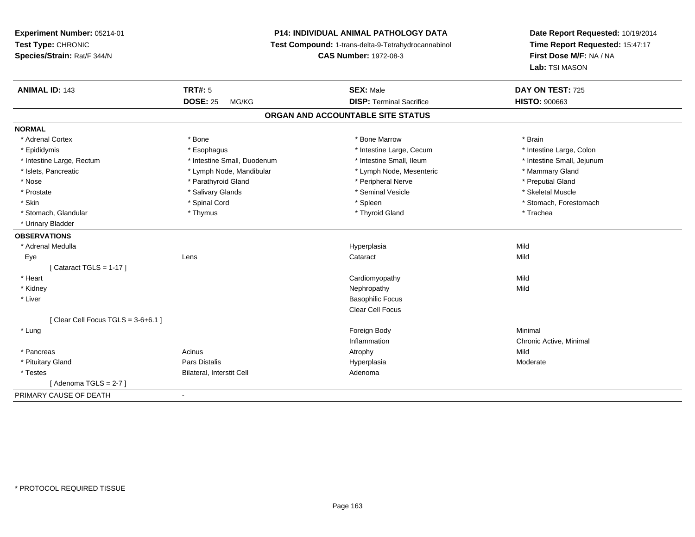# **P14: INDIVIDUAL ANIMAL PATHOLOGY DATA**

**Test Compound:** 1-trans-delta-9-Tetrahydrocannabinol

**CAS Number:** 1972-08-3

| <b>ANIMAL ID: 143</b>                | <b>TRT#: 5</b>              | <b>SEX: Male</b>                | DAY ON TEST: 725           |  |  |  |
|--------------------------------------|-----------------------------|---------------------------------|----------------------------|--|--|--|
|                                      | <b>DOSE: 25</b><br>MG/KG    | <b>DISP: Terminal Sacrifice</b> | <b>HISTO: 900663</b>       |  |  |  |
| ORGAN AND ACCOUNTABLE SITE STATUS    |                             |                                 |                            |  |  |  |
| <b>NORMAL</b>                        |                             |                                 |                            |  |  |  |
| * Adrenal Cortex                     | * Bone                      | * Bone Marrow                   | * Brain                    |  |  |  |
| * Epididymis                         | * Esophagus                 | * Intestine Large, Cecum        | * Intestine Large, Colon   |  |  |  |
| * Intestine Large, Rectum            | * Intestine Small, Duodenum | * Intestine Small, Ileum        | * Intestine Small, Jejunum |  |  |  |
| * Islets, Pancreatic                 | * Lymph Node, Mandibular    | * Lymph Node, Mesenteric        | * Mammary Gland            |  |  |  |
| * Nose                               | * Parathyroid Gland         | * Peripheral Nerve              | * Preputial Gland          |  |  |  |
| * Prostate                           | * Salivary Glands           | * Seminal Vesicle               | * Skeletal Muscle          |  |  |  |
| * Skin                               | * Spinal Cord               | * Spleen                        | * Stomach, Forestomach     |  |  |  |
| * Stomach, Glandular                 | * Thymus                    | * Thyroid Gland                 | * Trachea                  |  |  |  |
| * Urinary Bladder                    |                             |                                 |                            |  |  |  |
| <b>OBSERVATIONS</b>                  |                             |                                 |                            |  |  |  |
| * Adrenal Medulla                    |                             | Hyperplasia                     | Mild                       |  |  |  |
| Eye                                  | Lens                        | Cataract                        | Mild                       |  |  |  |
| [Cataract TGLS = $1-17$ ]            |                             |                                 |                            |  |  |  |
| * Heart                              |                             | Cardiomyopathy                  | Mild                       |  |  |  |
| * Kidney                             |                             | Nephropathy                     | Mild                       |  |  |  |
| * Liver                              |                             | <b>Basophilic Focus</b>         |                            |  |  |  |
|                                      |                             | Clear Cell Focus                |                            |  |  |  |
| [Clear Cell Focus TGLS = $3-6+6.1$ ] |                             |                                 |                            |  |  |  |
| * Lung                               |                             | Foreign Body                    | Minimal                    |  |  |  |
|                                      |                             | Inflammation                    | Chronic Active, Minimal    |  |  |  |
| * Pancreas                           | Acinus                      | Atrophy                         | Mild                       |  |  |  |
| * Pituitary Gland                    | Pars Distalis               | Hyperplasia                     | Moderate                   |  |  |  |
| * Testes                             | Bilateral, Interstit Cell   | Adenoma                         |                            |  |  |  |
| [Adenoma TGLS = 2-7]                 |                             |                                 |                            |  |  |  |
| PRIMARY CAUSE OF DEATH               | $\overline{\phantom{a}}$    |                                 |                            |  |  |  |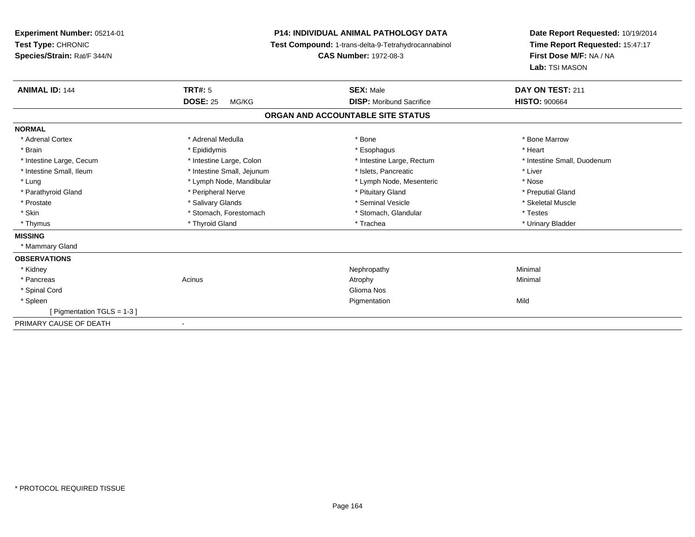**Experiment Number:** 05214-01**Test Type:** CHRONIC **Species/Strain:** Rat/F 344/N**P14: INDIVIDUAL ANIMAL PATHOLOGY DATA Test Compound:** 1-trans-delta-9-Tetrahydrocannabinol **CAS Number:** 1972-08-3**Date Report Requested:** 10/19/2014**Time Report Requested:** 15:47:17**First Dose M/F:** NA / NA**Lab:** TSI MASON**ANIMAL ID:** 144 **TRT#:** <sup>5</sup> **SEX:** Male **DAY ON TEST:** <sup>211</sup> **DOSE:** 25 MG/KG **DISP:** Moribund Sacrifice **HISTO:** <sup>900664</sup> **ORGAN AND ACCOUNTABLE SITE STATUSNORMAL**\* Adrenal Cortex \* Adrenal Medulla \* Adrenal Medulla \* Bone \* Bone \* Bone \* Bone \* Bone Marrow \* Brain \* \* Esophagus \* \* Esophagus \* \* Esophagus \* \* Esophagus \* \* Esophagus \* Heart \* Heart \* Heart \* Heart \* Intestine Large, Cecum \* Intestine Large, Colon \* Intestine Large, Rectum \* Intestine Small, Duodenum \* Intestine Small, Ileum \* Thestine Small, Jejunum \* Islets, Pancreatic \* Liver \* Liver \* Lung \* Lymph Node, Mandibular \* Nose \* Lymph Node, Mesenteric \* Nose \* Nose \* Preputial Gland \* Parathyroid Gland \* **All and \* Peripheral Nerve \* Preputial Gland \* Pituitary Gland** \* Prituitary Gland \* Skeletal Muscle \* Prostate \* \* Skeletal Muscle \* \* Salivary Glands \* \* Steminal Vesicle \* \* Seminal Vesicle \* \* Skeletal Muscle \* Skin \* Stomach, Forestomach \* Stomach, \* Stomach, \* Stomach, Glandular \* Testes \* Urinary Bladder \* Thymus \* Thyroid Gland \* Trachea \* Urinary Bladder \* **MISSING** \* Mammary Gland**OBSERVATIONS** \* Kidneyy the control of the control of the control of the control of the control of the control of the control of the control of the control of the control of the control of the control of the control of the control of the contro \* Pancreass the control of the control of the control of the control of the control of the control of the control of the control of the control of the control of the control of the control of the control of the control of the contro \* Spinal Cordd Glioma Nostro and the China Nostro and the China Nostro and the China Nostro and the China Nostro and the China Nostro and the China Nostro and the China Nostro and the China Nostro and the China Nostro and the China Nos \* Spleenn and the control of the control of the control of the control of the control of the control of the control of the control of the control of the control of the control of the control of the control of the control of the co [ Pigmentation TGLS = 1-3 ]PRIMARY CAUSE OF DEATH-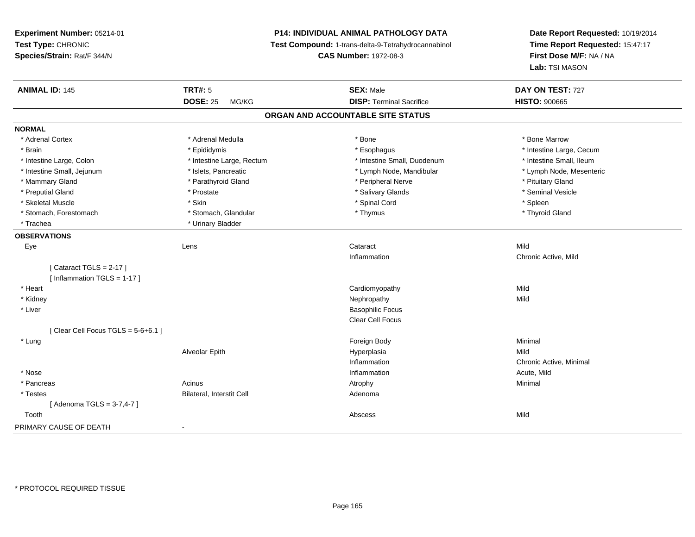# **P14: INDIVIDUAL ANIMAL PATHOLOGY DATA**

**Test Compound:** 1-trans-delta-9-Tetrahydrocannabinol

**CAS Number:** 1972-08-3

| <b>ANIMAL ID: 145</b>                | <b>TRT#: 5</b>            | <b>SEX: Male</b>                  | DAY ON TEST: 727         |  |
|--------------------------------------|---------------------------|-----------------------------------|--------------------------|--|
|                                      | <b>DOSE: 25</b><br>MG/KG  | <b>DISP: Terminal Sacrifice</b>   | <b>HISTO: 900665</b>     |  |
|                                      |                           | ORGAN AND ACCOUNTABLE SITE STATUS |                          |  |
| <b>NORMAL</b>                        |                           |                                   |                          |  |
| * Adrenal Cortex                     | * Adrenal Medulla         | * Bone                            | * Bone Marrow            |  |
| * Brain                              | * Epididymis              | * Esophagus                       | * Intestine Large, Cecum |  |
| * Intestine Large, Colon             | * Intestine Large, Rectum | * Intestine Small, Duodenum       | * Intestine Small, Ileum |  |
| * Intestine Small, Jejunum           | * Islets, Pancreatic      | * Lymph Node, Mandibular          | * Lymph Node, Mesenteric |  |
| * Mammary Gland                      | * Parathyroid Gland       | * Peripheral Nerve                | * Pituitary Gland        |  |
| * Preputial Gland                    | * Prostate                | * Salivary Glands                 | * Seminal Vesicle        |  |
| * Skeletal Muscle                    | * Skin                    | * Spinal Cord                     | * Spleen                 |  |
| * Stomach, Forestomach               | * Stomach, Glandular      | * Thymus                          | * Thyroid Gland          |  |
| * Trachea                            | * Urinary Bladder         |                                   |                          |  |
| <b>OBSERVATIONS</b>                  |                           |                                   |                          |  |
| Eye                                  | Lens                      | Cataract                          | Mild                     |  |
|                                      |                           | Inflammation                      | Chronic Active, Mild     |  |
| [Cataract TGLS = $2-17$ ]            |                           |                                   |                          |  |
| [Inflammation TGLS = $1-17$ ]        |                           |                                   |                          |  |
| * Heart                              |                           | Cardiomyopathy                    | Mild                     |  |
| * Kidney                             |                           | Nephropathy                       | Mild                     |  |
| * Liver                              |                           | <b>Basophilic Focus</b>           |                          |  |
|                                      |                           | Clear Cell Focus                  |                          |  |
| [Clear Cell Focus TGLS = $5-6+6.1$ ] |                           |                                   |                          |  |
| * Lung                               |                           | Foreign Body                      | Minimal                  |  |
|                                      | Alveolar Epith            | Hyperplasia                       | Mild                     |  |
|                                      |                           | Inflammation                      | Chronic Active, Minimal  |  |
| * Nose                               |                           | Inflammation                      | Acute, Mild              |  |
| * Pancreas                           | Acinus                    | Atrophy                           | Minimal                  |  |
| * Testes                             | Bilateral, Interstit Cell | Adenoma                           |                          |  |
| [Adenoma TGLS = 3-7,4-7]             |                           |                                   |                          |  |
| Tooth                                |                           | Abscess                           | Mild                     |  |
| PRIMARY CAUSE OF DEATH               | $\blacksquare$            |                                   |                          |  |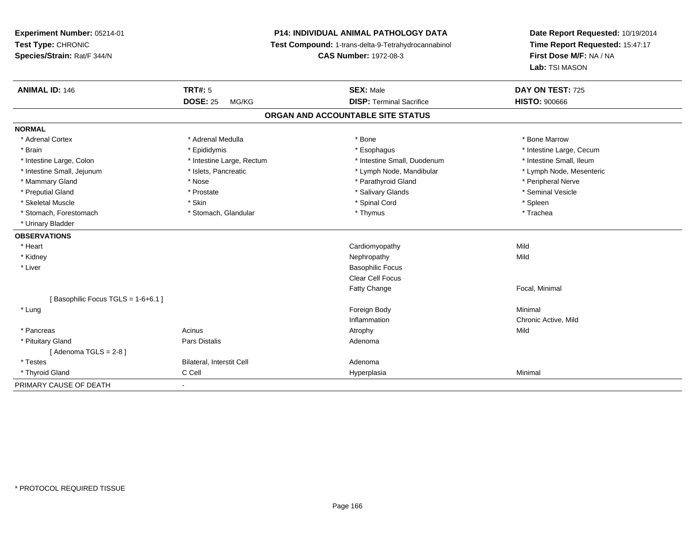**Experiment Number:** 05214-01**Test Type:** CHRONIC **Species/Strain:** Rat/F 344/N**P14: INDIVIDUAL ANIMAL PATHOLOGY DATA Test Compound:** 1-trans-delta-9-Tetrahydrocannabinol **CAS Number:** 1972-08-3**Date Report Requested:** 10/19/2014**Time Report Requested:** 15:47:17**First Dose M/F:** NA / NA**Lab:** TSI MASON**ANIMAL ID:** 146**6 DAY ON TEST:** 725 **DOSE:** 25 MG/KG**DISP:** Terminal Sacrifice **HISTO:**  $900666$ **ORGAN AND ACCOUNTABLE SITE STATUSNORMAL**\* Adrenal Cortex \* Adrenal Medulla \* Adrenal Medulla \* Bone \* Bone \* Bone \* Bone \* Bone Marrow \* Brain \* Explorer \* Epididymis \* \* Epididymis \* \* Esophagus \* Esophagus \* \* Esophagus \* Intestine Large, Cecum \* \* Intestine Large, Cecum \* Intestine Small, Ileum \* Intestine Large, Colon \* Intestine Large, Rectum \* Intestine Small, Duodenum \* Intestine Small, Duodenum \* Lymph Node, Mesenteric \* Intestine Small, Jejunum \* Mandibular \* Islets, Pancreatic \* Mandibular \* Lymph Node, Mandibular \* Mammary Gland \* \* Annume \* Nose \* \* Nose \* \* Parathyroid Gland \* Peripheral Nerve \* Peripheral Nerve \* \* Peripheral Nerve \* \* Peripheral Nerve \* \* Peripheral Nerve \* \* Peripheral Nerve \* \* Peripheral Nerve \* \* \* \* \* \* \* \* Seminal Vesicle \* Preputial Gland \* \* Annual vesicle \* \* Prostate \* \* Salivary Glands \* \* Salivary Glands \* \* Seminal Vesicle \* \* Skeletal Muscle \* Skin \* Spinal Cord \* Spleen \* Trachea \* Stomach, Forestomach \* Thymus \* Stomach, Glandular \* Thymus \* Thymus \* Thymus \* Thymus \* Thymus \* Thymus \* Thymus \* Thymus \* Thymus \* Thymus \* Thymus \* Thymus \* Thymus \* Thymus \* Thymus \* Thymus \* Thymus \* Thymus \* Thymu \* Urinary Bladder**OBSERVATIONS** \* Heart Cardiomyopathyy Mild Mild \* Kidneyy the control of the control of the control of the control of the control of the control of the control of the control of the control of the control of the control of the control of the control of the control of the contro \* Liver Basophilic Focus Clear Cell FocusFatty Change Focal, Minimal [ Basophilic Focus TGLS = 1-6+6.1 ] \* Lungg and the state of the state of the state of the state of the state of the state of the state of the state of the state of the state of the state of the state of the state of the state of the state of the state of the stat Inflammation Chronic Active, Mild \* Pancreass and the contract of the Acinus and Acinus and Acinus and Acinus Atrophy and Acinus and Mild \* Pituitary Glandd and the contract of Pars Distalis and the contract of Adenoma and Adenoma and the Adenoma and the Adenoma and  $\alpha$  $[$  Adenoma TGLS = 2-8  $]$  \* TestesBilateral, Interstit Cell **Adenoma** Hyperplasia \* Thyroid Gland C Cell Hyperplasia Minimal PRIMARY CAUSE OF DEATH-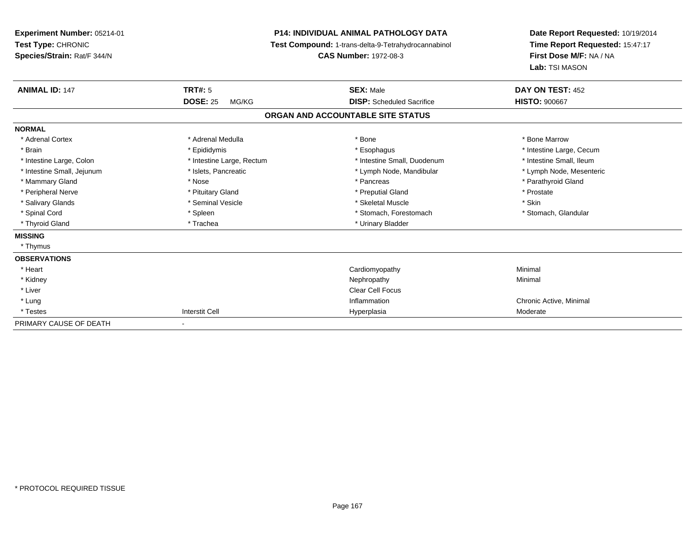**Experiment Number:** 05214-01**Test Type:** CHRONIC **Species/Strain:** Rat/F 344/N**P14: INDIVIDUAL ANIMAL PATHOLOGY DATA Test Compound:** 1-trans-delta-9-Tetrahydrocannabinol **CAS Number:** 1972-08-3**Date Report Requested:** 10/19/2014**Time Report Requested:** 15:47:17**First Dose M/F:** NA / NA**Lab:** TSI MASON**ANIMAL ID:** 147**TRT#:** 5 **SEX:** Male **DAY ON TEST:** 452 **DOSE:** 25 MG/KG **DISP:** Scheduled Sacrifice **HISTO:** <sup>900667</sup> **ORGAN AND ACCOUNTABLE SITE STATUSNORMAL**\* Adrenal Cortex \* Adrenal Medulla \* Adrenal Medulla \* Bone \* Bone \* Bone \* Bone \* Bone Marrow \* Brain \* Explorer \* Epididymis \* \* Epididymis \* \* Esophagus \* Esophagus \* \* Esophagus \* Intestine Large, Cecum \* \* Intestine Large, Cecum \* Intestine Small, Ileum \* Intestine Large, Colon \* Intestine Large, Rectum \* Intestine Small, Duodenum \* Intestine Small, Duodenum \* Lymph Node, Mesenteric \* Intestine Small, Jejunum \* Mandibular \* Islets, Pancreatic \* Mandibular \* Lymph Node, Mandibular \* Mammary Gland \* \* Nose \* \* Nose \* \* Pancreas \* Pancreas \* \* Pancreas \* \* Pancreas \* \* Pancreas \* \* Parathyroid Gland \* Peripheral Nerve \* \* \* Prostate \* \* Pretuitary Gland \* \* \* \* \* \* \* Preputial Gland \* \* \* Prostate \* Prostate \* Salivary Glands \* Seminal Vesicle \* Seminal Vesicle \* Skeletal Muscle \* Skeletal Muscle \* Skin \* Stomach, Glandular \* Spinal Cord \* Spinal Cord \* Spinal Cord \* Stomach, Forestomach \* Spinal Cord \* Stomach, Forestomach \* Thyroid Gland \* Trachea \* Trachea \* Trachea \* Trachea \* Urinary Bladder **MISSING** \* Thymus**OBSERVATIONS** \* Heart Cardiomyopathy Minimal \* Kidneyy the control of the control of the control of the control of the control of the control of the control of the control of the control of the control of the control of the control of the control of the control of the contro \* Liverr and the contract of the contract of the contract of the contract of the contract of the contract of the contract of the contract of the contract of the contract of the contract of the contract of the contract of the cont \* Lungg is a controller to the controller of the controller of the chronic Active, Minimal of the chronic Active, Minimal of the chronic Active, Minimal of the chronic Active, Minimal of the chronic Active, Minimal of the chroni \* Testess and the contract of the contract of the contract of the contract of the contract of the contract of the contract of the contract of the contract of the contract of the contract of the contract of the contract of the cont Hyperplasia Moderate PRIMARY CAUSE OF DEATH-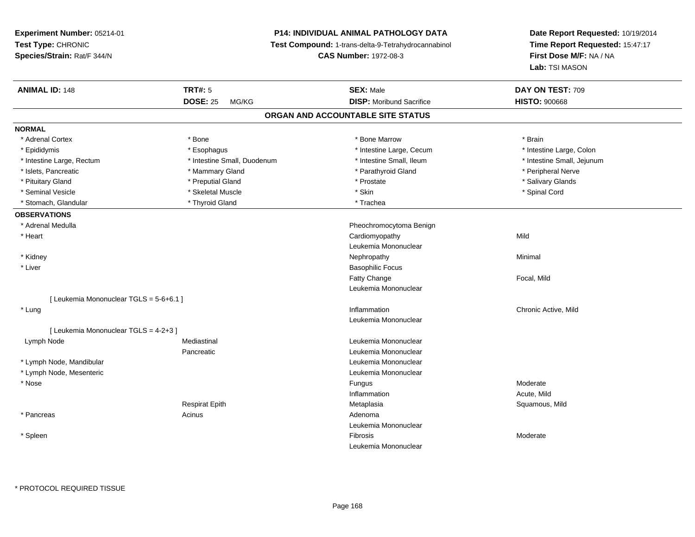**Experiment Number:** 05214-01**Test Type:** CHRONIC **Species/Strain:** Rat/F 344/N**P14: INDIVIDUAL ANIMAL PATHOLOGY DATA Test Compound:** 1-trans-delta-9-Tetrahydrocannabinol **CAS Number:** 1972-08-3**Date Report Requested:** 10/19/2014**Time Report Requested:** 15:47:17**First Dose M/F:** NA / NA**Lab:** TSI MASON**ANIMAL ID:** 148**TRT#:** 5 **SEX:** Male **DAY ON TEST:** 709 **DOSE:** 25 MG/KG**DISP:** Moribund Sacrifice **HISTO:**  $900668$ **ORGAN AND ACCOUNTABLE SITE STATUSNORMAL**\* Adrenal Cortex \* Adrenal Cortex \* \* Adrenal Cortex \* Brain \* Bone \* \* Bone Marrow \* Bone Marrow \* \* Brain \* Brain \* Brain \* Brain \* Brain \* Brain \* Brain \* Brain \* Brain \* Brain \* Brain \* Brain \* Brain \* Brain \* Brain \* Brain \* Brain \* B \* Epididymis **\* Execution Contract Contract Constructs** \* Intestine Large, Cecum \* Intestine Large, Colon \* Intestine Large, Colon \* Intestine Large, Rectum \* Thestine Small, Duodenum \* Number of the small, Ileum \* Intestine Small, Jejunum \* Intestine Small, Jejunum \* Islets, Pancreatic \* \* The mannery Gland \* Mammary Gland \* Parathyroid Gland \* Parathyroid Gland \* Peripheral Nerve \* Salivary Glands \* Pituitary Gland \* \* Then the state \* Preputial Gland \* Prosection \* Prostate \* \* Salivary Glands \* Salivary Glands \* Salivary Glands \* Salivary Glands \* Salivary Glands \* Salivary Glands \* Salivary Glands \* Salivary Glan \* Seminal Vesicle \* \* Spinal Cord \* Skeletal Muscle \* \* Skin \* \* Skin \* \* Spinal Vesicle \* Spinal Cord \* Spinal Cord \* Stomach, Glandular \* The \* Thyroid Gland \* The \* Trachea **OBSERVATIONS** \* Adrenal Medulla Pheochromocytoma Benign \* Heart Cardiomyopathyy Mild Leukemia Mononuclear \* Kidneyy the control of the control of the control of the control of the control of the control of the control of the control of the control of the control of the control of the control of the control of the control of the contro \* Liver Basophilic FocusFatty Change Focal, Mild Leukemia Mononuclear[ Leukemia Mononuclear TGLS = 5-6+6.1 ] \* Lungg is a controller to the controller of the controller of the controller of the controller of the controller of  $\alpha$  chronic Active, Mild Leukemia Mononuclear[ Leukemia Mononuclear TGLS = 4-2+3 ] Lymph NodeMediastinal **Mediastinal** Mononuclear Pancreatic Leukemia Mononuclear \* Lymph Node, Mandibular Leukemia Mononuclear \* Lymph Node, Mesenteric Leukemia Mononuclear \* Nosee de la contrate de la contrate de la contrate de la contrate de la contrate de la contrate de la contrate de l<br>Desdevenirs de la contrate de la contrate de la contrate de la contrate de la contrate de la contrate de la co Inflammation Acute, Mild Respirat Epith Metaplasia Squamous, Mild \* Pancreas Acinus Adenoma Leukemia Mononuclear \* Spleenn and the state of the state of the state of the state of the state of the state of the state of the state of the state of the state of the state of the state of the state of the state of the state of the state of the stat Leukemia Mononuclear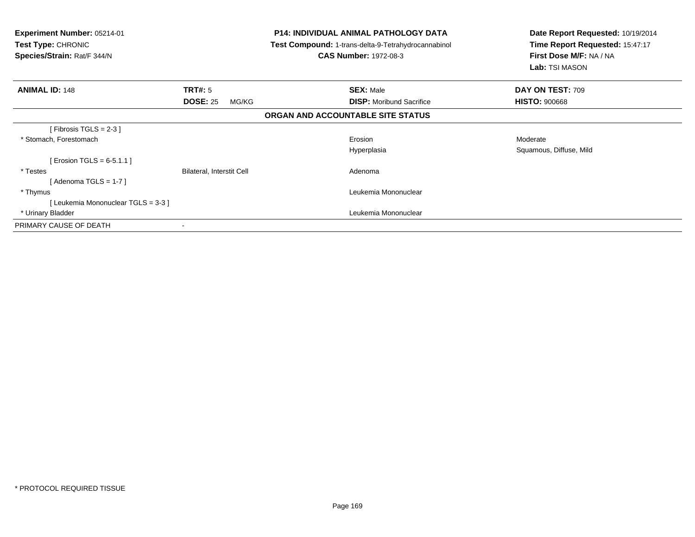| <b>Experiment Number: 05214-01</b><br><b>Test Type: CHRONIC</b><br>Species/Strain: Rat/F 344/N |                           | <b>P14: INDIVIDUAL ANIMAL PATHOLOGY DATA</b><br>Test Compound: 1-trans-delta-9-Tetrahydrocannabinol<br><b>CAS Number: 1972-08-3</b> | Date Report Requested: 10/19/2014<br>Time Report Requested: 15:47:17<br>First Dose M/F: NA / NA<br>Lab: TSI MASON |  |
|------------------------------------------------------------------------------------------------|---------------------------|-------------------------------------------------------------------------------------------------------------------------------------|-------------------------------------------------------------------------------------------------------------------|--|
| <b>ANIMAL ID: 148</b>                                                                          | <b>TRT#: 5</b>            | <b>SEX: Male</b>                                                                                                                    | DAY ON TEST: 709                                                                                                  |  |
|                                                                                                | <b>DOSE: 25</b><br>MG/KG  | <b>DISP:</b> Moribund Sacrifice                                                                                                     | <b>HISTO: 900668</b>                                                                                              |  |
|                                                                                                |                           | ORGAN AND ACCOUNTABLE SITE STATUS                                                                                                   |                                                                                                                   |  |
| [Fibrosis TGLS = $2-3$ ]                                                                       |                           |                                                                                                                                     |                                                                                                                   |  |
| * Stomach, Forestomach                                                                         |                           | Erosion                                                                                                                             | Moderate                                                                                                          |  |
|                                                                                                |                           | Hyperplasia                                                                                                                         | Squamous, Diffuse, Mild                                                                                           |  |
| [ Erosion TGLS = $6-5.1.1$ ]                                                                   |                           |                                                                                                                                     |                                                                                                                   |  |
| * Testes                                                                                       | Bilateral, Interstit Cell | Adenoma                                                                                                                             |                                                                                                                   |  |
| [ Adenoma TGLS = 1-7 ]                                                                         |                           |                                                                                                                                     |                                                                                                                   |  |
| * Thymus                                                                                       |                           | Leukemia Mononuclear                                                                                                                |                                                                                                                   |  |
| [Leukemia Mononuclear TGLS = 3-3 ]                                                             |                           |                                                                                                                                     |                                                                                                                   |  |
| * Urinary Bladder                                                                              |                           | Leukemia Mononuclear                                                                                                                |                                                                                                                   |  |
| PRIMARY CAUSE OF DEATH                                                                         | ۰                         |                                                                                                                                     |                                                                                                                   |  |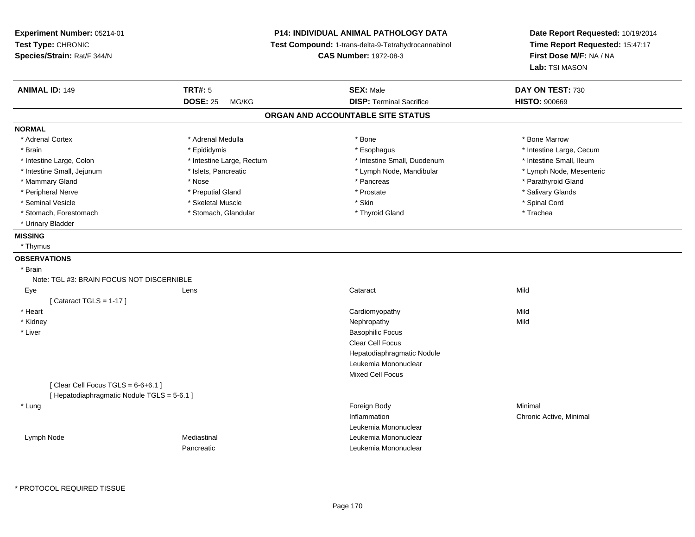**Experiment Number:** 05214-01**Test Type:** CHRONIC **Species/Strain:** Rat/F 344/N**P14: INDIVIDUAL ANIMAL PATHOLOGY DATA Test Compound:** 1-trans-delta-9-Tetrahydrocannabinol **CAS Number:** 1972-08-3**Date Report Requested:** 10/19/2014**Time Report Requested:** 15:47:17**First Dose M/F:** NA / NA**Lab:** TSI MASON**ANIMAL ID:** 149**TRT#:** 5 **SEX:** Male **DAY ON TEST:** 730 **DOSE:** 25 MG/KG**DISP:** Terminal Sacrifice **HISTO:**  $900669$ **ORGAN AND ACCOUNTABLE SITE STATUSNORMAL**\* Adrenal Cortex \* Adrenal Medulla \* Adrenal Medulla \* Bone \* Bone \* Bone \* Bone \* Bone Marrow \* Brain \* Explorer \* Epididymis \* \* Epididymis \* \* Esophagus \* Esophagus \* \* Esophagus \* Intestine Large, Cecum \* \* Intestine Large, Cecum \* Intestine Small. Ileum \* Intestine Large, Colon \* Intestine Large, Rectum \* Intestine Small, Duodenum \* Intestine Small, Duodenum \* Lymph Node, Mesenteric \* Intestine Small, Jejunum \* Mandibular \* Islets, Pancreatic \* Mandibular \* Lymph Node, Mandibular \* Mammary Gland \* \* Nose \* \* Nose \* \* Pancreas \* Pancreas \* \* Pancreas \* \* Pancreas \* \* Pancreas \* \* Parathyroid Gland \* Peripheral Nerve \* \* \* Preputial Gland \* \* Preputial Gland \* \* Prostate \* \* Salivary Glands \* Salivary Glands \* Seminal Vesicle \* \* Spinal Cord \* Skeletal Muscle \* \* Skin \* \* Skin \* \* Spinal Vesicle \* Spinal Cord \* Spinal Cord \* Stomach, Forestomach \* Trachea \* Stomach, Glandular \* Thyroid Gland \* Thyroid Gland \* Trachea \* Urinary Bladder**MISSING** \* Thymus**OBSERVATIONS** \* Brain Note: TGL #3: BRAIN FOCUS NOT DISCERNIBLELens Eyee and the contract of the contract of the contract of the contract of the contract of the contract of the contract of the contract of the contract of the contract of the contract of the contract of the contract of the cont  $[$  Cataract TGLS = 1-17  $]$  \* Heart Cardiomyopathyy Mild Mild \* Kidneyy the controller of the controller of the controller of the controller of the controller of the controller of the controller of the controller of the controller of the controller of the controller of the controller of the \* Liver Basophilic Focus Clear Cell Focus Hepatodiaphragmatic NoduleLeukemia MononuclearMixed Cell Focus $[$  Clear Cell Focus TGLS = 6-6+6.1 ] [ Hepatodiaphragmatic Nodule TGLS = 5-6.1 ] \* Lungg and the state of the state of the state of the state of the state of the state of the state of the state of the state of the state of the state of the state of the state of the state of the state of the state of the stat Inflammation Chronic Active, Minimal Leukemia Mononucleare and the mediastinal development of the Mediastinal Control of the Mononuclear and the Leukemia Mononuclear Lymph NodePancreaticLeukemia Mononuclear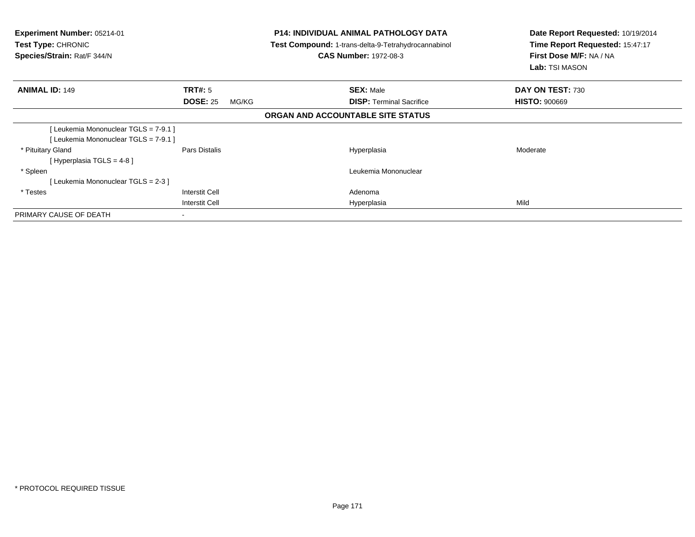| <b>Experiment Number: 05214-01</b><br><b>Test Type: CHRONIC</b><br>Species/Strain: Rat/F 344/N |                          | <b>P14: INDIVIDUAL ANIMAL PATHOLOGY DATA</b><br>Test Compound: 1-trans-delta-9-Tetrahydrocannabinol<br><b>CAS Number: 1972-08-3</b> | Date Report Requested: 10/19/2014<br>Time Report Requested: 15:47:17<br>First Dose M/F: NA / NA<br>Lab: TSI MASON |
|------------------------------------------------------------------------------------------------|--------------------------|-------------------------------------------------------------------------------------------------------------------------------------|-------------------------------------------------------------------------------------------------------------------|
| <b>ANIMAL ID: 149</b>                                                                          | <b>TRT#:</b> 5           | <b>SEX: Male</b>                                                                                                                    | DAY ON TEST: 730                                                                                                  |
|                                                                                                | <b>DOSE: 25</b><br>MG/KG | <b>DISP:</b> Terminal Sacrifice                                                                                                     | <b>HISTO: 900669</b>                                                                                              |
|                                                                                                |                          | ORGAN AND ACCOUNTABLE SITE STATUS                                                                                                   |                                                                                                                   |
| Leukemia Mononuclear TGLS = 7-9.1 ]<br>Leukemia Mononuclear TGLS = 7-9.1 ]                     |                          |                                                                                                                                     |                                                                                                                   |
| * Pituitary Gland<br>[Hyperplasia TGLS = $4-8$ ]                                               | Pars Distalis            | Hyperplasia                                                                                                                         | Moderate                                                                                                          |
| * Spleen<br>[Leukemia Mononuclear TGLS = 2-3]                                                  |                          | Leukemia Mononuclear                                                                                                                |                                                                                                                   |
| * Testes                                                                                       | <b>Interstit Cell</b>    | Adenoma                                                                                                                             |                                                                                                                   |
|                                                                                                | <b>Interstit Cell</b>    | Hyperplasia                                                                                                                         | Mild                                                                                                              |
| PRIMARY CAUSE OF DEATH                                                                         |                          |                                                                                                                                     |                                                                                                                   |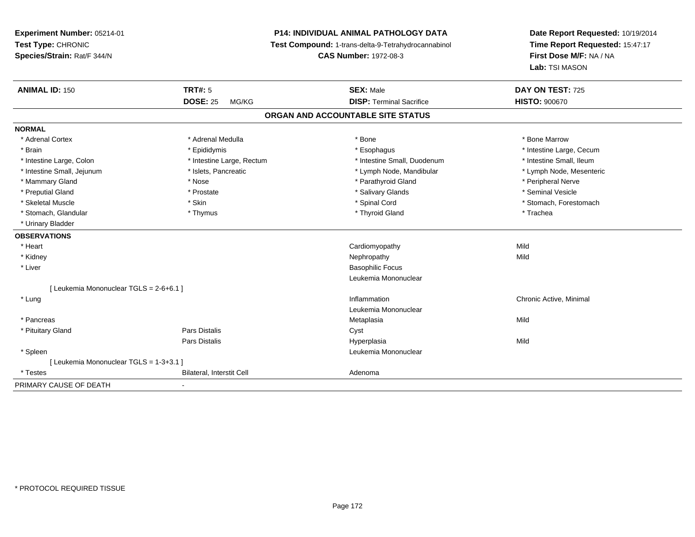**Experiment Number:** 05214-01**Test Type:** CHRONIC **Species/Strain:** Rat/F 344/N**P14: INDIVIDUAL ANIMAL PATHOLOGY DATA Test Compound:** 1-trans-delta-9-Tetrahydrocannabinol **CAS Number:** 1972-08-3**Date Report Requested:** 10/19/2014**Time Report Requested:** 15:47:17**First Dose M/F:** NA / NA**Lab:** TSI MASON**ANIMAL ID:** 150**TRT#:** 5 **SEX:** Male **DAY ON TEST:** 725 **DOSE:** 25 MG/KG **DISP:** Terminal Sacrifice **HISTO:** <sup>900670</sup> **ORGAN AND ACCOUNTABLE SITE STATUSNORMAL**\* Adrenal Cortex \* Adrenal Medulla \* Adrenal Medulla \* Bone \* Bone \* Bone \* Bone \* Bone Marrow \* Brain \* Explorer \* Epididymis \* \* Epididymis \* \* Esophagus \* Esophagus \* \* Esophagus \* Intestine Large, Cecum \* \* Intestine Large, Cecum \* Intestine Small, Ileum \* Intestine Large, Colon \* Intestine Large, Rectum \* Intestine Small, Duodenum \* Intestine Small, Duodenum \* Lymph Node, Mesenteric \* Intestine Small, Jejunum \* Mandibular \* Islets, Pancreatic \* Mandibular \* Lymph Node, Mandibular \* Mammary Gland \* \* Annume \* Nose \* \* Nose \* \* Parathyroid Gland \* Peripheral Nerve \* Peripheral Nerve \* \* Peripheral Nerve \* \* Peripheral Nerve \* \* Peripheral Nerve \* \* Peripheral Nerve \* \* Peripheral Nerve \* \* \* \* \* \* \* \* Seminal Vesicle \* Preputial Gland \* \* Annual vesicle \* \* Prostate \* \* Salivary Glands \* \* Salivary Glands \* \* Seminal Vesicle \* \* Skeletal Muscle \* The state of the set of the set of the set of the set of the set of the set of the set of the set of the set of the set of the set of the set of the set of the set of the set of the set of the set of th \* Stomach, Glandular \* Thymus \* Thymus \* Thymus \* Thyroid Gland \* Thyroid Gland \* The \* Trachea \* Urinary Bladder**OBSERVATIONS** \* Heart Cardiomyopathyy Mild Mild \* Kidneyy the control of the control of the control of the control of the control of the control of the control of the control of the control of the control of the control of the control of the control of the control of the contro \* Liver Basophilic Focus Leukemia Mononuclear[ Leukemia Mononuclear TGLS = 2-6+6.1 ] \* Lungg is a controller to the controller of the controller of the chronic Active, Minimal of the chronic Active, Minimal of the chronic Active, Minimal of the chronic Active, Minimal of the chronic Active, Minimal of the chroni Leukemia Mononuclear \* Pancreas Metaplasiaa Mild \* Pituitary Glandd Cyst Constants Constants Constants Constants Constants Constants Constants Constants Constants Constants Const Pars Distalis Hyperplasiaa Mild \* Spleen Leukemia Mononuclear [ Leukemia Mononuclear TGLS = 1-3+3.1 ] \* TestesBilateral, Interstit Cell **Adenoma** Adenoma PRIMARY CAUSE OF DEATH-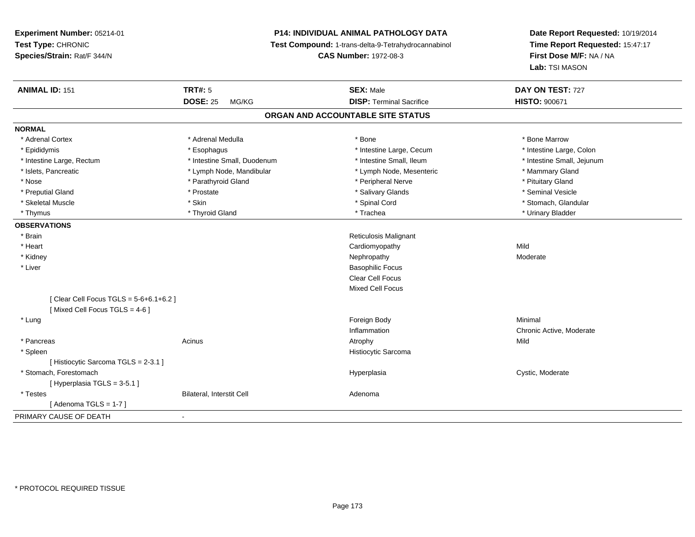# **P14: INDIVIDUAL ANIMAL PATHOLOGY DATA**

**Test Compound:** 1-trans-delta-9-Tetrahydrocannabinol

**CAS Number:** 1972-08-3

| <b>ANIMAL ID: 151</b>                 | <b>TRT#: 5</b>              | <b>SEX: Male</b>                  | DAY ON TEST: 727           |
|---------------------------------------|-----------------------------|-----------------------------------|----------------------------|
|                                       | <b>DOSE: 25</b><br>MG/KG    | <b>DISP: Terminal Sacrifice</b>   | <b>HISTO: 900671</b>       |
|                                       |                             | ORGAN AND ACCOUNTABLE SITE STATUS |                            |
| <b>NORMAL</b>                         |                             |                                   |                            |
| * Adrenal Cortex                      | * Adrenal Medulla           | * Bone                            | * Bone Marrow              |
| * Epididymis                          | * Esophagus                 | * Intestine Large, Cecum          | * Intestine Large, Colon   |
| * Intestine Large, Rectum             | * Intestine Small, Duodenum | * Intestine Small, Ileum          | * Intestine Small, Jejunum |
| * Islets, Pancreatic                  | * Lymph Node, Mandibular    | * Lymph Node, Mesenteric          | * Mammary Gland            |
| * Nose                                | * Parathyroid Gland         | * Peripheral Nerve                | * Pituitary Gland          |
| * Preputial Gland                     | * Prostate                  | * Salivary Glands                 | * Seminal Vesicle          |
| * Skeletal Muscle                     | * Skin                      | * Spinal Cord                     | * Stomach, Glandular       |
| * Thymus                              | * Thyroid Gland             | * Trachea                         | * Urinary Bladder          |
| <b>OBSERVATIONS</b>                   |                             |                                   |                            |
| * Brain                               |                             | <b>Reticulosis Malignant</b>      |                            |
| * Heart                               |                             | Cardiomyopathy                    | Mild                       |
| * Kidney                              |                             | Nephropathy                       | Moderate                   |
| * Liver                               |                             | <b>Basophilic Focus</b>           |                            |
|                                       |                             | Clear Cell Focus                  |                            |
|                                       |                             | <b>Mixed Cell Focus</b>           |                            |
| [Clear Cell Focus TGLS = 5-6+6.1+6.2] |                             |                                   |                            |
| [Mixed Cell Focus TGLS = 4-6]         |                             |                                   |                            |
| * Lung                                |                             | Foreign Body                      | Minimal                    |
|                                       |                             | Inflammation                      | Chronic Active, Moderate   |
| * Pancreas                            | Acinus                      | Atrophy                           | Mild                       |
| * Spleen                              |                             | Histiocytic Sarcoma               |                            |
| [Histiocytic Sarcoma TGLS = 2-3.1]    |                             |                                   |                            |
| * Stomach. Forestomach                |                             | Hyperplasia                       | Cystic, Moderate           |
| [Hyperplasia TGLS = 3-5.1]            |                             |                                   |                            |
| * Testes                              | Bilateral, Interstit Cell   | Adenoma                           |                            |
| [Adenoma TGLS = $1-7$ ]               |                             |                                   |                            |
| PRIMARY CAUSE OF DEATH                |                             |                                   |                            |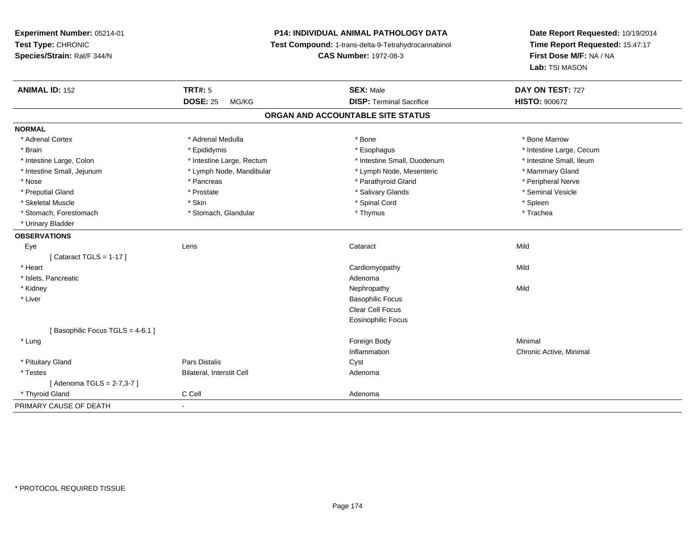**Experiment Number:** 05214-01**Test Type:** CHRONIC **Species/Strain:** Rat/F 344/N**P14: INDIVIDUAL ANIMAL PATHOLOGY DATA Test Compound:** 1-trans-delta-9-Tetrahydrocannabinol **CAS Number:** 1972-08-3**ANIMAL ID:** 152**DOSE:** 25 MG/KG**NORMAL**

| <b>ANIMAL ID: 152</b>           | <b>TRT#: 5</b>            | <b>SEX: Male</b>                  | DAY ON TEST: 727         |
|---------------------------------|---------------------------|-----------------------------------|--------------------------|
|                                 | <b>DOSE: 25</b><br>MG/KG  | <b>DISP: Terminal Sacrifice</b>   | <b>HISTO: 900672</b>     |
|                                 |                           | ORGAN AND ACCOUNTABLE SITE STATUS |                          |
| <b>NORMAL</b>                   |                           |                                   |                          |
| * Adrenal Cortex                | * Adrenal Medulla         | * Bone                            | * Bone Marrow            |
| * Brain                         | * Epididymis              | * Esophagus                       | * Intestine Large, Cecum |
| * Intestine Large, Colon        | * Intestine Large, Rectum | * Intestine Small, Duodenum       | * Intestine Small, Ileum |
| * Intestine Small, Jejunum      | * Lymph Node, Mandibular  | * Lymph Node, Mesenteric          | * Mammary Gland          |
| * Nose                          | * Pancreas                | * Parathyroid Gland               | * Peripheral Nerve       |
| * Preputial Gland               | * Prostate                | * Salivary Glands                 | * Seminal Vesicle        |
| * Skeletal Muscle               | * Skin                    | * Spinal Cord                     | * Spleen                 |
| * Stomach, Forestomach          | * Stomach, Glandular      | * Thymus                          | * Trachea                |
| * Urinary Bladder               |                           |                                   |                          |
| <b>OBSERVATIONS</b>             |                           |                                   |                          |
| Eye                             | Lens                      | Cataract                          | Mild                     |
| [Cataract TGLS = $1-17$ ]       |                           |                                   |                          |
| * Heart                         |                           | Cardiomyopathy                    | Mild                     |
| * Islets, Pancreatic            |                           | Adenoma                           |                          |
| * Kidney                        |                           | Nephropathy                       | Mild                     |
| * Liver                         |                           | <b>Basophilic Focus</b>           |                          |
|                                 |                           | Clear Cell Focus                  |                          |
|                                 |                           | Eosinophilic Focus                |                          |
| [Basophilic Focus TGLS = 4-6.1] |                           |                                   |                          |
| * Lung                          |                           | Foreign Body                      | Minimal                  |
|                                 |                           | Inflammation                      | Chronic Active, Minimal  |
| * Pituitary Gland               | <b>Pars Distalis</b>      | Cyst                              |                          |
| * Testes                        | Bilateral, Interstit Cell | Adenoma                           |                          |
| [ Adenoma TGLS = 2-7,3-7 ]      |                           |                                   |                          |
| * Thyroid Gland                 | C Cell                    | Adenoma                           |                          |
| PRIMARY CAUSE OF DEATH          |                           |                                   |                          |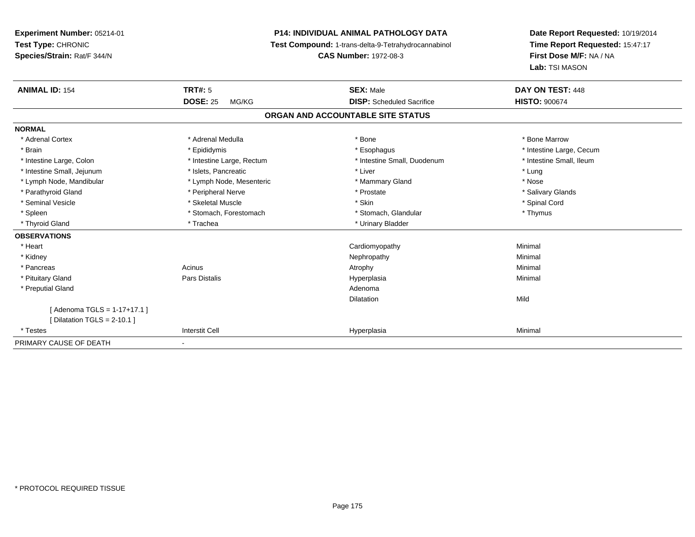**Experiment Number:** 05214-01**Test Type:** CHRONIC **Species/Strain:** Rat/F 344/N**P14: INDIVIDUAL ANIMAL PATHOLOGY DATA Test Compound:** 1-trans-delta-9-Tetrahydrocannabinol **CAS Number:** 1972-08-3**Date Report Requested:** 10/19/2014**Time Report Requested:** 15:47:17**First Dose M/F:** NA / NA**Lab:** TSI MASON**ANIMAL ID:** 154**TRT#:** 5 **SEX:** Male **DAY ON TEST:** 448 **DOSE:** 25 MG/KG **DISP:** Scheduled Sacrifice **HISTO:** <sup>900674</sup> **ORGAN AND ACCOUNTABLE SITE STATUSNORMAL**\* Adrenal Cortex \* Adrenal Medulla \* Adrenal Medulla \* Bone \* Bone \* Bone \* Bone \* Bone Marrow \* Brain \* Explorer \* Epididymis \* \* Epididymis \* \* Esophagus \* Esophagus \* \* Esophagus \* Intestine Large, Cecum \* \* Intestine Large, Cecum \* Intestine Small, Ileum \* Intestine Large, Colon \* Intestine Large, Rectum \* Intestine Small, Duodenum \* Intestine Small, Duodenum \* Intestine Small, Jejunum \* The matches of the state of the state of the state of the state of the state of the state of the state of the state of the state of the state of the state of the state of the state of the state \* Nose \* Lymph Node, Mandibular \* Lymph Node, Mesenteric \* Mammary Gland \* Mammary Gland \* Salivary Glands \* Parathyroid Gland \* \* Andrew \* Peripheral Nerve \* \* Prostate \* \* Prostate \* \* Salivary Glands \* Salivary Glands \* Salivary Glands \* Salivary Glands \* Salivary Glands \* Salivary Glands \* Salivary Glands \* Salivary Glands \* Seminal Vesicle \* \* Spinal Cord \* Skeletal Muscle \* \* Skin \* \* Skin \* \* Spinal Vesicle \* Spinal Cord \* Spinal Cord \* Spleen \* Stomach, Forestomach \* Stomach \* Stomach, Glandular \* Stomach, Glandular \* Thymus \* Thyroid Gland \* Trachea \* Trachea \* Trachea \* Thyroid Gland **OBSERVATIONS** \* Heart Cardiomyopathy Minimal \* Kidneyy the control of the control of the control of the control of the control of the control of the control of the control of the control of the control of the control of the control of the control of the control of the contro \* Pancreass the control of the control of the control of the control of the control of the control of the control of the control of the control of the control of the control of the control of the control of the control of the contro \* Pituitary Gland Pars Distalis Hyperplasia Minimal \* Preputial Glandd and a state of the control of the control of the control of the control of the control of the control of the control of the control of the control of the control of the control of the control of the control of the contro Dilatationn Mild [ Adenoma TGLS = 1-17+17.1 ][ Dilatation TGLS = 2-10.1 ] \* Testess Interstit Cell Hyperplasia a Minimal PRIMARY CAUSE OF DEATH-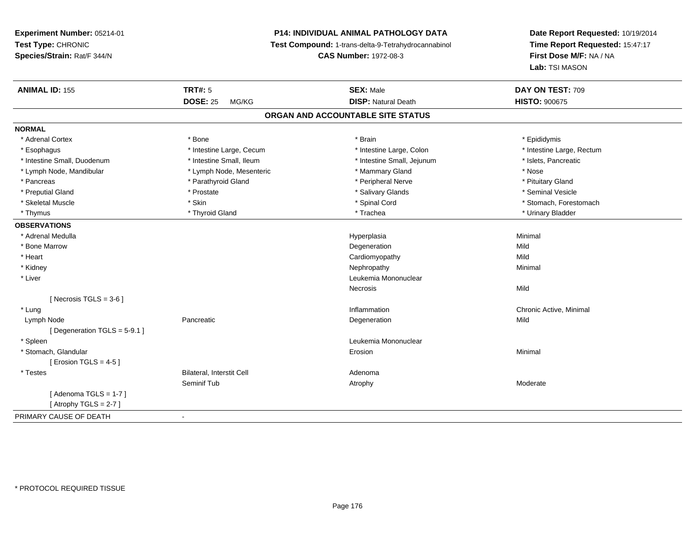# **P14: INDIVIDUAL ANIMAL PATHOLOGY DATA**

**Test Compound:** 1-trans-delta-9-Tetrahydrocannabinol

**CAS Number:** 1972-08-3

| <b>ANIMAL ID: 155</b>       | <b>TRT#: 5</b>            | <b>SEX: Male</b>                  | DAY ON TEST: 709          |  |
|-----------------------------|---------------------------|-----------------------------------|---------------------------|--|
|                             | <b>DOSE: 25</b><br>MG/KG  | <b>DISP: Natural Death</b>        | <b>HISTO: 900675</b>      |  |
|                             |                           | ORGAN AND ACCOUNTABLE SITE STATUS |                           |  |
| <b>NORMAL</b>               |                           |                                   |                           |  |
| * Adrenal Cortex            | * Bone                    | * Brain                           | * Epididymis              |  |
| * Esophagus                 | * Intestine Large, Cecum  | * Intestine Large, Colon          | * Intestine Large, Rectum |  |
| * Intestine Small, Duodenum | * Intestine Small, Ileum  | * Intestine Small, Jejunum        | * Islets, Pancreatic      |  |
| * Lymph Node, Mandibular    | * Lymph Node, Mesenteric  | * Mammary Gland                   | * Nose                    |  |
| * Pancreas                  | * Parathyroid Gland       | * Peripheral Nerve                | * Pituitary Gland         |  |
| * Preputial Gland           | * Prostate                | * Salivary Glands                 | * Seminal Vesicle         |  |
| * Skeletal Muscle           | * Skin                    | * Spinal Cord                     | * Stomach, Forestomach    |  |
| * Thymus                    | * Thyroid Gland           | * Trachea                         | * Urinary Bladder         |  |
| <b>OBSERVATIONS</b>         |                           |                                   |                           |  |
| * Adrenal Medulla           |                           | Hyperplasia                       | Minimal                   |  |
| * Bone Marrow               |                           | Degeneration                      | Mild                      |  |
| * Heart                     |                           | Cardiomyopathy                    | Mild                      |  |
| * Kidney                    |                           | Nephropathy                       | Minimal                   |  |
| * Liver                     |                           | Leukemia Mononuclear              |                           |  |
|                             |                           | Necrosis                          | Mild                      |  |
| [ Necrosis TGLS = $3-6$ ]   |                           |                                   |                           |  |
| * Lung                      |                           | Inflammation                      | Chronic Active, Minimal   |  |
| Lymph Node                  | Pancreatic                | Degeneration                      | Mild                      |  |
| [Degeneration TGLS = 5-9.1] |                           |                                   |                           |  |
| * Spleen                    |                           | Leukemia Mononuclear              |                           |  |
| * Stomach, Glandular        |                           | Erosion                           | Minimal                   |  |
| [ Erosion TGLS = $4-5$ ]    |                           |                                   |                           |  |
| * Testes                    | Bilateral, Interstit Cell | Adenoma                           |                           |  |
|                             | Seminif Tub               | Atrophy                           | Moderate                  |  |
| [Adenoma TGLS = $1-7$ ]     |                           |                                   |                           |  |
| [Atrophy TGLS = $2-7$ ]     |                           |                                   |                           |  |
| PRIMARY CAUSE OF DEATH      | $\blacksquare$            |                                   |                           |  |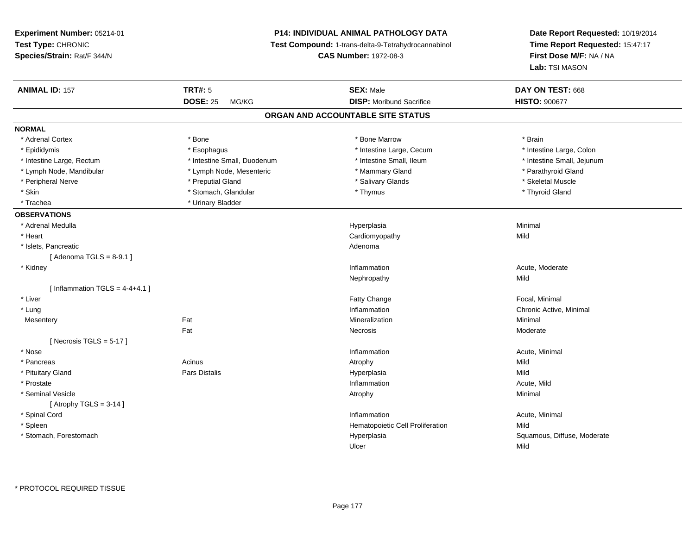**Experiment Number:** 05214-01**Test Type:** CHRONIC **Species/Strain:** Rat/F 344/N**P14: INDIVIDUAL ANIMAL PATHOLOGY DATA Test Compound:** 1-trans-delta-9-Tetrahydrocannabinol **CAS Number:** 1972-08-3**Date Report Requested:** 10/19/2014**Time Report Requested:** 15:47:17**First Dose M/F:** NA / NA**Lab:** TSI MASON**ANIMAL ID:** 157**TRT#:** 5 **SEX:** Male **DAY ON TEST:** 668 **DOSE:** 25 MG/KG**DISP:** Moribund Sacrifice **HISTO:**  $900677$ **ORGAN AND ACCOUNTABLE SITE STATUSNORMAL**\* Adrenal Cortex \* Adrenal Cortex \* \* Adrenal Cortex \* Brain \* Bone \* \* Bone Marrow \* Bone Marrow \* \* Brain \* Brain \* Brain \* Brain \* Brain \* Brain \* Brain \* Brain \* Brain \* Brain \* Brain \* Brain \* Brain \* Brain \* Brain \* Brain \* Brain \* B \* Intestine Large, Colon \* Epididymis \* Esophagus \* Esophagus \* Esophagus \* 11testine Large, Cecum \* Intestine Large, Rectum \* Thestine Small, Duodenum \* Number of the small, Ileum \* Intestine Small, Jejunum \* Intestine Small, Jejunum \* Lymph Node, Mandibular \* The state of the second telecommunity of the second telecommunity of the second and telecommunity of the second of the second of the second of the second of the second of the second of the second \* Peripheral Nerve \* \* \* Arena \* Preputial Gland \* \* Salivary Glands \* \* Salivary Glands \* \* Skeletal Muscle \* \* Skeletal Muscle \* \* Skeletal Muscle \* \* Skeletal Muscle \* \* Skeletal Muscle \* \* Skeletal Muscle \* \* Skeletal \* Skin \* Stomach, Glandular \* Stomach, Glandular \* Thymus \* Thymus \* Thymus \* Thyroid Gland \* Trachea **\*** Urinary Bladder **OBSERVATIONS** \* Adrenal Medullaa and the control of the control of the control of the Hyperplasia and the control of the Minimal of the control of the control of the control of the control of the control of the control of the control of the control of t \* Heart Cardiomyopathyy Mild \* Islets, Pancreaticc and the contract of the contract of the contract of the contract of the contract of the contract of the contract of the contract of the contract of the contract of the contract of the contract of the contract of the cont  $[$  Adenoma TGLS = 8-9.1  $]$  \* Kidneyy the control of the control of the control of the control of the control of the control of the control of the control of the control of the control of the control of the control of the control of the control of the contro Inflammation and the matter of the Moderate Mechanism Mild<br>
Nephropathy Mild Nephropathyy Mild  $[$  Inflammation TGLS = 4-4+4.1  $]$  \* Liver Fatty ChangeFatty Change **Focal, Minimal**<br> **Inflammation**<br>
Chronic Active. \* Lungg is a controller to the controller of the controller of the chronic Active, Minimal of the chronic Active, Minimal of the chronic Active, Minimal of the chronic Active, Minimal of the chronic Active, Minimal of the chroni **Mesentery**  Fat Mineralizationn Minimal Fat Necrosis Moderate $[$  Necrosis TGLS = 5-17  $]$  \* Nosee the contraction of the contraction of the contraction of the contraction of the contraction of the contraction  $\mathsf{Acute}$ , Minimal \* Pancreass and the contract of the Acinus and Acinus and Acinus and Acinus Atrophy and Acinus and Mild Mild \* Pituitary Gland Pars Distalis Hyperplasia Mild \* Prostatee the contraction of the contraction of the contraction of the contraction of the contraction of the contraction of  $\mathsf{A}\mathsf{c}$ ute, Mild \* Seminal Vesiclee and the control of the control of the control of the control of the control of the control of the control of the control of the control of the control of the control of the control of the control of the control of the co  $[$  Atrophy TGLS = 3-14  $]$  \* Spinal Cordd and the control of the control of the control of the control of the control of the control of the control of the control of the control of the control of the control of the control of the control of the control of the co \* SpleenHematopoietic Cell Proliferation Mild \* Stomach, Forestomach Hyperplasia Squamous, Diffuse, Moderate Ulcerr Mild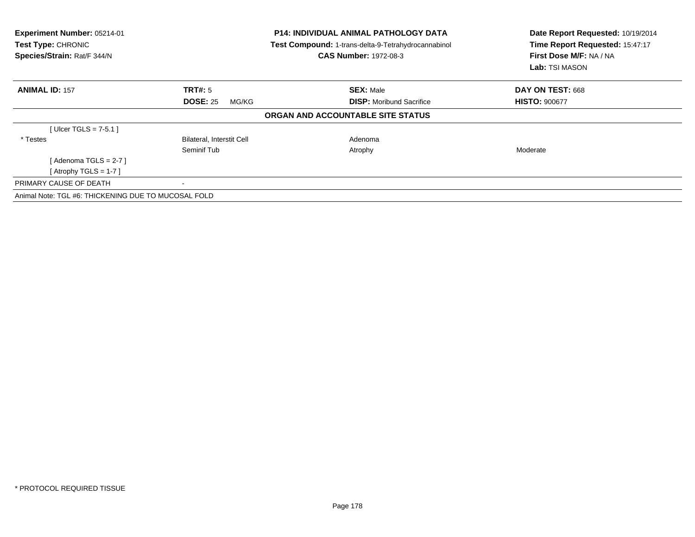| Experiment Number: 05214-01<br>Test Type: CHRONIC<br>Species/Strain: Rat/F 344/N | <b>P14: INDIVIDUAL ANIMAL PATHOLOGY DATA</b><br>Test Compound: 1-trans-delta-9-Tetrahydrocannabinol<br><b>CAS Number: 1972-08-3</b> |                                   | Date Report Requested: 10/19/2014<br>Time Report Requested: 15:47:17<br>First Dose M/F: NA / NA<br>Lab: TSI MASON |  |
|----------------------------------------------------------------------------------|-------------------------------------------------------------------------------------------------------------------------------------|-----------------------------------|-------------------------------------------------------------------------------------------------------------------|--|
| <b>ANIMAL ID: 157</b>                                                            | TRT#: 5                                                                                                                             | <b>SEX: Male</b>                  | DAY ON TEST: 668                                                                                                  |  |
|                                                                                  | <b>DOSE: 25</b><br>MG/KG                                                                                                            | <b>DISP:</b> Moribund Sacrifice   | <b>HISTO: 900677</b>                                                                                              |  |
|                                                                                  |                                                                                                                                     | ORGAN AND ACCOUNTABLE SITE STATUS |                                                                                                                   |  |
| [Ulcer TGLS = $7-5.1$ ]                                                          |                                                                                                                                     |                                   |                                                                                                                   |  |
| * Testes                                                                         | Bilateral, Interstit Cell                                                                                                           | Adenoma                           |                                                                                                                   |  |
|                                                                                  | Seminif Tub                                                                                                                         | Atrophy                           | Moderate                                                                                                          |  |
| [ Adenoma TGLS = 2-7 ]                                                           |                                                                                                                                     |                                   |                                                                                                                   |  |
| [Atrophy TGLS = 1-7 ]                                                            |                                                                                                                                     |                                   |                                                                                                                   |  |
| PRIMARY CAUSE OF DEATH                                                           |                                                                                                                                     |                                   |                                                                                                                   |  |
| Animal Note: TGL #6: THICKENING DUE TO MUCOSAL FOLD                              |                                                                                                                                     |                                   |                                                                                                                   |  |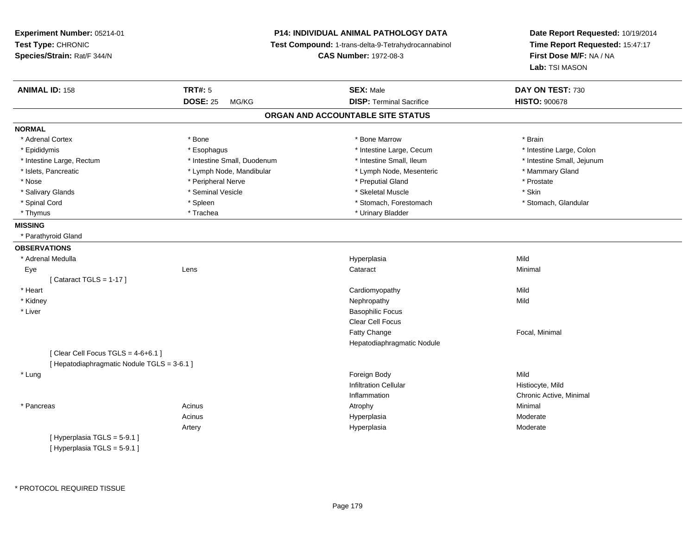**Experiment Number:** 05214-01**Test Type:** CHRONIC **Species/Strain:** Rat/F 344/N**P14: INDIVIDUAL ANIMAL PATHOLOGY DATA Test Compound:** 1-trans-delta-9-Tetrahydrocannabinol **CAS Number:** 1972-08-3**Date Report Requested:** 10/19/2014**Time Report Requested:** 15:47:17**First Dose M/F:** NA / NA**Lab:** TSI MASON**ANIMAL ID:** 158**TRT#:** 5 **SEX:** Male **DAY ON TEST:** 730 **DOSE:** 25 MG/KG **DISP:** Terminal Sacrifice **HISTO:** <sup>900678</sup> **ORGAN AND ACCOUNTABLE SITE STATUSNORMAL**\* Adrenal Cortex \* Adrenal Cortex \* \* Adrenal Cortex \* Brain \* Bone \* \* Bone Marrow \* Bone Marrow \* \* Brain \* Brain \* Brain \* Brain \* Brain \* Brain \* Brain \* Brain \* Brain \* Brain \* Brain \* Brain \* Brain \* Brain \* Brain \* Brain \* Brain \* B \* Intestine Large, Colon \* Epididymis \* Intestine Large, Cecum \* Esophagus \* Intestine Large, Cecum \* Intestine Large, Cecum \* Intestine Large, Rectum \* Thestine Small, Duodenum \* Number of the small, Ileum \* Intestine Small, Jejunum \* Intestine Small, Jejunum \* Islets, Pancreatic \* The manner of the Lymph Node, Mandibular \* Lymph Node, Mesenteric \* Mammary Gland \* Nose \* \* Peripheral Nerve \* \* Peripheral Nerve \* \* Preputial Gland \* \* Preputial Gland \* \* Prostate \* \* Prostate \* \* Salivary Glands \* Seminal Vesicle \* Skeletal Muscle \* Skin\* Stomach, Glandular \* Spinal Cord \* Spinal Cord \* Spinal Cord \* Stomach, Forestomach \* Stomach, Forestomach \* Stomach, Forestomach \* Thymus \* Trachea \* Urinary Bladder \* Urinary Bladder \* Urinary Bladder \* Urinary Bladder **MISSING** \* Parathyroid Gland**OBSERVATIONS** \* Adrenal Medullaa and the control of the control of the control of the Hyperplasia and the control of the Mild of the control o Eye Lens Cataract Minimal  $[$  Cataract TGLS = 1-17  $]$  \* Heart Cardiomyopathyy Mild Mild \* Kidneyy the controller of the controller of the controller of the controller of the controller of the controller of the controller of the controller of the controller of the controller of the controller of the controller of the \* Liver Basophilic Focus Clear Cell FocusFatty Change Focal, Minimal Hepatodiaphragmatic Nodule $[$  Clear Cell Focus TGLS = 4-6+6.1 ] [ Hepatodiaphragmatic Nodule TGLS = 3-6.1 ] \* Lungg and the state of the state of the state of the state of the state of the state of the state of the state of the state of the state of the state of the state of the state of the state of the state of the state of the stat Infiltration Cellular Histiocyte, Mildn Chronic Active, Minimal Inflammation \* Pancreass the control of the control of the control of the control of the control of the control of the control of the control of the control of the control of the control of the control of the control of the control of the contro Acinus Hyperplasia Moderate Artery Hyperplasia Moderate [ Hyperplasia TGLS = 5-9.1 ][ Hyperplasia TGLS = 5-9.1 ]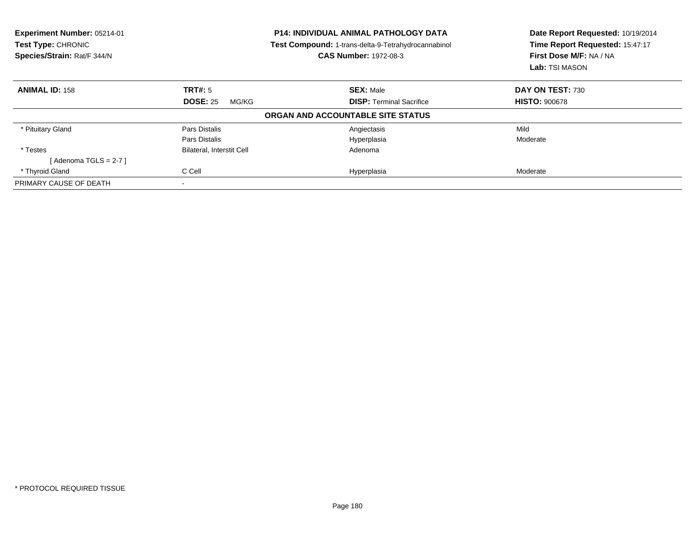| <b>Experiment Number: 05214-01</b><br>Test Type: CHRONIC<br>Species/Strain: Rat/F 344/N<br><b>CAS Number: 1972-08-3</b> |                                  | <b>P14: INDIVIDUAL ANIMAL PATHOLOGY DATA</b><br>Test Compound: 1-trans-delta-9-Tetrahydrocannabinol | Date Report Requested: 10/19/2014<br>Time Report Requested: 15:47:17<br>First Dose M/F: NA / NA<br>Lab: TSI MASON |  |
|-------------------------------------------------------------------------------------------------------------------------|----------------------------------|-----------------------------------------------------------------------------------------------------|-------------------------------------------------------------------------------------------------------------------|--|
| <b>ANIMAL ID: 158</b>                                                                                                   | TRT#: 5                          | <b>SEX: Male</b>                                                                                    | DAY ON TEST: 730                                                                                                  |  |
|                                                                                                                         | <b>DOSE: 25</b><br>MG/KG         | <b>DISP:</b> Terminal Sacrifice                                                                     | <b>HISTO: 900678</b>                                                                                              |  |
|                                                                                                                         |                                  | ORGAN AND ACCOUNTABLE SITE STATUS                                                                   |                                                                                                                   |  |
| * Pituitary Gland                                                                                                       | Pars Distalis                    | Angiectasis                                                                                         | Mild                                                                                                              |  |
|                                                                                                                         | Pars Distalis                    | Hyperplasia                                                                                         | Moderate                                                                                                          |  |
| * Testes                                                                                                                | <b>Bilateral, Interstit Cell</b> | Adenoma                                                                                             |                                                                                                                   |  |
| [Adenoma TGLS = $2-7$ ]                                                                                                 |                                  |                                                                                                     |                                                                                                                   |  |
| * Thyroid Gland                                                                                                         | C Cell                           | Hyperplasia                                                                                         | Moderate                                                                                                          |  |
| PRIMARY CAUSE OF DEATH                                                                                                  |                                  |                                                                                                     |                                                                                                                   |  |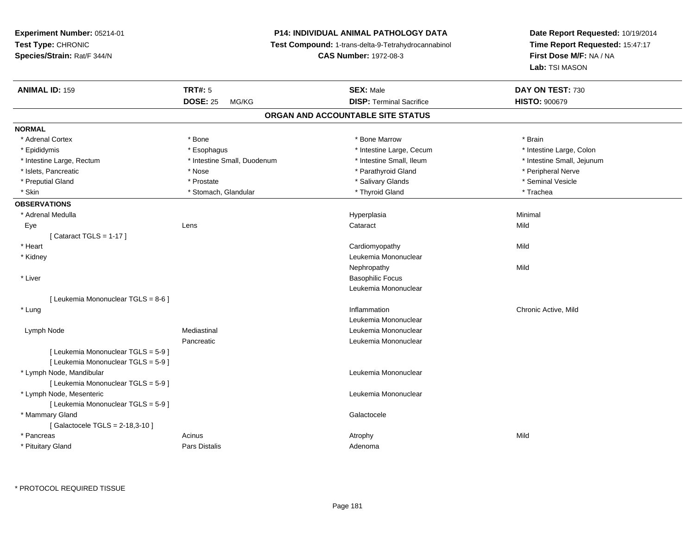# **P14: INDIVIDUAL ANIMAL PATHOLOGY DATA**

**Test Compound:** 1-trans-delta-9-Tetrahydrocannabinol

**CAS Number:** 1972-08-3

| <b>ANIMAL ID: 159</b>               | <b>TRT#: 5</b>              | <b>SEX: Male</b>                  | DAY ON TEST: 730           |
|-------------------------------------|-----------------------------|-----------------------------------|----------------------------|
|                                     | <b>DOSE: 25</b><br>MG/KG    | <b>DISP: Terminal Sacrifice</b>   | <b>HISTO: 900679</b>       |
|                                     |                             | ORGAN AND ACCOUNTABLE SITE STATUS |                            |
| <b>NORMAL</b>                       |                             |                                   |                            |
| * Adrenal Cortex                    | * Bone                      | * Bone Marrow                     | * Brain                    |
| * Epididymis                        | * Esophagus                 | * Intestine Large, Cecum          | * Intestine Large, Colon   |
| * Intestine Large, Rectum           | * Intestine Small, Duodenum | * Intestine Small, Ileum          | * Intestine Small, Jejunum |
| * Islets, Pancreatic                | * Nose                      | * Parathyroid Gland               | * Peripheral Nerve         |
| * Preputial Gland                   | * Prostate                  | * Salivary Glands                 | * Seminal Vesicle          |
| * Skin                              | * Stomach, Glandular        | * Thyroid Gland                   | * Trachea                  |
| <b>OBSERVATIONS</b>                 |                             |                                   |                            |
| * Adrenal Medulla                   |                             | Hyperplasia                       | Minimal                    |
| Eye                                 | Lens                        | Cataract                          | Mild                       |
| [Cataract TGLS = 1-17]              |                             |                                   |                            |
| * Heart                             |                             | Cardiomyopathy                    | Mild                       |
| * Kidney                            |                             | Leukemia Mononuclear              |                            |
|                                     |                             | Nephropathy                       | Mild                       |
| * Liver                             |                             | <b>Basophilic Focus</b>           |                            |
|                                     |                             | Leukemia Mononuclear              |                            |
| [ Leukemia Mononuclear TGLS = 8-6 ] |                             |                                   |                            |
| * Lung                              |                             | Inflammation                      | Chronic Active, Mild       |
|                                     |                             | Leukemia Mononuclear              |                            |
| Lymph Node                          | Mediastinal                 | Leukemia Mononuclear              |                            |
|                                     | Pancreatic                  | Leukemia Mononuclear              |                            |
| [ Leukemia Mononuclear TGLS = 5-9 ] |                             |                                   |                            |
| [ Leukemia Mononuclear TGLS = 5-9 ] |                             |                                   |                            |
| * Lymph Node, Mandibular            |                             | Leukemia Mononuclear              |                            |
| [ Leukemia Mononuclear TGLS = 5-9 ] |                             |                                   |                            |
| * Lymph Node, Mesenteric            |                             | Leukemia Mononuclear              |                            |
| [ Leukemia Mononuclear TGLS = 5-9 ] |                             |                                   |                            |
| * Mammary Gland                     |                             | Galactocele                       |                            |
| [Galactocele TGLS = 2-18,3-10]      |                             |                                   |                            |
| * Pancreas                          | Acinus                      | Atrophy                           | Mild                       |
| * Pituitary Gland                   | Pars Distalis               | Adenoma                           |                            |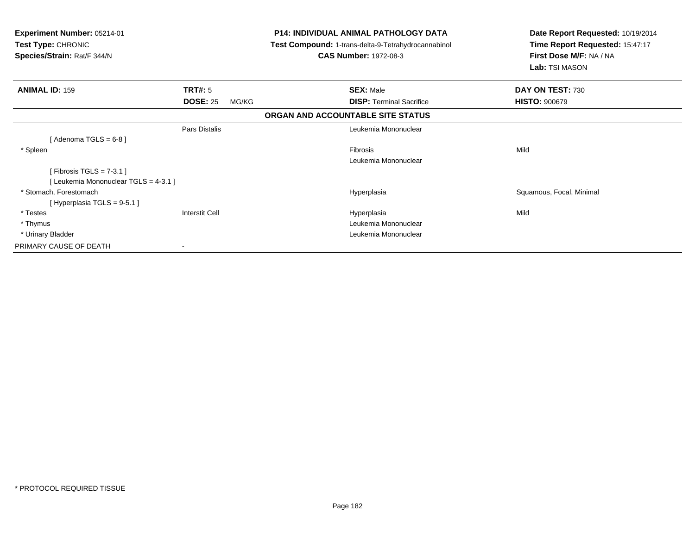| Experiment Number: 05214-01<br>Test Type: CHRONIC<br>Species/Strain: Rat/F 344/N |                          | <b>P14: INDIVIDUAL ANIMAL PATHOLOGY DATA</b><br>Test Compound: 1-trans-delta-9-Tetrahydrocannabinol<br><b>CAS Number: 1972-08-3</b> | Date Report Requested: 10/19/2014<br>Time Report Requested: 15:47:17<br>First Dose M/F: NA / NA<br>Lab: TSI MASON |
|----------------------------------------------------------------------------------|--------------------------|-------------------------------------------------------------------------------------------------------------------------------------|-------------------------------------------------------------------------------------------------------------------|
| <b>ANIMAL ID: 159</b>                                                            | <b>TRT#: 5</b>           | <b>SEX: Male</b>                                                                                                                    | DAY ON TEST: 730                                                                                                  |
|                                                                                  | <b>DOSE: 25</b><br>MG/KG | <b>DISP:</b> Terminal Sacrifice                                                                                                     | <b>HISTO: 900679</b>                                                                                              |
|                                                                                  |                          | ORGAN AND ACCOUNTABLE SITE STATUS                                                                                                   |                                                                                                                   |
|                                                                                  | Pars Distalis            | Leukemia Mononuclear                                                                                                                |                                                                                                                   |
| [Adenoma TGLS = $6-8$ ]                                                          |                          |                                                                                                                                     |                                                                                                                   |
| * Spleen                                                                         |                          | <b>Fibrosis</b>                                                                                                                     | Mild                                                                                                              |
|                                                                                  |                          | Leukemia Mononuclear                                                                                                                |                                                                                                                   |
| [Fibrosis TGLS = $7-3.1$ ]                                                       |                          |                                                                                                                                     |                                                                                                                   |
| [ Leukemia Mononuclear TGLS = 4-3.1 ]                                            |                          |                                                                                                                                     |                                                                                                                   |
| * Stomach, Forestomach                                                           |                          | Hyperplasia                                                                                                                         | Squamous, Focal, Minimal                                                                                          |
| [Hyperplasia TGLS = $9-5.1$ ]                                                    |                          |                                                                                                                                     |                                                                                                                   |
| * Testes                                                                         | <b>Interstit Cell</b>    | Hyperplasia                                                                                                                         | Mild                                                                                                              |
| * Thymus                                                                         |                          | Leukemia Mononuclear                                                                                                                |                                                                                                                   |
| * Urinary Bladder                                                                |                          | Leukemia Mononuclear                                                                                                                |                                                                                                                   |
| PRIMARY CAUSE OF DEATH                                                           | ٠                        |                                                                                                                                     |                                                                                                                   |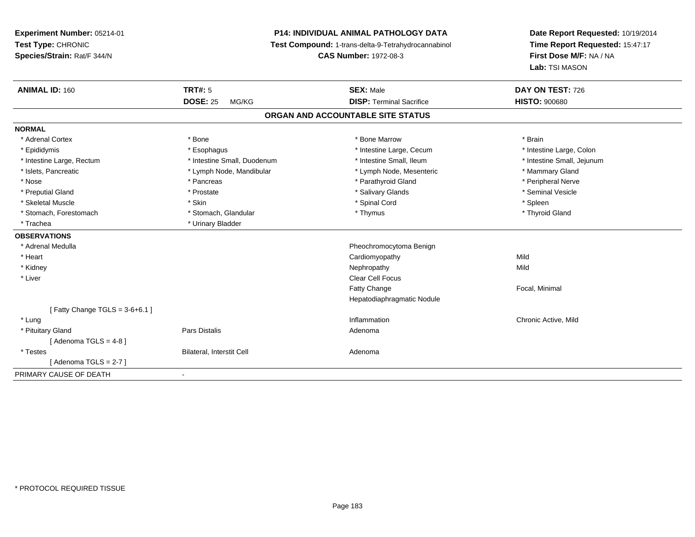# **P14: INDIVIDUAL ANIMAL PATHOLOGY DATA**

**Test Compound:** 1-trans-delta-9-Tetrahydrocannabinol

**CAS Number:** 1972-08-3

| <b>ANIMAL ID: 160</b>            | TRT#: 5                     | <b>SEX: Male</b>                  | DAY ON TEST: 726           |
|----------------------------------|-----------------------------|-----------------------------------|----------------------------|
|                                  | <b>DOSE: 25</b><br>MG/KG    | <b>DISP: Terminal Sacrifice</b>   | <b>HISTO: 900680</b>       |
|                                  |                             | ORGAN AND ACCOUNTABLE SITE STATUS |                            |
| <b>NORMAL</b>                    |                             |                                   |                            |
| * Adrenal Cortex                 | * Bone                      | * Bone Marrow                     | * Brain                    |
| * Epididymis                     | * Esophagus                 | * Intestine Large, Cecum          | * Intestine Large, Colon   |
| * Intestine Large, Rectum        | * Intestine Small, Duodenum | * Intestine Small, Ileum          | * Intestine Small, Jejunum |
| * Islets, Pancreatic             | * Lymph Node, Mandibular    | * Lymph Node, Mesenteric          | * Mammary Gland            |
| * Nose                           | * Pancreas                  | * Parathyroid Gland               | * Peripheral Nerve         |
| * Preputial Gland                | * Prostate                  | * Salivary Glands                 | * Seminal Vesicle          |
| * Skeletal Muscle                | * Skin                      | * Spinal Cord                     | * Spleen                   |
| * Stomach, Forestomach           | * Stomach, Glandular        | * Thymus                          | * Thyroid Gland            |
| * Trachea                        | * Urinary Bladder           |                                   |                            |
| <b>OBSERVATIONS</b>              |                             |                                   |                            |
| * Adrenal Medulla                |                             | Pheochromocytoma Benign           |                            |
| * Heart                          |                             | Cardiomyopathy                    | Mild                       |
| * Kidney                         |                             | Nephropathy                       | Mild                       |
| * Liver                          |                             | Clear Cell Focus                  |                            |
|                                  |                             | <b>Fatty Change</b>               | Focal, Minimal             |
|                                  |                             | Hepatodiaphragmatic Nodule        |                            |
| [Fatty Change TGLS = $3-6+6.1$ ] |                             |                                   |                            |
| * Lung                           |                             | Inflammation                      | Chronic Active, Mild       |
| * Pituitary Gland                | Pars Distalis               | Adenoma                           |                            |
| [Adenoma TGLS = $4-8$ ]          |                             |                                   |                            |
| * Testes                         | Bilateral, Interstit Cell   | Adenoma                           |                            |
| [ Adenoma TGLS = 2-7 ]           |                             |                                   |                            |
| PRIMARY CAUSE OF DEATH           | $\blacksquare$              |                                   |                            |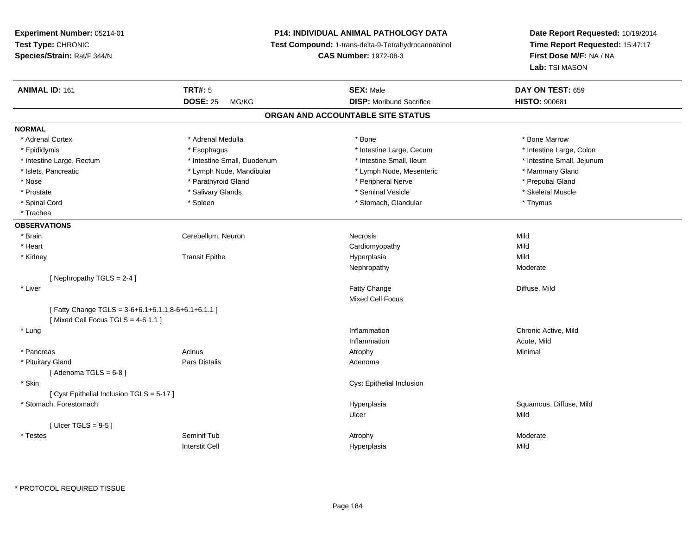# **P14: INDIVIDUAL ANIMAL PATHOLOGY DATA**

**Test Compound:** 1-trans-delta-9-Tetrahydrocannabinol

**CAS Number:** 1972-08-3

**Date Report Requested:** 10/19/2014 **Time Report Requested:** 15:47:17**First Dose M/F:** NA / NA**Lab:** TSI MASON

| <b>ANIMAL ID: 161</b>                             | <b>TRT#: 5</b>              | <b>SEX: Male</b>                  | DAY ON TEST: 659           |
|---------------------------------------------------|-----------------------------|-----------------------------------|----------------------------|
|                                                   | <b>DOSE: 25</b><br>MG/KG    | <b>DISP: Moribund Sacrifice</b>   | <b>HISTO: 900681</b>       |
|                                                   |                             | ORGAN AND ACCOUNTABLE SITE STATUS |                            |
| <b>NORMAL</b>                                     |                             |                                   |                            |
| * Adrenal Cortex                                  | * Adrenal Medulla           | * Bone                            | * Bone Marrow              |
| * Epididymis                                      | * Esophagus                 | * Intestine Large, Cecum          | * Intestine Large, Colon   |
| * Intestine Large, Rectum                         | * Intestine Small, Duodenum | * Intestine Small, Ileum          | * Intestine Small, Jejunum |
| * Islets, Pancreatic                              | * Lymph Node, Mandibular    | * Lymph Node, Mesenteric          | * Mammary Gland            |
| * Nose                                            | * Parathyroid Gland         | * Peripheral Nerve                | * Preputial Gland          |
| * Prostate                                        | * Salivary Glands           | * Seminal Vesicle                 | * Skeletal Muscle          |
| * Spinal Cord                                     | * Spleen                    | * Stomach, Glandular              | * Thymus                   |
| * Trachea                                         |                             |                                   |                            |
| <b>OBSERVATIONS</b>                               |                             |                                   |                            |
| * Brain                                           | Cerebellum, Neuron          | Necrosis                          | Mild                       |
| * Heart                                           |                             | Cardiomyopathy                    | Mild                       |
| * Kidney                                          | <b>Transit Epithe</b>       | Hyperplasia                       | Mild                       |
|                                                   |                             | Nephropathy                       | Moderate                   |
| [ Nephropathy $TGLS = 2-4$ ]                      |                             |                                   |                            |
| * Liver                                           |                             | Fatty Change                      | Diffuse, Mild              |
|                                                   |                             | <b>Mixed Cell Focus</b>           |                            |
| [Fatty Change TGLS = 3-6+6.1+6.1.1,8-6+6.1+6.1.1] |                             |                                   |                            |
| [Mixed Cell Focus TGLS = $4-6.1.1$ ]              |                             |                                   |                            |
| * Lung                                            |                             | Inflammation                      | Chronic Active, Mild       |
|                                                   |                             | Inflammation                      | Acute, Mild                |
| * Pancreas                                        | Acinus                      | Atrophy                           | Minimal                    |
| * Pituitary Gland                                 | <b>Pars Distalis</b>        | Adenoma                           |                            |
| [Adenoma TGLS = $6-8$ ]                           |                             |                                   |                            |
| * Skin                                            |                             | Cyst Epithelial Inclusion         |                            |
| [ Cyst Epithelial Inclusion TGLS = 5-17 ]         |                             |                                   |                            |
| * Stomach, Forestomach                            |                             | Hyperplasia                       | Squamous, Diffuse, Mild    |
|                                                   |                             | Ulcer                             | Mild                       |
| [Ulcer TGLS = $9-5$ ]                             |                             |                                   |                            |
| * Testes                                          | Seminif Tub                 | Atrophy                           | Moderate                   |
|                                                   | <b>Interstit Cell</b>       | Hyperplasia                       | Mild                       |
|                                                   |                             |                                   |                            |

\* PROTOCOL REQUIRED TISSUE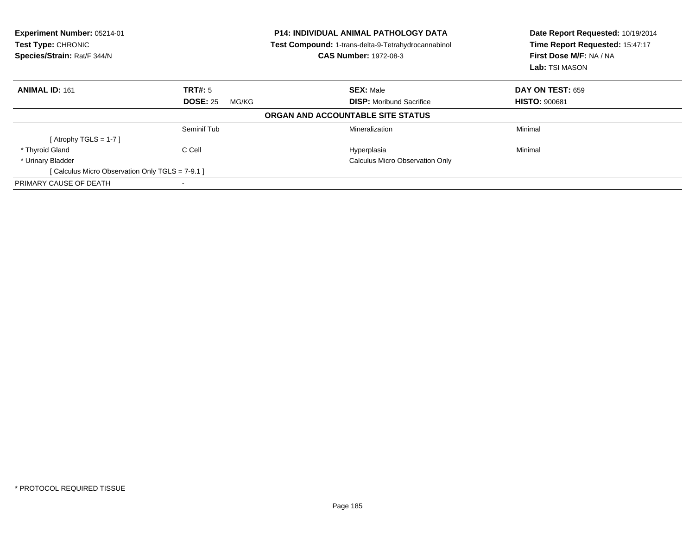| Experiment Number: 05214-01<br>Test Type: CHRONIC<br>Species/Strain: Rat/F 344/N |                          | <b>P14: INDIVIDUAL ANIMAL PATHOLOGY DATA</b><br>Test Compound: 1-trans-delta-9-Tetrahydrocannabinol<br><b>CAS Number: 1972-08-3</b> | Date Report Requested: 10/19/2014<br>Time Report Requested: 15:47:17<br>First Dose M/F: NA / NA<br>Lab: TSI MASON |
|----------------------------------------------------------------------------------|--------------------------|-------------------------------------------------------------------------------------------------------------------------------------|-------------------------------------------------------------------------------------------------------------------|
| <b>ANIMAL ID: 161</b>                                                            | TRT#: 5                  | <b>SEX: Male</b>                                                                                                                    | <b>DAY ON TEST: 659</b>                                                                                           |
|                                                                                  | <b>DOSE: 25</b><br>MG/KG | <b>DISP:</b> Moribund Sacrifice                                                                                                     | <b>HISTO: 900681</b>                                                                                              |
|                                                                                  |                          | ORGAN AND ACCOUNTABLE SITE STATUS                                                                                                   |                                                                                                                   |
|                                                                                  | Seminif Tub              | Mineralization                                                                                                                      | Minimal                                                                                                           |
| [Atrophy TGLS = 1-7 ]                                                            |                          |                                                                                                                                     |                                                                                                                   |
| * Thyroid Gland                                                                  | C Cell                   | Hyperplasia                                                                                                                         | Minimal                                                                                                           |
| * Urinary Bladder                                                                |                          | Calculus Micro Observation Only                                                                                                     |                                                                                                                   |
| [ Calculus Micro Observation Only TGLS = 7-9.1 ]                                 |                          |                                                                                                                                     |                                                                                                                   |
| PRIMARY CAUSE OF DEATH                                                           | $\,$ $\,$                |                                                                                                                                     |                                                                                                                   |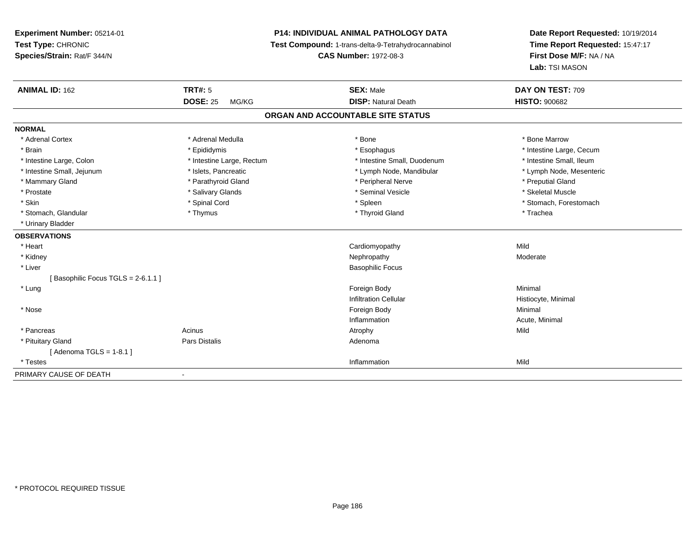# **P14: INDIVIDUAL ANIMAL PATHOLOGY DATA**

**Test Compound:** 1-trans-delta-9-Tetrahydrocannabinol

**CAS Number:** 1972-08-3

| <b>ANIMAL ID: 162</b>             | <b>TRT#: 5</b>            | <b>SEX: Male</b>                  | DAY ON TEST: 709         |  |
|-----------------------------------|---------------------------|-----------------------------------|--------------------------|--|
|                                   | <b>DOSE: 25</b><br>MG/KG  | <b>DISP: Natural Death</b>        | <b>HISTO: 900682</b>     |  |
|                                   |                           | ORGAN AND ACCOUNTABLE SITE STATUS |                          |  |
| <b>NORMAL</b>                     |                           |                                   |                          |  |
| * Adrenal Cortex                  | * Adrenal Medulla         | * Bone                            | * Bone Marrow            |  |
| * Brain                           | * Epididymis              | * Esophagus                       | * Intestine Large, Cecum |  |
| * Intestine Large, Colon          | * Intestine Large, Rectum | * Intestine Small, Duodenum       | * Intestine Small, Ileum |  |
| * Intestine Small, Jejunum        | * Islets, Pancreatic      | * Lymph Node, Mandibular          | * Lymph Node, Mesenteric |  |
| * Mammary Gland                   | * Parathyroid Gland       | * Peripheral Nerve                | * Preputial Gland        |  |
| * Prostate                        | * Salivary Glands         | * Seminal Vesicle                 | * Skeletal Muscle        |  |
| * Skin                            | * Spinal Cord             | * Spleen                          | * Stomach, Forestomach   |  |
| * Stomach, Glandular              | * Thymus                  | * Thyroid Gland                   | * Trachea                |  |
| * Urinary Bladder                 |                           |                                   |                          |  |
| <b>OBSERVATIONS</b>               |                           |                                   |                          |  |
| * Heart                           |                           | Cardiomyopathy                    | Mild                     |  |
| * Kidney                          |                           | Nephropathy                       | Moderate                 |  |
| * Liver                           |                           | <b>Basophilic Focus</b>           |                          |  |
| [Basophilic Focus TGLS = 2-6.1.1] |                           |                                   |                          |  |
| * Lung                            |                           | Foreign Body                      | Minimal                  |  |
|                                   |                           | <b>Infiltration Cellular</b>      | Histiocyte, Minimal      |  |
| * Nose                            |                           | Foreign Body                      | Minimal                  |  |
|                                   |                           | Inflammation                      | Acute, Minimal           |  |
| * Pancreas                        | Acinus                    | Atrophy                           | Mild                     |  |
| * Pituitary Gland                 | Pars Distalis             | Adenoma                           |                          |  |
| [Adenoma TGLS = $1-8.1$ ]         |                           |                                   |                          |  |
| * Testes                          |                           | Inflammation                      | Mild                     |  |
| PRIMARY CAUSE OF DEATH            |                           |                                   |                          |  |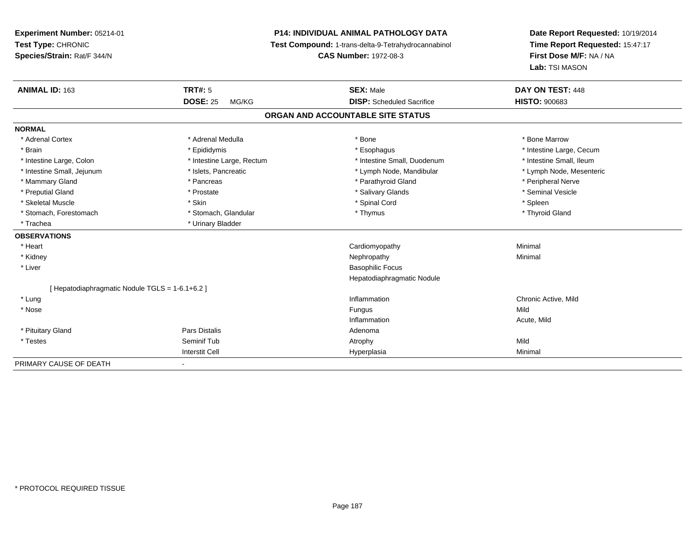# **P14: INDIVIDUAL ANIMAL PATHOLOGY DATA**

**Test Compound:** 1-trans-delta-9-Tetrahydrocannabinol

**CAS Number:** 1972-08-3

| <b>ANIMAL ID: 163</b>                         | <b>TRT#: 5</b>               | <b>SEX: Male</b>                  | DAY ON TEST: 448         |  |
|-----------------------------------------------|------------------------------|-----------------------------------|--------------------------|--|
|                                               | <b>DOSE: 25</b><br>MG/KG     | <b>DISP:</b> Scheduled Sacrifice  | <b>HISTO: 900683</b>     |  |
|                                               |                              | ORGAN AND ACCOUNTABLE SITE STATUS |                          |  |
| <b>NORMAL</b>                                 |                              |                                   |                          |  |
| * Adrenal Cortex                              | * Adrenal Medulla            | * Bone                            | * Bone Marrow            |  |
| * Brain                                       | * Epididymis                 | * Esophagus                       | * Intestine Large, Cecum |  |
| * Intestine Large, Colon                      | * Intestine Large, Rectum    | * Intestine Small, Duodenum       | * Intestine Small, Ileum |  |
| * Intestine Small, Jejunum                    | * Islets, Pancreatic         | * Lymph Node, Mandibular          | * Lymph Node, Mesenteric |  |
| * Mammary Gland                               | * Pancreas                   | * Parathyroid Gland               | * Peripheral Nerve       |  |
| * Preputial Gland                             | * Prostate                   | * Salivary Glands                 | * Seminal Vesicle        |  |
| * Skeletal Muscle                             | * Skin                       | * Spinal Cord                     | * Spleen                 |  |
| * Stomach, Forestomach                        | * Stomach, Glandular         | * Thymus                          | * Thyroid Gland          |  |
| * Trachea                                     | * Urinary Bladder            |                                   |                          |  |
| <b>OBSERVATIONS</b>                           |                              |                                   |                          |  |
| * Heart                                       |                              | Cardiomyopathy                    | Minimal                  |  |
| * Kidney                                      |                              | Nephropathy                       | Minimal                  |  |
| * Liver                                       |                              | <b>Basophilic Focus</b>           |                          |  |
|                                               |                              | Hepatodiaphragmatic Nodule        |                          |  |
| [Hepatodiaphragmatic Nodule TGLS = 1-6.1+6.2] |                              |                                   |                          |  |
| * Lung                                        |                              | Inflammation                      | Chronic Active, Mild     |  |
| * Nose                                        |                              | Fungus                            | Mild                     |  |
|                                               |                              | Inflammation                      | Acute, Mild              |  |
| * Pituitary Gland                             | <b>Pars Distalis</b>         | Adenoma                           |                          |  |
| * Testes                                      | Seminif Tub                  | Atrophy                           | Mild                     |  |
|                                               | <b>Interstit Cell</b>        | Hyperplasia                       | Minimal                  |  |
| PRIMARY CAUSE OF DEATH                        | $\qquad \qquad \blacksquare$ |                                   |                          |  |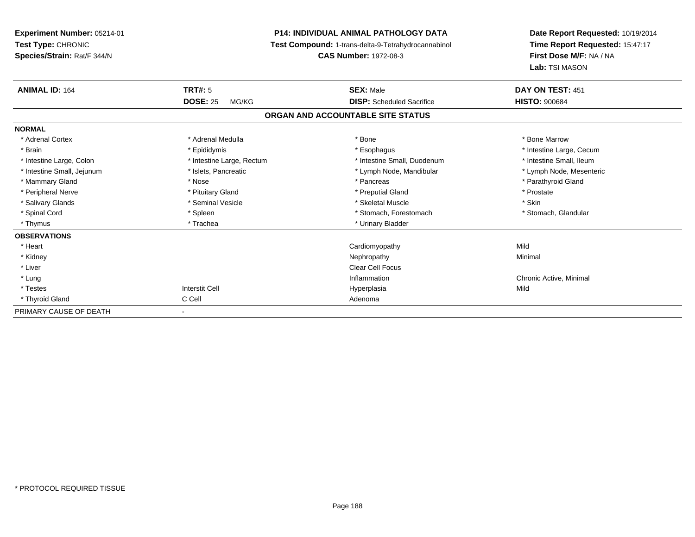| Experiment Number: 05214-01<br>Test Type: CHRONIC<br>Species/Strain: Rat/F 344/N |                           | <b>P14: INDIVIDUAL ANIMAL PATHOLOGY DATA</b><br>Test Compound: 1-trans-delta-9-Tetrahydrocannabinol<br><b>CAS Number: 1972-08-3</b> | Date Report Requested: 10/19/2014<br>Time Report Requested: 15:47:17<br>First Dose M/F: NA / NA<br>Lab: TSI MASON |
|----------------------------------------------------------------------------------|---------------------------|-------------------------------------------------------------------------------------------------------------------------------------|-------------------------------------------------------------------------------------------------------------------|
| <b>ANIMAL ID: 164</b>                                                            | <b>TRT#: 5</b>            | <b>SEX: Male</b>                                                                                                                    | DAY ON TEST: 451                                                                                                  |
|                                                                                  | <b>DOSE: 25</b><br>MG/KG  | <b>DISP:</b> Scheduled Sacrifice                                                                                                    | <b>HISTO: 900684</b>                                                                                              |
|                                                                                  |                           | ORGAN AND ACCOUNTABLE SITE STATUS                                                                                                   |                                                                                                                   |
| <b>NORMAL</b>                                                                    |                           |                                                                                                                                     |                                                                                                                   |
| * Adrenal Cortex                                                                 | * Adrenal Medulla         | * Bone                                                                                                                              | * Bone Marrow                                                                                                     |
| * Brain                                                                          | * Epididymis              | * Esophagus                                                                                                                         | * Intestine Large, Cecum                                                                                          |
| * Intestine Large, Colon                                                         | * Intestine Large, Rectum | * Intestine Small, Duodenum                                                                                                         | * Intestine Small, Ileum                                                                                          |
| * Intestine Small, Jejunum                                                       | * Islets, Pancreatic      | * Lymph Node, Mandibular                                                                                                            | * Lymph Node, Mesenteric                                                                                          |
| * Mammary Gland                                                                  | * Nose                    | * Pancreas                                                                                                                          | * Parathyroid Gland                                                                                               |
| * Peripheral Nerve                                                               | * Pituitary Gland         | * Preputial Gland                                                                                                                   | * Prostate                                                                                                        |
| * Salivary Glands                                                                | * Seminal Vesicle         | * Skeletal Muscle                                                                                                                   | * Skin                                                                                                            |
| * Spinal Cord                                                                    | * Spleen                  | * Stomach, Forestomach                                                                                                              | * Stomach, Glandular                                                                                              |
| * Thymus                                                                         | * Trachea                 | * Urinary Bladder                                                                                                                   |                                                                                                                   |
| <b>OBSERVATIONS</b>                                                              |                           |                                                                                                                                     |                                                                                                                   |
| * Heart                                                                          |                           | Cardiomyopathy                                                                                                                      | Mild                                                                                                              |
| * Kidney                                                                         |                           | Nephropathy                                                                                                                         | Minimal                                                                                                           |
| * Liver                                                                          |                           | <b>Clear Cell Focus</b>                                                                                                             |                                                                                                                   |
| * Lung                                                                           |                           | Inflammation                                                                                                                        | Chronic Active, Minimal                                                                                           |
| * Testes                                                                         | <b>Interstit Cell</b>     | Hyperplasia                                                                                                                         | Mild                                                                                                              |
| * Thyroid Gland                                                                  | C Cell                    | Adenoma                                                                                                                             |                                                                                                                   |
| PRIMARY CAUSE OF DEATH                                                           |                           |                                                                                                                                     |                                                                                                                   |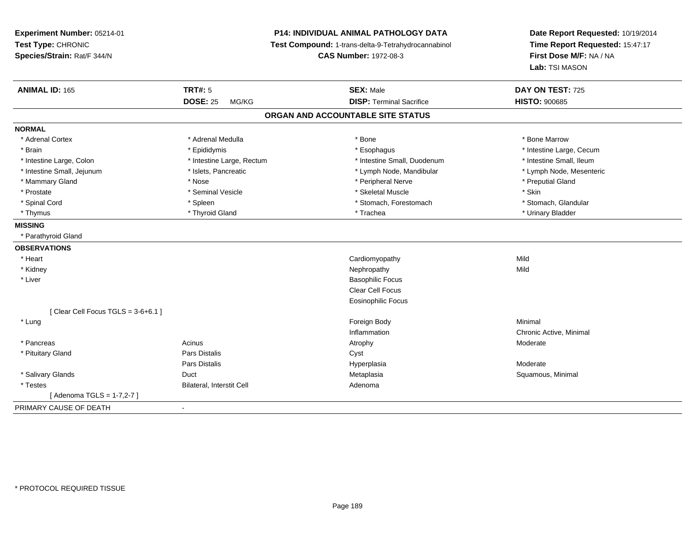**Experiment Number:** 05214-01**Test Type:** CHRONIC **Species/Strain:** Rat/F 344/N**P14: INDIVIDUAL ANIMAL PATHOLOGY DATA Test Compound:** 1-trans-delta-9-Tetrahydrocannabinol **CAS Number:** 1972-08-3**Date Report Requested:** 10/19/2014**Time Report Requested:** 15:47:17**First Dose M/F:** NA / NA**Lab:** TSI MASON**ANIMAL ID:** 165**TRT#:** 5 **SEX:** Male **DAY ON TEST:** 725 **DOSE:** 25 MG/KG**DISP:** Terminal Sacrifice **HISTO:**  $900685$ **ORGAN AND ACCOUNTABLE SITE STATUSNORMAL**\* Adrenal Cortex \* Adrenal Medulla \* Adrenal Medulla \* Bone \* Bone \* Bone \* Bone \* Bone Marrow \* Brain \* Explorer \* Epididymis \* \* Epididymis \* \* Esophagus \* Esophagus \* \* Esophagus \* Intestine Large, Cecum \* \* Intestine Large, Cecum \* Intestine Small, Ileum \* Intestine Large, Colon \* Intestine Large, Rectum \* Intestine Small, Duodenum \* Intestine Small, Duodenum \* Lymph Node, Mesenteric \* Intestine Small, Jejunum \* Mandibular \* Islets, Pancreatic \* Mandibular \* Lymph Node, Mandibular \* Mammary Gland \* \* And \* \* Nose \* \* Posser \* Preputial Gland \* Peripheral Nerve \* Preputial Gland \* Preputial Gland \* Preputial Gland \* Preputial Gland \* Preputial Gland \* Preputial Gland \* Preputial Gland \* Preputial Gla \* Prostate \* The state \* Seminal Vesicle \* Seminal Vesicle \* Skeletal Muscle \* Skeletal Muscle \* Skin \* Stomach. Glandular \* Spinal Cord \* Spinal Cord \* Spinal Cord \* Stomach, Forestomach \* Stomach, Forestomach \* Stomach, Forestomach \* Thymus \* Thyroid Gland \* Trachea \* Urinary Bladder \* **MISSING** \* Parathyroid Gland**OBSERVATIONS** \* Heart Cardiomyopathyy Mild **Mild**  \* Kidneyy the controller of the controller of the controller of the controller of the controller of the controller of the controller of the controller of the controller of the controller of the controller of the controller of the \* Liver Basophilic Focus Clear Cell Focus Eosinophilic Focus $[$  Clear Cell Focus TGLS = 3-6+6.1  $]$  \* Lungg and the state of the state of the state of the state of the state of the state of the state of the state of the state of the state of the state of the state of the state of the state of the state of the state of the stat Inflammation Chronic Active, Minimal \* Pancreass and the contract of the Acinus and the Acinus and the Atrophy and the Moderate Moderate of the Moderate of the Moderate of the Moderate of the Moderate of the Moderate of the Moderate of the Moderate of the Moderate of t \* Pituitary Glandd **Example 2018** Pars Distalis **Contains 2018** Cyst Pars Distalis Hyperplasia Moderate \* Salivary Glandss Duct Metaplasia Squamous, Minimal \* TestesBilateral, Interstit Cell [ Adenoma TGLS = 1-7,2-7 ]PRIMARY CAUSE OF DEATH-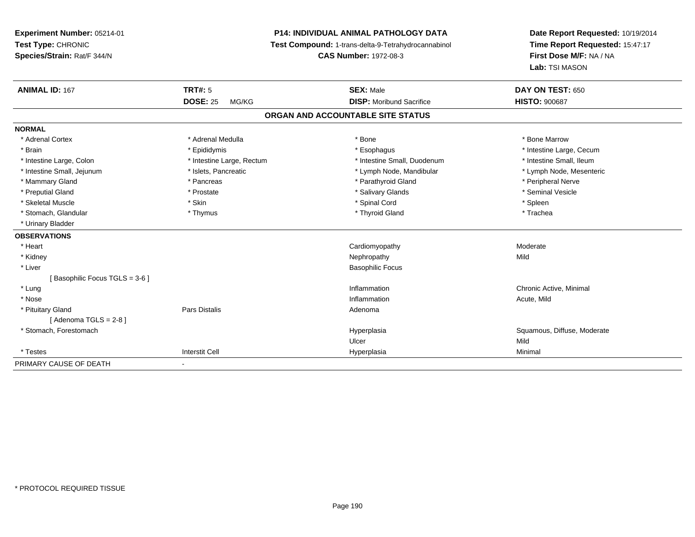# **P14: INDIVIDUAL ANIMAL PATHOLOGY DATA**

**Test Compound:** 1-trans-delta-9-Tetrahydrocannabinol

**CAS Number:** 1972-08-3

| <b>ANIMAL ID: 167</b>         | <b>TRT#: 5</b>            | <b>SEX: Male</b>                  | DAY ON TEST: 650            |
|-------------------------------|---------------------------|-----------------------------------|-----------------------------|
|                               | <b>DOSE: 25</b><br>MG/KG  | <b>DISP:</b> Moribund Sacrifice   | <b>HISTO: 900687</b>        |
|                               |                           | ORGAN AND ACCOUNTABLE SITE STATUS |                             |
| <b>NORMAL</b>                 |                           |                                   |                             |
| * Adrenal Cortex              | * Adrenal Medulla         | * Bone                            | * Bone Marrow               |
| * Brain                       | * Epididymis              | * Esophagus                       | * Intestine Large, Cecum    |
| * Intestine Large, Colon      | * Intestine Large, Rectum | * Intestine Small, Duodenum       | * Intestine Small, Ileum    |
| * Intestine Small, Jejunum    | * Islets, Pancreatic      | * Lymph Node, Mandibular          | * Lymph Node, Mesenteric    |
| * Mammary Gland               | * Pancreas                | * Parathyroid Gland               | * Peripheral Nerve          |
| * Preputial Gland             | * Prostate                | * Salivary Glands                 | * Seminal Vesicle           |
| * Skeletal Muscle             | * Skin                    | * Spinal Cord                     | * Spleen                    |
| * Stomach, Glandular          | * Thymus                  | * Thyroid Gland                   | * Trachea                   |
| * Urinary Bladder             |                           |                                   |                             |
| <b>OBSERVATIONS</b>           |                           |                                   |                             |
| * Heart                       |                           | Cardiomyopathy                    | Moderate                    |
| * Kidney                      |                           | Nephropathy                       | Mild                        |
| * Liver                       |                           | <b>Basophilic Focus</b>           |                             |
| Basophilic Focus TGLS = 3-6 ] |                           |                                   |                             |
| * Lung                        |                           | Inflammation                      | Chronic Active, Minimal     |
| * Nose                        |                           | Inflammation                      | Acute, Mild                 |
| * Pituitary Gland             | Pars Distalis             | Adenoma                           |                             |
| [Adenoma TGLS = $2-8$ ]       |                           |                                   |                             |
| * Stomach, Forestomach        |                           | Hyperplasia                       | Squamous, Diffuse, Moderate |
|                               |                           | Ulcer                             | Mild                        |
| * Testes                      | <b>Interstit Cell</b>     | Hyperplasia                       | Minimal                     |
| PRIMARY CAUSE OF DEATH        | ۰                         |                                   |                             |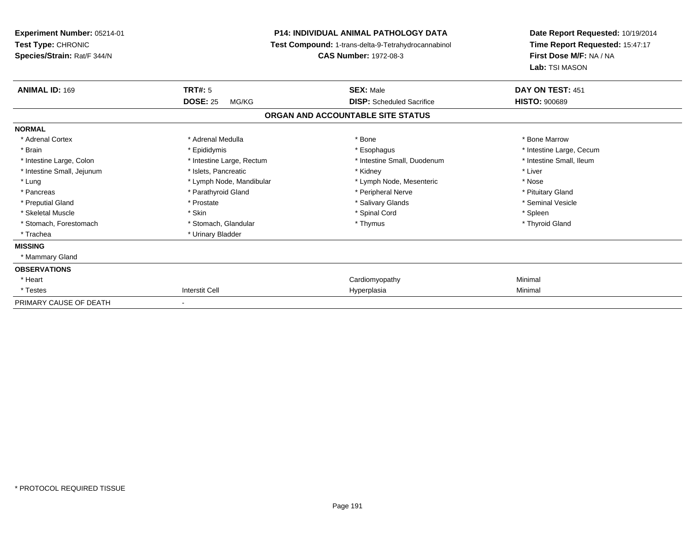| <b>Experiment Number: 05214-01</b><br>Test Type: CHRONIC<br>Species/Strain: Rat/F 344/N | <b>P14: INDIVIDUAL ANIMAL PATHOLOGY DATA</b><br>Test Compound: 1-trans-delta-9-Tetrahydrocannabinol<br><b>CAS Number: 1972-08-3</b> |                                   | Date Report Requested: 10/19/2014<br>Time Report Requested: 15:47:17<br>First Dose M/F: NA / NA<br>Lab: TSI MASON |  |
|-----------------------------------------------------------------------------------------|-------------------------------------------------------------------------------------------------------------------------------------|-----------------------------------|-------------------------------------------------------------------------------------------------------------------|--|
| <b>ANIMAL ID: 169</b>                                                                   | <b>TRT#: 5</b>                                                                                                                      | <b>SEX: Male</b>                  | DAY ON TEST: 451                                                                                                  |  |
|                                                                                         | <b>DOSE: 25</b><br>MG/KG                                                                                                            | <b>DISP:</b> Scheduled Sacrifice  | <b>HISTO: 900689</b>                                                                                              |  |
|                                                                                         |                                                                                                                                     | ORGAN AND ACCOUNTABLE SITE STATUS |                                                                                                                   |  |
| <b>NORMAL</b>                                                                           |                                                                                                                                     |                                   |                                                                                                                   |  |
| * Adrenal Cortex                                                                        | * Adrenal Medulla                                                                                                                   | * Bone                            | * Bone Marrow                                                                                                     |  |
| * Brain                                                                                 | * Epididymis                                                                                                                        | * Esophagus                       | * Intestine Large, Cecum                                                                                          |  |
| * Intestine Large, Colon                                                                | * Intestine Large, Rectum                                                                                                           | * Intestine Small, Duodenum       | * Intestine Small, Ileum                                                                                          |  |
| * Intestine Small, Jejunum                                                              | * Islets. Pancreatic                                                                                                                | * Kidney                          | * Liver                                                                                                           |  |
| * Lung                                                                                  | * Lymph Node, Mandibular                                                                                                            | * Lymph Node, Mesenteric          | * Nose                                                                                                            |  |
| * Pancreas                                                                              | * Parathyroid Gland                                                                                                                 | * Peripheral Nerve                | * Pituitary Gland                                                                                                 |  |
| * Preputial Gland                                                                       | * Prostate                                                                                                                          | * Salivary Glands                 | * Seminal Vesicle                                                                                                 |  |
| * Skeletal Muscle                                                                       | * Skin                                                                                                                              | * Spinal Cord                     | * Spleen                                                                                                          |  |
| * Stomach, Forestomach                                                                  | * Stomach, Glandular                                                                                                                | * Thymus                          | * Thyroid Gland                                                                                                   |  |
| * Trachea                                                                               | * Urinary Bladder                                                                                                                   |                                   |                                                                                                                   |  |
| <b>MISSING</b>                                                                          |                                                                                                                                     |                                   |                                                                                                                   |  |
| * Mammary Gland                                                                         |                                                                                                                                     |                                   |                                                                                                                   |  |
| <b>OBSERVATIONS</b>                                                                     |                                                                                                                                     |                                   |                                                                                                                   |  |
| * Heart                                                                                 |                                                                                                                                     | Cardiomyopathy                    | Minimal                                                                                                           |  |
| * Testes                                                                                | <b>Interstit Cell</b>                                                                                                               | Hyperplasia                       | Minimal                                                                                                           |  |
| PRIMARY CAUSE OF DEATH                                                                  | $\overline{\phantom{a}}$                                                                                                            |                                   |                                                                                                                   |  |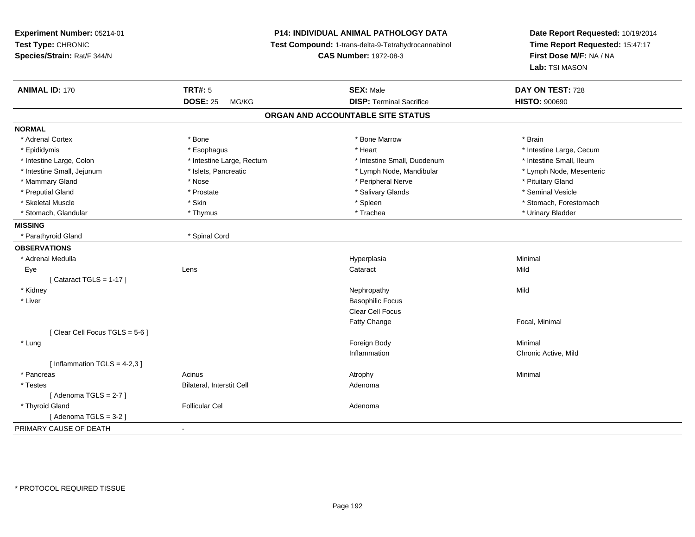**Experiment Number:** 05214-01**Test Type:** CHRONIC **Species/Strain:** Rat/F 344/N**P14: INDIVIDUAL ANIMAL PATHOLOGY DATA Test Compound:** 1-trans-delta-9-Tetrahydrocannabinol **CAS Number:** 1972-08-3**Date Report Requested:** 10/19/2014**Time Report Requested:** 15:47:17**First Dose M/F:** NA / NA**Lab:** TSI MASON**ANIMAL ID:** 170**C TRT#:** 5 **SEX:** Male **DAY ON TEST:** 728 **DOSE:** 25 MG/KG**DISP:** Terminal Sacrifice **HISTO:**  $900690$ **ORGAN AND ACCOUNTABLE SITE STATUSNORMAL**\* Adrenal Cortex \* Adrenal Cortex \* \* Adrenal Cortex \* Brain \* Bone \* \* Bone Marrow \* Bone Marrow \* \* Brain \* Brain \* Brain \* Brain \* Brain \* Brain \* Brain \* Brain \* Brain \* Brain \* Brain \* Brain \* Brain \* Brain \* Brain \* Brain \* Brain \* B \* Epididymis **Account 19 and 19 and 19 and 19 and 19 and 19 and 19 and 19 and 19 and 19 and 19 and 19 and 19 and 19 and 19 and 19 and 19 and 19 and 19 and 19 and 19 and 19 and 19 and 19 and 19 and 19 and 19 and 19 and 19 a** \* Intestine Small, Ileum \* Intestine Large, Colon \* Intestine Large, Rectum \* Intestine Small, Duodenum \* Intestine Small, Duodenum \* Lymph Node, Mesenteric \* Intestine Small, Jejunum \* Mandibular \* Islets, Pancreatic \* Mandibular \* Lymph Node, Mandibular \* Mammary Gland \* \* Amery \* Nose \* \* Nose \* \* Peripheral Nerve \* Peripheral Nerve \* Pituitary Gland \* Pituitary Gland \* Pituitary Gland \* Pituitary Gland \* \* Pituitary Gland \* \* Pituitary Gland \* \* Pituitary Gland \* \* Pitu \* Seminal Vesicle \* Preputial Gland \* \* Annual vesicle \* \* Prostate \* \* Salivary Glands \* \* Salivary Glands \* \* Seminal Vesicle \* \* Skeletal Muscle \* The stomach \* Skin \* Spleen \* Spleen \* Stomach, Forestomach \* Stomach, Forestomach \* Stomach, Glandular \* \* \* Thymus \* \* Thymus \* \* The \* \* Trachea \* \* Trachea \* \* Urinary Bladder \* \* Urinary Bladder \* **MISSING** \* Parathyroid Gland \* Spinal Cord**OBSERVATIONS** \* Adrenal Medullaa and the control of the control of the control of the Hyperplasia and the control of the control of the control of the control of the control of the control of the control of the control of the control of the control of t Eyee and the contract of the contract of the contract of the contract of the contract of the contract of the contract of the contract of the contract of the contract of the contract of the contract of the contract of the cont  $[$  Cataract TGLS = 1-17  $]$  \* Kidneyy the controller of the controller of the controller of the controller of the controller of the controller of the controller of the controller of the controller of the controller of the controller of the controller of the \* Liver Basophilic Focus Clear Cell FocusFatty Change Focal, Minimal [ Clear Cell Focus TGLS = 5-6 ] \* Lungg and the state of the state of the state of the state of the state of the state of the state of the state of the state of the state of the state of the state of the state of the state of the state of the state of the stat Inflammation Chronic Active, Mild  $[$  Inflammation TGLS = 4-2,3  $]$  \* Pancreass the control of the control of the control of the control of the control of the control of the control of the control of the control of the control of the control of the control of the control of the control of the contro \* TestesBilateral, Interstit Cell **Adenoma** Adenoma  $[$  Adenoma TGLS = 2-7  $]$  \* Thyroid Glandd and the set of the Follicular Cel the set of the Second Adenomal Adenomal Second Second Second Second Second Second Second Second Second Second Second Second Second Second Second Second Second Second Second Second Second  $[$  Adenoma TGLS = 3-2  $]$ PRIMARY CAUSE OF DEATH-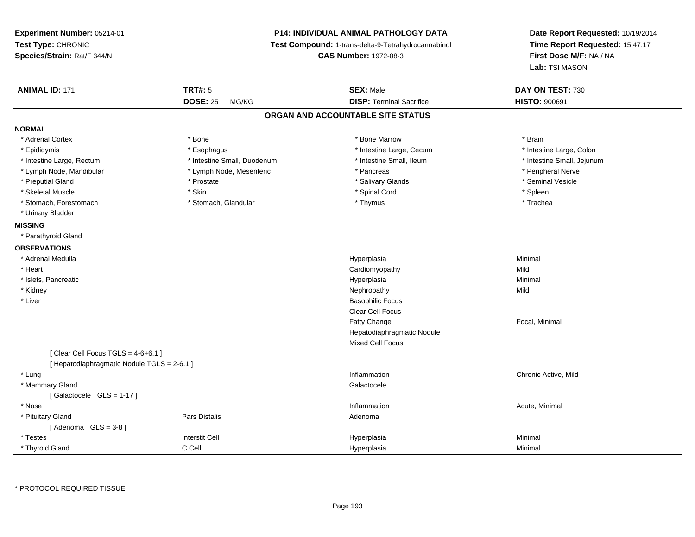| Experiment Number: 05214-01<br>Test Type: CHRONIC<br>Species/Strain: Rat/F 344/N | P14: INDIVIDUAL ANIMAL PATHOLOGY DATA<br>Test Compound: 1-trans-delta-9-Tetrahydrocannabinol<br><b>CAS Number: 1972-08-3</b> |                                   | Date Report Requested: 10/19/2014<br>Time Report Requested: 15:47:17<br>First Dose M/F: NA / NA<br>Lab: TSI MASON |  |
|----------------------------------------------------------------------------------|------------------------------------------------------------------------------------------------------------------------------|-----------------------------------|-------------------------------------------------------------------------------------------------------------------|--|
| <b>ANIMAL ID: 171</b>                                                            | <b>TRT#: 5</b>                                                                                                               | <b>SEX: Male</b>                  | DAY ON TEST: 730                                                                                                  |  |
|                                                                                  | <b>DOSE: 25</b><br>MG/KG                                                                                                     | <b>DISP: Terminal Sacrifice</b>   | <b>HISTO: 900691</b>                                                                                              |  |
|                                                                                  |                                                                                                                              | ORGAN AND ACCOUNTABLE SITE STATUS |                                                                                                                   |  |
| <b>NORMAL</b>                                                                    |                                                                                                                              |                                   |                                                                                                                   |  |
| * Adrenal Cortex                                                                 | * Bone                                                                                                                       | * Bone Marrow                     | * Brain                                                                                                           |  |
| * Epididymis                                                                     | * Esophagus                                                                                                                  | * Intestine Large, Cecum          | * Intestine Large, Colon                                                                                          |  |
| * Intestine Large, Rectum                                                        | * Intestine Small, Duodenum                                                                                                  | * Intestine Small, Ileum          | * Intestine Small, Jejunum                                                                                        |  |
| * Lymph Node, Mandibular                                                         | * Lymph Node, Mesenteric                                                                                                     | * Pancreas                        | * Peripheral Nerve                                                                                                |  |
| * Preputial Gland                                                                | * Prostate                                                                                                                   | * Salivary Glands                 | * Seminal Vesicle                                                                                                 |  |
| * Skeletal Muscle                                                                | * Skin                                                                                                                       | * Spinal Cord                     | * Spleen                                                                                                          |  |
| * Stomach, Forestomach                                                           | * Stomach, Glandular                                                                                                         | * Thymus                          | * Trachea                                                                                                         |  |
| * Urinary Bladder                                                                |                                                                                                                              |                                   |                                                                                                                   |  |
| <b>MISSING</b>                                                                   |                                                                                                                              |                                   |                                                                                                                   |  |
| * Parathyroid Gland                                                              |                                                                                                                              |                                   |                                                                                                                   |  |
| <b>OBSERVATIONS</b>                                                              |                                                                                                                              |                                   |                                                                                                                   |  |
| * Adrenal Medulla                                                                |                                                                                                                              | Hyperplasia                       | Minimal                                                                                                           |  |
| * Heart                                                                          |                                                                                                                              | Cardiomyopathy                    | Mild                                                                                                              |  |
| * Islets, Pancreatic                                                             |                                                                                                                              | Hyperplasia                       | Minimal                                                                                                           |  |
| * Kidney                                                                         |                                                                                                                              | Nephropathy                       | Mild                                                                                                              |  |
| * Liver                                                                          |                                                                                                                              | <b>Basophilic Focus</b>           |                                                                                                                   |  |
|                                                                                  |                                                                                                                              | Clear Cell Focus                  |                                                                                                                   |  |
|                                                                                  |                                                                                                                              | Fatty Change                      | Focal, Minimal                                                                                                    |  |
|                                                                                  |                                                                                                                              | Hepatodiaphragmatic Nodule        |                                                                                                                   |  |
|                                                                                  |                                                                                                                              | Mixed Cell Focus                  |                                                                                                                   |  |
| [Clear Cell Focus TGLS = $4-6+6.1$ ]                                             |                                                                                                                              |                                   |                                                                                                                   |  |
| [ Hepatodiaphragmatic Nodule TGLS = 2-6.1 ]                                      |                                                                                                                              |                                   |                                                                                                                   |  |
| * Lung                                                                           |                                                                                                                              | Inflammation                      | Chronic Active, Mild                                                                                              |  |
| * Mammary Gland                                                                  |                                                                                                                              | Galactocele                       |                                                                                                                   |  |
| [Galactocele TGLS = 1-17]                                                        |                                                                                                                              |                                   |                                                                                                                   |  |
| * Nose                                                                           |                                                                                                                              | Inflammation                      | Acute, Minimal                                                                                                    |  |
| * Pituitary Gland                                                                | <b>Pars Distalis</b>                                                                                                         | Adenoma                           |                                                                                                                   |  |
| [Adenoma TGLS = $3-8$ ]                                                          |                                                                                                                              |                                   |                                                                                                                   |  |
| * Testes                                                                         | <b>Interstit Cell</b>                                                                                                        | Hyperplasia                       | Minimal                                                                                                           |  |
| * Thyroid Gland                                                                  | C Cell                                                                                                                       | Hyperplasia                       | Minimal                                                                                                           |  |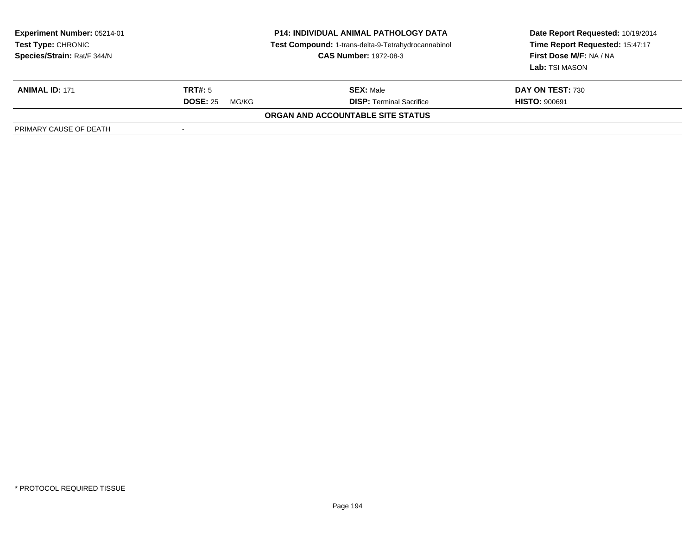| <b>Experiment Number: 05214-01</b><br><b>Test Type: CHRONIC</b><br>Species/Strain: Rat/F 344/N | <b>P14: INDIVIDUAL ANIMAL PATHOLOGY DATA</b><br>Test Compound: 1-trans-delta-9-Tetrahydrocannabinol<br><b>CAS Number: 1972-08-3</b> |                                   | Date Report Requested: 10/19/2014<br>Time Report Requested: 15:47:17<br>First Dose M/F: NA / NA<br>Lab: TSI MASON |  |
|------------------------------------------------------------------------------------------------|-------------------------------------------------------------------------------------------------------------------------------------|-----------------------------------|-------------------------------------------------------------------------------------------------------------------|--|
| <b>ANIMAL ID: 171</b>                                                                          | <b>TRT#:</b> 5                                                                                                                      | <b>SEX: Male</b>                  | DAY ON TEST: 730                                                                                                  |  |
|                                                                                                | <b>DOSE: 25</b><br>MG/KG                                                                                                            | <b>DISP: Terminal Sacrifice</b>   | <b>HISTO: 900691</b>                                                                                              |  |
|                                                                                                |                                                                                                                                     | ORGAN AND ACCOUNTABLE SITE STATUS |                                                                                                                   |  |
| PRIMARY CAUSE OF DEATH                                                                         |                                                                                                                                     |                                   |                                                                                                                   |  |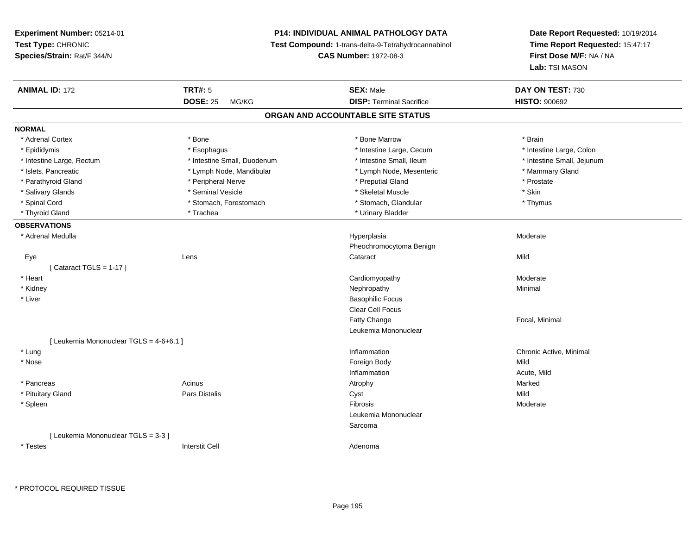# **P14: INDIVIDUAL ANIMAL PATHOLOGY DATA**

**Test Compound:** 1-trans-delta-9-Tetrahydrocannabinol

**CAS Number:** 1972-08-3

| <b>ANIMAL ID: 172</b>                   | <b>TRT#: 5</b>              | <b>SEX: Male</b>                  | DAY ON TEST: 730           |  |
|-----------------------------------------|-----------------------------|-----------------------------------|----------------------------|--|
|                                         | <b>DOSE: 25</b><br>MG/KG    | <b>DISP: Terminal Sacrifice</b>   | <b>HISTO: 900692</b>       |  |
|                                         |                             | ORGAN AND ACCOUNTABLE SITE STATUS |                            |  |
| <b>NORMAL</b>                           |                             |                                   |                            |  |
| * Adrenal Cortex                        | * Bone                      | * Bone Marrow                     | * Brain                    |  |
| * Epididymis                            | * Esophagus                 | * Intestine Large, Cecum          | * Intestine Large, Colon   |  |
| * Intestine Large, Rectum               | * Intestine Small, Duodenum | * Intestine Small, Ileum          | * Intestine Small, Jejunum |  |
| * Islets, Pancreatic                    | * Lymph Node, Mandibular    | * Lymph Node, Mesenteric          | * Mammary Gland            |  |
| * Parathyroid Gland                     | * Peripheral Nerve          | * Preputial Gland                 | * Prostate                 |  |
| * Salivary Glands                       | * Seminal Vesicle           | * Skeletal Muscle                 | * Skin                     |  |
| * Spinal Cord                           | * Stomach, Forestomach      | * Stomach, Glandular              | * Thymus                   |  |
| * Thyroid Gland                         | * Trachea                   | * Urinary Bladder                 |                            |  |
| <b>OBSERVATIONS</b>                     |                             |                                   |                            |  |
| * Adrenal Medulla                       |                             | Hyperplasia                       | Moderate                   |  |
|                                         |                             | Pheochromocytoma Benign           |                            |  |
| Eye                                     | Lens                        | Cataract                          | Mild                       |  |
| [Cataract TGLS = $1-17$ ]               |                             |                                   |                            |  |
| * Heart                                 |                             | Cardiomyopathy                    | Moderate                   |  |
| * Kidney                                |                             | Nephropathy                       | Minimal                    |  |
| * Liver                                 |                             | <b>Basophilic Focus</b>           |                            |  |
|                                         |                             | <b>Clear Cell Focus</b>           |                            |  |
|                                         |                             | Fatty Change                      | Focal, Minimal             |  |
|                                         |                             | Leukemia Mononuclear              |                            |  |
| [ Leukemia Mononuclear TGLS = 4-6+6.1 ] |                             |                                   |                            |  |
| * Lung                                  |                             | Inflammation                      | Chronic Active, Minimal    |  |
| * Nose                                  |                             | Foreign Body                      | Mild                       |  |
|                                         |                             | Inflammation                      | Acute, Mild                |  |
| * Pancreas                              | Acinus                      | Atrophy                           | Marked                     |  |
| * Pituitary Gland                       | Pars Distalis               | Cyst                              | Mild                       |  |
| * Spleen                                |                             | Fibrosis                          | Moderate                   |  |
|                                         |                             | Leukemia Mononuclear              |                            |  |
|                                         |                             | Sarcoma                           |                            |  |
| [ Leukemia Mononuclear TGLS = 3-3 ]     |                             |                                   |                            |  |
| * Testes                                | <b>Interstit Cell</b>       | Adenoma                           |                            |  |
|                                         |                             |                                   |                            |  |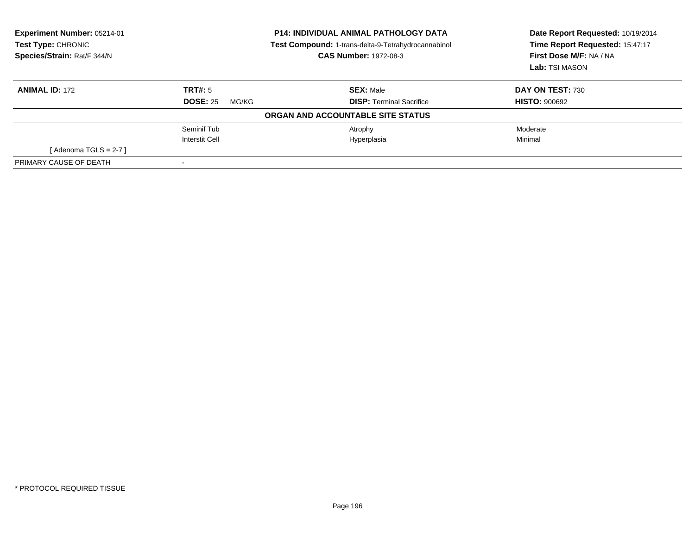| Experiment Number: 05214-01<br>Test Type: CHRONIC<br>Species/Strain: Rat/F 344/N<br><b>CAS Number: 1972-08-3</b> |                          | <b>P14: INDIVIDUAL ANIMAL PATHOLOGY DATA</b><br>Test Compound: 1-trans-delta-9-Tetrahydrocannabinol | Date Report Requested: 10/19/2014<br>Time Report Requested: 15:47:17<br>First Dose M/F: NA / NA<br>Lab: TSI MASON |
|------------------------------------------------------------------------------------------------------------------|--------------------------|-----------------------------------------------------------------------------------------------------|-------------------------------------------------------------------------------------------------------------------|
| <b>ANIMAL ID: 172</b>                                                                                            | TRT#: 5                  | <b>SEX: Male</b>                                                                                    | DAY ON TEST: 730                                                                                                  |
|                                                                                                                  | <b>DOSE: 25</b><br>MG/KG | <b>DISP:</b> Terminal Sacrifice                                                                     | <b>HISTO: 900692</b>                                                                                              |
|                                                                                                                  |                          | ORGAN AND ACCOUNTABLE SITE STATUS                                                                   |                                                                                                                   |
|                                                                                                                  | Seminif Tub              | Atrophy                                                                                             | Moderate                                                                                                          |
|                                                                                                                  | Interstit Cell           | Hyperplasia                                                                                         | Minimal                                                                                                           |
| [Adenoma TGLS = 2-7 ]                                                                                            |                          |                                                                                                     |                                                                                                                   |
| PRIMARY CAUSE OF DEATH                                                                                           |                          |                                                                                                     |                                                                                                                   |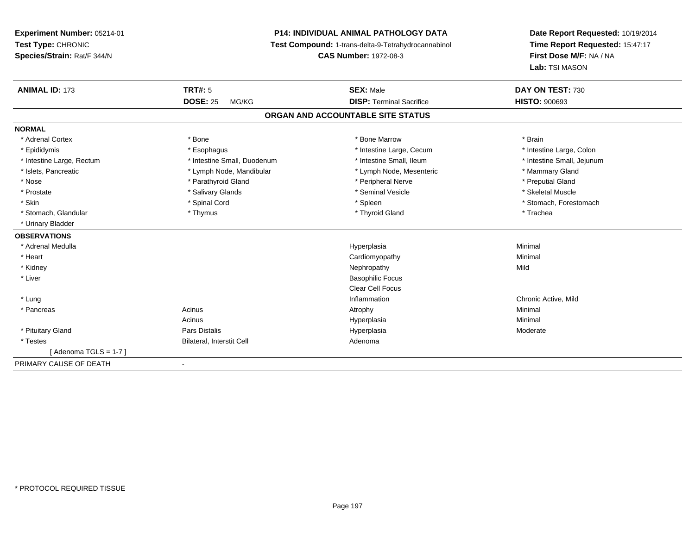# **P14: INDIVIDUAL ANIMAL PATHOLOGY DATA**

**Test Compound:** 1-trans-delta-9-Tetrahydrocannabinol

**CAS Number:** 1972-08-3

| <b>ANIMAL ID: 173</b>             | TRT#: 5                      | <b>SEX: Male</b>                | DAY ON TEST: 730           |  |  |  |  |
|-----------------------------------|------------------------------|---------------------------------|----------------------------|--|--|--|--|
|                                   | <b>DOSE: 25</b><br>MG/KG     | <b>DISP: Terminal Sacrifice</b> | <b>HISTO: 900693</b>       |  |  |  |  |
| ORGAN AND ACCOUNTABLE SITE STATUS |                              |                                 |                            |  |  |  |  |
| <b>NORMAL</b>                     |                              |                                 |                            |  |  |  |  |
| * Adrenal Cortex                  | * Bone                       | * Bone Marrow                   | * Brain                    |  |  |  |  |
| * Epididymis                      | * Esophagus                  | * Intestine Large, Cecum        | * Intestine Large, Colon   |  |  |  |  |
| * Intestine Large, Rectum         | * Intestine Small, Duodenum  | * Intestine Small, Ileum        | * Intestine Small, Jejunum |  |  |  |  |
| * Islets, Pancreatic              | * Lymph Node, Mandibular     | * Lymph Node, Mesenteric        | * Mammary Gland            |  |  |  |  |
| * Nose                            | * Parathyroid Gland          | * Peripheral Nerve              | * Preputial Gland          |  |  |  |  |
| * Prostate                        | * Salivary Glands            | * Seminal Vesicle               | * Skeletal Muscle          |  |  |  |  |
| * Skin                            | * Spinal Cord                | * Spleen                        | * Stomach, Forestomach     |  |  |  |  |
| * Stomach, Glandular              | * Thymus                     | * Thyroid Gland                 | * Trachea                  |  |  |  |  |
| * Urinary Bladder                 |                              |                                 |                            |  |  |  |  |
| <b>OBSERVATIONS</b>               |                              |                                 |                            |  |  |  |  |
| * Adrenal Medulla                 |                              | Hyperplasia                     | Minimal                    |  |  |  |  |
| * Heart                           |                              | Cardiomyopathy                  | Minimal                    |  |  |  |  |
| * Kidney                          |                              | Nephropathy                     | Mild                       |  |  |  |  |
| * Liver                           |                              | <b>Basophilic Focus</b>         |                            |  |  |  |  |
|                                   |                              | <b>Clear Cell Focus</b>         |                            |  |  |  |  |
| * Lung                            |                              | Inflammation                    | Chronic Active, Mild       |  |  |  |  |
| * Pancreas                        | Acinus                       | Atrophy                         | Minimal                    |  |  |  |  |
|                                   | Acinus                       | Hyperplasia                     | Minimal                    |  |  |  |  |
| * Pituitary Gland                 | Pars Distalis                | Hyperplasia                     | Moderate                   |  |  |  |  |
| * Testes                          | Bilateral, Interstit Cell    | Adenoma                         |                            |  |  |  |  |
| [Adenoma TGLS = 1-7]              |                              |                                 |                            |  |  |  |  |
| PRIMARY CAUSE OF DEATH            | $\qquad \qquad \blacksquare$ |                                 |                            |  |  |  |  |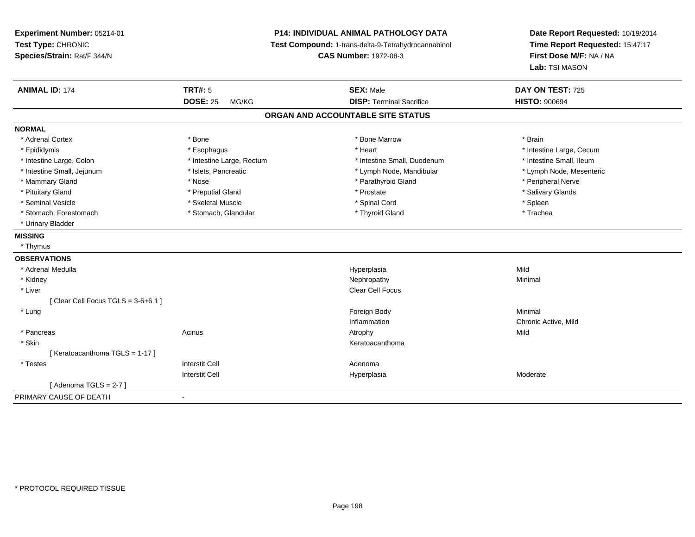**Experiment Number:** 05214-01**Test Type:** CHRONIC **Species/Strain:** Rat/F 344/N**P14: INDIVIDUAL ANIMAL PATHOLOGY DATA Test Compound:** 1-trans-delta-9-Tetrahydrocannabinol **CAS Number:** 1972-08-3**Date Report Requested:** 10/19/2014**Time Report Requested:** 15:47:17**First Dose M/F:** NA / NA**Lab:** TSI MASON**ANIMAL ID:** 174**TRT#:** 5 **SEX:** Male **DAY ON TEST:** 725 **DOSE:** 25 MG/KG **DISP:** Terminal Sacrifice **HISTO:** <sup>900694</sup> **ORGAN AND ACCOUNTABLE SITE STATUSNORMAL**\* Adrenal Cortex \* Adrenal Cortex \* \* Adrenal Cortex \* Brain \* Bone \* \* Bone Marrow \* Bone Marrow \* \* Brain \* Brain \* Brain \* Brain \* Brain \* Brain \* Brain \* Brain \* Brain \* Brain \* Brain \* Brain \* Brain \* Brain \* Brain \* Brain \* Brain \* B \* Epididymis **Account 19 and 19 and 19 and 19 and 19 and 19 and 19 and 19 and 19 and 19 and 19 and 19 and 19 and 19 and 19 and 19 and 19 and 19 and 19 and 19 and 19 and 19 and 19 and 19 and 19 and 19 and 19 and 19 and 19 a** \* Intestine Small, Ileum \* Intestine Large, Colon \* Intestine Large, Rectum \* Intestine Small, Duodenum \* Intestine Small, Duodenum \* Lymph Node, Mesenteric \* Intestine Small, Jejunum \* Mandibular \* Islets, Pancreatic \* Mandibular \* Lymph Node, Mandibular \* Mammary Gland \* \* Annume \* Nose \* \* Nose \* \* Parathyroid Gland \* Peripheral Nerve \* Peripheral Nerve \* \* Peripheral Nerve \* \* Peripheral Nerve \* \* Peripheral Nerve \* \* Peripheral Nerve \* \* Peripheral Nerve \* \* \* \* \* \* \* \* Salivary Glands \* Pituitary Gland \* \* Then the state \* Preputial Gland \* Prosection \* Prostate \* \* Salivary Glands \* Salivary Glands \* Salivary Glands \* Salivary Glands \* Salivary Glands \* Salivary Glands \* Salivary Glands \* Salivary Glan \* Seminal Vesicle \* \* \* \* Sheem \* Skeletal Muscle \* \* \* Spinal Cord \* \* Spinal Cord \* \* Spinal Vesicle \* \* Spleen \* \* Spleen \* \* Spinal Cord \* \* Spinal Cord \* \* \* Spinal Cord \* \* \* Spinal Cord \* \* \* Spinal Cord \* \* \* Spina \* Trachea \* Stomach, Forestomach \* Thyroid Gland \* Stomach, Glandular \* Thyroid Gland \* Thyroid Gland \* Urinary Bladder**MISSING** \* Thymus**OBSERVATIONS** \* Adrenal Medullaa and the control of the control of the control of the Hyperplasia and the control of the Mild of the control o \* Kidneyy the control of the control of the control of the control of the control of the control of the control of the control of the control of the control of the control of the control of the control of the control of the contro \* Liverr and the contract of the contract of the contract of the contract of the contract of the contract of the contract of the contract of the contract of the contract of the contract of the contract of the contract of the cont  $[$  Clear Cell Focus TGLS = 3-6+6.1  $]$  \* Lungg and the state of the state of the state of the state of the state of the state of the state of the state of the state of the state of the state of the state of the state of the state of the state of the state of the stat Inflammation Chronic Active, Mild \* Pancreass the contract of the contract of the contract of the contract of the contract of the contract of the contract of the contract of the contract of the contract of the contract of the contract of the contract of the contract \* Skinn anns an t-ainmeile anns an t-ainmeile anns an t-ainmeile anns an t-ainmeile anns an t-ainmeile anns an t-ainm [ Keratoacanthoma TGLS = 1-17 ] \* Testess and the contractive contractive contractive contractive contractive contractive contractive contractive contractive contractive contractive contractive contractive contractive contractive contractive contractive contract I and the contract of the Hyperplasia Interstit Cell Moderate  $[$  Adenoma TGLS = 2-7  $]$ PRIMARY CAUSE OF DEATH-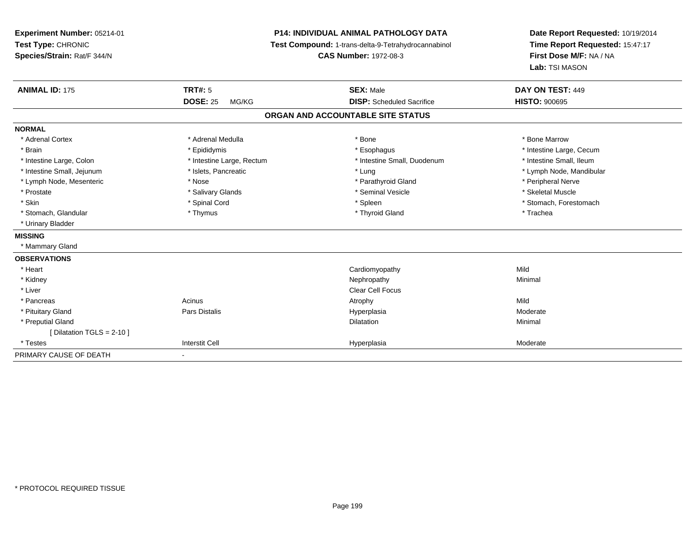| Experiment Number: 05214-01<br>Test Type: CHRONIC<br>Species/Strain: Rat/F 344/N | P14: INDIVIDUAL ANIMAL PATHOLOGY DATA<br>Test Compound: 1-trans-delta-9-Tetrahydrocannabinol<br><b>CAS Number: 1972-08-3</b> |                                   | Date Report Requested: 10/19/2014<br>Time Report Requested: 15:47:17<br>First Dose M/F: NA / NA<br>Lab: TSI MASON |  |
|----------------------------------------------------------------------------------|------------------------------------------------------------------------------------------------------------------------------|-----------------------------------|-------------------------------------------------------------------------------------------------------------------|--|
| <b>ANIMAL ID: 175</b>                                                            | <b>TRT#: 5</b>                                                                                                               | <b>SEX: Male</b>                  | DAY ON TEST: 449                                                                                                  |  |
|                                                                                  | <b>DOSE: 25</b><br>MG/KG                                                                                                     | <b>DISP:</b> Scheduled Sacrifice  | <b>HISTO: 900695</b>                                                                                              |  |
|                                                                                  |                                                                                                                              | ORGAN AND ACCOUNTABLE SITE STATUS |                                                                                                                   |  |
| <b>NORMAL</b>                                                                    |                                                                                                                              |                                   |                                                                                                                   |  |
| * Adrenal Cortex                                                                 | * Adrenal Medulla                                                                                                            | * Bone                            | * Bone Marrow                                                                                                     |  |
| * Brain                                                                          | * Epididymis                                                                                                                 | * Esophagus                       | * Intestine Large, Cecum                                                                                          |  |
| * Intestine Large, Colon                                                         | * Intestine Large, Rectum                                                                                                    | * Intestine Small, Duodenum       | * Intestine Small, Ileum                                                                                          |  |
| * Intestine Small, Jejunum                                                       | * Islets, Pancreatic                                                                                                         | * Lung                            | * Lymph Node, Mandibular                                                                                          |  |
| * Lymph Node, Mesenteric                                                         | * Nose                                                                                                                       | * Parathyroid Gland               | * Peripheral Nerve                                                                                                |  |
| * Prostate                                                                       | * Salivary Glands                                                                                                            | * Seminal Vesicle                 | * Skeletal Muscle                                                                                                 |  |
| * Skin                                                                           | * Spinal Cord                                                                                                                | * Spleen                          | * Stomach, Forestomach                                                                                            |  |
| * Stomach, Glandular                                                             | * Thymus                                                                                                                     | * Thyroid Gland                   | * Trachea                                                                                                         |  |
| * Urinary Bladder                                                                |                                                                                                                              |                                   |                                                                                                                   |  |
| <b>MISSING</b>                                                                   |                                                                                                                              |                                   |                                                                                                                   |  |
| * Mammary Gland                                                                  |                                                                                                                              |                                   |                                                                                                                   |  |
| <b>OBSERVATIONS</b>                                                              |                                                                                                                              |                                   |                                                                                                                   |  |
| * Heart                                                                          |                                                                                                                              | Cardiomyopathy                    | Mild                                                                                                              |  |
| * Kidney                                                                         |                                                                                                                              | Nephropathy                       | Minimal                                                                                                           |  |
| * Liver                                                                          |                                                                                                                              | <b>Clear Cell Focus</b>           |                                                                                                                   |  |
| * Pancreas                                                                       | Acinus                                                                                                                       | Atrophy                           | Mild                                                                                                              |  |
| * Pituitary Gland                                                                | <b>Pars Distalis</b>                                                                                                         | Hyperplasia                       | Moderate                                                                                                          |  |
| * Preputial Gland                                                                |                                                                                                                              | <b>Dilatation</b>                 | Minimal                                                                                                           |  |
| [ Dilatation TGLS = $2-10$ ]                                                     |                                                                                                                              |                                   |                                                                                                                   |  |
| * Testes                                                                         | <b>Interstit Cell</b>                                                                                                        | Hyperplasia                       | Moderate                                                                                                          |  |
| PRIMARY CAUSE OF DEATH                                                           |                                                                                                                              |                                   |                                                                                                                   |  |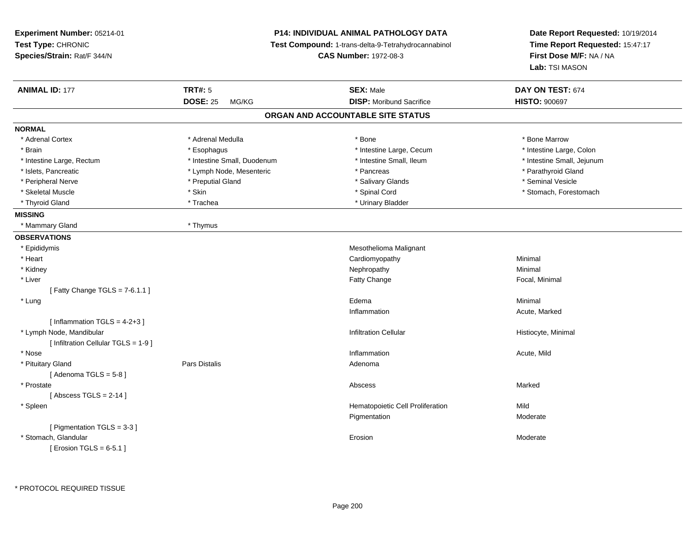| Experiment Number: 05214-01          |                             | <b>P14: INDIVIDUAL ANIMAL PATHOLOGY DATA</b>        | Date Report Requested: 10/19/2014         |  |
|--------------------------------------|-----------------------------|-----------------------------------------------------|-------------------------------------------|--|
| Test Type: CHRONIC                   |                             | Test Compound: 1-trans-delta-9-Tetrahydrocannabinol | Time Report Requested: 15:47:17           |  |
| Species/Strain: Rat/F 344/N          |                             | <b>CAS Number: 1972-08-3</b>                        | First Dose M/F: NA / NA<br>Lab: TSI MASON |  |
|                                      |                             |                                                     |                                           |  |
| <b>ANIMAL ID: 177</b>                | <b>TRT#: 5</b>              | <b>SEX: Male</b>                                    | DAY ON TEST: 674                          |  |
|                                      | <b>DOSE: 25</b><br>MG/KG    | <b>DISP:</b> Moribund Sacrifice                     | <b>HISTO: 900697</b>                      |  |
|                                      |                             | ORGAN AND ACCOUNTABLE SITE STATUS                   |                                           |  |
| <b>NORMAL</b>                        |                             |                                                     |                                           |  |
| * Adrenal Cortex                     | * Adrenal Medulla           | * Bone                                              | * Bone Marrow                             |  |
| * Brain                              | * Esophagus                 | * Intestine Large, Cecum                            | * Intestine Large, Colon                  |  |
| * Intestine Large, Rectum            | * Intestine Small, Duodenum | * Intestine Small, Ileum                            | * Intestine Small, Jejunum                |  |
| * Islets, Pancreatic                 | * Lymph Node, Mesenteric    | * Pancreas                                          | * Parathyroid Gland                       |  |
| * Peripheral Nerve                   | * Preputial Gland           | * Salivary Glands                                   | * Seminal Vesicle                         |  |
| * Skeletal Muscle                    | * Skin                      | * Spinal Cord                                       | * Stomach, Forestomach                    |  |
| * Thyroid Gland                      | * Trachea                   | * Urinary Bladder                                   |                                           |  |
| <b>MISSING</b>                       |                             |                                                     |                                           |  |
| * Mammary Gland                      | * Thymus                    |                                                     |                                           |  |
| <b>OBSERVATIONS</b>                  |                             |                                                     |                                           |  |
| * Epididymis                         |                             | Mesothelioma Malignant                              |                                           |  |
| * Heart                              |                             | Cardiomyopathy                                      | Minimal                                   |  |
| * Kidney                             |                             | Nephropathy                                         | Minimal                                   |  |
| * Liver                              |                             | Fatty Change                                        | Focal, Minimal                            |  |
| [Fatty Change TGLS = $7-6.1.1$ ]     |                             |                                                     |                                           |  |
| * Lung                               |                             | Edema                                               | Minimal                                   |  |
|                                      |                             | Inflammation                                        | Acute, Marked                             |  |
| [Inflammation TGLS = $4-2+3$ ]       |                             |                                                     |                                           |  |
| * Lymph Node, Mandibular             |                             | <b>Infiltration Cellular</b>                        | Histiocyte, Minimal                       |  |
| [ Infiltration Cellular TGLS = 1-9 ] |                             |                                                     |                                           |  |
| * Nose                               |                             | Inflammation                                        | Acute, Mild                               |  |
| * Pituitary Gland                    | Pars Distalis               | Adenoma                                             |                                           |  |
| [Adenoma TGLS = $5-8$ ]              |                             |                                                     |                                           |  |
| * Prostate                           |                             | Abscess                                             | Marked                                    |  |
| [Abscess TGLS = $2-14$ ]             |                             |                                                     |                                           |  |
| * Spleen                             |                             | Hematopoietic Cell Proliferation                    | Mild                                      |  |
|                                      |                             | Pigmentation                                        | Moderate                                  |  |
| [ Pigmentation TGLS = 3-3 ]          |                             |                                                     |                                           |  |
| * Stomach, Glandular                 |                             | Erosion                                             | Moderate                                  |  |
| [ Erosion TGLS = $6-5.1$ ]           |                             |                                                     |                                           |  |

\* PROTOCOL REQUIRED TISSUE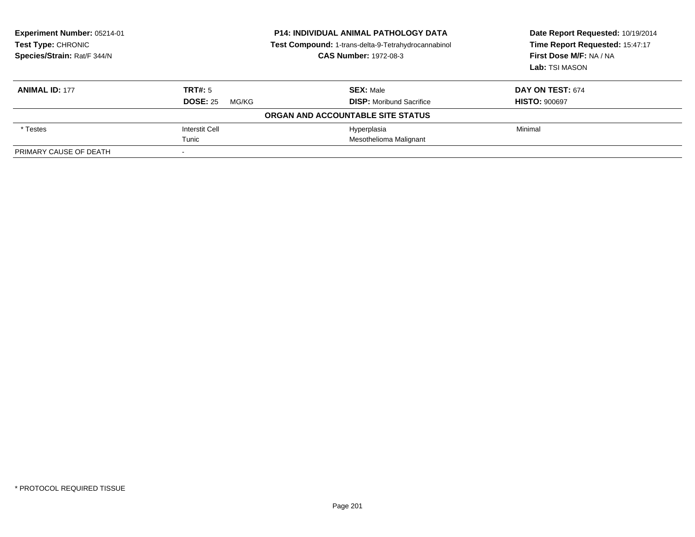| Experiment Number: 05214-01<br><b>Test Type: CHRONIC</b><br>Species/Strain: Rat/F 344/N | <b>P14: INDIVIDUAL ANIMAL PATHOLOGY DATA</b><br>Test Compound: 1-trans-delta-9-Tetrahydrocannabinol<br><b>CAS Number: 1972-08-3</b> |                                   | Date Report Requested: 10/19/2014<br>Time Report Requested: 15:47:17<br>First Dose M/F: NA / NA<br>Lab: TSI MASON |
|-----------------------------------------------------------------------------------------|-------------------------------------------------------------------------------------------------------------------------------------|-----------------------------------|-------------------------------------------------------------------------------------------------------------------|
| <b>ANIMAL ID: 177</b>                                                                   | TRT#: 5                                                                                                                             | <b>SEX: Male</b>                  | <b>DAY ON TEST: 674</b>                                                                                           |
|                                                                                         | <b>DOSE: 25</b><br>MG/KG                                                                                                            | <b>DISP:</b> Moribund Sacrifice   | <b>HISTO: 900697</b>                                                                                              |
|                                                                                         |                                                                                                                                     | ORGAN AND ACCOUNTABLE SITE STATUS |                                                                                                                   |
| * Testes                                                                                | <b>Interstit Cell</b>                                                                                                               | Hyperplasia                       | Minimal                                                                                                           |
|                                                                                         | Tunic                                                                                                                               | Mesothelioma Malignant            |                                                                                                                   |
| PRIMARY CAUSE OF DEATH                                                                  |                                                                                                                                     |                                   |                                                                                                                   |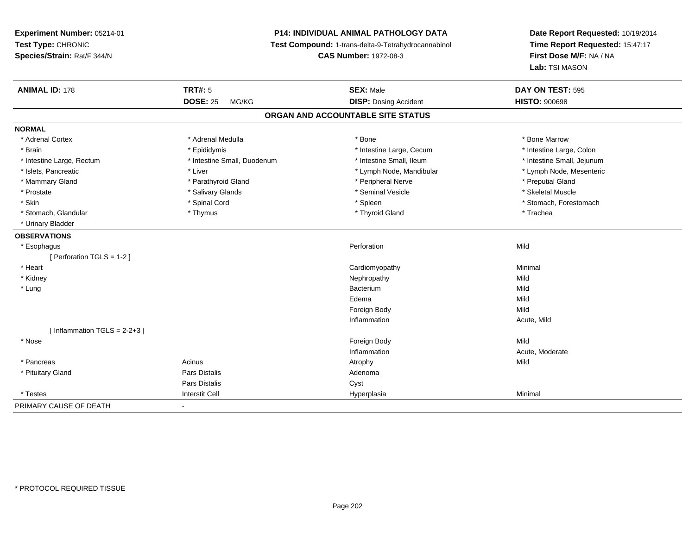# **P14: INDIVIDUAL ANIMAL PATHOLOGY DATA**

**Test Compound:** 1-trans-delta-9-Tetrahydrocannabinol

**CAS Number:** 1972-08-3

| <b>ANIMAL ID: 178</b>             | <b>TRT#: 5</b>              | <b>SEX: Male</b>             | DAY ON TEST: 595           |  |  |  |
|-----------------------------------|-----------------------------|------------------------------|----------------------------|--|--|--|
|                                   | <b>DOSE: 25</b><br>MG/KG    | <b>DISP: Dosing Accident</b> | <b>HISTO: 900698</b>       |  |  |  |
| ORGAN AND ACCOUNTABLE SITE STATUS |                             |                              |                            |  |  |  |
| <b>NORMAL</b>                     |                             |                              |                            |  |  |  |
| * Adrenal Cortex                  | * Adrenal Medulla           | * Bone                       | * Bone Marrow              |  |  |  |
| * Brain                           | * Epididymis                | * Intestine Large, Cecum     | * Intestine Large, Colon   |  |  |  |
| * Intestine Large, Rectum         | * Intestine Small, Duodenum | * Intestine Small, Ileum     | * Intestine Small, Jejunum |  |  |  |
| * Islets, Pancreatic              | * Liver                     | * Lymph Node, Mandibular     | * Lymph Node, Mesenteric   |  |  |  |
| * Mammary Gland                   | * Parathyroid Gland         | * Peripheral Nerve           | * Preputial Gland          |  |  |  |
| * Prostate                        | * Salivary Glands           | * Seminal Vesicle            | * Skeletal Muscle          |  |  |  |
| * Skin                            | * Spinal Cord               | * Spleen                     | * Stomach, Forestomach     |  |  |  |
| * Stomach, Glandular              | * Thymus                    | * Thyroid Gland              | * Trachea                  |  |  |  |
| * Urinary Bladder                 |                             |                              |                            |  |  |  |
| <b>OBSERVATIONS</b>               |                             |                              |                            |  |  |  |
| * Esophagus                       |                             | Perforation                  | Mild                       |  |  |  |
| [ Perforation TGLS = 1-2 ]        |                             |                              |                            |  |  |  |
| * Heart                           |                             | Cardiomyopathy               | Minimal                    |  |  |  |
| * Kidney                          |                             | Nephropathy                  | Mild                       |  |  |  |
| * Lung                            |                             | Bacterium                    | Mild                       |  |  |  |
|                                   |                             | Edema                        | Mild                       |  |  |  |
|                                   |                             | Foreign Body                 | Mild                       |  |  |  |
|                                   |                             | Inflammation                 | Acute, Mild                |  |  |  |
| [Inflammation TGLS = $2-2+3$ ]    |                             |                              |                            |  |  |  |
| * Nose                            |                             | Foreign Body                 | Mild                       |  |  |  |
|                                   |                             | Inflammation                 | Acute, Moderate            |  |  |  |
| * Pancreas                        | Acinus                      | Atrophy                      | Mild                       |  |  |  |
| * Pituitary Gland                 | Pars Distalis               | Adenoma                      |                            |  |  |  |
|                                   | <b>Pars Distalis</b>        | Cyst                         |                            |  |  |  |
| * Testes                          | <b>Interstit Cell</b>       | Hyperplasia                  | Minimal                    |  |  |  |
| PRIMARY CAUSE OF DEATH            | $\blacksquare$              |                              |                            |  |  |  |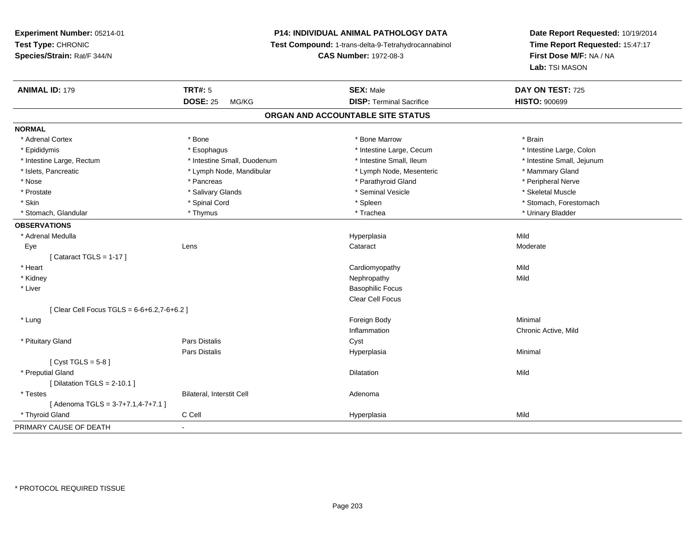# **P14: INDIVIDUAL ANIMAL PATHOLOGY DATA**

**Test Compound:** 1-trans-delta-9-Tetrahydrocannabinol

**CAS Number:** 1972-08-3

| <b>ANIMAL ID: 179</b>                     | <b>TRT#: 5</b>                   | <b>SEX: Male</b>                  | DAY ON TEST: 725           |  |
|-------------------------------------------|----------------------------------|-----------------------------------|----------------------------|--|
|                                           | <b>DOSE: 25</b><br>MG/KG         | <b>DISP: Terminal Sacrifice</b>   | <b>HISTO: 900699</b>       |  |
|                                           |                                  | ORGAN AND ACCOUNTABLE SITE STATUS |                            |  |
| <b>NORMAL</b>                             |                                  |                                   |                            |  |
| * Adrenal Cortex                          | * Bone                           | * Bone Marrow                     | * Brain                    |  |
| * Epididymis                              | * Esophagus                      | * Intestine Large, Cecum          | * Intestine Large, Colon   |  |
| * Intestine Large, Rectum                 | * Intestine Small, Duodenum      | * Intestine Small, Ileum          | * Intestine Small, Jejunum |  |
| * Islets, Pancreatic                      | * Lymph Node, Mandibular         | * Lymph Node, Mesenteric          | * Mammary Gland            |  |
| * Nose                                    | * Pancreas                       | * Parathyroid Gland               | * Peripheral Nerve         |  |
| * Prostate                                | * Salivary Glands                | * Seminal Vesicle                 | * Skeletal Muscle          |  |
| * Skin                                    | * Spinal Cord                    | * Spleen                          | * Stomach, Forestomach     |  |
| * Stomach, Glandular                      | * Thymus                         | * Trachea                         | * Urinary Bladder          |  |
| <b>OBSERVATIONS</b>                       |                                  |                                   |                            |  |
| * Adrenal Medulla                         |                                  | Hyperplasia                       | Mild                       |  |
| Eye                                       | Lens                             | Cataract                          | Moderate                   |  |
| [Cataract TGLS = $1-17$ ]                 |                                  |                                   |                            |  |
| * Heart                                   |                                  | Cardiomyopathy                    | Mild                       |  |
| * Kidney                                  |                                  | Nephropathy                       | Mild                       |  |
| * Liver                                   |                                  | <b>Basophilic Focus</b>           |                            |  |
|                                           |                                  | Clear Cell Focus                  |                            |  |
| [Clear Cell Focus TGLS = 6-6+6.2,7-6+6.2] |                                  |                                   |                            |  |
| * Lung                                    |                                  | Foreign Body                      | Minimal                    |  |
|                                           |                                  | Inflammation                      | Chronic Active, Mild       |  |
| * Pituitary Gland                         | <b>Pars Distalis</b>             | Cyst                              |                            |  |
|                                           | Pars Distalis                    | Hyperplasia                       | Minimal                    |  |
| [Cyst TGLS = $5-8$ ]                      |                                  |                                   |                            |  |
| * Preputial Gland                         |                                  | <b>Dilatation</b>                 | Mild                       |  |
| [ Dilatation TGLS = $2-10.1$ ]            |                                  |                                   |                            |  |
| * Testes                                  | <b>Bilateral, Interstit Cell</b> | Adenoma                           |                            |  |
| [Adenoma TGLS = $3-7+7.1,4-7+7.1$ ]       |                                  |                                   |                            |  |
| * Thyroid Gland                           | C Cell                           | Hyperplasia                       | Mild                       |  |
| PRIMARY CAUSE OF DEATH                    |                                  |                                   |                            |  |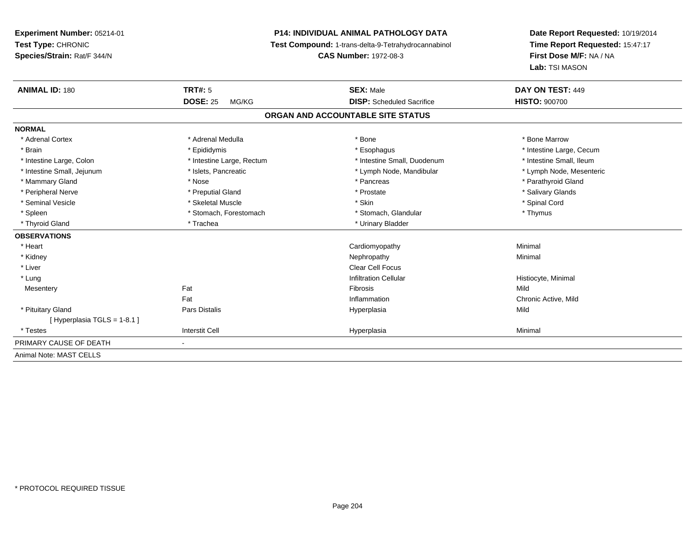# **P14: INDIVIDUAL ANIMAL PATHOLOGY DATA**

**Test Compound:** 1-trans-delta-9-Tetrahydrocannabinol

**CAS Number:** 1972-08-3

| <b>ANIMAL ID: 180</b>      | <b>TRT#: 5</b>            | <b>SEX: Male</b>                  | DAY ON TEST: 449         |
|----------------------------|---------------------------|-----------------------------------|--------------------------|
|                            | <b>DOSE: 25</b><br>MG/KG  | <b>DISP:</b> Scheduled Sacrifice  | <b>HISTO: 900700</b>     |
|                            |                           | ORGAN AND ACCOUNTABLE SITE STATUS |                          |
| <b>NORMAL</b>              |                           |                                   |                          |
| * Adrenal Cortex           | * Adrenal Medulla         | * Bone                            | * Bone Marrow            |
| * Brain                    | * Epididymis              | * Esophagus                       | * Intestine Large, Cecum |
| * Intestine Large, Colon   | * Intestine Large, Rectum | * Intestine Small, Duodenum       | * Intestine Small, Ileum |
| * Intestine Small, Jejunum | * Islets, Pancreatic      | * Lymph Node, Mandibular          | * Lymph Node, Mesenteric |
| * Mammary Gland            | * Nose                    | * Pancreas                        | * Parathyroid Gland      |
| * Peripheral Nerve         | * Preputial Gland         | * Prostate                        | * Salivary Glands        |
| * Seminal Vesicle          | * Skeletal Muscle         | * Skin                            | * Spinal Cord            |
| * Spleen                   | * Stomach, Forestomach    | * Stomach, Glandular              | * Thymus                 |
| * Thyroid Gland            | * Trachea                 | * Urinary Bladder                 |                          |
| <b>OBSERVATIONS</b>        |                           |                                   |                          |
| * Heart                    |                           | Cardiomyopathy                    | Minimal                  |
| * Kidney                   |                           | Nephropathy                       | Minimal                  |
| * Liver                    |                           | <b>Clear Cell Focus</b>           |                          |
| * Lung                     |                           | <b>Infiltration Cellular</b>      | Histiocyte, Minimal      |
| Mesentery                  | Fat                       | Fibrosis                          | Mild                     |
|                            | Fat                       | Inflammation                      | Chronic Active, Mild     |
| * Pituitary Gland          | Pars Distalis             | Hyperplasia                       | Mild                     |
| [Hyperplasia TGLS = 1-8.1] |                           |                                   |                          |
| * Testes                   | <b>Interstit Cell</b>     | Hyperplasia                       | Minimal                  |
| PRIMARY CAUSE OF DEATH     | $\sim$                    |                                   |                          |
| Animal Note: MAST CELLS    |                           |                                   |                          |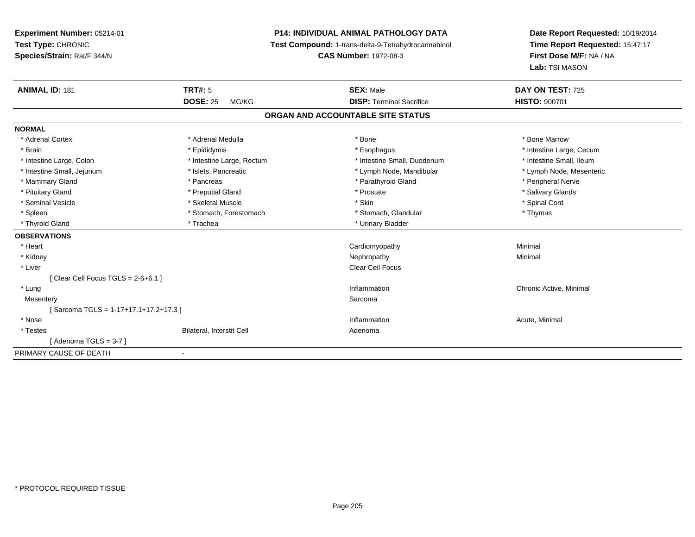**Experiment Number:** 05214-01**Test Type:** CHRONIC **Species/Strain:** Rat/F 344/N**P14: INDIVIDUAL ANIMAL PATHOLOGY DATA Test Compound:** 1-trans-delta-9-Tetrahydrocannabinol **CAS Number:** 1972-08-3**Date Report Requested:** 10/19/2014**Time Report Requested:** 15:47:17**First Dose M/F:** NA / NA**Lab:** TSI MASON**ANIMAL ID:** 181**TRT#:** 5 **SEX:** Male **DAY ON TEST:** 725 **DOSE:** 25 MG/KG **DISP:** Terminal Sacrifice **HISTO:** <sup>900701</sup> **ORGAN AND ACCOUNTABLE SITE STATUSNORMAL**\* Adrenal Cortex \* Adrenal Medulla \* Adrenal Medulla \* Bone \* Bone \* Bone \* Bone \* Bone Marrow \* Brain \* Explorer \* Epididymis \* \* Epididymis \* \* Esophagus \* Esophagus \* \* Esophagus \* Intestine Large, Cecum \* \* Intestine Large, Cecum \* Intestine Small, Ileum \* Intestine Large, Colon \* Intestine Large, Rectum \* Intestine Small, Duodenum \* Intestine Small, Duodenum \* Lymph Node, Mesenteric \* Intestine Small, Jejunum \* Mandibular \* Islets, Pancreatic \* Mandibular \* Lymph Node, Mandibular \* Mammary Gland \* \* Andreas \* \* Pancreas \* \* Parathyroid Gland \* \* Parathyroid Gland \* \* Peripheral Nerve \* Salivary Glands \* Pituitary Gland \* \* Then the state \* Preputial Gland \* Prosection \* Prostate \* \* Salivary Glands \* Salivary Glands \* Salivary Glands \* Salivary Glands \* Salivary Glands \* Salivary Glands \* Salivary Glands \* Salivary Glan \* Seminal Vesicle \* \* Spinal Cord \* Skeletal Muscle \* \* Skin \* \* Skin \* \* Spinal Vesicle \* Spinal Cord \* Spinal Cord \* Spleen \* Stomach, Forestomach \* Stomach \* Stomach, Glandular \* Stomach, Glandular \* Thymus \* Thyroid Gland \* Trachea \* Trachea \* Trachea \* Thyroid Gland **OBSERVATIONS** \* Heart Cardiomyopathy Minimal \* Kidneyy the control of the control of the control of the control of the control of the control of the control of the control of the control of the control of the control of the control of the control of the control of the contro \* Liver Clear Cell Focus $[$  Clear Cell Focus TGLS = 2-6+6.1  $]$  \* Lungg is a controller to the controller of the controller of the chronic Active, Minimal of the chronic Active, Minimal of the chronic Active, Minimal of the chronic Active, Minimal of the chronic Active, Minimal of the chroni **Mesentery** y the control of the control of the control of the control of the control of the control of the control of the control of the control of the control of the control of the control of the control of the control of the contro [ Sarcoma TGLS = 1-17+17.1+17.2+17.3 ] \* Nosee the contraction of the contraction of the contraction of the contraction of the contraction of the contraction  $\mathsf{Acute}$ , Minimal \* TestesBilateral, Interstit Cell **Adenoma** Adenoma  $[$  Adenoma TGLS = 3-7  $]$ PRIMARY CAUSE OF DEATH-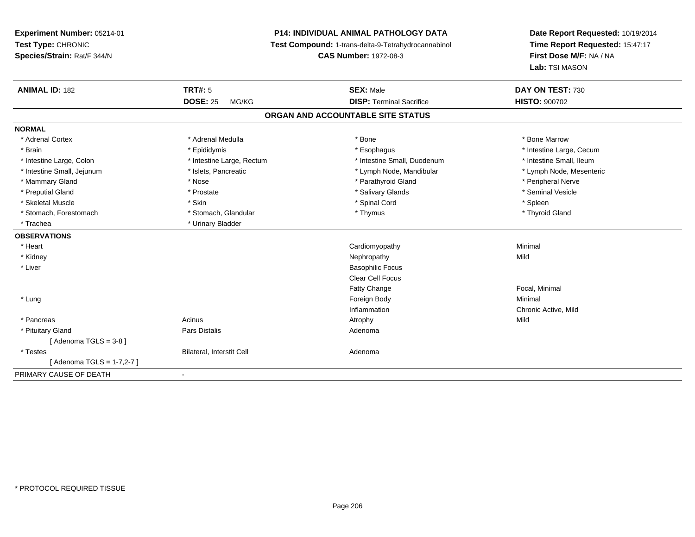# **P14: INDIVIDUAL ANIMAL PATHOLOGY DATA**

**Test Compound:** 1-trans-delta-9-Tetrahydrocannabinol

**CAS Number:** 1972-08-3

| <b>ANIMAL ID: 182</b>      | <b>TRT#: 5</b>            | <b>SEX: Male</b><br><b>DISP: Terminal Sacrifice</b> | DAY ON TEST: 730         |
|----------------------------|---------------------------|-----------------------------------------------------|--------------------------|
|                            | <b>DOSE: 25</b><br>MG/KG  |                                                     | <b>HISTO: 900702</b>     |
|                            |                           | ORGAN AND ACCOUNTABLE SITE STATUS                   |                          |
| <b>NORMAL</b>              |                           |                                                     |                          |
| * Adrenal Cortex           | * Adrenal Medulla         | * Bone                                              | * Bone Marrow            |
| * Brain                    | * Epididymis              | * Esophagus                                         | * Intestine Large, Cecum |
| * Intestine Large, Colon   | * Intestine Large, Rectum | * Intestine Small, Duodenum                         | * Intestine Small, Ileum |
| * Intestine Small, Jejunum | * Islets, Pancreatic      | * Lymph Node, Mandibular                            | * Lymph Node, Mesenteric |
| * Mammary Gland            | * Nose                    | * Parathyroid Gland                                 | * Peripheral Nerve       |
| * Preputial Gland          | * Prostate                | * Salivary Glands                                   | * Seminal Vesicle        |
| * Skeletal Muscle          | * Skin                    | * Spinal Cord                                       | * Spleen                 |
| * Stomach, Forestomach     | * Stomach, Glandular      | * Thymus                                            | * Thyroid Gland          |
| * Trachea                  | * Urinary Bladder         |                                                     |                          |
| <b>OBSERVATIONS</b>        |                           |                                                     |                          |
| * Heart                    |                           | Cardiomyopathy                                      | Minimal                  |
| * Kidney                   |                           | Nephropathy                                         | Mild                     |
| * Liver                    |                           | <b>Basophilic Focus</b>                             |                          |
|                            |                           | <b>Clear Cell Focus</b>                             |                          |
|                            |                           | Fatty Change                                        | Focal, Minimal           |
| * Lung                     |                           | Foreign Body                                        | Minimal                  |
|                            |                           | Inflammation                                        | Chronic Active, Mild     |
| * Pancreas                 | Acinus                    | Atrophy                                             | Mild                     |
| * Pituitary Gland          | Pars Distalis             | Adenoma                                             |                          |
| [Adenoma TGLS = $3-8$ ]    |                           |                                                     |                          |
| * Testes                   | Bilateral, Interstit Cell | Adenoma                                             |                          |
| [ Adenoma TGLS = 1-7,2-7 ] |                           |                                                     |                          |
| PRIMARY CAUSE OF DEATH     | $\blacksquare$            |                                                     |                          |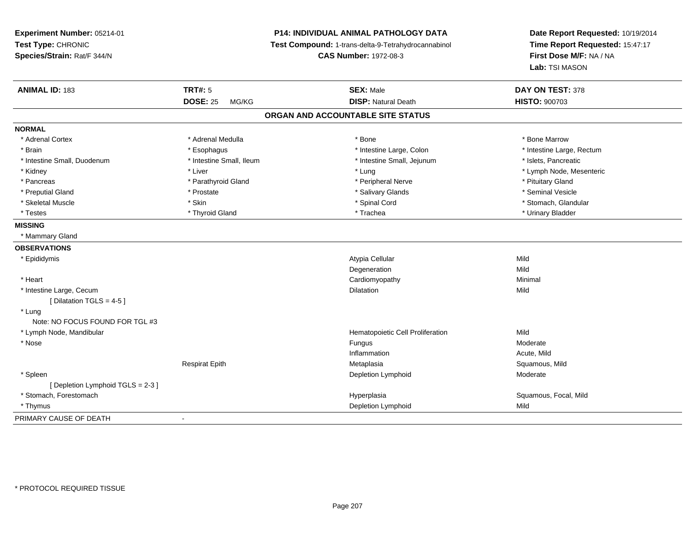# **P14: INDIVIDUAL ANIMAL PATHOLOGY DATA**

**Test Compound:** 1-trans-delta-9-Tetrahydrocannabinol

**CAS Number:** 1972-08-3

| <b>ANIMAL ID: 183</b>           | <b>TRT#: 5</b>           | <b>SEX: Male</b>                  | DAY ON TEST: 378          |
|---------------------------------|--------------------------|-----------------------------------|---------------------------|
|                                 | <b>DOSE: 25</b><br>MG/KG | <b>DISP: Natural Death</b>        | <b>HISTO: 900703</b>      |
|                                 |                          | ORGAN AND ACCOUNTABLE SITE STATUS |                           |
| <b>NORMAL</b>                   |                          |                                   |                           |
| * Adrenal Cortex                | * Adrenal Medulla        | * Bone                            | * Bone Marrow             |
| * Brain                         | * Esophagus              | * Intestine Large, Colon          | * Intestine Large, Rectum |
| * Intestine Small, Duodenum     | * Intestine Small, Ileum | * Intestine Small, Jejunum        | * Islets, Pancreatic      |
| * Kidney                        | * Liver                  | * Lung                            | * Lymph Node, Mesenteric  |
| * Pancreas                      | * Parathyroid Gland      | * Peripheral Nerve                | * Pituitary Gland         |
| * Preputial Gland               | * Prostate               | * Salivary Glands                 | * Seminal Vesicle         |
| * Skeletal Muscle               | * Skin                   | * Spinal Cord                     | * Stomach, Glandular      |
| * Testes                        | * Thyroid Gland          | * Trachea                         | * Urinary Bladder         |
| <b>MISSING</b>                  |                          |                                   |                           |
| * Mammary Gland                 |                          |                                   |                           |
| <b>OBSERVATIONS</b>             |                          |                                   |                           |
| * Epididymis                    |                          | Atypia Cellular                   | Mild                      |
|                                 |                          | Degeneration                      | Mild                      |
| * Heart                         |                          | Cardiomyopathy                    | Minimal                   |
| * Intestine Large, Cecum        |                          | <b>Dilatation</b>                 | Mild                      |
| [ Dilatation TGLS = 4-5 ]       |                          |                                   |                           |
| * Lung                          |                          |                                   |                           |
| Note: NO FOCUS FOUND FOR TGL #3 |                          |                                   |                           |
| * Lymph Node, Mandibular        |                          | Hematopoietic Cell Proliferation  | Mild                      |
| * Nose                          |                          | Fungus                            | Moderate                  |
|                                 |                          | Inflammation                      | Acute, Mild               |
|                                 | <b>Respirat Epith</b>    | Metaplasia                        | Squamous, Mild            |
| * Spleen                        |                          | Depletion Lymphoid                | Moderate                  |
| [Depletion Lymphoid TGLS = 2-3] |                          |                                   |                           |
| * Stomach, Forestomach          |                          | Hyperplasia                       | Squamous, Focal, Mild     |
| * Thymus                        |                          | Depletion Lymphoid                | Mild                      |
| PRIMARY CAUSE OF DEATH          | $\overline{\phantom{a}}$ |                                   |                           |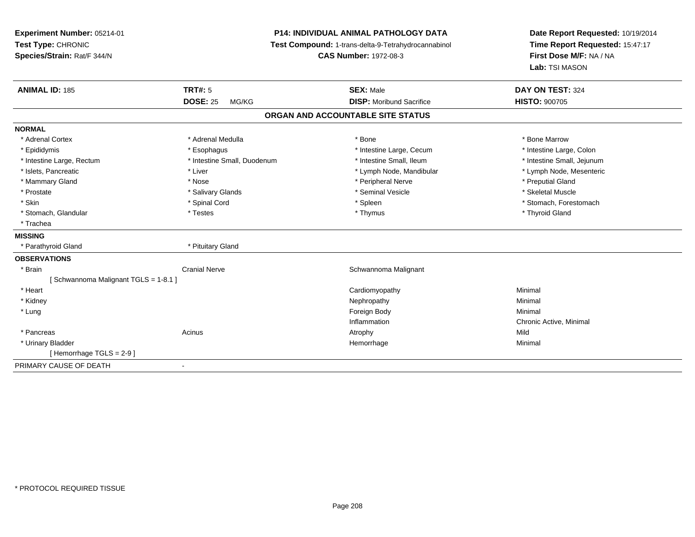**Experiment Number:** 05214-01**Test Type:** CHRONIC **Species/Strain:** Rat/F 344/N**P14: INDIVIDUAL ANIMAL PATHOLOGY DATA Test Compound:** 1-trans-delta-9-Tetrahydrocannabinol **CAS Number:** 1972-08-3**Date Report Requested:** 10/19/2014**Time Report Requested:** 15:47:17**First Dose M/F:** NA / NA**Lab:** TSI MASON**ANIMAL ID:** 185**TRT#:** 5 **SEX:** Male **DAY ON TEST:** 324 **DOSE:** 25 MG/KG **DISP:** Moribund Sacrifice **HISTO:** <sup>900705</sup> **ORGAN AND ACCOUNTABLE SITE STATUSNORMAL**\* Adrenal Cortex \* Adrenal Medulla \* Adrenal Medulla \* Bone \* Bone \* Bone \* Bone \* Bone Marrow \* Intestine Large, Colon \* Epididymis \* Esophagus \* Esophagus \* Esophagus \* 11testine Large, Cecum \* Intestine Small, Jejunum \* Intestine Large, Rectum \* Intestine Small, Duodenum \* Intestine Small, Duodenum \* \* Intestine Small, Ileum \* Lymph Node, Mesenteric \* Islets, Pancreatic **\* Liver \* Liver \*** Liver \* Liver \* Lymph Node, Mandibular \* Lymph Node, Mandibular \* Mammary Gland \* \* And \* \* Nose \* \* Posser \* Preputial Gland \* Peripheral Nerve \* Preputial Gland \* Preputial Gland \* Preputial Gland \* Preputial Gland \* Preputial Gland \* Preputial Gland \* Preputial Gland \* Preputial Gla \* Skeletal Muscle \* Prostate \* \* Skeletal Muscle \* \* Salivary Glands \* \* Steminal Vesicle \* \* Seminal Vesicle \* \* Skeletal Muscle \* Skin \* Spinal Cord \* Spinal Cord \* Spinal Cord \* Spinal \* Spinal \* Stomach, Forestomach \* Stomach, Forestomach \* Stomach, Glandular \* Thestes \* Testes \* Thymus \* Thymus \* Thymus \* Thymus \* Thymus \* Thyroid Gland \* Trachea**MISSING** \* Parathyroid Gland \* Pituitary Gland**OBSERVATIONS** \* BrainCranial Nerve **Schwannoma Malignant** Cranial Nerve [ Schwannoma Malignant TGLS = 1-8.1 ] \* Heart Cardiomyopathyy **Minimal**  \* Kidneyy the control of the control of the control of the control of the control of the control of the control of the control of the control of the control of the control of the control of the control of the control of the contro \* Lungg and the state of the state of the state of the state of the state of the state of the state of the state of the state of the state of the state of the state of the state of the state of the state of the state of the stat Inflammation Chronic Active, Minimal \* Pancreass the contract of the contract of the contract of the contract of the contract of the contract of the contract of the contract of the contract of the contract of the contract of the contract of the contract of the contract Minimal \* Urinary Bladderr and the state of the state of the state of the state of the state of the state of the state of the state of the state of the state of the state of the state of the state of the state of the state of the state of the stat e Minimal [ Hemorrhage TGLS = 2-9 ]PRIMARY CAUSE OF DEATH-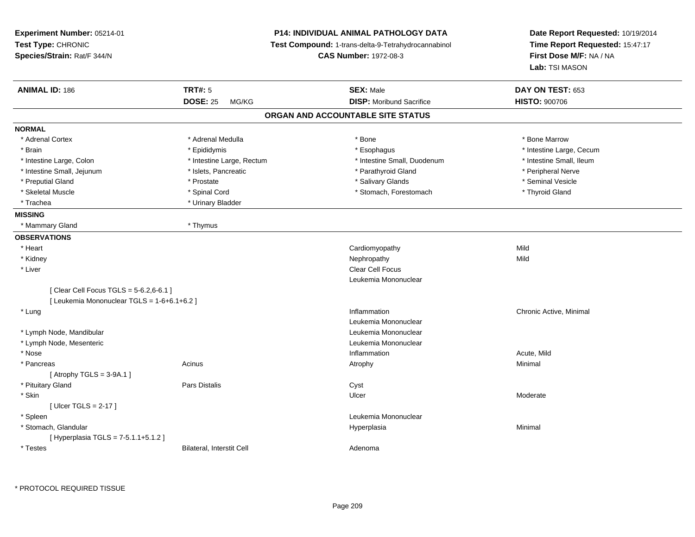| Experiment Number: 05214-01<br>Test Type: CHRONIC<br>Species/Strain: Rat/F 344/N       |                           | <b>P14: INDIVIDUAL ANIMAL PATHOLOGY DATA</b><br>Test Compound: 1-trans-delta-9-Tetrahydrocannabinol<br><b>CAS Number: 1972-08-3</b> | Date Report Requested: 10/19/2014<br>Time Report Requested: 15:47:17<br>First Dose M/F: NA / NA<br>Lab: TSI MASON |
|----------------------------------------------------------------------------------------|---------------------------|-------------------------------------------------------------------------------------------------------------------------------------|-------------------------------------------------------------------------------------------------------------------|
| <b>ANIMAL ID: 186</b>                                                                  | <b>TRT#: 5</b>            | <b>SEX: Male</b>                                                                                                                    | DAY ON TEST: 653                                                                                                  |
|                                                                                        | <b>DOSE: 25</b><br>MG/KG  | <b>DISP:</b> Moribund Sacrifice                                                                                                     | <b>HISTO: 900706</b>                                                                                              |
|                                                                                        |                           | ORGAN AND ACCOUNTABLE SITE STATUS                                                                                                   |                                                                                                                   |
| <b>NORMAL</b>                                                                          |                           |                                                                                                                                     |                                                                                                                   |
| * Adrenal Cortex                                                                       | * Adrenal Medulla         | $*$ Bone                                                                                                                            | * Bone Marrow                                                                                                     |
| * Brain                                                                                | * Epididymis              | * Esophagus                                                                                                                         | * Intestine Large, Cecum                                                                                          |
| * Intestine Large, Colon                                                               | * Intestine Large, Rectum | * Intestine Small, Duodenum                                                                                                         | * Intestine Small, Ileum                                                                                          |
| * Intestine Small, Jejunum                                                             | * Islets, Pancreatic      | * Parathyroid Gland                                                                                                                 | * Peripheral Nerve                                                                                                |
| * Preputial Gland                                                                      | * Prostate                | * Salivary Glands                                                                                                                   | * Seminal Vesicle                                                                                                 |
| * Skeletal Muscle                                                                      | * Spinal Cord             | * Stomach, Forestomach                                                                                                              | * Thyroid Gland                                                                                                   |
| * Trachea                                                                              | * Urinary Bladder         |                                                                                                                                     |                                                                                                                   |
| <b>MISSING</b>                                                                         |                           |                                                                                                                                     |                                                                                                                   |
| * Mammary Gland                                                                        | * Thymus                  |                                                                                                                                     |                                                                                                                   |
| <b>OBSERVATIONS</b>                                                                    |                           |                                                                                                                                     |                                                                                                                   |
| * Heart                                                                                |                           | Cardiomyopathy                                                                                                                      | Mild                                                                                                              |
| * Kidney                                                                               |                           | Nephropathy                                                                                                                         | Mild                                                                                                              |
| * Liver                                                                                |                           | Clear Cell Focus                                                                                                                    |                                                                                                                   |
|                                                                                        |                           | Leukemia Mononuclear                                                                                                                |                                                                                                                   |
| [ Clear Cell Focus TGLS = 5-6.2,6-6.1 ]<br>[ Leukemia Mononuclear TGLS = 1-6+6.1+6.2 ] |                           |                                                                                                                                     |                                                                                                                   |
| * Lung                                                                                 |                           | Inflammation                                                                                                                        | Chronic Active, Minimal                                                                                           |
|                                                                                        |                           | Leukemia Mononuclear                                                                                                                |                                                                                                                   |
| * Lymph Node, Mandibular                                                               |                           | Leukemia Mononuclear                                                                                                                |                                                                                                                   |
| * Lymph Node, Mesenteric                                                               |                           | Leukemia Mononuclear                                                                                                                |                                                                                                                   |
| * Nose                                                                                 |                           | Inflammation                                                                                                                        | Acute, Mild                                                                                                       |
| * Pancreas                                                                             | Acinus                    | Atrophy                                                                                                                             | Minimal                                                                                                           |
| [Atrophy TGLS = $3-9A.1$ ]                                                             |                           |                                                                                                                                     |                                                                                                                   |
| * Pituitary Gland                                                                      | Pars Distalis             | Cyst                                                                                                                                |                                                                                                                   |
| * Skin                                                                                 |                           | Ulcer                                                                                                                               | Moderate                                                                                                          |
| [Ulcer TGLS = $2-17$ ]                                                                 |                           |                                                                                                                                     |                                                                                                                   |
| * Spleen                                                                               |                           | Leukemia Mononuclear                                                                                                                |                                                                                                                   |
| * Stomach, Glandular                                                                   |                           | Hyperplasia                                                                                                                         | Minimal                                                                                                           |
| [Hyperplasia TGLS = $7-5.1.1+5.1.2$ ]                                                  |                           |                                                                                                                                     |                                                                                                                   |
| * Testes                                                                               | Bilateral, Interstit Cell | Adenoma                                                                                                                             |                                                                                                                   |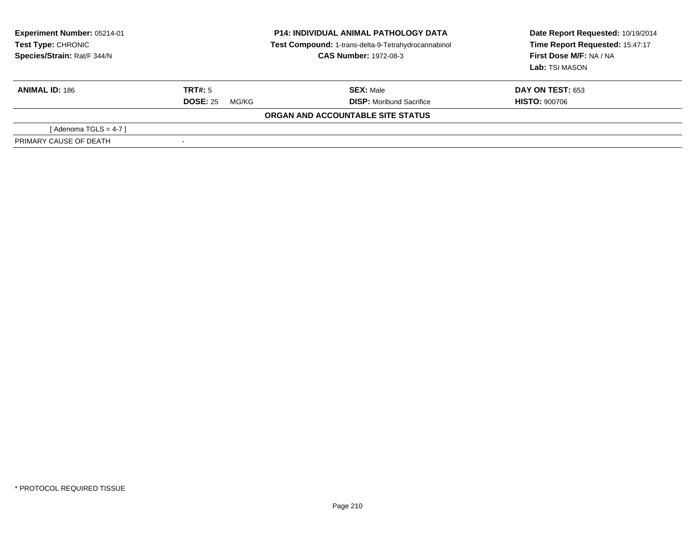| <b>Experiment Number: 05214-01</b><br>Test Type: CHRONIC<br>Species/Strain: Rat/F 344/N |                          | <b>P14: INDIVIDUAL ANIMAL PATHOLOGY DATA</b><br>Test Compound: 1-trans-delta-9-Tetrahydrocannabinol<br><b>CAS Number: 1972-08-3</b> | Date Report Requested: 10/19/2014<br>Time Report Requested: 15:47:17<br>First Dose M/F: NA / NA<br>Lab: TSI MASON |
|-----------------------------------------------------------------------------------------|--------------------------|-------------------------------------------------------------------------------------------------------------------------------------|-------------------------------------------------------------------------------------------------------------------|
| <b>ANIMAL ID: 186</b>                                                                   | <b>TRT#:</b> 5           | <b>SEX:</b> Male                                                                                                                    | <b>DAY ON TEST: 653</b>                                                                                           |
|                                                                                         | <b>DOSE: 25</b><br>MG/KG | <b>DISP:</b> Moribund Sacrifice                                                                                                     | <b>HISTO: 900706</b>                                                                                              |
|                                                                                         |                          | ORGAN AND ACCOUNTABLE SITE STATUS                                                                                                   |                                                                                                                   |
| [Adenoma TGLS = $4-7$ ]                                                                 |                          |                                                                                                                                     |                                                                                                                   |
| PRIMARY CAUSE OF DEATH                                                                  |                          |                                                                                                                                     |                                                                                                                   |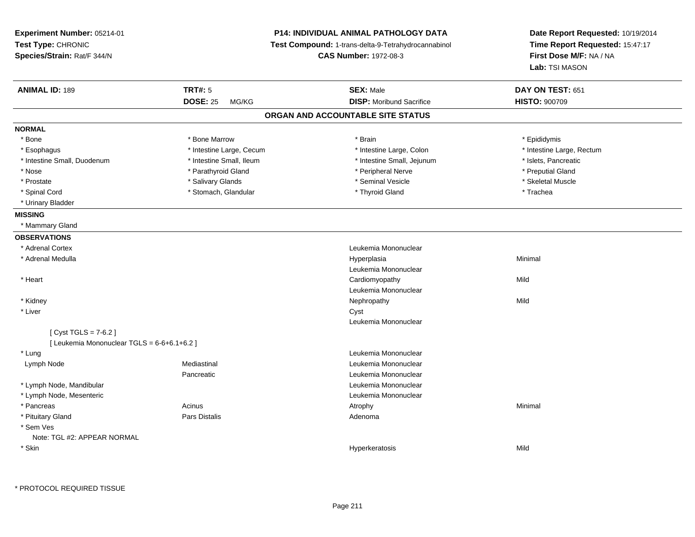| Experiment Number: 05214-01<br>Test Type: CHRONIC<br>Species/Strain: Rat/F 344/N |                          | <b>P14: INDIVIDUAL ANIMAL PATHOLOGY DATA</b><br>Test Compound: 1-trans-delta-9-Tetrahydrocannabinol<br><b>CAS Number: 1972-08-3</b> | Date Report Requested: 10/19/2014<br>Time Report Requested: 15:47:17<br>First Dose M/F: NA / NA<br>Lab: TSI MASON |
|----------------------------------------------------------------------------------|--------------------------|-------------------------------------------------------------------------------------------------------------------------------------|-------------------------------------------------------------------------------------------------------------------|
| <b>ANIMAL ID: 189</b>                                                            | <b>TRT#: 5</b>           | <b>SEX: Male</b>                                                                                                                    | DAY ON TEST: 651                                                                                                  |
|                                                                                  | <b>DOSE: 25</b><br>MG/KG | <b>DISP:</b> Moribund Sacrifice                                                                                                     | <b>HISTO: 900709</b>                                                                                              |
|                                                                                  |                          | ORGAN AND ACCOUNTABLE SITE STATUS                                                                                                   |                                                                                                                   |
| <b>NORMAL</b>                                                                    |                          |                                                                                                                                     |                                                                                                                   |
| * Bone                                                                           | * Bone Marrow            | * Brain                                                                                                                             | * Epididymis                                                                                                      |
| * Esophagus                                                                      | * Intestine Large, Cecum | * Intestine Large, Colon                                                                                                            | * Intestine Large, Rectum                                                                                         |
| * Intestine Small, Duodenum                                                      | * Intestine Small, Ileum | * Intestine Small, Jejunum                                                                                                          | * Islets, Pancreatic                                                                                              |
| * Nose                                                                           | * Parathyroid Gland      | * Peripheral Nerve                                                                                                                  | * Preputial Gland                                                                                                 |
| * Prostate                                                                       | * Salivary Glands        | * Seminal Vesicle                                                                                                                   | * Skeletal Muscle                                                                                                 |
| * Spinal Cord                                                                    | * Stomach, Glandular     | * Thyroid Gland                                                                                                                     | * Trachea                                                                                                         |
| * Urinary Bladder                                                                |                          |                                                                                                                                     |                                                                                                                   |
| <b>MISSING</b>                                                                   |                          |                                                                                                                                     |                                                                                                                   |
| * Mammary Gland                                                                  |                          |                                                                                                                                     |                                                                                                                   |
| <b>OBSERVATIONS</b>                                                              |                          |                                                                                                                                     |                                                                                                                   |
| * Adrenal Cortex                                                                 |                          | Leukemia Mononuclear                                                                                                                |                                                                                                                   |
| * Adrenal Medulla                                                                |                          | Hyperplasia                                                                                                                         | Minimal                                                                                                           |
|                                                                                  |                          | Leukemia Mononuclear                                                                                                                |                                                                                                                   |
| * Heart                                                                          |                          | Cardiomyopathy                                                                                                                      | Mild                                                                                                              |
|                                                                                  |                          | Leukemia Mononuclear                                                                                                                |                                                                                                                   |
| * Kidney                                                                         |                          | Nephropathy                                                                                                                         | Mild                                                                                                              |
| * Liver                                                                          |                          | Cyst                                                                                                                                |                                                                                                                   |
|                                                                                  |                          | Leukemia Mononuclear                                                                                                                |                                                                                                                   |
| [Cyst TGLS = $7-6.2$ ]                                                           |                          |                                                                                                                                     |                                                                                                                   |
| [Leukemia Mononuclear TGLS = 6-6+6.1+6.2]                                        |                          |                                                                                                                                     |                                                                                                                   |
| * Lung                                                                           |                          | Leukemia Mononuclear                                                                                                                |                                                                                                                   |
| Lymph Node                                                                       | Mediastinal              | Leukemia Mononuclear                                                                                                                |                                                                                                                   |
|                                                                                  | Pancreatic               | Leukemia Mononuclear                                                                                                                |                                                                                                                   |
| * Lymph Node, Mandibular                                                         |                          | Leukemia Mononuclear                                                                                                                |                                                                                                                   |
| * Lymph Node, Mesenteric                                                         |                          | Leukemia Mononuclear                                                                                                                |                                                                                                                   |
| * Pancreas                                                                       | Acinus                   | Atrophy                                                                                                                             | Minimal                                                                                                           |
| * Pituitary Gland                                                                | <b>Pars Distalis</b>     | Adenoma                                                                                                                             |                                                                                                                   |
| * Sem Ves                                                                        |                          |                                                                                                                                     |                                                                                                                   |
| Note: TGL #2: APPEAR NORMAL                                                      |                          |                                                                                                                                     |                                                                                                                   |
| * Skin                                                                           |                          | Hyperkeratosis                                                                                                                      | Mild                                                                                                              |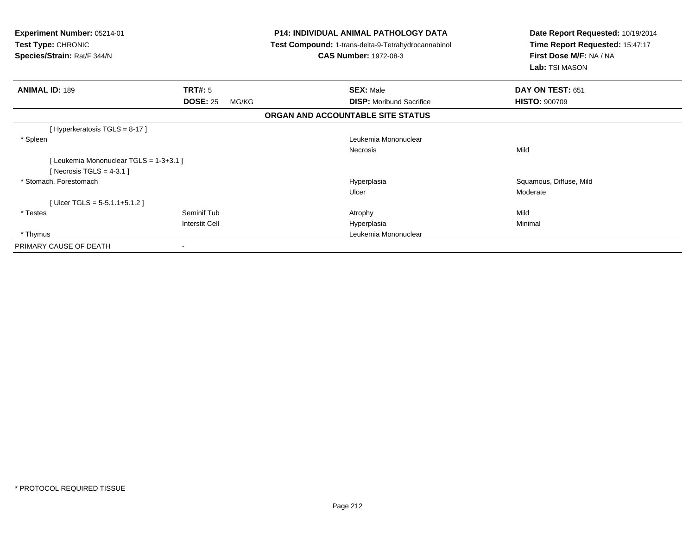| Experiment Number: 05214-01<br><b>Test Type: CHRONIC</b><br>Species/Strain: Rat/F 344/N | <b>P14: INDIVIDUAL ANIMAL PATHOLOGY DATA</b><br>Test Compound: 1-trans-delta-9-Tetrahydrocannabinol<br><b>CAS Number: 1972-08-3</b> | Date Report Requested: 10/19/2014<br>Time Report Requested: 15:47:17<br>First Dose M/F: NA / NA<br>Lab: TSI MASON |
|-----------------------------------------------------------------------------------------|-------------------------------------------------------------------------------------------------------------------------------------|-------------------------------------------------------------------------------------------------------------------|
| TRT#: 5<br><b>ANIMAL ID: 189</b>                                                        | <b>SEX: Male</b>                                                                                                                    | DAY ON TEST: 651                                                                                                  |
| <b>DOSE: 25</b><br>MG/KG                                                                | <b>DISP:</b> Moribund Sacrifice                                                                                                     | <b>HISTO: 900709</b>                                                                                              |
|                                                                                         | ORGAN AND ACCOUNTABLE SITE STATUS                                                                                                   |                                                                                                                   |
| [Hyperkeratosis $TGLS = 8-17$ ]                                                         |                                                                                                                                     |                                                                                                                   |
| * Spleen                                                                                | Leukemia Mononuclear                                                                                                                |                                                                                                                   |
|                                                                                         | Necrosis                                                                                                                            | Mild                                                                                                              |
| [Leukemia Mononuclear TGLS = 1-3+3.1 ]                                                  |                                                                                                                                     |                                                                                                                   |
| [Necrosis TGLS = $4-3.1$ ]                                                              |                                                                                                                                     |                                                                                                                   |
| * Stomach, Forestomach                                                                  | Hyperplasia                                                                                                                         | Squamous, Diffuse, Mild                                                                                           |
|                                                                                         | Ulcer                                                                                                                               | Moderate                                                                                                          |
| [Ulcer TGLS = $5-5.1.1+5.1.2$ ]                                                         |                                                                                                                                     |                                                                                                                   |
| Seminif Tub<br>* Testes                                                                 | Atrophy                                                                                                                             | Mild                                                                                                              |
| <b>Interstit Cell</b>                                                                   | Hyperplasia                                                                                                                         | Minimal                                                                                                           |
| * Thymus                                                                                | Leukemia Mononuclear                                                                                                                |                                                                                                                   |
| PRIMARY CAUSE OF DEATH                                                                  |                                                                                                                                     |                                                                                                                   |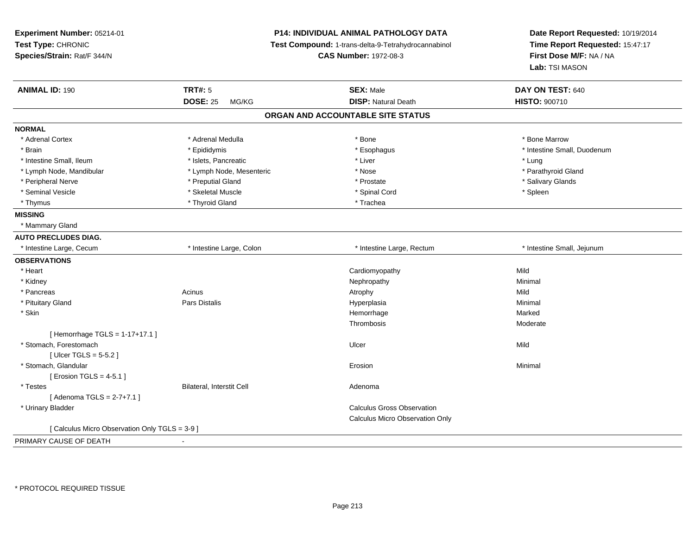| Experiment Number: 05214-01<br>Test Type: CHRONIC<br>Species/Strain: Rat/F 344/N |                           | P14: INDIVIDUAL ANIMAL PATHOLOGY DATA<br>Test Compound: 1-trans-delta-9-Tetrahydrocannabinol<br><b>CAS Number: 1972-08-3</b> | Date Report Requested: 10/19/2014<br>Time Report Requested: 15:47:17<br>First Dose M/F: NA / NA<br>Lab: TSI MASON |
|----------------------------------------------------------------------------------|---------------------------|------------------------------------------------------------------------------------------------------------------------------|-------------------------------------------------------------------------------------------------------------------|
| <b>ANIMAL ID: 190</b>                                                            | <b>TRT#: 5</b>            | <b>SEX: Male</b>                                                                                                             | DAY ON TEST: 640                                                                                                  |
|                                                                                  | <b>DOSE: 25</b><br>MG/KG  | <b>DISP: Natural Death</b>                                                                                                   | HISTO: 900710                                                                                                     |
|                                                                                  |                           | ORGAN AND ACCOUNTABLE SITE STATUS                                                                                            |                                                                                                                   |
| <b>NORMAL</b>                                                                    |                           |                                                                                                                              |                                                                                                                   |
| * Adrenal Cortex                                                                 | * Adrenal Medulla         | * Bone                                                                                                                       | * Bone Marrow                                                                                                     |
| * Brain                                                                          | * Epididymis              | * Esophagus                                                                                                                  | * Intestine Small, Duodenum                                                                                       |
| * Intestine Small, Ileum                                                         | * Islets, Pancreatic      | * Liver                                                                                                                      | * Lung                                                                                                            |
| * Lymph Node, Mandibular                                                         | * Lymph Node, Mesenteric  | * Nose                                                                                                                       | * Parathyroid Gland                                                                                               |
| * Peripheral Nerve                                                               | * Preputial Gland         | * Prostate                                                                                                                   | * Salivary Glands                                                                                                 |
| * Seminal Vesicle                                                                | * Skeletal Muscle         | * Spinal Cord                                                                                                                | * Spleen                                                                                                          |
| * Thymus                                                                         | * Thyroid Gland           | * Trachea                                                                                                                    |                                                                                                                   |
| <b>MISSING</b>                                                                   |                           |                                                                                                                              |                                                                                                                   |
| * Mammary Gland                                                                  |                           |                                                                                                                              |                                                                                                                   |
| <b>AUTO PRECLUDES DIAG.</b>                                                      |                           |                                                                                                                              |                                                                                                                   |
| * Intestine Large, Cecum                                                         | * Intestine Large, Colon  | * Intestine Large, Rectum                                                                                                    | * Intestine Small, Jejunum                                                                                        |
| <b>OBSERVATIONS</b>                                                              |                           |                                                                                                                              |                                                                                                                   |
| * Heart                                                                          |                           | Cardiomyopathy                                                                                                               | Mild                                                                                                              |
| * Kidney                                                                         |                           | Nephropathy                                                                                                                  | Minimal                                                                                                           |
| * Pancreas                                                                       | Acinus                    | Atrophy                                                                                                                      | Mild                                                                                                              |
| * Pituitary Gland                                                                | Pars Distalis             | Hyperplasia                                                                                                                  | Minimal                                                                                                           |
| * Skin                                                                           |                           | Hemorrhage                                                                                                                   | Marked                                                                                                            |
|                                                                                  |                           | Thrombosis                                                                                                                   | Moderate                                                                                                          |
| [Hemorrhage TGLS = 1-17+17.1]                                                    |                           |                                                                                                                              |                                                                                                                   |
| * Stomach, Forestomach                                                           |                           | Ulcer                                                                                                                        | Mild                                                                                                              |
| [ $Ulec$ TGLS = 5-5.2 ]                                                          |                           |                                                                                                                              |                                                                                                                   |
| * Stomach, Glandular                                                             |                           | Erosion                                                                                                                      | Minimal                                                                                                           |
| [ Erosion TGLS = $4-5.1$ ]                                                       |                           |                                                                                                                              |                                                                                                                   |
| * Testes                                                                         | Bilateral, Interstit Cell | Adenoma                                                                                                                      |                                                                                                                   |
| [Adenoma TGLS = 2-7+7.1]                                                         |                           |                                                                                                                              |                                                                                                                   |
| * Urinary Bladder                                                                |                           | <b>Calculus Gross Observation</b>                                                                                            |                                                                                                                   |
|                                                                                  |                           | Calculus Micro Observation Only                                                                                              |                                                                                                                   |
| [ Calculus Micro Observation Only TGLS = 3-9 ]                                   |                           |                                                                                                                              |                                                                                                                   |
| PRIMARY CAUSE OF DEATH                                                           | $\sim$                    |                                                                                                                              |                                                                                                                   |

-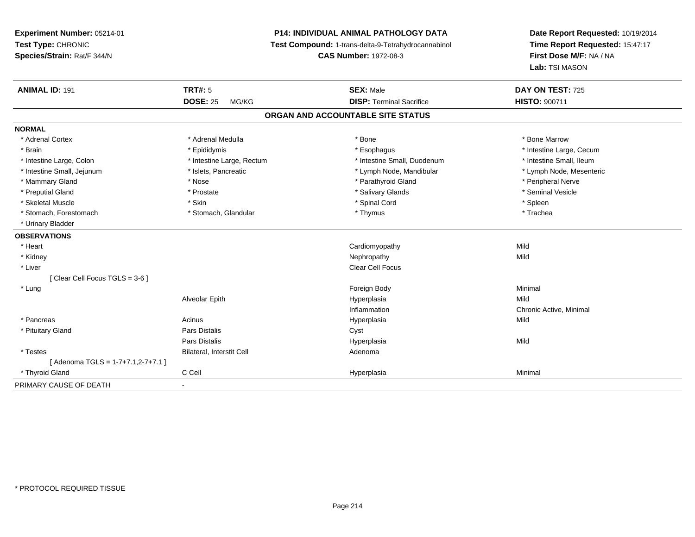**Experiment Number:** 05214-01**Test Type:** CHRONIC **Species/Strain:** Rat/F 344/N**P14: INDIVIDUAL ANIMAL PATHOLOGY DATA Test Compound:** 1-trans-delta-9-Tetrahydrocannabinol **CAS Number:** 1972-08-3**Date Report Requested:** 10/19/2014**Time Report Requested:** 15:47:17**First Dose M/F:** NA / NA**Lab:** TSI MASON**ANIMAL ID:** 191**TRT#:** 5 **SEX:** Male **DAY ON TEST:** 725 **DOSE:** 25 MG/KG**DISP:** Terminal Sacrifice **HISTO:** 900711 **ORGAN AND ACCOUNTABLE SITE STATUSNORMAL**\* Adrenal Cortex \* Adrenal Medulla \* Adrenal Medulla \* Bone \* Bone \* Bone \* Bone \* Bone Marrow \* Brain \* Explorer \* Epididymis \* \* Epididymis \* \* Esophagus \* Esophagus \* \* Esophagus \* Intestine Large, Cecum \* \* Intestine Large, Cecum \* Intestine Small, Ileum \* Intestine Large, Colon \* Intestine Large, Rectum \* Intestine Small, Duodenum \* Intestine Small, Duodenum \* Lymph Node, Mesenteric \* Intestine Small, Jejunum \* Mandibular \* Islets, Pancreatic \* Mandibular \* Lymph Node, Mandibular \* Mammary Gland \* \* Annume \* Nose \* \* Nose \* \* Parathyroid Gland \* Peripheral Nerve \* Peripheral Nerve \* \* Peripheral Nerve \* \* Peripheral Nerve \* \* Peripheral Nerve \* \* Peripheral Nerve \* \* Peripheral Nerve \* \* \* \* \* \* \* \* Seminal Vesicle \* Preputial Gland \* \* Annual vesicle \* \* Prostate \* \* Salivary Glands \* \* Salivary Glands \* \* Seminal Vesicle \* \* Skeletal Muscle \* Skin \* Spinal Cord \* Spleen \* Trachea \* Stomach, Forestomach \* Thymus \* Stomach, Glandular \* Thymus \* Thymus \* Thymus \* Thymus \* Thymus \* Thymus \* Thymus \* Thymus \* Thymus \* Thymus \* Thymus \* Thymus \* Thymus \* Thymus \* Thymus \* Thymus \* Thymus \* Thymus \* Thymu \* Urinary Bladder**OBSERVATIONS** \* Heart Cardiomyopathyy Mild Mild \* Kidneyy the control of the control of the control of the control of the control of the control of the control of the control of the control of the control of the control of the control of the control of the control of the contro \* Liver Clear Cell Focus[ Clear Cell Focus TGLS = 3-6 ] \* Lungg and the state of the state of the state of the state of the state of the state of the state of the state of the state of the state of the state of the state of the state of the state of the state of the state of the stat Alveolar Epithh anns an t-Imperplasia anns an t-Imperplasia anns an t-Imperplasia anns an t-Imperplasia anns an t-Imperplasi Inflammation Chronic Active, Minimal \* Pancreas Acinus Hyperplasiaa Mild \* Pituitary Glandd Cyst Constants Constants Constants Constants Constants Constants Constants Constants Constants Constants Const Pars Distalis Hyperplasiaa Mild \* TestesBilateral, Interstit Cell **Adenoma**  $[$  Adenoma TGLS = 1-7+7.1,2-7+7.1 ] \* Thyroid Gland C Cell Hyperplasia Minimal PRIMARY CAUSE OF DEATH

-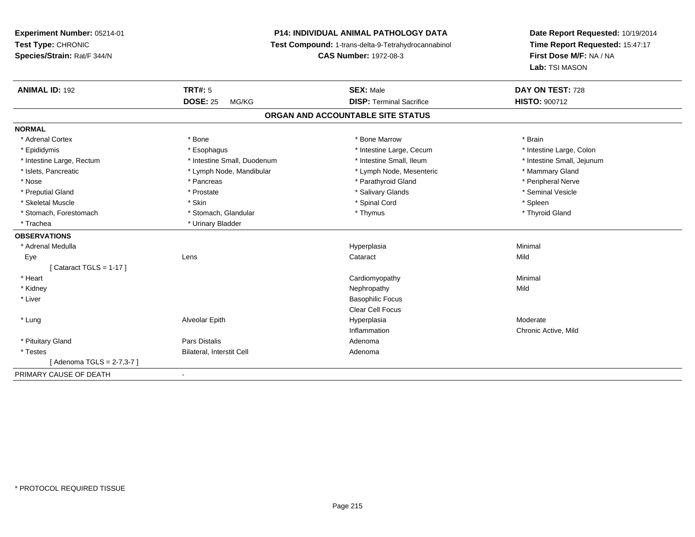# **P14: INDIVIDUAL ANIMAL PATHOLOGY DATA**

**Test Compound:** 1-trans-delta-9-Tetrahydrocannabinol

**CAS Number:** 1972-08-3

| <b>ANIMAL ID: 192</b>      | <b>TRT#: 5</b>              | <b>SEX: Male</b>                  | DAY ON TEST: 728           |  |
|----------------------------|-----------------------------|-----------------------------------|----------------------------|--|
|                            | <b>DOSE: 25</b><br>MG/KG    | <b>DISP: Terminal Sacrifice</b>   | <b>HISTO: 900712</b>       |  |
|                            |                             | ORGAN AND ACCOUNTABLE SITE STATUS |                            |  |
| <b>NORMAL</b>              |                             |                                   |                            |  |
| * Adrenal Cortex           | * Bone                      | * Bone Marrow                     | * Brain                    |  |
| * Epididymis               | * Esophagus                 | * Intestine Large, Cecum          | * Intestine Large, Colon   |  |
| * Intestine Large, Rectum  | * Intestine Small, Duodenum | * Intestine Small, Ileum          | * Intestine Small, Jejunum |  |
| * Islets, Pancreatic       | * Lymph Node, Mandibular    | * Lymph Node, Mesenteric          | * Mammary Gland            |  |
| * Nose                     | * Pancreas                  | * Parathyroid Gland               | * Peripheral Nerve         |  |
| * Preputial Gland          | * Prostate                  | * Salivary Glands                 | * Seminal Vesicle          |  |
| * Skeletal Muscle          | * Skin                      | * Spinal Cord                     | * Spleen                   |  |
| * Stomach, Forestomach     | * Stomach, Glandular        | * Thymus                          | * Thyroid Gland            |  |
| * Trachea                  | * Urinary Bladder           |                                   |                            |  |
| <b>OBSERVATIONS</b>        |                             |                                   |                            |  |
| * Adrenal Medulla          |                             | Hyperplasia                       | Minimal                    |  |
| Eye                        | Lens                        | Cataract                          | Mild                       |  |
| [Cataract TGLS = $1-17$ ]  |                             |                                   |                            |  |
| * Heart                    |                             | Cardiomyopathy                    | Minimal                    |  |
| * Kidney                   |                             | Nephropathy                       | Mild                       |  |
| * Liver                    |                             | <b>Basophilic Focus</b>           |                            |  |
|                            |                             | <b>Clear Cell Focus</b>           |                            |  |
| * Lung                     | Alveolar Epith              | Hyperplasia                       | Moderate                   |  |
|                            |                             | Inflammation                      | Chronic Active, Mild       |  |
| * Pituitary Gland          | Pars Distalis               | Adenoma                           |                            |  |
| * Testes                   | Bilateral, Interstit Cell   | Adenoma                           |                            |  |
| [ Adenoma TGLS = 2-7,3-7 ] |                             |                                   |                            |  |
| PRIMARY CAUSE OF DEATH     | $\blacksquare$              |                                   |                            |  |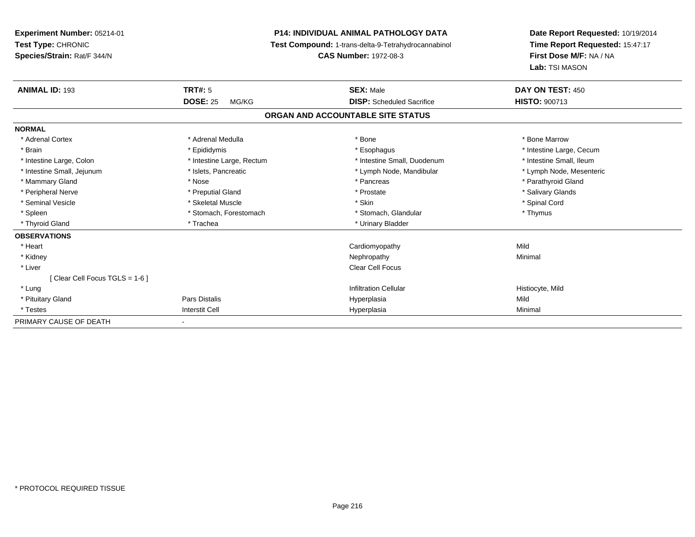**Experiment Number:** 05214-01**Test Type:** CHRONIC **Species/Strain:** Rat/F 344/N**P14: INDIVIDUAL ANIMAL PATHOLOGY DATA Test Compound:** 1-trans-delta-9-Tetrahydrocannabinol **CAS Number:** 1972-08-3**Date Report Requested:** 10/19/2014**Time Report Requested:** 15:47:17**First Dose M/F:** NA / NA**Lab:** TSI MASON**ANIMAL ID:** 193**TRT#:** 5 **SEX:** Male **DAY ON TEST:** 450 **DOSE:** 25 MG/KG **DISP:** Scheduled Sacrifice **HISTO:** <sup>900713</sup> **ORGAN AND ACCOUNTABLE SITE STATUSNORMAL**\* Adrenal Cortex \* Adrenal Medulla \* Adrenal Medulla \* Bone \* Bone \* Bone \* Bone \* Bone Marrow \* Brain \* Explorer \* Epididymis \* \* Epididymis \* \* Esophagus \* Esophagus \* \* Esophagus \* Intestine Large, Cecum \* \* Intestine Large, Cecum \* Intestine Small, Ileum \* Intestine Large, Colon \* Intestine Large, Rectum \* Intestine Small, Duodenum \* Intestine Small, Duodenum \* Lymph Node, Mesenteric \* Intestine Small, Jejunum \* Mandibular \* Islets, Pancreatic \* Mandibular \* Lymph Node, Mandibular \* Mammary Gland \* \* Nose \* \* Nose \* \* Pancreas \* Pancreas \* \* Pancreas \* \* Pancreas \* \* Pancreas \* \* Parathyroid Gland \* Peripheral Nerve \* \* \* Preputial Gland \* \* Preputial Gland \* \* Prostate \* \* Salivary Glands \* Salivary Glands \* Seminal Vesicle \* \* Spinal Cord \* Skeletal Muscle \* \* Skin \* \* Skin \* \* Spinal Vesicle \* Spinal Cord \* Spinal Cord \* Spleen \* Stomach, Forestomach \* Stomach \* Stomach, Glandular \* Stomach, Glandular \* Thymus \* Thyroid Gland \* Trachea \* Trachea \* Trachea \* Urinary Bladder **OBSERVATIONS** \* Heart Cardiomyopathyy Mild Minimal \* Kidneyy the control of the control of the control of the control of the control of the control of the control of the control of the control of the control of the control of the control of the control of the control of the contro \* Liver Clear Cell Focus[ Clear Cell Focus TGLS = 1-6 ] \* Lungg is a contract to the contract of the contract of the contract of the contract of the contract of the contract of the contract of the contract of the contract of the contract of the contract of the contract of the contrac \* Pituitary Gland Pars Distalis Hyperplasia Mild \* Testess and the contract of the contract of the contract of the contract of the contract of the contract of the contract of the contract of the contract of the contract of the contract of the contract of the contract of the cont a Minimal PRIMARY CAUSE OF DEATH-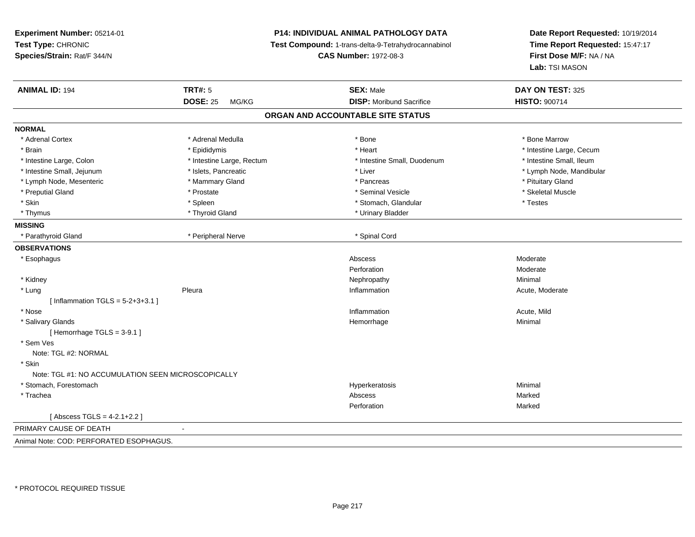**Experiment Number:** 05214-01**Test Type:** CHRONIC **Species/Strain:** Rat/F 344/N**P14: INDIVIDUAL ANIMAL PATHOLOGY DATA Test Compound:** 1-trans-delta-9-Tetrahydrocannabinol **CAS Number:** 1972-08-3**Date Report Requested:** 10/19/2014**Time Report Requested:** 15:47:17**First Dose M/F:** NA / NA**Lab:** TSI MASON**ANIMAL ID:** 194**TRT#:** 5 **SEX:** Male **DAY ON TEST:** 325 **DOSE:** 25 MG/KG**DISP:** Moribund Sacrifice **HISTO:** 900714 **ORGAN AND ACCOUNTABLE SITE STATUSNORMAL**\* Adrenal Cortex \* Adrenal Medulla \* Adrenal Medulla \* Bone \* Bone \* Bone \* Bone \* Bone Marrow \* Brain \* The matter of the state of the state of the state of the state of the state of the state of the state of the state of the state of the state of the state of the state of the state of the state of the state of the \* Intestine Small, Ileum \* Intestine Large, Colon \* Intestine Large, Rectum \* Intestine Small, Duodenum \* Intestine Small, Duodenum \* Intestine Small, Jejunum \* \* et \* \* http://www.fat.com/mandibulary.com/mandibulary/state/state/state/state/state/state/state/state/state/state/state/state/state/state/state/state/state/state/state/state/state/state/state \* Lymph Node, Mesenteric \* \* The matter of the Mammary Gland \* The matter \* Pancreas \* Pancreas \* Pituitary Gland \* Pituitary Gland \* Skeletal Muscle \* Preputial Gland \* \* \* \* Prostate \* \* Prostate \* \* Seminal Vesicle \* \* Seminal Vesicle \* \* Skeletal Muscle \* \* Skin \* Spleen \* Spleen \* Spleen \* Stomach, Glandular \* Testes \* Testes \* Testes \* Thymus \* The matter of the term of the term of the term of the term of the term of the term of the term of term of term of the term of the term of the term of term of the term of term of term of term of term of term of t **MISSING**\* Parathyroid Gland \* Peripheral Nerve \* Spinal Cord **OBSERVATIONS** \* Esophaguss and the contract of the contract of the contract of the contract of the contract of the contract of the contract of the contract of the contract of the contract of the contract of the contract of the contract of the cont Moderate **Perforation** n Moderate \* Kidneyy the control of the control of the control of the control of the control of the control of the control of the control of the control of the control of the control of the control of the control of the control of the contro \* Lungg is a series of the Pleura inflammation and the Inflammation inflammation and the extreme of the Acute, Moderate  $[$  Inflammation TGLS =  $5-2+3+3.1]$  \* Nosee the contraction of the contraction of the contraction of the contraction of the contraction of the contraction  $\mathsf{Acute},\mathsf{Mild}$  \* Salivary Glandss and the contract of the contract of the contract of the contract of the contract of the contract of the contract of the contract of the contract of the contract of the contract of the contract of the contract of the cont e Minimal [ Hemorrhage TGLS = 3-9.1 ] \* Sem Ves Note: TGL #2: NORMAL \* Skin Note: TGL #1: NO ACCUMULATION SEEN MICROSCOPICALLY \* Stomach, Forestomachh ann an t-ainmeile ann an t-ainmeile ann an t-ainmeile ann an t-ainmeile an t-ainmeile an t-ainmeile an t-ainmeile an t-ainmeile an t-ainmeile an t-ainmeile an t-ainmeile an t-ainmeile an t-ainmeile an t-ainmeile an t-ain \* Tracheaend and the state of the state of the state of the state of the Abscess of the Shankshand and the Shankshand S **Perforation** n **Marked**  $[$  Abscess TGLS = 4-2.1+2.2  $]$ PRIMARY CAUSE OF DEATH - Animal Note: COD: PERFORATED ESOPHAGUS.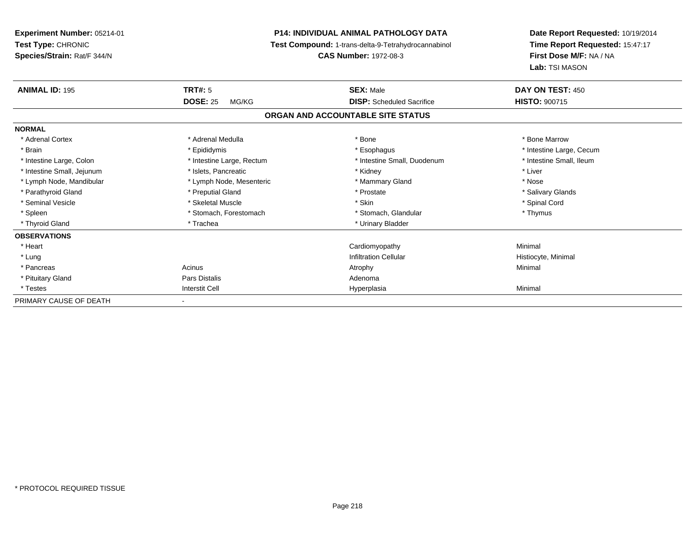| Experiment Number: 05214-01<br><b>Test Type: CHRONIC</b><br>Species/Strain: Rat/F 344/N |                            | <b>P14: INDIVIDUAL ANIMAL PATHOLOGY DATA</b><br>Test Compound: 1-trans-delta-9-Tetrahydrocannabinol<br><b>CAS Number: 1972-08-3</b> | Date Report Requested: 10/19/2014<br>Time Report Requested: 15:47:17<br>First Dose M/F: NA / NA<br>Lab: TSI MASON |
|-----------------------------------------------------------------------------------------|----------------------------|-------------------------------------------------------------------------------------------------------------------------------------|-------------------------------------------------------------------------------------------------------------------|
| <b>ANIMAL ID: 195</b>                                                                   | TRT#: 5<br><b>DOSE: 25</b> | <b>SEX: Male</b><br><b>DISP:</b> Scheduled Sacrifice                                                                                | DAY ON TEST: 450<br><b>HISTO: 900715</b>                                                                          |
|                                                                                         | MG/KG                      |                                                                                                                                     |                                                                                                                   |
|                                                                                         |                            | ORGAN AND ACCOUNTABLE SITE STATUS                                                                                                   |                                                                                                                   |
| <b>NORMAL</b>                                                                           |                            |                                                                                                                                     |                                                                                                                   |
| * Adrenal Cortex                                                                        | * Adrenal Medulla          | * Bone                                                                                                                              | * Bone Marrow                                                                                                     |
| * Brain                                                                                 | * Epididymis               | * Esophagus                                                                                                                         | * Intestine Large, Cecum                                                                                          |
| * Intestine Large, Colon                                                                | * Intestine Large, Rectum  | * Intestine Small. Duodenum                                                                                                         | * Intestine Small, Ileum                                                                                          |
| * Intestine Small, Jejunum                                                              | * Islets, Pancreatic       | * Kidney                                                                                                                            | * Liver                                                                                                           |
| * Lymph Node, Mandibular                                                                | * Lymph Node, Mesenteric   | * Mammary Gland                                                                                                                     | * Nose                                                                                                            |
| * Parathyroid Gland                                                                     | * Preputial Gland          | * Prostate                                                                                                                          | * Salivary Glands                                                                                                 |
| * Seminal Vesicle                                                                       | * Skeletal Muscle          | * Skin                                                                                                                              | * Spinal Cord                                                                                                     |
| * Spleen                                                                                | * Stomach, Forestomach     | * Stomach, Glandular                                                                                                                | * Thymus                                                                                                          |
| * Thyroid Gland                                                                         | * Trachea                  | * Urinary Bladder                                                                                                                   |                                                                                                                   |
| <b>OBSERVATIONS</b>                                                                     |                            |                                                                                                                                     |                                                                                                                   |
| * Heart                                                                                 |                            | Cardiomyopathy                                                                                                                      | Minimal                                                                                                           |
| * Lung                                                                                  |                            | <b>Infiltration Cellular</b>                                                                                                        | Histiocyte, Minimal                                                                                               |
| * Pancreas                                                                              | Acinus                     | Atrophy                                                                                                                             | Minimal                                                                                                           |
| * Pituitary Gland                                                                       | <b>Pars Distalis</b>       | Adenoma                                                                                                                             |                                                                                                                   |
| * Testes                                                                                | <b>Interstit Cell</b>      | Hyperplasia                                                                                                                         | Minimal                                                                                                           |
| PRIMARY CAUSE OF DEATH                                                                  |                            |                                                                                                                                     |                                                                                                                   |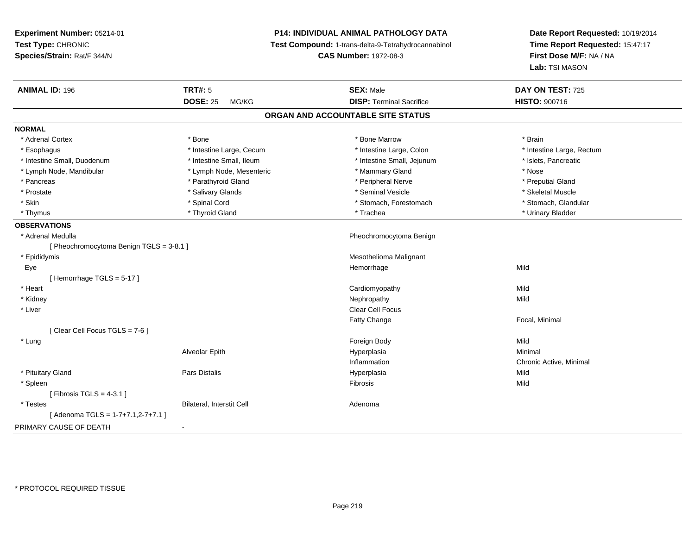**Experiment Number:** 05214-01**Test Type:** CHRONIC **Species/Strain:** Rat/F 344/N**P14: INDIVIDUAL ANIMAL PATHOLOGY DATA Test Compound:** 1-trans-delta-9-Tetrahydrocannabinol **CAS Number:** 1972-08-3**Date Report Requested:** 10/19/2014**Time Report Requested:** 15:47:17**First Dose M/F:** NA / NA**Lab:** TSI MASON**ANIMAL ID:** 196**6 DAY ON TEST:** 725 **DOSE:** 25 MG/KG **DISP:** Terminal Sacrifice **HISTO:** <sup>900716</sup> **ORGAN AND ACCOUNTABLE SITE STATUSNORMAL**\* Adrenal Cortex \* Adrenal Cortex \* \* Adrenal Cortex \* Brain \* Bone \* \* Bone Marrow \* Bone Marrow \* \* Brain \* Brain \* Brain \* Brain \* Brain \* Brain \* Brain \* Brain \* Brain \* Brain \* Brain \* Brain \* Brain \* Brain \* Brain \* Brain \* Brain \* B \* Esophagus \* Thestine Large, Cecum \* Intestine Large, Cecum \* Intestine Large, Colon \* Intestine Large, Rectum \* Intestine Small, Duodenum \* Intestine Small, Ileum \* Intestine Small, Jejunum \* Islets, Pancreatic\* Lymph Node, Mandibular \* The same \* Lymph Node, Mesenteric \* Mammary Gland \* Mammary Gland \* Nose \* Preputial Gland \* Pancreas \* \* Parathyroid Gland \* \* Parathyroid Gland \* \* Peripheral Nerve \* \* Peripheral Nerve \* \* Preputial Gland \* Skeletal Muscle \* Prostate \* \* Skeletal Muscle \* \* Salivary Glands \* \* Steminal Vesicle \* \* Seminal Vesicle \* \* Skeletal Muscle \* Stomach. Glandular \* Skin \* Spinal Cord \* Spinal Cord \* Stomach, Forestomach \* Stomach, Forestomach \* Thymus \* Thyroid Gland \* Trachea \* Urinary Bladder \* **OBSERVATIONS** \* Adrenal Medulla Pheochromocytoma Benign [ Pheochromocytoma Benign TGLS = 3-8.1 ] \* Epididymis Mesothelioma Malignant Eyee and the state of the state of the state of the Mild and the Mild and the Mild and the Mild and the Mild and M<br>In the state of the state of the state of the state of the state of the state of the state of the state of the [ Hemorrhage TGLS = 5-17 ] \* Heart Cardiomyopathyy Mild Mild \* Kidneyy the control of the control of the control of the control of the control of the control of the control of the control of the control of the control of the control of the control of the control of the control of the contro \* Liver Clear Cell FocusFatty Change Focal, Minimal [ Clear Cell Focus TGLS = 7-6 ] \* Lungg and the state of the state of the state of the state of the state of the state of the state of the state of the state of the state of the state of the state of the state of the state of the state of the state of the stat Alveolar Epithh anns an t-Imperplasia anns an t-Imperplasia anns an t-Imperplasia anns an t-Imperplasia anns an t-Imperplasi<br>Iomraidhean Inflammation Chronic Active, Minimal \* Pituitary Gland Pars Distalis Hyperplasia Mild \* Spleenn and the control of the control of the control of the control of the control of the control of the control of the control of the control of the control of the control of the control of the control of the control of the co  $[$  Fibrosis TGLS = 4-3.1  $]$  \* TestesBilateral, Interstit Cell **Adenoma** Adenoma [ Adenoma TGLS = 1-7+7.1,2-7+7.1 ]PRIMARY CAUSE OF DEATH-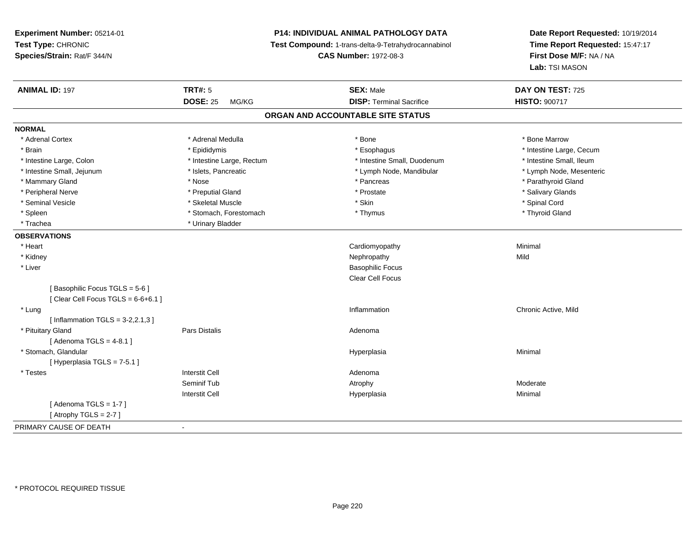# **P14: INDIVIDUAL ANIMAL PATHOLOGY DATA**

**Test Compound:** 1-trans-delta-9-Tetrahydrocannabinol

**CAS Number:** 1972-08-3

| <b>ANIMAL ID: 197</b>                | <b>TRT#: 5</b>            | <b>SEX: Male</b>                  | DAY ON TEST: 725         |
|--------------------------------------|---------------------------|-----------------------------------|--------------------------|
|                                      | <b>DOSE: 25</b><br>MG/KG  | <b>DISP: Terminal Sacrifice</b>   | <b>HISTO: 900717</b>     |
|                                      |                           | ORGAN AND ACCOUNTABLE SITE STATUS |                          |
| <b>NORMAL</b>                        |                           |                                   |                          |
| * Adrenal Cortex                     | * Adrenal Medulla         | * Bone                            | * Bone Marrow            |
| * Brain                              | * Epididymis              | * Esophagus                       | * Intestine Large, Cecum |
| * Intestine Large, Colon             | * Intestine Large, Rectum | * Intestine Small, Duodenum       | * Intestine Small, Ileum |
| * Intestine Small, Jejunum           | * Islets, Pancreatic      | * Lymph Node, Mandibular          | * Lymph Node, Mesenteric |
| * Mammary Gland                      | * Nose                    | * Pancreas                        | * Parathyroid Gland      |
| * Peripheral Nerve                   | * Preputial Gland         | * Prostate                        | * Salivary Glands        |
| * Seminal Vesicle                    | * Skeletal Muscle         | * Skin                            | * Spinal Cord            |
| * Spleen                             | * Stomach, Forestomach    | * Thymus                          | * Thyroid Gland          |
| * Trachea                            | * Urinary Bladder         |                                   |                          |
| <b>OBSERVATIONS</b>                  |                           |                                   |                          |
| * Heart                              |                           | Cardiomyopathy                    | Minimal                  |
| * Kidney                             |                           | Nephropathy                       | Mild                     |
| * Liver                              |                           | <b>Basophilic Focus</b>           |                          |
|                                      |                           | <b>Clear Cell Focus</b>           |                          |
| [Basophilic Focus TGLS = 5-6]        |                           |                                   |                          |
| [Clear Cell Focus TGLS = $6-6+6.1$ ] |                           |                                   |                          |
| * Lung                               |                           | Inflammation                      | Chronic Active, Mild     |
| [Inflammation TGLS = $3-2,2.1,3$ ]   |                           |                                   |                          |
| * Pituitary Gland                    | Pars Distalis             | Adenoma                           |                          |
| [Adenoma TGLS = $4-8.1$ ]            |                           |                                   |                          |
| * Stomach, Glandular                 |                           | Hyperplasia                       | Minimal                  |
| [Hyperplasia TGLS = 7-5.1]           |                           |                                   |                          |
| * Testes                             | <b>Interstit Cell</b>     | Adenoma                           |                          |
|                                      | Seminif Tub               | Atrophy                           | Moderate                 |
|                                      | <b>Interstit Cell</b>     | Hyperplasia                       | Minimal                  |
| [Adenoma TGLS = $1-7$ ]              |                           |                                   |                          |
| [Atrophy TGLS = $2-7$ ]              |                           |                                   |                          |
| PRIMARY CAUSE OF DEATH               | $\blacksquare$            |                                   |                          |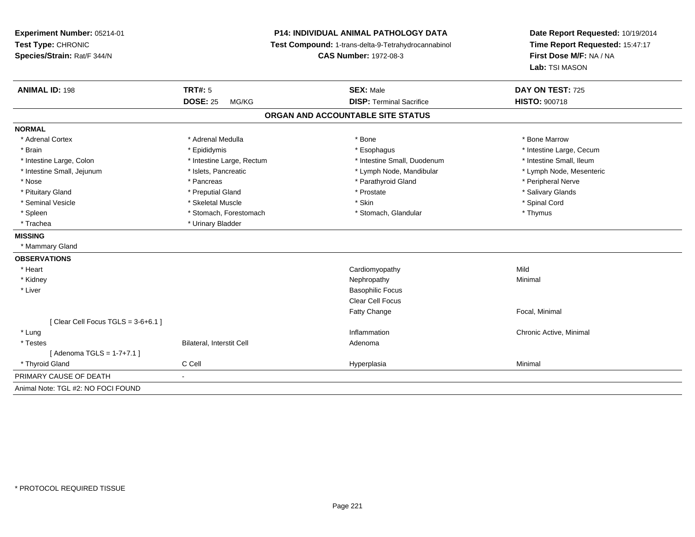**Experiment Number:** 05214-01**Test Type:** CHRONIC **Species/Strain:** Rat/F 344/N**P14: INDIVIDUAL ANIMAL PATHOLOGY DATA Test Compound:** 1-trans-delta-9-Tetrahydrocannabinol **CAS Number:** 1972-08-3**Date Report Requested:** 10/19/2014**Time Report Requested:** 15:47:17**First Dose M/F:** NA / NA**Lab:** TSI MASON**ANIMAL ID:** 198**TRT#:** 5 **SEX:** Male **DAY ON TEST:** 725 **DOSE:** 25 MG/KG **DISP:** Terminal Sacrifice **HISTO:** <sup>900718</sup> **ORGAN AND ACCOUNTABLE SITE STATUSNORMAL**\* Adrenal Cortex \* Adrenal Medulla \* Adrenal Medulla \* Bone \* Bone \* Bone \* Bone \* Bone Marrow \* Brain \* Explorer \* Epididymis \* \* Epididymis \* \* Esophagus \* Esophagus \* \* Esophagus \* Intestine Large, Cecum \* \* Intestine Large, Cecum \* Intestine Small, Ileum \* Intestine Large, Colon \* Intestine Large, Rectum \* Intestine Small, Duodenum \* Intestine Small, Duodenum \* Lymph Node, Mesenteric \* Intestine Small, Jejunum \* Mandibular \* Islets, Pancreatic \* Mandibular \* Lymph Node, Mandibular \* Nose \* \* Pancreas \* \* Pancreas \* \* Pancreas \* \* Parathyroid Gland \* \* Peripheral Nerve \* Peripheral Nerve \* \* Salivary Glands \* Pituitary Gland \* \* Then the state \* Preputial Gland \* Prosection \* Prostate \* \* Salivary Glands \* Salivary Glands \* Salivary Glands \* Salivary Glands \* Salivary Glands \* Salivary Glands \* Salivary Glands \* Salivary Glan \* Seminal Vesicle \* \* Spinal Cord \* Skeletal Muscle \* \* Skin \* \* Skin \* \* Spinal Vesicle \* Spinal Cord \* Spinal Cord \* Spleen \* Stomach, Forestomach \* Stomach \* Stomach, Glandular \* Thymus \* Thymus \* Trachea \* Urinary Bladder**MISSING** \* Mammary Gland**OBSERVATIONS** \* Heart Cardiomyopathyy Mild Minimal \* Kidneyy the control of the control of the control of the control of the control of the control of the control of the control of the control of the control of the control of the control of the control of the control of the contro \* Liver Basophilic Focus Clear Cell FocusFatty Change Focal, Minimal  $[$  Clear Cell Focus TGLS = 3-6+6.1  $]$  \* Lungg is a controller to the controller of the controller of the chronic Active, Minimal of the chronic Active, Minimal of the chronic Active, Minimal of the chronic Active, Minimal of the chronic Active, Minimal of the chroni \* TestesBilateral, Interstit Cell **Adenoma**  $[$  Adenoma TGLS = 1-7+7.1  $]$  \* Thyroid Gland C Cell Hyperplasia Minimal PRIMARY CAUSE OF DEATH - Animal Note: TGL #2: NO FOCI FOUND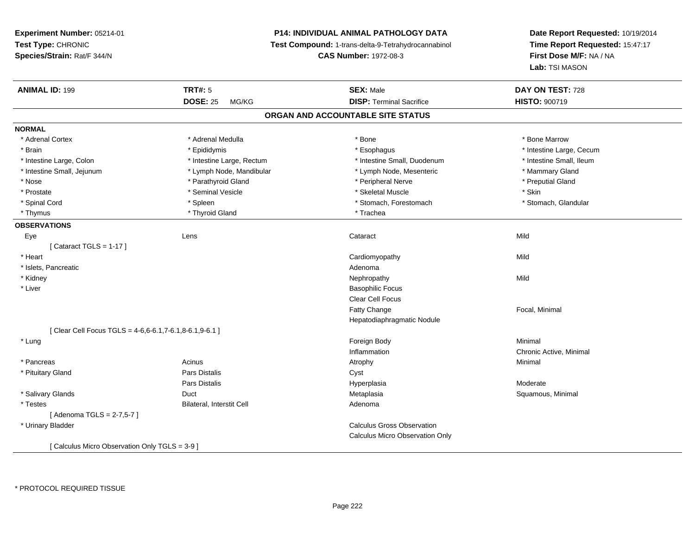# **P14: INDIVIDUAL ANIMAL PATHOLOGY DATA**

**Test Compound:** 1-trans-delta-9-Tetrahydrocannabinol

**CAS Number:** 1972-08-3

| <b>ANIMAL ID: 199</b>                                   | <b>TRT#: 5</b>                   | <b>SEX: Male</b>                  | DAY ON TEST: 728         |  |
|---------------------------------------------------------|----------------------------------|-----------------------------------|--------------------------|--|
|                                                         | <b>DOSE: 25</b><br>MG/KG         | <b>DISP: Terminal Sacrifice</b>   | <b>HISTO: 900719</b>     |  |
|                                                         |                                  | ORGAN AND ACCOUNTABLE SITE STATUS |                          |  |
| <b>NORMAL</b>                                           |                                  |                                   |                          |  |
| * Adrenal Cortex                                        | * Adrenal Medulla                | * Bone                            | * Bone Marrow            |  |
| * Brain                                                 | * Epididymis                     | * Esophagus                       | * Intestine Large, Cecum |  |
| * Intestine Large, Colon                                | * Intestine Large, Rectum        | * Intestine Small, Duodenum       | * Intestine Small, Ileum |  |
| * Intestine Small, Jejunum                              | * Lymph Node, Mandibular         | * Lymph Node, Mesenteric          | * Mammary Gland          |  |
| * Nose                                                  | * Parathyroid Gland              | * Peripheral Nerve                | * Preputial Gland        |  |
| * Prostate                                              | * Seminal Vesicle                | * Skeletal Muscle                 | * Skin                   |  |
| * Spinal Cord                                           | * Spleen                         | * Stomach, Forestomach            | * Stomach, Glandular     |  |
| * Thymus                                                | * Thyroid Gland                  | * Trachea                         |                          |  |
| <b>OBSERVATIONS</b>                                     |                                  |                                   |                          |  |
| Eye                                                     | Lens                             | Cataract                          | Mild                     |  |
| [Cataract TGLS = $1-17$ ]                               |                                  |                                   |                          |  |
| * Heart                                                 |                                  | Cardiomyopathy                    | Mild                     |  |
| * Islets, Pancreatic                                    |                                  | Adenoma                           |                          |  |
| * Kidney                                                |                                  | Nephropathy                       | Mild                     |  |
| * Liver                                                 |                                  | <b>Basophilic Focus</b>           |                          |  |
|                                                         |                                  | <b>Clear Cell Focus</b>           |                          |  |
|                                                         |                                  | <b>Fatty Change</b>               | Focal, Minimal           |  |
|                                                         |                                  | Hepatodiaphragmatic Nodule        |                          |  |
| [ Clear Cell Focus TGLS = 4-6,6-6.1,7-6.1,8-6.1,9-6.1 ] |                                  |                                   |                          |  |
| * Lung                                                  |                                  | Foreign Body                      | Minimal                  |  |
|                                                         |                                  | Inflammation                      | Chronic Active, Minimal  |  |
| * Pancreas                                              | Acinus                           | Atrophy                           | Minimal                  |  |
| * Pituitary Gland                                       | <b>Pars Distalis</b>             | Cyst                              |                          |  |
|                                                         | Pars Distalis                    | Hyperplasia                       | Moderate                 |  |
| * Salivary Glands                                       | Duct                             | Metaplasia                        | Squamous, Minimal        |  |
| * Testes                                                | <b>Bilateral, Interstit Cell</b> | Adenoma                           |                          |  |
| [ Adenoma TGLS = 2-7,5-7 ]                              |                                  |                                   |                          |  |
| * Urinary Bladder                                       |                                  | <b>Calculus Gross Observation</b> |                          |  |
|                                                         |                                  | Calculus Micro Observation Only   |                          |  |
| [ Calculus Micro Observation Only TGLS = 3-9 ]          |                                  |                                   |                          |  |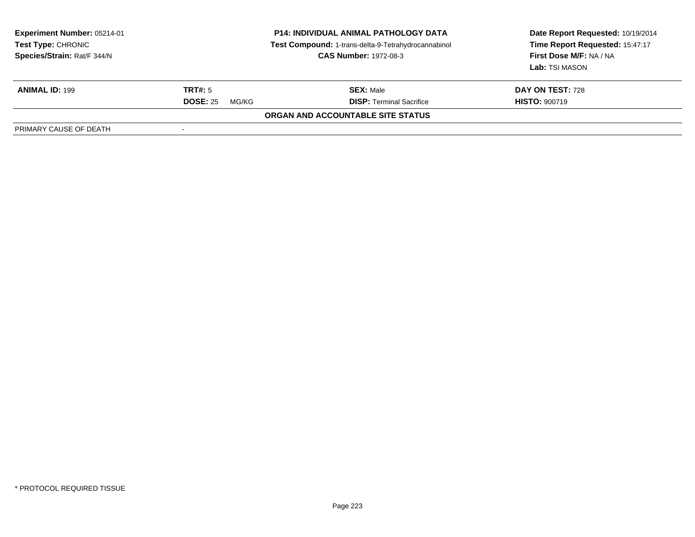| <b>Experiment Number: 05214-01</b><br><b>Test Type: CHRONIC</b><br>Species/Strain: Rat/F 344/N | <b>P14: INDIVIDUAL ANIMAL PATHOLOGY DATA</b><br>Test Compound: 1-trans-delta-9-Tetrahydrocannabinol<br><b>CAS Number: 1972-08-3</b> |                                   | Date Report Requested: 10/19/2014<br>Time Report Requested: 15:47:17<br>First Dose M/F: NA / NA<br>Lab: TSI MASON |
|------------------------------------------------------------------------------------------------|-------------------------------------------------------------------------------------------------------------------------------------|-----------------------------------|-------------------------------------------------------------------------------------------------------------------|
| <b>ANIMAL ID: 199</b>                                                                          | TRT#: 5                                                                                                                             | <b>SEX: Male</b>                  | DAY ON TEST: 728                                                                                                  |
|                                                                                                | <b>DOSE: 25</b><br>MG/KG                                                                                                            | <b>DISP: Terminal Sacrifice</b>   | <b>HISTO: 900719</b>                                                                                              |
|                                                                                                |                                                                                                                                     | ORGAN AND ACCOUNTABLE SITE STATUS |                                                                                                                   |
| PRIMARY CAUSE OF DEATH                                                                         |                                                                                                                                     |                                   |                                                                                                                   |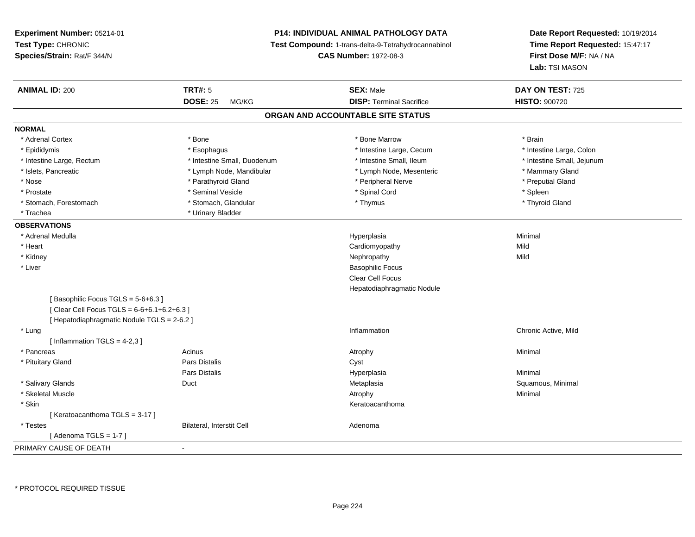# **P14: INDIVIDUAL ANIMAL PATHOLOGY DATA**

**Test Compound:** 1-trans-delta-9-Tetrahydrocannabinol

**CAS Number:** 1972-08-3

| <b>ANIMAL ID: 200</b>                       | <b>TRT#: 5</b>              | <b>SEX: Male</b>                  | DAY ON TEST: 725           |  |
|---------------------------------------------|-----------------------------|-----------------------------------|----------------------------|--|
|                                             | <b>DOSE: 25</b><br>MG/KG    | <b>DISP: Terminal Sacrifice</b>   | <b>HISTO: 900720</b>       |  |
|                                             |                             | ORGAN AND ACCOUNTABLE SITE STATUS |                            |  |
| <b>NORMAL</b>                               |                             |                                   |                            |  |
| * Adrenal Cortex                            | * Bone                      | * Bone Marrow                     | * Brain                    |  |
| * Epididymis                                | * Esophagus                 | * Intestine Large, Cecum          | * Intestine Large, Colon   |  |
| * Intestine Large, Rectum                   | * Intestine Small, Duodenum | * Intestine Small, Ileum          | * Intestine Small, Jejunum |  |
| * Islets, Pancreatic                        | * Lymph Node, Mandibular    | * Lymph Node, Mesenteric          | * Mammary Gland            |  |
| * Nose                                      | * Parathyroid Gland         | * Peripheral Nerve                | * Preputial Gland          |  |
| * Prostate                                  | * Seminal Vesicle           | * Spinal Cord                     | * Spleen                   |  |
| * Stomach, Forestomach                      | * Stomach, Glandular        | * Thymus                          | * Thyroid Gland            |  |
| * Trachea                                   | * Urinary Bladder           |                                   |                            |  |
| <b>OBSERVATIONS</b>                         |                             |                                   |                            |  |
| * Adrenal Medulla                           |                             | Hyperplasia                       | Minimal                    |  |
| * Heart                                     |                             | Cardiomyopathy                    | Mild                       |  |
| * Kidney                                    |                             | Nephropathy                       | Mild                       |  |
| * Liver                                     |                             | <b>Basophilic Focus</b>           |                            |  |
|                                             |                             | Clear Cell Focus                  |                            |  |
|                                             |                             | Hepatodiaphragmatic Nodule        |                            |  |
| [Basophilic Focus TGLS = 5-6+6.3]           |                             |                                   |                            |  |
| [Clear Cell Focus TGLS = 6-6+6.1+6.2+6.3]   |                             |                                   |                            |  |
| [ Hepatodiaphragmatic Nodule TGLS = 2-6.2 ] |                             |                                   |                            |  |
| * Lung                                      |                             | Inflammation                      | Chronic Active, Mild       |  |
| [Inflammation TGLS = $4-2,3$ ]              |                             |                                   |                            |  |
| * Pancreas                                  | Acinus                      | Atrophy                           | Minimal                    |  |
| * Pituitary Gland                           | <b>Pars Distalis</b>        | Cyst                              |                            |  |
|                                             | <b>Pars Distalis</b>        | Hyperplasia                       | Minimal                    |  |
| * Salivary Glands                           | Duct                        | Metaplasia                        | Squamous, Minimal          |  |
| * Skeletal Muscle                           |                             | Atrophy                           | Minimal                    |  |
| * Skin                                      |                             | Keratoacanthoma                   |                            |  |
| [Keratoacanthoma TGLS = 3-17]               |                             |                                   |                            |  |
| * Testes                                    | Bilateral, Interstit Cell   | Adenoma                           |                            |  |
| [Adenoma TGLS = $1-7$ ]                     |                             |                                   |                            |  |
| PRIMARY CAUSE OF DEATH                      | $\blacksquare$              |                                   |                            |  |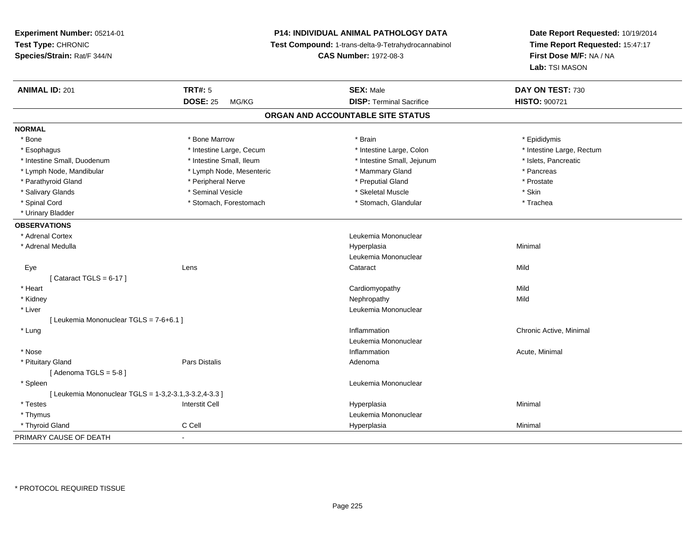**Experiment Number:** 05214-01**Test Type:** CHRONIC **Species/Strain:** Rat/F 344/N**P14: INDIVIDUAL ANIMAL PATHOLOGY DATA Test Compound:** 1-trans-delta-9-Tetrahydrocannabinol **CAS Number:** 1972-08-3**Date Report Requested:** 10/19/2014**Time Report Requested:** 15:47:17**First Dose M/F:** NA / NA**Lab:** TSI MASON**ANIMAL ID:** 201**TRT#:** 5 **SEX:** Male **DAY ON TEST:** 730 **DOSE:** 25 MG/KG**DISP:** Terminal Sacrifice **HISTO:**  $900721$ **ORGAN AND ACCOUNTABLE SITE STATUSNORMAL**\* Bone \* Bone \* Bone Marrow \* Brain \* Epididymis \* Intestine Large, Rectum \* Esophagus \* Intestine Large, Cecum \* Intestine Large, Cecum \* Intestine Large, Colon \* Intestine Small, Duodenum \* Intestine Small, Ileum \* Intestine Small, Jejunum \* Islets, Pancreatic\* Lymph Node, Mandibular \* The same \* Lymph Node, Mesenteric \* The same \* Mammary Gland \* The same \* Pancreas \* Prostate \* Parathyroid Gland \* **Arror and \* Peripheral Nerve** \* **Arror and \* Preputial Gland** \* Preputial Gland \* Salivary Glands \* Seminal Vesicle \* Skeletal Muscle \* Skin\* Trachea \* Spinal Cord \* Stomach, Forestomach \* Stomach \* Stomach \* Stomach, Glandular \* Stomach, Glandular \* Urinary Bladder**OBSERVATIONS** \* Adrenal Cortex Leukemia Mononuclear \* Adrenal Medullaa and the control of the control of the control of the Hyperplasia and the control of the Minimal of the control of the control of the control of the control of the control of the control of the control of the control of t Leukemia Mononuclear Eyee the contract of the contract of the contract of the contract of the contract of the contract of the contract  $\mathsf{Mild}$  $[$  Cataract TGLS = 6-17  $]$  \* Heart Cardiomyopathyy Mild Mild \* Kidneyy the control of the control of the control of the control of the control of the control of the control of the control of the control of the control of the control of the control of the control of the control of the contro \* Liver Leukemia Mononuclear [ Leukemia Mononuclear TGLS = 7-6+6.1 ] \* Lungg is a controller to the controller of the controller of the chronic Active, Minimal of the chronic Active, Minimal of the chronic Active, Minimal of the chronic Active, Minimal of the chronic Active, Minimal of the chroni Leukemia Mononuclear \* Nosee the contraction of the contraction of the contraction of the contraction of the contraction of the contraction  $\mathsf{Acute}$ , Minimal \* Pituitary Glandd and the contract of Pars Distalis and the contract of Adenoma and Adenoma and the Adenoma and the Adenoma and  $\lambda$ [ Adenoma  $TGLS = 5-8$  ] \* Spleen Leukemia Mononuclear [ Leukemia Mononuclear TGLS = 1-3,2-3.1,3-3.2,4-3.3 ] \* Testes Interstit Cell Hyperplasiaa and a studies of the studies of the Minimal \* Thymus Leukemia Mononuclear \* Thyroid Gland C Cell Hyperplasia Minimal PRIMARY CAUSE OF DEATH-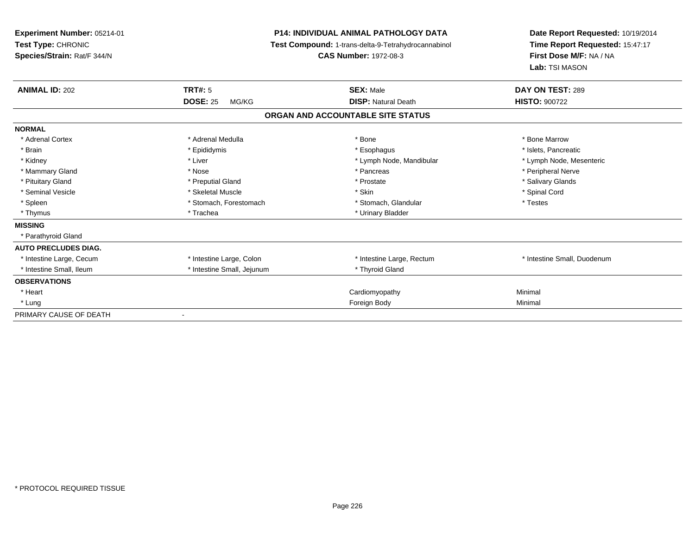| Experiment Number: 05214-01<br>Test Type: CHRONIC<br>Species/Strain: Rat/F 344/N |                            | <b>P14: INDIVIDUAL ANIMAL PATHOLOGY DATA</b><br>Test Compound: 1-trans-delta-9-Tetrahydrocannabinol<br><b>CAS Number: 1972-08-3</b> | Date Report Requested: 10/19/2014<br>Time Report Requested: 15:47:17<br>First Dose M/F: NA / NA<br>Lab: TSI MASON |
|----------------------------------------------------------------------------------|----------------------------|-------------------------------------------------------------------------------------------------------------------------------------|-------------------------------------------------------------------------------------------------------------------|
| <b>ANIMAL ID: 202</b>                                                            | <b>TRT#: 5</b>             | <b>SEX: Male</b>                                                                                                                    | DAY ON TEST: 289                                                                                                  |
|                                                                                  | <b>DOSE: 25</b><br>MG/KG   | <b>DISP: Natural Death</b>                                                                                                          | <b>HISTO: 900722</b>                                                                                              |
|                                                                                  |                            | ORGAN AND ACCOUNTABLE SITE STATUS                                                                                                   |                                                                                                                   |
| <b>NORMAL</b>                                                                    |                            |                                                                                                                                     |                                                                                                                   |
| * Adrenal Cortex                                                                 | * Adrenal Medulla          | * Bone                                                                                                                              | * Bone Marrow                                                                                                     |
| * Brain                                                                          | * Epididymis               | * Esophagus                                                                                                                         | * Islets, Pancreatic                                                                                              |
| * Kidney                                                                         | * Liver                    | * Lymph Node, Mandibular                                                                                                            | * Lymph Node, Mesenteric                                                                                          |
| * Mammary Gland                                                                  | * Nose                     | * Pancreas                                                                                                                          | * Peripheral Nerve                                                                                                |
| * Pituitary Gland                                                                | * Preputial Gland          | * Prostate                                                                                                                          | * Salivary Glands                                                                                                 |
| * Seminal Vesicle                                                                | * Skeletal Muscle          | * Skin                                                                                                                              | * Spinal Cord                                                                                                     |
| * Spleen                                                                         | * Stomach, Forestomach     | * Stomach, Glandular                                                                                                                | * Testes                                                                                                          |
| * Thymus                                                                         | * Trachea                  | * Urinary Bladder                                                                                                                   |                                                                                                                   |
| <b>MISSING</b>                                                                   |                            |                                                                                                                                     |                                                                                                                   |
| * Parathyroid Gland                                                              |                            |                                                                                                                                     |                                                                                                                   |
| <b>AUTO PRECLUDES DIAG.</b>                                                      |                            |                                                                                                                                     |                                                                                                                   |
| * Intestine Large, Cecum                                                         | * Intestine Large, Colon   | * Intestine Large, Rectum                                                                                                           | * Intestine Small, Duodenum                                                                                       |
| * Intestine Small, Ileum                                                         | * Intestine Small, Jejunum | * Thyroid Gland                                                                                                                     |                                                                                                                   |
| <b>OBSERVATIONS</b>                                                              |                            |                                                                                                                                     |                                                                                                                   |
| * Heart                                                                          |                            | Cardiomyopathy                                                                                                                      | Minimal                                                                                                           |
| * Lung                                                                           |                            | Foreign Body                                                                                                                        | Minimal                                                                                                           |
| PRIMARY CAUSE OF DEATH                                                           | $\blacksquare$             |                                                                                                                                     |                                                                                                                   |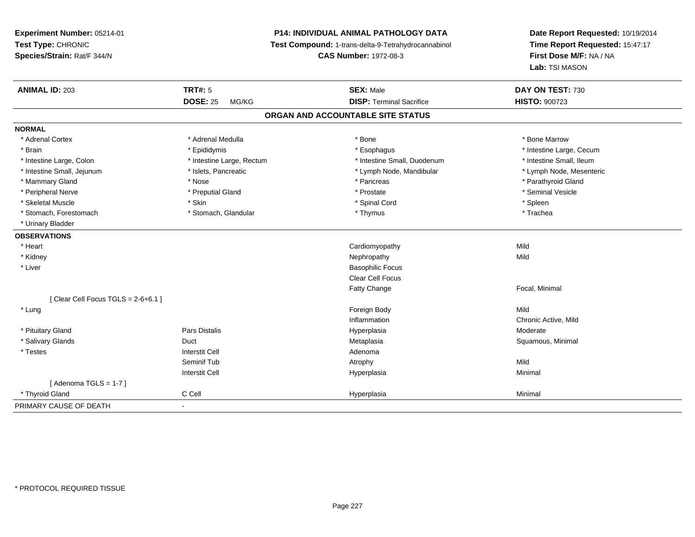# **P14: INDIVIDUAL ANIMAL PATHOLOGY DATA**

**Test Compound:** 1-trans-delta-9-Tetrahydrocannabinol

**CAS Number:** 1972-08-3

| <b>ANIMAL ID: 203</b>                 | TRT#: 5                   | <b>SEX: Male</b>                  | DAY ON TEST: 730         |
|---------------------------------------|---------------------------|-----------------------------------|--------------------------|
|                                       | <b>DOSE: 25</b><br>MG/KG  | <b>DISP: Terminal Sacrifice</b>   | HISTO: 900723            |
|                                       |                           | ORGAN AND ACCOUNTABLE SITE STATUS |                          |
| <b>NORMAL</b>                         |                           |                                   |                          |
| * Adrenal Cortex                      | * Adrenal Medulla         | * Bone                            | * Bone Marrow            |
| * Brain                               | * Epididymis              | * Esophagus                       | * Intestine Large, Cecum |
| * Intestine Large, Colon              | * Intestine Large, Rectum | * Intestine Small, Duodenum       | * Intestine Small, Ileum |
| * Intestine Small, Jejunum            | * Islets, Pancreatic      | * Lymph Node, Mandibular          | * Lymph Node, Mesenteric |
| * Mammary Gland                       | * Nose                    | * Pancreas                        | * Parathyroid Gland      |
| * Peripheral Nerve                    | * Preputial Gland         | * Prostate                        | * Seminal Vesicle        |
| * Skeletal Muscle                     | * Skin                    | * Spinal Cord                     | * Spleen                 |
| * Stomach, Forestomach                | * Stomach, Glandular      | * Thymus                          | * Trachea                |
| * Urinary Bladder                     |                           |                                   |                          |
| <b>OBSERVATIONS</b>                   |                           |                                   |                          |
| * Heart                               |                           | Cardiomyopathy                    | Mild                     |
| * Kidney                              |                           | Nephropathy                       | Mild                     |
| * Liver                               |                           | <b>Basophilic Focus</b>           |                          |
|                                       |                           | <b>Clear Cell Focus</b>           |                          |
|                                       |                           | <b>Fatty Change</b>               | Focal, Minimal           |
| [ Clear Cell Focus TGLS = $2-6+6.1$ ] |                           |                                   |                          |
| * Lung                                |                           | Foreign Body                      | Mild                     |
|                                       |                           | Inflammation                      | Chronic Active, Mild     |
| * Pituitary Gland                     | Pars Distalis             | Hyperplasia                       | Moderate                 |
| * Salivary Glands                     | Duct                      | Metaplasia                        | Squamous, Minimal        |
| * Testes                              | <b>Interstit Cell</b>     | Adenoma                           |                          |
|                                       | Seminif Tub               | Atrophy                           | Mild                     |
|                                       | <b>Interstit Cell</b>     | Hyperplasia                       | Minimal                  |
| [Adenoma TGLS = $1-7$ ]               |                           |                                   |                          |
| * Thyroid Gland                       | C Cell                    | Hyperplasia                       | Minimal                  |
| PRIMARY CAUSE OF DEATH                | $\blacksquare$            |                                   |                          |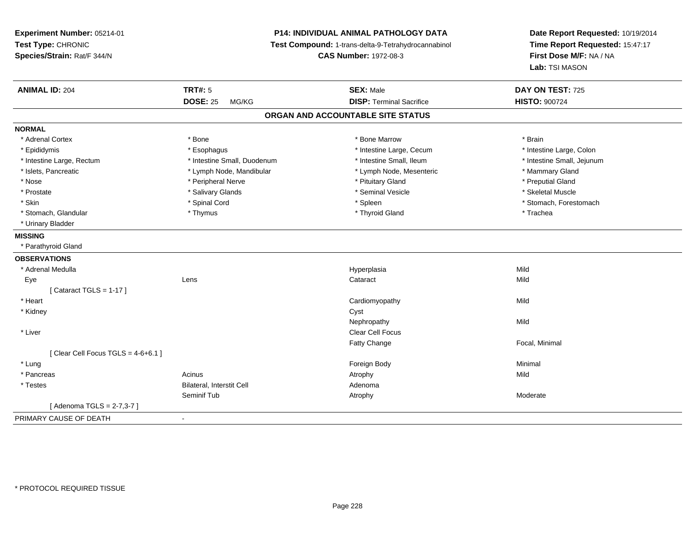**Experiment Number:** 05214-01**Test Type:** CHRONIC **Species/Strain:** Rat/F 344/N**P14: INDIVIDUAL ANIMAL PATHOLOGY DATA Test Compound:** 1-trans-delta-9-Tetrahydrocannabinol **CAS Number:** 1972-08-3**Date Report Requested:** 10/19/2014**Time Report Requested:** 15:47:17**First Dose M/F:** NA / NA**Lab:** TSI MASON**ANIMAL ID:** 204 **TRT#:** <sup>5</sup> **SEX:** Male **DAY ON TEST:** <sup>725</sup> **DOSE:** 25 MG/KG**DISP:** Terminal Sacrifice **HISTO:**  $900724$ **ORGAN AND ACCOUNTABLE SITE STATUSNORMAL**\* Adrenal Cortex \* \* The matter of the state of the Marrow \* Bone Marrow \* Bone Marrow \* The matter of the Marrow \* Brain \* Brain \* Brain \* Brain \* Brain \* Brain \* Brain \* Brain \* Brain \* Brain \* Brain \* Brain \* Brain \* Br \* Intestine Large, Colon \* Epididymis \* Intestine Large, Cecum \* Esophagus \* Intestine Large, Cecum \* Intestine Large, Cecum \* Intestine Small, Jejunum \* Intestine Large, Rectum \* 1. 1999 \* Intestine Small, Duodenum \* 1. 1999 \* Intestine Small, Ileum \* Islets, Pancreatic \* The manner of the Lymph Node, Mandibular \* Lymph Node, Mesenteric \* Mammary Gland \* Preputial Gland \* Nose \* Peripheral Nerve \* Pituitary Gland \* Preputial Gland \* Skeletal Muscle \* Prostate \* \* Skeletal Muscle \* \* Salivary Glands \* \* Steminal Vesicle \* \* Seminal Vesicle \* \* Skeletal Muscle \* Skin \* Spinal Cord \* Spinal Cord \* Spinal Cord \* Spinal \* Spinal \* Stomach, Forestomach \* Stomach, Forestomach \* Stomach, Glandular \* Thymus \* Thymus \* Thymus \* Thyroid Gland \* Thyroid Gland \* Thachea \* Urinary Bladder**MISSING** \* Parathyroid Gland**OBSERVATIONS** \* Adrenal Medullaa and the control of the control of the control of the Hyperplasia and the control of the Mild of the control o Eyee and the contract of the contract of the contract of the contract of the contract of the contract of the contract of the contract of the contract of the contract of the contract of the contract of the contract of the cont  $[$  Cataract TGLS = 1-17  $]$  \* Heart Cardiomyopathyy Mild \* Kidneyy control of the control of the control of the control of the control of the control of the control of the control of the control of the control of the control of the control of the control of the control of the control of **Nephropathy** y Mild \* Liverr and the contract of the contract of the contract of the contract of the contract of the contract of the contract of the contract of the contract of the contract of the contract of the contract of the contract of the cont Fatty Change Focal, Minimal  $[$  Clear Cell Focus TGLS = 4-6+6.1 ] \* Lungg and the state of the state of the state of the state of the state of the state of the state of the state of the state of the state of the state of the state of the state of the state of the state of the state of the stat \* Pancreass the contract of the contract of the contract of the contract of the contract of the contract of the contract of the contract of the contract of the contract of the contract of the contract of the contract of the contract \* TestesBilateral, Interstit Cell **Adenoma** Adenoma Seminif Tub Atrophy Moderate [ Adenoma TGLS = 2-7,3-7 ]PRIMARY CAUSE OF DEATH-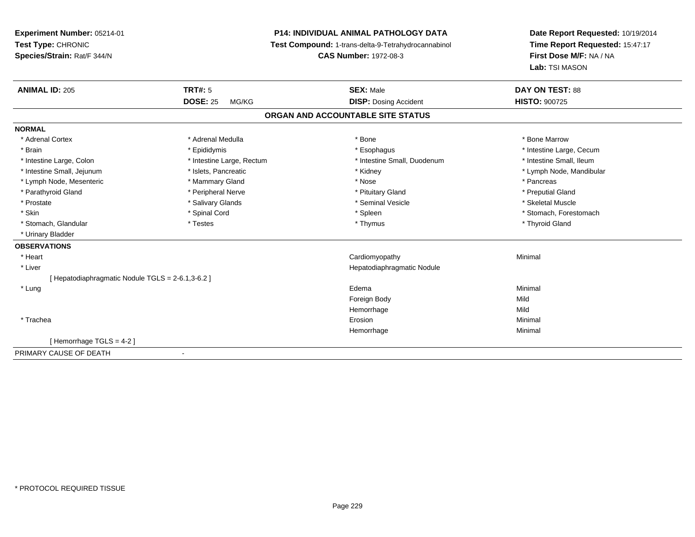**Experiment Number:** 05214-01**Test Type:** CHRONIC **Species/Strain:** Rat/F 344/N**P14: INDIVIDUAL ANIMAL PATHOLOGY DATA Test Compound:** 1-trans-delta-9-Tetrahydrocannabinol **CAS Number:** 1972-08-3**ANIMAL ID:** 205**DOSE:** 25 MG/KG**NORMAL**

| <b>ANIMAL ID: 205</b>                           | <b>TRT#: 5</b>            | <b>SEX: Male</b>                  | <b>DAY ON TEST: 88</b>   |
|-------------------------------------------------|---------------------------|-----------------------------------|--------------------------|
|                                                 | <b>DOSE: 25</b><br>MG/KG  | <b>DISP:</b> Dosing Accident      | <b>HISTO: 900725</b>     |
|                                                 |                           | ORGAN AND ACCOUNTABLE SITE STATUS |                          |
| <b>NORMAL</b>                                   |                           |                                   |                          |
| * Adrenal Cortex                                | * Adrenal Medulla         | * Bone                            | * Bone Marrow            |
| * Brain                                         | * Epididymis              | * Esophagus                       | * Intestine Large, Cecum |
| * Intestine Large, Colon                        | * Intestine Large, Rectum | * Intestine Small, Duodenum       | * Intestine Small, Ileum |
| * Intestine Small, Jejunum                      | * Islets, Pancreatic      | * Kidney                          | * Lymph Node, Mandibular |
| * Lymph Node, Mesenteric                        | * Mammary Gland           | * Nose                            | * Pancreas               |
| * Parathyroid Gland                             | * Peripheral Nerve        | * Pituitary Gland                 | * Preputial Gland        |
| * Prostate                                      | * Salivary Glands         | * Seminal Vesicle                 | * Skeletal Muscle        |
| * Skin                                          | * Spinal Cord             | * Spleen                          | * Stomach, Forestomach   |
| * Stomach, Glandular                            | * Testes                  | * Thymus                          | * Thyroid Gland          |
| * Urinary Bladder                               |                           |                                   |                          |
| <b>OBSERVATIONS</b>                             |                           |                                   |                          |
| * Heart                                         |                           | Cardiomyopathy                    | Minimal                  |
| * Liver                                         |                           | Hepatodiaphragmatic Nodule        |                          |
| [Hepatodiaphragmatic Nodule TGLS = 2-6.1,3-6.2] |                           |                                   |                          |
| * Lung                                          |                           | Edema                             | Minimal                  |
|                                                 |                           | Foreign Body                      | Mild                     |
|                                                 |                           | Hemorrhage                        | Mild                     |
| * Trachea                                       |                           | Erosion                           | Minimal                  |
|                                                 |                           | Hemorrhage                        | Minimal                  |
| [Hemorrhage TGLS = 4-2]                         |                           |                                   |                          |
| PRIMARY CAUSE OF DEATH                          |                           |                                   |                          |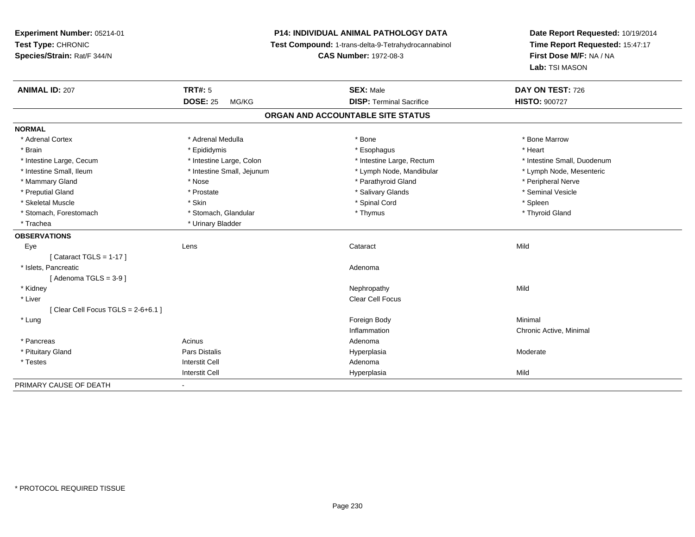**Experiment Number:** 05214-01**Test Type:** CHRONIC **Species/Strain:** Rat/F 344/N**P14: INDIVIDUAL ANIMAL PATHOLOGY DATA Test Compound:** 1-trans-delta-9-Tetrahydrocannabinol **CAS Number:** 1972-08-3**Date Report Requested:** 10/19/2014**Time Report Requested:** 15:47:17**First Dose M/F:** NA / NA**Lab:** TSI MASON**ANIMAL ID:** 207**TRT#:** 5 **SEX:** Male **DAY ON TEST:** 726 **DOSE:** 25 MG/KG **DISP:** Terminal Sacrifice **HISTO:** <sup>900727</sup> **ORGAN AND ACCOUNTABLE SITE STATUSNORMAL**\* Adrenal Cortex \* Adrenal Medulla \* Adrenal Medulla \* Bone \* Bone \* Bone \* Bone \* Bone Marrow \* Brain \* \* Esophagus \* \* Esophagus \* \* Esophagus \* \* Esophagus \* \* Esophagus \* Heart \* Heart \* Heart \* Heart \* Intestine Large, Cecum \* Intestine Large, Colon \* Intestine Large, Rectum \* Intestine Small, Duodenum\* Lymph Node, Mesenteric \* Intestine Small, Ileum \* Intestine Small, Jejunum \* Lymph Node, Mandibular \* Lymph Node, Mandibular \* Mammary Gland \* \* Annume \* Nose \* \* Nose \* \* Parathyroid Gland \* Peripheral Nerve \* Peripheral Nerve \* \* Peripheral Nerve \* \* Peripheral Nerve \* \* Peripheral Nerve \* \* Peripheral Nerve \* \* Peripheral Nerve \* \* \* \* \* \* \* \* Seminal Vesicle \* Preputial Gland \* \* Annual vesicle \* \* Prostate \* \* Salivary Glands \* \* Salivary Glands \* \* Seminal Vesicle \* \* Skeletal Muscle \* Skin \* Spinal Cord \* Spleen \* Thyroid Gland \* Stomach, Forestomach \* Thymus \* Stomach, Glandular \* Thymus \* Thymus \* Thymus \* Thymus \* Thymus \* Thymus \* Thymus \* Thymus \* Thymus \* Thymus \* Thymus \* Thymus \* Thymus \* Thymus \* Thymus \* Thymus \* Thymus \* Thymus \* Thymu \* Trachea \* Urinary Bladder**OBSERVATIONS** Eyee the contract of the contract of the contract of the contract of the contract of the contract of the contract  $\mathsf{Mild}$ [ Cataract TGLS = 1-17 ] \* Islets, Pancreaticc and the contract of the contract of the contract of the contract of the contract of the contract of the contract of the contract of the contract of the contract of the contract of the contract of the contract of the cont  $[$  Adenoma TGLS = 3-9  $]$  \* Kidneyy the control of the control of the control of the control of the control of the control of the control of the control of the control of the control of the control of the control of the control of the control of the contro \* Liver Clear Cell Focus $[$  Clear Cell Focus TGLS = 2-6+6.1  $]$  \* Lungg and the state of the state of the state of the state of the state of the state of the state of the state of the state of the state of the state of the state of the state of the state of the state of the state of the stat Inflammation Chronic Active, Minimal \* Pancreas Acinus AdenomaHyperplasia \* Pituitary Gland Pars Distalis Hyperplasia Moderate \* Testes Interstit Cell AdenomaI **Hyperplasia** Interstit Cella Mild PRIMARY CAUSE OF DEATH-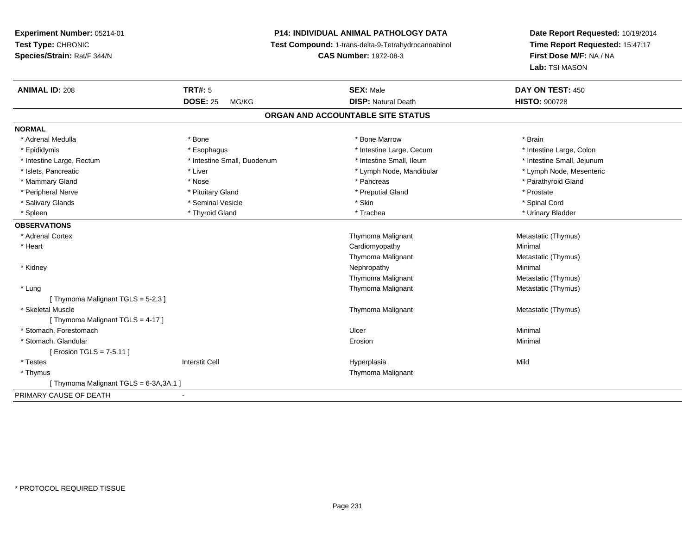# **P14: INDIVIDUAL ANIMAL PATHOLOGY DATA**

**Test Compound:** 1-trans-delta-9-Tetrahydrocannabinol

**CAS Number:** 1972-08-3

| <b>ANIMAL ID: 208</b>                 | <b>TRT#: 5</b>              | <b>SEX: Male</b><br><b>DISP: Natural Death</b> | DAY ON TEST: 450           |
|---------------------------------------|-----------------------------|------------------------------------------------|----------------------------|
|                                       | <b>DOSE: 25</b><br>MG/KG    |                                                | <b>HISTO: 900728</b>       |
|                                       |                             | ORGAN AND ACCOUNTABLE SITE STATUS              |                            |
| <b>NORMAL</b>                         |                             |                                                |                            |
| * Adrenal Medulla                     | * Bone                      | * Bone Marrow                                  | * Brain                    |
| * Epididymis                          | * Esophagus                 | * Intestine Large, Cecum                       | * Intestine Large, Colon   |
| * Intestine Large, Rectum             | * Intestine Small, Duodenum | * Intestine Small, Ileum                       | * Intestine Small, Jejunum |
| * Islets, Pancreatic                  | * Liver                     | * Lymph Node, Mandibular                       | * Lymph Node, Mesenteric   |
| * Mammary Gland                       | * Nose                      | * Pancreas                                     | * Parathyroid Gland        |
| * Peripheral Nerve                    | * Pituitary Gland           | * Preputial Gland                              | * Prostate                 |
| * Salivary Glands                     | * Seminal Vesicle           | * Skin                                         | * Spinal Cord              |
| * Spleen                              | * Thyroid Gland             | * Trachea                                      | * Urinary Bladder          |
| <b>OBSERVATIONS</b>                   |                             |                                                |                            |
| * Adrenal Cortex                      |                             | Thymoma Malignant                              | Metastatic (Thymus)        |
| * Heart                               |                             | Cardiomyopathy                                 | Minimal                    |
|                                       |                             | Thymoma Malignant                              | Metastatic (Thymus)        |
| * Kidney                              |                             | Nephropathy                                    | Minimal                    |
|                                       |                             | Thymoma Malignant                              | Metastatic (Thymus)        |
| * Lung                                |                             | <b>Thymoma Malignant</b>                       | Metastatic (Thymus)        |
| [Thymoma Malignant TGLS = 5-2,3]      |                             |                                                |                            |
| * Skeletal Muscle                     |                             | Thymoma Malignant                              | Metastatic (Thymus)        |
| [Thymoma Malignant TGLS = 4-17]       |                             |                                                |                            |
| * Stomach, Forestomach                |                             | Ulcer                                          | Minimal                    |
| * Stomach, Glandular                  |                             | Erosion                                        | Minimal                    |
| [ Erosion TGLS = 7-5.11 ]             |                             |                                                |                            |
| * Testes                              | <b>Interstit Cell</b>       | Hyperplasia                                    | Mild                       |
| * Thymus                              |                             | Thymoma Malignant                              |                            |
| [Thymoma Malignant TGLS = 6-3A, 3A.1] |                             |                                                |                            |
| PRIMARY CAUSE OF DEATH                |                             |                                                |                            |
|                                       |                             |                                                |                            |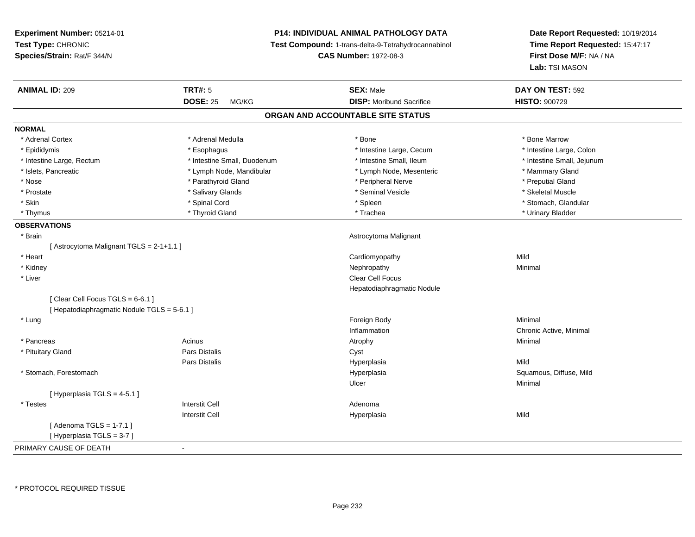# **P14: INDIVIDUAL ANIMAL PATHOLOGY DATA**

**Test Compound:** 1-trans-delta-9-Tetrahydrocannabinol

**CAS Number:** 1972-08-3

| <b>ANIMAL ID: 209</b>                       | <b>TRT#: 5</b>              | <b>SEX: Male</b>                  | DAY ON TEST: 592           |
|---------------------------------------------|-----------------------------|-----------------------------------|----------------------------|
|                                             | <b>DOSE: 25</b><br>MG/KG    | <b>DISP:</b> Moribund Sacrifice   | <b>HISTO: 900729</b>       |
|                                             |                             | ORGAN AND ACCOUNTABLE SITE STATUS |                            |
| <b>NORMAL</b>                               |                             |                                   |                            |
| * Adrenal Cortex                            | * Adrenal Medulla           | * Bone                            | * Bone Marrow              |
| * Epididymis                                | * Esophagus                 | * Intestine Large, Cecum          | * Intestine Large, Colon   |
| * Intestine Large, Rectum                   | * Intestine Small, Duodenum | * Intestine Small, Ileum          | * Intestine Small, Jejunum |
| * Islets, Pancreatic                        | * Lymph Node, Mandibular    | * Lymph Node, Mesenteric          | * Mammary Gland            |
| * Nose                                      | * Parathyroid Gland         | * Peripheral Nerve                | * Preputial Gland          |
| * Prostate                                  | * Salivary Glands           | * Seminal Vesicle                 | * Skeletal Muscle          |
| * Skin                                      | * Spinal Cord               | * Spleen                          | * Stomach, Glandular       |
| * Thymus                                    | * Thyroid Gland             | * Trachea                         | * Urinary Bladder          |
| <b>OBSERVATIONS</b>                         |                             |                                   |                            |
| * Brain                                     |                             | Astrocytoma Malignant             |                            |
| [Astrocytoma Malignant TGLS = 2-1+1.1]      |                             |                                   |                            |
| * Heart                                     |                             | Cardiomyopathy                    | Mild                       |
| * Kidney                                    |                             | Nephropathy                       | Minimal                    |
| * Liver                                     |                             | <b>Clear Cell Focus</b>           |                            |
|                                             |                             | Hepatodiaphragmatic Nodule        |                            |
| [Clear Cell Focus TGLS = 6-6.1]             |                             |                                   |                            |
| [ Hepatodiaphragmatic Nodule TGLS = 5-6.1 ] |                             |                                   |                            |
| * Lung                                      |                             | Foreign Body                      | Minimal                    |
|                                             |                             | Inflammation                      | Chronic Active, Minimal    |
| * Pancreas                                  | Acinus                      | Atrophy                           | Minimal                    |
| * Pituitary Gland                           | <b>Pars Distalis</b>        | Cyst                              |                            |
|                                             | Pars Distalis               | Hyperplasia                       | Mild                       |
| * Stomach, Forestomach                      |                             | Hyperplasia                       | Squamous, Diffuse, Mild    |
|                                             |                             | Ulcer                             | Minimal                    |
| [Hyperplasia TGLS = 4-5.1]                  |                             |                                   |                            |
| * Testes                                    | <b>Interstit Cell</b>       | Adenoma                           |                            |
|                                             | <b>Interstit Cell</b>       | Hyperplasia                       | Mild                       |
| [Adenoma TGLS = $1-7.1$ ]                   |                             |                                   |                            |
| [Hyperplasia TGLS = 3-7]                    |                             |                                   |                            |
| PRIMARY CAUSE OF DEATH                      | $\blacksquare$              |                                   |                            |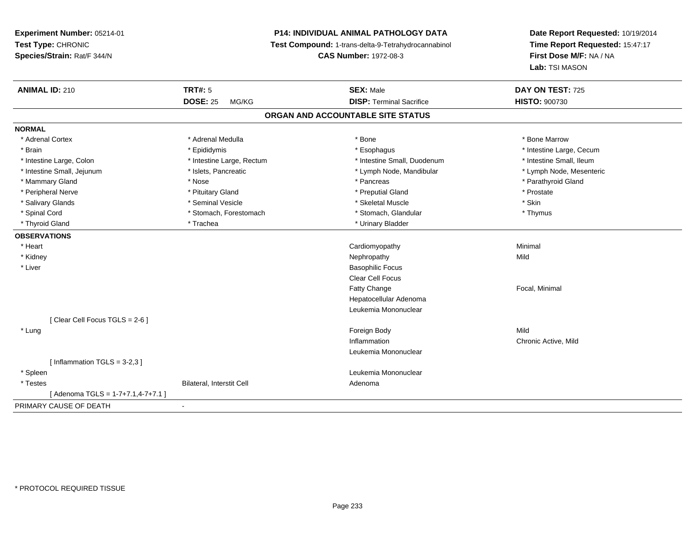# **P14: INDIVIDUAL ANIMAL PATHOLOGY DATA**

**Test Compound:** 1-trans-delta-9-Tetrahydrocannabinol

**CAS Number:** 1972-08-3

| <b>ANIMAL ID: 210</b>                | <b>TRT#: 5</b>            | <b>SEX: Male</b>                  | DAY ON TEST: 725         |
|--------------------------------------|---------------------------|-----------------------------------|--------------------------|
|                                      | <b>DOSE: 25</b><br>MG/KG  | <b>DISP: Terminal Sacrifice</b>   | <b>HISTO: 900730</b>     |
|                                      |                           | ORGAN AND ACCOUNTABLE SITE STATUS |                          |
| <b>NORMAL</b>                        |                           |                                   |                          |
| * Adrenal Cortex                     | * Adrenal Medulla         | * Bone                            | * Bone Marrow            |
| * Brain                              | * Epididymis              | * Esophagus                       | * Intestine Large, Cecum |
| * Intestine Large, Colon             | * Intestine Large, Rectum | * Intestine Small, Duodenum       | * Intestine Small, Ileum |
| * Intestine Small, Jejunum           | * Islets, Pancreatic      | * Lymph Node, Mandibular          | * Lymph Node, Mesenteric |
| * Mammary Gland                      | * Nose                    | * Pancreas                        | * Parathyroid Gland      |
| * Peripheral Nerve                   | * Pituitary Gland         | * Preputial Gland                 | * Prostate               |
| * Salivary Glands                    | * Seminal Vesicle         | * Skeletal Muscle                 | * Skin                   |
| * Spinal Cord                        | * Stomach, Forestomach    | * Stomach, Glandular              | * Thymus                 |
| * Thyroid Gland                      | * Trachea                 | * Urinary Bladder                 |                          |
| <b>OBSERVATIONS</b>                  |                           |                                   |                          |
| * Heart                              |                           | Cardiomyopathy                    | Minimal                  |
| * Kidney                             |                           | Nephropathy                       | Mild                     |
| * Liver                              |                           | <b>Basophilic Focus</b>           |                          |
|                                      |                           | <b>Clear Cell Focus</b>           |                          |
|                                      |                           | Fatty Change                      | Focal, Minimal           |
|                                      |                           | Hepatocellular Adenoma            |                          |
|                                      |                           | Leukemia Mononuclear              |                          |
| [Clear Cell Focus TGLS = 2-6]        |                           |                                   |                          |
| * Lung                               |                           | Foreign Body                      | Mild                     |
|                                      |                           | Inflammation                      | Chronic Active, Mild     |
|                                      |                           | Leukemia Mononuclear              |                          |
| [Inflammation TGLS = $3-2,3$ ]       |                           |                                   |                          |
| * Spleen                             |                           | Leukemia Mononuclear              |                          |
| * Testes                             | Bilateral, Interstit Cell | Adenoma                           |                          |
| [Adenoma TGLS = $1-7+7.1, 4-7+7.1$ ] |                           |                                   |                          |
| PRIMARY CAUSE OF DEATH               |                           |                                   |                          |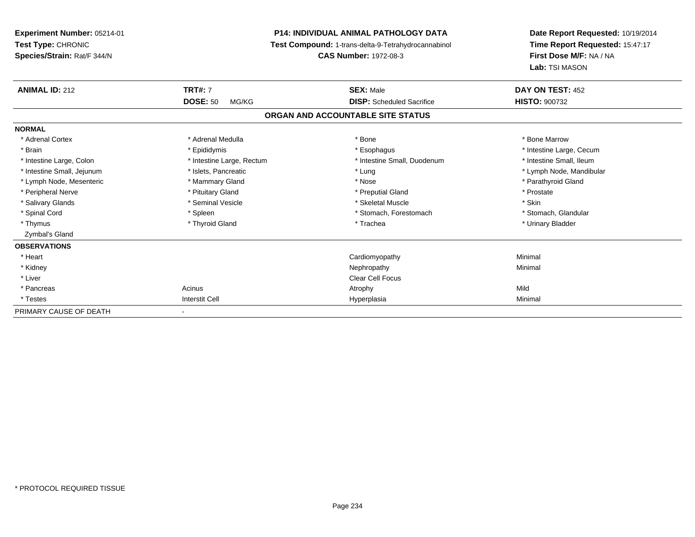| <b>Experiment Number: 05214-01</b><br>Test Type: CHRONIC<br>Species/Strain: Rat/F 344/N |                                   | P14: INDIVIDUAL ANIMAL PATHOLOGY DATA<br><b>Test Compound: 1-trans-delta-9-Tetrahydrocannabinol</b><br><b>CAS Number: 1972-08-3</b> | Date Report Requested: 10/19/2014<br>Time Report Requested: 15:47:17<br>First Dose M/F: NA / NA<br>Lab: TSI MASON |
|-----------------------------------------------------------------------------------------|-----------------------------------|-------------------------------------------------------------------------------------------------------------------------------------|-------------------------------------------------------------------------------------------------------------------|
| <b>ANIMAL ID: 212</b>                                                                   | <b>TRT#: 7</b><br><b>DOSE: 50</b> | <b>SEX: Male</b>                                                                                                                    | DAY ON TEST: 452<br><b>HISTO: 900732</b>                                                                          |
|                                                                                         | MG/KG                             | <b>DISP:</b> Scheduled Sacrifice                                                                                                    |                                                                                                                   |
|                                                                                         |                                   | ORGAN AND ACCOUNTABLE SITE STATUS                                                                                                   |                                                                                                                   |
| <b>NORMAL</b>                                                                           |                                   |                                                                                                                                     |                                                                                                                   |
| * Adrenal Cortex                                                                        | * Adrenal Medulla                 | * Bone                                                                                                                              | * Bone Marrow                                                                                                     |
| * Brain                                                                                 | * Epididymis                      | * Esophagus                                                                                                                         | * Intestine Large, Cecum                                                                                          |
| * Intestine Large, Colon                                                                | * Intestine Large, Rectum         | * Intestine Small, Duodenum                                                                                                         | * Intestine Small, Ileum                                                                                          |
| * Intestine Small, Jejunum                                                              | * Islets, Pancreatic              | * Lung                                                                                                                              | * Lymph Node, Mandibular                                                                                          |
| * Lymph Node, Mesenteric                                                                | * Mammary Gland                   | * Nose                                                                                                                              | * Parathyroid Gland                                                                                               |
| * Peripheral Nerve                                                                      | * Pituitary Gland                 | * Preputial Gland                                                                                                                   | * Prostate                                                                                                        |
| * Salivary Glands                                                                       | * Seminal Vesicle                 | * Skeletal Muscle                                                                                                                   | * Skin                                                                                                            |
| * Spinal Cord                                                                           | * Spleen                          | * Stomach, Forestomach                                                                                                              | * Stomach, Glandular                                                                                              |
| * Thymus                                                                                | * Thyroid Gland                   | * Trachea                                                                                                                           | * Urinary Bladder                                                                                                 |
| Zymbal's Gland                                                                          |                                   |                                                                                                                                     |                                                                                                                   |
| <b>OBSERVATIONS</b>                                                                     |                                   |                                                                                                                                     |                                                                                                                   |
| * Heart                                                                                 |                                   | Cardiomyopathy                                                                                                                      | Minimal                                                                                                           |
| * Kidney                                                                                |                                   | Nephropathy                                                                                                                         | Minimal                                                                                                           |
| * Liver                                                                                 |                                   | <b>Clear Cell Focus</b>                                                                                                             |                                                                                                                   |
| * Pancreas                                                                              | Acinus                            | Atrophy                                                                                                                             | Mild                                                                                                              |
| * Testes                                                                                | <b>Interstit Cell</b>             | Hyperplasia                                                                                                                         | Minimal                                                                                                           |
| PRIMARY CAUSE OF DEATH                                                                  |                                   |                                                                                                                                     |                                                                                                                   |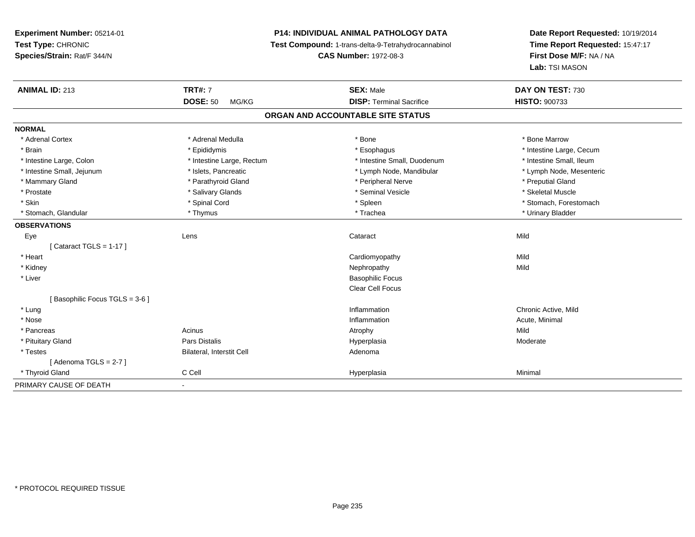# **P14: INDIVIDUAL ANIMAL PATHOLOGY DATA**

**Test Compound:** 1-trans-delta-9-Tetrahydrocannabinol

**CAS Number:** 1972-08-3

| <b>ANIMAL ID: 213</b>         | <b>TRT#: 7</b>            | <b>SEX: Male</b>                  | DAY ON TEST: 730         |
|-------------------------------|---------------------------|-----------------------------------|--------------------------|
|                               | <b>DOSE: 50</b><br>MG/KG  | <b>DISP: Terminal Sacrifice</b>   | <b>HISTO: 900733</b>     |
|                               |                           | ORGAN AND ACCOUNTABLE SITE STATUS |                          |
| <b>NORMAL</b>                 |                           |                                   |                          |
| * Adrenal Cortex              | * Adrenal Medulla         | * Bone                            | * Bone Marrow            |
| * Brain                       | * Epididymis              | * Esophagus                       | * Intestine Large, Cecum |
| * Intestine Large, Colon      | * Intestine Large, Rectum | * Intestine Small, Duodenum       | * Intestine Small, Ileum |
| * Intestine Small, Jejunum    | * Islets, Pancreatic      | * Lymph Node, Mandibular          | * Lymph Node, Mesenteric |
| * Mammary Gland               | * Parathyroid Gland       | * Peripheral Nerve                | * Preputial Gland        |
| * Prostate                    | * Salivary Glands         | * Seminal Vesicle                 | * Skeletal Muscle        |
| * Skin                        | * Spinal Cord             | * Spleen                          | * Stomach, Forestomach   |
| * Stomach, Glandular          | * Thymus                  | * Trachea                         | * Urinary Bladder        |
| <b>OBSERVATIONS</b>           |                           |                                   |                          |
| Eye                           | Lens                      | Cataract                          | Mild                     |
| [Cataract TGLS = $1-17$ ]     |                           |                                   |                          |
| * Heart                       |                           | Cardiomyopathy                    | Mild                     |
| * Kidney                      |                           | Nephropathy                       | Mild                     |
| * Liver                       |                           | <b>Basophilic Focus</b>           |                          |
|                               |                           | Clear Cell Focus                  |                          |
| [Basophilic Focus TGLS = 3-6] |                           |                                   |                          |
| * Lung                        |                           | Inflammation                      | Chronic Active, Mild     |
| * Nose                        |                           | Inflammation                      | Acute, Minimal           |
| * Pancreas                    | Acinus                    | Atrophy                           | Mild                     |
| * Pituitary Gland             | Pars Distalis             | Hyperplasia                       | Moderate                 |
| * Testes                      | Bilateral, Interstit Cell | Adenoma                           |                          |
| [Adenoma TGLS = $2-7$ ]       |                           |                                   |                          |
| * Thyroid Gland               | C Cell                    | Hyperplasia                       | Minimal                  |
| PRIMARY CAUSE OF DEATH        | $\blacksquare$            |                                   |                          |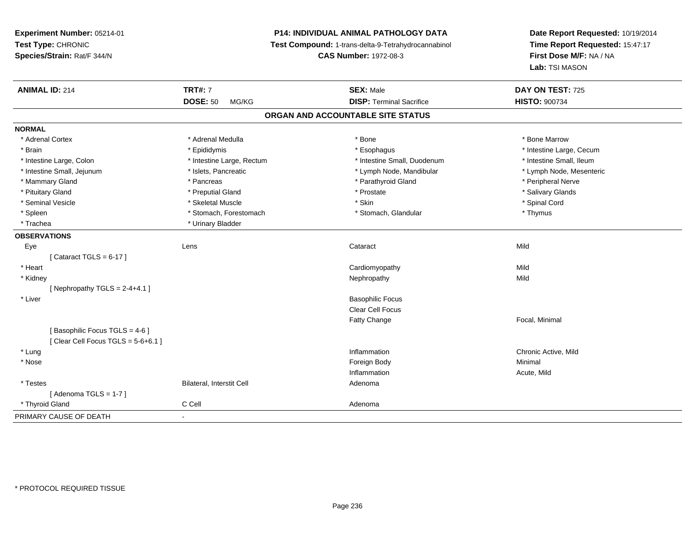**Experiment Number:** 05214-01**Test Type:** CHRONIC **Species/Strain:** Rat/F 344/N**P14: INDIVIDUAL ANIMAL PATHOLOGY DATA Test Compound:** 1-trans-delta-9-Tetrahydrocannabinol **CAS Number:** 1972-08-3**Date Report Requested:** 10/19/2014**Time Report Requested:** 15:47:17**First Dose M/F:** NA / NA**Lab:** TSI MASON**ANIMAL ID:** 214**TRT#:** 7 **SEX:** Male **DAY ON TEST:** 725 **DOSE:** 50 MG/KG **DISP:** Terminal Sacrifice **HISTO:** <sup>900734</sup> **ORGAN AND ACCOUNTABLE SITE STATUSNORMAL**\* Adrenal Cortex \* Adrenal Medulla \* Adrenal Medulla \* Bone \* Bone \* Bone \* Bone \* Bone Marrow \* Brain \* Explorer \* Epididymis \* \* Epididymis \* \* Esophagus \* Esophagus \* \* Esophagus \* Intestine Large, Cecum \* \* Intestine Large, Cecum \* Intestine Small. Ileum \* Intestine Large, Colon \* Intestine Large, Rectum \* Intestine Small, Duodenum \* Intestine Small, Duodenum \* Lymph Node, Mesenteric \* Intestine Small, Jejunum \* Mandibular \* Islets, Pancreatic \* Mandibular \* Lymph Node, Mandibular \* Mammary Gland \* \* Andreas \* \* Pancreas \* \* Parathyroid Gland \* \* Parathyroid Gland \* \* Peripheral Nerve \* Salivary Glands \* Pituitary Gland \* \* Then the state \* Preputial Gland \* Prosection \* Prostate \* \* Salivary Glands \* Salivary Glands \* Salivary Glands \* Salivary Glands \* Salivary Glands \* Salivary Glands \* Salivary Glands \* Salivary Glan \* Seminal Vesicle \* \* Spinal Cord \* Skeletal Muscle \* \* Skin \* \* Skin \* \* Spinal Vesicle \* Spinal Cord \* Spinal Cord \* Spleen \* Stomach, Forestomach \* Stomach \* Stomach, Glandular \* Stomach, Glandular \* Thymus \* Trachea \* Urinary Bladder**OBSERVATIONS** Eyee the contract of the contract of the contract of the contract of the contract of the contract of the contract  $\mathsf{Mild}$  $[$  Cataract TGLS = 6-17  $]$  \* Heart Cardiomyopathyy Mild Mild \* Kidneyy the control of the control of the control of the control of the control of the control of the control of the control of the control of the control of the control of the control of the control of the control of the contro [ Nephropathy  $TGLS = 2-4+4.1$  ] \* Liver Basophilic Focus Clear Cell FocusFatty Change Focal, Minimal [ Basophilic Focus TGLS = 4-6 ] $[$  Clear Cell Focus TGLS = 5-6+6.1  $]$  \* Lungg is a controller to the controller of the controller of the controller of the controller of the chronic Active, Mild \* Nosee and the state of the state of the state of the state of the state of the state of the state of the state of the state of the state of the state of the state of the state of the state of the state of the state of the stat Inflammation Acute, Mild \* TestesBilateral, Interstit Cell **Adenoma** Adenoma  $[$  Adenoma TGLS = 1-7  $]$  \* Thyroid Glandd C Cell C Cell Adenoma PRIMARY CAUSE OF DEATH-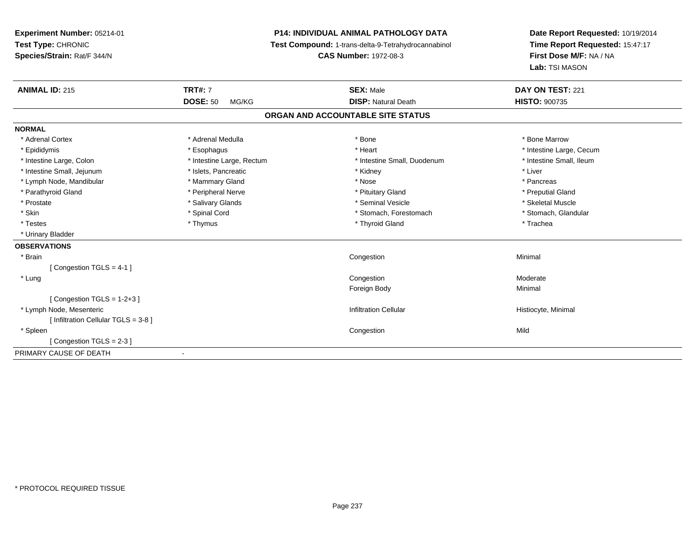# **P14: INDIVIDUAL ANIMAL PATHOLOGY DATA**

**Test Compound:** 1-trans-delta-9-Tetrahydrocannabinol

**CAS Number:** 1972-08-3

| <b>ANIMAL ID: 215</b>              | <b>TRT#: 7</b>            | <b>SEX: Male</b>                  | DAY ON TEST: 221         |
|------------------------------------|---------------------------|-----------------------------------|--------------------------|
|                                    | <b>DOSE: 50</b><br>MG/KG  | <b>DISP: Natural Death</b>        | <b>HISTO: 900735</b>     |
|                                    |                           | ORGAN AND ACCOUNTABLE SITE STATUS |                          |
| <b>NORMAL</b>                      |                           |                                   |                          |
| * Adrenal Cortex                   | * Adrenal Medulla         | * Bone                            | * Bone Marrow            |
| * Epididymis                       | * Esophagus               | * Heart                           | * Intestine Large, Cecum |
| * Intestine Large, Colon           | * Intestine Large, Rectum | * Intestine Small, Duodenum       | * Intestine Small, Ileum |
| * Intestine Small, Jejunum         | * Islets, Pancreatic      | * Kidney                          | * Liver                  |
| * Lymph Node, Mandibular           | * Mammary Gland           | * Nose                            | * Pancreas               |
| * Parathyroid Gland                | * Peripheral Nerve        | * Pituitary Gland                 | * Preputial Gland        |
| * Prostate                         | * Salivary Glands         | * Seminal Vesicle                 | * Skeletal Muscle        |
| * Skin                             | * Spinal Cord             | * Stomach, Forestomach            | * Stomach, Glandular     |
| * Testes                           | * Thymus                  | * Thyroid Gland                   | * Trachea                |
| * Urinary Bladder                  |                           |                                   |                          |
| <b>OBSERVATIONS</b>                |                           |                                   |                          |
| * Brain                            |                           | Congestion                        | Minimal                  |
| [Congestion TGLS = 4-1]            |                           |                                   |                          |
| * Lung                             |                           | Congestion                        | Moderate                 |
|                                    |                           | Foreign Body                      | Minimal                  |
| [Congestion TGLS = $1-2+3$ ]       |                           |                                   |                          |
| * Lymph Node, Mesenteric           |                           | <b>Infiltration Cellular</b>      | Histiocyte, Minimal      |
| [Infiltration Cellular TGLS = 3-8] |                           |                                   |                          |
| * Spleen                           |                           | Congestion                        | Mild                     |
| [Congestion TGLS = 2-3]            |                           |                                   |                          |
| PRIMARY CAUSE OF DEATH             | ٠                         |                                   |                          |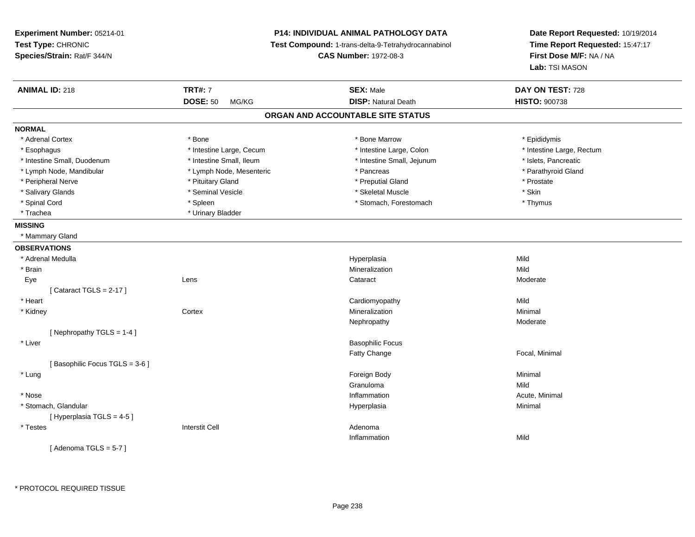**Experiment Number:** 05214-01**Test Type:** CHRONIC **Species/Strain:** Rat/F 344/N**P14: INDIVIDUAL ANIMAL PATHOLOGY DATA Test Compound:** 1-trans-delta-9-Tetrahydrocannabinol **CAS Number:** 1972-08-3**Date Report Requested:** 10/19/2014**Time Report Requested:** 15:47:17**First Dose M/F:** NA / NA**Lab:** TSI MASON**ANIMAL ID:** 218**TRT#:** 7 **SEX:** Male **DAY ON TEST:** 728 **DOSE:** 50 MG/KG**DISP:** Natural Death **HISTO:**  $900738$ **ORGAN AND ACCOUNTABLE SITE STATUSNORMAL**\* Adrenal Cortex \* Adrenal Cortex \* \* The matter of the state of the state of the Marrow \* Bone Marrow \* Epididymis \* Epididymis \* Epididymis \* Bone Marrow \* Adrenal Cortex \* Epididymis \* Epididymis \* Bone Marrow \* Epididymis \* Epididymis \* Esophagus \* Thestine Large, Cecum \* Intestine Large, Cecum \* Intestine Large, Colon \* Intestine Large, Rectum \* Intestine Small, Duodenum \* Intestine Small, Ileum \* Intestine Small, Intestine Small, Jejunum \* Islets, Pancreatic \* Parathyroid Gland \* Lymph Node, Mandibular \* Lymph Node, Mesenteric \* Pancreas \* Pancreas \* Pancreas \* Pancreas \* Pancreas \* Pancreas \* Pancreas \* Pancreas \* Pancreas \* Pancreas \* Pancreas \* Pancreas \* Pancreas \* Pancreas \* Pancreas \* Pancr \* Peripheral Nerve \* \* \* Prostate \* \* Pretuitary Gland \* \* \* \* \* \* \* Preputial Gland \* \* \* Prostate \* Prostate \* Salivary Glands \* Seminal Vesicle \* Skeletal Muscle \* Skin\* Thymus \* Spinal Cord \* Spinal Cord \* Spinal Cord \* Stomach, Forestomach \* Stomach, Forestomach \* Stomach, Forestomach \* Trachea \* Urinary Bladder**MISSING** \* Mammary Gland**OBSERVATIONS** \* Adrenal Medullaa and the control of the control of the control of the Hyperplasia and the control of the Mild of the control o \* Brainn and the control of the control of the control of the control of the control of the control of the control of the control of the control of the control of the control of the control of the control of the control of the co Eyee which contains the context of the context of the context of the context of the context of the context of the context of the context of the context of the context of the context of the context of the context of the contex  $[$  Cataract TGLS = 2-17  $]$  \* Heart Cardiomyopathyy Mild Minimal \* Kidneyy the context of the context of the context of the context of the context of the context of the context of the context of the context of the context of the context of the context of the context of the context of the contex n Minimal Nephropathy Moderate[ Nephropathy TGLS = 1-4 ] \* Liver Basophilic FocusFatty Change Focal, Minimal [ Basophilic Focus TGLS = 3-6 ] \* Lungg and the state of the state of the state of the state of the state of the state of the state of the state of the state of the state of the state of the state of the state of the state of the state of the state of the stat Granulomaa Mild \* Nosee the contraction of the contraction of the contraction of the contraction of the contraction of the contraction  $\mathsf{Acute}$ , Minimal \* Stomach, Glandularr and the contract of the contract of the contract of the contract of the contract of the contract of the contract of the contract of the contract of the contract of the contract of the contract of the contract of the cont a **Minimal** [ Hyperplasia TGLS = 4-5 ] \* Testess and the contractive contractive contractive contractive contractive contractive contractive contractive contractive contractive contractive contractive contractive contractive contractive contractive contractive contract Inflammationn Mild  $[$  Adenoma TGLS = 5-7  $]$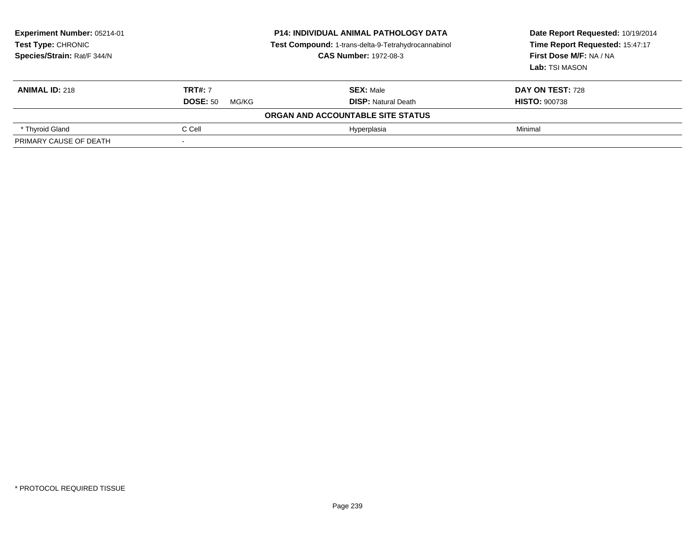| <b>Experiment Number: 05214-01</b><br><b>Test Type: CHRONIC</b><br>Species/Strain: Rat/F 344/N | <b>P14: INDIVIDUAL ANIMAL PATHOLOGY DATA</b><br>Test Compound: 1-trans-delta-9-Tetrahydrocannabinol<br><b>CAS Number: 1972-08-3</b> |                                   | Date Report Requested: 10/19/2014<br>Time Report Requested: 15:47:17<br>First Dose M/F: NA / NA<br>Lab: TSI MASON |  |
|------------------------------------------------------------------------------------------------|-------------------------------------------------------------------------------------------------------------------------------------|-----------------------------------|-------------------------------------------------------------------------------------------------------------------|--|
| <b>ANIMAL ID: 218</b>                                                                          | <b>TRT#: 7</b>                                                                                                                      | <b>SEX: Male</b>                  | DAY ON TEST: 728                                                                                                  |  |
|                                                                                                | <b>DOSE: 50</b><br>MG/KG                                                                                                            | <b>DISP:</b> Natural Death        | <b>HISTO: 900738</b>                                                                                              |  |
|                                                                                                |                                                                                                                                     | ORGAN AND ACCOUNTABLE SITE STATUS |                                                                                                                   |  |
| * Thyroid Gland                                                                                | C Cell                                                                                                                              | Hyperplasia                       | Minimal                                                                                                           |  |
| PRIMARY CAUSE OF DEATH                                                                         |                                                                                                                                     |                                   |                                                                                                                   |  |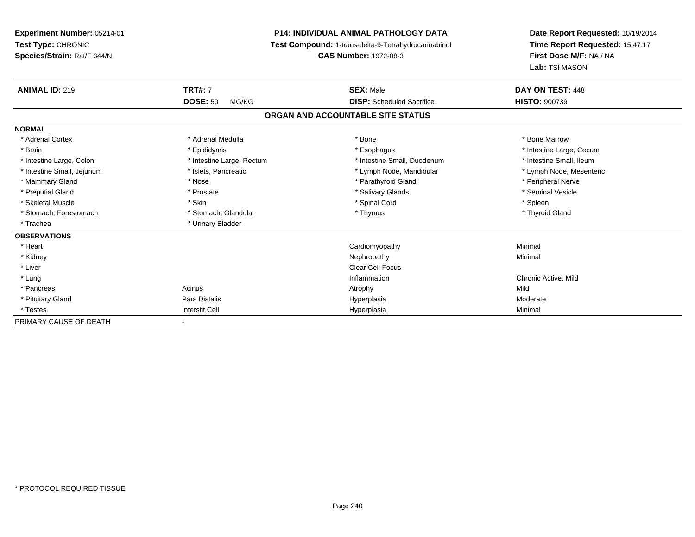**Experiment Number:** 05214-01**Test Type:** CHRONIC **Species/Strain:** Rat/F 344/N**P14: INDIVIDUAL ANIMAL PATHOLOGY DATA Test Compound:** 1-trans-delta-9-Tetrahydrocannabinol **CAS Number:** 1972-08-3**Date Report Requested:** 10/19/2014**Time Report Requested:** 15:47:17**First Dose M/F:** NA / NA**Lab:** TSI MASON**ANIMAL ID:** 219**TRT#:** 7 **SEX:** Male **DAY ON TEST:** 448 **DOSE:** 50 MG/KG **DISP:** Scheduled Sacrifice **HISTO:** <sup>900739</sup> **ORGAN AND ACCOUNTABLE SITE STATUSNORMAL**\* Adrenal Cortex \* Adrenal Medulla \* Adrenal Medulla \* Bone \* Bone \* Bone \* Bone \* Bone Marrow \* Brain \* Explorer \* Epididymis \* \* Epididymis \* \* Esophagus \* Esophagus \* \* Esophagus \* Intestine Large, Cecum \* \* Intestine Large, Cecum \* Intestine Small, Ileum \* Intestine Large, Colon \* Intestine Large, Rectum \* Intestine Small, Duodenum \* Intestine Small, Duodenum \* Lymph Node, Mesenteric \* Intestine Small, Jejunum \* Mandibular \* Islets, Pancreatic \* Mandibular \* Lymph Node, Mandibular \* Mammary Gland \* \* Annume \* Nose \* \* Nose \* \* Parathyroid Gland \* Peripheral Nerve \* Peripheral Nerve \* \* Peripheral Nerve \* \* Peripheral Nerve \* \* Peripheral Nerve \* \* Peripheral Nerve \* \* Peripheral Nerve \* \* \* \* \* \* \* \* Seminal Vesicle \* Preputial Gland \* \* Annual vesicle \* \* Prostate \* \* Salivary Glands \* \* Salivary Glands \* \* Seminal Vesicle \* \* Skeletal Muscle \* Skin \* Spinal Cord \* Spleen \* Thyroid Gland \* Stomach, Forestomach \* Thymus \* Stomach, Glandular \* Thymus \* Thymus \* Thymus \* Thymus \* Thymus \* Thymus \* Thymus \* Thymus \* Thymus \* Thymus \* Thymus \* Thymus \* Thymus \* Thymus \* Thymus \* Thymus \* Thymus \* Thymus \* Thymu \* Trachea \* Urinary Bladder**OBSERVATIONS** \* Heart Cardiomyopathy Minimal \* Kidneyy the control of the control of the control of the control of the control of the control of the control of the control of the control of the control of the control of the control of the control of the control of the contro \* Liver Clear Cell Focus \* Lungg is a controller to the controller of the controller of the controller of the controller of the chronic Active, Mild \* Pancreass and the contract of the Acinus and Acinus and Acinus and Acinus Atrophy and Acinus and Mild Moderate \* Pituitary Gland Pars Distalis Hyperplasia Moderate \* Testess and the contract of the contract of the contract of the contract of the contract of the contract of the contract of the contract of the contract of the contract of the contract of the contract of the contract of the cont a Minimal PRIMARY CAUSE OF DEATH-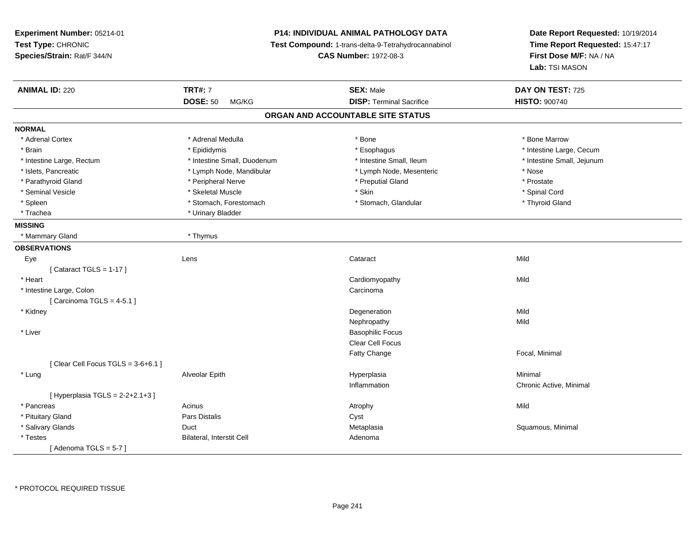**Experiment Number:** 05214-01**Test Type:** CHRONIC **Species/Strain:** Rat/F 344/N**P14: INDIVIDUAL ANIMAL PATHOLOGY DATA Test Compound:** 1-trans-delta-9-Tetrahydrocannabinol **CAS Number:** 1972-08-3**Date Report Requested:** 10/19/2014**Time Report Requested:** 15:47:17**First Dose M/F:** NA / NA**Lab:** TSI MASON**ANIMAL ID:** 220**TRT#:** 7 **SEX:** Male **DAY ON TEST:** 725 **DOSE:** 50 MG/KG **DISP:** Terminal Sacrifice **HISTO:** <sup>900740</sup> **ORGAN AND ACCOUNTABLE SITE STATUSNORMAL**\* Adrenal Cortex \* Adrenal Medulla \* Adrenal Medulla \* Bone \* Bone \* Bone \* Bone \* Bone Marrow \* Brain \* Explorer \* Epididymis \* \* Epididymis \* \* Esophagus \* Esophagus \* \* Esophagus \* Intestine Large, Cecum \* \* Intestine Large, Cecum \* Intestine Large, Rectum \* Thestine Small, Duodenum \* \* Intestine Small, Ileum \* \* Intestine Small, Jejunum \* Intestine Small, Jejunum \* Islets, Pancreatic \* The same \* Lymph Node, Mandibular \* Lymph Node, Mesenteric \* Nose \* Nose \* Prostate \* Parathyroid Gland \* **Arror and \* Peripheral Nerve** \* **Arror and \* Preputial Gland** \* Preputial Gland \* Spinal Cord \* Seminal Vesicle \* \* Spinal Cord \* Skeletal Muscle \* \* Skin \* \* Skin \* \* Spinal Vesicle \* Spinal Cord \* Spinal Cord \* Thyroid Gland \* Spleen \* Stomach, Forestomach \* Stomach \* Stomach \* Stomach, Glandular \* Glandular \* Trachea \* Urinary Bladder**MISSING** \* Mammary Gland \* Thymus**OBSERVATIONS** Eyee and the contract of the contract of the contract of the contract of the contract of the contract of the contract of the contract of the contract of the contract of the contract of the contract of the contract of the cont  $[$  Cataract TGLS = 1-17  $]$  \* Heart Cardiomyopathyy Mild \* Intestine Large, Colonn and the contract of the contract of the contract of the contract of the contract of the contract of the contract of the contract of the contract of the contract of the contract of the contract of the contract of the cont  $[$  Carcinoma TGLS = 4-5.1  $]$  \* Kidneyy the control of the control of the control of the control of the control of the control of the control of the control of the control of the control of the control of the control of the control of the control of the contro n Mild Nephropathyy Mild \* Liver Basophilic Focus Clear Cell FocusFatty Change Focal, Minimal  $[$  Clear Cell Focus TGLS = 3-6+6.1  $]$  \* Lung Alveolar Epith Hyperplasia Minimal Inflammation Chronic Active, Minimal  $[$  Hyperplasia TGLS = 2-2+2.1+3  $]$  \* Pancreass the contract of the contract of the contract of the contract of the contract of the contract of the contract of the contract of the contract of the contract of the contract of the contract of the contract of the contract \* Pituitary Glandd **Example 2018** Pars Distalis **Contains 2018** Cyst \* Salivary Glandss Duct Metaplasia Metaplasia entre a control de la control de Squamous, Minimal Adenoma \* TestesBilateral, Interstit Cell  $[$  Adenoma TGLS = 5-7  $]$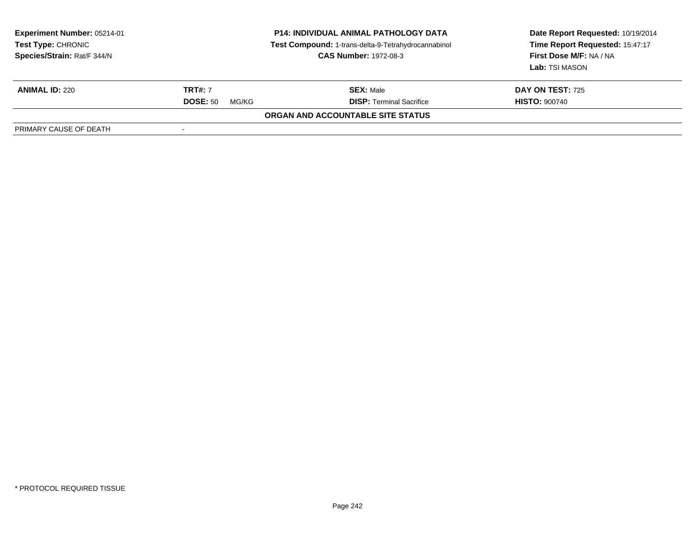| Experiment Number: 05214-01<br>Test Type: CHRONIC<br>Species/Strain: Rat/F 344/N | <b>P14: INDIVIDUAL ANIMAL PATHOLOGY DATA</b><br>Test Compound: 1-trans-delta-9-Tetrahydrocannabinol<br><b>CAS Number: 1972-08-3</b> |                                          | Date Report Requested: 10/19/2014<br>Time Report Requested: 15:47:17<br>First Dose M/F: NA / NA<br>Lab: TSI MASON |
|----------------------------------------------------------------------------------|-------------------------------------------------------------------------------------------------------------------------------------|------------------------------------------|-------------------------------------------------------------------------------------------------------------------|
| <b>ANIMAL ID: 220</b>                                                            | <b>TRT#: 7</b>                                                                                                                      | <b>SEX: Male</b>                         | <b>DAY ON TEST: 725</b>                                                                                           |
|                                                                                  | <b>DOSE: 50</b><br>MG/KG                                                                                                            | <b>DISP: Terminal Sacrifice</b>          | <b>HISTO: 900740</b>                                                                                              |
|                                                                                  |                                                                                                                                     | <b>ORGAN AND ACCOUNTABLE SITE STATUS</b> |                                                                                                                   |
| PRIMARY CAUSE OF DEATH                                                           |                                                                                                                                     |                                          |                                                                                                                   |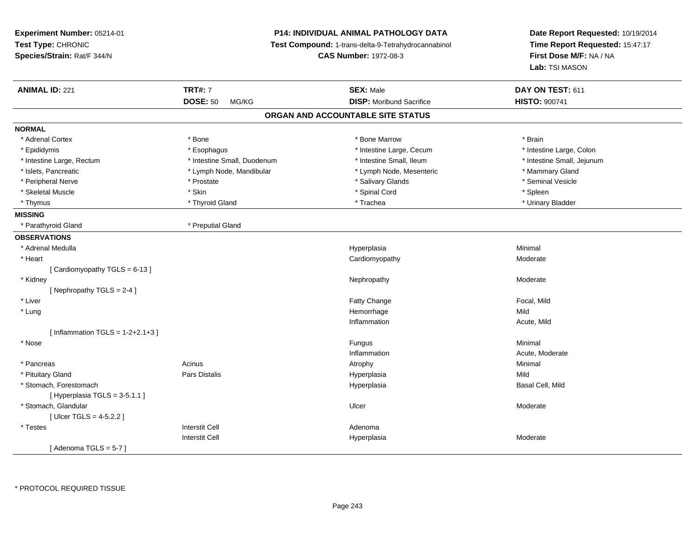**Experiment Number:** 05214-01**Test Type:** CHRONIC **Species/Strain:** Rat/F 344/N**P14: INDIVIDUAL ANIMAL PATHOLOGY DATA Test Compound:** 1-trans-delta-9-Tetrahydrocannabinol **CAS Number:** 1972-08-3**Date Report Requested:** 10/19/2014**Time Report Requested:** 15:47:17**First Dose M/F:** NA / NA**Lab:** TSI MASON**ANIMAL ID:** 221 **TRT#:** <sup>7</sup> **SEX:** Male **DAY ON TEST:** <sup>611</sup> **DOSE:** 50 MG/KG**DISP:** Moribund Sacrifice **HISTO:**  $900741$ **ORGAN AND ACCOUNTABLE SITE STATUSNORMAL**\* Adrenal Cortex \* Adrenal Cortex \* \* Adrenal Cortex \* Brain \* Bone \* \* Bone Marrow \* Bone Marrow \* \* Brain \* Brain \* Brain \* Brain \* Brain \* Brain \* Brain \* Brain \* Brain \* Brain \* Brain \* Brain \* Brain \* Brain \* Brain \* Brain \* Brain \* B \* Intestine Large, Colon \* Epididymis \* Esophagus \* Esophagus \* Esophagus \* 11testine Large, Cecum \* Intestine Large, Rectum \* Thestine Small, Duodenum \* Number of the small, Ileum \* Intestine Small, Jejunum \* Intestine Small, Jejunum \* Islets, Pancreatic \* The mannery Gland \* Lymph Node, Mandibular \* Lymph Node, Mesenteric \* Mammary Gland \* Seminal Vesicle \* Peripheral Nerve \* \* Annual Vesicle \* \* Prostate \* \* Salivary Glands \* \* Salivary Glands \* \* Seminal Vesicle \* Skeletal Muscle \* Skin \* Spinal Cord \* Spleen \* Urinary Bladder \* Thymus \* Thyroid Gland \* Trachea \* Urinary Bladder \* **MISSING** \* Parathyroid Gland \* Preputial Gland**OBSERVATIONS** \* Adrenal Medullaa and the control of the control of the control of the Hyperplasia and the control of the control of the control of the control of the control of the control of the control of the control of the control of the control of t \* Heart Cardiomyopathy Moderate $[$  Cardiomyopathy TGLS = 6-13  $]$  \* Kidneyy the controller that the controller temperature of  $\lambda$  . Nephropathy the controller temperature  $\lambda$  Moderate  $[$  Nephropathy TGLS = 2-4  $]$  \* Liver Fatty ChangeFatty Change **Focal, Mild**<br> **Hemorrhage Focal, Mild**  \* Lungg and the state of the state of the state of the state of the Hemorrhage state of the Mild state of the Mild state of the State of the State of the State of the State of the State of the State of the State of the State of Inflammation Acute, Mild  $[$  Inflammation TGLS = 1-2+2.1+3  $]$  \* Nosee and the state of the state of the state of the state of the state of the state of the state of the state of the state of the state of the state of the state of the state of the state of the state of the state of the stat InflammationAcute, Moderate<br>Minimal \* Pancreass the control of the control of the control of the control of the control of the control of the control of the control of the control of the control of the control of the control of the control of the control of the contro \* Pituitary Gland Pars Distalis Hyperplasia Mild \* Stomach, Forestomachh ann an t-ìre ann an t-ìre ann an t-ìre ann an t-ìre ann an t-ìre ann an t-ìre ann an t-ìre ann an t-ìre ann an t-ìre ann an t-ìre ann an t-ìre ann an t-ìre ann an t-ìre ann an t-ìre ann an t-ìre ann an t-ìre ann an t-ìre  $[$  Hyperplasia TGLS = 3-5.1.1 ] \* Stomach, Glandularr and the contract of the contract of the contract of the Ulcer Contract of the Moderate Moderate [ Ulcer TGLS = 4-5.2.2 ] \* Testess and the contractive contractive contractive contractive contractive contractive contractive contractive contractive contractive contractive contractive contractive contractive contractive contractive contractive contract I and the contract of the Hyperplasia Interstit Cell Moderate  $[$  Adenoma TGLS = 5-7  $]$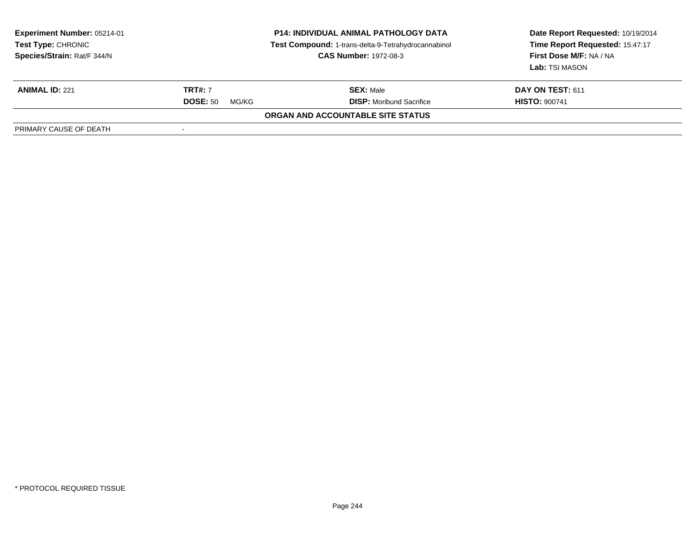| <b>Experiment Number: 05214-01</b><br>Test Type: CHRONIC<br>Species/Strain: Rat/F 344/N | <b>P14: INDIVIDUAL ANIMAL PATHOLOGY DATA</b><br>Test Compound: 1-trans-delta-9-Tetrahydrocannabinol<br><b>CAS Number: 1972-08-3</b> |                                          | Date Report Requested: 10/19/2014<br>Time Report Requested: 15:47:17<br>First Dose M/F: NA / NA<br>Lab: TSI MASON |  |
|-----------------------------------------------------------------------------------------|-------------------------------------------------------------------------------------------------------------------------------------|------------------------------------------|-------------------------------------------------------------------------------------------------------------------|--|
| <b>ANIMAL ID: 221</b>                                                                   | <b>TRT#: 7</b>                                                                                                                      | <b>SEX: Male</b>                         | <b>DAY ON TEST: 611</b>                                                                                           |  |
|                                                                                         | <b>DOSE: 50</b><br>MG/KG                                                                                                            | <b>DISP:</b> Moribund Sacrifice          | <b>HISTO: 900741</b>                                                                                              |  |
|                                                                                         |                                                                                                                                     | <b>ORGAN AND ACCOUNTABLE SITE STATUS</b> |                                                                                                                   |  |
| PRIMARY CAUSE OF DEATH                                                                  |                                                                                                                                     |                                          |                                                                                                                   |  |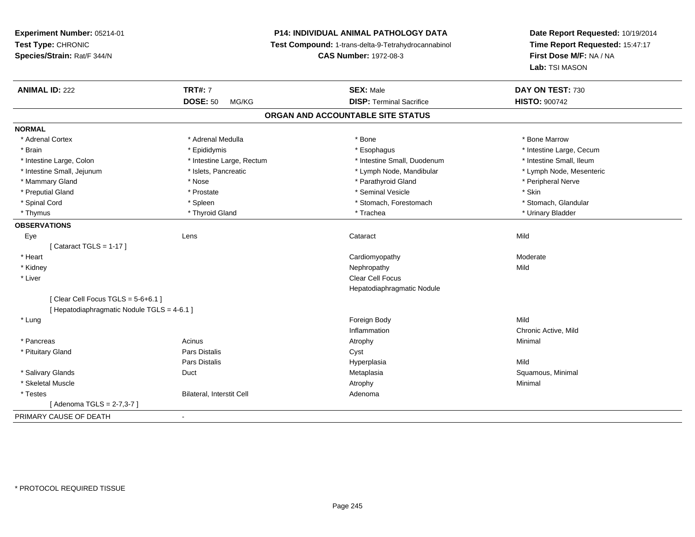# **P14: INDIVIDUAL ANIMAL PATHOLOGY DATA**

**Test Compound:** 1-trans-delta-9-Tetrahydrocannabinol

**CAS Number:** 1972-08-3

| <b>ANIMAL ID: 222</b>                       | <b>TRT#: 7</b>                   | <b>SEX: Male</b>                  | DAY ON TEST: 730         |  |
|---------------------------------------------|----------------------------------|-----------------------------------|--------------------------|--|
|                                             | <b>DOSE: 50</b><br>MG/KG         | <b>DISP: Terminal Sacrifice</b>   | <b>HISTO: 900742</b>     |  |
|                                             |                                  | ORGAN AND ACCOUNTABLE SITE STATUS |                          |  |
| <b>NORMAL</b>                               |                                  |                                   |                          |  |
| * Adrenal Cortex                            | * Adrenal Medulla                | * Bone                            | * Bone Marrow            |  |
| * Brain                                     | * Epididymis                     | * Esophagus                       | * Intestine Large, Cecum |  |
| * Intestine Large, Colon                    | * Intestine Large, Rectum        | * Intestine Small, Duodenum       | * Intestine Small, Ileum |  |
| * Intestine Small, Jejunum                  | * Islets, Pancreatic             | * Lymph Node, Mandibular          | * Lymph Node, Mesenteric |  |
| * Mammary Gland                             | * Nose                           | * Parathyroid Gland               | * Peripheral Nerve       |  |
| * Preputial Gland                           | * Prostate                       | * Seminal Vesicle                 | * Skin                   |  |
| * Spinal Cord                               | * Spleen                         | * Stomach, Forestomach            | * Stomach, Glandular     |  |
| * Thymus                                    | * Thyroid Gland                  | * Trachea                         | * Urinary Bladder        |  |
| <b>OBSERVATIONS</b>                         |                                  |                                   |                          |  |
| Eye                                         | Lens                             | Cataract                          | Mild                     |  |
| [Cataract TGLS = $1-17$ ]                   |                                  |                                   |                          |  |
| * Heart                                     |                                  | Cardiomyopathy                    | Moderate                 |  |
| * Kidney                                    |                                  | Nephropathy                       | Mild                     |  |
| * Liver                                     |                                  | Clear Cell Focus                  |                          |  |
|                                             |                                  | Hepatodiaphragmatic Nodule        |                          |  |
| [ Clear Cell Focus TGLS = $5-6+6.1$ ]       |                                  |                                   |                          |  |
| [ Hepatodiaphragmatic Nodule TGLS = 4-6.1 ] |                                  |                                   |                          |  |
| * Lung                                      |                                  | Foreign Body                      | Mild                     |  |
|                                             |                                  | Inflammation                      | Chronic Active, Mild     |  |
| * Pancreas                                  | Acinus                           | Atrophy                           | Minimal                  |  |
| * Pituitary Gland                           | Pars Distalis                    | Cyst                              |                          |  |
|                                             | <b>Pars Distalis</b>             | Hyperplasia                       | Mild                     |  |
| * Salivary Glands                           | Duct                             | Metaplasia                        | Squamous, Minimal        |  |
| * Skeletal Muscle                           |                                  | Atrophy                           | Minimal                  |  |
| * Testes                                    | <b>Bilateral, Interstit Cell</b> | Adenoma                           |                          |  |
| [Adenoma TGLS = 2-7,3-7]                    |                                  |                                   |                          |  |
| PRIMARY CAUSE OF DEATH                      | $\blacksquare$                   |                                   |                          |  |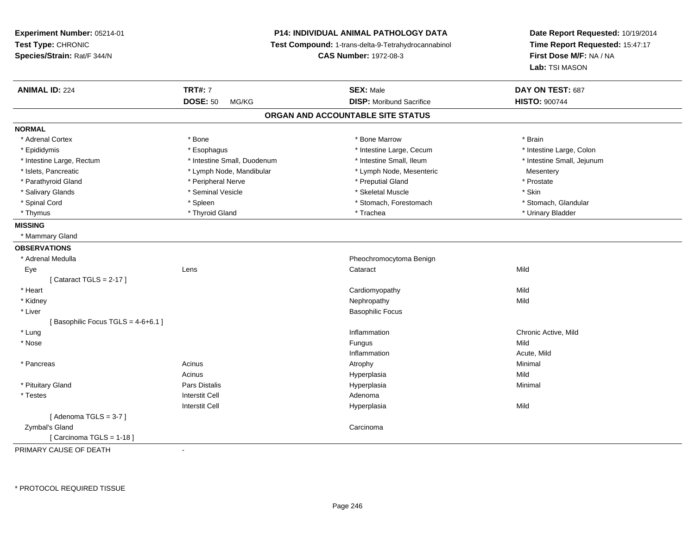# **P14: INDIVIDUAL ANIMAL PATHOLOGY DATA**

**Test Compound:** 1-trans-delta-9-Tetrahydrocannabinol

**CAS Number:** 1972-08-3

**Date Report Requested:** 10/19/2014**Time Report Requested:** 15:47:17**First Dose M/F:** NA / NA**Lab:** TSI MASON

| <b>ANIMAL ID: 224</b>             | <b>TRT#: 7</b>              | <b>SEX: Male</b>                  | DAY ON TEST: 687           |
|-----------------------------------|-----------------------------|-----------------------------------|----------------------------|
|                                   | <b>DOSE: 50</b><br>MG/KG    | <b>DISP:</b> Moribund Sacrifice   | <b>HISTO: 900744</b>       |
|                                   |                             | ORGAN AND ACCOUNTABLE SITE STATUS |                            |
| <b>NORMAL</b>                     |                             |                                   |                            |
| * Adrenal Cortex                  | * Bone                      | * Bone Marrow                     | * Brain                    |
| * Epididymis                      | * Esophagus                 | * Intestine Large, Cecum          | * Intestine Large, Colon   |
| * Intestine Large, Rectum         | * Intestine Small, Duodenum | * Intestine Small, Ileum          | * Intestine Small, Jejunum |
| * Islets, Pancreatic              | * Lymph Node, Mandibular    | * Lymph Node, Mesenteric          | Mesentery                  |
| * Parathyroid Gland               | * Peripheral Nerve          | * Preputial Gland                 | * Prostate                 |
| * Salivary Glands                 | * Seminal Vesicle           | * Skeletal Muscle                 | * Skin                     |
| * Spinal Cord                     | * Spleen                    | * Stomach, Forestomach            | * Stomach, Glandular       |
| * Thymus                          | * Thyroid Gland             | * Trachea                         | * Urinary Bladder          |
| <b>MISSING</b>                    |                             |                                   |                            |
| * Mammary Gland                   |                             |                                   |                            |
| <b>OBSERVATIONS</b>               |                             |                                   |                            |
| * Adrenal Medulla                 |                             | Pheochromocytoma Benign           |                            |
| Eye                               | Lens                        | Cataract                          | Mild                       |
| [Cataract TGLS = $2-17$ ]         |                             |                                   |                            |
| * Heart                           |                             | Cardiomyopathy                    | Mild                       |
| * Kidney                          |                             | Nephropathy                       | Mild                       |
| * Liver                           |                             | <b>Basophilic Focus</b>           |                            |
| [Basophilic Focus TGLS = 4-6+6.1] |                             |                                   |                            |
| * Lung                            |                             | Inflammation                      | Chronic Active, Mild       |
| * Nose                            |                             | Fungus                            | Mild                       |
|                                   |                             | Inflammation                      | Acute, Mild                |
| * Pancreas                        | Acinus                      | Atrophy                           | Minimal                    |
|                                   | Acinus                      | Hyperplasia                       | Mild                       |
| * Pituitary Gland                 | Pars Distalis               | Hyperplasia                       | Minimal                    |
| * Testes                          | <b>Interstit Cell</b>       | Adenoma                           |                            |
|                                   | <b>Interstit Cell</b>       | Hyperplasia                       | Mild                       |
| [Adenoma TGLS = $3-7$ ]           |                             |                                   |                            |
| Zymbal's Gland                    |                             | Carcinoma                         |                            |
| [Carcinoma TGLS = 1-18]           |                             |                                   |                            |
| DOIMADY CAUSE OF BEATH            |                             |                                   |                            |

PRIMARY CAUSE OF DEATH-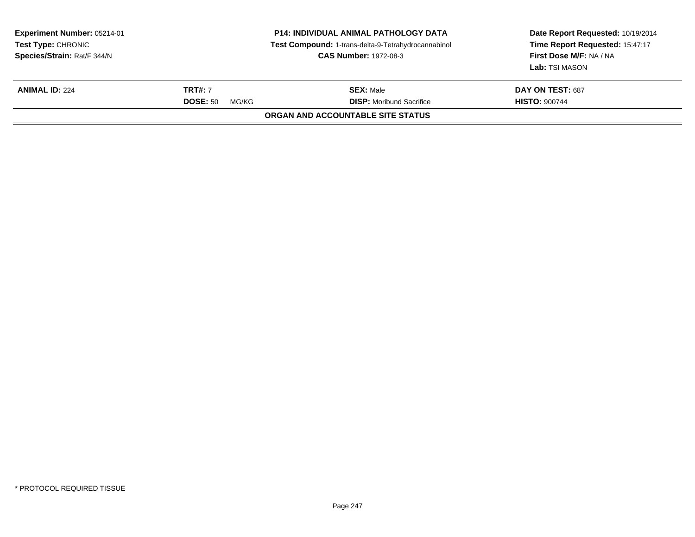| Experiment Number: 05214-01<br><b>Test Type: CHRONIC</b><br>Species/Strain: Rat/F 344/N | <b>P14: INDIVIDUAL ANIMAL PATHOLOGY DATA</b><br>Test Compound: 1-trans-delta-9-Tetrahydrocannabinol<br><b>CAS Number: 1972-08-3</b> |                                   | Date Report Requested: 10/19/2014<br>Time Report Requested: 15:47:17<br>First Dose M/F: NA / NA<br>Lab: TSI MASON |
|-----------------------------------------------------------------------------------------|-------------------------------------------------------------------------------------------------------------------------------------|-----------------------------------|-------------------------------------------------------------------------------------------------------------------|
| <b>ANIMAL ID: 224</b>                                                                   | <b>TRT#:</b> 7<br><b>SEX: Male</b><br><b>DOSE: 50</b><br><b>DISP:</b> Moribund Sacrifice<br>MG/KG                                   |                                   | DAY ON TEST: 687<br><b>HISTO: 900744</b>                                                                          |
|                                                                                         |                                                                                                                                     | ORGAN AND ACCOUNTABLE SITE STATUS |                                                                                                                   |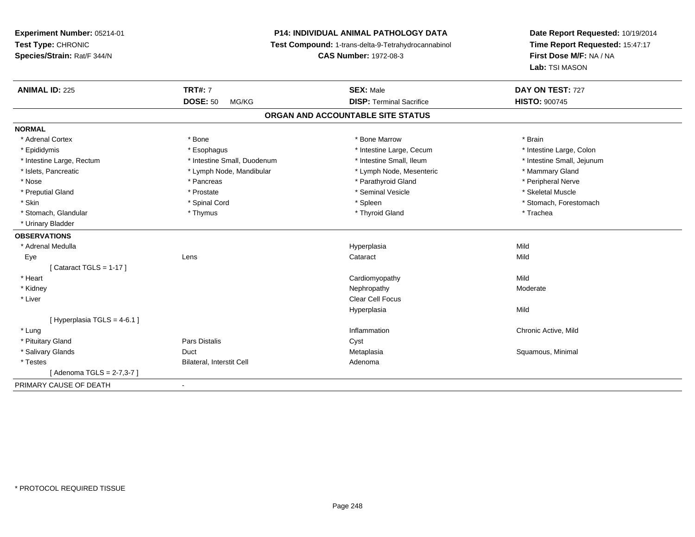# **P14: INDIVIDUAL ANIMAL PATHOLOGY DATA**

**Test Compound:** 1-trans-delta-9-Tetrahydrocannabinol

**CAS Number:** 1972-08-3

| <b>ANIMAL ID: 225</b>      | <b>TRT#: 7</b>              | <b>SEX: Male</b>                  | DAY ON TEST: 727           |
|----------------------------|-----------------------------|-----------------------------------|----------------------------|
|                            | <b>DOSE: 50</b><br>MG/KG    | <b>DISP: Terminal Sacrifice</b>   | <b>HISTO: 900745</b>       |
|                            |                             | ORGAN AND ACCOUNTABLE SITE STATUS |                            |
| <b>NORMAL</b>              |                             |                                   |                            |
| * Adrenal Cortex           | * Bone                      | * Bone Marrow                     | * Brain                    |
| * Epididymis               | * Esophagus                 | * Intestine Large, Cecum          | * Intestine Large, Colon   |
| * Intestine Large, Rectum  | * Intestine Small, Duodenum | * Intestine Small. Ileum          | * Intestine Small, Jejunum |
| * Islets, Pancreatic       | * Lymph Node, Mandibular    | * Lymph Node, Mesenteric          | * Mammary Gland            |
| * Nose                     | * Pancreas                  | * Parathyroid Gland               | * Peripheral Nerve         |
| * Preputial Gland          | * Prostate                  | * Seminal Vesicle                 | * Skeletal Muscle          |
| * Skin                     | * Spinal Cord               | * Spleen                          | * Stomach, Forestomach     |
| * Stomach, Glandular       | * Thymus                    | * Thyroid Gland                   | * Trachea                  |
| * Urinary Bladder          |                             |                                   |                            |
| <b>OBSERVATIONS</b>        |                             |                                   |                            |
| * Adrenal Medulla          |                             | Hyperplasia                       | Mild                       |
| Eye                        | Lens                        | Cataract                          | Mild                       |
| [Cataract TGLS = 1-17]     |                             |                                   |                            |
| * Heart                    |                             | Cardiomyopathy                    | Mild                       |
| * Kidney                   |                             | Nephropathy                       | Moderate                   |
| * Liver                    |                             | <b>Clear Cell Focus</b>           |                            |
|                            |                             | Hyperplasia                       | Mild                       |
| [Hyperplasia TGLS = 4-6.1] |                             |                                   |                            |
| * Lung                     |                             | Inflammation                      | Chronic Active, Mild       |
| * Pituitary Gland          | Pars Distalis               | Cyst                              |                            |
| * Salivary Glands          | Duct                        | Metaplasia                        | Squamous, Minimal          |
| * Testes                   | Bilateral, Interstit Cell   | Adenoma                           |                            |
| [Adenoma TGLS = 2-7,3-7]   |                             |                                   |                            |
| PRIMARY CAUSE OF DEATH     | $\blacksquare$              |                                   |                            |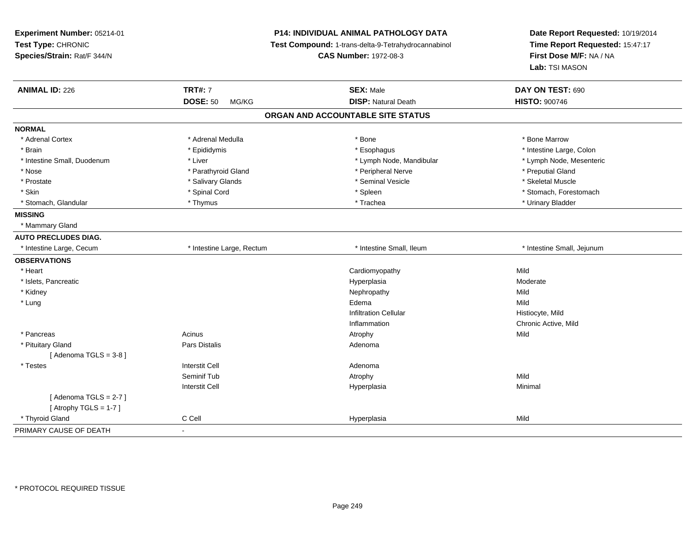| Experiment Number: 05214-01 |                           | <b>P14: INDIVIDUAL ANIMAL PATHOLOGY DATA</b>        | Date Report Requested: 10/19/2014<br>Time Report Requested: 15:47:17<br>First Dose M/F: NA / NA |  |
|-----------------------------|---------------------------|-----------------------------------------------------|-------------------------------------------------------------------------------------------------|--|
| Test Type: CHRONIC          |                           | Test Compound: 1-trans-delta-9-Tetrahydrocannabinol |                                                                                                 |  |
| Species/Strain: Rat/F 344/N |                           | <b>CAS Number: 1972-08-3</b>                        |                                                                                                 |  |
|                             |                           |                                                     | Lab: TSI MASON                                                                                  |  |
| <b>ANIMAL ID: 226</b>       | <b>TRT#: 7</b>            | <b>SEX: Male</b>                                    | DAY ON TEST: 690                                                                                |  |
|                             | <b>DOSE: 50</b><br>MG/KG  | <b>DISP: Natural Death</b>                          | <b>HISTO: 900746</b>                                                                            |  |
|                             |                           | ORGAN AND ACCOUNTABLE SITE STATUS                   |                                                                                                 |  |
| <b>NORMAL</b>               |                           |                                                     |                                                                                                 |  |
| * Adrenal Cortex            | * Adrenal Medulla         | * Bone                                              | * Bone Marrow                                                                                   |  |
| * Brain                     | * Epididymis              | * Esophagus                                         | * Intestine Large, Colon                                                                        |  |
| * Intestine Small, Duodenum | * Liver                   | * Lymph Node, Mandibular                            | * Lymph Node, Mesenteric                                                                        |  |
| * Nose                      | * Parathyroid Gland       | * Peripheral Nerve                                  | * Preputial Gland                                                                               |  |
| * Prostate                  | * Salivary Glands         | * Seminal Vesicle                                   | * Skeletal Muscle                                                                               |  |
| * Skin                      | * Spinal Cord             | * Spleen                                            | * Stomach, Forestomach                                                                          |  |
| * Stomach, Glandular        | * Thymus                  | * Trachea                                           | * Urinary Bladder                                                                               |  |
| <b>MISSING</b>              |                           |                                                     |                                                                                                 |  |
| * Mammary Gland             |                           |                                                     |                                                                                                 |  |
| <b>AUTO PRECLUDES DIAG.</b> |                           |                                                     |                                                                                                 |  |
| * Intestine Large, Cecum    | * Intestine Large, Rectum | * Intestine Small, Ileum                            | * Intestine Small, Jejunum                                                                      |  |
| <b>OBSERVATIONS</b>         |                           |                                                     |                                                                                                 |  |
| * Heart                     |                           | Cardiomyopathy                                      | Mild                                                                                            |  |
| * Islets, Pancreatic        |                           | Hyperplasia                                         | Moderate                                                                                        |  |
| * Kidney                    |                           | Nephropathy                                         | Mild                                                                                            |  |
| * Lung                      |                           | Edema                                               | Mild                                                                                            |  |
|                             |                           | <b>Infiltration Cellular</b>                        | Histiocyte, Mild                                                                                |  |
|                             |                           | Inflammation                                        | Chronic Active, Mild                                                                            |  |
| * Pancreas                  | Acinus                    | Atrophy                                             | Mild                                                                                            |  |
| * Pituitary Gland           | Pars Distalis             | Adenoma                                             |                                                                                                 |  |
| [Adenoma TGLS = $3-8$ ]     |                           |                                                     |                                                                                                 |  |
| * Testes                    | <b>Interstit Cell</b>     | Adenoma                                             |                                                                                                 |  |
|                             | Seminif Tub               | Atrophy                                             | Mild                                                                                            |  |
|                             | <b>Interstit Cell</b>     | Hyperplasia                                         | Minimal                                                                                         |  |
| [Adenoma TGLS = $2-7$ ]     |                           |                                                     |                                                                                                 |  |
| [Atrophy TGLS = $1-7$ ]     |                           |                                                     |                                                                                                 |  |
| * Thyroid Gland             | C Cell                    | Hyperplasia                                         | Mild                                                                                            |  |
| PRIMARY CAUSE OF DEATH      |                           |                                                     |                                                                                                 |  |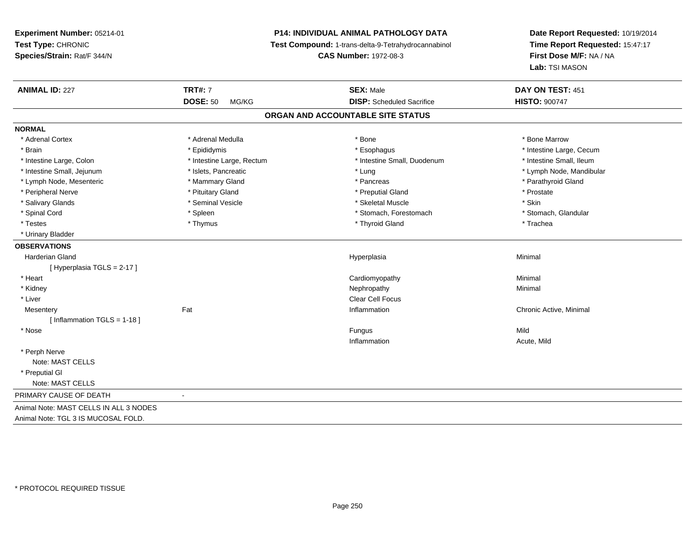# **P14: INDIVIDUAL ANIMAL PATHOLOGY DATA**

**Test Compound:** 1-trans-delta-9-Tetrahydrocannabinol

**CAS Number:** 1972-08-3

| <b>ANIMAL ID: 227</b>                  | <b>TRT#: 7</b>            | <b>SEX: Male</b>                  | DAY ON TEST: 451         |
|----------------------------------------|---------------------------|-----------------------------------|--------------------------|
|                                        | <b>DOSE: 50</b><br>MG/KG  | <b>DISP:</b> Scheduled Sacrifice  | <b>HISTO: 900747</b>     |
|                                        |                           | ORGAN AND ACCOUNTABLE SITE STATUS |                          |
| <b>NORMAL</b>                          |                           |                                   |                          |
| * Adrenal Cortex                       | * Adrenal Medulla         | * Bone                            | * Bone Marrow            |
| * Brain                                | * Epididymis              | * Esophagus                       | * Intestine Large, Cecum |
| * Intestine Large, Colon               | * Intestine Large, Rectum | * Intestine Small, Duodenum       | * Intestine Small, Ileum |
| * Intestine Small, Jejunum             | * Islets, Pancreatic      | * Lung                            | * Lymph Node, Mandibular |
| * Lymph Node, Mesenteric               | * Mammary Gland           | * Pancreas                        | * Parathyroid Gland      |
| * Peripheral Nerve                     | * Pituitary Gland         | * Preputial Gland                 | * Prostate               |
| * Salivary Glands                      | * Seminal Vesicle         | * Skeletal Muscle                 | * Skin                   |
| * Spinal Cord                          | * Spleen                  | * Stomach, Forestomach            | * Stomach, Glandular     |
| * Testes                               | * Thymus                  | * Thyroid Gland                   | * Trachea                |
| * Urinary Bladder                      |                           |                                   |                          |
| <b>OBSERVATIONS</b>                    |                           |                                   |                          |
| <b>Harderian Gland</b>                 |                           | Hyperplasia                       | Minimal                  |
| [Hyperplasia TGLS = 2-17]              |                           |                                   |                          |
| * Heart                                |                           | Cardiomyopathy                    | Minimal                  |
| * Kidney                               |                           | Nephropathy                       | Minimal                  |
| * Liver                                |                           | Clear Cell Focus                  |                          |
| Mesentery                              | Fat                       | Inflammation                      | Chronic Active, Minimal  |
| [Inflammation TGLS = $1-18$ ]          |                           |                                   |                          |
| * Nose                                 |                           | Fungus                            | Mild                     |
|                                        |                           | Inflammation                      | Acute, Mild              |
| * Perph Nerve                          |                           |                                   |                          |
| Note: MAST CELLS                       |                           |                                   |                          |
| * Preputial GI                         |                           |                                   |                          |
| Note: MAST CELLS                       |                           |                                   |                          |
| PRIMARY CAUSE OF DEATH                 |                           |                                   |                          |
| Animal Note: MAST CELLS IN ALL 3 NODES |                           |                                   |                          |
| Animal Note: TGL 3 IS MUCOSAL FOLD.    |                           |                                   |                          |
|                                        |                           |                                   |                          |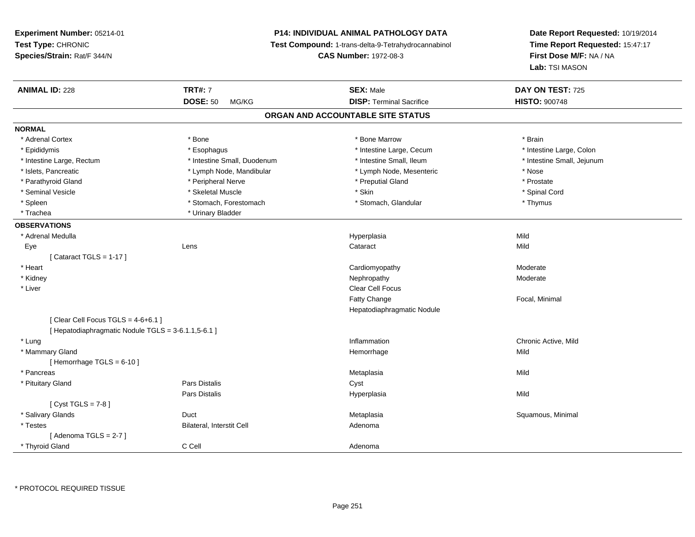# **P14: INDIVIDUAL ANIMAL PATHOLOGY DATA**

**Test Compound:** 1-trans-delta-9-Tetrahydrocannabinol

**CAS Number:** 1972-08-3

**Date Report Requested:** 10/19/2014 **Time Report Requested:** 15:47:17**First Dose M/F:** NA / NA**Lab:** TSI MASON

| <b>ANIMAL ID: 228</b>                               | <b>TRT#: 7</b>              | <b>SEX: Male</b>                  | DAY ON TEST: 725           |
|-----------------------------------------------------|-----------------------------|-----------------------------------|----------------------------|
|                                                     | <b>DOSE: 50</b><br>MG/KG    | <b>DISP: Terminal Sacrifice</b>   | <b>HISTO: 900748</b>       |
|                                                     |                             | ORGAN AND ACCOUNTABLE SITE STATUS |                            |
| <b>NORMAL</b>                                       |                             |                                   |                            |
| * Adrenal Cortex                                    | * Bone                      | * Bone Marrow                     | * Brain                    |
| * Epididymis                                        | * Esophagus                 | * Intestine Large, Cecum          | * Intestine Large, Colon   |
| * Intestine Large, Rectum                           | * Intestine Small, Duodenum | * Intestine Small, Ileum          | * Intestine Small, Jejunum |
| * Islets, Pancreatic                                | * Lymph Node, Mandibular    | * Lymph Node, Mesenteric          | * Nose                     |
| * Parathyroid Gland                                 | * Peripheral Nerve          | * Preputial Gland                 | * Prostate                 |
| * Seminal Vesicle                                   | * Skeletal Muscle           | * Skin                            | * Spinal Cord              |
| * Spleen                                            | * Stomach, Forestomach      | * Stomach, Glandular              | * Thymus                   |
| * Trachea                                           | * Urinary Bladder           |                                   |                            |
| <b>OBSERVATIONS</b>                                 |                             |                                   |                            |
| * Adrenal Medulla                                   |                             | Hyperplasia                       | Mild                       |
| Eye                                                 | Lens                        | Cataract                          | Mild                       |
| [Cataract TGLS = $1-17$ ]                           |                             |                                   |                            |
| * Heart                                             |                             | Cardiomyopathy                    | Moderate                   |
| * Kidney                                            |                             | Nephropathy                       | Moderate                   |
| * Liver                                             |                             | Clear Cell Focus                  |                            |
|                                                     |                             | Fatty Change                      | Focal, Minimal             |
|                                                     |                             | Hepatodiaphragmatic Nodule        |                            |
| [Clear Cell Focus TGLS = $4-6+6.1$ ]                |                             |                                   |                            |
| [ Hepatodiaphragmatic Nodule TGLS = 3-6.1.1,5-6.1 ] |                             |                                   |                            |
| * Lung                                              |                             | Inflammation                      | Chronic Active, Mild       |
| * Mammary Gland                                     |                             | Hemorrhage                        | Mild                       |
| [Hemorrhage TGLS = $6-10$ ]                         |                             |                                   |                            |
| * Pancreas                                          |                             | Metaplasia                        | Mild                       |
| * Pituitary Gland                                   | <b>Pars Distalis</b>        | Cyst                              |                            |
|                                                     | Pars Distalis               | Hyperplasia                       | Mild                       |
| [ $Cyst TGLS = 7-8$ ]                               |                             |                                   |                            |
| * Salivary Glands                                   | Duct                        | Metaplasia                        | Squamous, Minimal          |
| * Testes                                            | Bilateral, Interstit Cell   | Adenoma                           |                            |
| [Adenoma TGLS = $2-7$ ]                             |                             |                                   |                            |
| * Thyroid Gland                                     | C Cell                      | Adenoma                           |                            |

\* PROTOCOL REQUIRED TISSUE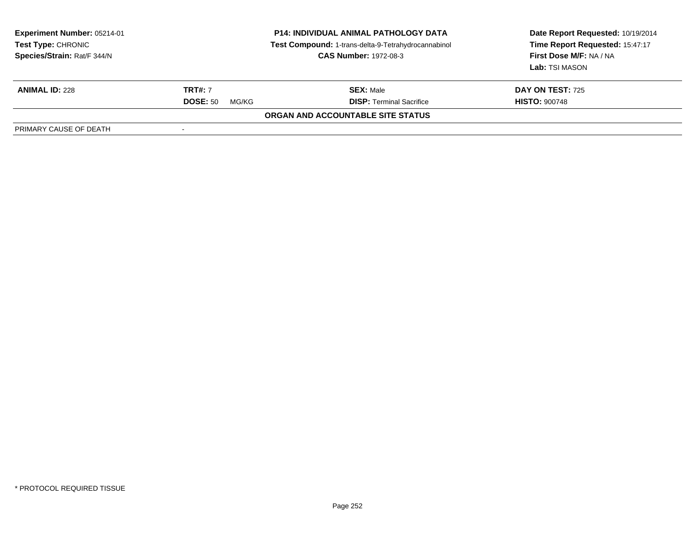| <b>Experiment Number: 05214-01</b><br>Test Type: CHRONIC<br>Species/Strain: Rat/F 344/N | <b>P14: INDIVIDUAL ANIMAL PATHOLOGY DATA</b><br>Test Compound: 1-trans-delta-9-Tetrahydrocannabinol<br><b>CAS Number: 1972-08-3</b> |                                          | Date Report Requested: 10/19/2014<br>Time Report Requested: 15:47:17<br>First Dose M/F: NA / NA<br>Lab: TSI MASON |
|-----------------------------------------------------------------------------------------|-------------------------------------------------------------------------------------------------------------------------------------|------------------------------------------|-------------------------------------------------------------------------------------------------------------------|
| <b>ANIMAL ID: 228</b>                                                                   | <b>TRT#: 7</b>                                                                                                                      | <b>SEX: Male</b>                         | <b>DAY ON TEST: 725</b>                                                                                           |
|                                                                                         | <b>DOSE: 50</b><br>MG/KG                                                                                                            | <b>DISP: Terminal Sacrifice</b>          | <b>HISTO: 900748</b>                                                                                              |
|                                                                                         |                                                                                                                                     | <b>ORGAN AND ACCOUNTABLE SITE STATUS</b> |                                                                                                                   |
| PRIMARY CAUSE OF DEATH                                                                  |                                                                                                                                     |                                          |                                                                                                                   |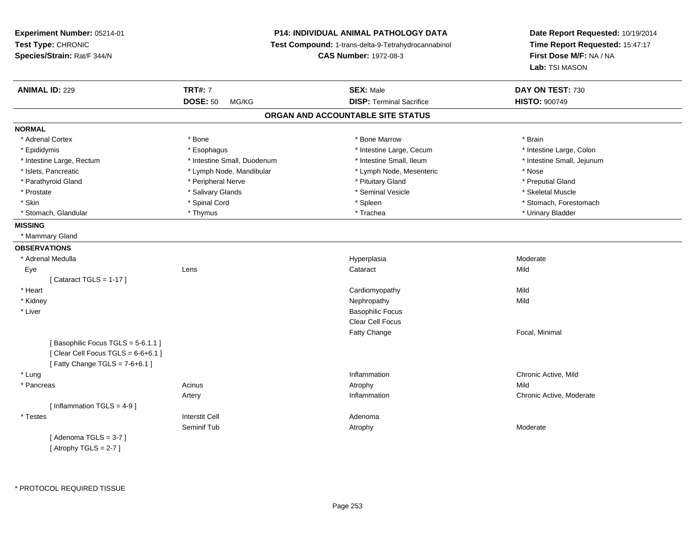# **P14: INDIVIDUAL ANIMAL PATHOLOGY DATA**

**Test Compound:** 1-trans-delta-9-Tetrahydrocannabinol

**CAS Number:** 1972-08-3

| <b>ANIMAL ID: 229</b>                | <b>TRT#: 7</b>              | <b>SEX: Male</b>                  | DAY ON TEST: 730           |
|--------------------------------------|-----------------------------|-----------------------------------|----------------------------|
|                                      | <b>DOSE: 50</b><br>MG/KG    | <b>DISP: Terminal Sacrifice</b>   | <b>HISTO: 900749</b>       |
|                                      |                             | ORGAN AND ACCOUNTABLE SITE STATUS |                            |
| <b>NORMAL</b>                        |                             |                                   |                            |
| * Adrenal Cortex                     | * Bone                      | * Bone Marrow                     | * Brain                    |
| * Epididymis                         | * Esophagus                 | * Intestine Large, Cecum          | * Intestine Large, Colon   |
| * Intestine Large, Rectum            | * Intestine Small, Duodenum | * Intestine Small, Ileum          | * Intestine Small, Jejunum |
| * Islets, Pancreatic                 | * Lymph Node, Mandibular    | * Lymph Node, Mesenteric          | * Nose                     |
| * Parathyroid Gland                  | * Peripheral Nerve          | * Pituitary Gland                 | * Preputial Gland          |
| * Prostate                           | * Salivary Glands           | * Seminal Vesicle                 | * Skeletal Muscle          |
| * Skin                               | * Spinal Cord               | * Spleen                          | * Stomach, Forestomach     |
| * Stomach, Glandular                 | * Thymus                    | * Trachea                         | * Urinary Bladder          |
| <b>MISSING</b>                       |                             |                                   |                            |
| * Mammary Gland                      |                             |                                   |                            |
| <b>OBSERVATIONS</b>                  |                             |                                   |                            |
| * Adrenal Medulla                    |                             | Hyperplasia                       | Moderate                   |
| Eye                                  | Lens                        | Cataract                          | Mild                       |
| [Cataract TGLS = $1-17$ ]            |                             |                                   |                            |
| * Heart                              |                             | Cardiomyopathy                    | Mild                       |
| * Kidney                             |                             | Nephropathy                       | Mild                       |
| * Liver                              |                             | <b>Basophilic Focus</b>           |                            |
|                                      |                             | <b>Clear Cell Focus</b>           |                            |
|                                      |                             | Fatty Change                      | Focal, Minimal             |
| [Basophilic Focus TGLS = 5-6.1.1]    |                             |                                   |                            |
| [Clear Cell Focus TGLS = $6-6+6.1$ ] |                             |                                   |                            |
| [Fatty Change TGLS = $7-6+6.1$ ]     |                             |                                   |                            |
| * Lung                               |                             | Inflammation                      | Chronic Active, Mild       |
| * Pancreas                           | Acinus                      | Atrophy                           | Mild                       |
|                                      | Artery                      | Inflammation                      | Chronic Active, Moderate   |
| [Inflammation TGLS = $4-9$ ]         |                             |                                   |                            |
| * Testes                             | <b>Interstit Cell</b>       | Adenoma                           |                            |
|                                      | Seminif Tub                 | Atrophy                           | Moderate                   |
| [Adenoma TGLS = 3-7]                 |                             |                                   |                            |
| [Atrophy TGLS = $2-7$ ]              |                             |                                   |                            |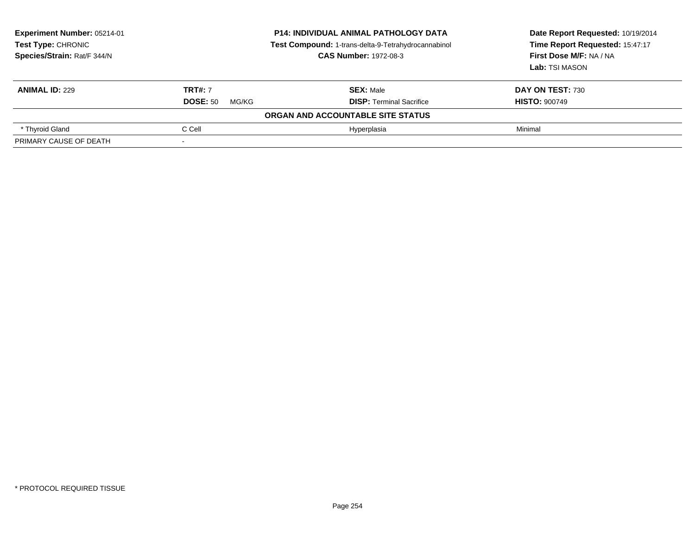| <b>Experiment Number: 05214-01</b><br><b>Test Type: CHRONIC</b><br>Species/Strain: Rat/F 344/N | <b>P14: INDIVIDUAL ANIMAL PATHOLOGY DATA</b><br>Test Compound: 1-trans-delta-9-Tetrahydrocannabinol<br><b>CAS Number: 1972-08-3</b> |                                   | Date Report Requested: 10/19/2014<br>Time Report Requested: 15:47:17<br>First Dose M/F: NA / NA<br>Lab: TSI MASON |  |
|------------------------------------------------------------------------------------------------|-------------------------------------------------------------------------------------------------------------------------------------|-----------------------------------|-------------------------------------------------------------------------------------------------------------------|--|
| <b>ANIMAL ID: 229</b>                                                                          | <b>TRT#: 7</b>                                                                                                                      | <b>SEX: Male</b>                  | <b>DAY ON TEST: 730</b>                                                                                           |  |
|                                                                                                | <b>DOSE: 50</b><br>MG/KG                                                                                                            | <b>DISP:</b> Terminal Sacrifice   | <b>HISTO: 900749</b>                                                                                              |  |
|                                                                                                |                                                                                                                                     | ORGAN AND ACCOUNTABLE SITE STATUS |                                                                                                                   |  |
| * Thyroid Gland                                                                                | C Cell                                                                                                                              | Hyperplasia                       | Minimal                                                                                                           |  |
| PRIMARY CAUSE OF DEATH                                                                         |                                                                                                                                     |                                   |                                                                                                                   |  |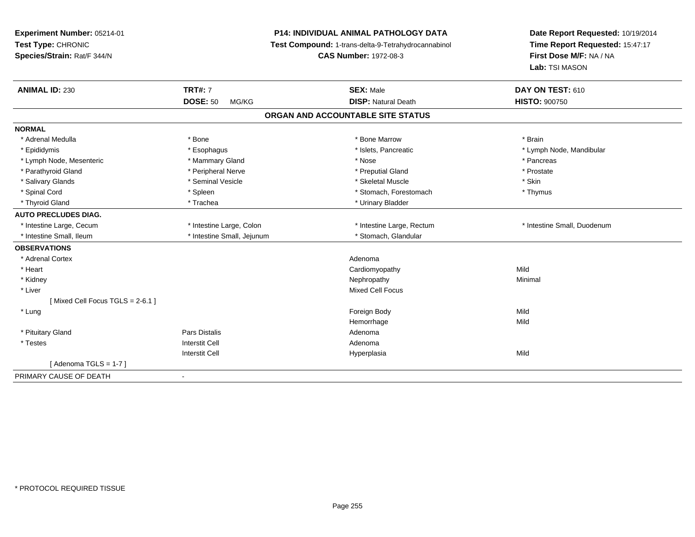| Experiment Number: 05214-01<br>Test Type: CHRONIC<br>Species/Strain: Rat/F 344/N |                            | <b>P14: INDIVIDUAL ANIMAL PATHOLOGY DATA</b><br>Test Compound: 1-trans-delta-9-Tetrahydrocannabinol<br><b>CAS Number: 1972-08-3</b> | Date Report Requested: 10/19/2014<br>Time Report Requested: 15:47:17<br>First Dose M/F: NA / NA<br>Lab: TSI MASON |
|----------------------------------------------------------------------------------|----------------------------|-------------------------------------------------------------------------------------------------------------------------------------|-------------------------------------------------------------------------------------------------------------------|
| <b>ANIMAL ID: 230</b>                                                            | <b>TRT#: 7</b>             | <b>SEX: Male</b>                                                                                                                    | DAY ON TEST: 610                                                                                                  |
|                                                                                  | <b>DOSE: 50</b><br>MG/KG   | <b>DISP: Natural Death</b>                                                                                                          | <b>HISTO: 900750</b>                                                                                              |
|                                                                                  |                            | ORGAN AND ACCOUNTABLE SITE STATUS                                                                                                   |                                                                                                                   |
| <b>NORMAL</b>                                                                    |                            |                                                                                                                                     |                                                                                                                   |
| * Adrenal Medulla                                                                | * Bone                     | * Bone Marrow                                                                                                                       | * Brain                                                                                                           |
| * Epididymis                                                                     | * Esophagus                | * Islets, Pancreatic                                                                                                                | * Lymph Node, Mandibular                                                                                          |
| * Lymph Node, Mesenteric                                                         | * Mammary Gland            | * Nose                                                                                                                              | * Pancreas                                                                                                        |
| * Parathyroid Gland                                                              | * Peripheral Nerve         | * Preputial Gland                                                                                                                   | * Prostate                                                                                                        |
| * Salivary Glands                                                                | * Seminal Vesicle          | * Skeletal Muscle                                                                                                                   | * Skin                                                                                                            |
| * Spinal Cord                                                                    | * Spleen                   | * Stomach, Forestomach                                                                                                              | * Thymus                                                                                                          |
| * Thyroid Gland                                                                  | * Trachea                  | * Urinary Bladder                                                                                                                   |                                                                                                                   |
| <b>AUTO PRECLUDES DIAG.</b>                                                      |                            |                                                                                                                                     |                                                                                                                   |
| * Intestine Large, Cecum                                                         | * Intestine Large, Colon   | * Intestine Large, Rectum                                                                                                           | * Intestine Small, Duodenum                                                                                       |
| * Intestine Small, Ileum                                                         | * Intestine Small, Jejunum | * Stomach, Glandular                                                                                                                |                                                                                                                   |
| <b>OBSERVATIONS</b>                                                              |                            |                                                                                                                                     |                                                                                                                   |
| * Adrenal Cortex                                                                 |                            | Adenoma                                                                                                                             |                                                                                                                   |
| * Heart                                                                          |                            | Cardiomyopathy                                                                                                                      | Mild                                                                                                              |
| * Kidney                                                                         |                            | Nephropathy                                                                                                                         | Minimal                                                                                                           |
| * Liver                                                                          |                            | <b>Mixed Cell Focus</b>                                                                                                             |                                                                                                                   |
| [Mixed Cell Focus TGLS = 2-6.1]                                                  |                            |                                                                                                                                     |                                                                                                                   |
| * Lung                                                                           |                            | Foreign Body                                                                                                                        | Mild                                                                                                              |
|                                                                                  |                            | Hemorrhage                                                                                                                          | Mild                                                                                                              |
| * Pituitary Gland                                                                | Pars Distalis              | Adenoma                                                                                                                             |                                                                                                                   |
| * Testes                                                                         | <b>Interstit Cell</b>      | Adenoma                                                                                                                             |                                                                                                                   |
|                                                                                  | <b>Interstit Cell</b>      | Hyperplasia                                                                                                                         | Mild                                                                                                              |
| [Adenoma TGLS = $1-7$ ]                                                          |                            |                                                                                                                                     |                                                                                                                   |
| PRIMARY CAUSE OF DEATH                                                           | $\blacksquare$             |                                                                                                                                     |                                                                                                                   |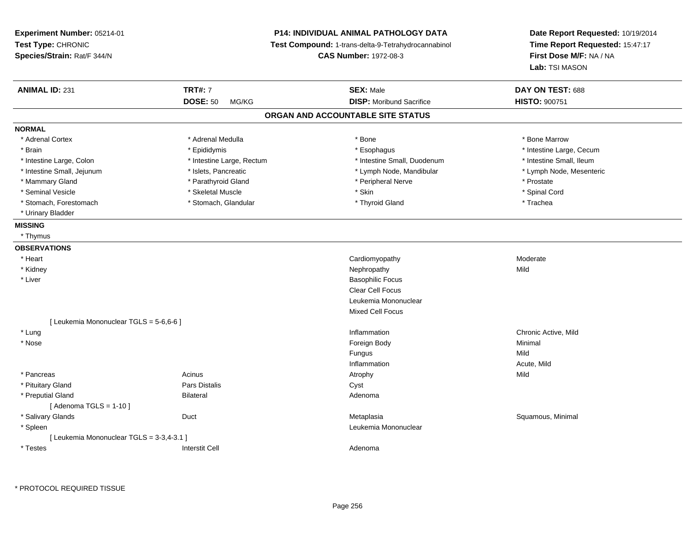| Experiment Number: 05214-01<br>Test Type: CHRONIC                 | <b>P14: INDIVIDUAL ANIMAL PATHOLOGY DATA</b><br>Test Compound: 1-trans-delta-9-Tetrahydrocannabinol | Date Report Requested: 10/19/2014<br>Time Report Requested: 15:47:17 |
|-------------------------------------------------------------------|-----------------------------------------------------------------------------------------------------|----------------------------------------------------------------------|
| Species/Strain: Rat/F 344/N                                       | <b>CAS Number: 1972-08-3</b>                                                                        | First Dose M/F: NA / NA<br>Lab: TSI MASON                            |
| <b>TRT#: 7</b><br><b>ANIMAL ID: 231</b>                           | <b>SEX: Male</b>                                                                                    | DAY ON TEST: 688                                                     |
| <b>DOSE: 50</b><br>MG/KG                                          | <b>DISP:</b> Moribund Sacrifice                                                                     | <b>HISTO: 900751</b>                                                 |
|                                                                   | ORGAN AND ACCOUNTABLE SITE STATUS                                                                   |                                                                      |
| <b>NORMAL</b>                                                     |                                                                                                     |                                                                      |
| * Adrenal Cortex<br>* Adrenal Medulla                             | * Bone                                                                                              | * Bone Marrow                                                        |
| * Brain<br>* Epididymis                                           | * Esophagus                                                                                         | * Intestine Large, Cecum                                             |
| * Intestine Large, Colon<br>* Intestine Large, Rectum             | * Intestine Small, Duodenum                                                                         | * Intestine Small, Ileum                                             |
| * Intestine Small, Jejunum<br>* Islets, Pancreatic                | * Lymph Node, Mandibular                                                                            | * Lymph Node, Mesenteric                                             |
| * Parathyroid Gland<br>* Mammary Gland                            | * Peripheral Nerve                                                                                  | * Prostate                                                           |
| * Seminal Vesicle<br>* Skeletal Muscle                            | * Skin                                                                                              | * Spinal Cord                                                        |
| * Stomach, Forestomach<br>* Stomach, Glandular                    | * Thyroid Gland                                                                                     | * Trachea                                                            |
| * Urinary Bladder                                                 |                                                                                                     |                                                                      |
| <b>MISSING</b>                                                    |                                                                                                     |                                                                      |
| * Thymus                                                          |                                                                                                     |                                                                      |
| <b>OBSERVATIONS</b>                                               |                                                                                                     |                                                                      |
| * Heart                                                           | Cardiomyopathy                                                                                      | Moderate                                                             |
| * Kidney                                                          | Nephropathy                                                                                         | Mild                                                                 |
| * Liver                                                           | <b>Basophilic Focus</b>                                                                             |                                                                      |
|                                                                   | Clear Cell Focus                                                                                    |                                                                      |
|                                                                   | Leukemia Mononuclear                                                                                |                                                                      |
|                                                                   | <b>Mixed Cell Focus</b>                                                                             |                                                                      |
| [ Leukemia Mononuclear TGLS = 5-6,6-6 ]                           |                                                                                                     |                                                                      |
| * Lung                                                            | Inflammation                                                                                        | Chronic Active, Mild                                                 |
| * Nose                                                            | Foreign Body                                                                                        | Minimal                                                              |
|                                                                   | <b>Fungus</b>                                                                                       | Mild                                                                 |
|                                                                   | Inflammation                                                                                        | Acute, Mild                                                          |
| * Pancreas<br>Acinus                                              | Atrophy                                                                                             | Mild                                                                 |
| * Pituitary Gland<br>Pars Distalis                                | Cyst                                                                                                |                                                                      |
| * Preputial Gland<br><b>Bilateral</b><br>[Adenoma TGLS = $1-10$ ] | Adenoma                                                                                             |                                                                      |
| * Salivary Glands<br>Duct                                         | Metaplasia                                                                                          | Squamous, Minimal                                                    |
| * Spleen                                                          | Leukemia Mononuclear                                                                                |                                                                      |
| [ Leukemia Mononuclear TGLS = 3-3,4-3.1 ]                         |                                                                                                     |                                                                      |
| <b>Interstit Cell</b><br>* Testes                                 | Adenoma                                                                                             |                                                                      |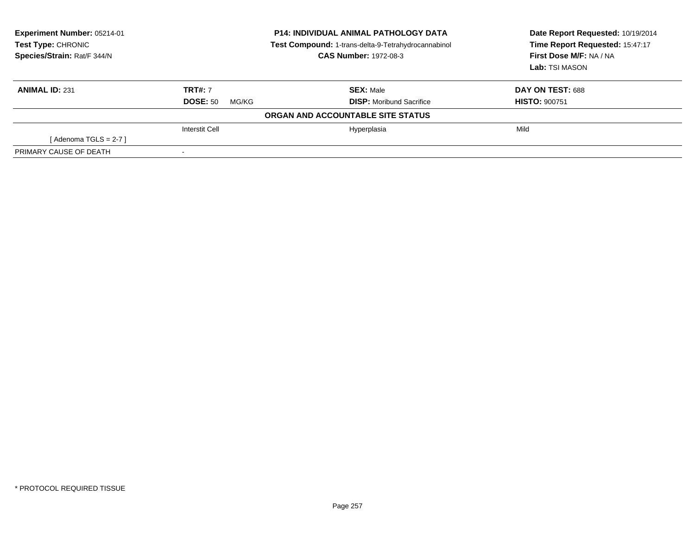| Experiment Number: 05214-01<br>Test Type: CHRONIC<br>Species/Strain: Rat/F 344/N | <b>P14: INDIVIDUAL ANIMAL PATHOLOGY DATA</b><br>Test Compound: 1-trans-delta-9-Tetrahydrocannabinol<br><b>CAS Number: 1972-08-3</b> |                                   | Date Report Requested: 10/19/2014<br>Time Report Requested: 15:47:17<br>First Dose M/F: NA / NA<br>Lab: TSI MASON |
|----------------------------------------------------------------------------------|-------------------------------------------------------------------------------------------------------------------------------------|-----------------------------------|-------------------------------------------------------------------------------------------------------------------|
| <b>ANIMAL ID: 231</b>                                                            | <b>TRT#: 7</b>                                                                                                                      | <b>SEX: Male</b>                  | DAY ON TEST: 688                                                                                                  |
|                                                                                  | <b>DOSE: 50</b><br>MG/KG                                                                                                            | <b>DISP:</b> Moribund Sacrifice   | <b>HISTO: 900751</b>                                                                                              |
|                                                                                  |                                                                                                                                     | ORGAN AND ACCOUNTABLE SITE STATUS |                                                                                                                   |
|                                                                                  | <b>Interstit Cell</b>                                                                                                               | Hyperplasia                       | Mild                                                                                                              |
| [Adenoma TGLS = $2-7$ ]                                                          |                                                                                                                                     |                                   |                                                                                                                   |
| PRIMARY CAUSE OF DEATH                                                           | $\,$ $\,$                                                                                                                           |                                   |                                                                                                                   |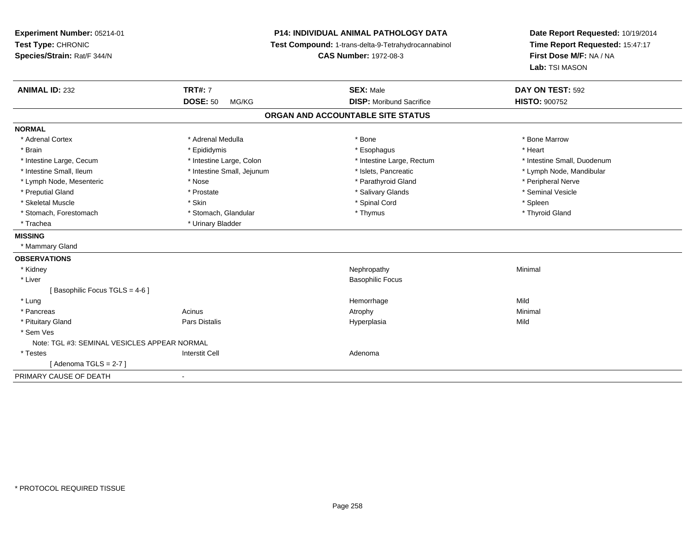| Experiment Number: 05214-01<br>Test Type: CHRONIC<br>Species/Strain: Rat/F 344/N | <b>P14: INDIVIDUAL ANIMAL PATHOLOGY DATA</b><br>Test Compound: 1-trans-delta-9-Tetrahydrocannabinol<br><b>CAS Number: 1972-08-3</b> |                                   | Date Report Requested: 10/19/2014<br>Time Report Requested: 15:47:17<br>First Dose M/F: NA / NA<br>Lab: TSI MASON |  |
|----------------------------------------------------------------------------------|-------------------------------------------------------------------------------------------------------------------------------------|-----------------------------------|-------------------------------------------------------------------------------------------------------------------|--|
| <b>ANIMAL ID: 232</b>                                                            | <b>TRT#: 7</b>                                                                                                                      | <b>SEX: Male</b>                  | DAY ON TEST: 592                                                                                                  |  |
|                                                                                  | <b>DOSE: 50</b><br>MG/KG                                                                                                            | <b>DISP:</b> Moribund Sacrifice   | <b>HISTO: 900752</b>                                                                                              |  |
|                                                                                  |                                                                                                                                     | ORGAN AND ACCOUNTABLE SITE STATUS |                                                                                                                   |  |
| <b>NORMAL</b>                                                                    |                                                                                                                                     |                                   |                                                                                                                   |  |
| * Adrenal Cortex                                                                 | * Adrenal Medulla                                                                                                                   | * Bone                            | * Bone Marrow                                                                                                     |  |
| * Brain                                                                          | * Epididymis                                                                                                                        | * Esophagus                       | * Heart                                                                                                           |  |
| * Intestine Large, Cecum                                                         | * Intestine Large, Colon                                                                                                            | * Intestine Large, Rectum         | * Intestine Small, Duodenum                                                                                       |  |
| * Intestine Small, Ileum                                                         | * Intestine Small, Jejunum                                                                                                          | * Islets, Pancreatic              | * Lymph Node, Mandibular                                                                                          |  |
| * Lymph Node, Mesenteric                                                         | * Nose                                                                                                                              | * Parathyroid Gland               | * Peripheral Nerve                                                                                                |  |
| * Preputial Gland                                                                | * Prostate                                                                                                                          | * Salivary Glands                 | * Seminal Vesicle                                                                                                 |  |
| * Skeletal Muscle                                                                | * Skin                                                                                                                              | * Spinal Cord                     | * Spleen                                                                                                          |  |
| * Stomach, Forestomach                                                           | * Stomach, Glandular                                                                                                                | * Thymus                          | * Thyroid Gland                                                                                                   |  |
| * Trachea                                                                        | * Urinary Bladder                                                                                                                   |                                   |                                                                                                                   |  |
| <b>MISSING</b>                                                                   |                                                                                                                                     |                                   |                                                                                                                   |  |
| * Mammary Gland                                                                  |                                                                                                                                     |                                   |                                                                                                                   |  |
| <b>OBSERVATIONS</b>                                                              |                                                                                                                                     |                                   |                                                                                                                   |  |
| * Kidney                                                                         |                                                                                                                                     | Nephropathy                       | Minimal                                                                                                           |  |
| * Liver                                                                          |                                                                                                                                     | <b>Basophilic Focus</b>           |                                                                                                                   |  |
| [Basophilic Focus TGLS = 4-6]                                                    |                                                                                                                                     |                                   |                                                                                                                   |  |
| * Lung                                                                           |                                                                                                                                     | Hemorrhage                        | Mild                                                                                                              |  |
| * Pancreas                                                                       | Acinus                                                                                                                              | Atrophy                           | Minimal                                                                                                           |  |
| * Pituitary Gland                                                                | Pars Distalis                                                                                                                       | Hyperplasia                       | Mild                                                                                                              |  |
| * Sem Ves                                                                        |                                                                                                                                     |                                   |                                                                                                                   |  |
| Note: TGL #3: SEMINAL VESICLES APPEAR NORMAL                                     |                                                                                                                                     |                                   |                                                                                                                   |  |
| * Testes                                                                         | <b>Interstit Cell</b>                                                                                                               | Adenoma                           |                                                                                                                   |  |
| [Adenoma TGLS = $2-7$ ]                                                          |                                                                                                                                     |                                   |                                                                                                                   |  |
| PRIMARY CAUSE OF DEATH                                                           |                                                                                                                                     |                                   |                                                                                                                   |  |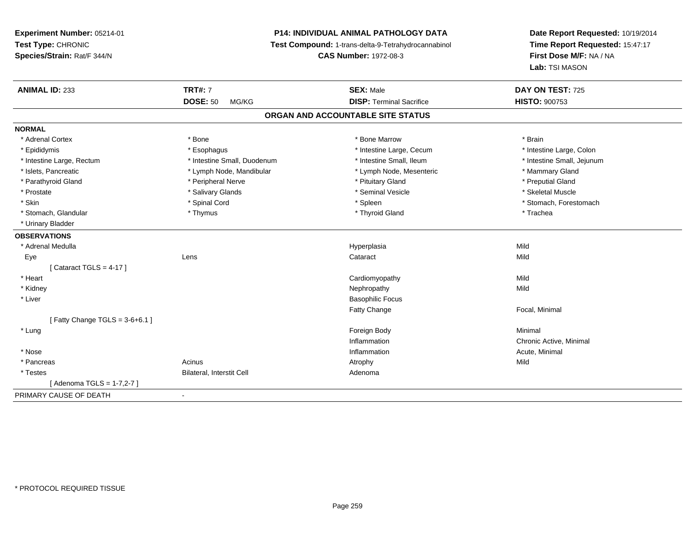# **P14: INDIVIDUAL ANIMAL PATHOLOGY DATA**

**Test Compound:** 1-trans-delta-9-Tetrahydrocannabinol

**CAS Number:** 1972-08-3

| <b>ANIMAL ID: 233</b>             | <b>TRT#: 7</b><br><b>DOSE: 50</b><br>MG/KG | <b>SEX: Male</b><br><b>DISP: Terminal Sacrifice</b> | DAY ON TEST: 725<br><b>HISTO: 900753</b> |
|-----------------------------------|--------------------------------------------|-----------------------------------------------------|------------------------------------------|
|                                   |                                            | ORGAN AND ACCOUNTABLE SITE STATUS                   |                                          |
|                                   |                                            |                                                     |                                          |
| <b>NORMAL</b>                     |                                            |                                                     |                                          |
| * Adrenal Cortex                  | * Bone                                     | * Bone Marrow                                       | * Brain                                  |
| * Epididymis                      | * Esophagus                                | * Intestine Large, Cecum                            | * Intestine Large, Colon                 |
| * Intestine Large, Rectum         | * Intestine Small, Duodenum                | * Intestine Small. Ileum                            | * Intestine Small, Jejunum               |
| * Islets, Pancreatic              | * Lymph Node, Mandibular                   | * Lymph Node, Mesenteric                            | * Mammary Gland                          |
| * Parathyroid Gland               | * Peripheral Nerve                         | * Pituitary Gland                                   | * Preputial Gland                        |
| * Prostate                        | * Salivary Glands                          | * Seminal Vesicle                                   | * Skeletal Muscle                        |
| * Skin                            | * Spinal Cord                              | * Spleen                                            | * Stomach, Forestomach                   |
| * Stomach, Glandular              | * Thymus                                   | * Thyroid Gland                                     | * Trachea                                |
| * Urinary Bladder                 |                                            |                                                     |                                          |
| <b>OBSERVATIONS</b>               |                                            |                                                     |                                          |
| * Adrenal Medulla                 |                                            | Hyperplasia                                         | Mild                                     |
| Eye                               | Lens                                       | Cataract                                            | Mild                                     |
| [Cataract TGLS = $4-17$ ]         |                                            |                                                     |                                          |
| * Heart                           |                                            | Cardiomyopathy                                      | Mild                                     |
| * Kidney                          |                                            | Nephropathy                                         | Mild                                     |
| * Liver                           |                                            | <b>Basophilic Focus</b>                             |                                          |
|                                   |                                            | <b>Fatty Change</b>                                 | Focal, Minimal                           |
| [ Fatty Change TGLS = $3-6+6.1$ ] |                                            |                                                     |                                          |
| * Lung                            |                                            | Foreign Body                                        | Minimal                                  |
|                                   |                                            | Inflammation                                        | Chronic Active, Minimal                  |
| * Nose                            |                                            | Inflammation                                        | Acute, Minimal                           |
| * Pancreas                        | Acinus                                     | Atrophy                                             | Mild                                     |
| * Testes                          | Bilateral, Interstit Cell                  | Adenoma                                             |                                          |
| [ Adenoma TGLS = 1-7,2-7 ]        |                                            |                                                     |                                          |
| PRIMARY CAUSE OF DEATH            | $\sim$                                     |                                                     |                                          |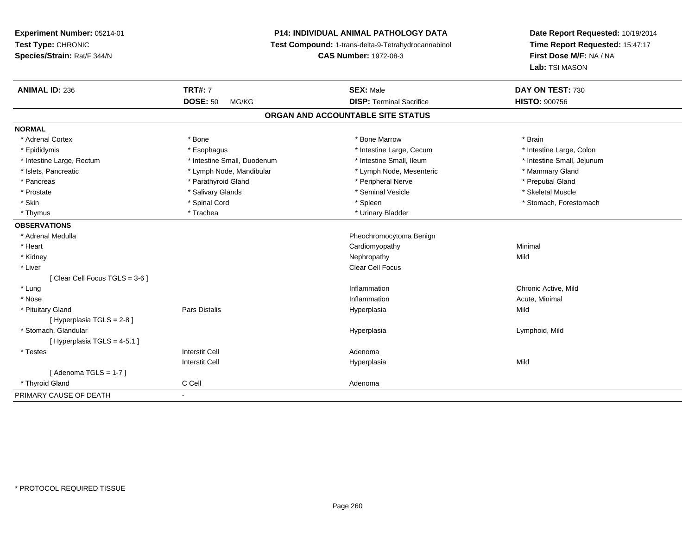# **P14: INDIVIDUAL ANIMAL PATHOLOGY DATA**

**Test Compound:** 1-trans-delta-9-Tetrahydrocannabinol

**CAS Number:** 1972-08-3

| <b>ANIMAL ID: 236</b>         | <b>TRT#: 7</b>              | <b>SEX: Male</b>                  | DAY ON TEST: 730           |
|-------------------------------|-----------------------------|-----------------------------------|----------------------------|
|                               | <b>DOSE: 50</b><br>MG/KG    | <b>DISP: Terminal Sacrifice</b>   | <b>HISTO: 900756</b>       |
|                               |                             | ORGAN AND ACCOUNTABLE SITE STATUS |                            |
| <b>NORMAL</b>                 |                             |                                   |                            |
| * Adrenal Cortex              | * Bone                      | * Bone Marrow                     | * Brain                    |
| * Epididymis                  | * Esophagus                 | * Intestine Large, Cecum          | * Intestine Large, Colon   |
| * Intestine Large, Rectum     | * Intestine Small, Duodenum | * Intestine Small, Ileum          | * Intestine Small, Jejunum |
| * Islets, Pancreatic          | * Lymph Node, Mandibular    | * Lymph Node, Mesenteric          | * Mammary Gland            |
| * Pancreas                    | * Parathyroid Gland         | * Peripheral Nerve                | * Preputial Gland          |
| * Prostate                    | * Salivary Glands           | * Seminal Vesicle                 | * Skeletal Muscle          |
| * Skin                        | * Spinal Cord               | * Spleen                          | * Stomach, Forestomach     |
| * Thymus                      | * Trachea                   | * Urinary Bladder                 |                            |
| <b>OBSERVATIONS</b>           |                             |                                   |                            |
| * Adrenal Medulla             |                             | Pheochromocytoma Benign           |                            |
| * Heart                       |                             | Cardiomyopathy                    | Minimal                    |
| * Kidney                      |                             | Nephropathy                       | Mild                       |
| * Liver                       |                             | Clear Cell Focus                  |                            |
| [Clear Cell Focus TGLS = 3-6] |                             |                                   |                            |
| * Lung                        |                             | Inflammation                      | Chronic Active, Mild       |
| * Nose                        |                             | Inflammation                      | Acute, Minimal             |
| * Pituitary Gland             | Pars Distalis               | Hyperplasia                       | Mild                       |
| [ Hyperplasia TGLS = 2-8 ]    |                             |                                   |                            |
| * Stomach, Glandular          |                             | Hyperplasia                       | Lymphoid, Mild             |
| [Hyperplasia TGLS = 4-5.1]    |                             |                                   |                            |
| * Testes                      | <b>Interstit Cell</b>       | Adenoma                           |                            |
|                               | <b>Interstit Cell</b>       | Hyperplasia                       | Mild                       |
| [Adenoma TGLS = $1-7$ ]       |                             |                                   |                            |
| * Thyroid Gland               | C Cell                      | Adenoma                           |                            |
| PRIMARY CAUSE OF DEATH        | $\blacksquare$              |                                   |                            |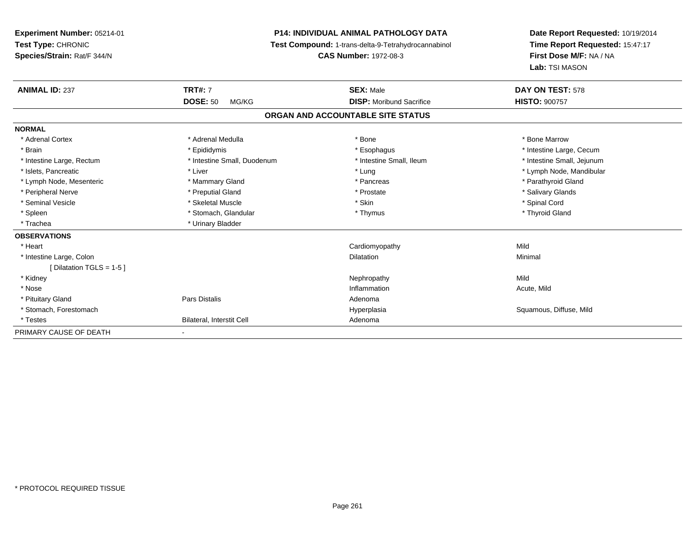**Experiment Number:** 05214-01**Test Type:** CHRONIC **Species/Strain:** Rat/F 344/N**P14: INDIVIDUAL ANIMAL PATHOLOGY DATA Test Compound:** 1-trans-delta-9-Tetrahydrocannabinol **CAS Number:** 1972-08-3**Date Report Requested:** 10/19/2014**Time Report Requested:** 15:47:17**First Dose M/F:** NA / NA**Lab:** TSI MASON**ANIMAL ID:** 237**TRT#:** 7 **SEX:** Male **DAY ON TEST:** 578 **DOSE:** 50 MG/KG **DISP:** Moribund Sacrifice **HISTO:** <sup>900757</sup> **ORGAN AND ACCOUNTABLE SITE STATUSNORMAL**\* Adrenal Cortex \* Adrenal Medulla \* Adrenal Medulla \* Bone \* Bone \* Bone \* Bone \* Bone Marrow \* Brain \* Explorer \* Epididymis \* \* Epididymis \* \* Esophagus \* Esophagus \* \* Esophagus \* Intestine Large, Cecum \* \* Intestine Large, Cecum \* Intestine Large, Rectum \* Thestine Small, Duodenum \* \* Intestine Small, Ileum \* \* Intestine Small, Jejunum \* Intestine Small, Jejunum \* Islets, Pancreatic \* Liver \* Lung \* Lymph Node, Mandibular \* Lymph Node, Mesenteric \* \* Mammary Gland \* Mammary Gland \* Pancreas \* Pancreas \* \* Pancreas \* \* Parathyroid Gland \* Peripheral Nerve \* \* \* Preputial Gland \* \* Preputial Gland \* \* Prostate \* \* Salivary Glands \* Salivary Glands \* Seminal Vesicle \* \* Spinal Cord \* Skeletal Muscle \* \* Skin \* \* Skin \* \* Spinal Vesicle \* Spinal Cord \* Spinal Cord \* Thyroid Gland \* Spleen \* Thymus \* Stomach, Glandular \* Thymus \* Thymus \* Thymus \* Thymus \* Thymus \* Thymus \* Thymus \* Thymus \* Thymus \* Thymus \* Thymus \* Thymus \* Thymus \* Thymus \* Thymus \* Thymus \* Thymus \* Thymus \* Thymus \* Thymus \* T \* Trachea **\*** Urinary Bladder **OBSERVATIONS** \* Heart Cardiomyopathyy Mild Minimal \* Intestine Large, Colonn and a community of the control of the control of the Dilatation and the control of the Minimal of the control of the control of the control of the control of the control of the control of the control of the control of th [ Dilatation TGLS = 1-5 ] \* Kidneyy the control of the control of the control of the control of the control of the control of the control of the control of the control of the control of the control of the control of the control of the control of the contro Acute, Mild \* Nosee the contraction of the contraction of the contraction of the contraction of the contraction of the contraction  $\mathsf{Acute},\mathsf{Mild}$  \* Pituitary Glandd and the contract of Pars Distalis and the contract of Adenoma and Adenoma and the Adenoma and the Adenoma and  $\lambda$  \* Stomach, ForestomachHyperplasia **Squamous, Diffuse, Mild**  \* TestesBilateral, Interstit Cell **Adenoma** Adenoma PRIMARY CAUSE OF DEATH-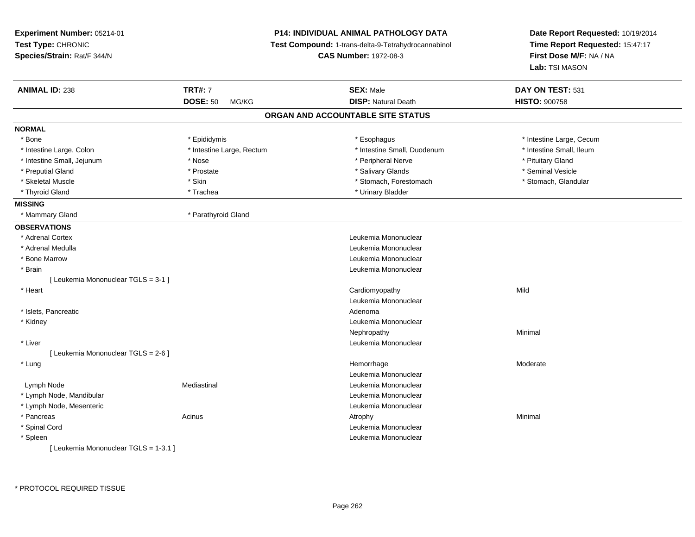| Experiment Number: 05214-01           |                           | P14: INDIVIDUAL ANIMAL PATHOLOGY DATA               | Date Report Requested: 10/19/2014<br>Time Report Requested: 15:47:17 |  |
|---------------------------------------|---------------------------|-----------------------------------------------------|----------------------------------------------------------------------|--|
| Test Type: CHRONIC                    |                           | Test Compound: 1-trans-delta-9-Tetrahydrocannabinol |                                                                      |  |
| Species/Strain: Rat/F 344/N           |                           | <b>CAS Number: 1972-08-3</b>                        | First Dose M/F: NA / NA                                              |  |
|                                       |                           |                                                     | Lab: TSI MASON                                                       |  |
| <b>ANIMAL ID: 238</b>                 | <b>TRT#: 7</b>            | <b>SEX: Male</b>                                    | DAY ON TEST: 531                                                     |  |
|                                       | <b>DOSE: 50</b><br>MG/KG  | <b>DISP: Natural Death</b>                          | <b>HISTO: 900758</b>                                                 |  |
|                                       |                           | ORGAN AND ACCOUNTABLE SITE STATUS                   |                                                                      |  |
| <b>NORMAL</b>                         |                           |                                                     |                                                                      |  |
| * Bone                                | * Epididymis              | * Esophagus                                         | * Intestine Large, Cecum                                             |  |
| * Intestine Large, Colon              | * Intestine Large, Rectum | * Intestine Small, Duodenum                         | * Intestine Small, Ileum                                             |  |
| * Intestine Small, Jejunum            | * Nose                    | * Peripheral Nerve                                  | * Pituitary Gland                                                    |  |
| * Preputial Gland                     | * Prostate                | * Salivary Glands                                   | * Seminal Vesicle                                                    |  |
| * Skeletal Muscle                     | * Skin                    | * Stomach, Forestomach                              | * Stomach, Glandular                                                 |  |
| * Thyroid Gland                       | * Trachea                 | * Urinary Bladder                                   |                                                                      |  |
| <b>MISSING</b>                        |                           |                                                     |                                                                      |  |
| * Mammary Gland                       | * Parathyroid Gland       |                                                     |                                                                      |  |
| <b>OBSERVATIONS</b>                   |                           |                                                     |                                                                      |  |
| * Adrenal Cortex                      |                           | Leukemia Mononuclear                                |                                                                      |  |
| * Adrenal Medulla                     |                           | Leukemia Mononuclear                                |                                                                      |  |
| * Bone Marrow                         |                           | Leukemia Mononuclear                                |                                                                      |  |
| * Brain                               |                           | Leukemia Mononuclear                                |                                                                      |  |
| [ Leukemia Mononuclear TGLS = 3-1 ]   |                           |                                                     |                                                                      |  |
| * Heart                               |                           | Cardiomyopathy                                      | Mild                                                                 |  |
|                                       |                           | Leukemia Mononuclear                                |                                                                      |  |
| * Islets, Pancreatic                  |                           | Adenoma                                             |                                                                      |  |
| * Kidney                              |                           | Leukemia Mononuclear                                |                                                                      |  |
|                                       |                           | Nephropathy                                         | Minimal                                                              |  |
| * Liver                               |                           | Leukemia Mononuclear                                |                                                                      |  |
| [ Leukemia Mononuclear TGLS = 2-6 ]   |                           |                                                     |                                                                      |  |
| * Lung                                |                           | Hemorrhage                                          | Moderate                                                             |  |
|                                       |                           | Leukemia Mononuclear                                |                                                                      |  |
| Lymph Node                            | Mediastinal               | Leukemia Mononuclear                                |                                                                      |  |
| * Lymph Node, Mandibular              |                           | Leukemia Mononuclear                                |                                                                      |  |
| * Lymph Node, Mesenteric              |                           | Leukemia Mononuclear                                |                                                                      |  |
| * Pancreas                            | Acinus                    | Atrophy                                             | Minimal                                                              |  |
| * Spinal Cord                         |                           | Leukemia Mononuclear                                |                                                                      |  |
| * Spleen                              |                           | Leukemia Mononuclear                                |                                                                      |  |
| [ Leukemia Mononuclear TGLS = 1-3.1 ] |                           |                                                     |                                                                      |  |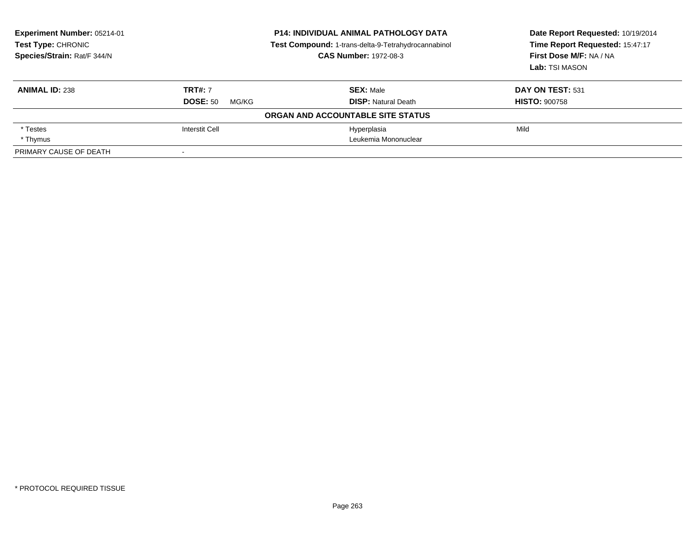| Experiment Number: 05214-01<br>Test Type: CHRONIC<br>Species/Strain: Rat/F 344/N | <b>P14: INDIVIDUAL ANIMAL PATHOLOGY DATA</b><br>Test Compound: 1-trans-delta-9-Tetrahydrocannabinol<br><b>CAS Number: 1972-08-3</b> |                                   | Date Report Requested: 10/19/2014<br>Time Report Requested: 15:47:17<br>First Dose M/F: NA / NA<br>Lab: TSI MASON |
|----------------------------------------------------------------------------------|-------------------------------------------------------------------------------------------------------------------------------------|-----------------------------------|-------------------------------------------------------------------------------------------------------------------|
| <b>ANIMAL ID: 238</b>                                                            | <b>TRT#: 7</b>                                                                                                                      | <b>SEX: Male</b>                  | DAY ON TEST: 531                                                                                                  |
|                                                                                  | <b>DOSE: 50</b><br>MG/KG                                                                                                            | <b>DISP:</b> Natural Death        | <b>HISTO: 900758</b>                                                                                              |
|                                                                                  |                                                                                                                                     | ORGAN AND ACCOUNTABLE SITE STATUS |                                                                                                                   |
| * Testes                                                                         | <b>Interstit Cell</b>                                                                                                               | Hyperplasia                       | Mild                                                                                                              |
| * Thymus                                                                         |                                                                                                                                     | Leukemia Mononuclear              |                                                                                                                   |
| PRIMARY CAUSE OF DEATH                                                           |                                                                                                                                     |                                   |                                                                                                                   |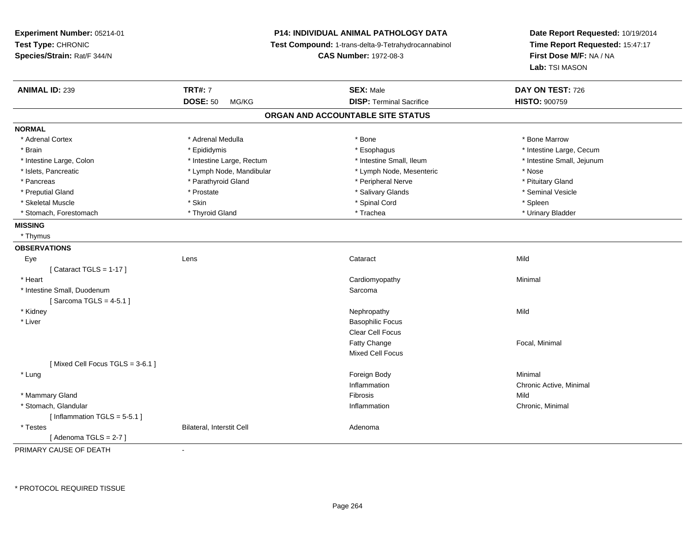**Experiment Number:** 05214-01**Test Type:** CHRONIC **Species/Strain:** Rat/F 344/N**P14: INDIVIDUAL ANIMAL PATHOLOGY DATA Test Compound:** 1-trans-delta-9-Tetrahydrocannabinol **CAS Number:** 1972-08-3**Date Report Requested:** 10/19/2014**Time Report Requested:** 15:47:17**First Dose M/F:** NA / NA**Lab:** TSI MASON**ANIMAL ID:** 239 **TRT#:** <sup>7</sup> **SEX:** Male **DAY ON TEST:** <sup>726</sup> **DOSE:** 50 MG/KG **DISP:** Terminal Sacrifice **HISTO:** <sup>900759</sup> **ORGAN AND ACCOUNTABLE SITE STATUSNORMAL**\* Adrenal Cortex \* Adrenal Medulla \* Adrenal Medulla \* Bone \* Bone \* Bone \* Bone \* Bone Marrow \* Brain \* Explorer \* Epididymis \* \* Epididymis \* \* Esophagus \* Esophagus \* \* Esophagus \* Intestine Large, Cecum \* \* Intestine Large, Cecum \* Intestine Large, Colon \* Intestine Large, Rectum \* Intestine Small, Ileum \* Intestine Small, Jejunum\* Islets, Pancreatic \* The same \* Lymph Node, Mandibular \* Lymph Node, Mesenteric \* Nose \* Nose \* Nose \* Pituitary Gland \* Pancreas \* Parathyroid Gland \* Peripheral Nerve \* Peripheral Nerve \* Seminal Vesicle \* Preputial Gland \* \* Annual vesicle \* \* Prostate \* \* Salivary Glands \* \* Salivary Glands \* \* Seminal Vesicle \* \* Skeletal Muscle \* Skin \* Spinal Cord \* Spleen \* Urinary Bladder \* Stomach, Forestomach \* Thyroid Gland \* Thyroid Gland \* Trachea **MISSING** \* Thymus**OBSERVATIONS** Eyee and the contract of the contract of the contract of the contract of the contract of the contract of the contract of the contract of the contract of the contract of the contract of the contract of the contract of the cont  $[$  Cataract TGLS = 1-17  $]$  \* Heart Cardiomyopathy Minimal \* Intestine Small, Duodenumm Sarcoma de la componentación de la componentación de la componentación de la componentación de la componenta<br>En el componentación de la componentación de la componentación de la componentación de la componentación de la  $[$  Sarcoma TGLS = 4-5.1  $]$  \* Kidneyy the controller of the controller of the controller of the controller of the controller of the controller of the controller of the controller of the controller of the controller of the controller of the controller of the \* Liverr and the contract of the contract of the contract of the contract of the contract of the Basophilic Focus of the contract of the contract of the contract of the contract of the contract of the contract of the contract of Clear Cell FocusFatty Change Focal, Minimal Mixed Cell Focus[ Mixed Cell Focus TGLS = 3-6.1 ] \* Lungg and the state of the state of the state of the state of the state of the state of the state of the state of the state of the state of the state of the state of the state of the state of the state of the state of the stat Inflammation Chronic Active, Minimal \* Mammary Glandd and the control of the control of the control of the control of the control of the control of the control of the control of the control of the control of the control of the control of the control of the control of the co \* Stomach, Glandular**Inflammation Inflammation** Inflammation **Chronic, Minimal**  $[$  Inflammation TGLS = 5-5.1 ] \* TestesBilateral, Interstit Cell **Adenoma** Adenoma  $[$  Adenoma TGLS = 2-7  $]$ 

PRIMARY CAUSE OF DEATH-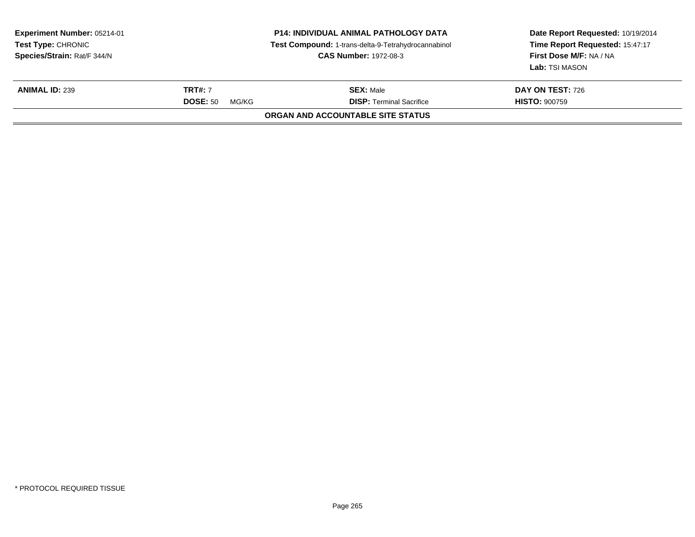| Experiment Number: 05214-01<br><b>Test Type: CHRONIC</b><br>Species/Strain: Rat/F 344/N |                                            | <b>P14: INDIVIDUAL ANIMAL PATHOLOGY DATA</b><br>Test Compound: 1-trans-delta-9-Tetrahydrocannabinol<br><b>CAS Number: 1972-08-3</b> | Date Report Requested: 10/19/2014<br>Time Report Requested: 15:47:17<br>First Dose M/F: NA / NA<br>Lab: TSI MASON |
|-----------------------------------------------------------------------------------------|--------------------------------------------|-------------------------------------------------------------------------------------------------------------------------------------|-------------------------------------------------------------------------------------------------------------------|
| <b>ANIMAL ID: 239</b>                                                                   | <b>TRT#: 7</b><br><b>DOSE: 50</b><br>MG/KG | <b>SEX: Male</b><br><b>DISP: Terminal Sacrifice</b>                                                                                 | <b>DAY ON TEST: 726</b><br><b>HISTO: 900759</b>                                                                   |
|                                                                                         |                                            | ORGAN AND ACCOUNTABLE SITE STATUS                                                                                                   |                                                                                                                   |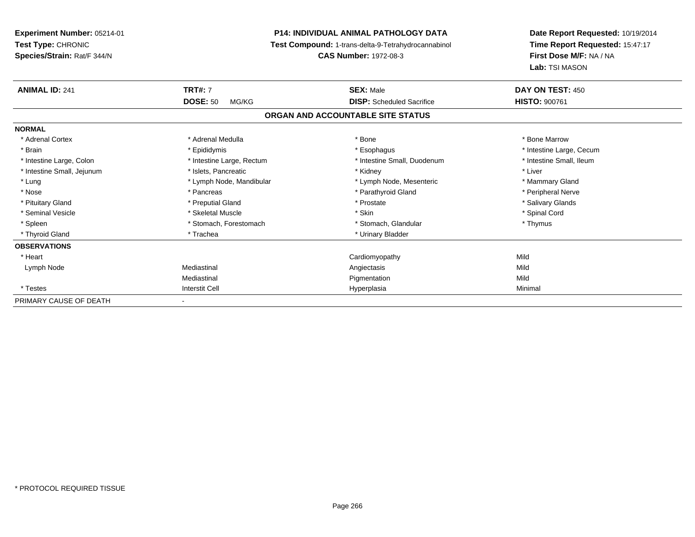**Experiment Number:** 05214-01**Test Type:** CHRONIC **Species/Strain:** Rat/F 344/N**P14: INDIVIDUAL ANIMAL PATHOLOGY DATA Test Compound:** 1-trans-delta-9-Tetrahydrocannabinol **CAS Number:** 1972-08-3**Date Report Requested:** 10/19/2014**Time Report Requested:** 15:47:17**First Dose M/F:** NA / NA**Lab:** TSI MASON**ANIMAL ID:** 241**TRT#:** 7 **SEX:** Male **DAY ON TEST:** 450 **DOSE:** 50 MG/KG **DISP:** Scheduled Sacrifice **HISTO:** <sup>900761</sup> **ORGAN AND ACCOUNTABLE SITE STATUSNORMAL**\* Adrenal Cortex \* Adrenal Medulla \* Adrenal Medulla \* Bone \* Bone \* Bone \* Bone \* Bone Marrow \* Brain \* Explorer \* Epididymis \* \* Epididymis \* \* Esophagus \* Esophagus \* \* Esophagus \* Intestine Large, Cecum \* \* Intestine Large, Cecum \* Intestine Small, Ileum \* Intestine Large, Colon \* Intestine Large, Rectum \* Intestine Small, Duodenum \* Intestine Small, Duodenum \* Intestine Small, Jejunum \* 1992 \* The state of the state of the state of the state of the state of the state of the state of the state of the state of the state of the state of the state of the state of the state of the \* Lung **\* Lymph Node, Mandibular \*** Lymph Node, Mesenteric \* Mammary Gland \* Mammary Gland \* Peripheral Nerve \* Nose \* \* Pancreas \* \* Pancreas \* \* Pancreas \* \* Parathyroid Gland \* \* Peripheral Nerve \* Peripheral Nerve \* \* Salivary Glands \* Pituitary Gland \* \* Then the state \* Preputial Gland \* Prosection \* Prostate \* \* Salivary Glands \* Salivary Glands \* Salivary Glands \* Salivary Glands \* Salivary Glands \* Salivary Glands \* Salivary Glands \* Salivary Glan \* Seminal Vesicle \* \* Spinal Cord \* Skeletal Muscle \* \* Skin \* \* Skin \* \* Spinal Vesicle \* Spinal Cord \* Spinal Cord \* Spleen \* Stomach, Forestomach \* Stomach \* Stomach, Glandular \* Stomach, Glandular \* Thymus \* Thyroid Gland \* Trachea \* Trachea \* Trachea \* Urinary Bladder **OBSERVATIONS** \* Heart Cardiomyopathyy Mild Mild Lymph Node Mediastinal Angiectasis Mild Mediastinal Pigmentationn Mild \* Testess and the contract of the contract of the contract of the contract of the contract of the contract of the contract of the contract of the contract of the contract of the contract of the contract of the contract of the cont a Minimal PRIMARY CAUSE OF DEATH-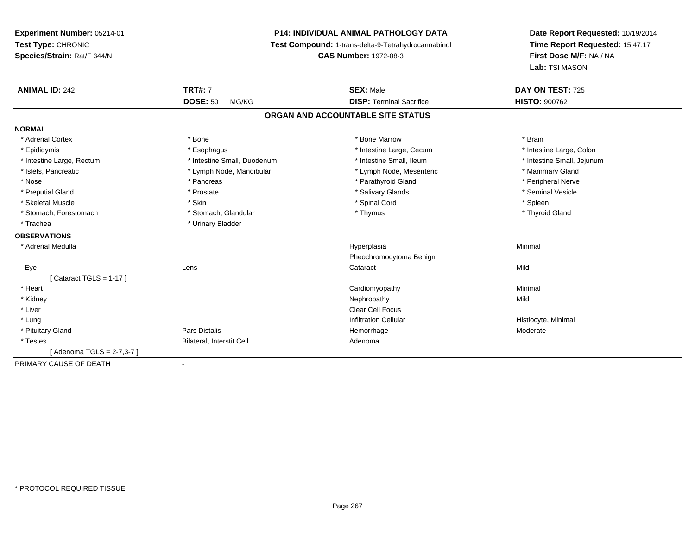# **P14: INDIVIDUAL ANIMAL PATHOLOGY DATA**

**Test Compound:** 1-trans-delta-9-Tetrahydrocannabinol

**CAS Number:** 1972-08-3

| <b>ANIMAL ID: 242</b>     | <b>TRT#: 7</b>              | <b>SEX: Male</b>                  | DAY ON TEST: 725           |
|---------------------------|-----------------------------|-----------------------------------|----------------------------|
|                           | <b>DOSE: 50</b><br>MG/KG    | <b>DISP: Terminal Sacrifice</b>   | <b>HISTO: 900762</b>       |
|                           |                             | ORGAN AND ACCOUNTABLE SITE STATUS |                            |
| <b>NORMAL</b>             |                             |                                   |                            |
| * Adrenal Cortex          | * Bone                      | * Bone Marrow                     | * Brain                    |
| * Epididymis              | * Esophagus                 | * Intestine Large, Cecum          | * Intestine Large, Colon   |
| * Intestine Large, Rectum | * Intestine Small, Duodenum | * Intestine Small, Ileum          | * Intestine Small, Jejunum |
| * Islets, Pancreatic      | * Lymph Node, Mandibular    | * Lymph Node, Mesenteric          | * Mammary Gland            |
| * Nose                    | * Pancreas                  | * Parathyroid Gland               | * Peripheral Nerve         |
| * Preputial Gland         | * Prostate                  | * Salivary Glands                 | * Seminal Vesicle          |
| * Skeletal Muscle         | * Skin                      | * Spinal Cord                     | * Spleen                   |
| * Stomach, Forestomach    | * Stomach, Glandular        | * Thymus                          | * Thyroid Gland            |
| * Trachea                 | * Urinary Bladder           |                                   |                            |
| <b>OBSERVATIONS</b>       |                             |                                   |                            |
| * Adrenal Medulla         |                             | Hyperplasia                       | Minimal                    |
|                           |                             | Pheochromocytoma Benign           |                            |
| Eye                       | Lens                        | Cataract                          | Mild                       |
| Cataract TGLS = $1-17$ ]  |                             |                                   |                            |
| * Heart                   |                             | Cardiomyopathy                    | Minimal                    |
| * Kidney                  |                             | Nephropathy                       | Mild                       |
| * Liver                   |                             | Clear Cell Focus                  |                            |
| * Lung                    |                             | <b>Infiltration Cellular</b>      | Histiocyte, Minimal        |
| * Pituitary Gland         | <b>Pars Distalis</b>        | Hemorrhage                        | Moderate                   |
| * Testes                  | Bilateral, Interstit Cell   | Adenoma                           |                            |
| [Adenoma TGLS = 2-7,3-7]  |                             |                                   |                            |
| PRIMARY CAUSE OF DEATH    |                             |                                   |                            |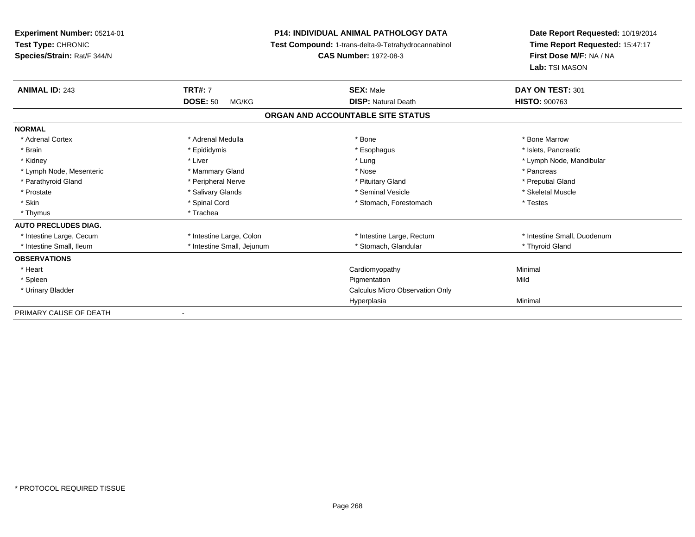| Experiment Number: 05214-01<br>Test Type: CHRONIC<br>Species/Strain: Rat/F 344/N |                                   | <b>P14: INDIVIDUAL ANIMAL PATHOLOGY DATA</b><br>Test Compound: 1-trans-delta-9-Tetrahydrocannabinol<br><b>CAS Number: 1972-08-3</b> | Date Report Requested: 10/19/2014<br>Time Report Requested: 15:47:17<br>First Dose M/F: NA / NA<br>Lab: TSI MASON |
|----------------------------------------------------------------------------------|-----------------------------------|-------------------------------------------------------------------------------------------------------------------------------------|-------------------------------------------------------------------------------------------------------------------|
| <b>ANIMAL ID: 243</b>                                                            | <b>TRT#: 7</b><br><b>DOSE: 50</b> | <b>SEX: Male</b><br><b>DISP: Natural Death</b>                                                                                      | DAY ON TEST: 301<br><b>HISTO: 900763</b>                                                                          |
|                                                                                  | MG/KG                             |                                                                                                                                     |                                                                                                                   |
|                                                                                  |                                   | ORGAN AND ACCOUNTABLE SITE STATUS                                                                                                   |                                                                                                                   |
| <b>NORMAL</b>                                                                    |                                   |                                                                                                                                     |                                                                                                                   |
| * Adrenal Cortex                                                                 | * Adrenal Medulla                 | * Bone                                                                                                                              | * Bone Marrow                                                                                                     |
| * Brain                                                                          | * Epididymis                      | * Esophagus                                                                                                                         | * Islets, Pancreatic                                                                                              |
| * Kidney                                                                         | * Liver                           | * Lung                                                                                                                              | * Lymph Node, Mandibular                                                                                          |
| * Lymph Node, Mesenteric                                                         | * Mammary Gland                   | * Nose                                                                                                                              | * Pancreas                                                                                                        |
| * Parathyroid Gland                                                              | * Peripheral Nerve                | * Pituitary Gland                                                                                                                   | * Preputial Gland                                                                                                 |
| * Prostate                                                                       | * Salivary Glands                 | * Seminal Vesicle                                                                                                                   | * Skeletal Muscle                                                                                                 |
| * Skin                                                                           | * Spinal Cord                     | * Stomach, Forestomach                                                                                                              | * Testes                                                                                                          |
| * Thymus                                                                         | * Trachea                         |                                                                                                                                     |                                                                                                                   |
| <b>AUTO PRECLUDES DIAG.</b>                                                      |                                   |                                                                                                                                     |                                                                                                                   |
| * Intestine Large, Cecum                                                         | * Intestine Large, Colon          | * Intestine Large, Rectum                                                                                                           | * Intestine Small, Duodenum                                                                                       |
| * Intestine Small, Ileum                                                         | * Intestine Small, Jejunum        | * Stomach, Glandular                                                                                                                | * Thyroid Gland                                                                                                   |
| <b>OBSERVATIONS</b>                                                              |                                   |                                                                                                                                     |                                                                                                                   |
| * Heart                                                                          |                                   | Cardiomyopathy                                                                                                                      | Minimal                                                                                                           |
| * Spleen                                                                         |                                   | Pigmentation                                                                                                                        | Mild                                                                                                              |
| * Urinary Bladder                                                                |                                   | <b>Calculus Micro Observation Only</b>                                                                                              |                                                                                                                   |
|                                                                                  |                                   | Hyperplasia                                                                                                                         | Minimal                                                                                                           |
| PRIMARY CAUSE OF DEATH                                                           |                                   |                                                                                                                                     |                                                                                                                   |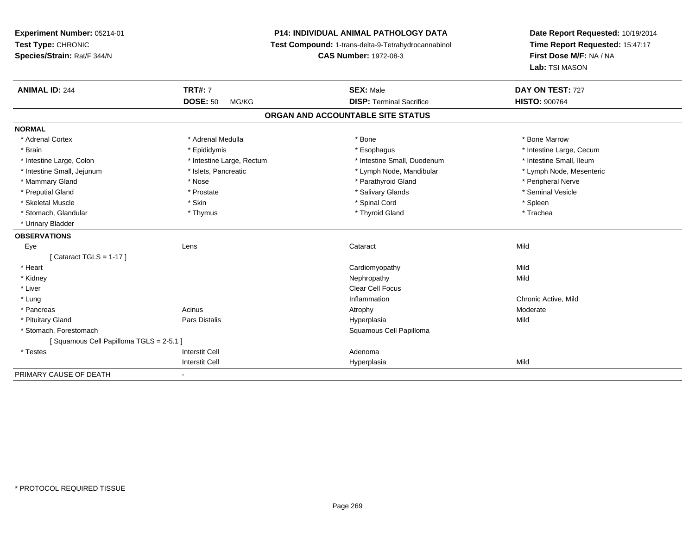# **P14: INDIVIDUAL ANIMAL PATHOLOGY DATA**

**Test Compound:** 1-trans-delta-9-Tetrahydrocannabinol

**CAS Number:** 1972-08-3

| <b>ANIMAL ID: 244</b>                  | <b>TRT#: 7</b>            | <b>SEX: Male</b>                  | DAY ON TEST: 727         |
|----------------------------------------|---------------------------|-----------------------------------|--------------------------|
|                                        | <b>DOSE: 50</b><br>MG/KG  | <b>DISP: Terminal Sacrifice</b>   | <b>HISTO: 900764</b>     |
|                                        |                           | ORGAN AND ACCOUNTABLE SITE STATUS |                          |
| <b>NORMAL</b>                          |                           |                                   |                          |
| * Adrenal Cortex                       | * Adrenal Medulla         | * Bone                            | * Bone Marrow            |
| * Brain                                | * Epididymis              | * Esophagus                       | * Intestine Large, Cecum |
| * Intestine Large, Colon               | * Intestine Large, Rectum | * Intestine Small, Duodenum       | * Intestine Small, Ileum |
| * Intestine Small, Jejunum             | * Islets, Pancreatic      | * Lymph Node, Mandibular          | * Lymph Node, Mesenteric |
| * Mammary Gland                        | * Nose                    | * Parathyroid Gland               | * Peripheral Nerve       |
| * Preputial Gland                      | * Prostate                | * Salivary Glands                 | * Seminal Vesicle        |
| * Skeletal Muscle                      | * Skin                    | * Spinal Cord                     | * Spleen                 |
| * Stomach, Glandular                   | * Thymus                  | * Thyroid Gland                   | * Trachea                |
| * Urinary Bladder                      |                           |                                   |                          |
| <b>OBSERVATIONS</b>                    |                           |                                   |                          |
| Eye                                    | Lens                      | Cataract                          | Mild                     |
| [Cataract TGLS = 1-17]                 |                           |                                   |                          |
| * Heart                                |                           | Cardiomyopathy                    | Mild                     |
| * Kidney                               |                           | Nephropathy                       | Mild                     |
| * Liver                                |                           | <b>Clear Cell Focus</b>           |                          |
| * Lung                                 |                           | Inflammation                      | Chronic Active, Mild     |
| * Pancreas                             | Acinus                    | Atrophy                           | Moderate                 |
| * Pituitary Gland                      | Pars Distalis             | Hyperplasia                       | Mild                     |
| * Stomach, Forestomach                 |                           | Squamous Cell Papilloma           |                          |
| Squamous Cell Papilloma TGLS = 2-5.1 ] |                           |                                   |                          |
| * Testes                               | <b>Interstit Cell</b>     | Adenoma                           |                          |
|                                        | <b>Interstit Cell</b>     | Hyperplasia                       | Mild                     |
| PRIMARY CAUSE OF DEATH                 |                           |                                   |                          |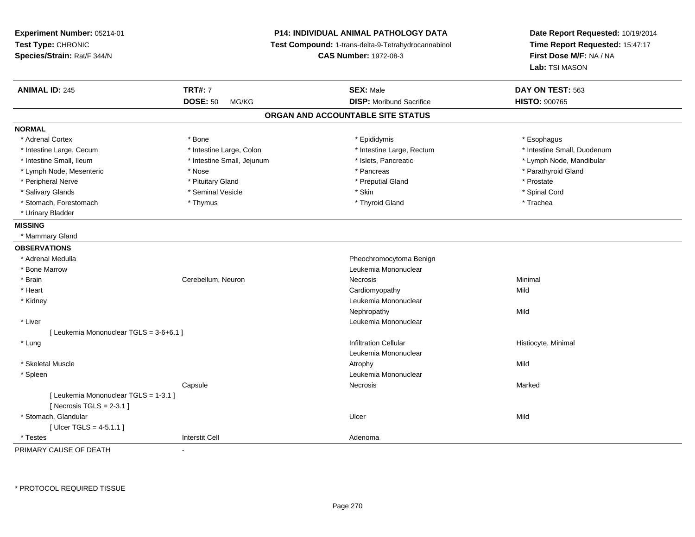| Experiment Number: 05214-01<br>Test Type: CHRONIC<br>Species/Strain: Rat/F 344/N |                            | <b>P14: INDIVIDUAL ANIMAL PATHOLOGY DATA</b><br>Test Compound: 1-trans-delta-9-Tetrahydrocannabinol<br><b>CAS Number: 1972-08-3</b> | Date Report Requested: 10/19/2014<br>Time Report Requested: 15:47:17<br>First Dose M/F: NA / NA<br>Lab: TSI MASON |
|----------------------------------------------------------------------------------|----------------------------|-------------------------------------------------------------------------------------------------------------------------------------|-------------------------------------------------------------------------------------------------------------------|
| <b>ANIMAL ID: 245</b>                                                            | <b>TRT#: 7</b>             | <b>SEX: Male</b>                                                                                                                    | DAY ON TEST: 563                                                                                                  |
|                                                                                  | <b>DOSE: 50</b><br>MG/KG   | <b>DISP:</b> Moribund Sacrifice                                                                                                     | <b>HISTO: 900765</b>                                                                                              |
|                                                                                  |                            | ORGAN AND ACCOUNTABLE SITE STATUS                                                                                                   |                                                                                                                   |
| <b>NORMAL</b>                                                                    |                            |                                                                                                                                     |                                                                                                                   |
| * Adrenal Cortex                                                                 | * Bone                     | * Epididymis                                                                                                                        | * Esophagus                                                                                                       |
| * Intestine Large, Cecum                                                         | * Intestine Large, Colon   | * Intestine Large, Rectum                                                                                                           | * Intestine Small, Duodenum                                                                                       |
| * Intestine Small, Ileum                                                         | * Intestine Small, Jejunum | * Islets, Pancreatic                                                                                                                | * Lymph Node, Mandibular                                                                                          |
| * Lymph Node, Mesenteric                                                         | * Nose                     | * Pancreas                                                                                                                          | * Parathyroid Gland                                                                                               |
| * Peripheral Nerve                                                               | * Pituitary Gland          | * Preputial Gland                                                                                                                   | * Prostate                                                                                                        |
| * Salivary Glands                                                                | * Seminal Vesicle          | * Skin                                                                                                                              | * Spinal Cord                                                                                                     |
| * Stomach, Forestomach                                                           | * Thymus                   | * Thyroid Gland                                                                                                                     | * Trachea                                                                                                         |
| * Urinary Bladder                                                                |                            |                                                                                                                                     |                                                                                                                   |
| <b>MISSING</b>                                                                   |                            |                                                                                                                                     |                                                                                                                   |
| * Mammary Gland                                                                  |                            |                                                                                                                                     |                                                                                                                   |
| <b>OBSERVATIONS</b>                                                              |                            |                                                                                                                                     |                                                                                                                   |
| * Adrenal Medulla                                                                |                            | Pheochromocytoma Benign                                                                                                             |                                                                                                                   |
| * Bone Marrow                                                                    |                            | Leukemia Mononuclear                                                                                                                |                                                                                                                   |
| * Brain                                                                          | Cerebellum, Neuron         | <b>Necrosis</b>                                                                                                                     | Minimal                                                                                                           |
| * Heart                                                                          |                            | Cardiomyopathy                                                                                                                      | Mild                                                                                                              |
| * Kidney                                                                         |                            | Leukemia Mononuclear                                                                                                                |                                                                                                                   |
|                                                                                  |                            | Nephropathy                                                                                                                         | Mild                                                                                                              |
| * Liver                                                                          |                            | Leukemia Mononuclear                                                                                                                |                                                                                                                   |
| [ Leukemia Mononuclear TGLS = 3-6+6.1 ]                                          |                            |                                                                                                                                     |                                                                                                                   |
| * Lung                                                                           |                            | <b>Infiltration Cellular</b>                                                                                                        | Histiocyte, Minimal                                                                                               |
|                                                                                  |                            | Leukemia Mononuclear                                                                                                                |                                                                                                                   |
| * Skeletal Muscle                                                                |                            | Atrophy                                                                                                                             | Mild                                                                                                              |
| * Spleen                                                                         |                            | Leukemia Mononuclear                                                                                                                |                                                                                                                   |
|                                                                                  | Capsule                    | Necrosis                                                                                                                            | Marked                                                                                                            |
| [ Leukemia Mononuclear TGLS = 1-3.1 ]                                            |                            |                                                                                                                                     |                                                                                                                   |
| [Necrosis TGLS = $2-3.1$ ]                                                       |                            |                                                                                                                                     |                                                                                                                   |
| * Stomach, Glandular                                                             |                            | Ulcer                                                                                                                               | Mild                                                                                                              |
| [Ulcer TGLS = $4-5.1.1$ ]                                                        |                            |                                                                                                                                     |                                                                                                                   |
| * Testes                                                                         | <b>Interstit Cell</b>      | Adenoma                                                                                                                             |                                                                                                                   |

PRIMARY CAUSE OF DEATH-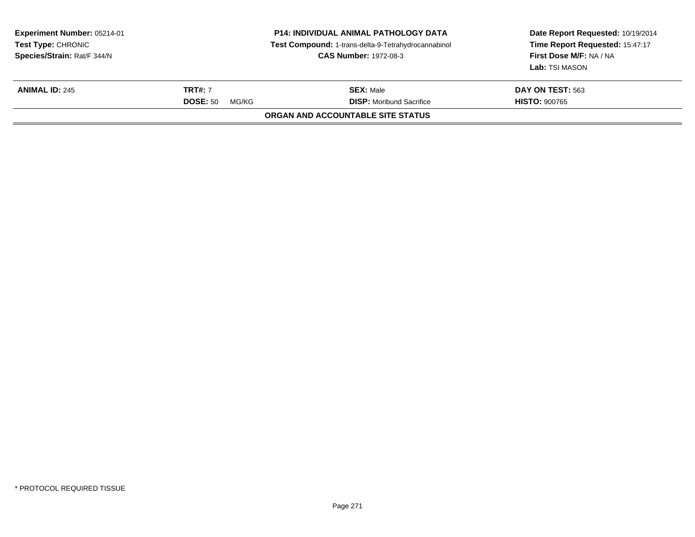| Experiment Number: 05214-01<br><b>Test Type: CHRONIC</b><br>Species/Strain: Rat/F 344/N | <b>P14: INDIVIDUAL ANIMAL PATHOLOGY DATA</b><br>Test Compound: 1-trans-delta-9-Tetrahydrocannabinol<br><b>CAS Number: 1972-08-3</b> |                                                     | Date Report Requested: 10/19/2014<br>Time Report Requested: 15:47:17<br>First Dose M/F: NA / NA<br>Lab: TSI MASON |  |
|-----------------------------------------------------------------------------------------|-------------------------------------------------------------------------------------------------------------------------------------|-----------------------------------------------------|-------------------------------------------------------------------------------------------------------------------|--|
| <b>ANIMAL ID: 245</b>                                                                   | <b>TRT#: 7</b><br><b>DOSE: 50</b><br>MG/KG                                                                                          | <b>SEX: Male</b><br><b>DISP:</b> Moribund Sacrifice | DAY ON TEST: 563<br><b>HISTO: 900765</b>                                                                          |  |
|                                                                                         |                                                                                                                                     | ORGAN AND ACCOUNTABLE SITE STATUS                   |                                                                                                                   |  |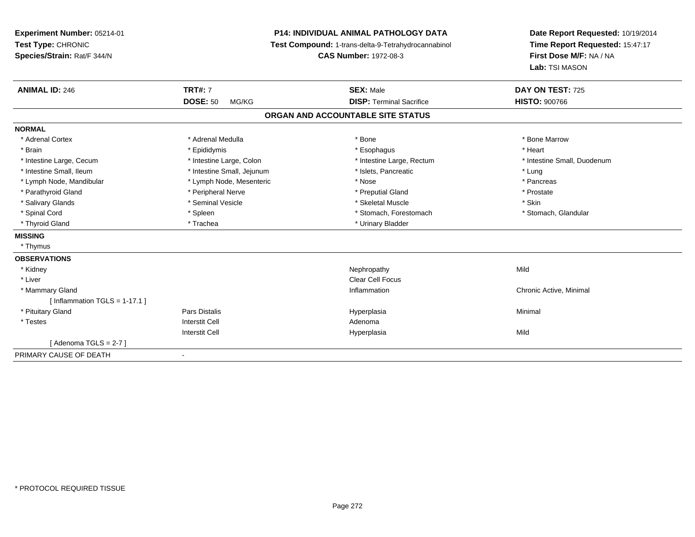| Experiment Number: 05214-01<br>Test Type: CHRONIC<br>Species/Strain: Rat/F 344/N | <b>P14: INDIVIDUAL ANIMAL PATHOLOGY DATA</b><br>Test Compound: 1-trans-delta-9-Tetrahydrocannabinol<br><b>CAS Number: 1972-08-3</b> |                                   | Date Report Requested: 10/19/2014<br>Time Report Requested: 15:47:17<br>First Dose M/F: NA / NA<br>Lab: TSI MASON |  |
|----------------------------------------------------------------------------------|-------------------------------------------------------------------------------------------------------------------------------------|-----------------------------------|-------------------------------------------------------------------------------------------------------------------|--|
| <b>ANIMAL ID: 246</b>                                                            | <b>TRT#: 7</b>                                                                                                                      | <b>SEX: Male</b>                  | DAY ON TEST: 725                                                                                                  |  |
|                                                                                  | <b>DOSE: 50</b><br>MG/KG                                                                                                            | <b>DISP: Terminal Sacrifice</b>   | <b>HISTO: 900766</b>                                                                                              |  |
|                                                                                  |                                                                                                                                     | ORGAN AND ACCOUNTABLE SITE STATUS |                                                                                                                   |  |
| <b>NORMAL</b>                                                                    |                                                                                                                                     |                                   |                                                                                                                   |  |
| * Adrenal Cortex                                                                 | * Adrenal Medulla                                                                                                                   | * Bone                            | * Bone Marrow                                                                                                     |  |
| * Brain                                                                          | * Epididymis                                                                                                                        | * Esophagus                       | * Heart                                                                                                           |  |
| * Intestine Large, Cecum                                                         | * Intestine Large, Colon                                                                                                            | * Intestine Large, Rectum         | * Intestine Small, Duodenum                                                                                       |  |
| * Intestine Small, Ileum                                                         | * Intestine Small, Jejunum                                                                                                          | * Islets, Pancreatic              | * Lung                                                                                                            |  |
| * Lymph Node, Mandibular                                                         | * Lymph Node, Mesenteric                                                                                                            | * Nose                            | * Pancreas                                                                                                        |  |
| * Parathyroid Gland                                                              | * Peripheral Nerve                                                                                                                  | * Preputial Gland                 | * Prostate                                                                                                        |  |
| * Salivary Glands                                                                | * Seminal Vesicle                                                                                                                   | * Skeletal Muscle                 | * Skin                                                                                                            |  |
| * Spinal Cord                                                                    | * Spleen                                                                                                                            | * Stomach, Forestomach            | * Stomach, Glandular                                                                                              |  |
| * Thyroid Gland                                                                  | * Trachea                                                                                                                           | * Urinary Bladder                 |                                                                                                                   |  |
| <b>MISSING</b>                                                                   |                                                                                                                                     |                                   |                                                                                                                   |  |
| * Thymus                                                                         |                                                                                                                                     |                                   |                                                                                                                   |  |
| <b>OBSERVATIONS</b>                                                              |                                                                                                                                     |                                   |                                                                                                                   |  |
| * Kidney                                                                         |                                                                                                                                     | Nephropathy                       | Mild                                                                                                              |  |
| * Liver                                                                          |                                                                                                                                     | <b>Clear Cell Focus</b>           |                                                                                                                   |  |
| * Mammary Gland                                                                  |                                                                                                                                     | Inflammation                      | Chronic Active, Minimal                                                                                           |  |
| [Inflammation TGLS = $1-17.1$ ]                                                  |                                                                                                                                     |                                   |                                                                                                                   |  |
| * Pituitary Gland                                                                | Pars Distalis                                                                                                                       | Hyperplasia                       | Minimal                                                                                                           |  |
| * Testes                                                                         | <b>Interstit Cell</b>                                                                                                               | Adenoma                           |                                                                                                                   |  |
|                                                                                  | <b>Interstit Cell</b>                                                                                                               | Hyperplasia                       | Mild                                                                                                              |  |
| [Adenoma TGLS = $2-7$ ]                                                          |                                                                                                                                     |                                   |                                                                                                                   |  |
| PRIMARY CAUSE OF DEATH                                                           | $\overline{\phantom{a}}$                                                                                                            |                                   |                                                                                                                   |  |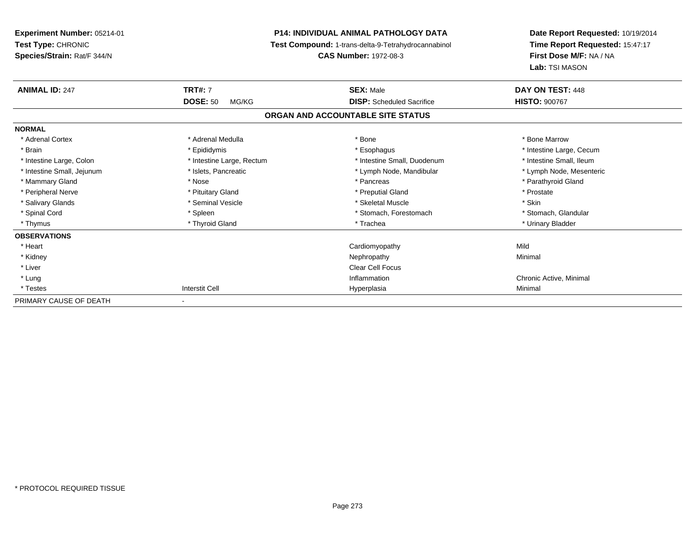| <b>Experiment Number: 05214-01</b><br>Test Type: CHRONIC |                           | <b>P14: INDIVIDUAL ANIMAL PATHOLOGY DATA</b><br>Test Compound: 1-trans-delta-9-Tetrahydrocannabinol | Date Report Requested: 10/19/2014<br>Time Report Requested: 15:47:17<br>First Dose M/F: NA / NA<br>Lab: TSI MASON |  |
|----------------------------------------------------------|---------------------------|-----------------------------------------------------------------------------------------------------|-------------------------------------------------------------------------------------------------------------------|--|
| Species/Strain: Rat/F 344/N                              |                           | <b>CAS Number: 1972-08-3</b>                                                                        |                                                                                                                   |  |
| <b>ANIMAL ID: 247</b>                                    | <b>TRT#: 7</b>            | <b>SEX: Male</b>                                                                                    | DAY ON TEST: 448                                                                                                  |  |
|                                                          | <b>DOSE: 50</b><br>MG/KG  | <b>DISP:</b> Scheduled Sacrifice                                                                    | <b>HISTO: 900767</b>                                                                                              |  |
|                                                          |                           | ORGAN AND ACCOUNTABLE SITE STATUS                                                                   |                                                                                                                   |  |
| <b>NORMAL</b>                                            |                           |                                                                                                     |                                                                                                                   |  |
| * Adrenal Cortex                                         | * Adrenal Medulla         | * Bone                                                                                              | * Bone Marrow                                                                                                     |  |
| * Brain                                                  | * Epididymis              | * Esophagus                                                                                         | * Intestine Large, Cecum                                                                                          |  |
| * Intestine Large, Colon                                 | * Intestine Large, Rectum | * Intestine Small, Duodenum                                                                         | * Intestine Small, Ileum                                                                                          |  |
| * Intestine Small, Jejunum                               | * Islets, Pancreatic      | * Lymph Node, Mandibular                                                                            | * Lymph Node, Mesenteric                                                                                          |  |
| * Mammary Gland                                          | * Nose                    | * Pancreas                                                                                          | * Parathyroid Gland                                                                                               |  |
| * Peripheral Nerve                                       | * Pituitary Gland         | * Preputial Gland                                                                                   | * Prostate                                                                                                        |  |
| * Salivary Glands                                        | * Seminal Vesicle         | * Skeletal Muscle                                                                                   | * Skin                                                                                                            |  |
| * Spinal Cord                                            | * Spleen                  | * Stomach, Forestomach                                                                              | * Stomach, Glandular                                                                                              |  |
| * Thymus                                                 | * Thyroid Gland           | * Trachea                                                                                           | * Urinary Bladder                                                                                                 |  |
| <b>OBSERVATIONS</b>                                      |                           |                                                                                                     |                                                                                                                   |  |
| * Heart                                                  |                           | Cardiomyopathy                                                                                      | Mild                                                                                                              |  |
| * Kidney                                                 |                           | Nephropathy                                                                                         | Minimal                                                                                                           |  |
| * Liver                                                  |                           | <b>Clear Cell Focus</b>                                                                             |                                                                                                                   |  |
| * Lung                                                   |                           | Inflammation                                                                                        | Chronic Active, Minimal                                                                                           |  |
| * Testes                                                 | <b>Interstit Cell</b>     | Hyperplasia                                                                                         | Minimal                                                                                                           |  |
| PRIMARY CAUSE OF DEATH                                   |                           |                                                                                                     |                                                                                                                   |  |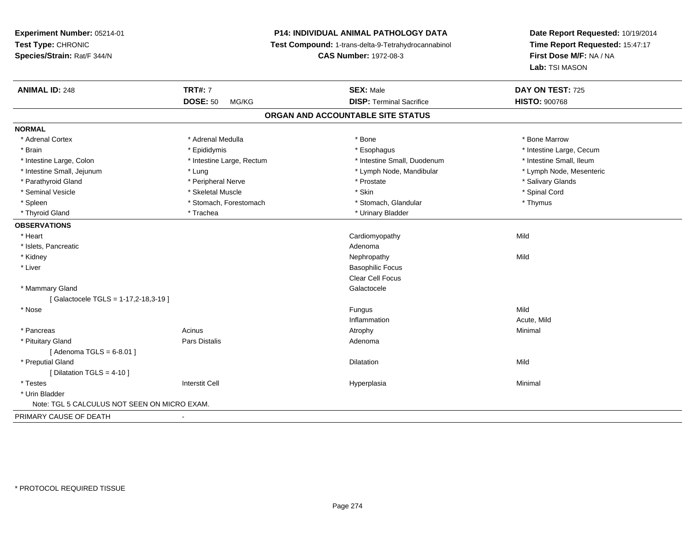# **P14: INDIVIDUAL ANIMAL PATHOLOGY DATA**

**Test Compound:** 1-trans-delta-9-Tetrahydrocannabinol

**CAS Number:** 1972-08-3

| <b>ANIMAL ID: 248</b>                        | <b>TRT#: 7</b>            | <b>SEX: Male</b>                  | DAY ON TEST: 725         |
|----------------------------------------------|---------------------------|-----------------------------------|--------------------------|
|                                              | <b>DOSE: 50</b><br>MG/KG  | <b>DISP: Terminal Sacrifice</b>   | <b>HISTO: 900768</b>     |
|                                              |                           | ORGAN AND ACCOUNTABLE SITE STATUS |                          |
| <b>NORMAL</b>                                |                           |                                   |                          |
| * Adrenal Cortex                             | * Adrenal Medulla         | * Bone                            | * Bone Marrow            |
| * Brain                                      | * Epididymis              | * Esophagus                       | * Intestine Large, Cecum |
| * Intestine Large, Colon                     | * Intestine Large, Rectum | * Intestine Small, Duodenum       | * Intestine Small, Ileum |
| * Intestine Small, Jejunum                   | * Lung                    | * Lymph Node, Mandibular          | * Lymph Node, Mesenteric |
| * Parathyroid Gland                          | * Peripheral Nerve        | * Prostate                        | * Salivary Glands        |
| * Seminal Vesicle                            | * Skeletal Muscle         | * Skin                            | * Spinal Cord            |
| * Spleen                                     | * Stomach, Forestomach    | * Stomach, Glandular              | * Thymus                 |
| * Thyroid Gland                              | * Trachea                 | * Urinary Bladder                 |                          |
| <b>OBSERVATIONS</b>                          |                           |                                   |                          |
| * Heart                                      |                           | Cardiomyopathy                    | Mild                     |
| * Islets, Pancreatic                         |                           | Adenoma                           |                          |
| * Kidney                                     |                           | Nephropathy                       | Mild                     |
| * Liver                                      |                           | <b>Basophilic Focus</b>           |                          |
|                                              |                           | Clear Cell Focus                  |                          |
| * Mammary Gland                              |                           | Galactocele                       |                          |
| [Galactocele TGLS = 1-17,2-18,3-19]          |                           |                                   |                          |
| * Nose                                       |                           | Fungus                            | Mild                     |
|                                              |                           | Inflammation                      | Acute, Mild              |
| * Pancreas                                   | Acinus                    | Atrophy                           | Minimal                  |
| * Pituitary Gland                            | <b>Pars Distalis</b>      | Adenoma                           |                          |
| [Adenoma TGLS = $6-8.01$ ]                   |                           |                                   |                          |
| * Preputial Gland                            |                           | Dilatation                        | Mild                     |
| [ Dilatation TGLS = $4-10$ ]                 |                           |                                   |                          |
| * Testes                                     | <b>Interstit Cell</b>     | Hyperplasia                       | Minimal                  |
| * Urin Bladder                               |                           |                                   |                          |
| Note: TGL 5 CALCULUS NOT SEEN ON MICRO EXAM. |                           |                                   |                          |
| PRIMARY CAUSE OF DEATH                       |                           |                                   |                          |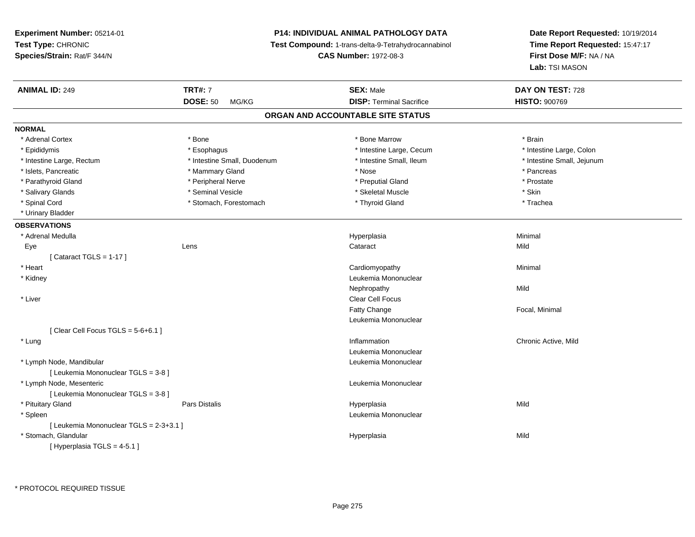**Experiment Number:** 05214-01**Test Type:** CHRONIC **Species/Strain:** Rat/F 344/N**P14: INDIVIDUAL ANIMAL PATHOLOGY DATA Test Compound:** 1-trans-delta-9-Tetrahydrocannabinol **CAS Number:** 1972-08-3**Date Report Requested:** 10/19/2014**Time Report Requested:** 15:47:17**First Dose M/F:** NA / NA**Lab:** TSI MASON**ANIMAL ID:** 249 **TRT#:** <sup>7</sup> **SEX:** Male **DAY ON TEST:** <sup>728</sup> **DOSE:** 50 MG/KG**DISP:** Terminal Sacrifice **HISTO:**  $900769$ **ORGAN AND ACCOUNTABLE SITE STATUSNORMAL**\* Adrenal Cortex \* Adrenal Cortex \* \* Adrenal Cortex \* Brain \* Bone \* \* Bone Marrow \* Bone Marrow \* \* Brain \* Brain \* Brain \* Brain \* Brain \* Brain \* Brain \* Brain \* Brain \* Brain \* Brain \* Brain \* Brain \* Brain \* Brain \* Brain \* Brain \* B \* Intestine Large, Colon \* Epididymis \* Esophagus \* Esophagus \* Esophagus \* 11testine Large, Cecum \* Intestine Large, Rectum \* Thestine Small, Duodenum \* Number of the small, Ileum \* Intestine Small, Jejunum \* Intestine Small, Jejunum \* Islets, Pancreatic \* \* \* Mammary Gland \* \* Mammary Gland \* \* Nose \* \* Pancreas \* Pancreas \* Pancreas \* \* Pancreas \* Prostate \* Parathyroid Gland \* **All and \* Peripheral Nerve \* Prostate and \* Preputial Gland** \* Preputial Gland \* Salivary Glands \* Seminal Vesicle \* Skeletal Muscle \* Skin\* Trachea \* Spinal Cord \* The stormach \* Stomach, Forestomach \* The \* Thyroid Gland \* Thyroid Gland \* Urinary Bladder**OBSERVATIONS** \* Adrenal Medullaa and the control of the control of the control of the Hyperplasia and the control of the Minimal of the control of the control of the control of the control of the control of the control of the control of the control of t Eyee the contract of the contract of the contract of the contract of the contract of the contract of the contract  $\mathsf{Mild}$  $[$  Cataract TGLS = 1-17  $]$  \* Heart Cardiomyopathy Minimal \* Kidney Leukemia Mononuclear Nephropathyy Mild \* Liver Clear Cell FocusFatty Change Focal, Minimal Leukemia Mononuclear $[$  Clear Cell Focus TGLS = 5-6+6.1  $]$  \* Lungg is a controller to the controller of the controller of the controller of the controller of the chronic Active, Mild Leukemia Mononuclear \* Lymph Node, Mandibular Leukemia Mononuclear [ Leukemia Mononuclear TGLS = 3-8 ] \* Lymph Node, Mesenteric Leukemia Mononuclear [ Leukemia Mononuclear TGLS = 3-8 ] \* Pituitary Gland Pars Distalis Hyperplasia Mild \* Spleen Leukemia Mononuclear [ Leukemia Mononuclear TGLS = 2-3+3.1 ] \* Stomach, Glandular Hyperplasiaa Mild [ Hyperplasia TGLS = 4-5.1 ]

\* PROTOCOL REQUIRED TISSUE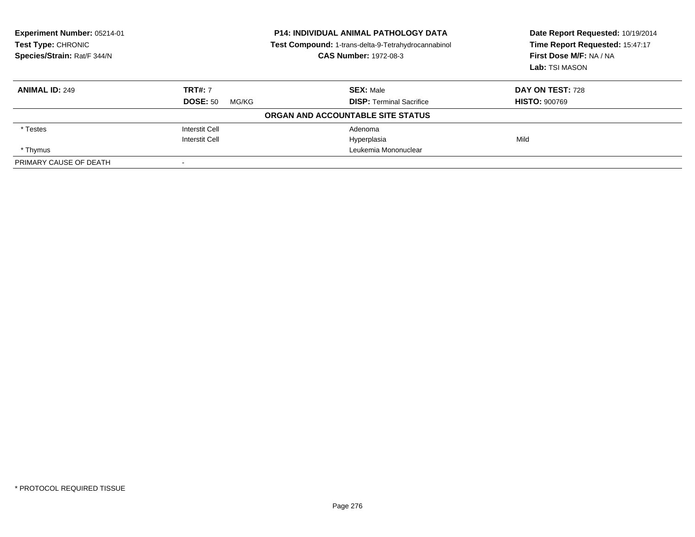| Experiment Number: 05214-01<br>Test Type: CHRONIC<br>Species/Strain: Rat/F 344/N | <b>P14: INDIVIDUAL ANIMAL PATHOLOGY DATA</b><br>Test Compound: 1-trans-delta-9-Tetrahydrocannabinol<br><b>CAS Number: 1972-08-3</b> |                                   | Date Report Requested: 10/19/2014<br>Time Report Requested: 15:47:17<br>First Dose M/F: NA / NA<br>Lab: TSI MASON |
|----------------------------------------------------------------------------------|-------------------------------------------------------------------------------------------------------------------------------------|-----------------------------------|-------------------------------------------------------------------------------------------------------------------|
| <b>ANIMAL ID: 249</b>                                                            | <b>TRT#: 7</b>                                                                                                                      | <b>SEX: Male</b>                  | DAY ON TEST: 728                                                                                                  |
|                                                                                  | <b>DOSE: 50</b><br>MG/KG                                                                                                            | <b>DISP:</b> Terminal Sacrifice   | <b>HISTO: 900769</b>                                                                                              |
|                                                                                  |                                                                                                                                     | ORGAN AND ACCOUNTABLE SITE STATUS |                                                                                                                   |
| * Testes                                                                         | <b>Interstit Cell</b>                                                                                                               | Adenoma                           |                                                                                                                   |
|                                                                                  | Interstit Cell                                                                                                                      | Hyperplasia                       | Mild                                                                                                              |
| * Thymus                                                                         |                                                                                                                                     | Leukemia Mononuclear              |                                                                                                                   |
| PRIMARY CAUSE OF DEATH                                                           |                                                                                                                                     |                                   |                                                                                                                   |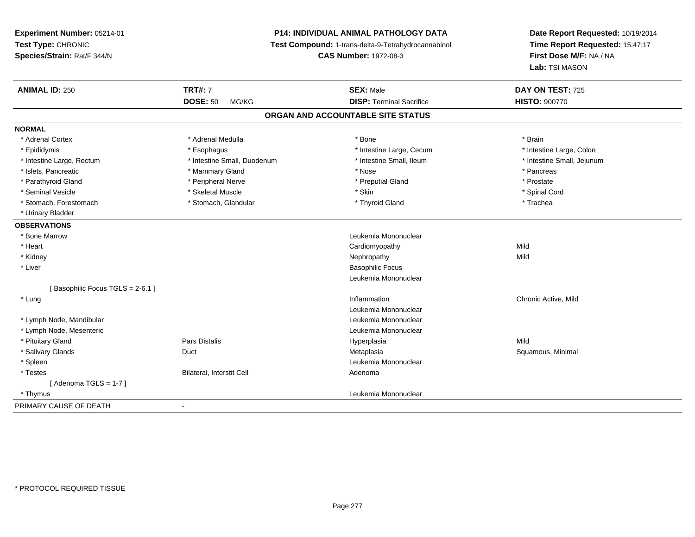**Experiment Number:** 05214-01**Test Type:** CHRONIC **Species/Strain:** Rat/F 344/N**P14: INDIVIDUAL ANIMAL PATHOLOGY DATA Test Compound:** 1-trans-delta-9-Tetrahydrocannabinol **CAS Number:** 1972-08-3**Date Report Requested:** 10/19/2014**Time Report Requested:** 15:47:17**First Dose M/F:** NA / NA**Lab:** TSI MASON**ANIMAL ID:** 250**TRT#:** 7 **SEX:** Male **DAY ON TEST:** 725 **DOSE:** 50 MG/KG **DISP:** Terminal Sacrifice **HISTO:** <sup>900770</sup> **ORGAN AND ACCOUNTABLE SITE STATUSNORMAL**\* Adrenal Cortex \* Adrenal Medulla \*  $\overline{a}$  \* Bone \*  $\overline{a}$  \* Brain \* Brain \* Brain \* Brain \* Brain \* Brain \* Brain \* Brain \* Brain \* Brain \* Brain \* Brain \* Brain \* Brain \* Brain \* Brain \* Brain \* Brain \* Brain \* Brain \* Brain \* Brain \* Intestine Large, Colon \* Epididymis \* Esophagus \* Esophagus \* Esophagus \* 11testine Large, Cecum \* Intestine Large, Rectum \* Thestine Small, Duodenum \* Number of the small, Ileum \* Intestine Small, Jejunum \* Intestine Small, Jejunum \* Islets, Pancreatic \* \* \* Mammary Gland \* \* Mammary Gland \* \* Nose \* \* Pancreas \* Pancreas \* Pancreas \* \* Pancreas \* Prostate \* Parathyroid Gland \* **All and \* Peripheral Nerve \* Peripheral Nerve** \* \* Preputial Gland \* Spinal Cord \* Seminal Vesicle \* \* Spinal Cord \* Skeletal Muscle \* \* Skin \* \* Skin \* \* Spinal Vesicle \* Spinal Cord \* Spinal Cord \* Stomach, Forestomach \* Trachea \* Stomach, Glandular \* Thyroid Gland \* Thyroid Gland \* Trachea \* Urinary Bladder**OBSERVATIONS** \* Bone Marrow Leukemia Mononuclear \* Heart Cardiomyopathyy Mild Mild \* Kidneyy the control of the control of the control of the control of the control of the control of the control of the control of the control of the control of the control of the control of the control of the control of the contro \* Liver Basophilic Focus Leukemia Mononuclear[ Basophilic Focus TGLS = 2-6.1 ] \* Lungg is a controller to the controller of the controller of the controller of the controller of the chronic Active, Mild Leukemia Mononuclear \* Lymph Node, Mandibular Leukemia Mononuclear \* Lymph Node, Mesenteric Leukemia Mononuclear \* Pituitary Gland Pars Distalis Hyperplasia Mild \* Salivary Glands Duct MetaplasiaMetaplasia **Matagoria and Squamous**, Minimal \* Spleen Leukemia Mononuclear \* TestesBilateral, Interstit Cell **Adenoma**  $[$  Adenoma TGLS = 1-7  $]$  \* Thymus Leukemia Mononuclear PRIMARY CAUSE OF DEATH-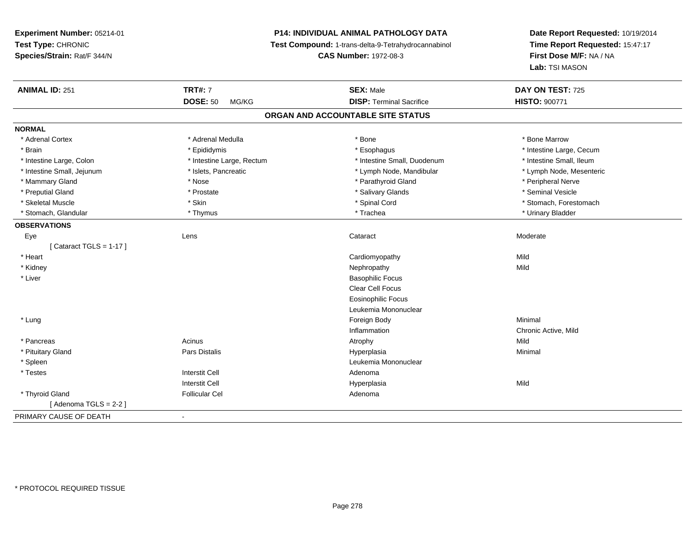# **P14: INDIVIDUAL ANIMAL PATHOLOGY DATA**

**Test Compound:** 1-trans-delta-9-Tetrahydrocannabinol

**CAS Number:** 1972-08-3

| <b>ANIMAL ID: 251</b>      | <b>TRT#: 7</b>            | <b>SEX: Male</b>                  | DAY ON TEST: 725         |
|----------------------------|---------------------------|-----------------------------------|--------------------------|
|                            | <b>DOSE: 50</b><br>MG/KG  | <b>DISP: Terminal Sacrifice</b>   | <b>HISTO: 900771</b>     |
|                            |                           | ORGAN AND ACCOUNTABLE SITE STATUS |                          |
| <b>NORMAL</b>              |                           |                                   |                          |
| * Adrenal Cortex           | * Adrenal Medulla         | * Bone                            | * Bone Marrow            |
| * Brain                    | * Epididymis              | * Esophagus                       | * Intestine Large, Cecum |
| * Intestine Large, Colon   | * Intestine Large, Rectum | * Intestine Small, Duodenum       | * Intestine Small, Ileum |
| * Intestine Small, Jejunum | * Islets, Pancreatic      | * Lymph Node, Mandibular          | * Lymph Node, Mesenteric |
| * Mammary Gland            | * Nose                    | * Parathyroid Gland               | * Peripheral Nerve       |
| * Preputial Gland          | * Prostate                | * Salivary Glands                 | * Seminal Vesicle        |
| * Skeletal Muscle          | * Skin                    | * Spinal Cord                     | * Stomach, Forestomach   |
| * Stomach, Glandular       | * Thymus                  | * Trachea                         | * Urinary Bladder        |
| <b>OBSERVATIONS</b>        |                           |                                   |                          |
| Eye                        | Lens                      | Cataract                          | Moderate                 |
| [Cataract TGLS = $1-17$ ]  |                           |                                   |                          |
| * Heart                    |                           | Cardiomyopathy                    | Mild                     |
| * Kidney                   |                           | Nephropathy                       | Mild                     |
| * Liver                    |                           | <b>Basophilic Focus</b>           |                          |
|                            |                           | Clear Cell Focus                  |                          |
|                            |                           | <b>Eosinophilic Focus</b>         |                          |
|                            |                           | Leukemia Mononuclear              |                          |
| * Lung                     |                           | Foreign Body                      | Minimal                  |
|                            |                           | Inflammation                      | Chronic Active, Mild     |
| * Pancreas                 | Acinus                    | Atrophy                           | Mild                     |
| * Pituitary Gland          | <b>Pars Distalis</b>      | Hyperplasia                       | Minimal                  |
| * Spleen                   |                           | Leukemia Mononuclear              |                          |
| * Testes                   | <b>Interstit Cell</b>     | Adenoma                           |                          |
|                            | <b>Interstit Cell</b>     | Hyperplasia                       | Mild                     |
| * Thyroid Gland            | <b>Follicular Cel</b>     | Adenoma                           |                          |
| [Adenoma TGLS = $2-2$ ]    |                           |                                   |                          |
| PRIMARY CAUSE OF DEATH     | $\blacksquare$            |                                   |                          |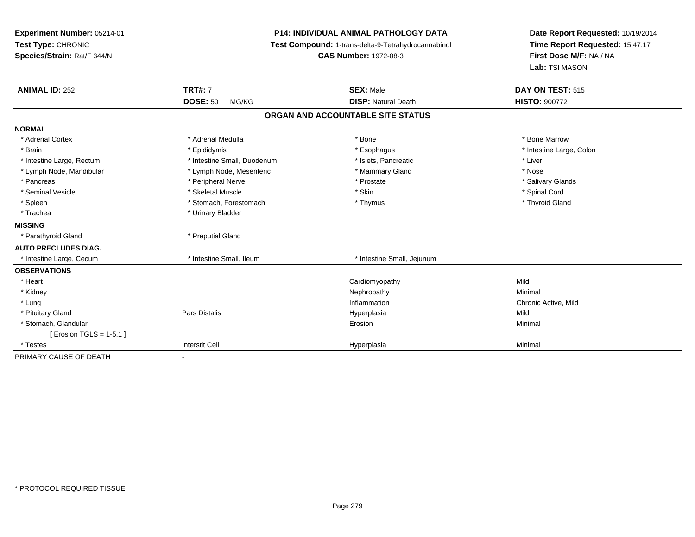| Experiment Number: 05214-01<br>Test Type: CHRONIC<br>Species/Strain: Rat/F 344/N |                             | <b>P14: INDIVIDUAL ANIMAL PATHOLOGY DATA</b><br>Test Compound: 1-trans-delta-9-Tetrahydrocannabinol<br><b>CAS Number: 1972-08-3</b> | Date Report Requested: 10/19/2014<br>Time Report Requested: 15:47:17<br>First Dose M/F: NA / NA<br>Lab: TSI MASON |  |
|----------------------------------------------------------------------------------|-----------------------------|-------------------------------------------------------------------------------------------------------------------------------------|-------------------------------------------------------------------------------------------------------------------|--|
| <b>ANIMAL ID: 252</b>                                                            | <b>TRT#: 7</b>              | <b>SEX: Male</b>                                                                                                                    | DAY ON TEST: 515                                                                                                  |  |
|                                                                                  | <b>DOSE: 50</b><br>MG/KG    | <b>DISP: Natural Death</b>                                                                                                          | <b>HISTO: 900772</b>                                                                                              |  |
|                                                                                  |                             | ORGAN AND ACCOUNTABLE SITE STATUS                                                                                                   |                                                                                                                   |  |
| <b>NORMAL</b>                                                                    |                             |                                                                                                                                     |                                                                                                                   |  |
| * Adrenal Cortex                                                                 | * Adrenal Medulla           | * Bone                                                                                                                              | * Bone Marrow                                                                                                     |  |
| * Brain                                                                          | * Epididymis                | * Esophagus                                                                                                                         | * Intestine Large, Colon                                                                                          |  |
| * Intestine Large, Rectum                                                        | * Intestine Small, Duodenum | * Islets, Pancreatic                                                                                                                | * Liver                                                                                                           |  |
| * Lymph Node, Mandibular                                                         | * Lymph Node, Mesenteric    | * Mammary Gland                                                                                                                     | * Nose                                                                                                            |  |
| * Pancreas                                                                       | * Peripheral Nerve          | * Prostate                                                                                                                          | * Salivary Glands                                                                                                 |  |
| * Seminal Vesicle                                                                | * Skeletal Muscle           | * Skin                                                                                                                              | * Spinal Cord                                                                                                     |  |
| * Spleen                                                                         | * Stomach, Forestomach      | * Thymus                                                                                                                            | * Thyroid Gland                                                                                                   |  |
| * Trachea                                                                        | * Urinary Bladder           |                                                                                                                                     |                                                                                                                   |  |
| <b>MISSING</b>                                                                   |                             |                                                                                                                                     |                                                                                                                   |  |
| * Parathyroid Gland                                                              | * Preputial Gland           |                                                                                                                                     |                                                                                                                   |  |
| <b>AUTO PRECLUDES DIAG.</b>                                                      |                             |                                                                                                                                     |                                                                                                                   |  |
| * Intestine Large, Cecum                                                         | * Intestine Small, Ileum    | * Intestine Small, Jejunum                                                                                                          |                                                                                                                   |  |
| <b>OBSERVATIONS</b>                                                              |                             |                                                                                                                                     |                                                                                                                   |  |
| * Heart                                                                          |                             | Cardiomyopathy                                                                                                                      | Mild                                                                                                              |  |
| * Kidney                                                                         |                             | Nephropathy                                                                                                                         | Minimal                                                                                                           |  |
| * Lung                                                                           |                             | Inflammation                                                                                                                        | Chronic Active, Mild                                                                                              |  |
| * Pituitary Gland                                                                | Pars Distalis               | Hyperplasia                                                                                                                         | Mild                                                                                                              |  |
| * Stomach, Glandular                                                             |                             | Erosion                                                                                                                             | Minimal                                                                                                           |  |
| [ Erosion TGLS = 1-5.1 ]                                                         |                             |                                                                                                                                     |                                                                                                                   |  |
| * Testes                                                                         | <b>Interstit Cell</b>       | Hyperplasia                                                                                                                         | Minimal                                                                                                           |  |
| PRIMARY CAUSE OF DEATH                                                           |                             |                                                                                                                                     |                                                                                                                   |  |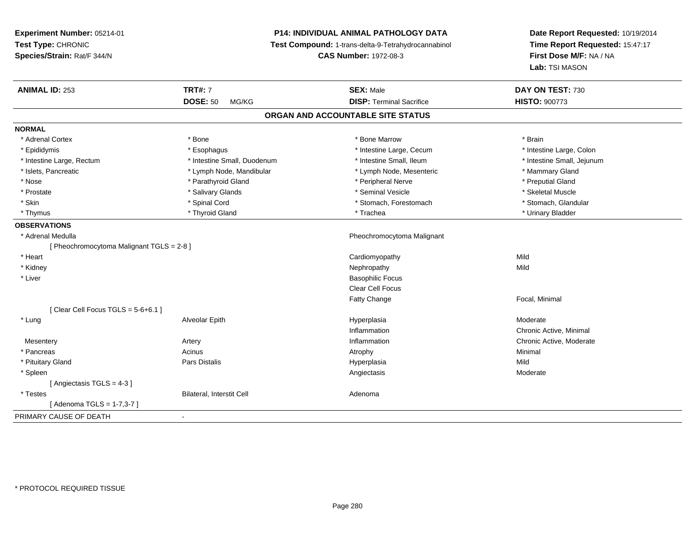# **P14: INDIVIDUAL ANIMAL PATHOLOGY DATA**

**Test Compound:** 1-trans-delta-9-Tetrahydrocannabinol

**CAS Number:** 1972-08-3

| <b>ANIMAL ID: 253</b>                     | <b>TRT#: 7</b>              | <b>SEX: Male</b>                  | DAY ON TEST: 730           |
|-------------------------------------------|-----------------------------|-----------------------------------|----------------------------|
|                                           | <b>DOSE: 50</b><br>MG/KG    | <b>DISP: Terminal Sacrifice</b>   | <b>HISTO: 900773</b>       |
|                                           |                             | ORGAN AND ACCOUNTABLE SITE STATUS |                            |
| <b>NORMAL</b>                             |                             |                                   |                            |
| * Adrenal Cortex                          | * Bone                      | * Bone Marrow                     | * Brain                    |
| * Epididymis                              | * Esophagus                 | * Intestine Large, Cecum          | * Intestine Large, Colon   |
| * Intestine Large, Rectum                 | * Intestine Small, Duodenum | * Intestine Small, Ileum          | * Intestine Small, Jejunum |
| * Islets, Pancreatic                      | * Lymph Node, Mandibular    | * Lymph Node, Mesenteric          | * Mammary Gland            |
| * Nose                                    | * Parathyroid Gland         | * Peripheral Nerve                | * Preputial Gland          |
| * Prostate                                | * Salivary Glands           | * Seminal Vesicle                 | * Skeletal Muscle          |
| * Skin                                    | * Spinal Cord               | * Stomach, Forestomach            | * Stomach, Glandular       |
| * Thymus                                  | * Thyroid Gland             | * Trachea                         | * Urinary Bladder          |
| <b>OBSERVATIONS</b>                       |                             |                                   |                            |
| * Adrenal Medulla                         |                             | Pheochromocytoma Malignant        |                            |
| [ Pheochromocytoma Malignant TGLS = 2-8 ] |                             |                                   |                            |
| * Heart                                   |                             | Cardiomyopathy                    | Mild                       |
| * Kidney                                  |                             | Nephropathy                       | Mild                       |
| * Liver                                   |                             | <b>Basophilic Focus</b>           |                            |
|                                           |                             | Clear Cell Focus                  |                            |
|                                           |                             | <b>Fatty Change</b>               | Focal, Minimal             |
| [ Clear Cell Focus TGLS = $5-6+6.1$ ]     |                             |                                   |                            |
| * Lung                                    | Alveolar Epith              | Hyperplasia                       | Moderate                   |
|                                           |                             | Inflammation                      | Chronic Active, Minimal    |
| Mesentery                                 | Artery                      | Inflammation                      | Chronic Active, Moderate   |
| * Pancreas                                | Acinus                      | Atrophy                           | Minimal                    |
| * Pituitary Gland                         | <b>Pars Distalis</b>        | Hyperplasia                       | Mild                       |
| * Spleen                                  |                             | Angiectasis                       | Moderate                   |
| [Angiectasis TGLS = 4-3]                  |                             |                                   |                            |
| * Testes                                  | Bilateral, Interstit Cell   | Adenoma                           |                            |
| [ Adenoma TGLS = 1-7,3-7 ]                |                             |                                   |                            |
| PRIMARY CAUSE OF DEATH                    | $\blacksquare$              |                                   |                            |
|                                           |                             |                                   |                            |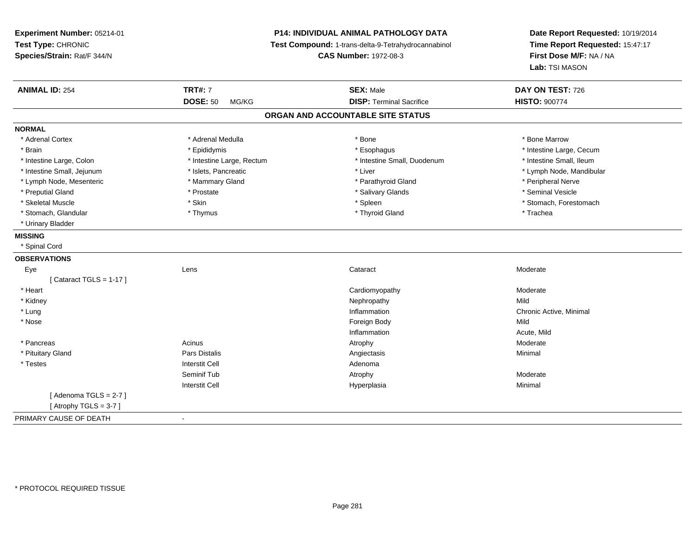**Experiment Number:** 05214-01**Test Type:** CHRONIC **Species/Strain:** Rat/F 344/N**P14: INDIVIDUAL ANIMAL PATHOLOGY DATA Test Compound:** 1-trans-delta-9-Tetrahydrocannabinol **CAS Number:** 1972-08-3**Date Report Requested:** 10/19/2014**Time Report Requested:** 15:47:17**First Dose M/F:** NA / NA**Lab:** TSI MASON**ANIMAL ID:** 254 **TRT#:** <sup>7</sup> **SEX:** Male **DAY ON TEST:** <sup>726</sup> **DOSE:** 50 MG/KG **DISP:** Terminal Sacrifice **HISTO:** <sup>900774</sup> **ORGAN AND ACCOUNTABLE SITE STATUSNORMAL**\* Adrenal Cortex \* Adrenal Medulla \* Adrenal Medulla \* Bone \* Bone \* Bone \* Bone \* Bone Marrow \* Brain \* Explorer \* Epididymis \* \* Epididymis \* \* Esophagus \* Esophagus \* \* Esophagus \* Intestine Large, Cecum \* \* Intestine Large, Cecum \* Intestine Small, Ileum \* Intestine Large, Colon \* Intestine Large, Rectum \* Intestine Small, Duodenum \* Intestine Small, Duodenum \* Intestine Small, Jejunum \* \* et \* \* http://www.fat.com/mandibulary.com/mandibulary/state/state/state/state/state/state/state/state/state/state/state/state/state/state/state/state/state/state/state/state/state/state/state \* Lymph Node, Mesenteric \* The matter of the Mammary Gland \* Mammary Gland \* Parathyroid Gland \* Peripheral Nerve \* Seminal Vesicle \* Preputial Gland \* \* Annual vesicle \* \* Prostate \* \* Salivary Glands \* \* Salivary Glands \* \* Seminal Vesicle \* \* Skeletal Muscle \* The stomach \* Skin \* Spleen \* Spleen \* Stomach, Forestomach \* Stomach, Forestomach \* Stomach, Glandular \* Thymus \* Thymus \* Thymus \* Thyroid Gland \* Thyroid Gland \* Thachea \* Urinary Bladder**MISSING** \* Spinal Cord**OBSERVATIONS** Eyee which contains the context of the context of the context of the context of the context of the context of the context of the context of the context of the context of the context of the context of the context of the contex  $[$  Cataract TGLS = 1-17  $]$  \* Heart Cardiomyopathyy Moderate \* Kidneyy the controller of the controller of the controller of the controller of the controller of the controller of the controller of the controller of the controller of the controller of the controller of the controller of the Chronic Active, Minimal \* Lungg is a controller to the controller of the controller of the chronic Active, Minimal of the chronic Active, Minimal of the chronic Active, Minimal of the chronic Active, Minimal of the chronic Active, Minimal of the chroni \* Nosee and the state of the state of the state of the state of the state of the state of the state of the state of the state of the state of the state of the state of the state of the state of the state of the state of the stat Inflammation Acute, Mild \* Pancreass and the contract of the Acinus and the Acinus and the Atrophy and the Moderate Moderate of the Moderate of the Moderate of the Moderate of the Moderate of the Moderate of the Moderate of the Moderate of the Moderate of t \* Pituitary Gland Pars Distalis Angiectasis Minimal \* Testess and the contractive contractive contractive contractive contractive contractive contractive contractive contractive contractive contractive contractive contractive contractive contractive contractive contractive contract Seminif Tub Atrophy Moderate Interstit Cell Hyperplasiaa **Minimal**  $[$  Adenoma TGLS = 2-7  $]$  $[$  Atrophy TGLS = 3-7  $]$ PRIMARY CAUSE OF DEATH-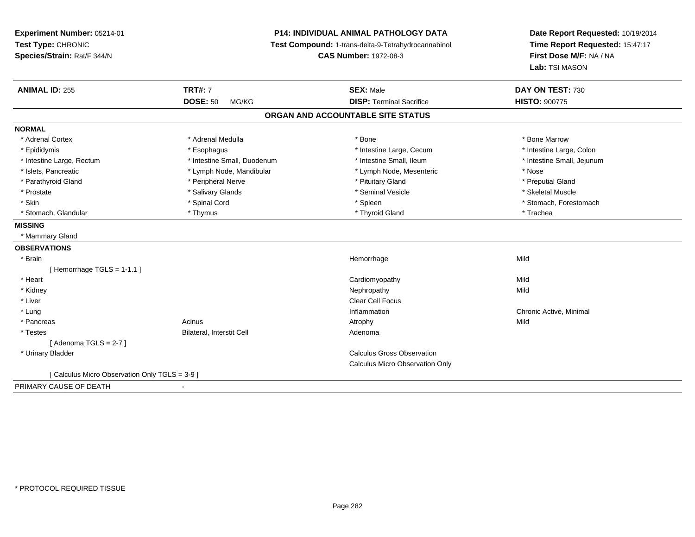**Experiment Number:** 05214-01**Test Type:** CHRONIC **Species/Strain:** Rat/F 344/N**P14: INDIVIDUAL ANIMAL PATHOLOGY DATA Test Compound:** 1-trans-delta-9-Tetrahydrocannabinol **CAS Number:** 1972-08-3**Date Report Requested:** 10/19/2014**Time Report Requested:** 15:47:17**First Dose M/F:** NA / NA**Lab:** TSI MASON**ANIMAL ID:** 255**TRT#:** 7 **SEX:** Male **DAY ON TEST:** 730 **DOSE:** 50 MG/KG **DISP:** Terminal Sacrifice **HISTO:** <sup>900775</sup> **ORGAN AND ACCOUNTABLE SITE STATUSNORMAL**\* Adrenal Cortex \* Adrenal Medulla \* Adrenal Medulla \* Bone \* Bone \* Bone \* Bone \* Bone Marrow \* Intestine Large, Colon \* Epididymis \* Esophagus \* Esophagus \* Esophagus \* 11testine Large, Cecum \* Intestine Large, Rectum \* Thestine Small, Duodenum \* Number of the small, Ileum \* Intestine Small, Jejunum \* Intestine Small, Jejunum \* Islets, Pancreatic \* Lymph Node, Mandibular \* Lymph Node, Mesenteric \* Nose\* Preputial Gland \* Parathyroid Gland \* \* The parathyroid Gland \* Peripheral Nerve \* \* Preputial Gland \* Preputial Gland \* \* Preputial Gland \* \* Preputial Gland \* \* Preputial Gland \* \* Preputial Gland \* \* Preputial Gland \* \* Preputial Gland \* Skeletal Muscle \* Prostate \* \* Skeletal Muscle \* \* Salivary Glands \* \* Steminal Vesicle \* \* Seminal Vesicle \* \* Skeletal Muscle \* Skin \* Spinal Cord \* Spinal Cord \* Spinal Cord \* Spinal \* Spinal \* Stomach, Forestomach \* Stomach, Forestomach \* Stomach, Glandular \* Thymus \* Thyroid Gland \* Trachea**MISSING** \* Mammary Gland**OBSERVATIONS** \* Brainn and the state of the state of the state of the state of the Middle State of the Middle State of the Middle St [ Hemorrhage TGLS = 1-1.1 ] \* Heart Cardiomyopathyy Mild **Mild**  \* Kidneyy the controller of the controller of the controller of the controller of the controller of the controller of the controller of the controller of the controller of the controller of the controller of the controller of the \* Liverr and the contract of the contract of the contract of the contract of the contract of the contract of the contract of the contract of the contract of the contract of the contract of the contract of the contract of the cont \* Lungg is a controller to the controller of the controller of the chronic Active, Minimal of the chronic Active, Minimal of the chronic Active, Minimal of the chronic Active, Minimal of the chronic Active, Minimal of the chroni \* Pancreass the contract of the contract of the contract of the contract of the contract of the contract of the contract of the contract of the contract of the contract of the contract of the contract of the contract of the contract \* TestesBilateral, Interstit Cell **Adenoma** Adenoma  $[$  Adenoma TGLS = 2-7  $]$  \* Urinary Bladder Calculus Gross Observation Calculus Micro Observation Only[ Calculus Micro Observation Only TGLS = 3-9 ]

PRIMARY CAUSE OF DEATH-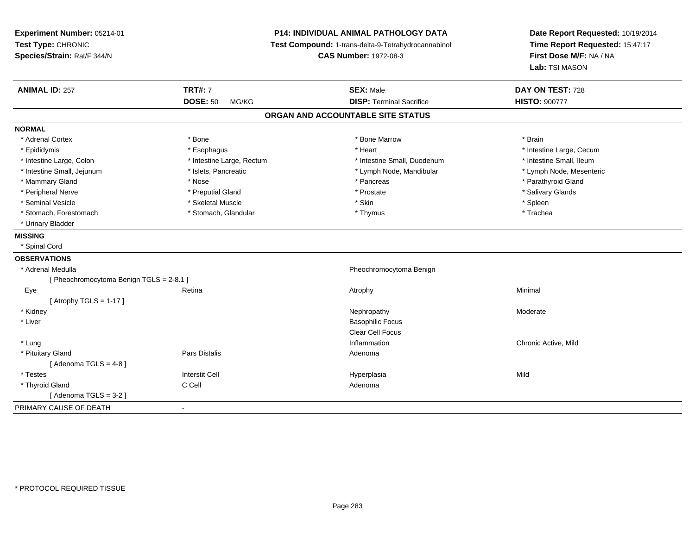**Experiment Number:** 05214-01**Test Type:** CHRONIC **Species/Strain:** Rat/F 344/N**P14: INDIVIDUAL ANIMAL PATHOLOGY DATA Test Compound:** 1-trans-delta-9-Tetrahydrocannabinol **CAS Number:** 1972-08-3**Date Report Requested:** 10/19/2014**Time Report Requested:** 15:47:17**First Dose M/F:** NA / NA**Lab:** TSI MASON**ANIMAL ID:** 257 **TRT#:** <sup>7</sup> **SEX:** Male **DAY ON TEST:** <sup>728</sup> **DOSE:** 50 MG/KG **DISP:** Terminal Sacrifice **HISTO:** <sup>900777</sup> **ORGAN AND ACCOUNTABLE SITE STATUSNORMAL**\* Adrenal Cortex \* Adrenal Cortex \* \* Adrenal Cortex \* Brain \* Bone \* \* Bone Marrow \* Bone Marrow \* \* Brain \* Brain \* Brain \* Brain \* Brain \* Brain \* Brain \* Brain \* Brain \* Brain \* Brain \* Brain \* Brain \* Brain \* Brain \* Brain \* Brain \* B \* Epididymis **Account 19 and 19 and 19 and 19 and 19 and 19 and 19 and 19 and 19 and 19 and 19 and 19 and 19 and 19 and 19 and 19 and 19 and 19 and 19 and 19 and 19 and 19 and 19 and 19 and 19 and 19 and 19 and 19 and 19 a** \* Intestine Small, Ileum \* Intestine Large, Colon \* Intestine Large, Rectum \* Intestine Small, Duodenum \* Intestine Small, Duodenum \* Lymph Node, Mesenteric \* Intestine Small, Jejunum \* Mandibular \* Islets, Pancreatic \* Mandibular \* Lymph Node, Mandibular \* Mammary Gland \* \* Nose \* \* Nose \* \* Pancreas \* Pancreas \* \* Pancreas \* \* Pancreas \* \* Pancreas \* \* Parathyroid Gland \* Peripheral Nerve \* \* \* Preputial Gland \* \* Preputial Gland \* \* Prostate \* \* Salivary Glands \* Salivary Glands \* Seminal Vesicle \* \* \* Sheem \* Skeletal Muscle \* \* Stemme \* Skin \* \* Skin \* \* Spleen \* Spleen \* Spleen \* Spleen \* Trachea \* Stomach, Forestomach \* Thymus \* Stomach, Glandular \* Thymus \* Thymus \* Thymus \* Thymus \* Thymus \* Thymus \* Thymus \* Thymus \* Thymus \* Thymus \* Thymus \* Thymus \* Thymus \* Thymus \* Thymus \* Thymus \* Thymus \* Thymus \* Thymu \* Urinary Bladder**MISSING** \* Spinal Cord**OBSERVATIONS** \* Adrenal Medulla Pheochromocytoma Benign [ Pheochromocytoma Benign TGLS = 2-8.1 ] Eyee and the setting of the Retina and the control of the Minimal Atrophy and the control of the Minimal Minimal  $\lambda$  $[$  Atrophy TGLS = 1-17  $]$  \* Kidneyy the controller that the controller temperature of  $\lambda$  . Nephropathy the controller temperature  $\lambda$  Moderate \* Liverr and the contract of the contract of the contract of the contract of the contract of the Basophilic Focus of the contract of the contract of the contract of the contract of the contract of the contract of the contract of Clear Cell Focus \* Lung Inflammation Chronic Active, Mild \* Pituitary Glandd and the set of Pars Distalis and the Second Adenomal Adenomal Second Second Pars Distallis  $[$  Adenoma TGLS = 4-8  $]$  \* Testess Interstit Cell Hyperplasia a Mild \* Thyroid Glandd C Cell C Cell C Cell and the Adenoma [ Adenoma TGLS = 3-2 ]PRIMARY CAUSE OF DEATH-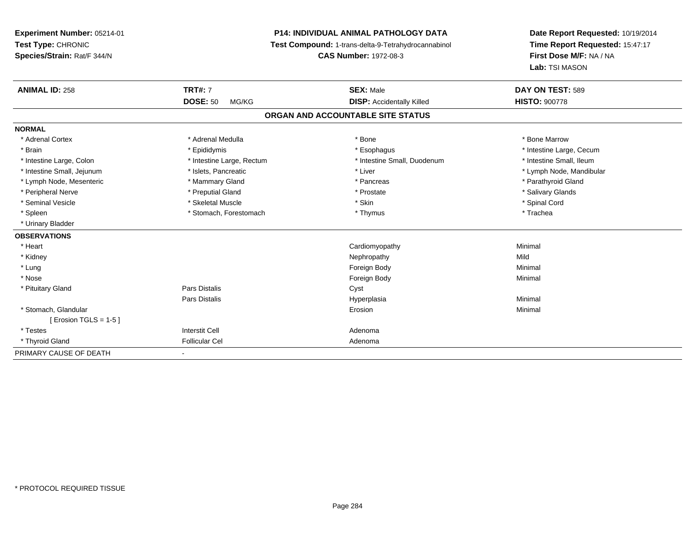# **P14: INDIVIDUAL ANIMAL PATHOLOGY DATA**

**Test Compound:** 1-trans-delta-9-Tetrahydrocannabinol

**CAS Number:** 1972-08-3

| <b>ANIMAL ID: 258</b>      | <b>TRT#: 7</b>            | <b>SEX: Male</b>                  | DAY ON TEST: 589         |
|----------------------------|---------------------------|-----------------------------------|--------------------------|
|                            | <b>DOSE: 50</b><br>MG/KG  | <b>DISP:</b> Accidentally Killed  | <b>HISTO: 900778</b>     |
|                            |                           | ORGAN AND ACCOUNTABLE SITE STATUS |                          |
| <b>NORMAL</b>              |                           |                                   |                          |
| * Adrenal Cortex           | * Adrenal Medulla         | * Bone                            | * Bone Marrow            |
| * Brain                    | * Epididymis              | * Esophagus                       | * Intestine Large, Cecum |
| * Intestine Large, Colon   | * Intestine Large, Rectum | * Intestine Small, Duodenum       | * Intestine Small, Ileum |
| * Intestine Small, Jejunum | * Islets, Pancreatic      | * Liver                           | * Lymph Node, Mandibular |
| * Lymph Node, Mesenteric   | * Mammary Gland           | * Pancreas                        | * Parathyroid Gland      |
| * Peripheral Nerve         | * Preputial Gland         | * Prostate                        | * Salivary Glands        |
| * Seminal Vesicle          | * Skeletal Muscle         | * Skin                            | * Spinal Cord            |
| * Spleen                   | * Stomach, Forestomach    | * Thymus                          | * Trachea                |
| * Urinary Bladder          |                           |                                   |                          |
| <b>OBSERVATIONS</b>        |                           |                                   |                          |
| * Heart                    |                           | Cardiomyopathy                    | Minimal                  |
| * Kidney                   |                           | Nephropathy                       | Mild                     |
| * Lung                     |                           | Foreign Body                      | Minimal                  |
| * Nose                     |                           | Foreign Body                      | Minimal                  |
| * Pituitary Gland          | Pars Distalis             | Cyst                              |                          |
|                            | Pars Distalis             | Hyperplasia                       | Minimal                  |
| * Stomach, Glandular       |                           | Erosion                           | Minimal                  |
| [ Erosion TGLS = $1-5$ ]   |                           |                                   |                          |
| * Testes                   | <b>Interstit Cell</b>     | Adenoma                           |                          |
| * Thyroid Gland            | <b>Follicular Cel</b>     | Adenoma                           |                          |
| PRIMARY CAUSE OF DEATH     |                           |                                   |                          |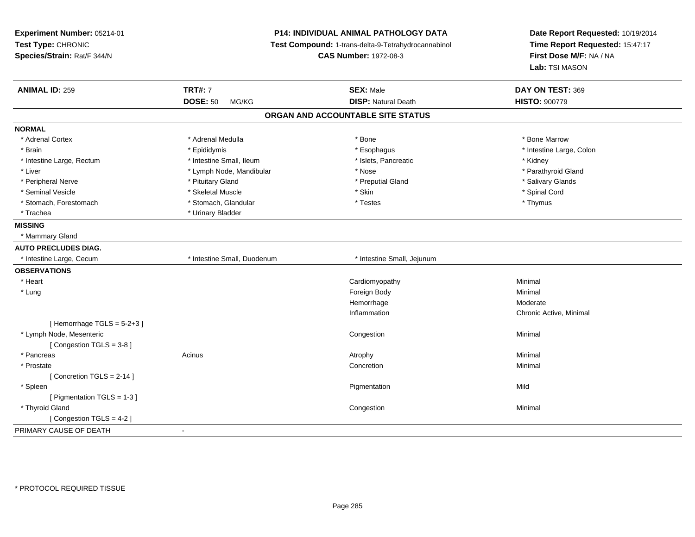**Experiment Number:** 05214-01**Test Type:** CHRONIC **Species/Strain:** Rat/F 344/N**P14: INDIVIDUAL ANIMAL PATHOLOGY DATA Test Compound:** 1-trans-delta-9-Tetrahydrocannabinol **CAS Number:** 1972-08-3**Date Report Requested:** 10/19/2014**Time Report Requested:** 15:47:17**First Dose M/F:** NA / NA**Lab:** TSI MASON**ANIMAL ID:** 259**TRT#:** 7 **SEX:** Male **DAY ON TEST:** 369 **DOSE:** 50 MG/KG**DISP:** Natural Death **HISTO:**  $900779$ **ORGAN AND ACCOUNTABLE SITE STATUSNORMAL**\* Adrenal Cortex \* Adrenal Medulla \* Adrenal Medulla \* Bone \* Bone \* Bone \* Bone \* Bone Marrow \* Brain \* The the state of the state of the state of the state of the state of the state of the state of the state of the state of the state of the state of the state of the state of the state of the state of the state of \* Intestine Large, Rectum \* Thestine Small, Ileum \* 1998 \* Islets, Pancreatic \* \* Kidney \* Kidney \* Kidney \* Parathyroid Gland \* Liver \* Lymph Node, Mandibular \* Nose \* Nose \* Parathyroid Gland Channel Gland Channel Gland Channel Channel Channel Channel Channel Channel Channel Channel Channel Channel Channel Channel Channel Channel Channel Channel \* Peripheral Nerve \* \* Andrew \* Pituitary Gland \* Preputial Gland \* Preputial Gland \* \* Salivary Glands \* Salivary Glands \* Salivary Glands \* Salivary Glands \* Salivary Glands \* Salivary Glands \* Salivary Glands \* Salivary \* Seminal Vesicle \* \* Spinal Cord \* Skeletal Muscle \* \* Skin \* \* Skin \* \* Spinal Vesicle \* Spinal Cord \* Spinal Cord \* Stomach, Forestomach \* Thymus \* Stomach, Glandular \* Testes \* The \* Testes \* Thymus \* Thymus \* Trachea \* Urinary Bladder**MISSING** \* Mammary Gland**AUTO PRECLUDES DIAG.** \* Intestine Large, Cecum \* Intestine Small, Duodenum \* Intestine Small, Jejunum**OBSERVATIONS** \* Heart Cardiomyopathy Minimal \* Lungg and the state of the state of the state of the state of the state of the state of the state of the state of the state of the state of the state of the state of the state of the state of the state of the state of the stat Hemorrhagee Moderate Inflammation Chronic Active, Minimal  $[$  Hemorrhage TGLS = 5-2+3  $]$  \* Lymph Node, Mesentericc<sub>ongestion</sub> contracts the congestion of the congestion of the congestion of the congestion n and a basic control of the Minimal [ Congestion TGLS = 3-8 ] \* Pancreass the control of the control of the control of the control of the control of the control of the control of the control of the control of the control of the control of the control of the control of the control of the contro \* Prostatee de la concertion de la concertion de la concertion de la concertion de la concertion de la concertion de la concertion de la concertion de la concertion de la concertion de la concertion de la concertion de la concertion [ Concretion TGLS = 2-14 ] \* Spleenn and the control of the control of the control of the control of the control of the control of the control of the control of the control of the control of the control of the control of the control of the control of the co [ Pigmentation TGLS = 1-3 ] \* Thyroid Glandd and the congression of the congression of the congression of the congression of the congression of the congression  $\mathsf{Minimal}$ [ Congestion TGLS = 4-2 ]PRIMARY CAUSE OF DEATH-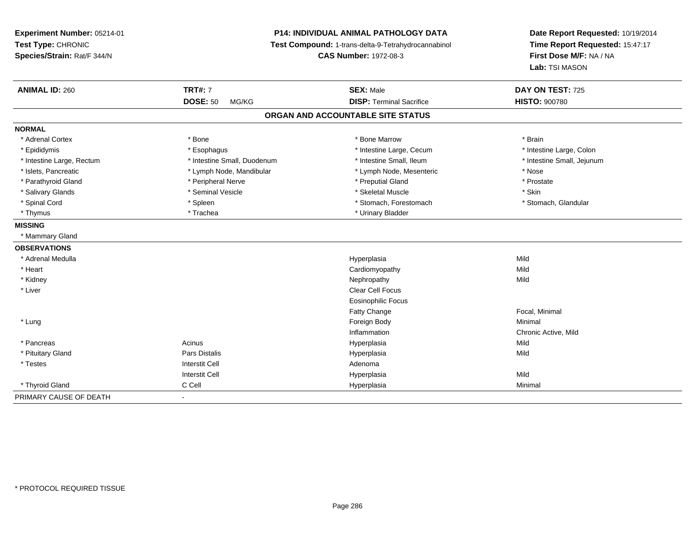**Experiment Number:** 05214-01**Test Type:** CHRONIC **Species/Strain:** Rat/F 344/N**P14: INDIVIDUAL ANIMAL PATHOLOGY DATA Test Compound:** 1-trans-delta-9-Tetrahydrocannabinol **CAS Number:** 1972-08-3**Date Report Requested:** 10/19/2014**Time Report Requested:** 15:47:17**First Dose M/F:** NA / NA**Lab:** TSI MASON**ANIMAL ID:** 260**TRT#:** 7 **SEX:** Male **DAY ON TEST:** 725 **DOSE:** 50 MG/KG **DISP:** Terminal Sacrifice **HISTO:** <sup>900780</sup> **ORGAN AND ACCOUNTABLE SITE STATUSNORMAL**\* Adrenal Cortex \* Adrenal Cortex \* \* Adrenal Cortex \* Brain \* Bone \* \* Bone Marrow \* Bone Marrow \* \* Brain \* Brain \* Brain \* Brain \* Brain \* Brain \* Brain \* Brain \* Brain \* Brain \* Brain \* Brain \* Brain \* Brain \* Brain \* Brain \* Brain \* B \* Intestine Large, Colon \* Epididymis \* Intestine Large, Cecum \* Esophagus \* Intestine Large, Cecum \* Intestine Large, Cecum \* Intestine Small, Jejunum \* Intestine Large, Rectum \* Intestine Small, Duodenum \* Intestine Small, Duodenum \* \* Intestine Small, Ileum \* Islets, Pancreatic \* The same \* Lymph Node, Mandibular \* Lymph Node, Mesenteric \* Nose \* Nose \* Prostate \* Parathyroid Gland \* **All and \* Peripheral Nerve** \* Peripheral Nerve \* \* Preputial Gland \* Salivary Glands \* Seminal Vesicle \* Skeletal Muscle \* Skin\* Stomach, Glandular \* Spinal Cord \* Spinal Cord \* Spinal Cord \* Stomach, Forestomach \* Stomach, Forestomach \* Stomach, Forestomach \* Thymus \* Trachea \* Trachea \* Urinary Bladder **MISSING** \* Mammary Gland**OBSERVATIONS** \* Adrenal Medullaa and the control of the control of the control of the Hyperplasia and the control of the Mild of the control o \* Heart Cardiomyopathyy Mild Mild \* Kidneyy the controller of the controller of the controller of the controller of the controller of the controller of the controller of the controller of the controller of the controller of the controller of the controller of the \* Liverr and the contract of the contract of the contract of the contract of the contract of the contract of the contract of the contract of the contract of the contract of the contract of the contract of the contract of the cont Eosinophilic FocusFatty ChangeFatty Change **Faction Contract Contract Contract Contract Contract Contract Contract Contract Contract Contract Contract Contract Contract Contract Contract Contract Contract Contract Contract Contract Contract Contract Co**  \* Lungg and the state of the state of the state of the state of the state of the state of the state of the state of the state of the state of the state of the state of the state of the state of the state of the state of the stat InflammationInflammation Chronic Active, Mild<br>
Hyperplasia Mild Hyperplasia \* Pancreas Acinus Hyperplasiaa Mild \* Pituitary Gland Pars Distalis Hyperplasia Mild \* Testess and the contractive contractive contractive contractive contractive contractive contractive contractive contractive contractive contractive contractive contractive contractive contractive contractive contractive contract I Contract to the Contract of the Hyperplasia Interstit Cella Mild \* Thyroid Gland C Cell Hyperplasia Minimal PRIMARY CAUSE OF DEATH-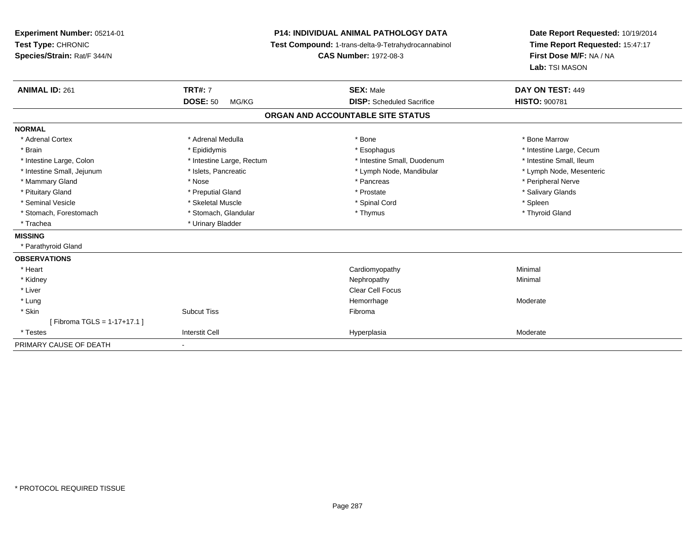**Experiment Number:** 05214-01**Test Type:** CHRONIC **Species/Strain:** Rat/F 344/N**P14: INDIVIDUAL ANIMAL PATHOLOGY DATA Test Compound:** 1-trans-delta-9-Tetrahydrocannabinol **CAS Number:** 1972-08-3**Date Report Requested:** 10/19/2014**Time Report Requested:** 15:47:17**First Dose M/F:** NA / NA**Lab:** TSI MASON**ANIMAL ID:** 261**TRT#:** 7 **SEX:** Male **DAY ON TEST:** 449 **DOSE:** 50 MG/KG **DISP:** Scheduled Sacrifice **HISTO:** <sup>900781</sup> **ORGAN AND ACCOUNTABLE SITE STATUSNORMAL**\* Adrenal Cortex \* Adrenal Medulla \* Adrenal Medulla \* Bone \* Bone \* Bone \* Bone \* Bone Marrow \* Brain \* Explorer \* Epididymis \* \* Epididymis \* \* Esophagus \* Esophagus \* \* Esophagus \* Intestine Large, Cecum \* \* Intestine Large, Cecum \* Intestine Small, Ileum \* Intestine Large, Colon \* Intestine Large, Rectum \* Intestine Small, Duodenum \* Intestine Small, Duodenum \* Lymph Node, Mesenteric \* Intestine Small, Jejunum \* Mandibular \* Islets, Pancreatic \* Mandibular \* Lymph Node, Mandibular \* Mammary Gland \* \* Annume \* Nose \* \* Nose \* \* Pancreas \* Peripheral Nerve \* Peripheral Nerve \* Peripheral Nerve \* \* Peripheral Nerve \* \* Peripheral Nerve \* \* Peripheral Nerve \* \* Peripheral Nerve \* \* Peripheral Nerve \* \* \* Salivary Glands \* Pituitary Gland \* \* Then the state \* Preputial Gland \* Prosection \* Prostate \* \* Salivary Glands \* Salivary Glands \* Salivary Glands \* Salivary Glands \* Salivary Glands \* Salivary Glands \* Salivary Glands \* Salivary Glan \* Seminal Vesicle \* \* \* \* Sheem \* Skeletal Muscle \* \* \* Spinal Cord \* \* Spinal Cord \* \* Spinal Vesicle \* \* Spleen \* \* Spleen \* \* Spinal Cord \* \* Spinal Cord \* \* \* Spinal Cord \* \* \* Spinal Cord \* \* \* Spinal Cord \* \* \* Spina \* Thyroid Gland \* Stomach, Forestomach \* Thymus \* Stomach, Glandular \* Thymus \* Thymus \* Thymus \* Thymus \* Thymus \* Thymus \* Thymus \* Thymus \* Thymus \* Thymus \* Thymus \* Thymus \* Thymus \* Thymus \* Thymus \* Thymus \* Thymus \* Thymus \* Thymu \* Trachea \* Urinary Bladder**MISSING** \* Parathyroid Gland**OBSERVATIONS** \* Heart Cardiomyopathy Minimal \* Kidneyy the control of the control of the control of the control of the control of the control of the control of the control of the control of the control of the control of the control of the control of the control of the contro \* Liverr and the contract of the contract of the contract of the contract of the contract of the contract of the contract of the contract of the contract of the contract of the contract of the contract of the contract of the cont \* Lungg and the state of the state of the state of the Moderate of the Moderate of the Moderate of the Moderate of the Moderate of the Moderate of the Moderate of the Moderate of the Moderate of the Moderate of the Moderate of t \* Skinn and the state of the Subcut Tiss and the state of the Subset of the Subset of the Subset of the Subset of the Subset of the Subset of the Subset of the Subset of the Subset of the Subset of the Subset of the Subset of th [ Fibroma TGLS = 1-17+17.1 ] \* Testess and the contract of the contract of the contract of the contract of the contract of the contract of the contract of the contract of the contract of the contract of the contract of the contract of the contract of the cont Hyperplasia Moderate PRIMARY CAUSE OF DEATH-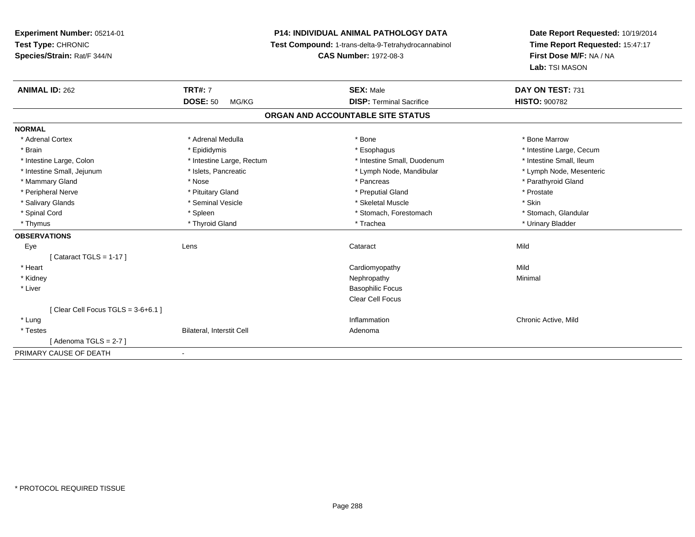# **P14: INDIVIDUAL ANIMAL PATHOLOGY DATA**

**Test Compound:** 1-trans-delta-9-Tetrahydrocannabinol

**CAS Number:** 1972-08-3

| <b>ANIMAL ID: 262</b>                | <b>TRT#: 7</b>            | <b>SEX: Male</b>                | DAY ON TEST: 731         |
|--------------------------------------|---------------------------|---------------------------------|--------------------------|
|                                      | <b>DOSE: 50</b><br>MG/KG  | <b>DISP: Terminal Sacrifice</b> | <b>HISTO: 900782</b>     |
| ORGAN AND ACCOUNTABLE SITE STATUS    |                           |                                 |                          |
| <b>NORMAL</b>                        |                           |                                 |                          |
| * Adrenal Cortex                     | * Adrenal Medulla         | * Bone                          | * Bone Marrow            |
| * Brain                              | * Epididymis              | * Esophagus                     | * Intestine Large, Cecum |
| * Intestine Large, Colon             | * Intestine Large, Rectum | * Intestine Small, Duodenum     | * Intestine Small, Ileum |
| * Intestine Small, Jejunum           | * Islets, Pancreatic      | * Lymph Node, Mandibular        | * Lymph Node, Mesenteric |
| * Mammary Gland                      | * Nose                    | * Pancreas                      | * Parathyroid Gland      |
| * Peripheral Nerve                   | * Pituitary Gland         | * Preputial Gland               | * Prostate               |
| * Salivary Glands                    | * Seminal Vesicle         | * Skeletal Muscle               | * Skin                   |
| * Spinal Cord                        | * Spleen                  | * Stomach, Forestomach          | * Stomach, Glandular     |
| * Thymus                             | * Thyroid Gland           | * Trachea                       | * Urinary Bladder        |
| <b>OBSERVATIONS</b>                  |                           |                                 |                          |
| Eye                                  | Lens                      | Cataract                        | Mild                     |
| [Cataract TGLS = $1-17$ ]            |                           |                                 |                          |
| * Heart                              |                           | Cardiomyopathy                  | Mild                     |
| * Kidney                             |                           | Nephropathy                     | Minimal                  |
| * Liver                              |                           | <b>Basophilic Focus</b>         |                          |
|                                      |                           | <b>Clear Cell Focus</b>         |                          |
| [Clear Cell Focus TGLS = $3-6+6.1$ ] |                           |                                 |                          |
| * Lung                               |                           | Inflammation                    | Chronic Active, Mild     |
| * Testes                             | Bilateral, Interstit Cell | Adenoma                         |                          |
| [Adenoma TGLS = $2-7$ ]              |                           |                                 |                          |
| PRIMARY CAUSE OF DEATH               | $\blacksquare$            |                                 |                          |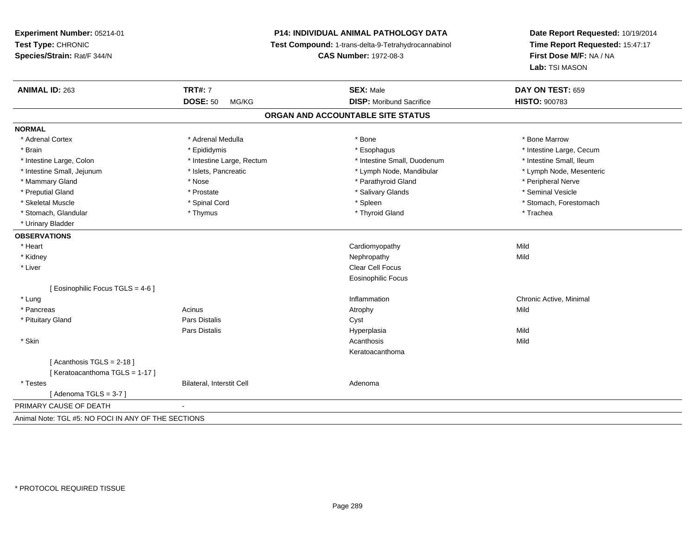## **P14: INDIVIDUAL ANIMAL PATHOLOGY DATA**

**Test Compound:** 1-trans-delta-9-Tetrahydrocannabinol

**CAS Number:** 1972-08-3

**Date Report Requested:** 10/19/2014 **Time Report Requested:** 15:47:17**First Dose M/F:** NA / NA**Lab:** TSI MASON

| <b>ANIMAL ID: 263</b>                               | <b>TRT#: 7</b>            | <b>SEX: Male</b>                  | DAY ON TEST: 659         |
|-----------------------------------------------------|---------------------------|-----------------------------------|--------------------------|
|                                                     | <b>DOSE: 50</b><br>MG/KG  | <b>DISP:</b> Moribund Sacrifice   | <b>HISTO: 900783</b>     |
|                                                     |                           | ORGAN AND ACCOUNTABLE SITE STATUS |                          |
| <b>NORMAL</b>                                       |                           |                                   |                          |
| * Adrenal Cortex                                    | * Adrenal Medulla         | * Bone                            | * Bone Marrow            |
| * Brain                                             | * Epididymis              | * Esophagus                       | * Intestine Large, Cecum |
| * Intestine Large, Colon                            | * Intestine Large, Rectum | * Intestine Small, Duodenum       | * Intestine Small, Ileum |
| * Intestine Small, Jejunum                          | * Islets, Pancreatic      | * Lymph Node, Mandibular          | * Lymph Node, Mesenteric |
| * Mammary Gland                                     | * Nose                    | * Parathyroid Gland               | * Peripheral Nerve       |
| * Preputial Gland                                   | * Prostate                | * Salivary Glands                 | * Seminal Vesicle        |
| * Skeletal Muscle                                   | * Spinal Cord             | * Spleen                          | * Stomach, Forestomach   |
| * Stomach, Glandular                                | * Thymus                  | * Thyroid Gland                   | * Trachea                |
| * Urinary Bladder                                   |                           |                                   |                          |
| <b>OBSERVATIONS</b>                                 |                           |                                   |                          |
| * Heart                                             |                           | Cardiomyopathy                    | Mild                     |
| * Kidney                                            |                           | Nephropathy                       | Mild                     |
| * Liver                                             |                           | Clear Cell Focus                  |                          |
|                                                     |                           | <b>Eosinophilic Focus</b>         |                          |
| [ Eosinophilic Focus TGLS = 4-6 ]                   |                           |                                   |                          |
| * Lung                                              |                           | Inflammation                      | Chronic Active, Minimal  |
| * Pancreas                                          | Acinus                    | Atrophy                           | Mild                     |
| * Pituitary Gland                                   | <b>Pars Distalis</b>      | Cyst                              |                          |
|                                                     | <b>Pars Distalis</b>      | Hyperplasia                       | Mild                     |
| * Skin                                              |                           | Acanthosis                        | Mild                     |
|                                                     |                           | Keratoacanthoma                   |                          |
| [Acanthosis TGLS = $2-18$ ]                         |                           |                                   |                          |
| [Keratoacanthoma TGLS = 1-17]                       |                           |                                   |                          |
| * Testes                                            | Bilateral, Interstit Cell | Adenoma                           |                          |
| [Adenoma TGLS = $3-7$ ]                             |                           |                                   |                          |
| PRIMARY CAUSE OF DEATH                              |                           |                                   |                          |
| Animal Note: TGL #5: NO FOCI IN ANY OF THE SECTIONS |                           |                                   |                          |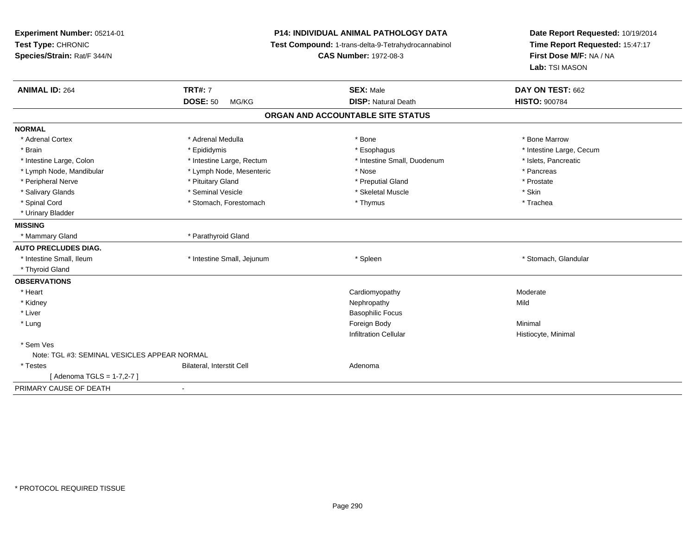| Experiment Number: 05214-01<br>Test Type: CHRONIC<br>Species/Strain: Rat/F 344/N | <b>P14: INDIVIDUAL ANIMAL PATHOLOGY DATA</b><br>Test Compound: 1-trans-delta-9-Tetrahydrocannabinol<br><b>CAS Number: 1972-08-3</b> |                                   | Date Report Requested: 10/19/2014<br>Time Report Requested: 15:47:17<br>First Dose M/F: NA / NA<br>Lab: TSI MASON |
|----------------------------------------------------------------------------------|-------------------------------------------------------------------------------------------------------------------------------------|-----------------------------------|-------------------------------------------------------------------------------------------------------------------|
| <b>ANIMAL ID: 264</b>                                                            | <b>TRT#: 7</b>                                                                                                                      | <b>SEX: Male</b>                  | DAY ON TEST: 662                                                                                                  |
|                                                                                  | <b>DOSE: 50</b><br>MG/KG                                                                                                            | <b>DISP: Natural Death</b>        | <b>HISTO: 900784</b>                                                                                              |
|                                                                                  |                                                                                                                                     | ORGAN AND ACCOUNTABLE SITE STATUS |                                                                                                                   |
| <b>NORMAL</b>                                                                    |                                                                                                                                     |                                   |                                                                                                                   |
| * Adrenal Cortex                                                                 | * Adrenal Medulla                                                                                                                   | * Bone                            | * Bone Marrow                                                                                                     |
| * Brain                                                                          | * Epididymis                                                                                                                        | * Esophagus                       | * Intestine Large, Cecum                                                                                          |
| * Intestine Large, Colon                                                         | * Intestine Large, Rectum                                                                                                           | * Intestine Small, Duodenum       | * Islets, Pancreatic                                                                                              |
| * Lymph Node, Mandibular                                                         | * Lymph Node, Mesenteric                                                                                                            | * Nose                            | * Pancreas                                                                                                        |
| * Peripheral Nerve                                                               | * Pituitary Gland                                                                                                                   | * Preputial Gland                 | * Prostate                                                                                                        |
| * Salivary Glands                                                                | * Seminal Vesicle                                                                                                                   | * Skeletal Muscle                 | * Skin                                                                                                            |
| * Spinal Cord                                                                    | * Stomach, Forestomach                                                                                                              | * Thymus                          | * Trachea                                                                                                         |
| * Urinary Bladder                                                                |                                                                                                                                     |                                   |                                                                                                                   |
| <b>MISSING</b>                                                                   |                                                                                                                                     |                                   |                                                                                                                   |
| * Mammary Gland                                                                  | * Parathyroid Gland                                                                                                                 |                                   |                                                                                                                   |
| <b>AUTO PRECLUDES DIAG.</b>                                                      |                                                                                                                                     |                                   |                                                                                                                   |
| * Intestine Small, Ileum                                                         | * Intestine Small, Jejunum                                                                                                          | * Spleen                          | * Stomach, Glandular                                                                                              |
| * Thyroid Gland                                                                  |                                                                                                                                     |                                   |                                                                                                                   |
| <b>OBSERVATIONS</b>                                                              |                                                                                                                                     |                                   |                                                                                                                   |
| * Heart                                                                          |                                                                                                                                     | Cardiomyopathy                    | Moderate                                                                                                          |
| * Kidney                                                                         |                                                                                                                                     | Nephropathy                       | Mild                                                                                                              |
| * Liver                                                                          |                                                                                                                                     | <b>Basophilic Focus</b>           |                                                                                                                   |
| * Lung                                                                           |                                                                                                                                     | Foreign Body                      | Minimal                                                                                                           |
|                                                                                  |                                                                                                                                     | <b>Infiltration Cellular</b>      | Histiocyte, Minimal                                                                                               |
| * Sem Ves                                                                        |                                                                                                                                     |                                   |                                                                                                                   |
| Note: TGL #3: SEMINAL VESICLES APPEAR NORMAL                                     |                                                                                                                                     |                                   |                                                                                                                   |
| * Testes                                                                         | Bilateral, Interstit Cell                                                                                                           | Adenoma                           |                                                                                                                   |
| [ Adenoma TGLS = 1-7,2-7 ]                                                       |                                                                                                                                     |                                   |                                                                                                                   |
| PRIMARY CAUSE OF DEATH                                                           | $\blacksquare$                                                                                                                      |                                   |                                                                                                                   |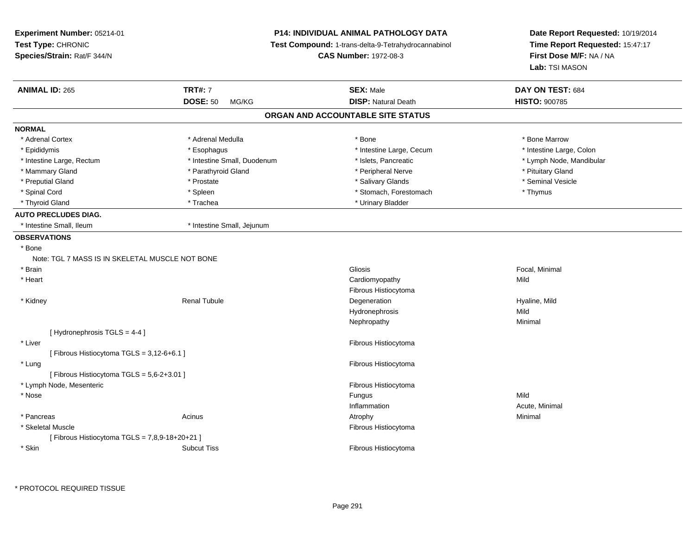| Experiment Number: 05214-01                     |                             | <b>P14: INDIVIDUAL ANIMAL PATHOLOGY DATA</b>        | Date Report Requested: 10/19/2014<br>Time Report Requested: 15:47:17 |  |
|-------------------------------------------------|-----------------------------|-----------------------------------------------------|----------------------------------------------------------------------|--|
| Test Type: CHRONIC                              |                             | Test Compound: 1-trans-delta-9-Tetrahydrocannabinol |                                                                      |  |
| Species/Strain: Rat/F 344/N                     |                             | <b>CAS Number: 1972-08-3</b>                        | First Dose M/F: NA / NA                                              |  |
|                                                 |                             |                                                     | Lab: TSI MASON                                                       |  |
| <b>ANIMAL ID: 265</b>                           | <b>TRT#: 7</b>              | <b>SEX: Male</b>                                    | DAY ON TEST: 684                                                     |  |
|                                                 | <b>DOSE: 50</b><br>MG/KG    | <b>DISP: Natural Death</b>                          | <b>HISTO: 900785</b>                                                 |  |
|                                                 |                             | ORGAN AND ACCOUNTABLE SITE STATUS                   |                                                                      |  |
| <b>NORMAL</b>                                   |                             |                                                     |                                                                      |  |
| * Adrenal Cortex                                | * Adrenal Medulla           | * Bone                                              | * Bone Marrow                                                        |  |
| * Epididymis                                    | * Esophagus                 | * Intestine Large, Cecum                            | * Intestine Large, Colon                                             |  |
| * Intestine Large, Rectum                       | * Intestine Small, Duodenum | * Islets, Pancreatic                                | * Lymph Node, Mandibular                                             |  |
| * Mammary Gland                                 | * Parathyroid Gland         | * Peripheral Nerve                                  | * Pituitary Gland                                                    |  |
| * Preputial Gland                               | * Prostate                  | * Salivary Glands                                   | * Seminal Vesicle                                                    |  |
| * Spinal Cord                                   | * Spleen                    | * Stomach, Forestomach                              | * Thymus                                                             |  |
| * Thyroid Gland                                 | * Trachea                   | * Urinary Bladder                                   |                                                                      |  |
| <b>AUTO PRECLUDES DIAG.</b>                     |                             |                                                     |                                                                      |  |
| * Intestine Small. Ileum                        | * Intestine Small, Jejunum  |                                                     |                                                                      |  |
| <b>OBSERVATIONS</b>                             |                             |                                                     |                                                                      |  |
| * Bone                                          |                             |                                                     |                                                                      |  |
| Note: TGL 7 MASS IS IN SKELETAL MUSCLE NOT BONE |                             |                                                     |                                                                      |  |
| * Brain                                         |                             | Gliosis                                             | Focal, Minimal                                                       |  |
| * Heart                                         |                             | Cardiomyopathy                                      | Mild                                                                 |  |
|                                                 |                             | Fibrous Histiocytoma                                |                                                                      |  |
| * Kidney                                        | <b>Renal Tubule</b>         | Degeneration                                        | Hyaline, Mild                                                        |  |
|                                                 |                             | Hydronephrosis                                      | Mild                                                                 |  |
|                                                 |                             | Nephropathy                                         | Minimal                                                              |  |
| [Hydronephrosis TGLS = 4-4]                     |                             |                                                     |                                                                      |  |
| * Liver                                         |                             | Fibrous Histiocytoma                                |                                                                      |  |
| [Fibrous Histiocytoma TGLS = 3,12-6+6.1]        |                             |                                                     |                                                                      |  |
| * Lung                                          |                             | Fibrous Histiocytoma                                |                                                                      |  |
| [ Fibrous Histiocytoma TGLS = 5,6-2+3.01 ]      |                             |                                                     |                                                                      |  |
| * Lymph Node, Mesenteric                        |                             | Fibrous Histiocytoma                                |                                                                      |  |
| * Nose                                          |                             | Fungus                                              | Mild                                                                 |  |
|                                                 |                             | Inflammation                                        | Acute, Minimal                                                       |  |
| * Pancreas                                      | Acinus                      | Atrophy                                             | Minimal                                                              |  |
| * Skeletal Muscle                               |                             | Fibrous Histiocytoma                                |                                                                      |  |
| [ Fibrous Histiocytoma TGLS = 7,8,9-18+20+21 ]  |                             |                                                     |                                                                      |  |
| * Skin                                          | <b>Subcut Tiss</b>          | Fibrous Histiocytoma                                |                                                                      |  |
|                                                 |                             |                                                     |                                                                      |  |

\* PROTOCOL REQUIRED TISSUE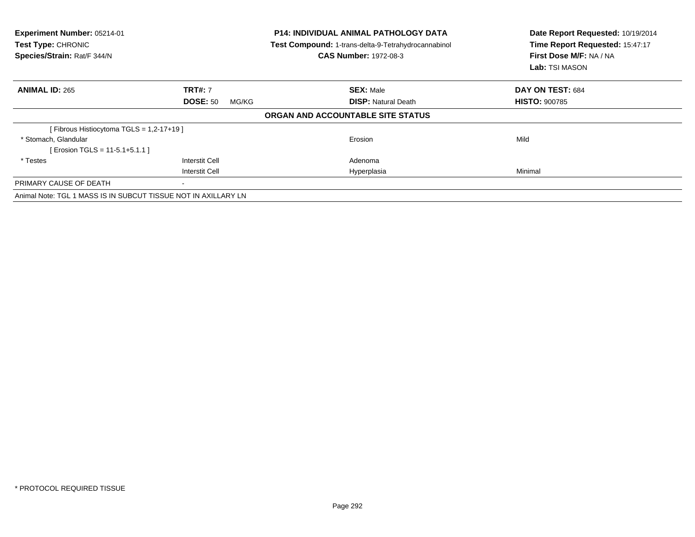| Experiment Number: 05214-01<br>Test Type: CHRONIC<br>Species/Strain: Rat/F 344/N |                          | <b>P14: INDIVIDUAL ANIMAL PATHOLOGY DATA</b><br>Test Compound: 1-trans-delta-9-Tetrahydrocannabinol<br><b>CAS Number: 1972-08-3</b> | Date Report Requested: 10/19/2014<br>Time Report Requested: 15:47:17<br>First Dose M/F: NA / NA<br>Lab: TSI MASON |
|----------------------------------------------------------------------------------|--------------------------|-------------------------------------------------------------------------------------------------------------------------------------|-------------------------------------------------------------------------------------------------------------------|
| <b>ANIMAL ID: 265</b>                                                            | <b>TRT#: 7</b>           | <b>SEX: Male</b>                                                                                                                    | DAY ON TEST: 684                                                                                                  |
|                                                                                  | <b>DOSE: 50</b><br>MG/KG | <b>DISP: Natural Death</b>                                                                                                          | <b>HISTO: 900785</b>                                                                                              |
|                                                                                  |                          | ORGAN AND ACCOUNTABLE SITE STATUS                                                                                                   |                                                                                                                   |
| [Fibrous Histiocytoma TGLS = 1,2-17+19]                                          |                          |                                                                                                                                     |                                                                                                                   |
| * Stomach, Glandular                                                             |                          | Erosion                                                                                                                             | Mild                                                                                                              |
| [ Erosion TGLS = 11-5.1+5.1.1 ]                                                  |                          |                                                                                                                                     |                                                                                                                   |
| * Testes                                                                         | <b>Interstit Cell</b>    | Adenoma                                                                                                                             |                                                                                                                   |
|                                                                                  | <b>Interstit Cell</b>    | Hyperplasia                                                                                                                         | Minimal                                                                                                           |
| PRIMARY CAUSE OF DEATH                                                           |                          |                                                                                                                                     |                                                                                                                   |
| Animal Note: TGL 1 MASS IS IN SUBCUT TISSUE NOT IN AXILLARY LN                   |                          |                                                                                                                                     |                                                                                                                   |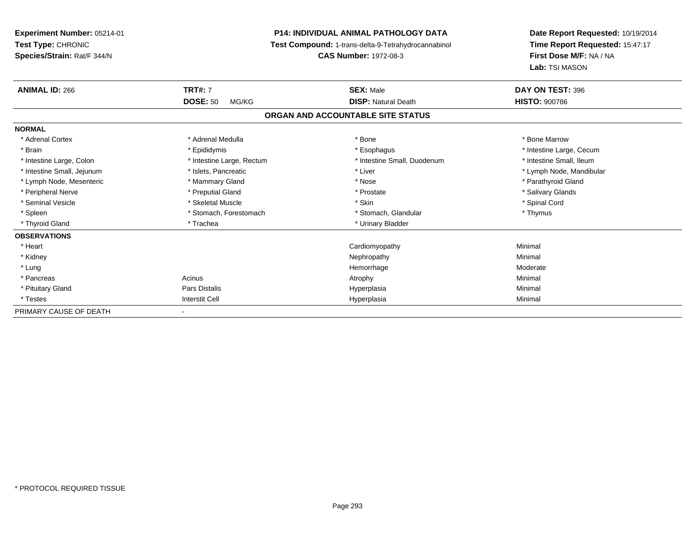**Experiment Number:** 05214-01**Test Type:** CHRONIC **Species/Strain:** Rat/F 344/N**P14: INDIVIDUAL ANIMAL PATHOLOGY DATA Test Compound:** 1-trans-delta-9-Tetrahydrocannabinol **CAS Number:** 1972-08-3**ANIMAL ID:** 266**DOSE:** 50 MG/KG**NORMAL**

| <b>ANIMAL ID: 266</b>      | <b>TRT#: 7</b>            | <b>SEX: Male</b>                  | DAY ON TEST: 396         |
|----------------------------|---------------------------|-----------------------------------|--------------------------|
|                            | <b>DOSE: 50</b><br>MG/KG  | <b>DISP: Natural Death</b>        | <b>HISTO: 900786</b>     |
|                            |                           | ORGAN AND ACCOUNTABLE SITE STATUS |                          |
| <b>NORMAL</b>              |                           |                                   |                          |
| * Adrenal Cortex           | * Adrenal Medulla         | * Bone                            | * Bone Marrow            |
| * Brain                    | * Epididymis              | * Esophagus                       | * Intestine Large, Cecum |
| * Intestine Large, Colon   | * Intestine Large, Rectum | * Intestine Small, Duodenum       | * Intestine Small, Ileum |
| * Intestine Small, Jejunum | * Islets, Pancreatic      | * Liver                           | * Lymph Node, Mandibular |
| * Lymph Node, Mesenteric   | * Mammary Gland           | * Nose                            | * Parathyroid Gland      |
| * Peripheral Nerve         | * Preputial Gland         | * Prostate                        | * Salivary Glands        |
| * Seminal Vesicle          | * Skeletal Muscle         | * Skin                            | * Spinal Cord            |
| * Spleen                   | * Stomach, Forestomach    | * Stomach, Glandular              | * Thymus                 |
| * Thyroid Gland            | * Trachea                 | * Urinary Bladder                 |                          |
| <b>OBSERVATIONS</b>        |                           |                                   |                          |
| * Heart                    |                           | Cardiomyopathy                    | Minimal                  |
| * Kidney                   |                           | Nephropathy                       | Minimal                  |
| * Lung                     |                           | Hemorrhage                        | Moderate                 |
| * Pancreas                 | Acinus                    | Atrophy                           | Minimal                  |
| * Pituitary Gland          | Pars Distalis             | Hyperplasia                       | Minimal                  |
| * Testes                   | <b>Interstit Cell</b>     | Hyperplasia                       | Minimal                  |
| PRIMARY CAUSE OF DEATH     | $\sim$                    |                                   |                          |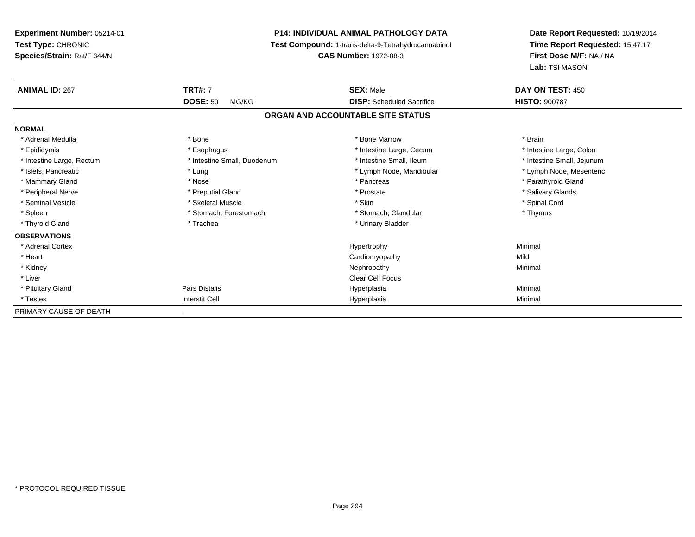**Experiment Number:** 05214-01**Test Type:** CHRONIC **Species/Strain:** Rat/F 344/N**P14: INDIVIDUAL ANIMAL PATHOLOGY DATA Test Compound:** 1-trans-delta-9-Tetrahydrocannabinol **CAS Number:** 1972-08-3**Date Report Requested:** 10/19/2014**Time Report Requested:** 15:47:17**First Dose M/F:** NA / NA**Lab:** TSI MASON**ANIMAL ID:** 267**TRT#:** 7 **SEX:** Male **DAY ON TEST:** 450 **DOSE:** 50 MG/KG **DISP:** Scheduled Sacrifice **HISTO:** <sup>900787</sup> **ORGAN AND ACCOUNTABLE SITE STATUSNORMAL**\* Adrenal Medulla \* \* Annual Medulla \* Brain \* Bone \* \* Bone Marrow \* Bone Marrow \* \* Brain \* Brain \* Brain \* Brain \* Brain \* Brain \* Brain \* Brain \* Brain \* Brain \* Brain \* Brain \* Brain \* Brain \* Brain \* Brain \* Brain \* \* Intestine Large, Colon \* Epididymis \* Esophagus \* Esophagus \* Esophagus \* 11testine Large, Cecum \* Intestine Large, Rectum \* Thestine Small, Duodenum \* Number of the small, Ileum \* Intestine Small, Jejunum \* Intestine Small, Jejunum \* Lymph Node, Mesenteric \* Islets, Pancreatic **\* Lung \* Lung \* Lung \* Lymph Node, Mandibular \*** Lymph Node, Mandibular \* Mammary Gland \* \* Nose \* \* Nose \* \* Pancreas \* Pancreas \* \* Pancreas \* \* Pancreas \* \* Pancreas \* \* Parathyroid Gland \* Peripheral Nerve \* \* \* Preputial Gland \* \* Preputial Gland \* \* Prostate \* \* Salivary Glands \* Salivary Glands \* Seminal Vesicle \* \* Spinal Cord \* Skeletal Muscle \* \* Skin \* \* Skin \* \* Spinal Vesicle \* Spinal Cord \* Spinal Cord \* Spleen \* Stomach, Forestomach \* Stomach \* Stomach, Glandular \* Stomach, Glandular \* Thymus \* Thyroid Gland \* Trachea \* Trachea \* Trachea \* Urinary Bladder **OBSERVATIONS** \* Adrenal Cortex Hypertrophy Minimal \* Heart Cardiomyopathyy Mild Minimal \* Kidneyy the control of the control of the control of the control of the control of the control of the control of the control of the control of the control of the control of the control of the control of the control of the contro \* Liver Clear Cell Focus \* Pituitary Gland Pars Distalis Hyperplasia Minimal \* Testess and the contract of the contract of the contract of the contract of the contract of the contract of the contract of the contract of the contract of the contract of the contract of the contract of the contract of the cont a Minimal PRIMARY CAUSE OF DEATH-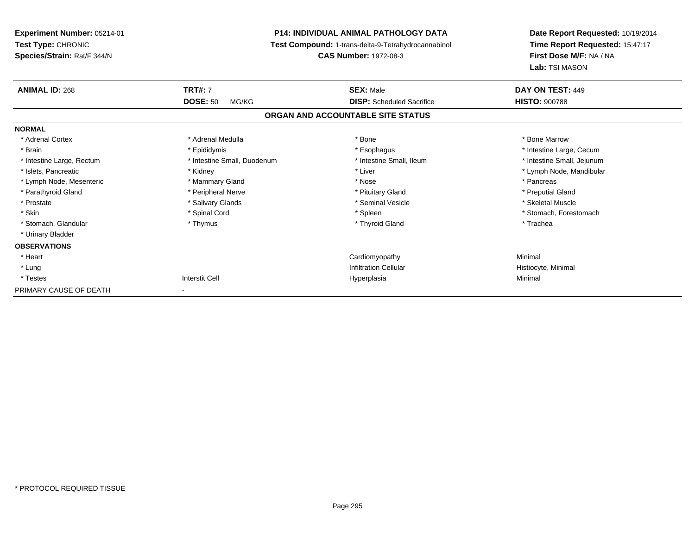| <b>Experiment Number: 05214-01</b> |                             | <b>P14: INDIVIDUAL ANIMAL PATHOLOGY DATA</b>        | Date Report Requested: 10/19/2014<br>Time Report Requested: 15:47:17 |
|------------------------------------|-----------------------------|-----------------------------------------------------|----------------------------------------------------------------------|
| <b>Test Type: CHRONIC</b>          |                             | Test Compound: 1-trans-delta-9-Tetrahydrocannabinol |                                                                      |
| Species/Strain: Rat/F 344/N        |                             | <b>CAS Number: 1972-08-3</b>                        | First Dose M/F: NA / NA                                              |
|                                    |                             |                                                     | Lab: TSI MASON                                                       |
| <b>ANIMAL ID: 268</b>              | <b>TRT#: 7</b>              | <b>SEX: Male</b>                                    | DAY ON TEST: 449                                                     |
|                                    | <b>DOSE: 50</b><br>MG/KG    | <b>DISP:</b> Scheduled Sacrifice                    | <b>HISTO: 900788</b>                                                 |
|                                    |                             | ORGAN AND ACCOUNTABLE SITE STATUS                   |                                                                      |
| <b>NORMAL</b>                      |                             |                                                     |                                                                      |
| * Adrenal Cortex                   | * Adrenal Medulla           | * Bone                                              | * Bone Marrow                                                        |
| * Brain                            | * Epididymis                | * Esophagus                                         | * Intestine Large, Cecum                                             |
| * Intestine Large, Rectum          | * Intestine Small, Duodenum | * Intestine Small, Ileum                            | * Intestine Small, Jejunum                                           |
| * Islets, Pancreatic               | * Kidney                    | * Liver                                             | * Lymph Node, Mandibular                                             |
| * Lymph Node, Mesenteric           | * Mammary Gland             | * Nose                                              | * Pancreas                                                           |
| * Parathyroid Gland                | * Peripheral Nerve          | * Pituitary Gland                                   | * Preputial Gland                                                    |
| * Prostate                         | * Salivary Glands           | * Seminal Vesicle                                   | * Skeletal Muscle                                                    |
| * Skin                             | * Spinal Cord               | * Spleen                                            | * Stomach, Forestomach                                               |
| * Stomach, Glandular               | * Thymus                    | * Thyroid Gland                                     | * Trachea                                                            |
| * Urinary Bladder                  |                             |                                                     |                                                                      |
| <b>OBSERVATIONS</b>                |                             |                                                     |                                                                      |
| * Heart                            |                             | Cardiomyopathy                                      | Minimal                                                              |
| * Lung                             |                             | <b>Infiltration Cellular</b>                        | Histiocyte, Minimal                                                  |
| * Testes                           | <b>Interstit Cell</b>       | Hyperplasia                                         | Minimal                                                              |
| PRIMARY CAUSE OF DEATH             |                             |                                                     |                                                                      |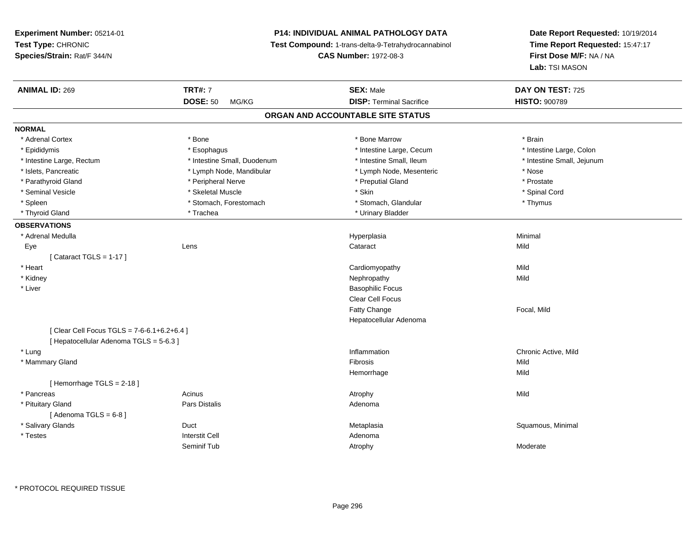## **P14: INDIVIDUAL ANIMAL PATHOLOGY DATA**

**Test Compound:** 1-trans-delta-9-Tetrahydrocannabinol

**CAS Number:** 1972-08-3

**Date Report Requested:** 10/19/2014 **Time Report Requested:** 15:47:17**First Dose M/F:** NA / NA**Lab:** TSI MASON

| <b>DOSE: 50</b><br><b>DISP: Terminal Sacrifice</b><br><b>HISTO: 900789</b><br>MG/KG<br>ORGAN AND ACCOUNTABLE SITE STATUS<br><b>NORMAL</b><br>* Adrenal Cortex<br>* Bone<br>* Bone Marrow<br>* Brain<br>* Intestine Large, Cecum<br>* Intestine Large, Colon<br>* Epididymis<br>* Esophagus<br>* Intestine Large, Rectum<br>* Intestine Small, Duodenum<br>* Intestine Small, Ileum<br>* Intestine Small, Jejunum<br>* Islets, Pancreatic<br>* Lymph Node, Mandibular<br>* Lymph Node, Mesenteric<br>* Nose<br>* Parathyroid Gland<br>* Peripheral Nerve<br>* Preputial Gland<br>* Prostate<br>* Skeletal Muscle<br>* Skin<br>* Seminal Vesicle<br>* Spinal Cord<br>* Spleen<br>* Stomach, Forestomach<br>* Stomach, Glandular<br>* Thymus<br>* Trachea<br>* Urinary Bladder<br>* Thyroid Gland<br><b>OBSERVATIONS</b><br>* Adrenal Medulla<br>Minimal<br>Hyperplasia<br>Lens<br>Cataract<br>Mild<br>Eye<br>[Cataract TGLS = $1-17$ ]<br>* Heart<br>Mild<br>Cardiomyopathy<br>Mild<br>* Kidney<br>Nephropathy<br>* Liver<br><b>Basophilic Focus</b><br><b>Clear Cell Focus</b><br>Fatty Change<br>Focal, Mild<br>Hepatocellular Adenoma<br>[ Clear Cell Focus TGLS = 7-6-6.1+6.2+6.4 ]<br>[ Hepatocellular Adenoma TGLS = 5-6.3 ]<br>* Lung<br>Inflammation<br>Chronic Active, Mild<br>* Mammary Gland<br>Fibrosis<br>Mild<br>Mild<br>Hemorrhage<br>[Hemorrhage TGLS = $2-18$ ]<br>* Pancreas<br>Acinus<br>Mild<br>Atrophy<br>* Pituitary Gland<br><b>Pars Distalis</b><br>Adenoma<br>[Adenoma TGLS = $6-8$ ]<br>* Salivary Glands<br>Duct<br>Squamous, Minimal<br>Metaplasia<br><b>Interstit Cell</b><br>* Testes<br>Adenoma<br>Seminif Tub<br>Atrophy<br>Moderate | <b>ANIMAL ID: 269</b> | <b>TRT#: 7</b> | <b>SEX: Male</b> | DAY ON TEST: 725 |  |
|--------------------------------------------------------------------------------------------------------------------------------------------------------------------------------------------------------------------------------------------------------------------------------------------------------------------------------------------------------------------------------------------------------------------------------------------------------------------------------------------------------------------------------------------------------------------------------------------------------------------------------------------------------------------------------------------------------------------------------------------------------------------------------------------------------------------------------------------------------------------------------------------------------------------------------------------------------------------------------------------------------------------------------------------------------------------------------------------------------------------------------------------------------------------------------------------------------------------------------------------------------------------------------------------------------------------------------------------------------------------------------------------------------------------------------------------------------------------------------------------------------------------------------------------------------------------------------------------------------------------------------------------------------------------|-----------------------|----------------|------------------|------------------|--|
|                                                                                                                                                                                                                                                                                                                                                                                                                                                                                                                                                                                                                                                                                                                                                                                                                                                                                                                                                                                                                                                                                                                                                                                                                                                                                                                                                                                                                                                                                                                                                                                                                                                                    |                       |                |                  |                  |  |
|                                                                                                                                                                                                                                                                                                                                                                                                                                                                                                                                                                                                                                                                                                                                                                                                                                                                                                                                                                                                                                                                                                                                                                                                                                                                                                                                                                                                                                                                                                                                                                                                                                                                    |                       |                |                  |                  |  |
|                                                                                                                                                                                                                                                                                                                                                                                                                                                                                                                                                                                                                                                                                                                                                                                                                                                                                                                                                                                                                                                                                                                                                                                                                                                                                                                                                                                                                                                                                                                                                                                                                                                                    |                       |                |                  |                  |  |
|                                                                                                                                                                                                                                                                                                                                                                                                                                                                                                                                                                                                                                                                                                                                                                                                                                                                                                                                                                                                                                                                                                                                                                                                                                                                                                                                                                                                                                                                                                                                                                                                                                                                    |                       |                |                  |                  |  |
|                                                                                                                                                                                                                                                                                                                                                                                                                                                                                                                                                                                                                                                                                                                                                                                                                                                                                                                                                                                                                                                                                                                                                                                                                                                                                                                                                                                                                                                                                                                                                                                                                                                                    |                       |                |                  |                  |  |
|                                                                                                                                                                                                                                                                                                                                                                                                                                                                                                                                                                                                                                                                                                                                                                                                                                                                                                                                                                                                                                                                                                                                                                                                                                                                                                                                                                                                                                                                                                                                                                                                                                                                    |                       |                |                  |                  |  |
|                                                                                                                                                                                                                                                                                                                                                                                                                                                                                                                                                                                                                                                                                                                                                                                                                                                                                                                                                                                                                                                                                                                                                                                                                                                                                                                                                                                                                                                                                                                                                                                                                                                                    |                       |                |                  |                  |  |
|                                                                                                                                                                                                                                                                                                                                                                                                                                                                                                                                                                                                                                                                                                                                                                                                                                                                                                                                                                                                                                                                                                                                                                                                                                                                                                                                                                                                                                                                                                                                                                                                                                                                    |                       |                |                  |                  |  |
|                                                                                                                                                                                                                                                                                                                                                                                                                                                                                                                                                                                                                                                                                                                                                                                                                                                                                                                                                                                                                                                                                                                                                                                                                                                                                                                                                                                                                                                                                                                                                                                                                                                                    |                       |                |                  |                  |  |
|                                                                                                                                                                                                                                                                                                                                                                                                                                                                                                                                                                                                                                                                                                                                                                                                                                                                                                                                                                                                                                                                                                                                                                                                                                                                                                                                                                                                                                                                                                                                                                                                                                                                    |                       |                |                  |                  |  |
|                                                                                                                                                                                                                                                                                                                                                                                                                                                                                                                                                                                                                                                                                                                                                                                                                                                                                                                                                                                                                                                                                                                                                                                                                                                                                                                                                                                                                                                                                                                                                                                                                                                                    |                       |                |                  |                  |  |
|                                                                                                                                                                                                                                                                                                                                                                                                                                                                                                                                                                                                                                                                                                                                                                                                                                                                                                                                                                                                                                                                                                                                                                                                                                                                                                                                                                                                                                                                                                                                                                                                                                                                    |                       |                |                  |                  |  |
|                                                                                                                                                                                                                                                                                                                                                                                                                                                                                                                                                                                                                                                                                                                                                                                                                                                                                                                                                                                                                                                                                                                                                                                                                                                                                                                                                                                                                                                                                                                                                                                                                                                                    |                       |                |                  |                  |  |
|                                                                                                                                                                                                                                                                                                                                                                                                                                                                                                                                                                                                                                                                                                                                                                                                                                                                                                                                                                                                                                                                                                                                                                                                                                                                                                                                                                                                                                                                                                                                                                                                                                                                    |                       |                |                  |                  |  |
|                                                                                                                                                                                                                                                                                                                                                                                                                                                                                                                                                                                                                                                                                                                                                                                                                                                                                                                                                                                                                                                                                                                                                                                                                                                                                                                                                                                                                                                                                                                                                                                                                                                                    |                       |                |                  |                  |  |
|                                                                                                                                                                                                                                                                                                                                                                                                                                                                                                                                                                                                                                                                                                                                                                                                                                                                                                                                                                                                                                                                                                                                                                                                                                                                                                                                                                                                                                                                                                                                                                                                                                                                    |                       |                |                  |                  |  |
|                                                                                                                                                                                                                                                                                                                                                                                                                                                                                                                                                                                                                                                                                                                                                                                                                                                                                                                                                                                                                                                                                                                                                                                                                                                                                                                                                                                                                                                                                                                                                                                                                                                                    |                       |                |                  |                  |  |
|                                                                                                                                                                                                                                                                                                                                                                                                                                                                                                                                                                                                                                                                                                                                                                                                                                                                                                                                                                                                                                                                                                                                                                                                                                                                                                                                                                                                                                                                                                                                                                                                                                                                    |                       |                |                  |                  |  |
|                                                                                                                                                                                                                                                                                                                                                                                                                                                                                                                                                                                                                                                                                                                                                                                                                                                                                                                                                                                                                                                                                                                                                                                                                                                                                                                                                                                                                                                                                                                                                                                                                                                                    |                       |                |                  |                  |  |
|                                                                                                                                                                                                                                                                                                                                                                                                                                                                                                                                                                                                                                                                                                                                                                                                                                                                                                                                                                                                                                                                                                                                                                                                                                                                                                                                                                                                                                                                                                                                                                                                                                                                    |                       |                |                  |                  |  |
|                                                                                                                                                                                                                                                                                                                                                                                                                                                                                                                                                                                                                                                                                                                                                                                                                                                                                                                                                                                                                                                                                                                                                                                                                                                                                                                                                                                                                                                                                                                                                                                                                                                                    |                       |                |                  |                  |  |
|                                                                                                                                                                                                                                                                                                                                                                                                                                                                                                                                                                                                                                                                                                                                                                                                                                                                                                                                                                                                                                                                                                                                                                                                                                                                                                                                                                                                                                                                                                                                                                                                                                                                    |                       |                |                  |                  |  |
|                                                                                                                                                                                                                                                                                                                                                                                                                                                                                                                                                                                                                                                                                                                                                                                                                                                                                                                                                                                                                                                                                                                                                                                                                                                                                                                                                                                                                                                                                                                                                                                                                                                                    |                       |                |                  |                  |  |
|                                                                                                                                                                                                                                                                                                                                                                                                                                                                                                                                                                                                                                                                                                                                                                                                                                                                                                                                                                                                                                                                                                                                                                                                                                                                                                                                                                                                                                                                                                                                                                                                                                                                    |                       |                |                  |                  |  |
|                                                                                                                                                                                                                                                                                                                                                                                                                                                                                                                                                                                                                                                                                                                                                                                                                                                                                                                                                                                                                                                                                                                                                                                                                                                                                                                                                                                                                                                                                                                                                                                                                                                                    |                       |                |                  |                  |  |
|                                                                                                                                                                                                                                                                                                                                                                                                                                                                                                                                                                                                                                                                                                                                                                                                                                                                                                                                                                                                                                                                                                                                                                                                                                                                                                                                                                                                                                                                                                                                                                                                                                                                    |                       |                |                  |                  |  |
|                                                                                                                                                                                                                                                                                                                                                                                                                                                                                                                                                                                                                                                                                                                                                                                                                                                                                                                                                                                                                                                                                                                                                                                                                                                                                                                                                                                                                                                                                                                                                                                                                                                                    |                       |                |                  |                  |  |
|                                                                                                                                                                                                                                                                                                                                                                                                                                                                                                                                                                                                                                                                                                                                                                                                                                                                                                                                                                                                                                                                                                                                                                                                                                                                                                                                                                                                                                                                                                                                                                                                                                                                    |                       |                |                  |                  |  |
|                                                                                                                                                                                                                                                                                                                                                                                                                                                                                                                                                                                                                                                                                                                                                                                                                                                                                                                                                                                                                                                                                                                                                                                                                                                                                                                                                                                                                                                                                                                                                                                                                                                                    |                       |                |                  |                  |  |
|                                                                                                                                                                                                                                                                                                                                                                                                                                                                                                                                                                                                                                                                                                                                                                                                                                                                                                                                                                                                                                                                                                                                                                                                                                                                                                                                                                                                                                                                                                                                                                                                                                                                    |                       |                |                  |                  |  |
|                                                                                                                                                                                                                                                                                                                                                                                                                                                                                                                                                                                                                                                                                                                                                                                                                                                                                                                                                                                                                                                                                                                                                                                                                                                                                                                                                                                                                                                                                                                                                                                                                                                                    |                       |                |                  |                  |  |
|                                                                                                                                                                                                                                                                                                                                                                                                                                                                                                                                                                                                                                                                                                                                                                                                                                                                                                                                                                                                                                                                                                                                                                                                                                                                                                                                                                                                                                                                                                                                                                                                                                                                    |                       |                |                  |                  |  |
|                                                                                                                                                                                                                                                                                                                                                                                                                                                                                                                                                                                                                                                                                                                                                                                                                                                                                                                                                                                                                                                                                                                                                                                                                                                                                                                                                                                                                                                                                                                                                                                                                                                                    |                       |                |                  |                  |  |

\* PROTOCOL REQUIRED TISSUE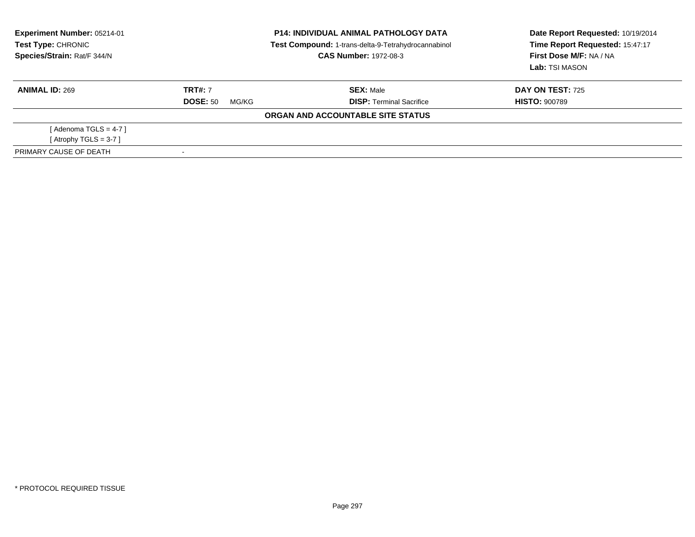| <b>Experiment Number: 05214-01</b><br>Test Type: CHRONIC<br>Species/Strain: Rat/F 344/N | <b>P14: INDIVIDUAL ANIMAL PATHOLOGY DATA</b><br>Test Compound: 1-trans-delta-9-Tetrahydrocannabinol<br><b>CAS Number: 1972-08-3</b> |                                   | Date Report Requested: 10/19/2014<br>Time Report Requested: 15:47:17<br>First Dose M/F: NA / NA<br>Lab: TSI MASON |  |
|-----------------------------------------------------------------------------------------|-------------------------------------------------------------------------------------------------------------------------------------|-----------------------------------|-------------------------------------------------------------------------------------------------------------------|--|
| <b>ANIMAL ID: 269</b>                                                                   | <b>TRT#: 7</b>                                                                                                                      | <b>SEX: Male</b>                  | <b>DAY ON TEST: 725</b>                                                                                           |  |
|                                                                                         | <b>DOSE: 50</b><br>MG/KG                                                                                                            | <b>DISP:</b> Terminal Sacrifice   | <b>HISTO: 900789</b>                                                                                              |  |
|                                                                                         |                                                                                                                                     | ORGAN AND ACCOUNTABLE SITE STATUS |                                                                                                                   |  |
| [Adenoma TGLS = $4-7$ ]                                                                 |                                                                                                                                     |                                   |                                                                                                                   |  |
| [Atrophy TGLS = 3-7 ]                                                                   |                                                                                                                                     |                                   |                                                                                                                   |  |
| PRIMARY CAUSE OF DEATH                                                                  |                                                                                                                                     |                                   |                                                                                                                   |  |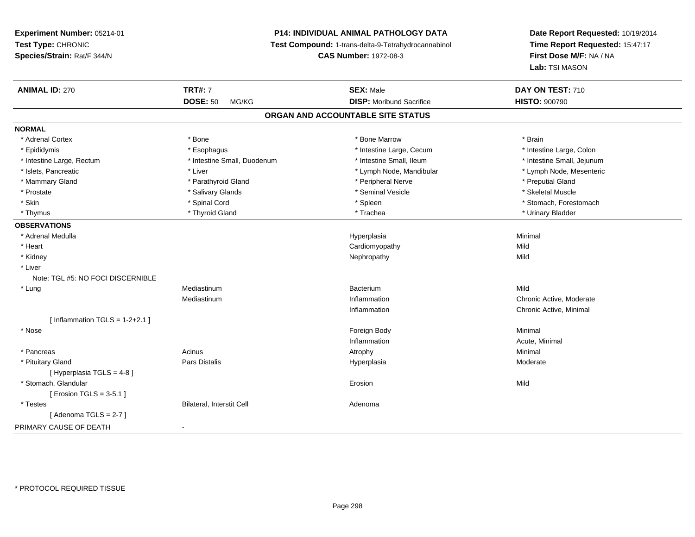## **P14: INDIVIDUAL ANIMAL PATHOLOGY DATA**

**Test Compound:** 1-trans-delta-9-Tetrahydrocannabinol

**CAS Number:** 1972-08-3

**Date Report Requested:** 10/19/2014 **Time Report Requested:** 15:47:17**First Dose M/F:** NA / NA**Lab:** TSI MASON

| <b>ANIMAL ID: 270</b>             | <b>TRT#: 7</b>              | <b>SEX: Male</b>                  | DAY ON TEST: 710           |
|-----------------------------------|-----------------------------|-----------------------------------|----------------------------|
|                                   | <b>DOSE: 50</b><br>MG/KG    | <b>DISP:</b> Moribund Sacrifice   | <b>HISTO: 900790</b>       |
|                                   |                             | ORGAN AND ACCOUNTABLE SITE STATUS |                            |
| <b>NORMAL</b>                     |                             |                                   |                            |
| * Adrenal Cortex                  | * Bone                      | * Bone Marrow                     | * Brain                    |
| * Epididymis                      | * Esophagus                 | * Intestine Large, Cecum          | * Intestine Large, Colon   |
| * Intestine Large, Rectum         | * Intestine Small, Duodenum | * Intestine Small, Ileum          | * Intestine Small, Jejunum |
| * Islets, Pancreatic              | * Liver                     | * Lymph Node, Mandibular          | * Lymph Node, Mesenteric   |
| * Mammary Gland                   | * Parathyroid Gland         | * Peripheral Nerve                | * Preputial Gland          |
| * Prostate                        | * Salivary Glands           | * Seminal Vesicle                 | * Skeletal Muscle          |
| * Skin                            | * Spinal Cord               | * Spleen                          | * Stomach, Forestomach     |
| * Thymus                          | * Thyroid Gland             | * Trachea                         | * Urinary Bladder          |
| <b>OBSERVATIONS</b>               |                             |                                   |                            |
| * Adrenal Medulla                 |                             | Hyperplasia                       | Minimal                    |
| * Heart                           |                             | Cardiomyopathy                    | Mild                       |
| * Kidney                          |                             | Nephropathy                       | Mild                       |
| * Liver                           |                             |                                   |                            |
| Note: TGL #5: NO FOCI DISCERNIBLE |                             |                                   |                            |
| * Lung                            | Mediastinum                 | Bacterium                         | Mild                       |
|                                   | Mediastinum                 | Inflammation                      | Chronic Active, Moderate   |
|                                   |                             | Inflammation                      | Chronic Active, Minimal    |
| [Inflammation TGLS = $1-2+2.1$ ]  |                             |                                   |                            |
| * Nose                            |                             | Foreign Body                      | Minimal                    |
|                                   |                             | Inflammation                      | Acute, Minimal             |
| * Pancreas                        | Acinus                      | Atrophy                           | Minimal                    |
| * Pituitary Gland                 | Pars Distalis               | Hyperplasia                       | Moderate                   |
| [Hyperplasia TGLS = $4-8$ ]       |                             |                                   |                            |
| * Stomach, Glandular              |                             | Erosion                           | Mild                       |
| [ Erosion TGLS = 3-5.1 ]          |                             |                                   |                            |
| * Testes                          | Bilateral, Interstit Cell   | Adenoma                           |                            |
| [Adenoma TGLS = $2-7$ ]           |                             |                                   |                            |
| PRIMARY CAUSE OF DEATH            | $\overline{\phantom{a}}$    |                                   |                            |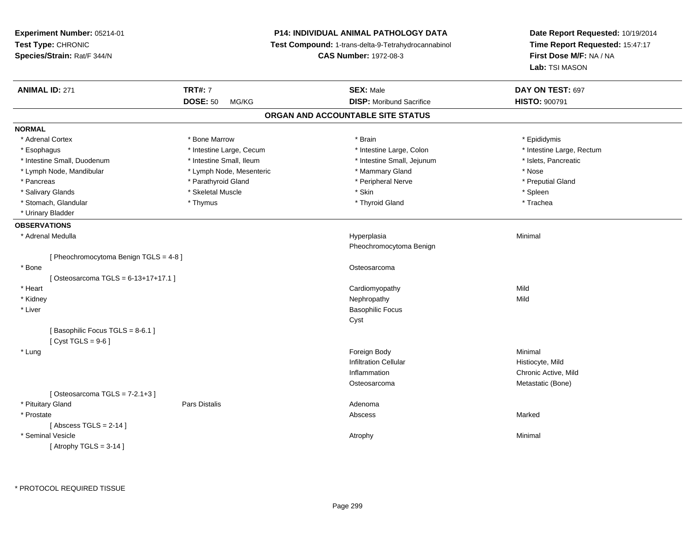| Experiment Number: 05214-01<br>Test Type: CHRONIC<br>Species/Strain: Rat/F 344/N |                                            | <b>P14: INDIVIDUAL ANIMAL PATHOLOGY DATA</b><br>Test Compound: 1-trans-delta-9-Tetrahydrocannabinol<br><b>CAS Number: 1972-08-3</b> | Date Report Requested: 10/19/2014<br>Time Report Requested: 15:47:17<br>First Dose M/F: NA / NA<br>Lab: TSI MASON |
|----------------------------------------------------------------------------------|--------------------------------------------|-------------------------------------------------------------------------------------------------------------------------------------|-------------------------------------------------------------------------------------------------------------------|
| <b>ANIMAL ID: 271</b>                                                            | <b>TRT#: 7</b><br><b>DOSE: 50</b><br>MG/KG | <b>SEX: Male</b><br><b>DISP:</b> Moribund Sacrifice                                                                                 | DAY ON TEST: 697<br><b>HISTO: 900791</b>                                                                          |
|                                                                                  |                                            | ORGAN AND ACCOUNTABLE SITE STATUS                                                                                                   |                                                                                                                   |
| <b>NORMAL</b>                                                                    |                                            |                                                                                                                                     |                                                                                                                   |
| * Adrenal Cortex                                                                 | * Bone Marrow                              | * Brain                                                                                                                             | * Epididymis                                                                                                      |
| * Esophagus                                                                      | * Intestine Large, Cecum                   | * Intestine Large, Colon                                                                                                            | * Intestine Large, Rectum                                                                                         |
| * Intestine Small, Duodenum                                                      | * Intestine Small, Ileum                   | * Intestine Small, Jejunum                                                                                                          | * Islets, Pancreatic                                                                                              |
| * Lymph Node, Mandibular                                                         | * Lymph Node, Mesenteric                   | * Mammary Gland                                                                                                                     | * Nose                                                                                                            |
| * Pancreas                                                                       | * Parathyroid Gland                        | * Peripheral Nerve                                                                                                                  | * Preputial Gland                                                                                                 |
| * Salivary Glands                                                                | * Skeletal Muscle                          | * Skin                                                                                                                              | * Spleen                                                                                                          |
| * Stomach, Glandular                                                             | * Thymus                                   | * Thyroid Gland                                                                                                                     | * Trachea                                                                                                         |
| * Urinary Bladder                                                                |                                            |                                                                                                                                     |                                                                                                                   |
| <b>OBSERVATIONS</b>                                                              |                                            |                                                                                                                                     |                                                                                                                   |
| * Adrenal Medulla                                                                |                                            | Hyperplasia                                                                                                                         | Minimal                                                                                                           |
|                                                                                  |                                            | Pheochromocytoma Benign                                                                                                             |                                                                                                                   |
| [ Pheochromocytoma Benign TGLS = 4-8 ]                                           |                                            |                                                                                                                                     |                                                                                                                   |
| * Bone                                                                           |                                            | Osteosarcoma                                                                                                                        |                                                                                                                   |
| [Osteosarcoma TGLS = $6-13+17+17.1$ ]                                            |                                            |                                                                                                                                     |                                                                                                                   |
| * Heart                                                                          |                                            | Cardiomyopathy                                                                                                                      | Mild                                                                                                              |
| * Kidney                                                                         |                                            | Nephropathy                                                                                                                         | Mild                                                                                                              |
| * Liver                                                                          |                                            | <b>Basophilic Focus</b>                                                                                                             |                                                                                                                   |
| [Basophilic Focus TGLS = 8-6.1]<br>[Cyst TGLS = $9-6$ ]                          |                                            | Cyst                                                                                                                                |                                                                                                                   |
| * Lung                                                                           |                                            | Foreign Body                                                                                                                        | Minimal                                                                                                           |
|                                                                                  |                                            | <b>Infiltration Cellular</b>                                                                                                        | Histiocyte, Mild                                                                                                  |
|                                                                                  |                                            | Inflammation                                                                                                                        | Chronic Active, Mild                                                                                              |
|                                                                                  |                                            | Osteosarcoma                                                                                                                        | Metastatic (Bone)                                                                                                 |
| [Osteosarcoma TGLS = 7-2.1+3]                                                    |                                            |                                                                                                                                     |                                                                                                                   |
| * Pituitary Gland                                                                | Pars Distalis                              | Adenoma                                                                                                                             |                                                                                                                   |
| * Prostate                                                                       |                                            | Abscess                                                                                                                             | Marked                                                                                                            |
| [Abscess TGLS = $2-14$ ]                                                         |                                            |                                                                                                                                     |                                                                                                                   |
| * Seminal Vesicle                                                                |                                            | Atrophy                                                                                                                             | Minimal                                                                                                           |
| [Atrophy TGLS = $3-14$ ]                                                         |                                            |                                                                                                                                     |                                                                                                                   |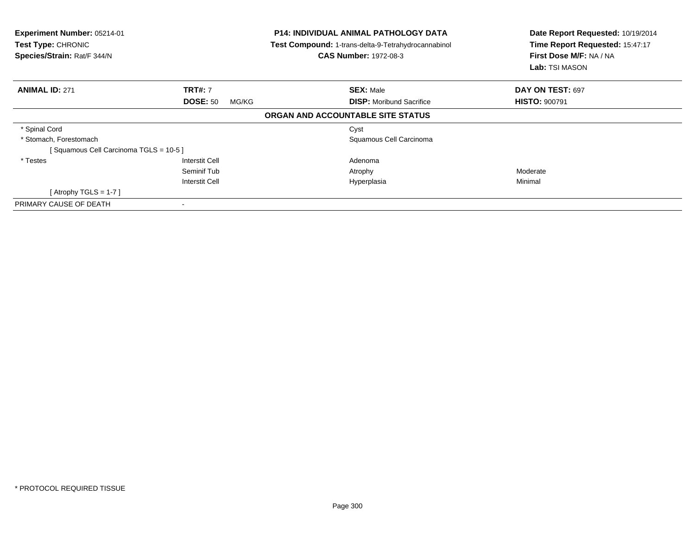| <b>Experiment Number: 05214-01</b><br>Test Type: CHRONIC<br>Species/Strain: Rat/F 344/N | <b>P14: INDIVIDUAL ANIMAL PATHOLOGY DATA</b><br>Test Compound: 1-trans-delta-9-Tetrahydrocannabinol<br><b>CAS Number: 1972-08-3</b> |                                   | Date Report Requested: 10/19/2014<br>Time Report Requested: 15:47:17<br>First Dose M/F: NA / NA<br>Lab: TSI MASON |  |
|-----------------------------------------------------------------------------------------|-------------------------------------------------------------------------------------------------------------------------------------|-----------------------------------|-------------------------------------------------------------------------------------------------------------------|--|
| <b>ANIMAL ID: 271</b>                                                                   | <b>TRT#: 7</b>                                                                                                                      | <b>SEX: Male</b>                  | DAY ON TEST: 697                                                                                                  |  |
|                                                                                         | <b>DOSE: 50</b><br>MG/KG                                                                                                            | <b>DISP:</b> Moribund Sacrifice   | <b>HISTO: 900791</b>                                                                                              |  |
|                                                                                         |                                                                                                                                     | ORGAN AND ACCOUNTABLE SITE STATUS |                                                                                                                   |  |
| * Spinal Cord                                                                           |                                                                                                                                     | Cyst                              |                                                                                                                   |  |
| * Stomach, Forestomach                                                                  |                                                                                                                                     | Squamous Cell Carcinoma           |                                                                                                                   |  |
| [Squamous Cell Carcinoma TGLS = 10-5]                                                   |                                                                                                                                     |                                   |                                                                                                                   |  |
| * Testes                                                                                | <b>Interstit Cell</b>                                                                                                               | Adenoma                           |                                                                                                                   |  |
|                                                                                         | Seminif Tub                                                                                                                         | Atrophy                           | Moderate                                                                                                          |  |
|                                                                                         | <b>Interstit Cell</b>                                                                                                               | Hyperplasia                       | Minimal                                                                                                           |  |
| [Atrophy TGLS = 1-7 ]                                                                   |                                                                                                                                     |                                   |                                                                                                                   |  |
| PRIMARY CAUSE OF DEATH                                                                  |                                                                                                                                     |                                   |                                                                                                                   |  |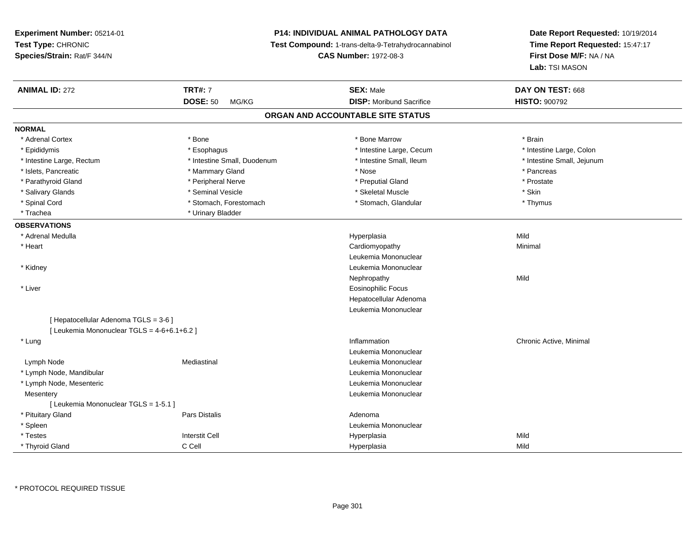**Experiment Number:** 05214-01**Test Type:** CHRONIC **Species/Strain:** Rat/F 344/N**P14: INDIVIDUAL ANIMAL PATHOLOGY DATA Test Compound:** 1-trans-delta-9-Tetrahydrocannabinol **CAS Number:** 1972-08-3**Date Report Requested:** 10/19/2014**Time Report Requested:** 15:47:17**First Dose M/F:** NA / NA**Lab:** TSI MASON**ANIMAL ID:** 272**TRT#:** 7 **SEX:** Male **DAY ON TEST:** 668 **DOSE:** 50 MG/KG **DISP:** Moribund Sacrifice **HISTO:** <sup>900792</sup> **ORGAN AND ACCOUNTABLE SITE STATUSNORMAL**\* Adrenal Cortex \* Adrenal Cortex \* \* Adrenal Cortex \* Brain \* Bone \* \* Bone Marrow \* Bone Marrow \* \* Brain \* Brain \* Brain \* Brain \* Brain \* Brain \* Brain \* Brain \* Brain \* Brain \* Brain \* Brain \* Brain \* Brain \* Brain \* Brain \* Brain \* B \* Intestine Large, Colon \* Epididymis \* Esophagus \* Esophagus \* Esophagus \* 11testine Large, Cecum \* Intestine Large, Rectum \* Thestine Small, Duodenum \* Number of the small, Ileum \* Intestine Small, Jejunum \* Intestine Small, Jejunum \* Islets, Pancreatic \* \* \* Mammary Gland \* \* Mammary Gland \* \* Nose \* \* Pancreas \* Pancreas \* Pancreas \* \* Pancreas \* Prostate \* Parathyroid Gland \* Peripheral Nerve \* Peripheral Nerve \* Preputial Gland \* Preputial Gland \* Salivary Glands \* Seminal Vesicle \* Skeletal Muscle \* Skin\* Thymus \* Spinal Cord \* Stomach, Forestomach \* Stomach \* Stomach \* Stomach, Glandular \* Stomach, Glandular \* Trachea \* Urinary Bladder**OBSERVATIONS** \* Adrenal Medulla Hyperplasia Mild \* Heart Cardiomyopathy Minimal Leukemia Mononuclear \* Kidney Leukemia Mononuclear Nephropathyy Mild \* Liver Eosinophilic Focus Hepatocellular Adenoma Leukemia Mononuclear[ Hepatocellular Adenoma TGLS = 3-6 ] $[$  Leukemia Mononuclear TGLS = 4-6+6.1+6.2 ] \* Lungg is a controller to the controller of the controller of the chronic Active, Minimal of the chronic Active, Minimal of the chronic Active, Minimal of the chronic Active, Minimal of the chronic Active, Minimal of the chroni Leukemia Mononuclear Lymph NodeMediastinal **Mediastinal** Mononuclear **Leukemia Mononuclear**  \* Lymph Node, Mandibular Leukemia Mononuclear \* Lymph Node, Mesenteric Leukemia Mononuclear **Mesentery**  Leukemia Mononuclear [ Leukemia Mononuclear TGLS = 1-5.1 ] \* Pituitary Glandd and the contract of Pars Distalis and the contract of Adenoma and Adenoma and the Adenoma and the Adenoma and  $\lambda$  \* Spleen Leukemia Mononuclear \* Testes Interstit Cell Hyperplasiaa Mild \* Thyroid GlandC Cell Hyperplasia Mild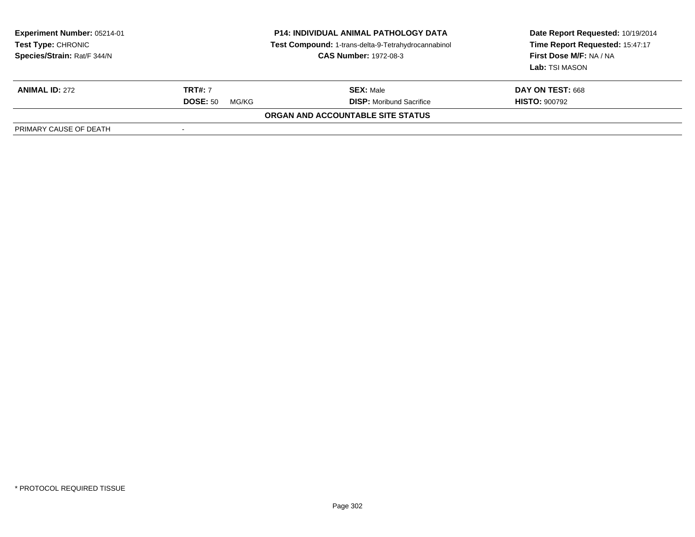| <b>Experiment Number: 05214-01</b><br>Test Type: CHRONIC<br>Species/Strain: Rat/F 344/N | <b>P14: INDIVIDUAL ANIMAL PATHOLOGY DATA</b><br>Test Compound: 1-trans-delta-9-Tetrahydrocannabinol<br><b>CAS Number: 1972-08-3</b> |                                          | Date Report Requested: 10/19/2014<br>Time Report Requested: 15:47:17<br>First Dose M/F: NA / NA<br>Lab: TSI MASON |
|-----------------------------------------------------------------------------------------|-------------------------------------------------------------------------------------------------------------------------------------|------------------------------------------|-------------------------------------------------------------------------------------------------------------------|
| <b>ANIMAL ID: 272</b>                                                                   | <b>TRT#: 7</b>                                                                                                                      | <b>SEX: Male</b>                         | <b>DAY ON TEST: 668</b>                                                                                           |
|                                                                                         | <b>DOSE: 50</b><br>MG/KG                                                                                                            | <b>DISP:</b> Moribund Sacrifice          | <b>HISTO: 900792</b>                                                                                              |
|                                                                                         |                                                                                                                                     | <b>ORGAN AND ACCOUNTABLE SITE STATUS</b> |                                                                                                                   |
| PRIMARY CAUSE OF DEATH                                                                  |                                                                                                                                     |                                          |                                                                                                                   |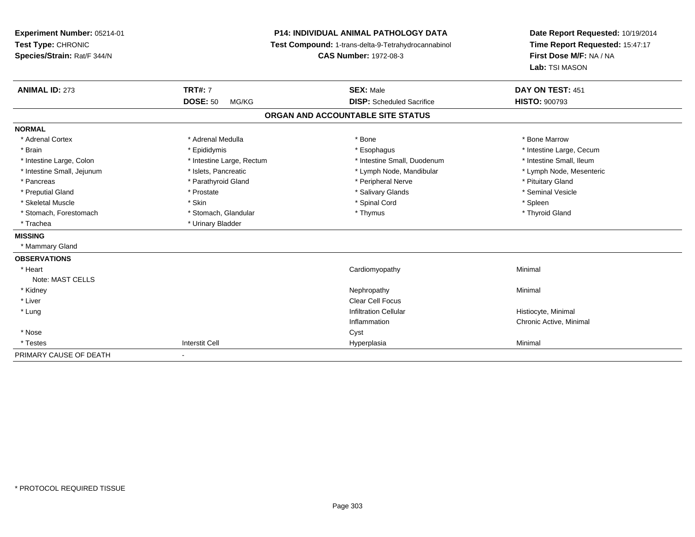| Experiment Number: 05214-01<br>Test Type: CHRONIC<br>Species/Strain: Rat/F 344/N |                           | <b>P14: INDIVIDUAL ANIMAL PATHOLOGY DATA</b><br>Test Compound: 1-trans-delta-9-Tetrahydrocannabinol<br><b>CAS Number: 1972-08-3</b> | Date Report Requested: 10/19/2014<br>Time Report Requested: 15:47:17<br>First Dose M/F: NA / NA<br>Lab: TSI MASON |
|----------------------------------------------------------------------------------|---------------------------|-------------------------------------------------------------------------------------------------------------------------------------|-------------------------------------------------------------------------------------------------------------------|
| <b>ANIMAL ID: 273</b>                                                            | <b>TRT#: 7</b>            | <b>SEX: Male</b>                                                                                                                    | DAY ON TEST: 451                                                                                                  |
|                                                                                  | <b>DOSE: 50</b><br>MG/KG  | <b>DISP:</b> Scheduled Sacrifice                                                                                                    | <b>HISTO: 900793</b>                                                                                              |
|                                                                                  |                           | ORGAN AND ACCOUNTABLE SITE STATUS                                                                                                   |                                                                                                                   |
| <b>NORMAL</b>                                                                    |                           |                                                                                                                                     |                                                                                                                   |
| * Adrenal Cortex                                                                 | * Adrenal Medulla         | * Bone                                                                                                                              | * Bone Marrow                                                                                                     |
| * Brain                                                                          | * Epididymis              | * Esophagus                                                                                                                         | * Intestine Large, Cecum                                                                                          |
| * Intestine Large, Colon                                                         | * Intestine Large, Rectum | * Intestine Small, Duodenum                                                                                                         | * Intestine Small, Ileum                                                                                          |
| * Intestine Small, Jejunum                                                       | * Islets, Pancreatic      | * Lymph Node, Mandibular                                                                                                            | * Lymph Node, Mesenteric                                                                                          |
| * Pancreas                                                                       | * Parathyroid Gland       | * Peripheral Nerve                                                                                                                  | * Pituitary Gland                                                                                                 |
| * Preputial Gland                                                                | * Prostate                | * Salivary Glands                                                                                                                   | * Seminal Vesicle                                                                                                 |
| * Skeletal Muscle                                                                | * Skin                    | * Spinal Cord                                                                                                                       | * Spleen                                                                                                          |
| * Stomach, Forestomach                                                           | * Stomach, Glandular      | * Thymus                                                                                                                            | * Thyroid Gland                                                                                                   |
| * Trachea                                                                        | * Urinary Bladder         |                                                                                                                                     |                                                                                                                   |
| <b>MISSING</b>                                                                   |                           |                                                                                                                                     |                                                                                                                   |
| * Mammary Gland                                                                  |                           |                                                                                                                                     |                                                                                                                   |
| <b>OBSERVATIONS</b>                                                              |                           |                                                                                                                                     |                                                                                                                   |
| * Heart                                                                          |                           | Cardiomyopathy                                                                                                                      | Minimal                                                                                                           |
| Note: MAST CELLS                                                                 |                           |                                                                                                                                     |                                                                                                                   |
| * Kidney                                                                         |                           | Nephropathy                                                                                                                         | Minimal                                                                                                           |
| * Liver                                                                          |                           | <b>Clear Cell Focus</b>                                                                                                             |                                                                                                                   |
| * Lung                                                                           |                           | <b>Infiltration Cellular</b>                                                                                                        | Histiocyte, Minimal                                                                                               |
|                                                                                  |                           | Inflammation                                                                                                                        | Chronic Active, Minimal                                                                                           |
| * Nose                                                                           |                           | Cyst                                                                                                                                |                                                                                                                   |
| * Testes                                                                         | <b>Interstit Cell</b>     | Hyperplasia                                                                                                                         | Minimal                                                                                                           |
| PRIMARY CAUSE OF DEATH                                                           |                           |                                                                                                                                     |                                                                                                                   |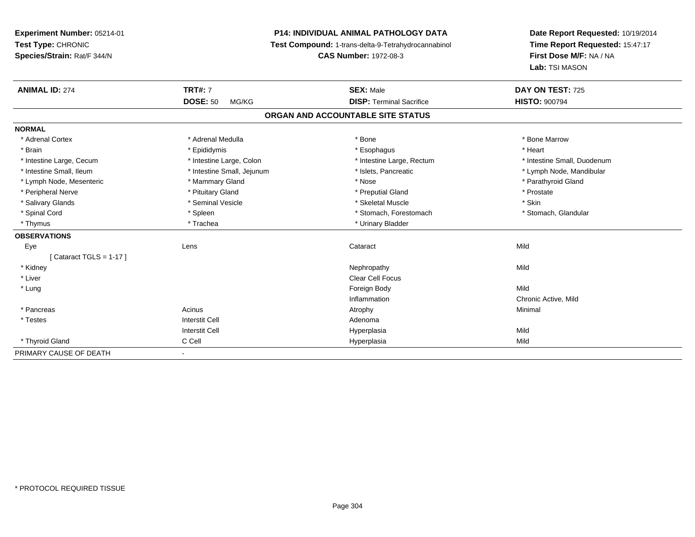**Experiment Number:** 05214-01**Test Type:** CHRONIC **Species/Strain:** Rat/F 344/N**P14: INDIVIDUAL ANIMAL PATHOLOGY DATA Test Compound:** 1-trans-delta-9-Tetrahydrocannabinol **CAS Number:** 1972-08-3**Date Report Requested:** 10/19/2014**Time Report Requested:** 15:47:17**First Dose M/F:** NA / NA**Lab:** TSI MASON**ANIMAL ID:** 274**TRT#:** 7 **SEX:** Male **DAY ON TEST:** 725 **DOSE:** 50 MG/KG **DISP:** Terminal Sacrifice **HISTO:** <sup>900794</sup> **ORGAN AND ACCOUNTABLE SITE STATUSNORMAL**\* Adrenal Cortex \* Adrenal Medulla \* Adrenal Medulla \* Bone \* Bone \* Bone \* Bone \* Bone Marrow \* Brain \* \* Esophagus \* \* Esophagus \* \* Esophagus \* \* Esophagus \* \* Esophagus \* Heart \* Heart \* Heart \* Heart \* Intestine Large, Cecum \* Intestine Large, Colon \* Intestine Large, Rectum \* Intestine Small, Duodenum \* Intestine Small, Ileum \* \* Thestine Small, Jejunum \* \* Sets, Pancreatic \* \* Thestine Small, Nejunum \* Lymph Node, Mandibular \* Lymph Node, Mesenteric \* \* Mammary Gland \* Mammary Gland \* Nose \* Nose \* \* Parathyroid Gland \* Parathyroid Gland \* Peripheral Nerve \* \* \* Prostate \* \* Pretuitary Gland \* \* \* \* \* \* \* Preputial Gland \* \* \* Prostate \* Prostate \* Salivary Glands \* Seminal Vesicle \* Skeletal Muscle \* Skin\* Stomach, Glandular \* Spinal Cord \* Spinal Cord \* Spinal Cord \* Stomach, Forestomach \* Spinal Cord \* Stomach, Forestomach \* Thymus \* Trachea \* Trachea \* Urinary Bladder **OBSERVATIONS** Eyee the contract of the contract of the contract of the contract of the contract of the contract of the contract  $\mathsf{Mild}$  $[$  Cataract TGLS = 1-17  $]$  \* Kidneyy the control of the control of the control of the control of the control of the control of the control of the control of the control of the control of the control of the control of the control of the control of the contro \* Liver Clear Cell Focus \* Lungg and the state of the state of the state of the state of the state of the state of the state of the state of the state of the state of the state of the state of the state of the state of the state of the state of the stat Inflammation Chronic Active, Mild \* Pancreass the control of the control of the control of the control of the control of the control of the control of the control of the control of the control of the control of the control of the control of the control of the contro \* Testes Interstit Cell AdenomaI **Hyperplasia** Interstit Cella Mild \* Thyroid Gland C Cell Hyperplasia Mild PRIMARY CAUSE OF DEATH-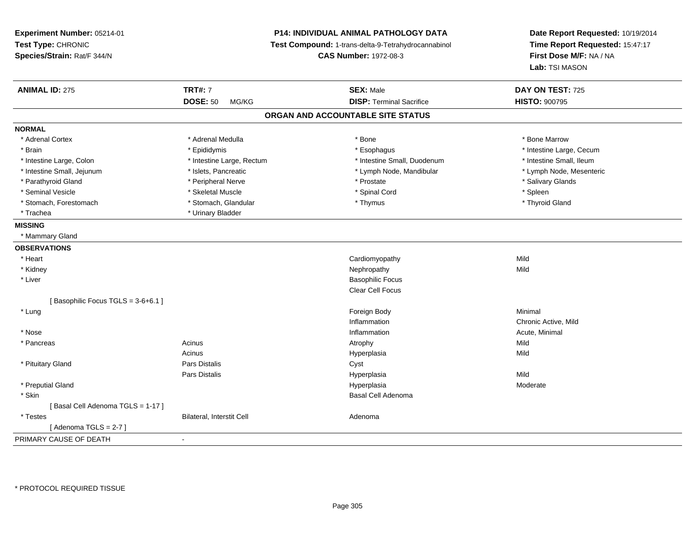**Experiment Number:** 05214-01**Test Type:** CHRONIC **Species/Strain:** Rat/F 344/N**P14: INDIVIDUAL ANIMAL PATHOLOGY DATA Test Compound:** 1-trans-delta-9-Tetrahydrocannabinol **CAS Number:** 1972-08-3**Date Report Requested:** 10/19/2014**Time Report Requested:** 15:47:17**First Dose M/F:** NA / NA**Lab:** TSI MASON**ANIMAL ID:** 275 **TRT#:** <sup>7</sup> **SEX:** Male **DAY ON TEST:** <sup>725</sup> **DOSE:** 50 MG/KG **DISP:** Terminal Sacrifice **HISTO:** <sup>900795</sup> **ORGAN AND ACCOUNTABLE SITE STATUSNORMAL**\* Adrenal Cortex \* Adrenal Medulla \* Adrenal Medulla \* Bone \* Bone \* Bone \* Bone \* Bone Marrow \* Brain \* Explorer \* Epididymis \* \* Epididymis \* \* Esophagus \* Esophagus \* \* Esophagus \* Intestine Large, Cecum \* \* Intestine Large, Cecum \* Intestine Small, Ileum \* Intestine Large, Colon \* Intestine Large, Rectum \* Intestine Small, Duodenum \* Intestine Small, Duodenum \* Lymph Node, Mesenteric \* Intestine Small, Jejunum \* Mandibular \* Islets, Pancreatic \* Mandibular \* Lymph Node, Mandibular \* Parathyroid Gland \* \* Andrew \* Peripheral Nerve \* \* Prostate \* \* Prostate \* \* Salivary Glands \* Salivary Glands \* Salivary Glands \* Salivary Glands \* Salivary Glands \* Salivary Glands \* Salivary Glands \* Salivary Glands \* Seminal Vesicle \* \* \* \* Sheem \* Skeletal Muscle \* \* \* Spinal Cord \* \* Spinal Cord \* \* Spinal Vesicle \* \* Spleen \* \* Spleen \* \* Spinal Cord \* \* Spinal Cord \* \* \* Spinal Cord \* \* \* Spinal Cord \* \* \* Spinal Cord \* \* \* Spina \* Thyroid Gland \* Stomach, Forestomach \* Thymus \* Stomach, Glandular \* Thymus \* Thymus \* Thymus \* Thymus \* Thymus \* Thymus \* Thymus \* Thymus \* Thymus \* Thymus \* Thymus \* Thymus \* Thymus \* Thymus \* Thymus \* Thymus \* Thymus \* Thymus \* Thymu \* Trachea \* Urinary Bladder**MISSING** \* Mammary Gland**OBSERVATIONS** \* Heart Cardiomyopathyy Mild **Mild**  \* Kidneyy the controller of the controller of the controller of the controller of the controller of the controller of the controller of the controller of the controller of the controller of the controller of the controller of the \* Liver Basophilic Focus Clear Cell Focus[ Basophilic Focus TGLS = 3-6+6.1 ] \* Lungg and the state of the state of the state of the state of the state of the state of the state of the state of the state of the state of the state of the state of the state of the state of the state of the state of the stat InflammationInflammation **Chronic Active, Mild**<br>
Inflammation **Chronic Active, Mild**<br>
Acute. Minimal \* Nosee the contraction of the contraction of the contraction of the contraction of the contraction of the contraction  $\mathsf{Acute}$ , Minimal \* Pancreass the contract of the contract of the contract of the contract of the contract of the contract of the contract of the contract of the contract of the contract of the contract of the contract of the contract of the contract **Mild** Acinus Hyperplasiaa Mild \* Pituitary Glandd **Example 2018** Pars Distalis **Contains 2018** Cyst Pars Distalis Hyperplasiaa Mild \* Preputial Glandd and the state of the state of the state of the Hyperplasia Moderate of the Moderate of the Moderate of the Moderate of the Moderate of the Moderate of the Moderate of the Moderate of the Moderate of the Moderate of the M \* Skinn and the control of the control of the control of the control of the control of the control of the control of the control of the control of the control of the control of the control of the control of the control of the co [ Basal Cell Adenoma TGLS = 1-17 ] \* TestesBilateral, Interstit Cell **Adenoma** Adenoma [ Adenoma TGLS = 2-7 ]PRIMARY CAUSE OF DEATH-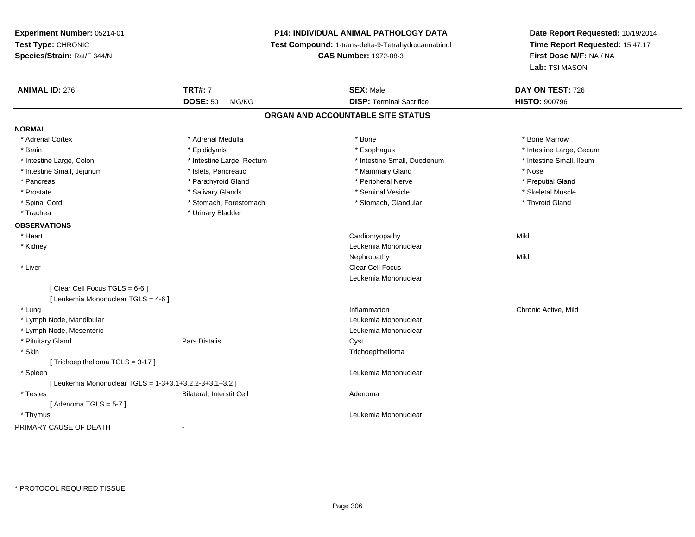**Experiment Number:** 05214-01**Test Type:** CHRONIC **Species/Strain:** Rat/F 344/N**P14: INDIVIDUAL ANIMAL PATHOLOGY DATA Test Compound:** 1-trans-delta-9-Tetrahydrocannabinol **CAS Number:** 1972-08-3**Date Report Requested:** 10/19/2014**Time Report Requested:** 15:47:17**First Dose M/F:** NA / NA**Lab:** TSI MASON**ANIMAL ID:** 276 **TRT#:** <sup>7</sup> **SEX:** Male **DAY ON TEST:** <sup>726</sup> **DOSE:** 50 MG/KG **DISP:** Terminal Sacrifice **HISTO:** <sup>900796</sup> **ORGAN AND ACCOUNTABLE SITE STATUSNORMAL**\* Adrenal Cortex \* Adrenal Medulla \* Adrenal Medulla \* Bone \* Bone \* Bone \* Bone \* Bone Marrow \* Brain \* Explorer \* Epididymis \* \* Epididymis \* \* Esophagus \* Esophagus \* \* Esophagus \* Intestine Large, Cecum \* \* Intestine Large, Cecum \* Intestine Small. Ileum \* Intestine Large, Colon \* Intestine Large, Rectum \* Intestine Small, Duodenum \* Intestine Small, Duodenum \* Intestine Small, Jejunum \* Nose \* Nose \* Islets, Pancreatic \* \* Mammary Gland \* Mammary Gland \* Nose \* Nose \* Preputial Gland \* Pancreas \* \* Parathyroid Gland \* \* Parathyroid Gland \* \* Peripheral Nerve \* \* Peripheral Nerve \* \* Preputial Gland \* Skeletal Muscle \* Prostate \* \* Skeletal Muscle \* \* Salivary Glands \* \* Steminal Vesicle \* \* Seminal Vesicle \* \* Skeletal Muscle \* Thyroid Gland \* Spinal Cord \* Stomach, Forestomach \* Stomach \* Stomach, Glandular \* Stomach, Glandular \* Trachea \* Urinary Bladder**OBSERVATIONS** \* Heart Cardiomyopathyy Mild \* Kidney Leukemia Mononuclear Nephropathyy Mild \* Liver Clear Cell Focus Leukemia Mononuclear $[$  Clear Cell Focus TGLS = 6-6  $]$ [ Leukemia Mononuclear TGLS = 4-6 ] \* Lungg is a controller to the controller of the controller of the controller of the controller of the chronic Active, Mild \* Lymph Node, Mandibular Leukemia Mononuclear \* Lymph Node, Mesenteric Leukemia Mononuclear \* Pituitary Glandd Cyst Constants Constants Constants Constants Constants Constants Constants Constants Constants Constants Const \* Skin Trichoepithelioma [ Trichoepithelioma TGLS = 3-17 ] \* Spleen Leukemia Mononuclear [ Leukemia Mononuclear TGLS = 1-3+3.1+3.2,2-3+3.1+3.2 ] \* TestesBilateral, Interstit Cell **Adenoma** Adenoma [ Adenoma  $TGLS = 5-7$  ] \* Thymus Leukemia Mononuclear PRIMARY CAUSE OF DEATH-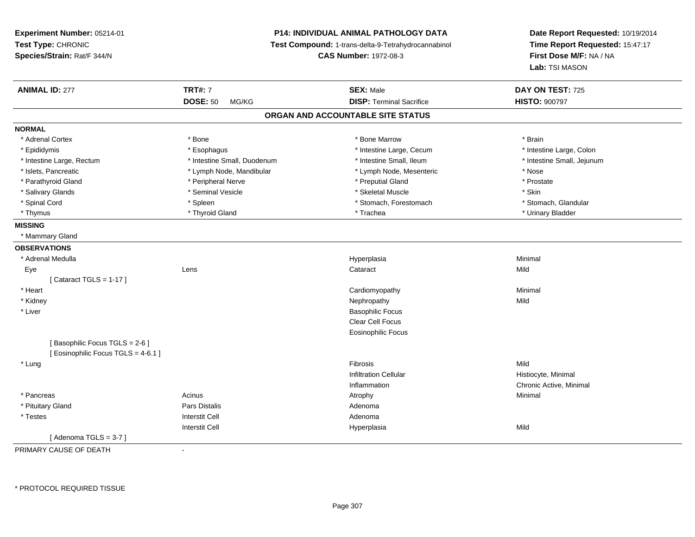**Experiment Number:** 05214-01**Test Type:** CHRONIC **Species/Strain:** Rat/F 344/N**P14: INDIVIDUAL ANIMAL PATHOLOGY DATA Test Compound:** 1-trans-delta-9-Tetrahydrocannabinol **CAS Number:** 1972-08-3**Date Report Requested:** 10/19/2014**Time Report Requested:** 15:47:17**First Dose M/F:** NA / NA**Lab:** TSI MASON**ANIMAL ID:** 277**TRT#:** 7 **SEX:** Male **DAY ON TEST:** 725 **DOSE:** 50 MG/KG **DISP:** Terminal Sacrifice **HISTO:** <sup>900797</sup> **ORGAN AND ACCOUNTABLE SITE STATUSNORMAL**\* Adrenal Cortex \* Adrenal Cortex \* \* Adrenal Cortex \* Brain \* Bone \* \* Bone Marrow \* Bone Marrow \* \* Brain \* Brain \* Brain \* Brain \* Brain \* Brain \* Brain \* Brain \* Brain \* Brain \* Brain \* Brain \* Brain \* Brain \* Brain \* Brain \* Brain \* B \* Intestine Large, Colon \* Epididymis \* Esophagus \* Esophagus \* Esophagus \* 11testine Large, Cecum \* Intestine Large, Rectum \* Thestine Small, Duodenum \* Number of the small, Ileum \* Intestine Small, Jejunum \* Intestine Small, Jejunum \* Islets, Pancreatic \* The same \* Lymph Node, Mandibular \* Lymph Node, Mesenteric \* Nose \* Nose \* Prostate \* Parathyroid Gland \* **All and \* Peripheral Nerve** \* Peripheral Nerve \* \* \* Preputial Gland \* Salivary Glands \* Seminal Vesicle \* Skeletal Muscle \* Skin\* Stomach. Glandular \* Spinal Cord \* Spinal Cord \* Spinal Cord \* Stomach, Forestomach \* Stomach, Forestomach \* Stomach, Forestomach \* Thymus \* Thyroid Gland \* Trachea \* Urinary Bladder \* **MISSING** \* Mammary Gland**OBSERVATIONS** \* Adrenal Medullaa and the control of the control of the control of the Hyperplasia and the control of the control of the control of the control of the control of the control of the control of the control of the control of the control of t Eyee and the contract of the contract of the contract of the contract of the contract of the contract of the contract of the contract of the contract of the contract of the contract of the contract of the contract of the cont  $[$  Cataract TGLS = 1-17  $]$  \* Heart Cardiomyopathy Minimal \* Kidneyy the controller of the controller of the controller of the controller of the controller of the controller of the controller of the controller of the controller of the controller of the controller of the controller of the \* Liver Basophilic Focus Clear Cell Focus Eosinophilic Focus[ Basophilic Focus TGLS = 2-6 ][ Eosinophilic Focus TGLS = 4-6.1 ] \* Lungg and the state of the state of the state of the state of the Shane of Theorem and the Shane of the Shane of the Shane of the Shane of the Shane of the Shane of the Shane of the Shane of the Shane of the Shane of the Shane Infiltration Cellular Histiocyte, Minimal Inflammation Chronic Active, Minimal \* Pancreass the control of the control of the control of the control of the control of the control of the control of the control of the control of the control of the control of the control of the control of the control of the contro \* Pituitary Glandd and the set of Pars Distalis and the Second Adenomal Adenomal Second Second Pars Distallis \* Testess and the contractive contractive contractive contractive contractive contractive contractive contractive contractive contractive contractive contractive contractive contractive contractive contractive contractive contract I Contract to the Contract of the Hyperplasia Interstit Cella Mild  $[$  Adenoma TGLS = 3-7  $]$ 

PRIMARY CAUSE OF DEATH-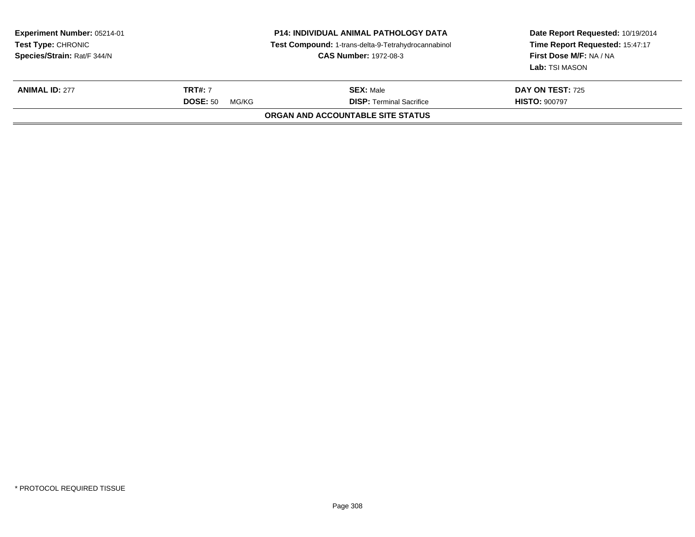| Experiment Number: 05214-01<br><b>Test Type: CHRONIC</b><br>Species/Strain: Rat/F 344/N |                                            | <b>P14: INDIVIDUAL ANIMAL PATHOLOGY DATA</b><br>Test Compound: 1-trans-delta-9-Tetrahydrocannabinol<br><b>CAS Number: 1972-08-3</b> | Date Report Requested: 10/19/2014<br>Time Report Requested: 15:47:17<br>First Dose M/F: NA / NA<br>Lab: TSI MASON |
|-----------------------------------------------------------------------------------------|--------------------------------------------|-------------------------------------------------------------------------------------------------------------------------------------|-------------------------------------------------------------------------------------------------------------------|
| <b>ANIMAL ID: 277</b>                                                                   | <b>TRT#:</b> 7<br><b>DOSE: 50</b><br>MG/KG | <b>SEX: Male</b><br><b>DISP: Terminal Sacrifice</b>                                                                                 | DAY ON TEST: 725<br><b>HISTO: 900797</b>                                                                          |
|                                                                                         |                                            | ORGAN AND ACCOUNTABLE SITE STATUS                                                                                                   |                                                                                                                   |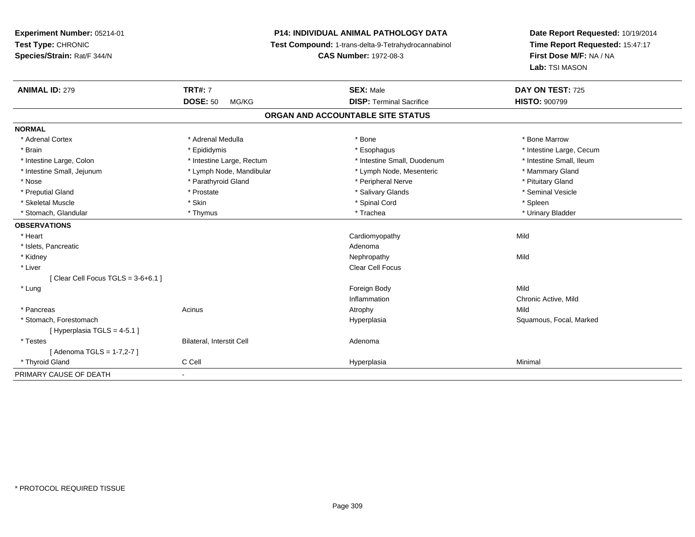## **P14: INDIVIDUAL ANIMAL PATHOLOGY DATA**

**Test Compound:** 1-trans-delta-9-Tetrahydrocannabinol

**CAS Number:** 1972-08-3

**Date Report Requested:** 10/19/2014 **Time Report Requested:** 15:47:17**First Dose M/F:** NA / NA**Lab:** TSI MASON

| <b>ANIMAL ID: 279</b>                | <b>TRT#: 7</b>            | <b>SEX: Male</b>                  | DAY ON TEST: 725         |  |
|--------------------------------------|---------------------------|-----------------------------------|--------------------------|--|
|                                      | <b>DOSE: 50</b><br>MG/KG  | <b>DISP: Terminal Sacrifice</b>   | <b>HISTO: 900799</b>     |  |
|                                      |                           | ORGAN AND ACCOUNTABLE SITE STATUS |                          |  |
| <b>NORMAL</b>                        |                           |                                   |                          |  |
| * Adrenal Cortex                     | * Adrenal Medulla         | * Bone                            | * Bone Marrow            |  |
| * Brain                              | * Epididymis              | * Esophagus                       | * Intestine Large, Cecum |  |
| * Intestine Large, Colon             | * Intestine Large, Rectum | * Intestine Small, Duodenum       | * Intestine Small, Ileum |  |
| * Intestine Small, Jejunum           | * Lymph Node, Mandibular  | * Lymph Node, Mesenteric          | * Mammary Gland          |  |
| * Nose                               | * Parathyroid Gland       | * Peripheral Nerve                | * Pituitary Gland        |  |
| * Preputial Gland                    | * Prostate                | * Salivary Glands                 | * Seminal Vesicle        |  |
| * Skeletal Muscle                    | * Skin                    | * Spinal Cord                     | * Spleen                 |  |
| * Stomach, Glandular                 | * Thymus                  | * Trachea                         | * Urinary Bladder        |  |
| <b>OBSERVATIONS</b>                  |                           |                                   |                          |  |
| * Heart                              |                           | Cardiomyopathy                    | Mild                     |  |
| * Islets, Pancreatic                 |                           | Adenoma                           |                          |  |
| * Kidney                             |                           | Nephropathy                       | Mild                     |  |
| * Liver                              |                           | Clear Cell Focus                  |                          |  |
| [Clear Cell Focus TGLS = $3-6+6.1$ ] |                           |                                   |                          |  |
| * Lung                               |                           | Foreign Body                      | Mild                     |  |
|                                      |                           | Inflammation                      | Chronic Active, Mild     |  |
| * Pancreas                           | Acinus                    | Atrophy                           | Mild                     |  |
| * Stomach, Forestomach               |                           | Hyperplasia                       | Squamous, Focal, Marked  |  |
| [Hyperplasia TGLS = $4-5.1$ ]        |                           |                                   |                          |  |
| * Testes                             | Bilateral, Interstit Cell | Adenoma                           |                          |  |
| [ Adenoma TGLS = 1-7,2-7 ]           |                           |                                   |                          |  |
| * Thyroid Gland                      | C Cell                    | Hyperplasia                       | Minimal                  |  |
| PRIMARY CAUSE OF DEATH               | ٠                         |                                   |                          |  |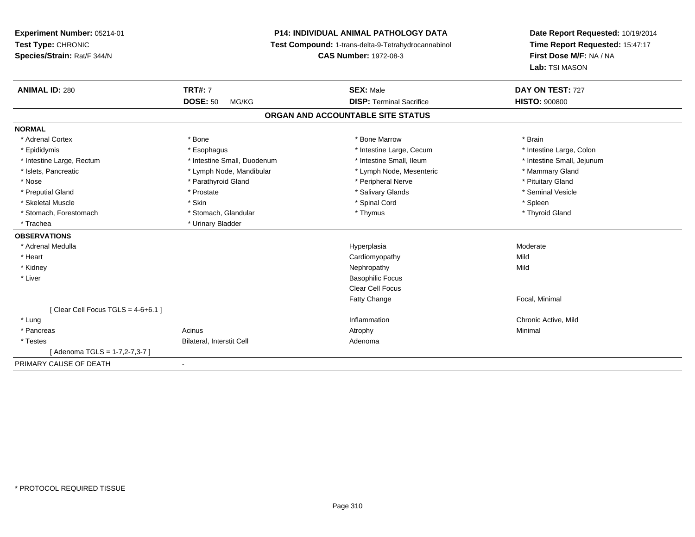## **P14: INDIVIDUAL ANIMAL PATHOLOGY DATA**

**Test Compound:** 1-trans-delta-9-Tetrahydrocannabinol

**CAS Number:** 1972-08-3

**Date Report Requested:** 10/19/2014**Time Report Requested:** 15:47:17**First Dose M/F:** NA / NA**Lab:** TSI MASON

| <b>ANIMAL ID: 280</b>                | <b>TRT#: 7</b>              | <b>SEX: Male</b>                  | DAY ON TEST: 727           |
|--------------------------------------|-----------------------------|-----------------------------------|----------------------------|
|                                      | <b>DOSE: 50</b><br>MG/KG    | <b>DISP: Terminal Sacrifice</b>   | <b>HISTO: 900800</b>       |
|                                      |                             | ORGAN AND ACCOUNTABLE SITE STATUS |                            |
| <b>NORMAL</b>                        |                             |                                   |                            |
| * Adrenal Cortex                     | * Bone                      | * Bone Marrow                     | * Brain                    |
| * Epididymis                         | * Esophagus                 | * Intestine Large, Cecum          | * Intestine Large, Colon   |
| * Intestine Large, Rectum            | * Intestine Small, Duodenum | * Intestine Small, Ileum          | * Intestine Small, Jejunum |
| * Islets, Pancreatic                 | * Lymph Node, Mandibular    | * Lymph Node, Mesenteric          | * Mammary Gland            |
| * Nose                               | * Parathyroid Gland         | * Peripheral Nerve                | * Pituitary Gland          |
| * Preputial Gland                    | * Prostate                  | * Salivary Glands                 | * Seminal Vesicle          |
| * Skeletal Muscle                    | * Skin                      | * Spinal Cord                     | * Spleen                   |
| * Stomach, Forestomach               | * Stomach, Glandular        | * Thymus                          | * Thyroid Gland            |
| * Trachea                            | * Urinary Bladder           |                                   |                            |
| <b>OBSERVATIONS</b>                  |                             |                                   |                            |
| * Adrenal Medulla                    |                             | Hyperplasia                       | Moderate                   |
| * Heart                              |                             | Cardiomyopathy                    | Mild                       |
| * Kidney                             |                             | Nephropathy                       | Mild                       |
| * Liver                              |                             | <b>Basophilic Focus</b>           |                            |
|                                      |                             | <b>Clear Cell Focus</b>           |                            |
|                                      |                             | Fatty Change                      | Focal, Minimal             |
| [Clear Cell Focus TGLS = $4-6+6.1$ ] |                             |                                   |                            |
| * Lung                               |                             | Inflammation                      | Chronic Active, Mild       |
| * Pancreas                           | Acinus                      | Atrophy                           | Minimal                    |
| * Testes                             | Bilateral, Interstit Cell   | Adenoma                           |                            |
| Adenoma TGLS = 1-7,2-7,3-7 ]         |                             |                                   |                            |
| PRIMARY CAUSE OF DEATH               | $\blacksquare$              |                                   |                            |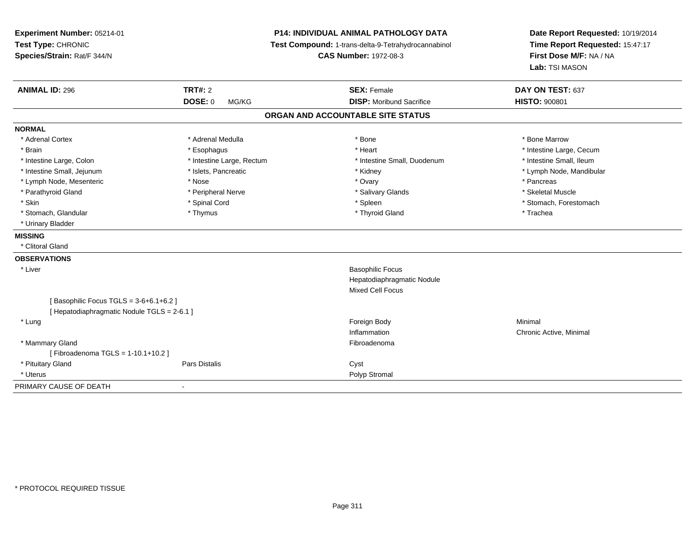| Experiment Number: 05214-01<br>Test Type: CHRONIC<br>Species/Strain: Rat/F 344/N |                           | <b>P14: INDIVIDUAL ANIMAL PATHOLOGY DATA</b><br>Test Compound: 1-trans-delta-9-Tetrahydrocannabinol<br><b>CAS Number: 1972-08-3</b> | Date Report Requested: 10/19/2014<br>Time Report Requested: 15:47:17<br>First Dose M/F: NA / NA<br>Lab: TSI MASON |
|----------------------------------------------------------------------------------|---------------------------|-------------------------------------------------------------------------------------------------------------------------------------|-------------------------------------------------------------------------------------------------------------------|
| <b>ANIMAL ID: 296</b>                                                            | <b>TRT#: 2</b>            | <b>SEX: Female</b>                                                                                                                  | DAY ON TEST: 637                                                                                                  |
|                                                                                  | DOSE: 0<br>MG/KG          | <b>DISP:</b> Moribund Sacrifice                                                                                                     | <b>HISTO: 900801</b>                                                                                              |
|                                                                                  |                           | ORGAN AND ACCOUNTABLE SITE STATUS                                                                                                   |                                                                                                                   |
| <b>NORMAL</b>                                                                    |                           |                                                                                                                                     |                                                                                                                   |
| * Adrenal Cortex                                                                 | * Adrenal Medulla         | * Bone                                                                                                                              | * Bone Marrow                                                                                                     |
| * Brain                                                                          | * Esophagus               | * Heart                                                                                                                             | * Intestine Large, Cecum                                                                                          |
| * Intestine Large, Colon                                                         | * Intestine Large, Rectum | * Intestine Small, Duodenum                                                                                                         | * Intestine Small, Ileum                                                                                          |
| * Intestine Small, Jejunum                                                       | * Islets, Pancreatic      | * Kidney                                                                                                                            | * Lymph Node, Mandibular                                                                                          |
| * Lymph Node, Mesenteric                                                         | * Nose                    | * Ovary                                                                                                                             | * Pancreas                                                                                                        |
| * Parathyroid Gland                                                              | * Peripheral Nerve        | * Salivary Glands                                                                                                                   | * Skeletal Muscle                                                                                                 |
| * Skin                                                                           | * Spinal Cord             | * Spleen                                                                                                                            | * Stomach, Forestomach                                                                                            |
| * Stomach, Glandular                                                             | * Thymus                  | * Thyroid Gland                                                                                                                     | * Trachea                                                                                                         |
| * Urinary Bladder                                                                |                           |                                                                                                                                     |                                                                                                                   |
| <b>MISSING</b>                                                                   |                           |                                                                                                                                     |                                                                                                                   |
| * Clitoral Gland                                                                 |                           |                                                                                                                                     |                                                                                                                   |
| <b>OBSERVATIONS</b>                                                              |                           |                                                                                                                                     |                                                                                                                   |
| * Liver                                                                          |                           | <b>Basophilic Focus</b>                                                                                                             |                                                                                                                   |
|                                                                                  |                           | Hepatodiaphragmatic Nodule                                                                                                          |                                                                                                                   |
|                                                                                  |                           | <b>Mixed Cell Focus</b>                                                                                                             |                                                                                                                   |
| [Basophilic Focus TGLS = 3-6+6.1+6.2]                                            |                           |                                                                                                                                     |                                                                                                                   |
| [ Hepatodiaphragmatic Nodule TGLS = 2-6.1 ]                                      |                           |                                                                                                                                     |                                                                                                                   |
| * Lung                                                                           |                           | Foreign Body                                                                                                                        | Minimal                                                                                                           |
|                                                                                  |                           | Inflammation                                                                                                                        | Chronic Active, Minimal                                                                                           |
| * Mammary Gland                                                                  |                           | Fibroadenoma                                                                                                                        |                                                                                                                   |
| [Fibroadenoma TGLS = 1-10.1+10.2]                                                |                           |                                                                                                                                     |                                                                                                                   |
| * Pituitary Gland                                                                | <b>Pars Distalis</b>      | Cyst                                                                                                                                |                                                                                                                   |
| * Uterus                                                                         |                           | Polyp Stromal                                                                                                                       |                                                                                                                   |
| PRIMARY CAUSE OF DEATH                                                           | $\blacksquare$            |                                                                                                                                     |                                                                                                                   |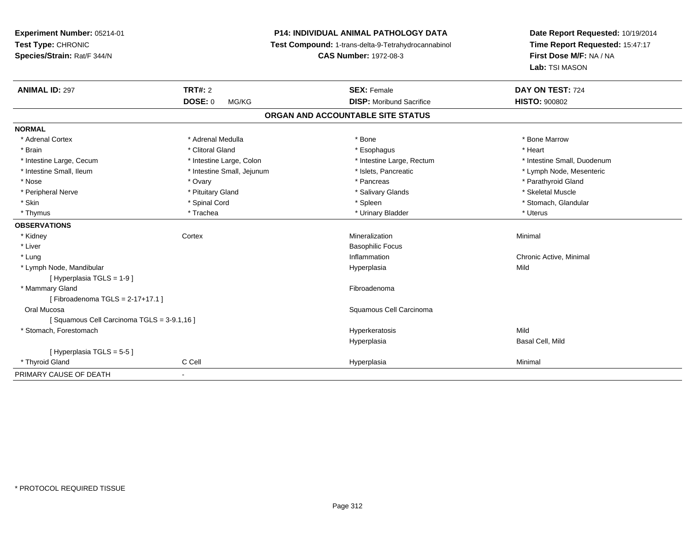**Experiment Number:** 05214-01**Test Type:** CHRONIC **Species/Strain:** Rat/F 344/N**P14: INDIVIDUAL ANIMAL PATHOLOGY DATA Test Compound:** 1-trans-delta-9-Tetrahydrocannabinol **CAS Number:** 1972-08-3**Date Report Requested:** 10/19/2014**Time Report Requested:** 15:47:17**First Dose M/F:** NA / NA**Lab:** TSI MASON**ANIMAL ID:** 297**TRT#:** 2 **SEX:** Female **DAY ON TEST:** 724 **DOSE:** 0 MG/KG **DISP:** Moribund Sacrifice **HISTO:** <sup>900802</sup> **ORGAN AND ACCOUNTABLE SITE STATUSNORMAL**\* Adrenal Cortex \* Adrenal Medulla \* Adrenal Medulla \* Bone \* Bone \* Bone \* Bone \* Bone Marrow \* Brain \* Alternative of the state of the state of the state of the state of the state of the state of the state of the state of the state of the state of the state of the state of the state of the state of the state of th \* Intestine Large, Cecum \* Intestine Large, Colon \* Intestine Large, Rectum \* Intestine Small, Duodenum\* Intestine Small, Ileum \* \* Thestine Small, Jejunum \* \* Slets, Pancreatic \* \* Thestine Small, Nejerum \* Lymph Node, Mesenteric \* \* Nose \* Ovary \* Pancreas \* Parathyroid Gland \* Peripheral Nerve \* \* \* Aliundration of the term of the state of the term of the state of the state of the state of the state of the state of the state of the state of the state of the state of the state of the state of t \* Stomach. Glandular \* Skin \* Stomach, Glandular \* Spinal Cord \* \* Stomach, Stomach, Glandular \* Spinal Cord \* \* Stomach, Glandular \* Thymus \* Trachea \* Urinary Bladder \* Uterus **OBSERVATIONS** \* Kidneyy which is a context of the Cortext of the Cortext of the Cortext of the Mineralization n Minimal \* Liver Basophilic Focus \* Lungg is a controller to the controller of the controller of the chronic Active, Minimal of the chronic Active, Minimal of the chronic Active, Minimal of the chronic Active, Minimal of the chronic Active, Minimal of the chroni \* Lymph Node, Mandibular Hyperplasiaa Mild [ Hyperplasia TGLS = 1-9 ] \* Mammary Glandd **Executive Contract of the Contract Contract Contract Contract Contract Contract Contract Contract Contract Contract Contract Contract Contract Contract Contract Contract Contract Contract Contract Contract Contract Cont** [ Fibroadenoma TGLS = 2-17+17.1 ] Oral Mucosa Squamous Cell Carcinoma [ Squamous Cell Carcinoma TGLS = 3-9.1,16 ] \* Stomach, Forestomachh and the control of the control of the Hyperkeratosis and the Mild of the Mild of the Mild of the Mild of the Mild of the Mild of the Mild of the Mild of the Mild of the Mild of the Mild of the Mild of the Mild of the Mil Hyperplasia Basal Cell, Mild [ Hyperplasia TGLS = 5-5 ] \* Thyroid Gland C Cell Hyperplasia Minimal PRIMARY CAUSE OF DEATH-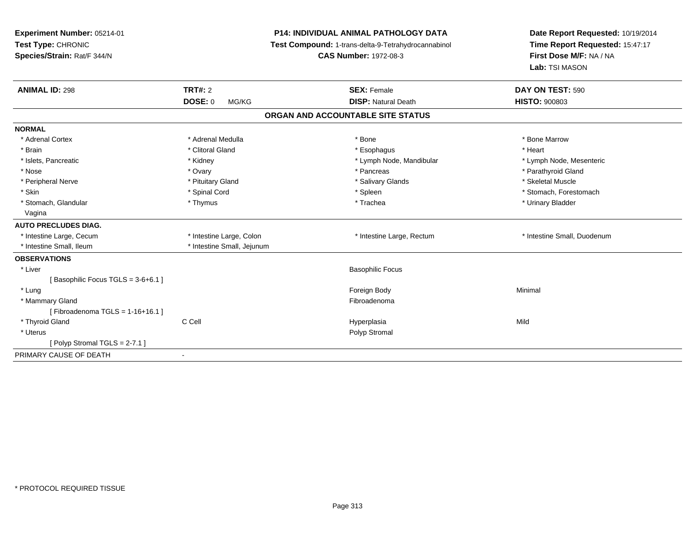| Experiment Number: 05214-01<br>Test Type: CHRONIC<br>Species/Strain: Rat/F 344/N<br><b>ANIMAL ID: 298</b> | <b>TRT#: 2</b>             | <b>P14: INDIVIDUAL ANIMAL PATHOLOGY DATA</b><br>Test Compound: 1-trans-delta-9-Tetrahydrocannabinol<br><b>CAS Number: 1972-08-3</b><br><b>SEX: Female</b> | Date Report Requested: 10/19/2014<br>Time Report Requested: 15:47:17<br>First Dose M/F: NA / NA<br>Lab: TSI MASON<br>DAY ON TEST: 590 |
|-----------------------------------------------------------------------------------------------------------|----------------------------|-----------------------------------------------------------------------------------------------------------------------------------------------------------|---------------------------------------------------------------------------------------------------------------------------------------|
|                                                                                                           | <b>DOSE: 0</b><br>MG/KG    | <b>DISP: Natural Death</b>                                                                                                                                | <b>HISTO: 900803</b>                                                                                                                  |
|                                                                                                           |                            | ORGAN AND ACCOUNTABLE SITE STATUS                                                                                                                         |                                                                                                                                       |
| <b>NORMAL</b>                                                                                             |                            |                                                                                                                                                           |                                                                                                                                       |
| * Adrenal Cortex                                                                                          | * Adrenal Medulla          | * Bone                                                                                                                                                    | * Bone Marrow                                                                                                                         |
| * Brain                                                                                                   | * Clitoral Gland           | * Esophagus                                                                                                                                               | * Heart                                                                                                                               |
| * Islets, Pancreatic                                                                                      | * Kidney                   | * Lymph Node, Mandibular                                                                                                                                  | * Lymph Node, Mesenteric                                                                                                              |
| * Nose                                                                                                    | * Ovary                    | * Pancreas                                                                                                                                                | * Parathyroid Gland                                                                                                                   |
| * Peripheral Nerve                                                                                        | * Pituitary Gland          | * Salivary Glands                                                                                                                                         | * Skeletal Muscle                                                                                                                     |
| * Skin                                                                                                    | * Spinal Cord              | * Spleen                                                                                                                                                  | * Stomach, Forestomach                                                                                                                |
| * Stomach, Glandular                                                                                      | * Thymus                   | * Trachea                                                                                                                                                 | * Urinary Bladder                                                                                                                     |
| Vagina                                                                                                    |                            |                                                                                                                                                           |                                                                                                                                       |
| <b>AUTO PRECLUDES DIAG.</b>                                                                               |                            |                                                                                                                                                           |                                                                                                                                       |
| * Intestine Large, Cecum                                                                                  | * Intestine Large, Colon   | * Intestine Large, Rectum                                                                                                                                 | * Intestine Small, Duodenum                                                                                                           |
| * Intestine Small, Ileum                                                                                  | * Intestine Small, Jejunum |                                                                                                                                                           |                                                                                                                                       |
| <b>OBSERVATIONS</b>                                                                                       |                            |                                                                                                                                                           |                                                                                                                                       |
| * Liver                                                                                                   |                            | <b>Basophilic Focus</b>                                                                                                                                   |                                                                                                                                       |
| [Basophilic Focus TGLS = 3-6+6.1]                                                                         |                            |                                                                                                                                                           |                                                                                                                                       |
| * Lung                                                                                                    |                            | Foreign Body                                                                                                                                              | Minimal                                                                                                                               |
| * Mammary Gland                                                                                           |                            | Fibroadenoma                                                                                                                                              |                                                                                                                                       |
| [Fibroadenoma TGLS = $1-16+16.1$ ]                                                                        |                            |                                                                                                                                                           |                                                                                                                                       |
| * Thyroid Gland                                                                                           | C Cell                     | Hyperplasia                                                                                                                                               | Mild                                                                                                                                  |
| * Uterus                                                                                                  |                            | Polyp Stromal                                                                                                                                             |                                                                                                                                       |
| [ Polyp Stromal TGLS = $2-7.1$ ]                                                                          |                            |                                                                                                                                                           |                                                                                                                                       |
| PRIMARY CAUSE OF DEATH                                                                                    | $\overline{\phantom{a}}$   |                                                                                                                                                           |                                                                                                                                       |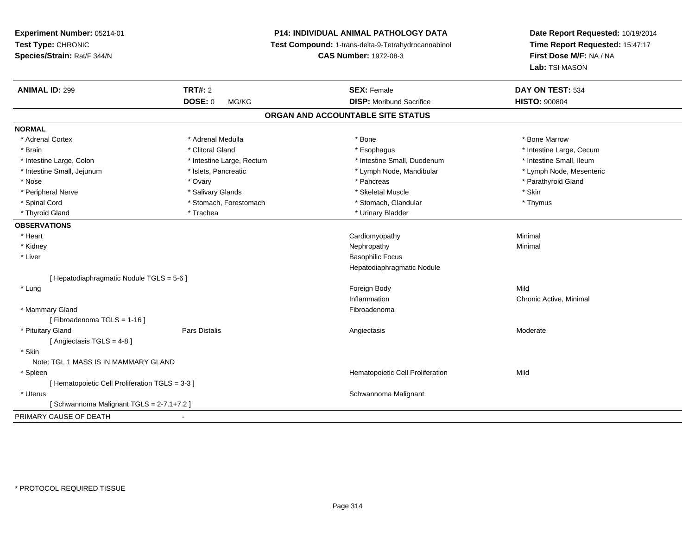**Experiment Number:** 05214-01**Test Type:** CHRONIC **Species/Strain:** Rat/F 344/N**P14: INDIVIDUAL ANIMAL PATHOLOGY DATA Test Compound:** 1-trans-delta-9-Tetrahydrocannabinol **ANIMAL ID:** 299**DOSE:** 0 MG/KG**NORMAL**

# **Date Report Requested:** 10/19/2014**Time Report Requested:** 15:47:17**First Dose M/F:** NA / NA**Lab:** TSI MASON

| <b>ANIMAL ID: 299</b>                           | <b>TRT#: 2</b>            | <b>SEX: Female</b>                | DAY ON TEST: 534         |
|-------------------------------------------------|---------------------------|-----------------------------------|--------------------------|
|                                                 | <b>DOSE: 0</b><br>MG/KG   | <b>DISP:</b> Moribund Sacrifice   | <b>HISTO: 900804</b>     |
|                                                 |                           | ORGAN AND ACCOUNTABLE SITE STATUS |                          |
| <b>NORMAL</b>                                   |                           |                                   |                          |
| * Adrenal Cortex                                | * Adrenal Medulla         | * Bone                            | * Bone Marrow            |
| * Brain                                         | * Clitoral Gland          | * Esophagus                       | * Intestine Large, Cecum |
| * Intestine Large, Colon                        | * Intestine Large, Rectum | * Intestine Small, Duodenum       | * Intestine Small, Ileum |
| * Intestine Small, Jejunum                      | * Islets, Pancreatic      | * Lymph Node, Mandibular          | * Lymph Node, Mesenteric |
| * Nose                                          | * Ovary                   | * Pancreas                        | * Parathyroid Gland      |
| * Peripheral Nerve                              | * Salivary Glands         | * Skeletal Muscle                 | * Skin                   |
| * Spinal Cord                                   | * Stomach, Forestomach    | * Stomach, Glandular              | * Thymus                 |
| * Thyroid Gland                                 | * Trachea                 | * Urinary Bladder                 |                          |
| <b>OBSERVATIONS</b>                             |                           |                                   |                          |
| * Heart                                         |                           | Cardiomyopathy                    | Minimal                  |
| * Kidney                                        |                           | Nephropathy                       | Minimal                  |
| * Liver                                         |                           | <b>Basophilic Focus</b>           |                          |
|                                                 |                           | Hepatodiaphragmatic Nodule        |                          |
| [ Hepatodiaphragmatic Nodule TGLS = 5-6 ]       |                           |                                   |                          |
| * Lung                                          |                           | Foreign Body                      | Mild                     |
|                                                 |                           | Inflammation                      | Chronic Active, Minimal  |
| * Mammary Gland                                 |                           | Fibroadenoma                      |                          |
| [Fibroadenoma TGLS = 1-16]                      |                           |                                   |                          |
| * Pituitary Gland                               | Pars Distalis             | Angiectasis                       | Moderate                 |
| [Angiectasis TGLS = 4-8]                        |                           |                                   |                          |
| * Skin                                          |                           |                                   |                          |
| Note: TGL 1 MASS IS IN MAMMARY GLAND            |                           |                                   |                          |
| * Spleen                                        |                           | Hematopoietic Cell Proliferation  | Mild                     |
| [ Hematopoietic Cell Proliferation TGLS = 3-3 ] |                           |                                   |                          |
| * Uterus                                        |                           | Schwannoma Malignant              |                          |
| [Schwannoma Malignant TGLS = 2-7.1+7.2]         |                           |                                   |                          |
| PRIMARY CAUSE OF DEATH                          |                           |                                   |                          |

**CAS Number:** 1972-08-3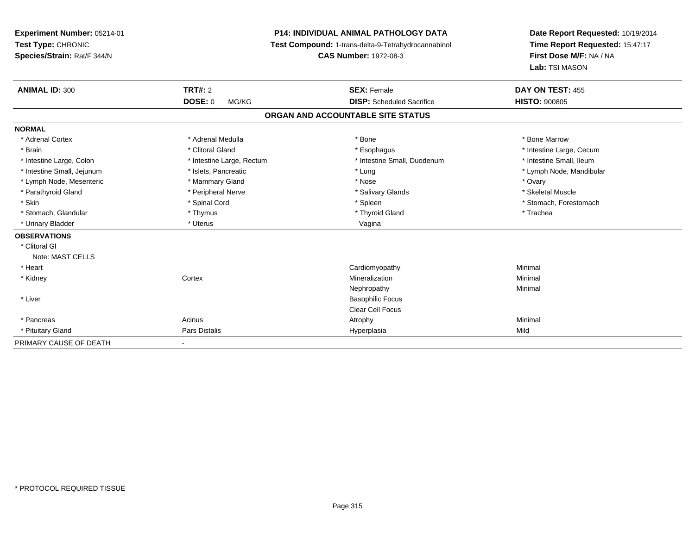| Experiment Number: 05214-01<br>Test Type: CHRONIC |                           | <b>P14: INDIVIDUAL ANIMAL PATHOLOGY DATA</b><br>Test Compound: 1-trans-delta-9-Tetrahydrocannabinol | Date Report Requested: 10/19/2014<br>Time Report Requested: 15:47:17<br>First Dose M/F: NA / NA<br>Lab: TSI MASON |
|---------------------------------------------------|---------------------------|-----------------------------------------------------------------------------------------------------|-------------------------------------------------------------------------------------------------------------------|
| Species/Strain: Rat/F 344/N                       |                           | <b>CAS Number: 1972-08-3</b>                                                                        |                                                                                                                   |
| <b>ANIMAL ID: 300</b>                             | TRT#: 2                   | <b>SEX: Female</b>                                                                                  | DAY ON TEST: 455                                                                                                  |
|                                                   | <b>DOSE: 0</b><br>MG/KG   | <b>DISP:</b> Scheduled Sacrifice                                                                    | <b>HISTO: 900805</b>                                                                                              |
|                                                   |                           | ORGAN AND ACCOUNTABLE SITE STATUS                                                                   |                                                                                                                   |
| <b>NORMAL</b>                                     |                           |                                                                                                     |                                                                                                                   |
| * Adrenal Cortex                                  | * Adrenal Medulla         | * Bone                                                                                              | * Bone Marrow                                                                                                     |
| * Brain                                           | * Clitoral Gland          | * Esophagus                                                                                         | * Intestine Large, Cecum                                                                                          |
| * Intestine Large, Colon                          | * Intestine Large, Rectum | * Intestine Small, Duodenum                                                                         | * Intestine Small, Ileum                                                                                          |
| * Intestine Small, Jejunum                        | * Islets, Pancreatic      | * Lung                                                                                              | * Lymph Node, Mandibular                                                                                          |
| * Lymph Node, Mesenteric                          | * Mammary Gland           | * Nose                                                                                              | * Ovary                                                                                                           |
| * Parathyroid Gland                               | * Peripheral Nerve        | * Salivary Glands                                                                                   | * Skeletal Muscle                                                                                                 |
| * Skin                                            | * Spinal Cord             | * Spleen                                                                                            | * Stomach, Forestomach                                                                                            |
| * Stomach, Glandular                              | * Thymus                  | * Thyroid Gland                                                                                     | * Trachea                                                                                                         |
| * Urinary Bladder                                 | * Uterus                  | Vagina                                                                                              |                                                                                                                   |
| <b>OBSERVATIONS</b>                               |                           |                                                                                                     |                                                                                                                   |
| * Clitoral GI                                     |                           |                                                                                                     |                                                                                                                   |
| Note: MAST CELLS                                  |                           |                                                                                                     |                                                                                                                   |
| * Heart                                           |                           | Cardiomyopathy                                                                                      | Minimal                                                                                                           |
| * Kidney                                          | Cortex                    | Mineralization                                                                                      | Minimal                                                                                                           |
|                                                   |                           | Nephropathy                                                                                         | Minimal                                                                                                           |
| * Liver                                           |                           | <b>Basophilic Focus</b>                                                                             |                                                                                                                   |
|                                                   |                           | Clear Cell Focus                                                                                    |                                                                                                                   |
| * Pancreas                                        | Acinus                    | Atrophy                                                                                             | Minimal                                                                                                           |
| * Pituitary Gland                                 | Pars Distalis             | Hyperplasia                                                                                         | Mild                                                                                                              |
| PRIMARY CAUSE OF DEATH                            |                           |                                                                                                     |                                                                                                                   |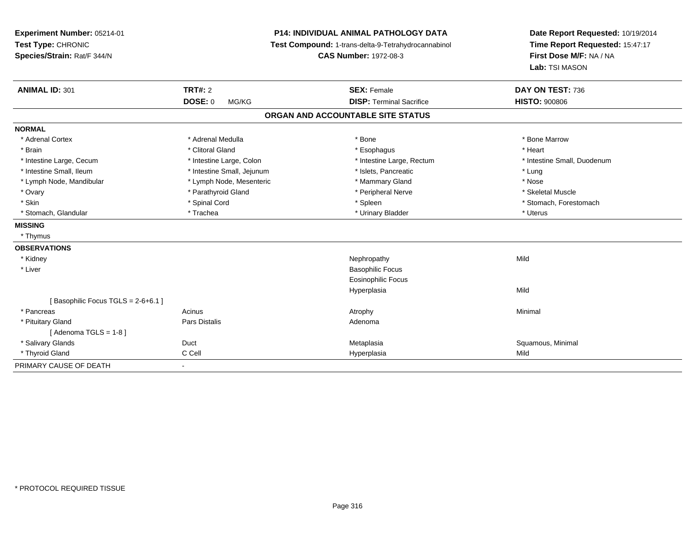| Experiment Number: 05214-01<br>Test Type: CHRONIC<br>Species/Strain: Rat/F 344/N |                            | P14: INDIVIDUAL ANIMAL PATHOLOGY DATA<br>Test Compound: 1-trans-delta-9-Tetrahydrocannabinol<br><b>CAS Number: 1972-08-3</b> | Date Report Requested: 10/19/2014<br>Time Report Requested: 15:47:17<br>First Dose M/F: NA / NA<br>Lab: TSI MASON |
|----------------------------------------------------------------------------------|----------------------------|------------------------------------------------------------------------------------------------------------------------------|-------------------------------------------------------------------------------------------------------------------|
| <b>ANIMAL ID: 301</b>                                                            | <b>TRT#: 2</b>             | <b>SEX: Female</b>                                                                                                           | DAY ON TEST: 736                                                                                                  |
|                                                                                  | <b>DOSE: 0</b><br>MG/KG    | <b>DISP: Terminal Sacrifice</b>                                                                                              | <b>HISTO: 900806</b>                                                                                              |
|                                                                                  |                            | ORGAN AND ACCOUNTABLE SITE STATUS                                                                                            |                                                                                                                   |
| <b>NORMAL</b>                                                                    |                            |                                                                                                                              |                                                                                                                   |
| * Adrenal Cortex                                                                 | * Adrenal Medulla          | * Bone                                                                                                                       | * Bone Marrow                                                                                                     |
| * Brain                                                                          | * Clitoral Gland           | * Esophagus                                                                                                                  | * Heart                                                                                                           |
| * Intestine Large, Cecum                                                         | * Intestine Large, Colon   | * Intestine Large, Rectum                                                                                                    | * Intestine Small, Duodenum                                                                                       |
| * Intestine Small, Ileum                                                         | * Intestine Small, Jejunum | * Islets, Pancreatic                                                                                                         | * Lung                                                                                                            |
| * Lymph Node, Mandibular                                                         | * Lymph Node, Mesenteric   | * Mammary Gland                                                                                                              | * Nose                                                                                                            |
| * Ovary                                                                          | * Parathyroid Gland        | * Peripheral Nerve                                                                                                           | * Skeletal Muscle                                                                                                 |
| * Skin                                                                           | * Spinal Cord              | * Spleen                                                                                                                     | * Stomach, Forestomach                                                                                            |
| * Stomach, Glandular                                                             | * Trachea                  | * Urinary Bladder                                                                                                            | * Uterus                                                                                                          |
| <b>MISSING</b>                                                                   |                            |                                                                                                                              |                                                                                                                   |
| * Thymus                                                                         |                            |                                                                                                                              |                                                                                                                   |
| <b>OBSERVATIONS</b>                                                              |                            |                                                                                                                              |                                                                                                                   |
| * Kidney                                                                         |                            | Nephropathy                                                                                                                  | Mild                                                                                                              |
| * Liver                                                                          |                            | <b>Basophilic Focus</b>                                                                                                      |                                                                                                                   |
|                                                                                  |                            | <b>Eosinophilic Focus</b>                                                                                                    |                                                                                                                   |
|                                                                                  |                            | Hyperplasia                                                                                                                  | Mild                                                                                                              |
| [Basophilic Focus TGLS = 2-6+6.1]                                                |                            |                                                                                                                              |                                                                                                                   |
| * Pancreas                                                                       | Acinus                     | Atrophy                                                                                                                      | Minimal                                                                                                           |
| * Pituitary Gland                                                                | Pars Distalis              | Adenoma                                                                                                                      |                                                                                                                   |
| [Adenoma TGLS = $1-8$ ]                                                          |                            |                                                                                                                              |                                                                                                                   |
| * Salivary Glands                                                                | Duct                       | Metaplasia                                                                                                                   | Squamous, Minimal                                                                                                 |
| * Thyroid Gland                                                                  | C Cell                     | Hyperplasia                                                                                                                  | Mild                                                                                                              |
| PRIMARY CAUSE OF DEATH                                                           | $\overline{\phantom{0}}$   |                                                                                                                              |                                                                                                                   |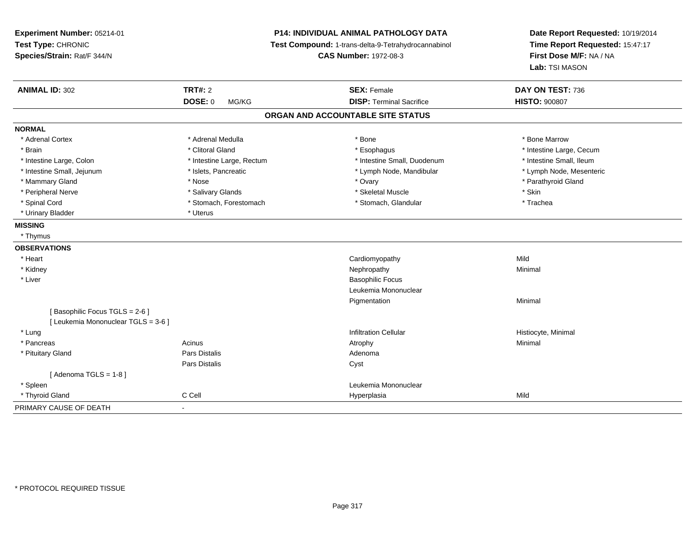| Experiment Number: 05214-01<br>Test Type: CHRONIC<br>Species/Strain: Rat/F 344/N | P14: INDIVIDUAL ANIMAL PATHOLOGY DATA<br>Test Compound: 1-trans-delta-9-Tetrahydrocannabinol<br><b>CAS Number: 1972-08-3</b> |                                   | Date Report Requested: 10/19/2014<br>Time Report Requested: 15:47:17<br>First Dose M/F: NA / NA<br>Lab: TSI MASON |
|----------------------------------------------------------------------------------|------------------------------------------------------------------------------------------------------------------------------|-----------------------------------|-------------------------------------------------------------------------------------------------------------------|
| <b>ANIMAL ID: 302</b>                                                            | <b>TRT#: 2</b>                                                                                                               | <b>SEX: Female</b>                | DAY ON TEST: 736                                                                                                  |
|                                                                                  | DOSE: 0<br>MG/KG                                                                                                             | <b>DISP: Terminal Sacrifice</b>   | <b>HISTO: 900807</b>                                                                                              |
|                                                                                  |                                                                                                                              | ORGAN AND ACCOUNTABLE SITE STATUS |                                                                                                                   |
| <b>NORMAL</b>                                                                    |                                                                                                                              |                                   |                                                                                                                   |
| * Adrenal Cortex                                                                 | * Adrenal Medulla                                                                                                            | * Bone                            | * Bone Marrow                                                                                                     |
| * Brain                                                                          | * Clitoral Gland                                                                                                             | * Esophagus                       | * Intestine Large, Cecum                                                                                          |
| * Intestine Large, Colon                                                         | * Intestine Large, Rectum                                                                                                    | * Intestine Small, Duodenum       | * Intestine Small, Ileum                                                                                          |
| * Intestine Small, Jejunum                                                       | * Islets, Pancreatic                                                                                                         | * Lymph Node, Mandibular          | * Lymph Node, Mesenteric                                                                                          |
| * Mammary Gland                                                                  | * Nose                                                                                                                       | * Ovary                           | * Parathyroid Gland                                                                                               |
| * Peripheral Nerve                                                               | * Salivary Glands                                                                                                            | * Skeletal Muscle                 | * Skin                                                                                                            |
| * Spinal Cord                                                                    | * Stomach, Forestomach                                                                                                       | * Stomach, Glandular              | * Trachea                                                                                                         |
| * Urinary Bladder                                                                | * Uterus                                                                                                                     |                                   |                                                                                                                   |
| <b>MISSING</b>                                                                   |                                                                                                                              |                                   |                                                                                                                   |
| * Thymus                                                                         |                                                                                                                              |                                   |                                                                                                                   |
| <b>OBSERVATIONS</b>                                                              |                                                                                                                              |                                   |                                                                                                                   |
| * Heart                                                                          |                                                                                                                              | Cardiomyopathy                    | Mild                                                                                                              |
| * Kidney                                                                         |                                                                                                                              | Nephropathy                       | Minimal                                                                                                           |
| * Liver                                                                          |                                                                                                                              | <b>Basophilic Focus</b>           |                                                                                                                   |
|                                                                                  |                                                                                                                              | Leukemia Mononuclear              |                                                                                                                   |
|                                                                                  |                                                                                                                              | Pigmentation                      | Minimal                                                                                                           |
| [Basophilic Focus TGLS = 2-6]                                                    |                                                                                                                              |                                   |                                                                                                                   |
| [ Leukemia Mononuclear TGLS = 3-6 ]                                              |                                                                                                                              |                                   |                                                                                                                   |
| * Lung                                                                           |                                                                                                                              | <b>Infiltration Cellular</b>      | Histiocyte, Minimal                                                                                               |
| * Pancreas                                                                       | Acinus                                                                                                                       | Atrophy                           | Minimal                                                                                                           |
| * Pituitary Gland                                                                | Pars Distalis                                                                                                                | Adenoma                           |                                                                                                                   |
|                                                                                  | Pars Distalis                                                                                                                | Cyst                              |                                                                                                                   |
| [Adenoma TGLS = $1-8$ ]                                                          |                                                                                                                              |                                   |                                                                                                                   |
| * Spleen                                                                         |                                                                                                                              | Leukemia Mononuclear              |                                                                                                                   |
| * Thyroid Gland                                                                  | C Cell                                                                                                                       | Hyperplasia                       | Mild                                                                                                              |
| PRIMARY CAUSE OF DEATH                                                           | $\blacksquare$                                                                                                               |                                   |                                                                                                                   |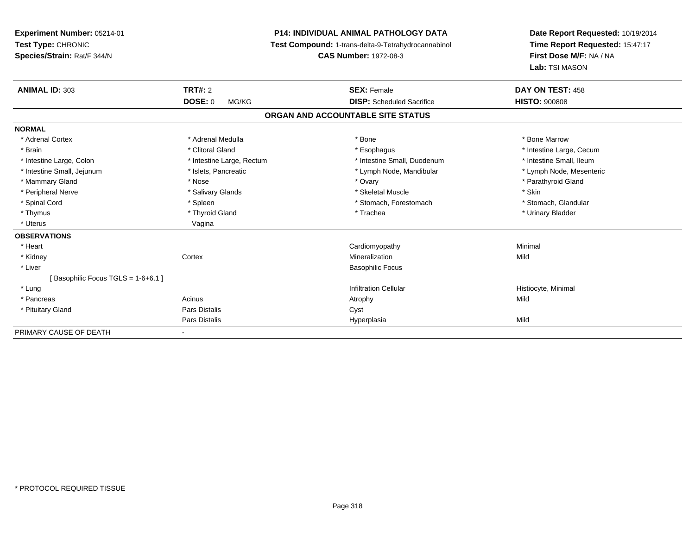**Experiment Number:** 05214-01**Test Type:** CHRONIC **Species/Strain:** Rat/F 344/N**P14: INDIVIDUAL ANIMAL PATHOLOGY DATA Test Compound:** 1-trans-delta-9-Tetrahydrocannabinol **CAS Number:** 1972-08-3**Date Report Requested:** 10/19/2014**Time Report Requested:** 15:47:17**First Dose M/F:** NA / NA**Lab:** TSI MASON**ANIMAL ID:** 303**TRT#:** 2 **SEX:** Female **DAY ON TEST:** 458 **DOSE:** 0 MG/KG **DISP:** Scheduled Sacrifice **HISTO:** <sup>900808</sup> **ORGAN AND ACCOUNTABLE SITE STATUSNORMAL**\* Adrenal Cortex \* Adrenal Medulla \* Adrenal Medulla \* Bone \* Bone \* Bone \* Bone \* Bone Marrow \* Brain \* Alternation of the state of the state of the state of the state of the state of the state of the state of the state of the state of the state of the state of the state of the state of the state of the state of th \* Intestine Small, Ileum \* Intestine Large, Colon \* Intestine Large, Rectum \* Intestine Small, Duodenum \* Intestine Small, Duodenum \* Lymph Node, Mesenteric \* Intestine Small, Jejunum \* Mandibular \* Islets, Pancreatic \* Mandibular \* Lymph Node, Mandibular \* Mammary Gland \* \* Nose \* \* Nose \* \* Ovary \* Ovary \* Ovary \* The material structure of the term of the term \* Parathyroid Gland \* Parathyroid Gland \* Parathyroid Gland \* Nose \* \* Parathyroid Gland \* \* Parathyroid Gland \* \* Peripheral Nerve \* Salivary Glands \* Skeletal Muscle \* Skin\* Stomach. Glandular \* Spinal Cord \* Spinal Cord \* Spinal Cord \* Stomach, Forestomach \* Stomach, Forestomach \* Stomach, Forestomach \* Thymus \* Thyroid Gland \* Trachea \* Urinary Bladder \* \* Uterus Vagina**OBSERVATIONS** \* Heart Cardiomyopathy Minimal \* Kidneyy which is a context of the Cortext of the Cortext of the Cortext of the Mineralization n Mild \* Liver Basophilic Focus[ Basophilic Focus TGLS = 1-6+6.1 ] \* Lungg is a construction Cellular Historyte, Minimal (1990) and the set of the construction Cellular Historyte, Minimal (1990) and the set of the construction Cellular (1990) and Historyte, Minimal (1990) and the construction \* Pancreass and the contract of the Acinus and Acinus and Acinus and Acinus Atrophy and Acinus and Mild \* Pituitary Glandd Cyst Constants Constants Constants Constants Constants Constants Constants Constants Constants Constants Const Pars Distalis Hyperplasiaa Mild PRIMARY CAUSE OF DEATH-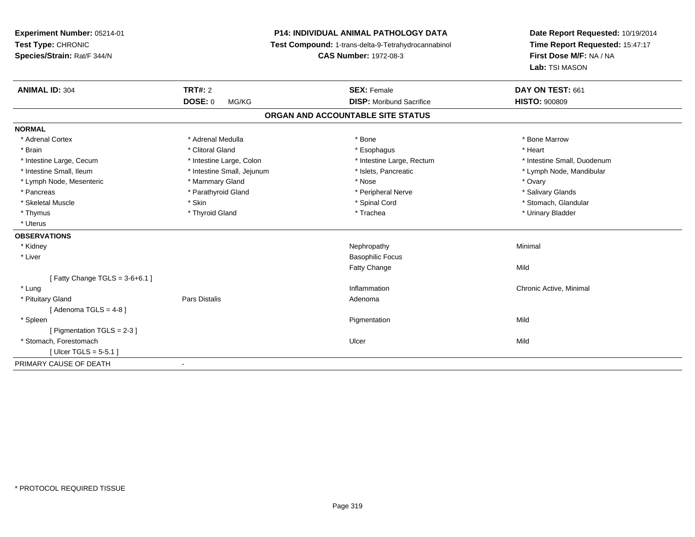**Experiment Number:** 05214-01**Test Type:** CHRONIC **Species/Strain:** Rat/F 344/N**P14: INDIVIDUAL ANIMAL PATHOLOGY DATA Test Compound:** 1-trans-delta-9-Tetrahydrocannabinol **CAS Number:** 1972-08-3**Date Report Requested:** 10/19/2014**Time Report Requested:** 15:47:17**First Dose M/F:** NA / NA**Lab:** TSI MASON**ANIMAL ID:** 304 **TRT#:** <sup>2</sup> **SEX:** Female **DAY ON TEST:** <sup>661</sup> **DOSE:** 0 MG/KG **DISP:** Moribund Sacrifice **HISTO:** <sup>900809</sup> **ORGAN AND ACCOUNTABLE SITE STATUSNORMAL**\* Adrenal Cortex \* Adrenal Medulla \* Adrenal Medulla \* Bone \* Bone \* Bone \* Bone \* Bone Marrow \* Brain \* Alternative of the state of the state of the state of the state of the state of the state of the state of the state of the state of the state of the state of the state of the state of the state of the state of th \* Intestine Large, Cecum \* Intestine Large, Colon \* Intestine Large, Rectum \* Intestine Small, Duodenum \* Intestine Small, Ileum \* \* Thestine Small, Jejunum \* \* Sets, Pancreatic \* \* Thestine Small, Nejunum \* Lymph Node, Mandibular \* Lymph Node, Mesenteric \* \* \* Mammary Gland \* \* Nose \* Nose \* Ovary \* Ovary \* Ovary \* Ovary \* Ovary \* Ovary \* Ovary \* Salivary Glands \* Pancreas \* And the section of the section of the section of the section of the section of the section of the section of the section of the section of the section of the section of the section of the section of the sectio \* Stomach. Glandular \* Skeletal Muscle \* \* Stan \* Skin \* Standular \* Spinal Cord \* Spinal Cord \* Stomach, Glandular \* Stomach, Glandular \* Stomach, Glandular \* Stomach, Glandular \* Stomach, Glandular \* Stomach, Glandular \* Stomach, Glandular \* \* Thymus \* Thyroid Gland \* Trachea \* Urinary Bladder \* \* Uterus**OBSERVATIONS** \* Kidneyy the control of the control of the control of the control of the control of the control of the control of the control of the control of the control of the control of the control of the control of the control of the contro \* Liver Basophilic FocusFatty Changee Mild  $[$  Fatty Change TGLS = 3-6+6.1  $]$  \* Lungg is a controller to the controller of the controller of the chronic Active, Minimal of the chronic Active, Minimal of the chronic Active, Minimal of the chronic Active, Minimal of the chronic Active, Minimal of the chroni \* Pituitary Glandd and the contract of Pars Distalis and the contract of Adenoma and Adenoma and the Adenoma and the Adenoma and  $\lambda$  $[$  Adenoma TGLS = 4-8  $]$  \* Spleenn and the control of the control of the control of the control of the control of the control of the control of the control of the control of the control of the control of the control of the control of the control of the co [ Pigmentation TGLS = 2-3 ] \* Stomach, Forestomachh ann an t-ìre ann an t-ìre ann an t-ìre ann an t-ìre ann an t-ìre ann an t-ìre ann an Mild [ Ulcer TGLS = 5-5.1 ]PRIMARY CAUSE OF DEATH-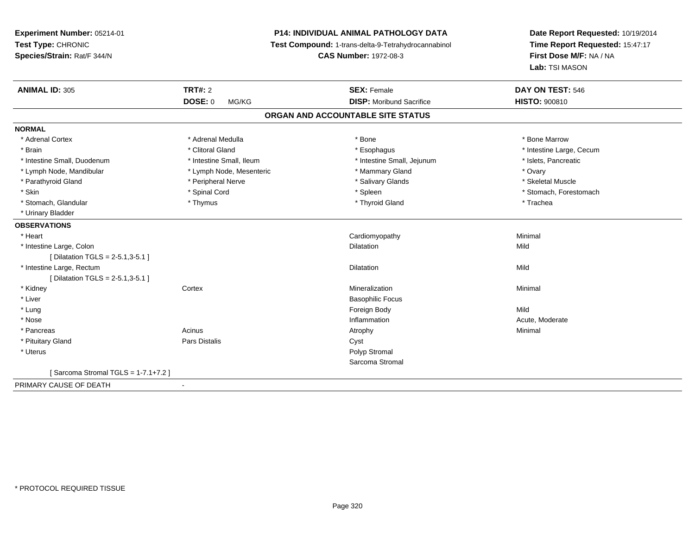**Experiment Number:** 05214-01**Test Type:** CHRONIC **Species/Strain:** Rat/F 344/N**P14: INDIVIDUAL ANIMAL PATHOLOGY DATA Test Compound:** 1-trans-delta-9-Tetrahydrocannabinol **CAS Number:** 1972-08-3**Date Report Requested:** 10/19/2014**Time Report Requested:** 15:47:17**First Dose M/F:** NA / NA**Lab:** TSI MASON**ANIMAL ID:** 305**TRT#:** 2 **SEX:** Female **DAY ON TEST:** 546 **DOSE:** 0 MG/KG **DISP:** Moribund Sacrifice **HISTO:** <sup>900810</sup> **ORGAN AND ACCOUNTABLE SITE STATUSNORMAL**\* Adrenal Cortex \* Adrenal Medulla \* Adrenal Medulla \* Bone \* Bone \* Bone \* Bone \* Bone Marrow \* Brain \* Alternation of the state of the state of the state of the state of the state of the state of the state of the state of the state of the state of the state of the state of the state of the state of the state of th \* Intestine Small, Duodenum \* Intestine Small, Ileum \* Intestine Small, Jejunum \* Islets, Pancreatic\* Lymph Node, Mandibular \* Novary \* Lymph Node, Mesenteric \* \* Mammary Gland \* Mammary Gland \* Ovary \* Ovary \* Skeletal Muscle \* Parathyroid Gland \* Nerve \* Peripheral Nerve \* Salivary Glands \* Salivary Glands \* Skin \* Spinal Cord \* Spinal Cord \* Spinal Cord \* Spinal \* Spinal \* Stomach, Forestomach \* Stomach, Forestomach \* Stomach, Glandular \* Thymus \* Thyroid Gland \* Trachea \* Urinary Bladder**OBSERVATIONS** \* Heart Cardiomyopathy Minimal \* Intestine Large, Colonn and the control of the control of the control of the control of the control of the control of the control of the control of the control of the control of the control of the control of the control of the control of the co [ Dilatation TGLS = 2-5.1,3-5.1 ] \* Intestine Large, Rectum Dilatation Mild [ Dilatation TGLS = 2-5.1,3-5.1 ] \* Kidneyy which is a context of the Cortext of the Cortext of the Cortext of the Mineralization n Minimal \* Liver Basophilic Focus \* Lungg and the state of the state of the state of the state of the state of the state of the state of the state of the state of the state of the state of the state of the state of the state of the state of the state of the stat \* Nosee and the state of the state of the state of the state of the state of the state of the state of the state of the state of the state of the state of the state of the state of the state of the state of the state of the stat \* Pancreass the control of the control of the control of the control of the control of the control of the control of the control of the control of the control of the control of the control of the control of the control of the contro \* Pituitary Glandd Cyst Constants Constants Constants Constants Constants Constants Constants Constants Constants Constants Const \* Uteruss and the control of the control of the control of the control of the control of the control of the control of the control of the control of the control of the control of the control of the control of the control of the co Sarcoma Stromal[ Sarcoma Stromal TGLS = 1-7.1+7.2 ]PRIMARY CAUSE OF DEATH

-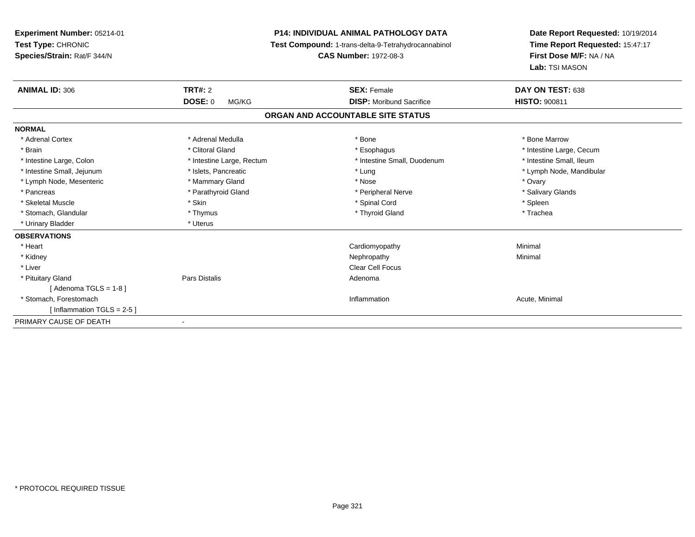| <b>P14: INDIVIDUAL ANIMAL PATHOLOGY DATA</b><br>Experiment Number: 05214-01<br>Test Type: CHRONIC<br>Test Compound: 1-trans-delta-9-Tetrahydrocannabinol<br>Species/Strain: Rat/F 344/N<br><b>CAS Number: 1972-08-3</b> |                           |                                   | Date Report Requested: 10/19/2014<br>Time Report Requested: 15:47:17<br>First Dose M/F: NA / NA<br>Lab: TSI MASON |
|-------------------------------------------------------------------------------------------------------------------------------------------------------------------------------------------------------------------------|---------------------------|-----------------------------------|-------------------------------------------------------------------------------------------------------------------|
| <b>ANIMAL ID: 306</b>                                                                                                                                                                                                   | <b>TRT#: 2</b>            | <b>SEX: Female</b>                | DAY ON TEST: 638                                                                                                  |
|                                                                                                                                                                                                                         | <b>DOSE: 0</b><br>MG/KG   | <b>DISP:</b> Moribund Sacrifice   | <b>HISTO: 900811</b>                                                                                              |
|                                                                                                                                                                                                                         |                           | ORGAN AND ACCOUNTABLE SITE STATUS |                                                                                                                   |
| <b>NORMAL</b>                                                                                                                                                                                                           |                           |                                   |                                                                                                                   |
| * Adrenal Cortex                                                                                                                                                                                                        | * Adrenal Medulla         | * Bone                            | * Bone Marrow                                                                                                     |
| * Brain                                                                                                                                                                                                                 | * Clitoral Gland          | * Esophagus                       | * Intestine Large, Cecum                                                                                          |
| * Intestine Large, Colon                                                                                                                                                                                                | * Intestine Large, Rectum | * Intestine Small, Duodenum       | * Intestine Small, Ileum                                                                                          |
| * Intestine Small, Jejunum                                                                                                                                                                                              | * Islets, Pancreatic      | * Lung                            | * Lymph Node, Mandibular                                                                                          |
| * Lymph Node, Mesenteric                                                                                                                                                                                                | * Mammary Gland           | * Nose                            | * Ovary                                                                                                           |
| * Pancreas                                                                                                                                                                                                              | * Parathyroid Gland       | * Peripheral Nerve                | * Salivary Glands                                                                                                 |
| * Skeletal Muscle                                                                                                                                                                                                       | * Skin                    | * Spinal Cord                     | * Spleen                                                                                                          |
| * Stomach, Glandular                                                                                                                                                                                                    | * Thymus                  | * Thyroid Gland                   | * Trachea                                                                                                         |
| * Urinary Bladder                                                                                                                                                                                                       | * Uterus                  |                                   |                                                                                                                   |
| <b>OBSERVATIONS</b>                                                                                                                                                                                                     |                           |                                   |                                                                                                                   |
| * Heart                                                                                                                                                                                                                 |                           | Cardiomyopathy                    | Minimal                                                                                                           |
| * Kidney                                                                                                                                                                                                                |                           | Nephropathy                       | Minimal                                                                                                           |
| * Liver                                                                                                                                                                                                                 |                           | <b>Clear Cell Focus</b>           |                                                                                                                   |
| * Pituitary Gland                                                                                                                                                                                                       | Pars Distalis             | Adenoma                           |                                                                                                                   |
| [Adenoma TGLS = $1-8$ ]                                                                                                                                                                                                 |                           |                                   |                                                                                                                   |
| * Stomach, Forestomach                                                                                                                                                                                                  |                           | Inflammation                      | Acute, Minimal                                                                                                    |
| [Inflammation TGLS = $2-5$ ]                                                                                                                                                                                            |                           |                                   |                                                                                                                   |
| PRIMARY CAUSE OF DEATH                                                                                                                                                                                                  |                           |                                   |                                                                                                                   |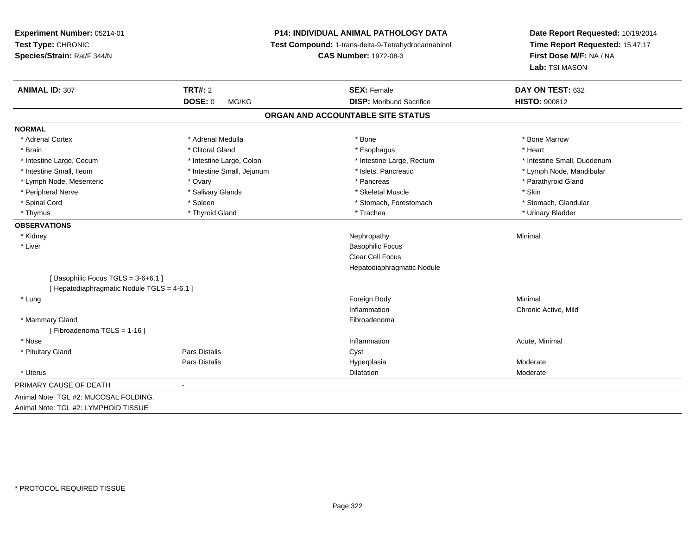**Experiment Number:** 05214-01**Test Type:** CHRONIC **Species/Strain:** Rat/F 344/N**P14: INDIVIDUAL ANIMAL PATHOLOGY DATA Test Compound:** 1-trans-delta-9-Tetrahydrocannabinol **CAS Number:** 1972-08-3**Date Report Requested:** 10/19/2014**Time Report Requested:** 15:47:17**First Dose M/F:** NA / NA**Lab:** TSI MASON**ANIMAL ID:** 307**TRT#:** 2 **SEX:** Female **DAY ON TEST:** 632 **DOSE:** 0 MG/KG **DISP:** Moribund Sacrifice **HISTO:** <sup>900812</sup> **ORGAN AND ACCOUNTABLE SITE STATUSNORMAL**\* Adrenal Cortex \* Adrenal Medulla \* Adrenal Medulla \* Bone \* Bone \* Bone \* Bone \* Bone Marrow \* Brain \* Alternative of the state of the state of the state of the state of the state of the state of the state of the state of the state of the state of the state of the state of the state of the state of the state of th \* Intestine Large, Cecum \* Intestine Large, Colon \* Intestine Large, Rectum \* Intestine Small, Duodenum\* Intestine Small, Ileum \* \* Thestine Small, Jejunum \* \* Sets, Pancreatic \* \* Thestine Small, Nejunum \* Lymph Node, Mandibular \* Lymph Node, Mesenteric \* Ovary \* Pancreas \* Parathyroid Gland \* Peripheral Nerve \* Salivary Glands \* Skeletal Muscle \* Skin\* Stomach. Glandular \* Spinal Cord \* Spinal Cord \* Spinal Cord \* Stomach, Forestomach \* Stomach, Forestomach \* Stomach, Forestomach \* Thymus \* Thyroid Gland \* Trachea \* Urinary Bladder \* **OBSERVATIONS** \* Kidneyy the control of the control of the control of the control of the control of the control of the control of the control of the control of the control of the control of the control of the control of the control of the contro \* Liver Basophilic Focus Clear Cell Focus Hepatodiaphragmatic Nodule[ Basophilic Focus TGLS = 3-6+6.1 ][ Hepatodiaphragmatic Nodule TGLS = 4-6.1 ] \* Lungg and the state of the state of the state of the state of the state of the state of the state of the state of the state of the state of the state of the state of the state of the state of the state of the state of the stat Inflammation Chronic Active, Mild \* Mammary Glandd **Executive Contract of the Contract Contract Contract Contract Contract Contract Contract Contract Contract Contract Contract Contract Contract Contract Contract Contract Contract Contract Contract Contract Contract Cont** [ Fibroadenoma TGLS = 1-16 ] \* Nosee the contraction of the contraction of the contraction of the contraction of the contraction of the contraction  $\mathsf{Acute}$ , Minimal \* Pituitary Glandd Cyst Constants Constants Constants Constants Constants Constants Constants Constants Constants Constants Const Pars Distalis Hyperplasia Moderate \* Uteruss and the contract of the contract of the contract of the contract of the contract of the contract of the contract of the contract of the contract of the contract of the contract of the contract of the contract of the cont Dilatation **Dividends** Moderate PRIMARY CAUSE OF DEATH - Animal Note: TGL #2: MUCOSAL FOLDING.Animal Note: TGL #2: LYMPHOID TISSUE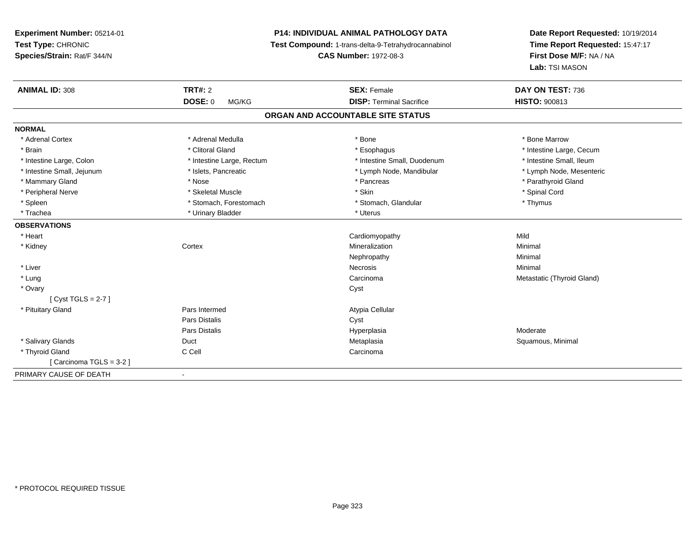**Experiment Number:** 05214-01**Test Type:** CHRONIC **Species/Strain:** Rat/F 344/N**P14: INDIVIDUAL ANIMAL PATHOLOGY DATA Test Compound:** 1-trans-delta-9-Tetrahydrocannabinol **CAS Number:** 1972-08-3**Date Report Requested:** 10/19/2014**Time Report Requested:** 15:47:17**First Dose M/F:** NA / NA**Lab:** TSI MASON**ANIMAL ID:** 308**TRT#:** 2 **SEX:** Female **DAY ON TEST:** 736 **DOSE:** 0 MG/KG**DISP:** Terminal Sacrifice **HISTO:** 900813 **ORGAN AND ACCOUNTABLE SITE STATUSNORMAL**\* Adrenal Cortex \* Adrenal Medulla \* Adrenal Medulla \* Bone \* Bone \* Bone \* Bone \* Bone Marrow \* Brain \* Alternation of the state of the state of the state of the state of the state of the state of the state of the state of the state of the state of the state of the state of the state of the state of the state of th \* Intestine Small, Ileum \* Intestine Large, Colon \* Intestine Large, Rectum \* Intestine Small, Duodenum \* Intestine Small, Duodenum \* Lymph Node, Mesenteric \* Intestine Small, Jejunum \* Mandibular \* Islets, Pancreatic \* Mandibular \* Lymph Node, Mandibular \* Mammary Gland \* \* Nose \* \* Nose \* \* Pancreas \* Pancreas \* \* Pancreas \* \* Pancreas \* \* Pancreas \* \* Parathyroid Gland \* Peripheral Nerve \* \* Spinal Cord \* Skeletal Muscle \* \* Skin \* \* Skin \* \* Spinal Cord \* Spinal Cord \* Spinal Cord \* Spinal Cord \* Spinal Cord \* Spinal Cord \* Spinal Cord \* Spinal Cord \* Spinal Cord \* Spinal Cord \* Spinal \* Spleen \* Stomach, Forestomach \* Stomach \* Stomach, Glandular \* Thymus \* Thymus \* Trachea \* Urinary Bladder \* Urinary Bladder \* Urinary Bladder \* Uterus **OBSERVATIONS** \* Heart Cardiomyopathyy Mild Minimal \* Kidneyy which is a context of the Cortext of the Cortext of the Cortext of the Mineralization n Minimal Nephropathyy the contract of the Minimal Minimal Section 1996 and the contract of the Minimal Section 1997 and the contract of the contract of the contract of the contract of the contract of the contract of the contract of the contra \* Liverr and the contract of the contract of the contract of the contract of the contract of the contract of the contract of the contract of the contract of the contract of the contract of the contract of the contract of the cont s and the contract of the Minimal \* LungCarcinoma **Metastatic (Thyroid Gland)** Metastatic (Thyroid Gland) \* Ovaryy cystem in the control of the control of the control of the control of the control of the control of the control of the control of the control of the control of the control of the control of the control of the control of [ Cyst TGLS = 2-7 ] \* Pituitary Gland Pars Intermed Atypia Cellular Pars Distaliss Cyst Pars Distalis Hyperplasia Moderate \* Salivary Glands Duct MetaplasiaMetaplasia **Magnetic Contract Contract Contract Contract Contract Contract Contract Contract Contract Contract Contract Contract Contract Contract Contract Contract Contract Contract Contract Contract Contract Contract Con**  \* Thyroid Glandd C Cell Carcinoma [ Carcinoma TGLS = 3-2 ]PRIMARY CAUSE OF DEATH-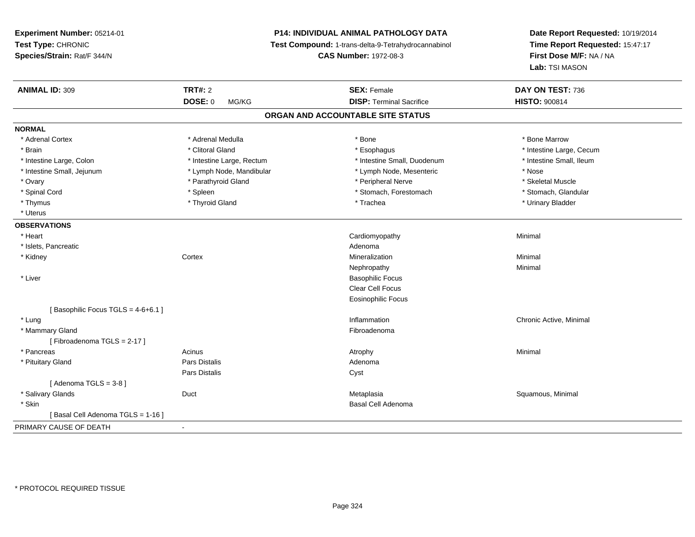**Experiment Number:** 05214-01**Test Type:** CHRONIC **Species/Strain:** Rat/F 344/N**P14: INDIVIDUAL ANIMAL PATHOLOGY DATA Test Compound:** 1-trans-delta-9-Tetrahydrocannabinol **CAS Number:** 1972-08-3**Date Report Requested:** 10/19/2014**Time Report Requested:** 15:47:17**First Dose M/F:** NA / NA**Lab:** TSI MASON**ANIMAL ID:** 309**TRT#:** 2 **SEX:** Female **DAY ON TEST:** 736 **DOSE:** 0 MG/KG**DISP:** Terminal Sacrifice **HISTO:**  $900814$ **ORGAN AND ACCOUNTABLE SITE STATUSNORMAL**\* Adrenal Cortex \* Adrenal Medulla \* Adrenal Medulla \* Bone \* Bone \* Bone \* Bone \* Bone Marrow \* Brain \* Alternation of the state of the state of the state of the state of the state of the state of the state of the state of the state of the state of the state of the state of the state of the state of the state of th \* Intestine Small. Ileum \* Intestine Large, Colon \* Intestine Large, Rectum \* Intestine Small, Duodenum \* Intestine Small, Duodenum \* Intestine Small, Jejunum \* The same that the strength of the Mandibular \* Lymph Node, Mesenteric \* Nose \* Skeletal Muscle \* Ovary \* Parathyroid Gland \* Peripheral Nerve \* Skeletal Muscle \* Stomach. Glandular \* Spinal Cord \* Spinal Cord \* Spinal Cord \* Stomach, Forestomach \* Spinal Cord \* Stomach, Forestomach \* Thymus \* Thyroid Gland \* Trachea \* Urinary Bladder \* \* Uterus**OBSERVATIONS** \* Heart Cardiomyopathy Minimal \* Islets, Pancreaticc and the contract of the contract of the contract of the contract of the contract of the contract of the contract of the contract of the contract of the contract of the contract of the contract of the contract of the cont Mineralization \* Kidneyy which is a context of the Cortext of the Cortext of the Cortext of the Mineralization n Minimal Nephropathyy the contract of the Minimal Minimal Section 1996 and the contract of the Minimal Section 1997 and the contract of the contract of the contract of the contract of the contract of the contract of the contract of the contra \* Liver Basophilic Focus Clear Cell Focus Eosinophilic Focus[ Basophilic Focus TGLS =  $4-6+6.1$  ] \* Lungg is a controller to the controller of the controller of the chronic Active, Minimal of the chronic Active, Minimal of the chronic Active, Minimal of the chronic Active, Minimal of the chronic Active, Minimal of the chroni \* Mammary Glandd **Executive Contract of the Contract Contract Contract Contract Contract Contract Contract Contract Contract Contract Contract Contract Contract Contract Contract Contract Contract Contract Contract Contract Contract Cont** [ Fibroadenoma TGLS = 2-17 ] \* Pancreass the control of the control of the control of the control of the control of the control of the control of the control of the control of the control of the control of the control of the control of the control of the contro \* Pituitary Glandd and the contract of Pars Distalis and the contract of Adenoma and Adenoma and the Adenoma and the Adenoma and  $\lambda$ Pars Distaliss Cyst  $[$  Adenoma TGLS = 3-8  $]$  \* Salivary Glands Duct MetaplasiaMetaplasia **Mataplasia** et al. et al. et al. et al. et al. et al. et al. et al. et al. et al. et al. et al. et a \* Skin Basal Cell Adenoma [ Basal Cell Adenoma TGLS = 1-16 ]PRIMARY CAUSE OF DEATH-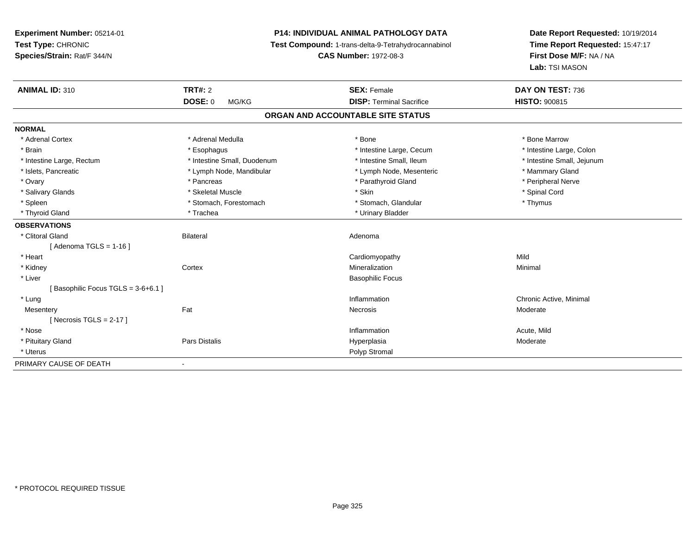**Experiment Number:** 05214-01**Test Type:** CHRONIC **Species/Strain:** Rat/F 344/N**P14: INDIVIDUAL ANIMAL PATHOLOGY DATA Test Compound:** 1-trans-delta-9-Tetrahydrocannabinol **CAS Number:** 1972-08-3**Date Report Requested:** 10/19/2014**Time Report Requested:** 15:47:17**First Dose M/F:** NA / NA**Lab:** TSI MASON**ANIMAL ID:** 310**TRT#:** 2 **SEX:** Female **DAY ON TEST:** 736 **DOSE:** 0 MG/KG**DISP:** Terminal Sacrifice **HISTO:** 900815 **ORGAN AND ACCOUNTABLE SITE STATUSNORMAL**\* Adrenal Cortex \* Adrenal Medulla \* Adrenal Medulla \* Bone \* Bone \* Bone \* Bone \* Bone Marrow \* Intestine Large, Colon \* Brain \* Esophagus \* Esophagus \* Esophagus \* 11testine Large, Cecum \* \* Intestine Small, Jejunum \* Intestine Large, Rectum \* Intestine Small, Duodenum \* Intestine Small, Duodenum \* \* Intestine Small, Ileum \* Islets, Pancreatic \* The manner of the Lymph Node, Mandibular \* Lymph Node, Mesenteric \* Mammary Gland \* Peripheral Nerve \* Ovary \* And the second of the second of the second version of the second version of the second version of the second version of the second version of the second version of the second version of the second version of the \* Salivary Glands \* \* Steeden \* \* Skeletal Muscle \* \* Skin \* \* Skin \* \* Steeden \* Spinal Cord \* Spinal Cord \* Spinal Cord \* Spinal Cord \* Spinal Cord \* Spinal Cord \* Spinal Cord \* Spinal Cord \* Spinal Cord \* Spinal Cord \* \* Spleen \* Stomach, Forestomach \* Stomach \* Stomach, Glandular \* Thymus \* Thymus \* Thyroid Gland \* Trachea \* Trachea \* Trachea \* Urinary Bladder **OBSERVATIONS** \* Clitoral Glandd and the Bilateral Contract of Bilateral and the Bilateral Adenoma and the Adenoma of the Adenoma of the Adenoma of the Adenoma of the Adenoma of the Adenoma of the Adenoma of the Adenoma of the Adenoma of the Adenoma of  $[$  Adenoma TGLS = 1-16  $]$  \* Heart Cardiomyopathyy Mild Minimal \* Kidneyy which is a context of the Cortext of the Cortext of the Cortext of the Mineralization n Minimal \* Liver Basophilic Focus[ Basophilic Focus TGLS = 3-6+6.1 ] \* Lungg is a controller to the controller of the controller of the chronic Active, Minimal of the chronic Active, Minimal of the chronic Active, Minimal of the chronic Active, Minimal of the chronic Active, Minimal of the chroni **Mesentery** y the control of the set of the control of the Moderate of the Moderate of the Moderate of the Moderate of the Moderate of the Moderate of the Moderate of the Moderate of the Moderate of the Moderate of the Moderate of the  $[$  Necrosis TGLS = 2-17  $]$  \* Nosee the contraction of the contraction of the contraction of the contraction of the contraction of the contraction  $\mathsf{Acute},\mathsf{Mild}$  \* Pituitary Gland Pars Distalis Hyperplasia Moderate \* Uteruss and the contract of the contract of the contract of the contract of the contract of the contract of the contract of the contract of the contract of the contract of the contract of the contract of the contract of the cont PRIMARY CAUSE OF DEATH-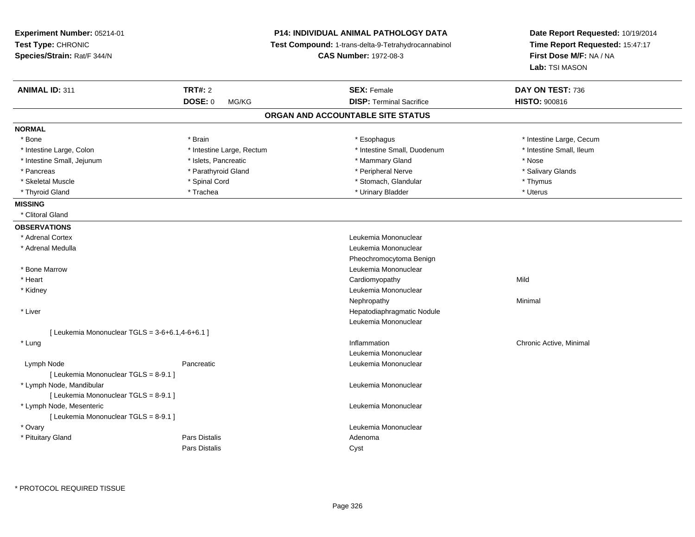| Experiment Number: 05214-01<br>Test Type: CHRONIC<br>Species/Strain: Rat/F 344/N | <b>P14: INDIVIDUAL ANIMAL PATHOLOGY DATA</b><br>Test Compound: 1-trans-delta-9-Tetrahydrocannabinol<br><b>CAS Number: 1972-08-3</b> | Date Report Requested: 10/19/2014<br>Time Report Requested: 15:47:17<br>First Dose M/F: NA / NA<br><b>Lab:</b> TSI MASON |
|----------------------------------------------------------------------------------|-------------------------------------------------------------------------------------------------------------------------------------|--------------------------------------------------------------------------------------------------------------------------|
| <b>TRT#: 2</b><br><b>ANIMAL ID: 311</b>                                          | <b>SEX: Female</b>                                                                                                                  | DAY ON TEST: 736                                                                                                         |
| <b>DOSE: 0</b><br>MG/KG                                                          | <b>DISP: Terminal Sacrifice</b>                                                                                                     | <b>HISTO: 900816</b>                                                                                                     |
|                                                                                  | ORGAN AND ACCOUNTABLE SITE STATUS                                                                                                   |                                                                                                                          |
| <b>NORMAL</b>                                                                    |                                                                                                                                     |                                                                                                                          |
| * Brain<br>* Bone                                                                | * Esophagus                                                                                                                         | * Intestine Large, Cecum                                                                                                 |
| * Intestine Large, Rectum<br>* Intestine Large, Colon                            | * Intestine Small, Duodenum                                                                                                         | * Intestine Small, Ileum                                                                                                 |
| * Intestine Small, Jejunum<br>* Islets, Pancreatic                               | * Mammary Gland                                                                                                                     | * Nose                                                                                                                   |
| * Pancreas<br>* Parathyroid Gland                                                | * Peripheral Nerve                                                                                                                  | * Salivary Glands                                                                                                        |
| * Skeletal Muscle<br>* Spinal Cord                                               | * Stomach, Glandular                                                                                                                | * Thymus                                                                                                                 |
| * Thyroid Gland<br>* Trachea                                                     | * Urinary Bladder                                                                                                                   | * Uterus                                                                                                                 |
| <b>MISSING</b>                                                                   |                                                                                                                                     |                                                                                                                          |
| * Clitoral Gland                                                                 |                                                                                                                                     |                                                                                                                          |
| <b>OBSERVATIONS</b>                                                              |                                                                                                                                     |                                                                                                                          |
| * Adrenal Cortex                                                                 | Leukemia Mononuclear                                                                                                                |                                                                                                                          |
| * Adrenal Medulla                                                                | Leukemia Mononuclear                                                                                                                |                                                                                                                          |
|                                                                                  | Pheochromocytoma Benign                                                                                                             |                                                                                                                          |
| * Bone Marrow                                                                    | Leukemia Mononuclear                                                                                                                |                                                                                                                          |
| * Heart                                                                          | Cardiomyopathy                                                                                                                      | Mild                                                                                                                     |
| * Kidney                                                                         | Leukemia Mononuclear                                                                                                                |                                                                                                                          |
|                                                                                  | Nephropathy                                                                                                                         | Minimal                                                                                                                  |
| * Liver                                                                          | Hepatodiaphragmatic Nodule                                                                                                          |                                                                                                                          |
|                                                                                  | Leukemia Mononuclear                                                                                                                |                                                                                                                          |
| [Leukemia Mononuclear TGLS = $3-6+6.1,4-6+6.1$ ]                                 |                                                                                                                                     |                                                                                                                          |
| * Lung                                                                           | Inflammation                                                                                                                        | Chronic Active, Minimal                                                                                                  |
|                                                                                  | Leukemia Mononuclear                                                                                                                |                                                                                                                          |
| Lymph Node<br>Pancreatic                                                         | Leukemia Mononuclear                                                                                                                |                                                                                                                          |
| [ Leukemia Mononuclear TGLS = 8-9.1 ]                                            |                                                                                                                                     |                                                                                                                          |
| * Lymph Node, Mandibular                                                         | Leukemia Mononuclear                                                                                                                |                                                                                                                          |
| [ Leukemia Mononuclear TGLS = 8-9.1 ]                                            |                                                                                                                                     |                                                                                                                          |
| * Lymph Node, Mesenteric                                                         | Leukemia Mononuclear                                                                                                                |                                                                                                                          |
| [ Leukemia Mononuclear TGLS = 8-9.1 ]                                            |                                                                                                                                     |                                                                                                                          |
| * Ovary                                                                          | Leukemia Mononuclear                                                                                                                |                                                                                                                          |
| <b>Pars Distalis</b><br>* Pituitary Gland                                        | Adenoma                                                                                                                             |                                                                                                                          |
| Pars Distalis                                                                    | Cyst                                                                                                                                |                                                                                                                          |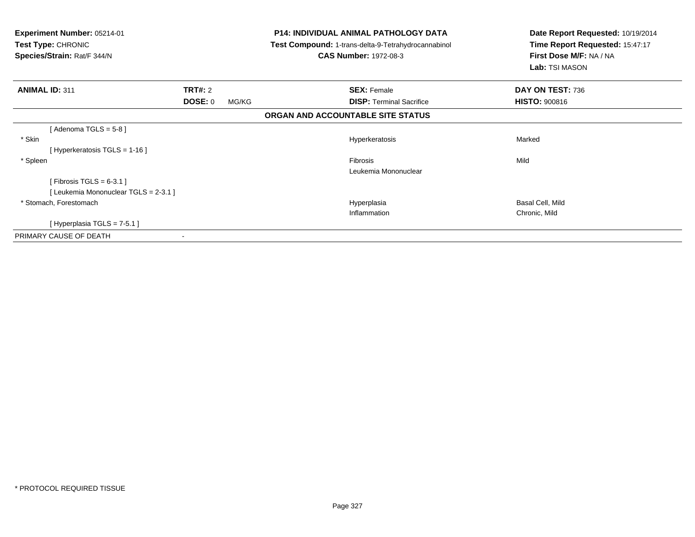| <b>Experiment Number: 05214-01</b><br><b>Test Type: CHRONIC</b><br>Species/Strain: Rat/F 344/N |                  | <b>P14: INDIVIDUAL ANIMAL PATHOLOGY DATA</b><br><b>Test Compound: 1-trans-delta-9-Tetrahydrocannabinol</b><br><b>CAS Number: 1972-08-3</b> | Date Report Requested: 10/19/2014<br>Time Report Requested: 15:47:17<br>First Dose M/F: NA / NA<br>Lab: TSI MASON |
|------------------------------------------------------------------------------------------------|------------------|--------------------------------------------------------------------------------------------------------------------------------------------|-------------------------------------------------------------------------------------------------------------------|
| <b>ANIMAL ID: 311</b>                                                                          | <b>TRT#: 2</b>   | <b>SEX: Female</b>                                                                                                                         | DAY ON TEST: 736                                                                                                  |
|                                                                                                | DOSE: 0<br>MG/KG | <b>DISP: Terminal Sacrifice</b>                                                                                                            | <b>HISTO: 900816</b>                                                                                              |
|                                                                                                |                  | ORGAN AND ACCOUNTABLE SITE STATUS                                                                                                          |                                                                                                                   |
| [Adenoma TGLS = $5-8$ ]                                                                        |                  |                                                                                                                                            |                                                                                                                   |
| * Skin                                                                                         |                  | Hyperkeratosis                                                                                                                             | Marked                                                                                                            |
| [Hyperkeratosis TGLS = 1-16]                                                                   |                  |                                                                                                                                            |                                                                                                                   |
| * Spleen                                                                                       |                  | Fibrosis                                                                                                                                   | Mild                                                                                                              |
|                                                                                                |                  | Leukemia Mononuclear                                                                                                                       |                                                                                                                   |
| [Fibrosis TGLS = $6-3.1$ ]                                                                     |                  |                                                                                                                                            |                                                                                                                   |
| [Leukemia Mononuclear TGLS = 2-3.1 ]                                                           |                  |                                                                                                                                            |                                                                                                                   |
| * Stomach, Forestomach                                                                         |                  | Hyperplasia                                                                                                                                | Basal Cell, Mild                                                                                                  |
|                                                                                                |                  | Inflammation                                                                                                                               | Chronic, Mild                                                                                                     |
| [Hyperplasia TGLS = 7-5.1]                                                                     |                  |                                                                                                                                            |                                                                                                                   |
| PRIMARY CAUSE OF DEATH                                                                         |                  |                                                                                                                                            |                                                                                                                   |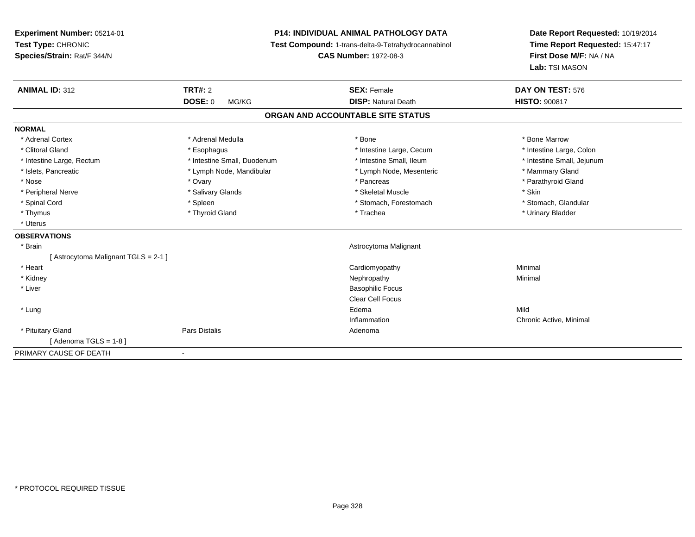# **P14: INDIVIDUAL ANIMAL PATHOLOGY DATA**

**Test Compound:** 1-trans-delta-9-Tetrahydrocannabinol

**CAS Number:** 1972-08-3

**Date Report Requested:** 10/19/2014 **Time Report Requested:** 15:47:17**First Dose M/F:** NA / NA**Lab:** TSI MASON

| <b>ANIMAL ID: 312</b>               | TRT#: 2                     | <b>SEX: Female</b>                | DAY ON TEST: 576           |
|-------------------------------------|-----------------------------|-----------------------------------|----------------------------|
|                                     | <b>DOSE: 0</b><br>MG/KG     | <b>DISP: Natural Death</b>        | <b>HISTO: 900817</b>       |
|                                     |                             | ORGAN AND ACCOUNTABLE SITE STATUS |                            |
| <b>NORMAL</b>                       |                             |                                   |                            |
| * Adrenal Cortex                    | * Adrenal Medulla           | * Bone                            | * Bone Marrow              |
| * Clitoral Gland                    | * Esophagus                 | * Intestine Large, Cecum          | * Intestine Large, Colon   |
| * Intestine Large, Rectum           | * Intestine Small, Duodenum | * Intestine Small, Ileum          | * Intestine Small, Jejunum |
| * Islets, Pancreatic                | * Lymph Node, Mandibular    | * Lymph Node, Mesenteric          | * Mammary Gland            |
| * Nose                              | * Ovary                     | * Pancreas                        | * Parathyroid Gland        |
| * Peripheral Nerve                  | * Salivary Glands           | * Skeletal Muscle                 | * Skin                     |
| * Spinal Cord                       | * Spleen                    | * Stomach, Forestomach            | * Stomach, Glandular       |
| * Thymus                            | * Thyroid Gland             | * Trachea                         | * Urinary Bladder          |
| * Uterus                            |                             |                                   |                            |
| <b>OBSERVATIONS</b>                 |                             |                                   |                            |
| * Brain                             |                             | Astrocytoma Malignant             |                            |
| [Astrocytoma Malignant TGLS = 2-1 ] |                             |                                   |                            |
| * Heart                             |                             | Cardiomyopathy                    | Minimal                    |
| * Kidney                            |                             | Nephropathy                       | Minimal                    |
| * Liver                             |                             | <b>Basophilic Focus</b>           |                            |
|                                     |                             | <b>Clear Cell Focus</b>           |                            |
| * Lung                              |                             | Edema                             | Mild                       |
|                                     |                             | Inflammation                      | Chronic Active, Minimal    |
| * Pituitary Gland                   | Pars Distalis               | Adenoma                           |                            |
| [Adenoma TGLS = $1-8$ ]             |                             |                                   |                            |
| PRIMARY CAUSE OF DEATH              |                             |                                   |                            |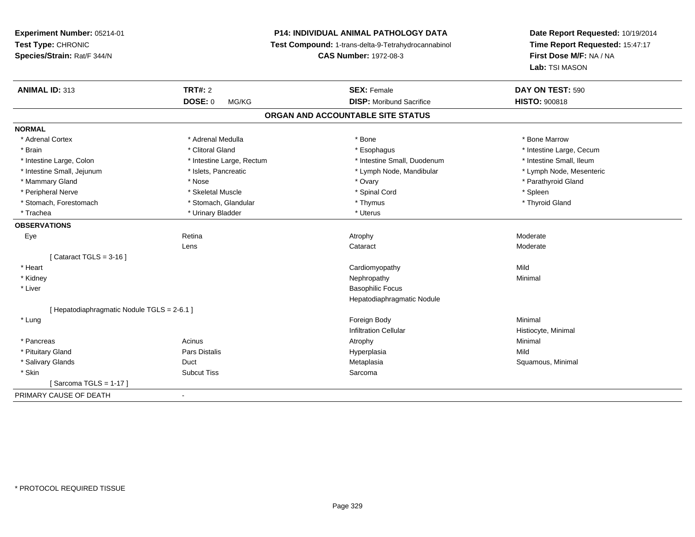**P14: INDIVIDUAL ANIMAL PATHOLOGY DATA**

**Test Compound:** 1-trans-delta-9-Tetrahydrocannabinol

**CAS Number:** 1972-08-3

**Date Report Requested:** 10/19/2014 **Time Report Requested:** 15:47:17**First Dose M/F:** NA / NA**Lab:** TSI MASON

| <b>ANIMAL ID: 313</b>                     | <b>TRT#: 2</b>            | <b>SEX: Female</b>                | DAY ON TEST: 590         |
|-------------------------------------------|---------------------------|-----------------------------------|--------------------------|
|                                           | <b>DOSE: 0</b><br>MG/KG   | <b>DISP:</b> Moribund Sacrifice   | <b>HISTO: 900818</b>     |
|                                           |                           | ORGAN AND ACCOUNTABLE SITE STATUS |                          |
| <b>NORMAL</b>                             |                           |                                   |                          |
| * Adrenal Cortex                          | * Adrenal Medulla         | * Bone                            | * Bone Marrow            |
| * Brain                                   | * Clitoral Gland          | * Esophagus                       | * Intestine Large, Cecum |
| * Intestine Large, Colon                  | * Intestine Large, Rectum | * Intestine Small, Duodenum       | * Intestine Small, Ileum |
| * Intestine Small, Jejunum                | * Islets, Pancreatic      | * Lymph Node, Mandibular          | * Lymph Node, Mesenteric |
| * Mammary Gland                           | * Nose                    | * Ovary                           | * Parathyroid Gland      |
| * Peripheral Nerve                        | * Skeletal Muscle         | * Spinal Cord                     | * Spleen                 |
| * Stomach, Forestomach                    | * Stomach, Glandular      | * Thymus                          | * Thyroid Gland          |
| * Trachea                                 | * Urinary Bladder         | * Uterus                          |                          |
| <b>OBSERVATIONS</b>                       |                           |                                   |                          |
| Eye                                       | Retina                    | Atrophy                           | Moderate                 |
|                                           | Lens                      | Cataract                          | Moderate                 |
| [Cataract TGLS = $3-16$ ]                 |                           |                                   |                          |
| * Heart                                   |                           | Cardiomyopathy                    | Mild                     |
| * Kidney                                  |                           | Nephropathy                       | Minimal                  |
| * Liver                                   |                           | <b>Basophilic Focus</b>           |                          |
|                                           |                           | Hepatodiaphragmatic Nodule        |                          |
| [Hepatodiaphragmatic Nodule TGLS = 2-6.1] |                           |                                   |                          |
| * Lung                                    |                           | Foreign Body                      | Minimal                  |
|                                           |                           | <b>Infiltration Cellular</b>      | Histiocyte, Minimal      |
| * Pancreas                                | Acinus                    | Atrophy                           | Minimal                  |
| * Pituitary Gland                         | Pars Distalis             | Hyperplasia                       | Mild                     |
| * Salivary Glands                         | Duct                      | Metaplasia                        | Squamous, Minimal        |
| * Skin                                    | <b>Subcut Tiss</b>        | Sarcoma                           |                          |
| [Sarcoma TGLS = 1-17]                     |                           |                                   |                          |
| PRIMARY CAUSE OF DEATH                    |                           |                                   |                          |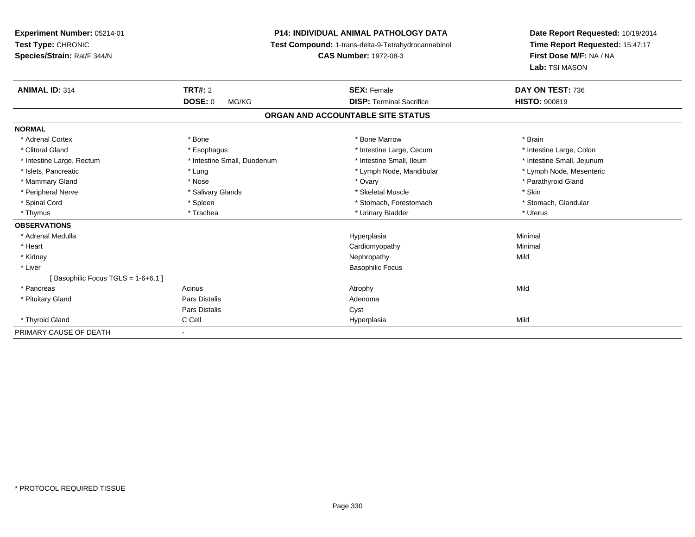**Experiment Number:** 05214-01**Test Type:** CHRONIC **Species/Strain:** Rat/F 344/N**P14: INDIVIDUAL ANIMAL PATHOLOGY DATA Test Compound:** 1-trans-delta-9-Tetrahydrocannabinol **CAS Number:** 1972-08-3**Date Report Requested:** 10/19/2014**Time Report Requested:** 15:47:17**First Dose M/F:** NA / NA**Lab:** TSI MASON**ANIMAL ID:** 314**TRT#:** 2 **SEX:** Female **DAY ON TEST:** 736 **DOSE:** 0 MG/KG **DISP:** Terminal Sacrifice **HISTO:** <sup>900819</sup> **ORGAN AND ACCOUNTABLE SITE STATUSNORMAL**\* Adrenal Cortex \* \* The matter of the state of the Marrow \* Bone Marrow \* Bone Marrow \* The matter of the Marrow \* Brain \* Brain \* Brain \* Brain \* Brain \* Brain \* Brain \* Brain \* Brain \* Brain \* Brain \* Brain \* Brain \* Br \* Intestine Large, Colon \* Clitoral Gland \* **Exophagus \* Exophagus \*** The strain that the large, Cecum \* intestine Large, Cecum \* Intestine Small, Jejunum \* Intestine Large, Rectum \* Intestine Small, Duodenum \* Intestine Small, Duodenum \* \* Intestine Small, Ileum \* Lymph Node, Mesenteric \* Islets, Pancreatic **\* Lung \* Lung \* Lung \* Lymph Node, Mandibular \*** Lymph Node, Mandibular \* Mammary Gland \* Nose \* Nose \* Nose \* 0vary \* Ovary \* Ovary \* Chammary Gland \* Parathyroid Gland \* Parathyroid Gland \* Peripheral Nerve \* Salivary Glands \* Skeletal Muscle \* Skin\* Stomach. Glandular \* Spinal Cord **\* Stomach, Forestomach \* Spinal Cord \*** Stomach, Forestomach \* Stomach, Forestomach \* Thymus \* Trachea \* Urinary Bladder \* Uterus **OBSERVATIONS** \* Adrenal Medullaa and the control of the control of the control of the Hyperplasia and the control of the Minimal of the control of the control of the control of the control of the control of the control of the control of the control of t \* Heart Cardiomyopathy Minimal \* Kidneyy the control of the control of the control of the control of the control of the control of the control of the control of the control of the control of the control of the control of the control of the control of the contro \* Liver Basophilic Focus[ Basophilic Focus TGLS = 1-6+6.1 ] \* Pancreass and the contract of the Acinus and the Acinus and the Acinus Atrophy and the Mild of the Mild of the Mild of the Mild of the Mild of the Mild of the Mild of the Mild of the Mild of the Mild of the Mild of the Mild of the \* Pituitary Glandd and the contract of Pars Distalis and the contract of Adenoma and Adenoma and the Adenoma and the Adenoma and  $\lambda$ Pars Distaliss Cyst \* Thyroid Gland C Cell Hyperplasia Mild PRIMARY CAUSE OF DEATH-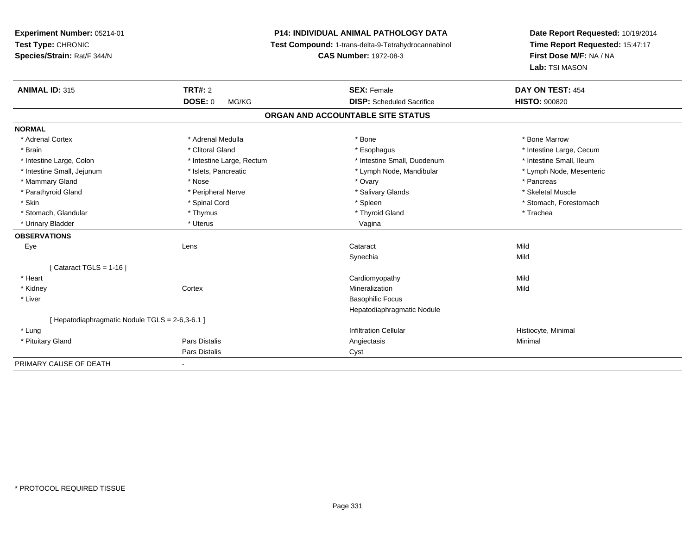# **P14: INDIVIDUAL ANIMAL PATHOLOGY DATA**

**Test Compound:** 1-trans-delta-9-Tetrahydrocannabinol

**CAS Number:** 1972-08-3

**Date Report Requested:** 10/19/2014**Time Report Requested:** 15:47:17**First Dose M/F:** NA / NA**Lab:** TSI MASON

| <b>ANIMAL ID: 315</b>                         | TRT#: 2                   | <b>SEX: Female</b>                | DAY ON TEST: 454         |
|-----------------------------------------------|---------------------------|-----------------------------------|--------------------------|
|                                               | <b>DOSE: 0</b><br>MG/KG   | <b>DISP:</b> Scheduled Sacrifice  | <b>HISTO: 900820</b>     |
|                                               |                           | ORGAN AND ACCOUNTABLE SITE STATUS |                          |
| <b>NORMAL</b>                                 |                           |                                   |                          |
| * Adrenal Cortex                              | * Adrenal Medulla         | * Bone                            | * Bone Marrow            |
| * Brain                                       | * Clitoral Gland          | * Esophagus                       | * Intestine Large, Cecum |
| * Intestine Large, Colon                      | * Intestine Large, Rectum | * Intestine Small, Duodenum       | * Intestine Small, Ileum |
| * Intestine Small, Jejunum                    | * Islets, Pancreatic      | * Lymph Node, Mandibular          | * Lymph Node, Mesenteric |
| * Mammary Gland                               | * Nose                    | * Ovary                           | * Pancreas               |
| * Parathyroid Gland                           | * Peripheral Nerve        | * Salivary Glands                 | * Skeletal Muscle        |
| * Skin                                        | * Spinal Cord             | * Spleen                          | * Stomach, Forestomach   |
| * Stomach, Glandular                          | * Thymus                  | * Thyroid Gland                   | * Trachea                |
| * Urinary Bladder                             | * Uterus                  | Vagina                            |                          |
| <b>OBSERVATIONS</b>                           |                           |                                   |                          |
| Eye                                           | Lens                      | Cataract                          | Mild                     |
|                                               |                           | Synechia                          | Mild                     |
| Cataract TGLS = $1-16$ ]                      |                           |                                   |                          |
| * Heart                                       |                           | Cardiomyopathy                    | Mild                     |
| * Kidney                                      | Cortex                    | Mineralization                    | Mild                     |
| * Liver                                       |                           | <b>Basophilic Focus</b>           |                          |
|                                               |                           | Hepatodiaphragmatic Nodule        |                          |
| [Hepatodiaphragmatic Nodule TGLS = 2-6,3-6.1] |                           |                                   |                          |
| * Lung                                        |                           | <b>Infiltration Cellular</b>      | Histiocyte, Minimal      |
| * Pituitary Gland                             | Pars Distalis             | Angiectasis                       | Minimal                  |
|                                               | Pars Distalis             | Cyst                              |                          |
| PRIMARY CAUSE OF DEATH                        |                           |                                   |                          |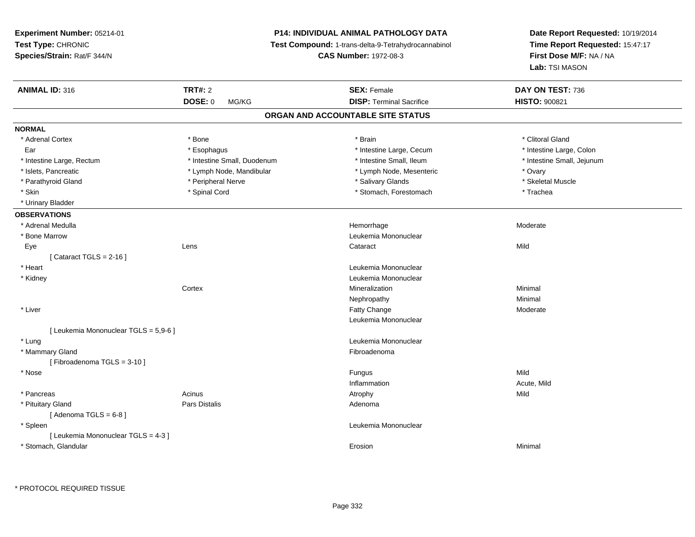**Experiment Number:** 05214-01**Test Type:** CHRONIC **Species/Strain:** Rat/F 344/N**P14: INDIVIDUAL ANIMAL PATHOLOGY DATA Test Compound:** 1-trans-delta-9-Tetrahydrocannabinol **CAS Number:** 1972-08-3**Date Report Requested:** 10/19/2014**Time Report Requested:** 15:47:17**First Dose M/F:** NA / NA**Lab:** TSI MASON**ANIMAL ID:** 316**TRT#:** 2 **SEX:** Female **DAY ON TEST:** 736 **DOSE:** 0 MG/KG**DISP:** Terminal Sacrifice **HISTO:** 900821 **ORGAN AND ACCOUNTABLE SITE STATUSNORMAL**\* Adrenal Cortex \* Adrenal Cortex \* \* Attenual Cortex \* Adrenal Cortex \* Clitoral Gland \* Bone \* \* Bone \* \* Bone \* \* Clitoral Gland \* Clitoral Gland \* \* Bone \* \* Adrenal Cortex \* \* Clitoral Gland \* \* Bone \* \* \* \* \* \* \* \* \* \* \* \* \* \* \* \* \* \* Intestine Large, Colon Ear \* Esophagus \* Esophagus \* Intestine Large, Cecum \* 1 \* Intestine Large, Rectum \* Thestine Small, Duodenum \* Number of the small, Ileum \* Intestine Small, Jejunum \* Intestine Small, Jejunum \* Islets, Pancreatic \* Lymph Node, Mandibular \* Lymph Node, Mesenteric \* Ovary\* Skeletal Muscle \* Parathyroid Gland \* \* \* And \* \* Peripheral Nerve \* \* \* Salivary Glands \* \* Salivary Glands \* \* Skeletal Muscle \* \* Skeletal Muscle \* \* Skeletal Muscle \* \* Skeletal Muscle \* \* Skeletal Muscle \* \* Skeletal Muscle \* \* Skele \* Skin \* Stomach, Forestomach \* Trachea \* Spinal Cord \* Trachea \* Stomach, Forestomach \* Trachea \* Trachea \* Urinary Bladder**OBSERVATIONS** \* Adrenal Medullaa magnetic controller than the most controller than the Hemorrhage controller than  $\mathsf{Moderate}$  \* Bone MarrowLeukemia Mononuclear<br>
Lens<br>
Cataract Eyee the contract of the contract of the contract of the contract of the contract of the contract of the contract  $\mathsf{Mild}$  $[$  Cataract TGLS = 2-16  $]$  \* Heart Leukemia Mononuclear \* Kidney Leukemia Mononuclear **Cortex**  Mineralizationn Minimal Nephropathyy the contract of the Minimal Minimal Section 1996 and the contract of the Minimal Section 1997 and the contract of the contract of the contract of the contract of the contract of the contract of the contract of the contra \* Liverr and the contract of the contract of the contract of the contract of the contract of the contract of the contract of the contract of the contract of the contract of the contract of the contract of the contract of the cont e Moderate Leukemia Mononuclear[ Leukemia Mononuclear TGLS = 5,9-6 ] \* Lung Leukemia Mononuclear \* Mammary Glandd **Executive Contract of the Contract Contract Contract Contract Contract Contract Contract Contract Contract Contract Contract Contract Contract Contract Contract Contract Contract Contract Contract Contract Contract Cont** [ Fibroadenoma TGLS = 3-10 ] \* Nosee and the state of the state of the state of the state of the state of the state of the state of the state of the state of the state of the state of the state of the state of the state of the state of the state of the stat Inflammation Acute, Mild \* Pancreass and the contract of the Acinus and the Acinus and the Acinus Atrophy and the Mild of the Mild of the Mild of the Mild of the Mild of the Mild of the Mild of the Mild of the Mild of the Mild of the Mild of the Mild of the \* Pituitary Glandd and the contract of Pars Distalis and the contract of Adenoma and Adenoma and the Adenoma and the Adenoma and  $\lambda$  $[$  Adenoma TGLS =  $6-8$ ] \* Spleen Leukemia Mononuclear [ Leukemia Mononuclear TGLS = 4-3 ] \* Stomach, Glandularr and the control of the control of the control of the control of the control of the control of the control of n and a basic control of the Minimal Minimal Section 1, 1996. The Minimal Section 1, 1997, 1997, 1997, 1997, 1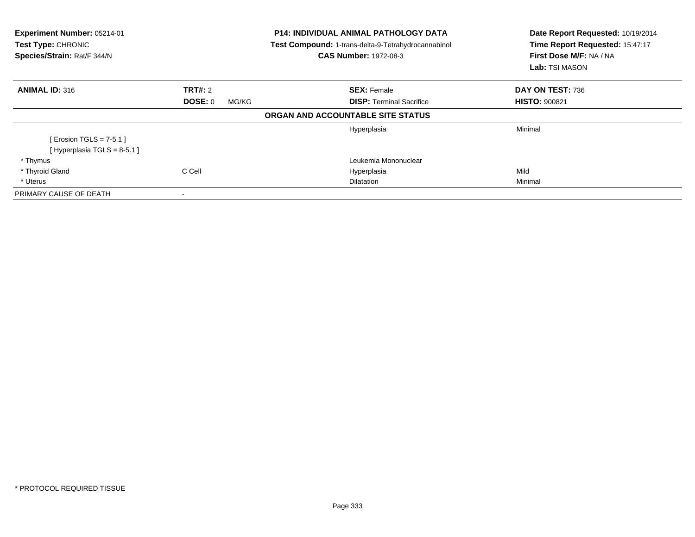| Experiment Number: 05214-01<br><b>Test Type: CHRONIC</b><br>Species/Strain: Rat/F 344/N |                         | <b>P14: INDIVIDUAL ANIMAL PATHOLOGY DATA</b><br>Test Compound: 1-trans-delta-9-Tetrahydrocannabinol<br><b>CAS Number: 1972-08-3</b> | Date Report Requested: 10/19/2014<br>Time Report Requested: 15:47:17<br>First Dose M/F: NA / NA<br>Lab: TSI MASON |
|-----------------------------------------------------------------------------------------|-------------------------|-------------------------------------------------------------------------------------------------------------------------------------|-------------------------------------------------------------------------------------------------------------------|
| <b>ANIMAL ID: 316</b>                                                                   | <b>TRT#: 2</b>          | <b>SEX: Female</b>                                                                                                                  | DAY ON TEST: 736                                                                                                  |
|                                                                                         | <b>DOSE: 0</b><br>MG/KG | <b>DISP:</b> Terminal Sacrifice                                                                                                     | <b>HISTO: 900821</b>                                                                                              |
|                                                                                         |                         | ORGAN AND ACCOUNTABLE SITE STATUS                                                                                                   |                                                                                                                   |
|                                                                                         |                         | Hyperplasia                                                                                                                         | Minimal                                                                                                           |
| [ Erosion TGLS = $7-5.1$ ]<br>[Hyperplasia TGLS = $8-5.1$ ]                             |                         |                                                                                                                                     |                                                                                                                   |
| * Thymus                                                                                |                         | Leukemia Mononuclear                                                                                                                |                                                                                                                   |
| * Thyroid Gland                                                                         | C Cell                  | Hyperplasia                                                                                                                         | Mild                                                                                                              |
| * Uterus                                                                                |                         | <b>Dilatation</b>                                                                                                                   | Minimal                                                                                                           |
| PRIMARY CAUSE OF DEATH                                                                  | ۰                       |                                                                                                                                     |                                                                                                                   |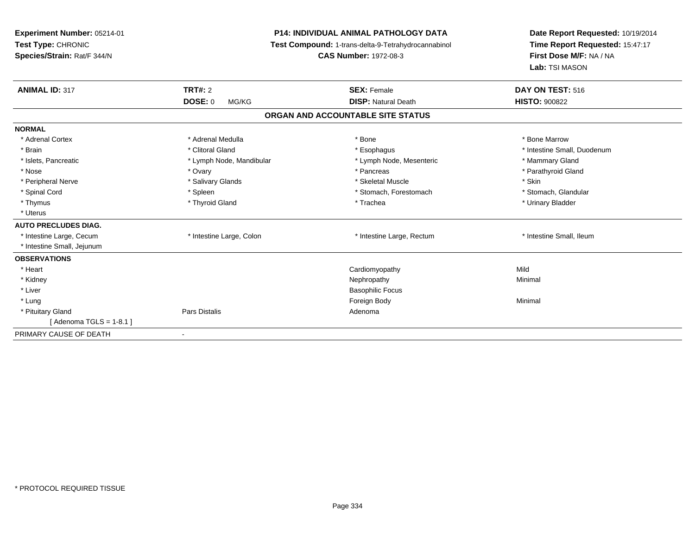| Experiment Number: 05214-01<br>Test Type: CHRONIC<br>Species/Strain: Rat/F 344/N<br><b>ANIMAL ID: 317</b> | <b>P14: INDIVIDUAL ANIMAL PATHOLOGY DATA</b><br>Test Compound: 1-trans-delta-9-Tetrahydrocannabinol<br><b>CAS Number: 1972-08-3</b><br><b>TRT#: 2</b><br><b>SEX: Female</b> |                                   | Date Report Requested: 10/19/2014<br>Time Report Requested: 15:47:17<br>First Dose M/F: NA / NA<br>Lab: TSI MASON<br>DAY ON TEST: 516 |
|-----------------------------------------------------------------------------------------------------------|-----------------------------------------------------------------------------------------------------------------------------------------------------------------------------|-----------------------------------|---------------------------------------------------------------------------------------------------------------------------------------|
|                                                                                                           | <b>DOSE: 0</b><br>MG/KG                                                                                                                                                     | <b>DISP: Natural Death</b>        | <b>HISTO: 900822</b>                                                                                                                  |
|                                                                                                           |                                                                                                                                                                             | ORGAN AND ACCOUNTABLE SITE STATUS |                                                                                                                                       |
| <b>NORMAL</b>                                                                                             |                                                                                                                                                                             |                                   |                                                                                                                                       |
| * Adrenal Cortex                                                                                          | * Adrenal Medulla                                                                                                                                                           | * Bone                            | * Bone Marrow                                                                                                                         |
| * Brain                                                                                                   | * Clitoral Gland                                                                                                                                                            | * Esophagus                       | * Intestine Small, Duodenum                                                                                                           |
| * Islets, Pancreatic                                                                                      | * Lymph Node, Mandibular                                                                                                                                                    | * Lymph Node, Mesenteric          | * Mammary Gland                                                                                                                       |
| * Nose                                                                                                    | * Ovary                                                                                                                                                                     | * Pancreas                        | * Parathyroid Gland                                                                                                                   |
| * Peripheral Nerve                                                                                        | * Salivary Glands                                                                                                                                                           | * Skeletal Muscle                 | * Skin                                                                                                                                |
| * Spinal Cord                                                                                             | * Spleen                                                                                                                                                                    | * Stomach, Forestomach            | * Stomach, Glandular                                                                                                                  |
| * Thymus                                                                                                  | * Thyroid Gland                                                                                                                                                             | * Trachea                         | * Urinary Bladder                                                                                                                     |
| * Uterus                                                                                                  |                                                                                                                                                                             |                                   |                                                                                                                                       |
| <b>AUTO PRECLUDES DIAG.</b>                                                                               |                                                                                                                                                                             |                                   |                                                                                                                                       |
| * Intestine Large, Cecum                                                                                  | * Intestine Large, Colon                                                                                                                                                    | * Intestine Large, Rectum         | * Intestine Small, Ileum                                                                                                              |
| * Intestine Small, Jejunum                                                                                |                                                                                                                                                                             |                                   |                                                                                                                                       |
| <b>OBSERVATIONS</b>                                                                                       |                                                                                                                                                                             |                                   |                                                                                                                                       |
| * Heart                                                                                                   |                                                                                                                                                                             | Cardiomyopathy                    | Mild                                                                                                                                  |
| * Kidney                                                                                                  |                                                                                                                                                                             | Nephropathy                       | Minimal                                                                                                                               |
| * Liver                                                                                                   |                                                                                                                                                                             | <b>Basophilic Focus</b>           |                                                                                                                                       |
| * Lung                                                                                                    |                                                                                                                                                                             | Foreign Body                      | Minimal                                                                                                                               |
| * Pituitary Gland                                                                                         | Pars Distalis                                                                                                                                                               | Adenoma                           |                                                                                                                                       |
| [ Adenoma TGLS = 1-8.1 ]                                                                                  |                                                                                                                                                                             |                                   |                                                                                                                                       |
| PRIMARY CAUSE OF DEATH                                                                                    |                                                                                                                                                                             |                                   |                                                                                                                                       |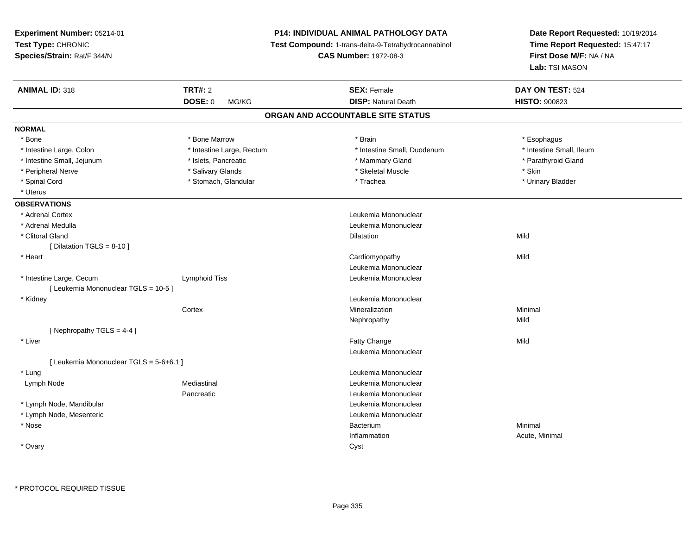**Experiment Number:** 05214-01**Test Type:** CHRONIC **Species/Strain:** Rat/F 344/N**P14: INDIVIDUAL ANIMAL PATHOLOGY DATA Test Compound:** 1-trans-delta-9-Tetrahydrocannabinol **CAS Number:** 1972-08-3**Date Report Requested:** 10/19/2014**Time Report Requested:** 15:47:17**First Dose M/F:** NA / NA**Lab:** TSI MASON**ANIMAL ID:** 318**EX:** Female **DAY ON TEST:** 524 **DOSE:** 0 MG/KG**DISP:** Natural Death **HISTO:**  $900823$ **ORGAN AND ACCOUNTABLE SITE STATUSNORMAL**\* Bone \* Bone \* Bone Marrow \* Brain \* Esophagus \* Intestine Small, Ileum \* Intestine Large, Colon \* Intestine Large, Rectum \* Intestine Small, Duodenum \* 1 \* Intestine Small, Jejunum \* The match was a strategies of the strategies of the strategies of the strategies of the strategies of the strategies of the strategies of the strategies of the strategies of the strategies of t \* Peripheral Nerve \* Salivary Glands \* Skeletal Muscle \* Skin\* Urinary Bladder \* Spinal Cord \* Stomach, Glandular \* Stomach, Glandular \* Trachea \* Uterus**OBSERVATIONS** \* Adrenal Cortex Leukemia Mononuclear \* Adrenal Medulla Leukemia Mononuclear \* Clitoral Glandd and the control of the control of the control of the control of the control of the control of the control of the control of the control of the control of the control of the control of the control of the control of the co  $[$  Dilatation TGLS = 8-10  $]$  \* Heart Cardiomyopathyy Mild Leukemia Mononuclear \* Intestine Large, CecumLymphoid Tiss **Leukemia Mononuclear** [ Leukemia Mononuclear TGLS = 10-5 ] \* Kidney Leukemia Mononuclear **Cortex**  Mineralizationn Minimal Nephropathyy Mild [ Nephropathy  $TGLS = 4-4$  ] \* Liverr and the contract of the contract of the contract of the contract of the contract of the contract of the contract of the contract of the contract of the contract of the contract of the contract of the contract of the cont e Mild Leukemia Mononuclear[ Leukemia Mononuclear TGLS = 5-6+6.1 ] \* Lung Leukemia Mononuclear Lymph Node Mediastinal Leukemia Mononuclear Pancreatic Leukemia Mononuclear \* Lymph Node, Mandibular Leukemia Mononuclear \* Lymph Node, Mesenteric Leukemia Mononuclear \* Nosee de la constitución de la constitución de la constitución de la constitución de la constitución de la constitución<br>En el constitución de la constitución de la constitución de la constitución de la constitución de la const m Minimal Minimal Structure of the Minimal Structure of the Minimal Structure of the Minimal Structure of the <br>The Minimal Structure of the Minimal Structure of the Minimal Structure of the Minimal Structure of the Minimal Inflammation Acute, Minimal \* Ovaryy cystem in the control of the control of the control of the control of the control of the control of the control of the control of the control of the control of the control of the control of the control of the control of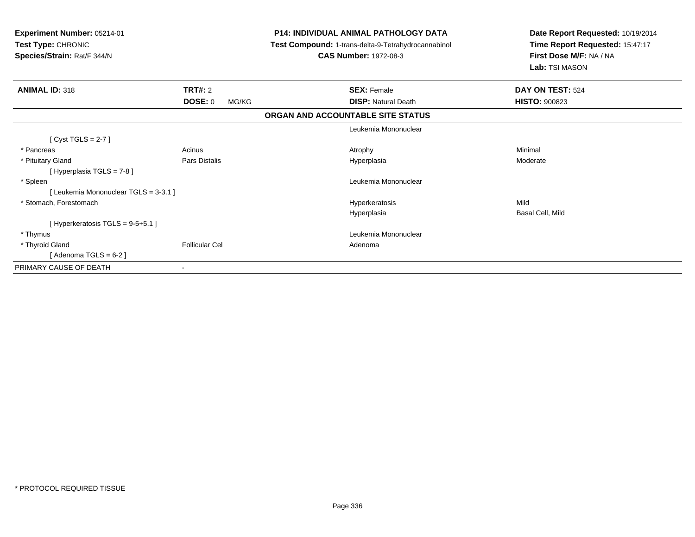| <b>Experiment Number: 05214-01</b><br>Test Type: CHRONIC<br>Species/Strain: Rat/F 344/N |                          | <b>P14: INDIVIDUAL ANIMAL PATHOLOGY DATA</b><br>Test Compound: 1-trans-delta-9-Tetrahydrocannabinol<br><b>CAS Number: 1972-08-3</b> | Date Report Requested: 10/19/2014<br>Time Report Requested: 15:47:17<br>First Dose M/F: NA / NA<br>Lab: TSI MASON |
|-----------------------------------------------------------------------------------------|--------------------------|-------------------------------------------------------------------------------------------------------------------------------------|-------------------------------------------------------------------------------------------------------------------|
| <b>ANIMAL ID: 318</b>                                                                   | TRT#: 2                  | <b>SEX: Female</b>                                                                                                                  | DAY ON TEST: 524                                                                                                  |
|                                                                                         | <b>DOSE: 0</b><br>MG/KG  | <b>DISP: Natural Death</b>                                                                                                          | <b>HISTO: 900823</b>                                                                                              |
|                                                                                         |                          | ORGAN AND ACCOUNTABLE SITE STATUS                                                                                                   |                                                                                                                   |
|                                                                                         |                          | Leukemia Mononuclear                                                                                                                |                                                                                                                   |
| [Cyst TGLS = $2-7$ ]                                                                    |                          |                                                                                                                                     |                                                                                                                   |
| * Pancreas                                                                              | Acinus                   | Atrophy                                                                                                                             | Minimal                                                                                                           |
| * Pituitary Gland                                                                       | <b>Pars Distalis</b>     | Hyperplasia                                                                                                                         | Moderate                                                                                                          |
| [ Hyperplasia TGLS = 7-8 ]                                                              |                          |                                                                                                                                     |                                                                                                                   |
| * Spleen                                                                                |                          | Leukemia Mononuclear                                                                                                                |                                                                                                                   |
| [ Leukemia Mononuclear TGLS = 3-3.1 ]                                                   |                          |                                                                                                                                     |                                                                                                                   |
| * Stomach, Forestomach                                                                  |                          | Hyperkeratosis                                                                                                                      | Mild                                                                                                              |
|                                                                                         |                          | Hyperplasia                                                                                                                         | Basal Cell, Mild                                                                                                  |
| [Hyperkeratosis TGLS = $9-5+5.1$ ]                                                      |                          |                                                                                                                                     |                                                                                                                   |
| * Thymus                                                                                |                          | Leukemia Mononuclear                                                                                                                |                                                                                                                   |
| * Thyroid Gland                                                                         | <b>Follicular Cel</b>    | Adenoma                                                                                                                             |                                                                                                                   |
| [Adenoma TGLS = $6-2$ ]                                                                 |                          |                                                                                                                                     |                                                                                                                   |
| PRIMARY CAUSE OF DEATH                                                                  | $\overline{\phantom{a}}$ |                                                                                                                                     |                                                                                                                   |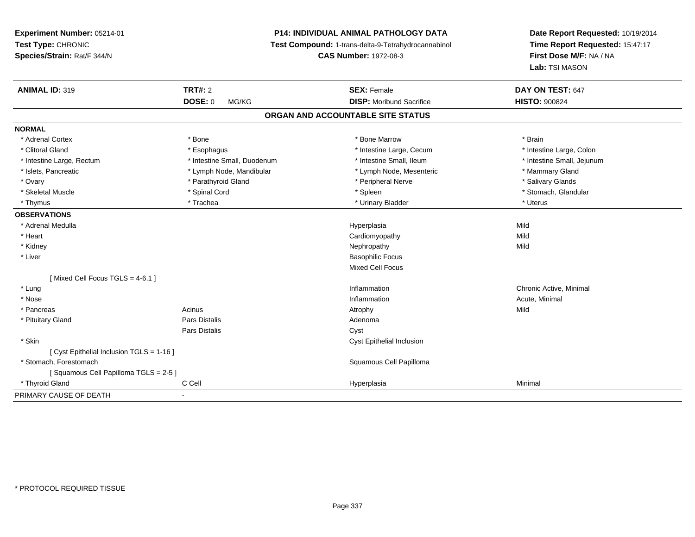# **P14: INDIVIDUAL ANIMAL PATHOLOGY DATA**

**Test Compound:** 1-trans-delta-9-Tetrahydrocannabinol

**CAS Number:** 1972-08-3

**Date Report Requested:** 10/19/2014 **Time Report Requested:** 15:47:17**First Dose M/F:** NA / NA**Lab:** TSI MASON

| <b>ANIMAL ID: 319</b>                     | <b>TRT#: 2</b>              | <b>SEX: Female</b>                | DAY ON TEST: 647           |
|-------------------------------------------|-----------------------------|-----------------------------------|----------------------------|
|                                           | <b>DOSE: 0</b><br>MG/KG     | <b>DISP:</b> Moribund Sacrifice   | <b>HISTO: 900824</b>       |
|                                           |                             | ORGAN AND ACCOUNTABLE SITE STATUS |                            |
| <b>NORMAL</b>                             |                             |                                   |                            |
| * Adrenal Cortex                          | * Bone                      | * Bone Marrow                     | * Brain                    |
| * Clitoral Gland                          | * Esophagus                 | * Intestine Large, Cecum          | * Intestine Large, Colon   |
| * Intestine Large, Rectum                 | * Intestine Small, Duodenum | * Intestine Small, Ileum          | * Intestine Small, Jejunum |
| * Islets, Pancreatic                      | * Lymph Node, Mandibular    | * Lymph Node, Mesenteric          | * Mammary Gland            |
| * Ovary                                   | * Parathyroid Gland         | * Peripheral Nerve                | * Salivary Glands          |
| * Skeletal Muscle                         | * Spinal Cord               | * Spleen                          | * Stomach, Glandular       |
| * Thymus                                  | * Trachea                   | * Urinary Bladder                 | * Uterus                   |
| <b>OBSERVATIONS</b>                       |                             |                                   |                            |
| * Adrenal Medulla                         |                             | Hyperplasia                       | Mild                       |
| * Heart                                   |                             | Cardiomyopathy                    | Mild                       |
| * Kidney                                  |                             | Nephropathy                       | Mild                       |
| * Liver                                   |                             | <b>Basophilic Focus</b>           |                            |
|                                           |                             | <b>Mixed Cell Focus</b>           |                            |
| [Mixed Cell Focus TGLS = 4-6.1]           |                             |                                   |                            |
| * Lung                                    |                             | Inflammation                      | Chronic Active, Minimal    |
| * Nose                                    |                             | Inflammation                      | Acute, Minimal             |
| * Pancreas                                | Acinus                      | Atrophy                           | Mild                       |
| * Pituitary Gland                         | <b>Pars Distalis</b>        | Adenoma                           |                            |
|                                           | <b>Pars Distalis</b>        | Cyst                              |                            |
| * Skin                                    |                             | <b>Cyst Epithelial Inclusion</b>  |                            |
| [ Cyst Epithelial Inclusion TGLS = 1-16 ] |                             |                                   |                            |
| * Stomach, Forestomach                    |                             | Squamous Cell Papilloma           |                            |
| [Squamous Cell Papilloma TGLS = 2-5]      |                             |                                   |                            |
| * Thyroid Gland                           | C Cell                      | Hyperplasia                       | Minimal                    |
| PRIMARY CAUSE OF DEATH                    | $\blacksquare$              |                                   |                            |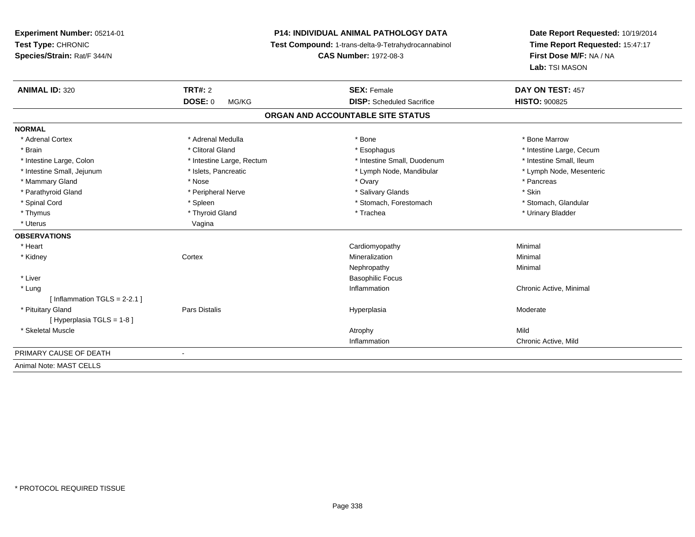**Experiment Number:** 05214-01**Test Type:** CHRONIC **Species/Strain:** Rat/F 344/N**P14: INDIVIDUAL ANIMAL PATHOLOGY DATA Test Compound:** 1-trans-delta-9-Tetrahydrocannabinol **CAS Number:** 1972-08-3**Date Report Requested:** 10/19/2014**Time Report Requested:** 15:47:17**First Dose M/F:** NA / NA**Lab:** TSI MASON**ANIMAL ID:** 320**Consumers 2 TRT#:** 2 **SEX:** Female **SEX:** Female **DAY ON TEST:** 457 **DOSE:** 0 MG/KG **DISP:** Scheduled Sacrifice **HISTO:** <sup>900825</sup> **ORGAN AND ACCOUNTABLE SITE STATUSNORMAL**\* Adrenal Cortex \* Adrenal Medulla \* Adrenal Medulla \* Bone \* Bone \* Bone \* Bone \* Bone Marrow \* Brain \* Alternation of the state of the state of the state of the state of the state of the state of the state of the state of the state of the state of the state of the state of the state of the state of the state of th \* Intestine Small, Ileum \* Intestine Large, Colon \* Intestine Large, Rectum \* Intestine Small, Duodenum \* Intestine Small, Duodenum \* Lymph Node, Mesenteric \* Intestine Small, Jejunum \* Mandibular \* Islets, Pancreatic \* Mandibular \* Lymph Node, Mandibular \* Mammary Gland \* \* Andrew \* Nose \* \* Nose \* \* Ovary \* Ovary \* Ovary \* \* Ovary \* \* Pancreas \* \* Pancreas \* \* Pancreas \* \* Pancreas \* \* Pancreas \* \* Pancreas \* \* Pancreas \* \* Pancreas \* \* Pancreas \* \* Pancreas \* \* Pancreas \* Parathyroid Gland \* \* The propheral Nerve \* \* Salivary Glands \* Salivary Glands \* \* Skin \* Stomach. Glandular \* Spinal Cord \* Spinal Cord \* Spinal Cord \* Stomach, Forestomach \* Stomach, Forestomach \* Stomach, Forestomach \* Thymus \* Thyroid Gland \* Trachea \* Urinary Bladder \* \* Uterus Vagina**OBSERVATIONS** \* Heart Cardiomyopathy Minimal \* Kidneyy which is a context of the Cortext of the Cortext of the Cortext of the Mineralization n Minimal Nephropathyy the contract of the Minimal Minimal Section 1996 and the contract of the Minimal Section 1997 and the contract of the contract of the contract of the contract of the contract of the contract of the contract of the contra \* Liver Basophilic Focus \* Lungg is a controller to the controller of the controller of the chronic Active, Minimal of the chronic Active, Minimal of the chronic Active, Minimal of the chronic Active, Minimal of the chronic Active, Minimal of the chroni  $[$  Inflammation TGLS = 2-2.1  $]$  \* Pituitary Gland Pars Distalis Hyperplasia Moderate [ Hyperplasia TGLS = 1-8 ] \* Skeletal Musclee and the control of the control of the control of the control of the control of the control of the control of the control of the control of the control of the control of the control of the control of the control of the co Inflammation Chronic Active, Mild PRIMARY CAUSE OF DEATH - Animal Note: MAST CELLS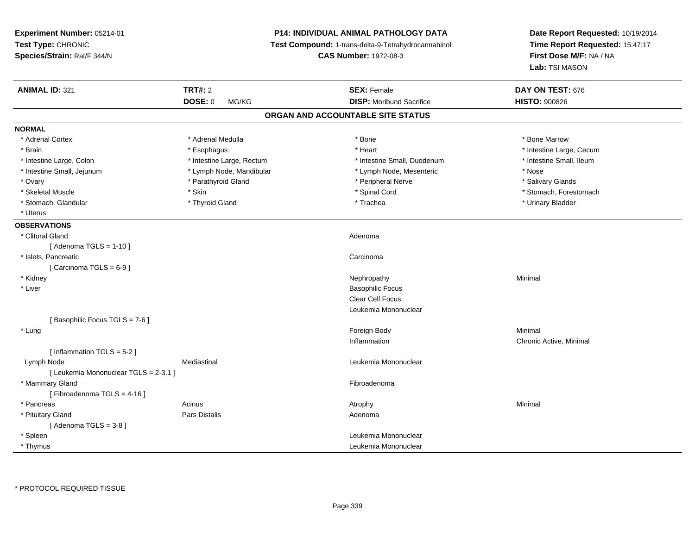| Experiment Number: 05214-01<br>Test Type: CHRONIC<br>Species/Strain: Rat/F 344/N |                           | <b>P14: INDIVIDUAL ANIMAL PATHOLOGY DATA</b><br>Test Compound: 1-trans-delta-9-Tetrahydrocannabinol<br><b>CAS Number: 1972-08-3</b> | Date Report Requested: 10/19/2014<br>Time Report Requested: 15:47:17<br>First Dose M/F: NA / NA<br>Lab: TSI MASON |
|----------------------------------------------------------------------------------|---------------------------|-------------------------------------------------------------------------------------------------------------------------------------|-------------------------------------------------------------------------------------------------------------------|
| <b>ANIMAL ID: 321</b>                                                            | <b>TRT#: 2</b>            | <b>SEX: Female</b>                                                                                                                  | DAY ON TEST: 676                                                                                                  |
|                                                                                  | <b>DOSE: 0</b><br>MG/KG   | <b>DISP:</b> Moribund Sacrifice                                                                                                     | <b>HISTO: 900826</b>                                                                                              |
|                                                                                  |                           | ORGAN AND ACCOUNTABLE SITE STATUS                                                                                                   |                                                                                                                   |
| <b>NORMAL</b>                                                                    |                           |                                                                                                                                     |                                                                                                                   |
| * Adrenal Cortex                                                                 | * Adrenal Medulla         | * Bone                                                                                                                              | * Bone Marrow                                                                                                     |
| * Brain                                                                          | * Esophagus               | * Heart                                                                                                                             | * Intestine Large, Cecum                                                                                          |
| * Intestine Large, Colon                                                         | * Intestine Large, Rectum | * Intestine Small, Duodenum                                                                                                         | * Intestine Small, Ileum                                                                                          |
| * Intestine Small, Jejunum                                                       | * Lymph Node, Mandibular  | * Lymph Node, Mesenteric                                                                                                            | * Nose                                                                                                            |
| * Ovary                                                                          | * Parathyroid Gland       | * Peripheral Nerve                                                                                                                  | * Salivary Glands                                                                                                 |
| * Skeletal Muscle                                                                | * Skin                    | * Spinal Cord                                                                                                                       | * Stomach, Forestomach                                                                                            |
| * Stomach, Glandular                                                             | * Thyroid Gland           | * Trachea                                                                                                                           | * Urinary Bladder                                                                                                 |
| * Uterus                                                                         |                           |                                                                                                                                     |                                                                                                                   |
| <b>OBSERVATIONS</b>                                                              |                           |                                                                                                                                     |                                                                                                                   |
| * Clitoral Gland                                                                 |                           | Adenoma                                                                                                                             |                                                                                                                   |
| [Adenoma TGLS = $1-10$ ]                                                         |                           |                                                                                                                                     |                                                                                                                   |
| * Islets, Pancreatic                                                             |                           | Carcinoma                                                                                                                           |                                                                                                                   |
| [ Carcinoma $TGLS = 6-9$ ]                                                       |                           |                                                                                                                                     |                                                                                                                   |
| * Kidney                                                                         |                           | Nephropathy                                                                                                                         | Minimal                                                                                                           |
| * Liver                                                                          |                           | <b>Basophilic Focus</b>                                                                                                             |                                                                                                                   |
|                                                                                  |                           | <b>Clear Cell Focus</b>                                                                                                             |                                                                                                                   |
|                                                                                  |                           | Leukemia Mononuclear                                                                                                                |                                                                                                                   |
| [Basophilic Focus TGLS = 7-6]                                                    |                           |                                                                                                                                     |                                                                                                                   |
| * Lung                                                                           |                           | Foreign Body                                                                                                                        | Minimal                                                                                                           |
|                                                                                  |                           | Inflammation                                                                                                                        | Chronic Active, Minimal                                                                                           |
| [Inflammation TGLS = 5-2]                                                        |                           |                                                                                                                                     |                                                                                                                   |
| Lymph Node                                                                       | Mediastinal               | Leukemia Mononuclear                                                                                                                |                                                                                                                   |
| [ Leukemia Mononuclear TGLS = 2-3.1 ]                                            |                           |                                                                                                                                     |                                                                                                                   |
| * Mammary Gland                                                                  |                           | Fibroadenoma                                                                                                                        |                                                                                                                   |
| [Fibroadenoma TGLS = 4-16]                                                       |                           |                                                                                                                                     |                                                                                                                   |
| * Pancreas                                                                       | Acinus                    | Atrophy                                                                                                                             | Minimal                                                                                                           |
| * Pituitary Gland                                                                | <b>Pars Distalis</b>      | Adenoma                                                                                                                             |                                                                                                                   |
| [Adenoma TGLS = $3-8$ ]                                                          |                           |                                                                                                                                     |                                                                                                                   |
| * Spleen                                                                         |                           | Leukemia Mononuclear                                                                                                                |                                                                                                                   |
| * Thymus                                                                         |                           | Leukemia Mononuclear                                                                                                                |                                                                                                                   |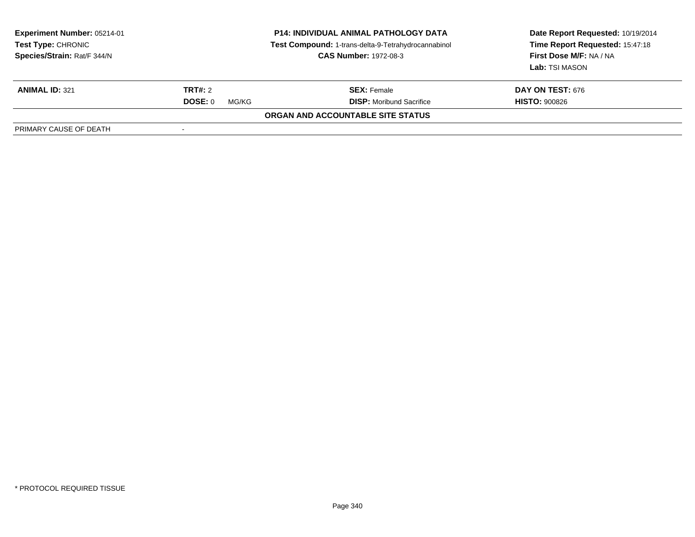| <b>Experiment Number: 05214-01</b><br><b>Test Type: CHRONIC</b><br>Species/Strain: Rat/F 344/N | <b>P14: INDIVIDUAL ANIMAL PATHOLOGY DATA</b><br>Test Compound: 1-trans-delta-9-Tetrahydrocannabinol<br><b>CAS Number: 1972-08-3</b> |                                   | Date Report Requested: 10/19/2014<br>Time Report Requested: 15:47:18<br>First Dose M/F: NA / NA<br>Lab: TSI MASON |
|------------------------------------------------------------------------------------------------|-------------------------------------------------------------------------------------------------------------------------------------|-----------------------------------|-------------------------------------------------------------------------------------------------------------------|
| <b>ANIMAL ID: 321</b>                                                                          | TRT#: 2                                                                                                                             | <b>SEX:</b> Female                | <b>DAY ON TEST: 676</b>                                                                                           |
|                                                                                                | DOSE: 0<br>MG/KG                                                                                                                    | <b>DISP:</b> Moribund Sacrifice   | <b>HISTO: 900826</b>                                                                                              |
|                                                                                                |                                                                                                                                     | ORGAN AND ACCOUNTABLE SITE STATUS |                                                                                                                   |
| PRIMARY CAUSE OF DEATH                                                                         |                                                                                                                                     |                                   |                                                                                                                   |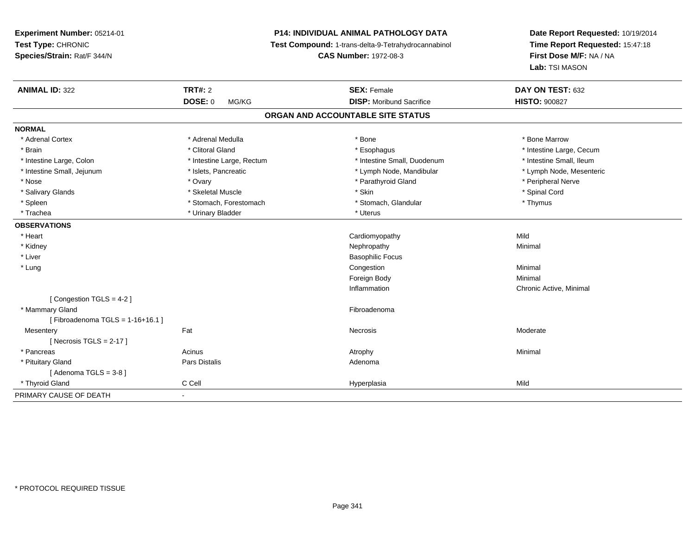**Experiment Number:** 05214-01**Test Type:** CHRONIC **Species/Strain:** Rat/F 344/N**P14: INDIVIDUAL ANIMAL PATHOLOGY DATA Test Compound:** 1-trans-delta-9-Tetrahydrocannabinol **CAS Number:** 1972-08-3**Date Report Requested:** 10/19/2014**Time Report Requested:** 15:47:18**First Dose M/F:** NA / NA**Lab:** TSI MASON**ANIMAL ID:** 322**TRT#:** 2 **SEX:** Female **DAY ON TEST:** 632 **DOSE:** 0 MG/KG **DISP:** Moribund Sacrifice **HISTO:** <sup>900827</sup> **ORGAN AND ACCOUNTABLE SITE STATUSNORMAL**\* Adrenal Cortex \* Adrenal Medulla \* Adrenal Medulla \* Bone \* Bone \* Bone \* Bone \* Bone Marrow \* Brain \* Alternation of the state of the state of the state of the state of the state of the state of the state of the state of the state of the state of the state of the state of the state of the state of the state of th \* Intestine Small, Ileum \* Intestine Large, Colon \* Intestine Large, Rectum \* Intestine Small, Duodenum \* Intestine Small, Duodenum \* Lymph Node, Mesenteric \* Intestine Small, Jejunum \* Mandibular \* Islets, Pancreatic \* Mandibular \* Lymph Node, Mandibular \* Nose \* Ovary \* Parathyroid Gland \* Peripheral Nerve \* \* Peripheral Nerve \* Salivary Glands \* \* Steeden \* \* Skeletal Muscle \* \* Skin \* \* Skin \* \* Steeden \* Spinal Cord \* Spinal Cord \* Spinal Cord \* Spinal Cord \* Spinal Cord \* Spinal Cord \* Spinal Cord \* Spinal Cord \* Spinal Cord \* Spinal Cord \* \* Spleen \* Stomach, Forestomach \* Stomach \* Stomach, Glandular \* Thymus \* Thymus \* Trachea \* Urinary Bladder \* Urinary Bladder \* Urinary Bladder \* Uterus **OBSERVATIONS** \* Heart Cardiomyopathyy Mild Minimal \* Kidneyy the control of the control of the control of the control of the control of the control of the control of the control of the control of the control of the control of the control of the control of the control of the contro \* Liver Basophilic Focus \* Lungg and the congestion of the congestion of the congestion of the congestion of the congestion of the congestion  $\mathsf{Minimal}$ Foreign Bodyy the contract of the Minimal Minimal Section 1996 and the contract of the Minimal Section 1997 and the contract of the contract of the contract of the contract of the contract of the contract of the contract of the contra Inflammation Chronic Active, Minimal [ Congestion TGLS = 4-2 ] \* Mammary Glandd **Executive Contract of the Contract Contract Contract Contract Contract Contract Contract Contract Contract Contract Contract Contract Contract Contract Contract Contract Contract Contract Contract Contract Contract Cont**  $[$  Fibroadenoma TGLS = 1-16+16.1  $]$ **Mesentery** y the control of the set of the control of the Moderate of the Moderate of the Moderate of the Moderate of the Moderate of the Moderate of the Moderate of the Moderate of the Moderate of the Moderate of the Moderate of the  $[$  Necrosis TGLS = 2-17  $]$  \* Pancreass the control of the control of the control of the control of the control of the control of the control of the control of the control of the control of the control of the control of the control of the control of the contro \* Pituitary Glandd and the contract of Pars Distalis and the contract of Adenoma and Adenoma and the Adenoma and the Adenoma and  $\lambda$ [ Adenoma TGLS = 3-8 ]

C Cell Hyperplasia Mild

\* Thyroid Gland

PRIMARY CAUSE OF DEATH

-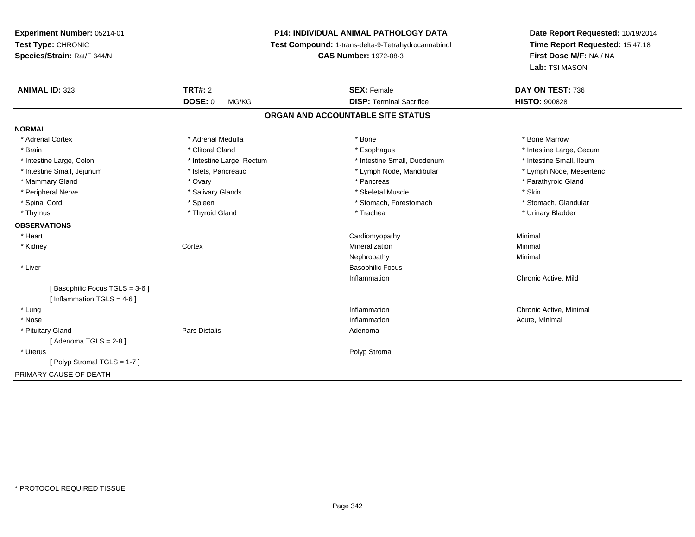**Experiment Number:** 05214-01**Test Type:** CHRONIC **Species/Strain:** Rat/F 344/N**P14: INDIVIDUAL ANIMAL PATHOLOGY DATA Test Compound:** 1-trans-delta-9-Tetrahydrocannabinol **CAS Number:** 1972-08-3**Date Report Requested:** 10/19/2014**Time Report Requested:** 15:47:18**First Dose M/F:** NA / NA**Lab:** TSI MASON**ANIMAL ID:** 323**TRT#:** 2 **SEX:** Female **DAY ON TEST:** 736 **DOSE:** 0 MG/KG **DISP:** Terminal Sacrifice **HISTO:** <sup>900828</sup> **ORGAN AND ACCOUNTABLE SITE STATUSNORMAL**\* Adrenal Cortex \* Adrenal Medulla \* Adrenal Medulla \* Bone \* Bone \* Bone \* Bone \* Bone Marrow \* Brain \* Alternation of the state of the state of the state of the state of the state of the state of the state of the state of the state of the state of the state of the state of the state of the state of the state of th \* Intestine Small. Ileum \* Intestine Large, Colon \* Intestine Large, Rectum \* Intestine Small, Duodenum \* Intestine Small, Duodenum \* Lymph Node, Mesenteric \* Intestine Small, Jejunum \* Mandibular \* Islets, Pancreatic \* Mandibular \* Lymph Node, Mandibular \* Mammary Gland \* \* Andrew \* Ovary \* Andrew \* Ovary \* Pancreas \* Pancreas \* \* Pancreas \* \* Pancreas \* \* Pancreas \* \* Pancreas \* \* Pancreas \* \* Pancreas \* \* Pancreas \* \* Pancreas \* \* Pancreas \* \* Pancreas \* \* Pancreas \* \* P \* Peripheral Nerve \* Salivary Glands \* Skeletal Muscle \* Skin\* Stomach. Glandular \* Spinal Cord \* Spinal Cord \* Spinal Cord \* Stomach, Forestomach \* Stomach, Forestomach \* Stomach, Forestomach \* Thymus \* Thyroid Gland \* Trachea \* Urinary Bladder \* **OBSERVATIONS** \* Heart Cardiomyopathy Minimal \* Kidneyy which is a context of the Cortext of the Cortext of the Cortext of the Mineralization n Minimal Nephropathyy the contract of the Minimal Minimal Section 1996 and the contract of the Minimal Section 1997 and the contract of the contract of the contract of the contract of the contract of the contract of the contract of the contra \* Liver Basophilic FocusInflammation Chronic Active, Mild [ Basophilic Focus TGLS = 3-6 ] $[$  Inflammation TGLS = 4-6  $]$  \* Lungg is a controller to the controller of the controller of the chronic Active, Minimal of the chronic Active, Minimal of the chronic Active, Minimal of the chronic Active, Minimal of the chronic Active, Minimal of the chroni \* Nosee the contraction of the contraction of the contraction of the contraction of the contraction of the contraction  $\mathsf{Acute}$ , Minimal \* Pituitary Glandd and the contract of Pars Distalis and the contract of Adenoma and Adenoma and the Adenoma and the Adenoma and  $\lambda$  $[$  Adenoma TGLS = 2-8  $]$  \* Uteruss and the contract of the contract of the contract of the contract of the contract of the contract of the contract of the contract of the contract of the contract of the contract of the contract of the contract of the cont [ Polyp Stromal TGLS = 1-7 ]PRIMARY CAUSE OF DEATH-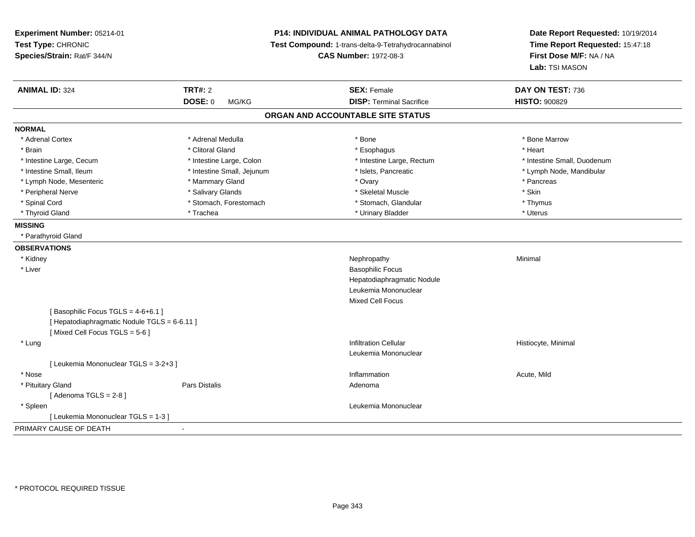| Experiment Number: 05214-01<br>Test Type: CHRONIC<br>Species/Strain: Rat/F 344/N | <b>P14: INDIVIDUAL ANIMAL PATHOLOGY DATA</b><br>Test Compound: 1-trans-delta-9-Tetrahydrocannabinol<br><b>CAS Number: 1972-08-3</b> |                                   | Date Report Requested: 10/19/2014<br>Time Report Requested: 15:47:18<br>First Dose M/F: NA / NA<br>Lab: TSI MASON |  |
|----------------------------------------------------------------------------------|-------------------------------------------------------------------------------------------------------------------------------------|-----------------------------------|-------------------------------------------------------------------------------------------------------------------|--|
| <b>ANIMAL ID: 324</b>                                                            | <b>TRT#: 2</b>                                                                                                                      | <b>SEX: Female</b>                | DAY ON TEST: 736                                                                                                  |  |
|                                                                                  | <b>DOSE: 0</b><br>MG/KG                                                                                                             | <b>DISP: Terminal Sacrifice</b>   | <b>HISTO: 900829</b>                                                                                              |  |
|                                                                                  |                                                                                                                                     | ORGAN AND ACCOUNTABLE SITE STATUS |                                                                                                                   |  |
| <b>NORMAL</b>                                                                    |                                                                                                                                     |                                   |                                                                                                                   |  |
| * Adrenal Cortex                                                                 | * Adrenal Medulla                                                                                                                   | * Bone                            | * Bone Marrow                                                                                                     |  |
| * Brain                                                                          | * Clitoral Gland                                                                                                                    | * Esophagus                       | * Heart                                                                                                           |  |
| * Intestine Large, Cecum                                                         | * Intestine Large, Colon                                                                                                            | * Intestine Large, Rectum         | * Intestine Small, Duodenum                                                                                       |  |
| * Intestine Small, Ileum                                                         | * Intestine Small, Jejunum                                                                                                          | * Islets, Pancreatic              | * Lymph Node, Mandibular                                                                                          |  |
| * Lymph Node, Mesenteric                                                         | * Mammary Gland                                                                                                                     | * Ovary                           | * Pancreas                                                                                                        |  |
| * Peripheral Nerve                                                               | * Salivary Glands                                                                                                                   | * Skeletal Muscle                 | * Skin                                                                                                            |  |
| * Spinal Cord                                                                    | * Stomach, Forestomach                                                                                                              | * Stomach, Glandular              | * Thymus                                                                                                          |  |
| * Thyroid Gland                                                                  | * Trachea                                                                                                                           | * Urinary Bladder                 | * Uterus                                                                                                          |  |
| <b>MISSING</b>                                                                   |                                                                                                                                     |                                   |                                                                                                                   |  |
| * Parathyroid Gland                                                              |                                                                                                                                     |                                   |                                                                                                                   |  |
| <b>OBSERVATIONS</b>                                                              |                                                                                                                                     |                                   |                                                                                                                   |  |
| * Kidney                                                                         |                                                                                                                                     | Nephropathy                       | Minimal                                                                                                           |  |
| * Liver                                                                          |                                                                                                                                     | <b>Basophilic Focus</b>           |                                                                                                                   |  |
|                                                                                  |                                                                                                                                     | Hepatodiaphragmatic Nodule        |                                                                                                                   |  |
|                                                                                  |                                                                                                                                     | Leukemia Mononuclear              |                                                                                                                   |  |
|                                                                                  |                                                                                                                                     | <b>Mixed Cell Focus</b>           |                                                                                                                   |  |
| [Basophilic Focus TGLS = 4-6+6.1]                                                |                                                                                                                                     |                                   |                                                                                                                   |  |
| [ Hepatodiaphragmatic Nodule TGLS = 6-6.11 ]                                     |                                                                                                                                     |                                   |                                                                                                                   |  |
| [Mixed Cell Focus TGLS = 5-6]                                                    |                                                                                                                                     |                                   |                                                                                                                   |  |
| * Lung                                                                           |                                                                                                                                     | <b>Infiltration Cellular</b>      | Histiocyte, Minimal                                                                                               |  |
|                                                                                  |                                                                                                                                     | Leukemia Mononuclear              |                                                                                                                   |  |
| [ Leukemia Mononuclear TGLS = 3-2+3 ]                                            |                                                                                                                                     |                                   |                                                                                                                   |  |
| * Nose                                                                           |                                                                                                                                     | Inflammation                      | Acute, Mild                                                                                                       |  |
| * Pituitary Gland                                                                | <b>Pars Distalis</b>                                                                                                                | Adenoma                           |                                                                                                                   |  |
| [Adenoma TGLS = $2-8$ ]                                                          |                                                                                                                                     |                                   |                                                                                                                   |  |
| * Spleen                                                                         |                                                                                                                                     | Leukemia Mononuclear              |                                                                                                                   |  |
| [ Leukemia Mononuclear TGLS = 1-3 ]                                              |                                                                                                                                     |                                   |                                                                                                                   |  |
| PRIMARY CAUSE OF DEATH                                                           | $\blacksquare$                                                                                                                      |                                   |                                                                                                                   |  |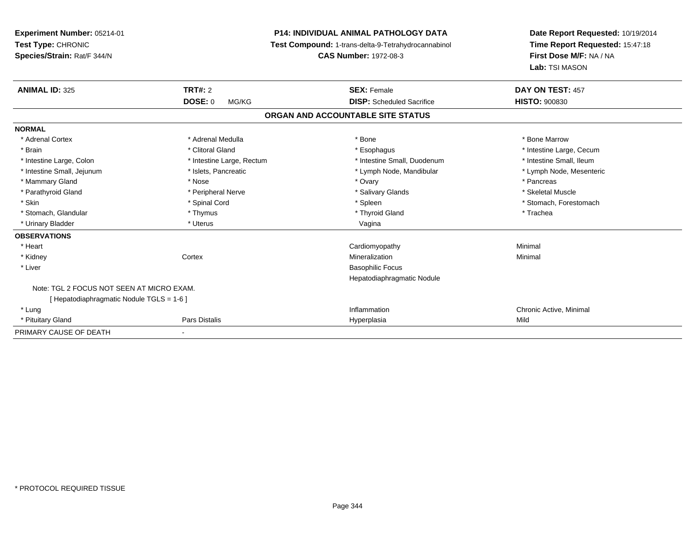**Experiment Number:** 05214-01**Test Type:** CHRONIC **Species/Strain:** Rat/F 344/N**P14: INDIVIDUAL ANIMAL PATHOLOGY DATA Test Compound:** 1-trans-delta-9-Tetrahydrocannabinol **CAS Number:** 1972-08-3**Date Report Requested:** 10/19/2014**Time Report Requested:** 15:47:18**First Dose M/F:** NA / NA**Lab:** TSI MASON**ANIMAL ID:** 325**TRT#:** 2 **SEX:** Female **DAY ON TEST:** 457 **DOSE:** 0 MG/KG **DISP:** Scheduled Sacrifice **HISTO:** <sup>900830</sup> **ORGAN AND ACCOUNTABLE SITE STATUSNORMAL**\* Adrenal Cortex \* Adrenal Medulla \* Adrenal Medulla \* Bone \* Bone \* Bone \* Bone \* Bone Marrow \* Brain \* Alternation of the state of the state of the state of the state of the state of the state of the state of the state of the state of the state of the state of the state of the state of the state of the state of th \* Intestine Small, Ileum \* Intestine Large, Colon \* Intestine Large, Rectum \* Intestine Small, Duodenum \* Intestine Small, Duodenum \* Lymph Node, Mesenteric \* Intestine Small, Jejunum \* Mandibular \* Islets, Pancreatic \* Mandibular \* Lymph Node, Mandibular \* Mammary Gland \* \* Andrew \* Nose \* \* Nose \* \* Ovary \* Ovary \* Ovary \* \* Ovary \* \* Pancreas \* \* Pancreas \* \* Pancreas \* \* Pancreas \* \* Pancreas \* \* Pancreas \* \* Pancreas \* \* Pancreas \* \* Pancreas \* \* Pancreas \* \* Pancreas \* Skeletal Muscle \* Parathyroid Gland \* \* \* And \* \* Peripheral Nerve \* \* \* Salivary Glands \* \* Salivary Glands \* \* Skeletal Muscle \* \* Skeletal Muscle \* \* Skeletal Muscle \* \* Skeletal Muscle \* \* Skeletal Muscle \* \* Skeletal Muscle \* \* Skele \* Skin \* Spinal Cord \* Spinal Cord \* Spinal Cord \* Spinal \* Spinal \* Stomach, Forestomach \* Stomach, Forestomach \* Stomach, Glandular \* Thymus \* Thymus \* Thymus \* Thyroid Gland \* Thyroid Gland \* Thachea \* Urinary Bladder \* North and the second term in the second variable values of the variable values of variable values  $\sim$  Vagina **OBSERVATIONS** \* Heart Cardiomyopathy Minimal \* Kidneyy which is a context of the Cortext of the Cortext of the Cortext of the Mineralization n Minimal \* Liver Basophilic Focus Hepatodiaphragmatic NoduleNote: TGL 2 FOCUS NOT SEEN AT MICRO EXAM.[ Hepatodiaphragmatic Nodule TGLS = 1-6 ] \* Lungg is a controller to the controller of the controller of the chronic Active, Minimal of the chronic Active, Minimal of the chronic Active, Minimal of the chronic Active, Minimal of the chronic Active, Minimal of the chroni \* Pituitary Gland Pars Distalis Hyperplasia Mild PRIMARY CAUSE OF DEATH-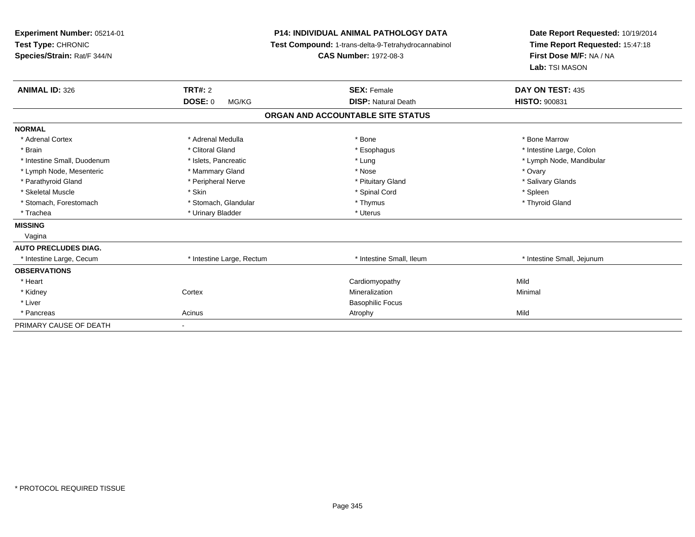| Experiment Number: 05214-01<br>Test Type: CHRONIC<br>Species/Strain: Rat/F 344/N |                           | <b>P14: INDIVIDUAL ANIMAL PATHOLOGY DATA</b><br><b>Test Compound: 1-trans-delta-9-Tetrahydrocannabinol</b><br><b>CAS Number: 1972-08-3</b> | Date Report Requested: 10/19/2014<br>Time Report Requested: 15:47:18<br>First Dose M/F: NA / NA<br>Lab: TSI MASON |
|----------------------------------------------------------------------------------|---------------------------|--------------------------------------------------------------------------------------------------------------------------------------------|-------------------------------------------------------------------------------------------------------------------|
| <b>ANIMAL ID: 326</b>                                                            | <b>TRT#: 2</b>            | <b>SEX: Female</b>                                                                                                                         | DAY ON TEST: 435                                                                                                  |
|                                                                                  | DOSE: 0<br>MG/KG          | <b>DISP: Natural Death</b>                                                                                                                 | <b>HISTO: 900831</b>                                                                                              |
|                                                                                  |                           | ORGAN AND ACCOUNTABLE SITE STATUS                                                                                                          |                                                                                                                   |
| <b>NORMAL</b>                                                                    |                           |                                                                                                                                            |                                                                                                                   |
| * Adrenal Cortex                                                                 | * Adrenal Medulla         | * Bone                                                                                                                                     | * Bone Marrow                                                                                                     |
| * Brain                                                                          | * Clitoral Gland          | * Esophagus                                                                                                                                | * Intestine Large, Colon                                                                                          |
| * Intestine Small, Duodenum                                                      | * Islets, Pancreatic      | * Lung                                                                                                                                     | * Lymph Node, Mandibular                                                                                          |
| * Lymph Node, Mesenteric                                                         | * Mammary Gland           | * Nose                                                                                                                                     | * Ovary                                                                                                           |
| * Parathyroid Gland                                                              | * Peripheral Nerve        | * Pituitary Gland                                                                                                                          | * Salivary Glands                                                                                                 |
| * Skeletal Muscle                                                                | * Skin                    | * Spinal Cord                                                                                                                              | * Spleen                                                                                                          |
| * Stomach, Forestomach                                                           | * Stomach, Glandular      | * Thymus                                                                                                                                   | * Thyroid Gland                                                                                                   |
| * Trachea                                                                        | * Urinary Bladder         | * Uterus                                                                                                                                   |                                                                                                                   |
| <b>MISSING</b>                                                                   |                           |                                                                                                                                            |                                                                                                                   |
| Vagina                                                                           |                           |                                                                                                                                            |                                                                                                                   |
| <b>AUTO PRECLUDES DIAG.</b>                                                      |                           |                                                                                                                                            |                                                                                                                   |
| * Intestine Large, Cecum                                                         | * Intestine Large, Rectum | * Intestine Small, Ileum                                                                                                                   | * Intestine Small, Jejunum                                                                                        |
| <b>OBSERVATIONS</b>                                                              |                           |                                                                                                                                            |                                                                                                                   |
| * Heart                                                                          |                           | Cardiomyopathy                                                                                                                             | Mild                                                                                                              |
| * Kidney                                                                         | Cortex                    | Mineralization                                                                                                                             | Minimal                                                                                                           |
| * Liver                                                                          |                           | <b>Basophilic Focus</b>                                                                                                                    |                                                                                                                   |
| * Pancreas                                                                       | Acinus                    | Atrophy                                                                                                                                    | Mild                                                                                                              |
| PRIMARY CAUSE OF DEATH                                                           |                           |                                                                                                                                            |                                                                                                                   |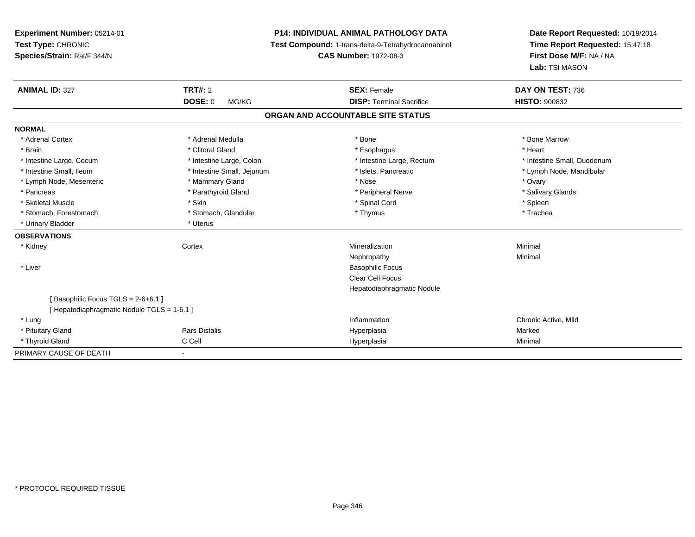| Experiment Number: 05214-01                 |                            | <b>P14: INDIVIDUAL ANIMAL PATHOLOGY DATA</b>        | Date Report Requested: 10/19/2014 |
|---------------------------------------------|----------------------------|-----------------------------------------------------|-----------------------------------|
| Test Type: CHRONIC                          |                            | Test Compound: 1-trans-delta-9-Tetrahydrocannabinol | Time Report Requested: 15:47:18   |
| Species/Strain: Rat/F 344/N                 |                            | <b>CAS Number: 1972-08-3</b>                        | First Dose M/F: NA / NA           |
|                                             |                            |                                                     | Lab: TSI MASON                    |
| <b>ANIMAL ID: 327</b>                       | TRT#: 2                    | <b>SEX: Female</b>                                  | DAY ON TEST: 736                  |
|                                             | <b>DOSE: 0</b><br>MG/KG    | <b>DISP: Terminal Sacrifice</b>                     | <b>HISTO: 900832</b>              |
|                                             |                            | ORGAN AND ACCOUNTABLE SITE STATUS                   |                                   |
| <b>NORMAL</b>                               |                            |                                                     |                                   |
| * Adrenal Cortex                            | * Adrenal Medulla          | * Bone                                              | * Bone Marrow                     |
| * Brain                                     | * Clitoral Gland           | * Esophagus                                         | * Heart                           |
| * Intestine Large, Cecum                    | * Intestine Large, Colon   | * Intestine Large, Rectum                           | * Intestine Small, Duodenum       |
| * Intestine Small, Ileum                    | * Intestine Small, Jejunum | * Islets, Pancreatic                                | * Lymph Node, Mandibular          |
| * Lymph Node, Mesenteric                    | * Mammary Gland            | * Nose                                              | * Ovary                           |
| * Pancreas                                  | * Parathyroid Gland        | * Peripheral Nerve                                  | * Salivary Glands                 |
| * Skeletal Muscle                           | * Skin                     | * Spinal Cord                                       | * Spleen                          |
| * Stomach, Forestomach                      | * Stomach, Glandular       | * Thymus                                            | * Trachea                         |
| * Urinary Bladder                           | * Uterus                   |                                                     |                                   |
| <b>OBSERVATIONS</b>                         |                            |                                                     |                                   |
| * Kidney                                    | Cortex                     | Mineralization                                      | Minimal                           |
|                                             |                            | Nephropathy                                         | Minimal                           |
| * Liver                                     |                            | <b>Basophilic Focus</b>                             |                                   |
|                                             |                            | <b>Clear Cell Focus</b>                             |                                   |
|                                             |                            | Hepatodiaphragmatic Nodule                          |                                   |
| [Basophilic Focus TGLS = 2-6+6.1]           |                            |                                                     |                                   |
| [ Hepatodiaphragmatic Nodule TGLS = 1-6.1 ] |                            |                                                     |                                   |
| * Lung                                      |                            | Inflammation                                        | Chronic Active, Mild              |
| * Pituitary Gland                           | Pars Distalis              | Hyperplasia                                         | Marked                            |
| * Thyroid Gland                             | C Cell                     | Hyperplasia                                         | Minimal                           |
| PRIMARY CAUSE OF DEATH                      | $\overline{\phantom{a}}$   |                                                     |                                   |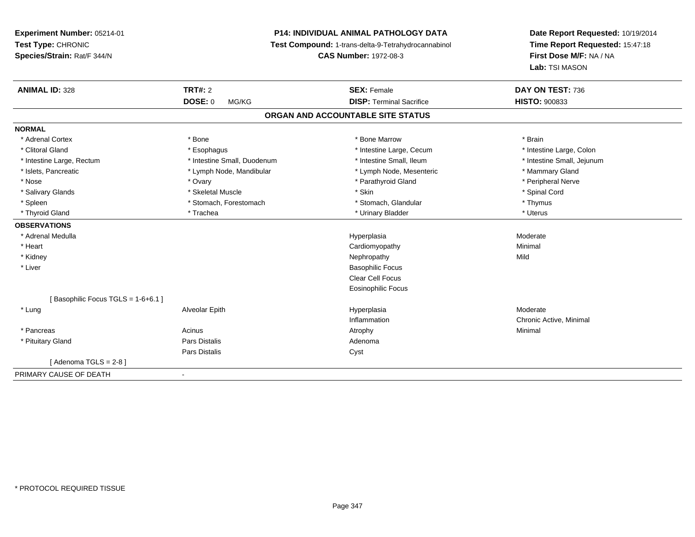# **P14: INDIVIDUAL ANIMAL PATHOLOGY DATA**

**Test Compound:** 1-trans-delta-9-Tetrahydrocannabinol

**CAS Number:** 1972-08-3

**Date Report Requested:** 10/19/2014**Time Report Requested:** 15:47:18**First Dose M/F:** NA / NA**Lab:** TSI MASON

| <b>ANIMAL ID: 328</b>             | <b>TRT#: 2</b>              | <b>SEX: Female</b>                | DAY ON TEST: 736           |
|-----------------------------------|-----------------------------|-----------------------------------|----------------------------|
|                                   | <b>DOSE: 0</b><br>MG/KG     | <b>DISP: Terminal Sacrifice</b>   | <b>HISTO: 900833</b>       |
|                                   |                             | ORGAN AND ACCOUNTABLE SITE STATUS |                            |
| <b>NORMAL</b>                     |                             |                                   |                            |
| * Adrenal Cortex                  | * Bone                      | * Bone Marrow                     | * Brain                    |
| * Clitoral Gland                  | * Esophagus                 | * Intestine Large, Cecum          | * Intestine Large, Colon   |
| * Intestine Large, Rectum         | * Intestine Small, Duodenum | * Intestine Small, Ileum          | * Intestine Small, Jejunum |
| * Islets, Pancreatic              | * Lymph Node, Mandibular    | * Lymph Node, Mesenteric          | * Mammary Gland            |
| * Nose                            | * Ovary                     | * Parathyroid Gland               | * Peripheral Nerve         |
| * Salivary Glands                 | * Skeletal Muscle           | * Skin                            | * Spinal Cord              |
| * Spleen                          | * Stomach, Forestomach      | * Stomach, Glandular              | * Thymus                   |
| * Thyroid Gland                   | * Trachea                   | * Urinary Bladder                 | * Uterus                   |
| <b>OBSERVATIONS</b>               |                             |                                   |                            |
| * Adrenal Medulla                 |                             | Hyperplasia                       | Moderate                   |
| * Heart                           |                             | Cardiomyopathy                    | Minimal                    |
| * Kidney                          |                             | Nephropathy                       | Mild                       |
| * Liver                           |                             | <b>Basophilic Focus</b>           |                            |
|                                   |                             | <b>Clear Cell Focus</b>           |                            |
|                                   |                             | Eosinophilic Focus                |                            |
| [Basophilic Focus TGLS = 1-6+6.1] |                             |                                   |                            |
| * Lung                            | Alveolar Epith              | Hyperplasia                       | Moderate                   |
|                                   |                             | Inflammation                      | Chronic Active, Minimal    |
| * Pancreas                        | Acinus                      | Atrophy                           | Minimal                    |
| * Pituitary Gland                 | Pars Distalis               | Adenoma                           |                            |
|                                   | Pars Distalis               | Cyst                              |                            |
| [Adenoma TGLS = $2-8$ ]           |                             |                                   |                            |
| PRIMARY CAUSE OF DEATH            | $\blacksquare$              |                                   |                            |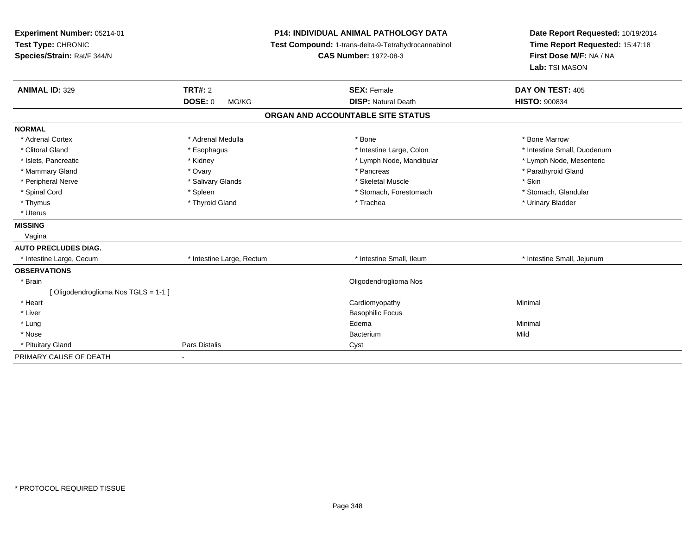| Experiment Number: 05214-01<br>Test Type: CHRONIC<br>Species/Strain: Rat/F 344/N<br>TRT#: 2<br><b>ANIMAL ID: 329</b> |                           | <b>P14: INDIVIDUAL ANIMAL PATHOLOGY DATA</b><br>Test Compound: 1-trans-delta-9-Tetrahydrocannabinol<br><b>CAS Number: 1972-08-3</b><br><b>SEX: Female</b> | Date Report Requested: 10/19/2014<br>Time Report Requested: 15:47:18<br>First Dose M/F: NA / NA<br>Lab: TSI MASON<br>DAY ON TEST: 405 |
|----------------------------------------------------------------------------------------------------------------------|---------------------------|-----------------------------------------------------------------------------------------------------------------------------------------------------------|---------------------------------------------------------------------------------------------------------------------------------------|
|                                                                                                                      | <b>DOSE: 0</b><br>MG/KG   | <b>DISP: Natural Death</b>                                                                                                                                | <b>HISTO: 900834</b>                                                                                                                  |
|                                                                                                                      |                           | ORGAN AND ACCOUNTABLE SITE STATUS                                                                                                                         |                                                                                                                                       |
| <b>NORMAL</b>                                                                                                        |                           |                                                                                                                                                           |                                                                                                                                       |
| * Adrenal Cortex                                                                                                     | * Adrenal Medulla         | * Bone                                                                                                                                                    | * Bone Marrow                                                                                                                         |
| * Clitoral Gland                                                                                                     | * Esophagus               | * Intestine Large, Colon                                                                                                                                  | * Intestine Small, Duodenum                                                                                                           |
| * Islets, Pancreatic                                                                                                 | * Kidney                  | * Lymph Node, Mandibular                                                                                                                                  | * Lymph Node, Mesenteric                                                                                                              |
| * Mammary Gland                                                                                                      | * Ovary                   | * Pancreas                                                                                                                                                | * Parathyroid Gland                                                                                                                   |
| * Peripheral Nerve                                                                                                   | * Salivary Glands         | * Skeletal Muscle                                                                                                                                         | * Skin                                                                                                                                |
| * Spinal Cord                                                                                                        | * Spleen                  | * Stomach, Forestomach                                                                                                                                    | * Stomach, Glandular                                                                                                                  |
| * Thymus                                                                                                             | * Thyroid Gland           | * Trachea                                                                                                                                                 | * Urinary Bladder                                                                                                                     |
| * Uterus                                                                                                             |                           |                                                                                                                                                           |                                                                                                                                       |
| <b>MISSING</b>                                                                                                       |                           |                                                                                                                                                           |                                                                                                                                       |
| Vagina                                                                                                               |                           |                                                                                                                                                           |                                                                                                                                       |
| <b>AUTO PRECLUDES DIAG.</b>                                                                                          |                           |                                                                                                                                                           |                                                                                                                                       |
| * Intestine Large, Cecum                                                                                             | * Intestine Large, Rectum | * Intestine Small. Ileum                                                                                                                                  | * Intestine Small, Jejunum                                                                                                            |
| <b>OBSERVATIONS</b>                                                                                                  |                           |                                                                                                                                                           |                                                                                                                                       |
| * Brain                                                                                                              |                           | Oligodendroglioma Nos                                                                                                                                     |                                                                                                                                       |
| [Oligodendroglioma Nos TGLS = 1-1]                                                                                   |                           |                                                                                                                                                           |                                                                                                                                       |
| * Heart                                                                                                              |                           | Cardiomyopathy                                                                                                                                            | Minimal                                                                                                                               |
| * Liver                                                                                                              |                           | <b>Basophilic Focus</b>                                                                                                                                   |                                                                                                                                       |
| * Lung                                                                                                               |                           | Edema                                                                                                                                                     | Minimal                                                                                                                               |
| * Nose                                                                                                               |                           | Bacterium                                                                                                                                                 | Mild                                                                                                                                  |
| * Pituitary Gland                                                                                                    | <b>Pars Distalis</b>      | Cyst                                                                                                                                                      |                                                                                                                                       |
| PRIMARY CAUSE OF DEATH                                                                                               | $\blacksquare$            |                                                                                                                                                           |                                                                                                                                       |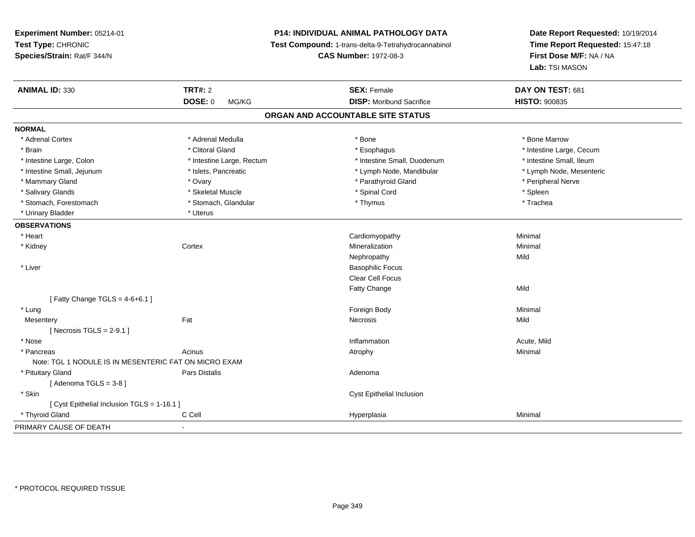# **P14: INDIVIDUAL ANIMAL PATHOLOGY DATA**

**Test Compound:** 1-trans-delta-9-Tetrahydrocannabinol

**CAS Number:** 1972-08-3

**Date Report Requested:** 10/19/2014**Time Report Requested:** 15:47:18**First Dose M/F:** NA / NA**Lab:** TSI MASON

| <b>ANIMAL ID: 330</b>                                 | <b>TRT#: 2</b>            | <b>SEX: Female</b>                | DAY ON TEST: 681         |  |
|-------------------------------------------------------|---------------------------|-----------------------------------|--------------------------|--|
|                                                       | <b>DOSE: 0</b><br>MG/KG   | <b>DISP:</b> Moribund Sacrifice   | <b>HISTO: 900835</b>     |  |
|                                                       |                           | ORGAN AND ACCOUNTABLE SITE STATUS |                          |  |
| <b>NORMAL</b>                                         |                           |                                   |                          |  |
| * Adrenal Cortex                                      | * Adrenal Medulla         | * Bone                            | * Bone Marrow            |  |
| * Brain                                               | * Clitoral Gland          | * Esophagus                       | * Intestine Large, Cecum |  |
| * Intestine Large, Colon                              | * Intestine Large, Rectum | * Intestine Small, Duodenum       | * Intestine Small, Ileum |  |
| * Intestine Small, Jejunum                            | * Islets, Pancreatic      | * Lymph Node, Mandibular          | * Lymph Node, Mesenteric |  |
| * Mammary Gland                                       | * Ovary                   | * Parathyroid Gland               | * Peripheral Nerve       |  |
| * Salivary Glands                                     | * Skeletal Muscle         | * Spinal Cord                     | * Spleen                 |  |
| * Stomach, Forestomach                                | * Stomach, Glandular      | * Thymus                          | * Trachea                |  |
| * Urinary Bladder                                     | * Uterus                  |                                   |                          |  |
| <b>OBSERVATIONS</b>                                   |                           |                                   |                          |  |
| * Heart                                               |                           | Cardiomyopathy                    | Minimal                  |  |
| * Kidney                                              | Cortex                    | Mineralization                    | Minimal                  |  |
|                                                       |                           | Nephropathy                       | Mild                     |  |
| * Liver                                               |                           | <b>Basophilic Focus</b>           |                          |  |
|                                                       |                           | <b>Clear Cell Focus</b>           |                          |  |
|                                                       |                           | Fatty Change                      | Mild                     |  |
| [Fatty Change TGLS = $4-6+6.1$ ]                      |                           |                                   |                          |  |
| * Lung                                                |                           | Foreign Body                      | Minimal                  |  |
| Mesentery                                             | Fat                       | Necrosis                          | Mild                     |  |
| [Necrosis TGLS = $2-9.1$ ]                            |                           |                                   |                          |  |
| * Nose                                                |                           | Inflammation                      | Acute, Mild              |  |
| * Pancreas                                            | Acinus                    | Atrophy                           | Minimal                  |  |
| Note: TGL 1 NODULE IS IN MESENTERIC FAT ON MICRO EXAM |                           |                                   |                          |  |
| * Pituitary Gland                                     | Pars Distalis             | Adenoma                           |                          |  |
| [Adenoma TGLS = $3-8$ ]                               |                           |                                   |                          |  |
| * Skin                                                |                           | <b>Cyst Epithelial Inclusion</b>  |                          |  |
| [ Cyst Epithelial Inclusion TGLS = 1-16.1 ]           |                           |                                   |                          |  |
| * Thyroid Gland                                       | C Cell                    | Hyperplasia                       | Minimal                  |  |
| PRIMARY CAUSE OF DEATH                                | $\blacksquare$            |                                   |                          |  |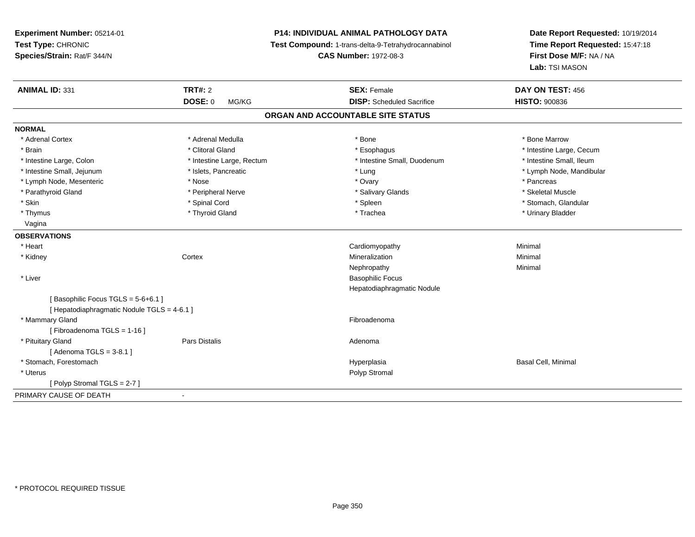**Experiment Number:** 05214-01**Test Type:** CHRONIC **Species/Strain:** Rat/F 344/N**P14: INDIVIDUAL ANIMAL PATHOLOGY DATA Test Compound:** 1-trans-delta-9-Tetrahydrocannabinol **CAS Number:** 1972-08-3**Date Report Requested:** 10/19/2014**Time Report Requested:** 15:47:18**First Dose M/F:** NA / NA**Lab:** TSI MASON**ANIMAL ID:** 331**TRT#:** 2 **SEX:** Female **DAY ON TEST:** 456 **DOSE:** 0 MG/KG **DISP:** Scheduled Sacrifice **HISTO:** <sup>900836</sup> **ORGAN AND ACCOUNTABLE SITE STATUSNORMAL**\* Adrenal Cortex \* Adrenal Medulla \* Adrenal Medulla \* Bone \* Bone \* Bone \* Bone \* Bone Marrow \* Brain \* Alternation of the state of the state of the state of the state of the state of the state of the state of the state of the state of the state of the state of the state of the state of the state of the state of th \* Intestine Small. Ileum \* Intestine Large, Colon \* Intestine Large, Rectum \* Intestine Small, Duodenum \* Intestine Small, Duodenum \* Intestine Small, Jejunum \* \* \* https://www.fat.com/setter/educition/setter/filesophysics.com/setter/filesophysics.com/setter/filesophysics.com/setter/filesophysics.com/setter/filesophysics.com/setter/filesophysics.com/se \* Lymph Node, Mesenteric \* The state of the state of the Nose \* Ovary \* Ovary \* Pancreas \* Pancreas \* Pancreas \* Skeletal Muscle \* Parathyroid Gland \* **All and \* Skeletal Muscle All and \* Peripheral Nerve** \* Salivary Glands \* Salivary Glands \* Stomach, Glandular \* Skin \* Stomach, Glandular \* Spinal Cord \* \* Stomach, Stomach, Glandular \* Spinal Cord \* \* Stomach, Glandular \* Thymus \* Thyroid Gland \* Trachea \* Urinary Bladder \* Vagina**OBSERVATIONS** \* Heart Cardiomyopathy Minimal \* Kidneyy which is a context of the Cortext of the Cortext of the Cortext of the Mineralization n Minimal Nephropathyy the contract of the Minimal Minimal Section 1996 and the contract of the Minimal Section 1997 and the contract of the contract of the contract of the contract of the contract of the contract of the contract of the contra \* Liver Basophilic Focus Hepatodiaphragmatic Nodule[ Basophilic Focus TGLS = 5-6+6.1 ][ Hepatodiaphragmatic Nodule TGLS = 4-6.1 ] \* Mammary Glandd **Executive Contract of the Contract Contract Contract Contract Contract Contract Contract Contract Contract Contract Contract Contract Contract Contract Contract Contract Contract Contract Contract Contract Contract Cont** [ Fibroadenoma TGLS = 1-16 ] \* Pituitary Glandd and the contract of Pars Distalis and the contract of Adenoma and Adenoma and the Adenoma and the Adenoma and  $\lambda$ [ Adenoma TGLS = 3-8.1 ] \* Stomach, Forestomachh ann an t-ìre ann an t-ìre ann an t-ìre ann an t-ìre ann an t-ìre ann an t-ìre ann an t-ìre ann an t-ìre ann a<br>Basal Cell, Minimal ann an t-ìre an t-ìre an t-ìre ann an t-ìre ann an t-ìre an t-ìre ann an t-ìre ann an t-ìr \* Uteruss and the contract of the contract of the contract of the contract of the contract of the contract of the contract of the contract of the contract of the contract of the contract of the contract of the contract of the cont [ Polyp Stromal TGLS = 2-7 ]PRIMARY CAUSE OF DEATH-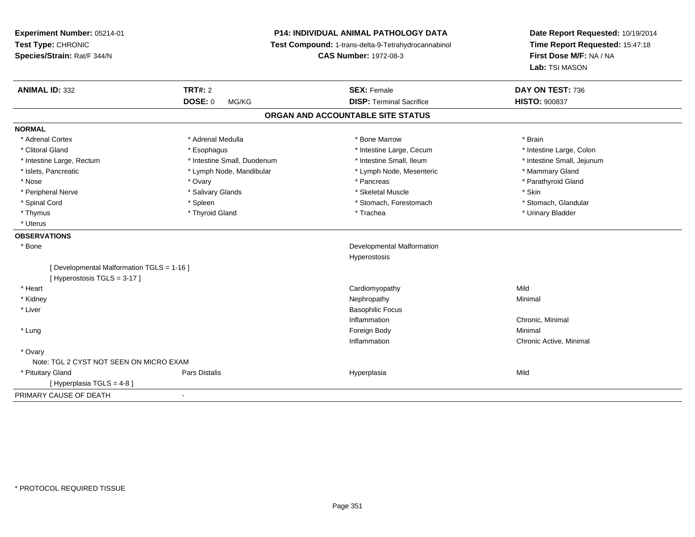**Experiment Number:** 05214-01**Test Type:** CHRONIC **Species/Strain:** Rat/F 344/N**P14: INDIVIDUAL ANIMAL PATHOLOGY DATA Test Compound:** 1-trans-delta-9-Tetrahydrocannabinol **CAS Number:** 1972-08-3**Date Report Requested:** 10/19/2014**Time Report Requested:** 15:47:18**First Dose M/F:** NA / NA**Lab:** TSI MASON**ANIMAL ID:** 332 **TRT#:** <sup>2</sup> **SEX:** Female **DAY ON TEST:** <sup>736</sup> **DOSE:** 0 MG/KG **DISP:** Terminal Sacrifice **HISTO:** <sup>900837</sup> **ORGAN AND ACCOUNTABLE SITE STATUSNORMAL**\* Adrenal Cortex \* Adrenal Medulla \* \* \* \* \* \* \* \* \* Bone Marrow \* \* \* \* \* \* \* \* Brain \* Intestine Large, Colon \* Clitoral Gland \* **Exophagus \* Exophagus \*** The strain that the large, Cecum \* intestine Large, Cecum \* Intestine Large, Rectum \* Thestine Small, Duodenum \* Number of the small, Ileum \* Intestine Small, Jejunum \* Intestine Small, Jejunum \* Islets, Pancreatic \* The manner of the Lymph Node, Mandibular \* Lymph Node, Mesenteric \* Mammary Gland \* Parathyroid Gland \* Nose \* Ovary \* Pancreas \* Parathyroid Gland \* Peripheral Nerve \* Salivary Glands \* Skeletal Muscle \* Skin\* Stomach. Glandular \* Spinal Cord \* Spinal Cord \* Spinal Cord \* Stomach, Forestomach \* Stomach, Forestomach \* Stomach, Forestomach \* Thymus \* Thyroid Gland \* Trachea \* Urinary Bladder \* \* Uterus**OBSERVATIONS** \* Bone Developmental Malformation Hyperostosis[ Developmental Malformation TGLS = 1-16 ][ Hyperostosis TGLS = 3-17 ] \* Heart Cardiomyopathyy Mild Minimal \* Kidneyy the control of the control of the control of the control of the control of the control of the control of the control of the control of the control of the control of the control of the control of the control of the contro \* Liver Basophilic FocusInflammation Chronic, Minimal \* Lungg and the state of the state of the state of the state of the state of the state of the state of the state of the state of the state of the state of the state of the state of the state of the state of the state of the stat Inflammation Chronic Active, Minimal \* Ovary Note: TGL 2 CYST NOT SEEN ON MICRO EXAMPars Distalis \* Pituitary Gland Pars Distalis Hyperplasia Mild [ Hyperplasia TGLS = 4-8 ]PRIMARY CAUSE OF DEATH-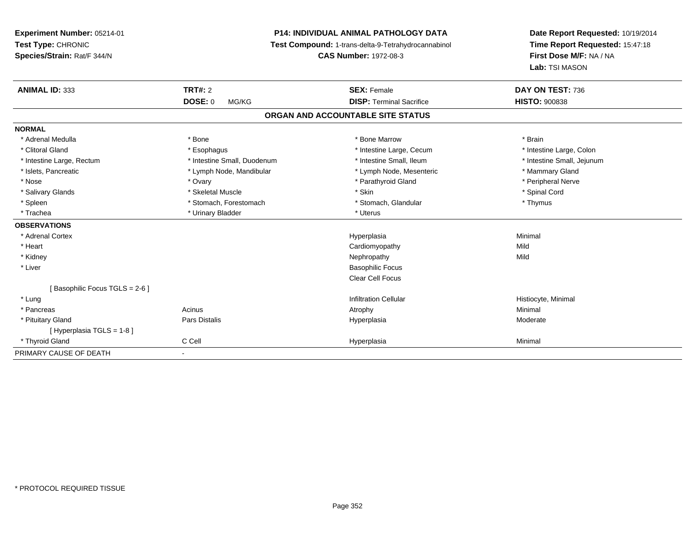**Experiment Number:** 05214-01**Test Type:** CHRONIC **Species/Strain:** Rat/F 344/N**P14: INDIVIDUAL ANIMAL PATHOLOGY DATA Test Compound:** 1-trans-delta-9-Tetrahydrocannabinol **CAS Number:** 1972-08-3**Date Report Requested:** 10/19/2014**Time Report Requested:** 15:47:18**First Dose M/F:** NA / NA**Lab:** TSI MASON**ANIMAL ID:** 333**TRT#:** 2 **SEX:** Female **DAY ON TEST:** 736 **DOSE:** 0 MG/KG **DISP:** Terminal Sacrifice **HISTO:** <sup>900838</sup> **ORGAN AND ACCOUNTABLE SITE STATUSNORMAL**\* Adrenal Medulla \* \* Annual Medulla \* Brain \* Bone \* \* Bone Marrow \* Bone Marrow \* \* Brain \* Brain \* Brain \* Brain \* Brain \* Brain \* Brain \* Brain \* Brain \* Brain \* Brain \* Brain \* Brain \* Brain \* Brain \* Brain \* Brain \* \* Intestine Large, Colon \* Clitoral Gland \* **Exophagus \* Exophagus \*** The strain that the Large, Cecum \* intestine Large, Cecum \* Intestine Large, Rectum \* Thestine Small, Duodenum \* Number of the small, Ileum \* Intestine Small, Jejunum \* Intestine Small, Jejunum \* Islets, Pancreatic \* The manner of the Lymph Node, Mandibular \* Lymph Node, Mesenteric \* Mammary Gland \* Peripheral Nerve \* Nose \* Ovary \* Parathyroid Gland \* Peripheral Nerve \* \* Peripheral Nerve \* Salivary Glands \* \* Steeden \* \* Skeletal Muscle \* \* Skin \* \* Skin \* \* Steeden \* Spinal Cord \* Spinal Cord \* Spinal Cord \* Spinal Cord \* Spinal Cord \* Spinal Cord \* Spinal Cord \* Spinal Cord \* Spinal Cord \* Spinal Cord \* \* Spleen \* Stomach, Forestomach \* Stomach \* Stomach, Glandular \* Thymus \* Thymus \* Trachea \* Urinary Bladder \* Urinary Bladder \* Urinary Bladder \* Uterus **OBSERVATIONS** \* Adrenal Cortexx and the contract of the contract of the contract of the contract of the contract of the contract of the contract of the contract of the contract of the contract of the contract of the contract of the contract of the cont a and a studies of the studies of the Minimal \* Heart Cardiomyopathyy Mild Mild \* Kidneyy the control of the control of the control of the control of the control of the control of the control of the control of the control of the control of the control of the control of the control of the control of the contro \* Liver Basophilic Focus Clear Cell Focus[ Basophilic Focus TGLS = 2-6 ] \* Lungg is a construction Cellular Historyte, Minimal (1990) and the set of the construction Cellular Historyte, Minimal (1990) and the set of the construction Cellular (1990) and Historyte, Minimal (1990) and the construction \* Pancreass the control of the control of the control of the control of the control of the control of the control of the control of the control of the control of the control of the control of the control of the control of the contro \* Pituitary Gland Pars Distalis Hyperplasia Moderate [ Hyperplasia TGLS = 1-8 ] \* Thyroid Gland C Cell Hyperplasia Minimal PRIMARY CAUSE OF DEATH-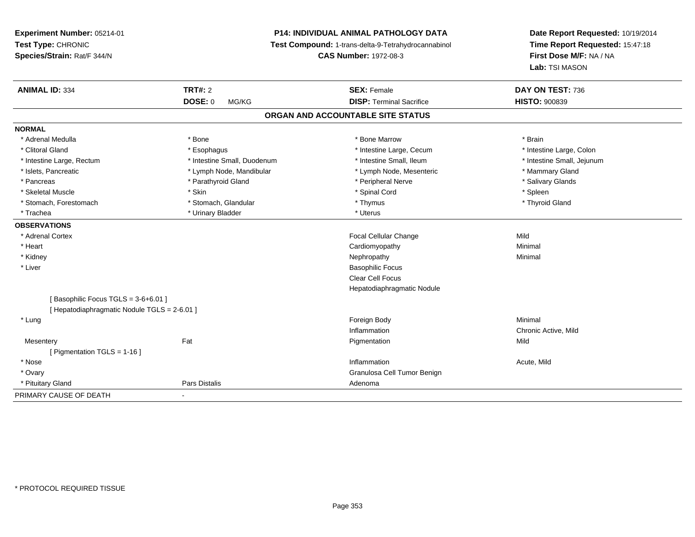**Experiment Number:** 05214-01**Test Type:** CHRONIC **Species/Strain:** Rat/F 344/N**P14: INDIVIDUAL ANIMAL PATHOLOGY DATA Test Compound:** 1-trans-delta-9-Tetrahydrocannabinol **CAS Number:** 1972-08-3**Date Report Requested:** 10/19/2014**Time Report Requested:** 15:47:18**First Dose M/F:** NA / NA**Lab:** TSI MASON**ANIMAL ID:** 334**TRT#:** 2 **SEX:** Female **DAY ON TEST:** 736 **DOSE:** 0 MG/KG**DISP:** Terminal Sacrifice **HISTO:**  $900839$ **ORGAN AND ACCOUNTABLE SITE STATUSNORMAL**\* Adrenal Medulla \* \* Annual Medulla \* Brain \* Bone \* \* Bone Marrow \* Bone Marrow \* \* Brain \* Brain \* Brain \* Brain \* Brain \* Brain \* Brain \* Brain \* Brain \* Brain \* Brain \* Brain \* Brain \* Brain \* Brain \* Brain \* Brain \* \* Intestine Large, Colon \* Clitoral Gland \* **Exophagus \* Exophagus \*** The strain that the Large, Cecum \* intestine Large, Cecum \* Intestine Large, Rectum \* Thestine Small, Duodenum \* Number of the small, Ileum \* Intestine Small, Jejunum \* Intestine Small, Jejunum \* Islets, Pancreatic \* The manner of the Lymph Node, Mandibular \* Lymph Node, Mesenteric \* Mammary Gland \* Salivary Glands \* Pancreas \* And the section of the section of the section of the section of the section of the section of the section of the section of the section of the section of the section of the section of the section of the sectio \* Skeletal Muscle \* Skin \* Spinal Cord \* Spleen \* Thyroid Gland \* Stomach, Forestomach \* Thymus \* Stomach, Glandular \* Thymus \* Thymus \* Thymus \* Thymus \* Thymus \* Thymus \* Thymus \* Thymus \* Thymus \* Thymus \* Thymus \* Thymus \* Thymus \* Thymus \* Thymus \* Thymus \* Thymus \* Thymus \* Thymu \* Trachea \* Urinary Bladder \* Urinary Bladder \* Urinary Bladder \* Urinary Bladder \* Urinary Bladder **OBSERVATIONS** \* Adrenal Cortex Focal Cellular Changee Mild \* Heart Cardiomyopathy Minimal \* Kidneyy the control of the control of the control of the control of the control of the control of the control of the control of the control of the control of the control of the control of the control of the control of the contro \* Liver Basophilic Focus Clear Cell Focus Hepatodiaphragmatic Nodule[ Basophilic Focus TGLS = 3-6+6.01 ][ Hepatodiaphragmatic Nodule TGLS = 2-6.01 ] \* Lungg and the state of the state of the state of the state of the state of the state of the state of the state of the state of the state of the state of the state of the state of the state of the state of the state of the stat Inflammation Chronic Active, Mild **Mesentery** y the contract of the part of the Pigmentation of the Pigmentation of the Pigmentation of the Pigmentation of the  $P$ n Mild [ Pigmentation TGLS = 1-16 ] \* Nosee the contraction of the contraction of the contraction of the contraction of the contraction of the contraction  $\mathsf{Acute},\mathsf{Mild}$  \* Ovary Granulosa Cell Tumor Benign \* Pituitary Glandd **Exercise Control of Pars Distalis Pars Distalis Adenoma** PRIMARY CAUSE OF DEATH-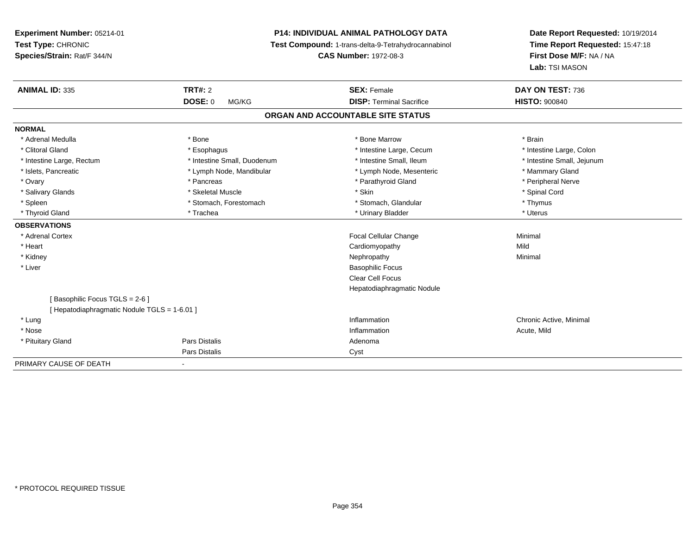**Experiment Number:** 05214-01**Test Type:** CHRONIC **Species/Strain:** Rat/F 344/N**P14: INDIVIDUAL ANIMAL PATHOLOGY DATA Test Compound:** 1-trans-delta-9-Tetrahydrocannabinol **CAS Number:** 1972-08-3**Date Report Requested:** 10/19/2014**Time Report Requested:** 15:47:18**First Dose M/F:** NA / NA**Lab:** TSI MASON**ANIMAL ID:** 335**TRT#:** 2 **SEX:** Female **DAY ON TEST:** 736 **DOSE:** 0 MG/KG **DISP:** Terminal Sacrifice **HISTO:** <sup>900840</sup> **ORGAN AND ACCOUNTABLE SITE STATUSNORMAL**\* Adrenal Medulla \* \* Annual Medulla \* Brain \* Bone \* \* Bone Marrow \* Bone Marrow \* \* Brain \* Brain \* Brain \* Brain \* Brain \* Brain \* Brain \* Brain \* Brain \* Brain \* Brain \* Brain \* Brain \* Brain \* Brain \* Brain \* Brain \* \* Intestine Large, Colon \* Clitoral Gland \* **Exophagus \* Exophagus \*** The strain that the Large, Cecum \* intestine Large, Cecum \* Intestine Large, Rectum \* Thestine Small, Duodenum \* Number of the small, Ileum \* Intestine Small, Jejunum \* Intestine Small, Jejunum \* Islets, Pancreatic \* The manner of the Lymph Node, Mandibular \* Lymph Node, Mesenteric \* Mammary Gland \* Peripheral Nerve \* Ovary \* And the second of the second of the second version of the second version of the second version of the second version of the second version of the second version of the second version of the second version of the \* Salivary Glands \* \* Steeden \* \* Skeletal Muscle \* \* Skin \* \* Skin \* \* Steeden \* Spinal Cord \* Spinal Cord \* Spinal Cord \* Spinal Cord \* Spinal Cord \* Spinal Cord \* Spinal Cord \* Spinal Cord \* Spinal Cord \* Spinal Cord \* \* Spleen \* Stomach, Forestomach \* Stomach \* Stomach, Glandular \* Thymus \* Thymus \* Uterus \* Thyroid Gland \* \* Trachea \* \* Trachea \* Trachea \* \* Urinary Bladder \* \* Urinary Bladder \* \* Uterus \* Uterus **OBSERVATIONS** \* Adrenal Cortex Focal Cellular ChangeMinimal<br>Mild \* Heart Cardiomyopathyy Mild Minimal \* Kidneyy the control of the control of the control of the control of the control of the control of the control of the control of the control of the control of the control of the control of the control of the control of the contro \* Liver Basophilic Focus Clear Cell Focus Hepatodiaphragmatic Nodule[ Basophilic Focus TGLS = 2-6 ][ Hepatodiaphragmatic Nodule TGLS = 1-6.01 ] \* Lungg is a controller to the controller of the controller of the chronic Active, Minimal of the chronic Active, Minimal of the chronic Active, Minimal of the chronic Active, Minimal of the chronic Active, Minimal of the chroni \* Nosee the contraction of the contraction of the contraction of the contraction of the contraction of the contraction  $\mathsf{Acute},\mathsf{Mild}$  \* Pituitary Glandd and the contract of Pars Distalis and the contract of Adenoma and Adenoma and the Adenoma and the Adenoma and  $\lambda$ Pars Distaliss Cyst PRIMARY CAUSE OF DEATH

-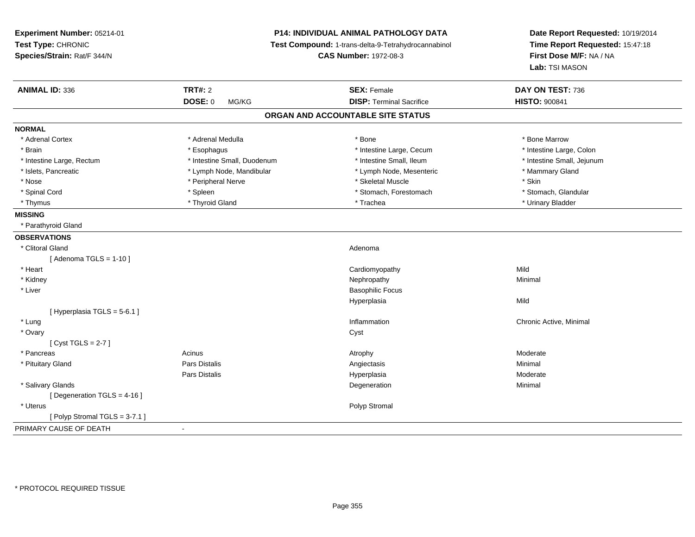| Experiment Number: 05214-01<br>Test Type: CHRONIC<br>Species/Strain: Rat/F 344/N | P14: INDIVIDUAL ANIMAL PATHOLOGY DATA<br>Test Compound: 1-trans-delta-9-Tetrahydrocannabinol<br><b>CAS Number: 1972-08-3</b> |                                   | Date Report Requested: 10/19/2014<br>Time Report Requested: 15:47:18<br>First Dose M/F: NA / NA<br>Lab: TSI MASON |
|----------------------------------------------------------------------------------|------------------------------------------------------------------------------------------------------------------------------|-----------------------------------|-------------------------------------------------------------------------------------------------------------------|
| <b>ANIMAL ID: 336</b>                                                            | <b>TRT#: 2</b>                                                                                                               | <b>SEX: Female</b>                | DAY ON TEST: 736                                                                                                  |
|                                                                                  | <b>DOSE: 0</b><br>MG/KG                                                                                                      | <b>DISP: Terminal Sacrifice</b>   | <b>HISTO: 900841</b>                                                                                              |
|                                                                                  |                                                                                                                              | ORGAN AND ACCOUNTABLE SITE STATUS |                                                                                                                   |
| <b>NORMAL</b>                                                                    |                                                                                                                              |                                   |                                                                                                                   |
| * Adrenal Cortex                                                                 | * Adrenal Medulla                                                                                                            | * Bone                            | * Bone Marrow                                                                                                     |
| * Brain                                                                          | * Esophagus                                                                                                                  | * Intestine Large, Cecum          | * Intestine Large, Colon                                                                                          |
| * Intestine Large, Rectum                                                        | * Intestine Small, Duodenum                                                                                                  | * Intestine Small, Ileum          | * Intestine Small, Jejunum                                                                                        |
| * Islets, Pancreatic                                                             | * Lymph Node, Mandibular                                                                                                     | * Lymph Node, Mesenteric          | * Mammary Gland                                                                                                   |
| * Nose                                                                           | * Peripheral Nerve                                                                                                           | * Skeletal Muscle                 | * Skin                                                                                                            |
| * Spinal Cord                                                                    | * Spleen                                                                                                                     | * Stomach, Forestomach            | * Stomach, Glandular                                                                                              |
| * Thymus                                                                         | * Thyroid Gland                                                                                                              | * Trachea                         | * Urinary Bladder                                                                                                 |
| <b>MISSING</b>                                                                   |                                                                                                                              |                                   |                                                                                                                   |
| * Parathyroid Gland                                                              |                                                                                                                              |                                   |                                                                                                                   |
| <b>OBSERVATIONS</b>                                                              |                                                                                                                              |                                   |                                                                                                                   |
| * Clitoral Gland                                                                 |                                                                                                                              | Adenoma                           |                                                                                                                   |
| [Adenoma TGLS = $1-10$ ]                                                         |                                                                                                                              |                                   |                                                                                                                   |
| * Heart                                                                          |                                                                                                                              | Cardiomyopathy                    | Mild                                                                                                              |
| * Kidney                                                                         |                                                                                                                              | Nephropathy                       | Minimal                                                                                                           |
| * Liver                                                                          |                                                                                                                              | <b>Basophilic Focus</b>           |                                                                                                                   |
|                                                                                  |                                                                                                                              | Hyperplasia                       | Mild                                                                                                              |
| [Hyperplasia TGLS = 5-6.1]                                                       |                                                                                                                              |                                   |                                                                                                                   |
| * Lung                                                                           |                                                                                                                              | Inflammation                      | Chronic Active, Minimal                                                                                           |
| * Ovary                                                                          |                                                                                                                              | Cyst                              |                                                                                                                   |
| [Cyst TGLS = $2-7$ ]                                                             |                                                                                                                              |                                   |                                                                                                                   |
| * Pancreas                                                                       | Acinus                                                                                                                       | Atrophy                           | Moderate                                                                                                          |
| * Pituitary Gland                                                                | Pars Distalis                                                                                                                | Angiectasis                       | Minimal                                                                                                           |
|                                                                                  | Pars Distalis                                                                                                                | Hyperplasia                       | Moderate                                                                                                          |
| * Salivary Glands                                                                |                                                                                                                              | Degeneration                      | Minimal                                                                                                           |
| [Degeneration TGLS = 4-16]                                                       |                                                                                                                              |                                   |                                                                                                                   |
| * Uterus                                                                         |                                                                                                                              | Polyp Stromal                     |                                                                                                                   |
| [Polyp Stromal TGLS = 3-7.1]                                                     |                                                                                                                              |                                   |                                                                                                                   |
| PRIMARY CAUSE OF DEATH                                                           | $\blacksquare$                                                                                                               |                                   |                                                                                                                   |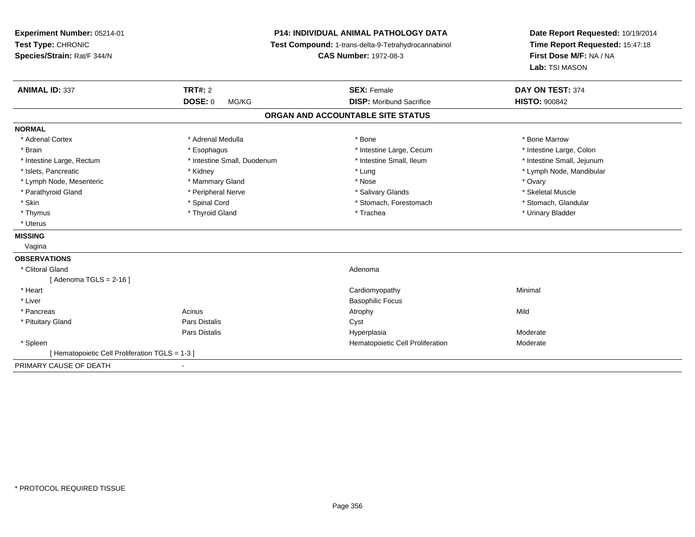| Experiment Number: 05214-01<br>Test Type: CHRONIC<br>Species/Strain: Rat/F 344/N |                             | <b>P14: INDIVIDUAL ANIMAL PATHOLOGY DATA</b><br>Test Compound: 1-trans-delta-9-Tetrahydrocannabinol<br><b>CAS Number: 1972-08-3</b> | Date Report Requested: 10/19/2014<br>Time Report Requested: 15:47:18<br>First Dose M/F: NA / NA<br>Lab: TSI MASON |
|----------------------------------------------------------------------------------|-----------------------------|-------------------------------------------------------------------------------------------------------------------------------------|-------------------------------------------------------------------------------------------------------------------|
| <b>ANIMAL ID: 337</b>                                                            | TRT#: 2                     | <b>SEX: Female</b>                                                                                                                  | DAY ON TEST: 374                                                                                                  |
|                                                                                  | DOSE: 0<br>MG/KG            | <b>DISP:</b> Moribund Sacrifice                                                                                                     | <b>HISTO: 900842</b>                                                                                              |
|                                                                                  |                             | ORGAN AND ACCOUNTABLE SITE STATUS                                                                                                   |                                                                                                                   |
| <b>NORMAL</b>                                                                    |                             |                                                                                                                                     |                                                                                                                   |
| * Adrenal Cortex                                                                 | * Adrenal Medulla           | * Bone                                                                                                                              | * Bone Marrow                                                                                                     |
| * Brain                                                                          | * Esophagus                 | * Intestine Large, Cecum                                                                                                            | * Intestine Large, Colon                                                                                          |
| * Intestine Large, Rectum                                                        | * Intestine Small, Duodenum | * Intestine Small, Ileum                                                                                                            | * Intestine Small, Jejunum                                                                                        |
| * Islets, Pancreatic                                                             | * Kidney                    | * Lung                                                                                                                              | * Lymph Node, Mandibular                                                                                          |
| * Lymph Node, Mesenteric                                                         | * Mammary Gland             | * Nose                                                                                                                              | * Ovary                                                                                                           |
| * Parathyroid Gland                                                              | * Peripheral Nerve          | * Salivary Glands                                                                                                                   | * Skeletal Muscle                                                                                                 |
| * Skin                                                                           | * Spinal Cord               | * Stomach, Forestomach                                                                                                              | * Stomach, Glandular                                                                                              |
| * Thymus                                                                         | * Thyroid Gland             | * Trachea                                                                                                                           | * Urinary Bladder                                                                                                 |
| * Uterus                                                                         |                             |                                                                                                                                     |                                                                                                                   |
| <b>MISSING</b>                                                                   |                             |                                                                                                                                     |                                                                                                                   |
| Vagina                                                                           |                             |                                                                                                                                     |                                                                                                                   |
| <b>OBSERVATIONS</b>                                                              |                             |                                                                                                                                     |                                                                                                                   |
| * Clitoral Gland                                                                 |                             | Adenoma                                                                                                                             |                                                                                                                   |
| [ Adenoma TGLS = 2-16 ]                                                          |                             |                                                                                                                                     |                                                                                                                   |
| * Heart                                                                          |                             | Cardiomyopathy                                                                                                                      | Minimal                                                                                                           |
| * Liver                                                                          |                             | <b>Basophilic Focus</b>                                                                                                             |                                                                                                                   |
| * Pancreas                                                                       | Acinus                      | Atrophy                                                                                                                             | Mild                                                                                                              |
| * Pituitary Gland                                                                | <b>Pars Distalis</b>        | Cyst                                                                                                                                |                                                                                                                   |
|                                                                                  | Pars Distalis               | Hyperplasia                                                                                                                         | Moderate                                                                                                          |
| * Spleen                                                                         |                             | Hematopoietic Cell Proliferation                                                                                                    | Moderate                                                                                                          |
| [Hematopoietic Cell Proliferation TGLS = 1-3 ]                                   |                             |                                                                                                                                     |                                                                                                                   |
| PRIMARY CAUSE OF DEATH                                                           |                             |                                                                                                                                     |                                                                                                                   |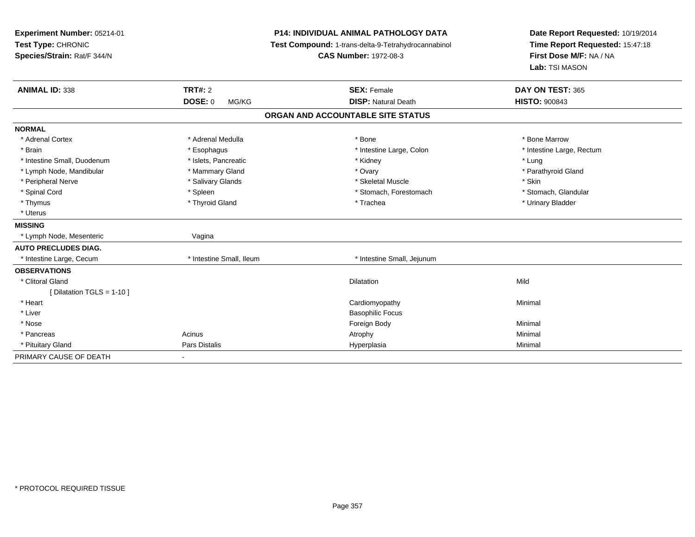| Experiment Number: 05214-01<br>Test Type: CHRONIC<br>Species/Strain: Rat/F 344/N<br><b>ANIMAL ID: 338</b> | <b>TRT#: 2</b><br><b>DOSE: 0</b><br>MG/KG | <b>P14: INDIVIDUAL ANIMAL PATHOLOGY DATA</b><br>Test Compound: 1-trans-delta-9-Tetrahydrocannabinol<br><b>CAS Number: 1972-08-3</b><br><b>SEX: Female</b><br><b>DISP: Natural Death</b> | Date Report Requested: 10/19/2014<br>Time Report Requested: 15:47:18<br>First Dose M/F: NA / NA<br>Lab: TSI MASON<br>DAY ON TEST: 365<br><b>HISTO: 900843</b> |
|-----------------------------------------------------------------------------------------------------------|-------------------------------------------|-----------------------------------------------------------------------------------------------------------------------------------------------------------------------------------------|---------------------------------------------------------------------------------------------------------------------------------------------------------------|
|                                                                                                           |                                           |                                                                                                                                                                                         |                                                                                                                                                               |
|                                                                                                           |                                           | ORGAN AND ACCOUNTABLE SITE STATUS                                                                                                                                                       |                                                                                                                                                               |
| <b>NORMAL</b>                                                                                             |                                           |                                                                                                                                                                                         |                                                                                                                                                               |
| * Adrenal Cortex                                                                                          | * Adrenal Medulla                         | * Bone                                                                                                                                                                                  | * Bone Marrow                                                                                                                                                 |
| * Brain                                                                                                   | * Esophagus                               | * Intestine Large, Colon                                                                                                                                                                | * Intestine Large, Rectum                                                                                                                                     |
| * Intestine Small, Duodenum                                                                               | * Islets, Pancreatic                      | * Kidney                                                                                                                                                                                | * Lung                                                                                                                                                        |
| * Lymph Node, Mandibular                                                                                  | * Mammary Gland                           | * Ovary                                                                                                                                                                                 | * Parathyroid Gland                                                                                                                                           |
| * Peripheral Nerve                                                                                        | * Salivary Glands                         | * Skeletal Muscle                                                                                                                                                                       | * Skin                                                                                                                                                        |
| * Spinal Cord                                                                                             | * Spleen                                  | * Stomach, Forestomach                                                                                                                                                                  | * Stomach, Glandular                                                                                                                                          |
| * Thymus                                                                                                  | * Thyroid Gland                           | * Trachea                                                                                                                                                                               | * Urinary Bladder                                                                                                                                             |
| * Uterus                                                                                                  |                                           |                                                                                                                                                                                         |                                                                                                                                                               |
| <b>MISSING</b>                                                                                            |                                           |                                                                                                                                                                                         |                                                                                                                                                               |
| * Lymph Node, Mesenteric                                                                                  | Vagina                                    |                                                                                                                                                                                         |                                                                                                                                                               |
| <b>AUTO PRECLUDES DIAG.</b>                                                                               |                                           |                                                                                                                                                                                         |                                                                                                                                                               |
| * Intestine Large, Cecum                                                                                  | * Intestine Small. Ileum                  | * Intestine Small, Jejunum                                                                                                                                                              |                                                                                                                                                               |
| <b>OBSERVATIONS</b>                                                                                       |                                           |                                                                                                                                                                                         |                                                                                                                                                               |
| * Clitoral Gland                                                                                          |                                           | Dilatation                                                                                                                                                                              | Mild                                                                                                                                                          |
| [Dilatation TGLS = 1-10]                                                                                  |                                           |                                                                                                                                                                                         |                                                                                                                                                               |
| * Heart                                                                                                   |                                           | Cardiomyopathy                                                                                                                                                                          | Minimal                                                                                                                                                       |
| * Liver                                                                                                   |                                           | <b>Basophilic Focus</b>                                                                                                                                                                 |                                                                                                                                                               |
| * Nose                                                                                                    |                                           | Foreign Body                                                                                                                                                                            | Minimal                                                                                                                                                       |
| * Pancreas                                                                                                | Acinus                                    | Atrophy                                                                                                                                                                                 | Minimal                                                                                                                                                       |
| * Pituitary Gland                                                                                         | <b>Pars Distalis</b>                      | Hyperplasia                                                                                                                                                                             | Minimal                                                                                                                                                       |
| PRIMARY CAUSE OF DEATH                                                                                    | $\sim$                                    |                                                                                                                                                                                         |                                                                                                                                                               |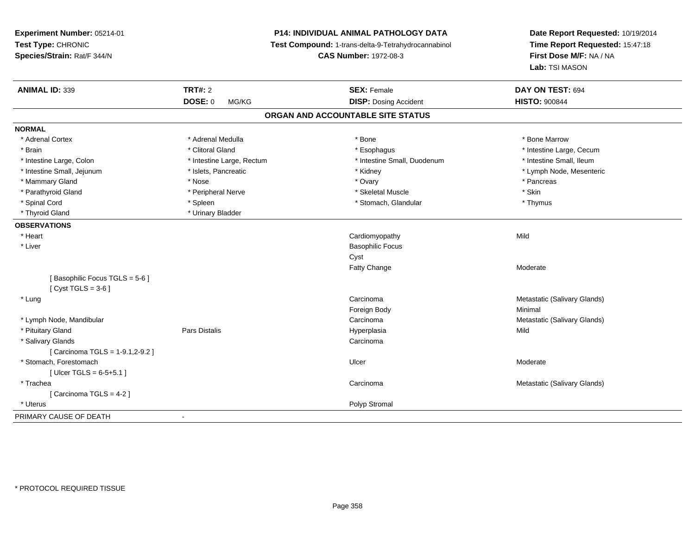**Experiment Number:** 05214-01**Test Type:** CHRONIC **Species/Strain:** Rat/F 344/N**P14: INDIVIDUAL ANIMAL PATHOLOGY DATA Test Compound:** 1-trans-delta-9-Tetrahydrocannabinol **CAS Number:** 1972-08-3**Date Report Requested:** 10/19/2014**Time Report Requested:** 15:47:18**First Dose M/F:** NA / NA**Lab:** TSI MASON**ANIMAL ID:** 339**TRT#:** 2 **SEX:** Female **SEX: Constant CON TEST:** 694 **DOSE:** 0 MG/KG**DISP:** Dosing Accident **HISTO:**  $900844$ **ORGAN AND ACCOUNTABLE SITE STATUSNORMAL**\* Adrenal Cortex \* Adrenal Medulla \* Adrenal Medulla \* Bone \* Bone \* Bone \* Bone \* Bone Marrow \* Brain \* Alternation of the state of the state of the state of the state of the state of the state of the state of the state of the state of the state of the state of the state of the state of the state of the state of th \* Intestine Small, Ileum \* Intestine Large, Colon \* Intestine Large, Rectum \* Intestine Small, Duodenum \* Intestine Small, Duodenum \* Intestine Small, Jejunum \* \* \* https://www.fat.com/state/setter/educitory/metal-type/setteric and the state of the state of the state of the state of the state of the state of the state of the state of the state of the s \* Mammary Gland \* \* Andrew \* Nose \* \* Nose \* \* Ovary \* Ovary \* Ovary \* \* Ovary \* \* Pancreas \* \* Pancreas \* \* Pancreas \* \* Pancreas \* \* Pancreas \* \* Pancreas \* \* Pancreas \* \* Pancreas \* \* Pancreas \* \* Pancreas \* \* Pancreas \* Parathyroid Gland \* \* The most provided a strategies \* Skeletal Muscle \* Skeletal Muscle \* Skin \* Skin \* Skin \* Thymus \* Spinal Cord \* \* Stomach, Glandular \* Stomach, Glandular \* Stomach, Glandular \* Thymus \* Thymus \* Thymus \* \* Thymus \* Thyroid Gland \* Urinary Bladder**OBSERVATIONS** \* Heart Cardiomyopathyy Mild \* Liver Basophilic FocusCystFatty Change Moderate [ Basophilic Focus TGLS = 5-6 ] $[$  Cyst TGLS = 3-6  $]$  \* LungCarcinoma **Metastatic (Salivary Glands)** Metastatic (Salivary Glands) Foreign Bodyy the contract of the Minimal Minimal Section 1996 and the contract of the Minimal Section 1997 and the contract of the contract of the contract of the contract of the contract of the contract of the contract of the contra \* Lymph Node, Mandibularr and the contract of the contract of the contract of the contract of the contract of the contract of the contract of the contract of the contract of the contract of the contract of the contract of the contract of the cont Carcinoma **Metastatic (Salivary Glands)** Metastatic (Salivary Glands) \* Pituitary Gland Pars Distalis Hyperplasia Mild \* Salivary Glandss carcinoma and the contract of the contract of the contract of the contract of the contract of the contract of the contract of the contract of the contract of the contract of the contract of the contract of the contract o [ Carcinoma TGLS = 1-9.1,2-9.2 ] \* Stomach, Forestomachh and the control of the control of the control of the Ulcer Changes of the Changes of the Moderate of the Moderate  $\sim$  $[$  Ulcer TGLS =  $6 - 5 + 5.1]$  \* TracheaCarcinoma **Metastatic (Salivary Glands)** Metastatic (Salivary Glands) [ Carcinoma TGLS = 4-2 ] \* Uteruss and the contract of the contract of the contract of the contract of the contract of the contract of the contract of the contract of the contract of the contract of the contract of the contract of the contract of the cont PRIMARY CAUSE OF DEATH-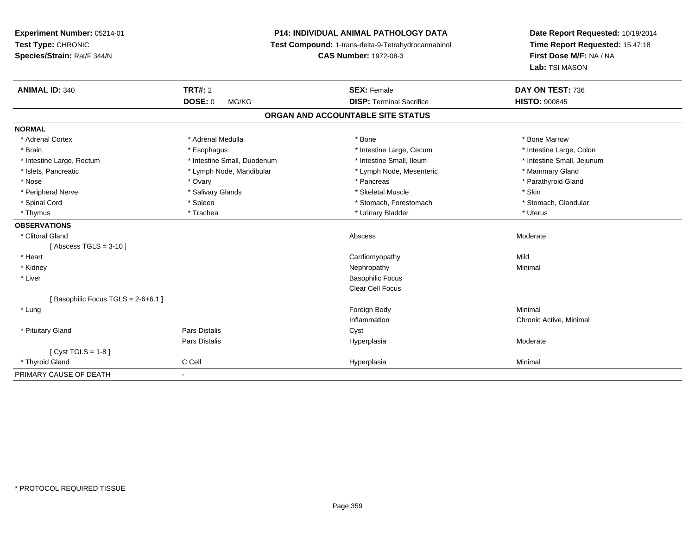**Experiment Number:** 05214-01**Test Type:** CHRONIC **Species/Strain:** Rat/F 344/N**P14: INDIVIDUAL ANIMAL PATHOLOGY DATA Test Compound:** 1-trans-delta-9-Tetrahydrocannabinol **CAS Number:** 1972-08-3**Date Report Requested:** 10/19/2014**Time Report Requested:** 15:47:18**First Dose M/F:** NA / NA**Lab:** TSI MASON**ANIMAL ID:** 340**TRT#:** 2 **SEX:** Female **DAY ON TEST:** 736 **DOSE:** 0 MG/KG**DISP:** Terminal Sacrifice **HISTO:**  $900845$ **ORGAN AND ACCOUNTABLE SITE STATUSNORMAL**\* Adrenal Cortex \* Adrenal Medulla \* Adrenal Medulla \* Bone \* Bone \* Bone \* Bone \* Bone Marrow \* Intestine Large, Colon \* Brain \* Esophagus \* Esophagus \* Esophagus \* 11testine Large, Cecum \* \* Intestine Large, Rectum \* Thestine Small, Duodenum \* Number of the small, Ileum \* Intestine Small, Jejunum \* Intestine Small, Jejunum \* Islets, Pancreatic \* The manner of the Lymph Node, Mandibular \* Lymph Node, Mesenteric \* Mammary Gland \* Nose \* The state of the state of the state of the state of the state of the state of the state of the state of the state of the state of the state of the state of the state of the state of the state of the state of the s \* Peripheral Nerve \* Salivary Glands \* Skeletal Muscle \* Skin\* Stomach. Glandular \* Spinal Cord \* Spinal Cord \* Spinal Cord \* Stomach, Forestomach \* Spinal Cord \* Stomach, Forestomach \* Thymus \* Trachea \* Urinary Bladder \* Uterus **OBSERVATIONS** \* Clitoral Glandd and the control of the control of the control of the control of the control of the control of the control of the control of the control of the control of the control of the control of the control of the control of the co  $[$  Abscess TGLS = 3-10  $]$  \* Heart Cardiomyopathyy Mild Minimal \* Kidneyy the control of the control of the control of the control of the control of the control of the control of the control of the control of the control of the control of the control of the control of the control of the contro \* Liver Basophilic Focus Clear Cell Focus[ Basophilic Focus TGLS = 2-6+6.1 ] \* Lungg and the state of the state of the state of the state of the state of the state of the state of the state of the state of the state of the state of the state of the state of the state of the state of the state of the stat Inflammation Chronic Active, Minimal \* Pituitary Glandd Cyst Constants Constants Constants Constants Constants Constants Constants Constants Constants Constants Const Pars Distalis Hyperplasia Moderate [ Cyst TGLS = 1-8 ] \* Thyroid Gland C Cell Hyperplasia Minimal PRIMARY CAUSE OF DEATH-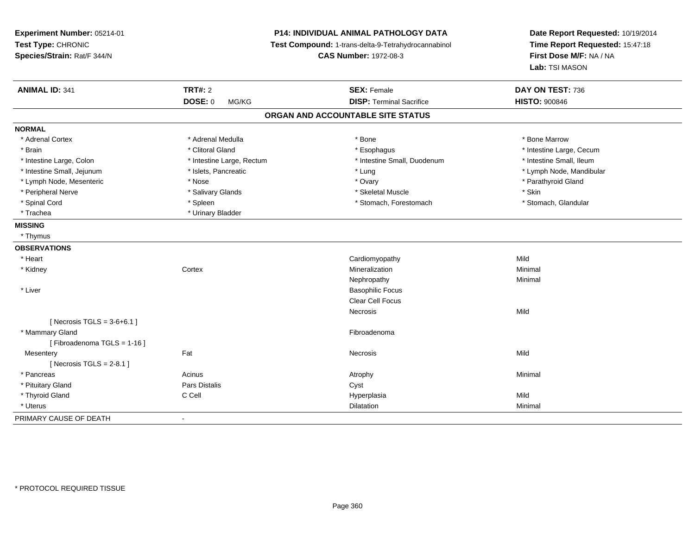| Experiment Number: 05214-01<br>Test Type: CHRONIC<br>Species/Strain: Rat/F 344/N |                           | <b>P14: INDIVIDUAL ANIMAL PATHOLOGY DATA</b><br>Test Compound: 1-trans-delta-9-Tetrahydrocannabinol<br><b>CAS Number: 1972-08-3</b> | Date Report Requested: 10/19/2014<br>Time Report Requested: 15:47:18<br>First Dose M/F: NA / NA<br>Lab: TSI MASON |
|----------------------------------------------------------------------------------|---------------------------|-------------------------------------------------------------------------------------------------------------------------------------|-------------------------------------------------------------------------------------------------------------------|
| <b>ANIMAL ID: 341</b>                                                            | <b>TRT#: 2</b>            | <b>SEX: Female</b>                                                                                                                  | DAY ON TEST: 736                                                                                                  |
|                                                                                  | DOSE: 0<br>MG/KG          | <b>DISP: Terminal Sacrifice</b>                                                                                                     | <b>HISTO: 900846</b>                                                                                              |
|                                                                                  |                           | ORGAN AND ACCOUNTABLE SITE STATUS                                                                                                   |                                                                                                                   |
| <b>NORMAL</b>                                                                    |                           |                                                                                                                                     |                                                                                                                   |
| * Adrenal Cortex                                                                 | * Adrenal Medulla         | * Bone                                                                                                                              | * Bone Marrow                                                                                                     |
| * Brain                                                                          | * Clitoral Gland          | * Esophagus                                                                                                                         | * Intestine Large, Cecum                                                                                          |
| * Intestine Large, Colon                                                         | * Intestine Large, Rectum | * Intestine Small, Duodenum                                                                                                         | * Intestine Small, Ileum                                                                                          |
| * Intestine Small, Jejunum                                                       | * Islets, Pancreatic      | * Lung                                                                                                                              | * Lymph Node, Mandibular                                                                                          |
| * Lymph Node, Mesenteric                                                         | * Nose                    | * Ovary                                                                                                                             | * Parathyroid Gland                                                                                               |
| * Peripheral Nerve                                                               | * Salivary Glands         | * Skeletal Muscle                                                                                                                   | * Skin                                                                                                            |
| * Spinal Cord                                                                    | * Spleen                  | * Stomach, Forestomach                                                                                                              | * Stomach, Glandular                                                                                              |
| * Trachea                                                                        | * Urinary Bladder         |                                                                                                                                     |                                                                                                                   |
| <b>MISSING</b>                                                                   |                           |                                                                                                                                     |                                                                                                                   |
| * Thymus                                                                         |                           |                                                                                                                                     |                                                                                                                   |
| <b>OBSERVATIONS</b>                                                              |                           |                                                                                                                                     |                                                                                                                   |
| * Heart                                                                          |                           | Cardiomyopathy                                                                                                                      | Mild                                                                                                              |
| * Kidney                                                                         | Cortex                    | Mineralization                                                                                                                      | Minimal                                                                                                           |
|                                                                                  |                           | Nephropathy                                                                                                                         | Minimal                                                                                                           |
| * Liver                                                                          |                           | <b>Basophilic Focus</b>                                                                                                             |                                                                                                                   |
|                                                                                  |                           | <b>Clear Cell Focus</b>                                                                                                             |                                                                                                                   |
|                                                                                  |                           | Necrosis                                                                                                                            | Mild                                                                                                              |
| [ Necrosis TGLS = $3-6+6.1$ ]                                                    |                           |                                                                                                                                     |                                                                                                                   |
| * Mammary Gland                                                                  |                           | Fibroadenoma                                                                                                                        |                                                                                                                   |
| [Fibroadenoma TGLS = 1-16]                                                       |                           |                                                                                                                                     |                                                                                                                   |
| Mesentery                                                                        | Fat                       | Necrosis                                                                                                                            | Mild                                                                                                              |
| [Necrosis TGLS = $2-8.1$ ]                                                       |                           |                                                                                                                                     |                                                                                                                   |
| * Pancreas                                                                       | Acinus                    | Atrophy                                                                                                                             | Minimal                                                                                                           |
| * Pituitary Gland                                                                | Pars Distalis             | Cyst                                                                                                                                |                                                                                                                   |
| * Thyroid Gland                                                                  | C Cell                    | Hyperplasia                                                                                                                         | Mild                                                                                                              |
| * Uterus                                                                         |                           | Dilatation                                                                                                                          | Minimal                                                                                                           |
| PRIMARY CAUSE OF DEATH                                                           | $\blacksquare$            |                                                                                                                                     |                                                                                                                   |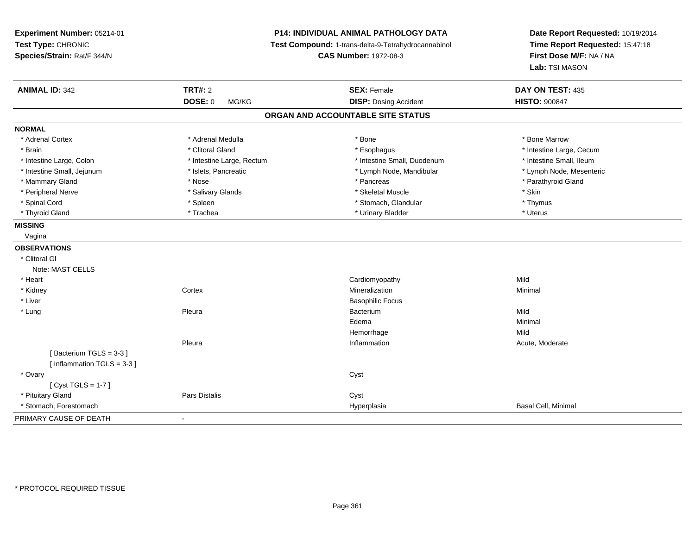| Experiment Number: 05214-01<br>Test Type: CHRONIC<br>Species/Strain: Rat/F 344/N | <b>P14: INDIVIDUAL ANIMAL PATHOLOGY DATA</b><br>Test Compound: 1-trans-delta-9-Tetrahydrocannabinol<br><b>CAS Number: 1972-08-3</b> |                                   | Date Report Requested: 10/19/2014<br>Time Report Requested: 15:47:18<br>First Dose M/F: NA / NA<br>Lab: TSI MASON |
|----------------------------------------------------------------------------------|-------------------------------------------------------------------------------------------------------------------------------------|-----------------------------------|-------------------------------------------------------------------------------------------------------------------|
| <b>ANIMAL ID: 342</b>                                                            | <b>TRT#: 2</b>                                                                                                                      | <b>SEX: Female</b>                | DAY ON TEST: 435                                                                                                  |
|                                                                                  | <b>DOSE: 0</b><br>MG/KG                                                                                                             | <b>DISP: Dosing Accident</b>      | <b>HISTO: 900847</b>                                                                                              |
|                                                                                  |                                                                                                                                     | ORGAN AND ACCOUNTABLE SITE STATUS |                                                                                                                   |
| <b>NORMAL</b>                                                                    |                                                                                                                                     |                                   |                                                                                                                   |
| * Adrenal Cortex                                                                 | * Adrenal Medulla                                                                                                                   | * Bone                            | * Bone Marrow                                                                                                     |
| * Brain                                                                          | * Clitoral Gland                                                                                                                    | * Esophagus                       | * Intestine Large, Cecum                                                                                          |
| * Intestine Large, Colon                                                         | * Intestine Large, Rectum                                                                                                           | * Intestine Small, Duodenum       | * Intestine Small, Ileum                                                                                          |
| * Intestine Small, Jejunum                                                       | * Islets, Pancreatic                                                                                                                | * Lymph Node, Mandibular          | * Lymph Node, Mesenteric                                                                                          |
| * Mammary Gland                                                                  | * Nose                                                                                                                              | * Pancreas                        | * Parathyroid Gland                                                                                               |
| * Peripheral Nerve                                                               | * Salivary Glands                                                                                                                   | * Skeletal Muscle                 | * Skin                                                                                                            |
| * Spinal Cord                                                                    | * Spleen                                                                                                                            | * Stomach, Glandular              | * Thymus                                                                                                          |
| * Thyroid Gland                                                                  | * Trachea                                                                                                                           | * Urinary Bladder                 | * Uterus                                                                                                          |
| <b>MISSING</b>                                                                   |                                                                                                                                     |                                   |                                                                                                                   |
| Vagina                                                                           |                                                                                                                                     |                                   |                                                                                                                   |
| <b>OBSERVATIONS</b>                                                              |                                                                                                                                     |                                   |                                                                                                                   |
| * Clitoral GI                                                                    |                                                                                                                                     |                                   |                                                                                                                   |
| Note: MAST CELLS                                                                 |                                                                                                                                     |                                   |                                                                                                                   |
| * Heart                                                                          |                                                                                                                                     | Cardiomyopathy                    | Mild                                                                                                              |
| * Kidney                                                                         | Cortex                                                                                                                              | Mineralization                    | Minimal                                                                                                           |
| * Liver                                                                          |                                                                                                                                     | <b>Basophilic Focus</b>           |                                                                                                                   |
| * Lung                                                                           | Pleura                                                                                                                              | Bacterium                         | Mild                                                                                                              |
|                                                                                  |                                                                                                                                     | Edema                             | Minimal                                                                                                           |
|                                                                                  |                                                                                                                                     | Hemorrhage                        | Mild                                                                                                              |
|                                                                                  | Pleura                                                                                                                              | Inflammation                      | Acute, Moderate                                                                                                   |
| [Bacterium TGLS = 3-3]                                                           |                                                                                                                                     |                                   |                                                                                                                   |
| [Inflammation TGLS = $3-3$ ]                                                     |                                                                                                                                     |                                   |                                                                                                                   |
| * Ovary                                                                          |                                                                                                                                     | Cyst                              |                                                                                                                   |
| [Cyst TGLS = $1-7$ ]                                                             |                                                                                                                                     |                                   |                                                                                                                   |
| * Pituitary Gland                                                                | Pars Distalis                                                                                                                       | Cyst                              |                                                                                                                   |
| * Stomach, Forestomach                                                           |                                                                                                                                     | Hyperplasia                       | Basal Cell, Minimal                                                                                               |
| PRIMARY CAUSE OF DEATH                                                           | $\overline{a}$                                                                                                                      |                                   |                                                                                                                   |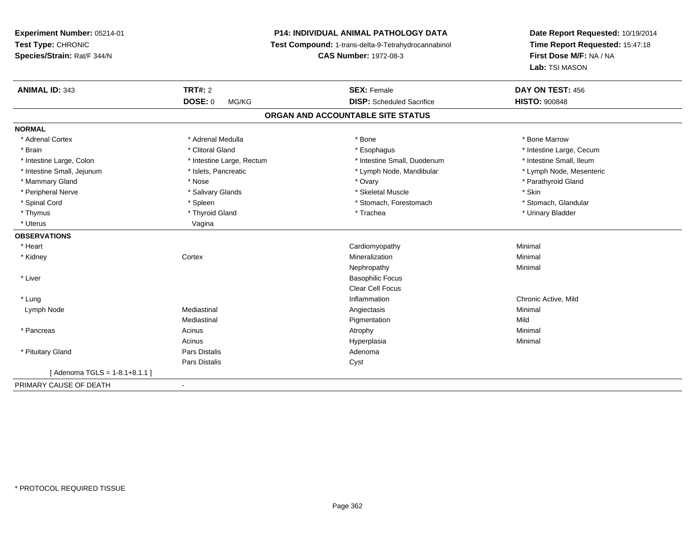# **P14: INDIVIDUAL ANIMAL PATHOLOGY DATA**

**Test Compound:** 1-trans-delta-9-Tetrahydrocannabinol

**CAS Number:** 1972-08-3

| <b>ANIMAL ID: 343</b>           | <b>TRT#: 2</b>            | <b>SEX: Female</b>                | DAY ON TEST: 456         |
|---------------------------------|---------------------------|-----------------------------------|--------------------------|
|                                 | DOSE: 0<br>MG/KG          | <b>DISP:</b> Scheduled Sacrifice  | <b>HISTO: 900848</b>     |
|                                 |                           | ORGAN AND ACCOUNTABLE SITE STATUS |                          |
| <b>NORMAL</b>                   |                           |                                   |                          |
| * Adrenal Cortex                | * Adrenal Medulla         | * Bone                            | * Bone Marrow            |
| * Brain                         | * Clitoral Gland          | * Esophagus                       | * Intestine Large, Cecum |
| * Intestine Large, Colon        | * Intestine Large, Rectum | * Intestine Small, Duodenum       | * Intestine Small, Ileum |
| * Intestine Small, Jejunum      | * Islets, Pancreatic      | * Lymph Node, Mandibular          | * Lymph Node, Mesenteric |
| * Mammary Gland                 | * Nose                    | * Ovary                           | * Parathyroid Gland      |
| * Peripheral Nerve              | * Salivary Glands         | * Skeletal Muscle                 | * Skin                   |
| * Spinal Cord                   | * Spleen                  | * Stomach, Forestomach            | * Stomach, Glandular     |
| * Thymus                        | * Thyroid Gland           | * Trachea                         | * Urinary Bladder        |
| * Uterus                        | Vagina                    |                                   |                          |
| <b>OBSERVATIONS</b>             |                           |                                   |                          |
| * Heart                         |                           | Cardiomyopathy                    | Minimal                  |
| * Kidney                        | Cortex                    | Mineralization                    | Minimal                  |
|                                 |                           | Nephropathy                       | Minimal                  |
| * Liver                         |                           | <b>Basophilic Focus</b>           |                          |
|                                 |                           | <b>Clear Cell Focus</b>           |                          |
| * Lung                          |                           | Inflammation                      | Chronic Active, Mild     |
| Lymph Node                      | Mediastinal               | Angiectasis                       | Minimal                  |
|                                 | Mediastinal               | Pigmentation                      | Mild                     |
| * Pancreas                      | Acinus                    | Atrophy                           | Minimal                  |
|                                 | Acinus                    | Hyperplasia                       | Minimal                  |
| * Pituitary Gland               | <b>Pars Distalis</b>      | Adenoma                           |                          |
|                                 | Pars Distalis             | Cyst                              |                          |
| [Adenoma TGLS = $1-8.1+8.1.1$ ] |                           |                                   |                          |
| PRIMARY CAUSE OF DEATH          |                           |                                   |                          |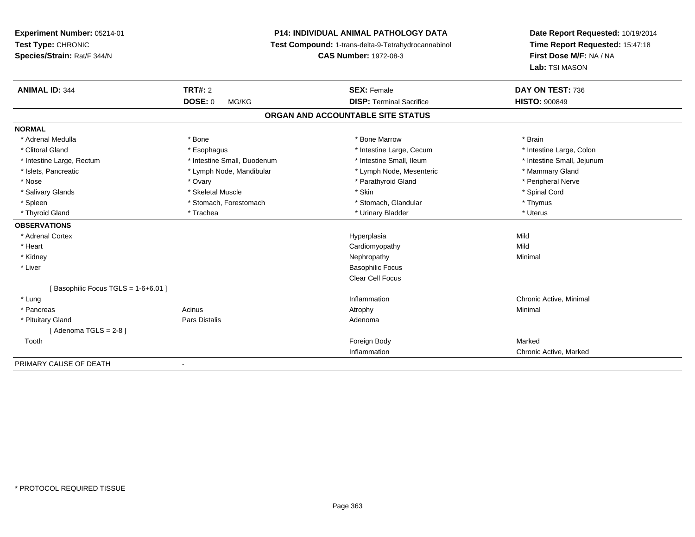# **P14: INDIVIDUAL ANIMAL PATHOLOGY DATA**

**Test Compound:** 1-trans-delta-9-Tetrahydrocannabinol

**CAS Number:** 1972-08-3

| <b>ANIMAL ID: 344</b>              | TRT#: 2                     | <b>SEX: Female</b>                | DAY ON TEST: 736           |
|------------------------------------|-----------------------------|-----------------------------------|----------------------------|
|                                    | <b>DOSE: 0</b><br>MG/KG     | <b>DISP: Terminal Sacrifice</b>   | <b>HISTO: 900849</b>       |
|                                    |                             | ORGAN AND ACCOUNTABLE SITE STATUS |                            |
| <b>NORMAL</b>                      |                             |                                   |                            |
| * Adrenal Medulla                  | * Bone                      | * Bone Marrow                     | * Brain                    |
| * Clitoral Gland                   | * Esophagus                 | * Intestine Large, Cecum          | * Intestine Large, Colon   |
| * Intestine Large, Rectum          | * Intestine Small, Duodenum | * Intestine Small, Ileum          | * Intestine Small, Jejunum |
| * Islets, Pancreatic               | * Lymph Node, Mandibular    | * Lymph Node, Mesenteric          | * Mammary Gland            |
| * Nose                             | * Ovary                     | * Parathyroid Gland               | * Peripheral Nerve         |
| * Salivary Glands                  | * Skeletal Muscle           | * Skin                            | * Spinal Cord              |
| * Spleen                           | * Stomach, Forestomach      | * Stomach, Glandular              | * Thymus                   |
| * Thyroid Gland                    | * Trachea                   | * Urinary Bladder                 | * Uterus                   |
| <b>OBSERVATIONS</b>                |                             |                                   |                            |
| * Adrenal Cortex                   |                             | Hyperplasia                       | Mild                       |
| * Heart                            |                             | Cardiomyopathy                    | Mild                       |
| * Kidney                           |                             | Nephropathy                       | Minimal                    |
| * Liver                            |                             | <b>Basophilic Focus</b>           |                            |
|                                    |                             | Clear Cell Focus                  |                            |
| Basophilic Focus TGLS = 1-6+6.01 ] |                             |                                   |                            |
| * Lung                             |                             | Inflammation                      | Chronic Active, Minimal    |
| * Pancreas                         | Acinus                      | Atrophy                           | Minimal                    |
| * Pituitary Gland                  | Pars Distalis               | Adenoma                           |                            |
| [Adenoma TGLS = $2-8$ ]            |                             |                                   |                            |
| Tooth                              |                             | Foreign Body                      | Marked                     |
|                                    |                             | Inflammation                      | Chronic Active, Marked     |
| PRIMARY CAUSE OF DEATH             |                             |                                   |                            |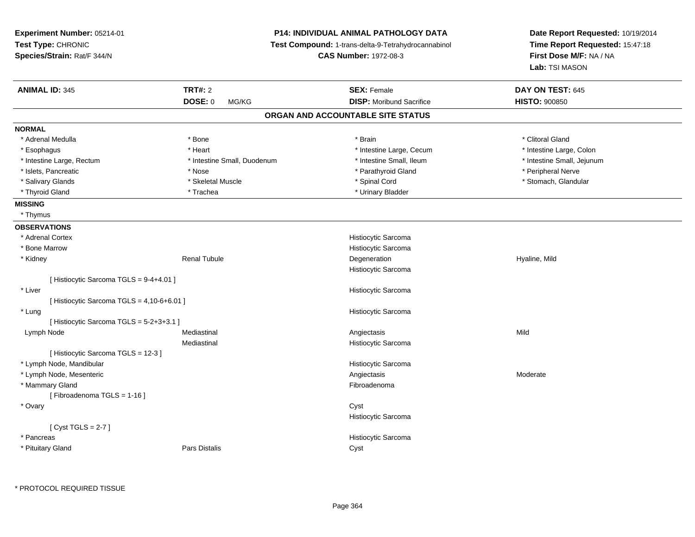| Experiment Number: 05214-01                |                                                     | <b>P14: INDIVIDUAL ANIMAL PATHOLOGY DATA</b> | Date Report Requested: 10/19/2014 |
|--------------------------------------------|-----------------------------------------------------|----------------------------------------------|-----------------------------------|
| Test Type: CHRONIC                         | Test Compound: 1-trans-delta-9-Tetrahydrocannabinol |                                              | Time Report Requested: 15:47:18   |
| Species/Strain: Rat/F 344/N                |                                                     | <b>CAS Number: 1972-08-3</b>                 | First Dose M/F: NA / NA           |
|                                            |                                                     |                                              | Lab: TSI MASON                    |
| <b>ANIMAL ID: 345</b>                      | <b>TRT#: 2</b>                                      | <b>SEX: Female</b>                           | DAY ON TEST: 645                  |
|                                            | <b>DOSE: 0</b><br>MG/KG                             | <b>DISP:</b> Moribund Sacrifice              | <b>HISTO: 900850</b>              |
|                                            |                                                     | ORGAN AND ACCOUNTABLE SITE STATUS            |                                   |
| <b>NORMAL</b>                              |                                                     |                                              |                                   |
| * Adrenal Medulla                          | * Bone                                              | * Brain                                      | * Clitoral Gland                  |
| * Esophagus                                | * Heart                                             | * Intestine Large, Cecum                     | * Intestine Large, Colon          |
| * Intestine Large, Rectum                  | * Intestine Small, Duodenum                         | * Intestine Small, Ileum                     | * Intestine Small, Jejunum        |
| * Islets, Pancreatic                       | * Nose                                              | * Parathyroid Gland                          | * Peripheral Nerve                |
| * Salivary Glands                          | * Skeletal Muscle                                   | * Spinal Cord                                | * Stomach, Glandular              |
| * Thyroid Gland                            | * Trachea                                           | * Urinary Bladder                            |                                   |
| <b>MISSING</b>                             |                                                     |                                              |                                   |
| * Thymus                                   |                                                     |                                              |                                   |
| <b>OBSERVATIONS</b>                        |                                                     |                                              |                                   |
| * Adrenal Cortex                           |                                                     | Histiocytic Sarcoma                          |                                   |
| * Bone Marrow                              |                                                     | Histiocytic Sarcoma                          |                                   |
| * Kidney                                   | <b>Renal Tubule</b>                                 | Degeneration                                 | Hyaline, Mild                     |
|                                            |                                                     | Histiocytic Sarcoma                          |                                   |
| [ Histiocytic Sarcoma TGLS = 9-4+4.01 ]    |                                                     |                                              |                                   |
| * Liver                                    |                                                     | Histiocytic Sarcoma                          |                                   |
| [ Histiocytic Sarcoma TGLS = 4,10-6+6.01 ] |                                                     |                                              |                                   |
| * Lung                                     |                                                     | Histiocytic Sarcoma                          |                                   |
| [ Histiocytic Sarcoma TGLS = 5-2+3+3.1 ]   |                                                     |                                              |                                   |
| Lymph Node                                 | Mediastinal                                         | Angiectasis                                  | Mild                              |
|                                            | Mediastinal                                         | Histiocytic Sarcoma                          |                                   |
| [Histiocytic Sarcoma TGLS = 12-3]          |                                                     |                                              |                                   |
| * Lymph Node, Mandibular                   |                                                     | Histiocytic Sarcoma                          |                                   |
| * Lymph Node, Mesenteric                   |                                                     | Angiectasis                                  | Moderate                          |
| * Mammary Gland                            |                                                     | Fibroadenoma                                 |                                   |
| [Fibroadenoma TGLS = 1-16]                 |                                                     |                                              |                                   |
| * Ovary                                    |                                                     | Cyst                                         |                                   |
|                                            |                                                     | Histiocytic Sarcoma                          |                                   |
| [Cyst TGLS = $2-7$ ]                       |                                                     |                                              |                                   |
| * Pancreas                                 |                                                     | Histiocytic Sarcoma                          |                                   |
| * Pituitary Gland                          | Pars Distalis                                       | Cyst                                         |                                   |

\* PROTOCOL REQUIRED TISSUE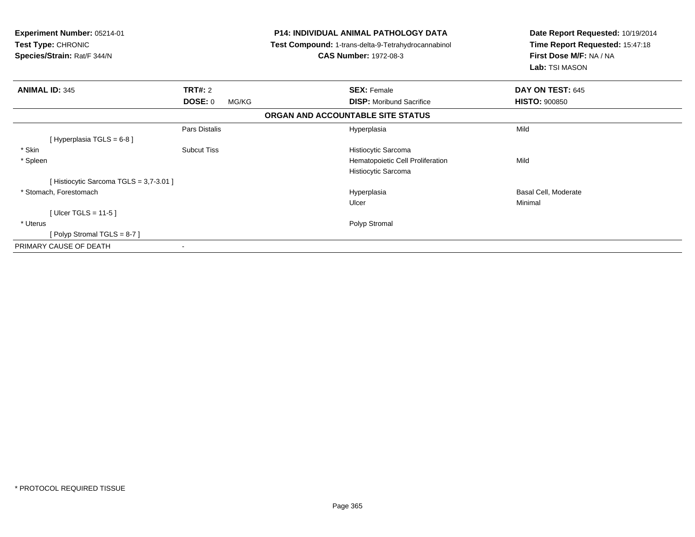| Experiment Number: 05214-01<br><b>Test Type: CHRONIC</b><br>Species/Strain: Rat/F 344/N | <b>P14: INDIVIDUAL ANIMAL PATHOLOGY DATA</b><br>Test Compound: 1-trans-delta-9-Tetrahydrocannabinol<br><b>CAS Number: 1972-08-3</b> |                                                         | Date Report Requested: 10/19/2014<br>Time Report Requested: 15:47:18<br>First Dose M/F: NA / NA<br>Lab: TSI MASON |
|-----------------------------------------------------------------------------------------|-------------------------------------------------------------------------------------------------------------------------------------|---------------------------------------------------------|-------------------------------------------------------------------------------------------------------------------|
| <b>ANIMAL ID: 345</b>                                                                   | TRT#: 2                                                                                                                             | <b>SEX: Female</b>                                      | DAY ON TEST: 645                                                                                                  |
|                                                                                         | <b>DOSE: 0</b><br>MG/KG                                                                                                             | <b>DISP:</b> Moribund Sacrifice                         | <b>HISTO: 900850</b>                                                                                              |
|                                                                                         |                                                                                                                                     | ORGAN AND ACCOUNTABLE SITE STATUS                       |                                                                                                                   |
| [ Hyperplasia TGLS = 6-8 ]                                                              | Pars Distalis                                                                                                                       | Hyperplasia                                             | Mild                                                                                                              |
| * Skin                                                                                  | <b>Subcut Tiss</b>                                                                                                                  | Histiocytic Sarcoma                                     |                                                                                                                   |
| * Spleen                                                                                |                                                                                                                                     | Hematopoietic Cell Proliferation<br>Histiocytic Sarcoma | Mild                                                                                                              |
| [Histiocytic Sarcoma TGLS = 3,7-3.01]                                                   |                                                                                                                                     |                                                         |                                                                                                                   |
| * Stomach, Forestomach                                                                  |                                                                                                                                     | Hyperplasia<br>Ulcer                                    | Basal Cell, Moderate<br>Minimal                                                                                   |
| [Ulcer TGLS = 11-5]                                                                     |                                                                                                                                     |                                                         |                                                                                                                   |
| * Uterus                                                                                |                                                                                                                                     | Polyp Stromal                                           |                                                                                                                   |
| [Polyp Stromal TGLS = 8-7]                                                              |                                                                                                                                     |                                                         |                                                                                                                   |
| PRIMARY CAUSE OF DEATH                                                                  | $\overline{\phantom{a}}$                                                                                                            |                                                         |                                                                                                                   |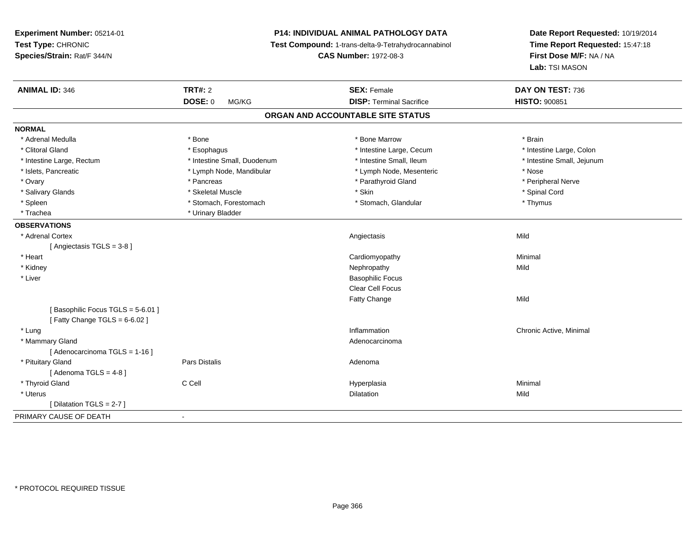**Experiment Number:** 05214-01**Test Type:** CHRONIC **Species/Strain:** Rat/F 344/N**P14: INDIVIDUAL ANIMAL PATHOLOGY DATA Test Compound:** 1-trans-delta-9-Tetrahydrocannabinol **CAS Number:** 1972-08-3**Date Report Requested:** 10/19/2014**Time Report Requested:** 15:47:18**First Dose M/F:** NA / NA**Lab:** TSI MASON**ANIMAL ID:** 346**TRT#:** 2 **SEX:** Female **DAY ON TEST:** 736 **DOSE:** 0 MG/KG **DISP:** Terminal Sacrifice **HISTO:** <sup>900851</sup> **ORGAN AND ACCOUNTABLE SITE STATUSNORMAL**\* Adrenal Medulla \* \* Annual Medulla \* Brain \* Bone \* \* Bone Marrow \* Bone Marrow \* \* Brain \* Brain \* Brain \* Brain \* Brain \* Brain \* Brain \* Brain \* Brain \* Brain \* Brain \* Brain \* Brain \* Brain \* Brain \* Brain \* Brain \* \* Intestine Large, Colon \* Clitoral Gland \* **Exophagus \* Exophagus \*** The strain that the large, Cecum \* intestine Large, Cecum \* Intestine Large, Rectum \* Thestine Small, Duodenum \* Number of the small, Ileum \* Intestine Small, Jejunum \* Intestine Small, Jejunum \* Islets, Pancreatic \* Lymph Node, Mandibular \* Lymph Node, Mesenteric \* Nose\* Peripheral Nerve \* Ovary \* And the second of the second of the second version of the second version of the second version of the second version of the second version of the second version of the second version of the second version of the \* Salivary Glands \* \* Steeden \* \* Skeletal Muscle \* \* Skin \* \* Skin \* \* Steeden \* Spinal Cord \* Spinal Cord \* Spinal Cord \* Spinal Cord \* Spinal Cord \* Spinal Cord \* Spinal Cord \* Spinal Cord \* Spinal Cord \* Spinal Cord \* \* Spleen \* Stomach, Forestomach \* Stomach \* Stomach, Glandular \* Thymus \* Thymus \* Trachea \* Urinary Bladder**OBSERVATIONS** \* Adrenal Cortexx and the control of the control of the control of the control of the control of the control of the control of the control of the control of the control of the control of the control of the control of the control of the co [ Angiectasis TGLS = 3-8 ] \* Heart Cardiomyopathy Minimal \* Kidneyy the control of the control of the control of the control of the control of the control of the control of the control of the control of the control of the control of the control of the control of the control of the contro \* Liver Basophilic Focus Clear Cell FocusFatty Changee Mild [ Basophilic Focus TGLS = 5-6.01 ] $[$  Fatty Change TGLS = 6-6.02  $]$  \* Lungg is a controller to the controller of the controller of the chronic Active, Minimal of the chronic Active, Minimal of the chronic Active, Minimal of the chronic Active, Minimal of the chronic Active, Minimal of the chroni \* Mammary Glandd and the control of the control of the control of the control of the control of the control of the control of the control of the control of the control of the control of the control of the control of the control of the co [ Adenocarcinoma TGLS = 1-16 ] \* Pituitary Glandd and the contract of Pars Distalis and the contract of Adenoma and Adenoma and the Adenoma and the Adenoma and  $\lambda$  $[$  Adenoma TGLS = 4-8  $]$  \* Thyroid Gland C Cell Hyperplasia Minimal \* Uteruss and the contract of the contract of the contract of the contract of the contract of the contract of the contract of the contract of the contract of the contract of the contract of the contract of the contract of the cont n Mild [ Dilatation TGLS = 2-7 ]PRIMARY CAUSE OF DEATH-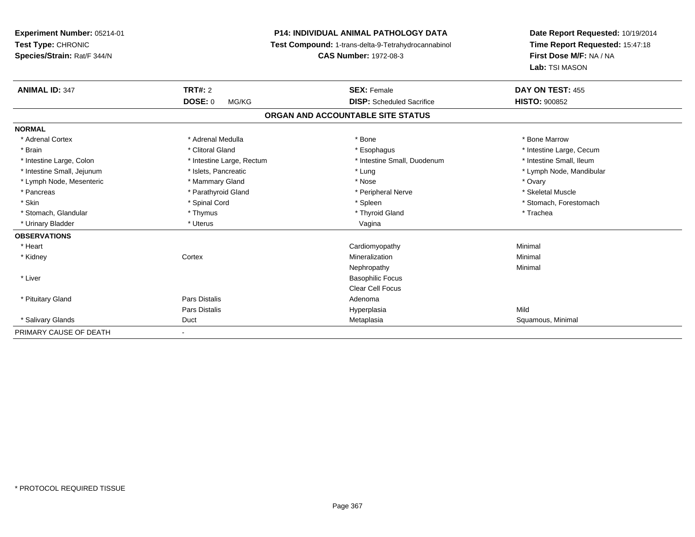**Experiment Number:** 05214-01**Test Type:** CHRONIC **Species/Strain:** Rat/F 344/N**P14: INDIVIDUAL ANIMAL PATHOLOGY DATA Test Compound:** 1-trans-delta-9-Tetrahydrocannabinol **CAS Number:** 1972-08-3**Date Report Requested:** 10/19/2014**Time Report Requested:** 15:47:18**First Dose M/F:** NA / NA**Lab:** TSI MASON**ANIMAL ID:** 347**TRT#:** 2 **SEX:** Female **DAY ON TEST:** 455 **DOSE:** 0 MG/KG **DISP:** Scheduled Sacrifice **HISTO:** <sup>900852</sup> **ORGAN AND ACCOUNTABLE SITE STATUSNORMAL**\* Adrenal Cortex \* Adrenal Medulla \* Adrenal Medulla \* Bone \* Bone \* Bone \* Bone \* Bone Marrow \* Brain \* Alternation of the state of the state of the state of the state of the state of the state of the state of the state of the state of the state of the state of the state of the state of the state of the state of th \* Intestine Small, Ileum \* Intestine Large, Colon \* Intestine Large, Rectum \* Intestine Small, Duodenum \* Intestine Small, Duodenum \* Intestine Small, Jejunum \* \* \* https://www.fat.com/setter/educition/setter/filesophysics.com/setter/filesophysics.com/setter/filesophysics.com/setter/filesophysics.com/setter/filesophysics.com/setter/filesophysics.com/se \* Lymph Node, Mesenteric \* \* \* Mammary Gland \* \* Nose \* Nose \* Ovary \* Ovary \* Ovary \* Ovary \* Ovary \* Ovary \* Ovary \* Skeletal Muscle \* Pancreas \* And the section of the section of the section of the section of the section of the section of the section of the section of the section of the section of the section of the section of the section of the sectio \* Skin \* Spinal Cord \* Spinal Cord \* Spinal Cord \* Spinal \* Spinal \* Stomach, Forestomach \* Stomach, Forestomach \* Stomach, Glandular \* Thymus \* Thymus \* Thymus \* Thyroid Gland \* Thyroid Gland \* Thachea \* Urinary Bladder \* North and the state of the state of the Uterus \* Uterus \* Urinary Bladder \* Uterus \* Vagina **OBSERVATIONS** \* Heart Cardiomyopathy Minimal \* Kidneyy which is a context of the Cortext of the Cortext of the Cortext of the Mineralization n Minimal Nephropathyy the contract of the Minimal Minimal Section 1996 and the contract of the Minimal Section 1997 and the contract of the contract of the contract of the contract of the contract of the contract of the contract of the contra \* Liver Basophilic Focus Clear Cell Focus \* Pituitary Glandd and the contract of Pars Distalis and the contract of Adenoma and Adenoma and the Adenoma and the Adenoma and  $\lambda$ Pars Distalis Hyperplasiaa Mild \* Salivary Glands Duct MetaplasiaMetaplasia **Matatagara ang pangyayan ng Papamatang Says** Squamous, Minimal PRIMARY CAUSE OF DEATH-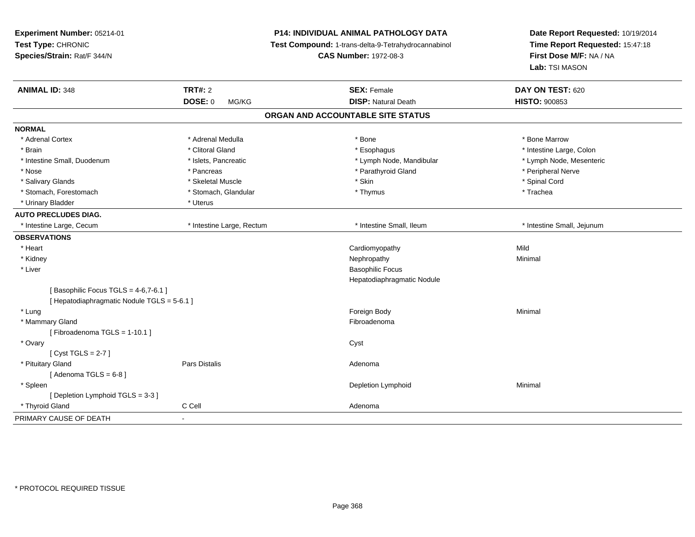| Experiment Number: 05214-01<br>Test Type: CHRONIC<br>Species/Strain: Rat/F 344/N |                           | P14: INDIVIDUAL ANIMAL PATHOLOGY DATA<br>Test Compound: 1-trans-delta-9-Tetrahydrocannabinol<br><b>CAS Number: 1972-08-3</b> | Date Report Requested: 10/19/2014<br>Time Report Requested: 15:47:18<br>First Dose M/F: NA / NA<br>Lab: TSI MASON |
|----------------------------------------------------------------------------------|---------------------------|------------------------------------------------------------------------------------------------------------------------------|-------------------------------------------------------------------------------------------------------------------|
| <b>ANIMAL ID: 348</b>                                                            | <b>TRT#: 2</b>            | <b>SEX: Female</b>                                                                                                           | DAY ON TEST: 620                                                                                                  |
|                                                                                  | <b>DOSE: 0</b><br>MG/KG   | <b>DISP: Natural Death</b>                                                                                                   | <b>HISTO: 900853</b>                                                                                              |
|                                                                                  |                           | ORGAN AND ACCOUNTABLE SITE STATUS                                                                                            |                                                                                                                   |
| <b>NORMAL</b>                                                                    |                           |                                                                                                                              |                                                                                                                   |
| * Adrenal Cortex                                                                 | * Adrenal Medulla         | * Bone                                                                                                                       | * Bone Marrow                                                                                                     |
| * Brain                                                                          | * Clitoral Gland          | * Esophagus                                                                                                                  | * Intestine Large, Colon                                                                                          |
| * Intestine Small, Duodenum                                                      | * Islets, Pancreatic      | * Lymph Node, Mandibular                                                                                                     | * Lymph Node, Mesenteric                                                                                          |
| * Nose                                                                           | * Pancreas                | * Parathyroid Gland                                                                                                          | * Peripheral Nerve                                                                                                |
| * Salivary Glands                                                                | * Skeletal Muscle         | * Skin                                                                                                                       | * Spinal Cord                                                                                                     |
| * Stomach, Forestomach                                                           | * Stomach, Glandular      | * Thymus                                                                                                                     | * Trachea                                                                                                         |
| * Urinary Bladder                                                                | * Uterus                  |                                                                                                                              |                                                                                                                   |
| <b>AUTO PRECLUDES DIAG.</b>                                                      |                           |                                                                                                                              |                                                                                                                   |
| * Intestine Large, Cecum                                                         | * Intestine Large, Rectum | * Intestine Small, Ileum                                                                                                     | * Intestine Small, Jejunum                                                                                        |
| <b>OBSERVATIONS</b>                                                              |                           |                                                                                                                              |                                                                                                                   |
| * Heart                                                                          |                           | Cardiomyopathy                                                                                                               | Mild                                                                                                              |
| * Kidney                                                                         |                           | Nephropathy                                                                                                                  | Minimal                                                                                                           |
| * Liver                                                                          |                           | <b>Basophilic Focus</b>                                                                                                      |                                                                                                                   |
|                                                                                  |                           | Hepatodiaphragmatic Nodule                                                                                                   |                                                                                                                   |
| [Basophilic Focus TGLS = 4-6,7-6.1]                                              |                           |                                                                                                                              |                                                                                                                   |
| [ Hepatodiaphragmatic Nodule TGLS = 5-6.1 ]                                      |                           |                                                                                                                              |                                                                                                                   |
| * Lung                                                                           |                           | Foreign Body                                                                                                                 | Minimal                                                                                                           |
| * Mammary Gland                                                                  |                           | Fibroadenoma                                                                                                                 |                                                                                                                   |
| [Fibroadenoma TGLS = 1-10.1]                                                     |                           |                                                                                                                              |                                                                                                                   |
| * Ovary                                                                          |                           | Cyst                                                                                                                         |                                                                                                                   |
| [Cyst TGLS = $2-7$ ]                                                             |                           |                                                                                                                              |                                                                                                                   |
| * Pituitary Gland                                                                | Pars Distalis             | Adenoma                                                                                                                      |                                                                                                                   |
| [Adenoma TGLS = $6-8$ ]                                                          |                           |                                                                                                                              |                                                                                                                   |
| * Spleen                                                                         |                           | Depletion Lymphoid                                                                                                           | Minimal                                                                                                           |
| [Depletion Lymphoid TGLS = 3-3]                                                  |                           |                                                                                                                              |                                                                                                                   |
| * Thyroid Gland                                                                  | C Cell                    | Adenoma                                                                                                                      |                                                                                                                   |
| PRIMARY CAUSE OF DEATH                                                           |                           |                                                                                                                              |                                                                                                                   |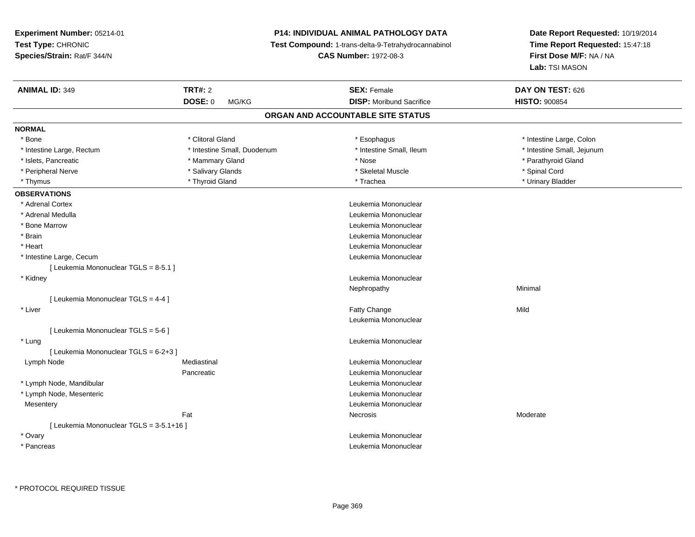# **P14: INDIVIDUAL ANIMAL PATHOLOGY DATA**

**Test Compound:** 1-trans-delta-9-Tetrahydrocannabinol

**CAS Number:** 1972-08-3

| <b>ANIMAL ID: 349</b>                    | <b>TRT#: 2</b>              | <b>SEX: Female</b>                | DAY ON TEST: 626           |  |
|------------------------------------------|-----------------------------|-----------------------------------|----------------------------|--|
|                                          | DOSE: 0<br>MG/KG            | <b>DISP: Moribund Sacrifice</b>   | <b>HISTO: 900854</b>       |  |
|                                          |                             | ORGAN AND ACCOUNTABLE SITE STATUS |                            |  |
| <b>NORMAL</b>                            |                             |                                   |                            |  |
| * Bone                                   | * Clitoral Gland            | * Esophagus                       | * Intestine Large, Colon   |  |
| * Intestine Large, Rectum                | * Intestine Small, Duodenum | * Intestine Small, Ileum          | * Intestine Small, Jejunum |  |
| * Islets, Pancreatic                     | * Mammary Gland             | * Nose                            | * Parathyroid Gland        |  |
| * Peripheral Nerve                       | * Salivary Glands           | * Skeletal Muscle                 | * Spinal Cord              |  |
| * Thymus                                 | * Thyroid Gland             | * Trachea                         | * Urinary Bladder          |  |
| <b>OBSERVATIONS</b>                      |                             |                                   |                            |  |
| * Adrenal Cortex                         |                             | Leukemia Mononuclear              |                            |  |
| * Adrenal Medulla                        |                             | Leukemia Mononuclear              |                            |  |
| * Bone Marrow                            |                             | Leukemia Mononuclear              |                            |  |
| * Brain                                  |                             | Leukemia Mononuclear              |                            |  |
| * Heart                                  |                             | Leukemia Mononuclear              |                            |  |
| * Intestine Large, Cecum                 |                             | Leukemia Mononuclear              |                            |  |
| [ Leukemia Mononuclear TGLS = 8-5.1 ]    |                             |                                   |                            |  |
| * Kidney                                 |                             | Leukemia Mononuclear              |                            |  |
|                                          |                             | Nephropathy                       | Minimal                    |  |
| [ Leukemia Mononuclear TGLS = 4-4 ]      |                             |                                   |                            |  |
| * Liver                                  |                             | Fatty Change                      | Mild                       |  |
|                                          |                             | Leukemia Mononuclear              |                            |  |
| [Leukemia Mononuclear TGLS = 5-6]        |                             |                                   |                            |  |
| * Lung                                   |                             | Leukemia Mononuclear              |                            |  |
| [ Leukemia Mononuclear TGLS = 6-2+3 ]    |                             |                                   |                            |  |
| Lymph Node                               | Mediastinal                 | Leukemia Mononuclear              |                            |  |
|                                          | Pancreatic                  | Leukemia Mononuclear              |                            |  |
| * Lymph Node, Mandibular                 |                             | Leukemia Mononuclear              |                            |  |
| * Lymph Node, Mesenteric                 |                             | Leukemia Mononuclear              |                            |  |
| Mesentery                                |                             | Leukemia Mononuclear              |                            |  |
|                                          | Fat                         | Necrosis                          | Moderate                   |  |
| [ Leukemia Mononuclear TGLS = 3-5.1+16 ] |                             |                                   |                            |  |
| * Ovary                                  |                             | Leukemia Mononuclear              |                            |  |
| * Pancreas                               |                             | Leukemia Mononuclear              |                            |  |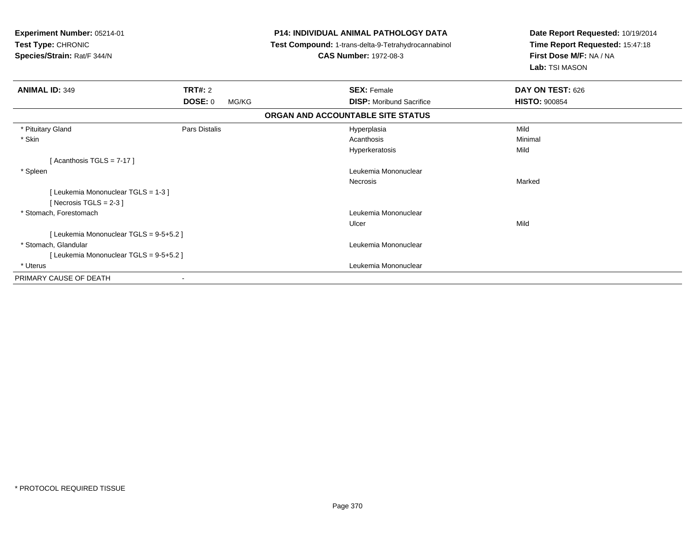| Experiment Number: 05214-01<br>Test Type: CHRONIC<br>Species/Strain: Rat/F 344/N |                |       | <b>P14: INDIVIDUAL ANIMAL PATHOLOGY DATA</b><br>Test Compound: 1-trans-delta-9-Tetrahydrocannabinol<br><b>CAS Number: 1972-08-3</b> | Date Report Requested: 10/19/2014<br>Time Report Requested: 15:47:18<br>First Dose M/F: NA / NA<br>Lab: TSI MASON |
|----------------------------------------------------------------------------------|----------------|-------|-------------------------------------------------------------------------------------------------------------------------------------|-------------------------------------------------------------------------------------------------------------------|
| <b>ANIMAL ID: 349</b>                                                            | <b>TRT#: 2</b> |       | <b>SEX: Female</b>                                                                                                                  | DAY ON TEST: 626                                                                                                  |
|                                                                                  | <b>DOSE: 0</b> | MG/KG | <b>DISP:</b> Moribund Sacrifice                                                                                                     | <b>HISTO: 900854</b>                                                                                              |
|                                                                                  |                |       | ORGAN AND ACCOUNTABLE SITE STATUS                                                                                                   |                                                                                                                   |
| * Pituitary Gland                                                                | Pars Distalis  |       | Hyperplasia                                                                                                                         | Mild                                                                                                              |
| * Skin                                                                           |                |       | Acanthosis                                                                                                                          | Minimal                                                                                                           |
|                                                                                  |                |       | Hyperkeratosis                                                                                                                      | Mild                                                                                                              |
| [Acanthosis TGLS = $7-17$ ]                                                      |                |       |                                                                                                                                     |                                                                                                                   |
| * Spleen                                                                         |                |       | Leukemia Mononuclear                                                                                                                |                                                                                                                   |
|                                                                                  |                |       | Necrosis                                                                                                                            | Marked                                                                                                            |
| [ Leukemia Mononuclear TGLS = 1-3 ]                                              |                |       |                                                                                                                                     |                                                                                                                   |
| [ Necrosis TGLS = $2-3$ ]                                                        |                |       |                                                                                                                                     |                                                                                                                   |
| * Stomach, Forestomach                                                           |                |       | Leukemia Mononuclear                                                                                                                |                                                                                                                   |
|                                                                                  |                |       | Ulcer                                                                                                                               | Mild                                                                                                              |
| [ Leukemia Mononuclear TGLS = 9-5+5.2 ]                                          |                |       |                                                                                                                                     |                                                                                                                   |
| * Stomach, Glandular                                                             |                |       | Leukemia Mononuclear                                                                                                                |                                                                                                                   |
| [ Leukemia Mononuclear TGLS = 9-5+5.2 ]                                          |                |       |                                                                                                                                     |                                                                                                                   |
| * Uterus                                                                         |                |       | Leukemia Mononuclear                                                                                                                |                                                                                                                   |
| PRIMARY CAUSE OF DEATH                                                           |                |       |                                                                                                                                     |                                                                                                                   |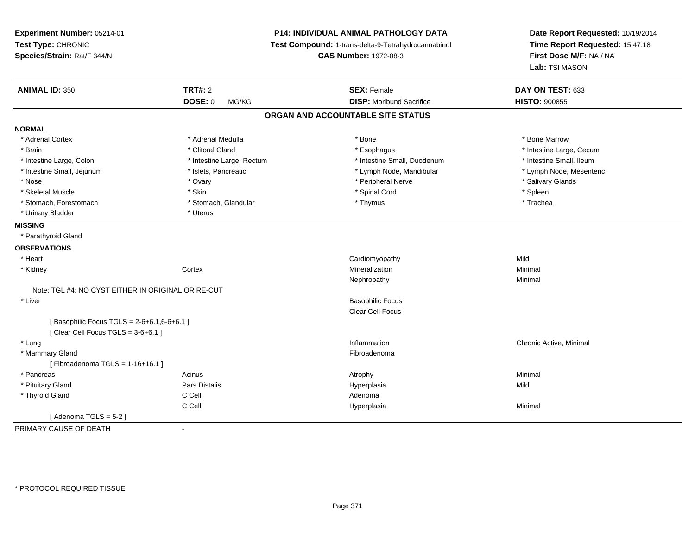| Experiment Number: 05214-01                        |                                                     | P14: INDIVIDUAL ANIMAL PATHOLOGY DATA | Date Report Requested: 10/19/2014 |
|----------------------------------------------------|-----------------------------------------------------|---------------------------------------|-----------------------------------|
| Test Type: CHRONIC                                 | Test Compound: 1-trans-delta-9-Tetrahydrocannabinol |                                       | Time Report Requested: 15:47:18   |
| Species/Strain: Rat/F 344/N                        |                                                     | <b>CAS Number: 1972-08-3</b>          | First Dose M/F: NA / NA           |
|                                                    |                                                     |                                       | Lab: TSI MASON                    |
| <b>ANIMAL ID: 350</b>                              | <b>TRT#: 2</b>                                      | <b>SEX: Female</b>                    | DAY ON TEST: 633                  |
|                                                    | <b>DOSE: 0</b><br>MG/KG                             | <b>DISP:</b> Moribund Sacrifice       | <b>HISTO: 900855</b>              |
|                                                    |                                                     | ORGAN AND ACCOUNTABLE SITE STATUS     |                                   |
| <b>NORMAL</b>                                      |                                                     |                                       |                                   |
| * Adrenal Cortex                                   | * Adrenal Medulla                                   | * Bone                                | * Bone Marrow                     |
| * Brain                                            | * Clitoral Gland                                    | * Esophagus                           | * Intestine Large, Cecum          |
| * Intestine Large, Colon                           | * Intestine Large, Rectum                           | * Intestine Small, Duodenum           | * Intestine Small, Ileum          |
| * Intestine Small, Jejunum                         | * Islets, Pancreatic                                | * Lymph Node, Mandibular              | * Lymph Node, Mesenteric          |
| * Nose                                             | * Ovary                                             | * Peripheral Nerve                    | * Salivary Glands                 |
| * Skeletal Muscle                                  | * Skin                                              | * Spinal Cord                         | * Spleen                          |
| * Stomach, Forestomach                             | * Stomach, Glandular                                | * Thymus                              | * Trachea                         |
| * Urinary Bladder                                  | * Uterus                                            |                                       |                                   |
| <b>MISSING</b>                                     |                                                     |                                       |                                   |
| * Parathyroid Gland                                |                                                     |                                       |                                   |
| <b>OBSERVATIONS</b>                                |                                                     |                                       |                                   |
| * Heart                                            |                                                     | Cardiomyopathy                        | Mild                              |
| * Kidney                                           | Cortex                                              | Mineralization                        | Minimal                           |
|                                                    |                                                     | Nephropathy                           | Minimal                           |
| Note: TGL #4: NO CYST EITHER IN ORIGINAL OR RE-CUT |                                                     |                                       |                                   |
| * Liver                                            |                                                     | <b>Basophilic Focus</b>               |                                   |
|                                                    |                                                     | Clear Cell Focus                      |                                   |
| [Basophilic Focus TGLS = 2-6+6.1,6-6+6.1]          |                                                     |                                       |                                   |
| [Clear Cell Focus TGLS = 3-6+6.1]                  |                                                     |                                       |                                   |
| * Lung                                             |                                                     | Inflammation                          | Chronic Active, Minimal           |
| * Mammary Gland                                    |                                                     | Fibroadenoma                          |                                   |
| [Fibroadenoma TGLS = $1-16+16.1$ ]                 |                                                     |                                       |                                   |
| * Pancreas                                         | Acinus                                              | Atrophy                               | Minimal                           |
| * Pituitary Gland                                  | Pars Distalis                                       | Hyperplasia                           | Mild                              |
| * Thyroid Gland                                    | C Cell                                              | Adenoma                               |                                   |
|                                                    | C Cell                                              | Hyperplasia                           | Minimal                           |
| [Adenoma TGLS = 5-2]                               |                                                     |                                       |                                   |
| PRIMARY CAUSE OF DEATH<br>$\blacksquare$           |                                                     |                                       |                                   |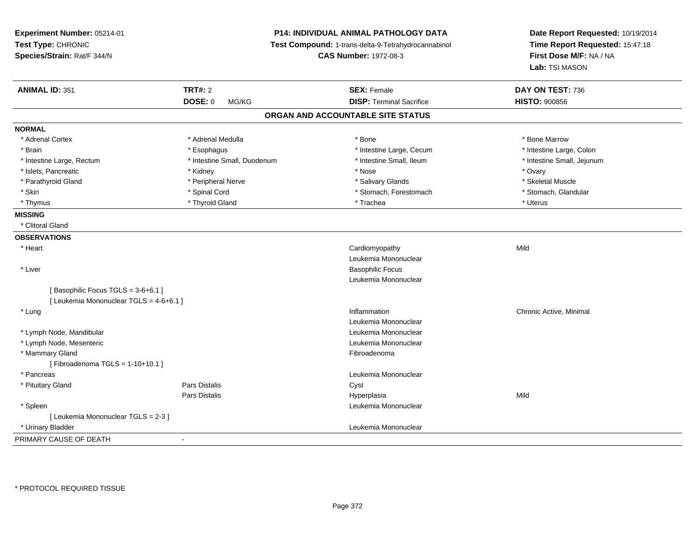| Experiment Number: 05214-01<br>Test Type: CHRONIC<br>Species/Strain: Rat/F 344/N | P14: INDIVIDUAL ANIMAL PATHOLOGY DATA<br>Test Compound: 1-trans-delta-9-Tetrahydrocannabinol<br><b>CAS Number: 1972-08-3</b> |                                   | Date Report Requested: 10/19/2014<br>Time Report Requested: 15:47:18<br>First Dose M/F: NA / NA<br>Lab: TSI MASON |
|----------------------------------------------------------------------------------|------------------------------------------------------------------------------------------------------------------------------|-----------------------------------|-------------------------------------------------------------------------------------------------------------------|
| <b>ANIMAL ID: 351</b>                                                            | TRT#: 2                                                                                                                      | <b>SEX: Female</b>                | DAY ON TEST: 736                                                                                                  |
|                                                                                  | DOSE: 0<br>MG/KG                                                                                                             | <b>DISP: Terminal Sacrifice</b>   | <b>HISTO: 900856</b>                                                                                              |
|                                                                                  |                                                                                                                              | ORGAN AND ACCOUNTABLE SITE STATUS |                                                                                                                   |
| <b>NORMAL</b>                                                                    |                                                                                                                              |                                   |                                                                                                                   |
| * Adrenal Cortex                                                                 | * Adrenal Medulla                                                                                                            | * Bone                            | * Bone Marrow                                                                                                     |
| * Brain                                                                          | * Esophagus                                                                                                                  | * Intestine Large, Cecum          | * Intestine Large, Colon                                                                                          |
| * Intestine Large, Rectum                                                        | * Intestine Small, Duodenum                                                                                                  | * Intestine Small, Ileum          | * Intestine Small, Jejunum                                                                                        |
| * Islets, Pancreatic                                                             | * Kidney                                                                                                                     | * Nose                            | * Ovary                                                                                                           |
| * Parathyroid Gland                                                              | * Peripheral Nerve                                                                                                           | * Salivary Glands                 | * Skeletal Muscle                                                                                                 |
| * Skin                                                                           | * Spinal Cord                                                                                                                | * Stomach, Forestomach            | * Stomach, Glandular                                                                                              |
| * Thymus                                                                         | * Thyroid Gland                                                                                                              | * Trachea                         | * Uterus                                                                                                          |
| <b>MISSING</b>                                                                   |                                                                                                                              |                                   |                                                                                                                   |
| * Clitoral Gland                                                                 |                                                                                                                              |                                   |                                                                                                                   |
| <b>OBSERVATIONS</b>                                                              |                                                                                                                              |                                   |                                                                                                                   |
| * Heart                                                                          |                                                                                                                              | Cardiomyopathy                    | Mild                                                                                                              |
|                                                                                  |                                                                                                                              | Leukemia Mononuclear              |                                                                                                                   |
| * Liver                                                                          |                                                                                                                              | <b>Basophilic Focus</b>           |                                                                                                                   |
|                                                                                  |                                                                                                                              | Leukemia Mononuclear              |                                                                                                                   |
| [Basophilic Focus TGLS = 3-6+6.1]                                                |                                                                                                                              |                                   |                                                                                                                   |
| [ Leukemia Mononuclear TGLS = 4-6+6.1 ]                                          |                                                                                                                              |                                   |                                                                                                                   |
| * Lung                                                                           |                                                                                                                              | Inflammation                      | Chronic Active, Minimal                                                                                           |
|                                                                                  |                                                                                                                              | Leukemia Mononuclear              |                                                                                                                   |
| * Lymph Node, Mandibular                                                         |                                                                                                                              | Leukemia Mononuclear              |                                                                                                                   |
| * Lymph Node, Mesenteric                                                         |                                                                                                                              | Leukemia Mononuclear              |                                                                                                                   |
| * Mammary Gland                                                                  |                                                                                                                              | Fibroadenoma                      |                                                                                                                   |
| [Fibroadenoma TGLS = $1-10+10.1$ ]                                               |                                                                                                                              |                                   |                                                                                                                   |
| * Pancreas                                                                       |                                                                                                                              | Leukemia Mononuclear              |                                                                                                                   |
| * Pituitary Gland                                                                | <b>Pars Distalis</b>                                                                                                         | Cyst                              |                                                                                                                   |
|                                                                                  | <b>Pars Distalis</b>                                                                                                         | Hyperplasia                       | Mild                                                                                                              |
| * Spleen                                                                         |                                                                                                                              | Leukemia Mononuclear              |                                                                                                                   |
| [ Leukemia Mononuclear TGLS = 2-3 ]                                              |                                                                                                                              |                                   |                                                                                                                   |
| * Urinary Bladder                                                                |                                                                                                                              | Leukemia Mononuclear              |                                                                                                                   |
| PRIMARY CAUSE OF DEATH                                                           | $\blacksquare$                                                                                                               |                                   |                                                                                                                   |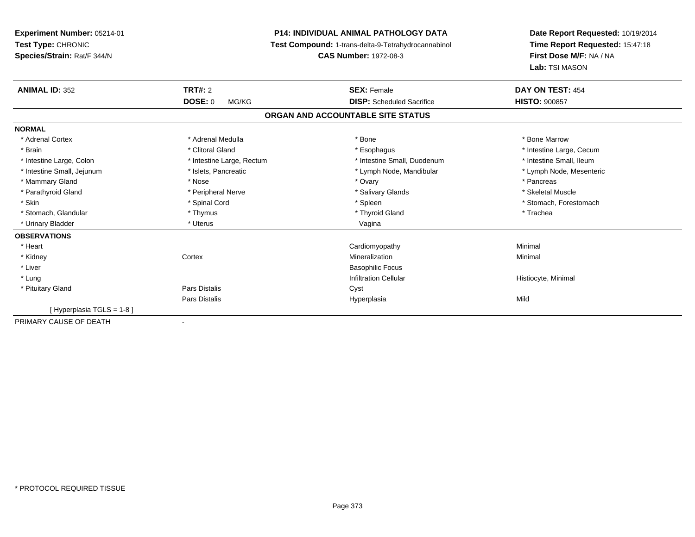**Experiment Number:** 05214-01**Test Type:** CHRONIC **Species/Strain:** Rat/F 344/N**P14: INDIVIDUAL ANIMAL PATHOLOGY DATA Test Compound:** 1-trans-delta-9-Tetrahydrocannabinol **CAS Number:** 1972-08-3**Date Report Requested:** 10/19/2014**Time Report Requested:** 15:47:18**First Dose M/F:** NA / NA**Lab:** TSI MASON**ANIMAL ID:** 352**TRT#:** 2 **SEX:** Female **DAY ON TEST:** 454 **DOSE:** 0 MG/KG **DISP:** Scheduled Sacrifice **HISTO:** <sup>900857</sup> **ORGAN AND ACCOUNTABLE SITE STATUSNORMAL**\* Adrenal Cortex \* Adrenal Medulla \* Adrenal Medulla \* Bone \* Bone \* Bone \* Bone \* Bone Marrow \* Brain \* Alternation of the state of the state of the state of the state of the state of the state of the state of the state of the state of the state of the state of the state of the state of the state of the state of th \* Intestine Small, Ileum \* Intestine Large, Colon \* Intestine Large, Rectum \* Intestine Small, Duodenum \* Intestine Small, Duodenum \* Lymph Node, Mesenteric \* Intestine Small, Jejunum \* Mandibular \* Islets, Pancreatic \* Mandibular \* Lymph Node, Mandibular \* Mammary Gland \* \* Andrew \* Nose \* \* Nose \* \* Ovary \* Ovary \* Ovary \* \* Ovary \* \* Pancreas \* \* Pancreas \* \* Pancreas \* \* Pancreas \* \* Pancreas \* \* Pancreas \* \* Pancreas \* \* Pancreas \* \* Pancreas \* \* Pancreas \* \* Pancreas \* Skeletal Muscle \* Parathyroid Gland \* \* \* And \* \* Peripheral Nerve \* \* \* Salivary Glands \* \* Salivary Glands \* \* Skeletal Muscle \* \* Skeletal Muscle \* \* Skeletal Muscle \* \* Skeletal Muscle \* \* Skeletal Muscle \* \* Skeletal Muscle \* \* Skele \* Skin \* Spinal Cord \* Spinal Cord \* Spinal Cord \* Spinal \* Spinal \* Stomach, Forestomach \* Stomach, Forestomach \* Stomach, Glandular \* Thymus \* Thymus \* Thymus \* Thyroid Gland \* Thyroid Gland \* Thachea \* Urinary Bladder \* North and the state of the state of the Uterus \* Uterus \* Urinary Bladder \* Uterus \* Vagina **OBSERVATIONS** \* Heart Cardiomyopathy Minimal \* Kidneyy which is a context of the Cortext of the Cortext of the Cortext of the Mineralization n Minimal \* Liver Basophilic FocusInfiltration Cellular \* Lungg is a construction Cellular Historyte, Minimal (1990) and the set of the construction Cellular Historyte, Minimal (1990) and the set of the construction Cellular (1990) and Historyte, Minimal (1990) and the construction \* Pituitary Glandd Cyst Constants Constants Constants Constants Constants Constants Constants Constants Constants Constants Const Pars Distalis Hyperplasiaa Mild [ Hyperplasia TGLS = 1-8 ]PRIMARY CAUSE OF DEATH-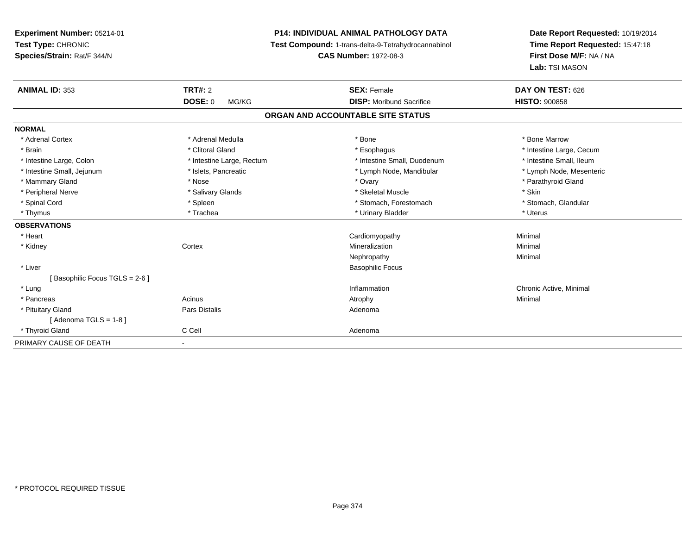**Experiment Number:** 05214-01**Test Type:** CHRONIC **Species/Strain:** Rat/F 344/N**P14: INDIVIDUAL ANIMAL PATHOLOGY DATA Test Compound:** 1-trans-delta-9-Tetrahydrocannabinol **CAS Number:** 1972-08-3**Date Report Requested:** 10/19/2014**Time Report Requested:** 15:47:18**First Dose M/F:** NA / NA**Lab:** TSI MASON**ANIMAL ID:** 353**TRT#:** 2 **SEX:** Female **DAY ON TEST:** 626 **DOSE:** 0 MG/KG **DISP:** Moribund Sacrifice **HISTO:** <sup>900858</sup> **ORGAN AND ACCOUNTABLE SITE STATUSNORMAL**\* Adrenal Cortex \* Adrenal Medulla \* Adrenal Medulla \* Bone \* Bone \* Bone \* Bone \* Bone Marrow \* Brain \* Alternation of the state of the state of the state of the state of the state of the state of the state of the state of the state of the state of the state of the state of the state of the state of the state of th \* Intestine Small, Ileum \* Intestine Large, Colon \* Intestine Large, Rectum \* Intestine Small, Duodenum \* Intestine Small, Duodenum \* Lymph Node, Mesenteric \* Intestine Small, Jejunum \* Mandibular \* Islets, Pancreatic \* Mandibular \* Lymph Node, Mandibular \* Mammary Gland \* Nose \* Nose \* Nose \* 0vary \* Ovary \* Ovary \* Chammary Gland \* Parathyroid Gland \* Parathyroid Gland \* Peripheral Nerve \* Salivary Glands \* Skeletal Muscle \* Skin\* Stomach. Glandular \* Spinal Cord **\* Stomach, Forestomach \* Spinal Cord \*** Stomach, Forestomach \* Stomach, Forestomach \* Thymus \* Trachea \* Urinary Bladder \* Uterus **OBSERVATIONS** \* Heart Cardiomyopathy Minimal \* Kidneyy which is a context of the Cortext of the Cortext of the Cortext of the Mineralization n Minimal Nephropathyy the contract of the Minimal Minimal Section 1996 and the contract of the Minimal Section 1997 and the contract of the contract of the contract of the contract of the contract of the contract of the contract of the contra \* Liver Basophilic Focus[ Basophilic Focus TGLS = 2-6 ] \* Lungg is a controller to the controller of the controller of the chronic Active, Minimal of the chronic Active, Minimal of the chronic Active, Minimal of the chronic Active, Minimal of the chronic Active, Minimal of the chroni \* Pancreass the control of the control of the control of the control of the control of the control of the control of the control of the control of the control of the control of the control of the control of the control of the contro \* Pituitary Glandd and the contract of Pars Distalis and the contract of Adenoma and Adenoma and the Adenoma and the Adenoma and  $\lambda$  $[$  Adenoma TGLS = 1-8  $]$  \* Thyroid Glandd C Cell C Cell Adenoma PRIMARY CAUSE OF DEATH-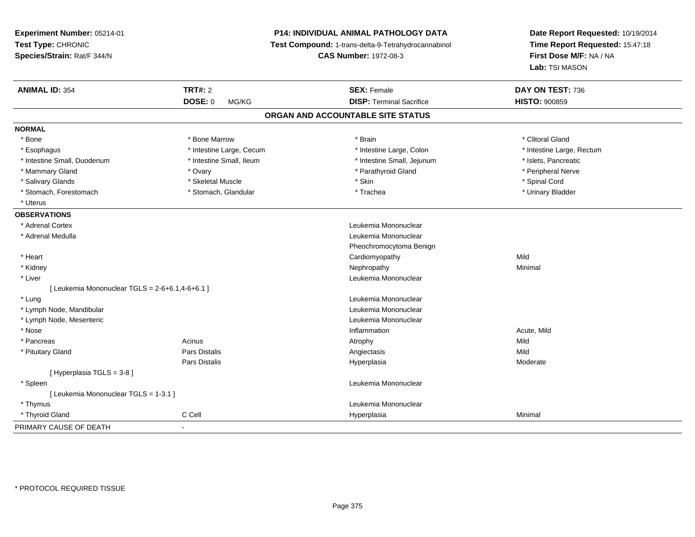| Experiment Number: 05214-01                     |                          | P14: INDIVIDUAL ANIMAL PATHOLOGY DATA               | Date Report Requested: 10/19/2014                          |
|-------------------------------------------------|--------------------------|-----------------------------------------------------|------------------------------------------------------------|
| Test Type: CHRONIC                              |                          | Test Compound: 1-trans-delta-9-Tetrahydrocannabinol | Time Report Requested: 15:47:18<br>First Dose M/F: NA / NA |
| Species/Strain: Rat/F 344/N                     |                          | <b>CAS Number: 1972-08-3</b>                        |                                                            |
|                                                 |                          |                                                     | Lab: TSI MASON                                             |
| <b>ANIMAL ID: 354</b>                           | <b>TRT#: 2</b>           | <b>SEX: Female</b>                                  | DAY ON TEST: 736                                           |
|                                                 | <b>DOSE: 0</b><br>MG/KG  | <b>DISP: Terminal Sacrifice</b>                     | <b>HISTO: 900859</b>                                       |
|                                                 |                          | ORGAN AND ACCOUNTABLE SITE STATUS                   |                                                            |
| <b>NORMAL</b>                                   |                          |                                                     |                                                            |
| * Bone                                          | * Bone Marrow            | * Brain                                             | * Clitoral Gland                                           |
| * Esophagus                                     | * Intestine Large, Cecum | * Intestine Large, Colon                            | * Intestine Large, Rectum                                  |
| * Intestine Small, Duodenum                     | * Intestine Small, Ileum | * Intestine Small, Jejunum                          | * Islets, Pancreatic                                       |
| * Mammary Gland                                 | * Ovary                  | * Parathyroid Gland                                 | * Peripheral Nerve                                         |
| * Salivary Glands                               | * Skeletal Muscle        | * Skin                                              | * Spinal Cord                                              |
| * Stomach, Forestomach                          | * Stomach, Glandular     | * Trachea                                           | * Urinary Bladder                                          |
| * Uterus                                        |                          |                                                     |                                                            |
| <b>OBSERVATIONS</b>                             |                          |                                                     |                                                            |
| * Adrenal Cortex                                |                          | Leukemia Mononuclear                                |                                                            |
| * Adrenal Medulla                               |                          | Leukemia Mononuclear                                |                                                            |
|                                                 |                          | Pheochromocytoma Benign                             |                                                            |
| * Heart                                         |                          | Cardiomyopathy                                      | Mild                                                       |
| * Kidney                                        |                          | Nephropathy                                         | Minimal                                                    |
| * Liver                                         |                          | Leukemia Mononuclear                                |                                                            |
| [ Leukemia Mononuclear TGLS = 2-6+6.1,4-6+6.1 ] |                          |                                                     |                                                            |
| * Lung                                          |                          | Leukemia Mononuclear                                |                                                            |
| * Lymph Node, Mandibular                        |                          | Leukemia Mononuclear                                |                                                            |
| * Lymph Node, Mesenteric                        |                          | Leukemia Mononuclear                                |                                                            |
| * Nose                                          |                          | Inflammation                                        | Acute, Mild                                                |
| * Pancreas                                      | Acinus                   | Atrophy                                             | Mild                                                       |
| * Pituitary Gland                               | <b>Pars Distalis</b>     | Angiectasis                                         | Mild                                                       |
|                                                 | Pars Distalis            | Hyperplasia                                         | Moderate                                                   |
| [ Hyperplasia TGLS = 3-8]                       |                          |                                                     |                                                            |
| * Spleen                                        |                          | Leukemia Mononuclear                                |                                                            |
| [ Leukemia Mononuclear TGLS = 1-3.1 ]           |                          |                                                     |                                                            |
| * Thymus                                        |                          | Leukemia Mononuclear                                |                                                            |
| * Thyroid Gland                                 | C Cell                   | Hyperplasia                                         | Minimal                                                    |
| PRIMARY CAUSE OF DEATH                          | $\overline{\phantom{0}}$ |                                                     |                                                            |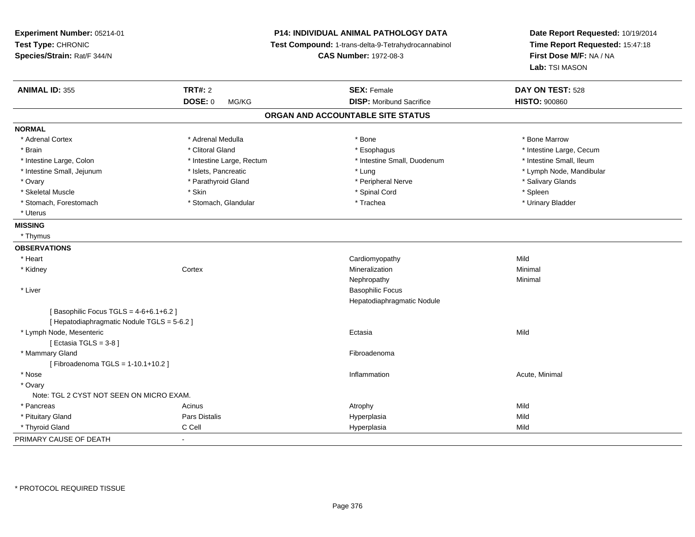| Experiment Number: 05214-01<br>Test Type: CHRONIC<br>Species/Strain: Rat/F 344/N     |                           | P14: INDIVIDUAL ANIMAL PATHOLOGY DATA<br>Test Compound: 1-trans-delta-9-Tetrahydrocannabinol<br><b>CAS Number: 1972-08-3</b> | Date Report Requested: 10/19/2014<br>Time Report Requested: 15:47:18<br>First Dose M/F: NA / NA<br>Lab: TSI MASON |
|--------------------------------------------------------------------------------------|---------------------------|------------------------------------------------------------------------------------------------------------------------------|-------------------------------------------------------------------------------------------------------------------|
| <b>ANIMAL ID: 355</b>                                                                | <b>TRT#: 2</b>            | <b>SEX: Female</b>                                                                                                           | DAY ON TEST: 528                                                                                                  |
|                                                                                      | <b>DOSE: 0</b><br>MG/KG   | <b>DISP: Moribund Sacrifice</b>                                                                                              | <b>HISTO: 900860</b>                                                                                              |
|                                                                                      |                           | ORGAN AND ACCOUNTABLE SITE STATUS                                                                                            |                                                                                                                   |
| <b>NORMAL</b>                                                                        |                           |                                                                                                                              |                                                                                                                   |
| * Adrenal Cortex                                                                     | * Adrenal Medulla         | * Bone                                                                                                                       | * Bone Marrow                                                                                                     |
| * Brain                                                                              | * Clitoral Gland          | * Esophagus                                                                                                                  | * Intestine Large, Cecum                                                                                          |
| * Intestine Large, Colon                                                             | * Intestine Large, Rectum | * Intestine Small, Duodenum                                                                                                  | * Intestine Small, Ileum                                                                                          |
| * Intestine Small, Jejunum                                                           | * Islets, Pancreatic      | * Lung                                                                                                                       | * Lymph Node, Mandibular                                                                                          |
| * Ovary                                                                              | * Parathyroid Gland       | * Peripheral Nerve                                                                                                           | * Salivary Glands                                                                                                 |
| * Skeletal Muscle                                                                    | * Skin                    | * Spinal Cord                                                                                                                | * Spleen                                                                                                          |
| * Stomach, Forestomach                                                               | * Stomach, Glandular      | * Trachea                                                                                                                    | * Urinary Bladder                                                                                                 |
| * Uterus                                                                             |                           |                                                                                                                              |                                                                                                                   |
| <b>MISSING</b>                                                                       |                           |                                                                                                                              |                                                                                                                   |
| * Thymus                                                                             |                           |                                                                                                                              |                                                                                                                   |
| <b>OBSERVATIONS</b>                                                                  |                           |                                                                                                                              |                                                                                                                   |
| * Heart                                                                              |                           | Cardiomyopathy                                                                                                               | Mild                                                                                                              |
| * Kidney                                                                             | Cortex                    | Mineralization                                                                                                               | Minimal                                                                                                           |
|                                                                                      |                           | Nephropathy                                                                                                                  | Minimal                                                                                                           |
| * Liver                                                                              |                           | <b>Basophilic Focus</b>                                                                                                      |                                                                                                                   |
|                                                                                      |                           | Hepatodiaphragmatic Nodule                                                                                                   |                                                                                                                   |
| [Basophilic Focus TGLS = 4-6+6.1+6.2]<br>[ Hepatodiaphragmatic Nodule TGLS = 5-6.2 ] |                           |                                                                                                                              |                                                                                                                   |
| * Lymph Node, Mesenteric<br>[Ectasia TGLS = 3-8]                                     |                           | Ectasia                                                                                                                      | Mild                                                                                                              |
| * Mammary Gland<br>[Fibroadenoma TGLS = 1-10.1+10.2]                                 |                           | Fibroadenoma                                                                                                                 |                                                                                                                   |
| * Nose                                                                               |                           | Inflammation                                                                                                                 | Acute, Minimal                                                                                                    |
| * Ovary                                                                              |                           |                                                                                                                              |                                                                                                                   |
| Note: TGL 2 CYST NOT SEEN ON MICRO EXAM.                                             |                           |                                                                                                                              |                                                                                                                   |
| * Pancreas                                                                           | Acinus                    | Atrophy                                                                                                                      | Mild                                                                                                              |
| * Pituitary Gland                                                                    | <b>Pars Distalis</b>      | Hyperplasia                                                                                                                  | Mild                                                                                                              |
| * Thyroid Gland                                                                      | C Cell                    | Hyperplasia                                                                                                                  | Mild                                                                                                              |
| PRIMARY CAUSE OF DEATH                                                               | ä,                        |                                                                                                                              |                                                                                                                   |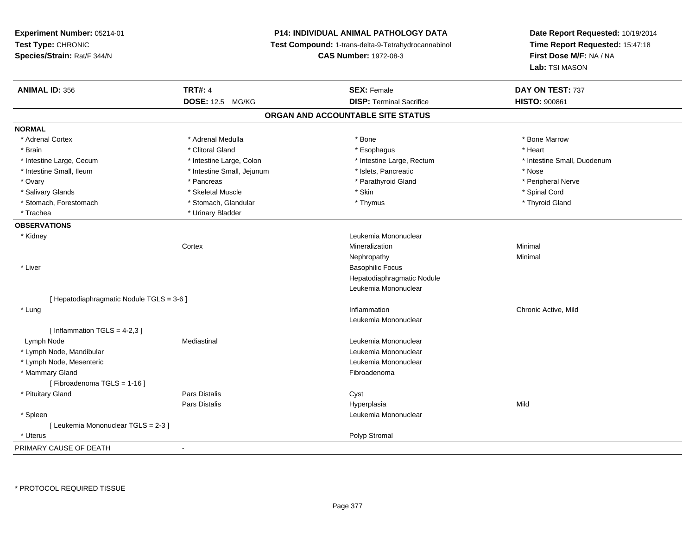**Experiment Number:** 05214-01**Test Type:** CHRONIC **Species/Strain:** Rat/F 344/N**P14: INDIVIDUAL ANIMAL PATHOLOGY DATA Test Compound:** 1-trans-delta-9-Tetrahydrocannabinol **CAS Number:** 1972-08-3**Date Report Requested:** 10/19/2014**Time Report Requested:** 15:47:18**First Dose M/F:** NA / NA**Lab:** TSI MASON**ANIMAL ID:** 356**6 DAY ON TEST:** 737 **DOSE:** 12.5 MG/KG**DISP:** Terminal Sacrifice **HISTO:** 900861 **ORGAN AND ACCOUNTABLE SITE STATUSNORMAL**\* Adrenal Cortex \* Adrenal Medulla \* Adrenal Medulla \* Bone \* Bone \* Bone \* Bone \* Bone Marrow \* Brain \* Alternative of the state of the state of the state of the state of the state of the state of the state of the state of the state of the state of the state of the state of the state of the state of the state of th \* Intestine Large, Cecum \* Intestine Large, Colon \* Intestine Large, Rectum \* Intestine Small, Duodenum \* Intestine Small, Ileum \* Intestine Small, Jejunum \* Islets, Pancreatic \* Nose\* Peripheral Nerve \* Ovary \* And the second of the second of the second version of the second version of the second version of the second version of the second version of the second version of the second version of the second version of the \* Salivary Glands \* \* Steeden \* \* Skeletal Muscle \* \* Skin \* \* Skin \* \* Steeden \* Spinal Cord \* Spinal Cord \* Spinal Cord \* Spinal Cord \* Spinal Cord \* Spinal Cord \* Spinal Cord \* Spinal Cord \* Spinal Cord \* Spinal Cord \* \* Thyroid Gland \* Stomach, Forestomach \* Thymus \* Stomach, Glandular \* Thymus \* Thymus \* Thymus \* Thymus \* Thymus \* Thymus \* Thymus \* Thymus \* Thymus \* Thymus \* Thymus \* Thymus \* Thymus \* Thymus \* Thymus \* Thymus \* Thymus \* Thymus \* Thymu \* Trachea \* Urinary Bladder**OBSERVATIONS** \* Kidney Leukemia Mononuclear **Cortex**  Mineralizationn Minimal Nephropathyy the contract of the Minimal Minimal Section 1996 and the contract of the Minimal Section 1997 and the contract of the contract of the contract of the contract of the contract of the contract of the contract of the contra \* Liver Basophilic Focus Hepatodiaphragmatic NoduleLeukemia Mononuclear[ Hepatodiaphragmatic Nodule TGLS = 3-6 ] \* Lungg is a controller to the controller of the controller of the controller of the controller of the chronic Active, Mild Leukemia Mononuclear $[$  Inflammation TGLS = 4-2,3  $]$  Lymph NodeMediastinal **Mediastinal** Mononuclear **Leukemia Mononuclear**  \* Lymph Node, Mandibular Leukemia Mononuclear \* Lymph Node, Mesenteric Leukemia Mononuclear \* Mammary Glandd **Exercía de Santo Constituída e a constituída e a constituída e a constituída e a constituída e a constituída**<br>Exercípcio [ Fibroadenoma TGLS = 1-16 ] \* Pituitary Glandd Cyst Constants Constants Constants Constants Constants Constants Constants Constants Constants Constants Const Pars Distalis Hyperplasiaa Mild \* Spleen Leukemia Mononuclear [ Leukemia Mononuclear TGLS = 2-3 ] \* Uteruss and the contract of the contract of the contract of the contract of the contract of the contract of the contract of the contract of the contract of the contract of the contract of the contract of the contract of the cont PRIMARY CAUSE OF DEATH-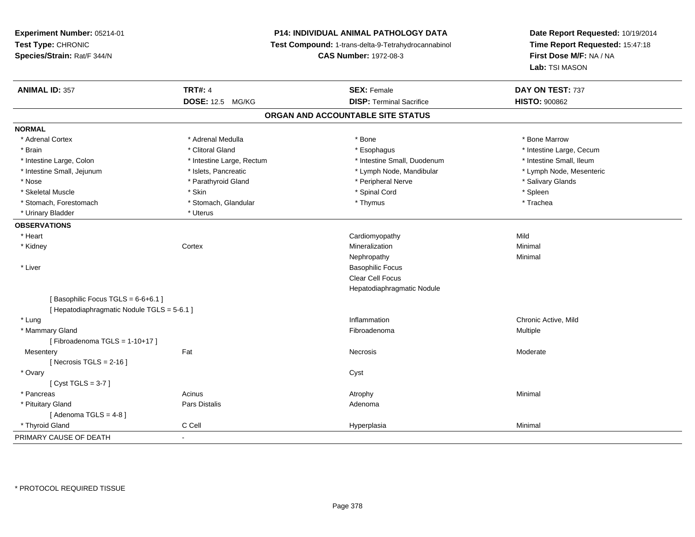# **P14: INDIVIDUAL ANIMAL PATHOLOGY DATA**

**Test Compound:** 1-trans-delta-9-Tetrahydrocannabinol

**CAS Number:** 1972-08-3

| <b>ANIMAL ID: 357</b>                       | <b>TRT#: 4</b>            | <b>SEX: Female</b>              | DAY ON TEST: 737         |  |  |
|---------------------------------------------|---------------------------|---------------------------------|--------------------------|--|--|
|                                             | DOSE: 12.5 MG/KG          | <b>DISP: Terminal Sacrifice</b> | <b>HISTO: 900862</b>     |  |  |
| ORGAN AND ACCOUNTABLE SITE STATUS           |                           |                                 |                          |  |  |
| <b>NORMAL</b>                               |                           |                                 |                          |  |  |
| * Adrenal Cortex                            | * Adrenal Medulla         | * Bone                          | * Bone Marrow            |  |  |
| * Brain                                     | * Clitoral Gland          | * Esophagus                     | * Intestine Large, Cecum |  |  |
| * Intestine Large, Colon                    | * Intestine Large, Rectum | * Intestine Small, Duodenum     | * Intestine Small, Ileum |  |  |
| * Intestine Small, Jejunum                  | * Islets, Pancreatic      | * Lymph Node, Mandibular        | * Lymph Node, Mesenteric |  |  |
| * Nose                                      | * Parathyroid Gland       | * Peripheral Nerve              | * Salivary Glands        |  |  |
| * Skeletal Muscle                           | * Skin                    | * Spinal Cord                   | * Spleen                 |  |  |
| * Stomach, Forestomach                      | * Stomach, Glandular      | * Thymus                        | * Trachea                |  |  |
| * Urinary Bladder                           | * Uterus                  |                                 |                          |  |  |
| <b>OBSERVATIONS</b>                         |                           |                                 |                          |  |  |
| * Heart                                     |                           | Cardiomyopathy                  | Mild                     |  |  |
| * Kidney                                    | Cortex                    | Mineralization                  | Minimal                  |  |  |
|                                             |                           | Nephropathy                     | Minimal                  |  |  |
| * Liver                                     |                           | <b>Basophilic Focus</b>         |                          |  |  |
|                                             |                           | <b>Clear Cell Focus</b>         |                          |  |  |
|                                             |                           | Hepatodiaphragmatic Nodule      |                          |  |  |
| [Basophilic Focus TGLS = 6-6+6.1]           |                           |                                 |                          |  |  |
| [ Hepatodiaphragmatic Nodule TGLS = 5-6.1 ] |                           |                                 |                          |  |  |
| * Lung                                      |                           | Inflammation                    | Chronic Active, Mild     |  |  |
| * Mammary Gland                             |                           | Fibroadenoma                    | Multiple                 |  |  |
| [Fibroadenoma TGLS = $1-10+17$ ]            |                           |                                 |                          |  |  |
| Mesentery                                   | Fat                       | Necrosis                        | Moderate                 |  |  |
| [Necrosis TGLS = $2-16$ ]                   |                           |                                 |                          |  |  |
| * Ovary                                     |                           | Cyst                            |                          |  |  |
| [Cyst TGLS = $3-7$ ]                        |                           |                                 |                          |  |  |
| * Pancreas                                  | Acinus                    | Atrophy                         | Minimal                  |  |  |
| * Pituitary Gland                           | Pars Distalis             | Adenoma                         |                          |  |  |
| [Adenoma TGLS = $4-8$ ]                     |                           |                                 |                          |  |  |
| * Thyroid Gland                             | C Cell                    | Hyperplasia                     | Minimal                  |  |  |
| PRIMARY CAUSE OF DEATH                      | $\blacksquare$            |                                 |                          |  |  |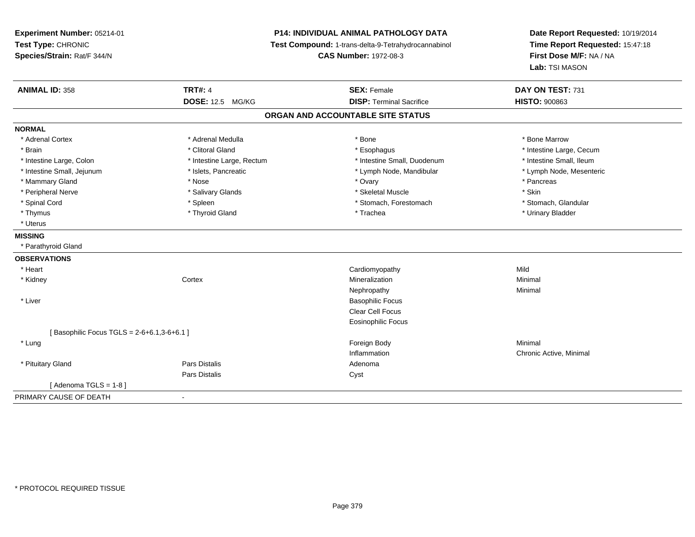**Experiment Number:** 05214-01**Test Type:** CHRONIC **Species/Strain:** Rat/F 344/N**P14: INDIVIDUAL ANIMAL PATHOLOGY DATA Test Compound:** 1-trans-delta-9-Tetrahydrocannabinol **CAS Number:** 1972-08-3**Date Report Requested:** 10/19/2014**Time Report Requested:** 15:47:18**First Dose M/F:** NA / NA**Lab:** TSI MASON**ANIMAL ID:** 358**TRT#:** 4 **SEX:** Female **SEX: Female DAY ON TEST:** 731 **DOSE:** 12.5 MG/KG **DISP:** Terminal Sacrifice **HISTO:** <sup>900863</sup> **ORGAN AND ACCOUNTABLE SITE STATUSNORMAL**\* Adrenal Cortex \* Adrenal Medulla \* Adrenal Medulla \* Bone \* Bone \* Bone \* Bone \* Bone Marrow \* Brain \* Alternation of the state of the state of the state of the state of the state of the state of the state of the state of the state of the state of the state of the state of the state of the state of the state of th \* Intestine Small, Ileum \* Intestine Large, Colon \* Intestine Large, Rectum \* Intestine Small, Duodenum \* Intestine Small, Duodenum \* Lymph Node, Mesenteric \* Intestine Small, Jejunum \* Mandibular \* Islets, Pancreatic \* Mandibular \* Lymph Node, Mandibular \* Mammary Gland \* \* Andrew \* Nose \* \* Nose \* \* Ovary \* Ovary \* Ovary \* \* Ovary \* \* Pancreas \* \* Pancreas \* \* Pancreas \* \* Pancreas \* \* Pancreas \* \* Pancreas \* \* Pancreas \* \* Pancreas \* \* Pancreas \* \* Pancreas \* \* Pancreas \* Peripheral Nerve \* Salivary Glands \* Skeletal Muscle \* Skin\* Stomach. Glandular \* Spinal Cord \* Spinal Cord \* Spinal Cord \* Stomach, Forestomach \* Stomach, Forestomach \* Stomach, Forestomach \* Thymus \* Thyroid Gland \* Trachea \* Urinary Bladder \* \* Uterus**MISSING** \* Parathyroid Gland**OBSERVATIONS** \* Heart Cardiomyopathyy Mild Minimal \* Kidneyy the context of the context of the context of the context of the context of the context of the context of the context of the context of the context of the context of the context of the context of the context of the contex n Minimal Nephropathyy the contract of the Minimal Minimal Section 1996 and the contract of the Minimal Section 1997 and the contract of the contract of the contract of the contract of the contract of the contract of the contract of the contra \* Liver Basophilic Focus Clear Cell Focus Eosinophilic Focus $[$  Basophilic Focus TGLS = 2-6+6.1,3-6+6.1 ] \* Lungg and the state of the state of the state of the state of the state of the state of the state of the state of the state of the state of the state of the state of the state of the state of the state of the state of the stat Inflammation Chronic Active, Minimal \* Pituitary Glandd and the set of Pars Distalis and the Second Adenomal Adenomal Second Second Pars Distallis Pars Distaliss Cyst  $[$  Adenoma TGLS = 1-8  $]$ PRIMARY CAUSE OF DEATH-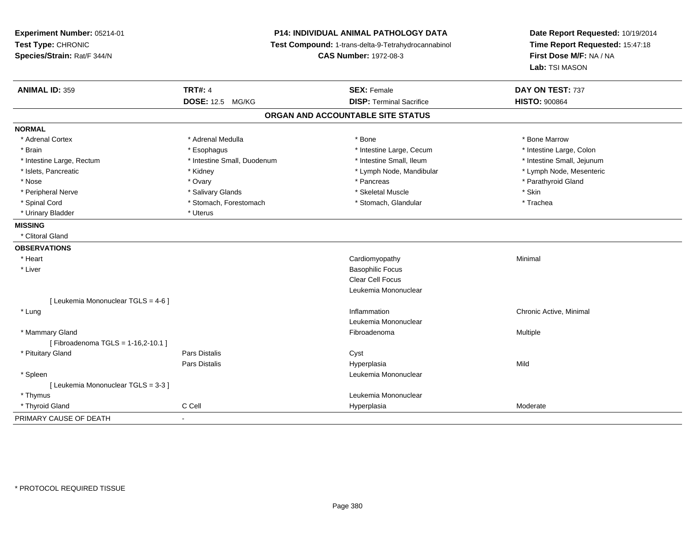**Experiment Number:** 05214-01**Test Type:** CHRONIC **Species/Strain:** Rat/F 344/N**P14: INDIVIDUAL ANIMAL PATHOLOGY DATA Test Compound:** 1-trans-delta-9-Tetrahydrocannabinol **CAS Number:** 1972-08-3**Date Report Requested:** 10/19/2014**Time Report Requested:** 15:47:18**First Dose M/F:** NA / NA**Lab:** TSI MASON**ANIMAL ID:** 359**TRT#:** 4 **SEX:** Female **SEX: Female DAY ON TEST:** 737 **DOSE:** 12.5 MG/KG**DISP:** Terminal Sacrifice **HISTO:**  $900864$ **ORGAN AND ACCOUNTABLE SITE STATUSNORMAL**\* Adrenal Cortex \* Adrenal Medulla \* Adrenal Medulla \* Bone \* Bone \* Bone \* Bone \* Bone Marrow \* Intestine Large, Colon \* Brain \* Esophagus \* Esophagus \* Esophagus \* 11testine Large, Cecum \* \* Intestine Large, Rectum \* Thestine Small, Duodenum \* Number of the small, Ileum \* Intestine Small, Jejunum \* Intestine Small, Jejunum \* Lymph Node, Mesenteric \* Islets, Pancreatic **\* Kidney \* Kidney \* And Account Account Account Account Account Account Account Account Account Account Account Account Account Account Account Account Account Account Account Account Account Account** \* Nose \* Ovary \* Pancreas \* Parathyroid Gland \* Peripheral Nerve \* Salivary Glands \* Skeletal Muscle \* Skin\* Trachea \* Spinal Cord \* Stomach, Forestomach \* Stomach \* Stomach, Glandular \* Stomach, Glandular \* Urinary Bladder \* Uterus **MISSING** \* Clitoral Gland **OBSERVATIONS** \* Heart Cardiomyopathy Minimal \* Liver Basophilic Focus Clear Cell Focus Leukemia Mononuclear[ Leukemia Mononuclear TGLS = 4-6 ] \* Lungg is a controller to the controller of the controller of the chronic Active, Minimal of the chronic Active, Minimal of the chronic Active, Minimal of the chronic Active, Minimal of the chronic Active, Minimal of the chroni Leukemia Mononuclear \* Mammary Glandd and the state of the state of the state of the state of the state of the state of the state of the state of the state of the state of the state of the state of the state of the state of the state of the state of the stat [ Fibroadenoma TGLS = 1-16,2-10.1 ] \* Pituitary Glandd Cyst Constants Constants Constants Constants Constants Constants Constants Constants Constants Constants Const Pars Distalis Hyperplasiaa Mild \* Spleen Leukemia Mononuclear [ Leukemia Mononuclear TGLS = 3-3 ] \* Thymus Leukemia Mononuclear \* Thyroid Glandd and the CCell CCell Constants of the CCell CCE of the Hyperplasia Moderate Moderate Moderate of the Moderate PRIMARY CAUSE OF DEATH-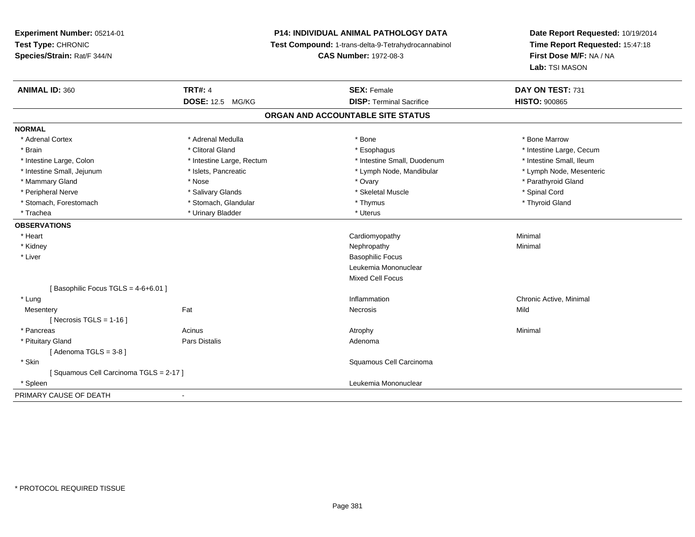# **P14: INDIVIDUAL ANIMAL PATHOLOGY DATA**

**Test Compound:** 1-trans-delta-9-Tetrahydrocannabinol

**CAS Number:** 1972-08-3

| <b>ANIMAL ID: 360</b>                 | <b>TRT#: 4</b>                    | <b>SEX: Female</b>              | DAY ON TEST: 731         |  |  |  |
|---------------------------------------|-----------------------------------|---------------------------------|--------------------------|--|--|--|
|                                       | <b>DOSE: 12.5 MG/KG</b>           | <b>DISP: Terminal Sacrifice</b> | <b>HISTO: 900865</b>     |  |  |  |
|                                       | ORGAN AND ACCOUNTABLE SITE STATUS |                                 |                          |  |  |  |
| <b>NORMAL</b>                         |                                   |                                 |                          |  |  |  |
| * Adrenal Cortex                      | * Adrenal Medulla                 | * Bone                          | * Bone Marrow            |  |  |  |
| * Brain                               | * Clitoral Gland                  | * Esophagus                     | * Intestine Large, Cecum |  |  |  |
| * Intestine Large, Colon              | * Intestine Large, Rectum         | * Intestine Small, Duodenum     | * Intestine Small, Ileum |  |  |  |
| * Intestine Small, Jejunum            | * Islets, Pancreatic              | * Lymph Node, Mandibular        | * Lymph Node, Mesenteric |  |  |  |
| * Mammary Gland                       | * Nose                            | * Ovary                         | * Parathyroid Gland      |  |  |  |
| * Peripheral Nerve                    | * Salivary Glands                 | * Skeletal Muscle               | * Spinal Cord            |  |  |  |
| * Stomach, Forestomach                | * Stomach, Glandular              | * Thymus                        | * Thyroid Gland          |  |  |  |
| * Trachea                             | * Urinary Bladder                 | * Uterus                        |                          |  |  |  |
| <b>OBSERVATIONS</b>                   |                                   |                                 |                          |  |  |  |
| * Heart                               |                                   | Cardiomyopathy                  | Minimal                  |  |  |  |
| * Kidney                              |                                   | Nephropathy                     | Minimal                  |  |  |  |
| * Liver                               |                                   | <b>Basophilic Focus</b>         |                          |  |  |  |
|                                       |                                   | Leukemia Mononuclear            |                          |  |  |  |
|                                       |                                   | Mixed Cell Focus                |                          |  |  |  |
| [Basophilic Focus TGLS = 4-6+6.01]    |                                   |                                 |                          |  |  |  |
| * Lung                                |                                   | Inflammation                    | Chronic Active, Minimal  |  |  |  |
| Mesentery                             | Fat                               | Necrosis                        | Mild                     |  |  |  |
| [ Necrosis TGLS = $1-16$ ]            |                                   |                                 |                          |  |  |  |
| * Pancreas                            | Acinus                            | Atrophy                         | Minimal                  |  |  |  |
| * Pituitary Gland                     | Pars Distalis                     | Adenoma                         |                          |  |  |  |
| [Adenoma TGLS = $3-8$ ]               |                                   |                                 |                          |  |  |  |
| * Skin                                |                                   | Squamous Cell Carcinoma         |                          |  |  |  |
| [Squamous Cell Carcinoma TGLS = 2-17] |                                   |                                 |                          |  |  |  |
| * Spleen                              |                                   | Leukemia Mononuclear            |                          |  |  |  |
| PRIMARY CAUSE OF DEATH                | $\blacksquare$                    |                                 |                          |  |  |  |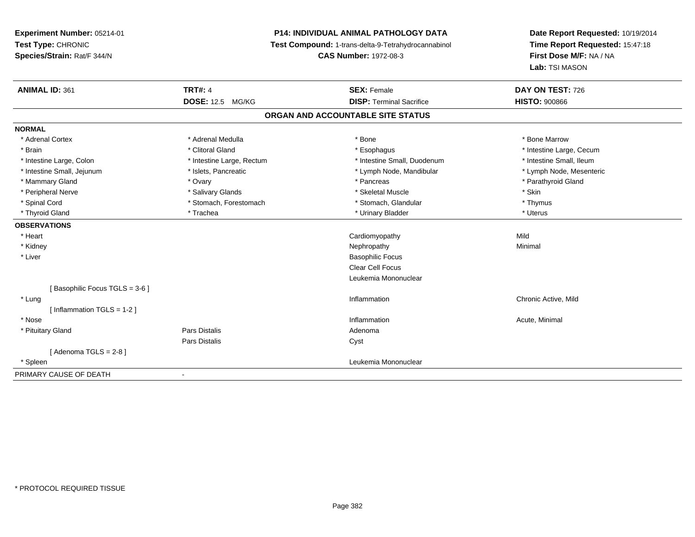# **P14: INDIVIDUAL ANIMAL PATHOLOGY DATA**

**Test Compound:** 1-trans-delta-9-Tetrahydrocannabinol

**CAS Number:** 1972-08-3

| <b>ANIMAL ID: 361</b>         | <b>TRT#: 4</b>             | <b>SEX: Female</b>                | DAY ON TEST: 726         |
|-------------------------------|----------------------------|-----------------------------------|--------------------------|
|                               | <b>DOSE: 12.5</b><br>MG/KG | <b>DISP: Terminal Sacrifice</b>   | <b>HISTO: 900866</b>     |
|                               |                            | ORGAN AND ACCOUNTABLE SITE STATUS |                          |
| <b>NORMAL</b>                 |                            |                                   |                          |
| * Adrenal Cortex              | * Adrenal Medulla          | * Bone                            | * Bone Marrow            |
| * Brain                       | * Clitoral Gland           | * Esophagus                       | * Intestine Large, Cecum |
| * Intestine Large, Colon      | * Intestine Large, Rectum  | * Intestine Small, Duodenum       | * Intestine Small, Ileum |
| * Intestine Small, Jejunum    | * Islets, Pancreatic       | * Lymph Node, Mandibular          | * Lymph Node, Mesenteric |
| * Mammary Gland               | * Ovary                    | * Pancreas                        | * Parathyroid Gland      |
| * Peripheral Nerve            | * Salivary Glands          | * Skeletal Muscle                 | * Skin                   |
| * Spinal Cord                 | * Stomach, Forestomach     | * Stomach, Glandular              | * Thymus                 |
| * Thyroid Gland               | * Trachea                  | * Urinary Bladder                 | * Uterus                 |
| <b>OBSERVATIONS</b>           |                            |                                   |                          |
| * Heart                       |                            | Cardiomyopathy                    | Mild                     |
| * Kidney                      |                            | Nephropathy                       | Minimal                  |
| * Liver                       |                            | <b>Basophilic Focus</b>           |                          |
|                               |                            | <b>Clear Cell Focus</b>           |                          |
|                               |                            | Leukemia Mononuclear              |                          |
| [Basophilic Focus TGLS = 3-6] |                            |                                   |                          |
| * Lung                        |                            | Inflammation                      | Chronic Active, Mild     |
| [Inflammation TGLS = $1-2$ ]  |                            |                                   |                          |
| * Nose                        |                            | Inflammation                      | Acute, Minimal           |
| * Pituitary Gland             | Pars Distalis              | Adenoma                           |                          |
|                               | <b>Pars Distalis</b>       | Cyst                              |                          |
| [Adenoma TGLS = $2-8$ ]       |                            |                                   |                          |
| * Spleen                      |                            | Leukemia Mononuclear              |                          |
| PRIMARY CAUSE OF DEATH        |                            |                                   |                          |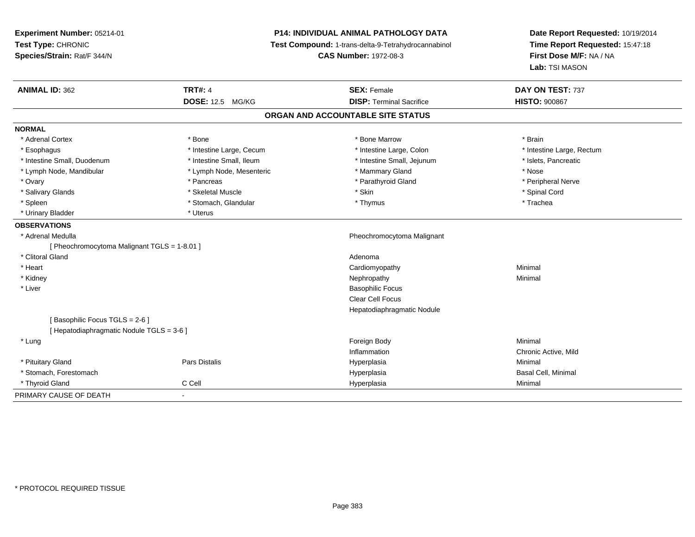| Experiment Number: 05214-01<br>Test Type: CHRONIC<br>Species/Strain: Rat/F 344/N |                          | <b>P14: INDIVIDUAL ANIMAL PATHOLOGY DATA</b><br>Test Compound: 1-trans-delta-9-Tetrahydrocannabinol<br><b>CAS Number: 1972-08-3</b> | Date Report Requested: 10/19/2014<br>Time Report Requested: 15:47:18<br>First Dose M/F: NA / NA<br>Lab: TSI MASON |
|----------------------------------------------------------------------------------|--------------------------|-------------------------------------------------------------------------------------------------------------------------------------|-------------------------------------------------------------------------------------------------------------------|
| <b>ANIMAL ID: 362</b>                                                            | <b>TRT#: 4</b>           | <b>SEX: Female</b>                                                                                                                  | DAY ON TEST: 737                                                                                                  |
|                                                                                  | <b>DOSE: 12.5 MG/KG</b>  | <b>DISP: Terminal Sacrifice</b>                                                                                                     | <b>HISTO: 900867</b>                                                                                              |
|                                                                                  |                          | ORGAN AND ACCOUNTABLE SITE STATUS                                                                                                   |                                                                                                                   |
| <b>NORMAL</b>                                                                    |                          |                                                                                                                                     |                                                                                                                   |
| * Adrenal Cortex                                                                 | * Bone                   | * Bone Marrow                                                                                                                       | * Brain                                                                                                           |
| * Esophagus                                                                      | * Intestine Large, Cecum | * Intestine Large, Colon                                                                                                            | * Intestine Large, Rectum                                                                                         |
| * Intestine Small, Duodenum                                                      | * Intestine Small, Ileum | * Intestine Small, Jejunum                                                                                                          | * Islets, Pancreatic                                                                                              |
| * Lymph Node, Mandibular                                                         | * Lymph Node, Mesenteric | * Mammary Gland                                                                                                                     | * Nose                                                                                                            |
| * Ovary                                                                          | * Pancreas               | * Parathyroid Gland                                                                                                                 | * Peripheral Nerve                                                                                                |
| * Salivary Glands                                                                | * Skeletal Muscle        | * Skin                                                                                                                              | * Spinal Cord                                                                                                     |
| * Spleen                                                                         | * Stomach, Glandular     | * Thymus                                                                                                                            | * Trachea                                                                                                         |
| * Urinary Bladder                                                                | * Uterus                 |                                                                                                                                     |                                                                                                                   |
| <b>OBSERVATIONS</b>                                                              |                          |                                                                                                                                     |                                                                                                                   |
| * Adrenal Medulla                                                                |                          | Pheochromocytoma Malignant                                                                                                          |                                                                                                                   |
| [ Pheochromocytoma Malignant TGLS = 1-8.01 ]                                     |                          |                                                                                                                                     |                                                                                                                   |
| * Clitoral Gland                                                                 |                          | Adenoma                                                                                                                             |                                                                                                                   |
| * Heart                                                                          |                          | Cardiomyopathy                                                                                                                      | Minimal                                                                                                           |
| * Kidney                                                                         |                          | Nephropathy                                                                                                                         | Minimal                                                                                                           |
| * Liver                                                                          |                          | <b>Basophilic Focus</b>                                                                                                             |                                                                                                                   |
|                                                                                  |                          | <b>Clear Cell Focus</b>                                                                                                             |                                                                                                                   |
|                                                                                  |                          | Hepatodiaphragmatic Nodule                                                                                                          |                                                                                                                   |
| [Basophilic Focus TGLS = 2-6]                                                    |                          |                                                                                                                                     |                                                                                                                   |
| [ Hepatodiaphragmatic Nodule TGLS = 3-6 ]                                        |                          |                                                                                                                                     |                                                                                                                   |
| * Lung                                                                           |                          | Foreign Body                                                                                                                        | Minimal                                                                                                           |
|                                                                                  |                          | Inflammation                                                                                                                        | Chronic Active, Mild                                                                                              |
| * Pituitary Gland                                                                | Pars Distalis            | Hyperplasia                                                                                                                         | Minimal                                                                                                           |
| * Stomach, Forestomach                                                           |                          | Hyperplasia                                                                                                                         | Basal Cell, Minimal                                                                                               |
| * Thyroid Gland                                                                  | C Cell                   | Hyperplasia                                                                                                                         | Minimal                                                                                                           |
| PRIMARY CAUSE OF DEATH                                                           | ÷.                       |                                                                                                                                     |                                                                                                                   |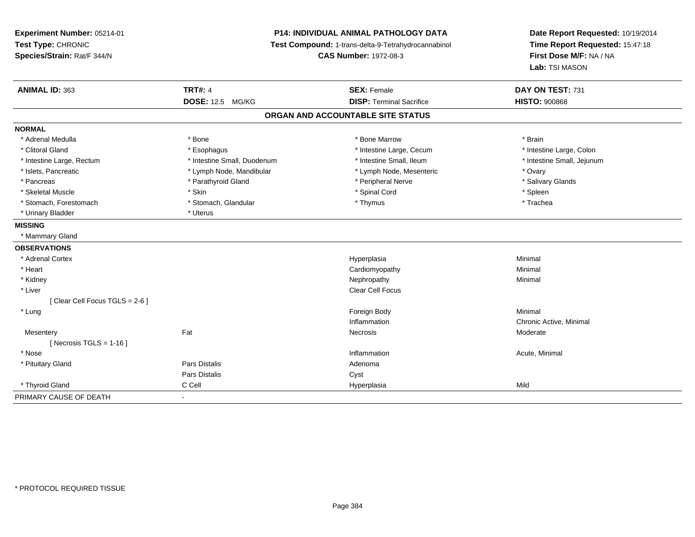**Experiment Number:** 05214-01**Test Type:** CHRONIC **Species/Strain:** Rat/F 344/N**P14: INDIVIDUAL ANIMAL PATHOLOGY DATA Test Compound:** 1-trans-delta-9-Tetrahydrocannabinol **CAS Number:** 1972-08-3**Date Report Requested:** 10/19/2014**Time Report Requested:** 15:47:18**First Dose M/F:** NA / NA**Lab:** TSI MASON**ANIMAL ID:** 363**TRT#:** 4 **SEX:** Female **SEX: Female DAY ON TEST:** 731 **DOSE:** 12.5 MG/KG **DISP:** Terminal Sacrifice **HISTO:** <sup>900868</sup> **ORGAN AND ACCOUNTABLE SITE STATUSNORMAL**\* Adrenal Medulla \* \* Annual Medulla \* Brain \* Bone \* \* Bone Marrow \* Bone Marrow \* \* Brain \* Brain \* Brain \* Brain \* Brain \* Brain \* Brain \* Brain \* Brain \* Brain \* Brain \* Brain \* Brain \* Brain \* Brain \* Brain \* Brain \* \* Intestine Large, Colon \* Clitoral Gland \* **Exophagus \* Exophagus \*** The strain that the large, Cecum \* intestine Large, Cecum \* Intestine Large, Rectum \* Thestine Small, Duodenum \* Number of the small, Ileum \* Intestine Small, Jejunum \* Intestine Small, Jejunum \* Islets, Pancreatic \* The same \* Lymph Node, Mandibular \* Lymph Node, Mesenteric \* Ovary \* Ovary \* Salivary Glands \* Pancreas \* And the section of the section of the section of the section of the section of the section of the section of the section of the section of the section of the section of the section of the section of the sectio \* Skeletal Muscle \* Skin \* Spinal Cord \* Spleen \* Trachea \* Stomach, Forestomach \* Thymus \* Stomach, Glandular \* Thymus \* Thymus \* Thymus \* Thymus \* Thymus \* Thymus \* Thymus \* Thymus \* Thymus \* Thymus \* Thymus \* Thymus \* Thymus \* Thymus \* Thymus \* Thymus \* Thymus \* Thymus \* Thymu \* Urinary Bladder \* Uterus **MISSING** \* Mammary Gland**OBSERVATIONS** \* Adrenal Cortexx and the contract of the contract of the contract of the contract of the contract of the contract of the contract of the contract of the contract of the contract of the contract of the contract of the contract of the cont a **Minimal**  \* Heart Cardiomyopathy Minimal \* Kidneyy the control of the control of the control of the control of the control of the control of the control of the control of the control of the control of the control of the control of the control of the control of the contro \* Liverr and the contract of the contract of the contract of the contract of the contract of the contract of the contract of the contract of the contract of the contract of the contract of the contract of the contract of the cont [ Clear Cell Focus TGLS = 2-6 ] \* Lungg and the state of the state of the state of the state of the state of the state of the state of the state of the state of the state of the state of the state of the state of the state of the state of the state of the stat Inflammation Chronic Active, Minimal **Mesentery** y the control of the state of the control of the Moderate of the Moderate of the Moderate of the Moderate of the Moderate of the Moderate of the Moderate of the Moderate of the Moderate of the Moderate of the Moderate of t  $[$  Necrosis TGLS = 1-16  $]$  \* Nosee the contraction of the contraction of the contraction of the contraction of the contraction of the contraction  $\mathsf{Acute}$ , Minimal \* Pituitary Glandd and the set of Pars Distalis and the Second Adenomal Adenomal Second Second Pars Distallis Pars Distaliss Cyst \* Thyroid Gland C Cell Hyperplasia Mild PRIMARY CAUSE OF DEATH-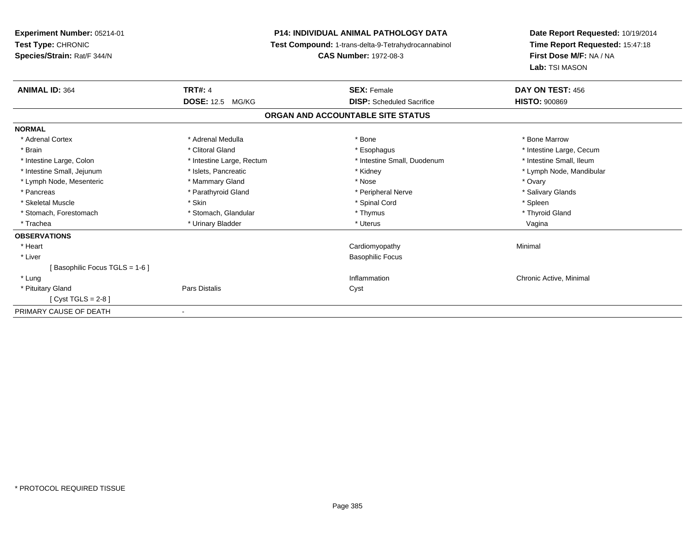**Experiment Number:** 05214-01**Test Type:** CHRONIC **Species/Strain:** Rat/F 344/N**P14: INDIVIDUAL ANIMAL PATHOLOGY DATA Test Compound:** 1-trans-delta-9-Tetrahydrocannabinol **CAS Number:** 1972-08-3**Date Report Requested:** 10/19/2014**Time Report Requested:** 15:47:18**First Dose M/F:** NA / NA**Lab:** TSI MASON**ANIMAL ID:** 364**TRT#:** 4 **SEX:** Female **DAY ON TEST:** 456 **DOSE:** 12.5 MG/KG **DISP:** Scheduled Sacrifice **HISTO:** <sup>900869</sup> **ORGAN AND ACCOUNTABLE SITE STATUSNORMAL**\* Adrenal Cortex \* Adrenal Medulla \* Adrenal Medulla \* Bone \* Bone \* Bone \* Bone \* Bone Marrow \* Brain \* Alternation of the state of the state of the state of the state of the state of the state of the state of the state of the state of the state of the state of the state of the state of the state of the state of th \* Intestine Small, Ileum \* Intestine Large, Colon \* Intestine Large, Rectum \* Intestine Small, Duodenum \* Intestine Small, Duodenum \* Intestine Small, Jejunum \* \* \* https://www.fat.com/setter/educitions/mandibular \* Kidney \* Mandibular \* Lymph Node, Mandibular \* Lymph Node, Mandibular \* Lymph Node, Mandibular \* Lymph Node, Mesenteric \* \* \* Mammary Gland \* \* Nose \* Nose \* Ovary \* Ovary \* Ovary \* Ovary \* Ovary \* Ovary \* Ovary \* Salivary Glands \* Pancreas \* And the section of the section of the section of the section of the section of the section of the section of the section of the section of the section of the section of the section of the section of the sectio \* Skeletal Muscle \* Skin \* Spinal Cord \* Spleen \* Thyroid Gland \* Stomach, Forestomach \* Thymus \* Stomach, Glandular \* Thymus \* Thymus \* Thymus \* Thymus \* Thymus \* Thymus \* Thymus \* Thymus \* Thymus \* Thymus \* Thymus \* Thymus \* Thymus \* Thymus \* Thymus \* Thymus \* Thymus \* Thymus \* Thymu \* Trachea \* Urinary Bladder \* Ninear \* Urinary Bladder \* Ninear \* Uterus \* Uterus \* Uterus \* Urinary Bladder \* Ninear \* Uterus \* Uterus \* Uterus \* Uterus \* Ninear \* Uterus \* Ninear \* Uterus \* Ninear \* Uterus \* Ninear \* Ute **OBSERVATIONS** \* Heart Cardiomyopathy Minimal \* Liver Basophilic Focus[ Basophilic Focus TGLS = 1-6 ] \* Lungg is a controller to the controller of the controller of the chronic Active, Minimal of the chronic Active, Minimal of the chronic Active, Minimal of the chronic Active, Minimal of the chronic Active, Minimal of the chroni \* Pituitary Glandd Cyst Constants Constants Constants Constants Constants Constants Constants Constants Constants Constants Const [ Cyst TGLS = 2-8 ]PRIMARY CAUSE OF DEATH-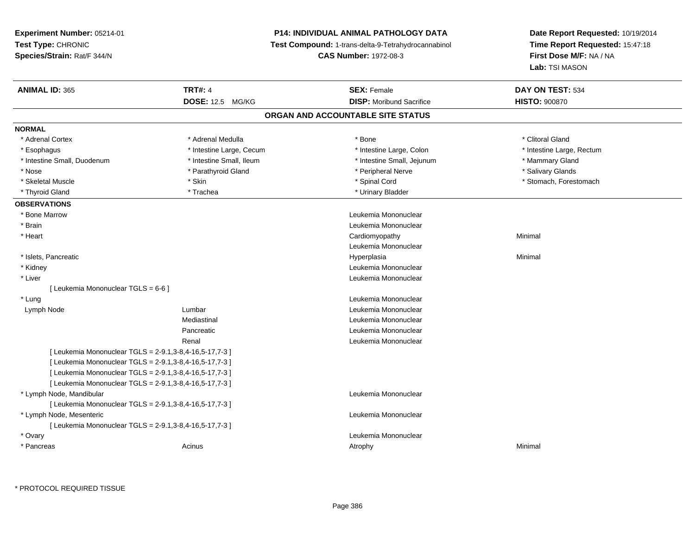# **P14: INDIVIDUAL ANIMAL PATHOLOGY DATA**

**Test Compound:** 1-trans-delta-9-Tetrahydrocannabinol

**CAS Number:** 1972-08-3

| <b>DOSE: 12.5 MG/KG</b><br><b>DISP:</b> Moribund Sacrifice<br><b>HISTO: 900870</b><br>ORGAN AND ACCOUNTABLE SITE STATUS<br><b>NORMAL</b><br>* Adrenal Cortex<br>* Adrenal Medulla<br>* Clitoral Gland<br>* Bone<br>* Esophagus<br>* Intestine Large, Cecum<br>* Intestine Large, Colon<br>* Intestine Large, Rectum<br>* Intestine Small, Ileum<br>* Intestine Small, Jejunum<br>* Intestine Small, Duodenum<br>* Mammary Gland<br>* Parathyroid Gland<br>* Salivary Glands<br>* Nose<br>* Peripheral Nerve<br>* Skeletal Muscle<br>* Skin<br>* Spinal Cord<br>* Stomach, Forestomach<br>* Trachea<br>* Urinary Bladder<br>* Thyroid Gland<br><b>OBSERVATIONS</b><br>* Bone Marrow<br>Leukemia Mononuclear<br>Leukemia Mononuclear<br>* Brain<br>* Heart<br>Cardiomyopathy<br>Minimal<br>Leukemia Mononuclear<br>* Islets, Pancreatic<br>Hyperplasia<br>Minimal<br>Leukemia Mononuclear<br>* Kidney<br>* Liver<br>Leukemia Mononuclear<br>[ Leukemia Mononuclear TGLS = 6-6 ]<br>Leukemia Mononuclear<br>* Lung<br>Leukemia Mononuclear<br>Lymph Node<br>Lumbar<br>Mediastinal<br>Leukemia Mononuclear<br>Leukemia Mononuclear<br>Pancreatic<br>Leukemia Mononuclear<br>Renal<br>[ Leukemia Mononuclear TGLS = 2-9.1,3-8,4-16,5-17,7-3 ]<br>[ Leukemia Mononuclear TGLS = 2-9.1,3-8,4-16,5-17,7-3 ]<br>[ Leukemia Mononuclear TGLS = 2-9.1,3-8,4-16,5-17,7-3 ]<br>[ Leukemia Mononuclear TGLS = 2-9.1,3-8,4-16,5-17,7-3 ]<br>Leukemia Mononuclear<br>* Lymph Node, Mandibular<br>[ Leukemia Mononuclear TGLS = 2-9.1,3-8,4-16,5-17,7-3 ]<br>Leukemia Mononuclear<br>* Lymph Node, Mesenteric<br>[ Leukemia Mononuclear TGLS = 2-9.1,3-8,4-16,5-17,7-3 ]<br>Leukemia Mononuclear<br>* Ovary<br>* Pancreas<br>Acinus<br>Minimal<br>Atrophy | <b>ANIMAL ID: 365</b> | <b>TRT#: 4</b> | <b>SEX: Female</b> | DAY ON TEST: 534 |
|------------------------------------------------------------------------------------------------------------------------------------------------------------------------------------------------------------------------------------------------------------------------------------------------------------------------------------------------------------------------------------------------------------------------------------------------------------------------------------------------------------------------------------------------------------------------------------------------------------------------------------------------------------------------------------------------------------------------------------------------------------------------------------------------------------------------------------------------------------------------------------------------------------------------------------------------------------------------------------------------------------------------------------------------------------------------------------------------------------------------------------------------------------------------------------------------------------------------------------------------------------------------------------------------------------------------------------------------------------------------------------------------------------------------------------------------------------------------------------------------------------------------------------------------------------------------------------------------------------------------------------------------------------------------------------------------------------------------------------------|-----------------------|----------------|--------------------|------------------|
|                                                                                                                                                                                                                                                                                                                                                                                                                                                                                                                                                                                                                                                                                                                                                                                                                                                                                                                                                                                                                                                                                                                                                                                                                                                                                                                                                                                                                                                                                                                                                                                                                                                                                                                                          |                       |                |                    |                  |
|                                                                                                                                                                                                                                                                                                                                                                                                                                                                                                                                                                                                                                                                                                                                                                                                                                                                                                                                                                                                                                                                                                                                                                                                                                                                                                                                                                                                                                                                                                                                                                                                                                                                                                                                          |                       |                |                    |                  |
|                                                                                                                                                                                                                                                                                                                                                                                                                                                                                                                                                                                                                                                                                                                                                                                                                                                                                                                                                                                                                                                                                                                                                                                                                                                                                                                                                                                                                                                                                                                                                                                                                                                                                                                                          |                       |                |                    |                  |
|                                                                                                                                                                                                                                                                                                                                                                                                                                                                                                                                                                                                                                                                                                                                                                                                                                                                                                                                                                                                                                                                                                                                                                                                                                                                                                                                                                                                                                                                                                                                                                                                                                                                                                                                          |                       |                |                    |                  |
|                                                                                                                                                                                                                                                                                                                                                                                                                                                                                                                                                                                                                                                                                                                                                                                                                                                                                                                                                                                                                                                                                                                                                                                                                                                                                                                                                                                                                                                                                                                                                                                                                                                                                                                                          |                       |                |                    |                  |
|                                                                                                                                                                                                                                                                                                                                                                                                                                                                                                                                                                                                                                                                                                                                                                                                                                                                                                                                                                                                                                                                                                                                                                                                                                                                                                                                                                                                                                                                                                                                                                                                                                                                                                                                          |                       |                |                    |                  |
|                                                                                                                                                                                                                                                                                                                                                                                                                                                                                                                                                                                                                                                                                                                                                                                                                                                                                                                                                                                                                                                                                                                                                                                                                                                                                                                                                                                                                                                                                                                                                                                                                                                                                                                                          |                       |                |                    |                  |
|                                                                                                                                                                                                                                                                                                                                                                                                                                                                                                                                                                                                                                                                                                                                                                                                                                                                                                                                                                                                                                                                                                                                                                                                                                                                                                                                                                                                                                                                                                                                                                                                                                                                                                                                          |                       |                |                    |                  |
|                                                                                                                                                                                                                                                                                                                                                                                                                                                                                                                                                                                                                                                                                                                                                                                                                                                                                                                                                                                                                                                                                                                                                                                                                                                                                                                                                                                                                                                                                                                                                                                                                                                                                                                                          |                       |                |                    |                  |
|                                                                                                                                                                                                                                                                                                                                                                                                                                                                                                                                                                                                                                                                                                                                                                                                                                                                                                                                                                                                                                                                                                                                                                                                                                                                                                                                                                                                                                                                                                                                                                                                                                                                                                                                          |                       |                |                    |                  |
|                                                                                                                                                                                                                                                                                                                                                                                                                                                                                                                                                                                                                                                                                                                                                                                                                                                                                                                                                                                                                                                                                                                                                                                                                                                                                                                                                                                                                                                                                                                                                                                                                                                                                                                                          |                       |                |                    |                  |
|                                                                                                                                                                                                                                                                                                                                                                                                                                                                                                                                                                                                                                                                                                                                                                                                                                                                                                                                                                                                                                                                                                                                                                                                                                                                                                                                                                                                                                                                                                                                                                                                                                                                                                                                          |                       |                |                    |                  |
|                                                                                                                                                                                                                                                                                                                                                                                                                                                                                                                                                                                                                                                                                                                                                                                                                                                                                                                                                                                                                                                                                                                                                                                                                                                                                                                                                                                                                                                                                                                                                                                                                                                                                                                                          |                       |                |                    |                  |
|                                                                                                                                                                                                                                                                                                                                                                                                                                                                                                                                                                                                                                                                                                                                                                                                                                                                                                                                                                                                                                                                                                                                                                                                                                                                                                                                                                                                                                                                                                                                                                                                                                                                                                                                          |                       |                |                    |                  |
|                                                                                                                                                                                                                                                                                                                                                                                                                                                                                                                                                                                                                                                                                                                                                                                                                                                                                                                                                                                                                                                                                                                                                                                                                                                                                                                                                                                                                                                                                                                                                                                                                                                                                                                                          |                       |                |                    |                  |
|                                                                                                                                                                                                                                                                                                                                                                                                                                                                                                                                                                                                                                                                                                                                                                                                                                                                                                                                                                                                                                                                                                                                                                                                                                                                                                                                                                                                                                                                                                                                                                                                                                                                                                                                          |                       |                |                    |                  |
|                                                                                                                                                                                                                                                                                                                                                                                                                                                                                                                                                                                                                                                                                                                                                                                                                                                                                                                                                                                                                                                                                                                                                                                                                                                                                                                                                                                                                                                                                                                                                                                                                                                                                                                                          |                       |                |                    |                  |
|                                                                                                                                                                                                                                                                                                                                                                                                                                                                                                                                                                                                                                                                                                                                                                                                                                                                                                                                                                                                                                                                                                                                                                                                                                                                                                                                                                                                                                                                                                                                                                                                                                                                                                                                          |                       |                |                    |                  |
|                                                                                                                                                                                                                                                                                                                                                                                                                                                                                                                                                                                                                                                                                                                                                                                                                                                                                                                                                                                                                                                                                                                                                                                                                                                                                                                                                                                                                                                                                                                                                                                                                                                                                                                                          |                       |                |                    |                  |
|                                                                                                                                                                                                                                                                                                                                                                                                                                                                                                                                                                                                                                                                                                                                                                                                                                                                                                                                                                                                                                                                                                                                                                                                                                                                                                                                                                                                                                                                                                                                                                                                                                                                                                                                          |                       |                |                    |                  |
|                                                                                                                                                                                                                                                                                                                                                                                                                                                                                                                                                                                                                                                                                                                                                                                                                                                                                                                                                                                                                                                                                                                                                                                                                                                                                                                                                                                                                                                                                                                                                                                                                                                                                                                                          |                       |                |                    |                  |
|                                                                                                                                                                                                                                                                                                                                                                                                                                                                                                                                                                                                                                                                                                                                                                                                                                                                                                                                                                                                                                                                                                                                                                                                                                                                                                                                                                                                                                                                                                                                                                                                                                                                                                                                          |                       |                |                    |                  |
|                                                                                                                                                                                                                                                                                                                                                                                                                                                                                                                                                                                                                                                                                                                                                                                                                                                                                                                                                                                                                                                                                                                                                                                                                                                                                                                                                                                                                                                                                                                                                                                                                                                                                                                                          |                       |                |                    |                  |
|                                                                                                                                                                                                                                                                                                                                                                                                                                                                                                                                                                                                                                                                                                                                                                                                                                                                                                                                                                                                                                                                                                                                                                                                                                                                                                                                                                                                                                                                                                                                                                                                                                                                                                                                          |                       |                |                    |                  |
|                                                                                                                                                                                                                                                                                                                                                                                                                                                                                                                                                                                                                                                                                                                                                                                                                                                                                                                                                                                                                                                                                                                                                                                                                                                                                                                                                                                                                                                                                                                                                                                                                                                                                                                                          |                       |                |                    |                  |
|                                                                                                                                                                                                                                                                                                                                                                                                                                                                                                                                                                                                                                                                                                                                                                                                                                                                                                                                                                                                                                                                                                                                                                                                                                                                                                                                                                                                                                                                                                                                                                                                                                                                                                                                          |                       |                |                    |                  |
|                                                                                                                                                                                                                                                                                                                                                                                                                                                                                                                                                                                                                                                                                                                                                                                                                                                                                                                                                                                                                                                                                                                                                                                                                                                                                                                                                                                                                                                                                                                                                                                                                                                                                                                                          |                       |                |                    |                  |
|                                                                                                                                                                                                                                                                                                                                                                                                                                                                                                                                                                                                                                                                                                                                                                                                                                                                                                                                                                                                                                                                                                                                                                                                                                                                                                                                                                                                                                                                                                                                                                                                                                                                                                                                          |                       |                |                    |                  |
|                                                                                                                                                                                                                                                                                                                                                                                                                                                                                                                                                                                                                                                                                                                                                                                                                                                                                                                                                                                                                                                                                                                                                                                                                                                                                                                                                                                                                                                                                                                                                                                                                                                                                                                                          |                       |                |                    |                  |
|                                                                                                                                                                                                                                                                                                                                                                                                                                                                                                                                                                                                                                                                                                                                                                                                                                                                                                                                                                                                                                                                                                                                                                                                                                                                                                                                                                                                                                                                                                                                                                                                                                                                                                                                          |                       |                |                    |                  |
|                                                                                                                                                                                                                                                                                                                                                                                                                                                                                                                                                                                                                                                                                                                                                                                                                                                                                                                                                                                                                                                                                                                                                                                                                                                                                                                                                                                                                                                                                                                                                                                                                                                                                                                                          |                       |                |                    |                  |
|                                                                                                                                                                                                                                                                                                                                                                                                                                                                                                                                                                                                                                                                                                                                                                                                                                                                                                                                                                                                                                                                                                                                                                                                                                                                                                                                                                                                                                                                                                                                                                                                                                                                                                                                          |                       |                |                    |                  |
|                                                                                                                                                                                                                                                                                                                                                                                                                                                                                                                                                                                                                                                                                                                                                                                                                                                                                                                                                                                                                                                                                                                                                                                                                                                                                                                                                                                                                                                                                                                                                                                                                                                                                                                                          |                       |                |                    |                  |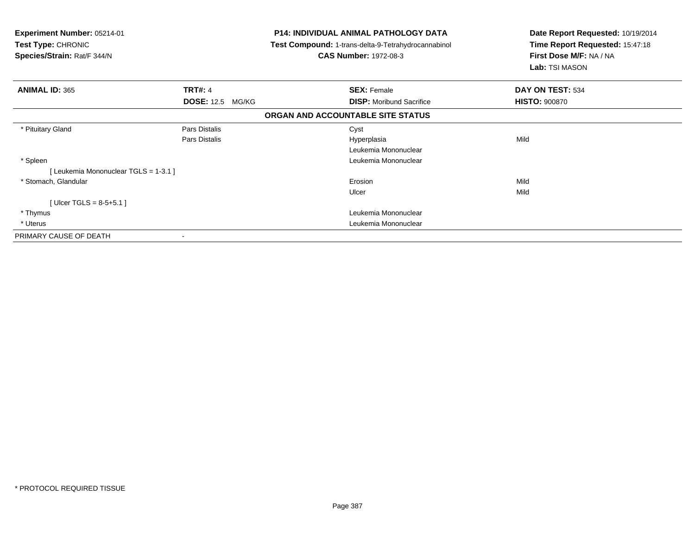| Experiment Number: 05214-01<br><b>Test Type: CHRONIC</b><br>Species/Strain: Rat/F 344/N | <b>P14: INDIVIDUAL ANIMAL PATHOLOGY DATA</b><br>Test Compound: 1-trans-delta-9-Tetrahydrocannabinol<br><b>CAS Number: 1972-08-3</b> |                                   | Date Report Requested: 10/19/2014<br>Time Report Requested: 15:47:18<br>First Dose M/F: NA / NA<br>Lab: TSI MASON |
|-----------------------------------------------------------------------------------------|-------------------------------------------------------------------------------------------------------------------------------------|-----------------------------------|-------------------------------------------------------------------------------------------------------------------|
| <b>ANIMAL ID: 365</b>                                                                   | <b>TRT#: 4</b>                                                                                                                      | <b>SEX: Female</b>                | DAY ON TEST: 534                                                                                                  |
|                                                                                         | <b>DOSE: 12.5 MG/KG</b>                                                                                                             | <b>DISP:</b> Moribund Sacrifice   | <b>HISTO: 900870</b>                                                                                              |
|                                                                                         |                                                                                                                                     | ORGAN AND ACCOUNTABLE SITE STATUS |                                                                                                                   |
| * Pituitary Gland                                                                       | Pars Distalis                                                                                                                       | Cyst                              |                                                                                                                   |
|                                                                                         | Pars Distalis                                                                                                                       | Hyperplasia                       | Mild                                                                                                              |
|                                                                                         |                                                                                                                                     | Leukemia Mononuclear              |                                                                                                                   |
| * Spleen                                                                                |                                                                                                                                     | Leukemia Mononuclear              |                                                                                                                   |
| [Leukemia Mononuclear TGLS = 1-3.1]                                                     |                                                                                                                                     |                                   |                                                                                                                   |
| * Stomach, Glandular                                                                    |                                                                                                                                     | Erosion                           | Mild                                                                                                              |
|                                                                                         |                                                                                                                                     | Ulcer                             | Mild                                                                                                              |
| [Ulcer TGLS = $8-5+5.1$ ]                                                               |                                                                                                                                     |                                   |                                                                                                                   |
| * Thymus                                                                                |                                                                                                                                     | Leukemia Mononuclear              |                                                                                                                   |
| * Uterus                                                                                |                                                                                                                                     | Leukemia Mononuclear              |                                                                                                                   |
| PRIMARY CAUSE OF DEATH                                                                  |                                                                                                                                     |                                   |                                                                                                                   |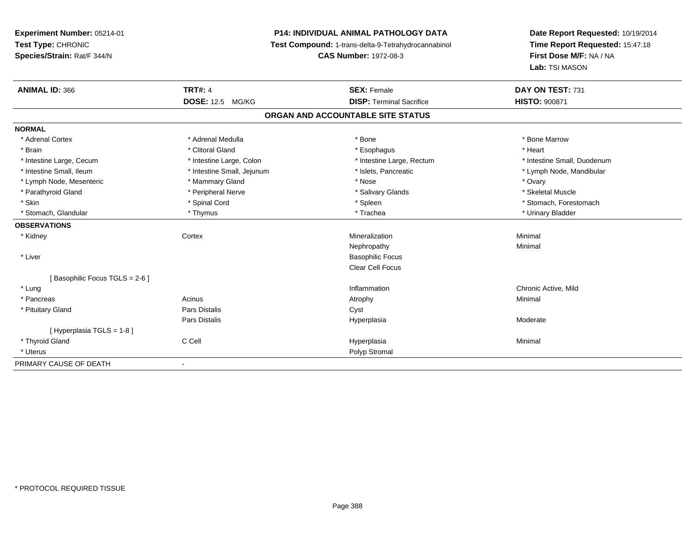# **P14: INDIVIDUAL ANIMAL PATHOLOGY DATA**

**Test Compound:** 1-trans-delta-9-Tetrahydrocannabinol

**CAS Number:** 1972-08-3

| <b>ANIMAL ID: 366</b>         | <b>TRT#: 4</b>             | <b>SEX: Female</b>                | DAY ON TEST: 731            |
|-------------------------------|----------------------------|-----------------------------------|-----------------------------|
|                               | <b>DOSE: 12.5 MG/KG</b>    | <b>DISP: Terminal Sacrifice</b>   | <b>HISTO: 900871</b>        |
|                               |                            | ORGAN AND ACCOUNTABLE SITE STATUS |                             |
| <b>NORMAL</b>                 |                            |                                   |                             |
| * Adrenal Cortex              | * Adrenal Medulla          | * Bone                            | * Bone Marrow               |
| * Brain                       | * Clitoral Gland           | * Esophagus                       | * Heart                     |
| * Intestine Large, Cecum      | * Intestine Large, Colon   | * Intestine Large, Rectum         | * Intestine Small, Duodenum |
| * Intestine Small. Ileum      | * Intestine Small, Jejunum | * Islets, Pancreatic              | * Lymph Node, Mandibular    |
| * Lymph Node, Mesenteric      | * Mammary Gland            | * Nose                            | * Ovary                     |
| * Parathyroid Gland           | * Peripheral Nerve         | * Salivary Glands                 | * Skeletal Muscle           |
| * Skin                        | * Spinal Cord              | * Spleen                          | * Stomach, Forestomach      |
| * Stomach, Glandular          | * Thymus                   | * Trachea                         | * Urinary Bladder           |
| <b>OBSERVATIONS</b>           |                            |                                   |                             |
| * Kidney                      | Cortex                     | Mineralization                    | Minimal                     |
|                               |                            | Nephropathy                       | Minimal                     |
| * Liver                       |                            | <b>Basophilic Focus</b>           |                             |
|                               |                            | Clear Cell Focus                  |                             |
| [Basophilic Focus TGLS = 2-6] |                            |                                   |                             |
| * Lung                        |                            | Inflammation                      | Chronic Active, Mild        |
| * Pancreas                    | Acinus                     | Atrophy                           | Minimal                     |
| * Pituitary Gland             | <b>Pars Distalis</b>       | Cyst                              |                             |
|                               | <b>Pars Distalis</b>       | Hyperplasia                       | Moderate                    |
| [Hyperplasia TGLS = 1-8]      |                            |                                   |                             |
| * Thyroid Gland               | C Cell                     | Hyperplasia                       | Minimal                     |
| * Uterus                      |                            | Polyp Stromal                     |                             |
| PRIMARY CAUSE OF DEATH        |                            |                                   |                             |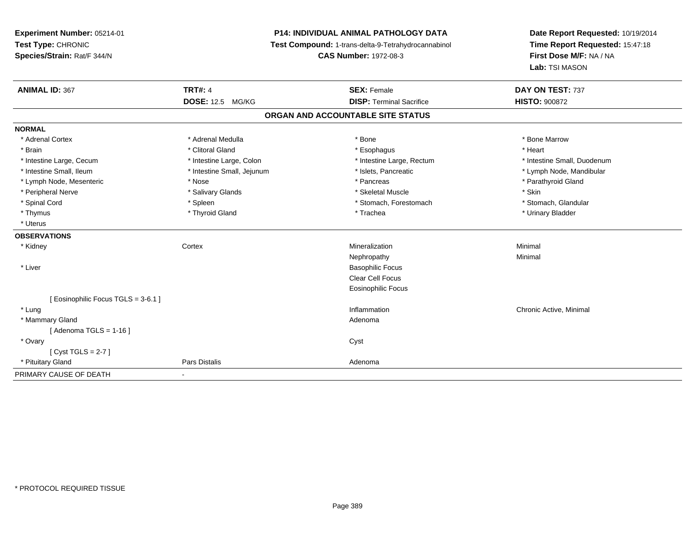**Experiment Number:** 05214-01**Test Type:** CHRONIC **Species/Strain:** Rat/F 344/N**P14: INDIVIDUAL ANIMAL PATHOLOGY DATA Test Compound:** 1-trans-delta-9-Tetrahydrocannabinol **CAS Number:** 1972-08-3**Date Report Requested:** 10/19/2014**Time Report Requested:** 15:47:18**First Dose M/F:** NA / NA**Lab:** TSI MASON**ANIMAL ID:** 367**TRT#:** 4 **SEX:** Female **SEX: Female DAY ON TEST:** 737 **DOSE:** 12.5 MG/KG **DISP:** Terminal Sacrifice **HISTO:** <sup>900872</sup> **ORGAN AND ACCOUNTABLE SITE STATUSNORMAL**\* Adrenal Cortex \* Adrenal Medulla \* Adrenal Medulla \* Bone \* Bone \* Bone \* Bone \* Bone Marrow \* Brain \* Alternative of the state of the state of the state of the state of the state of the state of the state of the state of the state of the state of the state of the state of the state of the state of the state of th \* Intestine Large, Cecum \* Intestine Large, Colon \* Intestine Large, Rectum \* Intestine Small, Duodenum \* Intestine Small, Ileum \* \* Thestine Small, Jejunum \* \* Sets, Pancreatic \* \* Thestine Small, Nejunum \* Lymph Node, Mandibular \* Lymph Node, Mesenteric \* The state of the state of the state of the state of the state of the state of the state of the state of the state of the state of the state of the state of the state of the state of the state of \* Peripheral Nerve \* Salivary Glands \* Skeletal Muscle \* Skin\* Stomach. Glandular \* Spinal Cord \* Spinal Cord \* Spinal Cord \* Stomach, Forestomach \* Stomach, Forestomach \* Stomach, Forestomach \* Thymus \* Thyroid Gland \* Trachea \* Urinary Bladder \* \* Uterus**OBSERVATIONS** \* Kidneyy which is a context of the Cortext of the Cortext of the Cortext of the Mineralization n Minimal Nephropathyy the contract of the Minimal Minimal Section 1996 and the contract of the Minimal Section 1997 and the contract of the contract of the contract of the contract of the contract of the contract of the contract of the contra \* Liver Basophilic Focus Clear Cell Focus Eosinophilic Focus[ Eosinophilic Focus TGLS = 3-6.1 ] \* Lungg is a controller to the controller of the controller of the chronic Active, Minimal of the chronic Active, Minimal of the chronic Active, Minimal of the chronic Active, Minimal of the chronic Active, Minimal of the chroni \* Mammary Glandd and a state of the control of the control of the control of the control of the control of the control of the control of the control of the control of the control of the control of the control of the control of the contro  $[$  Adenoma TGLS = 1-16  $]$  \* Ovaryy cystem in the control of the control of the control of the control of the control of the control of the control of the control of the control of the control of the control of the control of the control of the control of [ Cyst TGLS = 2-7 ] \* Pituitary Glandd **Exercise Control of Pars Distalis Pars Distalis Adenoma** PRIMARY CAUSE OF DEATH-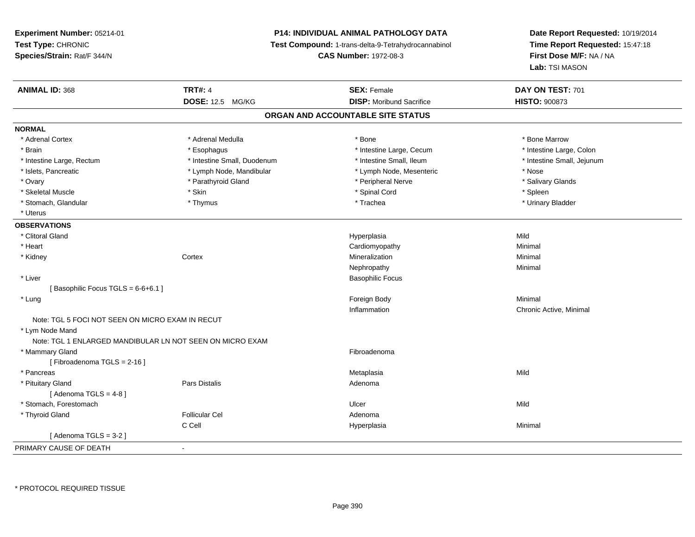# **P14: INDIVIDUAL ANIMAL PATHOLOGY DATA**

**Test Compound:** 1-trans-delta-9-Tetrahydrocannabinol

**CAS Number:** 1972-08-3

| <b>ANIMAL ID: 368</b>                                     | <b>TRT#: 4</b>              | <b>SEX: Female</b>                | DAY ON TEST: 701           |
|-----------------------------------------------------------|-----------------------------|-----------------------------------|----------------------------|
|                                                           | <b>DOSE: 12.5 MG/KG</b>     | <b>DISP:</b> Moribund Sacrifice   | HISTO: 900873              |
|                                                           |                             | ORGAN AND ACCOUNTABLE SITE STATUS |                            |
| <b>NORMAL</b>                                             |                             |                                   |                            |
| * Adrenal Cortex                                          | * Adrenal Medulla           | * Bone                            | * Bone Marrow              |
| * Brain                                                   | * Esophagus                 | * Intestine Large, Cecum          | * Intestine Large, Colon   |
| * Intestine Large, Rectum                                 | * Intestine Small, Duodenum | * Intestine Small, Ileum          | * Intestine Small, Jejunum |
| * Islets, Pancreatic                                      | * Lymph Node, Mandibular    | * Lymph Node, Mesenteric          | * Nose                     |
| * Ovary                                                   | * Parathyroid Gland         | * Peripheral Nerve                | * Salivary Glands          |
| * Skeletal Muscle                                         | * Skin                      | * Spinal Cord                     | * Spleen                   |
| * Stomach, Glandular                                      | * Thymus                    | * Trachea                         | * Urinary Bladder          |
| * Uterus                                                  |                             |                                   |                            |
| <b>OBSERVATIONS</b>                                       |                             |                                   |                            |
| * Clitoral Gland                                          |                             | Hyperplasia                       | Mild                       |
| * Heart                                                   |                             | Cardiomyopathy                    | Minimal                    |
| * Kidney                                                  | Cortex                      | Mineralization                    | Minimal                    |
|                                                           |                             | Nephropathy                       | Minimal                    |
| * Liver                                                   |                             | <b>Basophilic Focus</b>           |                            |
| [Basophilic Focus TGLS = 6-6+6.1]                         |                             |                                   |                            |
| * Lung                                                    |                             | Foreign Body                      | Minimal                    |
|                                                           |                             | Inflammation                      | Chronic Active, Minimal    |
| Note: TGL 5 FOCI NOT SEEN ON MICRO EXAM IN RECUT          |                             |                                   |                            |
| * Lym Node Mand                                           |                             |                                   |                            |
| Note: TGL 1 ENLARGED MANDIBULAR LN NOT SEEN ON MICRO EXAM |                             |                                   |                            |
| * Mammary Gland                                           |                             | Fibroadenoma                      |                            |
| [Fibroadenoma TGLS = 2-16]                                |                             |                                   |                            |
| * Pancreas                                                |                             | Metaplasia                        | Mild                       |
| * Pituitary Gland                                         | Pars Distalis               | Adenoma                           |                            |
| [Adenoma TGLS = $4-8$ ]                                   |                             |                                   |                            |
| * Stomach, Forestomach                                    |                             | Ulcer                             | Mild                       |
| * Thyroid Gland                                           | <b>Follicular Cel</b>       | Adenoma                           |                            |
|                                                           | C Cell                      | Hyperplasia                       | Minimal                    |
| [Adenoma TGLS = $3-2$ ]                                   |                             |                                   |                            |
| PRIMARY CAUSE OF DEATH                                    | $\blacksquare$              |                                   |                            |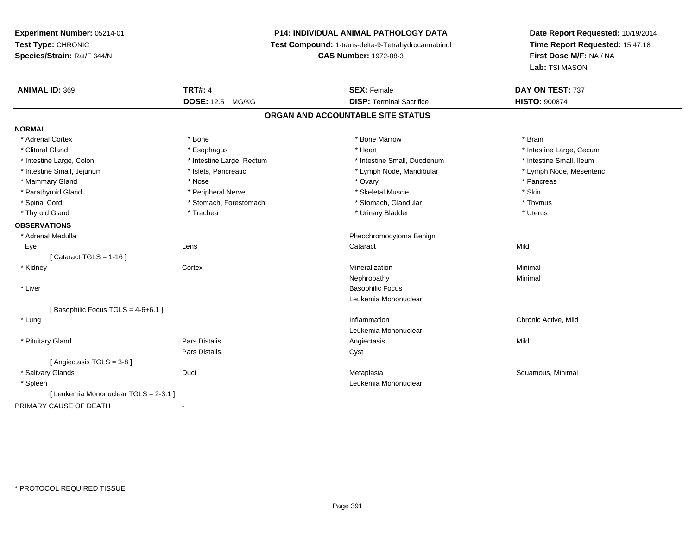# **P14: INDIVIDUAL ANIMAL PATHOLOGY DATA**

**Test Compound:** 1-trans-delta-9-Tetrahydrocannabinol

**CAS Number:** 1972-08-3

| <b>ANIMAL ID: 369</b>                 | <b>TRT#: 4</b>            | <b>SEX: Female</b>                | DAY ON TEST: 737         |
|---------------------------------------|---------------------------|-----------------------------------|--------------------------|
|                                       | <b>DOSE: 12.5 MG/KG</b>   | <b>DISP: Terminal Sacrifice</b>   | <b>HISTO: 900874</b>     |
|                                       |                           | ORGAN AND ACCOUNTABLE SITE STATUS |                          |
| <b>NORMAL</b>                         |                           |                                   |                          |
| * Adrenal Cortex                      | * Bone                    | * Bone Marrow                     | * Brain                  |
| * Clitoral Gland                      | * Esophagus               | * Heart                           | * Intestine Large, Cecum |
| * Intestine Large, Colon              | * Intestine Large, Rectum | * Intestine Small, Duodenum       | * Intestine Small, Ileum |
| * Intestine Small, Jejunum            | * Islets, Pancreatic      | * Lymph Node, Mandibular          | * Lymph Node, Mesenteric |
| * Mammary Gland                       | * Nose                    | * Ovary                           | * Pancreas               |
| * Parathyroid Gland                   | * Peripheral Nerve        | * Skeletal Muscle                 | * Skin                   |
| * Spinal Cord                         | * Stomach, Forestomach    | * Stomach, Glandular              | * Thymus                 |
| * Thyroid Gland                       | * Trachea                 | * Urinary Bladder                 | * Uterus                 |
| <b>OBSERVATIONS</b>                   |                           |                                   |                          |
| * Adrenal Medulla                     |                           | Pheochromocytoma Benign           |                          |
| Eye                                   | Lens                      | Cataract                          | Mild                     |
| [Cataract TGLS = $1-16$ ]             |                           |                                   |                          |
| * Kidney                              | Cortex                    | Mineralization                    | Minimal                  |
|                                       |                           | Nephropathy                       | Minimal                  |
| * Liver                               |                           | <b>Basophilic Focus</b>           |                          |
|                                       |                           | Leukemia Mononuclear              |                          |
| [Basophilic Focus TGLS = 4-6+6.1]     |                           |                                   |                          |
| * Lung                                |                           | Inflammation                      | Chronic Active, Mild     |
|                                       |                           | Leukemia Mononuclear              |                          |
| * Pituitary Gland                     | Pars Distalis             | Angiectasis                       | Mild                     |
|                                       | Pars Distalis             | Cyst                              |                          |
| [Angiectasis TGLS = 3-8]              |                           |                                   |                          |
| * Salivary Glands                     | Duct                      | Metaplasia                        | Squamous, Minimal        |
| * Spleen                              |                           | Leukemia Mononuclear              |                          |
| [ Leukemia Mononuclear TGLS = 2-3.1 ] |                           |                                   |                          |
| PRIMARY CAUSE OF DEATH                |                           |                                   |                          |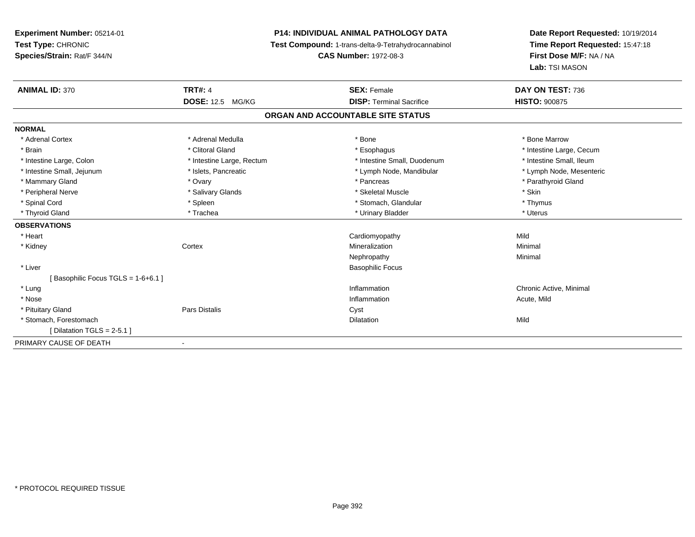# **P14: INDIVIDUAL ANIMAL PATHOLOGY DATA**

**Test Compound:** 1-trans-delta-9-Tetrahydrocannabinol

**CAS Number:** 1972-08-3

| <b>ANIMAL ID: 370</b>               | <b>TRT#: 4</b><br><b>DOSE: 12.5 MG/KG</b> | <b>SEX: Female</b><br><b>DISP: Terminal Sacrifice</b> | DAY ON TEST: 736<br><b>HISTO: 900875</b> |
|-------------------------------------|-------------------------------------------|-------------------------------------------------------|------------------------------------------|
|                                     |                                           | ORGAN AND ACCOUNTABLE SITE STATUS                     |                                          |
| <b>NORMAL</b>                       |                                           |                                                       |                                          |
| * Adrenal Cortex                    | * Adrenal Medulla                         | * Bone                                                | * Bone Marrow                            |
| * Brain                             | * Clitoral Gland                          | * Esophagus                                           | * Intestine Large, Cecum                 |
| * Intestine Large, Colon            | * Intestine Large, Rectum                 | * Intestine Small, Duodenum                           | * Intestine Small. Ileum                 |
| * Intestine Small, Jejunum          | * Islets, Pancreatic                      | * Lymph Node, Mandibular                              | * Lymph Node, Mesenteric                 |
| * Mammary Gland                     | * Ovary                                   | * Pancreas                                            | * Parathyroid Gland                      |
| * Peripheral Nerve                  | * Salivary Glands                         | * Skeletal Muscle                                     | * Skin                                   |
| * Spinal Cord                       | * Spleen                                  | * Stomach, Glandular                                  | * Thymus                                 |
| * Thyroid Gland                     | * Trachea                                 | * Urinary Bladder                                     | * Uterus                                 |
| <b>OBSERVATIONS</b>                 |                                           |                                                       |                                          |
| * Heart                             |                                           | Cardiomyopathy                                        | Mild                                     |
| * Kidney                            | Cortex                                    | Mineralization                                        | Minimal                                  |
|                                     |                                           | Nephropathy                                           | Minimal                                  |
| * Liver                             |                                           | <b>Basophilic Focus</b>                               |                                          |
| Basophilic Focus TGLS = $1-6+6.1$ ] |                                           |                                                       |                                          |
| * Lung                              |                                           | Inflammation                                          | Chronic Active, Minimal                  |
| * Nose                              |                                           | Inflammation                                          | Acute, Mild                              |
| * Pituitary Gland                   | Pars Distalis                             | Cyst                                                  |                                          |
| * Stomach, Forestomach              |                                           | Dilatation                                            | Mild                                     |
| [ Dilatation TGLS = $2-5.1$ ]       |                                           |                                                       |                                          |
| PRIMARY CAUSE OF DEATH              | $\overline{\phantom{a}}$                  |                                                       |                                          |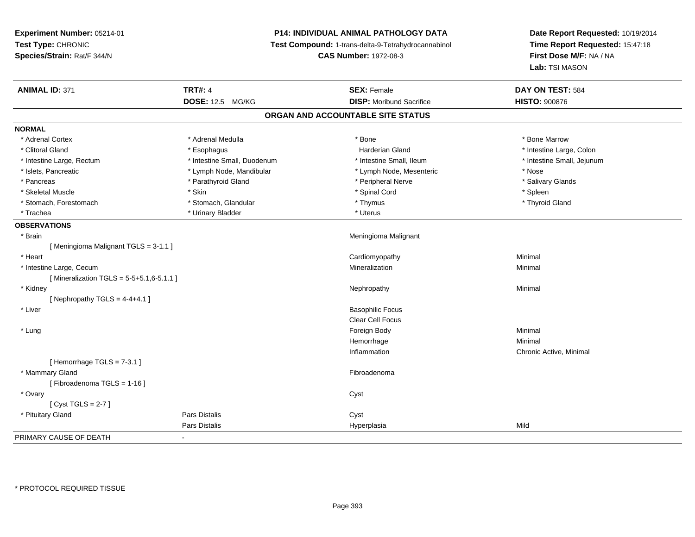# **P14: INDIVIDUAL ANIMAL PATHOLOGY DATA**

**Test Compound:** 1-trans-delta-9-Tetrahydrocannabinol

**CAS Number:** 1972-08-3

| <b>ANIMAL ID: 371</b>                      | <b>TRT#: 4</b>              | <b>SEX: Female</b>                | DAY ON TEST: 584           |
|--------------------------------------------|-----------------------------|-----------------------------------|----------------------------|
|                                            | DOSE: 12.5 MG/KG            | <b>DISP:</b> Moribund Sacrifice   | <b>HISTO: 900876</b>       |
|                                            |                             | ORGAN AND ACCOUNTABLE SITE STATUS |                            |
| <b>NORMAL</b>                              |                             |                                   |                            |
| * Adrenal Cortex                           | * Adrenal Medulla           | * Bone                            | * Bone Marrow              |
| * Clitoral Gland                           | * Esophagus                 | <b>Harderian Gland</b>            | * Intestine Large, Colon   |
| * Intestine Large, Rectum                  | * Intestine Small, Duodenum | * Intestine Small, Ileum          | * Intestine Small, Jejunum |
| * Islets, Pancreatic                       | * Lymph Node, Mandibular    | * Lymph Node, Mesenteric          | * Nose                     |
| * Pancreas                                 | * Parathyroid Gland         | * Peripheral Nerve                | * Salivary Glands          |
| * Skeletal Muscle                          | * Skin                      | * Spinal Cord                     | * Spleen                   |
| * Stomach, Forestomach                     | * Stomach, Glandular        | * Thymus                          | * Thyroid Gland            |
| * Trachea                                  | * Urinary Bladder           | * Uterus                          |                            |
| <b>OBSERVATIONS</b>                        |                             |                                   |                            |
| * Brain                                    |                             | Meningioma Malignant              |                            |
| [Meningioma Malignant TGLS = 3-1.1]        |                             |                                   |                            |
| * Heart                                    |                             | Cardiomyopathy                    | Minimal                    |
| * Intestine Large, Cecum                   |                             | Mineralization                    | Minimal                    |
| [Mineralization TGLS = $5-5+5.1,6-5.1.1$ ] |                             |                                   |                            |
| * Kidney                                   |                             | Nephropathy                       | Minimal                    |
| [Nephropathy TGLS = $4-4+4.1$ ]            |                             |                                   |                            |
| * Liver                                    |                             | <b>Basophilic Focus</b>           |                            |
|                                            |                             | Clear Cell Focus                  |                            |
| * Lung                                     |                             | Foreign Body                      | Minimal                    |
|                                            |                             | Hemorrhage                        | Minimal                    |
|                                            |                             | Inflammation                      | Chronic Active, Minimal    |
| [Hemorrhage TGLS = 7-3.1]                  |                             |                                   |                            |
| * Mammary Gland                            |                             | Fibroadenoma                      |                            |
| [Fibroadenoma TGLS = 1-16]                 |                             |                                   |                            |
| * Ovary                                    |                             | Cyst                              |                            |
| [Cyst TGLS = $2-7$ ]                       |                             |                                   |                            |
| * Pituitary Gland                          | <b>Pars Distalis</b>        | Cyst                              |                            |
|                                            | <b>Pars Distalis</b>        | Hyperplasia                       | Mild                       |
| PRIMARY CAUSE OF DEATH                     |                             |                                   |                            |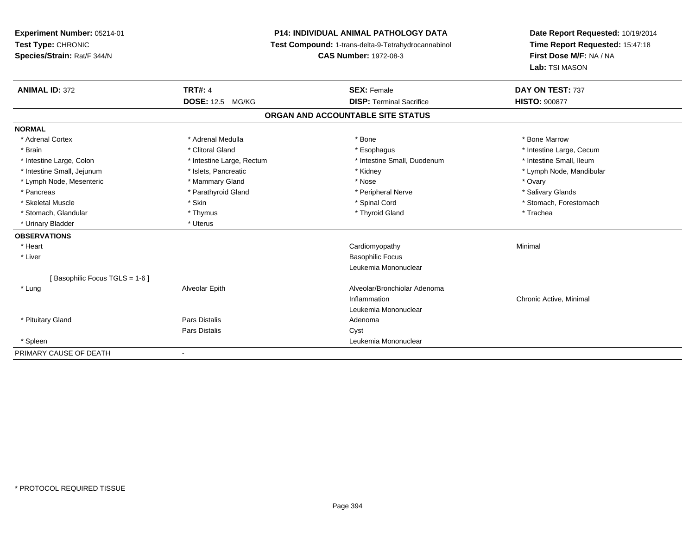**Experiment Number:** 05214-01**Test Type:** CHRONIC **Species/Strain:** Rat/F 344/N**P14: INDIVIDUAL ANIMAL PATHOLOGY DATA Test Compound:** 1-trans-delta-9-Tetrahydrocannabinol **CAS Number:** 1972-08-3**Date Report Requested:** 10/19/2014**Time Report Requested:** 15:47:18**First Dose M/F:** NA / NA**Lab:** TSI MASON**ANIMAL ID:** 372**TRT#:** 4 **SEX:** Female **SEX: Female DAY ON TEST:** 737 **DOSE:** 12.5 MG/KG **DISP:** Terminal Sacrifice **HISTO:** <sup>900877</sup> **ORGAN AND ACCOUNTABLE SITE STATUSNORMAL**\* Adrenal Cortex \* Adrenal Medulla \* Adrenal Medulla \* Bone \* Bone \* Bone \* Bone \* Bone Marrow \* Brain \* Alternation of the state of the state of the state of the state of the state of the state of the state of the state of the state of the state of the state of the state of the state of the state of the state of th \* Intestine Small, Ileum \* Intestine Large, Colon \* Intestine Large, Rectum \* Intestine Small, Duodenum \* Intestine Small, Duodenum \* Intestine Small, Jejunum \* \* \* https://www.fat.com/setter/educitions/mandibular \* Kidney \* Mandibular \* Lymph Node, Mandibular \* Lymph Node, Mandibular \* Lymph Node, Mandibular \* Lymph Node, Mesenteric \* \* \* Mammary Gland \* \* Nose \* \* Nose \* \* Nose \* Ovary \* Ovary \* Ovary \* Ovary \* Ovary \* Salivary Glands \* Pancreas \* And the section of the section of the section of the section of the section of the section of the section of the section of the section of the section of the section of the section of the section of the sectio \* Skeletal Muscle \* The state of the set of the set of the set of the set of the set of the set of the set of the set of the set of the set of the set of the set of the set of the set of the set of the set of the set of th \* Stomach, Glandular \* Thymus \* Thymus \* The store and the store and the store and the store and the store and the store and the store and the store and the store and the store and the store and the store and the store and \* Urinary Bladder \* Uterus **OBSERVATIONS** \* Heart Cardiomyopathy Minimal \* Liver Basophilic Focus Leukemia Mononuclear[ Basophilic Focus TGLS = 1-6 ] \* LungAlveolar Epith Alveolar/Bronchiolar Adenoma Inflammation Chronic Active, Minimal Leukemia Mononuclear \* Pituitary Glandd and the contract of Pars Distalis and the contract of Adenoma and Adenoma and the Adenoma and the Adenoma and  $\lambda$ Pars Distaliss Cyst \* Spleen Leukemia Mononuclear PRIMARY CAUSE OF DEATH-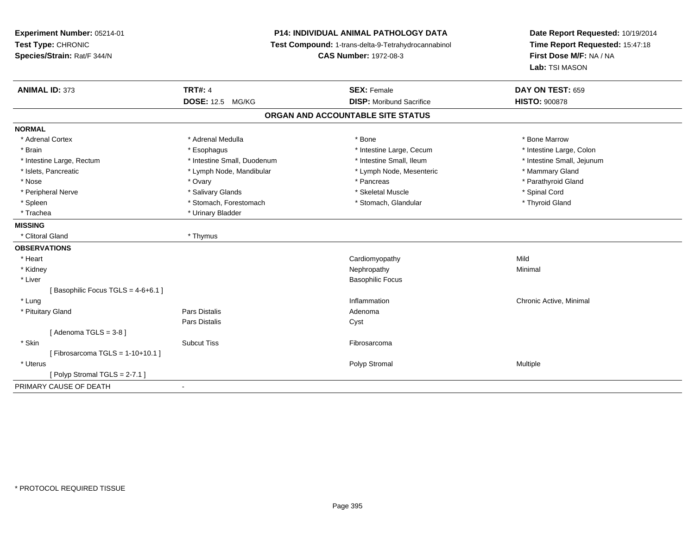**Experiment Number:** 05214-01**Test Type:** CHRONIC **Species/Strain:** Rat/F 344/N**P14: INDIVIDUAL ANIMAL PATHOLOGY DATA Test Compound:** 1-trans-delta-9-Tetrahydrocannabinol **CAS Number:** 1972-08-3**Date Report Requested:** 10/19/2014**Time Report Requested:** 15:47:18**First Dose M/F:** NA / NA**Lab:** TSI MASON**ANIMAL ID:** 373**TRT#:** 4 **SEX:** Female **SEX: Female DAY ON TEST:** 659 **DOSE:** 12.5 MG/KG **DISP:** Moribund Sacrifice **HISTO:** <sup>900878</sup> **ORGAN AND ACCOUNTABLE SITE STATUSNORMAL**\* Adrenal Cortex \* Adrenal Medulla \* Adrenal Medulla \* Bone \* Bone \* Bone \* Bone \* Bone Marrow \* Intestine Large, Colon \* Brain \* Esophagus \* Esophagus \* Esophagus \* 11testine Large, Cecum \* \* Intestine Large, Rectum \* Thestine Small, Duodenum \* Number of the small, Ileum \* Intestine Small, Jejunum \* Intestine Small, Jejunum \* Islets, Pancreatic \* The manner of the Lymph Node, Mandibular \* Lymph Node, Mesenteric \* Mammary Gland \* Parathyroid Gland \* Nose \* Ovary \* Pancreas \* Parathyroid Gland \* Peripheral Nerve \* \* \* Salivary Glands \* \* Salivary Glands \* \* Skeletal Muscle \* \* \* Steletal Muscle \* \* Spinal Cord \* \* Spinal Cord \* \* Spinal Cord \* \* Spinal Cord \* \* Spinal Cord \* \* Spinal Cord \* \* Spinal Cord \* \* Spi \* Thyroid Gland \* Spleen \* Stomach, Forestomach \* Stomach \* Stomach, Glandular \* Stomach, Glandular \* Trachea \* Urinary Bladder**MISSING** \* Clitoral Gland \* Thymus**OBSERVATIONS** \* Heart Cardiomyopathyy Mild Minimal \* Kidneyy the control of the control of the control of the control of the control of the control of the control of the control of the control of the control of the control of the control of the control of the control of the contro \* Liver Basophilic Focus[ Basophilic Focus TGLS =  $4-6+6.1$  ] \* Lungg is a controller to the controller of the controller of the chronic Active, Minimal of the chronic Active, Minimal of the chronic Active, Minimal of the chronic Active, Minimal of the chronic Active, Minimal of the chroni \* Pituitary Glandd and the set of Pars Distalis and the Second Adenomal Adenomal Second Second Pars Distallis Pars Distaliss Cyst [ Adenoma TGLS = 3-8 ] \* Skinn and the subcut Tiss of the Subcut Tiss of the Subcut Tiss of the Subset of the Subset of the Subset of the Su  $[$  Fibrosarcoma TGLS = 1-10+10.1  $]$  \* Uteruss the control of the control of the control of the control of the control of the control of the control of the control of the control of the control of the control of the control of the control of the control of the contro [ Polyp Stromal TGLS = 2-7.1 ]PRIMARY CAUSE OF DEATH-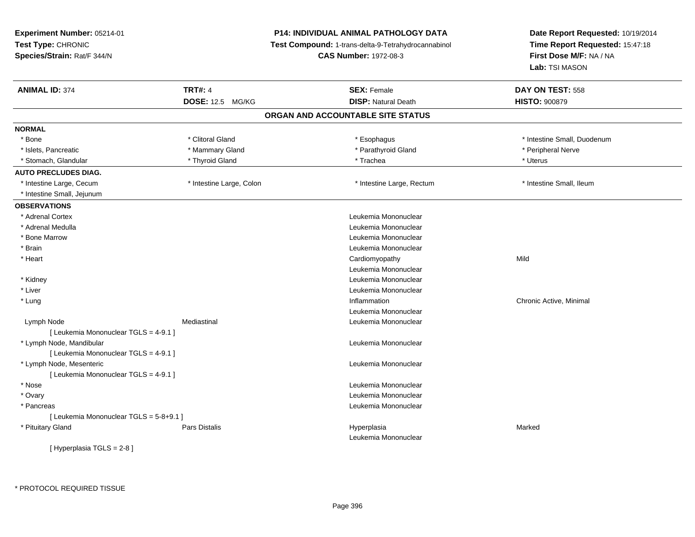**Experiment Number:** 05214-01**Test Type:** CHRONIC **Species/Strain:** Rat/F 344/N**P14: INDIVIDUAL ANIMAL PATHOLOGY DATA Test Compound:** 1-trans-delta-9-Tetrahydrocannabinol **CAS Number:** 1972-08-3**Date Report Requested:** 10/19/2014**Time Report Requested:** 15:47:18**First Dose M/F:** NA / NA**Lab:** TSI MASON**ANIMAL ID:** 374**TRT#:** 4 **SEX:** Female **SEX: Female DAY ON TEST:** 558 **DOSE:** 12.5 MG/KG**DISP:** Natural Death **HISTO:**  $900879$ **ORGAN AND ACCOUNTABLE SITE STATUSNORMAL**\* Bone \* Clitoral Gland \* **Esophagus** \* Esophagus \* **intestine Small, Duodenum** \* Intestine Small, Duodenum \* Islets, Pancreatic \* \* The mannery Gland \* Mammary Gland \* Parathyroid Gland \* Parathyroid Gland \* Peripheral Nerve \* Stomach, Glandular \* \* \* Thyroid Gland \* \* The manuscription \* Trachea \* Uterus \* Uterus \* Uterus \* Uterus **AUTO PRECLUDES DIAG.** \* Intestine Large, Cecum \* Intestine Large, Colon \* Intestine Large, Rectum \* Intestine Small, Ileum \* Intestine Small, Jejunum**OBSERVATIONS** \* Adrenal Cortex Leukemia Mononuclear \* Adrenal MedullaLeukemia Mononuclear<br>Leukemia Mononuclear \* Bone Marrow Leukemia Mononuclear \* Brain Leukemia Mononuclear \* Heart Cardiomyopathyy Mild Leukemia Mononuclear Leukemia Mononuclear \* Kidney \* Liver Leukemia Mononuclear \* Lungg is a controller to the controller of the controller of the chronic Active, Minimal of the chronic Active, Minimal of the chronic Active, Minimal of the chronic Active, Minimal of the chronic Active, Minimal of the chroni Leukemia Mononuclear Lymph Node Mediastinal Leukemia Mononuclear [ Leukemia Mononuclear TGLS = 4-9.1 ] \* Lymph Node, Mandibular Leukemia Mononuclear [ Leukemia Mononuclear TGLS = 4-9.1 ] \* Lymph Node, Mesenteric Leukemia Mononuclear [ Leukemia Mononuclear TGLS = 4-9.1 ] \* Nosee de la controlle de la controlle de la controlle de la controlle de la controlle de la controlle de la controlle de la controlle de la controlle de la controlle de la controlle de la controlle de la controlle de la contro \* Ovary Leukemia Mononuclear \* Pancreas Leukemia Mononuclear [ Leukemia Mononuclear TGLS = 5-8+9.1 ] \* Pituitary Gland Pars Distalis Hyperplasia Marked Leukemia Mononuclear[ Hyperplasia TGLS = 2-8 ]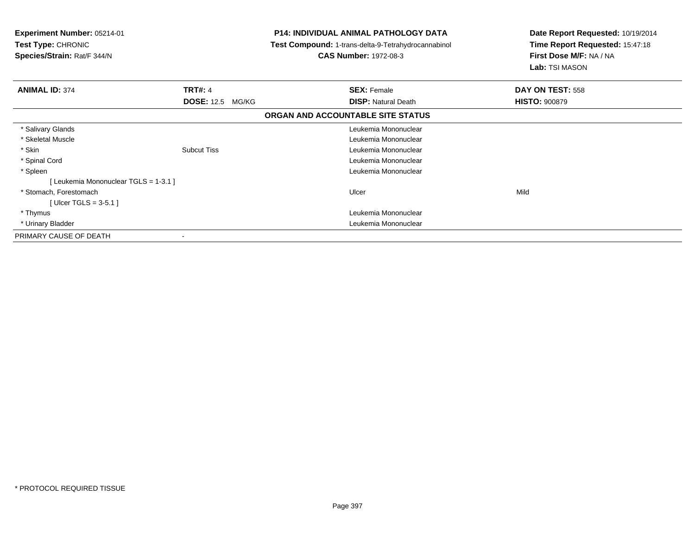| Experiment Number: 05214-01<br><b>Test Type: CHRONIC</b><br>Species/Strain: Rat/F 344/N |                         | P14: INDIVIDUAL ANIMAL PATHOLOGY DATA<br><b>Test Compound: 1-trans-delta-9-Tetrahydrocannabinol</b><br><b>CAS Number: 1972-08-3</b> |                                   | Date Report Requested: 10/19/2014<br>Time Report Requested: 15:47:18<br>First Dose M/F: NA / NA<br>Lab: TSI MASON |
|-----------------------------------------------------------------------------------------|-------------------------|-------------------------------------------------------------------------------------------------------------------------------------|-----------------------------------|-------------------------------------------------------------------------------------------------------------------|
| <b>ANIMAL ID: 374</b>                                                                   | <b>TRT#: 4</b>          |                                                                                                                                     | <b>SEX: Female</b>                | DAY ON TEST: 558                                                                                                  |
|                                                                                         | <b>DOSE:</b> 12.5 MG/KG |                                                                                                                                     | <b>DISP: Natural Death</b>        | <b>HISTO: 900879</b>                                                                                              |
|                                                                                         |                         |                                                                                                                                     | ORGAN AND ACCOUNTABLE SITE STATUS |                                                                                                                   |
| * Salivary Glands                                                                       |                         |                                                                                                                                     | Leukemia Mononuclear              |                                                                                                                   |
| * Skeletal Muscle                                                                       |                         |                                                                                                                                     | Leukemia Mononuclear              |                                                                                                                   |
| * Skin                                                                                  | <b>Subcut Tiss</b>      |                                                                                                                                     | Leukemia Mononuclear              |                                                                                                                   |
| * Spinal Cord                                                                           |                         |                                                                                                                                     | Leukemia Mononuclear              |                                                                                                                   |
| * Spleen                                                                                |                         |                                                                                                                                     | Leukemia Mononuclear              |                                                                                                                   |
| [Leukemia Mononuclear TGLS = 1-3.1]                                                     |                         |                                                                                                                                     |                                   |                                                                                                                   |
| * Stomach, Forestomach                                                                  |                         |                                                                                                                                     | Ulcer                             | Mild                                                                                                              |
| [Ulcer TGLS = $3-5.1$ ]                                                                 |                         |                                                                                                                                     |                                   |                                                                                                                   |
| * Thymus                                                                                |                         |                                                                                                                                     | Leukemia Mononuclear              |                                                                                                                   |
| * Urinary Bladder                                                                       |                         |                                                                                                                                     | Leukemia Mononuclear              |                                                                                                                   |
| PRIMARY CAUSE OF DEATH                                                                  |                         |                                                                                                                                     |                                   |                                                                                                                   |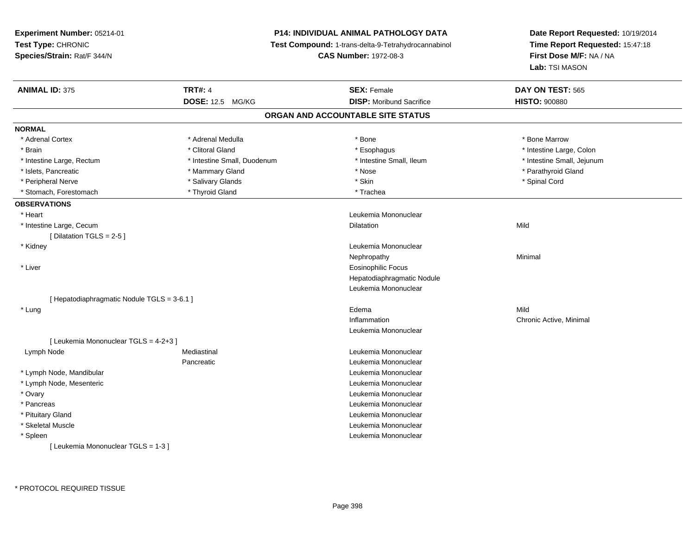**Experiment Number:** 05214-01**Test Type:** CHRONIC **Species/Strain:** Rat/F 344/N**P14: INDIVIDUAL ANIMAL PATHOLOGY DATA Test Compound:** 1-trans-delta-9-Tetrahydrocannabinol **CAS Number:** 1972-08-3**Date Report Requested:** 10/19/2014**Time Report Requested:** 15:47:18**First Dose M/F:** NA / NA**Lab:** TSI MASON**ANIMAL ID:** 375**TRT#:** 4 **SEX:** Female **SEX: Female DAY ON TEST:** 565 **DOSE:** 12.5 MG/KG**DISP:** Moribund Sacrifice **HISTO:**  $900880$ **ORGAN AND ACCOUNTABLE SITE STATUSNORMAL**\* Adrenal Cortex \* Adrenal Medulla \* Adrenal Medulla \* Bone \* Bone \* Bone \* Bone \* Bone Marrow \* Brain \* Alternative of the state of the state of the state of the state of the state of the state of the state of the state of the state of the state of the state of the state of the state of the state of the state of th \* Intestine Large, Rectum \* Thestine Small, Duodenum \* Number of the small, Ileum \* Intestine Small, Jejunum \* Intestine Small, Jejunum \* Islets, Pancreatic \* \* Mammary Gland \* Mammary Gland \* \* Nose \* \* Parathyroid Gland \* \* Parathyroid Gland \* \* Peripheral Nerve \* \* \* Salivary Glands \* \* Salivary Glands \* \* Skin \* \* Skin \* \* Spinal Cord \* Spinal Cord \* \* Stomach, Forestomach \* Thyroid Gland \* Thyroid Gland \* Trachea **OBSERVATIONS** \* Heart Leukemia Mononuclear \* Intestine Large, Cecum Dilatation Mild [ Dilatation TGLS = 2-5 ] \* Kidney Leukemia Mononuclear Nephropathyy the contract of the Minimal Minimal Section 1996 and the contract of the Minimal Section 1997 and the contract of the contract of the contract of the contract of the contract of the contract of the contract of the contra \* Liver Eosinophilic Focus Hepatodiaphragmatic NoduleLeukemia Mononuclear[ Hepatodiaphragmatic Nodule TGLS = 3-6.1 ] \* Lungg and the set of the set of the set of the set of the set of the set of the set of the set of the set of the set of the set of the set of the set of the set of the set of the set of the set of the set of the set of the set Inflammation Chronic Active, Minimal Leukemia Mononuclear[ Leukemia Mononuclear TGLS = 4-2+3 ] Lymph NodeMediastinal **Mediastinal** Mononuclear Pancreatic Leukemia Mononuclear \* Lymph Node, Mandibular Leukemia Mononuclear \* Lymph Node, Mesenteric Leukemia Mononuclear \* Ovary Leukemia Mononuclear \* Pancreas Leukemia Mononuclear \* Pituitary Gland Leukemia Mononuclear \* Skeletal Muscle Leukemia Mononuclear \* Spleen Leukemia Mononuclear [ Leukemia Mononuclear TGLS = 1-3 ]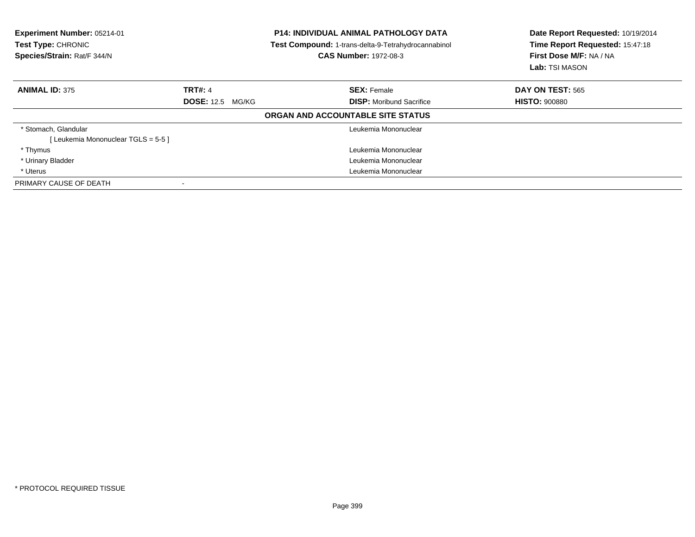| Experiment Number: 05214-01<br>Test Type: CHRONIC<br>Species/Strain: Rat/F 344/N |                         | <b>P14: INDIVIDUAL ANIMAL PATHOLOGY DATA</b><br>Test Compound: 1-trans-delta-9-Tetrahydrocannabinol<br><b>CAS Number: 1972-08-3</b> | Date Report Requested: 10/19/2014<br>Time Report Requested: 15:47:18<br>First Dose M/F: NA / NA<br><b>Lab:</b> TSI MASON |
|----------------------------------------------------------------------------------|-------------------------|-------------------------------------------------------------------------------------------------------------------------------------|--------------------------------------------------------------------------------------------------------------------------|
| <b>ANIMAL ID: 375</b>                                                            | <b>TRT#: 4</b>          | <b>SEX: Female</b>                                                                                                                  | DAY ON TEST: 565                                                                                                         |
|                                                                                  | <b>DOSE:</b> 12.5 MG/KG | <b>DISP:</b> Moribund Sacrifice                                                                                                     | <b>HISTO: 900880</b>                                                                                                     |
|                                                                                  |                         | ORGAN AND ACCOUNTABLE SITE STATUS                                                                                                   |                                                                                                                          |
| * Stomach, Glandular                                                             |                         | Leukemia Mononuclear                                                                                                                |                                                                                                                          |
| [Leukemia Mononuclear TGLS = 5-5]                                                |                         |                                                                                                                                     |                                                                                                                          |
| * Thymus                                                                         |                         | Leukemia Mononuclear                                                                                                                |                                                                                                                          |
| * Urinary Bladder                                                                |                         | Leukemia Mononuclear                                                                                                                |                                                                                                                          |
| * Uterus                                                                         |                         | Leukemia Mononuclear                                                                                                                |                                                                                                                          |
| PRIMARY CAUSE OF DEATH                                                           |                         |                                                                                                                                     |                                                                                                                          |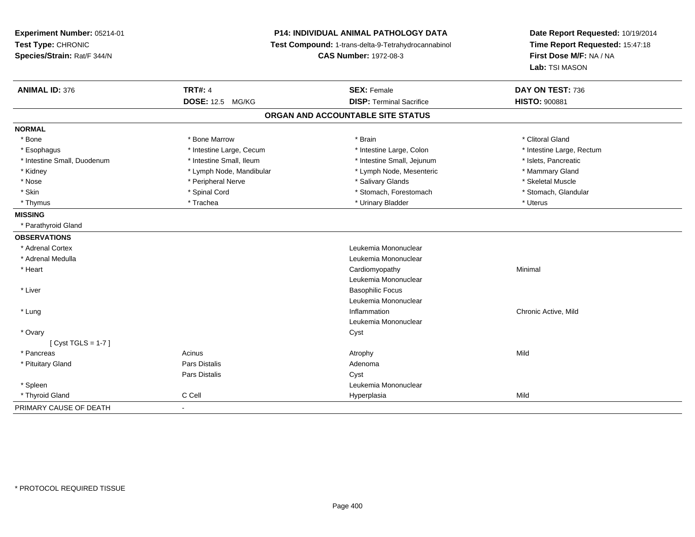| Experiment Number: 05214-01<br>Test Type: CHRONIC<br>Species/Strain: Rat/F 344/N |                          | P14: INDIVIDUAL ANIMAL PATHOLOGY DATA<br>Test Compound: 1-trans-delta-9-Tetrahydrocannabinol<br><b>CAS Number: 1972-08-3</b> |                           |
|----------------------------------------------------------------------------------|--------------------------|------------------------------------------------------------------------------------------------------------------------------|---------------------------|
| <b>ANIMAL ID: 376</b>                                                            | <b>TRT#: 4</b>           | <b>SEX: Female</b>                                                                                                           | DAY ON TEST: 736          |
|                                                                                  | <b>DOSE: 12.5 MG/KG</b>  | <b>DISP: Terminal Sacrifice</b>                                                                                              | <b>HISTO: 900881</b>      |
|                                                                                  |                          | ORGAN AND ACCOUNTABLE SITE STATUS                                                                                            |                           |
| <b>NORMAL</b>                                                                    |                          |                                                                                                                              |                           |
| * Bone                                                                           | * Bone Marrow            | * Brain                                                                                                                      | * Clitoral Gland          |
| * Esophagus                                                                      | * Intestine Large, Cecum | * Intestine Large, Colon                                                                                                     | * Intestine Large, Rectum |
| * Intestine Small, Duodenum                                                      | * Intestine Small, Ileum | * Intestine Small, Jejunum                                                                                                   | * Islets, Pancreatic      |
| * Kidney                                                                         | * Lymph Node, Mandibular | * Lymph Node, Mesenteric                                                                                                     | * Mammary Gland           |
| * Nose                                                                           | * Peripheral Nerve       | * Salivary Glands                                                                                                            | * Skeletal Muscle         |
| * Skin                                                                           | * Spinal Cord            | * Stomach, Forestomach                                                                                                       | * Stomach, Glandular      |
| * Thymus                                                                         | * Trachea                | * Urinary Bladder                                                                                                            | * Uterus                  |
| <b>MISSING</b>                                                                   |                          |                                                                                                                              |                           |
| * Parathyroid Gland                                                              |                          |                                                                                                                              |                           |
| <b>OBSERVATIONS</b>                                                              |                          |                                                                                                                              |                           |
| * Adrenal Cortex                                                                 |                          | Leukemia Mononuclear                                                                                                         |                           |
| * Adrenal Medulla                                                                |                          | Leukemia Mononuclear                                                                                                         |                           |
| * Heart                                                                          |                          | Cardiomyopathy                                                                                                               | Minimal                   |
|                                                                                  |                          | Leukemia Mononuclear                                                                                                         |                           |
| * Liver                                                                          |                          | <b>Basophilic Focus</b>                                                                                                      |                           |
|                                                                                  |                          | Leukemia Mononuclear                                                                                                         |                           |
| * Lung                                                                           |                          | Inflammation                                                                                                                 | Chronic Active, Mild      |
|                                                                                  |                          | Leukemia Mononuclear                                                                                                         |                           |
| * Ovary                                                                          |                          | Cyst                                                                                                                         |                           |
| [ $Cyst TGLS = 1-7$ ]                                                            |                          |                                                                                                                              |                           |
| * Pancreas                                                                       | Acinus                   | Atrophy                                                                                                                      | Mild                      |
| * Pituitary Gland                                                                | <b>Pars Distalis</b>     | Adenoma                                                                                                                      |                           |
|                                                                                  | Pars Distalis            | Cyst                                                                                                                         |                           |
| * Spleen                                                                         |                          | Leukemia Mononuclear                                                                                                         |                           |
| * Thyroid Gland                                                                  | C Cell                   | Hyperplasia                                                                                                                  | Mild                      |
| PRIMARY CAUSE OF DEATH                                                           | $\blacksquare$           |                                                                                                                              |                           |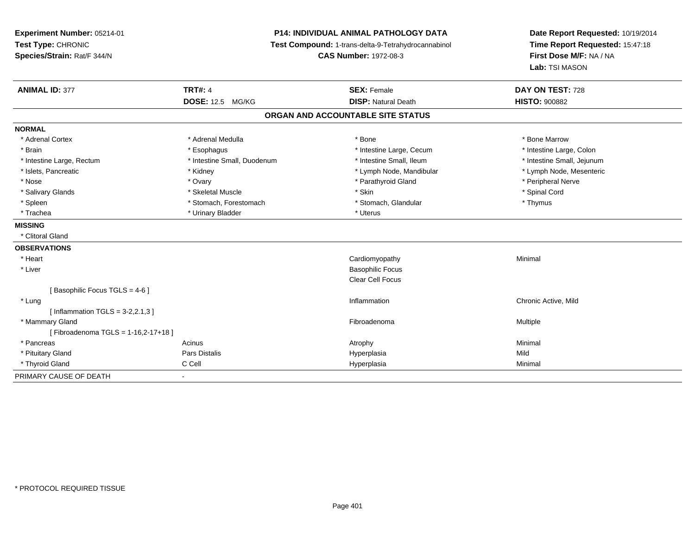**Experiment Number:** 05214-01**Test Type:** CHRONIC **Species/Strain:** Rat/F 344/N**P14: INDIVIDUAL ANIMAL PATHOLOGY DATA Test Compound:** 1-trans-delta-9-Tetrahydrocannabinol **CAS Number:** 1972-08-3**Date Report Requested:** 10/19/2014**Time Report Requested:** 15:47:18**First Dose M/F:** NA / NA**Lab:** TSI MASON**ANIMAL ID:** 377**TRT#:** 4 **SEX:** Female **SEX: Female DAY ON TEST:** 728 **DOSE:** 12.5 MG/KG**DISP:** Natural Death **HISTO:**  $900882$ **ORGAN AND ACCOUNTABLE SITE STATUSNORMAL**\* Adrenal Cortex \* Adrenal Medulla \* Adrenal Medulla \* Bone \* Bone \* Bone \* Bone \* Bone Marrow \* Intestine Large, Colon \* Brain \* Esophagus \* Esophagus \* Esophagus \* 11testine Large, Cecum \* \* Intestine Small, Jejunum \* Intestine Large, Rectum \* Intestine Small, Duodenum \* Intestine Small, Duodenum \* \* Intestine Small, Ileum \* Lymph Node, Mesenteric \* Islets, Pancreatic **\* Kidney \* Kidney \* And Frances \* Lymph Node**, Mandibular \* Lymph Node, Mandibular \* Nose \* Ovary \* Parathyroid Gland \* Peripheral Nerve \* \* Peripheral Nerve \* Salivary Glands \* \* Steeden \* \* Skeletal Muscle \* \* Skin \* \* Skin \* \* Steeden \* Spinal Cord \* Spinal Cord \* Spinal Cord \* Spinal Cord \* Spinal Cord \* Spinal Cord \* Spinal Cord \* Spinal Cord \* Spinal Cord \* Spinal Cord \* \* Spleen \* Stomach, Forestomach \* Stomach \* Stomach, Glandular \* Thymus \* Thymus \* Trachea \* Urinary Bladder \* Urinary Bladder \* Urinary Bladder \* Uterus **MISSING** \* Clitoral Gland**OBSERVATIONS** \* Heart Cardiomyopathy Minimal \* Liver Basophilic Focus Clear Cell Focus[ Basophilic Focus TGLS = 4-6 ] \* Lung Inflammation Chronic Active, Mild  $[$  Inflammation TGLS = 3-2,2.1,3  $]$  \* Mammary Glandd and the state of the state of the state of the state of the state of the state of the state of the state of the state of the state of the state of the state of the state of the state of the state of the state of the stat [ Fibroadenoma TGLS = 1-16,2-17+18 ] \* Pancreass the control of the control of the control of the control of the control of the control of the control of the control of the control of the control of the control of the control of the control of the control of the contro \* Pituitary Gland Pars Distalis Hyperplasia Mild \* Thyroid Gland C Cell Hyperplasia Minimal PRIMARY CAUSE OF DEATH-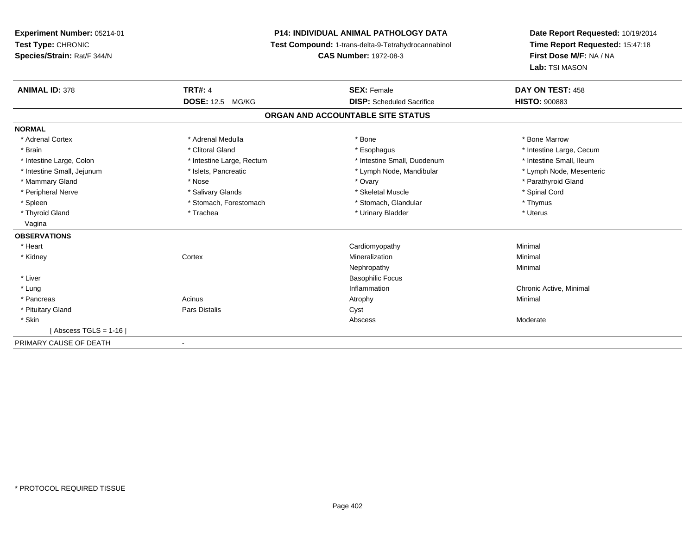# **P14: INDIVIDUAL ANIMAL PATHOLOGY DATA**

**Test Compound:** 1-trans-delta-9-Tetrahydrocannabinol

**CAS Number:** 1972-08-3

| <b>ANIMAL ID: 378</b>      | <b>TRT#: 4</b>               | <b>SEX: Female</b>                | DAY ON TEST: 458         |
|----------------------------|------------------------------|-----------------------------------|--------------------------|
|                            | <b>DOSE: 12.5 MG/KG</b>      | <b>DISP:</b> Scheduled Sacrifice  | <b>HISTO: 900883</b>     |
|                            |                              | ORGAN AND ACCOUNTABLE SITE STATUS |                          |
| <b>NORMAL</b>              |                              |                                   |                          |
| * Adrenal Cortex           | * Adrenal Medulla            | * Bone                            | * Bone Marrow            |
| * Brain                    | * Clitoral Gland             | * Esophagus                       | * Intestine Large, Cecum |
| * Intestine Large, Colon   | * Intestine Large, Rectum    | * Intestine Small, Duodenum       | * Intestine Small, Ileum |
| * Intestine Small, Jejunum | * Islets, Pancreatic         | * Lymph Node, Mandibular          | * Lymph Node, Mesenteric |
| * Mammary Gland            | * Nose                       | * Ovary                           | * Parathyroid Gland      |
| * Peripheral Nerve         | * Salivary Glands            | * Skeletal Muscle                 | * Spinal Cord            |
| * Spleen                   | * Stomach, Forestomach       | * Stomach, Glandular              | * Thymus                 |
| * Thyroid Gland            | * Trachea                    | * Urinary Bladder                 | * Uterus                 |
| Vagina                     |                              |                                   |                          |
| <b>OBSERVATIONS</b>        |                              |                                   |                          |
| * Heart                    |                              | Cardiomyopathy                    | Minimal                  |
| * Kidney                   | Cortex                       | Mineralization                    | Minimal                  |
|                            |                              | Nephropathy                       | Minimal                  |
| * Liver                    |                              | <b>Basophilic Focus</b>           |                          |
| * Lung                     |                              | Inflammation                      | Chronic Active, Minimal  |
| * Pancreas                 | Acinus                       | Atrophy                           | Minimal                  |
| * Pituitary Gland          | <b>Pars Distalis</b>         | Cyst                              |                          |
| * Skin                     |                              | Abscess                           | Moderate                 |
| [Abscess TGLS = $1-16$ ]   |                              |                                   |                          |
| PRIMARY CAUSE OF DEATH     | $\qquad \qquad \blacksquare$ |                                   |                          |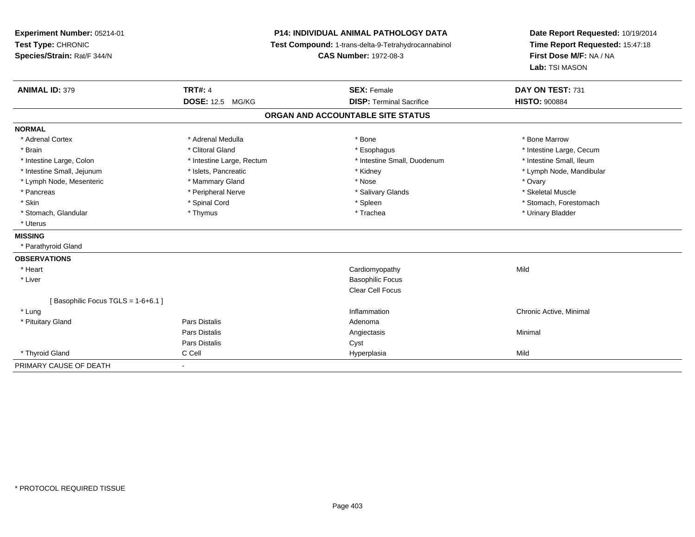| Experiment Number: 05214-01<br>Test Type: CHRONIC<br>Species/Strain: Rat/F 344/N |                           | <b>P14: INDIVIDUAL ANIMAL PATHOLOGY DATA</b><br>Test Compound: 1-trans-delta-9-Tetrahydrocannabinol<br><b>CAS Number: 1972-08-3</b> | Date Report Requested: 10/19/2014<br>Time Report Requested: 15:47:18<br>First Dose M/F: NA / NA<br>Lab: TSI MASON |  |
|----------------------------------------------------------------------------------|---------------------------|-------------------------------------------------------------------------------------------------------------------------------------|-------------------------------------------------------------------------------------------------------------------|--|
| <b>ANIMAL ID: 379</b>                                                            | <b>TRT#: 4</b>            | <b>SEX: Female</b>                                                                                                                  | DAY ON TEST: 731                                                                                                  |  |
|                                                                                  | <b>DOSE: 12.5 MG/KG</b>   | <b>DISP: Terminal Sacrifice</b>                                                                                                     | <b>HISTO: 900884</b>                                                                                              |  |
|                                                                                  |                           | ORGAN AND ACCOUNTABLE SITE STATUS                                                                                                   |                                                                                                                   |  |
| <b>NORMAL</b>                                                                    |                           |                                                                                                                                     |                                                                                                                   |  |
| * Adrenal Cortex                                                                 | * Adrenal Medulla         | * Bone                                                                                                                              | * Bone Marrow                                                                                                     |  |
| * Brain                                                                          | * Clitoral Gland          | * Esophagus                                                                                                                         | * Intestine Large, Cecum                                                                                          |  |
| * Intestine Large, Colon                                                         | * Intestine Large, Rectum | * Intestine Small, Duodenum                                                                                                         | * Intestine Small, Ileum                                                                                          |  |
| * Intestine Small, Jejunum                                                       | * Islets, Pancreatic      | * Kidney                                                                                                                            | * Lymph Node, Mandibular                                                                                          |  |
| * Lymph Node, Mesenteric                                                         | * Mammary Gland           | * Nose                                                                                                                              | * Ovary                                                                                                           |  |
| * Pancreas                                                                       | * Peripheral Nerve        | * Salivary Glands                                                                                                                   | * Skeletal Muscle                                                                                                 |  |
| * Skin                                                                           | * Spinal Cord             | * Spleen                                                                                                                            | * Stomach, Forestomach                                                                                            |  |
| * Stomach, Glandular                                                             | * Thymus                  | * Trachea                                                                                                                           | * Urinary Bladder                                                                                                 |  |
| * Uterus                                                                         |                           |                                                                                                                                     |                                                                                                                   |  |
| <b>MISSING</b>                                                                   |                           |                                                                                                                                     |                                                                                                                   |  |
| * Parathyroid Gland                                                              |                           |                                                                                                                                     |                                                                                                                   |  |
| <b>OBSERVATIONS</b>                                                              |                           |                                                                                                                                     |                                                                                                                   |  |
| * Heart                                                                          |                           | Cardiomyopathy                                                                                                                      | Mild                                                                                                              |  |
| * Liver                                                                          |                           | <b>Basophilic Focus</b>                                                                                                             |                                                                                                                   |  |
|                                                                                  |                           | Clear Cell Focus                                                                                                                    |                                                                                                                   |  |
| [Basophilic Focus TGLS = 1-6+6.1]                                                |                           |                                                                                                                                     |                                                                                                                   |  |
| * Lung                                                                           |                           | Inflammation                                                                                                                        | Chronic Active, Minimal                                                                                           |  |
| * Pituitary Gland                                                                | <b>Pars Distalis</b>      | Adenoma                                                                                                                             |                                                                                                                   |  |
|                                                                                  | <b>Pars Distalis</b>      | Angiectasis                                                                                                                         | Minimal                                                                                                           |  |
|                                                                                  | <b>Pars Distalis</b>      | Cyst                                                                                                                                |                                                                                                                   |  |
| * Thyroid Gland                                                                  | C Cell                    | Hyperplasia                                                                                                                         | Mild                                                                                                              |  |
| PRIMARY CAUSE OF DEATH                                                           |                           |                                                                                                                                     |                                                                                                                   |  |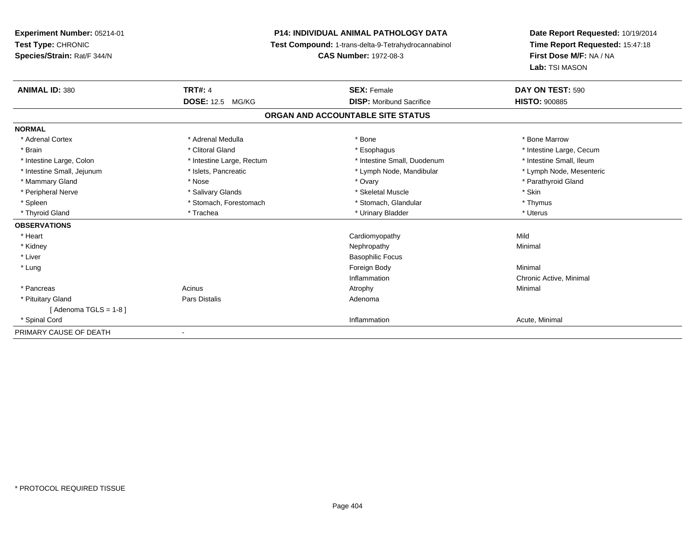# **P14: INDIVIDUAL ANIMAL PATHOLOGY DATA**

**Test Compound:** 1-trans-delta-9-Tetrahydrocannabinol

**CAS Number:** 1972-08-3

| <b>ANIMAL ID: 380</b>      | <b>TRT#: 4</b>               | <b>SEX: Female</b>                | DAY ON TEST: 590         |  |
|----------------------------|------------------------------|-----------------------------------|--------------------------|--|
|                            | <b>DOSE: 12.5</b><br>MG/KG   | <b>DISP:</b> Moribund Sacrifice   | <b>HISTO: 900885</b>     |  |
|                            |                              | ORGAN AND ACCOUNTABLE SITE STATUS |                          |  |
| <b>NORMAL</b>              |                              |                                   |                          |  |
| * Adrenal Cortex           | * Adrenal Medulla            | * Bone                            | * Bone Marrow            |  |
| * Brain                    | * Clitoral Gland             | * Esophagus                       | * Intestine Large, Cecum |  |
| * Intestine Large, Colon   | * Intestine Large, Rectum    | * Intestine Small, Duodenum       | * Intestine Small, Ileum |  |
| * Intestine Small, Jejunum | * Islets, Pancreatic         | * Lymph Node, Mandibular          | * Lymph Node, Mesenteric |  |
| * Mammary Gland            | * Nose                       | * Ovary                           | * Parathyroid Gland      |  |
| * Peripheral Nerve         | * Salivary Glands            | * Skeletal Muscle                 | * Skin                   |  |
| * Spleen                   | * Stomach, Forestomach       | * Stomach, Glandular              | * Thymus                 |  |
| * Thyroid Gland            | * Trachea                    | * Urinary Bladder                 | * Uterus                 |  |
| <b>OBSERVATIONS</b>        |                              |                                   |                          |  |
| * Heart                    |                              | Cardiomyopathy                    | Mild                     |  |
| * Kidney                   |                              | Nephropathy                       | Minimal                  |  |
| * Liver                    |                              | <b>Basophilic Focus</b>           |                          |  |
| * Lung                     |                              | Foreign Body                      | Minimal                  |  |
|                            |                              | Inflammation                      | Chronic Active, Minimal  |  |
| * Pancreas                 | Acinus                       | Atrophy                           | Minimal                  |  |
| * Pituitary Gland          | Pars Distalis                | Adenoma                           |                          |  |
| [Adenoma TGLS = $1-8$ ]    |                              |                                   |                          |  |
| * Spinal Cord              |                              | Inflammation                      | Acute, Minimal           |  |
| PRIMARY CAUSE OF DEATH     | $\qquad \qquad \blacksquare$ |                                   |                          |  |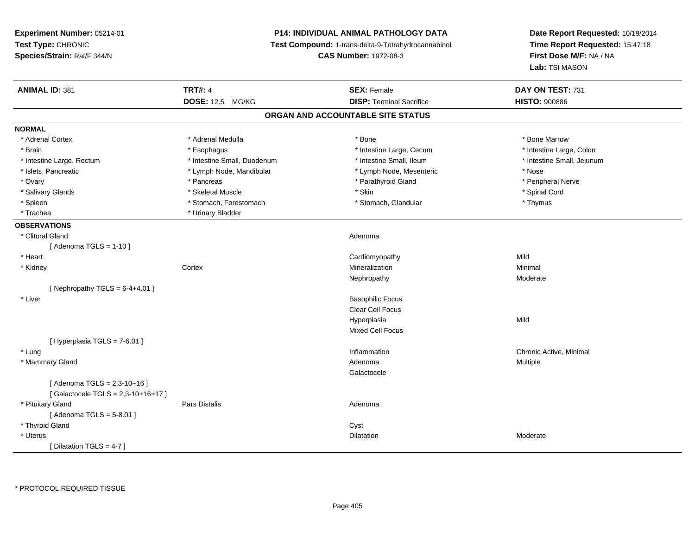**Experiment Number:** 05214-01**Test Type:** CHRONIC **Species/Strain:** Rat/F 344/N**P14: INDIVIDUAL ANIMAL PATHOLOGY DATA Test Compound:** 1-trans-delta-9-Tetrahydrocannabinol **CAS Number:** 1972-08-3**Date Report Requested:** 10/19/2014**Time Report Requested:** 15:47:18**First Dose M/F:** NA / NA**Lab:** TSI MASON**ANIMAL ID:** 381**TRT#:** 4 **SEX:** Female **SEX: Female DAY ON TEST:** 731 **DOSE:** 12.5 MG/KG **DISP:** Terminal Sacrifice **HISTO:** <sup>900886</sup> **ORGAN AND ACCOUNTABLE SITE STATUSNORMAL**\* Adrenal Cortex \* Adrenal Medulla \* Adrenal Medulla \* Bone \* Bone \* Bone \* Bone \* Bone Marrow \* Intestine Large, Colon \* Brain \* Esophagus \* Esophagus \* Esophagus \* 11testine Large, Cecum \* \* Intestine Large, Rectum \* Thestine Small, Duodenum \* Number of the small, Ileum \* Intestine Small, Jejunum \* Intestine Small, Jejunum \* Islets, Pancreatic \* The same \* Lymph Node, Mandibular \* Lymph Node, Mesenteric \* Nose \* Nose \* Peripheral Nerve \* Ovary \* And the second of the second of the second version of the second version of the second version of the second version of the second version of the second version of the second version of the second version of the \* Salivary Glands \* \* Steeden \* \* Skeletal Muscle \* \* Skin \* \* Skin \* \* Steeden \* Spinal Cord \* Spinal Cord \* Spinal Cord \* Spinal Cord \* Spinal Cord \* Spinal Cord \* Spinal Cord \* Spinal Cord \* Spinal Cord \* Spinal Cord \* \* Spleen \* Stomach, Forestomach \* Stomach \* Stomach, Glandular \* Thymus \* Thymus \* Trachea \* Urinary Bladder**OBSERVATIONS** \* Clitoral Glandd and the contract of the contract of the contract of the contract of the contract of the contract of the contract of the contract of the contract of the contract of the contract of the contract of the contract of the cont  $[$  Adenoma TGLS = 1-10  $]$  \* Heart Cardiomyopathyy Mild Minimal \* Kidneyy which is a context of the Cortext of the Cortext of the Cortext of the Mineralization n Minimal Nephropathy Moderate $[$  Nephropathy TGLS = 6-4+4.01  $]$  \* Liver Basophilic Focus Clear Cell FocusHyperplasiaa Mild Mixed Cell Focus $[$  Hyperplasia TGLS = 7-6.01 ] \* Lungg is a controller to the controller of the controller of the chronic Active, Minimal of the chronic Active, Minimal of the chronic Active, Minimal of the chronic Active, Minimal of the chronic Active, Minimal of the chroni \* Mammary Glandd and the control of the control of the control of the control of the control of the control of the control of  $A$ denoma  $A$ denoma  $A$ Galactocele $[$  Adenoma TGLS = 2,3-10+16  $]$ [ Galactocele TGLS = 2,3-10+16+17 ] \* Pituitary Glandd and the contract of Pars Distalis and the contract of Adenoma and Adenoma and the Adenoma and the Adenoma and  $\alpha$ [ Adenoma TGLS = 5-8.01 ] \* Thyroid Glandd and the contract of the contract of the contract of the contract of the contract of the contract of the contract of the contract of the contract of the contract of the contract of the contract of the contract of the cont \* Uteruss and the contract of the contract of the contract of the contract of the contract of the contract of the contract of the contract of the contract of the contract of the contract of the contract of the contract of the cont Dilatation **Dividends** Moderate [ Dilatation TGLS = 4-7 ]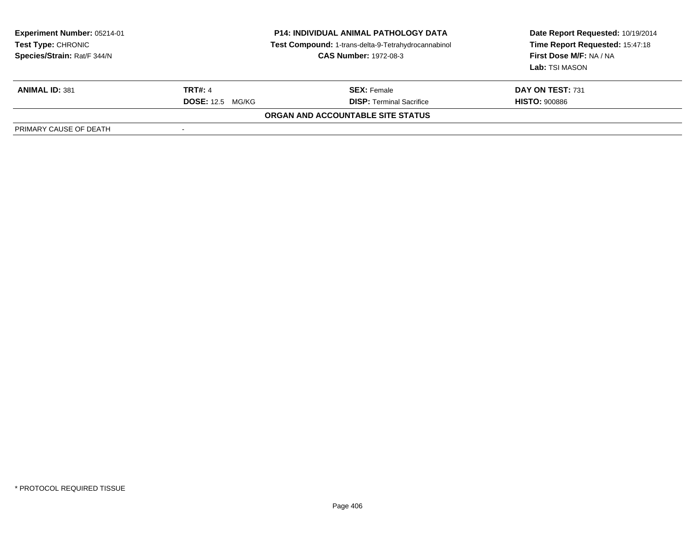| <b>Experiment Number: 05214-01</b><br><b>Test Type: CHRONIC</b><br>Species/Strain: Rat/F 344/N | <b>P14: INDIVIDUAL ANIMAL PATHOLOGY DATA</b><br>Test Compound: 1-trans-delta-9-Tetrahydrocannabinol<br><b>CAS Number: 1972-08-3</b> |                                   | Date Report Requested: 10/19/2014<br>Time Report Requested: 15:47:18<br>First Dose M/F: NA / NA<br>Lab: TSI MASON |  |
|------------------------------------------------------------------------------------------------|-------------------------------------------------------------------------------------------------------------------------------------|-----------------------------------|-------------------------------------------------------------------------------------------------------------------|--|
| <b>ANIMAL ID: 381</b>                                                                          | <b>TRT#: 4</b>                                                                                                                      | <b>SEX:</b> Female                | DAY ON TEST: 731                                                                                                  |  |
|                                                                                                | <b>DOSE:</b> 12.5 MG/KG                                                                                                             | <b>DISP: Terminal Sacrifice</b>   | <b>HISTO: 900886</b>                                                                                              |  |
|                                                                                                |                                                                                                                                     | ORGAN AND ACCOUNTABLE SITE STATUS |                                                                                                                   |  |
| PRIMARY CAUSE OF DEATH                                                                         |                                                                                                                                     |                                   |                                                                                                                   |  |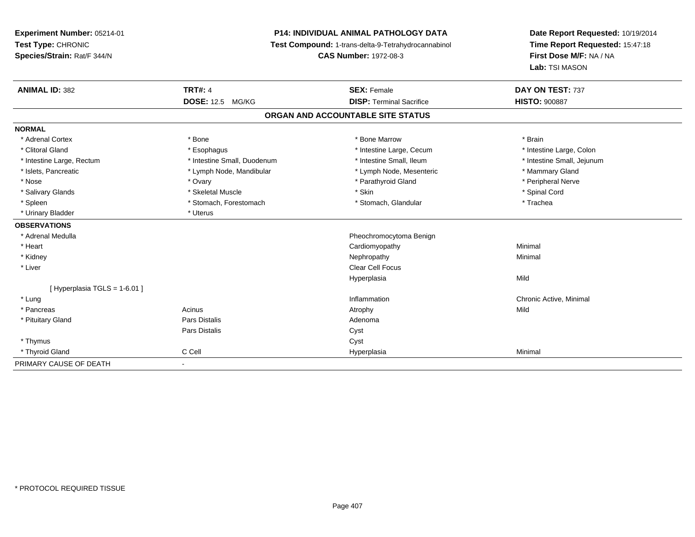# **P14: INDIVIDUAL ANIMAL PATHOLOGY DATA**

**Test Compound:** 1-trans-delta-9-Tetrahydrocannabinol

**CAS Number:** 1972-08-3

| <b>ANIMAL ID: 382</b>       | <b>TRT#: 4</b>              | <b>SEX: Female</b>                | DAY ON TEST: 737           |
|-----------------------------|-----------------------------|-----------------------------------|----------------------------|
|                             | <b>DOSE: 12.5</b><br>MG/KG  | <b>DISP: Terminal Sacrifice</b>   | <b>HISTO: 900887</b>       |
|                             |                             | ORGAN AND ACCOUNTABLE SITE STATUS |                            |
| <b>NORMAL</b>               |                             |                                   |                            |
| * Adrenal Cortex            | * Bone                      | * Bone Marrow                     | * Brain                    |
| * Clitoral Gland            | * Esophagus                 | * Intestine Large, Cecum          | * Intestine Large, Colon   |
| * Intestine Large, Rectum   | * Intestine Small, Duodenum | * Intestine Small, Ileum          | * Intestine Small, Jejunum |
| * Islets, Pancreatic        | * Lymph Node, Mandibular    | * Lymph Node, Mesenteric          | * Mammary Gland            |
| * Nose                      | * Ovary                     | * Parathyroid Gland               | * Peripheral Nerve         |
| * Salivary Glands           | * Skeletal Muscle           | * Skin                            | * Spinal Cord              |
| * Spleen                    | * Stomach, Forestomach      | * Stomach, Glandular              | * Trachea                  |
| * Urinary Bladder           | * Uterus                    |                                   |                            |
| <b>OBSERVATIONS</b>         |                             |                                   |                            |
| * Adrenal Medulla           |                             | Pheochromocytoma Benign           |                            |
| * Heart                     |                             | Cardiomyopathy                    | Minimal                    |
| * Kidney                    |                             | Nephropathy                       | Minimal                    |
| * Liver                     |                             | <b>Clear Cell Focus</b>           |                            |
|                             |                             | Hyperplasia                       | Mild                       |
| [Hyperplasia TGLS = 1-6.01] |                             |                                   |                            |
| * Lung                      |                             | Inflammation                      | Chronic Active, Minimal    |
| * Pancreas                  | Acinus                      | Atrophy                           | Mild                       |
| * Pituitary Gland           | Pars Distalis               | Adenoma                           |                            |
|                             | Pars Distalis               | Cyst                              |                            |
| * Thymus                    |                             | Cyst                              |                            |
| * Thyroid Gland             | C Cell                      | Hyperplasia                       | Minimal                    |
| PRIMARY CAUSE OF DEATH      |                             |                                   |                            |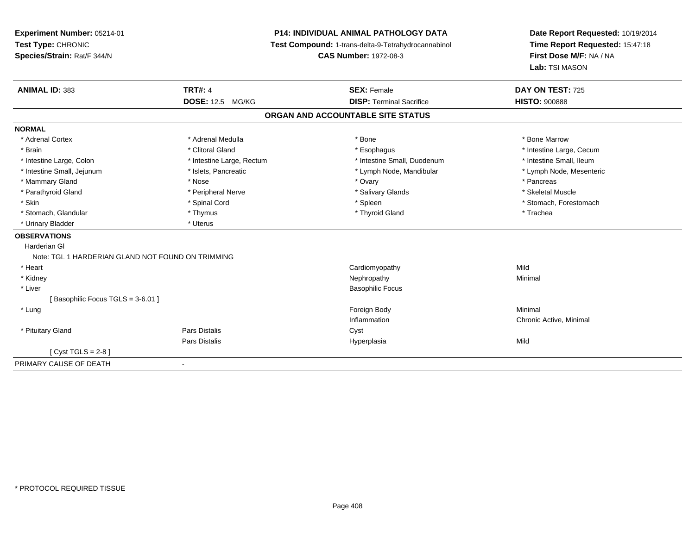**Experiment Number:** 05214-01**Test Type:** CHRONIC **Species/Strain:** Rat/F 344/N**P14: INDIVIDUAL ANIMAL PATHOLOGY DATA Test Compound:** 1-trans-delta-9-Tetrahydrocannabinol **CAS Number:** 1972-08-3**Date Report Requested:** 10/19/2014**Time Report Requested:** 15:47:18**First Dose M/F:** NA / NA**Lab:** TSI MASON**ANIMAL ID:** 383**TRT#:** 4 **SEX:** Female **SEX: Female DAY ON TEST:** 725 **DOSE:** 12.5 MG/KG **DISP:** Terminal Sacrifice **HISTO:** <sup>900888</sup> **ORGAN AND ACCOUNTABLE SITE STATUSNORMAL**\* Adrenal Cortex \* Adrenal Medulla \* Adrenal Medulla \* Bone \* Bone \* Bone \* Bone \* Bone Marrow \* Brain \* Alternation of the state of the state of the state of the state of the state of the state of the state of the state of the state of the state of the state of the state of the state of the state of the state of th \* Intestine Small, Ileum \* Intestine Large, Colon \* Intestine Large, Rectum \* Intestine Small, Duodenum \* Intestine Small, Duodenum \* Lymph Node, Mesenteric \* Intestine Small, Jejunum \* Mandibular \* Islets, Pancreatic \* Mandibular \* Lymph Node, Mandibular \* Mammary Gland \* \* Andrew \* Nose \* \* Nose \* \* Ovary \* Ovary \* Ovary \* \* Ovary \* \* Pancreas \* \* Pancreas \* \* Pancreas \* \* Pancreas \* \* Pancreas \* \* Pancreas \* \* Pancreas \* \* Pancreas \* \* Pancreas \* \* Pancreas \* \* Pancreas \* Skeletal Muscle \* Parathyroid Gland \* \* \* And \* \* Peripheral Nerve \* \* \* Salivary Glands \* \* Salivary Glands \* \* Skeletal Muscle \* \* Skeletal Muscle \* \* Skeletal Muscle \* \* Skeletal Muscle \* \* Skeletal Muscle \* \* Skeletal Muscle \* \* Skele \* Skin \* Spinal Cord \* Spinal Cord \* Spinal Cord \* Spinal \* Spinal \* Stomach, Forestomach \* Stomach, Forestomach \* Stomach, Glandular \* Thymus \* Thymus \* Thymus \* Thyroid Gland \* Thyroid Gland \* Thachea \* Urinary Bladder \* Uterus **OBSERVATIONS** Harderian GlNote: TGL 1 HARDERIAN GLAND NOT FOUND ON TRIMMING \* Heart Cardiomyopathyy Mild Minimal \* Kidneyy the control of the control of the control of the control of the control of the control of the control of the control of the control of the control of the control of the control of the control of the control of the contro \* Liver Basophilic Focus[ Basophilic Focus TGLS = 3-6.01 ] \* Lungg and the state of the state of the state of the state of the state of the state of the state of the state of the state of the state of the state of the state of the state of the state of the state of the state of the stat Inflammation Chronic Active, Minimal \* Pituitary Glandd Cyst Constants Constants Constants Constants Constants Constants Constants Constants Constants Constants Const Pars Distalis Hyperplasiaa Mild

[ Cyst TGLS = 2-8 ]

-

PRIMARY CAUSE OF DEATH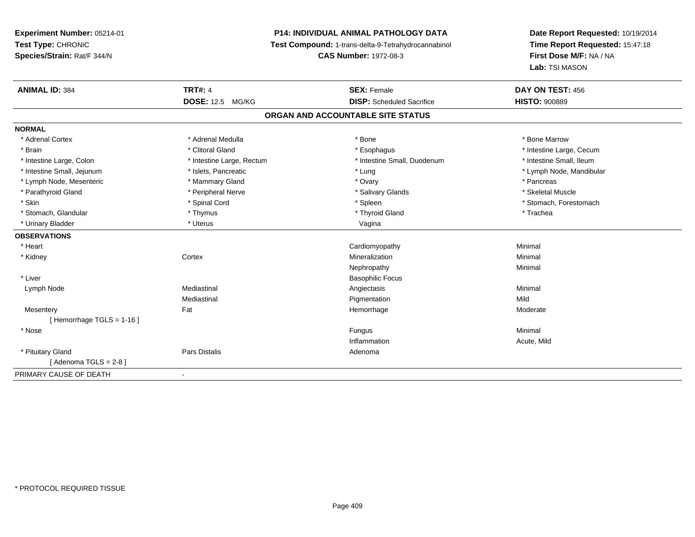# **P14: INDIVIDUAL ANIMAL PATHOLOGY DATA**

**Test Compound:** 1-trans-delta-9-Tetrahydrocannabinol

**CAS Number:** 1972-08-3

| <b>ANIMAL ID: 384</b>       | <b>TRT#: 4</b>            | <b>SEX: Female</b>                | DAY ON TEST: 456         |
|-----------------------------|---------------------------|-----------------------------------|--------------------------|
|                             | <b>DOSE: 12.5 MG/KG</b>   | <b>DISP:</b> Scheduled Sacrifice  | <b>HISTO: 900889</b>     |
|                             |                           | ORGAN AND ACCOUNTABLE SITE STATUS |                          |
| <b>NORMAL</b>               |                           |                                   |                          |
| * Adrenal Cortex            | * Adrenal Medulla         | * Bone                            | * Bone Marrow            |
| * Brain                     | * Clitoral Gland          | * Esophagus                       | * Intestine Large, Cecum |
| * Intestine Large, Colon    | * Intestine Large, Rectum | * Intestine Small, Duodenum       | * Intestine Small, Ileum |
| * Intestine Small, Jejunum  | * Islets, Pancreatic      | * Lung                            | * Lymph Node, Mandibular |
| * Lymph Node, Mesenteric    | * Mammary Gland           | * Ovary                           | * Pancreas               |
| * Parathyroid Gland         | * Peripheral Nerve        | * Salivary Glands                 | * Skeletal Muscle        |
| * Skin                      | * Spinal Cord             | * Spleen                          | * Stomach, Forestomach   |
| * Stomach, Glandular        | * Thymus                  | * Thyroid Gland                   | * Trachea                |
| * Urinary Bladder           | * Uterus                  | Vagina                            |                          |
| <b>OBSERVATIONS</b>         |                           |                                   |                          |
| * Heart                     |                           | Cardiomyopathy                    | Minimal                  |
| * Kidney                    | Cortex                    | Mineralization                    | Minimal                  |
|                             |                           | Nephropathy                       | Minimal                  |
| * Liver                     |                           | <b>Basophilic Focus</b>           |                          |
| Lymph Node                  | Mediastinal               | Angiectasis                       | Minimal                  |
|                             | Mediastinal               | Pigmentation                      | Mild                     |
| Mesentery                   | Fat                       | Hemorrhage                        | Moderate                 |
| [Hemorrhage TGLS = $1-16$ ] |                           |                                   |                          |
| * Nose                      |                           | Fungus                            | Minimal                  |
|                             |                           | Inflammation                      | Acute, Mild              |
| * Pituitary Gland           | Pars Distalis             | Adenoma                           |                          |
| [Adenoma TGLS = $2-8$ ]     |                           |                                   |                          |
| PRIMARY CAUSE OF DEATH      | $\blacksquare$            |                                   |                          |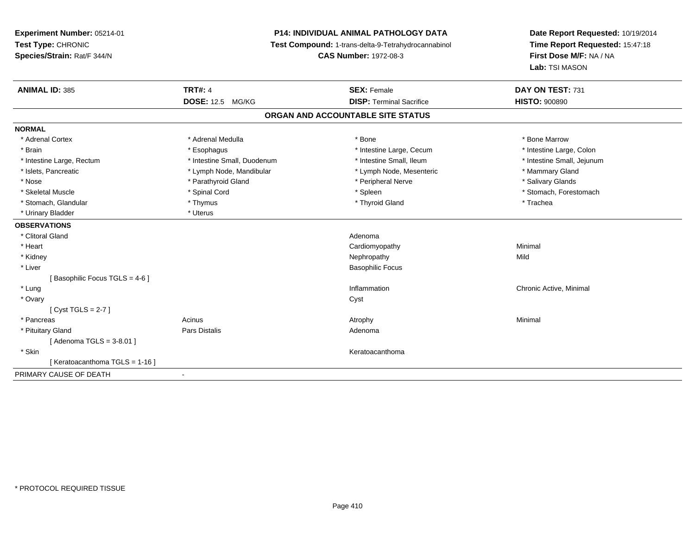# **P14: INDIVIDUAL ANIMAL PATHOLOGY DATA**

**Test Compound:** 1-trans-delta-9-Tetrahydrocannabinol

**CAS Number:** 1972-08-3

| <b>ANIMAL ID: 385</b>           | <b>TRT#: 4</b>              | <b>SEX: Female</b>                | DAY ON TEST: 731           |
|---------------------------------|-----------------------------|-----------------------------------|----------------------------|
|                                 | <b>DOSE: 12.5 MG/KG</b>     | <b>DISP: Terminal Sacrifice</b>   | <b>HISTO: 900890</b>       |
|                                 |                             | ORGAN AND ACCOUNTABLE SITE STATUS |                            |
| <b>NORMAL</b>                   |                             |                                   |                            |
| * Adrenal Cortex                | * Adrenal Medulla           | * Bone                            | * Bone Marrow              |
| * Brain                         | * Esophagus                 | * Intestine Large, Cecum          | * Intestine Large, Colon   |
| * Intestine Large, Rectum       | * Intestine Small, Duodenum | * Intestine Small, Ileum          | * Intestine Small, Jejunum |
| * Islets, Pancreatic            | * Lymph Node, Mandibular    | * Lymph Node, Mesenteric          | * Mammary Gland            |
| * Nose                          | * Parathyroid Gland         | * Peripheral Nerve                | * Salivary Glands          |
| * Skeletal Muscle               | * Spinal Cord               | * Spleen                          | * Stomach, Forestomach     |
| * Stomach, Glandular            | * Thymus                    | * Thyroid Gland                   | * Trachea                  |
| * Urinary Bladder               | * Uterus                    |                                   |                            |
| <b>OBSERVATIONS</b>             |                             |                                   |                            |
| * Clitoral Gland                |                             | Adenoma                           |                            |
| * Heart                         |                             | Cardiomyopathy                    | Minimal                    |
| * Kidney                        |                             | Nephropathy                       | Mild                       |
| * Liver                         |                             | <b>Basophilic Focus</b>           |                            |
| [Basophilic Focus TGLS = 4-6]   |                             |                                   |                            |
| * Lung                          |                             | Inflammation                      | Chronic Active, Minimal    |
| * Ovary                         |                             | Cyst                              |                            |
| [Cyst TGLS = $2-7$ ]            |                             |                                   |                            |
| * Pancreas                      | Acinus                      | Atrophy                           | Minimal                    |
| * Pituitary Gland               | Pars Distalis               | Adenoma                           |                            |
| [ Adenoma TGLS = 3-8.01 ]       |                             |                                   |                            |
| * Skin                          |                             | Keratoacanthoma                   |                            |
| [ Keratoacanthoma TGLS = 1-16 ] |                             |                                   |                            |
| PRIMARY CAUSE OF DEATH          | $\blacksquare$              |                                   |                            |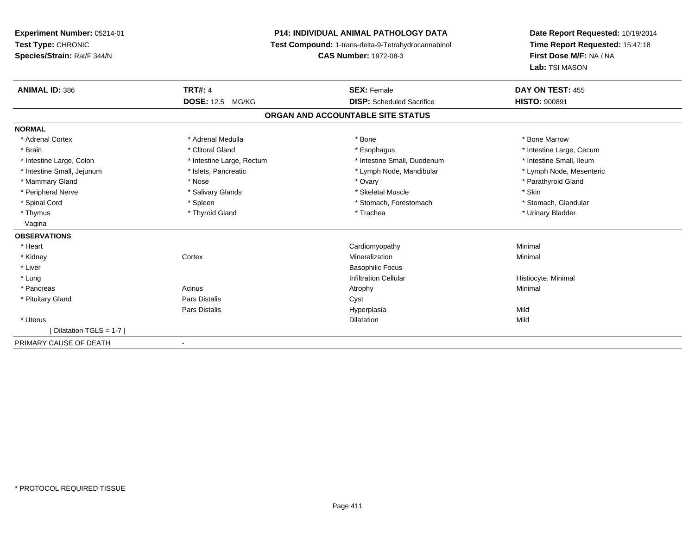# **P14: INDIVIDUAL ANIMAL PATHOLOGY DATA**

**Test Compound:** 1-trans-delta-9-Tetrahydrocannabinol

**CAS Number:** 1972-08-3

| <b>ANIMAL ID: 386</b>      | <b>TRT#: 4</b>            | <b>SEX: Female</b>                | DAY ON TEST: 455         |
|----------------------------|---------------------------|-----------------------------------|--------------------------|
|                            | <b>DOSE: 12.5 MG/KG</b>   | <b>DISP:</b> Scheduled Sacrifice  | <b>HISTO: 900891</b>     |
|                            |                           | ORGAN AND ACCOUNTABLE SITE STATUS |                          |
| <b>NORMAL</b>              |                           |                                   |                          |
| * Adrenal Cortex           | * Adrenal Medulla         | * Bone                            | * Bone Marrow            |
| * Brain                    | * Clitoral Gland          | * Esophagus                       | * Intestine Large, Cecum |
| * Intestine Large, Colon   | * Intestine Large, Rectum | * Intestine Small, Duodenum       | * Intestine Small, Ileum |
| * Intestine Small, Jejunum | * Islets, Pancreatic      | * Lymph Node, Mandibular          | * Lymph Node, Mesenteric |
| * Mammary Gland            | * Nose                    | * Ovary                           | * Parathyroid Gland      |
| * Peripheral Nerve         | * Salivary Glands         | * Skeletal Muscle                 | * Skin                   |
| * Spinal Cord              | * Spleen                  | * Stomach, Forestomach            | * Stomach, Glandular     |
| * Thymus                   | * Thyroid Gland           | * Trachea                         | * Urinary Bladder        |
| Vagina                     |                           |                                   |                          |
| <b>OBSERVATIONS</b>        |                           |                                   |                          |
| * Heart                    |                           | Cardiomyopathy                    | Minimal                  |
| * Kidney                   | Cortex                    | Mineralization                    | Minimal                  |
| * Liver                    |                           | <b>Basophilic Focus</b>           |                          |
| * Lung                     |                           | <b>Infiltration Cellular</b>      | Histiocyte, Minimal      |
| * Pancreas                 | Acinus                    | Atrophy                           | Minimal                  |
| * Pituitary Gland          | Pars Distalis             | Cyst                              |                          |
|                            | Pars Distalis             | Hyperplasia                       | Mild                     |
| * Uterus                   |                           | <b>Dilatation</b>                 | Mild                     |
| [Dilatation TGLS = 1-7]    |                           |                                   |                          |
| PRIMARY CAUSE OF DEATH     | $\blacksquare$            |                                   |                          |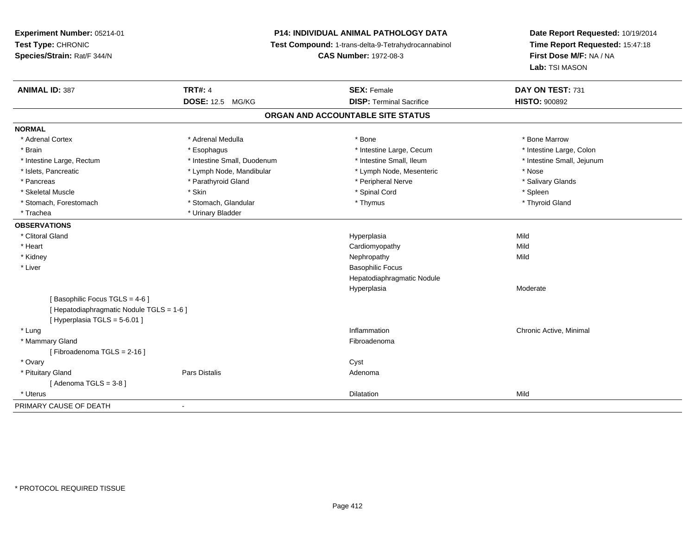# **P14: INDIVIDUAL ANIMAL PATHOLOGY DATA**

**Test Compound:** 1-trans-delta-9-Tetrahydrocannabinol

**CAS Number:** 1972-08-3

| <b>ANIMAL ID: 387</b>                     | <b>TRT#: 4</b>              | <b>SEX: Female</b>                | DAY ON TEST: 731           |  |
|-------------------------------------------|-----------------------------|-----------------------------------|----------------------------|--|
|                                           | <b>DOSE: 12.5 MG/KG</b>     | <b>DISP: Terminal Sacrifice</b>   | <b>HISTO: 900892</b>       |  |
|                                           |                             | ORGAN AND ACCOUNTABLE SITE STATUS |                            |  |
| <b>NORMAL</b>                             |                             |                                   |                            |  |
| * Adrenal Cortex                          | * Adrenal Medulla           | * Bone                            | * Bone Marrow              |  |
| * Brain                                   | * Esophagus                 | * Intestine Large, Cecum          | * Intestine Large, Colon   |  |
| * Intestine Large, Rectum                 | * Intestine Small, Duodenum | * Intestine Small, Ileum          | * Intestine Small, Jejunum |  |
| * Islets, Pancreatic                      | * Lymph Node, Mandibular    | * Lymph Node, Mesenteric          | * Nose                     |  |
| * Pancreas                                | * Parathyroid Gland         | * Peripheral Nerve                | * Salivary Glands          |  |
| * Skeletal Muscle                         | * Skin                      | * Spinal Cord                     | * Spleen                   |  |
| * Stomach, Forestomach                    | * Stomach, Glandular        | * Thymus                          | * Thyroid Gland            |  |
| * Trachea                                 | * Urinary Bladder           |                                   |                            |  |
| <b>OBSERVATIONS</b>                       |                             |                                   |                            |  |
| * Clitoral Gland                          |                             | Hyperplasia                       | Mild                       |  |
| * Heart                                   |                             | Cardiomyopathy                    | Mild                       |  |
| * Kidney                                  |                             | Nephropathy                       | Mild                       |  |
| * Liver                                   |                             | <b>Basophilic Focus</b>           |                            |  |
|                                           |                             | Hepatodiaphragmatic Nodule        |                            |  |
|                                           |                             | Hyperplasia                       | Moderate                   |  |
| [Basophilic Focus TGLS = 4-6 ]            |                             |                                   |                            |  |
| [ Hepatodiaphragmatic Nodule TGLS = 1-6 ] |                             |                                   |                            |  |
| [ Hyperplasia TGLS = 5-6.01 ]             |                             |                                   |                            |  |
| * Lung                                    |                             | Inflammation                      | Chronic Active, Minimal    |  |
| * Mammary Gland                           |                             | Fibroadenoma                      |                            |  |
| [Fibroadenoma TGLS = 2-16]                |                             |                                   |                            |  |
| * Ovary                                   |                             | Cyst                              |                            |  |
| * Pituitary Gland                         | Pars Distalis               | Adenoma                           |                            |  |
| [Adenoma TGLS = $3-8$ ]                   |                             |                                   |                            |  |
| * Uterus                                  |                             | <b>Dilatation</b>                 | Mild                       |  |
| PRIMARY CAUSE OF DEATH                    | $\overline{\phantom{a}}$    |                                   |                            |  |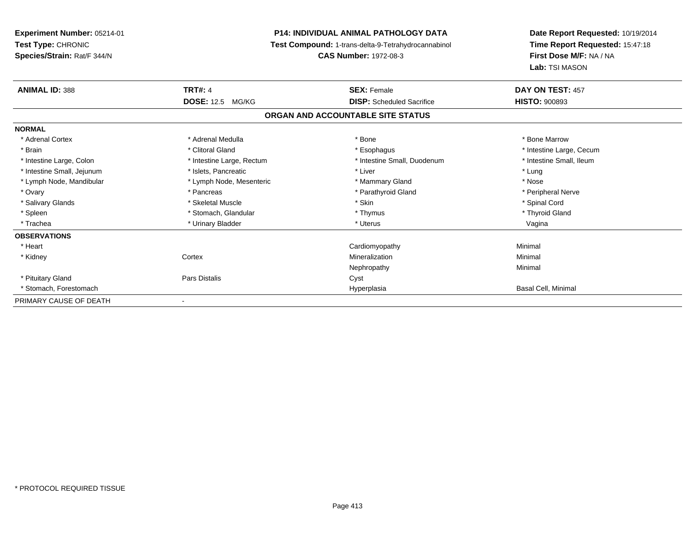**Experiment Number:** 05214-01**Test Type:** CHRONIC **Species/Strain:** Rat/F 344/N**P14: INDIVIDUAL ANIMAL PATHOLOGY DATA Test Compound:** 1-trans-delta-9-Tetrahydrocannabinol **CAS Number:** 1972-08-3**Date Report Requested:** 10/19/2014**Time Report Requested:** 15:47:18**First Dose M/F:** NA / NA**Lab:** TSI MASON**ANIMAL ID:** 388**TRT#:** 4 **SEX:** Female **SEX: Female DAY ON TEST:** 457 **DOSE:** 12.5 MG/KG **DISP:** Scheduled Sacrifice **HISTO:** <sup>900893</sup> **ORGAN AND ACCOUNTABLE SITE STATUSNORMAL**\* Adrenal Cortex \* Adrenal Medulla \* Adrenal Medulla \* Bone \* Bone \* Bone \* Bone \* Bone Marrow \* Brain \* Alternation of the state of the state of the state of the state of the state of the state of the state of the state of the state of the state of the state of the state of the state of the state of the state of th \* Intestine Small, Ileum \* Intestine Large, Colon \* Intestine Large, Rectum \* Intestine Small, Duodenum \* Intestine Small, Duodenum \* Intestine Small, Jejunum \* The matches of the state of the state of the state of the state of the state of the state of the state of the state of the state of the state of the state of the state of the state of the state \* Nose \* Lymph Node, Mandibular \* Lymph Node, Mesenteric \* Mammary Gland \* Mammary Gland \* Peripheral Nerve \* Ovary \* And the second of the second of the second version of the second version of the second version of the second version of the second version of the second version of the second version of the second version of the \* Salivary Glands \* \* Steeden \* \* Skeletal Muscle \* \* Skin \* \* Skin \* \* Steeden \* Spinal Cord \* Spinal Cord \* Spinal Cord \* Spinal Cord \* Spinal Cord \* Spinal Cord \* Spinal Cord \* Spinal Cord \* Spinal Cord \* Spinal Cord \* \* Thyroid Gland \* Spleen \* Stomach, Glandular \* Thymus \* Thymus \* Thymus \* Thymus \* Thymus \* Thymus \* Thymus \* Thymus \* Thymus \* Thymus \* Thymus \* Thymus \* Thymus \* Thymus \* Thymus \* Thymus \* Thymus \* Thymus \* Thymus \* Thymus \* Thymus \* T \* Trachea \* Urinary Bladder \* Ninear \* Urinary Bladder \* Ninear \* Uterus \* Uterus \* Uterus \* Urinary Bladder \* Ninear \* Uterus \* Uterus \* Uterus \* Uterus \* Ninear \* Uterus \* Ninear \* Uterus \* Ninear \* Uterus \* Ninear \* Ute **OBSERVATIONS** \* Heart Cardiomyopathy Minimal \* Kidneyy which is a context of the Cortext of the Cortext of the Cortext of the Mineralization n Minimal Nephropathy Minimal \* Pituitary Glandd Cyst Constants Constants Constants Constants Constants Constants Constants Constants Constants Constants Const \* Stomach, Forestomachh ann an t-aisim a bha ann an t-aisim an t-aisim a bha ann an t-aisim a bha ann an t-aisim a bha an t-aisim a bha an t-aisim a bha an t-aisim a bha an t-aisim a bha an t-aisim a bha an t-aisim a bha an t-aisim a bha an t-a PRIMARY CAUSE OF DEATH-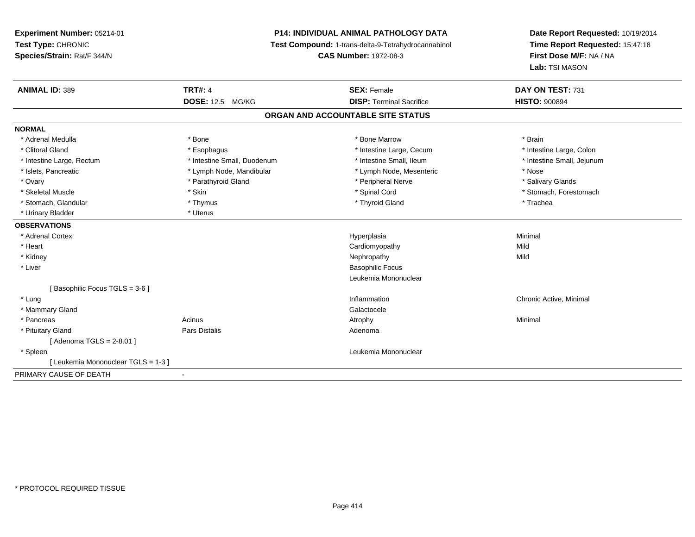# **P14: INDIVIDUAL ANIMAL PATHOLOGY DATA**

**Test Compound:** 1-trans-delta-9-Tetrahydrocannabinol

**CAS Number:** 1972-08-3

| <b>ANIMAL ID: 389</b>             | <b>TRT#: 4</b>              | <b>SEX: Female</b>                | DAY ON TEST: 731           |
|-----------------------------------|-----------------------------|-----------------------------------|----------------------------|
|                                   | <b>DOSE: 12.5 MG/KG</b>     | <b>DISP: Terminal Sacrifice</b>   | <b>HISTO: 900894</b>       |
|                                   |                             | ORGAN AND ACCOUNTABLE SITE STATUS |                            |
| <b>NORMAL</b>                     |                             |                                   |                            |
| * Adrenal Medulla                 | * Bone                      | * Bone Marrow                     | * Brain                    |
| * Clitoral Gland                  | * Esophagus                 | * Intestine Large, Cecum          | * Intestine Large, Colon   |
| * Intestine Large, Rectum         | * Intestine Small, Duodenum | * Intestine Small, Ileum          | * Intestine Small, Jejunum |
| * Islets, Pancreatic              | * Lymph Node, Mandibular    | * Lymph Node, Mesenteric          | * Nose                     |
| * Ovary                           | * Parathyroid Gland         | * Peripheral Nerve                | * Salivary Glands          |
| * Skeletal Muscle                 | * Skin                      | * Spinal Cord                     | * Stomach, Forestomach     |
| * Stomach, Glandular              | * Thymus                    | * Thyroid Gland                   | * Trachea                  |
| * Urinary Bladder                 | * Uterus                    |                                   |                            |
| <b>OBSERVATIONS</b>               |                             |                                   |                            |
| * Adrenal Cortex                  |                             | Hyperplasia                       | Minimal                    |
| * Heart                           |                             | Cardiomyopathy                    | Mild                       |
| * Kidney                          |                             | Nephropathy                       | Mild                       |
| * Liver                           |                             | <b>Basophilic Focus</b>           |                            |
|                                   |                             | Leukemia Mononuclear              |                            |
| [Basophilic Focus TGLS = 3-6]     |                             |                                   |                            |
| * Lung                            |                             | Inflammation                      | Chronic Active, Minimal    |
| * Mammary Gland                   |                             | Galactocele                       |                            |
| * Pancreas                        | Acinus                      | Atrophy                           | Minimal                    |
| * Pituitary Gland                 | Pars Distalis               | Adenoma                           |                            |
| [Adenoma TGLS = $2-8.01$ ]        |                             |                                   |                            |
| * Spleen                          |                             | Leukemia Mononuclear              |                            |
| [Leukemia Mononuclear TGLS = 1-3] |                             |                                   |                            |
| PRIMARY CAUSE OF DEATH            | $\overline{\phantom{0}}$    |                                   |                            |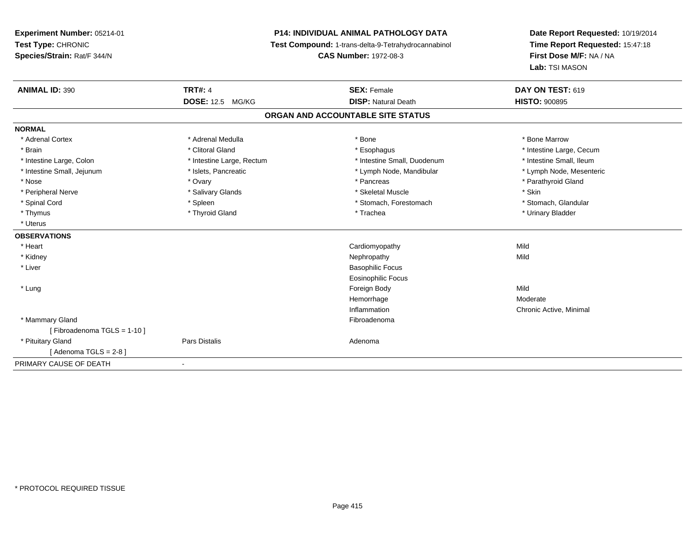# **P14: INDIVIDUAL ANIMAL PATHOLOGY DATA**

**Test Compound:** 1-trans-delta-9-Tetrahydrocannabinol

**CAS Number:** 1972-08-3

| <b>ANIMAL ID: 390</b>      | <b>TRT#: 4</b>            | <b>SEX: Female</b>                | DAY ON TEST: 619         |
|----------------------------|---------------------------|-----------------------------------|--------------------------|
|                            | DOSE: 12.5 MG/KG          | <b>DISP: Natural Death</b>        | <b>HISTO: 900895</b>     |
|                            |                           | ORGAN AND ACCOUNTABLE SITE STATUS |                          |
| <b>NORMAL</b>              |                           |                                   |                          |
| * Adrenal Cortex           | * Adrenal Medulla         | * Bone                            | * Bone Marrow            |
| * Brain                    | * Clitoral Gland          | * Esophagus                       | * Intestine Large, Cecum |
| * Intestine Large, Colon   | * Intestine Large, Rectum | * Intestine Small, Duodenum       | * Intestine Small, Ileum |
| * Intestine Small, Jejunum | * Islets, Pancreatic      | * Lymph Node, Mandibular          | * Lymph Node, Mesenteric |
| * Nose                     | * Ovary                   | * Pancreas                        | * Parathyroid Gland      |
| * Peripheral Nerve         | * Salivary Glands         | * Skeletal Muscle                 | * Skin                   |
| * Spinal Cord              | * Spleen                  | * Stomach, Forestomach            | * Stomach, Glandular     |
| * Thymus                   | * Thyroid Gland           | * Trachea                         | * Urinary Bladder        |
| * Uterus                   |                           |                                   |                          |
| <b>OBSERVATIONS</b>        |                           |                                   |                          |
| * Heart                    |                           | Cardiomyopathy                    | Mild                     |
| * Kidney                   |                           | Nephropathy                       | Mild                     |
| * Liver                    |                           | <b>Basophilic Focus</b>           |                          |
|                            |                           | <b>Eosinophilic Focus</b>         |                          |
| * Lung                     |                           | Foreign Body                      | Mild                     |
|                            |                           | Hemorrhage                        | Moderate                 |
|                            |                           | Inflammation                      | Chronic Active, Minimal  |
| * Mammary Gland            |                           | Fibroadenoma                      |                          |
| [Fibroadenoma TGLS = 1-10] |                           |                                   |                          |
| * Pituitary Gland          | Pars Distalis             | Adenoma                           |                          |
| [Adenoma TGLS = $2-8$ ]    |                           |                                   |                          |
| PRIMARY CAUSE OF DEATH     | ٠                         |                                   |                          |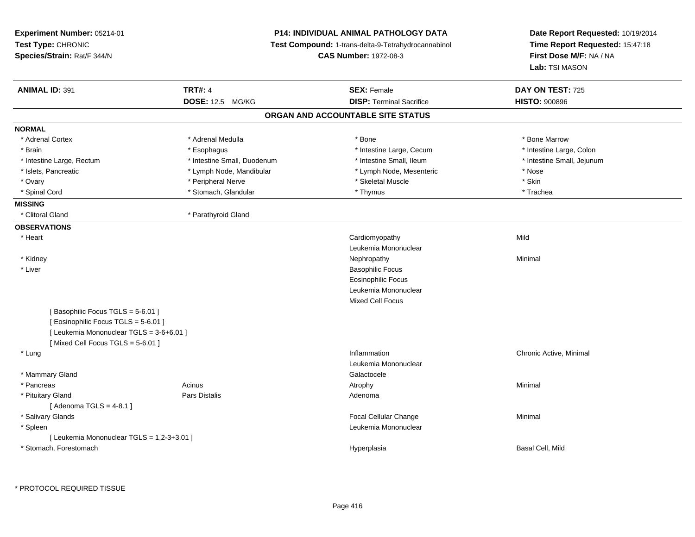| Experiment Number: 05214-01                |                             | P14: INDIVIDUAL ANIMAL PATHOLOGY DATA               | Date Report Requested: 10/19/2014 |
|--------------------------------------------|-----------------------------|-----------------------------------------------------|-----------------------------------|
| Test Type: CHRONIC                         |                             | Test Compound: 1-trans-delta-9-Tetrahydrocannabinol | Time Report Requested: 15:47:18   |
| Species/Strain: Rat/F 344/N                |                             | <b>CAS Number: 1972-08-3</b>                        | First Dose M/F: NA / NA           |
|                                            |                             |                                                     | Lab: TSI MASON                    |
| <b>ANIMAL ID: 391</b>                      | <b>TRT#: 4</b>              | <b>SEX: Female</b>                                  | DAY ON TEST: 725                  |
|                                            | DOSE: 12.5 MG/KG            | <b>DISP: Terminal Sacrifice</b>                     | <b>HISTO: 900896</b>              |
|                                            |                             | ORGAN AND ACCOUNTABLE SITE STATUS                   |                                   |
| <b>NORMAL</b>                              |                             |                                                     |                                   |
| * Adrenal Cortex                           | * Adrenal Medulla           | * Bone                                              | * Bone Marrow                     |
| * Brain                                    | * Esophagus                 | * Intestine Large, Cecum                            | * Intestine Large, Colon          |
| * Intestine Large, Rectum                  | * Intestine Small, Duodenum | * Intestine Small, Ileum                            | * Intestine Small, Jejunum        |
| * Islets, Pancreatic                       | * Lymph Node, Mandibular    | * Lymph Node, Mesenteric                            | * Nose                            |
| * Ovary                                    | * Peripheral Nerve          | * Skeletal Muscle                                   | * Skin                            |
| * Spinal Cord                              | * Stomach, Glandular        | * Thymus                                            | * Trachea                         |
| <b>MISSING</b>                             |                             |                                                     |                                   |
| * Clitoral Gland                           | * Parathyroid Gland         |                                                     |                                   |
| <b>OBSERVATIONS</b>                        |                             |                                                     |                                   |
| * Heart                                    |                             | Cardiomyopathy                                      | Mild                              |
|                                            |                             | Leukemia Mononuclear                                |                                   |
| * Kidney                                   |                             | Nephropathy                                         | Minimal                           |
| * Liver                                    |                             | <b>Basophilic Focus</b>                             |                                   |
|                                            |                             | <b>Eosinophilic Focus</b>                           |                                   |
|                                            |                             | Leukemia Mononuclear                                |                                   |
|                                            |                             | <b>Mixed Cell Focus</b>                             |                                   |
| [Basophilic Focus TGLS = 5-6.01]           |                             |                                                     |                                   |
| [Eosinophilic Focus TGLS = 5-6.01]         |                             |                                                     |                                   |
| [ Leukemia Mononuclear TGLS = 3-6+6.01 ]   |                             |                                                     |                                   |
| [Mixed Cell Focus TGLS = 5-6.01]           |                             |                                                     |                                   |
| * Lung                                     |                             | Inflammation                                        | Chronic Active, Minimal           |
|                                            |                             | Leukemia Mononuclear                                |                                   |
| * Mammary Gland                            |                             | Galactocele                                         |                                   |
| * Pancreas                                 | Acinus                      | Atrophy                                             | Minimal                           |
| * Pituitary Gland                          | <b>Pars Distalis</b>        | Adenoma                                             |                                   |
| [Adenoma TGLS = $4-8.1$ ]                  |                             |                                                     |                                   |
| * Salivary Glands                          |                             | Focal Cellular Change                               | Minimal                           |
| * Spleen                                   |                             | Leukemia Mononuclear                                |                                   |
| [ Leukemia Mononuclear TGLS = 1,2-3+3.01 ] |                             |                                                     |                                   |
| * Stomach, Forestomach                     |                             | Hyperplasia                                         | Basal Cell, Mild                  |
|                                            |                             |                                                     |                                   |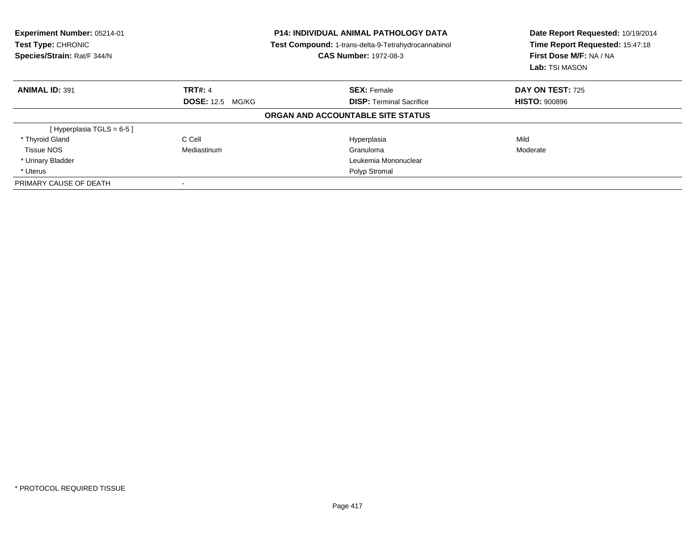| Experiment Number: 05214-01<br>Test Type: CHRONIC<br>Species/Strain: Rat/F 344/N |                         | <b>P14: INDIVIDUAL ANIMAL PATHOLOGY DATA</b><br>Test Compound: 1-trans-delta-9-Tetrahydrocannabinol<br><b>CAS Number: 1972-08-3</b> | Date Report Requested: 10/19/2014<br>Time Report Requested: 15:47:18<br>First Dose M/F: NA / NA<br>Lab: TSI MASON |  |
|----------------------------------------------------------------------------------|-------------------------|-------------------------------------------------------------------------------------------------------------------------------------|-------------------------------------------------------------------------------------------------------------------|--|
| <b>ANIMAL ID: 391</b>                                                            | <b>TRT#: 4</b>          | <b>SEX: Female</b>                                                                                                                  | <b>DAY ON TEST: 725</b>                                                                                           |  |
|                                                                                  | <b>DOSE: 12.5 MG/KG</b> | <b>DISP:</b> Terminal Sacrifice                                                                                                     | <b>HISTO: 900896</b>                                                                                              |  |
|                                                                                  |                         | ORGAN AND ACCOUNTABLE SITE STATUS                                                                                                   |                                                                                                                   |  |
| [Hyperplasia TGLS = $6-5$ ]                                                      |                         |                                                                                                                                     |                                                                                                                   |  |
| * Thyroid Gland                                                                  | C Cell                  | Hyperplasia                                                                                                                         | Mild                                                                                                              |  |
| Tissue NOS                                                                       | Mediastinum             | Granuloma                                                                                                                           | Moderate                                                                                                          |  |
| * Urinary Bladder                                                                |                         | Leukemia Mononuclear                                                                                                                |                                                                                                                   |  |
| * Uterus                                                                         |                         | Polyp Stromal                                                                                                                       |                                                                                                                   |  |
| PRIMARY CAUSE OF DEATH                                                           |                         |                                                                                                                                     |                                                                                                                   |  |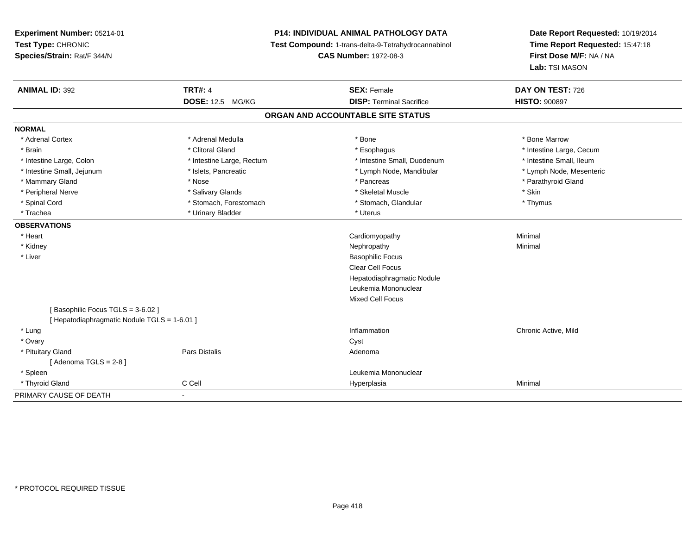# **P14: INDIVIDUAL ANIMAL PATHOLOGY DATA**

**Test Compound:** 1-trans-delta-9-Tetrahydrocannabinol

**CAS Number:** 1972-08-3

| <b>ANIMAL ID: 392</b>                      | <b>TRT#: 4</b>            | <b>SEX: Female</b>              | DAY ON TEST: 726         |  |  |  |  |
|--------------------------------------------|---------------------------|---------------------------------|--------------------------|--|--|--|--|
|                                            | DOSE: 12.5 MG/KG          | <b>DISP: Terminal Sacrifice</b> | <b>HISTO: 900897</b>     |  |  |  |  |
| ORGAN AND ACCOUNTABLE SITE STATUS          |                           |                                 |                          |  |  |  |  |
| <b>NORMAL</b>                              |                           |                                 |                          |  |  |  |  |
| * Adrenal Cortex                           | * Adrenal Medulla         | * Bone                          | * Bone Marrow            |  |  |  |  |
| * Brain                                    | * Clitoral Gland          | * Esophagus                     | * Intestine Large, Cecum |  |  |  |  |
| * Intestine Large, Colon                   | * Intestine Large, Rectum | * Intestine Small, Duodenum     | * Intestine Small, Ileum |  |  |  |  |
| * Intestine Small, Jejunum                 | * Islets, Pancreatic      | * Lymph Node, Mandibular        | * Lymph Node, Mesenteric |  |  |  |  |
| * Mammary Gland                            | * Nose                    | * Pancreas                      | * Parathyroid Gland      |  |  |  |  |
| * Peripheral Nerve                         | * Salivary Glands         | * Skeletal Muscle               | * Skin                   |  |  |  |  |
| * Spinal Cord                              | * Stomach, Forestomach    | * Stomach, Glandular            | * Thymus                 |  |  |  |  |
| * Trachea                                  | * Urinary Bladder         | * Uterus                        |                          |  |  |  |  |
| <b>OBSERVATIONS</b>                        |                           |                                 |                          |  |  |  |  |
| * Heart                                    |                           | Cardiomyopathy                  | Minimal                  |  |  |  |  |
| * Kidney                                   |                           | Nephropathy                     | Minimal                  |  |  |  |  |
| * Liver                                    |                           | <b>Basophilic Focus</b>         |                          |  |  |  |  |
|                                            |                           | <b>Clear Cell Focus</b>         |                          |  |  |  |  |
|                                            |                           | Hepatodiaphragmatic Nodule      |                          |  |  |  |  |
|                                            |                           | Leukemia Mononuclear            |                          |  |  |  |  |
|                                            |                           | <b>Mixed Cell Focus</b>         |                          |  |  |  |  |
| [Basophilic Focus TGLS = 3-6.02]           |                           |                                 |                          |  |  |  |  |
| [Hepatodiaphragmatic Nodule TGLS = 1-6.01] |                           |                                 |                          |  |  |  |  |
| * Lung                                     |                           | Inflammation                    | Chronic Active, Mild     |  |  |  |  |
| * Ovary                                    |                           | Cyst                            |                          |  |  |  |  |
| * Pituitary Gland                          | Pars Distalis             | Adenoma                         |                          |  |  |  |  |
| [Adenoma TGLS = 2-8]                       |                           |                                 |                          |  |  |  |  |
| * Spleen                                   |                           | Leukemia Mononuclear            |                          |  |  |  |  |
| * Thyroid Gland                            | C Cell                    | Hyperplasia                     | Minimal                  |  |  |  |  |
| PRIMARY CAUSE OF DEATH                     | $\blacksquare$            |                                 |                          |  |  |  |  |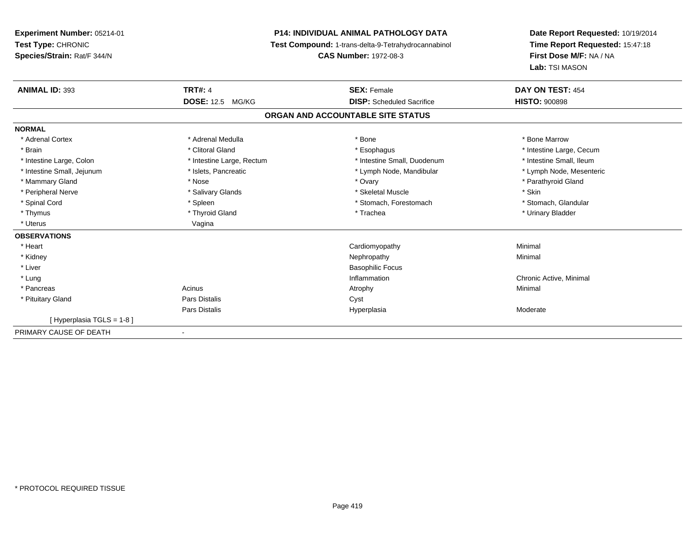# **P14: INDIVIDUAL ANIMAL PATHOLOGY DATA**

**Test Compound:** 1-trans-delta-9-Tetrahydrocannabinol

**CAS Number:** 1972-08-3

| <b>ANIMAL ID: 393</b>      | <b>TRT#: 4</b>            | <b>SEX: Female</b>                | DAY ON TEST: 454         |
|----------------------------|---------------------------|-----------------------------------|--------------------------|
|                            | <b>DOSE: 12.5 MG/KG</b>   | <b>DISP:</b> Scheduled Sacrifice  | <b>HISTO: 900898</b>     |
|                            |                           | ORGAN AND ACCOUNTABLE SITE STATUS |                          |
| <b>NORMAL</b>              |                           |                                   |                          |
| * Adrenal Cortex           | * Adrenal Medulla         | * Bone                            | * Bone Marrow            |
| * Brain                    | * Clitoral Gland          | * Esophagus                       | * Intestine Large, Cecum |
| * Intestine Large, Colon   | * Intestine Large, Rectum | * Intestine Small, Duodenum       | * Intestine Small, Ileum |
| * Intestine Small, Jejunum | * Islets, Pancreatic      | * Lymph Node, Mandibular          | * Lymph Node, Mesenteric |
| * Mammary Gland            | * Nose                    | * Ovary                           | * Parathyroid Gland      |
| * Peripheral Nerve         | * Salivary Glands         | * Skeletal Muscle                 | * Skin                   |
| * Spinal Cord              | * Spleen                  | * Stomach, Forestomach            | * Stomach, Glandular     |
| * Thymus                   | * Thyroid Gland           | * Trachea                         | * Urinary Bladder        |
| * Uterus                   | Vagina                    |                                   |                          |
| <b>OBSERVATIONS</b>        |                           |                                   |                          |
| * Heart                    |                           | Cardiomyopathy                    | Minimal                  |
| * Kidney                   |                           | Nephropathy                       | Minimal                  |
| * Liver                    |                           | <b>Basophilic Focus</b>           |                          |
| * Lung                     |                           | Inflammation                      | Chronic Active, Minimal  |
| * Pancreas                 | Acinus                    | Atrophy                           | Minimal                  |
| * Pituitary Gland          | Pars Distalis             | Cyst                              |                          |
|                            | Pars Distalis             | Hyperplasia                       | Moderate                 |
| [Hyperplasia TGLS = 1-8]   |                           |                                   |                          |
| PRIMARY CAUSE OF DEATH     | ٠                         |                                   |                          |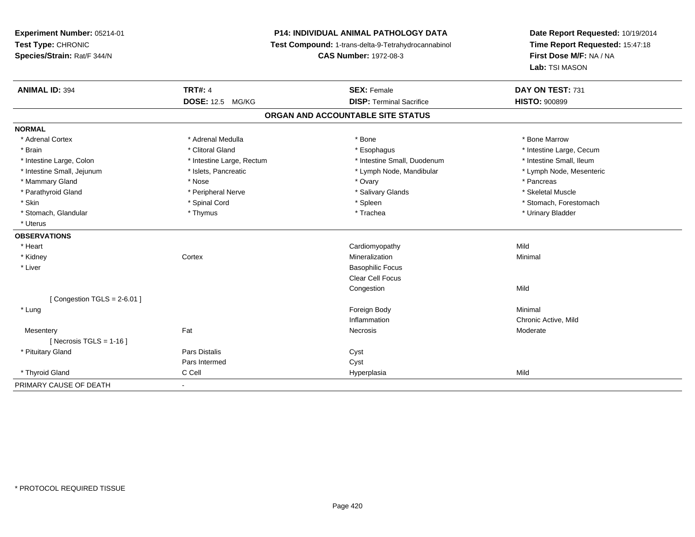# **P14: INDIVIDUAL ANIMAL PATHOLOGY DATA**

**Test Compound:** 1-trans-delta-9-Tetrahydrocannabinol

**CAS Number:** 1972-08-3

| <b>ANIMAL ID: 394</b>         | <b>TRT#: 4</b>            | <b>SEX: Female</b>                | DAY ON TEST: 731         |
|-------------------------------|---------------------------|-----------------------------------|--------------------------|
|                               | <b>DOSE: 12.5 MG/KG</b>   | <b>DISP: Terminal Sacrifice</b>   | <b>HISTO: 900899</b>     |
|                               |                           | ORGAN AND ACCOUNTABLE SITE STATUS |                          |
| <b>NORMAL</b>                 |                           |                                   |                          |
| * Adrenal Cortex              | * Adrenal Medulla         | * Bone                            | * Bone Marrow            |
| * Brain                       | * Clitoral Gland          | * Esophagus                       | * Intestine Large, Cecum |
| * Intestine Large, Colon      | * Intestine Large, Rectum | * Intestine Small, Duodenum       | * Intestine Small, Ileum |
| * Intestine Small, Jejunum    | * Islets, Pancreatic      | * Lymph Node, Mandibular          | * Lymph Node, Mesenteric |
| * Mammary Gland               | * Nose                    | * Ovary                           | * Pancreas               |
| * Parathyroid Gland           | * Peripheral Nerve        | * Salivary Glands                 | * Skeletal Muscle        |
| * Skin                        | * Spinal Cord             | * Spleen                          | * Stomach, Forestomach   |
| * Stomach, Glandular          | * Thymus                  | * Trachea                         | * Urinary Bladder        |
| * Uterus                      |                           |                                   |                          |
| <b>OBSERVATIONS</b>           |                           |                                   |                          |
| * Heart                       |                           | Cardiomyopathy                    | Mild                     |
| * Kidney                      | Cortex                    | Mineralization                    | Minimal                  |
| * Liver                       |                           | <b>Basophilic Focus</b>           |                          |
|                               |                           | Clear Cell Focus                  |                          |
|                               |                           | Congestion                        | Mild                     |
| [Congestion TGLS = $2-6.01$ ] |                           |                                   |                          |
| * Lung                        |                           | Foreign Body                      | Minimal                  |
|                               |                           | Inflammation                      | Chronic Active, Mild     |
| Mesentery                     | Fat                       | Necrosis                          | Moderate                 |
| [ Necrosis TGLS = $1-16$ ]    |                           |                                   |                          |
| * Pituitary Gland             | <b>Pars Distalis</b>      | Cyst                              |                          |
|                               | Pars Intermed             | Cyst                              |                          |
| * Thyroid Gland               | C Cell                    | Hyperplasia                       | Mild                     |
| PRIMARY CAUSE OF DEATH        | $\blacksquare$            |                                   |                          |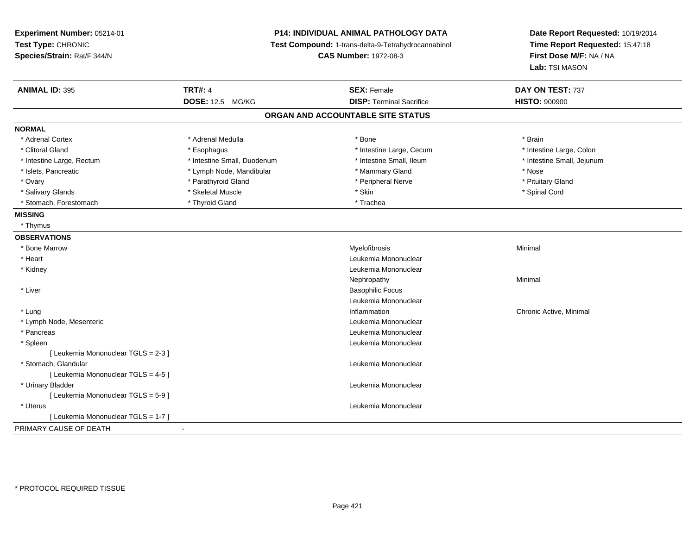| Experiment Number: 05214-01<br>Test Type: CHRONIC<br>Species/Strain: Rat/F 344/N | P14: INDIVIDUAL ANIMAL PATHOLOGY DATA<br>Test Compound: 1-trans-delta-9-Tetrahydrocannabinol<br><b>CAS Number: 1972-08-3</b> |                                   | Date Report Requested: 10/19/2014<br>Time Report Requested: 15:47:18<br>First Dose M/F: NA / NA<br>Lab: TSI MASON |
|----------------------------------------------------------------------------------|------------------------------------------------------------------------------------------------------------------------------|-----------------------------------|-------------------------------------------------------------------------------------------------------------------|
| <b>ANIMAL ID: 395</b>                                                            | <b>TRT#: 4</b>                                                                                                               | <b>SEX: Female</b>                | DAY ON TEST: 737                                                                                                  |
|                                                                                  | <b>DOSE: 12.5 MG/KG</b>                                                                                                      | <b>DISP: Terminal Sacrifice</b>   | <b>HISTO: 900900</b>                                                                                              |
|                                                                                  |                                                                                                                              | ORGAN AND ACCOUNTABLE SITE STATUS |                                                                                                                   |
| <b>NORMAL</b>                                                                    |                                                                                                                              |                                   |                                                                                                                   |
| * Adrenal Cortex                                                                 | * Adrenal Medulla                                                                                                            | * Bone                            | * Brain                                                                                                           |
| * Clitoral Gland                                                                 | * Esophagus                                                                                                                  | * Intestine Large, Cecum          | * Intestine Large, Colon                                                                                          |
| * Intestine Large, Rectum                                                        | * Intestine Small, Duodenum                                                                                                  | * Intestine Small, Ileum          | * Intestine Small, Jejunum                                                                                        |
| * Islets, Pancreatic                                                             | * Lymph Node, Mandibular                                                                                                     | * Mammary Gland                   | * Nose                                                                                                            |
| * Ovary                                                                          | * Parathyroid Gland                                                                                                          | * Peripheral Nerve                | * Pituitary Gland                                                                                                 |
| * Salivary Glands                                                                | * Skeletal Muscle                                                                                                            | * Skin                            | * Spinal Cord                                                                                                     |
| * Stomach, Forestomach                                                           | * Thyroid Gland                                                                                                              | * Trachea                         |                                                                                                                   |
| <b>MISSING</b>                                                                   |                                                                                                                              |                                   |                                                                                                                   |
| * Thymus                                                                         |                                                                                                                              |                                   |                                                                                                                   |
| <b>OBSERVATIONS</b>                                                              |                                                                                                                              |                                   |                                                                                                                   |
| * Bone Marrow                                                                    |                                                                                                                              | Myelofibrosis                     | Minimal                                                                                                           |
| * Heart                                                                          |                                                                                                                              | Leukemia Mononuclear              |                                                                                                                   |
| * Kidney                                                                         |                                                                                                                              | Leukemia Mononuclear              |                                                                                                                   |
|                                                                                  |                                                                                                                              | Nephropathy                       | Minimal                                                                                                           |
| * Liver                                                                          |                                                                                                                              | <b>Basophilic Focus</b>           |                                                                                                                   |
|                                                                                  |                                                                                                                              | Leukemia Mononuclear              |                                                                                                                   |
| * Lung                                                                           |                                                                                                                              | Inflammation                      | Chronic Active, Minimal                                                                                           |
| * Lymph Node, Mesenteric                                                         |                                                                                                                              | Leukemia Mononuclear              |                                                                                                                   |
| * Pancreas                                                                       |                                                                                                                              | Leukemia Mononuclear              |                                                                                                                   |
| * Spleen                                                                         |                                                                                                                              | Leukemia Mononuclear              |                                                                                                                   |
| [ Leukemia Mononuclear TGLS = 2-3 ]                                              |                                                                                                                              |                                   |                                                                                                                   |
| * Stomach, Glandular                                                             |                                                                                                                              | Leukemia Mononuclear              |                                                                                                                   |
| [ Leukemia Mononuclear TGLS = 4-5 ]                                              |                                                                                                                              |                                   |                                                                                                                   |
| * Urinary Bladder                                                                |                                                                                                                              | Leukemia Mononuclear              |                                                                                                                   |
| [ Leukemia Mononuclear TGLS = 5-9 ]                                              |                                                                                                                              |                                   |                                                                                                                   |
| * Uterus                                                                         |                                                                                                                              | Leukemia Mononuclear              |                                                                                                                   |
| [ Leukemia Mononuclear TGLS = 1-7 ]                                              |                                                                                                                              |                                   |                                                                                                                   |
| PRIMARY CAUSE OF DEATH                                                           |                                                                                                                              |                                   |                                                                                                                   |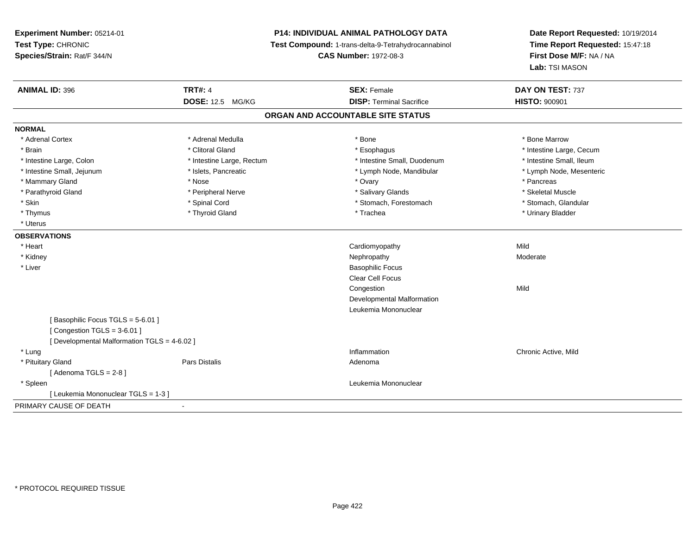# **P14: INDIVIDUAL ANIMAL PATHOLOGY DATA**

**Test Compound:** 1-trans-delta-9-Tetrahydrocannabinol

**CAS Number:** 1972-08-3

| <b>DOSE: 12.5 MG/KG</b><br><b>HISTO: 900901</b><br><b>DISP: Terminal Sacrifice</b><br>ORGAN AND ACCOUNTABLE SITE STATUS<br>* Adrenal Cortex<br>* Adrenal Medulla<br>* Bone<br>* Bone Marrow<br>* Clitoral Gland<br>* Brain<br>* Esophagus<br>* Intestine Large, Cecum<br>* Intestine Large, Colon<br>* Intestine Large, Rectum<br>* Intestine Small, Duodenum<br>* Intestine Small, Ileum<br>* Intestine Small, Jejunum<br>* Islets, Pancreatic<br>* Lymph Node, Mandibular<br>* Lymph Node, Mesenteric<br>* Mammary Gland<br>* Nose<br>* Ovary<br>* Pancreas<br>* Parathyroid Gland<br>* Peripheral Nerve<br>* Salivary Glands<br>* Skeletal Muscle<br>* Skin<br>* Spinal Cord<br>* Stomach, Forestomach<br>* Stomach, Glandular<br>* Thyroid Gland<br>* Urinary Bladder<br>* Thymus<br>* Trachea<br>* Uterus<br>* Heart<br>Cardiomyopathy<br>Mild<br>* Kidney<br>Nephropathy<br>Moderate<br>* Liver<br><b>Basophilic Focus</b><br>Clear Cell Focus<br>Mild<br>Congestion<br>Developmental Malformation<br>Leukemia Mononuclear<br>[Basophilic Focus TGLS = 5-6.01]<br>[Congestion TGLS = $3-6.01$ ]<br>[ Developmental Malformation TGLS = 4-6.02 ]<br>* Lung<br>Inflammation<br>Chronic Active, Mild<br>* Pituitary Gland<br>Pars Distalis<br>Adenoma<br>[Adenoma TGLS = $2-8$ ]<br>Leukemia Mononuclear<br>* Spleen<br>[ Leukemia Mononuclear TGLS = 1-3 ]<br>$\blacksquare$ | <b>ANIMAL ID: 396</b>  | <b>TRT#: 4</b> | <b>SEX: Female</b> | DAY ON TEST: 737 |
|----------------------------------------------------------------------------------------------------------------------------------------------------------------------------------------------------------------------------------------------------------------------------------------------------------------------------------------------------------------------------------------------------------------------------------------------------------------------------------------------------------------------------------------------------------------------------------------------------------------------------------------------------------------------------------------------------------------------------------------------------------------------------------------------------------------------------------------------------------------------------------------------------------------------------------------------------------------------------------------------------------------------------------------------------------------------------------------------------------------------------------------------------------------------------------------------------------------------------------------------------------------------------------------------------------------------------------------------------------------------------------|------------------------|----------------|--------------------|------------------|
|                                                                                                                                                                                                                                                                                                                                                                                                                                                                                                                                                                                                                                                                                                                                                                                                                                                                                                                                                                                                                                                                                                                                                                                                                                                                                                                                                                                  |                        |                |                    |                  |
|                                                                                                                                                                                                                                                                                                                                                                                                                                                                                                                                                                                                                                                                                                                                                                                                                                                                                                                                                                                                                                                                                                                                                                                                                                                                                                                                                                                  |                        |                |                    |                  |
|                                                                                                                                                                                                                                                                                                                                                                                                                                                                                                                                                                                                                                                                                                                                                                                                                                                                                                                                                                                                                                                                                                                                                                                                                                                                                                                                                                                  | <b>NORMAL</b>          |                |                    |                  |
|                                                                                                                                                                                                                                                                                                                                                                                                                                                                                                                                                                                                                                                                                                                                                                                                                                                                                                                                                                                                                                                                                                                                                                                                                                                                                                                                                                                  |                        |                |                    |                  |
|                                                                                                                                                                                                                                                                                                                                                                                                                                                                                                                                                                                                                                                                                                                                                                                                                                                                                                                                                                                                                                                                                                                                                                                                                                                                                                                                                                                  |                        |                |                    |                  |
|                                                                                                                                                                                                                                                                                                                                                                                                                                                                                                                                                                                                                                                                                                                                                                                                                                                                                                                                                                                                                                                                                                                                                                                                                                                                                                                                                                                  |                        |                |                    |                  |
|                                                                                                                                                                                                                                                                                                                                                                                                                                                                                                                                                                                                                                                                                                                                                                                                                                                                                                                                                                                                                                                                                                                                                                                                                                                                                                                                                                                  |                        |                |                    |                  |
|                                                                                                                                                                                                                                                                                                                                                                                                                                                                                                                                                                                                                                                                                                                                                                                                                                                                                                                                                                                                                                                                                                                                                                                                                                                                                                                                                                                  |                        |                |                    |                  |
|                                                                                                                                                                                                                                                                                                                                                                                                                                                                                                                                                                                                                                                                                                                                                                                                                                                                                                                                                                                                                                                                                                                                                                                                                                                                                                                                                                                  |                        |                |                    |                  |
|                                                                                                                                                                                                                                                                                                                                                                                                                                                                                                                                                                                                                                                                                                                                                                                                                                                                                                                                                                                                                                                                                                                                                                                                                                                                                                                                                                                  |                        |                |                    |                  |
|                                                                                                                                                                                                                                                                                                                                                                                                                                                                                                                                                                                                                                                                                                                                                                                                                                                                                                                                                                                                                                                                                                                                                                                                                                                                                                                                                                                  |                        |                |                    |                  |
|                                                                                                                                                                                                                                                                                                                                                                                                                                                                                                                                                                                                                                                                                                                                                                                                                                                                                                                                                                                                                                                                                                                                                                                                                                                                                                                                                                                  |                        |                |                    |                  |
|                                                                                                                                                                                                                                                                                                                                                                                                                                                                                                                                                                                                                                                                                                                                                                                                                                                                                                                                                                                                                                                                                                                                                                                                                                                                                                                                                                                  | <b>OBSERVATIONS</b>    |                |                    |                  |
|                                                                                                                                                                                                                                                                                                                                                                                                                                                                                                                                                                                                                                                                                                                                                                                                                                                                                                                                                                                                                                                                                                                                                                                                                                                                                                                                                                                  |                        |                |                    |                  |
|                                                                                                                                                                                                                                                                                                                                                                                                                                                                                                                                                                                                                                                                                                                                                                                                                                                                                                                                                                                                                                                                                                                                                                                                                                                                                                                                                                                  |                        |                |                    |                  |
|                                                                                                                                                                                                                                                                                                                                                                                                                                                                                                                                                                                                                                                                                                                                                                                                                                                                                                                                                                                                                                                                                                                                                                                                                                                                                                                                                                                  |                        |                |                    |                  |
|                                                                                                                                                                                                                                                                                                                                                                                                                                                                                                                                                                                                                                                                                                                                                                                                                                                                                                                                                                                                                                                                                                                                                                                                                                                                                                                                                                                  |                        |                |                    |                  |
|                                                                                                                                                                                                                                                                                                                                                                                                                                                                                                                                                                                                                                                                                                                                                                                                                                                                                                                                                                                                                                                                                                                                                                                                                                                                                                                                                                                  |                        |                |                    |                  |
|                                                                                                                                                                                                                                                                                                                                                                                                                                                                                                                                                                                                                                                                                                                                                                                                                                                                                                                                                                                                                                                                                                                                                                                                                                                                                                                                                                                  |                        |                |                    |                  |
|                                                                                                                                                                                                                                                                                                                                                                                                                                                                                                                                                                                                                                                                                                                                                                                                                                                                                                                                                                                                                                                                                                                                                                                                                                                                                                                                                                                  |                        |                |                    |                  |
|                                                                                                                                                                                                                                                                                                                                                                                                                                                                                                                                                                                                                                                                                                                                                                                                                                                                                                                                                                                                                                                                                                                                                                                                                                                                                                                                                                                  |                        |                |                    |                  |
|                                                                                                                                                                                                                                                                                                                                                                                                                                                                                                                                                                                                                                                                                                                                                                                                                                                                                                                                                                                                                                                                                                                                                                                                                                                                                                                                                                                  |                        |                |                    |                  |
|                                                                                                                                                                                                                                                                                                                                                                                                                                                                                                                                                                                                                                                                                                                                                                                                                                                                                                                                                                                                                                                                                                                                                                                                                                                                                                                                                                                  |                        |                |                    |                  |
|                                                                                                                                                                                                                                                                                                                                                                                                                                                                                                                                                                                                                                                                                                                                                                                                                                                                                                                                                                                                                                                                                                                                                                                                                                                                                                                                                                                  |                        |                |                    |                  |
|                                                                                                                                                                                                                                                                                                                                                                                                                                                                                                                                                                                                                                                                                                                                                                                                                                                                                                                                                                                                                                                                                                                                                                                                                                                                                                                                                                                  |                        |                |                    |                  |
|                                                                                                                                                                                                                                                                                                                                                                                                                                                                                                                                                                                                                                                                                                                                                                                                                                                                                                                                                                                                                                                                                                                                                                                                                                                                                                                                                                                  |                        |                |                    |                  |
|                                                                                                                                                                                                                                                                                                                                                                                                                                                                                                                                                                                                                                                                                                                                                                                                                                                                                                                                                                                                                                                                                                                                                                                                                                                                                                                                                                                  |                        |                |                    |                  |
|                                                                                                                                                                                                                                                                                                                                                                                                                                                                                                                                                                                                                                                                                                                                                                                                                                                                                                                                                                                                                                                                                                                                                                                                                                                                                                                                                                                  |                        |                |                    |                  |
|                                                                                                                                                                                                                                                                                                                                                                                                                                                                                                                                                                                                                                                                                                                                                                                                                                                                                                                                                                                                                                                                                                                                                                                                                                                                                                                                                                                  | PRIMARY CAUSE OF DEATH |                |                    |                  |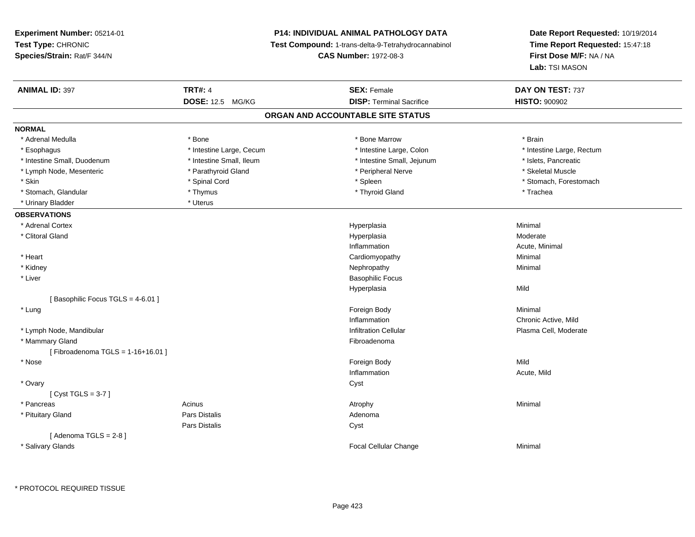**Experiment Number:** 05214-01**Test Type:** CHRONIC **Species/Strain:** Rat/F 344/N**P14: INDIVIDUAL ANIMAL PATHOLOGY DATA Test Compound:** 1-trans-delta-9-Tetrahydrocannabinol **CAS Number:** 1972-08-3**Date Report Requested:** 10/19/2014**Time Report Requested:** 15:47:18**First Dose M/F:** NA / NA**Lab:** TSI MASON**ANIMAL ID:** 397**TRT#:** 4 **SEX:** Female **SEX: Female DAY ON TEST:** 737 **DOSE:** 12.5 MG/KG**DISP:** Terminal Sacrifice **HISTO:**  $900902$ **ORGAN AND ACCOUNTABLE SITE STATUSNORMAL**\* Adrenal Medulla \* \* Annual Medulla \* Brain \* Bone \* \* Bone Marrow \* Bone Marrow \* \* Brain \* Brain \* Brain \* Brain \* Brain \* Brain \* Brain \* Brain \* Brain \* Brain \* Brain \* Brain \* Brain \* Brain \* Brain \* Brain \* Brain \* \* Esophagus \* Thestine Large, Cecum \* Intestine Large, Cecum \* Intestine Large, Colon \* Intestine Large, Rectum \* Intestine Small, Duodenum \* Intestine Small, Ileum \* Intestine Small, Intestine Small, Jejunum \* Islets, Pancreatic \* Skeletal Muscle \* Lymph Node, Mesenteric \* Parathyroid Gland \* Peripheral Nerve \* Peripheral Nerve \* Skin \* Spinal Cord \* Spinal Cord \* Spinal Cord \* Spinal \* Spinal \* Stomach, Forestomach \* Stomach, Forestomach \* Stomach, Glandular \* Thymus \* Thymus \* Thymus \* Thyroid Gland \* Thyroid Gland \* Thachea \* Urinary Bladder \* Uterus **OBSERVATIONS** \* Adrenal Cortexx and the contract of the contract of the contract of the contract of the contract of the contract of the contract of the contract of the contract of the contract of the contract of the contract of the contract of the cont a and a studies of the studies of the Minimal \* Clitoral Glandd and the controller of the controller of the controller of the Hyperplasia controller of the Moderate of the Moderate of the controller of the controller of the controller of the controller of the controller of the contro Inflammation Acute, Minimal \* Heart Cardiomyopathy Minimal \* Kidneyy the control of the control of the control of the control of the control of the control of the control of the control of the control of the control of the control of the control of the control of the control of the contro \* Liver Basophilic FocusHyperplasiaa Mild [ Basophilic Focus TGLS = 4-6.01 ] \* Lungg and the state of the state of the state of the state of the state of the state of the state of the state of the state of the state of the state of the state of the state of the state of the state of the state of the stat Inflammation Chronic Active, Mild \* Lymph Node, MandibularInfiltration Cellular **Plasma Cell**, Moderate \* Mammary Glandd **Executive Contract of the Contract Contract Contract Contract Contract Contract Contract Contract Contract Contract Contract Contract Contract Contract Contract Contract Contract Contract Contract Contract Contract Cont** [ Fibroadenoma TGLS = 1-16+16.01 ] \* Nosee and the state of the state of the state of the state of the state of the state of the state of the state of the state of the state of the state of the state of the state of the state of the state of the state of the stat Inflammation Acute, Mild \* Ovaryy cystem in the control of the control of the control of the control of the control of the control of the control of the control of the control of the control of the control of the control of the control of the control of [ Cyst TGLS = 3-7 ] \* Pancreass the control of the control of the control of the control of the control of the control of the control of the control of the control of the control of the control of the control of the control of the control of the contro \* Pituitary Glandd and the contract of Pars Distalis and the contract of Adenoma and Adenoma and the Adenoma and the Adenoma and  $\alpha$ Pars Distaliss Cyst  $[$  Adenoma TGLS = 2-8  $]$  \* Salivary Glands Focal Cellular ChangeMinimal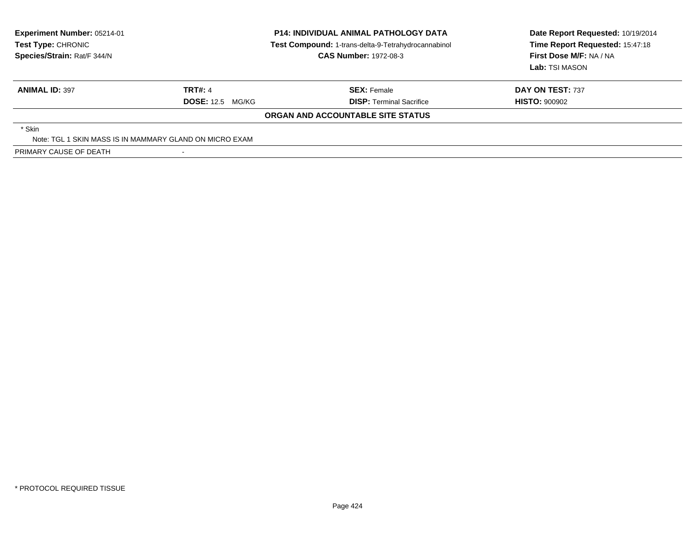| <b>Experiment Number: 05214-01</b><br><b>Test Type: CHRONIC</b><br>Species/Strain: Rat/F 344/N |                         | <b>P14: INDIVIDUAL ANIMAL PATHOLOGY DATA</b><br>Test Compound: 1-trans-delta-9-Tetrahydrocannabinol<br><b>CAS Number: 1972-08-3</b> | Date Report Requested: 10/19/2014<br>Time Report Requested: 15:47:18<br>First Dose M/F: NA / NA<br>Lab: TSI MASON |  |
|------------------------------------------------------------------------------------------------|-------------------------|-------------------------------------------------------------------------------------------------------------------------------------|-------------------------------------------------------------------------------------------------------------------|--|
| <b>ANIMAL ID: 397</b>                                                                          | <b>TRT#: 4</b>          | <b>SEX: Female</b>                                                                                                                  | DAY ON TEST: 737                                                                                                  |  |
|                                                                                                | <b>DOSE: 12.5 MG/KG</b> | <b>DISP:</b> Terminal Sacrifice                                                                                                     | <b>HISTO: 900902</b>                                                                                              |  |
|                                                                                                |                         | ORGAN AND ACCOUNTABLE SITE STATUS                                                                                                   |                                                                                                                   |  |
| * Skin                                                                                         |                         |                                                                                                                                     |                                                                                                                   |  |
| Note: TGL 1 SKIN MASS IS IN MAMMARY GLAND ON MICRO EXAM                                        |                         |                                                                                                                                     |                                                                                                                   |  |
| PRIMARY CAUSE OF DEATH                                                                         |                         |                                                                                                                                     |                                                                                                                   |  |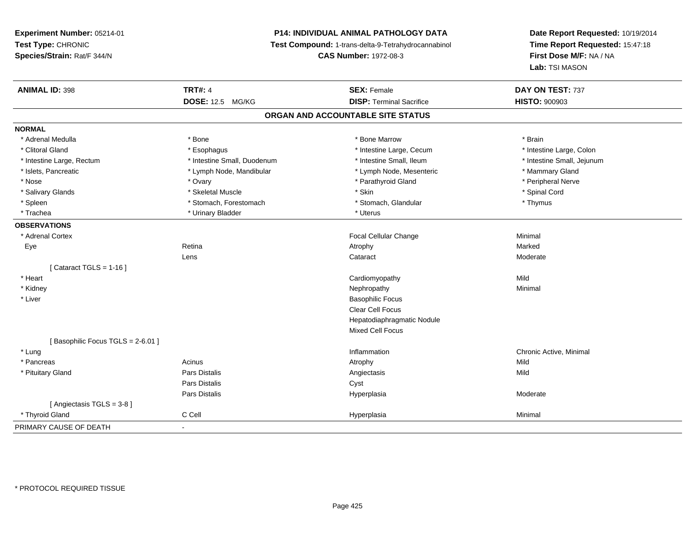# **P14: INDIVIDUAL ANIMAL PATHOLOGY DATA**

**Test Compound:** 1-trans-delta-9-Tetrahydrocannabinol

**CAS Number:** 1972-08-3

| <b>ANIMAL ID: 398</b>            | <b>TRT#: 4</b>              | <b>SEX: Female</b>                | DAY ON TEST: 737           |  |
|----------------------------------|-----------------------------|-----------------------------------|----------------------------|--|
|                                  | <b>DOSE: 12.5 MG/KG</b>     | <b>DISP: Terminal Sacrifice</b>   | <b>HISTO: 900903</b>       |  |
|                                  |                             | ORGAN AND ACCOUNTABLE SITE STATUS |                            |  |
| <b>NORMAL</b>                    |                             |                                   |                            |  |
| * Adrenal Medulla                | * Bone                      | * Bone Marrow                     | * Brain                    |  |
| * Clitoral Gland                 | * Esophagus                 | * Intestine Large, Cecum          | * Intestine Large, Colon   |  |
| * Intestine Large, Rectum        | * Intestine Small, Duodenum | * Intestine Small, Ileum          | * Intestine Small, Jejunum |  |
| * Islets, Pancreatic             | * Lymph Node, Mandibular    | * Lymph Node, Mesenteric          | * Mammary Gland            |  |
| * Nose                           | * Ovary                     | * Parathyroid Gland               | * Peripheral Nerve         |  |
| * Salivary Glands                | * Skeletal Muscle           | * Skin                            | * Spinal Cord              |  |
| * Spleen                         | * Stomach, Forestomach      | * Stomach, Glandular              | * Thymus                   |  |
| * Trachea                        | * Urinary Bladder           | * Uterus                          |                            |  |
| <b>OBSERVATIONS</b>              |                             |                                   |                            |  |
| * Adrenal Cortex                 |                             | Focal Cellular Change             | Minimal                    |  |
| Eye                              | Retina                      | Atrophy                           | Marked                     |  |
|                                  | Lens                        | Cataract                          | Moderate                   |  |
| [Cataract TGLS = $1-16$ ]        |                             |                                   |                            |  |
| * Heart                          |                             | Cardiomyopathy                    | Mild                       |  |
| * Kidney                         |                             | Nephropathy                       | Minimal                    |  |
| * Liver                          |                             | <b>Basophilic Focus</b>           |                            |  |
|                                  |                             | <b>Clear Cell Focus</b>           |                            |  |
|                                  |                             | Hepatodiaphragmatic Nodule        |                            |  |
|                                  |                             | <b>Mixed Cell Focus</b>           |                            |  |
| [Basophilic Focus TGLS = 2-6.01] |                             |                                   |                            |  |
| * Lung                           |                             | Inflammation                      | Chronic Active, Minimal    |  |
| * Pancreas                       | Acinus                      | Atrophy                           | Mild                       |  |
| * Pituitary Gland                | Pars Distalis               | Angiectasis                       | Mild                       |  |
|                                  | Pars Distalis               | Cyst                              |                            |  |
|                                  | Pars Distalis               | Hyperplasia                       | Moderate                   |  |
| [Angiectasis TGLS = 3-8]         |                             |                                   |                            |  |
| * Thyroid Gland                  | C Cell                      | Hyperplasia                       | Minimal                    |  |
| PRIMARY CAUSE OF DEATH           | $\blacksquare$              |                                   |                            |  |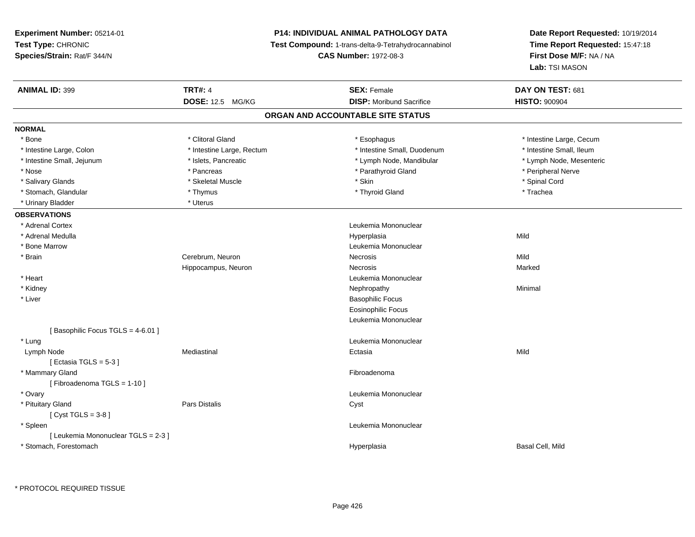# **P14: INDIVIDUAL ANIMAL PATHOLOGY DATA**

**Test Compound:** 1-trans-delta-9-Tetrahydrocannabinol

**CAS Number:** 1972-08-3

| <b>ANIMAL ID: 399</b>               | <b>TRT#: 4</b>            | <b>SEX: Female</b>                | DAY ON TEST: 681         |
|-------------------------------------|---------------------------|-----------------------------------|--------------------------|
|                                     | DOSE: 12.5 MG/KG          | <b>DISP:</b> Moribund Sacrifice   | <b>HISTO: 900904</b>     |
|                                     |                           | ORGAN AND ACCOUNTABLE SITE STATUS |                          |
| <b>NORMAL</b>                       |                           |                                   |                          |
| * Bone                              | * Clitoral Gland          | * Esophagus                       | * Intestine Large, Cecum |
| * Intestine Large, Colon            | * Intestine Large, Rectum | * Intestine Small, Duodenum       | * Intestine Small, Ileum |
| * Intestine Small, Jejunum          | * Islets, Pancreatic      | * Lymph Node, Mandibular          | * Lymph Node, Mesenteric |
| * Nose                              | * Pancreas                | * Parathyroid Gland               | * Peripheral Nerve       |
| * Salivary Glands                   | * Skeletal Muscle         | * Skin                            | * Spinal Cord            |
| * Stomach, Glandular                | * Thymus                  | * Thyroid Gland                   | * Trachea                |
| * Urinary Bladder                   | * Uterus                  |                                   |                          |
| <b>OBSERVATIONS</b>                 |                           |                                   |                          |
| * Adrenal Cortex                    |                           | Leukemia Mononuclear              |                          |
| * Adrenal Medulla                   |                           | Hyperplasia                       | Mild                     |
| * Bone Marrow                       |                           | Leukemia Mononuclear              |                          |
| * Brain                             | Cerebrum, Neuron          | Necrosis                          | Mild                     |
|                                     | Hippocampus, Neuron       | Necrosis                          | Marked                   |
| * Heart                             |                           | Leukemia Mononuclear              |                          |
| * Kidney                            |                           | Nephropathy                       | Minimal                  |
| * Liver                             |                           | <b>Basophilic Focus</b>           |                          |
|                                     |                           | <b>Eosinophilic Focus</b>         |                          |
|                                     |                           | Leukemia Mononuclear              |                          |
| [Basophilic Focus TGLS = 4-6.01]    |                           |                                   |                          |
| * Lung                              |                           | Leukemia Mononuclear              |                          |
| Lymph Node                          | Mediastinal               | Ectasia                           | Mild                     |
| [Ectasia TGLS = $5-3$ ]             |                           |                                   |                          |
| * Mammary Gland                     |                           | Fibroadenoma                      |                          |
| [Fibroadenoma TGLS = 1-10]          |                           |                                   |                          |
| * Ovary                             |                           | Leukemia Mononuclear              |                          |
| * Pituitary Gland                   | Pars Distalis             | Cyst                              |                          |
| [Cyst TGLS = $3-8$ ]                |                           |                                   |                          |
| * Spleen                            |                           | Leukemia Mononuclear              |                          |
| [ Leukemia Mononuclear TGLS = 2-3 ] |                           |                                   |                          |
| * Stomach, Forestomach              |                           | Hyperplasia                       | Basal Cell, Mild         |
|                                     |                           |                                   |                          |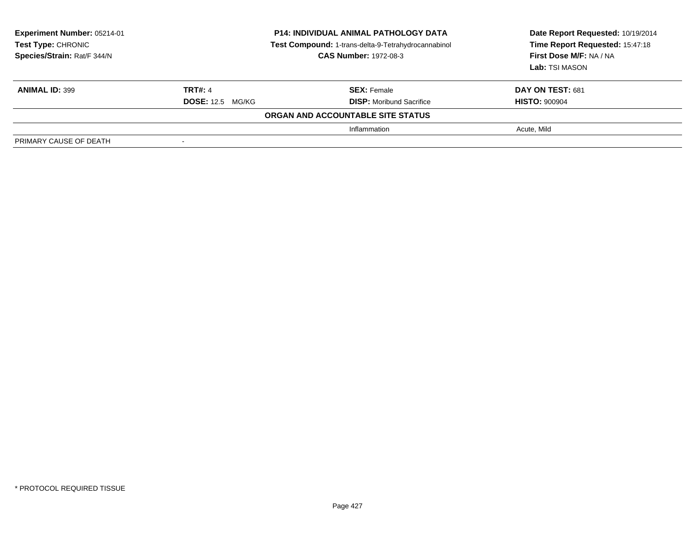| Experiment Number: 05214-01<br><b>Test Type: CHRONIC</b><br>Species/Strain: Rat/F 344/N | P14: INDIVIDUAL ANIMAL PATHOLOGY DATA<br>Test Compound: 1-trans-delta-9-Tetrahydrocannabinol<br><b>CAS Number: 1972-08-3</b> |                                   | Date Report Requested: 10/19/2014<br>Time Report Requested: 15:47:18<br>First Dose M/F: NA / NA<br>Lab: TSI MASON |
|-----------------------------------------------------------------------------------------|------------------------------------------------------------------------------------------------------------------------------|-----------------------------------|-------------------------------------------------------------------------------------------------------------------|
| <b>ANIMAL ID: 399</b>                                                                   | <b>TRT#: 4</b>                                                                                                               | <b>SEX:</b> Female                | <b>DAY ON TEST: 681</b>                                                                                           |
|                                                                                         | <b>DOSE: 12.5 MG/KG</b>                                                                                                      | <b>DISP:</b> Moribund Sacrifice   | <b>HISTO: 900904</b>                                                                                              |
|                                                                                         |                                                                                                                              | ORGAN AND ACCOUNTABLE SITE STATUS |                                                                                                                   |
|                                                                                         |                                                                                                                              | Inflammation                      | Acute, Mild                                                                                                       |
| PRIMARY CAUSE OF DEATH                                                                  |                                                                                                                              |                                   |                                                                                                                   |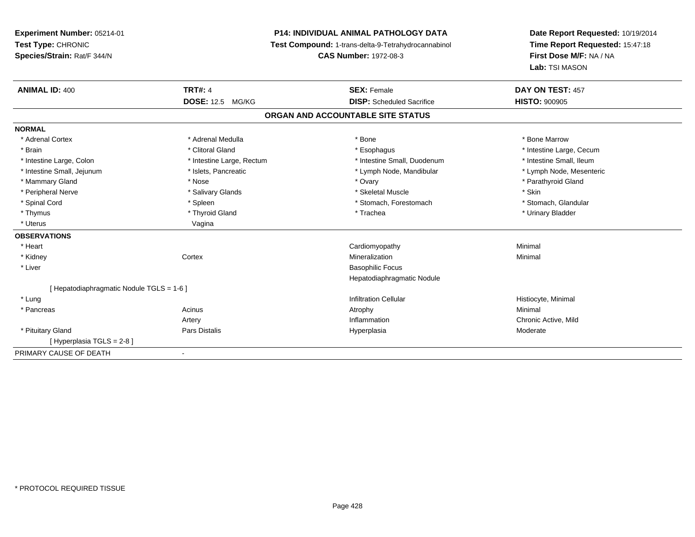# **P14: INDIVIDUAL ANIMAL PATHOLOGY DATA**

**Test Compound:** 1-trans-delta-9-Tetrahydrocannabinol

**CAS Number:** 1972-08-3

| <b>ANIMAL ID: 400</b>                    | <b>TRT#: 4</b>            | <b>SEX: Female</b>                | DAY ON TEST: 457         |
|------------------------------------------|---------------------------|-----------------------------------|--------------------------|
|                                          | <b>DOSE: 12.5 MG/KG</b>   | <b>DISP:</b> Scheduled Sacrifice  | <b>HISTO: 900905</b>     |
|                                          |                           | ORGAN AND ACCOUNTABLE SITE STATUS |                          |
| <b>NORMAL</b>                            |                           |                                   |                          |
| * Adrenal Cortex                         | * Adrenal Medulla         | * Bone                            | * Bone Marrow            |
| * Brain                                  | * Clitoral Gland          | * Esophagus                       | * Intestine Large, Cecum |
| * Intestine Large, Colon                 | * Intestine Large, Rectum | * Intestine Small, Duodenum       | * Intestine Small, Ileum |
| * Intestine Small, Jejunum               | * Islets, Pancreatic      | * Lymph Node, Mandibular          | * Lymph Node, Mesenteric |
| * Mammary Gland                          | * Nose                    | * Ovary                           | * Parathyroid Gland      |
| * Peripheral Nerve                       | * Salivary Glands         | * Skeletal Muscle                 | * Skin                   |
| * Spinal Cord                            | * Spleen                  | * Stomach, Forestomach            | * Stomach, Glandular     |
| * Thymus                                 | * Thyroid Gland           | * Trachea                         | * Urinary Bladder        |
| * Uterus                                 | Vagina                    |                                   |                          |
| <b>OBSERVATIONS</b>                      |                           |                                   |                          |
| * Heart                                  |                           | Cardiomyopathy                    | Minimal                  |
| * Kidney                                 | Cortex                    | Mineralization                    | Minimal                  |
| * Liver                                  |                           | <b>Basophilic Focus</b>           |                          |
|                                          |                           | Hepatodiaphragmatic Nodule        |                          |
| [Hepatodiaphragmatic Nodule TGLS = 1-6 ] |                           |                                   |                          |
| * Lung                                   |                           | <b>Infiltration Cellular</b>      | Histiocyte, Minimal      |
| * Pancreas                               | Acinus                    | Atrophy                           | Minimal                  |
|                                          | Artery                    | Inflammation                      | Chronic Active, Mild     |
| * Pituitary Gland                        | <b>Pars Distalis</b>      | Hyperplasia                       | Moderate                 |
| [Hyperplasia TGLS = 2-8]                 |                           |                                   |                          |
| PRIMARY CAUSE OF DEATH                   |                           |                                   |                          |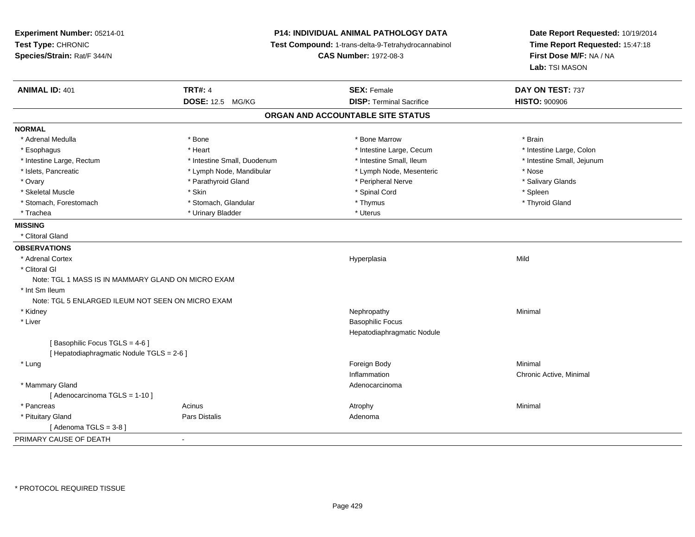**Experiment Number:** 05214-01**Test Type:** CHRONIC **Species/Strain:** Rat/F 344/N**P14: INDIVIDUAL ANIMAL PATHOLOGY DATA Test Compound:** 1-trans-delta-9-Tetrahydrocannabinol **CAS Number:** 1972-08-3**Date Report Requested:** 10/19/2014**Time Report Requested:** 15:47:18**First Dose M/F:** NA / NA**Lab:** TSI MASON**ANIMAL ID:** 401**TRT#:** 4 **SEX:** Female **SEX: Female DAY ON TEST:** 737 **DOSE:** 12.5 MG/KG**DISP:** Terminal Sacrifice **HISTO:**  $900906$ **ORGAN AND ACCOUNTABLE SITE STATUSNORMAL**\* Adrenal Medulla \* \* Annual Medulla \* Brain \* Bone \* \* Bone Marrow \* Bone Marrow \* \* Brain \* Brain \* Brain \* Brain \* Brain \* Brain \* Brain \* Brain \* Brain \* Brain \* Brain \* Brain \* Brain \* Brain \* Brain \* Brain \* Brain \* \* Intestine Large, Colon \* Esophagus \* **Heart \* Intestine Large, Cecum \* Intestine Large, Cecum \*** Intestine Large, Cecum \* Intestine Large, Rectum \* Thestine Small, Duodenum \* Number of the small, Ileum \* Intestine Small, Jejunum \* Intestine Small, Jejunum \* Islets, Pancreatic \* The same \* Lymph Node, Mandibular \* Lymph Node, Mesenteric \* Nose \* Nose \* Nose \* Salivary Glands \* Ovary \* And the section of the section of the section of the section of the section of the section of the section of the section of the section of the section of the section of the section of the section of the section o \* Skeletal Muscle \* Skin \* Spinal Cord \* Spleen \* Thyroid Gland \* Stomach, Forestomach \* Thymus \* Stomach, Glandular \* Thymus \* Thymus \* Thymus \* Thymus \* Thymus \* Thymus \* Thymus \* Thymus \* Thymus \* Thymus \* Thymus \* Thymus \* Thymus \* Thymus \* Thymus \* Thymus \* Thymus \* Thymus \* Thymu \* Trachea \* Urinary Bladder \* Urinary Bladder \* Urinary Bladder \* Urinary Bladder \* Urinary Bladder **MISSING** \* Clitoral Gland**OBSERVATIONS** \* Adrenal Cortexx and the contract of the contract of the contract of the contract of the contract of the contract of the contract of the contract of the contract of the contract of the contract of the contract of the contract of the cont a Mild \* Clitoral GlNote: TGL 1 MASS IS IN MAMMARY GLAND ON MICRO EXAM \* Int Sm Ileum Note: TGL 5 ENLARGED ILEUM NOT SEEN ON MICRO EXAM \* Kidneyy the control of the control of the control of the control of the control of the control of the control of the control of the control of the control of the control of the control of the control of the control of the contro \* Liver Basophilic Focus Hepatodiaphragmatic Nodule[ Basophilic Focus TGLS = 4-6 ][ Hepatodiaphragmatic Nodule TGLS = 2-6 ] \* Lungg and the state of the state of the state of the state of the state of the state of the state of the state of the state of the state of the state of the state of the state of the state of the state of the state of the stat InflammationInflammation<br>
Adenocarcinoma<br>
Adenocarcinoma \* Mammary Glandd and the control of the control of the control of the control of the control of the control of the control of the control of the control of the control of the control of the control of the control of the control of the co [ Adenocarcinoma TGLS = 1-10 ] \* Pancreass the control of the control of the control of the control of the control of the control of the control of the control of the control of the control of the control of the control of the control of the control of the contro \* Pituitary Glandd and the set of Pars Distalis and the Second Adenomal Adenomal Second Second Pars Distallis  $[$  Adenoma TGLS = 3-8  $]$ PRIMARY CAUSE OF DEATH-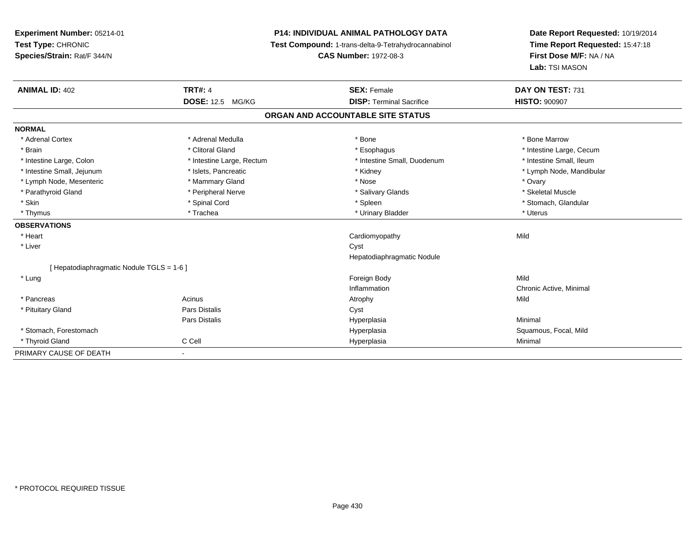# **P14: INDIVIDUAL ANIMAL PATHOLOGY DATA**

**Test Compound:** 1-trans-delta-9-Tetrahydrocannabinol

**CAS Number:** 1972-08-3

| <b>ANIMAL ID: 402</b>                                  | <b>TRT#: 4</b>            | <b>SEX: Female</b>                | DAY ON TEST: 731         |  |
|--------------------------------------------------------|---------------------------|-----------------------------------|--------------------------|--|
|                                                        | <b>DOSE: 12.5 MG/KG</b>   | <b>DISP: Terminal Sacrifice</b>   | <b>HISTO: 900907</b>     |  |
|                                                        |                           | ORGAN AND ACCOUNTABLE SITE STATUS |                          |  |
| <b>NORMAL</b>                                          |                           |                                   |                          |  |
| * Adrenal Cortex                                       | * Adrenal Medulla         | * Bone                            | * Bone Marrow            |  |
| * Brain                                                | * Clitoral Gland          | * Esophagus                       | * Intestine Large, Cecum |  |
| * Intestine Large, Colon                               | * Intestine Large, Rectum | * Intestine Small, Duodenum       | * Intestine Small, Ileum |  |
| * Intestine Small, Jejunum                             | * Islets, Pancreatic      | * Kidney                          | * Lymph Node, Mandibular |  |
| * Lymph Node, Mesenteric                               | * Mammary Gland           | * Nose                            | * Ovary                  |  |
| * Parathyroid Gland                                    | * Peripheral Nerve        | * Salivary Glands                 | * Skeletal Muscle        |  |
| * Skin                                                 | * Spinal Cord             | * Spleen                          | * Stomach, Glandular     |  |
| * Thymus                                               | * Trachea                 | * Urinary Bladder                 | * Uterus                 |  |
| <b>OBSERVATIONS</b>                                    |                           |                                   |                          |  |
| * Heart                                                |                           | Cardiomyopathy                    | Mild                     |  |
| * Liver                                                |                           | Cyst                              |                          |  |
|                                                        |                           | Hepatodiaphragmatic Nodule        |                          |  |
| [Hepatodiaphragmatic Nodule TGLS = 1-6]                |                           |                                   |                          |  |
| * Lung                                                 |                           | Foreign Body                      | Mild                     |  |
|                                                        |                           | Inflammation                      | Chronic Active, Minimal  |  |
| * Pancreas                                             | Acinus                    | Atrophy                           | Mild                     |  |
| * Pituitary Gland                                      | Pars Distalis             | Cyst                              |                          |  |
|                                                        | Pars Distalis             | Hyperplasia                       | Minimal                  |  |
| * Stomach, Forestomach                                 |                           | Hyperplasia                       | Squamous, Focal, Mild    |  |
| * Thyroid Gland                                        | C Cell                    | Hyperplasia                       | Minimal                  |  |
| PRIMARY CAUSE OF DEATH<br>$\qquad \qquad \blacksquare$ |                           |                                   |                          |  |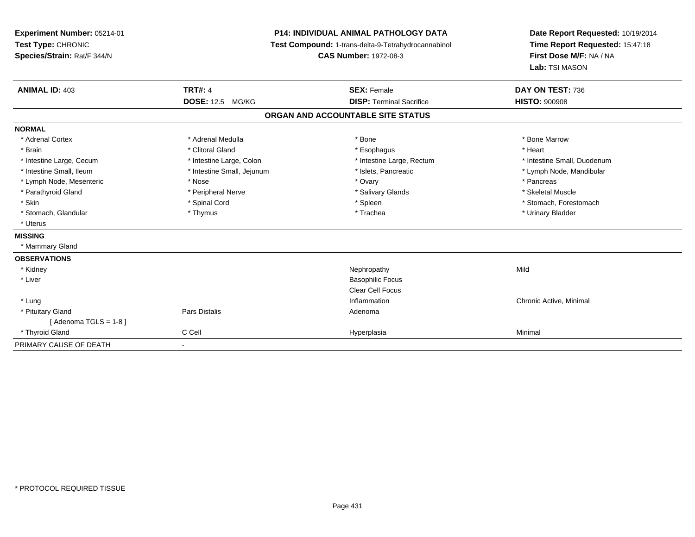| Experiment Number: 05214-01<br>Test Type: CHRONIC<br>Species/Strain: Rat/F 344/N                                                                                                                                          | <b>P14: INDIVIDUAL ANIMAL PATHOLOGY DATA</b><br>Test Compound: 1-trans-delta-9-Tetrahydrocannabinol<br><b>CAS Number: 1972-08-3</b>                          |                                                                                                                                     | Date Report Requested: 10/19/2014<br>Time Report Requested: 15:47:18<br>First Dose M/F: NA / NA<br>Lab: TSI MASON                                                     |
|---------------------------------------------------------------------------------------------------------------------------------------------------------------------------------------------------------------------------|--------------------------------------------------------------------------------------------------------------------------------------------------------------|-------------------------------------------------------------------------------------------------------------------------------------|-----------------------------------------------------------------------------------------------------------------------------------------------------------------------|
| <b>ANIMAL ID: 403</b>                                                                                                                                                                                                     | <b>TRT#: 4</b><br><b>DOSE: 12.5 MG/KG</b>                                                                                                                    | <b>SEX: Female</b><br><b>DISP: Terminal Sacrifice</b>                                                                               | DAY ON TEST: 736<br><b>HISTO: 900908</b>                                                                                                                              |
|                                                                                                                                                                                                                           |                                                                                                                                                              | ORGAN AND ACCOUNTABLE SITE STATUS                                                                                                   |                                                                                                                                                                       |
| <b>NORMAL</b>                                                                                                                                                                                                             |                                                                                                                                                              |                                                                                                                                     |                                                                                                                                                                       |
| * Adrenal Cortex<br>* Brain<br>* Intestine Large, Cecum<br>* Intestine Small, Ileum<br>* Lymph Node, Mesenteric<br>* Parathyroid Gland<br>* Skin<br>* Stomach, Glandular<br>* Uterus<br><b>MISSING</b><br>* Mammary Gland | * Adrenal Medulla<br>* Clitoral Gland<br>* Intestine Large, Colon<br>* Intestine Small, Jejunum<br>* Nose<br>* Peripheral Nerve<br>* Spinal Cord<br>* Thymus | * Bone<br>* Esophagus<br>* Intestine Large, Rectum<br>* Islets, Pancreatic<br>* Ovary<br>* Salivary Glands<br>* Spleen<br>* Trachea | * Bone Marrow<br>* Heart<br>* Intestine Small, Duodenum<br>* Lymph Node, Mandibular<br>* Pancreas<br>* Skeletal Muscle<br>* Stomach, Forestomach<br>* Urinary Bladder |
| <b>OBSERVATIONS</b>                                                                                                                                                                                                       |                                                                                                                                                              |                                                                                                                                     |                                                                                                                                                                       |
| * Kidney<br>* Liver                                                                                                                                                                                                       |                                                                                                                                                              | Nephropathy<br><b>Basophilic Focus</b><br><b>Clear Cell Focus</b>                                                                   | Mild                                                                                                                                                                  |
| * Lung<br>* Pituitary Gland<br>[Adenoma TGLS = $1-8$ ]                                                                                                                                                                    | Pars Distalis                                                                                                                                                | Inflammation<br>Adenoma                                                                                                             | Chronic Active, Minimal                                                                                                                                               |
| * Thyroid Gland                                                                                                                                                                                                           | C Cell                                                                                                                                                       | Hyperplasia                                                                                                                         | Minimal                                                                                                                                                               |
| PRIMARY CAUSE OF DEATH                                                                                                                                                                                                    | $\blacksquare$                                                                                                                                               |                                                                                                                                     |                                                                                                                                                                       |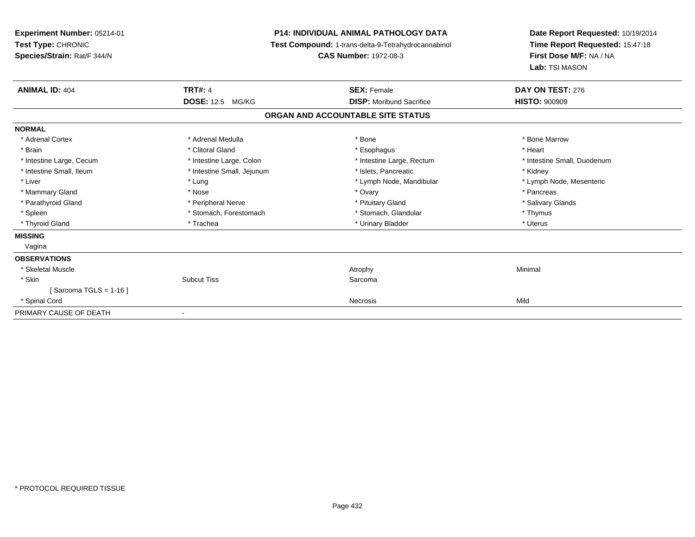| Experiment Number: 05214-01<br>Test Type: CHRONIC<br>Species/Strain: Rat/F 344/N | <b>P14: INDIVIDUAL ANIMAL PATHOLOGY DATA</b><br>Test Compound: 1-trans-delta-9-Tetrahydrocannabinol<br><b>CAS Number: 1972-08-3</b> |                                   | Date Report Requested: 10/19/2014<br>Time Report Requested: 15:47:18<br>First Dose M/F: NA / NA<br>Lab: TSI MASON |
|----------------------------------------------------------------------------------|-------------------------------------------------------------------------------------------------------------------------------------|-----------------------------------|-------------------------------------------------------------------------------------------------------------------|
| <b>ANIMAL ID: 404</b>                                                            | <b>TRT#: 4</b>                                                                                                                      | <b>SEX: Female</b>                | DAY ON TEST: 276                                                                                                  |
|                                                                                  | <b>DOSE: 12.5 MG/KG</b>                                                                                                             | <b>DISP:</b> Moribund Sacrifice   | <b>HISTO: 900909</b>                                                                                              |
|                                                                                  |                                                                                                                                     | ORGAN AND ACCOUNTABLE SITE STATUS |                                                                                                                   |
| <b>NORMAL</b>                                                                    |                                                                                                                                     |                                   |                                                                                                                   |
| * Adrenal Cortex                                                                 | * Adrenal Medulla                                                                                                                   | * Bone                            | * Bone Marrow                                                                                                     |
| * Brain                                                                          | * Clitoral Gland                                                                                                                    | * Esophagus                       | * Heart                                                                                                           |
| * Intestine Large, Cecum                                                         | * Intestine Large, Colon                                                                                                            | * Intestine Large, Rectum         | * Intestine Small, Duodenum                                                                                       |
| * Intestine Small, Ileum                                                         | * Intestine Small, Jejunum                                                                                                          | * Islets, Pancreatic              | * Kidney                                                                                                          |
| * Liver                                                                          | * Lung                                                                                                                              | * Lymph Node, Mandibular          | * Lymph Node, Mesenteric                                                                                          |
| * Mammary Gland                                                                  | * Nose                                                                                                                              | * Ovary                           | * Pancreas                                                                                                        |
| * Parathyroid Gland                                                              | * Peripheral Nerve                                                                                                                  | * Pituitary Gland                 | * Salivary Glands                                                                                                 |
| * Spleen                                                                         | * Stomach, Forestomach                                                                                                              | * Stomach, Glandular              | * Thymus                                                                                                          |
| * Thyroid Gland                                                                  | * Trachea                                                                                                                           | * Urinary Bladder                 | * Uterus                                                                                                          |
| <b>MISSING</b>                                                                   |                                                                                                                                     |                                   |                                                                                                                   |
| Vagina                                                                           |                                                                                                                                     |                                   |                                                                                                                   |
| <b>OBSERVATIONS</b>                                                              |                                                                                                                                     |                                   |                                                                                                                   |
| * Skeletal Muscle                                                                |                                                                                                                                     | Atrophy                           | Minimal                                                                                                           |
| * Skin                                                                           | <b>Subcut Tiss</b>                                                                                                                  | Sarcoma                           |                                                                                                                   |
| [Sarcoma TGLS = $1-16$ ]                                                         |                                                                                                                                     |                                   |                                                                                                                   |
| * Spinal Cord                                                                    |                                                                                                                                     | Necrosis                          | Mild                                                                                                              |
| PRIMARY CAUSE OF DEATH                                                           |                                                                                                                                     |                                   |                                                                                                                   |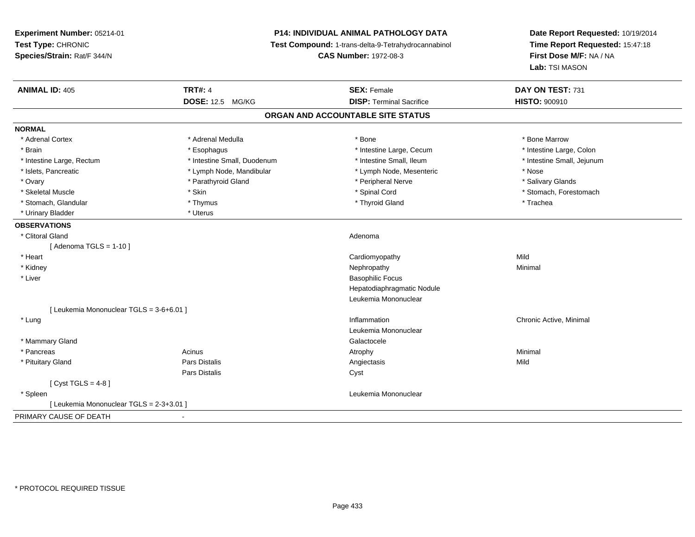**Experiment Number:** 05214-01**Test Type:** CHRONIC **Species/Strain:** Rat/F 344/N**P14: INDIVIDUAL ANIMAL PATHOLOGY DATA Test Compound:** 1-trans-delta-9-Tetrahydrocannabinol **CAS Number:** 1972-08-3**Date Report Requested:** 10/19/2014**Time Report Requested:** 15:47:18**First Dose M/F:** NA / NA**Lab:** TSI MASON**ANIMAL ID:** 405**TRT#:** 4 **SEX:** Female **SEX: Female DAY ON TEST:** 731 **DOSE:** 12.5 MG/KG**DISP:** Terminal Sacrifice **HISTO:**  $900910$ **ORGAN AND ACCOUNTABLE SITE STATUSNORMAL**\* Adrenal Cortex \* Adrenal Medulla \* Adrenal Medulla \* Bone \* Bone \* Bone \* Bone \* Bone Marrow \* Intestine Large, Colon \* Brain \* Esophagus \* Esophagus \* Esophagus \* 11testine Large, Cecum \* \* Intestine Large, Rectum \* Thestine Small, Duodenum \* Number of the small, Ileum \* Intestine Small, Jejunum \* Intestine Small, Jejunum \* Islets, Pancreatic \* The same \* Lymph Node, Mandibular \* Lymph Node, Mesenteric \* Nose \* Nose \* Salivary Glands \* Ovary \* And the section of the section of the section of the section of the section of the section of the section of the section of the section of the section of the section of the section of the section of the section o \* Skeletal Muscle \* The state of the set of the set of the set of the set of the set of the set of the set of the set of the set of the set of the set of the set of the set of the set of the set of the set of the set of th \* Stomach, Glandular \* Thymus \* Thyroid Gland \* Trachea\* Urinary Bladder \* Uterus **OBSERVATIONS** \* Clitoral Glandd and a state of the control of the control of the control of the control of the control of the control of the control of the control of the control of the control of the control of the control of the control of the contro  $[$  Adenoma TGLS = 1-10  $]$  \* Heart Cardiomyopathyy Mild Minimal \* Kidneyy the control of the control of the control of the control of the control of the control of the control of the control of the control of the control of the control of the control of the control of the control of the contro \* Liver Basophilic Focus Hepatodiaphragmatic NoduleLeukemia Mononuclear[ Leukemia Mononuclear TGLS = 3-6+6.01 ] \* Lungg is a controller to the controller of the controller of the chronic Active, Minimal of the chronic Active, Minimal of the chronic Active, Minimal of the chronic Active, Minimal of the chronic Active, Minimal of the chroni Leukemia Mononuclear \* Mammary Glandd Galactocele in the control of the control of the control of the Calactocele of the Calactocele \* Pancreass the control of the control of the control of the control of the control of the control of the control of the control of the control of the control of the control of the control of the control of the control of the contro \* Pituitary Gland Pars Distalis Angiectasis Mild Pars Distaliss Cyst  $[$  Cyst TGLS = 4-8  $]$  \* Spleen Leukemia Mononuclear [ Leukemia Mononuclear TGLS = 2-3+3.01 ]PRIMARY CAUSE OF DEATH-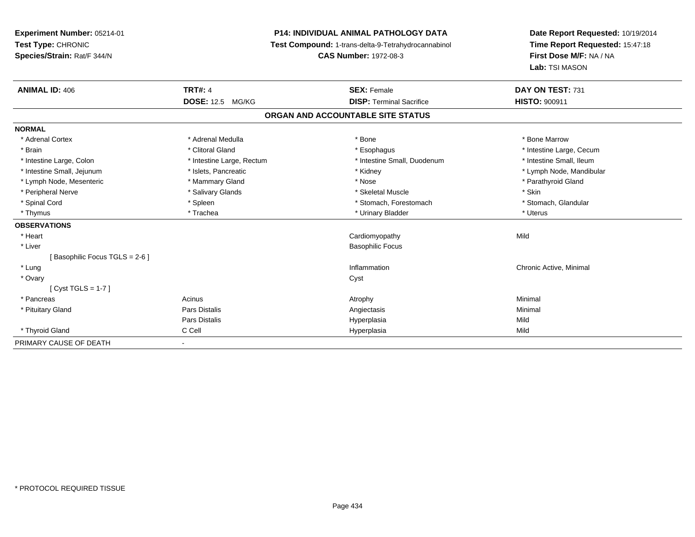**Experiment Number:** 05214-01**Test Type:** CHRONIC **Species/Strain:** Rat/F 344/N**P14: INDIVIDUAL ANIMAL PATHOLOGY DATA Test Compound:** 1-trans-delta-9-Tetrahydrocannabinol **CAS Number:** 1972-08-3**Date Report Requested:** 10/19/2014**Time Report Requested:** 15:47:18**First Dose M/F:** NA / NA**Lab:** TSI MASON**ANIMAL ID:** 406**6 TRT#:** 4 **TRT#:** 4 **SEX:** Female **SEX: Female DAY ON TEST:** 731 **DOSE:** 12.5 MG/KG**DISP:** Terminal Sacrifice **HISTO:** 900911 **ORGAN AND ACCOUNTABLE SITE STATUSNORMAL**\* Adrenal Cortex \* Adrenal Medulla \* Adrenal Medulla \* Bone \* Bone \* Bone \* Bone \* Bone Marrow \* Brain \* Alternation of the state of the state of the state of the state of the state of the state of the state of the state of the state of the state of the state of the state of the state of the state of the state of th \* Intestine Small, Ileum \* Intestine Large, Colon \* Intestine Large, Rectum \* Intestine Small, Duodenum \* Intestine Small, Duodenum \* Intestine Small, Jejunum \* \* \* https://www.fat.com/setter/educitions/mandibular \* Kidney \* Mandibular \* Lymph Node, Mandibular \* Lymph Node, Mandibular \* Lymph Node, Mandibular \* Lymph Node, Mesenteric \* \* Mammary Gland \* Mammary Gland \* Nose \* Nose \* \* Parathyroid Gland \* Parathyroid Gland \* Peripheral Nerve \* Salivary Glands \* Skeletal Muscle \* Skin\* Stomach. Glandular \* Spinal Cord **\* Stomach, Forestomach \* Spinal Cord \*** Stomach, Forestomach \* Stomach, Forestomach \* Thymus \* Trachea \* Urinary Bladder \* Uterus **OBSERVATIONS** \* Heart Cardiomyopathyy Mild \* Liver Basophilic Focus[ Basophilic Focus TGLS = 2-6 ] \* Lungg is a controller to the controller of the controller of the chronic Active, Minimal of the chronic Active, Minimal of the chronic Active, Minimal of the chronic Active, Minimal of the chronic Active, Minimal of the chroni \* Ovaryy cystem in the control of the control of the control of the control of the control of the control of the control of the control of the control of the control of the control of the control of the control of the control of [ Cyst TGLS = 1-7 ] \* Pancreass the control of the control of the control of the control of the control of the control of the control of the control of the control of the control of the control of the control of the control of the control of the contro \* Pituitary Gland Pars Distalis Angiectasis Minimal Pars Distalis Hyperplasiaa Mild \* Thyroid Gland C Cell Hyperplasia Mild PRIMARY CAUSE OF DEATH-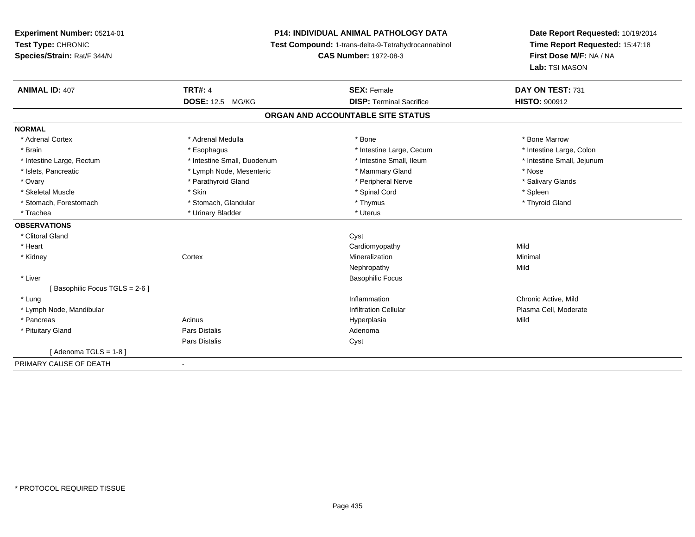**Experiment Number:** 05214-01**Test Type:** CHRONIC**Species/Strain:** Rat/F 344/N

## **P14: INDIVIDUAL ANIMAL PATHOLOGY DATA**

**Test Compound:** 1-trans-delta-9-Tetrahydrocannabinol

**CAS Number:** 1972-08-3

**Date Report Requested:** 10/19/2014**Time Report Requested:** 15:47:18**First Dose M/F:** NA / NA**Lab:** TSI MASON

| <b>ANIMAL ID: 407</b>         | <b>TRT#: 4</b>              | <b>SEX: Female</b>                | DAY ON TEST: 731           |
|-------------------------------|-----------------------------|-----------------------------------|----------------------------|
|                               | <b>DOSE: 12.5 MG/KG</b>     | <b>DISP: Terminal Sacrifice</b>   | <b>HISTO: 900912</b>       |
|                               |                             | ORGAN AND ACCOUNTABLE SITE STATUS |                            |
| <b>NORMAL</b>                 |                             |                                   |                            |
| * Adrenal Cortex              | * Adrenal Medulla           | * Bone                            | * Bone Marrow              |
| * Brain                       | * Esophagus                 | * Intestine Large, Cecum          | * Intestine Large, Colon   |
| * Intestine Large, Rectum     | * Intestine Small, Duodenum | * Intestine Small, Ileum          | * Intestine Small, Jejunum |
| * Islets, Pancreatic          | * Lymph Node, Mesenteric    | * Mammary Gland                   | * Nose                     |
| * Ovary                       | * Parathyroid Gland         | * Peripheral Nerve                | * Salivary Glands          |
| * Skeletal Muscle             | * Skin                      | * Spinal Cord                     | * Spleen                   |
| * Stomach, Forestomach        | * Stomach, Glandular        | * Thymus                          | * Thyroid Gland            |
| * Trachea                     | * Urinary Bladder           | * Uterus                          |                            |
| <b>OBSERVATIONS</b>           |                             |                                   |                            |
| * Clitoral Gland              |                             | Cyst                              |                            |
| * Heart                       |                             | Cardiomyopathy                    | Mild                       |
| * Kidney                      | Cortex                      | Mineralization                    | Minimal                    |
|                               |                             | Nephropathy                       | Mild                       |
| * Liver                       |                             | <b>Basophilic Focus</b>           |                            |
| [Basophilic Focus TGLS = 2-6] |                             |                                   |                            |
| * Lung                        |                             | Inflammation                      | Chronic Active, Mild       |
| * Lymph Node, Mandibular      |                             | <b>Infiltration Cellular</b>      | Plasma Cell, Moderate      |
| * Pancreas                    | Acinus                      | Hyperplasia                       | Mild                       |
| * Pituitary Gland             | Pars Distalis               | Adenoma                           |                            |
|                               | <b>Pars Distalis</b>        | Cyst                              |                            |
| [Adenoma TGLS = 1-8]          |                             |                                   |                            |
| PRIMARY CAUSE OF DEATH        | $\blacksquare$              |                                   |                            |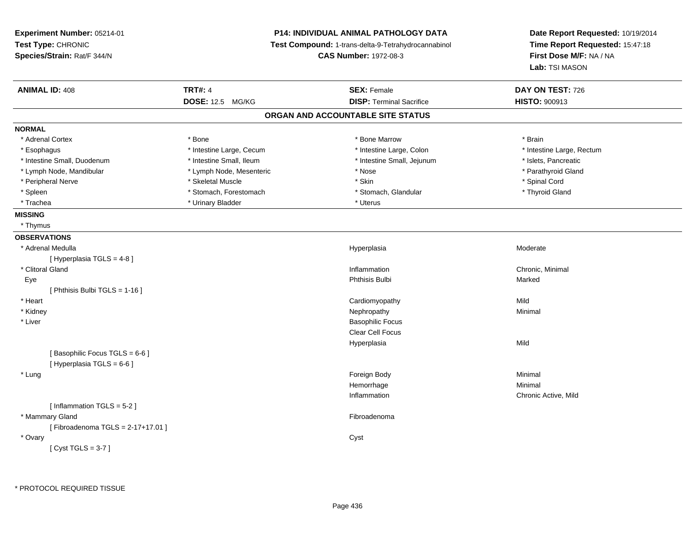| Experiment Number: 05214-01<br>Test Type: CHRONIC<br>Species/Strain: Rat/F 344/N |                          | <b>P14: INDIVIDUAL ANIMAL PATHOLOGY DATA</b><br>Test Compound: 1-trans-delta-9-Tetrahydrocannabinol<br><b>CAS Number: 1972-08-3</b> | Date Report Requested: 10/19/2014<br>Time Report Requested: 15:47:18<br>First Dose M/F: NA / NA<br>Lab: TSI MASON |
|----------------------------------------------------------------------------------|--------------------------|-------------------------------------------------------------------------------------------------------------------------------------|-------------------------------------------------------------------------------------------------------------------|
| <b>ANIMAL ID: 408</b>                                                            | <b>TRT#: 4</b>           | <b>SEX: Female</b>                                                                                                                  | DAY ON TEST: 726                                                                                                  |
|                                                                                  | DOSE: 12.5 MG/KG         | <b>DISP: Terminal Sacrifice</b>                                                                                                     | HISTO: 900913                                                                                                     |
|                                                                                  |                          | ORGAN AND ACCOUNTABLE SITE STATUS                                                                                                   |                                                                                                                   |
| <b>NORMAL</b>                                                                    |                          |                                                                                                                                     |                                                                                                                   |
| * Adrenal Cortex                                                                 | * Bone                   | * Bone Marrow                                                                                                                       | * Brain                                                                                                           |
| * Esophagus                                                                      | * Intestine Large, Cecum | * Intestine Large, Colon                                                                                                            | * Intestine Large, Rectum                                                                                         |
| * Intestine Small, Duodenum                                                      | * Intestine Small, Ileum | * Intestine Small, Jejunum                                                                                                          | * Islets, Pancreatic                                                                                              |
| * Lymph Node, Mandibular                                                         | * Lymph Node, Mesenteric | * Nose                                                                                                                              | * Parathyroid Gland                                                                                               |
| * Peripheral Nerve                                                               | * Skeletal Muscle        | * Skin                                                                                                                              | * Spinal Cord                                                                                                     |
| * Spleen                                                                         | * Stomach, Forestomach   | * Stomach, Glandular                                                                                                                | * Thyroid Gland                                                                                                   |
| * Trachea                                                                        | * Urinary Bladder        | * Uterus                                                                                                                            |                                                                                                                   |
| <b>MISSING</b>                                                                   |                          |                                                                                                                                     |                                                                                                                   |
| * Thymus                                                                         |                          |                                                                                                                                     |                                                                                                                   |
| <b>OBSERVATIONS</b>                                                              |                          |                                                                                                                                     |                                                                                                                   |
| * Adrenal Medulla                                                                |                          | Hyperplasia                                                                                                                         | Moderate                                                                                                          |
| [ Hyperplasia TGLS = 4-8]                                                        |                          |                                                                                                                                     |                                                                                                                   |
| * Clitoral Gland                                                                 |                          | Inflammation                                                                                                                        | Chronic, Minimal                                                                                                  |
| Eye                                                                              |                          | Phthisis Bulbi                                                                                                                      | Marked                                                                                                            |
| [ Phthisis Bulbi TGLS = 1-16 ]                                                   |                          |                                                                                                                                     |                                                                                                                   |
| * Heart                                                                          |                          | Cardiomyopathy                                                                                                                      | Mild                                                                                                              |
| * Kidney                                                                         |                          | Nephropathy                                                                                                                         | Minimal                                                                                                           |
| * Liver                                                                          |                          | <b>Basophilic Focus</b>                                                                                                             |                                                                                                                   |
|                                                                                  |                          | Clear Cell Focus                                                                                                                    |                                                                                                                   |
|                                                                                  |                          | Hyperplasia                                                                                                                         | Mild                                                                                                              |
| [Basophilic Focus TGLS = 6-6]                                                    |                          |                                                                                                                                     |                                                                                                                   |
| [ Hyperplasia TGLS = 6-6 ]                                                       |                          |                                                                                                                                     |                                                                                                                   |
| * Lung                                                                           |                          | Foreign Body                                                                                                                        | Minimal                                                                                                           |
|                                                                                  |                          | Hemorrhage                                                                                                                          | Minimal                                                                                                           |
|                                                                                  |                          | Inflammation                                                                                                                        | Chronic Active, Mild                                                                                              |
| [Inflammation TGLS = 5-2]                                                        |                          |                                                                                                                                     |                                                                                                                   |
| * Mammary Gland                                                                  |                          | Fibroadenoma                                                                                                                        |                                                                                                                   |
| [Fibroadenoma TGLS = 2-17+17.01]                                                 |                          |                                                                                                                                     |                                                                                                                   |
| * Ovary                                                                          |                          | Cyst                                                                                                                                |                                                                                                                   |
| [Cyst TGLS = $3-7$ ]                                                             |                          |                                                                                                                                     |                                                                                                                   |
|                                                                                  |                          |                                                                                                                                     |                                                                                                                   |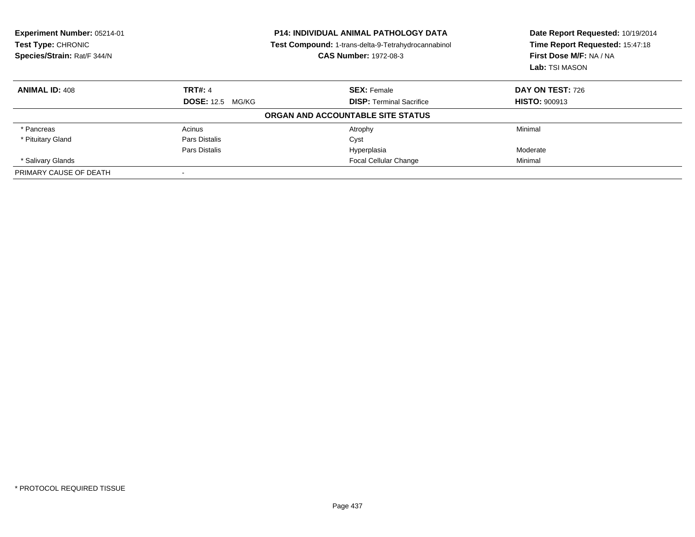| Experiment Number: 05214-01<br>Test Type: CHRONIC<br>Species/Strain: Rat/F 344/N |                         | <b>P14: INDIVIDUAL ANIMAL PATHOLOGY DATA</b><br>Test Compound: 1-trans-delta-9-Tetrahydrocannabinol<br><b>CAS Number: 1972-08-3</b> | Date Report Requested: 10/19/2014<br>Time Report Requested: 15:47:18<br>First Dose M/F: NA / NA<br>Lab: TSI MASON |
|----------------------------------------------------------------------------------|-------------------------|-------------------------------------------------------------------------------------------------------------------------------------|-------------------------------------------------------------------------------------------------------------------|
| <b>ANIMAL ID: 408</b>                                                            | <b>TRT#: 4</b>          | <b>SEX: Female</b>                                                                                                                  | <b>DAY ON TEST: 726</b>                                                                                           |
|                                                                                  | <b>DOSE: 12.5 MG/KG</b> | <b>DISP:</b> Terminal Sacrifice                                                                                                     | <b>HISTO: 900913</b>                                                                                              |
|                                                                                  |                         | ORGAN AND ACCOUNTABLE SITE STATUS                                                                                                   |                                                                                                                   |
| * Pancreas                                                                       | Acinus                  | Atrophy                                                                                                                             | Minimal                                                                                                           |
| * Pituitary Gland                                                                | Pars Distalis           | Cyst                                                                                                                                |                                                                                                                   |
|                                                                                  | Pars Distalis           | Hyperplasia                                                                                                                         | Moderate                                                                                                          |
| * Salivary Glands                                                                |                         | <b>Focal Cellular Change</b>                                                                                                        | Minimal                                                                                                           |
| PRIMARY CAUSE OF DEATH                                                           |                         |                                                                                                                                     |                                                                                                                   |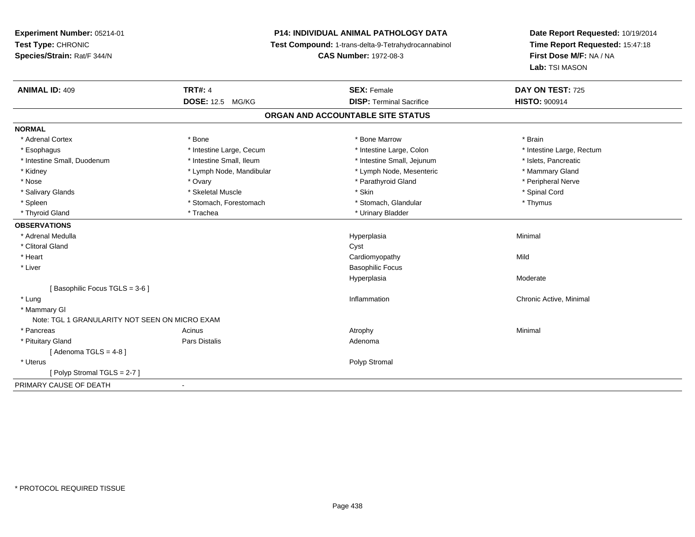**Experiment Number:** 05214-01**Test Type:** CHRONIC **Species/Strain:** Rat/F 344/N**P14: INDIVIDUAL ANIMAL PATHOLOGY DATA Test Compound:** 1-trans-delta-9-Tetrahydrocannabinol **CAS Number:** 1972-08-3**Date Report Requested:** 10/19/2014**Time Report Requested:** 15:47:18**First Dose M/F:** NA / NA**Lab:** TSI MASON**ANIMAL ID:** 409**TRT#:** 4 **SEX:** Female **SEX: Female DAY ON TEST:** 725 **DOSE:** 12.5 MG/KG**DISP:** Terminal Sacrifice **HISTO:**  $900914$ **ORGAN AND ACCOUNTABLE SITE STATUSNORMAL**\* Adrenal Cortex \* \* The matter of the state of the Marrow \* Bone Marrow \* Bone Marrow \* The matter of the Marrow \* Brain \* Brain \* Brain \* Brain \* Brain \* Brain \* Brain \* Brain \* Brain \* Brain \* Brain \* Brain \* Brain \* Br \* Esophagus \* Thestine Large, Cecum \* Intestine Large, Cecum \* Intestine Large, Colon \* Intestine Large, Rectum \* Intestine Small, Duodenum \* Intestine Small, Ileum \* Intestine Small, Intestine Small, Jejunum \* Islets, Pancreatic \* Mammary Gland \* Kidney \* Lymph Node, Mandibular \* Mammary \* Lymph Node, Mesenteric \* Lymph Node, Mesenteric \* Peripheral Nerve \* Nose \* Ovary \* Parathyroid Gland \* Peripheral Nerve \* \* Peripheral Nerve \* Salivary Glands \* \* Steeden \* \* Skeletal Muscle \* \* Skin \* \* Skin \* \* Steeden \* Spinal Cord \* Spinal Cord \* Spinal Cord \* Spinal Cord \* Spinal Cord \* Spinal Cord \* Spinal Cord \* Spinal Cord \* Spinal Cord \* Spinal Cord \* \* Spleen \* Stomach, Forestomach \* Stomach \* Stomach, Glandular \* Stomach, Glandular \* Thymus \* Thyroid Gland \* Trachea \* Trachea \* Trachea \* Urinary Bladder **OBSERVATIONS** \* Adrenal Medullaa and the control of the control of the control of the Hyperplasia and the control of the Minimal of the control of the control of the control of the control of the control of the control of the control of the control of t \* Clitoral Glandd and the contract of the contract of the contract of the contract of the contract of the contract of the contract of the contract of the contract of the contract of the contract of the contract of the contract of the cont \* Heart Cardiomyopathyy Mild \* Liver Basophilic FocusHyperplasia Moderate [ Basophilic Focus TGLS = 3-6 ] \* Lungg is a controller to the controller of the controller of the chronic Active, Minimal of the chronic Active, Minimal of the chronic Active, Minimal of the chronic Active, Minimal of the chronic Active, Minimal of the chroni \* Mammary GlNote: TGL 1 GRANULARITY NOT SEEN ON MICRO EXAM \* Pancreass the control of the control of the control of the control of the control of the control of the control of the control of the control of the control of the control of the control of the control of the control of the contro \* Pituitary Glandd and the contract of Pars Distalis and the contract of Adenoma and Adenoma and the Adenoma and the Adenoma and  $\lambda$  $[$  Adenoma TGLS = 4-8  $]$  \* Uteruss and the contract of the contract of the contract of the contract of the contract of the contract of the contract of the contract of the contract of the contract of the contract of the contract of the contract of the cont [ Polyp Stromal TGLS = 2-7 ]PRIMARY CAUSE OF DEATH-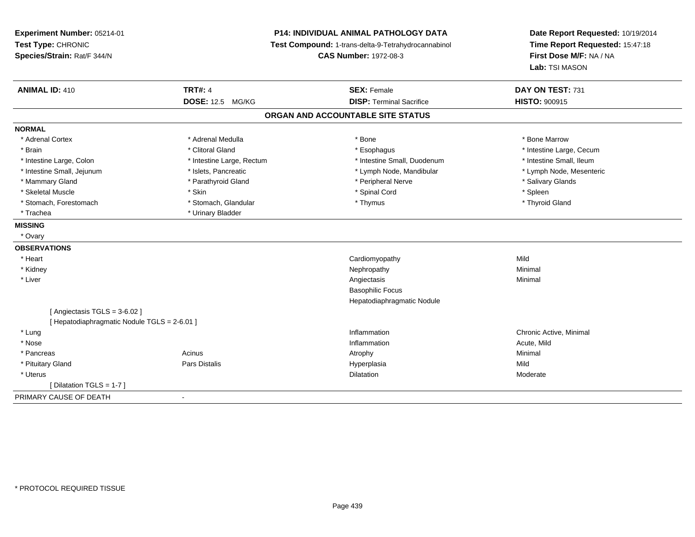| Experiment Number: 05214-01<br>Test Type: CHRONIC<br>Species/Strain: Rat/F 344/N | <b>P14: INDIVIDUAL ANIMAL PATHOLOGY DATA</b><br>Test Compound: 1-trans-delta-9-Tetrahydrocannabinol<br><b>CAS Number: 1972-08-3</b> |                                   | Date Report Requested: 10/19/2014<br>Time Report Requested: 15:47:18<br>First Dose M/F: NA / NA<br>Lab: TSI MASON |  |
|----------------------------------------------------------------------------------|-------------------------------------------------------------------------------------------------------------------------------------|-----------------------------------|-------------------------------------------------------------------------------------------------------------------|--|
| <b>ANIMAL ID: 410</b>                                                            | <b>TRT#: 4</b>                                                                                                                      | <b>SEX: Female</b>                | DAY ON TEST: 731                                                                                                  |  |
|                                                                                  | <b>DOSE: 12.5 MG/KG</b>                                                                                                             | <b>DISP: Terminal Sacrifice</b>   | <b>HISTO: 900915</b>                                                                                              |  |
|                                                                                  |                                                                                                                                     | ORGAN AND ACCOUNTABLE SITE STATUS |                                                                                                                   |  |
| <b>NORMAL</b>                                                                    |                                                                                                                                     |                                   |                                                                                                                   |  |
| * Adrenal Cortex                                                                 | * Adrenal Medulla                                                                                                                   | * Bone                            | * Bone Marrow                                                                                                     |  |
| * Brain                                                                          | * Clitoral Gland                                                                                                                    | * Esophagus                       | * Intestine Large, Cecum                                                                                          |  |
| * Intestine Large, Colon                                                         | * Intestine Large, Rectum                                                                                                           | * Intestine Small, Duodenum       | * Intestine Small, Ileum                                                                                          |  |
| * Intestine Small, Jejunum                                                       | * Islets, Pancreatic                                                                                                                | * Lymph Node, Mandibular          | * Lymph Node, Mesenteric                                                                                          |  |
| * Mammary Gland                                                                  | * Parathyroid Gland                                                                                                                 | * Peripheral Nerve                | * Salivary Glands                                                                                                 |  |
| * Skeletal Muscle                                                                | * Skin                                                                                                                              | * Spinal Cord                     | * Spleen                                                                                                          |  |
| * Stomach, Forestomach                                                           | * Stomach, Glandular                                                                                                                | * Thymus                          | * Thyroid Gland                                                                                                   |  |
| * Trachea                                                                        | * Urinary Bladder                                                                                                                   |                                   |                                                                                                                   |  |
| <b>MISSING</b>                                                                   |                                                                                                                                     |                                   |                                                                                                                   |  |
| * Ovary                                                                          |                                                                                                                                     |                                   |                                                                                                                   |  |
| <b>OBSERVATIONS</b>                                                              |                                                                                                                                     |                                   |                                                                                                                   |  |
| * Heart                                                                          |                                                                                                                                     | Cardiomyopathy                    | Mild                                                                                                              |  |
| * Kidney                                                                         |                                                                                                                                     | Nephropathy                       | Minimal                                                                                                           |  |
| * Liver                                                                          |                                                                                                                                     | Angiectasis                       | Minimal                                                                                                           |  |
|                                                                                  |                                                                                                                                     | <b>Basophilic Focus</b>           |                                                                                                                   |  |
|                                                                                  |                                                                                                                                     | Hepatodiaphragmatic Nodule        |                                                                                                                   |  |
| [Angiectasis TGLS = $3-6.02$ ]                                                   |                                                                                                                                     |                                   |                                                                                                                   |  |
| [ Hepatodiaphragmatic Nodule TGLS = 2-6.01 ]                                     |                                                                                                                                     |                                   |                                                                                                                   |  |
| * Lung                                                                           |                                                                                                                                     | Inflammation                      | Chronic Active, Minimal                                                                                           |  |
| * Nose                                                                           |                                                                                                                                     | Inflammation                      | Acute, Mild                                                                                                       |  |
| * Pancreas                                                                       | Acinus                                                                                                                              | Atrophy                           | Minimal                                                                                                           |  |
| * Pituitary Gland                                                                | Pars Distalis                                                                                                                       | Hyperplasia                       | Mild                                                                                                              |  |
| * Uterus                                                                         |                                                                                                                                     | Dilatation                        | Moderate                                                                                                          |  |
| [ Dilatation TGLS = 1-7 ]                                                        |                                                                                                                                     |                                   |                                                                                                                   |  |
| PRIMARY CAUSE OF DEATH                                                           |                                                                                                                                     |                                   |                                                                                                                   |  |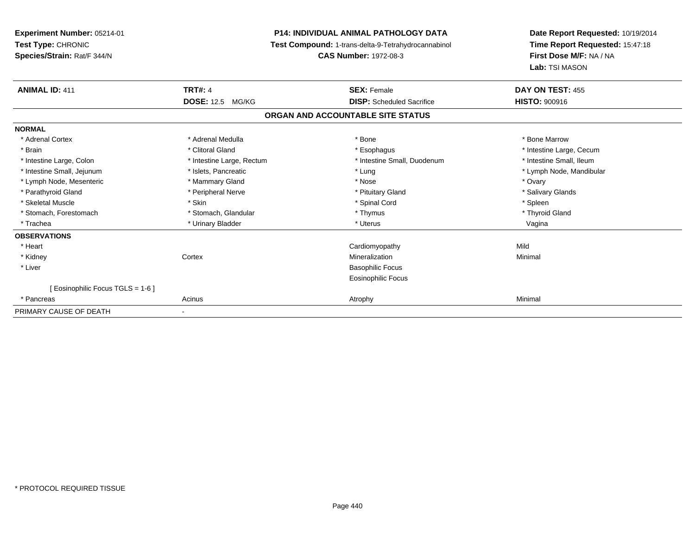| Experiment Number: 05214-01<br>Test Type: CHRONIC<br>Species/Strain: Rat/F 344/N |                           | <b>P14: INDIVIDUAL ANIMAL PATHOLOGY DATA</b><br>Test Compound: 1-trans-delta-9-Tetrahydrocannabinol<br><b>CAS Number: 1972-08-3</b> | Date Report Requested: 10/19/2014<br>Time Report Requested: 15:47:18<br>First Dose M/F: NA / NA<br>Lab: TSI MASON |
|----------------------------------------------------------------------------------|---------------------------|-------------------------------------------------------------------------------------------------------------------------------------|-------------------------------------------------------------------------------------------------------------------|
| <b>ANIMAL ID: 411</b>                                                            | <b>TRT#: 4</b>            | <b>SEX: Female</b>                                                                                                                  | DAY ON TEST: 455                                                                                                  |
|                                                                                  | <b>DOSE: 12.5 MG/KG</b>   | <b>DISP:</b> Scheduled Sacrifice                                                                                                    | <b>HISTO: 900916</b>                                                                                              |
|                                                                                  |                           | ORGAN AND ACCOUNTABLE SITE STATUS                                                                                                   |                                                                                                                   |
| <b>NORMAL</b>                                                                    |                           |                                                                                                                                     |                                                                                                                   |
| * Adrenal Cortex                                                                 | * Adrenal Medulla         | * Bone                                                                                                                              | * Bone Marrow                                                                                                     |
| * Brain                                                                          | * Clitoral Gland          | * Esophagus                                                                                                                         | * Intestine Large, Cecum                                                                                          |
| * Intestine Large, Colon                                                         | * Intestine Large, Rectum | * Intestine Small, Duodenum                                                                                                         | * Intestine Small, Ileum                                                                                          |
| * Intestine Small, Jejunum                                                       | * Islets, Pancreatic      | * Lung                                                                                                                              | * Lymph Node, Mandibular                                                                                          |
| * Lymph Node, Mesenteric                                                         | * Mammary Gland           | * Nose                                                                                                                              | * Ovary                                                                                                           |
| * Parathyroid Gland                                                              | * Peripheral Nerve        | * Pituitary Gland                                                                                                                   | * Salivary Glands                                                                                                 |
| * Skeletal Muscle                                                                | * Skin                    | * Spinal Cord                                                                                                                       | * Spleen                                                                                                          |
| * Stomach, Forestomach                                                           | * Stomach, Glandular      | * Thymus                                                                                                                            | * Thyroid Gland                                                                                                   |
| * Trachea                                                                        | * Urinary Bladder         | * Uterus                                                                                                                            | Vagina                                                                                                            |
| <b>OBSERVATIONS</b>                                                              |                           |                                                                                                                                     |                                                                                                                   |
| * Heart                                                                          |                           | Cardiomyopathy                                                                                                                      | Mild                                                                                                              |
| * Kidney                                                                         | Cortex                    | Mineralization                                                                                                                      | Minimal                                                                                                           |
| * Liver                                                                          |                           | <b>Basophilic Focus</b>                                                                                                             |                                                                                                                   |
|                                                                                  |                           | <b>Eosinophilic Focus</b>                                                                                                           |                                                                                                                   |
| [ Eosinophilic Focus TGLS = 1-6 ]                                                |                           |                                                                                                                                     |                                                                                                                   |
| * Pancreas                                                                       | Acinus                    | Atrophy                                                                                                                             | Minimal                                                                                                           |
| PRIMARY CAUSE OF DEATH                                                           |                           |                                                                                                                                     |                                                                                                                   |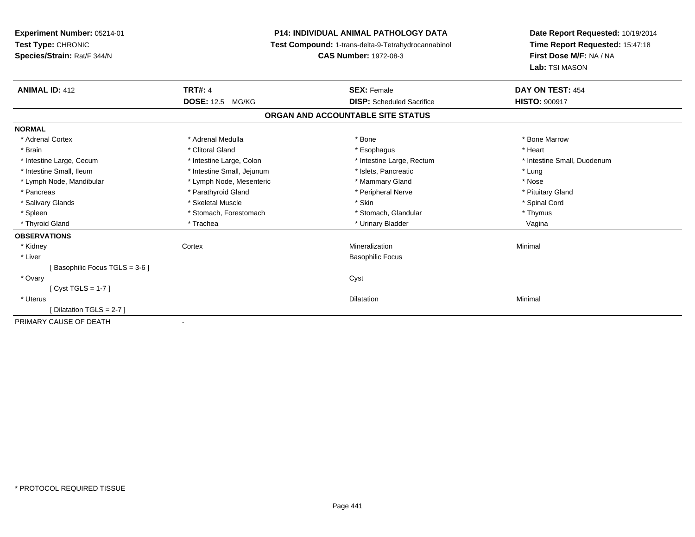| Experiment Number: 05214-01   | <b>P14: INDIVIDUAL ANIMAL PATHOLOGY DATA</b> |                                                     | Date Report Requested: 10/19/2014 |
|-------------------------------|----------------------------------------------|-----------------------------------------------------|-----------------------------------|
| Test Type: CHRONIC            |                                              | Test Compound: 1-trans-delta-9-Tetrahydrocannabinol | Time Report Requested: 15:47:18   |
| Species/Strain: Rat/F 344/N   |                                              | <b>CAS Number: 1972-08-3</b>                        | First Dose M/F: NA / NA           |
|                               |                                              |                                                     | Lab: TSI MASON                    |
| <b>ANIMAL ID: 412</b>         | <b>TRT#: 4</b>                               | <b>SEX: Female</b>                                  | DAY ON TEST: 454                  |
|                               | <b>DOSE: 12.5 MG/KG</b>                      | <b>DISP:</b> Scheduled Sacrifice                    | <b>HISTO: 900917</b>              |
|                               |                                              | ORGAN AND ACCOUNTABLE SITE STATUS                   |                                   |
| <b>NORMAL</b>                 |                                              |                                                     |                                   |
| * Adrenal Cortex              | * Adrenal Medulla                            | * Bone                                              | * Bone Marrow                     |
| * Brain                       | * Clitoral Gland                             | * Esophagus                                         | * Heart                           |
| * Intestine Large, Cecum      | * Intestine Large, Colon                     | * Intestine Large, Rectum                           | * Intestine Small, Duodenum       |
| * Intestine Small, Ileum      | * Intestine Small, Jejunum                   | * Islets, Pancreatic                                | * Lung                            |
| * Lymph Node, Mandibular      | * Lymph Node, Mesenteric                     | * Mammary Gland                                     | * Nose                            |
| * Pancreas                    | * Parathyroid Gland                          | * Peripheral Nerve                                  | * Pituitary Gland                 |
| * Salivary Glands             | * Skeletal Muscle                            | * Skin                                              | * Spinal Cord                     |
| * Spleen                      | * Stomach, Forestomach                       | * Stomach, Glandular                                | * Thymus                          |
| * Thyroid Gland               | * Trachea                                    | * Urinary Bladder                                   | Vagina                            |
| <b>OBSERVATIONS</b>           |                                              |                                                     |                                   |
| * Kidney                      | Cortex                                       | Mineralization                                      | Minimal                           |
| * Liver                       |                                              | <b>Basophilic Focus</b>                             |                                   |
| Basophilic Focus TGLS = 3-6 ] |                                              |                                                     |                                   |
| * Ovary                       |                                              | Cyst                                                |                                   |
| $[Cyst TGLS = 1-7]$           |                                              |                                                     |                                   |
| * Uterus                      |                                              | <b>Dilatation</b>                                   | Minimal                           |
| Dilatation TGLS = 2-7 ]       |                                              |                                                     |                                   |
| PRIMARY CAUSE OF DEATH        |                                              |                                                     |                                   |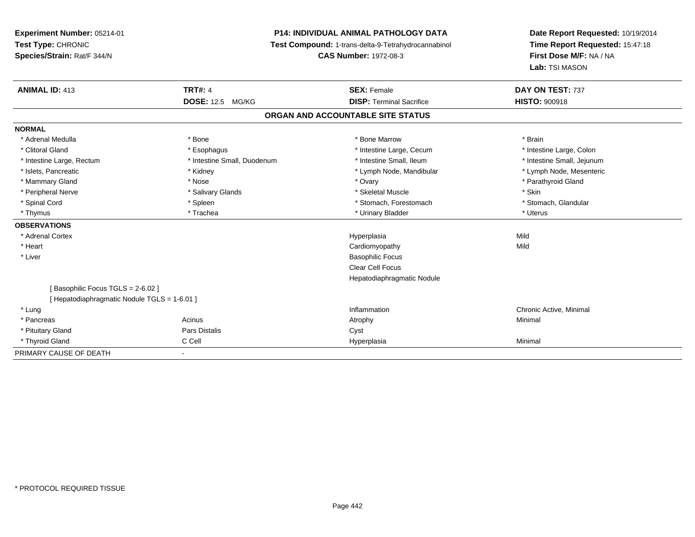**Experiment Number:** 05214-01**Test Type:** CHRONIC **Species/Strain:** Rat/F 344/N**P14: INDIVIDUAL ANIMAL PATHOLOGY DATA Test Compound:** 1-trans-delta-9-Tetrahydrocannabinol **CAS Number:** 1972-08-3**Date Report Requested:** 10/19/2014**Time Report Requested:** 15:47:18**First Dose M/F:** NA / NA**Lab:** TSI MASON**ANIMAL ID:** 413**TRT#:** 4 **SEX:** Female **SEX: Female DAY ON TEST:** 737 **DOSE:** 12.5 MG/KG**DISP:** Terminal Sacrifice **HISTO:** 900918 **ORGAN AND ACCOUNTABLE SITE STATUSNORMAL**\* Adrenal Medulla \* \* Annual Medulla \* Brain \* Bone \* \* Bone Marrow \* Bone Marrow \* \* Brain \* Brain \* Brain \* Brain \* Brain \* Brain \* Brain \* Brain \* Brain \* Brain \* Brain \* Brain \* Brain \* Brain \* Brain \* Brain \* Brain \* \* Intestine Large, Colon \* Clitoral Gland \* **Exophagus \* Exophagus \*** The strain that the Large, Cecum \* intestine Large, Cecum \* Intestine Large, Rectum \* Thestine Small, Duodenum \* Number of the small, Ileum \* Intestine Small, Jejunum \* Intestine Small, Jejunum \* Lymph Node, Mesenteric \* Islets, Pancreatic **\* Kidney \* Kidney \* And Account Account Account Account Account Account Account Account Account Account Account Account Account Account Account Account Account Account Account Account Account Account** \* Mammary Gland \* \* Nose \* \* Nose \* \* Ovary \* Ovary \* Ovary \* The material structure of the term of the term \* Parathyroid Gland \* Parathyroid Gland \* Parathyroid Gland \* Nose \* \* Parathyroid Gland \* \* Parathyroid Gland \* \* Peripheral Nerve \* Salivary Glands \* Skeletal Muscle \* Skin\* Stomach. Glandular \* Spinal Cord **\* Stomach, Forestomach \* Spinal Cord \*** Stomach, Forestomach \* Stomach, Forestomach \* Thymus \* Trachea \* Urinary Bladder \* Uterus **OBSERVATIONS** \* Adrenal Cortexx and the contract of the contract of the contract of the contract of the contract of the contract of the contract of the contract of the contract of the contract of the contract of the contract of the contract of the cont a Mild \* Heart Cardiomyopathyy Mild \* Liver Basophilic Focus Clear Cell Focus Hepatodiaphragmatic Nodule[ Basophilic Focus TGLS = 2-6.02 ][ Hepatodiaphragmatic Nodule TGLS = 1-6.01 ] \* Lungg is a controller to the controller of the controller of the chronic Active, Minimal of the chronic Active, Minimal of the chronic Active, Minimal of the chronic Active, Minimal of the chronic Active, Minimal of the chroni \* Pancreass the control of the control of the control of the control of the control of the control of the control of the control of the control of the control of the control of the control of the control of the control of the contro \* Pituitary Glandd Cyst Constants Constants Constants Constants Constants Constants Constants Constants Constants Constants Const \* Thyroid Gland C Cell Hyperplasia Minimal PRIMARY CAUSE OF DEATH

-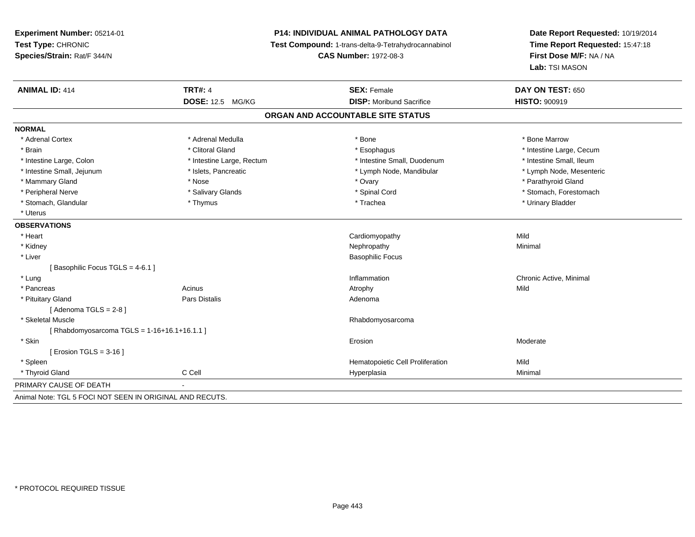**Experiment Number:** 05214-01**Test Type:** CHRONIC **Species/Strain:** Rat/F 344/N**P14: INDIVIDUAL ANIMAL PATHOLOGY DATA Test Compound:** 1-trans-delta-9-Tetrahydrocannabinol **CAS Number:** 1972-08-3**Date Report Requested:** 10/19/2014**Time Report Requested:** 15:47:18**First Dose M/F:** NA / NA**Lab:** TSI MASON**ANIMAL ID:** 414**TRT#:** 4 **SEX:** Female **SEX: Female DAY ON TEST:** 650 **DOSE:** 12.5 MG/KG **DISP:** Moribund Sacrifice **HISTO:** <sup>900919</sup> **ORGAN AND ACCOUNTABLE SITE STATUSNORMAL**\* Adrenal Cortex \* Adrenal Medulla \* Adrenal Medulla \* Bone \* Bone \* Bone \* Bone \* Bone Marrow \* Brain \* Alternation of the state of the state of the state of the state of the state of the state of the state of the state of the state of the state of the state of the state of the state of the state of the state of th \* Intestine Small, Ileum \* Intestine Large, Colon \* Intestine Large, Rectum \* Intestine Small, Duodenum \* Intestine Small, Duodenum \* Lymph Node, Mesenteric \* Intestine Small, Jejunum \* Mandibular \* Islets, Pancreatic \* Mandibular \* Lymph Node, Mandibular \* Mammary Gland \* \* Nose \* \* Nose \* \* Ovary \* Ovary \* Ovary \* The material structure of the term of the term \* Parathyroid Gland \* Parathyroid Gland \* Parathyroid Gland \* Nose \* \* Parathyroid Gland \* \* Parathyroid Gland \* \* Peripheral Nerve \* \* Salivary Glands \* Salivary Glands \* Spinal Cord \* Stomach, Forestomach \* Stomach, Glandular \* Thymus \* Thymus \* Thymus \* Trachea \* Trachea \* Trachea \* Urinary Bladder \* Uterus**OBSERVATIONS** \* Heart Cardiomyopathyy Mild Minimal \* Kidneyy the control of the control of the control of the control of the control of the control of the control of the control of the control of the control of the control of the control of the control of the control of the contro \* Liver Basophilic Focus[ Basophilic Focus TGLS = 4-6.1 ] \* Lungg is a controller to the controller of the controller of the chronic Active, Minimal of the chronic Active, Minimal of the chronic Active, Minimal of the chronic Active, Minimal of the chronic Active, Minimal of the chroni \* Pancreass and the contract of the Acinus and Acinus and Acinus and Acinus Atrophy and Acinus and Mild \* Pituitary Glandd and the contract of Pars Distalis and the contract of Adenoma and Adenoma and the Adenoma and the Adenoma and  $\lambda$  $[$  Adenoma TGLS = 2-8  $]$  \* Skeletal Muscle Rhabdomyosarcoma [ Rhabdomyosarcoma TGLS = 1-16+16.1+16.1.1 ] \* Skinn and the control of the control of the control of the control of the control of the control of the control of the control of the control of the control of the control of the control of the control of the control of the co [ Erosion TGLS = 3-16 ] \* Spleen Hematopoietic Cell Proliferation Mild \* Thyroid Gland C Cell Hyperplasia Minimal PRIMARY CAUSE OF DEATH - Animal Note: TGL 5 FOCI NOT SEEN IN ORIGINAL AND RECUTS.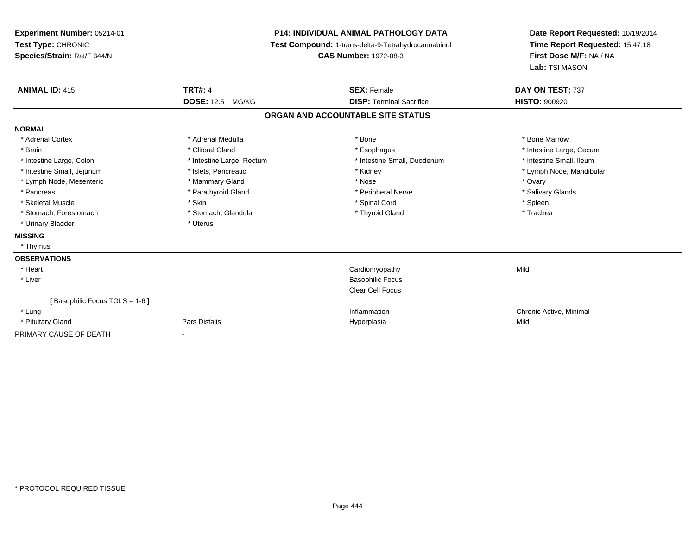| Experiment Number: 05214-01   | <b>P14: INDIVIDUAL ANIMAL PATHOLOGY DATA</b> |                                                     | Date Report Requested: 10/19/2014 |  |
|-------------------------------|----------------------------------------------|-----------------------------------------------------|-----------------------------------|--|
| Test Type: CHRONIC            |                                              | Test Compound: 1-trans-delta-9-Tetrahydrocannabinol | Time Report Requested: 15:47:18   |  |
| Species/Strain: Rat/F 344/N   |                                              | <b>CAS Number: 1972-08-3</b>                        | First Dose M/F: NA / NA           |  |
|                               |                                              |                                                     | Lab: TSI MASON                    |  |
| <b>ANIMAL ID: 415</b>         | <b>TRT#: 4</b>                               | <b>SEX: Female</b>                                  | DAY ON TEST: 737                  |  |
|                               | <b>DOSE: 12.5 MG/KG</b>                      | <b>DISP: Terminal Sacrifice</b>                     | <b>HISTO: 900920</b>              |  |
|                               |                                              | ORGAN AND ACCOUNTABLE SITE STATUS                   |                                   |  |
| <b>NORMAL</b>                 |                                              |                                                     |                                   |  |
| * Adrenal Cortex              | * Adrenal Medulla                            | * Bone                                              | * Bone Marrow                     |  |
| * Brain                       | * Clitoral Gland                             | * Esophagus                                         | * Intestine Large, Cecum          |  |
| * Intestine Large, Colon      | * Intestine Large, Rectum                    | * Intestine Small, Duodenum                         | * Intestine Small, Ileum          |  |
| * Intestine Small, Jejunum    | * Islets, Pancreatic                         | * Kidney                                            | * Lymph Node, Mandibular          |  |
| * Lymph Node, Mesenteric      | * Mammary Gland                              | * Nose                                              | * Ovary                           |  |
| * Pancreas                    | * Parathyroid Gland                          | * Peripheral Nerve                                  | * Salivary Glands                 |  |
| * Skeletal Muscle             | * Skin                                       | * Spinal Cord                                       | * Spleen                          |  |
| * Stomach, Forestomach        | * Stomach, Glandular                         | * Thyroid Gland                                     | * Trachea                         |  |
| * Urinary Bladder             | * Uterus                                     |                                                     |                                   |  |
| <b>MISSING</b>                |                                              |                                                     |                                   |  |
| * Thymus                      |                                              |                                                     |                                   |  |
| <b>OBSERVATIONS</b>           |                                              |                                                     |                                   |  |
| * Heart                       |                                              | Cardiomyopathy                                      | Mild                              |  |
| * Liver                       |                                              | <b>Basophilic Focus</b>                             |                                   |  |
|                               |                                              | <b>Clear Cell Focus</b>                             |                                   |  |
| [Basophilic Focus TGLS = 1-6] |                                              |                                                     |                                   |  |
| * Lung                        |                                              | Inflammation                                        | Chronic Active, Minimal           |  |
| * Pituitary Gland             | Pars Distalis                                | Hyperplasia                                         | Mild                              |  |
| PRIMARY CAUSE OF DEATH        |                                              |                                                     |                                   |  |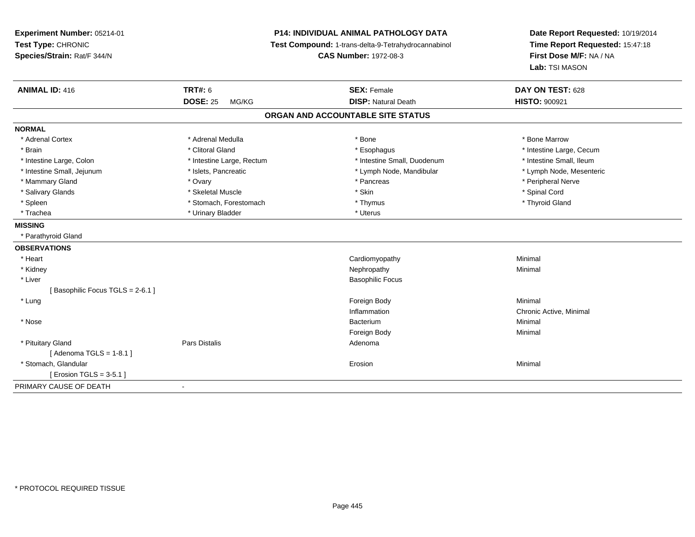**Experiment Number:** 05214-01**Test Type:** CHRONIC **Species/Strain:** Rat/F 344/N**P14: INDIVIDUAL ANIMAL PATHOLOGY DATA Test Compound:** 1-trans-delta-9-Tetrahydrocannabinol **CAS Number:** 1972-08-3**Date Report Requested:** 10/19/2014**Time Report Requested:** 15:47:18**First Dose M/F:** NA / NA**Lab:** TSI MASON**ANIMAL ID:** 416 **TRT#:** <sup>6</sup> **SEX:** Female **DAY ON TEST:** <sup>628</sup> **DOSE:** 25 MG/KG**DISP:** Natural Death **HISTO:**  $900921$ **ORGAN AND ACCOUNTABLE SITE STATUSNORMAL**\* Adrenal Cortex \* Adrenal Medulla \* Adrenal Medulla \* Bone \* Bone \* Bone \* Bone \* Bone Marrow \* Brain \* Alternation of the state of the state of the state of the state of the state of the state of the state of the state of the state of the state of the state of the state of the state of the state of the state of th \* Intestine Small, Ileum \* Intestine Large, Colon \* Intestine Large, Rectum \* Intestine Small, Duodenum \* Intestine Small, Duodenum \* Lymph Node, Mesenteric \* Intestine Small, Jejunum \* Mandibular \* Islets, Pancreatic \* Mandibular \* Lymph Node, Mandibular \* Mammary Gland \* \* \* Ovary \* Ovary \* \* Ovary \* \* Pancreas \* \* Pancreas \* \* Peripheral Nerve \* Peripheral Nerve \* \* Peripheral Nerve \* \* Peripheral Nerve \* \* Peripheral Nerve \* \* Pancreas \* \* \* \* \* \* \* \* \* \* \* \* \* \* \* \* \* \* Salivary Glands \* \* Steeden \* \* Skeletal Muscle \* \* Skin \* \* Skin \* \* Steeden \* Spinal Cord \* Spinal Cord \* Spinal Cord \* Spinal Cord \* Spinal Cord \* Spinal Cord \* Spinal Cord \* Spinal Cord \* Spinal Cord \* Spinal Cord \* \* Thyroid Gland \* Spleen \* Thymus \* Stomach, Forestomach \* Thymus \* Thymus \* Thymus \* Thymus \* Thymus \* Thymus \* Thymus \* Thymus \* Thymus \* Thymus \* Thymus \* Thymus \* Thymus \* Thymus \* Thymus \* Thymus \* Thymus \* Thymus \* Thymus \* Thymus \* \* Trachea \* Urinary Bladder \* Urinary Bladder \* Urinary Bladder \* Uterus **MISSING** \* Parathyroid Gland**OBSERVATIONS** \* Heart Cardiomyopathy Minimal \* Kidneyy the control of the control of the control of the control of the control of the control of the control of the control of the control of the control of the control of the control of the control of the control of the contro \* Liver Basophilic Focus[ Basophilic Focus TGLS = 2-6.1 ] \* Lungg and the state of the state of the state of the state of the state of the state of the state of the state of the state of the state of the state of the state of the state of the state of the state of the state of the stat Inflammation Chronic Active, Minimal \* Nosee de la provincia de la provincia de la provincia de la provincia de la provincia de la provincia de la provincia de la provincia de la provincia de la provincia de la provincia de la provincia de la provincia de la provin m Minimal Foreign Bodyy the contract of the Minimal Minimal Section 1996 and the contract of the Minimal Section 1997 and the contract of the contract of the contract of the contract of the contract of the contract of the contract of the contra \* Pituitary Glandd and the set of Pars Distalis and the Second Adenomal Adenomal Second Second Pars Distallis  $[$  Adenoma TGLS = 1-8.1  $]$  \* Stomach, Glandularr and the contract of the contract of the contract of the contract of the contract of the contract of the contract of the contract of the contract of the contract of the contract of the contract of the contract of the cont n and a studies of the state of the Minimal  $[$  Erosion TGLS = 3-5.1  $]$ PRIMARY CAUSE OF DEATH-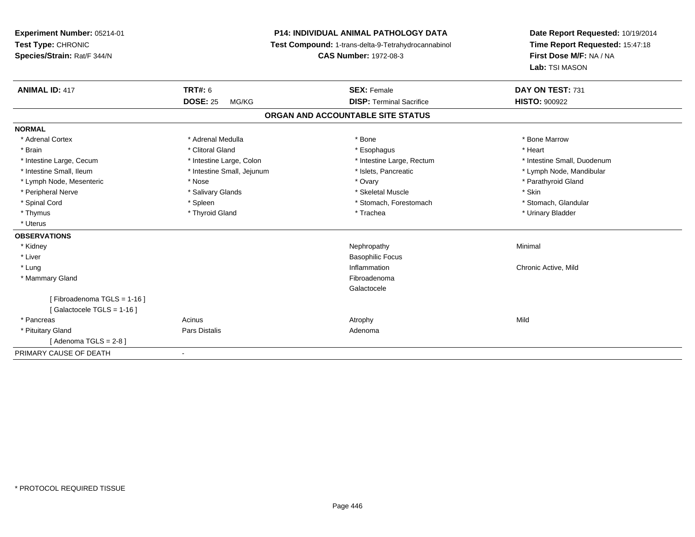| Experiment Number: 05214-01<br>Test Type: CHRONIC       |                            | <b>P14: INDIVIDUAL ANIMAL PATHOLOGY DATA</b><br>Test Compound: 1-trans-delta-9-Tetrahydrocannabinol | Date Report Requested: 10/19/2014<br>Time Report Requested: 15:47:18 |
|---------------------------------------------------------|----------------------------|-----------------------------------------------------------------------------------------------------|----------------------------------------------------------------------|
| Species/Strain: Rat/F 344/N                             |                            | <b>CAS Number: 1972-08-3</b>                                                                        | First Dose M/F: NA / NA                                              |
|                                                         |                            |                                                                                                     | Lab: TSI MASON                                                       |
| <b>ANIMAL ID: 417</b>                                   | <b>TRT#: 6</b>             | <b>SEX: Female</b>                                                                                  | DAY ON TEST: 731                                                     |
|                                                         | <b>DOSE: 25</b><br>MG/KG   | <b>DISP: Terminal Sacrifice</b>                                                                     | <b>HISTO: 900922</b>                                                 |
|                                                         |                            | ORGAN AND ACCOUNTABLE SITE STATUS                                                                   |                                                                      |
| <b>NORMAL</b>                                           |                            |                                                                                                     |                                                                      |
| * Adrenal Cortex                                        | * Adrenal Medulla          | * Bone                                                                                              | * Bone Marrow                                                        |
| * Brain                                                 | * Clitoral Gland           | * Esophagus                                                                                         | * Heart                                                              |
| * Intestine Large, Cecum                                | * Intestine Large, Colon   | * Intestine Large, Rectum                                                                           | * Intestine Small, Duodenum                                          |
| * Intestine Small, Ileum                                | * Intestine Small, Jejunum | * Islets, Pancreatic                                                                                | * Lymph Node, Mandibular                                             |
| * Lymph Node, Mesenteric                                | * Nose                     | * Ovary                                                                                             | * Parathyroid Gland                                                  |
| * Peripheral Nerve                                      | * Salivary Glands          | * Skeletal Muscle                                                                                   | * Skin                                                               |
| * Spinal Cord                                           | * Spleen                   | * Stomach, Forestomach                                                                              | * Stomach, Glandular                                                 |
| * Thymus                                                | * Thyroid Gland            | * Trachea                                                                                           | * Urinary Bladder                                                    |
| * Uterus                                                |                            |                                                                                                     |                                                                      |
| <b>OBSERVATIONS</b>                                     |                            |                                                                                                     |                                                                      |
| * Kidney                                                |                            | Nephropathy                                                                                         | Minimal                                                              |
| * Liver                                                 |                            | <b>Basophilic Focus</b>                                                                             |                                                                      |
| * Lung                                                  |                            | Inflammation                                                                                        | Chronic Active, Mild                                                 |
| * Mammary Gland                                         |                            | Fibroadenoma                                                                                        |                                                                      |
|                                                         |                            | Galactocele                                                                                         |                                                                      |
| [Fibroadenoma TGLS = 1-16]<br>[Galactocele TGLS = 1-16] |                            |                                                                                                     |                                                                      |
| * Pancreas                                              | Acinus                     | Atrophy                                                                                             | Mild                                                                 |
| * Pituitary Gland                                       | Pars Distalis              | Adenoma                                                                                             |                                                                      |
| [ Adenoma TGLS = 2-8 ]                                  |                            |                                                                                                     |                                                                      |
| PRIMARY CAUSE OF DEATH                                  | $\blacksquare$             |                                                                                                     |                                                                      |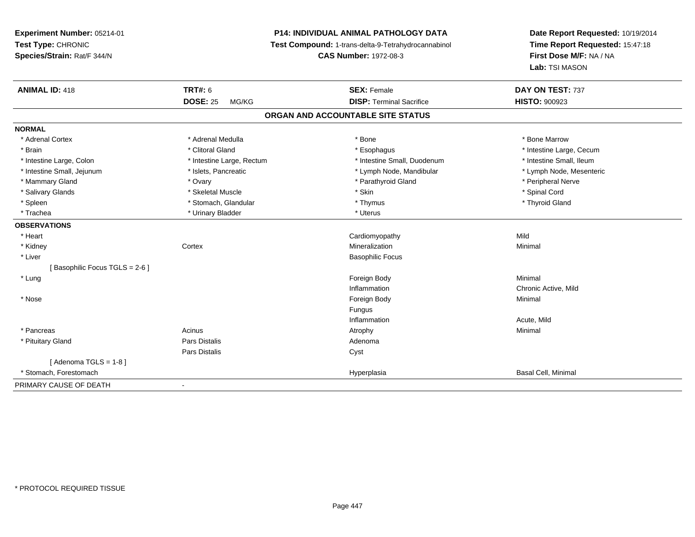**Experiment Number:** 05214-01**Test Type:** CHRONIC **Species/Strain:** Rat/F 344/N**P14: INDIVIDUAL ANIMAL PATHOLOGY DATA Test Compound:** 1-trans-delta-9-Tetrahydrocannabinol **CAS Number:** 1972-08-3**Date Report Requested:** 10/19/2014**Time Report Requested:** 15:47:18**First Dose M/F:** NA / NA**Lab:** TSI MASON**ANIMAL ID:** 418**EX:** Female **DAY ON TEST:** 737 **DOSE:** 25 MG/KG **DISP:** Terminal Sacrifice **HISTO:** <sup>900923</sup> **ORGAN AND ACCOUNTABLE SITE STATUSNORMAL**\* Adrenal Cortex \* Adrenal Medulla \* Adrenal Medulla \* Bone \* Bone \* Bone \* Bone \* Bone Marrow \* Brain \* Alternation of the state of the state of the state of the state of the state of the state of the state of the state of the state of the state of the state of the state of the state of the state of the state of th \* Intestine Small, Ileum \* Intestine Large, Colon \* Intestine Large, Rectum \* Intestine Small, Duodenum \* Intestine Small, Duodenum \* Lymph Node, Mesenteric \* Intestine Small, Jejunum \* Mandibular \* Islets, Pancreatic \* Mandibular \* Lymph Node, Mandibular \* Mammary Gland \* \* Andrew \* Ovary \* Ovary \* Andrew \* Parathyroid Gland \* Peripheral Nerve \* Peripheral Nerve \* في المستحدث المستحدث المستحدث المستحدث المستحدث المستحدث المستحدث المستحدث المستحدث المستحدث المستحدث المستحدث \* Salivary Glands \* \* Steeden \* \* Skeletal Muscle \* \* Skin \* \* Skin \* \* Steeden \* Spinal Cord \* Spinal Cord \* Spinal Cord \* Spinal Cord \* Spinal Cord \* Spinal Cord \* Spinal Cord \* Spinal Cord \* Spinal Cord \* Spinal Cord \* \* Thyroid Gland \* Spleen \* \* Stomach, Glandular \* \* Thymus \* Thymus \* The \* Thomac \* Thyroid Gland \* Thyroid Gland \* \* Thyroid Gland \* \* Trachea \* Urinary Bladder \* Urinary Bladder \* Urinary Bladder \* Uterus **OBSERVATIONS** \* Heart Cardiomyopathyy Mild Minimal \* Kidneyy which is a context of the Cortext of the Cortext of the Cortext of the Mineralization n Minimal \* Liver Basophilic Focus[ Basophilic Focus TGLS = 2-6 ] \* Lungg and the state of the state of the state of the state of the state of the state of the state of the state of the state of the state of the state of the state of the state of the state of the state of the state of the stat Inflammation Chronic Active, Mild \* Nosee and the state of the state of the state of the state of the state of the state of the state of the state of the state of the state of the state of the state of the state of the state of the state of the state of the stat Fungus Inflammation Acute, Mild \* Pancreass the control of the control of the control of the control of the control of the control of the control of the control of the control of the control of the control of the control of the control of the control of the contro \* Pituitary Glandd and the contract of Pars Distalis and the contract of Adenoma and Adenoma and the Adenoma and the Adenoma and  $\lambda$ Pars Distaliss Cyst  $[$  Adenoma TGLS = 1-8  $]$  \* Stomach, Forestomachh ann an t-aisim a bha ann an t-aisim an t-aisim a bha ann an t-aisim a bha ann an t-aisim a bha an t-aisim a bha an t-aisim a bha an t-aisim a bha an t-aisim a bha an t-aisim a bha an t-aisim a bha an t-aisim a bha an t-a PRIMARY CAUSE OF DEATH

-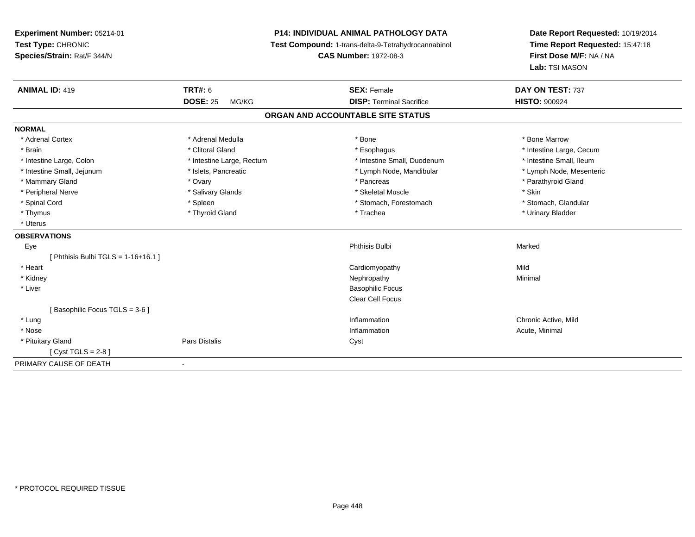**Experiment Number:** 05214-01**Test Type:** CHRONIC **Species/Strain:** Rat/F 344/N**P14: INDIVIDUAL ANIMAL PATHOLOGY DATA Test Compound:** 1-trans-delta-9-Tetrahydrocannabinol **CAS Number:** 1972-08-3**Date Report Requested:** 10/19/2014**Time Report Requested:** 15:47:18**First Dose M/F:** NA / NA**Lab:** TSI MASON**ANIMAL ID:** 419**TRT#:** 6 **SEX:** Female **SEX: Female DAY ON TEST:** 737 **DOSE:** 25 MG/KG**DISP:** Terminal Sacrifice **HISTO:**  $900924$ **ORGAN AND ACCOUNTABLE SITE STATUSNORMAL**\* Adrenal Cortex \* Adrenal Medulla \* Adrenal Medulla \* Bone \* Bone \* Bone \* Bone \* Bone Marrow \* Brain \* Alternation of the state of the state of the state of the state of the state of the state of the state of the state of the state of the state of the state of the state of the state of the state of the state of th \* Intestine Small, Ileum \* Intestine Large, Colon \* Intestine Large, Rectum \* Intestine Small, Duodenum \* Intestine Small, Duodenum \* Lymph Node, Mesenteric \* Intestine Small, Jejunum \* Mandibular \* Islets, Pancreatic \* Mandibular \* Lymph Node, Mandibular \* Mammary Gland \* \* Andrew \* Ovary \* Andrew \* Ovary \* Pancreas \* Pancreas \* \* Pancreas \* \* Pancreas \* \* Pancreas \* \* Pancreas \* \* Pancreas \* \* Pancreas \* \* Pancreas \* \* Pancreas \* \* Pancreas \* \* Pancreas \* \* Pancreas \* \* P \* Peripheral Nerve \* Salivary Glands \* Skeletal Muscle \* Skin\* Stomach. Glandular \* Spinal Cord **\* Stomach, Forestomach \* Spinal Cord \*** Stomach, Forestomach \* Stomach, Forestomach \* Thymus \* Thyroid Gland \* Trachea \* Urinary Bladder \* \* Uterus**OBSERVATIONS** Eyee and the state of the state of the state of the state of the state of the state of the state of the state of the state of the state of the state of the state of the state of the state of the state of the state of the stat [ Phthisis Bulbi  $TGLS = 1-16+16.1$  ] \* Heart Cardiomyopathyy Mild Minimal \* Kidneyy the control of the control of the control of the control of the control of the control of the control of the control of the control of the control of the control of the control of the control of the control of the contro \* Liver Basophilic Focus Clear Cell Focus[ Basophilic Focus TGLS = 3-6 ] \* Lungg is a controller to the controller of the controller of the controller of the controller of the chronic Active, Mild \* Nosee the contraction of the contraction of the contraction of the contraction of the contraction of the contraction  $\mathsf{Acute}$ , Minimal \* Pituitary Glandd Cyst Constants Constants Constants Constants Constants Constants Constants Constants Constants Constants Const [ Cyst TGLS = 2-8 ]PRIMARY CAUSE OF DEATH-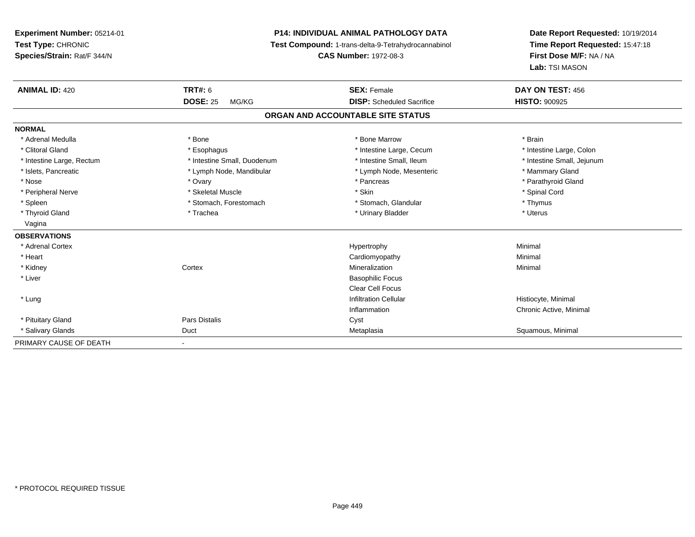**Experiment Number:** 05214-01**Test Type:** CHRONIC **Species/Strain:** Rat/F 344/N**P14: INDIVIDUAL ANIMAL PATHOLOGY DATA Test Compound:** 1-trans-delta-9-Tetrahydrocannabinol **CAS Number:** 1972-08-3**ANIMAL ID:** 420**DOSE:** 25 MG/KG**NORMAL**

**Date Report Requested:** 10/19/2014**Time Report Requested:** 15:47:18**First Dose M/F:** NA / NA**Lab:** TSI MASON

| <b>ANIMAL ID: 420</b>     | <b>TRT#: 6</b>              | <b>SEX: Female</b>                | DAY ON TEST: 456           |
|---------------------------|-----------------------------|-----------------------------------|----------------------------|
|                           | <b>DOSE: 25</b><br>MG/KG    | <b>DISP:</b> Scheduled Sacrifice  | <b>HISTO: 900925</b>       |
|                           |                             | ORGAN AND ACCOUNTABLE SITE STATUS |                            |
| <b>NORMAL</b>             |                             |                                   |                            |
| * Adrenal Medulla         | * Bone                      | * Bone Marrow                     | * Brain                    |
| * Clitoral Gland          | * Esophagus                 | * Intestine Large, Cecum          | * Intestine Large, Colon   |
| * Intestine Large, Rectum | * Intestine Small, Duodenum | * Intestine Small, Ileum          | * Intestine Small, Jejunum |
| * Islets, Pancreatic      | * Lymph Node, Mandibular    | * Lymph Node, Mesenteric          | * Mammary Gland            |
| * Nose                    | * Ovary                     | * Pancreas                        | * Parathyroid Gland        |
| * Peripheral Nerve        | * Skeletal Muscle           | * Skin                            | * Spinal Cord              |
| * Spleen                  | * Stomach, Forestomach      | * Stomach, Glandular              | * Thymus                   |
| * Thyroid Gland           | * Trachea                   | * Urinary Bladder                 | * Uterus                   |
| Vagina                    |                             |                                   |                            |
| <b>OBSERVATIONS</b>       |                             |                                   |                            |
| * Adrenal Cortex          |                             | Hypertrophy                       | Minimal                    |
| * Heart                   |                             | Cardiomyopathy                    | Minimal                    |
| * Kidney                  | Cortex                      | Mineralization                    | Minimal                    |
| * Liver                   |                             | <b>Basophilic Focus</b>           |                            |
|                           |                             | <b>Clear Cell Focus</b>           |                            |
| * Lung                    |                             | <b>Infiltration Cellular</b>      | Histiocyte, Minimal        |
|                           |                             | Inflammation                      | Chronic Active, Minimal    |
| * Pituitary Gland         | <b>Pars Distalis</b>        | Cyst                              |                            |
| * Salivary Glands         | Duct                        | Metaplasia                        | Squamous, Minimal          |
| PRIMARY CAUSE OF DEATH    | ٠                           |                                   |                            |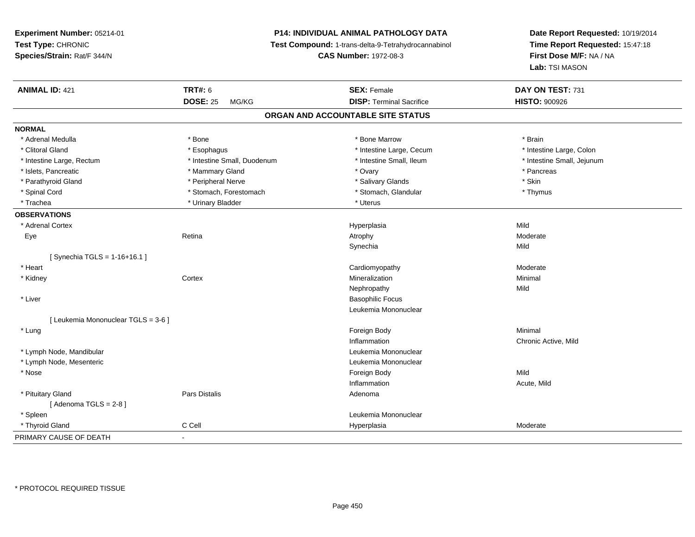**Experiment Number:** 05214-01**Test Type:** CHRONIC **Species/Strain:** Rat/F 344/N**P14: INDIVIDUAL ANIMAL PATHOLOGY DATA Test Compound:** 1-trans-delta-9-Tetrahydrocannabinol **CAS Number:** 1972-08-3**Date Report Requested:** 10/19/2014**Time Report Requested:** 15:47:18**First Dose M/F:** NA / NA**Lab:** TSI MASON**ANIMAL ID:** 421**TRT#:** 6 **SEX:** Female **SEX: Female DAY ON TEST:** 731 **DOSE:** 25 MG/KG**DISP:** Terminal Sacrifice **HISTO:**  $900926$ **ORGAN AND ACCOUNTABLE SITE STATUSNORMAL**\* Adrenal Medulla \* \* Annual Medulla \* Brain \* Bone \* \* Bone Marrow \* Bone Marrow \* \* Brain \* Brain \* Brain \* Brain \* Brain \* Brain \* Brain \* Brain \* Brain \* Brain \* Brain \* Brain \* Brain \* Brain \* Brain \* Brain \* Brain \* \* Intestine Large, Colon \* Clitoral Gland \* **Exophagus \* Exophagus \*** The strain that the Large, Cecum \* intestine Large, Cecum \* Intestine Large, Rectum \* Thestine Small, Duodenum \* Number of the small, Ileum \* Intestine Small, Jejunum \* Intestine Small, Jejunum \* Islets, Pancreatic \* \* \* Mammary Gland \* \* Ovary \* Ovary \* Ovary \* The method of the state of the state of the state of the state of the state of the state of the state of the state of the state of the state of the state \* Parathyroid Gland \* \* The proposition of the Peripheral Nerve \* \* The matter of the state of the state \* Skin \* Thymus \* Spinal Cord \* Stomach, Forestomach \* Stomach, Spinal Cord \* Stomach, Glandular \* Thymus \* Stomach, Glandular \* Trachea \* Urinary Bladder \* Urinary Bladder \* Urinary Bladder \* Uterus **OBSERVATIONS** \* Adrenal Cortexx and the contract of the contract of the contract of the contract of the contract of the contract of the contract of the contract of the contract of the contract of the contract of the contract of the contract of the cont a Mild Eye Retina Atrophy Moderate Synechiaa Mild [ Synechia TGLS = 1-16+16.1 ] \* Heart Cardiomyopathy Moderate \* Kidneyy which is a context of the Cortext of the Cortext of the Cortext of the Mineralization n Minimal Nephropathyy Mild \* Liver Basophilic Focus Leukemia Mononuclear[ Leukemia Mononuclear TGLS = 3-6 ] \* Lungg and the state of the state of the state of the state of the state of the state of the state of the state of the state of the state of the state of the state of the state of the state of the state of the state of the stat Inflammation Chronic Active, Mild \* Lymph Node, Mandibular Leukemia Mononuclear \* Lymph Node, Mesenteric Leukemia Mononuclear \* Nosee and the state of the state of the state of the state of the state of the state of the state of the state of the state of the state of the state of the state of the state of the state of the state of the state of the stat Inflammation Acute, Mild \* Pituitary Glandd and the contract of Pars Distalis and the contract of Adenoma and Adenoma and the Adenoma and the Adenoma and  $\lambda$  $[$  Adenoma TGLS = 2-8  $]$  \* Spleen Leukemia Mononuclear \* Thyroid Glandd and the CCell CCell Constants of the Hyperplasia Moderate Moderate Moderate of the Moderate of the Moderate  $\sim$ PRIMARY CAUSE OF DEATH-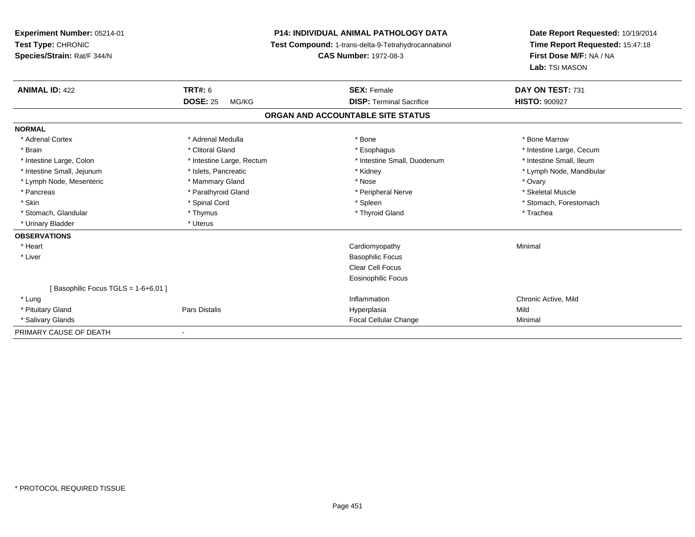| Experiment Number: 05214-01        | <b>P14: INDIVIDUAL ANIMAL PATHOLOGY DATA</b> |                                                     | Date Report Requested: 10/19/2014 |  |
|------------------------------------|----------------------------------------------|-----------------------------------------------------|-----------------------------------|--|
| Test Type: CHRONIC                 |                                              | Test Compound: 1-trans-delta-9-Tetrahydrocannabinol | Time Report Requested: 15:47:18   |  |
| Species/Strain: Rat/F 344/N        |                                              | <b>CAS Number: 1972-08-3</b>                        | First Dose M/F: NA / NA           |  |
|                                    |                                              |                                                     | Lab: TSI MASON                    |  |
| <b>ANIMAL ID: 422</b>              | <b>TRT#: 6</b>                               | <b>SEX: Female</b>                                  | DAY ON TEST: 731                  |  |
|                                    | <b>DOSE: 25</b><br>MG/KG                     | <b>DISP: Terminal Sacrifice</b>                     | <b>HISTO: 900927</b>              |  |
|                                    |                                              | ORGAN AND ACCOUNTABLE SITE STATUS                   |                                   |  |
| <b>NORMAL</b>                      |                                              |                                                     |                                   |  |
| * Adrenal Cortex                   | * Adrenal Medulla                            | * Bone                                              | * Bone Marrow                     |  |
| * Brain                            | * Clitoral Gland                             | * Esophagus                                         | * Intestine Large, Cecum          |  |
| * Intestine Large, Colon           | * Intestine Large, Rectum                    | * Intestine Small, Duodenum                         | * Intestine Small, Ileum          |  |
| * Intestine Small, Jejunum         | * Islets, Pancreatic                         | * Kidney                                            | * Lymph Node, Mandibular          |  |
| * Lymph Node, Mesenteric           | * Mammary Gland                              | * Nose                                              | * Ovary                           |  |
| * Pancreas                         | * Parathyroid Gland                          | * Peripheral Nerve                                  | * Skeletal Muscle                 |  |
| * Skin                             | * Spinal Cord                                | * Spleen                                            | * Stomach, Forestomach            |  |
| * Stomach, Glandular               | * Thymus                                     | * Thyroid Gland                                     | * Trachea                         |  |
| * Urinary Bladder                  | * Uterus                                     |                                                     |                                   |  |
| <b>OBSERVATIONS</b>                |                                              |                                                     |                                   |  |
| * Heart                            |                                              | Cardiomyopathy                                      | Minimal                           |  |
| * Liver                            |                                              | <b>Basophilic Focus</b>                             |                                   |  |
|                                    |                                              | <b>Clear Cell Focus</b>                             |                                   |  |
|                                    |                                              | <b>Eosinophilic Focus</b>                           |                                   |  |
| [Basophilic Focus TGLS = 1-6+6.01] |                                              |                                                     |                                   |  |
| * Lung                             |                                              | Inflammation                                        | Chronic Active, Mild              |  |
| * Pituitary Gland                  | Pars Distalis                                | Hyperplasia                                         | Mild                              |  |
| * Salivary Glands                  |                                              | Focal Cellular Change                               | Minimal                           |  |
| PRIMARY CAUSE OF DEATH             |                                              |                                                     |                                   |  |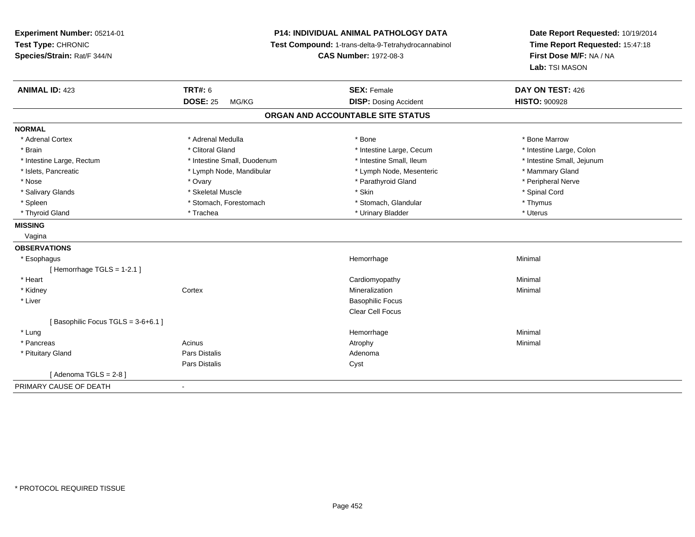**Experiment Number:** 05214-01**Test Type:** CHRONIC **Species/Strain:** Rat/F 344/N**P14: INDIVIDUAL ANIMAL PATHOLOGY DATA Test Compound:** 1-trans-delta-9-Tetrahydrocannabinol **CAS Number:** 1972-08-3**Date Report Requested:** 10/19/2014**Time Report Requested:** 15:47:18**First Dose M/F:** NA / NA**Lab:** TSI MASON**ANIMAL ID:** 423**TRT#:** 6 **SEX:** Female **SEX: Female DAY ON TEST:** 426 **DOSE:** 25 MG/KG**DISP:** Dosing Accident **HISTO:**  $900928$ **ORGAN AND ACCOUNTABLE SITE STATUSNORMAL**\* Adrenal Cortex \* Adrenal Medulla \* Adrenal Medulla \* Bone \* Bone \* Bone \* Bone \* Bone Marrow \* Intestine Large, Colon \* Brain \* Clitoral Gland \* Clitoral Gland \* 10 minutestine Large, Cecum \* Intestine Large, Cecum \* Intestine Large, Rectum \* Thestine Small, Duodenum \* Number of the small, Ileum \* Intestine Small, Jejunum \* Intestine Small, Jejunum \* Islets, Pancreatic \* The manner of the Lymph Node, Mandibular \* Lymph Node, Mesenteric \* Mammary Gland \* Peripheral Nerve \* Nose \* Ovary \* Parathyroid Gland \* Peripheral Nerve \* \* Peripheral Nerve \* Salivary Glands \* \* Steeden \* \* Skeletal Muscle \* \* Skin \* \* Skin \* \* Steeden \* Spinal Cord \* Spinal Cord \* Spinal Cord \* Spinal Cord \* Spinal Cord \* Spinal Cord \* Spinal Cord \* Spinal Cord \* Spinal Cord \* Spinal Cord \* \* Spleen \* Stomach, Forestomach \* Stomach \* Stomach, Glandular \* Stomach, Glandular \* Thymus \* Uterus \* Thyroid Gland \* \* Trachea \* \* Trachea \* Trachea \* \* Urinary Bladder \* \* Urinary Bladder \* \* Uterus \* Uterus **MISSING** Vagina**OBSERVATIONS** \* Esophaguss and the control of the control of the control of the control of the control of the control of the control of the control of the control of the control of the control of the control of the control of the control of the co e Minimal [ Hemorrhage TGLS = 1-2.1 ] \* Heart Cardiomyopathy Minimal \* Kidneyy the context of the context of the context of the context of the context of the context of the context of the context of the context of the context of the context of the context of the context of the context of the contex n Minimal \* Liver Basophilic Focus Clear Cell Focus[ Basophilic Focus TGLS = 3-6+6.1 ] \* Lungg and the state of the state of the state of the state of the Minimal Section 1, and the state of the state of the state of the state of the state of the state of the state of the state of the state of the state of the sta \* Pancreass the control of the control of the control of the control of the control of the control of the control of the control of the control of the control of the control of the control of the control of the control of the contro \* Pituitary Glandd and the set of Pars Distalis and the Second Adenomal Adenomal Second Second Pars Distallis Pars Distaliss Cyst  $[$  Adenoma TGLS = 2-8  $]$ PRIMARY CAUSE OF DEATH-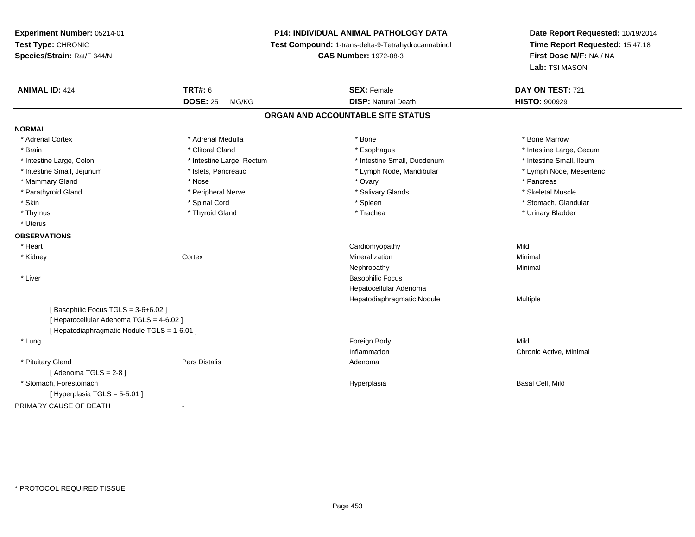**Experiment Number:** 05214-01**Test Type:** CHRONIC**Species/Strain:** Rat/F 344/N

## **P14: INDIVIDUAL ANIMAL PATHOLOGY DATA**

**Test Compound:** 1-trans-delta-9-Tetrahydrocannabinol

**CAS Number:** 1972-08-3

**Date Report Requested:** 10/19/2014**Time Report Requested:** 15:47:18**First Dose M/F:** NA / NA**Lab:** TSI MASON

| <b>ANIMAL ID: 424</b>                        | <b>TRT#: 6</b>            | <b>SEX: Female</b>                | DAY ON TEST: 721         |
|----------------------------------------------|---------------------------|-----------------------------------|--------------------------|
|                                              | <b>DOSE: 25</b><br>MG/KG  | <b>DISP: Natural Death</b>        | <b>HISTO: 900929</b>     |
|                                              |                           | ORGAN AND ACCOUNTABLE SITE STATUS |                          |
| <b>NORMAL</b>                                |                           |                                   |                          |
| * Adrenal Cortex                             | * Adrenal Medulla         | * Bone                            | * Bone Marrow            |
| * Brain                                      | * Clitoral Gland          | * Esophagus                       | * Intestine Large, Cecum |
| * Intestine Large, Colon                     | * Intestine Large, Rectum | * Intestine Small, Duodenum       | * Intestine Small, Ileum |
| * Intestine Small, Jejunum                   | * Islets, Pancreatic      | * Lymph Node, Mandibular          | * Lymph Node, Mesenteric |
| * Mammary Gland                              | * Nose                    | * Ovary                           | * Pancreas               |
| * Parathyroid Gland                          | * Peripheral Nerve        | * Salivary Glands                 | * Skeletal Muscle        |
| * Skin                                       | * Spinal Cord             | * Spleen                          | * Stomach, Glandular     |
| * Thymus                                     | * Thyroid Gland           | * Trachea                         | * Urinary Bladder        |
| * Uterus                                     |                           |                                   |                          |
| <b>OBSERVATIONS</b>                          |                           |                                   |                          |
| * Heart                                      |                           | Cardiomyopathy                    | Mild                     |
| * Kidney                                     | Cortex                    | Mineralization                    | Minimal                  |
|                                              |                           | Nephropathy                       | Minimal                  |
| * Liver                                      |                           | <b>Basophilic Focus</b>           |                          |
|                                              |                           | Hepatocellular Adenoma            |                          |
|                                              |                           | Hepatodiaphragmatic Nodule        | Multiple                 |
| [Basophilic Focus TGLS = 3-6+6.02]           |                           |                                   |                          |
| [ Hepatocellular Adenoma TGLS = 4-6.02 ]     |                           |                                   |                          |
| [ Hepatodiaphragmatic Nodule TGLS = 1-6.01 ] |                           |                                   |                          |
| * Lung                                       |                           | Foreign Body                      | Mild                     |
|                                              |                           | Inflammation                      | Chronic Active, Minimal  |
| * Pituitary Gland                            | <b>Pars Distalis</b>      | Adenoma                           |                          |
| [Adenoma TGLS = $2-8$ ]                      |                           |                                   |                          |
| * Stomach, Forestomach                       |                           | Hyperplasia                       | Basal Cell, Mild         |
| [Hyperplasia TGLS = 5-5.01]                  |                           |                                   |                          |
| PRIMARY CAUSE OF DEATH                       |                           |                                   |                          |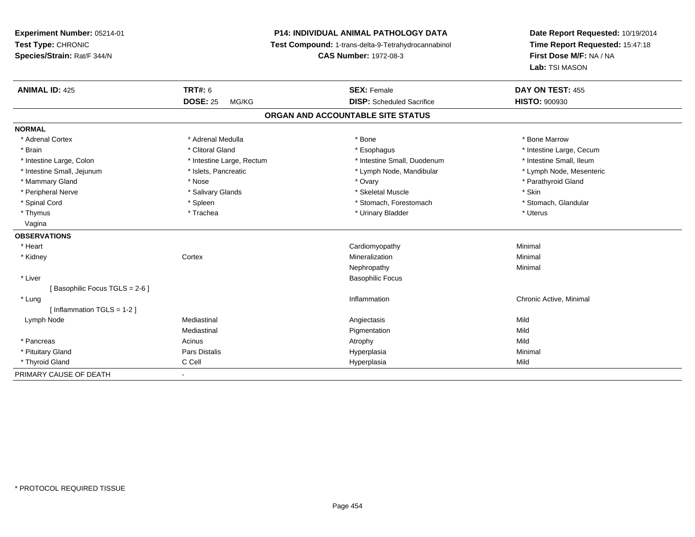**Experiment Number:** 05214-01**Test Type:** CHRONIC **Species/Strain:** Rat/F 344/N**P14: INDIVIDUAL ANIMAL PATHOLOGY DATA Test Compound:** 1-trans-delta-9-Tetrahydrocannabinol **ANIMAL ID:** 425**TRT#:** 6 **SEX:** Female **SEX: Female DAY ON TEST:** 455 **DOSE:** 25 MG/KG

-

**DISP:** Scheduled Sacrifice **HISTO:** 900930

**Date Report Requested:** 10/19/2014**Time Report Requested:** 15:47:18

**First Dose M/F:** NA / NA

**Lab:** TSI MASON

Minimal

**CAS Number:** 1972-08-3

| ORGAN AND ACCOUNTABLE SITE STATUS |                           |                             |                          |
|-----------------------------------|---------------------------|-----------------------------|--------------------------|
| <b>NORMAL</b>                     |                           |                             |                          |
| * Adrenal Cortex                  | * Adrenal Medulla         | * Bone                      | * Bone Marrow            |
| * Brain                           | * Clitoral Gland          | * Esophagus                 | * Intestine Large, Cecum |
| * Intestine Large, Colon          | * Intestine Large, Rectum | * Intestine Small, Duodenum | * Intestine Small, Ileum |
| * Intestine Small, Jejunum        | * Islets, Pancreatic      | * Lymph Node, Mandibular    | * Lymph Node, Mesenteric |
| * Mammary Gland                   | * Nose                    | * Ovary                     | * Parathyroid Gland      |
| * Peripheral Nerve                | * Salivary Glands         | * Skeletal Muscle           | * Skin                   |
| * Spinal Cord                     | * Spleen                  | * Stomach, Forestomach      | * Stomach, Glandular     |
| * Thymus                          | * Trachea                 | * Urinary Bladder           | * Uterus                 |
| Vagina                            |                           |                             |                          |
| <b>OBSERVATIONS</b>               |                           |                             |                          |
| * Heart                           |                           | Cardiomyopathy              | Minimal                  |
| * Kidney                          | Cortex                    | Mineralization              | Minimal                  |
|                                   |                           | Nephropathy                 | Minimal                  |
| * Liver                           |                           | <b>Basophilic Focus</b>     |                          |
| [Basophilic Focus TGLS = 2-6]     |                           |                             |                          |
| * Lung                            |                           | Inflammation                | Chronic Active, Minimal  |
| [Inflammation TGLS = $1-2$ ]      |                           |                             |                          |
| Lymph Node                        | Mediastinal               | Angiectasis                 | Mild                     |
|                                   | Mediastinal               | Pigmentation                | Mild                     |
| * Pancreas                        | Acinus                    | Atrophy                     | Mild                     |

Pars Distalis Hyperplasia Minimal

C Cell Hyperplasia Mild

\* Pituitary Gland

\* Thyroid Gland

PRIMARY CAUSE OF DEATH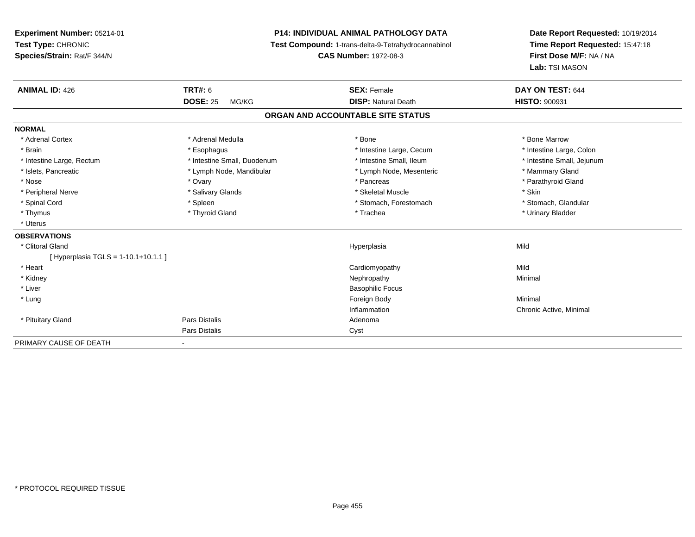**Experiment Number:** 05214-01**Test Type:** CHRONIC**Species/Strain:** Rat/F 344/N

## **P14: INDIVIDUAL ANIMAL PATHOLOGY DATA**

**Test Compound:** 1-trans-delta-9-Tetrahydrocannabinol

**CAS Number:** 1972-08-3

**Date Report Requested:** 10/19/2014**Time Report Requested:** 15:47:18**First Dose M/F:** NA / NA**Lab:** TSI MASON

| <b>ANIMAL ID: 426</b>                 | TRT#: 6<br><b>DOSE: 25</b><br>MG/KG | <b>SEX: Female</b><br><b>DISP: Natural Death</b> | DAY ON TEST: 644<br><b>HISTO: 900931</b> |  |  |  |
|---------------------------------------|-------------------------------------|--------------------------------------------------|------------------------------------------|--|--|--|
| ORGAN AND ACCOUNTABLE SITE STATUS     |                                     |                                                  |                                          |  |  |  |
| <b>NORMAL</b>                         |                                     |                                                  |                                          |  |  |  |
| * Adrenal Cortex                      | * Adrenal Medulla                   | * Bone                                           | * Bone Marrow                            |  |  |  |
| * Brain                               | * Esophagus                         | * Intestine Large, Cecum                         | * Intestine Large, Colon                 |  |  |  |
| * Intestine Large, Rectum             | * Intestine Small, Duodenum         | * Intestine Small, Ileum                         | * Intestine Small, Jejunum               |  |  |  |
| * Islets, Pancreatic                  | * Lymph Node, Mandibular            | * Lymph Node, Mesenteric                         | * Mammary Gland                          |  |  |  |
| * Nose                                | * Ovary                             | * Pancreas                                       | * Parathyroid Gland                      |  |  |  |
| * Peripheral Nerve                    | * Salivary Glands                   | * Skeletal Muscle                                | * Skin                                   |  |  |  |
| * Spinal Cord                         | * Spleen                            | * Stomach, Forestomach                           | * Stomach, Glandular                     |  |  |  |
| * Thymus                              | * Thyroid Gland                     | * Trachea                                        | * Urinary Bladder                        |  |  |  |
| * Uterus                              |                                     |                                                  |                                          |  |  |  |
| <b>OBSERVATIONS</b>                   |                                     |                                                  |                                          |  |  |  |
| * Clitoral Gland                      |                                     | Hyperplasia                                      | Mild                                     |  |  |  |
| [Hyperplasia TGLS = $1-10.1+10.1.1$ ] |                                     |                                                  |                                          |  |  |  |
| * Heart                               |                                     | Cardiomyopathy                                   | Mild                                     |  |  |  |
| * Kidney                              |                                     | Nephropathy                                      | Minimal                                  |  |  |  |
| * Liver                               |                                     | <b>Basophilic Focus</b>                          |                                          |  |  |  |
| * Lung                                |                                     | Foreign Body                                     | Minimal                                  |  |  |  |
|                                       |                                     | Inflammation                                     | Chronic Active, Minimal                  |  |  |  |
| * Pituitary Gland                     | Pars Distalis                       | Adenoma                                          |                                          |  |  |  |
|                                       | Pars Distalis                       | Cyst                                             |                                          |  |  |  |
| PRIMARY CAUSE OF DEATH                | $\blacksquare$                      |                                                  |                                          |  |  |  |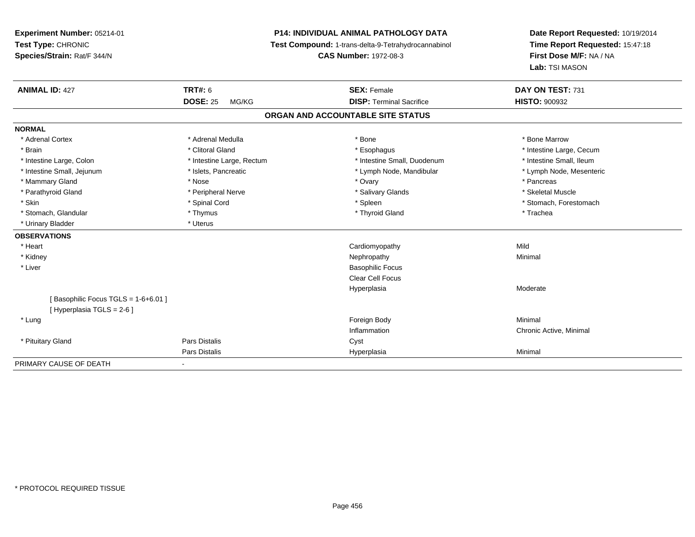**Experiment Number:** 05214-01**Test Type:** CHRONIC **Species/Strain:** Rat/F 344/N**P14: INDIVIDUAL ANIMAL PATHOLOGY DATA Test Compound:** 1-trans-delta-9-Tetrahydrocannabinol **CAS Number:** 1972-08-3**Date Report Requested:** 10/19/2014**Time Report Requested:** 15:47:18**First Dose M/F:** NA / NA**Lab:** TSI MASON**ANIMAL ID:** 427**TRT#:** 6 **SEX:** Female **SEX: Female DAY ON TEST:** 731 **DOSE:** 25 MG/KG **DISP:** Terminal Sacrifice **HISTO:** <sup>900932</sup> **ORGAN AND ACCOUNTABLE SITE STATUSNORMAL**\* Adrenal Cortex \* Adrenal Medulla \* Adrenal Medulla \* Bone \* Bone \* Bone \* Bone \* Bone Marrow \* Brain \* Alternation of the state of the state of the state of the state of the state of the state of the state of the state of the state of the state of the state of the state of the state of the state of the state of th \* Intestine Small, Ileum \* Intestine Large, Colon \* Intestine Large, Rectum \* Intestine Small, Duodenum \* Intestine Small, Duodenum \* Lymph Node, Mesenteric \* Intestine Small, Jejunum \* Mandibular \* Islets, Pancreatic \* Mandibular \* Lymph Node, Mandibular \* Mammary Gland \* \* Andrew \* Nose \* \* Nose \* \* Ovary \* Ovary \* Ovary \* \* Ovary \* \* Pancreas \* \* Pancreas \* \* Pancreas \* \* Pancreas \* \* Pancreas \* \* Pancreas \* \* Pancreas \* \* Pancreas \* \* Pancreas \* \* Pancreas \* \* Pancreas \* Skeletal Muscle \* Parathyroid Gland \* \* \* And \* \* Peripheral Nerve \* \* \* Salivary Glands \* \* Salivary Glands \* \* Skeletal Muscle \* \* Skeletal Muscle \* \* Skeletal Muscle \* \* Skeletal Muscle \* \* Skeletal Muscle \* \* Skeletal Muscle \* \* Skele \* Skin \* Spinal Cord \* Spinal Cord \* Spinal Cord \* Spinal \* Spinal \* Stomach, Forestomach \* Stomach, Forestomach \* Stomach, Glandular \* Thymus \* Thymus \* Thymus \* Thyroid Gland \* Thyroid Gland \* The \* Trachea \* Urinary Bladder \* Uterus **OBSERVATIONS** \* Heart Cardiomyopathyy Mild Minimal \* Kidneyy the control of the control of the control of the control of the control of the control of the control of the control of the control of the control of the control of the control of the control of the control of the contro \* Liver Basophilic Focus Clear Cell FocusHyperplasiaa **Moderate** [ Basophilic Focus TGLS = 1-6+6.01 ][ Hyperplasia TGLS = 2-6 ] \* Lungg and the state of the state of the state of the state of the state of the state of the state of the state of the state of the state of the state of the state of the state of the state of the state of the state of the stat Inflammation Chronic Active, Minimal \* Pituitary Glandd Cyst Constants Constants Constants Constants Constants Constants Constants Constants Constants Constants Const Pars Distalis Hyperplasiaa Minimal PRIMARY CAUSE OF DEATH-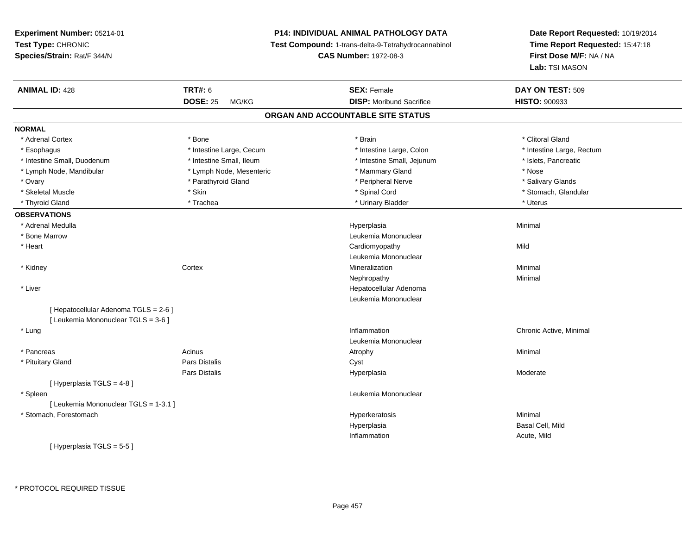**Experiment Number:** 05214-01**Test Type:** CHRONIC **Species/Strain:** Rat/F 344/N**P14: INDIVIDUAL ANIMAL PATHOLOGY DATA Test Compound:** 1-trans-delta-9-Tetrahydrocannabinol **CAS Number:** 1972-08-3**Date Report Requested:** 10/19/2014**Time Report Requested:** 15:47:18**First Dose M/F:** NA / NA**Lab:** TSI MASON**ANIMAL ID:** 428**TRT#:** 6 **SEX:** Female **SEX: Female DAY ON TEST:** 509 **DOSE:** 25 MG/KG **DISP:** Moribund Sacrifice **HISTO:** <sup>900933</sup> **ORGAN AND ACCOUNTABLE SITE STATUSNORMAL**\* Adrenal Cortex \* Adrenal Cortex \* \* Attenual Cortex \* Adrenal Cortex \* Clitoral Gland \* Bone \* \* Bone \* \* Bone \* \* Clitoral Gland \* Clitoral Gland \* \* Bone \* \* Adrenal Cortex \* \* Clitoral Gland \* \* Bone \* \* \* \* \* \* \* \* \* \* \* \* \* \* \* \* \* \* Intestine Large, Rectum \* Esophagus \* Intestine Large, Cecum \* Intestine Large, Cecum \* Intestine Large, Colon \* Intestine Small, Duodenum \* Intestine Small, Ileum \* Intestine Small, Intestine Small, Jejunum \* Islets, Pancreatic \* Lymph Node, Mandibular \* The same \* Lymph Node, Mesenteric \* Mammary Gland \* Mammary Gland \* Nose \* Salivary Glands \* Ovary \* And the section of the section of the section of the section of the section of the section of the section of the section of the section of the section of the section of the section of the section of the section o \* Skeletal Muscle \* The state of the state of the state of the state of the state of the state of the state of the state of the state of the state of the state of the state of the state of the state of the state of the sta \* Thyroid Gland \* \* Trachea \* \* Trachea \* Trachea \* \* Urinary Bladder \* \* Urinary Bladder \* \* Uterus \* Uterus **OBSERVATIONS** \* Adrenal Medullaa and the control of the control of the control of the Hyperplasia and the control of the Minimal of the control of the control of the control of the control of the control of the control of the control of the control of t \* Bone Marrow Leukemia Mononuclear \* Heart Cardiomyopathyy Mild Leukemia Mononuclear \* Kidneyy which is a context of the Cortext of the Cortext of the Cortext of the Mineralization n Minimal Nephropathyy the contract of the Minimal Minimal Section 1996 and the contract of the Minimal Section 1997 and the contract of the contract of the contract of the contract of the contract of the contract of the contract of the contra \* Liver Hepatocellular Adenoma Leukemia Mononuclear[ Hepatocellular Adenoma TGLS = 2-6 ][ Leukemia Mononuclear TGLS = 3-6 ] \* Lungg is a controller to the controller of the controller of the chronic Active, Minimal of the chronic Active, Minimal of the chronic Active, Minimal of the chronic Active, Minimal of the chronic Active, Minimal of the chroni Leukemia Mononuclear \* Pancreass the control of the control of the control of the control of the control of the control of the control of the control of the control of the control of the control of the control of the control of the control of the contro \* Pituitary Glandd Cyst Constants Constants Constants Constants Constants Constants Constants Constants Constants Constants Const Pars Distalis Hyperplasia Moderate [ Hyperplasia TGLS = 4-8 ] \* Spleen Leukemia Mononuclear [ Leukemia Mononuclear TGLS = 1-3.1 ] \* Stomach, Forestomachh ann an t-ainmeile ann an t-ainmeile ann an t-ainmeile an t-ainmeile an t-ainmeile an t-ainmeile an t-ainmeil Hyperplasia Basal Cell, Mild InflammationAcute, Mild

[ Hyperplasia TGLS = 5-5 ]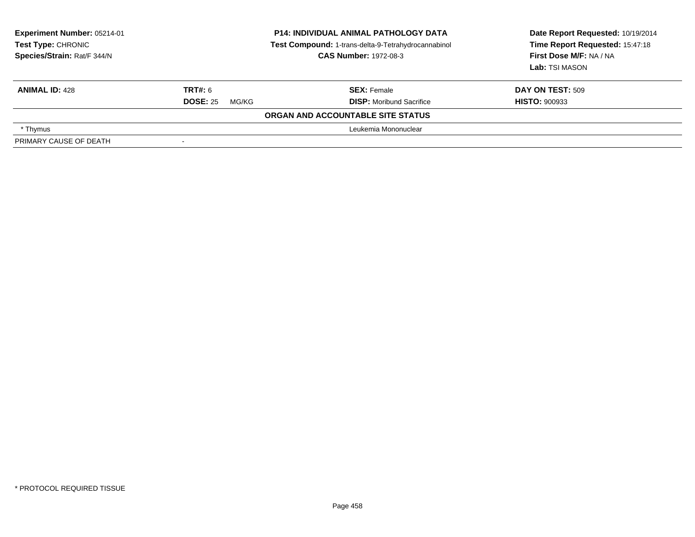| <b>Experiment Number: 05214-01</b><br>Test Type: CHRONIC<br>Species/Strain: Rat/F 344/N | <b>P14: INDIVIDUAL ANIMAL PATHOLOGY DATA</b><br>Test Compound: 1-trans-delta-9-Tetrahydrocannabinol<br><b>CAS Number: 1972-08-3</b> |                                   | Date Report Requested: 10/19/2014<br>Time Report Requested: 15:47:18<br>First Dose M/F: NA / NA<br>Lab: TSI MASON |  |
|-----------------------------------------------------------------------------------------|-------------------------------------------------------------------------------------------------------------------------------------|-----------------------------------|-------------------------------------------------------------------------------------------------------------------|--|
| <b>ANIMAL ID: 428</b>                                                                   | TRT#: 6                                                                                                                             | <b>SEX: Female</b>                | DAY ON TEST: 509                                                                                                  |  |
|                                                                                         | <b>DOSE: 25</b><br>MG/KG                                                                                                            | <b>DISP:</b> Moribund Sacrifice   | <b>HISTO: 900933</b>                                                                                              |  |
|                                                                                         |                                                                                                                                     | ORGAN AND ACCOUNTABLE SITE STATUS |                                                                                                                   |  |
| * Thymus                                                                                | Leukemia Mononuclear                                                                                                                |                                   |                                                                                                                   |  |
| PRIMARY CAUSE OF DEATH                                                                  |                                                                                                                                     |                                   |                                                                                                                   |  |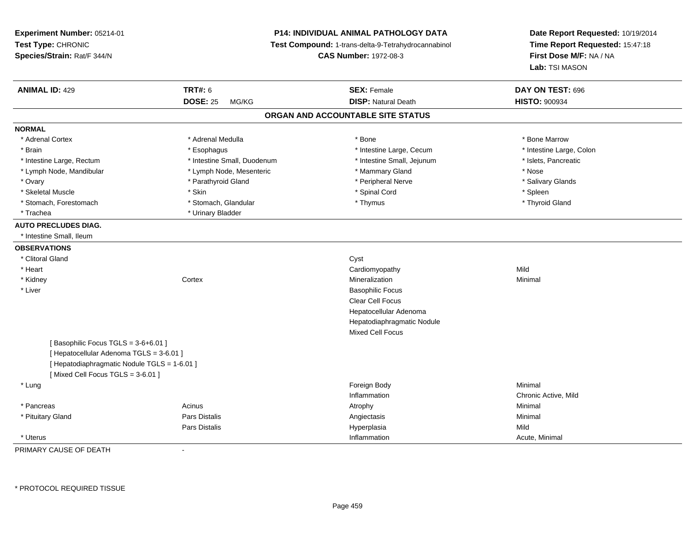**Experiment Number:** 05214-01**Test Type:** CHRONIC **Species/Strain:** Rat/F 344/N**P14: INDIVIDUAL ANIMAL PATHOLOGY DATA Test Compound:** 1-trans-delta-9-Tetrahydrocannabinol **CAS Number:** 1972-08-3**Date Report Requested:** 10/19/2014**Time Report Requested:** 15:47:18**First Dose M/F:** NA / NA**Lab:** TSI MASON**ANIMAL ID:** 429**TRT#:** 6 **SEX:** Female **SEX: Female DAY ON TEST:** 696 **DOSE:** 25 MG/KG**DISP:** Natural Death **HISTO:**  $900934$ **ORGAN AND ACCOUNTABLE SITE STATUSNORMAL**\* Adrenal Cortex \* Adrenal Medulla \* Adrenal Medulla \* Bone \* Bone \* Bone \* Bone \* Bone Marrow \* Intestine Large, Colon \* Brain \* Esophagus \* Esophagus \* Esophagus \* 11testine Large, Cecum \* \* Intestine Large, Rectum \* Intestine Small, Duodenum \* Intestine Small, Jejunum \* Islets, Pancreatic \* Lymph Node, Mandibular \* Lymph Node, Mesenteric \* Mammary Gland \* Nose\* Salivary Glands \* Ovary \* And the section of the section of the section of the section of the section of the section of the section of the section of the section of the section of the section of the section of the section of the section o \* Skeletal Muscle \* Skin \* Spinal Cord \* Spleen \* Thyroid Gland \* Stomach, Forestomach \* Thymus \* Stomach, Glandular \* Thymus \* Thymus \* Thymus \* Thymus \* Thymus \* Thymus \* Thymus \* Thymus \* Thymus \* Thymus \* Thymus \* Thymus \* Thymus \* Thymus \* Thymus \* Thymus \* Thymus \* Thymus \* Thymu \* Trachea \* Urinary Bladder**AUTO PRECLUDES DIAG.** \* Intestine Small, Ileum**OBSERVATIONS** \* Clitoral Glandd and the contract of the contract of the contract of the contract of the contract of the contract of the contract of the contract of the contract of the contract of the contract of the contract of the contract of the cont \* Heart Cardiomyopathyy Mild Minimal \* Kidneyy the context of the context of the context of the context of the context of the context of the context of the context of the context of the context of the context of the context of the context of the context of the contex n Minimal \* Liver Basophilic Focus Clear Cell Focus Hepatocellular Adenoma Hepatodiaphragmatic NoduleMixed Cell Focus $[$  Basophilic Focus TGLS = 3-6+6.01 ] [ Hepatocellular Adenoma TGLS = 3-6.01 ][ Hepatodiaphragmatic Nodule TGLS = 1-6.01 ][ Mixed Cell Focus TGLS = 3-6.01 ] \* Lungg and the state of the state of the state of the state of the state of the state of the state of the state of the state of the state of the state of the state of the state of the state of the state of the state of the stat Inflammation Chronic Active, Mild \* Pancreass the control of the control of the control of the control of the control of the control of the control of the control of the control of the control of the control of the control of the control of the control of the contro \* Pituitary Gland Pars Distalis Angiectasis Minimal Pars Distalis Hyperplasiaa Mild \* Uteruss and the contract of the contract of the contract of the contract of the contract of the contract of the contract of the contract of the contract of the contract of the contract of the contract of the contract of the cont Inflammation **Acute**, Minimal

PRIMARY CAUSE OF DEATH-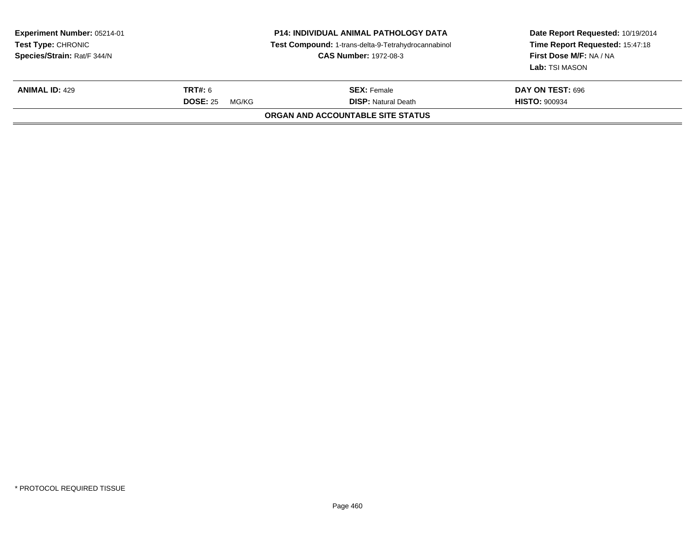| Experiment Number: 05214-01<br><b>Test Type: CHRONIC</b><br>Species/Strain: Rat/F 344/N |                                            | <b>P14: INDIVIDUAL ANIMAL PATHOLOGY DATA</b><br>Test Compound: 1-trans-delta-9-Tetrahydrocannabinol<br><b>CAS Number: 1972-08-3</b> | Date Report Requested: 10/19/2014<br>Time Report Requested: 15:47:18<br>First Dose M/F: NA / NA<br>Lab: TSI MASON |  |  |  |
|-----------------------------------------------------------------------------------------|--------------------------------------------|-------------------------------------------------------------------------------------------------------------------------------------|-------------------------------------------------------------------------------------------------------------------|--|--|--|
| <b>ANIMAL ID: 429</b>                                                                   | <b>TRT#: 6</b><br><b>DOSE: 25</b><br>MG/KG | <b>SEX:</b> Female<br><b>DISP:</b> Natural Death                                                                                    | DAY ON TEST: 696<br><b>HISTO: 900934</b>                                                                          |  |  |  |
| ORGAN AND ACCOUNTABLE SITE STATUS                                                       |                                            |                                                                                                                                     |                                                                                                                   |  |  |  |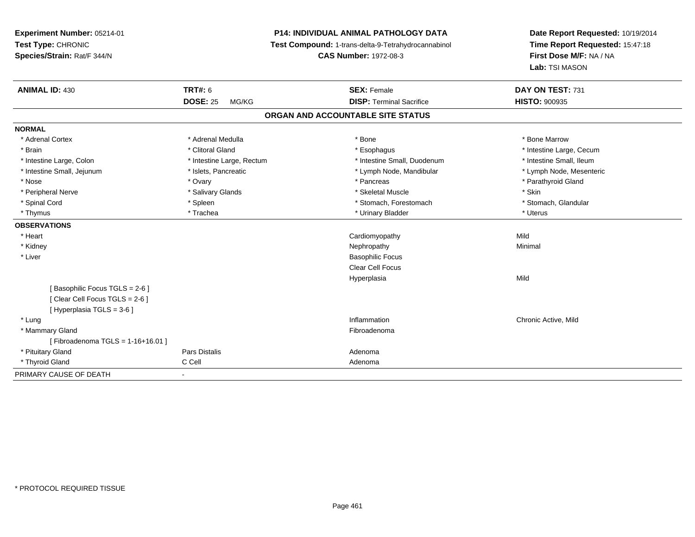**Experiment Number:** 05214-01**Test Type:** CHRONIC **Species/Strain:** Rat/F 344/N**P14: INDIVIDUAL ANIMAL PATHOLOGY DATA Test Compound:** 1-trans-delta-9-Tetrahydrocannabinol **CAS Number:** 1972-08-3**Date Report Requested:** 10/19/2014**Time Report Requested:** 15:47:18**First Dose M/F:** NA / NA**Lab:** TSI MASON**ANIMAL ID:** 430**C TRT#:** 6 **SEX:** Female **SEX: Female DAY ON TEST:** 731 **DOSE:** 25 MG/KG**DISP:** Terminal Sacrifice **HISTO:**  $900935$ **ORGAN AND ACCOUNTABLE SITE STATUSNORMAL**\* Adrenal Cortex \* Adrenal Medulla \* Adrenal Medulla \* Bone \* Bone \* Bone \* Bone \* Bone Marrow \* Brain \* Alternation of the state of the state of the state of the state of the state of the state of the state of the state of the state of the state of the state of the state of the state of the state of the state of th \* Intestine Small, Ileum \* Intestine Large, Colon \* Intestine Large, Rectum \* Intestine Small, Duodenum \* Intestine Small, Duodenum \* Lymph Node, Mesenteric \* Intestine Small, Jejunum \* Mandibular \* Islets, Pancreatic \* Mandibular \* Lymph Node, Mandibular \* Nose \* Ovary \* Pancreas \* Parathyroid Gland \* Peripheral Nerve \* Salivary Glands \* Skeletal Muscle \* Skin\* Stomach. Glandular \* Spinal Cord \* Spinal Cord \* Spinal Cord \* Stomach, Forestomach \* Stomach, Forestomach \* Stomach, Forestomach \* Thymus \* Trachea \* Urinary Bladder \* Uterus **OBSERVATIONS** \* Heart Cardiomyopathyy Mild Minimal \* Kidneyy the control of the control of the control of the control of the control of the control of the control of the control of the control of the control of the control of the control of the control of the control of the contro \* Liver Basophilic Focus Clear Cell FocusHyperplasiaa Mild [ Basophilic Focus TGLS = 2-6 ][ Clear Cell Focus TGLS = 2-6 ][ Hyperplasia TGLS = 3-6 ] \* Lungg is a controller to the controller of the controller of the controller of the controller of the chronic Active, Mild \* Mammary Glandd **Exercía de Santo Constituída e a constituída e a constituída e a constituída e a constituída e a constituída**<br>Exercípcio [ Fibroadenoma TGLS = 1-16+16.01 ] \* Pituitary Glandd and the contract of Pars Distalis and the contract of Adenoma and Adenoma and the Adenoma and the Adenoma and  $\lambda$  \* Thyroid Glandd C Cell C Cell Adenoma PRIMARY CAUSE OF DEATH-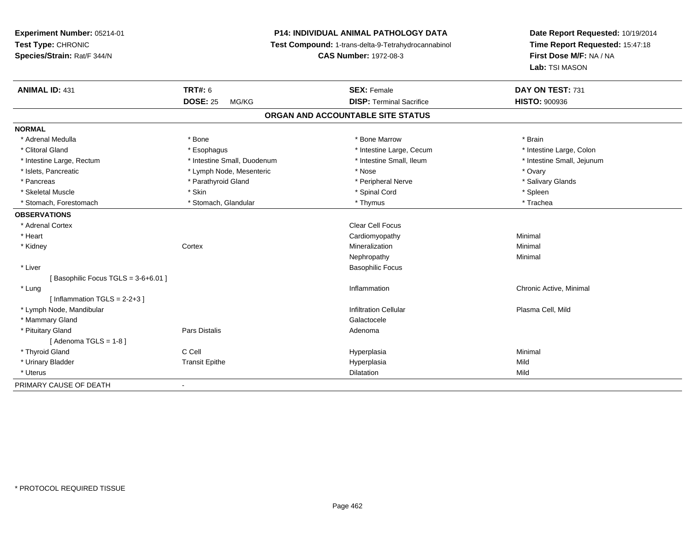**Experiment Number:** 05214-01**Test Type:** CHRONIC **Species/Strain:** Rat/F 344/N**P14: INDIVIDUAL ANIMAL PATHOLOGY DATA Test Compound:** 1-trans-delta-9-Tetrahydrocannabinol **CAS Number:** 1972-08-3**Date Report Requested:** 10/19/2014**Time Report Requested:** 15:47:18**First Dose M/F:** NA / NA**Lab:** TSI MASON**ANIMAL ID:** 431**TRT#:** 6 **SEX:** Female **SEX: Female DAY ON TEST:** 731 **DOSE:** 25 MG/KG **DISP:** Terminal Sacrifice **HISTO:** <sup>900936</sup> **ORGAN AND ACCOUNTABLE SITE STATUSNORMAL**\* Adrenal Medulla \* \* Annual Medulla \* Brain \* Bone \* \* Bone Marrow \* Bone Marrow \* \* Brain \* Brain \* Brain \* Brain \* Brain \* Brain \* Brain \* Brain \* Brain \* Brain \* Brain \* Brain \* Brain \* Brain \* Brain \* Brain \* Brain \* \* Intestine Large, Colon \* Clitoral Gland \* **Exophagus \* Exophagus \*** The strain that the Large, Cecum \* intestine Large, Cecum \* Intestine Large, Rectum \* Thestine Small, Duodenum \* Number of the small, Ileum \* Intestine Small, Jejunum \* Intestine Small, Jejunum \* Islets, Pancreatic \* The matches of the Lymph Node, Mesenteric \* Nose \* Nose \* Nose \* Ovary \* Ovary \* Salivary Glands \* Pancreas \* And the section of the section of the section of the section of the section of the section of the section of the section of the section of the section of the section of the section of the section of the sectio \* Skeletal Muscle \* Skin \* Spinal Cord \* Spleen \* Trachea \* Stomach, Forestomach \* Thymus \* Stomach, Glandular \* Thymus \* Thymus \* Thymus \* Thymus \* Thymus \* Thymus \* Thymus \* Thymus \* Thymus \* Thymus \* Thymus \* Thymus \* Thymus \* Thymus \* Thymus \* Thymus \* Thymus \* Thymus \* Thymu **OBSERVATIONS** \* Adrenal Cortex**x** Clear Cell Focus \* Heart Cardiomyopathy Minimal \* Kidneyy which is a context of the Cortext of the Cortext of the Cortext of the Mineralization n Minimal Nephropathyy the contract of the Minimal Minimal Section 1996 and the contract of the Minimal Section 1997 and the contract of the contract of the contract of the contract of the contract of the contract of the contract of the contra \* Liver Basophilic Focus[ Basophilic Focus TGLS = 3-6+6.01 ] \* Lungg is a controller to the controller of the controller of the chronic Active, Minimal of the chronic Active, Minimal of the chronic Active, Minimal of the chronic Active, Minimal of the chronic Active, Minimal of the chroni  $[$  Inflammation TGLS = 2-2+3  $]$  \* Lymph Node, Mandibular Infiltration Cellular Plasma Cell, Mild \* Mammary Glandd Galactocele in the control of the control of the control of the Calactocele of the Calactocele \* Pituitary Glandd and the contract of Pars Distalis and the contract of Adenoma and Adenoma and the Adenoma and the Adenoma and  $\lambda$  $[$  Adenoma TGLS = 1-8  $]$  \* Thyroid Gland C Cell Hyperplasia Minimal \* Urinary Bladder Transit Epithe Hyperplasia Mild \* Uteruss and the contract of the contract of the contract of the contract of the contract of the contract of the contract of the contract of the contract of the contract of the contract of the contract of the contract of the cont n Mild PRIMARY CAUSE OF DEATH-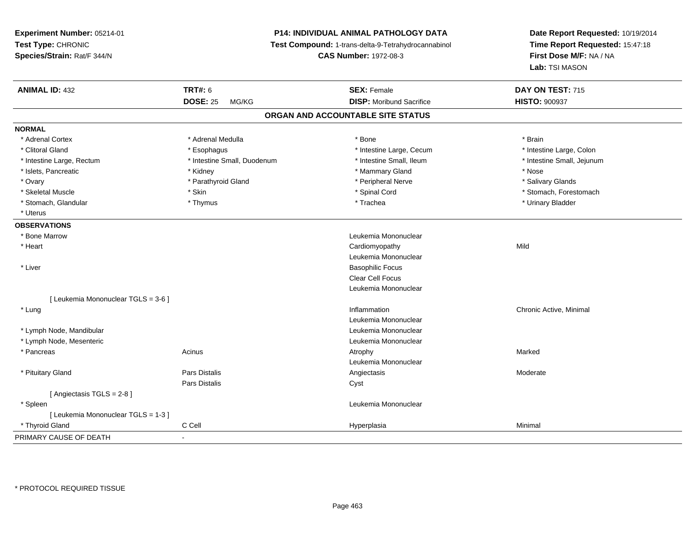**Experiment Number:** 05214-01**Test Type:** CHRONIC **Species/Strain:** Rat/F 344/N**P14: INDIVIDUAL ANIMAL PATHOLOGY DATA Test Compound:** 1-trans-delta-9-Tetrahydrocannabinol **CAS Number:** 1972-08-3**Date Report Requested:** 10/19/2014**Time Report Requested:** 15:47:18**First Dose M/F:** NA / NA**Lab:** TSI MASON**ANIMAL ID:** 432**TRT#:** 6 **SEX:** Female **SEX: Female DAY ON TEST:** 715 **DOSE:** 25 MG/KG**DISP:** Moribund Sacrifice **HISTO:**  $900937$ **ORGAN AND ACCOUNTABLE SITE STATUSNORMAL**\* Adrenal Cortex \* Adrenal Medulla \* Adrenal Medulla \* Bone \* Brain \* Brain \* Brain \* Brain \* Brain \* Brain \* Brain \* Brain \* Brain \* Brain \* Brain \* Brain \* Brain \* Brain \* Brain \* Brain \* Brain \* Brain \* Brain \* Brain \* Brain \* Brain \* B \* Intestine Large, Colon \* Clitoral Gland \* **Exophagus \* Exophagus \*** The strain that the Large, Cecum \* intestine Large, Cecum \* Intestine Large, Rectum \* Thestine Small, Duodenum \* Number of the small, Ileum \* Intestine Small, Jejunum \* Intestine Small, Jejunum \* Islets, Pancreatic \* Kidney \* Mammary Gland \* Nose\* Salivary Glands \* Ovary \* And the section of the section of the section of the section of the section of the section of the section of the section of the section of the section of the section of the section of the section of the section o \* Skeletal Muscle \* The state of the set of the set of the set of the set of the set of the set of the set of the set of the set of the set of the set of the set of the set of the set of the set of the set of the set of th \* Stomach, Glandular \* \* \* Thymus \* \* Thymus \* \* The \* \* Trachea \* \* Trachea \* \* Urinary Bladder \* \* Urinary Bladder \* \* Uterus**OBSERVATIONS** \* Bone Marrow Leukemia Mononuclear \* Heart Cardiomyopathyy Mild Leukemia Mononuclear \* Liver Basophilic Focus Clear Cell Focus Leukemia Mononuclear[ Leukemia Mononuclear TGLS = 3-6 ] \* Lungg is a controller to the controller of the controller of the chronic Active, Minimal of the chronic Active, Minimal of the chronic Active, Minimal of the chronic Active, Minimal of the chronic Active, Minimal of the chroni Leukemia Mononuclear \* Lymph Node, Mandibular Leukemia Mononuclear \* Lymph Node, Mesenteric Leukemia Mononuclear \* Pancreass the control of the control of the control of the control of the control of the control of the control of the control of the control of the control of the control of the control of the control of the control of the contro Leukemia Mononuclear \* Pituitary Gland Pars Distalis Angiectasis Moderate Pars Distaliss Cyst [ Angiectasis TGLS = 2-8 ] \* Spleen Leukemia Mononuclear [ Leukemia Mononuclear TGLS = 1-3 ] \* Thyroid Gland C Cell Hyperplasia Minimal PRIMARY CAUSE OF DEATH-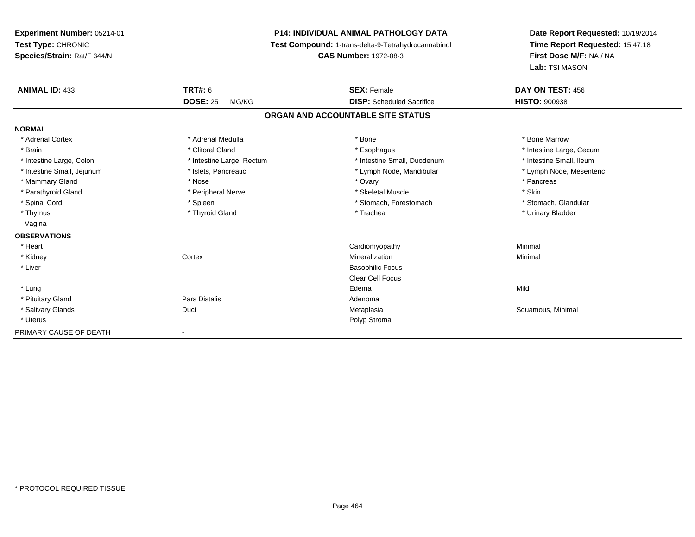**Experiment Number:** 05214-01**Test Type:** CHRONIC **Species/Strain:** Rat/F 344/N**P14: INDIVIDUAL ANIMAL PATHOLOGY DATA Test Compound:** 1-trans-delta-9-Tetrahydrocannabinol **CAS Number:** 1972-08-3**Date Report Requested:** 10/19/2014**Time Report Requested:** 15:47:18**First Dose M/F:** NA / NA**Lab:** TSI MASON**ANIMAL ID:** 433**TRT#:** 6 **SEX:** Female **SEX: Female DAY ON TEST:** 456 **DOSE:** 25 MG/KG **DISP:** Scheduled Sacrifice **HISTO:** <sup>900938</sup> **ORGAN AND ACCOUNTABLE SITE STATUSNORMAL**\* Adrenal Cortex \* Adrenal Medulla \* Adrenal Medulla \* Bone \* Bone \* Bone \* Bone \* Bone Marrow \* Brain \* Alternation of the state of the state of the state of the state of the state of the state of the state of the state of the state of the state of the state of the state of the state of the state of the state of th \* Intestine Small, Ileum \* Intestine Large, Colon \* Intestine Large, Rectum \* Intestine Small, Duodenum \* Intestine Small, Duodenum \* Lymph Node, Mesenteric \* Intestine Small, Jejunum \* Mandibular \* Islets, Pancreatic \* Mandibular \* Lymph Node, Mandibular \* Mammary Gland \* \* Andrew \* Nose \* \* Nose \* \* Ovary \* Ovary \* Ovary \* \* Ovary \* \* Pancreas \* \* Pancreas \* \* Pancreas \* \* Pancreas \* \* Pancreas \* \* Pancreas \* \* Pancreas \* \* Pancreas \* \* Pancreas \* \* Pancreas \* \* Pancreas \* Parathyroid Gland \* \* The most and \* Peripheral Nerve \* \* The most and \* Skeletal Muscle \* \* Skin \* Skin \* Skin \* Stomach, Glandular \* Spinal Cord \* Spinal Cord \* Spinal Cord \* Stomach, Forestomach \* Stomach, Forestomach \* Stomach, Forestomach \* Thymus \* Thyroid Gland \* Trachea \* Urinary Bladder \* Vagina **OBSERVATIONS** \* Heart Cardiomyopathy Minimal \* Kidneyy which is a context of the Cortext of the Cortext of the Cortext of the Mineralization n Minimal \* Liver Basophilic Focus Clear Cell Focus \* Lungg and the set of the set of the set of the set of the set of the set of the set of the set of the set of the set of the set of the set of the set of the set of the set of the set of the set of the set of the set of the set \* Pituitary Glandd and the contract of Pars Distalis and the contract of Adenoma and Adenoma and the Adenoma and the Adenoma and  $\lambda$  \* Salivary Glands Duct MetaplasiaMetaplasia **Mataplasia** Metaplasia Research Metaplasia Research Metaplasia Research Metaplasia Research Metaplasia \* Uteruss and the contract of the contract of the contract of the contract of the contract of the contract of the contract of the contract of the contract of the contract of the contract of the contract of the contract of the cont PRIMARY CAUSE OF DEATH-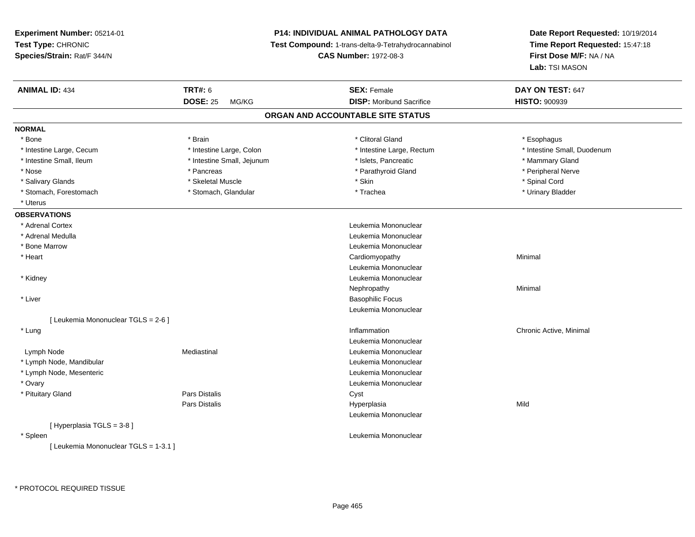**Experiment Number:** 05214-01**Test Type:** CHRONIC **Species/Strain:** Rat/F 344/N**P14: INDIVIDUAL ANIMAL PATHOLOGY DATA Test Compound:** 1-trans-delta-9-Tetrahydrocannabinol **CAS Number:** 1972-08-3**Date Report Requested:** 10/19/2014**Time Report Requested:** 15:47:18**First Dose M/F:** NA / NA**Lab:** TSI MASON**ANIMAL ID:** 434**TRT#:** 6 **SEX:** Female **SEX: Female DAY ON TEST:** 647 **DOSE:** 25 MG/KG**DISP:** Moribund Sacrifice **HISTO:**  $900939$ **ORGAN AND ACCOUNTABLE SITE STATUSNORMAL**\* Bone \* Bone \* \* Esophagus \* \* Brain \* \* Brain \* \* Clitoral Gland \* Clitoral Gland \* \* Esophagus \* Esophagus \* \* Esophagus \* Intestine Large, Cecum \* \* Intestine Large, Colon \* Mestine Large, Rectum \* Intestine Large, Rectum \* Intestine Small, Duodenum \* Intestine Small, Ileum \* \* Intestine Small, Jejunum \* Islets, Pancreatic \* Mammary Gland \* Mammary Gland \* Peripheral Nerve \* Nose \* \* Pancreas \* \* Pancreas \* \* Pancreas \* \* Parathyroid Gland \* \* Peripheral Nerve \* Peripheral Nerve \* \* Salivary Glands \* \* Steeden \* \* Skeletal Muscle \* \* Skin \* \* Skin \* \* Steeden \* Spinal Cord \* Spinal Cord \* Spinal Cord \* Spinal Cord \* Spinal Cord \* Spinal Cord \* Spinal Cord \* Spinal Cord \* Spinal Cord \* Spinal Cord \* \* Urinary Bladder \* Stomach, Forestomach \* Northern \* Stomach, Glandular \* Trachea \* Trachea \* Uterus**OBSERVATIONS** \* Adrenal Cortex Leukemia Mononuclear \* Adrenal Medulla Leukemia Mononuclear \* Bone Marrow Leukemia Mononuclear \* Heart Cardiomyopathy Minimal Leukemia Mononuclear \* Kidney Leukemia Mononuclear Nephropathyy the contract of the Minimal Minimal Section 1996 and the contract of the Minimal Section 1997 and the contract of the contract of the contract of the contract of the contract of the contract of the contract of the contra \* Liver Basophilic Focus Leukemia Mononuclear[ Leukemia Mononuclear TGLS = 2-6 ] \* Lungg is a controller to the controller of the controller of the chronic Active, Minimal of the chronic Active, Minimal of the chronic Active, Minimal of the chronic Active, Minimal of the chronic Active, Minimal of the chroni Leukemia Mononuclear Lymph NodeMediastinal **Mediastinal** Mononuclear \* Lymph Node, Mandibular Leukemia Mononuclear \* Lymph Node, Mesenteric Leukemia Mononuclear \* Ovary Leukemia Mononuclear \* Pituitary Glandd Cyst Constants Constants Constants Constants Constants Constants Constants Constants Constants Constants Const Pars Distalis Hyperplasiaa Mild Leukemia Mononuclear[ Hyperplasia TGLS = 3-8 ] \* Spleen Leukemia Mononuclear [ Leukemia Mononuclear TGLS = 1-3.1 ]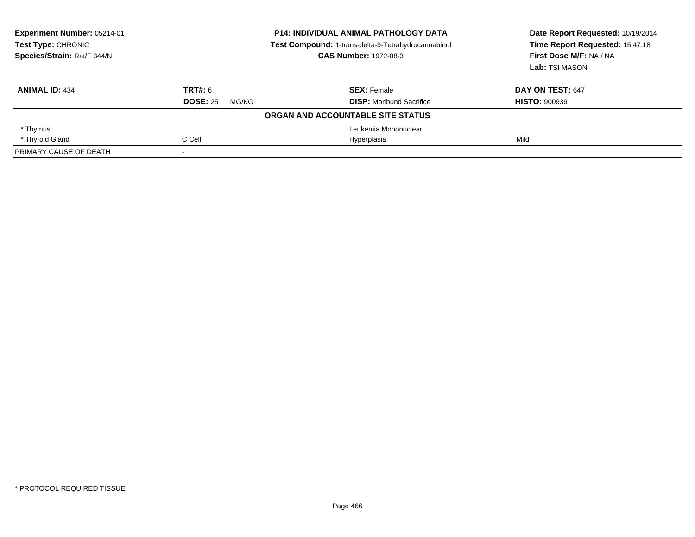| Experiment Number: 05214-01<br>Test Type: CHRONIC<br>Species/Strain: Rat/F 344/N | <b>P14: INDIVIDUAL ANIMAL PATHOLOGY DATA</b><br>Test Compound: 1-trans-delta-9-Tetrahydrocannabinol<br><b>CAS Number: 1972-08-3</b> |                                   | Date Report Requested: 10/19/2014<br>Time Report Requested: 15:47:18<br>First Dose M/F: NA / NA<br>Lab: TSI MASON |
|----------------------------------------------------------------------------------|-------------------------------------------------------------------------------------------------------------------------------------|-----------------------------------|-------------------------------------------------------------------------------------------------------------------|
| <b>ANIMAL ID: 434</b>                                                            | TRT#: 6                                                                                                                             | <b>SEX: Female</b>                | DAY ON TEST: 647                                                                                                  |
|                                                                                  | <b>DOSE: 25</b><br>MG/KG                                                                                                            | <b>DISP:</b> Moribund Sacrifice   | <b>HISTO: 900939</b>                                                                                              |
|                                                                                  |                                                                                                                                     | ORGAN AND ACCOUNTABLE SITE STATUS |                                                                                                                   |
| * Thymus                                                                         |                                                                                                                                     | Leukemia Mononuclear              |                                                                                                                   |
| * Thyroid Gland                                                                  | C Cell                                                                                                                              | Hyperplasia                       | Mild                                                                                                              |
| PRIMARY CAUSE OF DEATH                                                           |                                                                                                                                     |                                   |                                                                                                                   |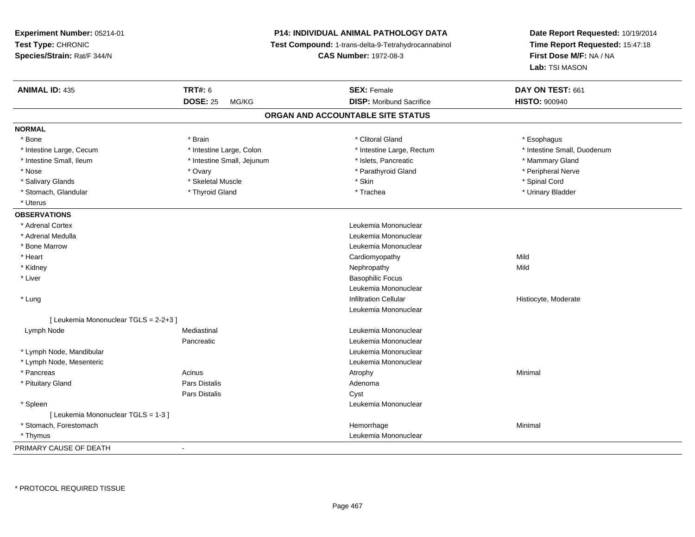**Experiment Number:** 05214-01**Test Type:** CHRONIC **Species/Strain:** Rat/F 344/N**P14: INDIVIDUAL ANIMAL PATHOLOGY DATA Test Compound:** 1-trans-delta-9-Tetrahydrocannabinol **CAS Number:** 1972-08-3**Date Report Requested:** 10/19/2014**Time Report Requested:** 15:47:18**First Dose M/F:** NA / NA**Lab:** TSI MASON**ANIMAL ID:** 435 **TRT#:** <sup>6</sup> **SEX:** Female **DAY ON TEST:** <sup>661</sup> **DOSE:** 25 MG/KG**DISP:** Moribund Sacrifice **HISTO:**  $900940$ **ORGAN AND ACCOUNTABLE SITE STATUSNORMAL**\* Bone \* Bone \* \* Esophagus \* \* Brain \* \* Brain \* \* Clitoral Gland \* Clitoral Gland \* \* Esophagus \* Esophagus \* \* Esophagus \* Intestine Large, Cecum \* \* Intestine Large, Colon \* Mestine Large, Rectum \* Intestine Large, Rectum \* Intestine Small, Duodenum \* Intestine Small, Ileum \* **All and The Accept and Accept Accept Accept Accept Accept Accept Accept Accept Accept** Mammary Gland \* Peripheral Nerve \* Nose \* Ovary \* Parathyroid Gland \* Peripheral Nerve \* \* Peripheral Nerve \* Salivary Glands \* \* Steeden \* \* Skeletal Muscle \* \* Skin \* \* Skin \* \* Steeden \* Spinal Cord \* Spinal Cord \* Spinal Cord \* Spinal Cord \* Spinal Cord \* Spinal Cord \* Spinal Cord \* Spinal Cord \* Spinal Cord \* Spinal Cord \* \* Urinary Bladder \* Stomach, Glandular \* Thyroid Gland \* Thyroid Gland \* Trachea \* Uterus**OBSERVATIONS** \* Adrenal Cortex Leukemia Mononuclear \* Adrenal Medulla Leukemia Mononuclear \* Bone Marrow Leukemia Mononuclear \* Heart Cardiomyopathyy Mild Mild \* Kidneyy the controller of the controller of the controller of the controller of the controller of the controller of the controller of the controller of the controller of the controller of the controller of the controller of the \* Liver Basophilic Focus Leukemia Mononuclear \* Lungg is a state of the set of the set of the set of the lift of the lift of the lift of the lift of the lift of the lift of the lift of the lift of the lift of the lift of the lift of the lift of the lift of the lift of the l Leukemia Mononuclear[ Leukemia Mononuclear TGLS = 2-2+3 ] Lymph NodeMediastinal **Mediastinal** Mononuclear **Leukemia Mononuclear** Pancreatic Leukemia Mononuclear \* Lymph Node, Mandibular Leukemia Mononuclear \* Lymph Node, Mesenteric Leukemia Mononuclear \* Pancreass the control of the control of the control of the control of the control of the control of the control of the control of the control of the control of the control of the control of the control of the control of the contro \* Pituitary Glandd and the contract of Pars Distalis and the contract of Adenoma and Adenoma and the Adenoma and the Adenoma and  $\lambda$ Pars Distaliss Cyst \* Spleen Leukemia Mononuclear [ Leukemia Mononuclear TGLS = 1-3 ] \* Stomach, Forestomachh ann an t-ainmeile ann an t-ainmeile ann an t-ainmeile ann an t-ainmeile an t-ainmeile an an t-ainmeile an amh \* Thymus Leukemia Mononuclear PRIMARY CAUSE OF DEATH-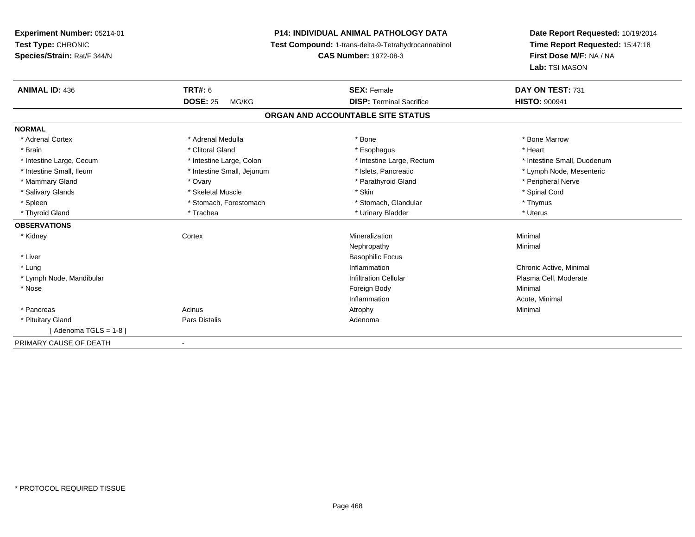**Experiment Number:** 05214-01**Test Type:** CHRONIC **Species/Strain:** Rat/F 344/N**P14: INDIVIDUAL ANIMAL PATHOLOGY DATA Test Compound:** 1-trans-delta-9-Tetrahydrocannabinol **CAS Number:** 1972-08-3**Date Report Requested:** 10/19/2014**Time Report Requested:** 15:47:18**First Dose M/F:** NA / NA**Lab:** TSI MASON**ANIMAL ID:** 436**6 DAY ON TEST:** 731 **DOSE:** 25 MG/KG**DISP:** Terminal Sacrifice **HISTO:** 900941 **ORGAN AND ACCOUNTABLE SITE STATUSNORMAL**\* Adrenal Cortex \* Adrenal Medulla \* Adrenal Medulla \* Bone \* Bone \* Bone \* Bone \* Bone Marrow \* Brain \* Alternative of the state of the state of the state of the state of the state of the state of the state of the state of the state of the state of the state of the state of the state of the state of the state of th \* Intestine Large, Cecum \* Intestine Large, Colon \* Intestine Large, Rectum \* Intestine Small, Duodenum \* Intestine Small, Ileum \* \* Thestine Small, Jejunum \* \* Slets, Pancreatic \* \* Thestine Small, Nejerum \* Lymph Node, Mesenteric \* \* Mammary Gland \* \* Andrew \* Ovary \* Ovary \* Andrew \* Parathyroid Gland \* Peripheral Nerve \* Peripheral Nerve \* في المستحدث المستحدث المستحدث المستحدث المستحدث المستحدث المستحدث المستحدث المستحدث المستحدث المستحدث المستحدث \* Salivary Glands \* \* Steeden \* \* Skeletal Muscle \* \* Skin \* \* Skin \* \* Steeden \* Spinal Cord \* Spinal Cord \* Spinal Cord \* Spinal Cord \* Spinal Cord \* Spinal Cord \* Spinal Cord \* Spinal Cord \* Spinal Cord \* Spinal Cord \* \* Spleen \* Stomach, Forestomach \* Stomach \* Stomach, Glandular \* Stomach, Glandular \* Thymus \* Uterus \* Thyroid Gland \* \* Trachea \* \* Trachea \* Trachea \* \* Urinary Bladder \* \* Urinary Bladder \* \* Uterus \* Uterus **OBSERVATIONS** \* Kidneyy which is a context of the Cortext of the Cortext of the Cortext of the Mineralization n Minimal Nephropathyy the contract of the Minimal Minimal Section 1996 and the contract of the Minimal Section 1997 and the contract of the contract of the contract of the contract of the contract of the contract of the contract of the contra \* Liver Basophilic Focus \* Lungg is a controller to the controller of the controller of the chronic Active, Minimal of the chronic Active, Minimal of the chronic Active, Minimal of the chronic Active, Minimal of the chronic Active, Minimal of the chroni \* Lymph Node, MandibularInfiltration Cellular **Plasma Cell**, Moderate \* Nosee and the state of the state of the state of the state of the state of the state of the state of the state of the state of the state of the state of the state of the state of the state of the state of the state of the stat Inflammation Acute, Minimal \* Pancreass the control of the control of the control of the control of the control of the control of the control of the control of the control of the control of the control of the control of the control of the control of the contro \* Pituitary Glandd and the contract of Pars Distalis and the contract of Adenoma and Adenoma and the Adenoma and the Adenoma and  $\lambda$  $[$  Adenoma TGLS = 1-8  $]$ PRIMARY CAUSE OF DEATH-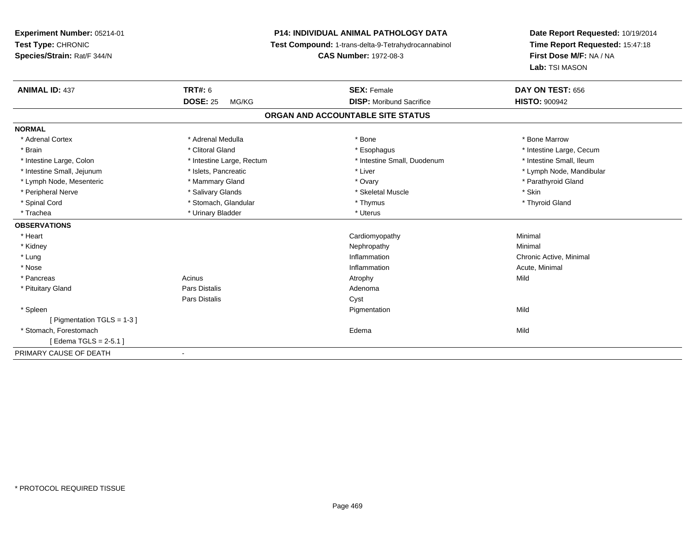**Experiment Number:** 05214-01**Test Type:** CHRONIC **Species/Strain:** Rat/F 344/N**P14: INDIVIDUAL ANIMAL PATHOLOGY DATA Test Compound:** 1-trans-delta-9-Tetrahydrocannabinol **CAS Number:** 1972-08-3**Date Report Requested:** 10/19/2014**Time Report Requested:** 15:47:18**First Dose M/F:** NA / NA**Lab:** TSI MASON**ANIMAL ID:** 437**TRT#:** 6 **SEX:** Female **SEX: Female DAY ON TEST:** 656 **DOSE:** 25 MG/KG **DISP:** Moribund Sacrifice **HISTO:** <sup>900942</sup> **ORGAN AND ACCOUNTABLE SITE STATUSNORMAL**\* Adrenal Cortex \* Adrenal Medulla \* Adrenal Medulla \* Bone \* Bone \* Bone \* Bone \* Bone Marrow \* Brain \* Alternation of the state of the state of the state of the state of the state of the state of the state of the state of the state of the state of the state of the state of the state of the state of the state of th \* Intestine Small, Ileum \* Intestine Large, Colon \* Intestine Large, Rectum \* Intestine Small, Duodenum \* Intestine Small, Duodenum \* Intestine Small, Jejunum \* \* et \* \* http://www.fat.com/mandibulary.com/mandibulary/state/state/state/state/state/state/state/state/state/state/state/state/state/state/state/state/state/state/state/state/state/state/state \* Lymph Node, Mesenteric \* \* Mammary Gland \* Mammary Gland \* Ovary \* Ovary \* The message \* Parathyroid Gland \* \* Peripheral Nerve \* Salivary Glands \* Skeletal Muscle \* Skin\* Thyroid Gland \* Spinal Cord \* \* Stomach, Glandular \* \* \* Thymus \* \* Thymus \* \* Thymus \* Thyroid Gland \* Thyroid Gland \* \* Thyroid Gland \* \* Thyroid Gland \* \* Thyroid Gland \* \* Thyroid Gland \* \* Thyroid Gland \* \* \* \* \* \* \* \* \* \* \* \* \* \* \* Trachea \* Urinary Bladder \* Urinary Bladder \* Urinary Bladder \* Urinary Bladder \* Urinary Bladder **OBSERVATIONS** \* Heart Cardiomyopathy Minimal \* Kidneyy the control of the control of the control of the control of the control of the control of the control of the control of the control of the control of the control of the control of the control of the control of the contro \* Lungg is a controller to the controller of the controller of the chronic Active, Minimal of the chronic Active, Minimal of the chronic Active, Minimal of the chronic Active, Minimal of the chronic Active, Minimal of the chroni \* Nosee the contraction of the contraction of the contraction of the contraction of the contraction of the contraction  $\mathsf{Acute}$ , Minimal \* Pancreass and the contract of the contract of the contract of the contract of the contract of the contract of the contract of  $\mathsf{A}$  and  $\mathsf{A}$  and  $\mathsf{A}$  and  $\mathsf{A}$  and  $\mathsf{A}$  and  $\mathsf{A}$  and  $\mathsf{A}$  and  $\mathsf{A}$  and \* Pituitary Glandd and the contract of Pars Distalis and the contract of Adenoma and Adenoma and the Adenoma and the Adenoma and  $\alpha$ Pars Distaliss Cyst \* Spleenn and the control of the control of the control of the control of the control of the control of the control of the control of the control of the control of the control of the control of the control of the control of the co [ Pigmentation TGLS = 1-3 ] \* Stomach, Forestomachh anns an t-ainm an t-ainm anns an t-ainm an t-ainm an t-ainm an t-ainm an t-ainm an t-ainm an t-ainm an t-ainm [ Edema TGLS = 2-5.1 ]PRIMARY CAUSE OF DEATH-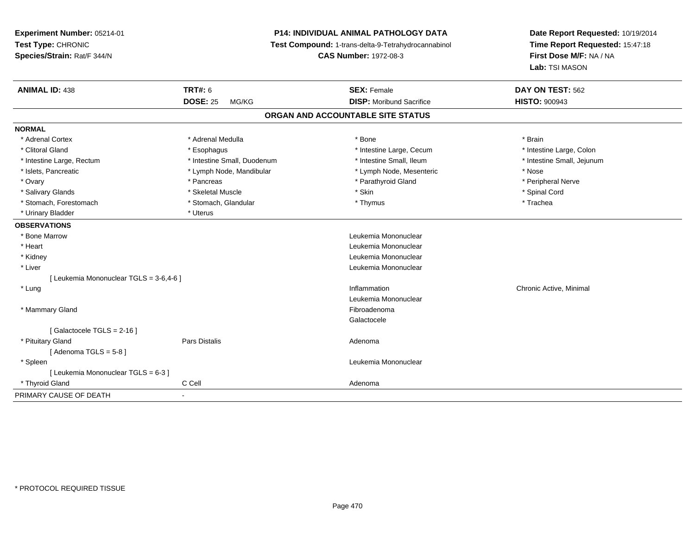**Experiment Number:** 05214-01**Test Type:** CHRONIC **Species/Strain:** Rat/F 344/N**P14: INDIVIDUAL ANIMAL PATHOLOGY DATA Test Compound:** 1-trans-delta-9-Tetrahydrocannabinol **CAS Number:** 1972-08-3**Date Report Requested:** 10/19/2014**Time Report Requested:** 15:47:18**First Dose M/F:** NA / NA**Lab:** TSI MASON**ANIMAL ID:** 438**TRT#:** 6 **SEX:** Female **SEX: Female DAY ON TEST:** 562 **DOSE:** 25 MG/KG **DISP:** Moribund Sacrifice **HISTO:** <sup>900943</sup> **ORGAN AND ACCOUNTABLE SITE STATUSNORMAL**\* Adrenal Cortex \* Adrenal Medulla \* Adrenal Medulla \* Bone \* Brain \* Brain \* Brain \* Brain \* Brain \* Brain \* Brain \* Brain \* Brain \* Brain \* Brain \* Brain \* Brain \* Brain \* Brain \* Brain \* Brain \* Brain \* Brain \* Brain \* Brain \* Brain \* B \* Intestine Large, Colon \* Clitoral Gland \* **Exophagus \* Exophagus \*** Esophagus \* 11testine Large, Cecum \* Intestine Large, Rectum \* Thestine Small, Duodenum \* Number of the small, Ileum \* Intestine Small, Jejunum \* Intestine Small, Jejunum \* Islets, Pancreatic \* The same \* Lymph Node, Mandibular \* Lymph Node, Mesenteric \* Nose \* Nose \* Peripheral Nerve \* Ovary \* And the second of the second of the second version of the second version of the second version of the second version of the second version of the second version of the second version of the second version of the \* Salivary Glands \* \* Steeden \* \* Skeletal Muscle \* \* Skin \* \* Skin \* \* Steeden \* Spinal Cord \* Spinal Cord \* Spinal Cord \* Spinal Cord \* Spinal Cord \* Spinal Cord \* Spinal Cord \* Spinal Cord \* Spinal Cord \* Spinal Cord \* \* Stomach, Forestomach \* Trachea \* Stomach, Glandular \* Thymus \* Thymus \* The metal \* Trachea \* Urinary Bladder \* Uterus **OBSERVATIONS** \* Bone Marrow Leukemia Mononuclear \* Heart Leukemia Mononuclear \* Kidney Leukemia Mononuclear \* Liver Leukemia Mononuclear [ Leukemia Mononuclear TGLS = 3-6,4-6 ] \* Lungg is a controller to the controller of the controller of the chronic Active, Minimal of the chronic Active, Minimal of the chronic Active, Minimal of the chronic Active, Minimal of the chronic Active, Minimal of the chroni Leukemia Mononuclear \* Mammary Glandd **Executive Contract of the Contract Contract Contract Contract Contract Contract Contract Contract Contract Contract Contract Contract Contract Contract Contract Contract Contract Contract Contract Contract Contract Cont** Galactocele[ Galactocele TGLS = 2-16 ] \* Pituitary Glandd and the contract of Pars Distalis and the contract of Adenoma and Adenoma and the Adenoma and the Adenoma and  $\alpha$ [ Adenoma  $TGLS = 5-8$  ] \* Spleen Leukemia Mononuclear [ Leukemia Mononuclear TGLS = 6-3 ] \* Thyroid Glandd C Cell C Cell Adenoma PRIMARY CAUSE OF DEATH-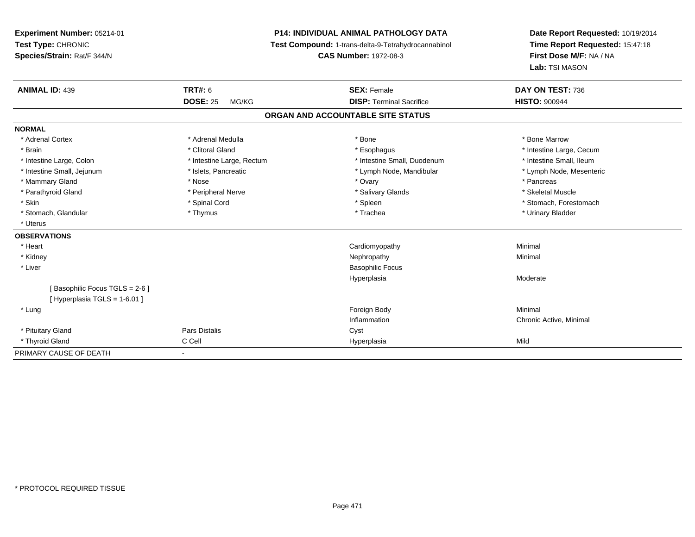**Experiment Number:** 05214-01**Test Type:** CHRONIC **Species/Strain:** Rat/F 344/N**P14: INDIVIDUAL ANIMAL PATHOLOGY DATA Test Compound:** 1-trans-delta-9-Tetrahydrocannabinol **CAS Number:** 1972-08-3**Date Report Requested:** 10/19/2014**Time Report Requested:** 15:47:18**First Dose M/F:** NA / NA**Lab:** TSI MASON**ANIMAL ID:** 439 **TRT#:** <sup>6</sup> **SEX:** Female **DAY ON TEST:** <sup>736</sup> **DOSE:** 25 MG/KG **DISP:** Terminal Sacrifice **HISTO:** <sup>900944</sup> **ORGAN AND ACCOUNTABLE SITE STATUSNORMAL**\* Adrenal Cortex \* Adrenal Medulla \* Adrenal Medulla \* Bone \* Bone \* Bone \* Bone \* Bone Marrow \* Brain \* Alternation of the state of the state of the state of the state of the state of the state of the state of the state of the state of the state of the state of the state of the state of the state of the state of th \* Intestine Small, Ileum \* Intestine Large, Colon \* Intestine Large, Rectum \* Intestine Small, Duodenum \* Intestine Small, Duodenum \* Lymph Node, Mesenteric \* Intestine Small, Jejunum \* Mandibular \* Islets, Pancreatic \* Mandibular \* Lymph Node, Mandibular \* Mammary Gland \* \* Andrew \* Nose \* \* Nose \* \* Ovary \* Ovary \* Ovary \* \* Ovary \* \* Pancreas \* \* Pancreas \* \* Pancreas \* \* Pancreas \* \* Pancreas \* \* Pancreas \* \* Pancreas \* \* Pancreas \* \* Pancreas \* \* Pancreas \* \* Pancreas \* Skeletal Muscle \* Parathyroid Gland \* \* \* And \* \* Peripheral Nerve \* \* \* Salivary Glands \* \* Salivary Glands \* \* Skeletal Muscle \* \* Skeletal Muscle \* \* Skeletal Muscle \* \* Skeletal Muscle \* \* Skeletal Muscle \* \* Skeletal Muscle \* \* Skele \* Skin \* Spinal Cord \* Spinal Cord \* Spinal Cord \* Spinal \* Spinal \* Stomach, Forestomach \* Stomach, Forestomach \* Stomach, Glandular \* Thymus \* Thymus \* Thymus \* Trachea \* Trachea \* Trachea \* Urinary Bladder \* Uterus**OBSERVATIONS** \* Heart Cardiomyopathy Minimal \* Kidneyy the control of the control of the control of the control of the control of the control of the control of the control of the control of the control of the control of the control of the control of the control of the contro \* Liver Basophilic FocusHyperplasia Moderate [ Basophilic Focus TGLS = 2-6 ] $[$  Hyperplasia TGLS = 1-6.01 ] \* Lungg and the state of the state of the state of the state of the state of the state of the state of the state of the state of the state of the state of the state of the state of the state of the state of the state of the stat Inflammation Chronic Active, Minimal \* Pituitary Glandd Cyst Constants Constants Constants Constants Constants Constants Constants Constants Constants Constants Const \* Thyroid Gland C Cell Hyperplasia Mild PRIMARY CAUSE OF DEATH-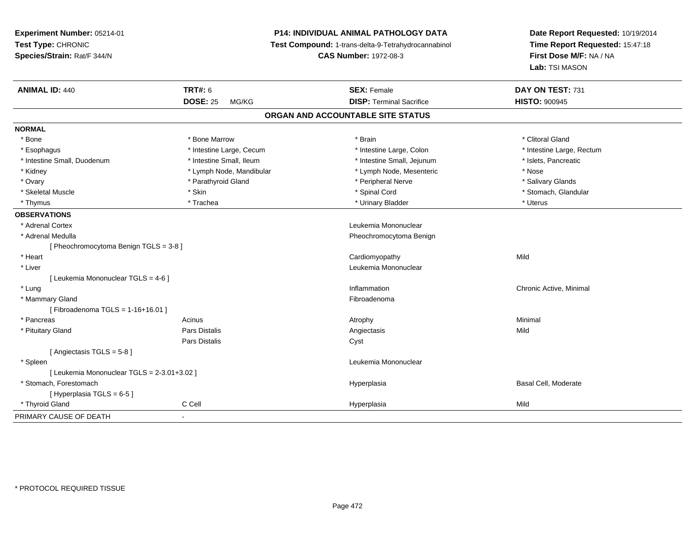| Experiment Number: 05214-01                 |                          | <b>P14: INDIVIDUAL ANIMAL PATHOLOGY DATA</b>        | Date Report Requested: 10/19/2014<br>Time Report Requested: 15:47:18 |  |
|---------------------------------------------|--------------------------|-----------------------------------------------------|----------------------------------------------------------------------|--|
| Test Type: CHRONIC                          |                          | Test Compound: 1-trans-delta-9-Tetrahydrocannabinol |                                                                      |  |
| Species/Strain: Rat/F 344/N                 |                          | <b>CAS Number: 1972-08-3</b>                        | First Dose M/F: NA / NA                                              |  |
|                                             |                          |                                                     | Lab: TSI MASON                                                       |  |
| <b>ANIMAL ID: 440</b>                       | <b>TRT#: 6</b>           | <b>SEX: Female</b>                                  | DAY ON TEST: 731                                                     |  |
|                                             | <b>DOSE: 25</b><br>MG/KG | <b>DISP: Terminal Sacrifice</b>                     | <b>HISTO: 900945</b>                                                 |  |
|                                             |                          | ORGAN AND ACCOUNTABLE SITE STATUS                   |                                                                      |  |
| <b>NORMAL</b>                               |                          |                                                     |                                                                      |  |
| * Bone                                      | * Bone Marrow            | * Brain                                             | * Clitoral Gland                                                     |  |
| * Esophagus                                 | * Intestine Large, Cecum | * Intestine Large, Colon                            | * Intestine Large, Rectum                                            |  |
| * Intestine Small, Duodenum                 | * Intestine Small, Ileum | * Intestine Small, Jejunum                          | * Islets, Pancreatic                                                 |  |
| * Kidney                                    | * Lymph Node, Mandibular | * Lymph Node, Mesenteric                            | * Nose                                                               |  |
| * Ovary                                     | * Parathyroid Gland      | * Peripheral Nerve                                  | * Salivary Glands                                                    |  |
| * Skeletal Muscle                           | * Skin                   | * Spinal Cord                                       | * Stomach, Glandular                                                 |  |
| * Thymus                                    | * Trachea                | * Urinary Bladder                                   | * Uterus                                                             |  |
| <b>OBSERVATIONS</b>                         |                          |                                                     |                                                                      |  |
| * Adrenal Cortex                            |                          | Leukemia Mononuclear                                |                                                                      |  |
| * Adrenal Medulla                           |                          | Pheochromocytoma Benign                             |                                                                      |  |
| [ Pheochromocytoma Benign TGLS = 3-8 ]      |                          |                                                     |                                                                      |  |
| * Heart                                     |                          | Cardiomyopathy                                      | Mild                                                                 |  |
| * Liver                                     |                          | Leukemia Mononuclear                                |                                                                      |  |
| [ Leukemia Mononuclear TGLS = 4-6 ]         |                          |                                                     |                                                                      |  |
| * Lung                                      |                          | Inflammation                                        | Chronic Active, Minimal                                              |  |
| * Mammary Gland                             |                          | Fibroadenoma                                        |                                                                      |  |
| [Fibroadenoma TGLS = 1-16+16.01]            |                          |                                                     |                                                                      |  |
| * Pancreas                                  | Acinus                   | Atrophy                                             | Minimal                                                              |  |
| * Pituitary Gland                           | Pars Distalis            | Angiectasis                                         | Mild                                                                 |  |
|                                             | Pars Distalis            | Cyst                                                |                                                                      |  |
| [Angiectasis TGLS = 5-8]                    |                          |                                                     |                                                                      |  |
| * Spleen                                    |                          | Leukemia Mononuclear                                |                                                                      |  |
| [ Leukemia Mononuclear TGLS = 2-3.01+3.02 ] |                          |                                                     |                                                                      |  |
| * Stomach, Forestomach                      |                          | Hyperplasia                                         | Basal Cell, Moderate                                                 |  |
| [ Hyperplasia TGLS = 6-5 ]                  |                          |                                                     |                                                                      |  |
| * Thyroid Gland                             | C Cell                   | Hyperplasia                                         | Mild                                                                 |  |
| PRIMARY CAUSE OF DEATH                      | ä,                       |                                                     |                                                                      |  |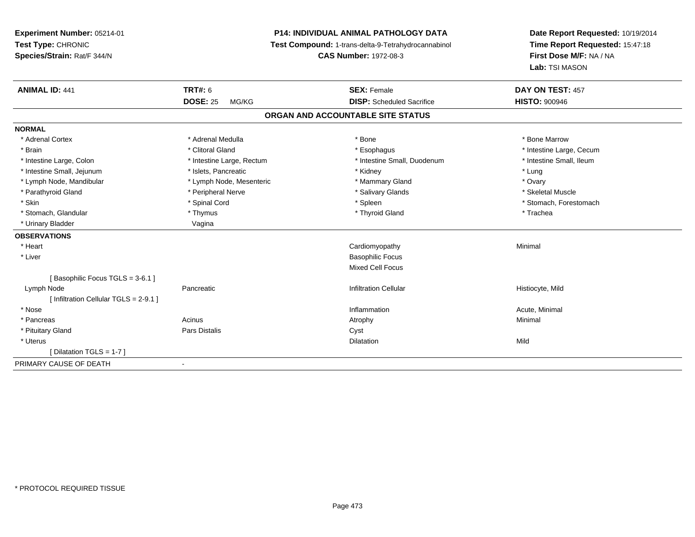**Experiment Number:** 05214-01**Test Type:** CHRONIC **Species/Strain:** Rat/F 344/N**P14: INDIVIDUAL ANIMAL PATHOLOGY DATA Test Compound:** 1-trans-delta-9-Tetrahydrocannabinol **CAS Number:** 1972-08-3**Date Report Requested:** 10/19/2014**Time Report Requested:** 15:47:18**First Dose M/F:** NA / NA**Lab:** TSI MASON**ANIMAL ID:** 441**TRT#:** 6 **SEX:** Female **SEX: Female DAY ON TEST:** 457 **DOSE:** 25 MG/KG **DISP:** Scheduled Sacrifice **HISTO:** <sup>900946</sup> **ORGAN AND ACCOUNTABLE SITE STATUSNORMAL**\* Adrenal Cortex \* Adrenal Medulla \* Adrenal Medulla \* Bone \* Bone \* Bone \* Bone \* Bone Marrow \* Brain \* Alternation of the state of the state of the state of the state of the state of the state of the state of the state of the state of the state of the state of the state of the state of the state of the state of th \* Intestine Small, Ileum \* Intestine Large, Colon \* Intestine Large, Rectum \* Intestine Small, Duodenum \* Intestine Small, Duodenum \* Intestine Small, Jejunum \* The matches of the state of the state of the state of the state of the state of the state of the state of the state of the state of the state of the state of the state of the state of the state \* Ovary \* Lymph Node, Mandibular \* Lymph Node, Mesenteric \* Mammary Gland \* Mammary Gland \* Skeletal Muscle \* Parathyroid Gland \* **All and \* Skeletal Muscle All and \* Peripheral Nerve** \* Salivary Glands \* Salivary Glands \* Skin \* Spinal Cord \* Spinal Cord \* Spinal Cord \* Spinal \* Spinal \* Stomach, Forestomach \* Stomach, Forestomach \* Stomach, Glandular \* Thymus \* Thymus \* Thymus \* Thyroid Gland \* Thyroid Gland \* Thachea \* Urinary Bladder Vagina **OBSERVATIONS** \* Heart Cardiomyopathy Minimal \* Liver Basophilic Focus Mixed Cell Focus[ Basophilic Focus TGLS = 3-6.1 ] Lymph Node Pancreatic Infiltration Cellular Histiocyte, Mild [ Infiltration Cellular TGLS = 2-9.1 ] \* Nosee the contraction of the contraction of the contraction of the contraction of the contraction of the contraction  $\mathsf{Acute}$ , Minimal \* Pancreass the control of the control of the control of the control of the control of the control of the control of the control of the control of the control of the control of the control of the control of the control of the contro \* Pituitary Glandd Cyst Constants Constants Constants Constants Constants Constants Constants Constants Constants Constants Const \* Uteruss and the contract of the contract of the contract of the contract of the contract of the contract of the contract of the contract of the contract of the contract of the contract of the contract of the contract of the cont n Mild [ Dilatation TGLS = 1-7 ]PRIMARY CAUSE OF DEATH-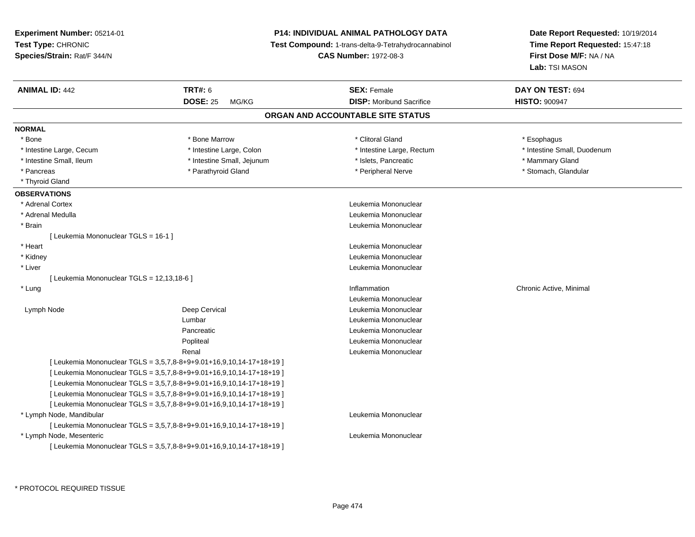**Experiment Number:** 05214-01**Test Type:** CHRONIC **Species/Strain:** Rat/F 344/N**P14: INDIVIDUAL ANIMAL PATHOLOGY DATA Test Compound:** 1-trans-delta-9-Tetrahydrocannabinol **CAS Number:** 1972-08-3**Date Report Requested:** 10/19/2014**Time Report Requested:** 15:47:18**First Dose M/F:** NA / NA**Lab:** TSI MASON**ANIMAL ID:** 442**TRT#:** 6 **SEX:** Female **SEX: Female DAY ON TEST:** 694 **DOSE:** 25 MG/KG**DISP:** Moribund Sacrifice **HISTO:**  $900947$ **ORGAN AND ACCOUNTABLE SITE STATUSNORMAL**\* Bone \* Bone \* Bone Marrow \* Clitoral Gland \* Esophagus \* Intestine Large, Cecum \* \* Intestine Large, Colon \* Mestine Large, Rectum \* Intestine Large, Rectum \* Intestine Small, Duodenum \* Intestine Small, Ileum \* Thestine Small, Jejunum \* Islets, Pancreatic \* Mammary Gland \* Mammary Gland \* Stomach, Glandular \* Pancreas \* **Pancreas \* Parathyroid Gland** \* **Pancreas \* Peripheral Nerve \*** Peripheral Nerve \* Thyroid Gland**OBSERVATIONS** \* Adrenal Cortex Leukemia Mononuclear \* Adrenal Medulla Leukemia Mononuclear \* Brain Leukemia Mononuclear [ Leukemia Mononuclear TGLS = 16-1 ] \* Heart Leukemia Mononuclear \* Kidney Leukemia Mononuclear \* Liver Leukemia Mononuclear [ Leukemia Mononuclear TGLS = 12,13,18-6 ] \* Lungg is a controller to the controller of the controller of the chronic Active, Minimal of the chronic Active, Minimal of the chronic Active, Minimal of the chronic Active, Minimal of the chronic Active, Minimal of the chroni Leukemia Mononuclear Lymph NodeDeep Cervical and Deep Cervical contracts of the Leukemia Mononuclear Lumbar Leukemia Mononuclear Pancreatic Leukemia Mononuclear Popliteal Leukemia MononuclearRenal Leukemia Mononuclear $[$  Leukemia Mononuclear TGLS = 3,5,7,8-8+9+9.01+16,9,10,14-17+18+19 ]  $[$  Leukemia Mononuclear TGLS = 3,5,7,8-8+9+9.01+16,9,10,14-17+18+19 ]  $[$  Leukemia Mononuclear TGLS = 3,5,7,8-8+9+9.01+16,9,10,14-17+18+19 ]  $[$  Leukemia Mononuclear TGLS = 3,5,7,8-8+9+9.01+16,9,10,14-17+18+19 ]  $[$  Leukemia Mononuclear TGLS = 3,5,7,8-8+9+9.01+16,9,10,14-17+18+19 ] \* Lymph Node, Mandibular Leukemia Mononuclear  $[$  Leukemia Mononuclear TGLS = 3,5,7,8-8+9+9.01+16,9,10,14-17+18+19 ] \* Lymph Node, MesentericLeukemia Mononuclear

 $[$  Leukemia Mononuclear TGLS = 3,5,7,8-8+9+9.01+16,9,10,14-17+18+19 ]

\* PROTOCOL REQUIRED TISSUE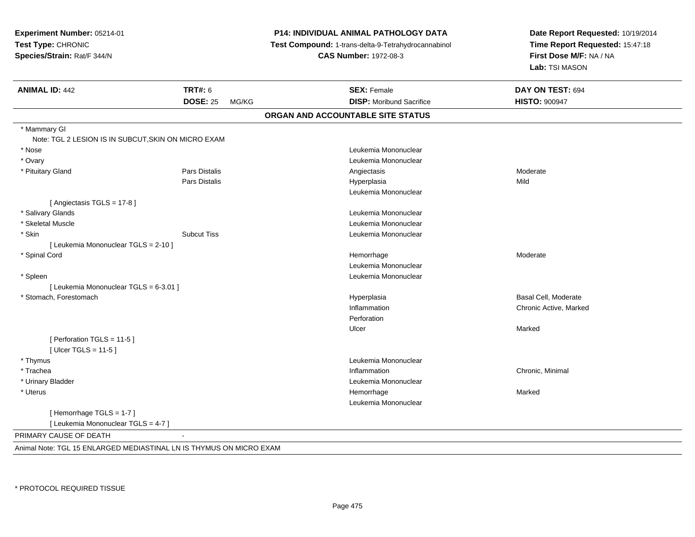| <b>TRT#: 6</b><br><b>SEX: Female</b><br><b>ANIMAL ID: 442</b><br><b>DOSE: 25</b><br><b>DISP:</b> Moribund Sacrifice<br>MG/KG<br>ORGAN AND ACCOUNTABLE SITE STATUS<br>* Mammary GI<br>Note: TGL 2 LESION IS IN SUBCUT, SKIN ON MICRO EXAM<br>* Nose<br>Leukemia Mononuclear<br>* Ovary<br>Leukemia Mononuclear<br>Pars Distalis<br>* Pituitary Gland<br>Angiectasis<br>Pars Distalis<br>Hyperplasia<br>Leukemia Mononuclear | Date Report Requested: 10/19/2014<br>Time Report Requested: 15:47:18<br>Test Compound: 1-trans-delta-9-Tetrahydrocannabinol<br>First Dose M/F: NA / NA<br>Lab: TSI MASON |
|----------------------------------------------------------------------------------------------------------------------------------------------------------------------------------------------------------------------------------------------------------------------------------------------------------------------------------------------------------------------------------------------------------------------------|--------------------------------------------------------------------------------------------------------------------------------------------------------------------------|
|                                                                                                                                                                                                                                                                                                                                                                                                                            | DAY ON TEST: 694                                                                                                                                                         |
|                                                                                                                                                                                                                                                                                                                                                                                                                            | <b>HISTO: 900947</b>                                                                                                                                                     |
|                                                                                                                                                                                                                                                                                                                                                                                                                            |                                                                                                                                                                          |
|                                                                                                                                                                                                                                                                                                                                                                                                                            |                                                                                                                                                                          |
|                                                                                                                                                                                                                                                                                                                                                                                                                            |                                                                                                                                                                          |
|                                                                                                                                                                                                                                                                                                                                                                                                                            |                                                                                                                                                                          |
|                                                                                                                                                                                                                                                                                                                                                                                                                            |                                                                                                                                                                          |
|                                                                                                                                                                                                                                                                                                                                                                                                                            | Moderate                                                                                                                                                                 |
|                                                                                                                                                                                                                                                                                                                                                                                                                            | Mild                                                                                                                                                                     |
|                                                                                                                                                                                                                                                                                                                                                                                                                            |                                                                                                                                                                          |
| [Angiectasis TGLS = 17-8]                                                                                                                                                                                                                                                                                                                                                                                                  |                                                                                                                                                                          |
| * Salivary Glands<br>Leukemia Mononuclear                                                                                                                                                                                                                                                                                                                                                                                  |                                                                                                                                                                          |
| * Skeletal Muscle<br>Leukemia Mononuclear                                                                                                                                                                                                                                                                                                                                                                                  |                                                                                                                                                                          |
| * Skin<br><b>Subcut Tiss</b><br>Leukemia Mononuclear                                                                                                                                                                                                                                                                                                                                                                       |                                                                                                                                                                          |
| [ Leukemia Mononuclear TGLS = 2-10 ]                                                                                                                                                                                                                                                                                                                                                                                       |                                                                                                                                                                          |
| * Spinal Cord<br>Hemorrhage                                                                                                                                                                                                                                                                                                                                                                                                | Moderate                                                                                                                                                                 |
| Leukemia Mononuclear                                                                                                                                                                                                                                                                                                                                                                                                       |                                                                                                                                                                          |
| * Spleen<br>Leukemia Mononuclear                                                                                                                                                                                                                                                                                                                                                                                           |                                                                                                                                                                          |
| [ Leukemia Mononuclear TGLS = 6-3.01 ]                                                                                                                                                                                                                                                                                                                                                                                     |                                                                                                                                                                          |
| * Stomach, Forestomach<br>Hyperplasia                                                                                                                                                                                                                                                                                                                                                                                      | Basal Cell, Moderate                                                                                                                                                     |
| Inflammation                                                                                                                                                                                                                                                                                                                                                                                                               | Chronic Active, Marked                                                                                                                                                   |
| Perforation                                                                                                                                                                                                                                                                                                                                                                                                                |                                                                                                                                                                          |
| Ulcer                                                                                                                                                                                                                                                                                                                                                                                                                      | Marked                                                                                                                                                                   |
| [ Perforation TGLS = 11-5 ]                                                                                                                                                                                                                                                                                                                                                                                                |                                                                                                                                                                          |
| [ $Ulec$ TGLS = 11-5 ]                                                                                                                                                                                                                                                                                                                                                                                                     |                                                                                                                                                                          |
| Leukemia Mononuclear<br>* Thymus                                                                                                                                                                                                                                                                                                                                                                                           |                                                                                                                                                                          |
| * Trachea<br>Inflammation                                                                                                                                                                                                                                                                                                                                                                                                  | Chronic, Minimal                                                                                                                                                         |
| * Urinary Bladder<br>Leukemia Mononuclear                                                                                                                                                                                                                                                                                                                                                                                  |                                                                                                                                                                          |
| * Uterus<br>Hemorrhage                                                                                                                                                                                                                                                                                                                                                                                                     | Marked                                                                                                                                                                   |
| Leukemia Mononuclear                                                                                                                                                                                                                                                                                                                                                                                                       |                                                                                                                                                                          |
| [Hemorrhage TGLS = 1-7]                                                                                                                                                                                                                                                                                                                                                                                                    |                                                                                                                                                                          |
| [ Leukemia Mononuclear TGLS = 4-7 ]                                                                                                                                                                                                                                                                                                                                                                                        |                                                                                                                                                                          |
| PRIMARY CAUSE OF DEATH                                                                                                                                                                                                                                                                                                                                                                                                     |                                                                                                                                                                          |
| Animal Note: TGL 15 ENLARGED MEDIASTINAL LN IS THYMUS ON MICRO EXAM                                                                                                                                                                                                                                                                                                                                                        |                                                                                                                                                                          |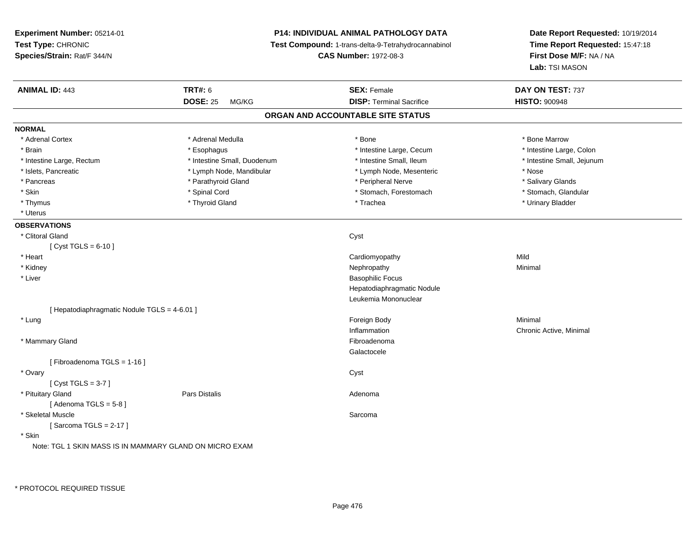| Experiment Number: 05214-01                             |                             | <b>P14: INDIVIDUAL ANIMAL PATHOLOGY DATA</b>                                        | Date Report Requested: 10/19/2014                          |  |
|---------------------------------------------------------|-----------------------------|-------------------------------------------------------------------------------------|------------------------------------------------------------|--|
| Test Type: CHRONIC<br>Species/Strain: Rat/F 344/N       |                             | Test Compound: 1-trans-delta-9-Tetrahydrocannabinol<br><b>CAS Number: 1972-08-3</b> | Time Report Requested: 15:47:18<br>First Dose M/F: NA / NA |  |
|                                                         |                             |                                                                                     | Lab: TSI MASON                                             |  |
| <b>ANIMAL ID: 443</b>                                   | <b>TRT#: 6</b>              | <b>SEX: Female</b>                                                                  | DAY ON TEST: 737                                           |  |
|                                                         | <b>DOSE: 25</b><br>MG/KG    | <b>DISP: Terminal Sacrifice</b>                                                     | <b>HISTO: 900948</b>                                       |  |
|                                                         |                             | ORGAN AND ACCOUNTABLE SITE STATUS                                                   |                                                            |  |
| <b>NORMAL</b>                                           |                             |                                                                                     |                                                            |  |
| * Adrenal Cortex                                        | * Adrenal Medulla           | * Bone                                                                              | * Bone Marrow                                              |  |
| * Brain                                                 | * Esophagus                 | * Intestine Large, Cecum                                                            | * Intestine Large, Colon                                   |  |
| * Intestine Large, Rectum                               | * Intestine Small, Duodenum | * Intestine Small, Ileum                                                            | * Intestine Small, Jejunum                                 |  |
| * Islets, Pancreatic                                    | * Lymph Node, Mandibular    | * Lymph Node, Mesenteric                                                            | * Nose                                                     |  |
| * Pancreas                                              | * Parathyroid Gland         | * Peripheral Nerve                                                                  | * Salivary Glands                                          |  |
| * Skin                                                  | * Spinal Cord               | * Stomach, Forestomach                                                              | * Stomach, Glandular                                       |  |
| * Thymus                                                | * Thyroid Gland             | * Trachea                                                                           | * Urinary Bladder                                          |  |
| * Uterus                                                |                             |                                                                                     |                                                            |  |
| <b>OBSERVATIONS</b>                                     |                             |                                                                                     |                                                            |  |
| * Clitoral Gland                                        |                             | Cyst                                                                                |                                                            |  |
| [ Cyst TGLS = $6-10$ ]                                  |                             |                                                                                     |                                                            |  |
| * Heart                                                 |                             | Cardiomyopathy                                                                      | Mild                                                       |  |
| * Kidney                                                |                             | Nephropathy                                                                         | Minimal                                                    |  |
| * Liver                                                 |                             | <b>Basophilic Focus</b>                                                             |                                                            |  |
|                                                         |                             | Hepatodiaphragmatic Nodule                                                          |                                                            |  |
|                                                         |                             | Leukemia Mononuclear                                                                |                                                            |  |
| [ Hepatodiaphragmatic Nodule TGLS = 4-6.01 ]            |                             |                                                                                     |                                                            |  |
| * Lung                                                  |                             | Foreign Body                                                                        | Minimal                                                    |  |
|                                                         |                             | Inflammation                                                                        | Chronic Active, Minimal                                    |  |
| * Mammary Gland                                         |                             | Fibroadenoma                                                                        |                                                            |  |
|                                                         |                             | Galactocele                                                                         |                                                            |  |
| [Fibroadenoma TGLS = 1-16]                              |                             |                                                                                     |                                                            |  |
| * Ovary                                                 |                             | Cyst                                                                                |                                                            |  |
| [ $Cyst TGLS = 3-7$ ]                                   |                             |                                                                                     |                                                            |  |
| * Pituitary Gland                                       | <b>Pars Distalis</b>        | Adenoma                                                                             |                                                            |  |
| [Adenoma TGLS = $5-8$ ]                                 |                             |                                                                                     |                                                            |  |
| * Skeletal Muscle                                       |                             | Sarcoma                                                                             |                                                            |  |
| [Sarcoma TGLS = $2-17$ ]                                |                             |                                                                                     |                                                            |  |
| * Skin                                                  |                             |                                                                                     |                                                            |  |
| Note: TGL 1 SKIN MASS IS IN MAMMARY GLAND ON MICRO EXAM |                             |                                                                                     |                                                            |  |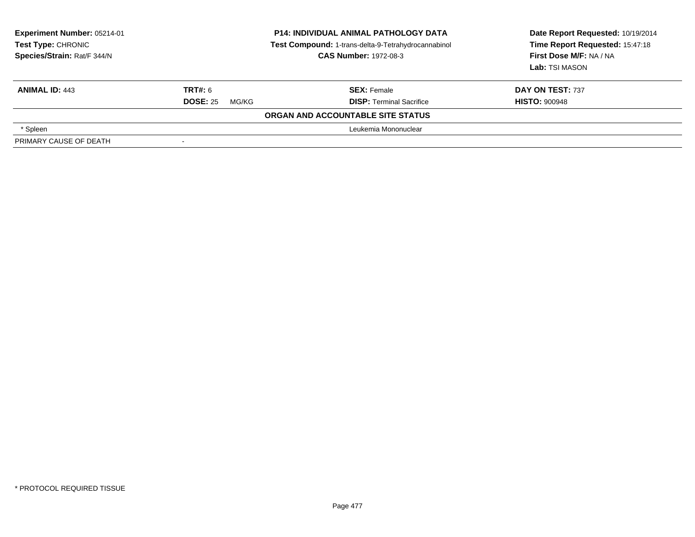| <b>Experiment Number: 05214-01</b><br>Test Type: CHRONIC<br>Species/Strain: Rat/F 344/N | <b>P14: INDIVIDUAL ANIMAL PATHOLOGY DATA</b><br>Test Compound: 1-trans-delta-9-Tetrahydrocannabinol<br><b>CAS Number: 1972-08-3</b> |                                   | Date Report Requested: 10/19/2014<br>Time Report Requested: 15:47:18<br>First Dose M/F: NA / NA<br>Lab: TSI MASON |
|-----------------------------------------------------------------------------------------|-------------------------------------------------------------------------------------------------------------------------------------|-----------------------------------|-------------------------------------------------------------------------------------------------------------------|
| <b>ANIMAL ID: 443</b>                                                                   | TRT#: 6                                                                                                                             | <b>SEX: Female</b>                | DAY ON TEST: 737                                                                                                  |
|                                                                                         | <b>DOSE: 25</b><br>MG/KG                                                                                                            | <b>DISP:</b> Terminal Sacrifice   | <b>HISTO: 900948</b>                                                                                              |
|                                                                                         |                                                                                                                                     | ORGAN AND ACCOUNTABLE SITE STATUS |                                                                                                                   |
| * Spleen                                                                                |                                                                                                                                     | Leukemia Mononuclear              |                                                                                                                   |
| PRIMARY CAUSE OF DEATH                                                                  |                                                                                                                                     |                                   |                                                                                                                   |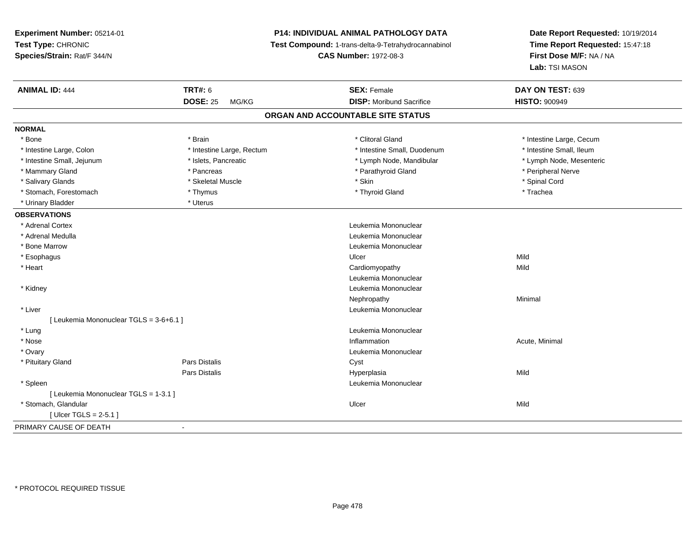**Experiment Number:** 05214-01**Test Type:** CHRONIC **Species/Strain:** Rat/F 344/N**P14: INDIVIDUAL ANIMAL PATHOLOGY DATA Test Compound:** 1-trans-delta-9-Tetrahydrocannabinol **CAS Number:** 1972-08-3**Date Report Requested:** 10/19/2014**Time Report Requested:** 15:47:18**First Dose M/F:** NA / NA**Lab:** TSI MASON**ANIMAL ID:** 444**TRT#:** 6 **SEX:** Female **SEX: Female DAY ON TEST:** 639 **DOSE:** 25 MG/KG**DISP:** Moribund Sacrifice **HISTO:**  $900949$ **ORGAN AND ACCOUNTABLE SITE STATUSNORMAL**\* Bone \* Brain \* Clitoral Gland \* Clitoral Gland \* The structure test intestine Large, Cecum \* Intestine Small, Ileum \* Intestine Large, Colon \* Intestine Large, Rectum \* Intestine Small, Duodenum \* Intestine Small, Duodenum \* Lymph Node, Mesenteric \* Intestine Small, Jejunum **\* Mandibular \* Islets, Pancreatic** \* Mandibular \* Lymph Node, Mandibular \* Mammary Gland \* \* Andreas \* \* Pancreas \* \* Parathyroid Gland \* \* Parathyroid Gland \* \* Peripheral Nerve \* Salivary Glands \* \* Steeden \* \* Skeletal Muscle \* \* Skin \* \* Skin \* \* Steeden \* Spinal Cord \* Spinal Cord \* Spinal Cord \* Spinal Cord \* Spinal Cord \* Spinal Cord \* Spinal Cord \* Spinal Cord \* Spinal Cord \* Spinal Cord \* \* Stomach, Forestomach \* Trachea \* Thymus \* Thymus \* Thyroid Gland \* Thyroid Gland \* Trachea \* Trachea \* Urinary Bladder \* Uterus **OBSERVATIONS** \* Adrenal Cortex Leukemia Mononuclear \* Adrenal Medulla Leukemia Mononuclear \* Bone Marrow Leukemia Mononuclear \* Esophaguss and the control of the control of the control of the control of the control of the control of the control of the control of the control of the control of the control of the control of the control of the control of the co Mild \* Heart Cardiomyopathyy Mild Leukemia Mononuclear \* Kidney Leukemia Mononuclear Nephropathyy the contract of the Minimal Minimal Section 1996 and the contract of the Minimal Section 1997 and the contract of the contract of the contract of the contract of the contract of the contract of the contract of the contra \* Liver Leukemia Mononuclear [ Leukemia Mononuclear TGLS = 3-6+6.1 ] \* Lung Leukemia Mononuclear \* Nosee the contraction of the contraction of the contraction of the contraction of the contraction of the contraction  $\mathsf{Acute}$ , Minimal \* Ovary Leukemia Mononuclear \* Pituitary Glandd Cyst Constants Constants Constants Constants Constants Constants Constants Constants Constants Constants Const Pars Distalis Hyperplasiaa Mild \* Spleen Leukemia Mononuclear [ Leukemia Mononuclear TGLS = 1-3.1 ] \* Stomach, Glandularr and the control of the control of the control of the control of the control of the control of the control of [ Ulcer TGLS = 2-5.1 ]PRIMARY CAUSE OF DEATH-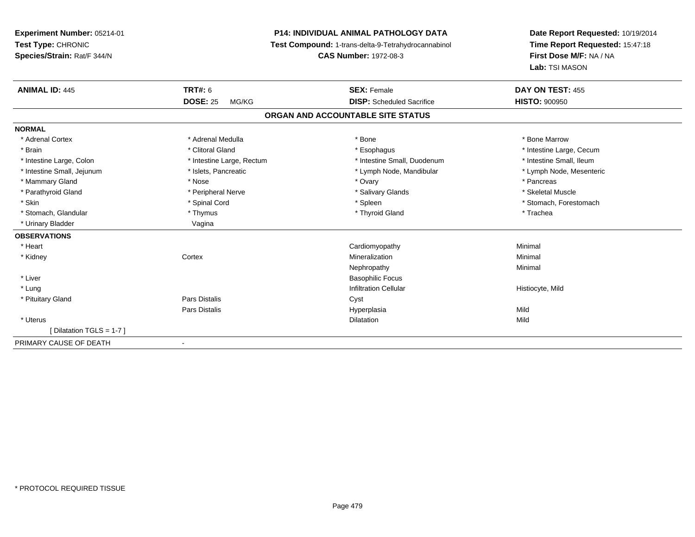## **P14: INDIVIDUAL ANIMAL PATHOLOGY DATA**

**Test Compound:** 1-trans-delta-9-Tetrahydrocannabinol

**CAS Number:** 1972-08-3

| <b>ANIMAL ID: 445</b>      | <b>TRT#: 6</b>               | <b>SEX: Female</b>                | DAY ON TEST: 455         |  |
|----------------------------|------------------------------|-----------------------------------|--------------------------|--|
|                            | <b>DOSE: 25</b><br>MG/KG     | <b>DISP:</b> Scheduled Sacrifice  | <b>HISTO: 900950</b>     |  |
|                            |                              | ORGAN AND ACCOUNTABLE SITE STATUS |                          |  |
| <b>NORMAL</b>              |                              |                                   |                          |  |
| * Adrenal Cortex           | * Adrenal Medulla            | * Bone                            | * Bone Marrow            |  |
| * Brain                    | * Clitoral Gland             | * Esophagus                       | * Intestine Large, Cecum |  |
| * Intestine Large, Colon   | * Intestine Large, Rectum    | * Intestine Small, Duodenum       | * Intestine Small, Ileum |  |
| * Intestine Small, Jejunum | * Islets, Pancreatic         | * Lymph Node, Mandibular          | * Lymph Node, Mesenteric |  |
| * Mammary Gland            | * Nose                       | * Ovary                           | * Pancreas               |  |
| * Parathyroid Gland        | * Peripheral Nerve           | * Salivary Glands                 | * Skeletal Muscle        |  |
| * Skin                     | * Spinal Cord                | * Spleen                          | * Stomach, Forestomach   |  |
| * Stomach, Glandular       | * Thymus                     | * Thyroid Gland                   | * Trachea                |  |
| * Urinary Bladder          | Vagina                       |                                   |                          |  |
| <b>OBSERVATIONS</b>        |                              |                                   |                          |  |
| * Heart                    |                              | Cardiomyopathy                    | Minimal                  |  |
| * Kidney                   | Cortex                       | Mineralization                    | Minimal                  |  |
|                            |                              | Nephropathy                       | Minimal                  |  |
| * Liver                    |                              | <b>Basophilic Focus</b>           |                          |  |
| * Lung                     |                              | <b>Infiltration Cellular</b>      | Histiocyte, Mild         |  |
| * Pituitary Gland          | Pars Distalis                | Cyst                              |                          |  |
|                            | Pars Distalis                | Hyperplasia                       | Mild                     |  |
| * Uterus                   |                              | <b>Dilatation</b>                 | Mild                     |  |
| [Dilatation TGLS = 1-7]    |                              |                                   |                          |  |
| PRIMARY CAUSE OF DEATH     | $\qquad \qquad \blacksquare$ |                                   |                          |  |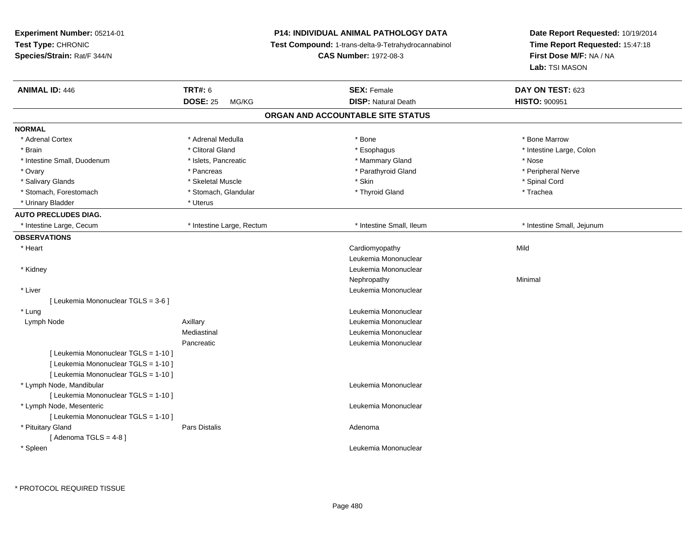| Experiment Number: 05214-01<br>Test Type: CHRONIC<br>Species/Strain: Rat/F 344/N |                                            | <b>P14: INDIVIDUAL ANIMAL PATHOLOGY DATA</b><br>Test Compound: 1-trans-delta-9-Tetrahydrocannabinol<br><b>CAS Number: 1972-08-3</b> | Date Report Requested: 10/19/2014<br>Time Report Requested: 15:47:18<br>First Dose M/F: NA / NA |
|----------------------------------------------------------------------------------|--------------------------------------------|-------------------------------------------------------------------------------------------------------------------------------------|-------------------------------------------------------------------------------------------------|
|                                                                                  |                                            |                                                                                                                                     | Lab: TSI MASON                                                                                  |
| <b>ANIMAL ID: 446</b>                                                            | <b>TRT#: 6</b><br><b>DOSE: 25</b><br>MG/KG | <b>SEX: Female</b><br><b>DISP: Natural Death</b>                                                                                    | DAY ON TEST: 623<br>HISTO: 900951                                                               |
|                                                                                  |                                            | ORGAN AND ACCOUNTABLE SITE STATUS                                                                                                   |                                                                                                 |
| <b>NORMAL</b>                                                                    |                                            |                                                                                                                                     |                                                                                                 |
| * Adrenal Cortex                                                                 | * Adrenal Medulla                          | * Bone                                                                                                                              | * Bone Marrow                                                                                   |
| * Brain                                                                          | * Clitoral Gland                           | * Esophagus                                                                                                                         | * Intestine Large, Colon                                                                        |
| * Intestine Small, Duodenum                                                      | * Islets, Pancreatic                       | * Mammary Gland                                                                                                                     | * Nose                                                                                          |
| * Ovary                                                                          | * Pancreas                                 | * Parathyroid Gland                                                                                                                 | * Peripheral Nerve                                                                              |
| * Salivary Glands                                                                | * Skeletal Muscle                          | * Skin                                                                                                                              | * Spinal Cord                                                                                   |
| * Stomach, Forestomach                                                           | * Stomach, Glandular                       | * Thyroid Gland                                                                                                                     | * Trachea                                                                                       |
| * Urinary Bladder                                                                | * Uterus                                   |                                                                                                                                     |                                                                                                 |
| <b>AUTO PRECLUDES DIAG.</b>                                                      |                                            |                                                                                                                                     |                                                                                                 |
| * Intestine Large, Cecum                                                         | * Intestine Large, Rectum                  | * Intestine Small, Ileum                                                                                                            | * Intestine Small, Jejunum                                                                      |
| <b>OBSERVATIONS</b>                                                              |                                            |                                                                                                                                     |                                                                                                 |
| * Heart                                                                          |                                            | Cardiomyopathy                                                                                                                      | Mild                                                                                            |
|                                                                                  |                                            | Leukemia Mononuclear                                                                                                                |                                                                                                 |
| * Kidney                                                                         |                                            | Leukemia Mononuclear                                                                                                                |                                                                                                 |
|                                                                                  |                                            | Nephropathy                                                                                                                         | Minimal                                                                                         |
| * Liver                                                                          |                                            | Leukemia Mononuclear                                                                                                                |                                                                                                 |
| [ Leukemia Mononuclear TGLS = 3-6 ]                                              |                                            |                                                                                                                                     |                                                                                                 |
| * Lung                                                                           |                                            | Leukemia Mononuclear                                                                                                                |                                                                                                 |
| Lymph Node                                                                       | Axillary                                   | Leukemia Mononuclear                                                                                                                |                                                                                                 |
|                                                                                  | Mediastinal                                | Leukemia Mononuclear                                                                                                                |                                                                                                 |
|                                                                                  | Pancreatic                                 | Leukemia Mononuclear                                                                                                                |                                                                                                 |
| [ Leukemia Mononuclear TGLS = 1-10 ]                                             |                                            |                                                                                                                                     |                                                                                                 |
| [ Leukemia Mononuclear TGLS = 1-10 ]                                             |                                            |                                                                                                                                     |                                                                                                 |
| [ Leukemia Mononuclear TGLS = 1-10 ]                                             |                                            |                                                                                                                                     |                                                                                                 |
| * Lymph Node, Mandibular                                                         |                                            | Leukemia Mononuclear                                                                                                                |                                                                                                 |
| [ Leukemia Mononuclear TGLS = 1-10 ]                                             |                                            |                                                                                                                                     |                                                                                                 |
| * Lymph Node, Mesenteric                                                         |                                            | Leukemia Mononuclear                                                                                                                |                                                                                                 |
| [ Leukemia Mononuclear TGLS = 1-10 ]                                             |                                            |                                                                                                                                     |                                                                                                 |
| * Pituitary Gland                                                                | <b>Pars Distalis</b>                       | Adenoma                                                                                                                             |                                                                                                 |
| [Adenoma TGLS = $4-8$ ]                                                          |                                            |                                                                                                                                     |                                                                                                 |
| * Spleen                                                                         |                                            | Leukemia Mononuclear                                                                                                                |                                                                                                 |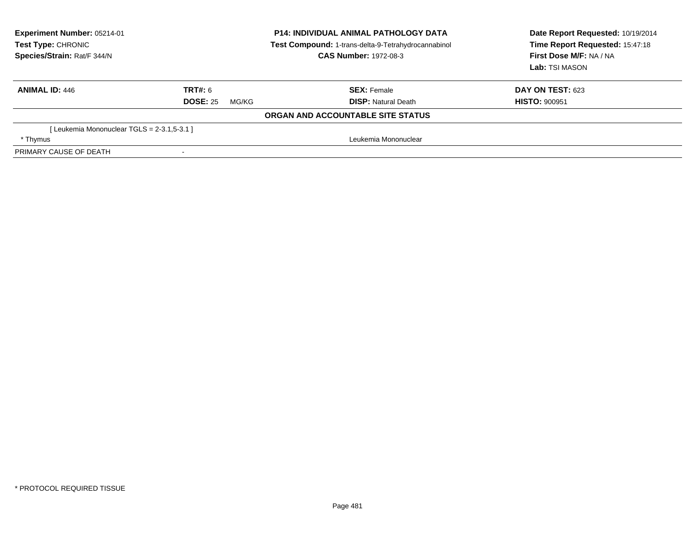| <b>Experiment Number: 05214-01</b><br>Test Type: CHRONIC<br>Species/Strain: Rat/F 344/N | <b>P14: INDIVIDUAL ANIMAL PATHOLOGY DATA</b><br>Test Compound: 1-trans-delta-9-Tetrahydrocannabinol<br><b>CAS Number: 1972-08-3</b> |                                   | Date Report Requested: 10/19/2014<br>Time Report Requested: 15:47:18<br>First Dose M/F: NA / NA<br>Lab: TSI MASON |  |
|-----------------------------------------------------------------------------------------|-------------------------------------------------------------------------------------------------------------------------------------|-----------------------------------|-------------------------------------------------------------------------------------------------------------------|--|
| <b>ANIMAL ID: 446</b>                                                                   | TRT#: 6                                                                                                                             | <b>SEX: Female</b>                | DAY ON TEST: 623                                                                                                  |  |
|                                                                                         | <b>DOSE: 25</b><br>MG/KG                                                                                                            | <b>DISP:</b> Natural Death        | <b>HISTO: 900951</b>                                                                                              |  |
|                                                                                         |                                                                                                                                     | ORGAN AND ACCOUNTABLE SITE STATUS |                                                                                                                   |  |
| [Leukemia Mononuclear TGLS = 2-3.1,5-3.1]                                               |                                                                                                                                     |                                   |                                                                                                                   |  |
| * Thymus                                                                                | Leukemia Mononuclear                                                                                                                |                                   |                                                                                                                   |  |
| PRIMARY CAUSE OF DEATH                                                                  |                                                                                                                                     |                                   |                                                                                                                   |  |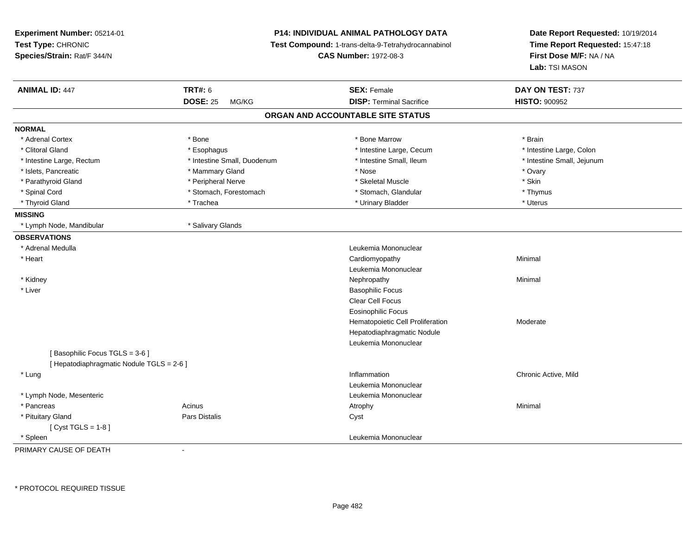| Experiment Number: 05214-01<br>Test Type: CHRONIC<br>Species/Strain: Rat/F 344/N |                             | P14: INDIVIDUAL ANIMAL PATHOLOGY DATA<br>Test Compound: 1-trans-delta-9-Tetrahydrocannabinol<br><b>CAS Number: 1972-08-3</b> |                            |
|----------------------------------------------------------------------------------|-----------------------------|------------------------------------------------------------------------------------------------------------------------------|----------------------------|
| <b>ANIMAL ID: 447</b>                                                            | <b>TRT#: 6</b>              | <b>SEX: Female</b>                                                                                                           | DAY ON TEST: 737           |
|                                                                                  | <b>DOSE: 25</b><br>MG/KG    | <b>DISP: Terminal Sacrifice</b>                                                                                              | <b>HISTO: 900952</b>       |
|                                                                                  |                             | ORGAN AND ACCOUNTABLE SITE STATUS                                                                                            |                            |
| <b>NORMAL</b>                                                                    |                             |                                                                                                                              |                            |
| * Adrenal Cortex                                                                 | * Bone                      | * Bone Marrow                                                                                                                | * Brain                    |
| * Clitoral Gland                                                                 | * Esophagus                 | * Intestine Large, Cecum                                                                                                     | * Intestine Large, Colon   |
| * Intestine Large, Rectum                                                        | * Intestine Small, Duodenum | * Intestine Small, Ileum                                                                                                     | * Intestine Small, Jejunum |
| * Islets, Pancreatic                                                             | * Mammary Gland             | * Nose                                                                                                                       | * Ovary                    |
| * Parathyroid Gland                                                              | * Peripheral Nerve          | * Skeletal Muscle                                                                                                            | * Skin                     |
| * Spinal Cord                                                                    | * Stomach, Forestomach      | * Stomach, Glandular                                                                                                         | * Thymus                   |
| * Thyroid Gland                                                                  | * Trachea                   | * Urinary Bladder                                                                                                            | * Uterus                   |
| <b>MISSING</b>                                                                   |                             |                                                                                                                              |                            |
| * Lymph Node, Mandibular                                                         | * Salivary Glands           |                                                                                                                              |                            |
| <b>OBSERVATIONS</b>                                                              |                             |                                                                                                                              |                            |
| * Adrenal Medulla                                                                |                             | Leukemia Mononuclear                                                                                                         |                            |
| * Heart                                                                          |                             | Cardiomyopathy                                                                                                               | Minimal                    |
|                                                                                  |                             | Leukemia Mononuclear                                                                                                         |                            |
| * Kidney                                                                         |                             | Nephropathy                                                                                                                  | Minimal                    |
| * Liver                                                                          |                             | <b>Basophilic Focus</b>                                                                                                      |                            |
|                                                                                  |                             | Clear Cell Focus                                                                                                             |                            |
|                                                                                  |                             | <b>Eosinophilic Focus</b>                                                                                                    |                            |
|                                                                                  |                             | Hematopoietic Cell Proliferation                                                                                             | Moderate                   |
|                                                                                  |                             | Hepatodiaphragmatic Nodule                                                                                                   |                            |
|                                                                                  |                             | Leukemia Mononuclear                                                                                                         |                            |
| [Basophilic Focus TGLS = 3-6]                                                    |                             |                                                                                                                              |                            |
| [ Hepatodiaphragmatic Nodule TGLS = 2-6 ]                                        |                             |                                                                                                                              |                            |
| * Lung                                                                           |                             | Inflammation                                                                                                                 | Chronic Active, Mild       |
|                                                                                  |                             | Leukemia Mononuclear                                                                                                         |                            |
| * Lymph Node, Mesenteric                                                         |                             | Leukemia Mononuclear                                                                                                         |                            |
| * Pancreas                                                                       | Acinus                      | Atrophy                                                                                                                      | Minimal                    |
| * Pituitary Gland                                                                | Pars Distalis               | Cyst                                                                                                                         |                            |
| [ $Cyst TGLS = 1-8$ ]                                                            |                             |                                                                                                                              |                            |
| * Spleen                                                                         |                             | Leukemia Mononuclear                                                                                                         |                            |

PRIMARY CAUSE OF DEATH-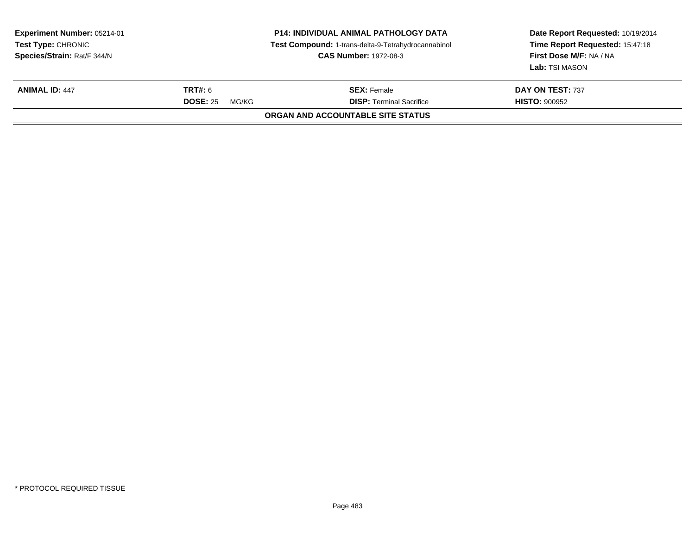| Experiment Number: 05214-01<br><b>Test Type: CHRONIC</b><br>Species/Strain: Rat/F 344/N<br><b>CAS Number: 1972-08-3</b> |                                            | <b>P14: INDIVIDUAL ANIMAL PATHOLOGY DATA</b><br>Test Compound: 1-trans-delta-9-Tetrahydrocannabinol | Date Report Requested: 10/19/2014<br>Time Report Requested: 15:47:18<br>First Dose M/F: NA / NA<br>Lab: TSI MASON |  |
|-------------------------------------------------------------------------------------------------------------------------|--------------------------------------------|-----------------------------------------------------------------------------------------------------|-------------------------------------------------------------------------------------------------------------------|--|
| <b>ANIMAL ID: 447</b>                                                                                                   | <b>TRT#:</b> 6<br><b>DOSE: 25</b><br>MG/KG | <b>SEX:</b> Female<br><b>DISP: Terminal Sacrifice</b>                                               | DAY ON TEST: 737<br><b>HISTO: 900952</b>                                                                          |  |
|                                                                                                                         |                                            | ORGAN AND ACCOUNTABLE SITE STATUS                                                                   |                                                                                                                   |  |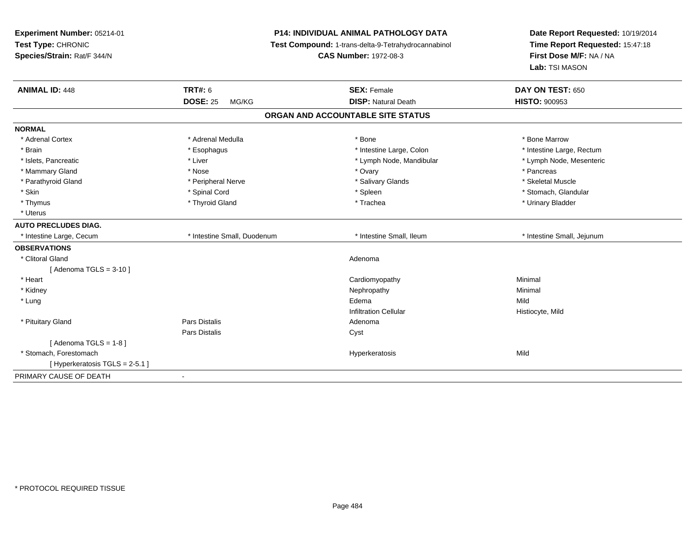| Experiment Number: 05214-01<br>Test Type: CHRONIC<br>Species/Strain: Rat/F 344/N |                             | <b>P14: INDIVIDUAL ANIMAL PATHOLOGY DATA</b><br>Test Compound: 1-trans-delta-9-Tetrahydrocannabinol<br><b>CAS Number: 1972-08-3</b> | Date Report Requested: 10/19/2014<br>Time Report Requested: 15:47:18<br>First Dose M/F: NA / NA<br>Lab: TSI MASON |
|----------------------------------------------------------------------------------|-----------------------------|-------------------------------------------------------------------------------------------------------------------------------------|-------------------------------------------------------------------------------------------------------------------|
| <b>ANIMAL ID: 448</b>                                                            | <b>TRT#: 6</b>              | <b>SEX: Female</b>                                                                                                                  | DAY ON TEST: 650                                                                                                  |
|                                                                                  | <b>DOSE: 25</b><br>MG/KG    | <b>DISP: Natural Death</b>                                                                                                          | <b>HISTO: 900953</b>                                                                                              |
|                                                                                  |                             | ORGAN AND ACCOUNTABLE SITE STATUS                                                                                                   |                                                                                                                   |
| <b>NORMAL</b>                                                                    |                             |                                                                                                                                     |                                                                                                                   |
| * Adrenal Cortex                                                                 | * Adrenal Medulla           | * Bone                                                                                                                              | * Bone Marrow                                                                                                     |
| * Brain                                                                          | * Esophagus                 | * Intestine Large, Colon                                                                                                            | * Intestine Large, Rectum                                                                                         |
| * Islets, Pancreatic                                                             | * Liver                     | * Lymph Node, Mandibular                                                                                                            | * Lymph Node, Mesenteric                                                                                          |
| * Mammary Gland                                                                  | * Nose                      | * Ovary                                                                                                                             | * Pancreas                                                                                                        |
| * Parathyroid Gland                                                              | * Peripheral Nerve          | * Salivary Glands                                                                                                                   | * Skeletal Muscle                                                                                                 |
| * Skin                                                                           | * Spinal Cord               | * Spleen                                                                                                                            | * Stomach, Glandular                                                                                              |
| * Thymus                                                                         | * Thyroid Gland             | * Trachea                                                                                                                           | * Urinary Bladder                                                                                                 |
| * Uterus                                                                         |                             |                                                                                                                                     |                                                                                                                   |
| <b>AUTO PRECLUDES DIAG.</b>                                                      |                             |                                                                                                                                     |                                                                                                                   |
| * Intestine Large, Cecum                                                         | * Intestine Small, Duodenum | * Intestine Small, Ileum                                                                                                            | * Intestine Small, Jejunum                                                                                        |
| <b>OBSERVATIONS</b>                                                              |                             |                                                                                                                                     |                                                                                                                   |
| * Clitoral Gland                                                                 |                             | Adenoma                                                                                                                             |                                                                                                                   |
| [Adenoma TGLS = $3-10$ ]                                                         |                             |                                                                                                                                     |                                                                                                                   |
| * Heart                                                                          |                             | Cardiomyopathy                                                                                                                      | Minimal                                                                                                           |
| * Kidney                                                                         |                             | Nephropathy                                                                                                                         | Minimal                                                                                                           |
| * Lung                                                                           |                             | Edema                                                                                                                               | Mild                                                                                                              |
|                                                                                  |                             | <b>Infiltration Cellular</b>                                                                                                        | Histiocyte, Mild                                                                                                  |
| * Pituitary Gland                                                                | Pars Distalis               | Adenoma                                                                                                                             |                                                                                                                   |
|                                                                                  | Pars Distalis               | Cyst                                                                                                                                |                                                                                                                   |
| [Adenoma TGLS = $1-8$ ]                                                          |                             |                                                                                                                                     |                                                                                                                   |
| * Stomach, Forestomach                                                           |                             | Hyperkeratosis                                                                                                                      | Mild                                                                                                              |
| [ Hyperkeratosis TGLS = 2-5.1 ]                                                  |                             |                                                                                                                                     |                                                                                                                   |
| PRIMARY CAUSE OF DEATH                                                           | $\blacksquare$              |                                                                                                                                     |                                                                                                                   |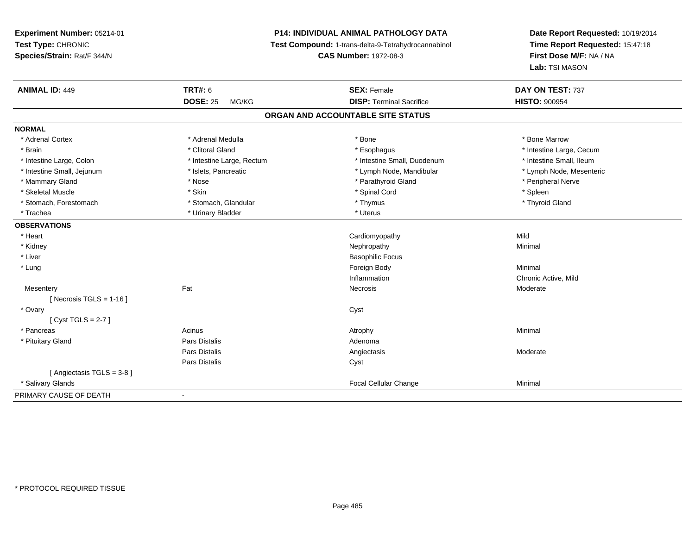## **P14: INDIVIDUAL ANIMAL PATHOLOGY DATA**

**Test Compound:** 1-trans-delta-9-Tetrahydrocannabinol

**CAS Number:** 1972-08-3

| <b>ANIMAL ID: 449</b>             | <b>TRT#: 6</b>            | <b>SEX: Female</b>              | DAY ON TEST: 737         |  |  |
|-----------------------------------|---------------------------|---------------------------------|--------------------------|--|--|
|                                   | <b>DOSE: 25</b><br>MG/KG  | <b>DISP: Terminal Sacrifice</b> | <b>HISTO: 900954</b>     |  |  |
| ORGAN AND ACCOUNTABLE SITE STATUS |                           |                                 |                          |  |  |
| <b>NORMAL</b>                     |                           |                                 |                          |  |  |
| * Adrenal Cortex                  | * Adrenal Medulla         | * Bone                          | * Bone Marrow            |  |  |
| * Brain                           | * Clitoral Gland          | * Esophagus                     | * Intestine Large, Cecum |  |  |
| * Intestine Large, Colon          | * Intestine Large, Rectum | * Intestine Small, Duodenum     | * Intestine Small, Ileum |  |  |
| * Intestine Small, Jejunum        | * Islets, Pancreatic      | * Lymph Node, Mandibular        | * Lymph Node, Mesenteric |  |  |
| * Mammary Gland                   | * Nose                    | * Parathyroid Gland             | * Peripheral Nerve       |  |  |
| * Skeletal Muscle                 | * Skin                    | * Spinal Cord                   | * Spleen                 |  |  |
| * Stomach, Forestomach            | * Stomach, Glandular      | * Thymus                        | * Thyroid Gland          |  |  |
| * Trachea                         | * Urinary Bladder         | * Uterus                        |                          |  |  |
| <b>OBSERVATIONS</b>               |                           |                                 |                          |  |  |
| * Heart                           |                           | Cardiomyopathy                  | Mild                     |  |  |
| * Kidney                          |                           | Nephropathy                     | Minimal                  |  |  |
| * Liver                           |                           | <b>Basophilic Focus</b>         |                          |  |  |
| * Lung                            |                           | Foreign Body                    | Minimal                  |  |  |
|                                   |                           | Inflammation                    | Chronic Active, Mild     |  |  |
| Mesentery                         | Fat                       | Necrosis                        | Moderate                 |  |  |
| [ Necrosis TGLS = $1-16$ ]        |                           |                                 |                          |  |  |
| * Ovary                           |                           | Cyst                            |                          |  |  |
| [Cyst TGLS = $2-7$ ]              |                           |                                 |                          |  |  |
| * Pancreas                        | Acinus                    | Atrophy                         | Minimal                  |  |  |
| * Pituitary Gland                 | Pars Distalis             | Adenoma                         |                          |  |  |
|                                   | Pars Distalis             | Angiectasis                     | Moderate                 |  |  |
|                                   | Pars Distalis             | Cyst                            |                          |  |  |
| [Angiectasis TGLS = 3-8]          |                           |                                 |                          |  |  |
| * Salivary Glands                 |                           | Focal Cellular Change           | Minimal                  |  |  |
| PRIMARY CAUSE OF DEATH            | $\blacksquare$            |                                 |                          |  |  |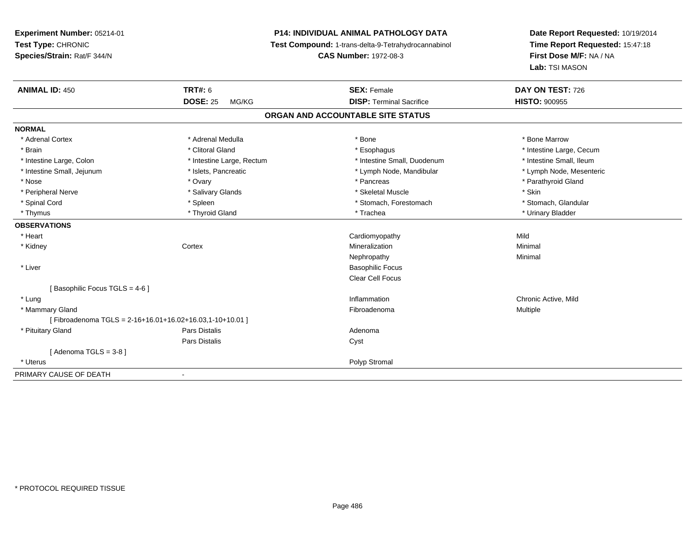## **P14: INDIVIDUAL ANIMAL PATHOLOGY DATA**

**Test Compound:** 1-trans-delta-9-Tetrahydrocannabinol

**CAS Number:** 1972-08-3

| <b>ANIMAL ID: 450</b>                                      | <b>TRT#: 6</b>            | <b>SEX: Female</b>                | DAY ON TEST: 726         |
|------------------------------------------------------------|---------------------------|-----------------------------------|--------------------------|
|                                                            | <b>DOSE: 25</b><br>MG/KG  | <b>DISP: Terminal Sacrifice</b>   | <b>HISTO: 900955</b>     |
|                                                            |                           | ORGAN AND ACCOUNTABLE SITE STATUS |                          |
| <b>NORMAL</b>                                              |                           |                                   |                          |
| * Adrenal Cortex                                           | * Adrenal Medulla         | * Bone                            | * Bone Marrow            |
| * Brain                                                    | * Clitoral Gland          | * Esophagus                       | * Intestine Large, Cecum |
| * Intestine Large, Colon                                   | * Intestine Large, Rectum | * Intestine Small, Duodenum       | * Intestine Small, Ileum |
| * Intestine Small, Jejunum                                 | * Islets, Pancreatic      | * Lymph Node, Mandibular          | * Lymph Node, Mesenteric |
| * Nose                                                     | * Ovary                   | * Pancreas                        | * Parathyroid Gland      |
| * Peripheral Nerve                                         | * Salivary Glands         | * Skeletal Muscle                 | * Skin                   |
| * Spinal Cord                                              | * Spleen                  | * Stomach, Forestomach            | * Stomach, Glandular     |
| * Thymus                                                   | * Thyroid Gland           | * Trachea                         | * Urinary Bladder        |
| <b>OBSERVATIONS</b>                                        |                           |                                   |                          |
| * Heart                                                    |                           | Cardiomyopathy                    | Mild                     |
| * Kidney                                                   | Cortex                    | Mineralization                    | Minimal                  |
|                                                            |                           | Nephropathy                       | Minimal                  |
| * Liver                                                    |                           | <b>Basophilic Focus</b>           |                          |
|                                                            |                           | Clear Cell Focus                  |                          |
| [Basophilic Focus TGLS = 4-6]                              |                           |                                   |                          |
| * Lung                                                     |                           | Inflammation                      | Chronic Active, Mild     |
| * Mammary Gland                                            |                           | Fibroadenoma                      | Multiple                 |
| [Fibroadenoma TGLS = $2-16+16.01+16.02+16.03,1-10+10.01$ ] |                           |                                   |                          |
| * Pituitary Gland                                          | Pars Distalis             | Adenoma                           |                          |
|                                                            | Pars Distalis             | Cyst                              |                          |
| [Adenoma TGLS = 3-8]                                       |                           |                                   |                          |
| * Uterus                                                   |                           | Polyp Stromal                     |                          |
| PRIMARY CAUSE OF DEATH                                     |                           |                                   |                          |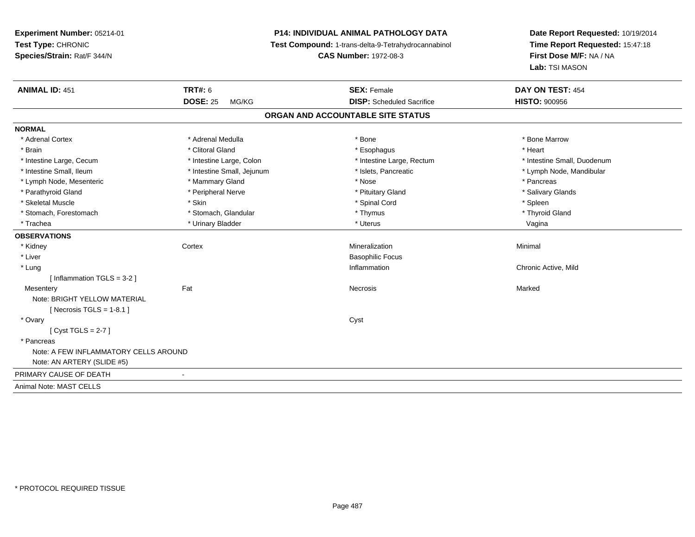## **P14: INDIVIDUAL ANIMAL PATHOLOGY DATA**

**Test Compound:** 1-trans-delta-9-Tetrahydrocannabinol

**CAS Number:** 1972-08-3

| <b>ANIMAL ID: 451</b>                 | <b>TRT#: 6</b>             | <b>SEX: Female</b>                | DAY ON TEST: 454            |  |
|---------------------------------------|----------------------------|-----------------------------------|-----------------------------|--|
|                                       | <b>DOSE: 25</b><br>MG/KG   | <b>DISP:</b> Scheduled Sacrifice  | <b>HISTO: 900956</b>        |  |
|                                       |                            | ORGAN AND ACCOUNTABLE SITE STATUS |                             |  |
| <b>NORMAL</b>                         |                            |                                   |                             |  |
| * Adrenal Cortex                      | * Adrenal Medulla          | * Bone                            | * Bone Marrow               |  |
| * Brain                               | * Clitoral Gland           | * Esophagus                       | * Heart                     |  |
| * Intestine Large, Cecum              | * Intestine Large, Colon   | * Intestine Large, Rectum         | * Intestine Small, Duodenum |  |
| * Intestine Small, Ileum              | * Intestine Small, Jejunum | * Islets, Pancreatic              | * Lymph Node, Mandibular    |  |
| * Lymph Node, Mesenteric              | * Mammary Gland            | * Nose                            | * Pancreas                  |  |
| * Parathyroid Gland                   | * Peripheral Nerve         | * Pituitary Gland                 | * Salivary Glands           |  |
| * Skeletal Muscle                     | * Skin                     | * Spinal Cord                     | * Spleen                    |  |
| * Stomach, Forestomach                | * Stomach, Glandular       | * Thymus                          | * Thyroid Gland             |  |
| * Trachea                             | * Urinary Bladder          | * Uterus                          | Vagina                      |  |
| <b>OBSERVATIONS</b>                   |                            |                                   |                             |  |
| * Kidney                              | Cortex                     | Mineralization                    | Minimal                     |  |
| * Liver                               |                            | <b>Basophilic Focus</b>           |                             |  |
| * Lung                                |                            | Inflammation                      | Chronic Active, Mild        |  |
| [Inflammation TGLS = $3-2$ ]          |                            |                                   |                             |  |
| Mesentery                             | Fat                        | Necrosis                          | Marked                      |  |
| Note: BRIGHT YELLOW MATERIAL          |                            |                                   |                             |  |
| [Necrosis TGLS = $1-8.1$ ]            |                            |                                   |                             |  |
| * Ovary                               |                            | Cyst                              |                             |  |
| [Cyst TGLS = $2-7$ ]                  |                            |                                   |                             |  |
| * Pancreas                            |                            |                                   |                             |  |
| Note: A FEW INFLAMMATORY CELLS AROUND |                            |                                   |                             |  |
| Note: AN ARTERY (SLIDE #5)            |                            |                                   |                             |  |
| PRIMARY CAUSE OF DEATH                | $\blacksquare$             |                                   |                             |  |
| Animal Note: MAST CELLS               |                            |                                   |                             |  |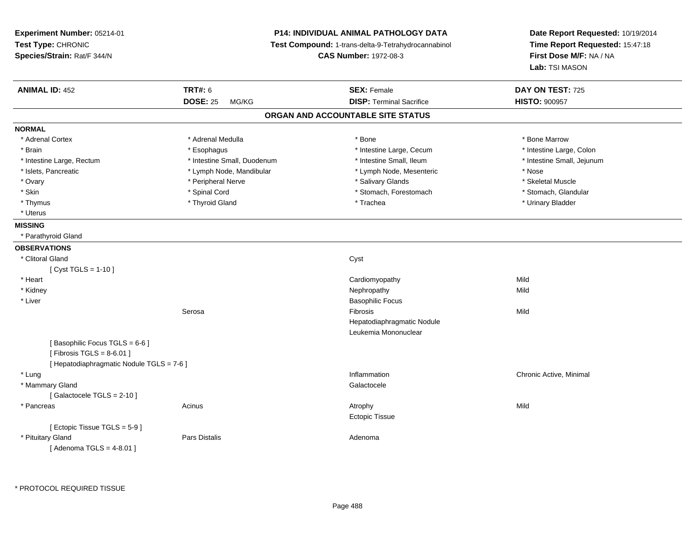| Experiment Number: 05214-01<br>Test Type: CHRONIC<br>Species/Strain: Rat/F 344/N |                                            | <b>P14: INDIVIDUAL ANIMAL PATHOLOGY DATA</b><br>Test Compound: 1-trans-delta-9-Tetrahydrocannabinol<br><b>CAS Number: 1972-08-3</b> | Date Report Requested: 10/19/2014<br>Time Report Requested: 15:47:18<br>First Dose M/F: NA / NA<br>Lab: TSI MASON |
|----------------------------------------------------------------------------------|--------------------------------------------|-------------------------------------------------------------------------------------------------------------------------------------|-------------------------------------------------------------------------------------------------------------------|
| <b>ANIMAL ID: 452</b>                                                            | <b>TRT#: 6</b><br><b>DOSE: 25</b><br>MG/KG | <b>SEX: Female</b><br><b>DISP: Terminal Sacrifice</b>                                                                               | DAY ON TEST: 725<br><b>HISTO: 900957</b>                                                                          |
|                                                                                  |                                            | ORGAN AND ACCOUNTABLE SITE STATUS                                                                                                   |                                                                                                                   |
| <b>NORMAL</b>                                                                    |                                            |                                                                                                                                     |                                                                                                                   |
| * Adrenal Cortex                                                                 | * Adrenal Medulla                          | * Bone                                                                                                                              | * Bone Marrow                                                                                                     |
| * Brain                                                                          | * Esophagus                                | * Intestine Large, Cecum                                                                                                            | * Intestine Large, Colon                                                                                          |
| * Intestine Large, Rectum                                                        | * Intestine Small, Duodenum                | * Intestine Small, Ileum                                                                                                            | * Intestine Small, Jejunum                                                                                        |
| * Islets, Pancreatic                                                             | * Lymph Node, Mandibular                   | * Lymph Node, Mesenteric                                                                                                            | * Nose                                                                                                            |
| * Ovary                                                                          | * Peripheral Nerve                         | * Salivary Glands                                                                                                                   | * Skeletal Muscle                                                                                                 |
| * Skin                                                                           | * Spinal Cord                              | * Stomach, Forestomach                                                                                                              | * Stomach, Glandular                                                                                              |
| * Thymus                                                                         | * Thyroid Gland                            | * Trachea                                                                                                                           | * Urinary Bladder                                                                                                 |
| * Uterus                                                                         |                                            |                                                                                                                                     |                                                                                                                   |
|                                                                                  |                                            |                                                                                                                                     |                                                                                                                   |
| <b>MISSING</b><br>* Parathyroid Gland                                            |                                            |                                                                                                                                     |                                                                                                                   |
|                                                                                  |                                            |                                                                                                                                     |                                                                                                                   |
| <b>OBSERVATIONS</b>                                                              |                                            |                                                                                                                                     |                                                                                                                   |
| * Clitoral Gland                                                                 |                                            | Cyst                                                                                                                                |                                                                                                                   |
| [ $Cyst TGLS = 1-10$ ]                                                           |                                            |                                                                                                                                     |                                                                                                                   |
| * Heart                                                                          |                                            | Cardiomyopathy                                                                                                                      | Mild                                                                                                              |
| * Kidney                                                                         |                                            | Nephropathy                                                                                                                         | Mild                                                                                                              |
| * Liver                                                                          |                                            | <b>Basophilic Focus</b>                                                                                                             |                                                                                                                   |
|                                                                                  | Serosa                                     | Fibrosis                                                                                                                            | Mild                                                                                                              |
|                                                                                  |                                            | Hepatodiaphragmatic Nodule                                                                                                          |                                                                                                                   |
|                                                                                  |                                            | Leukemia Mononuclear                                                                                                                |                                                                                                                   |
| [Basophilic Focus TGLS = 6-6]                                                    |                                            |                                                                                                                                     |                                                                                                                   |
| [Fibrosis TGLS = $8-6.01$ ]                                                      |                                            |                                                                                                                                     |                                                                                                                   |
| [ Hepatodiaphragmatic Nodule TGLS = 7-6 ]                                        |                                            |                                                                                                                                     |                                                                                                                   |
| * Lung                                                                           |                                            | Inflammation                                                                                                                        | Chronic Active, Minimal                                                                                           |
| * Mammary Gland                                                                  |                                            | Galactocele                                                                                                                         |                                                                                                                   |
| [Galactocele TGLS = 2-10]                                                        |                                            |                                                                                                                                     |                                                                                                                   |
| * Pancreas                                                                       | Acinus                                     | Atrophy                                                                                                                             | Mild                                                                                                              |
|                                                                                  |                                            | <b>Ectopic Tissue</b>                                                                                                               |                                                                                                                   |
| [Ectopic Tissue TGLS = 5-9]                                                      |                                            |                                                                                                                                     |                                                                                                                   |
| * Pituitary Gland                                                                | Pars Distalis                              | Adenoma                                                                                                                             |                                                                                                                   |
| [Adenoma TGLS = $4-8.01$ ]                                                       |                                            |                                                                                                                                     |                                                                                                                   |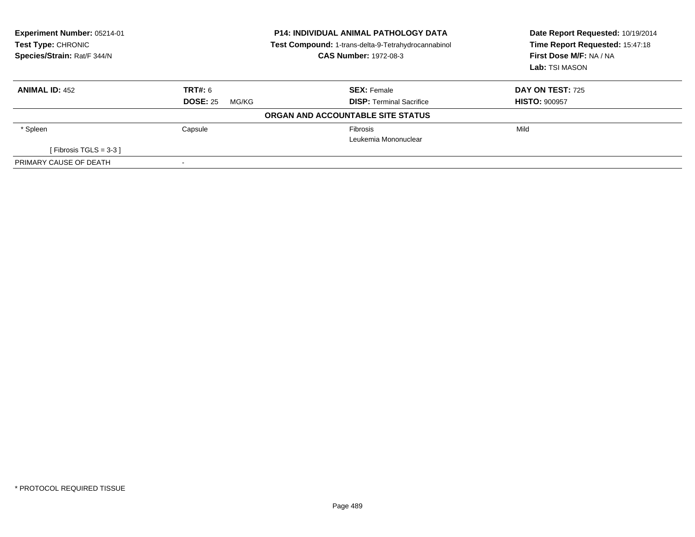| Experiment Number: 05214-01<br><b>Test Type: CHRONIC</b><br>Species/Strain: Rat/F 344/N |                          | <b>P14: INDIVIDUAL ANIMAL PATHOLOGY DATA</b><br>Test Compound: 1-trans-delta-9-Tetrahydrocannabinol<br><b>CAS Number: 1972-08-3</b> | Date Report Requested: 10/19/2014<br>Time Report Requested: 15:47:18<br>First Dose M/F: NA / NA<br>Lab: TSI MASON |
|-----------------------------------------------------------------------------------------|--------------------------|-------------------------------------------------------------------------------------------------------------------------------------|-------------------------------------------------------------------------------------------------------------------|
| <b>ANIMAL ID: 452</b>                                                                   | TRT#: 6                  | <b>SEX: Female</b>                                                                                                                  | <b>DAY ON TEST: 725</b>                                                                                           |
|                                                                                         | <b>DOSE: 25</b><br>MG/KG | <b>DISP: Terminal Sacrifice</b>                                                                                                     | <b>HISTO: 900957</b>                                                                                              |
|                                                                                         |                          | ORGAN AND ACCOUNTABLE SITE STATUS                                                                                                   |                                                                                                                   |
| * Spleen                                                                                | Capsule                  | Fibrosis<br>Leukemia Mononuclear                                                                                                    | Mild                                                                                                              |
| [Fibrosis TGLS = $3-3$ ]                                                                |                          |                                                                                                                                     |                                                                                                                   |
| PRIMARY CAUSE OF DEATH                                                                  |                          |                                                                                                                                     |                                                                                                                   |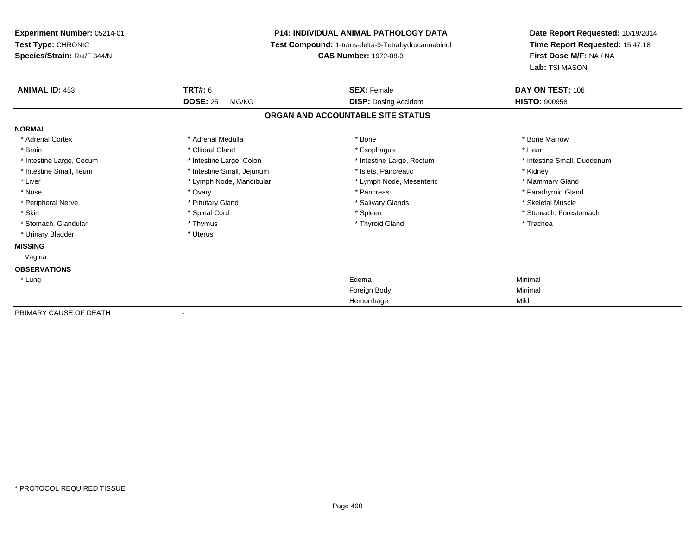| Experiment Number: 05214-01<br>Test Type: CHRONIC<br>Species/Strain: Rat/F 344/N |                            | <b>P14: INDIVIDUAL ANIMAL PATHOLOGY DATA</b><br>Test Compound: 1-trans-delta-9-Tetrahydrocannabinol<br><b>CAS Number: 1972-08-3</b> | Date Report Requested: 10/19/2014<br>Time Report Requested: 15:47:18<br>First Dose M/F: NA / NA<br>Lab: TSI MASON |
|----------------------------------------------------------------------------------|----------------------------|-------------------------------------------------------------------------------------------------------------------------------------|-------------------------------------------------------------------------------------------------------------------|
| <b>ANIMAL ID: 453</b>                                                            | <b>TRT#: 6</b>             | <b>SEX: Female</b>                                                                                                                  | DAY ON TEST: 106                                                                                                  |
|                                                                                  | <b>DOSE: 25</b><br>MG/KG   | <b>DISP: Dosing Accident</b>                                                                                                        | <b>HISTO: 900958</b>                                                                                              |
|                                                                                  |                            | ORGAN AND ACCOUNTABLE SITE STATUS                                                                                                   |                                                                                                                   |
| <b>NORMAL</b>                                                                    |                            |                                                                                                                                     |                                                                                                                   |
| * Adrenal Cortex                                                                 | * Adrenal Medulla          | * Bone                                                                                                                              | * Bone Marrow                                                                                                     |
| * Brain                                                                          | * Clitoral Gland           | * Esophagus                                                                                                                         | * Heart                                                                                                           |
| * Intestine Large, Cecum                                                         | * Intestine Large, Colon   | * Intestine Large, Rectum                                                                                                           | * Intestine Small, Duodenum                                                                                       |
| * Intestine Small, Ileum                                                         | * Intestine Small, Jejunum | * Islets, Pancreatic                                                                                                                | * Kidney                                                                                                          |
| * Liver                                                                          | * Lymph Node, Mandibular   | * Lymph Node, Mesenteric                                                                                                            | * Mammary Gland                                                                                                   |
| * Nose                                                                           | * Ovary                    | * Pancreas                                                                                                                          | * Parathyroid Gland                                                                                               |
| * Peripheral Nerve                                                               | * Pituitary Gland          | * Salivary Glands                                                                                                                   | * Skeletal Muscle                                                                                                 |
| * Skin                                                                           | * Spinal Cord              | * Spleen                                                                                                                            | * Stomach, Forestomach                                                                                            |
| * Stomach, Glandular                                                             | * Thymus                   | * Thyroid Gland                                                                                                                     | * Trachea                                                                                                         |
| * Urinary Bladder                                                                | * Uterus                   |                                                                                                                                     |                                                                                                                   |
| <b>MISSING</b>                                                                   |                            |                                                                                                                                     |                                                                                                                   |
| Vagina                                                                           |                            |                                                                                                                                     |                                                                                                                   |
| <b>OBSERVATIONS</b>                                                              |                            |                                                                                                                                     |                                                                                                                   |
| * Lung                                                                           |                            | Edema                                                                                                                               | Minimal                                                                                                           |
|                                                                                  |                            | Foreign Body                                                                                                                        | Minimal                                                                                                           |
|                                                                                  |                            | Hemorrhage                                                                                                                          | Mild                                                                                                              |
| PRIMARY CAUSE OF DEATH                                                           |                            |                                                                                                                                     |                                                                                                                   |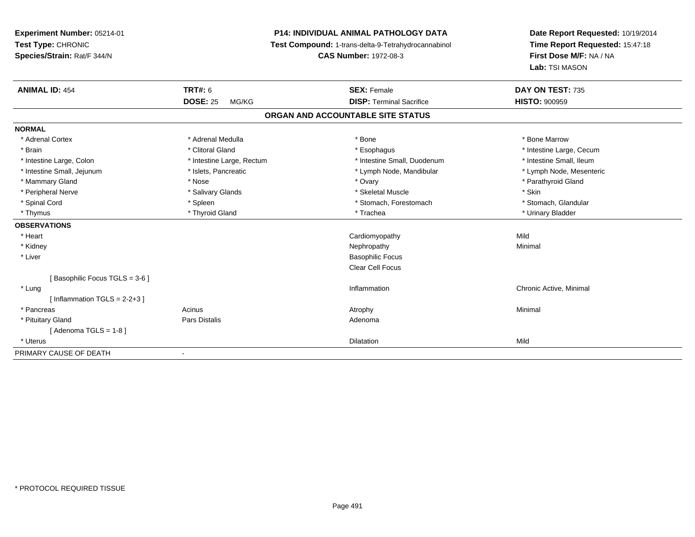**Experiment Number:** 05214-01**Test Type:** CHRONIC **Species/Strain:** Rat/F 344/N**P14: INDIVIDUAL ANIMAL PATHOLOGY DATA Test Compound:** 1-trans-delta-9-Tetrahydrocannabinol **CAS Number:** 1972-08-3**Date Report Requested:** 10/19/2014**Time Report Requested:** 15:47:18**First Dose M/F:** NA / NA**Lab:** TSI MASON**ANIMAL ID:** 454**TRT#:** 6 **SEX:** Female **SEX: Female DAY ON TEST:** 735 **DOSE:** 25 MG/KG**DISP:** Terminal Sacrifice **HISTO:**  $900959$ **ORGAN AND ACCOUNTABLE SITE STATUSNORMAL**\* Adrenal Cortex \* Adrenal Medulla \* Adrenal Medulla \* Bone \* Bone \* Bone \* Bone \* Bone Marrow \* Brain \* Alternation of the state of the state of the state of the state of the state of the state of the state of the state of the state of the state of the state of the state of the state of the state of the state of th \* Intestine Small, Ileum \* Intestine Large, Colon \* Intestine Large, Rectum \* Intestine Small, Duodenum \* Intestine Small, Duodenum \* Lymph Node, Mesenteric \* Intestine Small, Jejunum \* Mandibular \* Islets, Pancreatic \* Mandibular \* Lymph Node, Mandibular \* Mammary Gland \* Nose \* Nose \* Nose \* Nose \* Ovary \* Ovary \* The magnetic state of the state of the state of the state of the state of the state of the state of the state of the state of the state of the state of the stat \* Peripheral Nerve \* Salivary Glands \* Skeletal Muscle \* Skin\* Stomach. Glandular \* Spinal Cord **\* Stomach, Forestomach \* Spinal Cord \*** Stomach, Forestomach \* Stomach, Forestomach \* Thymus \* Thyroid Gland \* Trachea \* Urinary Bladder \* **OBSERVATIONS** \* Heart Cardiomyopathyy Mild Minimal \* Kidneyy the control of the control of the control of the control of the control of the control of the control of the control of the control of the control of the control of the control of the control of the control of the contro \* Liver Basophilic Focus Clear Cell Focus[ Basophilic Focus TGLS = 3-6 ] \* Lungg is a controller to the controller of the controller of the chronic Active, Minimal of the chronic Active, Minimal of the chronic Active, Minimal of the chronic Active, Minimal of the chronic Active, Minimal of the chroni  $[$  Inflammation TGLS = 2-2+3  $]$  \* Pancreass the control of the control of the control of the control of the control of the control of the control of the control of the control of the control of the control of the control of the control of the control of the contro \* Pituitary Glandd and the contract of Pars Distalis and the contract of Adenoma and Adenoma and the Adenoma and the Adenoma and  $\alpha$  $[$  Adenoma TGLS = 1-8  $]$  \* Uteruss and the contract of the contract of the contract of the contract of the contract of the contract of the contract of the contract of the contract of the contract of the contract of the contract of the contract of the cont n Mild PRIMARY CAUSE OF DEATH-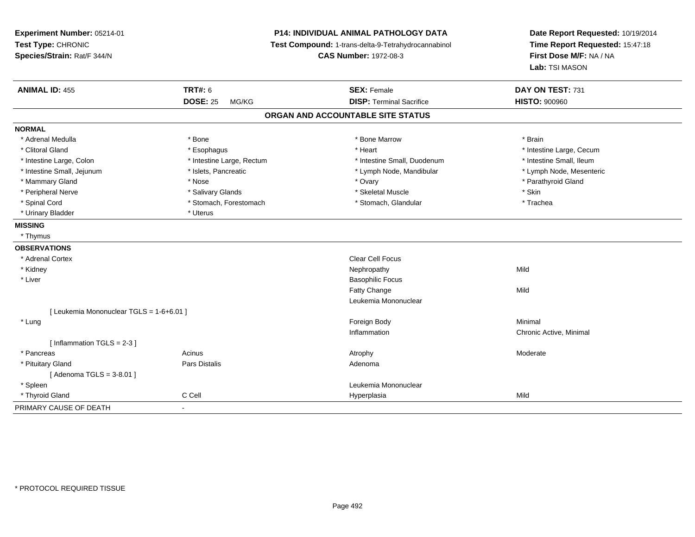| Experiment Number: 05214-01<br>Test Type: CHRONIC<br>Species/Strain: Rat/F 344/N |                           | P14: INDIVIDUAL ANIMAL PATHOLOGY DATA<br>Test Compound: 1-trans-delta-9-Tetrahydrocannabinol<br><b>CAS Number: 1972-08-3</b> | Date Report Requested: 10/19/2014<br>Time Report Requested: 15:47:18<br>First Dose M/F: NA / NA<br>Lab: TSI MASON |
|----------------------------------------------------------------------------------|---------------------------|------------------------------------------------------------------------------------------------------------------------------|-------------------------------------------------------------------------------------------------------------------|
| <b>ANIMAL ID: 455</b>                                                            | <b>TRT#: 6</b>            | <b>SEX: Female</b>                                                                                                           | DAY ON TEST: 731                                                                                                  |
|                                                                                  | <b>DOSE: 25</b><br>MG/KG  | <b>DISP: Terminal Sacrifice</b>                                                                                              | <b>HISTO: 900960</b>                                                                                              |
|                                                                                  |                           | ORGAN AND ACCOUNTABLE SITE STATUS                                                                                            |                                                                                                                   |
| <b>NORMAL</b>                                                                    |                           |                                                                                                                              |                                                                                                                   |
| * Adrenal Medulla                                                                | * Bone                    | * Bone Marrow                                                                                                                | * Brain                                                                                                           |
| * Clitoral Gland                                                                 | * Esophagus               | * Heart                                                                                                                      | * Intestine Large, Cecum                                                                                          |
| * Intestine Large, Colon                                                         | * Intestine Large, Rectum | * Intestine Small, Duodenum                                                                                                  | * Intestine Small, Ileum                                                                                          |
| * Intestine Small, Jejunum                                                       | * Islets, Pancreatic      | * Lymph Node, Mandibular                                                                                                     | * Lymph Node, Mesenteric                                                                                          |
| * Mammary Gland                                                                  | * Nose                    | * Ovary                                                                                                                      | * Parathyroid Gland                                                                                               |
| * Peripheral Nerve                                                               | * Salivary Glands         | * Skeletal Muscle                                                                                                            | * Skin                                                                                                            |
| * Spinal Cord                                                                    | * Stomach, Forestomach    | * Stomach, Glandular                                                                                                         | * Trachea                                                                                                         |
| * Urinary Bladder                                                                | * Uterus                  |                                                                                                                              |                                                                                                                   |
| <b>MISSING</b>                                                                   |                           |                                                                                                                              |                                                                                                                   |
| * Thymus                                                                         |                           |                                                                                                                              |                                                                                                                   |
| <b>OBSERVATIONS</b>                                                              |                           |                                                                                                                              |                                                                                                                   |
| * Adrenal Cortex                                                                 |                           | Clear Cell Focus                                                                                                             |                                                                                                                   |
| * Kidney                                                                         |                           | Nephropathy                                                                                                                  | Mild                                                                                                              |
| * Liver                                                                          |                           | <b>Basophilic Focus</b>                                                                                                      |                                                                                                                   |
|                                                                                  |                           | Fatty Change                                                                                                                 | Mild                                                                                                              |
|                                                                                  |                           | Leukemia Mononuclear                                                                                                         |                                                                                                                   |
| [ Leukemia Mononuclear TGLS = 1-6+6.01 ]                                         |                           |                                                                                                                              |                                                                                                                   |
| * Lung                                                                           |                           | Foreign Body                                                                                                                 | Minimal                                                                                                           |
|                                                                                  |                           | Inflammation                                                                                                                 | Chronic Active, Minimal                                                                                           |
| [Inflammation TGLS = $2-3$ ]                                                     |                           |                                                                                                                              |                                                                                                                   |
| * Pancreas                                                                       | Acinus                    | Atrophy                                                                                                                      | Moderate                                                                                                          |
| * Pituitary Gland                                                                | Pars Distalis             | Adenoma                                                                                                                      |                                                                                                                   |
| [Adenoma TGLS = $3-8.01$ ]                                                       |                           |                                                                                                                              |                                                                                                                   |
| * Spleen                                                                         |                           | Leukemia Mononuclear                                                                                                         |                                                                                                                   |
| * Thyroid Gland                                                                  | C Cell                    | Hyperplasia                                                                                                                  | Mild                                                                                                              |
| PRIMARY CAUSE OF DEATH                                                           | $\overline{a}$            |                                                                                                                              |                                                                                                                   |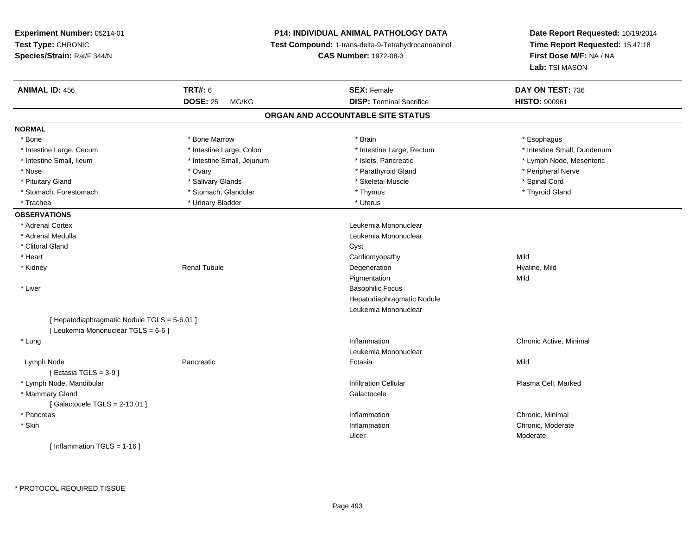**Experiment Number:** 05214-01**Test Type:** CHRONIC **Species/Strain:** Rat/F 344/N**P14: INDIVIDUAL ANIMAL PATHOLOGY DATA Test Compound:** 1-trans-delta-9-Tetrahydrocannabinol **CAS Number:** 1972-08-3**Date Report Requested:** 10/19/2014**Time Report Requested:** 15:47:18**First Dose M/F:** NA / NA**Lab:** TSI MASON**ANIMAL ID:** 456 **TRT#:** <sup>6</sup> **SEX:** Female **DAY ON TEST:** <sup>736</sup> **DOSE:** 25 MG/KG**DISP:** Terminal Sacrifice **HISTO:** 900961 **ORGAN AND ACCOUNTABLE SITE STATUSNORMAL**\* Bone \* Bone \* Bone Marrow \* Brain \* Esophagus \* Intestine Large, Cecum \* \* Intestine Large, Colon \* Mestine Large, Rectum \* Intestine Large, Rectum \* Intestine Small, Duodenum \* Intestine Small, Ileum \* \* Thestine Small, Jejunum \* \* Slets, Pancreatic \* \* Thestine Small, Nejerum \* Lymph Node, Mesenteric \* \* Nose \* Ovary \* Parathyroid Gland \* Peripheral Nerve \* \* Peripheral Nerve \* Pituitary Gland \* \* \* Shiwary Glands \* \* Salivary Glands \* \* Skeletal Muscle \* \* Steletal Muscle \* \* Spinal Cord \* Thyroid Gland \* Stomach, Forestomach \* Thymus \* Stomach, Glandular \* Thymus \* Thymus \* Thymus \* Thymus \* Thymus \* Thymus \* Thymus \* Thymus \* Thymus \* Thymus \* Thymus \* Thymus \* Thymus \* Thymus \* Thymus \* Thymus \* Thymus \* Thymus \* Thymu \* Trachea \* Urinary Bladder \* Urinary Bladder \* Urinary Bladder \* Uterus **OBSERVATIONS** \* Adrenal Cortex Leukemia Mononuclear \* Adrenal Medulla Leukemia Mononuclear \* Clitoral Glandd and the contract of the contract of the contract of the contract of the contract of the contract of the contract of the contract of the contract of the contract of the contract of the contract of the contract of the cont \* Heart Cardiomyopathyy Mild Hyaline, Mild \* Kidney Renal Tubule Degeneration Hyaline, Mild Pigmentationn Mild \* Liver Basophilic Focus Hepatodiaphragmatic NoduleLeukemia Mononuclear[ Hepatodiaphragmatic Nodule TGLS = 5-6.01 ][ Leukemia Mononuclear TGLS = 6-6 ] \* Lungg is a controller to the controller of the controller of the chronic Active, Minimal of the chronic Active, Minimal of the chronic Active, Minimal of the chronic Active, Minimal of the chronic Active, Minimal of the chroni Leukemia Mononuclear Lymph Nodee entry the particle of the particle of the control of the Ectasia Changes of the Mild  $[$  Ectasia TGLS = 3-9  $]$  \* Lymph Node, MandibularInfiltration Cellular Plasma Cell, Marked (Plasma Cell, Marked Unit of Telesia) and the Infiltration Cellular \* Mammary Glandd Galactocele in the control of the control of the control of the Calactocele in the Calactocele  $[$  Galactocele TGLS = 2-10.01  $]$  \* Pancreass and the contract of the contract of the contract of the contract of the contract of the contract of the contract of the contract of the contract of the contract of the contract of the contract of the contract of the cont Inflammation **Chronic, Minimal**<br>
Inflammation **Chronic** Chronic, Moderate \* Skinn and the chronic, Moderate and the chronic method of the chronic method of the chronic method of the chronic, Moderate  $\Gamma$ Ulcer Moderate[ Inflammation TGLS = 1-16 ]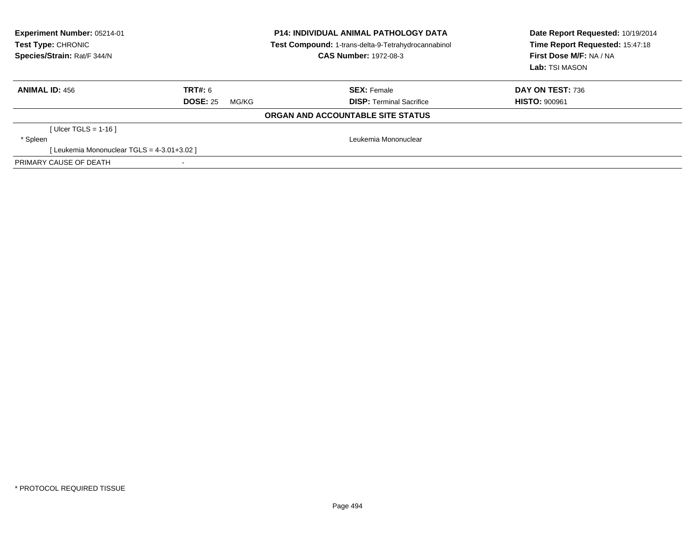| <b>Experiment Number: 05214-01</b><br>Test Type: CHRONIC<br>Species/Strain: Rat/F 344/N |                          | <b>P14: INDIVIDUAL ANIMAL PATHOLOGY DATA</b><br>Test Compound: 1-trans-delta-9-Tetrahydrocannabinol<br><b>CAS Number: 1972-08-3</b> | Date Report Requested: 10/19/2014<br>Time Report Requested: 15:47:18<br>First Dose M/F: NA / NA<br>Lab: TSI MASON |
|-----------------------------------------------------------------------------------------|--------------------------|-------------------------------------------------------------------------------------------------------------------------------------|-------------------------------------------------------------------------------------------------------------------|
| <b>ANIMAL ID: 456</b>                                                                   | TRT#: 6                  | <b>SEX: Female</b>                                                                                                                  | DAY ON TEST: 736                                                                                                  |
|                                                                                         | <b>DOSE: 25</b><br>MG/KG | <b>DISP:</b> Terminal Sacrifice                                                                                                     | <b>HISTO: 900961</b>                                                                                              |
|                                                                                         |                          | ORGAN AND ACCOUNTABLE SITE STATUS                                                                                                   |                                                                                                                   |
| [Ulcer TGLS = 1-16]                                                                     |                          |                                                                                                                                     |                                                                                                                   |
| * Spleen                                                                                |                          | Leukemia Mononuclear                                                                                                                |                                                                                                                   |
| [Leukemia Mononuclear TGLS = 4-3.01+3.02 ]                                              |                          |                                                                                                                                     |                                                                                                                   |
| PRIMARY CAUSE OF DEATH                                                                  |                          |                                                                                                                                     |                                                                                                                   |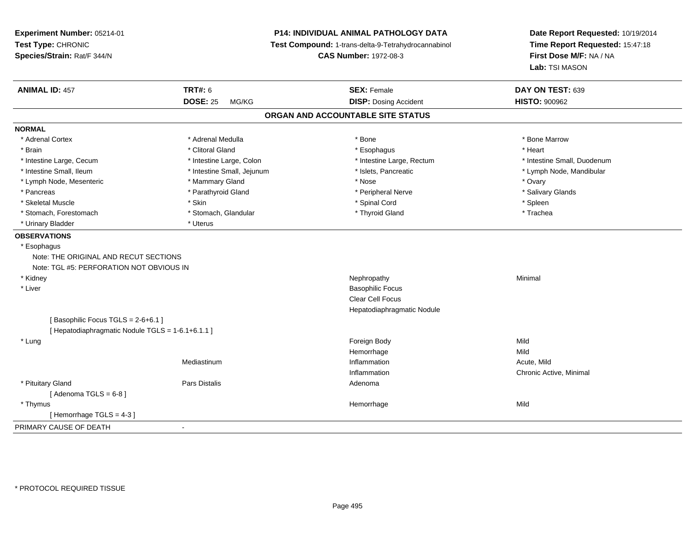**Experiment Number:** 05214-01**Test Type:** CHRONIC **Species/Strain:** Rat/F 344/N**P14: INDIVIDUAL ANIMAL PATHOLOGY DATA Test Compound:** 1-trans-delta-9-Tetrahydrocannabinol **CAS Number:** 1972-08-3**Date Report Requested:** 10/19/2014**Time Report Requested:** 15:47:18**First Dose M/F:** NA / NA**Lab:** TSI MASON**ANIMAL ID:** 457**TRT#:** 6 **SEX:** Female **SEX: Female DAY ON TEST:** 639 **DOSE:** 25 MG/KG**DISP:** Dosing Accident **HISTO:**  $900962$ **ORGAN AND ACCOUNTABLE SITE STATUSNORMAL**\* Adrenal Cortex \* Adrenal Medulla \* Adrenal Medulla \* Bone \* Bone \* Bone \* Bone \* Bone Marrow \* Brain \* Alternative of the state of the state of the state of the state of the state of the state of the state of the state of the state of the state of the state of the state of the state of the state of the state of th \* Intestine Large, Cecum \* Intestine Large, Colon \* Intestine Large, Rectum \* Intestine Small, Duodenum\* Intestine Small, Ileum \* \* Thestine Small, Jejunum \* \* Sets, Pancreatic \* \* Thestine Small, Nejunum \* Lymph Node, Mandibular \* Lymph Node, Mesenteric \* \* \* Mammary Gland \* \* Nose \* Nose \* 0vary \* Ovary \* Ovary \* Ovary \* Salivary Glands \* Pancreas \* And the section of the section of the section of the section of the section of the section of the section of the section of the section of the section of the section of the section of the section of the sectio \* Skeletal Muscle \* Skin \* Spinal Cord \* Spleen \* Trachea \* Stomach, Forestomach \* Thyroid Gland \* Stomach, Glandular \* Thyroid Gland \* Thyroid Gland \* Urinary Bladder \* Uterus **OBSERVATIONS** \* Esophagus Note: THE ORIGINAL AND RECUT SECTIONS Note: TGL #5: PERFORATION NOT OBVIOUS IN \* Kidneyy the control of the control of the control of the control of the control of the control of the control of the control of the control of the control of the control of the control of the control of the control of the contro \* Liver Basophilic Focus Clear Cell Focus Hepatodiaphragmatic Nodule[ Basophilic Focus TGLS = 2-6+6.1 ][ Hepatodiaphragmatic Nodule TGLS = 1-6.1+6.1.1 ] \* Lungg and the state of the state of the state of the state of the state of the state of the state of the state of the state of the state of the state of the state of the state of the state of the state of the state of the stat Hemorrhagee Mild Mediastinumm and the contract of the contraction of the contract of the contract of the contract of the contract of the contract of the contract of the contract of the contract of the contract of the contract of the contract of the c Inflammation Chronic Active, Minimal \* Pituitary Glandd and the contract of Pars Distalis and the contract of Adenoma and Adenoma and the Adenoma and the Adenoma and  $\alpha$  $[$  Adenoma TGLS =  $6-8$ ] \* Thymuss and the control of the control of the control of the control of the control of the control of the control of the control of the control of the control of the control of the control of the control of the control of the co e Mild [ Hemorrhage TGLS = 4-3 ]PRIMARY CAUSE OF DEATH-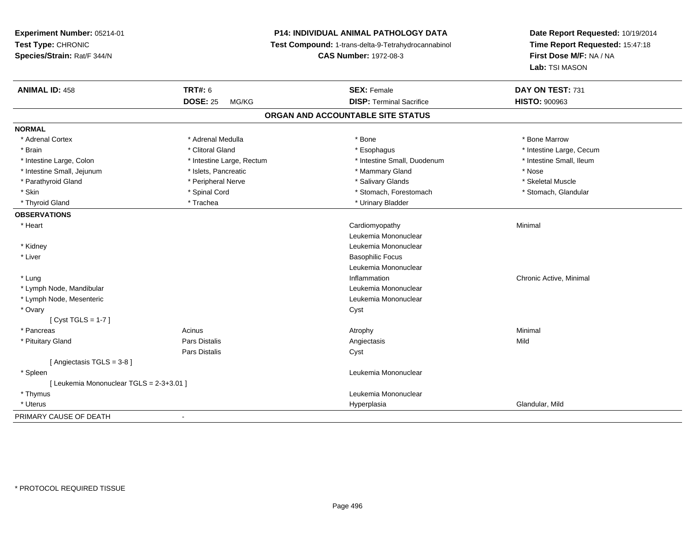**Experiment Number:** 05214-01**Test Type:** CHRONIC **Species/Strain:** Rat/F 344/N**P14: INDIVIDUAL ANIMAL PATHOLOGY DATA Test Compound:** 1-trans-delta-9-Tetrahydrocannabinol **CAS Number:** 1972-08-3**Date Report Requested:** 10/19/2014**Time Report Requested:** 15:47:18**First Dose M/F:** NA / NA**Lab:** TSI MASON**ANIMAL ID:** 458**TRT#:** 6 **SEX:** Female **SEX: Female DAY ON TEST:** 731 **DOSE:** 25 MG/KG **DISP:** Terminal Sacrifice **HISTO:** <sup>900963</sup> **ORGAN AND ACCOUNTABLE SITE STATUSNORMAL**\* Adrenal Cortex \* Adrenal Medulla \* Adrenal Medulla \* Bone \* Bone \* Bone \* Bone \* Bone Marrow \* Brain \* Alternation of the state of the state of the state of the state of the state of the state of the state of the state of the state of the state of the state of the state of the state of the state of the state of th \* Intestine Small. Ileum \* Intestine Large, Colon \* Intestine Large, Rectum \* Intestine Small, Duodenum \* Intestine Small, Duodenum \* Intestine Small, Jejunum \* Mose \* \* Islets, Pancreatic \* \* Mammary Gland \* Mammary Gland \* Nose \* Skeletal Muscle \* Parathyroid Gland \* Nerve \* Peripheral Nerve \* Salivary Glands \* Salivary Glands \* Stomach, Glandular \* Skin \* Spinal Cord \* Spinal Cord \* Stomach, Forestomach \* Stomach, Forestomach \* Thyroid Gland \* Trachea \* Trachea \* Trachea \* Thyroid Gland \* Urinary Bladder **OBSERVATIONS** \* Heart Cardiomyopathy Minimal Leukemia Mononuclear \* Kidney Leukemia Mononuclear \* Liver Basophilic Focus Leukemia Mononuclear \* Lungg is a controller to the controller of the controller of the chronic Active, Minimal of the chronic Active, Minimal of the chronic Active, Minimal of the chronic Active, Minimal of the chronic Active, Minimal of the chroni \* Lymph Node, Mandibular Leukemia Mononuclear \* Lymph Node, Mesenteric Leukemia Mononuclear \* Ovaryy cystem in the control of the control of the control of the control of the control of the control of the control of the control of the control of the control of the control of the control of the control of the control of [ Cyst TGLS = 1-7 ] \* Pancreass the control of the control of the control of the control of the control of the control of the control of the control of the control of the control of the control of the control of the control of the control of the contro \* Pituitary Gland Pars Distalis Angiectasis Mild Pars Distaliss Cyst [ Angiectasis TGLS = 3-8 ] \* Spleen Leukemia Mononuclear [ Leukemia Mononuclear TGLS = 2-3+3.01 ] \* Thymus Leukemia Mononuclear \* Uteruss and the contract of the contract of the contract of the contract of the contract of the contract of the contract of the contract of the contract of the contract of the contract of the contract of the contract of the cont Hyperplasia **Glandular**, Mild PRIMARY CAUSE OF DEATH-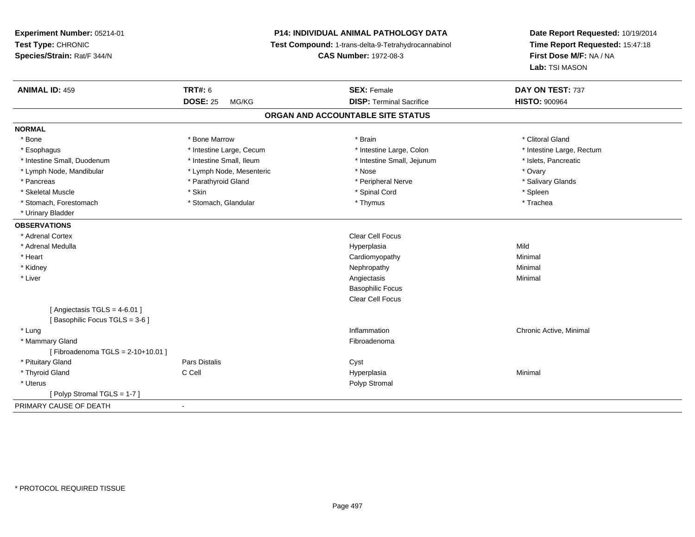| Experiment Number: 05214-01      |                                                                                     | P14: INDIVIDUAL ANIMAL PATHOLOGY DATA | Date Report Requested: 10/19/2014<br>Time Report Requested: 15:47:18<br>First Dose M/F: NA / NA |
|----------------------------------|-------------------------------------------------------------------------------------|---------------------------------------|-------------------------------------------------------------------------------------------------|
| Test Type: CHRONIC               | Test Compound: 1-trans-delta-9-Tetrahydrocannabinol<br><b>CAS Number: 1972-08-3</b> |                                       |                                                                                                 |
| Species/Strain: Rat/F 344/N      |                                                                                     |                                       |                                                                                                 |
|                                  |                                                                                     |                                       | Lab: TSI MASON                                                                                  |
| <b>ANIMAL ID: 459</b>            | <b>TRT#: 6</b>                                                                      | <b>SEX: Female</b>                    | DAY ON TEST: 737                                                                                |
|                                  | <b>DOSE: 25</b><br>MG/KG                                                            | <b>DISP: Terminal Sacrifice</b>       | <b>HISTO: 900964</b>                                                                            |
|                                  |                                                                                     | ORGAN AND ACCOUNTABLE SITE STATUS     |                                                                                                 |
| <b>NORMAL</b>                    |                                                                                     |                                       |                                                                                                 |
| * Bone                           | * Bone Marrow                                                                       | * Brain                               | * Clitoral Gland                                                                                |
| * Esophagus                      | * Intestine Large, Cecum                                                            | * Intestine Large, Colon              | * Intestine Large, Rectum                                                                       |
| * Intestine Small, Duodenum      | * Intestine Small, Ileum                                                            | * Intestine Small, Jejunum            | * Islets, Pancreatic                                                                            |
| * Lymph Node, Mandibular         | * Lymph Node, Mesenteric                                                            | * Nose                                | * Ovary                                                                                         |
| * Pancreas                       | * Parathyroid Gland                                                                 | * Peripheral Nerve                    | * Salivary Glands                                                                               |
| * Skeletal Muscle                | * Skin                                                                              | * Spinal Cord                         | * Spleen                                                                                        |
| * Stomach, Forestomach           | * Stomach, Glandular                                                                | * Thymus                              | * Trachea                                                                                       |
| * Urinary Bladder                |                                                                                     |                                       |                                                                                                 |
| <b>OBSERVATIONS</b>              |                                                                                     |                                       |                                                                                                 |
| * Adrenal Cortex                 |                                                                                     | Clear Cell Focus                      |                                                                                                 |
| * Adrenal Medulla                |                                                                                     | Hyperplasia                           | Mild                                                                                            |
| * Heart                          |                                                                                     | Cardiomyopathy                        | Minimal                                                                                         |
| * Kidney                         |                                                                                     | Nephropathy                           | Minimal                                                                                         |
| * Liver                          |                                                                                     | Angiectasis                           | Minimal                                                                                         |
|                                  |                                                                                     | <b>Basophilic Focus</b>               |                                                                                                 |
|                                  |                                                                                     | <b>Clear Cell Focus</b>               |                                                                                                 |
| [Angiectasis TGLS = $4-6.01$ ]   |                                                                                     |                                       |                                                                                                 |
| [Basophilic Focus TGLS = 3-6]    |                                                                                     |                                       |                                                                                                 |
| * Lung                           |                                                                                     | Inflammation                          | Chronic Active, Minimal                                                                         |
| * Mammary Gland                  |                                                                                     | Fibroadenoma                          |                                                                                                 |
| [Fibroadenoma TGLS = 2-10+10.01] |                                                                                     |                                       |                                                                                                 |
| * Pituitary Gland                | Pars Distalis                                                                       | Cyst                                  |                                                                                                 |
| * Thyroid Gland                  | C Cell                                                                              | Hyperplasia                           | Minimal                                                                                         |
| * Uterus                         |                                                                                     | Polyp Stromal                         |                                                                                                 |
| [Polyp Stromal TGLS = 1-7]       |                                                                                     |                                       |                                                                                                 |
| PRIMARY CAUSE OF DEATH           | $\sim$                                                                              |                                       |                                                                                                 |
|                                  |                                                                                     |                                       |                                                                                                 |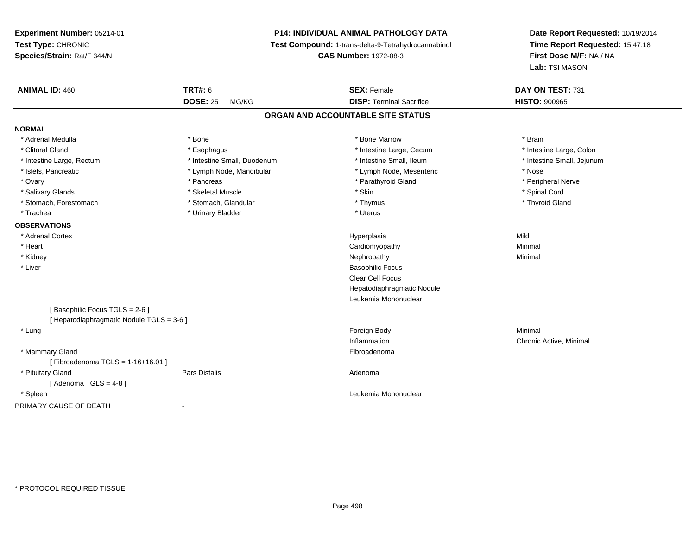**Experiment Number:** 05214-01**Test Type:** CHRONIC **Species/Strain:** Rat/F 344/N**P14: INDIVIDUAL ANIMAL PATHOLOGY DATA Test Compound:** 1-trans-delta-9-Tetrahydrocannabinol **CAS Number:** 1972-08-3**Date Report Requested:** 10/19/2014**Time Report Requested:** 15:47:18**First Dose M/F:** NA / NA**Lab:** TSI MASON**ANIMAL ID:** 460**C TRT#:** 6 **SEX:** Female **SEX: Female DAY ON TEST:** 731 **DOSE:** 25 MG/KG**DISP:** Terminal Sacrifice **HISTO:**  $900965$ **ORGAN AND ACCOUNTABLE SITE STATUSNORMAL**\* Adrenal Medulla \* \* Annual Medulla \* Brain \* Bone \* \* Bone Marrow \* Bone Marrow \* \* Brain \* Brain \* Brain \* Brain \* Brain \* Brain \* Brain \* Brain \* Brain \* Brain \* Brain \* Brain \* Brain \* Brain \* Brain \* Brain \* Brain \* \* Intestine Large, Colon \* Clitoral Gland \* **Exophagus \* Exophagus \*** The strain that the large, Cecum \* intestine Large, Cecum \* Intestine Large, Rectum \* Thestine Small, Duodenum \* Number of the small, Ileum \* Intestine Small, Jejunum \* Intestine Small, Jejunum \* Islets, Pancreatic \* The same \* Lymph Node, Mandibular \* Lymph Node, Mesenteric \* Nose \* Nose \* Peripheral Nerve \* Ovary \* And the second of the second of the second version of the second version of the second version of the second version of the second version of the second version of the second version of the second version of the \* Salivary Glands \* \* Steeden \* \* Skeletal Muscle \* \* Skin \* \* Skin \* \* Steeden \* Spinal Cord \* Spinal Cord \* Spinal Cord \* Spinal Cord \* Spinal Cord \* Spinal Cord \* Spinal Cord \* Spinal Cord \* Spinal Cord \* Spinal Cord \* \* Thyroid Gland \* Stomach, Forestomach \* Thymus \* Stomach, Glandular \* Thymus \* Thymus \* Thymus \* Thymus \* Thymus \* Thymus \* Thymus \* Thymus \* Thymus \* Thymus \* Thymus \* Thymus \* Thymus \* Thymus \* Thymus \* Thymus \* Thymus \* Thymus \* Thymu \* Trachea \* Urinary Bladder \* Urinary Bladder \* Urinary Bladder \* Uterus **OBSERVATIONS** \* Adrenal Cortexx and the contract of the contract of the contract of the contract of the contract of the contract of the contract of the contract of the contract of the contract of the contract of the contract of the contract of the cont a Mild \* Heart Cardiomyopathy Minimal \* Kidneyy the control of the control of the control of the control of the control of the control of the control of the control of the control of the control of the control of the control of the control of the control of the contro \* Liver Basophilic Focus Clear Cell Focus Hepatodiaphragmatic NoduleLeukemia Mononuclear[ Basophilic Focus TGLS = 2-6 ][ Hepatodiaphragmatic Nodule TGLS = 3-6 ] \* Lungg and the state of the state of the state of the state of the state of the state of the state of the state of the state of the state of the state of the state of the state of the state of the state of the state of the stat InflammationInflammation **Exercise 2 12 September 2 12 September 2 Active**, Minimal Fibroadenoma \* Mammary Glandd **Executive Contract of the Contract Contract Contract Contract Contract Contract Contract Contract Contract Contract Contract Contract Contract Contract Contract Contract Contract Contract Contract Contract Contract Cont**  $[$  Fibroadenoma TGLS = 1-16+16.01  $]$  \* Pituitary Glandd and the contract of Pars Distalis and the contract of Adenoma and Adenoma and the Adenoma and the Adenoma and  $\alpha$  $[$  Adenoma TGLS = 4-8  $]$  \* Spleen Leukemia Mononuclear PRIMARY CAUSE OF DEATH-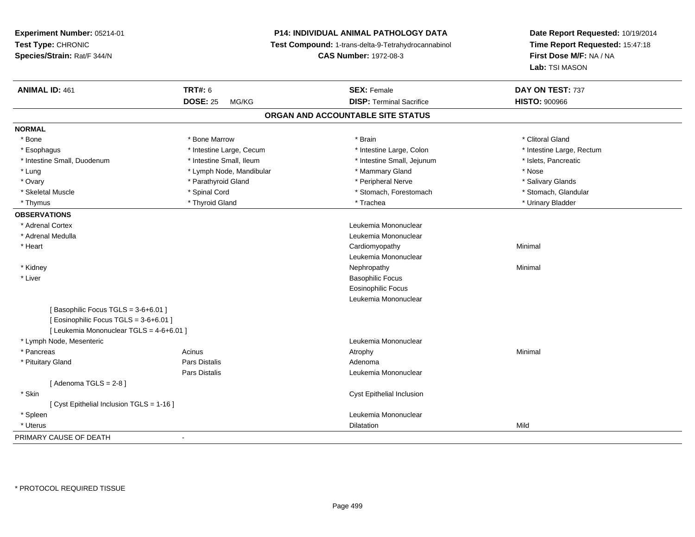**Experiment Number:** 05214-01**Test Type:** CHRONIC **Species/Strain:** Rat/F 344/N**P14: INDIVIDUAL ANIMAL PATHOLOGY DATA Test Compound:** 1-trans-delta-9-Tetrahydrocannabinol **CAS Number:** 1972-08-3**Date Report Requested:** 10/19/2014**Time Report Requested:** 15:47:18**First Dose M/F:** NA / NA**Lab:** TSI MASON**ANIMAL ID:** 461**TRT#:** 6 **SEX:** Female **SEX: Female DAY ON TEST:** 737 **DOSE:** 25 MG/KG**DISP:** Terminal Sacrifice **HISTO:**  $900966$ **ORGAN AND ACCOUNTABLE SITE STATUSNORMAL**\* Bone \* Bone \* And \* Bone Marrow \* And \* Bone Marrow \* And \* Brain \* Clitoral Gland \* Clitoral Gland \* Clitoral Gland \* Intestine Large, Rectum \* Esophagus \* Intestine Large, Cecum \* Intestine Large, Cecum \* Intestine Large, Colon \* Intestine Small, Duodenum \* Intestine Small, Ileum \* Intestine Small, Jejunum \* Islets, Pancreatic\* Lung \* Lymph Node, Mandibular \* \* Mammary Gland \* Mose \* Nose \* Nose \* Nose \* Nose \* Nose \* Nose \*  $\sim$  \* Nose \* Salivary Glands \* Ovary \* And the section of the section of the section of the section of the section of the section of the section of the section of the section of the section of the section of the section of the section of the section o \* Stomach, Glandular \* Skeletal Muscle \* Spinal Cord \* Spinal Cord \* Stomach, Forestomach \* Stomach, Forestomach \* Thymus \* Thyroid Gland \* Trachea \* Urinary Bladder \* **OBSERVATIONS** \* Adrenal Cortex Leukemia Mononuclear \* Adrenal Medulla Leukemia Mononuclear \* Heart Cardiomyopathy Minimal Leukemia Mononuclear \* Kidneyy the control of the control of the control of the control of the control of the control of the control of the control of the control of the control of the control of the control of the control of the control of the contro \* Liver Basophilic Focus Eosinophilic Focus Leukemia Mononuclear[ Basophilic Focus TGLS = 3-6+6.01 ][ Eosinophilic Focus TGLS = 3-6+6.01 ][ Leukemia Mononuclear TGLS = 4-6+6.01 ] \* Lymph Node, Mesenteric Leukemia Mononuclear \* Pancreass the control of the control of the control of the control of the control of the control of the control of the control of the control of the control of the control of the control of the control of the control of the contro \* Pituitary Glandd and the contract of Pars Distalis and the contract of Adenoma and Adenoma and the Adenoma and the Adenoma and  $\alpha$ Pars Distalis Leukemia Mononuclear  $[$  Adenoma TGLS = 2-8  $]$  \* Skin Cyst Epithelial Inclusion [ Cyst Epithelial Inclusion TGLS = 1-16 ] \* SpleenLeukemia Mononuclear<br>Dilatation \* Uteruss and the contract of the contract of the contract of the contract of the contract of the contract of the contract of the contract of the contract of the contract of the contract of the contract of the contract of the cont n Mild PRIMARY CAUSE OF DEATH-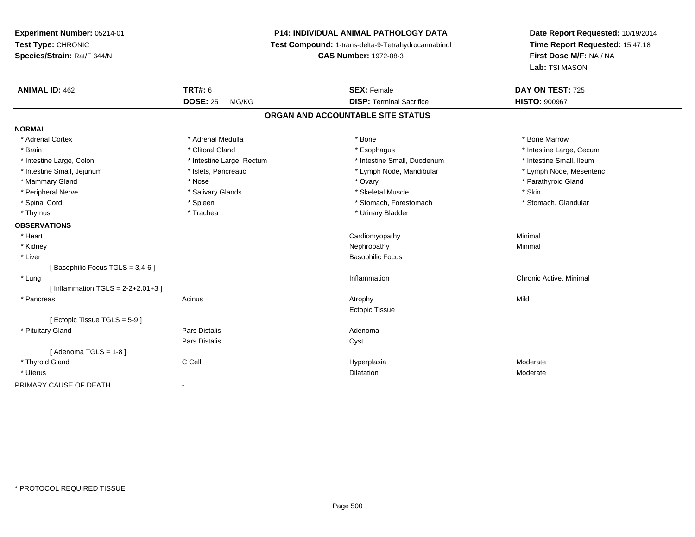**Experiment Number:** 05214-01**Test Type:** CHRONIC **Species/Strain:** Rat/F 344/N**P14: INDIVIDUAL ANIMAL PATHOLOGY DATA Test Compound:** 1-trans-delta-9-Tetrahydrocannabinol **CAS Number:** 1972-08-3**Date Report Requested:** 10/19/2014**Time Report Requested:** 15:47:18**First Dose M/F:** NA / NA**Lab:** TSI MASON**ANIMAL ID:** 462**TRT#:** 6 **SEX:** Female **SEX: Female DAY ON TEST:** 725 **DOSE:** 25 MG/KG **DISP:** Terminal Sacrifice **HISTO:** <sup>900967</sup> **ORGAN AND ACCOUNTABLE SITE STATUSNORMAL**\* Adrenal Cortex \* Adrenal Medulla \* Adrenal Medulla \* Bone \* Bone \* Bone \* Bone \* Bone Marrow \* Brain \* Alternation of the state of the state of the state of the state of the state of the state of the state of the state of the state of the state of the state of the state of the state of the state of the state of th \* Intestine Small, Ileum \* Intestine Large, Colon \* Intestine Large, Rectum \* Intestine Small, Duodenum \* Intestine Small, Duodenum \* Lymph Node, Mesenteric \* Intestine Small, Jejunum \* Mandibular \* Islets, Pancreatic \* Mandibular \* Lymph Node, Mandibular \* Mammary Gland \* \* Nose \* \* Nose \* \* Ovary \* Ovary \* Ovary \* The material structure of the term of the term \* Parathyroid Gland \* Parathyroid Gland \* Parathyroid Gland \* Nose \* \* Parathyroid Gland \* \* Parathyroid Gland \* \* Peripheral Nerve \* Salivary Glands \* Skeletal Muscle \* Skin\* Stomach, Glandular \* Spinal Cord \* Spinal Cord \* Spinal Cord \* Stomach, Forestomach \* Stomach, Forestomach \* Stomach, Forestomach \* Thymus \* Trachea \* Trachea \* Urinary Bladder **OBSERVATIONS** \* Heart Cardiomyopathy Minimal \* Kidneyy the control of the control of the control of the control of the control of the control of the control of the control of the control of the control of the control of the control of the control of the control of the contro \* Liver Basophilic Focus[ Basophilic Focus TGLS = 3,4-6 ] \* Lungg is a controller to the controller of the controller of the chronic Active, Minimal of the chronic Active, Minimal of the chronic Active, Minimal of the chronic Active, Minimal of the chronic Active, Minimal of the chroni  $[$  Inflammation TGLS = 2-2+2.01+3  $]$  \* Pancreass and the contract of the contract of the contract of the contract of the contract of the contract of the contract of  $\mathsf{A}$  and  $\mathsf{A}$  and  $\mathsf{A}$  and  $\mathsf{A}$  and  $\mathsf{A}$  and  $\mathsf{A}$  and  $\mathsf{A}$  and  $\mathsf{A}$  and Ectopic Tissue[ Ectopic Tissue TGLS = 5-9 ] \* Pituitary Glandd and the contract of Pars Distalis and the contract of Adenoma and Adenoma and the Adenoma and the Adenoma and  $\alpha$ Pars Distaliss Cyst  $[$  Adenoma TGLS = 1-8  $]$  \* Thyroid Gland C Cell Hyperplasia Moderate \* Uteruss and the contract of the contract of the contract of the contract of the contract of the contract of the contract of the contract of the contract of the contract of the contract of the contract of the contract of the cont Dilatation **Dividends** Moderate PRIMARY CAUSE OF DEATH-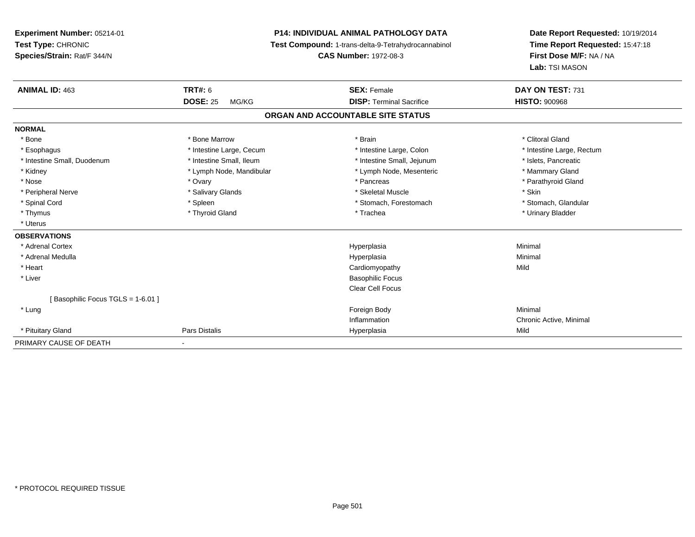**Experiment Number:** 05214-01**Test Type:** CHRONIC **Species/Strain:** Rat/F 344/N**P14: INDIVIDUAL ANIMAL PATHOLOGY DATA Test Compound:** 1-trans-delta-9-Tetrahydrocannabinol **CAS Number:** 1972-08-3**Date Report Requested:** 10/19/2014**Time Report Requested:** 15:47:18**First Dose M/F:** NA / NA**Lab:** TSI MASON**ANIMAL ID:** 463**TRT#:** 6 **SEX:** Female **SEX: Female DAY ON TEST:** 731 **DOSE:** 25 MG/KG **DISP:** Terminal Sacrifice **HISTO:** <sup>900968</sup> **ORGAN AND ACCOUNTABLE SITE STATUSNORMAL**\* Bone \* Bone \* And \* Bone Marrow \* And \* Bone Marrow \* And \* Brain \* Clitoral Gland \* Clitoral Gland \* Clitoral Gland \* Esophagus \* Thestine Large, Cecum \* Intestine Large, Cecum \* Intestine Large, Colon \* Intestine Large, Rectum \* Intestine Small, Duodenum \* Intestine Small, Ileum \* Intestine Small, Intestine Small, Jejunum \* Islets, Pancreatic \* Mammary Gland \* Kidney \* Lymph Node, Mandibular \* Mammary \* Lymph Node, Mesenteric \* Lymph Node, Mesenteric \* Parathyroid Gland \* Nose \* Ovary \* Pancreas \* Parathyroid Gland \* Peripheral Nerve \* Salivary Glands \* Skeletal Muscle \* Skin\* Stomach. Glandular \* Spinal Cord \* Spinal Cord \* Spinal Cord \* Stomach, Forestomach \* Spinal Cord \* Stomach, Forestomach \* Thymus \* Thyroid Gland \* Trachea \* Urinary Bladder \* \* Uterus**OBSERVATIONS** \* Adrenal Cortexx and the contract of the contract of the contract of the contract of the contract of the contract of the contract of the contract of the contract of the contract of the contract of the contract of the contract of the cont a and a studies of the studies of the Minimal \* Adrenal Medullaa and the control of the control of the control of the Hyperplasia and the control of the Minimal of the control of the control of the control of the control of the control of the control of the control of the control of t \* Heart Cardiomyopathyy Mild \* Liver Basophilic Focus Clear Cell Focus[ Basophilic Focus TGLS = 1-6.01 ] \* Lungg and the state of the state of the state of the state of the state of the state of the state of the state of the state of the state of the state of the state of the state of the state of the state of the state of the stat Inflammation Chronic Active, Minimal \* Pituitary Gland Pars Distalis Hyperplasia Mild PRIMARY CAUSE OF DEATH

-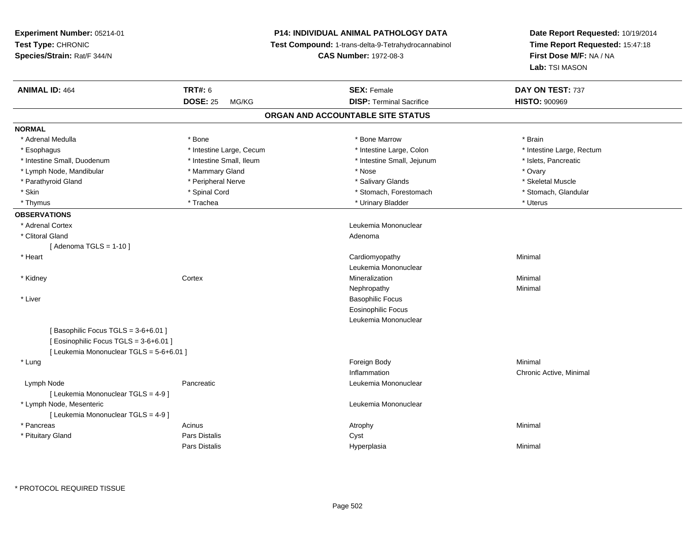| Experiment Number: 05214-01<br>Test Type: CHRONIC<br>Species/Strain: Rat/F 344/N                                         |                          | <b>P14: INDIVIDUAL ANIMAL PATHOLOGY DATA</b><br>Test Compound: 1-trans-delta-9-Tetrahydrocannabinol<br><b>CAS Number: 1972-08-3</b> | Date Report Requested: 10/19/2014<br>Time Report Requested: 15:47:18<br>First Dose M/F: NA / NA<br>Lab: TSI MASON |
|--------------------------------------------------------------------------------------------------------------------------|--------------------------|-------------------------------------------------------------------------------------------------------------------------------------|-------------------------------------------------------------------------------------------------------------------|
| <b>ANIMAL ID: 464</b>                                                                                                    | <b>TRT#: 6</b>           | <b>SEX: Female</b>                                                                                                                  | DAY ON TEST: 737                                                                                                  |
|                                                                                                                          | <b>DOSE: 25</b><br>MG/KG | <b>DISP: Terminal Sacrifice</b>                                                                                                     | <b>HISTO: 900969</b>                                                                                              |
|                                                                                                                          |                          | ORGAN AND ACCOUNTABLE SITE STATUS                                                                                                   |                                                                                                                   |
| <b>NORMAL</b>                                                                                                            |                          |                                                                                                                                     |                                                                                                                   |
| * Adrenal Medulla                                                                                                        | * Bone                   | * Bone Marrow                                                                                                                       | * Brain                                                                                                           |
| * Esophagus                                                                                                              | * Intestine Large, Cecum | * Intestine Large, Colon                                                                                                            | * Intestine Large, Rectum                                                                                         |
| * Intestine Small, Duodenum                                                                                              | * Intestine Small, Ileum | * Intestine Small, Jejunum                                                                                                          | * Islets, Pancreatic                                                                                              |
| * Lymph Node, Mandibular                                                                                                 | * Mammary Gland          | * Nose                                                                                                                              | * Ovary                                                                                                           |
| * Parathyroid Gland                                                                                                      | * Peripheral Nerve       | * Salivary Glands                                                                                                                   | * Skeletal Muscle                                                                                                 |
| * Skin                                                                                                                   | * Spinal Cord            | * Stomach, Forestomach                                                                                                              | * Stomach, Glandular                                                                                              |
| * Thymus                                                                                                                 | * Trachea                | * Urinary Bladder                                                                                                                   | * Uterus                                                                                                          |
| <b>OBSERVATIONS</b>                                                                                                      |                          |                                                                                                                                     |                                                                                                                   |
| * Adrenal Cortex                                                                                                         |                          | Leukemia Mononuclear                                                                                                                |                                                                                                                   |
| * Clitoral Gland                                                                                                         |                          | Adenoma                                                                                                                             |                                                                                                                   |
| [Adenoma TGLS = $1-10$ ]                                                                                                 |                          |                                                                                                                                     |                                                                                                                   |
| * Heart                                                                                                                  |                          | Cardiomyopathy                                                                                                                      | Minimal                                                                                                           |
|                                                                                                                          |                          | Leukemia Mononuclear                                                                                                                |                                                                                                                   |
| * Kidney                                                                                                                 | Cortex                   | Mineralization                                                                                                                      | Minimal                                                                                                           |
|                                                                                                                          |                          | Nephropathy                                                                                                                         | Minimal                                                                                                           |
| * Liver                                                                                                                  |                          | <b>Basophilic Focus</b>                                                                                                             |                                                                                                                   |
|                                                                                                                          |                          | <b>Eosinophilic Focus</b>                                                                                                           |                                                                                                                   |
|                                                                                                                          |                          | Leukemia Mononuclear                                                                                                                |                                                                                                                   |
| [Basophilic Focus TGLS = 3-6+6.01]<br>[ Eosinophilic Focus TGLS = 3-6+6.01 ]<br>[ Leukemia Mononuclear TGLS = 5-6+6.01 ] |                          |                                                                                                                                     |                                                                                                                   |
| * Lung                                                                                                                   |                          | Foreign Body                                                                                                                        | Minimal                                                                                                           |
|                                                                                                                          |                          | Inflammation                                                                                                                        | Chronic Active, Minimal                                                                                           |
| Lymph Node                                                                                                               | Pancreatic               | Leukemia Mononuclear                                                                                                                |                                                                                                                   |
| [ Leukemia Mononuclear TGLS = 4-9 ]                                                                                      |                          |                                                                                                                                     |                                                                                                                   |
| * Lymph Node, Mesenteric                                                                                                 |                          | Leukemia Mononuclear                                                                                                                |                                                                                                                   |
| [ Leukemia Mononuclear TGLS = 4-9 ]                                                                                      |                          |                                                                                                                                     |                                                                                                                   |
| * Pancreas                                                                                                               | Acinus                   |                                                                                                                                     | Minimal                                                                                                           |
|                                                                                                                          | <b>Pars Distalis</b>     | Atrophy                                                                                                                             |                                                                                                                   |
| * Pituitary Gland                                                                                                        | <b>Pars Distalis</b>     | Cyst                                                                                                                                | Minimal                                                                                                           |
|                                                                                                                          |                          | Hyperplasia                                                                                                                         |                                                                                                                   |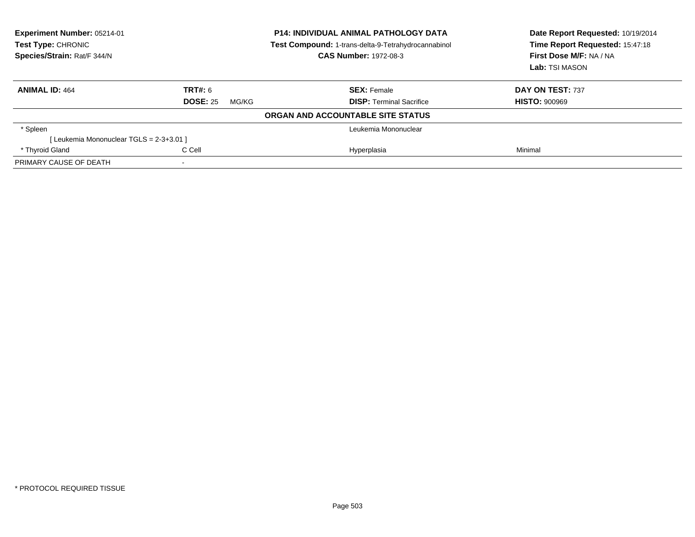| Experiment Number: 05214-01<br>Test Type: CHRONIC<br>Species/Strain: Rat/F 344/N |                          | <b>P14: INDIVIDUAL ANIMAL PATHOLOGY DATA</b><br>Test Compound: 1-trans-delta-9-Tetrahydrocannabinol<br><b>CAS Number: 1972-08-3</b> | Date Report Requested: 10/19/2014<br>Time Report Requested: 15:47:18<br>First Dose M/F: NA / NA<br>Lab: TSI MASON |
|----------------------------------------------------------------------------------|--------------------------|-------------------------------------------------------------------------------------------------------------------------------------|-------------------------------------------------------------------------------------------------------------------|
| <b>ANIMAL ID: 464</b>                                                            | <b>TRT#: 6</b>           | <b>SEX: Female</b>                                                                                                                  | DAY ON TEST: 737                                                                                                  |
|                                                                                  | <b>DOSE: 25</b><br>MG/KG | <b>DISP:</b> Terminal Sacrifice                                                                                                     | <b>HISTO: 900969</b>                                                                                              |
|                                                                                  |                          | ORGAN AND ACCOUNTABLE SITE STATUS                                                                                                   |                                                                                                                   |
| * Spleen                                                                         |                          | Leukemia Mononuclear                                                                                                                |                                                                                                                   |
| [Leukemia Mononuclear TGLS = 2-3+3.01 ]                                          |                          |                                                                                                                                     |                                                                                                                   |
| * Thyroid Gland                                                                  | C Cell                   | Hyperplasia                                                                                                                         | Minimal                                                                                                           |
| PRIMARY CAUSE OF DEATH                                                           |                          |                                                                                                                                     |                                                                                                                   |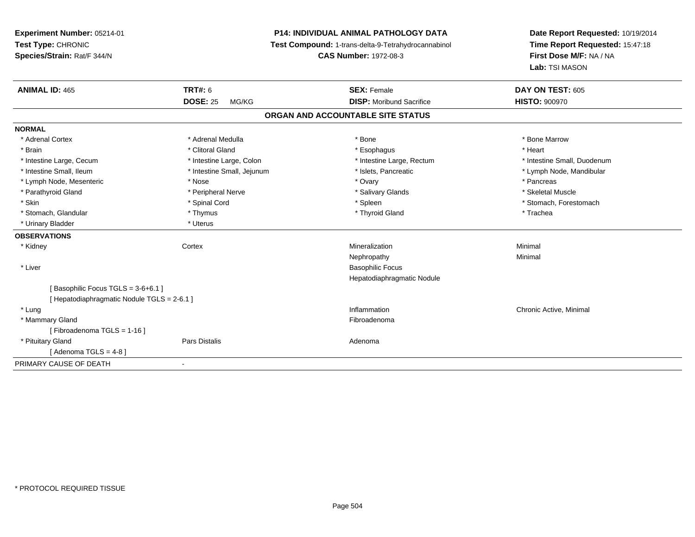**Experiment Number:** 05214-01**Test Type:** CHRONIC **Species/Strain:** Rat/F 344/N**P14: INDIVIDUAL ANIMAL PATHOLOGY DATA Test Compound:** 1-trans-delta-9-Tetrahydrocannabinol **CAS Number:** 1972-08-3**Date Report Requested:** 10/19/2014**Time Report Requested:** 15:47:18**First Dose M/F:** NA / NA**Lab:** TSI MASON**ANIMAL ID:** 465**TRT#:** 6 **SEX:** Female **SEX: Female DAY ON TEST:** 605 **DOSE:** 25 MG/KG **DISP:** Moribund Sacrifice **HISTO:** <sup>900970</sup> **ORGAN AND ACCOUNTABLE SITE STATUSNORMAL**\* Adrenal Cortex \* Adrenal Medulla \* Adrenal Medulla \* Bone \* Bone \* Bone \* Bone \* Bone Marrow \* Brain \* Alternative of the state of the state of the state of the state of the state of the state of the state of the state of the state of the state of the state of the state of the state of the state of the state of th \* Intestine Large, Cecum \* Intestine Large, Colon \* Intestine Large, Rectum \* Intestine Small, Duodenum\* Intestine Small, Ileum \* \* Thestine Small, Jejunum \* \* Sets, Pancreatic \* \* Thestine Small, Nejunum \* Lymph Node, Mandibular \* Lymph Node, Mesenteric \* The state of the state of the Nose \* Nose \* Nose \* Ovary \* Pancreas \* Pancreas \* Pancreas \* Skeletal Muscle \* Parathyroid Gland \* **All and \* Skeletal Muscle All and \* Peripheral Nerve** \* Salivary Glands \* Salivary Glands \* Skin \* Spinal Cord \* Spinal Cord \* Spinal Cord \* Spinal \* Spinal \* Stomach, Forestomach \* Stomach, Forestomach \* Stomach, Glandular \* Thymus \* Thymus \* Thymus \* Thyroid Gland \* Thyroid Gland \* Thachea \* Urinary Bladder \* Uterus **OBSERVATIONS** \* Kidneyy which is a context of the Cortext of the Cortext of the Cortext of the Mineralization n Minimal Nephropathyy the contract of the Minimal Minimal Section 1996 and the contract of the Minimal Section 1997 and the contract of the contract of the contract of the contract of the contract of the contract of the contract of the contra \* Liver Basophilic Focus Hepatodiaphragmatic Nodule $[$  Basophilic Focus TGLS = 3-6+6.1 ] [ Hepatodiaphragmatic Nodule TGLS = 2-6.1 ] \* Lungg is a controller to the controller of the controller of the chronic Active, Minimal of the chronic Active, Minimal of the chronic Active, Minimal of the chronic Active, Minimal of the chronic Active, Minimal of the chroni \* Mammary Glandd **Executive Contract of the Contract Contract Contract Contract Contract Contract Contract Contract Contract Contract Contract Contract Contract Contract Contract Contract Contract Contract Contract Contract Contract Cont** [ Fibroadenoma TGLS = 1-16 ] \* Pituitary Glandd and the contract of Pars Distalis and the contract of Adenoma and Adenoma and the Adenoma and the Adenoma and  $\alpha$  $[$  Adenoma TGLS = 4-8  $]$ PRIMARY CAUSE OF DEATH-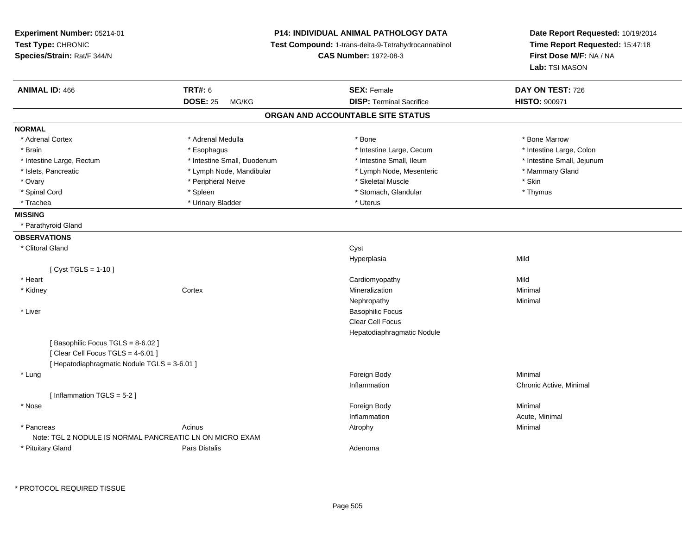| Experiment Number: 05214-01<br>Test Type: CHRONIC<br>Species/Strain: Rat/F 344/N |                             | <b>P14: INDIVIDUAL ANIMAL PATHOLOGY DATA</b><br>Test Compound: 1-trans-delta-9-Tetrahydrocannabinol<br><b>CAS Number: 1972-08-3</b> | Date Report Requested: 10/19/2014<br>Time Report Requested: 15:47:18<br>First Dose M/F: NA / NA<br>Lab: TSI MASON |  |
|----------------------------------------------------------------------------------|-----------------------------|-------------------------------------------------------------------------------------------------------------------------------------|-------------------------------------------------------------------------------------------------------------------|--|
| <b>ANIMAL ID: 466</b>                                                            | <b>TRT#: 6</b>              | <b>SEX: Female</b>                                                                                                                  | DAY ON TEST: 726                                                                                                  |  |
|                                                                                  | <b>DOSE: 25</b><br>MG/KG    | <b>DISP: Terminal Sacrifice</b>                                                                                                     | HISTO: 900971                                                                                                     |  |
|                                                                                  |                             | ORGAN AND ACCOUNTABLE SITE STATUS                                                                                                   |                                                                                                                   |  |
| <b>NORMAL</b>                                                                    |                             |                                                                                                                                     |                                                                                                                   |  |
| * Adrenal Cortex                                                                 | * Adrenal Medulla           | * Bone                                                                                                                              | * Bone Marrow                                                                                                     |  |
| * Brain                                                                          | * Esophagus                 | * Intestine Large, Cecum                                                                                                            | * Intestine Large, Colon                                                                                          |  |
| * Intestine Large, Rectum                                                        | * Intestine Small, Duodenum | * Intestine Small, Ileum                                                                                                            | * Intestine Small, Jejunum                                                                                        |  |
| * Islets, Pancreatic                                                             | * Lymph Node, Mandibular    | * Lymph Node, Mesenteric                                                                                                            | * Mammary Gland                                                                                                   |  |
| * Ovary                                                                          | * Peripheral Nerve          | * Skeletal Muscle                                                                                                                   | * Skin                                                                                                            |  |
| * Spinal Cord                                                                    | * Spleen                    | * Stomach, Glandular                                                                                                                | * Thymus                                                                                                          |  |
| * Trachea                                                                        | * Urinary Bladder           | * Uterus                                                                                                                            |                                                                                                                   |  |
| <b>MISSING</b>                                                                   |                             |                                                                                                                                     |                                                                                                                   |  |
| * Parathyroid Gland                                                              |                             |                                                                                                                                     |                                                                                                                   |  |
| <b>OBSERVATIONS</b>                                                              |                             |                                                                                                                                     |                                                                                                                   |  |
| * Clitoral Gland                                                                 |                             | Cyst                                                                                                                                |                                                                                                                   |  |
|                                                                                  |                             | Hyperplasia                                                                                                                         | Mild                                                                                                              |  |
| [ $Cyst TGLS = 1-10$ ]                                                           |                             |                                                                                                                                     |                                                                                                                   |  |
| * Heart                                                                          |                             | Cardiomyopathy                                                                                                                      | Mild                                                                                                              |  |
| * Kidney                                                                         | Cortex                      | Mineralization                                                                                                                      | Minimal                                                                                                           |  |
|                                                                                  |                             | Nephropathy                                                                                                                         | Minimal                                                                                                           |  |
| * Liver                                                                          |                             | <b>Basophilic Focus</b>                                                                                                             |                                                                                                                   |  |
|                                                                                  |                             | Clear Cell Focus                                                                                                                    |                                                                                                                   |  |
|                                                                                  |                             | Hepatodiaphragmatic Nodule                                                                                                          |                                                                                                                   |  |
| [Basophilic Focus TGLS = 8-6.02]                                                 |                             |                                                                                                                                     |                                                                                                                   |  |
| [Clear Cell Focus TGLS = 4-6.01]                                                 |                             |                                                                                                                                     |                                                                                                                   |  |
| [ Hepatodiaphragmatic Nodule TGLS = 3-6.01 ]                                     |                             |                                                                                                                                     |                                                                                                                   |  |
| * Lung                                                                           |                             | Foreign Body                                                                                                                        | Minimal                                                                                                           |  |
|                                                                                  |                             | Inflammation                                                                                                                        | Chronic Active, Minimal                                                                                           |  |
| [Inflammation TGLS = 5-2]                                                        |                             |                                                                                                                                     |                                                                                                                   |  |
| * Nose                                                                           |                             | Foreign Body                                                                                                                        | Minimal                                                                                                           |  |
|                                                                                  |                             | Inflammation                                                                                                                        | Acute, Minimal                                                                                                    |  |
| * Pancreas                                                                       | Acinus                      | Atrophy                                                                                                                             | Minimal                                                                                                           |  |
| Note: TGL 2 NODULE IS NORMAL PANCREATIC LN ON MICRO EXAM                         |                             |                                                                                                                                     |                                                                                                                   |  |
| * Pituitary Gland                                                                | Pars Distalis               | Adenoma                                                                                                                             |                                                                                                                   |  |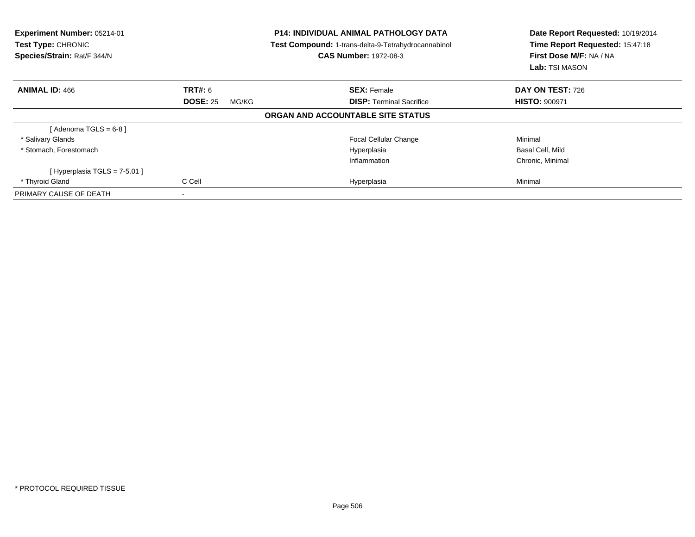| Experiment Number: 05214-01<br>Test Type: CHRONIC<br>Species/Strain: Rat/F 344/N |                          | <b>P14: INDIVIDUAL ANIMAL PATHOLOGY DATA</b><br><b>Test Compound: 1-trans-delta-9-Tetrahydrocannabinol</b><br><b>CAS Number: 1972-08-3</b> | Date Report Requested: 10/19/2014<br>Time Report Requested: 15:47:18<br>First Dose M/F: NA / NA<br><b>Lab:</b> TSI MASON |
|----------------------------------------------------------------------------------|--------------------------|--------------------------------------------------------------------------------------------------------------------------------------------|--------------------------------------------------------------------------------------------------------------------------|
| <b>ANIMAL ID: 466</b>                                                            | <b>TRT#: 6</b>           | <b>SEX: Female</b>                                                                                                                         | <b>DAY ON TEST: 726</b>                                                                                                  |
|                                                                                  | <b>DOSE: 25</b><br>MG/KG | <b>DISP:</b> Terminal Sacrifice                                                                                                            | <b>HISTO: 900971</b>                                                                                                     |
|                                                                                  |                          | ORGAN AND ACCOUNTABLE SITE STATUS                                                                                                          |                                                                                                                          |
| [Adenoma TGLS = $6-8$ ]                                                          |                          |                                                                                                                                            |                                                                                                                          |
| * Salivary Glands                                                                |                          | <b>Focal Cellular Change</b>                                                                                                               | Minimal                                                                                                                  |
| * Stomach, Forestomach                                                           |                          | Hyperplasia                                                                                                                                | Basal Cell, Mild                                                                                                         |
|                                                                                  |                          | Inflammation                                                                                                                               | Chronic, Minimal                                                                                                         |
| [Hyperplasia TGLS = $7-5.01$ ]                                                   |                          |                                                                                                                                            |                                                                                                                          |
| * Thyroid Gland                                                                  | C Cell                   | Hyperplasia                                                                                                                                | Minimal                                                                                                                  |
| PRIMARY CAUSE OF DEATH                                                           | ۰                        |                                                                                                                                            |                                                                                                                          |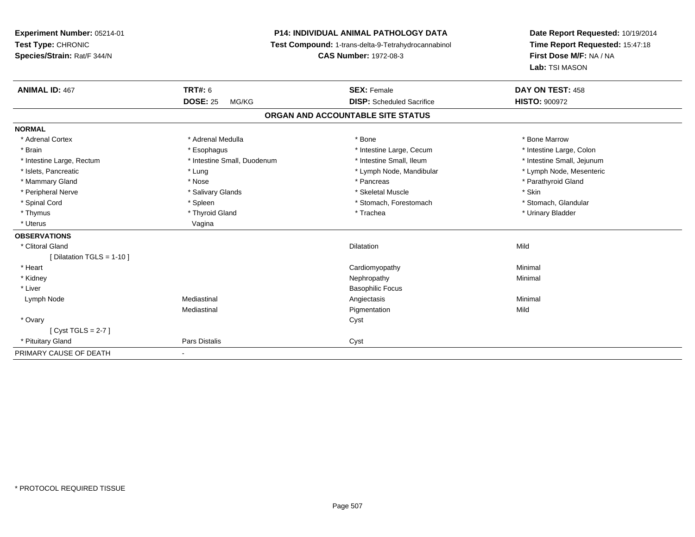**Experiment Number:** 05214-01**Test Type:** CHRONIC **Species/Strain:** Rat/F 344/N**P14: INDIVIDUAL ANIMAL PATHOLOGY DATA Test Compound:** 1-trans-delta-9-Tetrahydrocannabinol **CAS Number:** 1972-08-3**Date Report Requested:** 10/19/2014**Time Report Requested:** 15:47:18**First Dose M/F:** NA / NA**Lab:** TSI MASON**ANIMAL ID:** 467**TRT#:** 6 **SEX:** Female **SEX: Female DAY ON TEST:** 458 **DOSE:** 25 MG/KG **DISP:** Scheduled Sacrifice **HISTO:** <sup>900972</sup> **ORGAN AND ACCOUNTABLE SITE STATUSNORMAL**\* Adrenal Cortex \* Adrenal Medulla \* Adrenal Medulla \* Bone \* Bone \* Bone \* Bone \* Bone Marrow \* Intestine Large, Colon \* Brain \* Esophagus \* Esophagus \* Esophagus \* 11testine Large, Cecum \* \* Intestine Large, Rectum \* Thestine Small, Duodenum \* Number of the small, Ileum \* Intestine Small, Jejunum \* Intestine Small, Jejunum \* Lymph Node, Mesenteric \* Islets, Pancreatic **\* Lung \* Lung \* Lung \* Lymph Node, Mandibular \*** Lymph Node, Mandibular \* Mammary Gland \* \* Nose \* \* Nose \* \* Pancreas \* Pancreas \* \* Pancreas \* \* Pancreas \* \* Pancreas \* \* Parathyroid Gland \* Peripheral Nerve \* Salivary Glands \* Skeletal Muscle \* Skin\* Stomach. Glandular \* Spinal Cord \* Spinal Cord \* Spinal Cord \* Stomach, Forestomach \* Spinal Cord \* Stomach, Forestomach \* Thymus \* Thyroid Gland \* Trachea \* Urinary Bladder \* \* Uterus Vagina**OBSERVATIONS** \* Clitoral Glandd and the control of the control of the control of the control of the control of the control of the control of the control of the control of the control of the control of the control of the control of the control of the co [ Dilatation TGLS = 1-10 ] \* Heart Cardiomyopathy Minimal \* Kidneyy the control of the control of the control of the control of the control of the control of the control of the control of the control of the control of the control of the control of the control of the control of the contro \* Liver Basophilic Focus Lymph Node Mediastinal Angiectasis Minimal Mediastinal Pigmentationn Mild \* Ovaryy cystem in the control of the control of the control of the control of the control of the control of the control of the control of the control of the control of the control of the control of the control of the control of [ Cyst TGLS = 2-7 ] \* Pituitary Glandd **Pars Distalis Community Community** Cyst PRIMARY CAUSE OF DEATH-

\* PROTOCOL REQUIRED TISSUE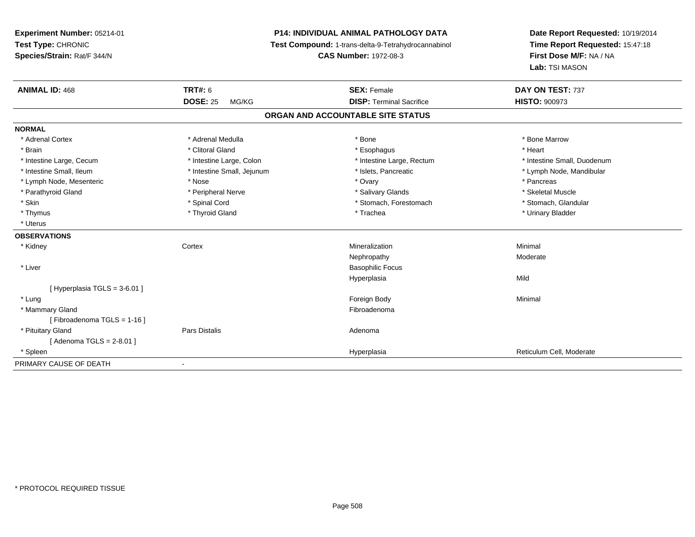**Experiment Number:** 05214-01**Test Type:** CHRONIC **Species/Strain:** Rat/F 344/N**P14: INDIVIDUAL ANIMAL PATHOLOGY DATA Test Compound:** 1-trans-delta-9-Tetrahydrocannabinol **CAS Number:** 1972-08-3**Date Report Requested:** 10/19/2014**Time Report Requested:** 15:47:18**First Dose M/F:** NA / NA**Lab:** TSI MASON**ANIMAL ID:** 468**EX:** Female **DAY ON TEST:** 737 **DOSE:** 25 MG/KG **DISP:** Terminal Sacrifice **HISTO:** <sup>900973</sup> **ORGAN AND ACCOUNTABLE SITE STATUSNORMAL**\* Adrenal Cortex \* Adrenal Medulla \* Adrenal Medulla \* Bone \* Bone \* Bone \* Bone \* Bone Marrow \* Brain \* Alternative of the state of the state of the state of the state of the state of the state of the state of the state of the state of the state of the state of the state of the state of the state of the state of th \* Intestine Large, Cecum \* Intestine Large, Colon \* Intestine Large, Rectum \* Intestine Small, Duodenum \* Intestine Small, Ileum \* \* Thestine Small, Jejunum \* \* Sets, Pancreatic \* \* Thestine Small, Nejunum \* Lymph Node, Mandibular \* Lymph Node, Mesenteric \* The state of the state of the Nose \* Nose \* Nose \* Ovary \* Pancreas \* Pancreas \* Pancreas \* Skeletal Muscle \* Parathyroid Gland \* **All and \* Skeletal Muscle All and \* Peripheral Nerve** \* Salivary Glands \* Salivary Glands \* Stomach, Glandular \* Skin \* Stomach, Forestomach \* Spinal Cord \* Stomach, Forestomach \* Stomach, Forestomach \* Thymus \* Thyroid Gland \* Trachea \* Urinary Bladder \* \* Uterus**OBSERVATIONS** \* Kidneyy which is a context of the Cortext of the Cortext of the Cortext of the Mineralization n Minimal Nephropathy Moderate \* Liver Basophilic FocusHyperplasiaa Mild  $[$  Hyperplasia TGLS = 3-6.01 ] \* Lungg and the state of the state of the state of the state of the state of the state of the state of the state of the state of the state of the state of the state of the state of the state of the state of the state of the stat \* Mammary Glandd **Executive Contract of the Contract Contract Contract Contract Contract Contract Contract Contract Contract Contract Contract Contract Contract Contract Contract Contract Contract Contract Contract Contract Contract Cont** [ Fibroadenoma TGLS = 1-16 ] \* Pituitary Glandd and the contract of Pars Distalis and the contract of Adenoma and Adenoma and the Adenoma and the Adenoma and  $\lambda$ [ Adenoma TGLS = 2-8.01 ] \* Spleen Hyperplasia Reticulum Cell, Moderate PRIMARY CAUSE OF DEATH-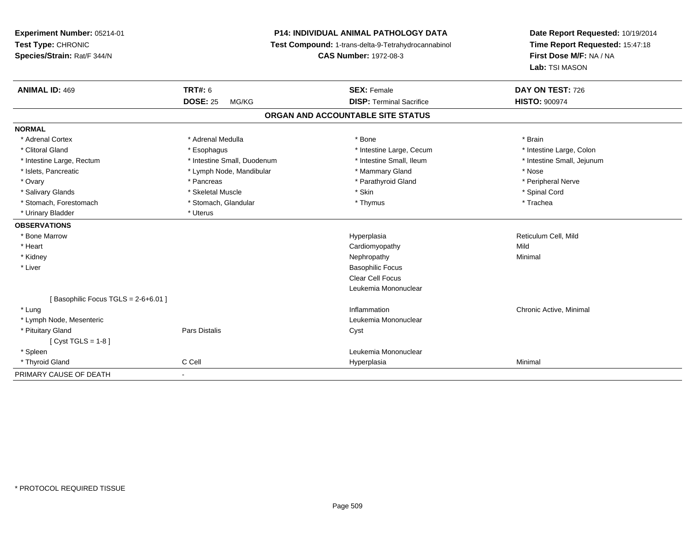**Experiment Number:** 05214-01**Test Type:** CHRONIC **Species/Strain:** Rat/F 344/N**P14: INDIVIDUAL ANIMAL PATHOLOGY DATA Test Compound:** 1-trans-delta-9-Tetrahydrocannabinol **CAS Number:** 1972-08-3**Date Report Requested:** 10/19/2014**Time Report Requested:** 15:47:18**First Dose M/F:** NA / NA**Lab:** TSI MASON**ANIMAL ID:** 469 **TRT#:** <sup>6</sup> **SEX:** Female **DAY ON TEST:** <sup>726</sup> **DOSE:** 25 MG/KG **DISP:** Terminal Sacrifice **HISTO:** <sup>900974</sup> **ORGAN AND ACCOUNTABLE SITE STATUSNORMAL**\* Adrenal Cortex \* Adrenal Medulla \* Adrenal Medulla \* Bone \* Brain \* Brain \* Brain \* Brain \* Brain \* Brain \* Brain \* Brain \* Brain \* Brain \* Brain \* Brain \* Brain \* Brain \* Brain \* Brain \* Brain \* Brain \* Brain \* Brain \* Brain \* Brain \* B \* Intestine Large, Colon \* Clitoral Gland \* **Exophagus \* Exophagus \*** The strain that the Large, Cecum \* intestine Large, Cecum \* Intestine Large, Rectum \* Thestine Small, Duodenum \* Number of the small, Ileum \* Intestine Small, Jejunum \* Intestine Small, Jejunum \* Islets, Pancreatic \* The same \* Lymph Node, Mandibular \* Nammary Gland \* Mammary Gland \* Nose \* Peripheral Nerve \* Ovary \* And the second of the second of the second version of the second version of the second version of the second version of the second version of the second version of the second version of the second version of the \* Salivary Glands \* \* Steeden \* \* Skeletal Muscle \* \* Skin \* \* Skin \* \* Steeden \* Spinal Cord \* Spinal Cord \* Spinal Cord \* Spinal Cord \* Spinal Cord \* Spinal Cord \* Spinal Cord \* Spinal Cord \* Spinal Cord \* Spinal Cord \* \* Stomach, Forestomach \* Trachea \* Stomach, Glandular \* Thymus \* Thymus \* The metal \* Trachea \* Urinary Bladder \* Uterus **OBSERVATIONS** \* Bone Marroww where the control of the Hyperplasia Reticulum Cell, Mild and the Hyperplasia Reticulum Cell, Mild and the Reticulum Cell, Mild and the  $\alpha$  \* Heart Cardiomyopathyy Mild Minimal \* Kidneyy the control of the control of the control of the control of the control of the control of the control of the control of the control of the control of the control of the control of the control of the control of the contro \* Liver Basophilic Focus Clear Cell Focus Leukemia Mononuclear[ Basophilic Focus TGLS = 2-6+6.01 ] \* Lungg is a controller to the controller of the controller of the chronic Active, Minimal of the chronic Active, Minimal of the chronic Active, Minimal of the chronic Active, Minimal of the chronic Active, Minimal of the chroni \* Lymph Node, Mesenteric Leukemia Mononuclear \* Pituitary Glandd Cyst Constants Constants Constants Constants Constants Constants Constants Constants Constants Constants Const  $[$  Cyst TGLS = 1-8  $]$  \* Spleen Leukemia Mononuclear \* Thyroid Gland C Cell Hyperplasia Minimal PRIMARY CAUSE OF DEATH-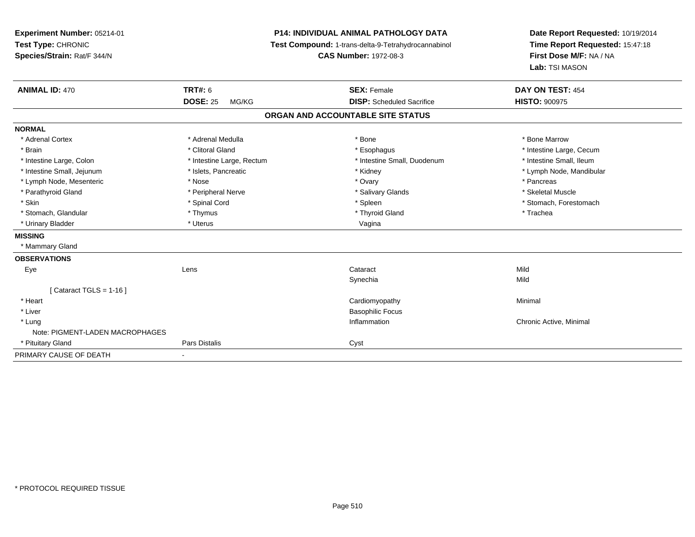| Experiment Number: 05214-01<br>Test Type: CHRONIC |                           | <b>P14: INDIVIDUAL ANIMAL PATHOLOGY DATA</b>        | Date Report Requested: 10/19/2014 |
|---------------------------------------------------|---------------------------|-----------------------------------------------------|-----------------------------------|
|                                                   |                           | Test Compound: 1-trans-delta-9-Tetrahydrocannabinol | Time Report Requested: 15:47:18   |
| Species/Strain: Rat/F 344/N                       |                           | <b>CAS Number: 1972-08-3</b>                        | First Dose M/F: NA / NA           |
|                                                   |                           |                                                     | Lab: TSI MASON                    |
| <b>ANIMAL ID: 470</b>                             | <b>TRT#: 6</b>            | <b>SEX: Female</b>                                  | DAY ON TEST: 454                  |
|                                                   | <b>DOSE: 25</b><br>MG/KG  | <b>DISP:</b> Scheduled Sacrifice                    | <b>HISTO: 900975</b>              |
|                                                   |                           | ORGAN AND ACCOUNTABLE SITE STATUS                   |                                   |
| <b>NORMAL</b>                                     |                           |                                                     |                                   |
| * Adrenal Cortex                                  | * Adrenal Medulla         | * Bone                                              | * Bone Marrow                     |
| * Brain                                           | * Clitoral Gland          | * Esophagus                                         | * Intestine Large, Cecum          |
| * Intestine Large, Colon                          | * Intestine Large, Rectum | * Intestine Small, Duodenum                         | * Intestine Small, Ileum          |
| * Intestine Small, Jejunum                        | * Islets, Pancreatic      | * Kidney                                            | * Lymph Node, Mandibular          |
| * Lymph Node, Mesenteric                          | * Nose                    | * Ovary                                             | * Pancreas                        |
| * Parathyroid Gland                               | * Peripheral Nerve        | * Salivary Glands                                   | * Skeletal Muscle                 |
| * Skin                                            | * Spinal Cord             | * Spleen                                            | * Stomach, Forestomach            |
| * Stomach, Glandular                              | * Thymus                  | * Thyroid Gland                                     | * Trachea                         |
| * Urinary Bladder                                 | * Uterus                  | Vagina                                              |                                   |
| <b>MISSING</b>                                    |                           |                                                     |                                   |
| * Mammary Gland                                   |                           |                                                     |                                   |
| <b>OBSERVATIONS</b>                               |                           |                                                     |                                   |
| Eye                                               | Lens                      | Cataract                                            | Mild                              |
|                                                   |                           | Synechia                                            | Mild                              |
| [Cataract TGLS = 1-16]                            |                           |                                                     |                                   |
| * Heart                                           |                           | Cardiomyopathy                                      | Minimal                           |
| * Liver                                           |                           | <b>Basophilic Focus</b>                             |                                   |
| * Lung                                            |                           | Inflammation                                        | Chronic Active, Minimal           |
| Note: PIGMENT-LADEN MACROPHAGES                   |                           |                                                     |                                   |
| * Pituitary Gland                                 | <b>Pars Distalis</b>      | Cyst                                                |                                   |
| PRIMARY CAUSE OF DEATH                            | ٠                         |                                                     |                                   |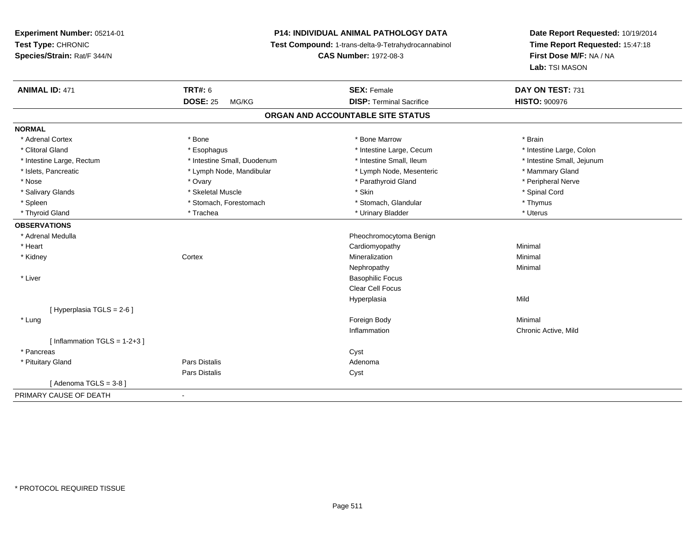## **P14: INDIVIDUAL ANIMAL PATHOLOGY DATA**

**Test Compound:** 1-trans-delta-9-Tetrahydrocannabinol

**CAS Number:** 1972-08-3

| <b>TRT#: 6</b>                    | <b>SEX: Female</b>       | DAY ON TEST: 731                |                      |  |  |  |
|-----------------------------------|--------------------------|---------------------------------|----------------------|--|--|--|
| MG/KG                             |                          |                                 |                      |  |  |  |
| ORGAN AND ACCOUNTABLE SITE STATUS |                          |                                 |                      |  |  |  |
|                                   |                          |                                 |                      |  |  |  |
| * Bone                            | * Bone Marrow            | * Brain                         |                      |  |  |  |
| * Esophagus                       | * Intestine Large, Cecum | * Intestine Large, Colon        |                      |  |  |  |
| * Intestine Small, Duodenum       | * Intestine Small, Ileum | * Intestine Small, Jejunum      |                      |  |  |  |
| * Lymph Node, Mandibular          | * Lymph Node, Mesenteric | * Mammary Gland                 |                      |  |  |  |
| * Ovary                           | * Parathyroid Gland      | * Peripheral Nerve              |                      |  |  |  |
| * Skeletal Muscle                 | * Skin                   | * Spinal Cord                   |                      |  |  |  |
| * Stomach, Forestomach            | * Stomach, Glandular     | * Thymus                        |                      |  |  |  |
| * Trachea                         | * Urinary Bladder        | * Uterus                        |                      |  |  |  |
|                                   |                          |                                 |                      |  |  |  |
|                                   | Pheochromocytoma Benign  |                                 |                      |  |  |  |
|                                   | Cardiomyopathy           | Minimal                         |                      |  |  |  |
| Cortex                            | Mineralization           | Minimal                         |                      |  |  |  |
|                                   | Nephropathy              | Minimal                         |                      |  |  |  |
|                                   | <b>Basophilic Focus</b>  |                                 |                      |  |  |  |
|                                   | <b>Clear Cell Focus</b>  |                                 |                      |  |  |  |
|                                   | Hyperplasia              | Mild                            |                      |  |  |  |
|                                   |                          |                                 |                      |  |  |  |
|                                   | Foreign Body             | Minimal                         |                      |  |  |  |
|                                   | Inflammation             | Chronic Active, Mild            |                      |  |  |  |
|                                   |                          |                                 |                      |  |  |  |
|                                   | Cyst                     |                                 |                      |  |  |  |
| <b>Pars Distalis</b>              | Adenoma                  |                                 |                      |  |  |  |
| Pars Distalis                     | Cyst                     |                                 |                      |  |  |  |
|                                   |                          |                                 |                      |  |  |  |
| $\mathbf{r}$                      |                          |                                 |                      |  |  |  |
|                                   | <b>DOSE: 25</b>          | <b>DISP: Terminal Sacrifice</b> | <b>HISTO: 900976</b> |  |  |  |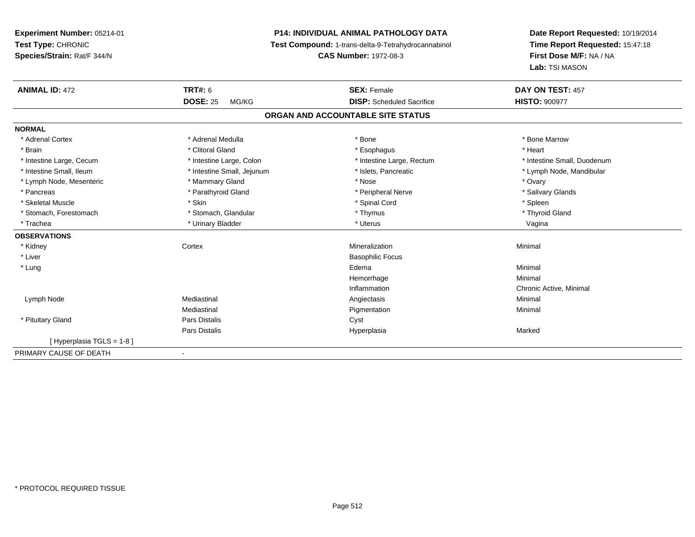## **P14: INDIVIDUAL ANIMAL PATHOLOGY DATA**

**Test Compound:** 1-trans-delta-9-Tetrahydrocannabinol

**CAS Number:** 1972-08-3

| <b>ANIMAL ID: 472</b>    | <b>TRT#: 6</b>                    | <b>SEX: Female</b>               | DAY ON TEST: 457            |  |  |  |  |  |
|--------------------------|-----------------------------------|----------------------------------|-----------------------------|--|--|--|--|--|
|                          | <b>DOSE: 25</b><br>MG/KG          | <b>DISP:</b> Scheduled Sacrifice | <b>HISTO: 900977</b>        |  |  |  |  |  |
|                          | ORGAN AND ACCOUNTABLE SITE STATUS |                                  |                             |  |  |  |  |  |
| <b>NORMAL</b>            |                                   |                                  |                             |  |  |  |  |  |
| * Adrenal Cortex         | * Adrenal Medulla                 | * Bone                           | * Bone Marrow               |  |  |  |  |  |
| * Brain                  | * Clitoral Gland                  | * Esophagus                      | * Heart                     |  |  |  |  |  |
| * Intestine Large, Cecum | * Intestine Large, Colon          | * Intestine Large, Rectum        | * Intestine Small, Duodenum |  |  |  |  |  |
| * Intestine Small. Ileum | * Intestine Small, Jejunum        | * Islets, Pancreatic             | * Lymph Node, Mandibular    |  |  |  |  |  |
| * Lymph Node, Mesenteric | * Mammary Gland                   | * Nose                           | * Ovary                     |  |  |  |  |  |
| * Pancreas               | * Parathyroid Gland               | * Peripheral Nerve               | * Salivary Glands           |  |  |  |  |  |
| * Skeletal Muscle        | * Skin                            | * Spinal Cord                    | * Spleen                    |  |  |  |  |  |
| * Stomach, Forestomach   | * Stomach, Glandular              | * Thymus                         | * Thyroid Gland             |  |  |  |  |  |
| * Trachea                | * Urinary Bladder                 | * Uterus                         | Vagina                      |  |  |  |  |  |
| <b>OBSERVATIONS</b>      |                                   |                                  |                             |  |  |  |  |  |
| * Kidney                 | Cortex                            | Mineralization                   | Minimal                     |  |  |  |  |  |
| * Liver                  |                                   | <b>Basophilic Focus</b>          |                             |  |  |  |  |  |
| * Lung                   |                                   | Edema                            | Minimal                     |  |  |  |  |  |
|                          |                                   | Hemorrhage                       | Minimal                     |  |  |  |  |  |
|                          |                                   | Inflammation                     | Chronic Active, Minimal     |  |  |  |  |  |
| Lymph Node               | Mediastinal                       | Angiectasis                      | Minimal                     |  |  |  |  |  |
|                          | Mediastinal                       | Pigmentation                     | Minimal                     |  |  |  |  |  |
| * Pituitary Gland        | Pars Distalis                     | Cyst                             |                             |  |  |  |  |  |
|                          | Pars Distalis                     | Hyperplasia                      | Marked                      |  |  |  |  |  |
| [Hyperplasia TGLS = 1-8] |                                   |                                  |                             |  |  |  |  |  |
| PRIMARY CAUSE OF DEATH   | $\overline{\phantom{a}}$          |                                  |                             |  |  |  |  |  |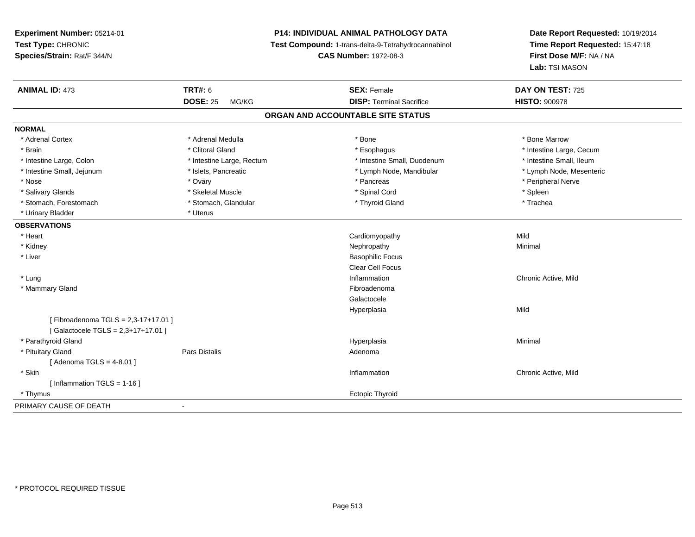**Experiment Number:** 05214-01**Test Type:** CHRONIC **Species/Strain:** Rat/F 344/N**P14: INDIVIDUAL ANIMAL PATHOLOGY DATA Test Compound:** 1-trans-delta-9-Tetrahydrocannabinol **CAS Number:** 1972-08-3**Date Report Requested:** 10/19/2014**Time Report Requested:** 15:47:18**First Dose M/F:** NA / NA**Lab:** TSI MASON**ANIMAL ID:** 473**TRT#:** 6 **SEX:** Female **SEX: Female DAY ON TEST:** 725 **DOSE:** 25 MG/KG **DISP:** Terminal Sacrifice **HISTO:** <sup>900978</sup> **ORGAN AND ACCOUNTABLE SITE STATUSNORMAL**\* Adrenal Cortex \* Adrenal Medulla \* Adrenal Medulla \* Bone \* Bone \* Bone \* Bone \* Bone Marrow \* Brain \* Alternation of the state of the state of the state of the state of the state of the state of the state of the state of the state of the state of the state of the state of the state of the state of the state of th \* Intestine Small, Ileum \* Intestine Large, Colon \* Intestine Large, Rectum \* Intestine Small, Duodenum \* Intestine Small, Duodenum \* Lymph Node, Mesenteric \* Intestine Small, Jejunum \* Mandibular \* Islets, Pancreatic \* Mandibular \* Lymph Node, Mandibular \* Nose \* Ovary \* Pancreas \* Peripheral Nerve\* Salivary Glands \* \* \* \* Sheem \* Skeletal Muscle \* \* \* \* \* Spinal Cord \* \* \* Spinal Cord \* \* \* Spleen \* \* Spleen \* \* Spleen \* \* Spleen \* \* Spleen \* \* Spleen \* \* Spleen \* \* Spleen \* \* Spleen \* \* Spleen \* \* \* Spleen \* \* \* \* \* Trachea \* Stomach, Forestomach \* The stormach \* Stomach, Glandular \* Thyroid Gland \* Thyroid Gland \* Thyroid Gland \* \* Urinary Bladder \* Uterus **OBSERVATIONS** \* Heart Cardiomyopathyy Mild Minimal \* Kidneyy the control of the control of the control of the control of the control of the control of the control of the control of the control of the control of the control of the control of the control of the control of the contro \* Liver Basophilic Focus Clear Cell Focus \* Lungg is a controller to the controller of the controller of the controller of the controller of the chronic Active, Mild \* Mammary Glandd **Executive Contract of the Contract Contract Contract Contract Contract Contract Contract Contract Contract Contract Contract Contract Contract Contract Contract Contract Contract Contract Contract Contract Contract Cont** Galactocele Hyperplasiaa Mild [ Fibroadenoma TGLS = 2,3-17+17.01 ][ Galactocele TGLS = 2,3+17+17.01 ] \* Parathyroid Glandd and the control of the control of the control of the Hyperplasia and the control of the Minimal of the control of the control of the control of the control of the control of the control of the control of the control of t \* Pituitary Glandd and the contract of Pars Distalis and the contract of Adenoma and Adenoma and the Adenoma and the Adenoma and  $\lambda$ [ Adenoma TGLS = 4-8.01 ] \* Skin Inflammation Chronic Active, Mild [ Inflammation TGLS = 1-16 ] \* Thymusextending the control of the control of the control of the control of the control of the control of the control of the control of the control of the control of the control of the control of the control of the control of th PRIMARY CAUSE OF DEATH-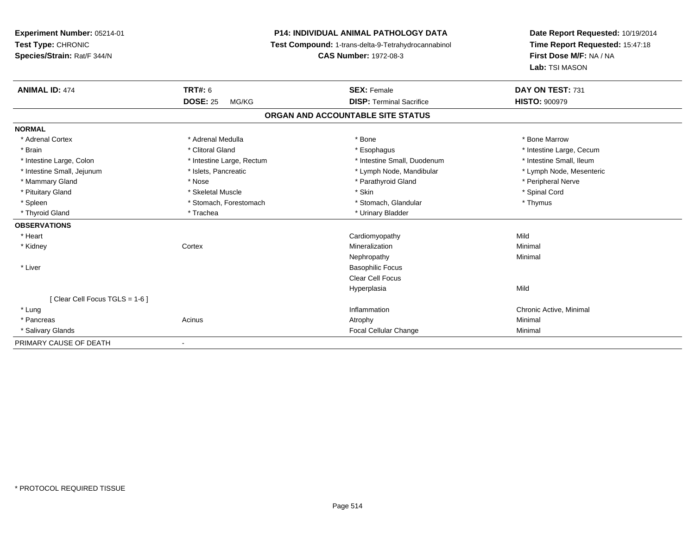**Experiment Number:** 05214-01**Test Type:** CHRONIC **Species/Strain:** Rat/F 344/N**P14: INDIVIDUAL ANIMAL PATHOLOGY DATA Test Compound:** 1-trans-delta-9-Tetrahydrocannabinol **CAS Number:** 1972-08-3**Date Report Requested:** 10/19/2014**Time Report Requested:** 15:47:18**First Dose M/F:** NA / NA**Lab:** TSI MASON**ANIMAL ID:** 474**TRT#:** 6 **SEX:** Female **SEX: Female DAY ON TEST:** 731 **DOSE:** 25 MG/KG**DISP:** Terminal Sacrifice **HISTO:**  $900979$ **ORGAN AND ACCOUNTABLE SITE STATUSNORMAL**\* Adrenal Cortex \* Adrenal Medulla \* Adrenal Medulla \* Bone \* Bone \* Bone \* Bone \* Bone Marrow \* Brain \* Alternation of the state of the state of the state of the state of the state of the state of the state of the state of the state of the state of the state of the state of the state of the state of the state of th \* Intestine Small, Ileum \* Intestine Large, Colon \* Intestine Large, Rectum \* Intestine Small, Duodenum \* Intestine Small, Duodenum \* Lymph Node, Mesenteric \* Intestine Small, Jejunum \* Mandibular \* Islets, Pancreatic \* Mandibular \* Lymph Node, Mandibular \* Mammary Gland \* \* Annume \* Nose \* \* Nose \* \* Parathyroid Gland \* Peripheral Nerve \* Peripheral Nerve \* \* Peripheral Nerve \* \* Peripheral Nerve \* \* Peripheral Nerve \* \* Peripheral Nerve \* \* Peripheral Nerve \* \* \* \* \* \* \* \* Pituitary Gland \* \* Spinal Cord \* Skeletal Muscle \* \* \* Skin \* \* Skin \* \* Spinal Cord \* Spinal Cord \* Spinal Cord \* Spinal Cord \* \* Spinal Cord \* \* Spinal Cord \* \* Spinal Cord \* \* Spinal Cord \* \* Spinal Cord \* \* Spinal C \* Spleen \* Stomach, Forestomach \* Stomach \* Stomach, Glandular \* Thymus \* Thymus \* Thyroid Gland \* Trachea \* Trachea \* Trachea \* Urinary Bladder **OBSERVATIONS** \* Heart Cardiomyopathyy Mild Minimal \* Kidneyy which is a context of the Cortext of the Cortext of the Cortext of the Mineralization n Minimal Nephropathyy the contract of the Minimal Minimal Section 1996 and the contract of the Minimal Section 1997 and the contract of the contract of the contract of the contract of the contract of the contract of the contract of the contra \* Liver Basophilic Focus Clear Cell FocusHyperplasiaa Mild [ Clear Cell Focus TGLS = 1-6 ] \* Lungg is a controller to the controller of the controller of the chronic Active, Minimal of the chronic Active, Minimal of the chronic Active, Minimal of the chronic Active, Minimal of the chronic Active, Minimal of the chroni \* Pancreass the control of the control of the control of the control of the control of the control of the control of the control of the control of the control of the control of the control of the control of the control of the contro \* Salivary Glands Focal Cellular Change Minimal PRIMARY CAUSE OF DEATH-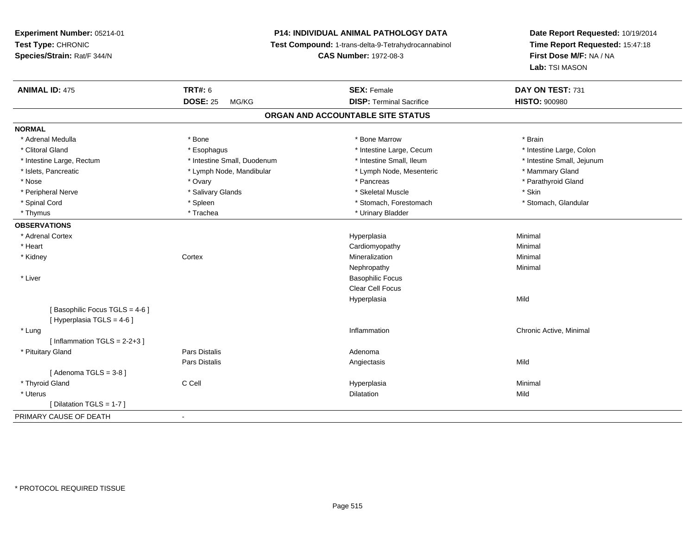## **P14: INDIVIDUAL ANIMAL PATHOLOGY DATA**

**Test Compound:** 1-trans-delta-9-Tetrahydrocannabinol

**CAS Number:** 1972-08-3

| <b>ANIMAL ID: 475</b>                                       | <b>TRT#: 6</b>              | <b>SEX: Female</b>              | DAY ON TEST: 731           |  |  |  |  |
|-------------------------------------------------------------|-----------------------------|---------------------------------|----------------------------|--|--|--|--|
|                                                             | <b>DOSE: 25</b><br>MG/KG    | <b>DISP: Terminal Sacrifice</b> | <b>HISTO: 900980</b>       |  |  |  |  |
| ORGAN AND ACCOUNTABLE SITE STATUS                           |                             |                                 |                            |  |  |  |  |
| <b>NORMAL</b>                                               |                             |                                 |                            |  |  |  |  |
| * Adrenal Medulla                                           | * Bone                      | * Bone Marrow                   | * Brain                    |  |  |  |  |
| * Clitoral Gland                                            | * Esophagus                 | * Intestine Large, Cecum        | * Intestine Large, Colon   |  |  |  |  |
| * Intestine Large, Rectum                                   | * Intestine Small, Duodenum | * Intestine Small, Ileum        | * Intestine Small, Jejunum |  |  |  |  |
| * Islets, Pancreatic                                        | * Lymph Node, Mandibular    | * Lymph Node, Mesenteric        | * Mammary Gland            |  |  |  |  |
| * Nose                                                      | * Ovary                     | * Pancreas                      | * Parathyroid Gland        |  |  |  |  |
| * Peripheral Nerve                                          | * Salivary Glands           | * Skeletal Muscle               | * Skin                     |  |  |  |  |
| * Spinal Cord                                               | * Spleen                    | * Stomach, Forestomach          | * Stomach, Glandular       |  |  |  |  |
| * Thymus                                                    | * Trachea                   | * Urinary Bladder               |                            |  |  |  |  |
| <b>OBSERVATIONS</b>                                         |                             |                                 |                            |  |  |  |  |
| * Adrenal Cortex                                            |                             | Hyperplasia                     | Minimal                    |  |  |  |  |
| * Heart                                                     |                             | Cardiomyopathy                  | Minimal                    |  |  |  |  |
| * Kidney                                                    | Cortex                      | Mineralization                  | Minimal                    |  |  |  |  |
|                                                             |                             | Nephropathy                     | Minimal                    |  |  |  |  |
| * Liver                                                     |                             | <b>Basophilic Focus</b>         |                            |  |  |  |  |
|                                                             |                             | Clear Cell Focus                |                            |  |  |  |  |
|                                                             |                             | Hyperplasia                     | Mild                       |  |  |  |  |
| [Basophilic Focus TGLS = 4-6]<br>[ Hyperplasia TGLS = 4-6 ] |                             |                                 |                            |  |  |  |  |
| * Lung                                                      |                             | Inflammation                    | Chronic Active, Minimal    |  |  |  |  |
| [Inflammation TGLS = $2-2+3$ ]                              |                             |                                 |                            |  |  |  |  |
| * Pituitary Gland                                           | Pars Distalis               | Adenoma                         |                            |  |  |  |  |
|                                                             | Pars Distalis               | Angiectasis                     | Mild                       |  |  |  |  |
| [Adenoma TGLS = $3-8$ ]                                     |                             |                                 |                            |  |  |  |  |
| * Thyroid Gland                                             | C Cell                      | Hyperplasia                     | Minimal                    |  |  |  |  |
| * Uterus                                                    |                             | Dilatation                      | Mild                       |  |  |  |  |
| [Dilatation TGLS = 1-7]                                     |                             |                                 |                            |  |  |  |  |
| PRIMARY CAUSE OF DEATH                                      | $\sim$                      |                                 |                            |  |  |  |  |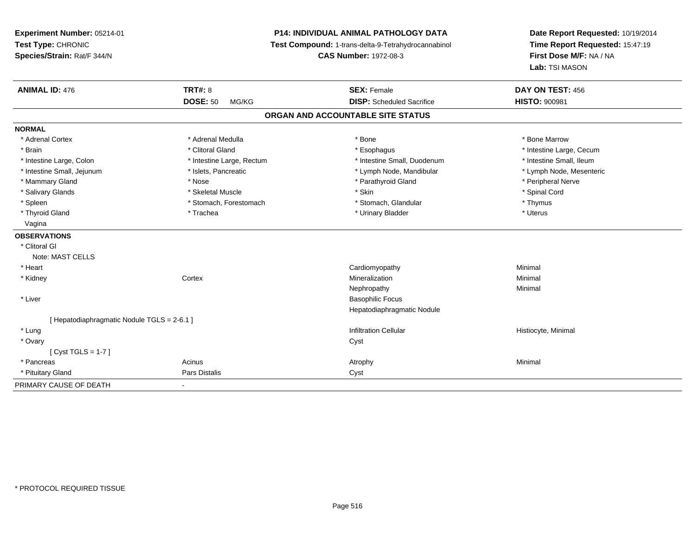**Experiment Number:** 05214-01**Test Type:** CHRONIC **Species/Strain:** Rat/F 344/N**P14: INDIVIDUAL ANIMAL PATHOLOGY DATA Test Compound:** 1-trans-delta-9-Tetrahydrocannabinol **CAS Number:** 1972-08-3**Date Report Requested:** 10/19/2014**Time Report Requested:** 15:47:19**First Dose M/F:** NA / NA**Lab:** TSI MASON**ANIMAL ID:** 476**6 DAY ON TEST:** 456 **DOSE:** 50 MG/KG **DISP:** Scheduled Sacrifice **HISTO:** <sup>900981</sup> **ORGAN AND ACCOUNTABLE SITE STATUSNORMAL**\* Adrenal Cortex \* Adrenal Medulla \* Adrenal Medulla \* Bone \* Bone \* Bone \* Bone \* Bone Marrow \* Brain \* Alternation of the state of the state of the state of the state of the state of the state of the state of the state of the state of the state of the state of the state of the state of the state of the state of th \* Intestine Small, Ileum \* Intestine Large, Colon \* Intestine Large, Rectum \* Intestine Small, Duodenum \* Intestine Small, Duodenum \* Lymph Node, Mesenteric \* Intestine Small, Jejunum \* Mandibular \* Islets, Pancreatic \* Mandibular \* Lymph Node, Mandibular \* Mammary Gland \* \* Annume \* Nose \* \* Nose \* \* Parathyroid Gland \* Peripheral Nerve \* Peripheral Nerve \* \* Peripheral Nerve \* \* Peripheral Nerve \* \* Peripheral Nerve \* \* Peripheral Nerve \* \* Peripheral Nerve \* \* \* \* \* \* \* \* Salivary Glands \* \* Steeden \* \* Skeletal Muscle \* \* Skin \* \* Skin \* \* Steeden \* Spinal Cord \* Spinal Cord \* Spinal Cord \* Spinal Cord \* Spinal Cord \* Spinal Cord \* Spinal Cord \* Spinal Cord \* Spinal Cord \* Spinal Cord \* \* Spleen \* Stomach, Forestomach \* Stomach \* Stomach, Glandular \* Stomach, Glandular \* Thymus \* Uterus \* Thyroid Gland \* \* Trachea \* \* Trachea \* Trachea \* \* Urinary Bladder \* \* Urinary Bladder \* \* Uterus \* Uterus Vagina**OBSERVATIONS** \* Clitoral GlNote: MAST CELLS \* Heart Cardiomyopathy Minimal \* Kidneyy which is a context of the Cortext of the Cortext of the Cortext of the Mineralization n Minimal Nephropathyy the contract of the Minimal Minimal Section 1996 and the contract of the Minimal Section 1997 and the contract of the contract of the contract of the contract of the contract of the contract of the contract of the contra \* Liver Basophilic Focus Hepatodiaphragmatic Nodule[ Hepatodiaphragmatic Nodule TGLS = 2-6.1 ] \* Lungg is a construction Cellular Historyte, Minimal (1990) and the set of the construction Cellular Historyte, Minimal (1990) and the set of the construction Cellular (1990) and Historyte, Minimal (1990) and the construction \* Ovaryy cystem in the control of the control of the control of the control of the control of the control of the control of the control of the control of the control of the control of the control of the control of the control of [ Cyst TGLS = 1-7 ] \* Pancreass the control of the control of the control of the control of the control of the control of the control of the control of the control of the control of the control of the control of the control of the control of the contro \* Pituitary Glandd **Pars Distalis Community Community** Cyst PRIMARY CAUSE OF DEATH-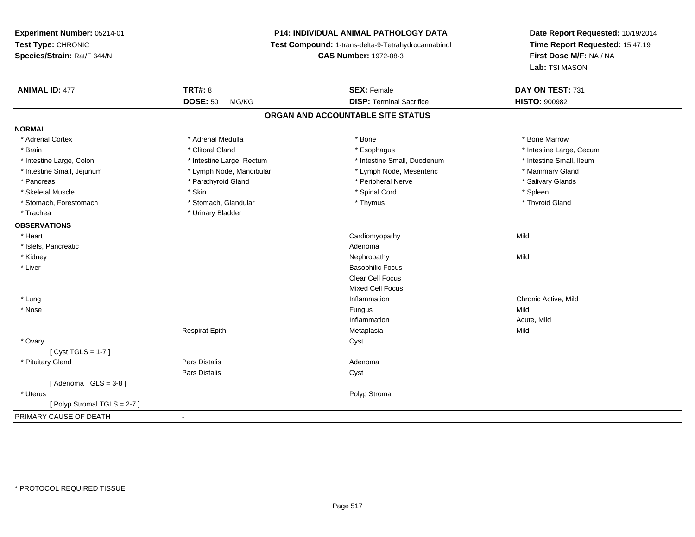**Experiment Number:** 05214-01**Test Type:** CHRONIC **Species/Strain:** Rat/F 344/N**P14: INDIVIDUAL ANIMAL PATHOLOGY DATA Test Compound:** 1-trans-delta-9-Tetrahydrocannabinol **CAS Number:** 1972-08-3**Date Report Requested:** 10/19/2014**Time Report Requested:** 15:47:19**First Dose M/F:** NA / NA**Lab:** TSI MASON**ANIMAL ID:** 477**TRT#:** 8 **SEX:** Female **DAY ON TEST:** 731 **DOSE:** 50 MG/KG **DISP:** Terminal Sacrifice **HISTO:** <sup>900982</sup> **ORGAN AND ACCOUNTABLE SITE STATUSNORMAL**\* Adrenal Cortex \* Adrenal Medulla \* Adrenal Medulla \* Bone \* Bone \* Bone \* Bone \* Bone Marrow \* Brain \* Alternation of the state of the state of the state of the state of the state of the state of the state of the state of the state of the state of the state of the state of the state of the state of the state of th \* Intestine Small, Ileum \* Intestine Large, Colon \* Intestine Large, Rectum \* Intestine Small, Duodenum \* Intestine Small, Duodenum \* Intestine Small, Jejunum \* The mannery Gland \* Lymph Node, Mandibular \* The mannery Stand \* Mammary Gland \* Mammary Gland \* Salivary Glands \* Pancreas \* And the section of the section of the section of the section of the section of the section of the section of the section of the section of the section of the section of the section of the section of the sectio \* Skeletal Muscle \* Skin \* Spinal Cord \* Spleen \* Thyroid Gland \* Stomach, Forestomach \* Thymus \* Stomach, Glandular \* Thymus \* Thymus \* Thymus \* Thymus \* Thymus \* Thymus \* Thymus \* Thymus \* Thymus \* Thymus \* Thymus \* Thymus \* Thymus \* Thymus \* Thymus \* Thymus \* Thymus \* Thymus \* Thymu \* Trachea \* Urinary Bladder**OBSERVATIONS** \* Heart Cardiomyopathyy Mild \* Islets, Pancreaticc and the contract of the contract of the contract of the contract of the contract of the contract of the contract of the contract of the contract of the contract of the contract of the contract of the contract of the cont Nephropathy \* Kidneyy the controller of the controller of the controller of the controller of the controller of the controller of the controller of the controller of the controller of the controller of the controller of the controller of the \* Liver Basophilic Focus Clear Cell Focus Mixed Cell Focus \* Lungg is a controller to the controller of the controller of the controller of the controller of the chronic Active, Mild \* Nosee and the state of the state of the state of the state of the state of the state of the state of the state of the state of the state of the state of the state of the state of the state of the state of the state of the stat Inflammation Acute, Mild Respirat Epithh anns an Metaplasia anns an Mild an Aonaichte an Dùbhad an t-an Aonaichte an Mild an Aonaichte an Mild an Aon \* Ovaryy cystem in the control of the control of the control of the control of the control of the control of the control of the control of the control of the control of the control of the control of the control of the control of [ Cyst TGLS = 1-7 ] \* Pituitary Glandd and the contract of Pars Distalis and the contract of Adenoma and Adenoma and the Adenoma and the Adenoma and  $\lambda$ Pars Distaliss Cyst  $[$  Adenoma TGLS = 3-8  $]$  \* Uteruss and the contract of the contract of the contract of the contract of the contract of the contract of the contract of the contract of the contract of the contract of the contract of the contract of the contract of the cont [ Polyp Stromal TGLS = 2-7 ]PRIMARY CAUSE OF DEATH-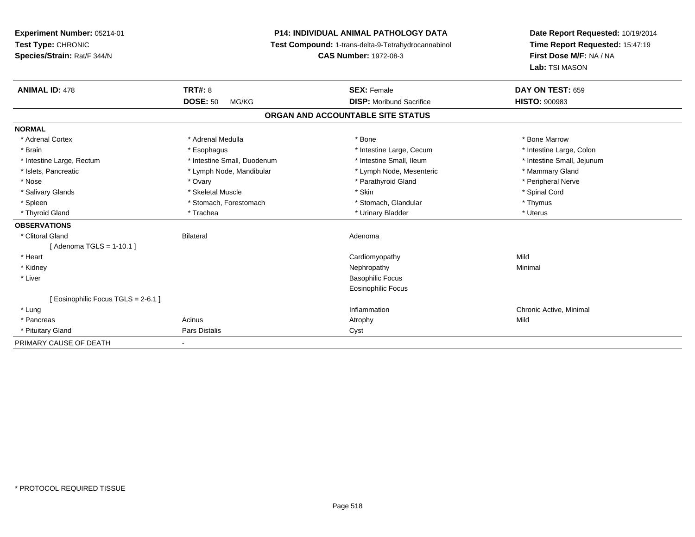**Experiment Number:** 05214-01**Test Type:** CHRONIC **Species/Strain:** Rat/F 344/N**P14: INDIVIDUAL ANIMAL PATHOLOGY DATA Test Compound:** 1-trans-delta-9-Tetrahydrocannabinol **CAS Number:** 1972-08-3**Date Report Requested:** 10/19/2014**Time Report Requested:** 15:47:19**First Dose M/F:** NA / NA**Lab:** TSI MASON**ANIMAL ID:** 478**TRT#:** 8 **SEX:** Female **DAY ON TEST:** 659 **DOSE:** 50 MG/KG **DISP:** Moribund Sacrifice **HISTO:** <sup>900983</sup> **ORGAN AND ACCOUNTABLE SITE STATUSNORMAL**\* Adrenal Cortex \* Adrenal Medulla \* Adrenal Medulla \* Bone \* Bone \* Bone \* Bone \* Bone Marrow \* Intestine Large, Colon \* Brain \* Esophagus \* Esophagus \* Esophagus \* 11testine Large, Cecum \* \* Intestine Small, Jejunum \* Intestine Large, Rectum \* Intestine Small, Duodenum \* Intestine Small, Duodenum \* \* Intestine Small, Ileum \* Islets, Pancreatic \* The manner of the Lymph Node, Mandibular \* Lymph Node, Mesenteric \* Mammary Gland \* Peripheral Nerve \* Nose \* Ovary \* Parathyroid Gland \* Peripheral Nerve \* \* Peripheral Nerve \* Salivary Glands \* \* Steeden \* \* Skeletal Muscle \* \* Skin \* \* Skin \* \* Steeden \* Spinal Cord \* Spinal Cord \* Spinal Cord \* Spinal Cord \* Spinal Cord \* Spinal Cord \* Spinal Cord \* Spinal Cord \* Spinal Cord \* Spinal Cord \* \* Spleen \* Stomach, Forestomach \* Stomach \* Stomach, Glandular \* Stomach, Glandular \* Thymus \* Uterus \* Thyroid Gland \* \* Trachea \* \* Trachea \* Trachea \* \* Urinary Bladder \* \* Urinary Bladder \* \* Uterus \* Uterus **OBSERVATIONS** \* Clitoral Glandd and the Bilateral Contract of Bilateral and the Bilateral Adenoma and the Adenoma of the Adenoma of the Adenoma of the Adenoma of the Adenoma of the Adenoma of the Adenoma of the Adenoma of the Adenoma of the Adenoma of [ Adenoma TGLS = 1-10.1 ] \* Heart Cardiomyopathyy Mild Minimal \* Kidneyy the control of the control of the control of the control of the control of the control of the control of the control of the control of the control of the control of the control of the control of the control of the contro \* Liver Basophilic Focus Eosinophilic Focus[ Eosinophilic Focus TGLS = 2-6.1 ] \* Lungg is a controller to the controller of the controller of the chronic Active, Minimal of the chronic Active, Minimal of the chronic Active, Minimal of the chronic Active, Minimal of the chronic Active, Minimal of the chroni \* Pancreass and the contract of the contract of the contract of the contract of the contract of the contract of the contract of  $\mathsf{A}$  and  $\mathsf{A}$  and  $\mathsf{A}$  and  $\mathsf{A}$  and  $\mathsf{A}$  and  $\mathsf{A}$  and  $\mathsf{A}$  and  $\mathsf{A}$  and \* Pituitary Glandd **Pars Distalis Community Community** Cyst PRIMARY CAUSE OF DEATH-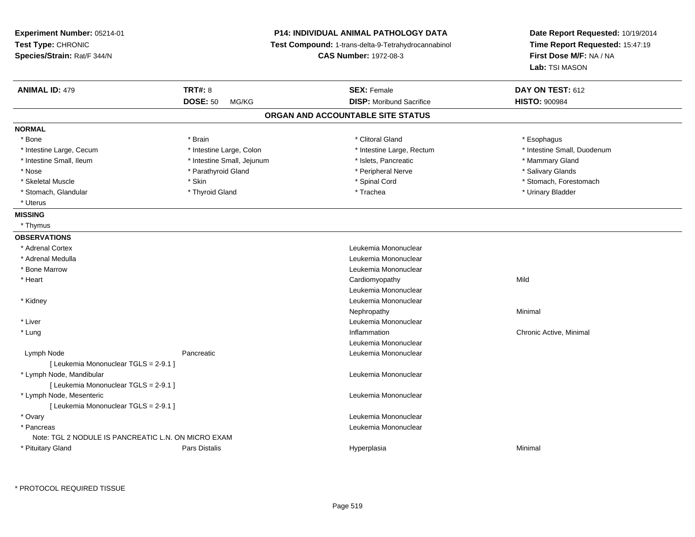| Experiment Number: 05214-01                         |                            | <b>P14: INDIVIDUAL ANIMAL PATHOLOGY DATA</b>        | Date Report Requested: 10/19/2014<br>Time Report Requested: 15:47:19<br>First Dose M/F: NA / NA<br>Lab: TSI MASON |  |
|-----------------------------------------------------|----------------------------|-----------------------------------------------------|-------------------------------------------------------------------------------------------------------------------|--|
| Test Type: CHRONIC                                  |                            | Test Compound: 1-trans-delta-9-Tetrahydrocannabinol |                                                                                                                   |  |
| Species/Strain: Rat/F 344/N                         |                            | <b>CAS Number: 1972-08-3</b>                        |                                                                                                                   |  |
|                                                     |                            |                                                     |                                                                                                                   |  |
| <b>ANIMAL ID: 479</b>                               | <b>TRT#: 8</b>             | <b>SEX: Female</b>                                  | DAY ON TEST: 612                                                                                                  |  |
|                                                     | <b>DOSE: 50</b><br>MG/KG   | <b>DISP:</b> Moribund Sacrifice                     | <b>HISTO: 900984</b>                                                                                              |  |
|                                                     |                            | ORGAN AND ACCOUNTABLE SITE STATUS                   |                                                                                                                   |  |
| <b>NORMAL</b>                                       |                            |                                                     |                                                                                                                   |  |
| * Bone                                              | * Brain                    | * Clitoral Gland                                    | * Esophagus                                                                                                       |  |
| * Intestine Large, Cecum                            | * Intestine Large, Colon   | * Intestine Large, Rectum                           | * Intestine Small, Duodenum                                                                                       |  |
| * Intestine Small, Ileum                            | * Intestine Small, Jejunum | * Islets, Pancreatic                                | * Mammary Gland                                                                                                   |  |
| * Nose                                              | * Parathyroid Gland        | * Peripheral Nerve                                  | * Salivary Glands                                                                                                 |  |
| * Skeletal Muscle                                   | * Skin                     | * Spinal Cord                                       | * Stomach, Forestomach                                                                                            |  |
| * Stomach, Glandular                                | * Thyroid Gland            | * Trachea                                           | * Urinary Bladder                                                                                                 |  |
| * Uterus                                            |                            |                                                     |                                                                                                                   |  |
| <b>MISSING</b>                                      |                            |                                                     |                                                                                                                   |  |
| * Thymus                                            |                            |                                                     |                                                                                                                   |  |
| <b>OBSERVATIONS</b>                                 |                            |                                                     |                                                                                                                   |  |
| * Adrenal Cortex                                    |                            | Leukemia Mononuclear                                |                                                                                                                   |  |
| * Adrenal Medulla                                   |                            | Leukemia Mononuclear                                |                                                                                                                   |  |
| * Bone Marrow                                       |                            | Leukemia Mononuclear                                |                                                                                                                   |  |
| * Heart                                             |                            | Cardiomyopathy                                      | Mild                                                                                                              |  |
|                                                     |                            | Leukemia Mononuclear                                |                                                                                                                   |  |
| * Kidney                                            |                            | Leukemia Mononuclear                                |                                                                                                                   |  |
|                                                     |                            | Nephropathy                                         | Minimal                                                                                                           |  |
| * Liver                                             |                            | Leukemia Mononuclear                                |                                                                                                                   |  |
| * Lung                                              |                            | Inflammation                                        | Chronic Active, Minimal                                                                                           |  |
|                                                     |                            | Leukemia Mononuclear                                |                                                                                                                   |  |
| Lymph Node                                          | Pancreatic                 | Leukemia Mononuclear                                |                                                                                                                   |  |
| [ Leukemia Mononuclear TGLS = 2-9.1 ]               |                            |                                                     |                                                                                                                   |  |
| * Lymph Node, Mandibular                            |                            | Leukemia Mononuclear                                |                                                                                                                   |  |
| [ Leukemia Mononuclear TGLS = 2-9.1 ]               |                            |                                                     |                                                                                                                   |  |
| * Lymph Node, Mesenteric                            |                            | Leukemia Mononuclear                                |                                                                                                                   |  |
| [ Leukemia Mononuclear TGLS = 2-9.1 ]               |                            |                                                     |                                                                                                                   |  |
| * Ovary                                             |                            | Leukemia Mononuclear                                |                                                                                                                   |  |
| * Pancreas                                          |                            | Leukemia Mononuclear                                |                                                                                                                   |  |
| Note: TGL 2 NODULE IS PANCREATIC L.N. ON MICRO EXAM |                            |                                                     |                                                                                                                   |  |
| * Pituitary Gland                                   | Pars Distalis              | Hyperplasia                                         | Minimal                                                                                                           |  |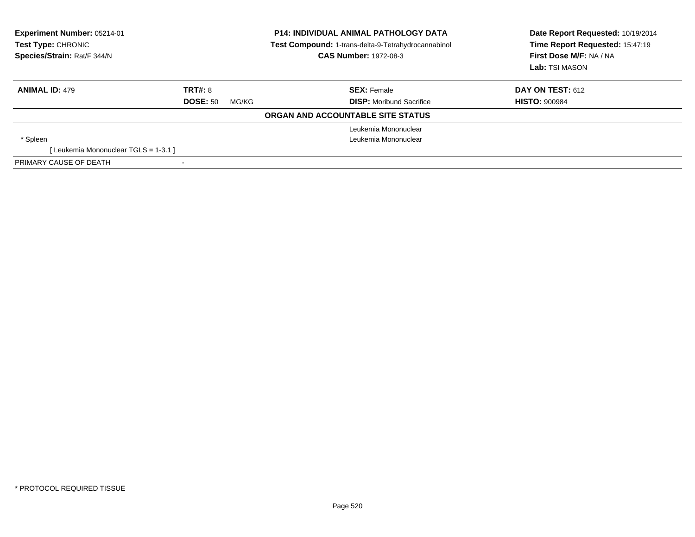| <b>Experiment Number: 05214-01</b><br><b>P14: INDIVIDUAL ANIMAL PATHOLOGY DATA</b><br>Test Compound: 1-trans-delta-9-Tetrahydrocannabinol<br>Test Type: CHRONIC<br>Species/Strain: Rat/F 344/N<br><b>CAS Number: 1972-08-3</b> |                 |       | Date Report Requested: 10/19/2014<br>Time Report Requested: 15:47:19<br>First Dose M/F: NA / NA<br>Lab: TSI MASON |                         |
|--------------------------------------------------------------------------------------------------------------------------------------------------------------------------------------------------------------------------------|-----------------|-------|-------------------------------------------------------------------------------------------------------------------|-------------------------|
| <b>ANIMAL ID: 479</b>                                                                                                                                                                                                          | <b>TRT#: 8</b>  |       | <b>SEX:</b> Female                                                                                                | <b>DAY ON TEST: 612</b> |
|                                                                                                                                                                                                                                | <b>DOSE: 50</b> | MG/KG | <b>DISP:</b> Moribund Sacrifice                                                                                   | <b>HISTO: 900984</b>    |
|                                                                                                                                                                                                                                |                 |       | ORGAN AND ACCOUNTABLE SITE STATUS                                                                                 |                         |
|                                                                                                                                                                                                                                |                 |       | Leukemia Mononuclear                                                                                              |                         |
| * Spleen                                                                                                                                                                                                                       |                 |       | Leukemia Mononuclear                                                                                              |                         |
| [Leukemia Mononuclear TGLS = 1-3.1]                                                                                                                                                                                            |                 |       |                                                                                                                   |                         |
| PRIMARY CAUSE OF DEATH                                                                                                                                                                                                         |                 |       |                                                                                                                   |                         |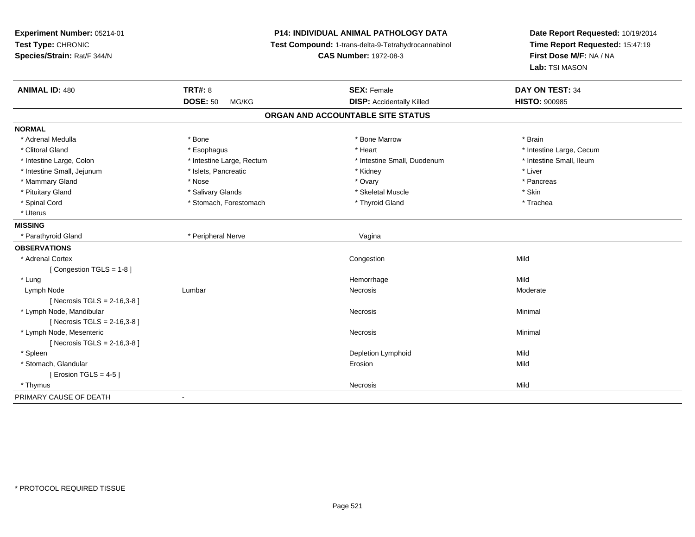**Experiment Number:** 05214-01**Test Type:** CHRONIC **Species/Strain:** Rat/F 344/N**P14: INDIVIDUAL ANIMAL PATHOLOGY DATA Test Compound:** 1-trans-delta-9-Tetrahydrocannabinol **CAS Number:** 1972-08-3**Date Report Requested:** 10/19/2014**Time Report Requested:** 15:47:19**First Dose M/F:** NA / NA**Lab:** TSI MASON**ANIMAL ID:** 480**C TRT#:** 8 **SEX:** Female **DAY ON TEST:** 34 **DOSE:** 50 MG/KG**DISP:** Accidentally Killed **HISTO:** 900985 **ORGAN AND ACCOUNTABLE SITE STATUSNORMAL**\* Adrenal Medulla \* \* Annual Medulla \* Brain \* Bone \* \* Bone Marrow \* Bone Marrow \* \* Brain \* Brain \* Brain \* Brain \* Brain \* Brain \* Brain \* Brain \* Brain \* Brain \* Brain \* Brain \* Brain \* Brain \* Brain \* Brain \* Brain \* \* Clitoral Gland \* \* exphagus \* Esophagus \* \* Heart \* Heart \* Intestine Large, Cecum \* Intestine Small, Ileum \* Intestine Large, Colon \* Intestine Large, Rectum \* Intestine Small, Duodenum \* Intestine Small, Duodenum \* Intestine Small, Jejunum \* 1998 \* \* Islets, Pancreatic \* \* \* Kidney \* Kidney \* \* Liver \* Liver \* Liver \* Mammary Gland \* \* Andrew \* Nose \* \* Nose \* \* Ovary \* Ovary \* Ovary \* \* Ovary \* \* Pancreas \* \* Pancreas \* \* Pancreas \* \* Pancreas \* \* Pancreas \* \* Pancreas \* \* Pancreas \* \* Pancreas \* \* Pancreas \* \* Pancreas \* \* Pancreas \* Pituitary Gland \* \* \* Salivary Glands \* \* Salivary Glands \* \* \$keletal Muscle \* \* \$ \* \$kin \* \* \$ \* \$ \* \$ \* \$ \* Trachea \* Spinal Cord \* The stormach \* Stomach, Forestomach \* The \* Thyroid Gland \* Thyroid Gland \* Uterus**MISSING** \* Parathyroid Gland \* Peripheral Nerve Vagina**OBSERVATIONS** \* Adrenal Cortex**x** Congestion n Mild [ Congestion TGLS = 1-8 ] \* Lungg and the state of the state of the state of the state of the Hemorrhage state of the Mild state of the Mild state of the State of the State of the State of the State of the State of the State of the State of the State of Lymph Nodee the settlement of the settlement of the settlement of the Necrosis and the Society of the Moderate of Moderate  $\sim$ [ Necrosis TGLS = 2-16,3-8 ] \* Lymph Node, Mandibularr **Necrosis Necrosis Necrosis Necrosis**  Minimal [ Necrosis TGLS = 2-16,3-8 ] \* Lymph Node, Mesentericc contract the contract of the contract of the contract of the contract of the contract of the contract of the contract of the contract of the contract of the contract of the contract of the contract of the contract of the [ Necrosis TGLS = 2-16,3-8 ] \* Spleenn and the control of the control of the control of the control of the control of the control of the control of  $\mathsf{N}\mathsf{ild}$  \* Stomach, Glandularr and the contract of the contract of the contract of the contract of the contract of the contract of the contract of the contract of the contract of the contract of the contract of the contract of the contract of the cont n Mild  $[$  Erosion TGLS = 4-5  $]$  \* Thymuss and the contract of the contract of the contract of the contract of the contract of the contract of the contract of the contract of the contract of the contract of the contract of the contract of the contract of the cont PRIMARY CAUSE OF DEATH-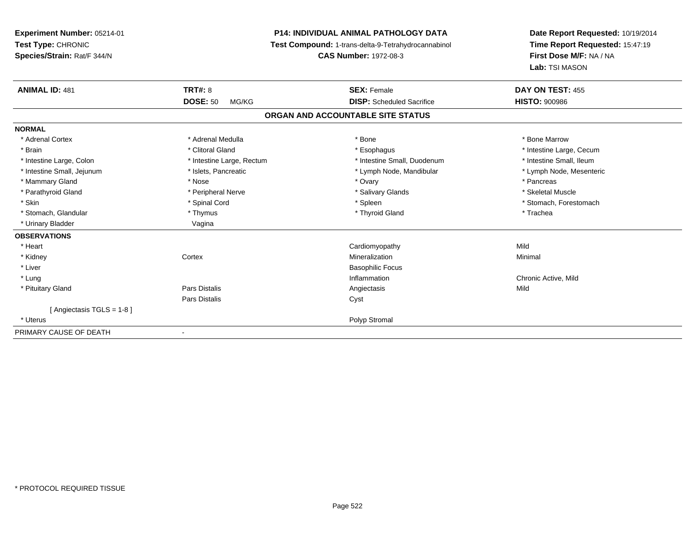**Experiment Number:** 05214-01**Test Type:** CHRONIC **Species/Strain:** Rat/F 344/N**P14: INDIVIDUAL ANIMAL PATHOLOGY DATA Test Compound:** 1-trans-delta-9-Tetrahydrocannabinol **CAS Number:** 1972-08-3**Date Report Requested:** 10/19/2014**Time Report Requested:** 15:47:19**First Dose M/F:** NA / NA**Lab:** TSI MASON**ANIMAL ID:** 481**TRT#:** 8 **SEX:** Female **DAY ON TEST:** 455 **DOSE:** 50 MG/KG **DISP:** Scheduled Sacrifice **HISTO:** <sup>900986</sup> **ORGAN AND ACCOUNTABLE SITE STATUSNORMAL**\* Adrenal Cortex \* Adrenal Medulla \* Adrenal Medulla \* Bone \* Bone \* Bone \* Bone \* Bone Marrow \* Brain \* Alternation of the state of the state of the state of the state of the state of the state of the state of the state of the state of the state of the state of the state of the state of the state of the state of th \* Intestine Small, Ileum \* Intestine Large, Colon \* Intestine Large, Rectum \* Intestine Small, Duodenum \* Intestine Small, Duodenum \* Lymph Node, Mesenteric \* Intestine Small, Jejunum \* Mandibular \* Islets, Pancreatic \* Mandibular \* Lymph Node, Mandibular \* Mammary Gland \* \* Andrew \* Nose \* \* Nose \* \* Ovary \* Ovary \* Ovary \* \* Ovary \* \* Pancreas \* \* Pancreas \* \* Pancreas \* \* Pancreas \* \* Pancreas \* \* Pancreas \* \* Pancreas \* \* Pancreas \* \* Pancreas \* \* Pancreas \* \* Pancreas \* Skeletal Muscle \* Parathyroid Gland \* \* \* And \* \* Peripheral Nerve \* \* \* Salivary Glands \* \* Salivary Glands \* \* Skeletal Muscle \* \* Skeletal Muscle \* \* Skeletal Muscle \* \* Skeletal Muscle \* \* Skeletal Muscle \* \* Skeletal Muscle \* \* Skele \* Skin \* Spinal Cord \* Spinal Cord \* Spinal Cord \* Spinal \* Spinal \* Stomach, Forestomach \* Stomach, Forestomach \* Stomach, Glandular \* Thymus \* Thymus \* Thymus \* Thyroid Gland \* Thyroid Gland \* Thachea \* Urinary Bladder Vagina **OBSERVATIONS** \* Heart Cardiomyopathyy Mild Minimal \* Kidneyy which is a context of the Cortext of the Cortext of the Cortext of the Mineralization n Minimal \* Liver Basophilic Focus \* Lungg is a controller to the controller of the controller of the controller of the controller of the chronic Active, Mild \* Pituitary Gland Pars Distalis Angiectasis Mild Pars Distaliss Cyst [ Angiectasis TGLS = 1-8 ] \* Uteruss and the contract of the contract of the contract of the contract of the contract of the contract of the contract of the contract of the contract of the contract of the contract of the contract of the contract of the cont PRIMARY CAUSE OF DEATH-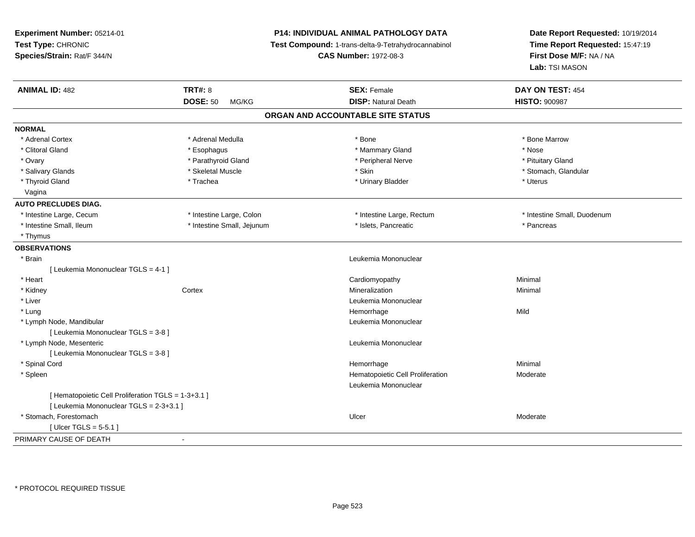| <b>Experiment Number: 05214-01</b><br>Test Type: CHRONIC<br>Species/Strain: Rat/F 344/N |                            | P14: INDIVIDUAL ANIMAL PATHOLOGY DATA               | Date Report Requested: 10/19/2014 |  |
|-----------------------------------------------------------------------------------------|----------------------------|-----------------------------------------------------|-----------------------------------|--|
|                                                                                         |                            | Test Compound: 1-trans-delta-9-Tetrahydrocannabinol | Time Report Requested: 15:47:19   |  |
|                                                                                         |                            | <b>CAS Number: 1972-08-3</b>                        | First Dose M/F: NA / NA           |  |
|                                                                                         |                            |                                                     | Lab: TSI MASON                    |  |
| <b>ANIMAL ID: 482</b>                                                                   | <b>TRT#: 8</b>             | <b>SEX: Female</b>                                  | DAY ON TEST: 454                  |  |
|                                                                                         | <b>DOSE: 50</b><br>MG/KG   | <b>DISP: Natural Death</b>                          | <b>HISTO: 900987</b>              |  |
|                                                                                         |                            | ORGAN AND ACCOUNTABLE SITE STATUS                   |                                   |  |
| <b>NORMAL</b>                                                                           |                            |                                                     |                                   |  |
| * Adrenal Cortex                                                                        | * Adrenal Medulla          | * Bone                                              | * Bone Marrow                     |  |
| * Clitoral Gland                                                                        | * Esophagus                | * Mammary Gland                                     | * Nose                            |  |
| * Ovary                                                                                 | * Parathyroid Gland        | * Peripheral Nerve                                  | * Pituitary Gland                 |  |
| * Salivary Glands                                                                       | * Skeletal Muscle          | * Skin                                              | * Stomach, Glandular              |  |
| * Thyroid Gland                                                                         | * Trachea                  | * Urinary Bladder                                   | * Uterus                          |  |
| Vagina                                                                                  |                            |                                                     |                                   |  |
| <b>AUTO PRECLUDES DIAG.</b>                                                             |                            |                                                     |                                   |  |
| * Intestine Large, Cecum                                                                | * Intestine Large, Colon   | * Intestine Large, Rectum                           | * Intestine Small, Duodenum       |  |
| * Intestine Small, Ileum                                                                | * Intestine Small, Jejunum | * Islets, Pancreatic                                | * Pancreas                        |  |
| * Thymus                                                                                |                            |                                                     |                                   |  |
| <b>OBSERVATIONS</b>                                                                     |                            |                                                     |                                   |  |
| * Brain                                                                                 |                            | Leukemia Mononuclear                                |                                   |  |
| [ Leukemia Mononuclear TGLS = 4-1 ]                                                     |                            |                                                     |                                   |  |
| * Heart                                                                                 |                            | Cardiomyopathy                                      | Minimal                           |  |
| * Kidney                                                                                | Cortex                     | Mineralization                                      | Minimal                           |  |
| * Liver                                                                                 |                            | Leukemia Mononuclear                                |                                   |  |
| * Lung                                                                                  |                            | Hemorrhage                                          | Mild                              |  |
| * Lymph Node, Mandibular                                                                |                            | Leukemia Mononuclear                                |                                   |  |
| [ Leukemia Mononuclear TGLS = 3-8 ]                                                     |                            |                                                     |                                   |  |
| * Lymph Node, Mesenteric                                                                |                            | Leukemia Mononuclear                                |                                   |  |
| [ Leukemia Mononuclear TGLS = 3-8 ]                                                     |                            |                                                     |                                   |  |
| * Spinal Cord                                                                           |                            | Hemorrhage                                          | Minimal                           |  |
| * Spleen                                                                                |                            | Hematopoietic Cell Proliferation                    | Moderate                          |  |
|                                                                                         |                            | Leukemia Mononuclear                                |                                   |  |
| [ Hematopoietic Cell Proliferation TGLS = 1-3+3.1 ]                                     |                            |                                                     |                                   |  |
| [ Leukemia Mononuclear TGLS = 2-3+3.1 ]                                                 |                            |                                                     |                                   |  |
| * Stomach, Forestomach                                                                  |                            | Ulcer                                               | Moderate                          |  |
| [ $Ulec$ TGLS = 5-5.1 ]                                                                 |                            |                                                     |                                   |  |
| PRIMARY CAUSE OF DEATH                                                                  | $\blacksquare$             |                                                     |                                   |  |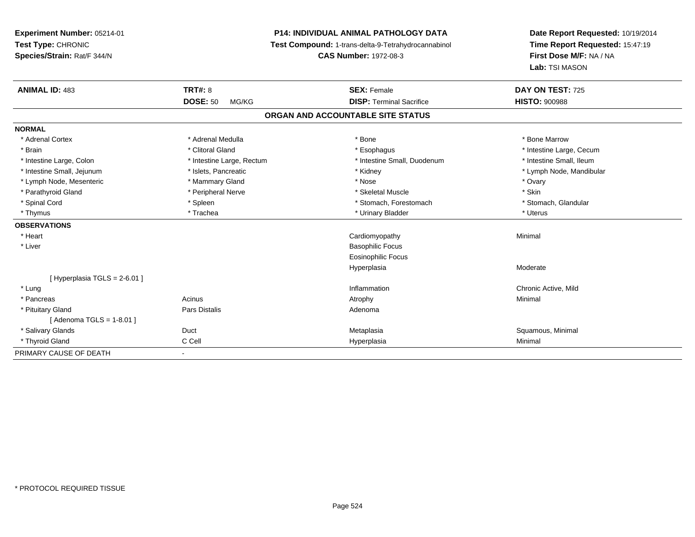**Experiment Number:** 05214-01**Test Type:** CHRONIC **Species/Strain:** Rat/F 344/N**P14: INDIVIDUAL ANIMAL PATHOLOGY DATA Test Compound:** 1-trans-delta-9-Tetrahydrocannabinol **CAS Number:** 1972-08-3**Date Report Requested:** 10/19/2014**Time Report Requested:** 15:47:19**First Dose M/F:** NA / NA**Lab:** TSI MASON**ANIMAL ID:** 483**TRT#:** 8 **SEX:** Female **SEX: Female DAY ON TEST:** 725 **DOSE:** 50 MG/KG **DISP:** Terminal Sacrifice **HISTO:** <sup>900988</sup> **ORGAN AND ACCOUNTABLE SITE STATUSNORMAL**\* Adrenal Cortex \* Adrenal Medulla \* Adrenal Medulla \* Bone \* Bone \* Bone \* Bone \* Bone Marrow \* Brain \* Alternation of the state of the state of the state of the state of the state of the state of the state of the state of the state of the state of the state of the state of the state of the state of the state of th \* Intestine Small, Ileum \* Intestine Large, Colon \* Intestine Large, Rectum \* Intestine Small, Duodenum \* Intestine Small, Duodenum \* Intestine Small, Jejunum \* \* \* https://www.fat.com/setter/educitions/mandibular \* Kidney \* Mandibular \* Lymph Node, Mandibular \* Lymph Node, Mandibular \* Lymph Node, Mandibular \* Lymph Node, Mesenteric \* \* \* Mammary Gland \* \* Nose \* Nose \* Ovary \* Ovary \* Ovary \* Ovary \* Ovary \* Ovary \* Ovary \* Skin \* Parathyroid Gland \* Nerve \* Peripheral Nerve \* Skeletal Muscle \* Skeletal Muscle \* Skeletal Muscle \* Skeletal Muscle \* Skeletal Muscle \* Skeletal Muscle \* Skeletal Muscle \* Skeletal Muscle \* Skeletal Muscle \* Skeletal Mu \* Stomach. Glandular \* Spinal Cord \* Spinal Cord \* Spinal Cord \* Stomach, Forestomach \* Stomach, Forestomach \* Stomach, Forestomach \* Thymus \* Trachea \* Urinary Bladder \* Uterus **OBSERVATIONS** \* Heart Cardiomyopathy Minimal \* Liver Basophilic Focus Eosinophilic FocusHyperplasia Moderate  $[$  Hyperplasia TGLS = 2-6.01 ] \* Lungg is a controller to the controller of the controller of the controller of the controller of the chronic Active, Mild \* Pancreass the control of the control of the control of the control of the control of the control of the control of the control of the control of the control of the control of the control of the control of the control of the contro \* Pituitary Glandd and the contract of Pars Distalis and the contract of Adenoma and Adenoma and the Adenoma and the Adenoma and  $\lambda$ [ Adenoma TGLS = 1-8.01 ] \* Salivary Glands Duct MetaplasiaMetaplasia **Mataplasia** et al. et al. et al. et al. et al. et al. et al. et al. et al. et al. et al. et al. et a \* Thyroid Gland C Cell Hyperplasia Minimal PRIMARY CAUSE OF DEATH-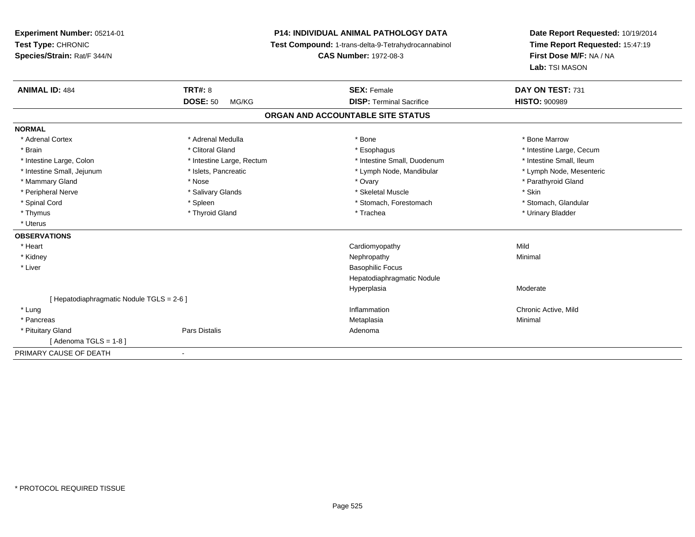**Experiment Number:** 05214-01**Test Type:** CHRONIC **Species/Strain:** Rat/F 344/N**P14: INDIVIDUAL ANIMAL PATHOLOGY DATA Test Compound:** 1-trans-delta-9-Tetrahydrocannabinol **CAS Number:** 1972-08-3**Date Report Requested:** 10/19/2014**Time Report Requested:** 15:47:19**First Dose M/F:** NA / NA**Lab:** TSI MASON**ANIMAL ID:** 484**TRT#:** 8 **SEX:** Female **DAY ON TEST:** 731 **DOSE:** 50 MG/KG **DISP:** Terminal Sacrifice **HISTO:** <sup>900989</sup> **ORGAN AND ACCOUNTABLE SITE STATUSNORMAL**\* Adrenal Cortex \* Adrenal Medulla \* Adrenal Medulla \* Bone \* Bone \* Bone \* Bone \* Bone Marrow \* Brain \* Alternation of the state of the state of the state of the state of the state of the state of the state of the state of the state of the state of the state of the state of the state of the state of the state of th \* Intestine Small, Ileum \* Intestine Large, Colon \* Intestine Large, Rectum \* Intestine Small, Duodenum \* Intestine Small, Duodenum \* Lymph Node, Mesenteric \* Intestine Small, Jejunum \* Mandibular \* Islets, Pancreatic \* Mandibular \* Lymph Node, Mandibular \* Mammary Gland \* \* Nose \* \* Nose \* \* Ovary \* Ovary \* Ovary \* The material structure of the term of the term \* Parathyroid Gland \* Parathyroid Gland \* Parathyroid Gland \* Nose \* \* Parathyroid Gland \* \* Parathyroid Gland \* \* Peripheral Nerve \* Salivary Glands \* Skeletal Muscle \* Skin\* Stomach. Glandular \* Spinal Cord \* Spinal Cord \* Spinal Cord \* Stomach, Forestomach \* Stomach, Forestomach \* Stomach, Forestomach \* Thymus \* Thyroid Gland \* Trachea \* Urinary Bladder \* \* Uterus**OBSERVATIONS** \* Heart Cardiomyopathyy Mild Minimal \* Kidneyy the control of the control of the control of the control of the control of the control of the control of the control of the control of the control of the control of the control of the control of the control of the contro \* Liver Basophilic Focus Hepatodiaphragmatic NoduleHyperplasiaa **Moderate** [ Hepatodiaphragmatic Nodule TGLS = 2-6 ] \* Lungg is a controller to the controller of the controller of the controller of the controller of the chronic Active, Mild \* Pancreas Metaplasiaa and a studies of the studies of the Minimal \* Pituitary Glandd and the contract of Pars Distalis and the contract of Adenoma and Adenoma and the Adenoma and the Adenoma and  $\lambda$  $[$  Adenoma TGLS = 1-8  $]$ PRIMARY CAUSE OF DEATH-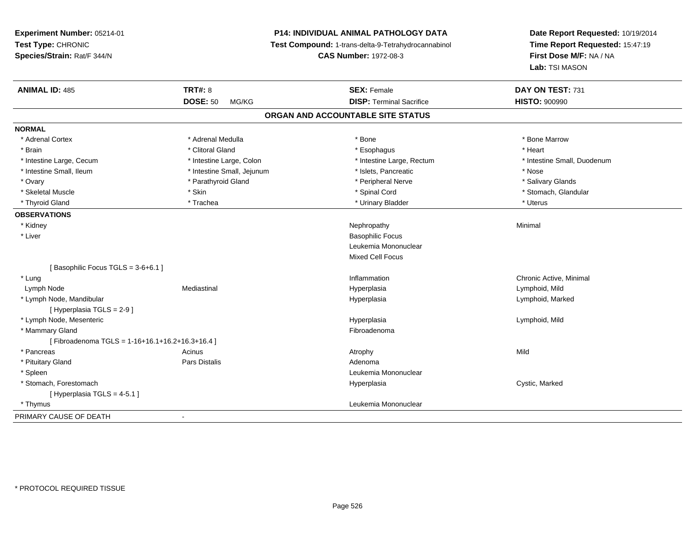**Experiment Number:** 05214-01**Test Type:** CHRONIC **Species/Strain:** Rat/F 344/N**P14: INDIVIDUAL ANIMAL PATHOLOGY DATA Test Compound:** 1-trans-delta-9-Tetrahydrocannabinol **CAS Number:** 1972-08-3**Date Report Requested:** 10/19/2014**Time Report Requested:** 15:47:19**First Dose M/F:** NA / NA**Lab:** TSI MASON**ANIMAL ID:** 485**TRT#:** 8 **SEX:** Female **SEX: Female DAY ON TEST:** 731 **DOSE:** 50 MG/KG**DISP:** Terminal Sacrifice **HISTO:**  $900990$ **ORGAN AND ACCOUNTABLE SITE STATUSNORMAL**\* Adrenal Cortex \* Adrenal Medulla \* Adrenal Medulla \* Bone \* Bone \* Bone \* Bone \* Bone Marrow \* Brain \* Alternative of the state of the state of the state of the state of the state of the state of the state of the state of the state of the state of the state of the state of the state of the state of the state of th \* Intestine Large, Cecum \* Intestine Large, Colon \* Intestine Large, Rectum \* Intestine Small, Duodenum\* Intestine Small, Ileum \* Thestine Small, Jejunum \* Nose \* Nose \* Nose \* Nose \* Nose \* Nose \* Nose \* Nose \* Nose \* Salivary Glands \* Ovary \* And the section of the section of the section of the section of the section of the section of the section of the section of the section of the section of the section of the section of the section of the section o \* Skeletal Muscle \* The state of the state of the state of the state of the state of the state of the state of the state of the state of the state of the state of the state of the state of the state of the state of the sta \* Thyroid Gland \* \* Trachea \* \* Trachea \* Trachea \* \* Urinary Bladder \* \* Urinary Bladder \* \* Uterus \* Uterus **OBSERVATIONS** \* Kidneyy the control of the control of the control of the control of the control of the control of the control of the control of the control of the control of the control of the control of the control of the control of the contro \* Liver Basophilic Focus Leukemia MononuclearMixed Cell Focus[ Basophilic Focus TGLS = 3-6+6.1 ] \* Lungg is a controller to the controller of the controller of the chronic Active, Minimal of the chronic Active, Minimal of the chronic Active, Minimal of the chronic Active, Minimal of the chronic Active, Minimal of the chroni Lymph Node Mediastinal Hyperplasia Lymphoid, Mild \* Lymph Node, Mandibular Hyperplasia Lymphoid, Marked [ Hyperplasia TGLS = 2-9 ] \* Lymph Node, Mesentericc in the contract of the contract of the contract of the contract of the contract of the contract of the contract of the contract of the contract of the contract of the contract of the contract of the contract of the contr Lymphoid, Mild \* Mammary Glandd **Executive Contract of the Contract Contract Contract Contract Contract Contract Contract Contract Contract Contract Contract Contract Contract Contract Contract Contract Contract Contract Contract Contract Contract Cont**  $[$  Fibroadenoma TGLS = 1-16+16.1+16.2+16.3+16.4 ] \* Pancreass and the contract of the contract of the contract of the contract of the contract of the contract of the contract of  $\mathsf{A}$  and  $\mathsf{A}$  and  $\mathsf{A}$  and  $\mathsf{A}$  and  $\mathsf{A}$  and  $\mathsf{A}$  and  $\mathsf{A}$  and  $\mathsf{A}$  and \* Pituitary Glandd and the contract of Pars Distalis and the contract of Adenoma and Adenoma and the Adenoma and the Adenoma and  $\lambda$  \* Spleen Leukemia Mononuclear \* Stomach, Forestomachh and the controller of the controller of the Hyperplasia controller to the cystic, Marked Cystic, Marked and the c [ Hyperplasia TGLS = 4-5.1 ] \* Thymus Leukemia Mononuclear PRIMARY CAUSE OF DEATH-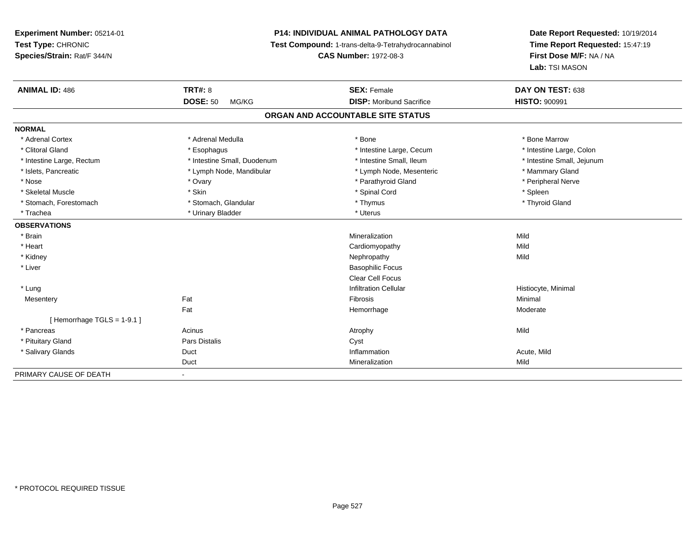## **P14: INDIVIDUAL ANIMAL PATHOLOGY DATA**

**Test Compound:** 1-trans-delta-9-Tetrahydrocannabinol

**CAS Number:** 1972-08-3

| <b>ANIMAL ID: 486</b>             | <b>TRT#: 8</b>              | <b>SEX: Female</b>              | DAY ON TEST: 638           |  |  |  |  |
|-----------------------------------|-----------------------------|---------------------------------|----------------------------|--|--|--|--|
|                                   | <b>DOSE: 50</b><br>MG/KG    | <b>DISP:</b> Moribund Sacrifice | <b>HISTO: 900991</b>       |  |  |  |  |
| ORGAN AND ACCOUNTABLE SITE STATUS |                             |                                 |                            |  |  |  |  |
| <b>NORMAL</b>                     |                             |                                 |                            |  |  |  |  |
| * Adrenal Cortex                  | * Adrenal Medulla           | * Bone                          | * Bone Marrow              |  |  |  |  |
| * Clitoral Gland                  | * Esophagus                 | * Intestine Large, Cecum        | * Intestine Large, Colon   |  |  |  |  |
| * Intestine Large, Rectum         | * Intestine Small, Duodenum | * Intestine Small, Ileum        | * Intestine Small, Jejunum |  |  |  |  |
| * Islets, Pancreatic              | * Lymph Node, Mandibular    | * Lymph Node, Mesenteric        | * Mammary Gland            |  |  |  |  |
| * Nose                            | * Ovary                     | * Parathyroid Gland             | * Peripheral Nerve         |  |  |  |  |
| * Skeletal Muscle                 | * Skin                      | * Spinal Cord                   | * Spleen                   |  |  |  |  |
| * Stomach, Forestomach            | * Stomach, Glandular        | * Thymus                        | * Thyroid Gland            |  |  |  |  |
| * Trachea                         | * Urinary Bladder           | * Uterus                        |                            |  |  |  |  |
| <b>OBSERVATIONS</b>               |                             |                                 |                            |  |  |  |  |
| * Brain                           |                             | Mineralization                  | Mild                       |  |  |  |  |
| * Heart                           |                             | Cardiomyopathy                  | Mild                       |  |  |  |  |
| * Kidney                          |                             | Nephropathy                     | Mild                       |  |  |  |  |
| * Liver                           |                             | <b>Basophilic Focus</b>         |                            |  |  |  |  |
|                                   |                             | <b>Clear Cell Focus</b>         |                            |  |  |  |  |
| * Lung                            |                             | <b>Infiltration Cellular</b>    | Histiocyte, Minimal        |  |  |  |  |
| Mesentery                         | Fat                         | Fibrosis                        | Minimal                    |  |  |  |  |
|                                   | Fat                         | Hemorrhage                      | Moderate                   |  |  |  |  |
| [Hemorrhage TGLS = $1-9.1$ ]      |                             |                                 |                            |  |  |  |  |
| * Pancreas                        | Acinus                      | Atrophy                         | Mild                       |  |  |  |  |
| * Pituitary Gland                 | Pars Distalis               | Cyst                            |                            |  |  |  |  |
| * Salivary Glands                 | Duct                        | Inflammation                    | Acute, Mild                |  |  |  |  |
|                                   | Duct                        | Mineralization                  | Mild                       |  |  |  |  |
| PRIMARY CAUSE OF DEATH            | ٠                           |                                 |                            |  |  |  |  |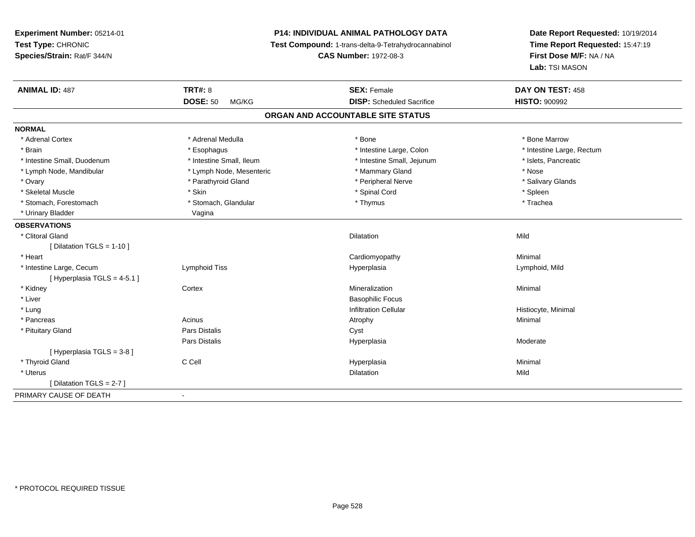## **P14: INDIVIDUAL ANIMAL PATHOLOGY DATA**

**Test Compound:** 1-trans-delta-9-Tetrahydrocannabinol

**CAS Number:** 1972-08-3

| <b>ANIMAL ID: 487</b>         | <b>TRT#: 8</b>                    | <b>SEX: Female</b>               | DAY ON TEST: 458          |  |  |  |  |
|-------------------------------|-----------------------------------|----------------------------------|---------------------------|--|--|--|--|
|                               | <b>DOSE: 50</b><br>MG/KG          | <b>DISP:</b> Scheduled Sacrifice | <b>HISTO: 900992</b>      |  |  |  |  |
|                               | ORGAN AND ACCOUNTABLE SITE STATUS |                                  |                           |  |  |  |  |
| <b>NORMAL</b>                 |                                   |                                  |                           |  |  |  |  |
| * Adrenal Cortex              | * Adrenal Medulla                 | * Bone                           | * Bone Marrow             |  |  |  |  |
| * Brain                       | * Esophagus                       | * Intestine Large, Colon         | * Intestine Large, Rectum |  |  |  |  |
| * Intestine Small, Duodenum   | * Intestine Small, Ileum          | * Intestine Small, Jejunum       | * Islets, Pancreatic      |  |  |  |  |
| * Lymph Node, Mandibular      | * Lymph Node, Mesenteric          | * Mammary Gland                  | * Nose                    |  |  |  |  |
| * Ovary                       | * Parathyroid Gland               | * Peripheral Nerve               | * Salivary Glands         |  |  |  |  |
| * Skeletal Muscle             | * Skin                            | * Spinal Cord                    | * Spleen                  |  |  |  |  |
| * Stomach, Forestomach        | * Stomach, Glandular              | * Thymus                         | * Trachea                 |  |  |  |  |
| * Urinary Bladder             | Vagina                            |                                  |                           |  |  |  |  |
| <b>OBSERVATIONS</b>           |                                   |                                  |                           |  |  |  |  |
| * Clitoral Gland              |                                   | <b>Dilatation</b>                | Mild                      |  |  |  |  |
| [ Dilatation TGLS = 1-10 ]    |                                   |                                  |                           |  |  |  |  |
| * Heart                       |                                   | Cardiomyopathy                   | Minimal                   |  |  |  |  |
| * Intestine Large, Cecum      | Lymphoid Tiss                     | Hyperplasia                      | Lymphoid, Mild            |  |  |  |  |
| [Hyperplasia TGLS = $4-5.1$ ] |                                   |                                  |                           |  |  |  |  |
| * Kidney                      | Cortex                            | Mineralization                   | Minimal                   |  |  |  |  |
| * Liver                       |                                   | <b>Basophilic Focus</b>          |                           |  |  |  |  |
| * Lung                        |                                   | <b>Infiltration Cellular</b>     | Histiocyte, Minimal       |  |  |  |  |
| * Pancreas                    | Acinus                            | Atrophy                          | Minimal                   |  |  |  |  |
| * Pituitary Gland             | Pars Distalis                     | Cyst                             |                           |  |  |  |  |
|                               | Pars Distalis                     | Hyperplasia                      | Moderate                  |  |  |  |  |
| [Hyperplasia TGLS = 3-8]      |                                   |                                  |                           |  |  |  |  |
| * Thyroid Gland               | C Cell                            | Hyperplasia                      | Minimal                   |  |  |  |  |
| * Uterus                      |                                   | <b>Dilatation</b>                | Mild                      |  |  |  |  |
| [Dilatation TGLS = 2-7]       |                                   |                                  |                           |  |  |  |  |
| PRIMARY CAUSE OF DEATH        | $\blacksquare$                    |                                  |                           |  |  |  |  |
|                               |                                   |                                  |                           |  |  |  |  |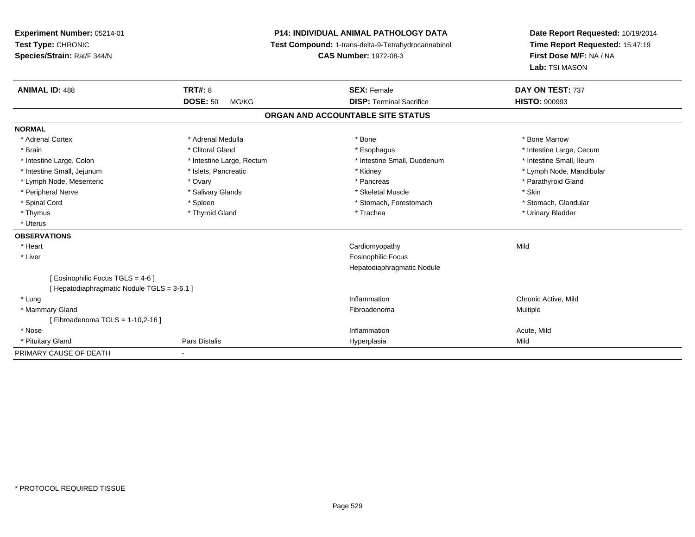**Experiment Number:** 05214-01**Test Type:** CHRONIC **Species/Strain:** Rat/F 344/N**P14: INDIVIDUAL ANIMAL PATHOLOGY DATA Test Compound:** 1-trans-delta-9-Tetrahydrocannabinol **CAS Number:** 1972-08-3**Date Report Requested:** 10/19/2014**Time Report Requested:** 15:47:19**First Dose M/F:** NA / NA**Lab:** TSI MASON**ANIMAL ID:** 488**EX:** Female **DAY ON TEST:** 737 **DOSE:** 50 MG/KG **DISP:** Terminal Sacrifice **HISTO:** <sup>900993</sup> **ORGAN AND ACCOUNTABLE SITE STATUSNORMAL**\* Adrenal Cortex \* Adrenal Medulla \* Adrenal Medulla \* Bone \* Bone \* Bone \* Bone \* Bone Marrow \* Brain \* Alternation of the state of the state of the state of the state of the state of the state of the state of the state of the state of the state of the state of the state of the state of the state of the state of th \* Intestine Small, Ileum \* Intestine Large, Colon \* Intestine Large, Rectum \* Intestine Small, Duodenum \* Intestine Small, Duodenum \* Intestine Small, Jejunum \* \* \* https://www.fat.com/setter/educitions/mandibular \* Kidney \* Mandibular \* Lymph Node, Mandibular \* Lymph Node, Mandibular \* Lymph Node, Mandibular \* Lymph Node, Mesenteric \* Ovary \* Pancreas \* Parathyroid Gland \* Peripheral Nerve \* Salivary Glands \* Skeletal Muscle \* Skin\* Stomach. Glandular \* Spinal Cord \* Spinal Cord \* Spinal Cord \* Stomach, Forestomach \* Stomach, Forestomach \* Stomach, Forestomach \* Thymus \* Thyroid Gland \* Trachea \* Urinary Bladder \* \* Uterus**OBSERVATIONS** \* Heart Cardiomyopathyy Mild \* Liver Eosinophilic Focus Hepatodiaphragmatic Nodule[ Eosinophilic Focus TGLS = 4-6 ][ Hepatodiaphragmatic Nodule TGLS = 3-6.1 ] \* Lungg is a controller to the controller of the controller of the controller of the controller of the chronic Active, Mild \* Mammary Glandd and the state of the state of the state of the state of the state of the state of the state of the state of the state of the state of the state of the state of the state of the state of the state of the state of the stat [ Fibroadenoma TGLS = 1-10,2-16 ] \* Nosee the contraction of the contraction of the contraction of the contraction of the contraction of the contraction  $\mathsf{Acute},\mathsf{Mild}$  \* Pituitary Gland Pars Distalis Hyperplasia Mild PRIMARY CAUSE OF DEATH-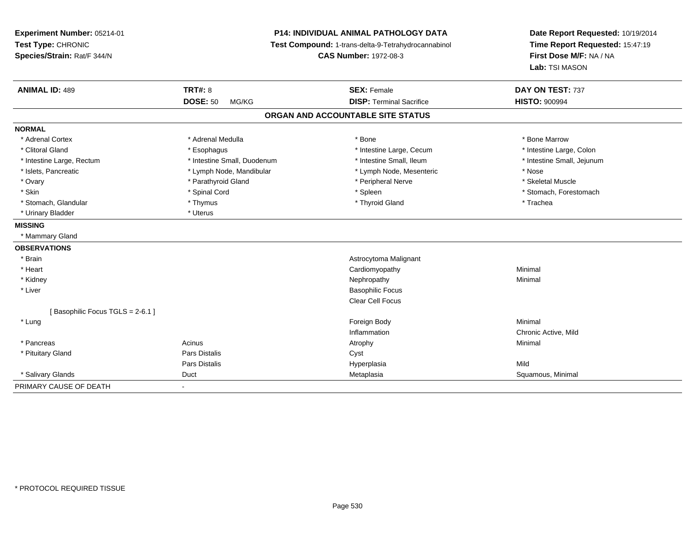| Experiment Number: 05214-01<br>Test Type: CHRONIC<br>Species/Strain: Rat/F 344/N | P14: INDIVIDUAL ANIMAL PATHOLOGY DATA<br>Test Compound: 1-trans-delta-9-Tetrahydrocannabinol<br><b>CAS Number: 1972-08-3</b> |                                   | Date Report Requested: 10/19/2014<br>Time Report Requested: 15:47:19<br>First Dose M/F: NA / NA<br>Lab: TSI MASON |  |
|----------------------------------------------------------------------------------|------------------------------------------------------------------------------------------------------------------------------|-----------------------------------|-------------------------------------------------------------------------------------------------------------------|--|
| <b>ANIMAL ID: 489</b>                                                            | <b>TRT#: 8</b>                                                                                                               | <b>SEX: Female</b>                | DAY ON TEST: 737                                                                                                  |  |
|                                                                                  | <b>DOSE: 50</b><br>MG/KG                                                                                                     | <b>DISP: Terminal Sacrifice</b>   | <b>HISTO: 900994</b>                                                                                              |  |
|                                                                                  |                                                                                                                              | ORGAN AND ACCOUNTABLE SITE STATUS |                                                                                                                   |  |
| <b>NORMAL</b>                                                                    |                                                                                                                              |                                   |                                                                                                                   |  |
| * Adrenal Cortex                                                                 | * Adrenal Medulla                                                                                                            | * Bone                            | * Bone Marrow                                                                                                     |  |
| * Clitoral Gland                                                                 | * Esophagus                                                                                                                  | * Intestine Large, Cecum          | * Intestine Large, Colon                                                                                          |  |
| * Intestine Large, Rectum                                                        | * Intestine Small, Duodenum                                                                                                  | * Intestine Small, Ileum          | * Intestine Small, Jejunum                                                                                        |  |
| * Islets, Pancreatic                                                             | * Lymph Node, Mandibular                                                                                                     | * Lymph Node, Mesenteric          | * Nose                                                                                                            |  |
| * Ovary                                                                          | * Parathyroid Gland                                                                                                          | * Peripheral Nerve                | * Skeletal Muscle                                                                                                 |  |
| * Skin                                                                           | * Spinal Cord                                                                                                                | * Spleen                          | * Stomach, Forestomach                                                                                            |  |
| * Stomach, Glandular                                                             | * Thymus                                                                                                                     | * Thyroid Gland                   | * Trachea                                                                                                         |  |
| * Urinary Bladder                                                                | * Uterus                                                                                                                     |                                   |                                                                                                                   |  |
| <b>MISSING</b>                                                                   |                                                                                                                              |                                   |                                                                                                                   |  |
| * Mammary Gland                                                                  |                                                                                                                              |                                   |                                                                                                                   |  |
| <b>OBSERVATIONS</b>                                                              |                                                                                                                              |                                   |                                                                                                                   |  |
| * Brain                                                                          |                                                                                                                              | Astrocytoma Malignant             |                                                                                                                   |  |
| * Heart                                                                          |                                                                                                                              | Cardiomyopathy                    | Minimal                                                                                                           |  |
| * Kidney                                                                         |                                                                                                                              | Nephropathy                       | Minimal                                                                                                           |  |
| * Liver                                                                          |                                                                                                                              | <b>Basophilic Focus</b>           |                                                                                                                   |  |
|                                                                                  |                                                                                                                              | Clear Cell Focus                  |                                                                                                                   |  |
| [Basophilic Focus TGLS = 2-6.1]                                                  |                                                                                                                              |                                   |                                                                                                                   |  |
| * Lung                                                                           |                                                                                                                              | Foreign Body                      | Minimal                                                                                                           |  |
|                                                                                  |                                                                                                                              | Inflammation                      | Chronic Active, Mild                                                                                              |  |
| * Pancreas                                                                       | Acinus                                                                                                                       | Atrophy                           | Minimal                                                                                                           |  |
| * Pituitary Gland                                                                | <b>Pars Distalis</b>                                                                                                         | Cyst                              |                                                                                                                   |  |
|                                                                                  | <b>Pars Distalis</b>                                                                                                         | Hyperplasia                       | Mild                                                                                                              |  |
| * Salivary Glands                                                                | Duct                                                                                                                         | Metaplasia                        | Squamous, Minimal                                                                                                 |  |
| PRIMARY CAUSE OF DEATH                                                           | $\sim$                                                                                                                       |                                   |                                                                                                                   |  |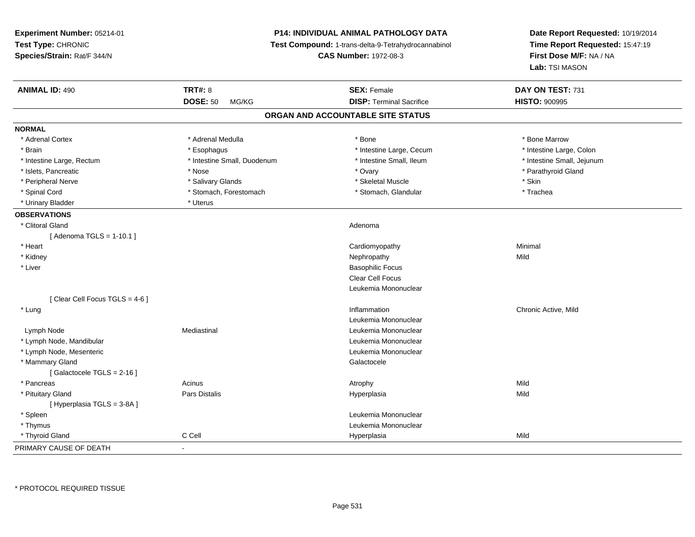| Experiment Number: 05214-01   | <b>P14: INDIVIDUAL ANIMAL PATHOLOGY DATA</b><br>Test Compound: 1-trans-delta-9-Tetrahydrocannabinol |                                   | Date Report Requested: 10/19/2014<br>Time Report Requested: 15:47:19 |
|-------------------------------|-----------------------------------------------------------------------------------------------------|-----------------------------------|----------------------------------------------------------------------|
| Test Type: CHRONIC            |                                                                                                     |                                   |                                                                      |
| Species/Strain: Rat/F 344/N   |                                                                                                     | <b>CAS Number: 1972-08-3</b>      | First Dose M/F: NA / NA                                              |
|                               |                                                                                                     |                                   | Lab: TSI MASON                                                       |
| <b>ANIMAL ID: 490</b>         | <b>TRT#: 8</b>                                                                                      | <b>SEX: Female</b>                | DAY ON TEST: 731                                                     |
|                               | <b>DOSE: 50</b><br>MG/KG                                                                            | <b>DISP: Terminal Sacrifice</b>   | <b>HISTO: 900995</b>                                                 |
|                               |                                                                                                     | ORGAN AND ACCOUNTABLE SITE STATUS |                                                                      |
| <b>NORMAL</b>                 |                                                                                                     |                                   |                                                                      |
| * Adrenal Cortex              | * Adrenal Medulla                                                                                   | * Bone                            | * Bone Marrow                                                        |
| * Brain                       | * Esophagus                                                                                         | * Intestine Large, Cecum          | * Intestine Large, Colon                                             |
| * Intestine Large, Rectum     | * Intestine Small, Duodenum                                                                         | * Intestine Small, Ileum          | * Intestine Small, Jejunum                                           |
| * Islets, Pancreatic          | * Nose                                                                                              | * Ovary                           | * Parathyroid Gland                                                  |
| * Peripheral Nerve            | * Salivary Glands                                                                                   | * Skeletal Muscle                 | * Skin                                                               |
| * Spinal Cord                 | * Stomach, Forestomach                                                                              | * Stomach, Glandular              | * Trachea                                                            |
| * Urinary Bladder             | * Uterus                                                                                            |                                   |                                                                      |
| <b>OBSERVATIONS</b>           |                                                                                                     |                                   |                                                                      |
| * Clitoral Gland              |                                                                                                     | Adenoma                           |                                                                      |
| [ Adenoma TGLS = 1-10.1 ]     |                                                                                                     |                                   |                                                                      |
| * Heart                       |                                                                                                     | Cardiomyopathy                    | Minimal                                                              |
| * Kidney                      |                                                                                                     | Nephropathy                       | Mild                                                                 |
| * Liver                       |                                                                                                     | <b>Basophilic Focus</b>           |                                                                      |
|                               |                                                                                                     | Clear Cell Focus                  |                                                                      |
|                               |                                                                                                     | Leukemia Mononuclear              |                                                                      |
| [Clear Cell Focus TGLS = 4-6] |                                                                                                     |                                   |                                                                      |
| * Lung                        |                                                                                                     | Inflammation                      | Chronic Active, Mild                                                 |
|                               |                                                                                                     | Leukemia Mononuclear              |                                                                      |
| Lymph Node                    | Mediastinal                                                                                         | Leukemia Mononuclear              |                                                                      |
| * Lymph Node, Mandibular      |                                                                                                     | Leukemia Mononuclear              |                                                                      |
| * Lymph Node, Mesenteric      |                                                                                                     | Leukemia Mononuclear              |                                                                      |
| * Mammary Gland               |                                                                                                     | Galactocele                       |                                                                      |
| [Galactocele TGLS = 2-16]     |                                                                                                     |                                   |                                                                      |
| * Pancreas                    | Acinus                                                                                              | Atrophy                           | Mild                                                                 |
| * Pituitary Gland             | Pars Distalis                                                                                       | Hyperplasia                       | Mild                                                                 |
| [ Hyperplasia TGLS = 3-8A ]   |                                                                                                     |                                   |                                                                      |
| * Spleen                      |                                                                                                     | Leukemia Mononuclear              |                                                                      |
| * Thymus                      |                                                                                                     | Leukemia Mononuclear              |                                                                      |
| * Thyroid Gland               | C Cell                                                                                              | Hyperplasia                       | Mild                                                                 |
| PRIMARY CAUSE OF DEATH        | ÷,                                                                                                  |                                   |                                                                      |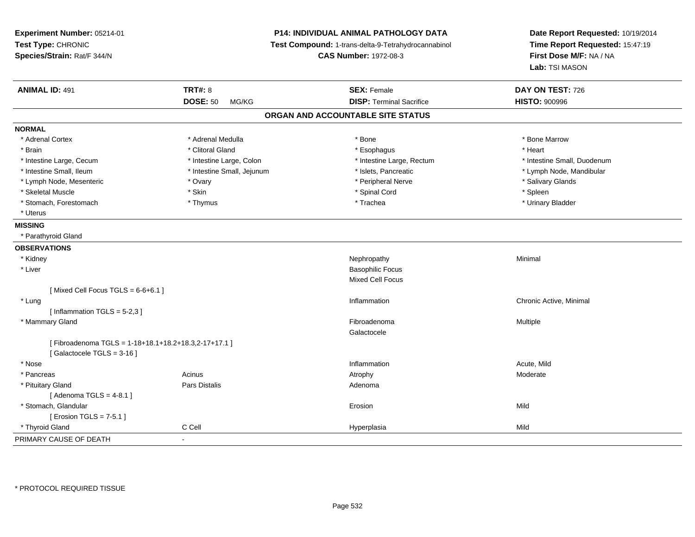| Experiment Number: 05214-01<br>Test Type: CHRONIC<br>Species/Strain: Rat/F 344/N |                            | P14: INDIVIDUAL ANIMAL PATHOLOGY DATA<br>Test Compound: 1-trans-delta-9-Tetrahydrocannabinol<br><b>CAS Number: 1972-08-3</b> | Date Report Requested: 10/19/2014<br>Time Report Requested: 15:47:19<br>First Dose M/F: NA / NA<br>Lab: TSI MASON |
|----------------------------------------------------------------------------------|----------------------------|------------------------------------------------------------------------------------------------------------------------------|-------------------------------------------------------------------------------------------------------------------|
| <b>ANIMAL ID: 491</b>                                                            | <b>TRT#: 8</b>             | <b>SEX: Female</b>                                                                                                           | DAY ON TEST: 726                                                                                                  |
|                                                                                  | <b>DOSE: 50</b><br>MG/KG   | <b>DISP: Terminal Sacrifice</b>                                                                                              | <b>HISTO: 900996</b>                                                                                              |
|                                                                                  |                            | ORGAN AND ACCOUNTABLE SITE STATUS                                                                                            |                                                                                                                   |
| <b>NORMAL</b>                                                                    |                            |                                                                                                                              |                                                                                                                   |
| * Adrenal Cortex                                                                 | * Adrenal Medulla          | * Bone                                                                                                                       | * Bone Marrow                                                                                                     |
| * Brain                                                                          | * Clitoral Gland           | * Esophagus                                                                                                                  | * Heart                                                                                                           |
| * Intestine Large, Cecum                                                         | * Intestine Large, Colon   | * Intestine Large, Rectum                                                                                                    | * Intestine Small, Duodenum                                                                                       |
| * Intestine Small, Ileum                                                         | * Intestine Small, Jejunum | * Islets, Pancreatic                                                                                                         | * Lymph Node, Mandibular                                                                                          |
| * Lymph Node, Mesenteric                                                         | * Ovary                    | * Peripheral Nerve                                                                                                           | * Salivary Glands                                                                                                 |
| * Skeletal Muscle                                                                | * Skin                     | * Spinal Cord                                                                                                                | * Spleen                                                                                                          |
| * Stomach, Forestomach                                                           | * Thymus                   | * Trachea                                                                                                                    | * Urinary Bladder                                                                                                 |
| * Uterus                                                                         |                            |                                                                                                                              |                                                                                                                   |
| <b>MISSING</b>                                                                   |                            |                                                                                                                              |                                                                                                                   |
| * Parathyroid Gland                                                              |                            |                                                                                                                              |                                                                                                                   |
| <b>OBSERVATIONS</b>                                                              |                            |                                                                                                                              |                                                                                                                   |
| * Kidney                                                                         |                            | Nephropathy                                                                                                                  | Minimal                                                                                                           |
| * Liver                                                                          |                            | <b>Basophilic Focus</b>                                                                                                      |                                                                                                                   |
|                                                                                  |                            | <b>Mixed Cell Focus</b>                                                                                                      |                                                                                                                   |
| [Mixed Cell Focus TGLS = $6-6+6.1$ ]                                             |                            |                                                                                                                              |                                                                                                                   |
| * Lung                                                                           |                            | Inflammation                                                                                                                 | Chronic Active, Minimal                                                                                           |
| [Inflammation $TGLS = 5-2,3$ ]                                                   |                            |                                                                                                                              |                                                                                                                   |
| * Mammary Gland                                                                  |                            | Fibroadenoma                                                                                                                 | Multiple                                                                                                          |
|                                                                                  |                            | Galactocele                                                                                                                  |                                                                                                                   |
| [Fibroadenoma TGLS = 1-18+18.1+18.2+18.3,2-17+17.1]                              |                            |                                                                                                                              |                                                                                                                   |
| [Galactocele TGLS = 3-16]                                                        |                            |                                                                                                                              |                                                                                                                   |
| * Nose                                                                           |                            | Inflammation                                                                                                                 | Acute, Mild                                                                                                       |
| * Pancreas                                                                       | Acinus                     | Atrophy                                                                                                                      | Moderate                                                                                                          |
| * Pituitary Gland                                                                | Pars Distalis              | Adenoma                                                                                                                      |                                                                                                                   |
| [Adenoma TGLS = $4-8.1$ ]                                                        |                            |                                                                                                                              |                                                                                                                   |
| * Stomach, Glandular                                                             |                            | Erosion                                                                                                                      | Mild                                                                                                              |
| [ Erosion TGLS = 7-5.1 ]                                                         |                            |                                                                                                                              |                                                                                                                   |
| * Thyroid Gland                                                                  | C Cell                     | Hyperplasia                                                                                                                  | Mild                                                                                                              |
| PRIMARY CAUSE OF DEATH                                                           | $\mathbf{r}$               |                                                                                                                              |                                                                                                                   |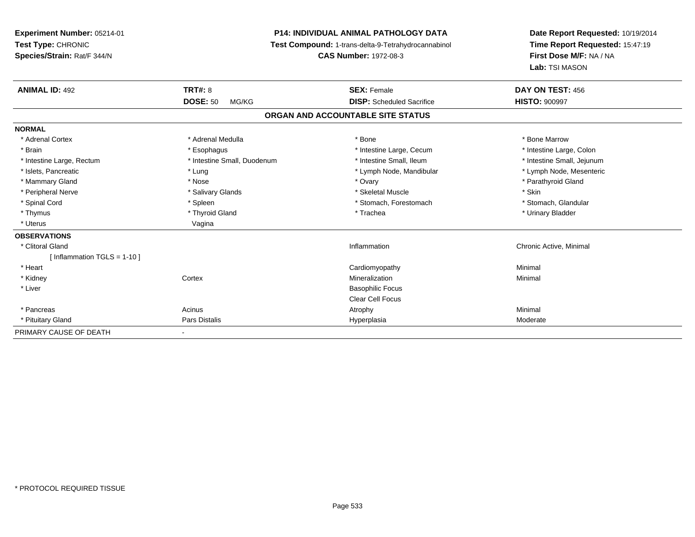**Experiment Number:** 05214-01**Test Type:** CHRONIC **Species/Strain:** Rat/F 344/N**P14: INDIVIDUAL ANIMAL PATHOLOGY DATA Test Compound:** 1-trans-delta-9-Tetrahydrocannabinol **CAS Number:** 1972-08-3**Date Report Requested:** 10/19/2014**Time Report Requested:** 15:47:19**First Dose M/F:** NA / NA**Lab:** TSI MASON**ANIMAL ID:** 492**TRT#:** 8 **SEX:** Female **DAY ON TEST:** 456 **DOSE:** 50 MG/KG **DISP:** Scheduled Sacrifice **HISTO:** <sup>900997</sup> **ORGAN AND ACCOUNTABLE SITE STATUSNORMAL**\* Adrenal Cortex \* Adrenal Medulla \* Adrenal Medulla \* Bone \* Bone \* Bone \* Bone \* Bone Marrow \* Brain \* Thestine Large, Colon \* Esophagus \* Thestine Large, Cecum \* Intestine Large, Cecum \* Intestine Large, Colon \* Intestine Large, Colon \* Intestine Large, Colon \* Intestine Large, Colon \* Intestine Large, Rectum \* Thestine Small, Duodenum \* Number of the small, Ileum \* Intestine Small, Jejunum \* Intestine Small, Jejunum \* Lymph Node, Mesenteric \* Islets, Pancreatic **\* Lung \* Lung \* Lung \* Lymph Node, Mandibular \*** Lymph Node, Mandibular \* Mammary Gland \* Nose \* Nose \* Nose \* 0vary \* Ovary \* Ovary \* Chammary Gland \* Parathyroid Gland \* Parathyroid Gland \* Peripheral Nerve \* Salivary Glands \* Skeletal Muscle \* Skin\* Stomach. Glandular \* Spinal Cord \* Spinal Cord \* Spinal Cord \* Stomach, Forestomach \* Stomach, Forestomach \* Stomach, Forestomach \* Thymus \* Thyroid Gland \* Trachea \* Urinary Bladder \* \* Uterus Vagina**OBSERVATIONS** \* Clitoral Gland Inflammation Chronic Active, Minimal [ Inflammation TGLS = 1-10 ] \* Heart Cardiomyopathy Minimal \* Kidneyy which is a context of the Cortext of the Cortext of the Cortext of the Mineralization n Minimal \* Liver Basophilic Focus Clear Cell Focus \* Pancreass the control of the control of the control of the control of the control of the control of the control of the control of the control of the control of the control of the control of the control of the control of the contro \* Pituitary Gland Pars Distalis Hyperplasia Moderate PRIMARY CAUSE OF DEATH

-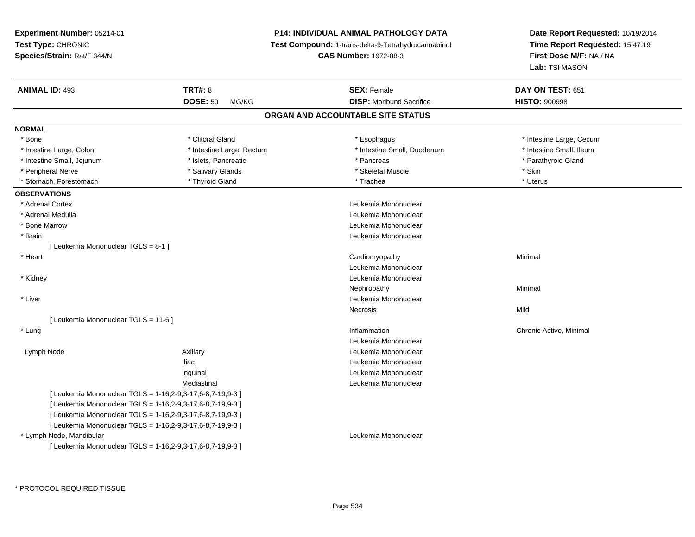## **P14: INDIVIDUAL ANIMAL PATHOLOGY DATA**

**Test Compound:** 1-trans-delta-9-Tetrahydrocannabinol

**CAS Number:** 1972-08-3

| <b>ANIMAL ID: 493</b>                                      | <b>TRT#: 8</b><br><b>DOSE: 50</b> | <b>SEX: Female</b>                | DAY ON TEST: 651<br><b>HISTO: 900998</b> |  |
|------------------------------------------------------------|-----------------------------------|-----------------------------------|------------------------------------------|--|
|                                                            | MG/KG                             | <b>DISP:</b> Moribund Sacrifice   |                                          |  |
|                                                            |                                   | ORGAN AND ACCOUNTABLE SITE STATUS |                                          |  |
| <b>NORMAL</b>                                              |                                   |                                   |                                          |  |
| * Bone                                                     | * Clitoral Gland                  | * Esophagus                       | * Intestine Large, Cecum                 |  |
| * Intestine Large, Colon                                   | * Intestine Large, Rectum         | * Intestine Small, Duodenum       | * Intestine Small, Ileum                 |  |
| * Intestine Small, Jejunum                                 | * Islets, Pancreatic              | * Pancreas                        | * Parathyroid Gland                      |  |
| * Peripheral Nerve                                         | * Salivary Glands                 | * Skeletal Muscle                 | * Skin                                   |  |
| * Stomach, Forestomach                                     | * Thyroid Gland                   | * Trachea                         | * Uterus                                 |  |
| <b>OBSERVATIONS</b>                                        |                                   |                                   |                                          |  |
| * Adrenal Cortex                                           |                                   | Leukemia Mononuclear              |                                          |  |
| * Adrenal Medulla                                          |                                   | Leukemia Mononuclear              |                                          |  |
| * Bone Marrow                                              |                                   | Leukemia Mononuclear              |                                          |  |
| * Brain                                                    |                                   | Leukemia Mononuclear              |                                          |  |
| [ Leukemia Mononuclear TGLS = 8-1 ]                        |                                   |                                   |                                          |  |
| * Heart                                                    |                                   | Cardiomyopathy                    | Minimal                                  |  |
|                                                            |                                   | Leukemia Mononuclear              |                                          |  |
| * Kidney                                                   |                                   | Leukemia Mononuclear              |                                          |  |
|                                                            |                                   | Nephropathy                       | Minimal                                  |  |
| * Liver                                                    |                                   | Leukemia Mononuclear              |                                          |  |
|                                                            |                                   | Necrosis                          | Mild                                     |  |
| [ Leukemia Mononuclear TGLS = 11-6 ]                       |                                   |                                   |                                          |  |
| * Lung                                                     |                                   | Inflammation                      | Chronic Active, Minimal                  |  |
|                                                            |                                   | Leukemia Mononuclear              |                                          |  |
| Lymph Node                                                 | Axillary                          | Leukemia Mononuclear              |                                          |  |
|                                                            | <b>Iliac</b>                      | Leukemia Mononuclear              |                                          |  |
|                                                            | Inguinal                          | Leukemia Mononuclear              |                                          |  |
|                                                            | Mediastinal                       | Leukemia Mononuclear              |                                          |  |
| [ Leukemia Mononuclear TGLS = 1-16,2-9,3-17,6-8,7-19,9-3 ] |                                   |                                   |                                          |  |
| [ Leukemia Mononuclear TGLS = 1-16,2-9,3-17,6-8,7-19,9-3 ] |                                   |                                   |                                          |  |
| [ Leukemia Mononuclear TGLS = 1-16,2-9,3-17,6-8,7-19,9-3 ] |                                   |                                   |                                          |  |
| [ Leukemia Mononuclear TGLS = 1-16,2-9,3-17,6-8,7-19,9-3 ] |                                   |                                   |                                          |  |
| * Lymph Node, Mandibular                                   |                                   | Leukemia Mononuclear              |                                          |  |
| [ Leukemia Mononuclear TGLS = 1-16,2-9,3-17,6-8,7-19,9-3 ] |                                   |                                   |                                          |  |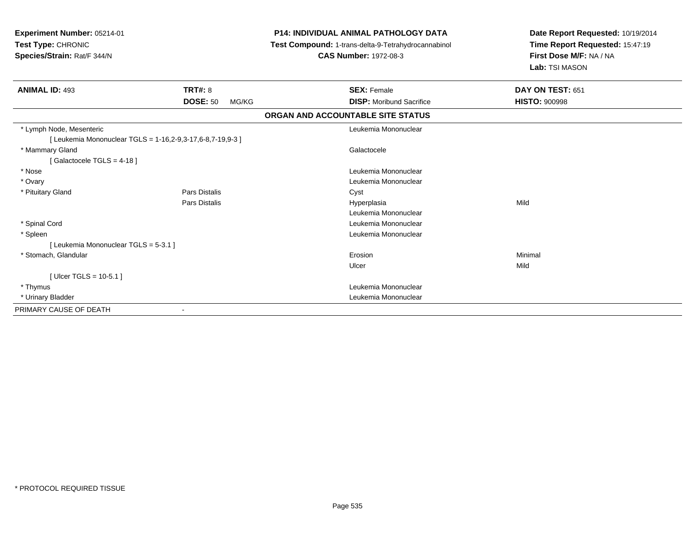| Experiment Number: 05214-01<br>Test Type: CHRONIC<br>Species/Strain: Rat/F 344/N |                          | <b>P14: INDIVIDUAL ANIMAL PATHOLOGY DATA</b><br>Test Compound: 1-trans-delta-9-Tetrahydrocannabinol<br><b>CAS Number: 1972-08-3</b> | Date Report Requested: 10/19/2014<br>Time Report Requested: 15:47:19<br>First Dose M/F: NA / NA<br>Lab: TSI MASON |
|----------------------------------------------------------------------------------|--------------------------|-------------------------------------------------------------------------------------------------------------------------------------|-------------------------------------------------------------------------------------------------------------------|
| <b>ANIMAL ID: 493</b>                                                            | TRT#: 8                  | <b>SEX: Female</b>                                                                                                                  | DAY ON TEST: 651                                                                                                  |
|                                                                                  | <b>DOSE: 50</b><br>MG/KG | <b>DISP:</b> Moribund Sacrifice                                                                                                     | <b>HISTO: 900998</b>                                                                                              |
|                                                                                  |                          | ORGAN AND ACCOUNTABLE SITE STATUS                                                                                                   |                                                                                                                   |
| * Lymph Node, Mesenteric                                                         |                          | Leukemia Mononuclear                                                                                                                |                                                                                                                   |
| [Leukemia Mononuclear TGLS = 1-16,2-9,3-17,6-8,7-19,9-3]                         |                          |                                                                                                                                     |                                                                                                                   |
| * Mammary Gland                                                                  |                          | Galactocele                                                                                                                         |                                                                                                                   |
| [Galactocele TGLS = 4-18]                                                        |                          |                                                                                                                                     |                                                                                                                   |
| * Nose                                                                           |                          | Leukemia Mononuclear                                                                                                                |                                                                                                                   |
| * Ovary                                                                          |                          | Leukemia Mononuclear                                                                                                                |                                                                                                                   |
| * Pituitary Gland                                                                | Pars Distalis            | Cyst                                                                                                                                |                                                                                                                   |
|                                                                                  | Pars Distalis            | Hyperplasia                                                                                                                         | Mild                                                                                                              |
|                                                                                  |                          | Leukemia Mononuclear                                                                                                                |                                                                                                                   |
| * Spinal Cord                                                                    |                          | Leukemia Mononuclear                                                                                                                |                                                                                                                   |
| * Spleen                                                                         |                          | Leukemia Mononuclear                                                                                                                |                                                                                                                   |
| [ Leukemia Mononuclear TGLS = 5-3.1 ]                                            |                          |                                                                                                                                     |                                                                                                                   |
| * Stomach, Glandular                                                             |                          | Erosion                                                                                                                             | Minimal                                                                                                           |
|                                                                                  |                          | Ulcer                                                                                                                               | Mild                                                                                                              |
| [ Ulcer TGLS = $10-5.1$ ]                                                        |                          |                                                                                                                                     |                                                                                                                   |
| * Thymus                                                                         |                          | Leukemia Mononuclear                                                                                                                |                                                                                                                   |
| * Urinary Bladder                                                                |                          | Leukemia Mononuclear                                                                                                                |                                                                                                                   |
| PRIMARY CAUSE OF DEATH                                                           |                          |                                                                                                                                     |                                                                                                                   |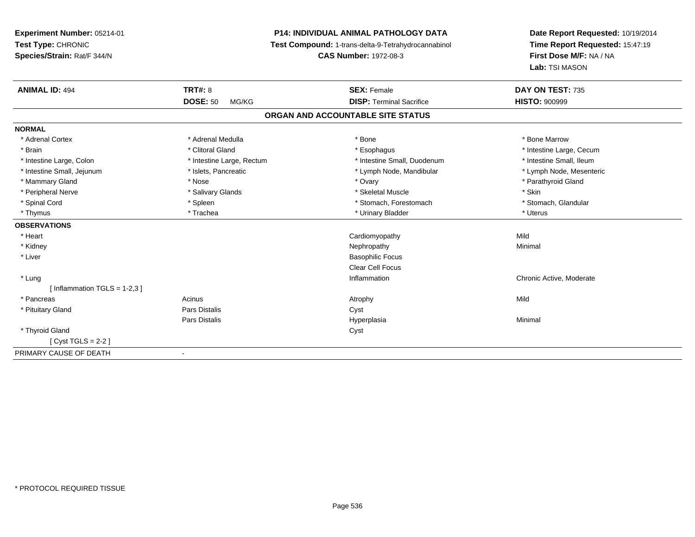**Experiment Number:** 05214-01**Test Type:** CHRONIC **Species/Strain:** Rat/F 344/N**P14: INDIVIDUAL ANIMAL PATHOLOGY DATA Test Compound:** 1-trans-delta-9-Tetrahydrocannabinol **CAS Number:** 1972-08-3**ANIMAL ID:** 494**DOSE:** 50 MG/KG**NORMAL**

| <b>ANIMAL ID: 494</b>          | <b>TRT#: 8</b>            | <b>SEX: Female</b>                | DAY ON TEST: 735         |
|--------------------------------|---------------------------|-----------------------------------|--------------------------|
|                                | <b>DOSE: 50</b><br>MG/KG  | <b>DISP: Terminal Sacrifice</b>   | <b>HISTO: 900999</b>     |
|                                |                           | ORGAN AND ACCOUNTABLE SITE STATUS |                          |
| <b>NORMAL</b>                  |                           |                                   |                          |
| * Adrenal Cortex               | * Adrenal Medulla         | * Bone                            | * Bone Marrow            |
| * Brain                        | * Clitoral Gland          | * Esophagus                       | * Intestine Large, Cecum |
| * Intestine Large, Colon       | * Intestine Large, Rectum | * Intestine Small, Duodenum       | * Intestine Small, Ileum |
| * Intestine Small, Jejunum     | * Islets, Pancreatic      | * Lymph Node, Mandibular          | * Lymph Node, Mesenteric |
| * Mammary Gland                | * Nose                    | * Ovary                           | * Parathyroid Gland      |
| * Peripheral Nerve             | * Salivary Glands         | * Skeletal Muscle                 | * Skin                   |
| * Spinal Cord                  | * Spleen                  | * Stomach, Forestomach            | * Stomach, Glandular     |
| * Thymus                       | * Trachea                 | * Urinary Bladder                 | * Uterus                 |
| <b>OBSERVATIONS</b>            |                           |                                   |                          |
| * Heart                        |                           | Cardiomyopathy                    | Mild                     |
| * Kidney                       |                           | Nephropathy                       | Minimal                  |
| * Liver                        |                           | <b>Basophilic Focus</b>           |                          |
|                                |                           | <b>Clear Cell Focus</b>           |                          |
| * Lung                         |                           | Inflammation                      | Chronic Active, Moderate |
| [Inflammation TGLS = $1-2.3$ ] |                           |                                   |                          |
| * Pancreas                     | Acinus                    | Atrophy                           | Mild                     |
| * Pituitary Gland              | Pars Distalis             | Cyst                              |                          |
|                                | Pars Distalis             | Hyperplasia                       | Minimal                  |
| * Thyroid Gland                |                           | Cyst                              |                          |
| $Cyst TGLS = 2-2$              |                           |                                   |                          |
| PRIMARY CAUSE OF DEATH         |                           |                                   |                          |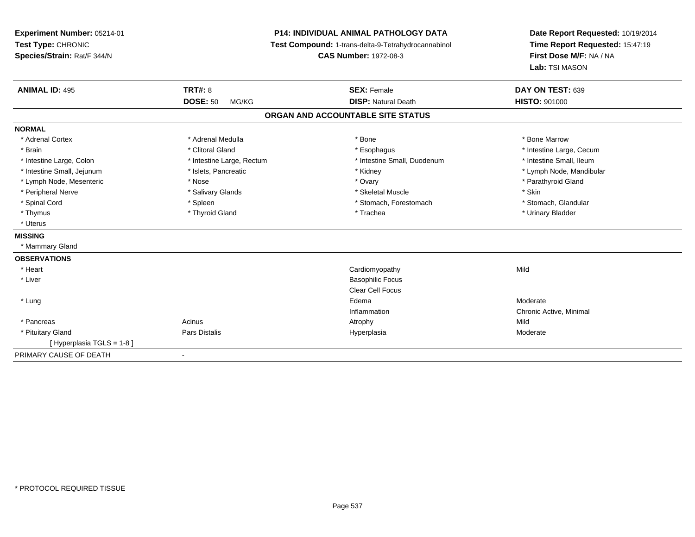**Experiment Number:** 05214-01**Test Type:** CHRONIC **Species/Strain:** Rat/F 344/N**P14: INDIVIDUAL ANIMAL PATHOLOGY DATA Test Compound:** 1-trans-delta-9-Tetrahydrocannabinol **CAS Number:** 1972-08-3**Date Report Requested:** 10/19/2014**Time Report Requested:** 15:47:19**First Dose M/F:** NA / NA**Lab:** TSI MASON**ANIMAL ID:** 495**TRT#:** 8 **SEX:** Female **DAY ON TEST:** 639 **DOSE:** 50 MG/KG**DISP:** Natural Death **HISTO:**  $901000$ **ORGAN AND ACCOUNTABLE SITE STATUSNORMAL**\* Adrenal Cortex \* Adrenal Medulla \* Adrenal Medulla \* Bone \* Bone \* Bone \* Bone \* Bone Marrow \* Brain \* Alternation of the state of the state of the state of the state of the state of the state of the state of the state of the state of the state of the state of the state of the state of the state of the state of th \* Intestine Small, Ileum \* Intestine Large, Colon \* Intestine Large, Rectum \* Intestine Small, Duodenum \* Intestine Small, Duodenum \* Intestine Small, Jejunum \* \* \* https://www.fat.com/setter/educitions/mandibular \* Kidney \* Mandibular \* Lymph Node, Mandibular \* Lymph Node, Mandibular \* Lymph Node, Mandibular \* Lymph Node, Mesenteric \* The state of the state of the state of the state of the state of the state of the state of the state of the state of the state of the state of the state of the state of the state of the state of \* Peripheral Nerve \* The state of the state of Salivary Glands \* Skeletal Muscle \* Skeletal Muscle \* Skin \* Skin \* Stomach. Glandular \* Spinal Cord \* Spinal Cord \* Spinal Cord \* Stomach, Forestomach \* Stomach, Forestomach \* Stomach, Forestomach \* Thymus \* Thyroid Gland \* Trachea \* Urinary Bladder \* \* Uterus**MISSING** \* Mammary Gland**OBSERVATIONS** \* Heart Cardiomyopathyy Mild \* Liver Basophilic Focus Clear Cell Focus \* Lungg and the state of the state of the state of the state of the state of the state of the state of the state of the state of the state of the state of the state of the state of the state of the state of the state of the stat Inflammation Chronic Active, Minimal \* Pancreass and the contract of the contract of the contract of the contract of the contract of the contract of the contract of  $\mathsf{A}$  and  $\mathsf{A}$  and  $\mathsf{A}$  and  $\mathsf{A}$  and  $\mathsf{A}$  and  $\mathsf{A}$  and  $\mathsf{A}$  and  $\mathsf{A}$  and Moderate \* Pituitary Gland Pars Distalis Hyperplasia Moderate [ Hyperplasia TGLS = 1-8 ]PRIMARY CAUSE OF DEATH-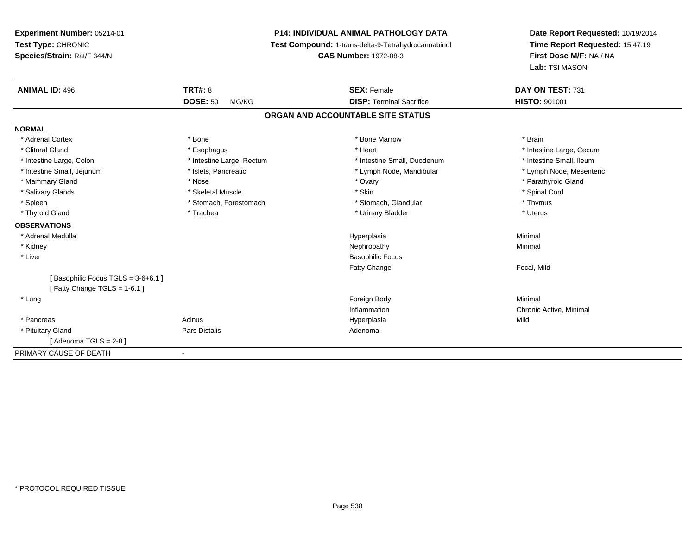# **P14: INDIVIDUAL ANIMAL PATHOLOGY DATA**

**Test Compound:** 1-trans-delta-9-Tetrahydrocannabinol

**CAS Number:** 1972-08-3

| <b>ANIMAL ID: 496</b>             | <b>TRT#: 8</b>            | <b>SEX: Female</b>                | DAY ON TEST: 731         |
|-----------------------------------|---------------------------|-----------------------------------|--------------------------|
|                                   | <b>DOSE: 50</b><br>MG/KG  | <b>DISP: Terminal Sacrifice</b>   | <b>HISTO: 901001</b>     |
|                                   |                           | ORGAN AND ACCOUNTABLE SITE STATUS |                          |
| <b>NORMAL</b>                     |                           |                                   |                          |
| * Adrenal Cortex                  | * Bone                    | * Bone Marrow                     | * Brain                  |
| * Clitoral Gland                  | * Esophagus               | * Heart                           | * Intestine Large, Cecum |
| * Intestine Large, Colon          | * Intestine Large, Rectum | * Intestine Small, Duodenum       | * Intestine Small, Ileum |
| * Intestine Small, Jejunum        | * Islets, Pancreatic      | * Lymph Node, Mandibular          | * Lymph Node, Mesenteric |
| * Mammary Gland                   | * Nose                    | * Ovary                           | * Parathyroid Gland      |
| * Salivary Glands                 | * Skeletal Muscle         | * Skin                            | * Spinal Cord            |
| * Spleen                          | * Stomach, Forestomach    | * Stomach, Glandular              | * Thymus                 |
| * Thyroid Gland                   | * Trachea                 | * Urinary Bladder                 | * Uterus                 |
| <b>OBSERVATIONS</b>               |                           |                                   |                          |
| * Adrenal Medulla                 |                           | Hyperplasia                       | Minimal                  |
| * Kidney                          |                           | Nephropathy                       | Minimal                  |
| * Liver                           |                           | <b>Basophilic Focus</b>           |                          |
|                                   |                           | <b>Fatty Change</b>               | Focal, Mild              |
| Basophilic Focus TGLS = 3-6+6.1 ] |                           |                                   |                          |
| [Fatty Change TGLS = $1-6.1$ ]    |                           |                                   |                          |
| * Lung                            |                           | Foreign Body                      | Minimal                  |
|                                   |                           | Inflammation                      | Chronic Active, Minimal  |
| * Pancreas                        | Acinus                    | Hyperplasia                       | Mild                     |
| * Pituitary Gland                 | Pars Distalis             | Adenoma                           |                          |
| [Adenoma TGLS = 2-8 ]             |                           |                                   |                          |
| PRIMARY CAUSE OF DEATH            |                           |                                   |                          |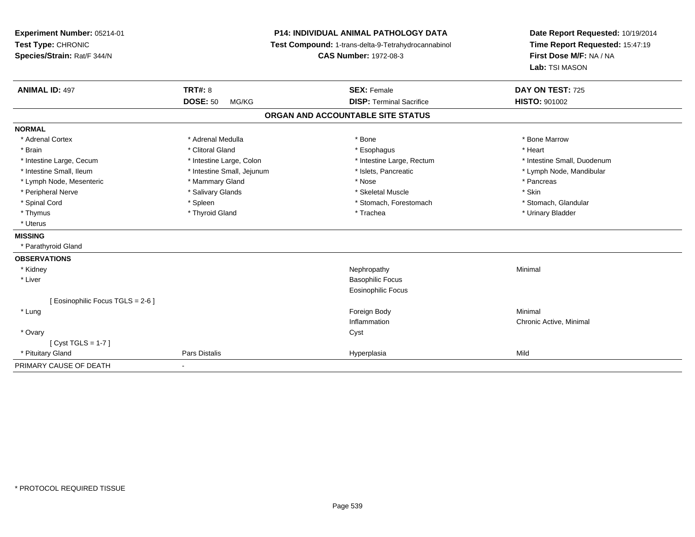| Experiment Number: 05214-01<br>Test Type: CHRONIC<br>Species/Strain: Rat/F 344/N |                            | <b>P14: INDIVIDUAL ANIMAL PATHOLOGY DATA</b><br>Test Compound: 1-trans-delta-9-Tetrahydrocannabinol<br><b>CAS Number: 1972-08-3</b> | Date Report Requested: 10/19/2014<br>Time Report Requested: 15:47:19<br>First Dose M/F: NA / NA<br>Lab: TSI MASON |  |
|----------------------------------------------------------------------------------|----------------------------|-------------------------------------------------------------------------------------------------------------------------------------|-------------------------------------------------------------------------------------------------------------------|--|
| <b>ANIMAL ID: 497</b>                                                            | <b>TRT#: 8</b>             | <b>SEX: Female</b>                                                                                                                  | DAY ON TEST: 725                                                                                                  |  |
|                                                                                  | <b>DOSE: 50</b><br>MG/KG   | <b>DISP: Terminal Sacrifice</b>                                                                                                     | <b>HISTO: 901002</b>                                                                                              |  |
|                                                                                  |                            | ORGAN AND ACCOUNTABLE SITE STATUS                                                                                                   |                                                                                                                   |  |
| <b>NORMAL</b>                                                                    |                            |                                                                                                                                     |                                                                                                                   |  |
| * Adrenal Cortex                                                                 | * Adrenal Medulla          | * Bone                                                                                                                              | * Bone Marrow                                                                                                     |  |
| * Brain                                                                          | * Clitoral Gland           | * Esophagus                                                                                                                         | * Heart                                                                                                           |  |
| * Intestine Large, Cecum                                                         | * Intestine Large, Colon   | * Intestine Large, Rectum                                                                                                           | * Intestine Small, Duodenum                                                                                       |  |
| * Intestine Small, Ileum                                                         | * Intestine Small, Jejunum | * Islets, Pancreatic                                                                                                                | * Lymph Node, Mandibular                                                                                          |  |
| * Lymph Node, Mesenteric                                                         | * Mammary Gland            | * Nose                                                                                                                              | * Pancreas                                                                                                        |  |
| * Peripheral Nerve                                                               | * Salivary Glands          | * Skeletal Muscle                                                                                                                   | * Skin                                                                                                            |  |
| * Spinal Cord                                                                    | * Spleen                   | * Stomach, Forestomach                                                                                                              | * Stomach, Glandular                                                                                              |  |
| * Thymus                                                                         | * Thyroid Gland            | * Trachea                                                                                                                           | * Urinary Bladder                                                                                                 |  |
| * Uterus                                                                         |                            |                                                                                                                                     |                                                                                                                   |  |
| <b>MISSING</b>                                                                   |                            |                                                                                                                                     |                                                                                                                   |  |
| * Parathyroid Gland                                                              |                            |                                                                                                                                     |                                                                                                                   |  |
| <b>OBSERVATIONS</b>                                                              |                            |                                                                                                                                     |                                                                                                                   |  |
| * Kidney                                                                         |                            | Nephropathy                                                                                                                         | Minimal                                                                                                           |  |
| * Liver                                                                          |                            | <b>Basophilic Focus</b>                                                                                                             |                                                                                                                   |  |
|                                                                                  |                            | Eosinophilic Focus                                                                                                                  |                                                                                                                   |  |
| [ Eosinophilic Focus TGLS = 2-6 ]                                                |                            |                                                                                                                                     |                                                                                                                   |  |
| * Lung                                                                           |                            | Foreign Body                                                                                                                        | Minimal                                                                                                           |  |
|                                                                                  |                            | Inflammation                                                                                                                        | Chronic Active, Minimal                                                                                           |  |
| * Ovary                                                                          |                            | Cyst                                                                                                                                |                                                                                                                   |  |
| [Cyst TGLS = $1-7$ ]                                                             |                            |                                                                                                                                     |                                                                                                                   |  |
| * Pituitary Gland                                                                | Pars Distalis              | Hyperplasia                                                                                                                         | Mild                                                                                                              |  |
| PRIMARY CAUSE OF DEATH                                                           | $\blacksquare$             |                                                                                                                                     |                                                                                                                   |  |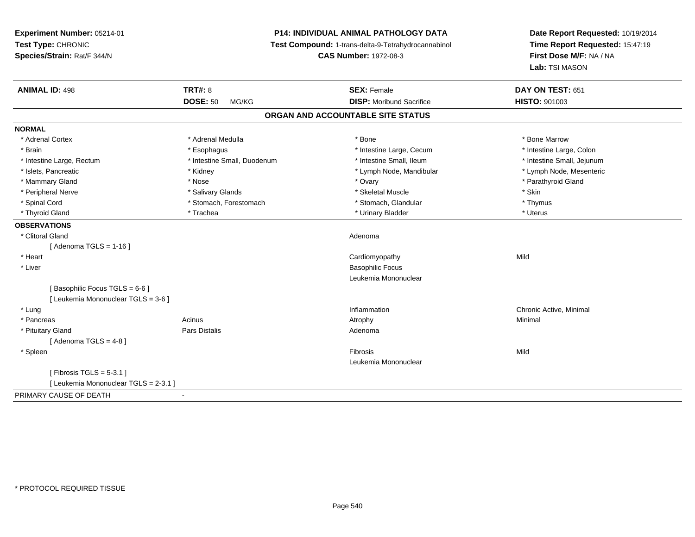**Experiment Number:** 05214-01**Test Type:** CHRONIC **Species/Strain:** Rat/F 344/N**P14: INDIVIDUAL ANIMAL PATHOLOGY DATA Test Compound:** 1-trans-delta-9-Tetrahydrocannabinol **CAS Number:** 1972-08-3**Date Report Requested:** 10/19/2014**Time Report Requested:** 15:47:19**First Dose M/F:** NA / NA**Lab:** TSI MASON**ANIMAL ID:** 498**EX:** Female **DAY ON TEST:** 651 **DOSE:** 50 MG/KG **DISP:** Moribund Sacrifice **HISTO:** <sup>901003</sup> **ORGAN AND ACCOUNTABLE SITE STATUSNORMAL**\* Adrenal Cortex \* Adrenal Medulla \* Adrenal Medulla \* Bone \* Bone \* Bone \* Bone \* Bone Marrow \* Intestine Large, Colon \* Brain \* Esophagus \* Esophagus \* Esophagus \* 11testine Large, Cecum \* \* Intestine Large, Rectum \* Thestine Small, Duodenum \* Number of the small, Ileum \* Intestine Small, Jejunum \* Intestine Small, Jejunum \* Lymph Node, Mesenteric \* Islets, Pancreatic **\* Kidney \* Kidney \* And Account Account Account Account Account Account Account Account Account Account Account Account Account Account Account Account Account Account Account Account Account Account** \* Mammary Gland \* \* Nose \* \* Nose \* \* Ovary \* Ovary \* Ovary \* The material structure of the term of the term \* Parathyroid Gland \* Parathyroid Gland \* Parathyroid Gland \* Nose \* \* Parathyroid Gland \* \* Parathyroid Gland \* \* Peripheral Nerve \* Salivary Glands \* Skeletal Muscle \* Skin\* Thymus \* Spinal Cord \* Stomach, Forestomach \* Stomach \* Stomach, Glandular \* Stomach, Glandular \* Uterus \* Thyroid Gland \* \* Trachea \* \* Trachea \* Trachea \* \* Urinary Bladder \* \* Urinary Bladder \* \* Uterus \* Uterus **OBSERVATIONS** \* Clitoral Glandd and a state of the control of the control of the control of the control of the control of the control of the control of the control of the control of the control of the control of the control of the control of the contro  $[$  Adenoma TGLS = 1-16  $]$  \* Heart Cardiomyopathyy Mild \* Liver Basophilic Focus Leukemia Mononuclear[ Basophilic Focus TGLS = 6-6 ][ Leukemia Mononuclear TGLS = 3-6 ] \* Lungg is a controller to the controller of the controller of the chronic Active, Minimal of the chronic Active, Minimal of the chronic Active, Minimal of the chronic Active, Minimal of the chronic Active, Minimal of the chroni \* Pancreass the control of the control of the control of the control of the control of the control of the control of the control of the control of the control of the control of the control of the control of the control of the contro \* Pituitary Glandd and the contract of Pars Distalis and the contract of Adenoma and Adenoma and the Adenoma and the Adenoma and  $\lambda$  $[$  Adenoma TGLS = 4-8  $]$  \* Spleenn and the control of the control of the control of the control of the control of the control of the control of the control of the control of the control of the control of the control of the control of the control of the co Leukemia Mononuclear[ Fibrosis TGLS = 5-3.1 ][ Leukemia Mononuclear TGLS = 2-3.1 ]PRIMARY CAUSE OF DEATH-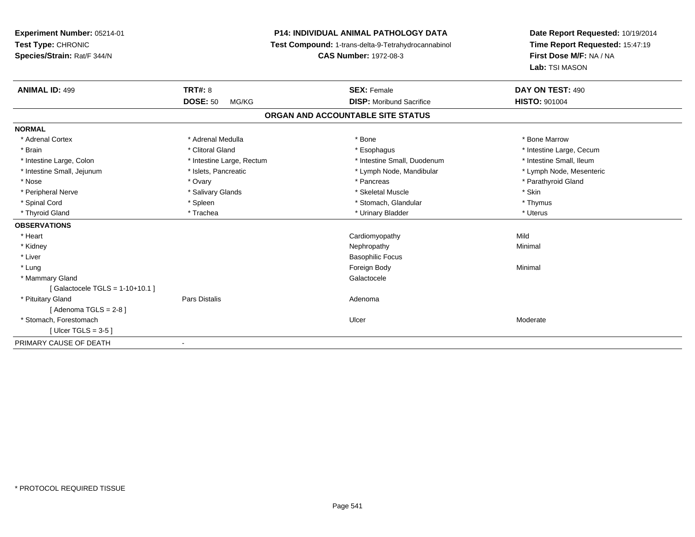# **P14: INDIVIDUAL ANIMAL PATHOLOGY DATA**

**Test Compound:** 1-trans-delta-9-Tetrahydrocannabinol

**CAS Number:** 1972-08-3

| <b>ANIMAL ID: 499</b>             | <b>TRT#: 8</b><br><b>DOSE: 50</b><br>MG/KG | <b>SEX: Female</b><br><b>DISP:</b> Moribund Sacrifice | DAY ON TEST: 490<br><b>HISTO: 901004</b> |
|-----------------------------------|--------------------------------------------|-------------------------------------------------------|------------------------------------------|
|                                   |                                            |                                                       |                                          |
|                                   |                                            | ORGAN AND ACCOUNTABLE SITE STATUS                     |                                          |
| <b>NORMAL</b>                     |                                            |                                                       |                                          |
| * Adrenal Cortex                  | * Adrenal Medulla                          | * Bone                                                | * Bone Marrow                            |
| * Brain                           | * Clitoral Gland                           | * Esophagus                                           | * Intestine Large, Cecum                 |
| * Intestine Large, Colon          | * Intestine Large, Rectum                  | * Intestine Small, Duodenum                           | * Intestine Small, Ileum                 |
| * Intestine Small, Jejunum        | * Islets, Pancreatic                       | * Lymph Node, Mandibular                              | * Lymph Node, Mesenteric                 |
| * Nose                            | * Ovary                                    | * Pancreas                                            | * Parathyroid Gland                      |
| * Peripheral Nerve                | * Salivary Glands                          | * Skeletal Muscle                                     | * Skin                                   |
| * Spinal Cord                     | * Spleen                                   | * Stomach, Glandular                                  | * Thymus                                 |
| * Thyroid Gland                   | * Trachea                                  | * Urinary Bladder                                     | * Uterus                                 |
| <b>OBSERVATIONS</b>               |                                            |                                                       |                                          |
| * Heart                           |                                            | Cardiomyopathy                                        | Mild                                     |
| * Kidney                          |                                            | Nephropathy                                           | Minimal                                  |
| * Liver                           |                                            | <b>Basophilic Focus</b>                               |                                          |
| * Lung                            |                                            | Foreign Body                                          | Minimal                                  |
| * Mammary Gland                   |                                            | Galactocele                                           |                                          |
| [Galactocele TGLS = $1-10+10.1$ ] |                                            |                                                       |                                          |
| * Pituitary Gland                 | Pars Distalis                              | Adenoma                                               |                                          |
| [Adenoma TGLS = $2-8$ ]           |                                            |                                                       |                                          |
| * Stomach, Forestomach            |                                            | Ulcer                                                 | Moderate                                 |
| [Ulcer TGLS = $3-5$ ]             |                                            |                                                       |                                          |
| PRIMARY CAUSE OF DEATH            |                                            |                                                       |                                          |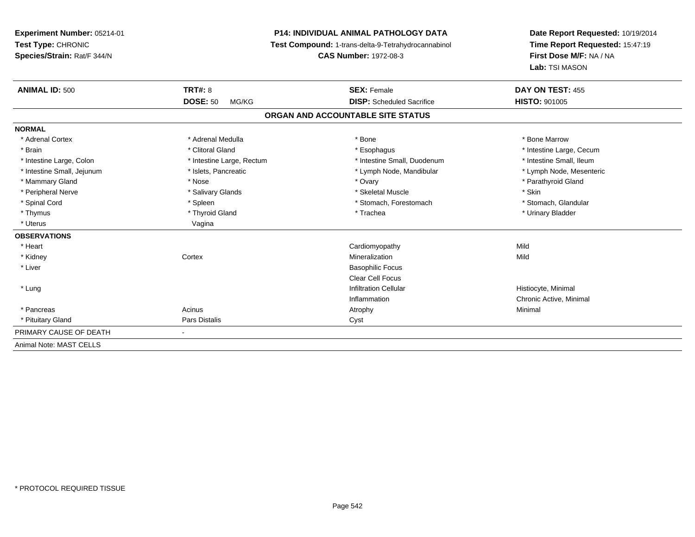# **P14: INDIVIDUAL ANIMAL PATHOLOGY DATA**

**Test Compound:** 1-trans-delta-9-Tetrahydrocannabinol

**CAS Number:** 1972-08-3

| <b>ANIMAL ID: 500</b>      | TRT#: 8<br><b>DOSE: 50</b><br>MG/KG | <b>SEX: Female</b><br><b>DISP:</b> Scheduled Sacrifice | DAY ON TEST: 455<br><b>HISTO: 901005</b> |
|----------------------------|-------------------------------------|--------------------------------------------------------|------------------------------------------|
|                            |                                     |                                                        |                                          |
|                            |                                     | ORGAN AND ACCOUNTABLE SITE STATUS                      |                                          |
| <b>NORMAL</b>              |                                     |                                                        |                                          |
| * Adrenal Cortex           | * Adrenal Medulla                   | * Bone                                                 | * Bone Marrow                            |
| * Brain                    | * Clitoral Gland                    | * Esophagus                                            | * Intestine Large, Cecum                 |
| * Intestine Large, Colon   | * Intestine Large, Rectum           | * Intestine Small, Duodenum                            | * Intestine Small, Ileum                 |
| * Intestine Small, Jejunum | * Islets, Pancreatic                | * Lymph Node, Mandibular                               | * Lymph Node, Mesenteric                 |
| * Mammary Gland            | * Nose                              | * Ovary                                                | * Parathyroid Gland                      |
| * Peripheral Nerve         | * Salivary Glands                   | * Skeletal Muscle                                      | * Skin                                   |
| * Spinal Cord              | * Spleen                            | * Stomach, Forestomach                                 | * Stomach, Glandular                     |
| * Thymus                   | * Thyroid Gland                     | * Trachea                                              | * Urinary Bladder                        |
| * Uterus                   | Vagina                              |                                                        |                                          |
| <b>OBSERVATIONS</b>        |                                     |                                                        |                                          |
| * Heart                    |                                     | Cardiomyopathy                                         | Mild                                     |
| * Kidney                   | Cortex                              | Mineralization                                         | Mild                                     |
| * Liver                    |                                     | <b>Basophilic Focus</b>                                |                                          |
|                            |                                     | <b>Clear Cell Focus</b>                                |                                          |
| * Lung                     |                                     | <b>Infiltration Cellular</b>                           | Histiocyte, Minimal                      |
|                            |                                     | Inflammation                                           | Chronic Active, Minimal                  |
| * Pancreas                 | Acinus                              | Atrophy                                                | Minimal                                  |
| * Pituitary Gland          | Pars Distalis                       | Cyst                                                   |                                          |
| PRIMARY CAUSE OF DEATH     | $\blacksquare$                      |                                                        |                                          |
| Animal Note: MAST CELLS    |                                     |                                                        |                                          |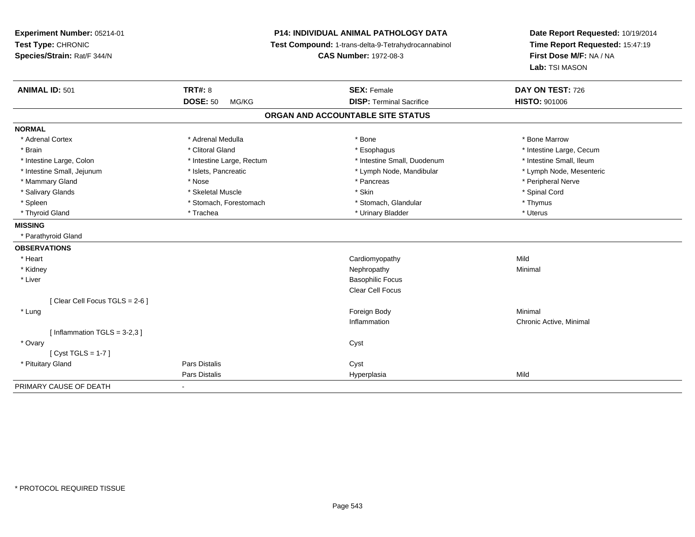| Experiment Number: 05214-01<br>Test Type: CHRONIC<br>Species/Strain: Rat/F 344/N | P14: INDIVIDUAL ANIMAL PATHOLOGY DATA<br>Test Compound: 1-trans-delta-9-Tetrahydrocannabinol<br><b>CAS Number: 1972-08-3</b> |                                   | Date Report Requested: 10/19/2014<br>Time Report Requested: 15:47:19<br>First Dose M/F: NA / NA<br>Lab: TSI MASON |
|----------------------------------------------------------------------------------|------------------------------------------------------------------------------------------------------------------------------|-----------------------------------|-------------------------------------------------------------------------------------------------------------------|
| <b>ANIMAL ID: 501</b>                                                            | <b>TRT#: 8</b>                                                                                                               | <b>SEX: Female</b>                | DAY ON TEST: 726                                                                                                  |
|                                                                                  | <b>DOSE: 50</b><br>MG/KG                                                                                                     | <b>DISP: Terminal Sacrifice</b>   | <b>HISTO: 901006</b>                                                                                              |
|                                                                                  |                                                                                                                              | ORGAN AND ACCOUNTABLE SITE STATUS |                                                                                                                   |
| <b>NORMAL</b>                                                                    |                                                                                                                              |                                   |                                                                                                                   |
| * Adrenal Cortex                                                                 | * Adrenal Medulla                                                                                                            | * Bone                            | * Bone Marrow                                                                                                     |
| * Brain                                                                          | * Clitoral Gland                                                                                                             | * Esophagus                       | * Intestine Large, Cecum                                                                                          |
| * Intestine Large, Colon                                                         | * Intestine Large, Rectum                                                                                                    | * Intestine Small, Duodenum       | * Intestine Small, Ileum                                                                                          |
| * Intestine Small, Jejunum                                                       | * Islets, Pancreatic                                                                                                         | * Lymph Node, Mandibular          | * Lymph Node, Mesenteric                                                                                          |
| * Mammary Gland                                                                  | * Nose                                                                                                                       | * Pancreas                        | * Peripheral Nerve                                                                                                |
| * Salivary Glands                                                                | * Skeletal Muscle                                                                                                            | * Skin                            | * Spinal Cord                                                                                                     |
| * Spleen                                                                         | * Stomach, Forestomach                                                                                                       | * Stomach, Glandular              | * Thymus                                                                                                          |
| * Thyroid Gland                                                                  | * Trachea                                                                                                                    | * Urinary Bladder                 | * Uterus                                                                                                          |
| <b>MISSING</b>                                                                   |                                                                                                                              |                                   |                                                                                                                   |
| * Parathyroid Gland                                                              |                                                                                                                              |                                   |                                                                                                                   |
| <b>OBSERVATIONS</b>                                                              |                                                                                                                              |                                   |                                                                                                                   |
| * Heart                                                                          |                                                                                                                              | Cardiomyopathy                    | Mild                                                                                                              |
| * Kidney                                                                         |                                                                                                                              | Nephropathy                       | Minimal                                                                                                           |
| * Liver                                                                          |                                                                                                                              | <b>Basophilic Focus</b>           |                                                                                                                   |
|                                                                                  |                                                                                                                              | Clear Cell Focus                  |                                                                                                                   |
| [Clear Cell Focus TGLS = 2-6]                                                    |                                                                                                                              |                                   |                                                                                                                   |
| * Lung                                                                           |                                                                                                                              | Foreign Body                      | Minimal                                                                                                           |
|                                                                                  |                                                                                                                              | Inflammation                      | Chronic Active, Minimal                                                                                           |
| [Inflammation TGLS = $3-2,3$ ]                                                   |                                                                                                                              |                                   |                                                                                                                   |
| * Ovary                                                                          |                                                                                                                              | Cyst                              |                                                                                                                   |
| [Cyst TGLS = $1-7$ ]                                                             |                                                                                                                              |                                   |                                                                                                                   |
| * Pituitary Gland                                                                | <b>Pars Distalis</b>                                                                                                         | Cyst                              |                                                                                                                   |
|                                                                                  | Pars Distalis                                                                                                                | Hyperplasia                       | Mild                                                                                                              |
| PRIMARY CAUSE OF DEATH                                                           | $\blacksquare$                                                                                                               |                                   |                                                                                                                   |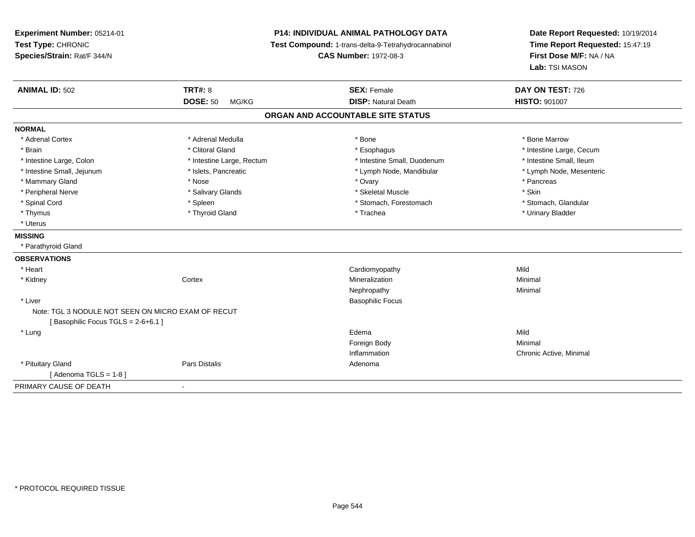**Experiment Number:** 05214-01**Test Type:** CHRONIC **Species/Strain:** Rat/F 344/N**P14: INDIVIDUAL ANIMAL PATHOLOGY DATA Test Compound:** 1-trans-delta-9-Tetrahydrocannabinol **CAS Number:** 1972-08-3**Date Report Requested:** 10/19/2014**Time Report Requested:** 15:47:19**First Dose M/F:** NA / NA**Lab:** TSI MASON**ANIMAL ID:** 502**TRT#:** 8 **SEX:** Female **DAY ON TEST:** 726 **DOSE:** 50 MG/KG**DISP:** Natural Death **HISTO:**  $901007$ **ORGAN AND ACCOUNTABLE SITE STATUSNORMAL**\* Adrenal Cortex \* Adrenal Medulla \* Adrenal Medulla \* Bone \* Bone \* Bone \* Bone \* Bone Marrow \* Brain \* Alternation of the state of the state of the state of the state of the state of the state of the state of the state of the state of the state of the state of the state of the state of the state of the state of th \* Intestine Small, Ileum \* Intestine Large, Colon \* Intestine Large, Rectum \* Intestine Small, Duodenum \* Intestine Small, Duodenum \* Lymph Node, Mesenteric \* Intestine Small, Jejunum \* Mandibular \* Islets, Pancreatic \* Mandibular \* Lymph Node, Mandibular \* Mammary Gland \* \* Andrew \* Nose \* \* Nose \* \* Ovary \* Ovary \* Ovary \* \* Ovary \* \* Pancreas \* \* Pancreas \* \* Pancreas \* \* Pancreas \* \* Pancreas \* \* Pancreas \* \* Pancreas \* \* Pancreas \* \* Pancreas \* \* Pancreas \* \* Pancreas \* Peripheral Nerve \* Salivary Glands \* Skeletal Muscle \* Skin\* Stomach. Glandular \* Spinal Cord \* Spinal Cord \* Spinal Cord \* Stomach, Forestomach \* Stomach, Forestomach \* Stomach, Forestomach \* Thymus \* Thyroid Gland \* Trachea \* Urinary Bladder \* \* Uterus**MISSING** \* Parathyroid Gland**OBSERVATIONS** \* Heart Cardiomyopathyy Mild Minimal \* Kidneyy the context of the context of the context of the context of the context of the context of the context of the context of the context of the context of the context of the context of the context of the context of the contex n Minimal Nephropathyy the contract of the Minimal Minimal Section 1996 and the contract of the Minimal Section 1997 and the contract of the contract of the contract of the contract of the contract of the contract of the contract of the contra \* Liver Basophilic FocusNote: TGL 3 NODULE NOT SEEN ON MICRO EXAM OF RECUT[ Basophilic Focus TGLS = 2-6+6.1 ] \* Lungg and the state of the state of the state of the state of the state of the state of the state of the state of the state of the state of the state of the state of the state of the state of the state of the state of the stat Foreign Bodyy the contract of the Minimal Minimal Section 1996 and the contract of the Minimal Section 1997 and the contract of the contract of the contract of the contract of the contract of the contract of the contract of the contra Inflammation Chronic Active, Minimal \* Pituitary Glandd and the set of Pars Distalis and the Second Adenomal Adenomal Second Second Pars Distallis  $[$  Adenoma TGLS = 1-8  $]$ PRIMARY CAUSE OF DEATH-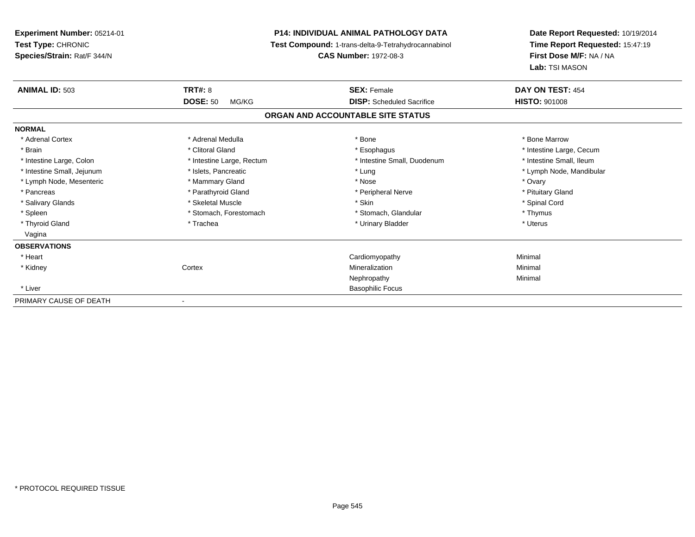| <b>Experiment Number: 05214-01</b><br>Test Type: CHRONIC<br>Species/Strain: Rat/F 344/N |                           | <b>P14: INDIVIDUAL ANIMAL PATHOLOGY DATA</b><br>Test Compound: 1-trans-delta-9-Tetrahydrocannabinol<br><b>CAS Number: 1972-08-3</b> | Date Report Requested: 10/19/2014<br>Time Report Requested: 15:47:19<br>First Dose M/F: NA / NA<br>Lab: TSI MASON |
|-----------------------------------------------------------------------------------------|---------------------------|-------------------------------------------------------------------------------------------------------------------------------------|-------------------------------------------------------------------------------------------------------------------|
| <b>ANIMAL ID: 503</b>                                                                   | TRT#: 8                   | <b>SEX: Female</b>                                                                                                                  | DAY ON TEST: 454                                                                                                  |
|                                                                                         | <b>DOSE: 50</b><br>MG/KG  | <b>DISP:</b> Scheduled Sacrifice                                                                                                    | <b>HISTO: 901008</b>                                                                                              |
|                                                                                         |                           | ORGAN AND ACCOUNTABLE SITE STATUS                                                                                                   |                                                                                                                   |
| <b>NORMAL</b>                                                                           |                           |                                                                                                                                     |                                                                                                                   |
| * Adrenal Cortex                                                                        | * Adrenal Medulla         | * Bone                                                                                                                              | * Bone Marrow                                                                                                     |
| * Brain                                                                                 | * Clitoral Gland          | * Esophagus                                                                                                                         | * Intestine Large, Cecum                                                                                          |
| * Intestine Large, Colon                                                                | * Intestine Large, Rectum | * Intestine Small, Duodenum                                                                                                         | * Intestine Small, Ileum                                                                                          |
| * Intestine Small, Jejunum                                                              | * Islets, Pancreatic      | * Lung                                                                                                                              | * Lymph Node, Mandibular                                                                                          |
| * Lymph Node, Mesenteric                                                                | * Mammary Gland           | * Nose                                                                                                                              | * Ovary                                                                                                           |
| * Pancreas                                                                              | * Parathyroid Gland       | * Peripheral Nerve                                                                                                                  | * Pituitary Gland                                                                                                 |
| * Salivary Glands                                                                       | * Skeletal Muscle         | * Skin                                                                                                                              | * Spinal Cord                                                                                                     |
| * Spleen                                                                                | * Stomach, Forestomach    | * Stomach, Glandular                                                                                                                | * Thymus                                                                                                          |
| * Thyroid Gland                                                                         | * Trachea                 | * Urinary Bladder                                                                                                                   | * Uterus                                                                                                          |
| Vagina                                                                                  |                           |                                                                                                                                     |                                                                                                                   |
| <b>OBSERVATIONS</b>                                                                     |                           |                                                                                                                                     |                                                                                                                   |
| * Heart                                                                                 |                           | Cardiomyopathy                                                                                                                      | Minimal                                                                                                           |
| * Kidney                                                                                | Cortex                    | Mineralization                                                                                                                      | Minimal                                                                                                           |
|                                                                                         |                           | Nephropathy                                                                                                                         | Minimal                                                                                                           |
| * Liver                                                                                 |                           | <b>Basophilic Focus</b>                                                                                                             |                                                                                                                   |
| PRIMARY CAUSE OF DEATH                                                                  |                           |                                                                                                                                     |                                                                                                                   |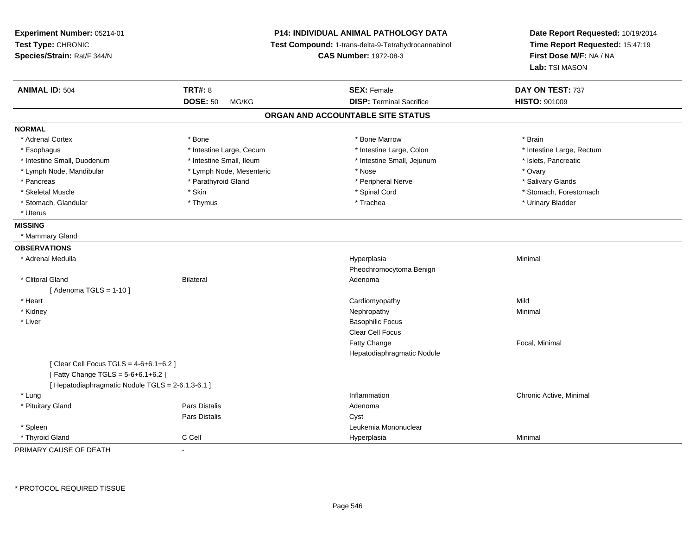| P14: INDIVIDUAL ANIMAL PATHOLOGY DATA<br>Experiment Number: 05214-01<br>Test Type: CHRONIC<br>Test Compound: 1-trans-delta-9-Tetrahydrocannabinol<br>Species/Strain: Rat/F 344/N<br><b>CAS Number: 1972-08-3</b> |                          |                                   | Date Report Requested: 10/19/2014<br>Time Report Requested: 15:47:19<br>First Dose M/F: NA / NA<br>Lab: TSI MASON |
|------------------------------------------------------------------------------------------------------------------------------------------------------------------------------------------------------------------|--------------------------|-----------------------------------|-------------------------------------------------------------------------------------------------------------------|
| <b>ANIMAL ID: 504</b>                                                                                                                                                                                            | <b>TRT#: 8</b>           | <b>SEX: Female</b>                | DAY ON TEST: 737                                                                                                  |
|                                                                                                                                                                                                                  | <b>DOSE: 50</b><br>MG/KG | <b>DISP: Terminal Sacrifice</b>   | <b>HISTO: 901009</b>                                                                                              |
|                                                                                                                                                                                                                  |                          | ORGAN AND ACCOUNTABLE SITE STATUS |                                                                                                                   |
| <b>NORMAL</b>                                                                                                                                                                                                    |                          |                                   |                                                                                                                   |
| * Adrenal Cortex                                                                                                                                                                                                 | * Bone                   | * Bone Marrow                     | * Brain                                                                                                           |
| * Esophagus                                                                                                                                                                                                      | * Intestine Large, Cecum | * Intestine Large, Colon          | * Intestine Large, Rectum                                                                                         |
| * Intestine Small, Duodenum                                                                                                                                                                                      | * Intestine Small, Ileum | * Intestine Small, Jejunum        | * Islets, Pancreatic                                                                                              |
| * Lymph Node, Mandibular                                                                                                                                                                                         | * Lymph Node, Mesenteric | * Nose                            | * Ovary                                                                                                           |
| * Pancreas                                                                                                                                                                                                       | * Parathyroid Gland      | * Peripheral Nerve                | * Salivary Glands                                                                                                 |
| * Skeletal Muscle                                                                                                                                                                                                | * Skin                   | * Spinal Cord                     | * Stomach, Forestomach                                                                                            |
| * Stomach, Glandular                                                                                                                                                                                             | * Thymus                 | * Trachea                         | * Urinary Bladder                                                                                                 |
| * Uterus                                                                                                                                                                                                         |                          |                                   |                                                                                                                   |
| <b>MISSING</b>                                                                                                                                                                                                   |                          |                                   |                                                                                                                   |
| * Mammary Gland                                                                                                                                                                                                  |                          |                                   |                                                                                                                   |
| <b>OBSERVATIONS</b>                                                                                                                                                                                              |                          |                                   |                                                                                                                   |
| * Adrenal Medulla                                                                                                                                                                                                |                          | Hyperplasia                       | Minimal                                                                                                           |
|                                                                                                                                                                                                                  |                          | Pheochromocytoma Benign           |                                                                                                                   |
| * Clitoral Gland                                                                                                                                                                                                 | <b>Bilateral</b>         | Adenoma                           |                                                                                                                   |
| [Adenoma TGLS = $1-10$ ]                                                                                                                                                                                         |                          |                                   |                                                                                                                   |
| * Heart                                                                                                                                                                                                          |                          | Cardiomyopathy                    | Mild                                                                                                              |
| * Kidney                                                                                                                                                                                                         |                          | Nephropathy                       | Minimal                                                                                                           |
| * Liver                                                                                                                                                                                                          |                          | <b>Basophilic Focus</b>           |                                                                                                                   |
|                                                                                                                                                                                                                  |                          | Clear Cell Focus                  |                                                                                                                   |
|                                                                                                                                                                                                                  |                          | Fatty Change                      | Focal, Minimal                                                                                                    |
|                                                                                                                                                                                                                  |                          | Hepatodiaphragmatic Nodule        |                                                                                                                   |
| [ Clear Cell Focus TGLS = 4-6+6.1+6.2 ]<br>[Fatty Change TGLS = 5-6+6.1+6.2]                                                                                                                                     |                          |                                   |                                                                                                                   |
| [ Hepatodiaphragmatic Nodule TGLS = 2-6.1,3-6.1 ]                                                                                                                                                                |                          |                                   |                                                                                                                   |
| * Lung                                                                                                                                                                                                           |                          | Inflammation                      | Chronic Active, Minimal                                                                                           |
| * Pituitary Gland                                                                                                                                                                                                | <b>Pars Distalis</b>     | Adenoma                           |                                                                                                                   |
|                                                                                                                                                                                                                  | Pars Distalis            | Cyst                              |                                                                                                                   |
| * Spleen                                                                                                                                                                                                         |                          | Leukemia Mononuclear              |                                                                                                                   |
| * Thyroid Gland                                                                                                                                                                                                  | C Cell                   | Hyperplasia                       | Minimal                                                                                                           |

PRIMARY CAUSE OF DEATH-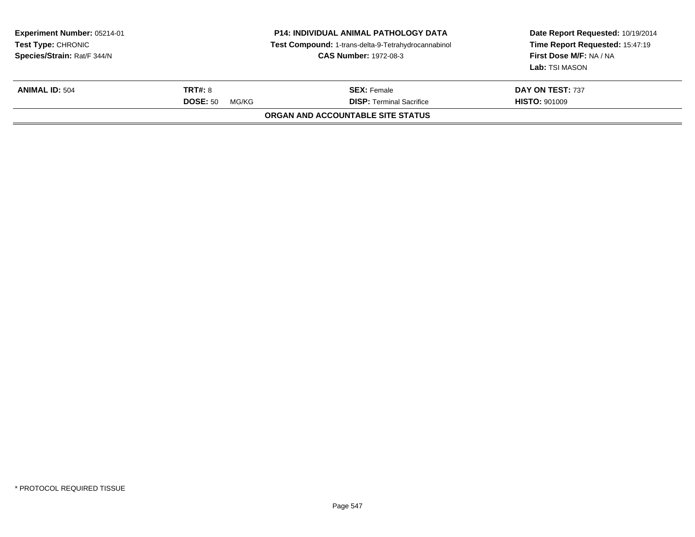| Experiment Number: 05214-01<br><b>Test Type: CHRONIC</b><br>Species/Strain: Rat/F 344/N |                                            | <b>P14: INDIVIDUAL ANIMAL PATHOLOGY DATA</b><br>Test Compound: 1-trans-delta-9-Tetrahydrocannabinol<br><b>CAS Number: 1972-08-3</b> | Date Report Requested: 10/19/2014<br>Time Report Requested: 15:47:19<br>First Dose M/F: NA / NA<br>Lab: TSI MASON |
|-----------------------------------------------------------------------------------------|--------------------------------------------|-------------------------------------------------------------------------------------------------------------------------------------|-------------------------------------------------------------------------------------------------------------------|
| <b>ANIMAL ID: 504</b>                                                                   | <b>TRT#: 8</b><br><b>DOSE: 50</b><br>MG/KG | <b>SEX: Female</b><br><b>DISP: Terminal Sacrifice</b>                                                                               | DAY ON TEST: 737<br><b>HISTO: 901009</b>                                                                          |
|                                                                                         |                                            | ORGAN AND ACCOUNTABLE SITE STATUS                                                                                                   |                                                                                                                   |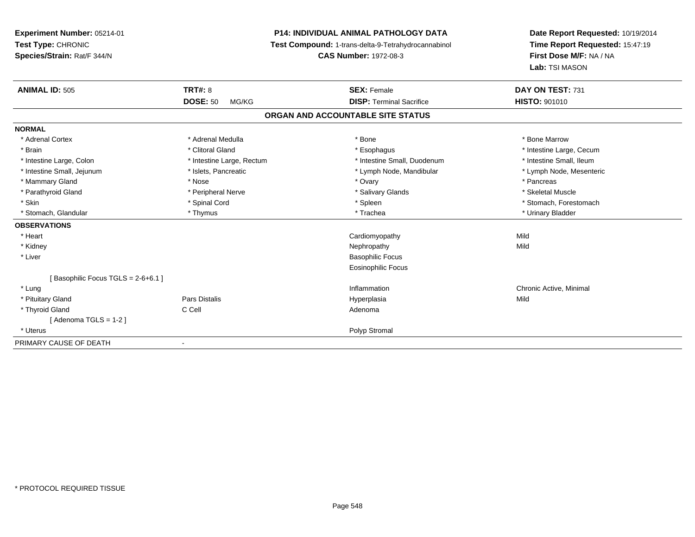# **P14: INDIVIDUAL ANIMAL PATHOLOGY DATA**

**Test Compound:** 1-trans-delta-9-Tetrahydrocannabinol

**CAS Number:** 1972-08-3

| <b>ANIMAL ID: 505</b>             | TRT#: 8                   | <b>SEX: Female</b>                | DAY ON TEST: 731         |
|-----------------------------------|---------------------------|-----------------------------------|--------------------------|
|                                   | <b>DOSE: 50</b><br>MG/KG  | <b>DISP: Terminal Sacrifice</b>   | <b>HISTO: 901010</b>     |
|                                   |                           | ORGAN AND ACCOUNTABLE SITE STATUS |                          |
| <b>NORMAL</b>                     |                           |                                   |                          |
| * Adrenal Cortex                  | * Adrenal Medulla         | * Bone                            | * Bone Marrow            |
| * Brain                           | * Clitoral Gland          | * Esophagus                       | * Intestine Large, Cecum |
| * Intestine Large, Colon          | * Intestine Large, Rectum | * Intestine Small, Duodenum       | * Intestine Small, Ileum |
| * Intestine Small, Jejunum        | * Islets, Pancreatic      | * Lymph Node, Mandibular          | * Lymph Node, Mesenteric |
| * Mammary Gland                   | * Nose                    | * Ovary                           | * Pancreas               |
| * Parathyroid Gland               | * Peripheral Nerve        | * Salivary Glands                 | * Skeletal Muscle        |
| * Skin                            | * Spinal Cord             | * Spleen                          | * Stomach, Forestomach   |
| * Stomach, Glandular              | * Thymus                  | * Trachea                         | * Urinary Bladder        |
| <b>OBSERVATIONS</b>               |                           |                                   |                          |
| * Heart                           |                           | Cardiomyopathy                    | Mild                     |
| * Kidney                          |                           | Nephropathy                       | Mild                     |
| * Liver                           |                           | <b>Basophilic Focus</b>           |                          |
|                                   |                           | Eosinophilic Focus                |                          |
| [Basophilic Focus TGLS = 2-6+6.1] |                           |                                   |                          |
| * Lung                            |                           | Inflammation                      | Chronic Active, Minimal  |
| * Pituitary Gland                 | Pars Distalis             | Hyperplasia                       | Mild                     |
| * Thyroid Gland                   | C Cell                    | Adenoma                           |                          |
| [Adenoma TGLS = 1-2]              |                           |                                   |                          |
| * Uterus                          |                           | Polyp Stromal                     |                          |
| PRIMARY CAUSE OF DEATH            |                           |                                   |                          |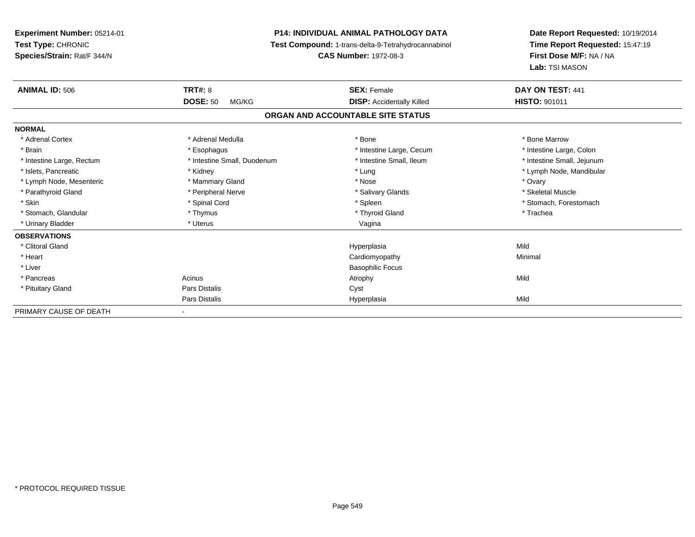**Experiment Number:** 05214-01**Test Type:** CHRONIC **Species/Strain:** Rat/F 344/N**P14: INDIVIDUAL ANIMAL PATHOLOGY DATA Test Compound:** 1-trans-delta-9-Tetrahydrocannabinol **CAS Number:** 1972-08-3**Date Report Requested:** 10/19/2014**Time Report Requested:** 15:47:19**First Dose M/F:** NA / NA**Lab:** TSI MASON**ANIMAL ID:** 506**6 CONSEX: CONSEX: CONSEX: CONSEX: CONSEX: CONSEX: CONSEX: CONSEX: CONSEX: CONSEX: CONSEX: CONSEX: CONSEX: CONSEX: CONSEX: CONSEX: CONSEX: CONSEX: CONSEX: CONSEX: CONSEX: CONSEX: DOSE:** 50 MG/KG**DISP:** Accidentally Killed **HISTO:** 901011 **ORGAN AND ACCOUNTABLE SITE STATUSNORMAL**\* Adrenal Cortex \* Adrenal Medulla \* Adrenal Medulla \* Bone \* Bone \* Bone \* Bone \* Bone Marrow \* Intestine Large, Colon \* Brain \* Esophagus \* Esophagus \* Esophagus \* 11testine Large, Cecum \* \* Intestine Large, Rectum \* Thestine Small, Duodenum \* Number of the small, Ileum \* Intestine Small, Jejunum \* Intestine Small, Jejunum \* Islets, Pancreatic \* Kidney \* Lung \* Lymph Node, Mandibular \* Lymph Node, Mesenteric \* \* \* Mammary Gland \* \* Nose \* Nose \* Ovary \* Ovary \* Ovary \* Ovary \* Ovary \* Ovary \* Ovary \* Skeletal Muscle \* Parathyroid Gland \* **All and \* Skeletal Muscle All and \* Peripheral Nerve** \* Salivary Glands \* Salivary Glands \* Skin \* Spinal Cord \* Spinal Cord \* Spinal Cord \* Spinal \* Spinal \* Stomach, Forestomach \* Stomach, Forestomach \* Stomach, Glandular \* Thymus \* Thymus \* Thymus \* Thyroid Gland \* Thyroid Gland \* Thachea \* Urinary Bladder \* North and the second term in the second variable values of the variable values of variable values  $\sim$  Vagina **OBSERVATIONS** \* Clitoral Glandd and the control of the control of the control of the Hyperplasia and the control of the control of the control of the control of the control of the control of the control of the control of the control of the control of t \* Heart Cardiomyopathy Minimal \* Liver Basophilic Focus \* Pancreass and the contract of the Acinus and Acinus and Acinus and Acinus Atrophy and Acinus and Mild \* Pituitary Glandd Cyst Constants Constants Constants Constants Constants Constants Constants Constants Constants Constants Const Pars Distalis Hyperplasiaa Mild PRIMARY CAUSE OF DEATH-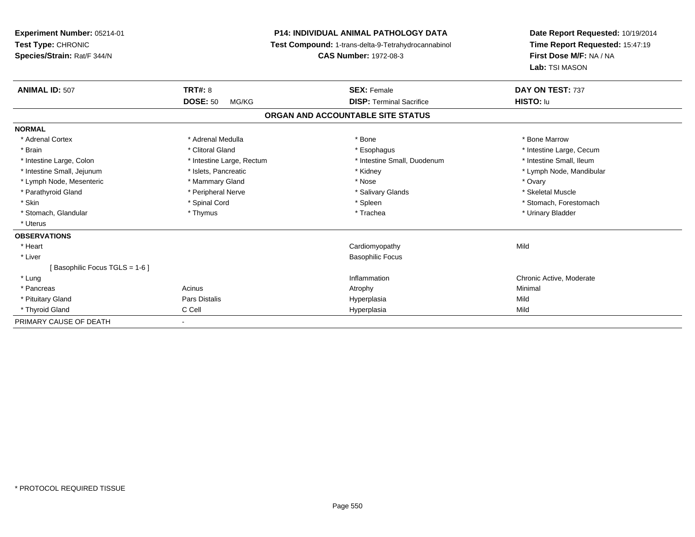| Experiment Number: 05214-01<br>Test Type: CHRONIC<br>Species/Strain: Rat/F 344/N |                           | <b>P14: INDIVIDUAL ANIMAL PATHOLOGY DATA</b><br>Test Compound: 1-trans-delta-9-Tetrahydrocannabinol<br><b>CAS Number: 1972-08-3</b> | Date Report Requested: 10/19/2014<br>Time Report Requested: 15:47:19<br>First Dose M/F: NA / NA<br>Lab: TSI MASON |
|----------------------------------------------------------------------------------|---------------------------|-------------------------------------------------------------------------------------------------------------------------------------|-------------------------------------------------------------------------------------------------------------------|
| <b>ANIMAL ID: 507</b>                                                            | <b>TRT#: 8</b>            | <b>SEX: Female</b>                                                                                                                  | DAY ON TEST: 737                                                                                                  |
|                                                                                  | <b>DOSE: 50</b><br>MG/KG  | <b>DISP: Terminal Sacrifice</b>                                                                                                     | HISTO: lu                                                                                                         |
|                                                                                  |                           | ORGAN AND ACCOUNTABLE SITE STATUS                                                                                                   |                                                                                                                   |
| <b>NORMAL</b>                                                                    |                           |                                                                                                                                     |                                                                                                                   |
| * Adrenal Cortex                                                                 | * Adrenal Medulla         | * Bone                                                                                                                              | * Bone Marrow                                                                                                     |
| * Brain                                                                          | * Clitoral Gland          | * Esophagus                                                                                                                         | * Intestine Large, Cecum                                                                                          |
| * Intestine Large, Colon                                                         | * Intestine Large, Rectum | * Intestine Small, Duodenum                                                                                                         | * Intestine Small, Ileum                                                                                          |
| * Intestine Small, Jejunum                                                       | * Islets, Pancreatic      | * Kidney                                                                                                                            | * Lymph Node, Mandibular                                                                                          |
| * Lymph Node, Mesenteric                                                         | * Mammary Gland           | * Nose                                                                                                                              | * Ovary                                                                                                           |
| * Parathyroid Gland                                                              | * Peripheral Nerve        | * Salivary Glands                                                                                                                   | * Skeletal Muscle                                                                                                 |
| * Skin                                                                           | * Spinal Cord             | * Spleen                                                                                                                            | * Stomach, Forestomach                                                                                            |
| * Stomach, Glandular                                                             | * Thymus                  | * Trachea                                                                                                                           | * Urinary Bladder                                                                                                 |
| * Uterus                                                                         |                           |                                                                                                                                     |                                                                                                                   |
| <b>OBSERVATIONS</b>                                                              |                           |                                                                                                                                     |                                                                                                                   |
| * Heart                                                                          |                           | Cardiomyopathy                                                                                                                      | Mild                                                                                                              |
| * Liver                                                                          |                           | <b>Basophilic Focus</b>                                                                                                             |                                                                                                                   |
| [Basophilic Focus TGLS = 1-6]                                                    |                           |                                                                                                                                     |                                                                                                                   |
| * Lung                                                                           |                           | Inflammation                                                                                                                        | Chronic Active, Moderate                                                                                          |
| * Pancreas                                                                       | Acinus                    | Atrophy                                                                                                                             | Minimal                                                                                                           |
| * Pituitary Gland                                                                | <b>Pars Distalis</b>      | Hyperplasia                                                                                                                         | Mild                                                                                                              |
| * Thyroid Gland                                                                  | C Cell                    | Hyperplasia                                                                                                                         | Mild                                                                                                              |
| PRIMARY CAUSE OF DEATH                                                           |                           |                                                                                                                                     |                                                                                                                   |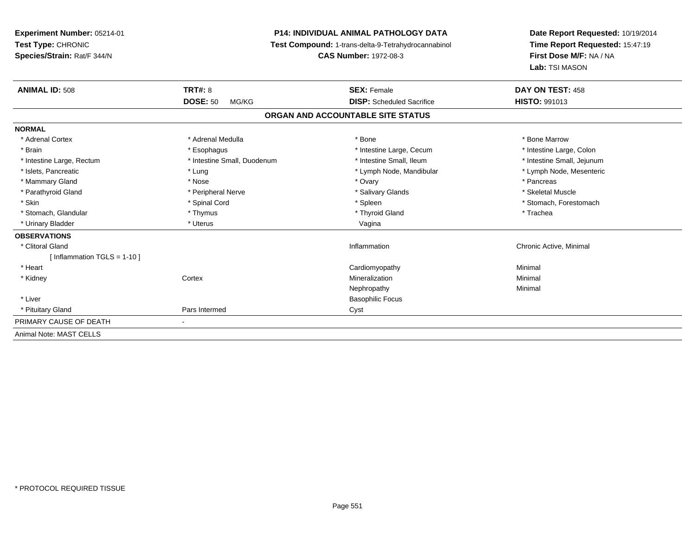**Experiment Number:** 05214-01**Test Type:** CHRONIC **Species/Strain:** Rat/F 344/N**P14: INDIVIDUAL ANIMAL PATHOLOGY DATA Test Compound:** 1-trans-delta-9-Tetrahydrocannabinol **CAS Number:** 1972-08-3**Date Report Requested:** 10/19/2014**Time Report Requested:** 15:47:19**First Dose M/F:** NA / NA**Lab:** TSI MASON**ANIMAL ID:** 508**EX:** Female **DAY ON TEST:** 458 **DOSE:** 50 MG/KG**DISP:** Scheduled Sacrifice **HISTO:** 991013 **ORGAN AND ACCOUNTABLE SITE STATUSNORMAL**\* Adrenal Cortex \* Adrenal Medulla \* Adrenal Medulla \* Bone \* Bone \* Bone \* Bone \* Bone Marrow \* Intestine Large, Colon \* Brain \* Esophagus \* Esophagus \* Esophagus \* 11testine Large, Cecum \* \* Intestine Large, Rectum \* Thestine Small, Duodenum \* Number of the small, Ileum \* Intestine Small, Jejunum \* Intestine Small, Jejunum \* Lymph Node, Mesenteric \* Islets, Pancreatic **\* Lung \* Lung \* Lung \* Lymph Node, Mandibular \*** Lymph Node, Mandibular \* Mammary Gland \* \* Andrew \* Nose \* \* Nose \* \* Ovary \* Ovary \* Ovary \* \* Ovary \* \* Pancreas \* \* Pancreas \* \* Pancreas \* \* Pancreas \* \* Pancreas \* \* Pancreas \* \* Pancreas \* \* Pancreas \* \* Pancreas \* \* Pancreas \* \* Pancreas \* Skeletal Muscle \* Parathyroid Gland \* \* \* And \* \* Peripheral Nerve \* \* \* Salivary Glands \* \* Salivary Glands \* \* Skeletal Muscle \* \* Skeletal Muscle \* \* Skeletal Muscle \* \* Skeletal Muscle \* \* Skeletal Muscle \* \* Skeletal Muscle \* \* Skele \* Skin \* Spinal Cord \* Spinal Cord \* Spinal Cord \* Spinal \* Spinal \* Stomach, Forestomach \* Stomach, Forestomach \* Stomach, Glandular \* Thymus \* Thymus \* Thymus \* Thyroid Gland \* Thyroid Gland \* Thachea \* Urinary Bladder \* North and the second term in the second variable values of the variable values of variable values  $\sim$  Vagina **OBSERVATIONS** \* Clitoral Gland Inflammation Chronic Active, Minimal [ Inflammation TGLS = 1-10 ] \* Heart Cardiomyopathy Minimal \* Kidneyy which is a context of the Cortext of the Cortext of the Cortext of the Mineralization n Minimal Nephropathyy the contract of the Minimal Minimal Section 1996 and the contract of the Minimal Section 1997 and the contract of the contract of the contract of the contract of the contract of the contract of the contract of the contra \* Liver Basophilic Focus \* Pituitary Glandd
a
compare the contract of Pars Intermed
compare the contract of Cyst PRIMARY CAUSE OF DEATH - Animal Note: MAST CELLS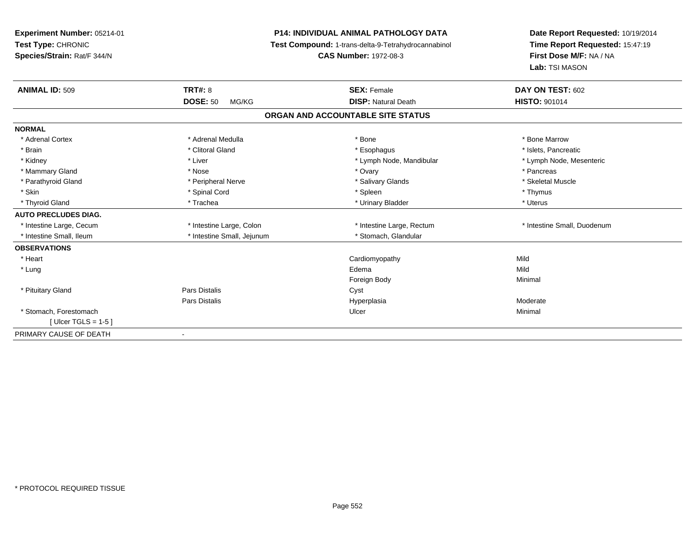**Experiment Number:** 05214-01**Test Type:** CHRONIC **Species/Strain:** Rat/F 344/N**P14: INDIVIDUAL ANIMAL PATHOLOGY DATA Test Compound:** 1-trans-delta-9-Tetrahydrocannabinol **CAS Number:** 1972-08-3**Date Report Requested:** 10/19/2014**Time Report Requested:** 15:47:19**First Dose M/F:** NA / NA**Lab:** TSI MASON**ANIMAL ID:** 509**TRT#:** 8 **SEX:** Female **SEX: Female DAY ON TEST:** 602 **DOSE:** 50 MG/KG**DISP:** Natural Death **HISTO:** 901014 **ORGAN AND ACCOUNTABLE SITE STATUSNORMAL**\* Adrenal Cortex \* Adrenal Medulla \* Adrenal Medulla \* Bone \* Bone \* Bone \* Bone \* Bone Marrow \* Islets. Pancreatic \* Brain \* Alternatic metal of the state of the state of the state of the state of the state of the state of the state of the state of the state of the state of the state of the state of the state of the state of the state \* Lymph Node, Mesenteric \* Kidney \* Liver \* Liver \* Liver \* Liver \* Lymph Node, Mandibular \* Lymph Node, Mandibular \* Mammary Gland \* \* Andrew \* Nose \* \* Nose \* \* Ovary \* Ovary \* Ovary \* \* Ovary \* \* Pancreas \* \* Pancreas \* \* Pancreas \* \* Pancreas \* \* Pancreas \* \* Pancreas \* \* Pancreas \* \* Pancreas \* \* Pancreas \* \* Pancreas \* \* Pancreas \* Skeletal Muscle \* Parathyroid Gland \* \* \* And \* \* Peripheral Nerve \* \* \* Salivary Glands \* \* Salivary Glands \* \* Skeletal Muscle \* \* Skeletal Muscle \* \* Skeletal Muscle \* \* Skeletal Muscle \* \* Skeletal Muscle \* \* Skeletal Muscle \* \* Skele \* Skin \* Stephen \* Spinal Cord \* \* Spinal Cord \* Spleen \* Thymus \* Spinal Society \* Thymus \* Thymus \* Thymus \* \* Uterus \* Thyroid Gland \* Trachea \* Trachea \* Trachea \* Urinary Bladder \* Urinary Bladder **AUTO PRECLUDES DIAG.** \* Intestine Large, Cecum \* Intestine Large, Colon \* Intestine Large, Rectum \* Intestine Small, Duodenum \* Intestine Small, Ileum \* Intestine Small, Jejunum \* Stomach, Glandular**OBSERVATIONS** \* Heart Cardiomyopathyy Mild **Mild**  \* Lungg and the state of the state of the state of the state of the state of the state of the state of the state of the state of the state of the state of the state of the state of the state of the state of the state of the stat Foreign Bodyy the contract of the Minimal Minimal Section 1996 and the contract of the Minimal Section 1997 and the contract of the contract of the contract of the contract of the contract of the contract of the contract of the contra \* Pituitary Glandd **Example 2018** Pars Distalis **Contains 2018** Cyst Pars Distalis HyperplasiaModerate<br>Minimal \* Stomach, Forestomachh anns an t-ainmeile anns an t-ainmeile anns an t-ainmeile anns an t-ainmeile an t-ainmeile an t-ainmeile an t- $[$  Ulcer TGLS = 1-5  $]$ PRIMARY CAUSE OF DEATH-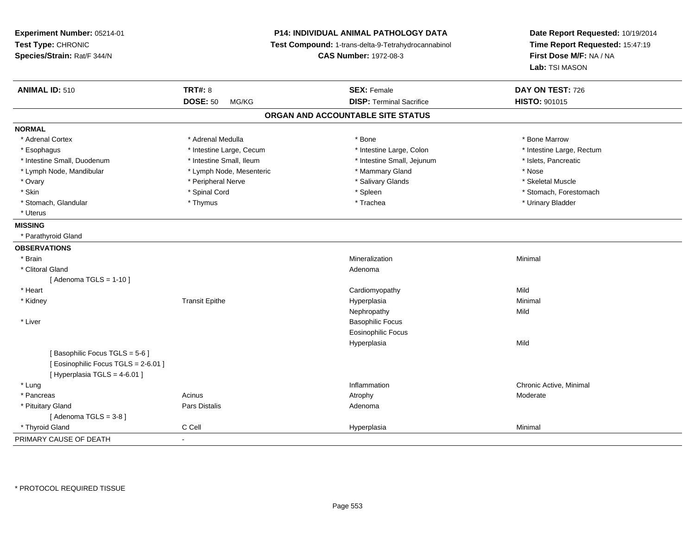| Experiment Number: 05214-01<br>Test Type: CHRONIC<br>Species/Strain: Rat/F 344/N                       | <b>P14: INDIVIDUAL ANIMAL PATHOLOGY DATA</b><br>Test Compound: 1-trans-delta-9-Tetrahydrocannabinol<br><b>CAS Number: 1972-08-3</b> |                                   | Date Report Requested: 10/19/2014<br>Time Report Requested: 15:47:19<br>First Dose M/F: NA / NA<br>Lab: TSI MASON |  |
|--------------------------------------------------------------------------------------------------------|-------------------------------------------------------------------------------------------------------------------------------------|-----------------------------------|-------------------------------------------------------------------------------------------------------------------|--|
| <b>ANIMAL ID: 510</b>                                                                                  | <b>TRT#: 8</b>                                                                                                                      | <b>SEX: Female</b>                | DAY ON TEST: 726                                                                                                  |  |
|                                                                                                        | <b>DOSE: 50</b><br>MG/KG                                                                                                            | <b>DISP: Terminal Sacrifice</b>   | HISTO: 901015                                                                                                     |  |
|                                                                                                        |                                                                                                                                     | ORGAN AND ACCOUNTABLE SITE STATUS |                                                                                                                   |  |
| <b>NORMAL</b>                                                                                          |                                                                                                                                     |                                   |                                                                                                                   |  |
| * Adrenal Cortex                                                                                       | * Adrenal Medulla                                                                                                                   | * Bone                            | * Bone Marrow                                                                                                     |  |
| * Esophagus                                                                                            | * Intestine Large, Cecum                                                                                                            | * Intestine Large, Colon          | * Intestine Large, Rectum                                                                                         |  |
| * Intestine Small, Duodenum                                                                            | * Intestine Small, Ileum                                                                                                            | * Intestine Small, Jejunum        | * Islets, Pancreatic                                                                                              |  |
| * Lymph Node, Mandibular                                                                               | * Lymph Node, Mesenteric                                                                                                            | * Mammary Gland                   | * Nose                                                                                                            |  |
| * Ovary                                                                                                | * Peripheral Nerve                                                                                                                  | * Salivary Glands                 | * Skeletal Muscle                                                                                                 |  |
| * Skin                                                                                                 | * Spinal Cord                                                                                                                       | * Spleen                          | * Stomach, Forestomach                                                                                            |  |
| * Stomach, Glandular                                                                                   | * Thymus                                                                                                                            | * Trachea                         | * Urinary Bladder                                                                                                 |  |
| * Uterus                                                                                               |                                                                                                                                     |                                   |                                                                                                                   |  |
| <b>MISSING</b>                                                                                         |                                                                                                                                     |                                   |                                                                                                                   |  |
| * Parathyroid Gland                                                                                    |                                                                                                                                     |                                   |                                                                                                                   |  |
| <b>OBSERVATIONS</b>                                                                                    |                                                                                                                                     |                                   |                                                                                                                   |  |
| * Brain                                                                                                |                                                                                                                                     | Mineralization                    | Minimal                                                                                                           |  |
| * Clitoral Gland                                                                                       |                                                                                                                                     | Adenoma                           |                                                                                                                   |  |
| [Adenoma TGLS = $1-10$ ]                                                                               |                                                                                                                                     |                                   |                                                                                                                   |  |
| * Heart                                                                                                |                                                                                                                                     | Cardiomyopathy                    | Mild                                                                                                              |  |
| * Kidney                                                                                               | <b>Transit Epithe</b>                                                                                                               | Hyperplasia                       | Minimal                                                                                                           |  |
|                                                                                                        |                                                                                                                                     | Nephropathy                       | Mild                                                                                                              |  |
| * Liver                                                                                                |                                                                                                                                     | <b>Basophilic Focus</b>           |                                                                                                                   |  |
|                                                                                                        |                                                                                                                                     | <b>Eosinophilic Focus</b>         |                                                                                                                   |  |
|                                                                                                        |                                                                                                                                     | Hyperplasia                       | Mild                                                                                                              |  |
| [Basophilic Focus TGLS = 5-6]<br>[ Eosinophilic Focus TGLS = 2-6.01 ]<br>[ Hyperplasia TGLS = 4-6.01 ] |                                                                                                                                     |                                   |                                                                                                                   |  |
| * Lung                                                                                                 |                                                                                                                                     | Inflammation                      | Chronic Active, Minimal                                                                                           |  |
| * Pancreas                                                                                             | Acinus                                                                                                                              | Atrophy                           | Moderate                                                                                                          |  |
| * Pituitary Gland                                                                                      | Pars Distalis                                                                                                                       | Adenoma                           |                                                                                                                   |  |
| [Adenoma TGLS = $3-8$ ]                                                                                |                                                                                                                                     |                                   |                                                                                                                   |  |
| * Thyroid Gland                                                                                        | C Cell                                                                                                                              | Hyperplasia                       | Minimal                                                                                                           |  |
| PRIMARY CAUSE OF DEATH                                                                                 | $\mathbf{r}$                                                                                                                        |                                   |                                                                                                                   |  |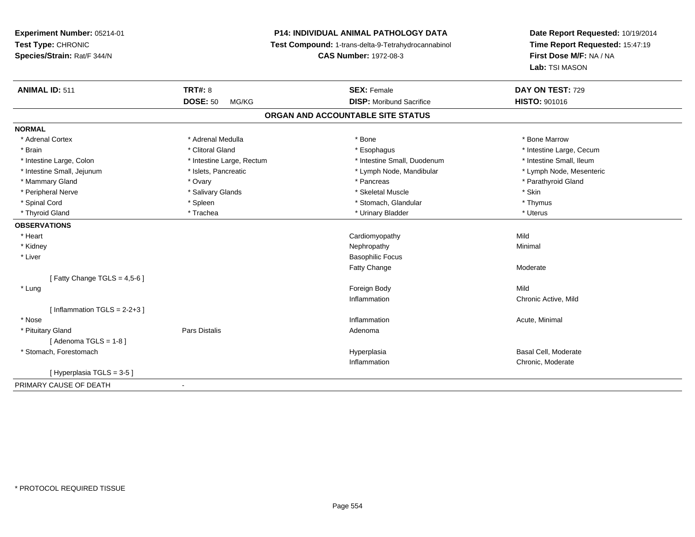# **P14: INDIVIDUAL ANIMAL PATHOLOGY DATA**

**Test Compound:** 1-trans-delta-9-Tetrahydrocannabinol

**CAS Number:** 1972-08-3

| <b>ANIMAL ID: 511</b>          | <b>TRT#: 8</b>            | <b>SEX: Female</b>                | DAY ON TEST: 729         |  |
|--------------------------------|---------------------------|-----------------------------------|--------------------------|--|
|                                | <b>DOSE: 50</b><br>MG/KG  | <b>DISP:</b> Moribund Sacrifice   | <b>HISTO: 901016</b>     |  |
|                                |                           | ORGAN AND ACCOUNTABLE SITE STATUS |                          |  |
| <b>NORMAL</b>                  |                           |                                   |                          |  |
| * Adrenal Cortex               | * Adrenal Medulla         | * Bone                            | * Bone Marrow            |  |
| * Brain                        | * Clitoral Gland          | * Esophagus                       | * Intestine Large, Cecum |  |
| * Intestine Large, Colon       | * Intestine Large, Rectum | * Intestine Small, Duodenum       | * Intestine Small, Ileum |  |
| * Intestine Small, Jejunum     | * Islets, Pancreatic      | * Lymph Node, Mandibular          | * Lymph Node, Mesenteric |  |
| * Mammary Gland                | * Ovary                   | * Pancreas                        | * Parathyroid Gland      |  |
| * Peripheral Nerve             | * Salivary Glands         | * Skeletal Muscle                 | * Skin                   |  |
| * Spinal Cord                  | * Spleen                  | * Stomach, Glandular              | * Thymus                 |  |
| * Thyroid Gland                | * Trachea                 | * Urinary Bladder                 | * Uterus                 |  |
| <b>OBSERVATIONS</b>            |                           |                                   |                          |  |
| * Heart                        |                           | Cardiomyopathy                    | Mild                     |  |
| * Kidney                       |                           | Nephropathy                       | Minimal                  |  |
| * Liver                        |                           | <b>Basophilic Focus</b>           |                          |  |
|                                |                           | <b>Fatty Change</b>               | Moderate                 |  |
| [Fatty Change TGLS = $4,5-6$ ] |                           |                                   |                          |  |
| * Lung                         |                           | Foreign Body                      | Mild                     |  |
|                                |                           | Inflammation                      | Chronic Active, Mild     |  |
| [Inflammation TGLS = $2-2+3$ ] |                           |                                   |                          |  |
| * Nose                         |                           | Inflammation                      | Acute, Minimal           |  |
| * Pituitary Gland              | Pars Distalis             | Adenoma                           |                          |  |
| [Adenoma TGLS = $1-8$ ]        |                           |                                   |                          |  |
| * Stomach, Forestomach         |                           | Hyperplasia                       | Basal Cell, Moderate     |  |
|                                |                           | Inflammation                      | Chronic, Moderate        |  |
| [Hyperplasia TGLS = 3-5]       |                           |                                   |                          |  |
| PRIMARY CAUSE OF DEATH         | $\overline{\phantom{a}}$  |                                   |                          |  |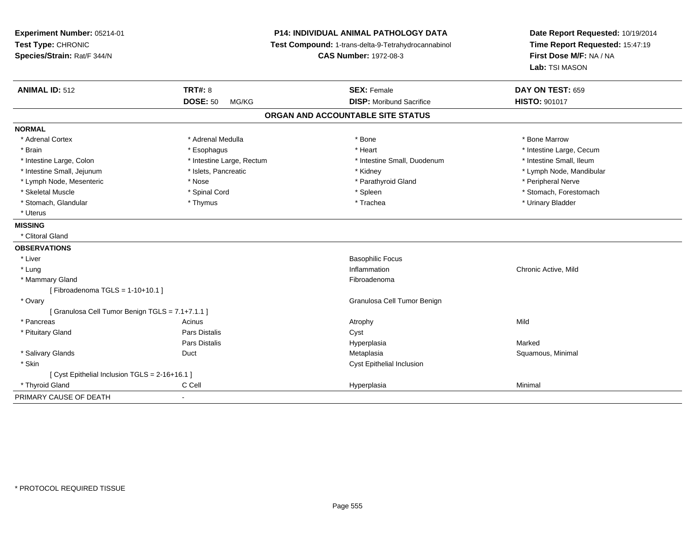| Experiment Number: 05214-01<br>Test Type: CHRONIC<br>Species/Strain: Rat/F 344/N | <b>P14: INDIVIDUAL ANIMAL PATHOLOGY DATA</b><br>Test Compound: 1-trans-delta-9-Tetrahydrocannabinol<br><b>CAS Number: 1972-08-3</b> |                                   | Date Report Requested: 10/19/2014<br>Time Report Requested: 15:47:19<br>First Dose M/F: NA / NA<br>Lab: TSI MASON |  |
|----------------------------------------------------------------------------------|-------------------------------------------------------------------------------------------------------------------------------------|-----------------------------------|-------------------------------------------------------------------------------------------------------------------|--|
| <b>ANIMAL ID: 512</b>                                                            | <b>TRT#: 8</b>                                                                                                                      | <b>SEX: Female</b>                | DAY ON TEST: 659                                                                                                  |  |
|                                                                                  | <b>DOSE: 50</b><br>MG/KG                                                                                                            | <b>DISP: Moribund Sacrifice</b>   | <b>HISTO: 901017</b>                                                                                              |  |
|                                                                                  |                                                                                                                                     | ORGAN AND ACCOUNTABLE SITE STATUS |                                                                                                                   |  |
| <b>NORMAL</b>                                                                    |                                                                                                                                     |                                   |                                                                                                                   |  |
| * Adrenal Cortex                                                                 | * Adrenal Medulla                                                                                                                   | * Bone                            | * Bone Marrow                                                                                                     |  |
| * Brain                                                                          | * Esophagus                                                                                                                         | * Heart                           | * Intestine Large, Cecum                                                                                          |  |
| * Intestine Large, Colon                                                         | * Intestine Large, Rectum                                                                                                           | * Intestine Small, Duodenum       | * Intestine Small, Ileum                                                                                          |  |
| * Intestine Small, Jejunum                                                       | * Islets, Pancreatic                                                                                                                | * Kidney                          | * Lymph Node, Mandibular                                                                                          |  |
| * Lymph Node, Mesenteric                                                         | * Nose                                                                                                                              | * Parathyroid Gland               | * Peripheral Nerve                                                                                                |  |
| * Skeletal Muscle                                                                | * Spinal Cord                                                                                                                       | * Spleen                          | * Stomach, Forestomach                                                                                            |  |
| * Stomach, Glandular                                                             | * Thymus                                                                                                                            | * Trachea                         | * Urinary Bladder                                                                                                 |  |
| * Uterus                                                                         |                                                                                                                                     |                                   |                                                                                                                   |  |
| <b>MISSING</b>                                                                   |                                                                                                                                     |                                   |                                                                                                                   |  |
| * Clitoral Gland                                                                 |                                                                                                                                     |                                   |                                                                                                                   |  |
| <b>OBSERVATIONS</b>                                                              |                                                                                                                                     |                                   |                                                                                                                   |  |
| * Liver                                                                          |                                                                                                                                     | <b>Basophilic Focus</b>           |                                                                                                                   |  |
| * Lung                                                                           |                                                                                                                                     | Inflammation                      | Chronic Active, Mild                                                                                              |  |
| * Mammary Gland                                                                  |                                                                                                                                     | Fibroadenoma                      |                                                                                                                   |  |
| [Fibroadenoma TGLS = $1-10+10.1$ ]                                               |                                                                                                                                     |                                   |                                                                                                                   |  |
| * Ovary                                                                          |                                                                                                                                     | Granulosa Cell Tumor Benign       |                                                                                                                   |  |
| [ Granulosa Cell Tumor Benign TGLS = 7.1+7.1.1 ]                                 |                                                                                                                                     |                                   |                                                                                                                   |  |
| * Pancreas                                                                       | Acinus                                                                                                                              | Atrophy                           | Mild                                                                                                              |  |
| * Pituitary Gland                                                                | Pars Distalis                                                                                                                       | Cyst                              |                                                                                                                   |  |
|                                                                                  | <b>Pars Distalis</b>                                                                                                                | Hyperplasia                       | Marked                                                                                                            |  |
| * Salivary Glands                                                                | Duct                                                                                                                                | Metaplasia                        | Squamous, Minimal                                                                                                 |  |
| * Skin                                                                           |                                                                                                                                     | Cyst Epithelial Inclusion         |                                                                                                                   |  |
| [ Cyst Epithelial Inclusion TGLS = 2-16+16.1 ]                                   |                                                                                                                                     |                                   |                                                                                                                   |  |
| * Thyroid Gland                                                                  | C Cell                                                                                                                              | Hyperplasia                       | Minimal                                                                                                           |  |
| PRIMARY CAUSE OF DEATH                                                           |                                                                                                                                     |                                   |                                                                                                                   |  |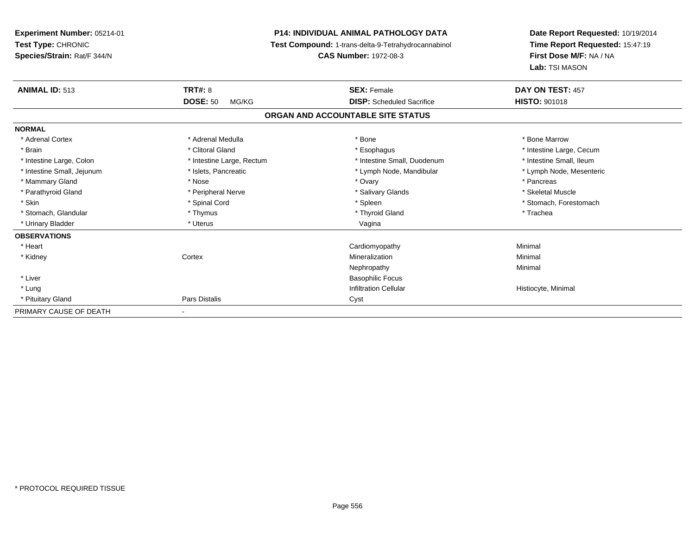**Experiment Number:** 05214-01**Test Type:** CHRONIC **Species/Strain:** Rat/F 344/N**P14: INDIVIDUAL ANIMAL PATHOLOGY DATA Test Compound:** 1-trans-delta-9-Tetrahydrocannabinol **CAS Number:** 1972-08-3**Date Report Requested:** 10/19/2014**Time Report Requested:** 15:47:19**First Dose M/F:** NA / NA**Lab:** TSI MASON**ANIMAL ID:** 513**TRT#:** 8 **SEX:** Female **DAY ON TEST:** 457 **DOSE:** 50 MG/KG **DISP:** Scheduled Sacrifice **HISTO:** <sup>901018</sup> **ORGAN AND ACCOUNTABLE SITE STATUSNORMAL**\* Adrenal Cortex \* Adrenal Medulla \* Adrenal Medulla \* Bone \* Bone \* Bone \* Bone \* Bone Marrow \* Brain \* Alternation of the state of the state of the state of the state of the state of the state of the state of the state of the state of the state of the state of the state of the state of the state of the state of th \* Intestine Small, Ileum \* Intestine Large, Colon \* Intestine Large, Rectum \* Intestine Small, Duodenum \* Intestine Small, Duodenum \* Lymph Node, Mesenteric \* Intestine Small, Jejunum \* Mandibular \* Islets, Pancreatic \* Mandibular \* Lymph Node, Mandibular \* Mammary Gland \* \* Andrew \* Nose \* \* Nose \* \* Ovary \* Ovary \* Ovary \* \* Ovary \* \* Pancreas \* \* Pancreas \* \* Pancreas \* \* Pancreas \* \* Pancreas \* \* Pancreas \* \* Pancreas \* \* Pancreas \* \* Pancreas \* \* Pancreas \* \* Pancreas \* Skeletal Muscle \* Parathyroid Gland \* \* \* And \* \* Peripheral Nerve \* \* \* Salivary Glands \* \* Salivary Glands \* \* Skeletal Muscle \* \* Skeletal Muscle \* \* Skeletal Muscle \* \* Skeletal Muscle \* \* Skeletal Muscle \* \* Skeletal Muscle \* \* Skele \* Skin \* Spinal Cord \* Spinal Cord \* Spinal Cord \* Spinal \* Spinal \* Stomach, Forestomach \* Stomach, Forestomach \* Stomach, Glandular \* Thymus \* Thymus \* Thymus \* Thyroid Gland \* Thyroid Gland \* Thachea \* Urinary Bladder \* North and the second term in the second variable values of the variable values of variable values  $\sim$  Vagina **OBSERVATIONS** \* Heart Cardiomyopathy Minimal \* Kidneyy which is a context of the Cortext of the Cortext of the Cortext of the Mineralization n Minimal Nephropathyy the contract of the Minimal Minimal Section 1996 and the contract of the Minimal Section 1997 and the contract of the contract of the contract of the contract of the contract of the contract of the contract of the contra \* Liver Basophilic Focus**Infiltration Cellular**  \* Lungg is a construction Cellular Historyte, Minimal (1990) and the set of the construction Cellular Historyte, Minimal (1990) and the set of the construction Cellular (1990) and Historyte, Minimal (1990) and the construction \* Pituitary Glandd **Pars Distalis Community Community** Cyst PRIMARY CAUSE OF DEATH-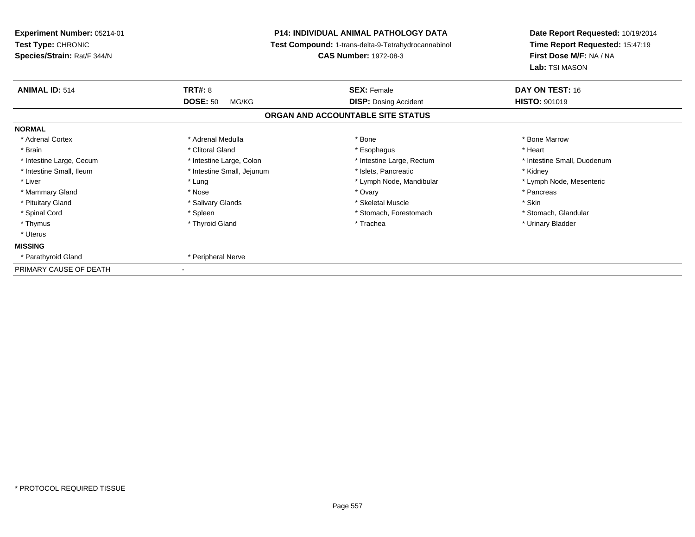| Experiment Number: 05214-01<br>Test Type: CHRONIC<br>Species/Strain: Rat/F 344/N | <b>P14: INDIVIDUAL ANIMAL PATHOLOGY DATA</b><br>Test Compound: 1-trans-delta-9-Tetrahydrocannabinol<br><b>CAS Number: 1972-08-3</b> |                                   | Date Report Requested: 10/19/2014<br>Time Report Requested: 15:47:19<br>First Dose M/F: NA / NA<br>Lab: TSI MASON |  |
|----------------------------------------------------------------------------------|-------------------------------------------------------------------------------------------------------------------------------------|-----------------------------------|-------------------------------------------------------------------------------------------------------------------|--|
| <b>ANIMAL ID: 514</b>                                                            | <b>TRT#: 8</b>                                                                                                                      | <b>SEX: Female</b>                | DAY ON TEST: 16                                                                                                   |  |
|                                                                                  | <b>DOSE: 50</b><br>MG/KG                                                                                                            | <b>DISP:</b> Dosing Accident      | <b>HISTO: 901019</b>                                                                                              |  |
|                                                                                  |                                                                                                                                     | ORGAN AND ACCOUNTABLE SITE STATUS |                                                                                                                   |  |
| <b>NORMAL</b>                                                                    |                                                                                                                                     |                                   |                                                                                                                   |  |
| * Adrenal Cortex                                                                 | * Adrenal Medulla                                                                                                                   | * Bone                            | * Bone Marrow                                                                                                     |  |
| * Brain                                                                          | * Clitoral Gland                                                                                                                    | * Esophagus                       | * Heart                                                                                                           |  |
| * Intestine Large, Cecum                                                         | * Intestine Large, Colon                                                                                                            | * Intestine Large, Rectum         | * Intestine Small, Duodenum                                                                                       |  |
| * Intestine Small, Ileum                                                         | * Intestine Small, Jejunum                                                                                                          | * Islets, Pancreatic              | * Kidney                                                                                                          |  |
| * Liver                                                                          | * Lung                                                                                                                              | * Lymph Node, Mandibular          | * Lymph Node, Mesenteric                                                                                          |  |
| * Mammary Gland                                                                  | * Nose                                                                                                                              | * Ovary                           | * Pancreas                                                                                                        |  |
| * Pituitary Gland                                                                | * Salivary Glands                                                                                                                   | * Skeletal Muscle                 | * Skin                                                                                                            |  |
| * Spinal Cord                                                                    | * Spleen                                                                                                                            | * Stomach, Forestomach            | * Stomach, Glandular                                                                                              |  |
| * Thymus                                                                         | * Thyroid Gland                                                                                                                     | * Trachea                         | * Urinary Bladder                                                                                                 |  |
| * Uterus                                                                         |                                                                                                                                     |                                   |                                                                                                                   |  |
| <b>MISSING</b>                                                                   |                                                                                                                                     |                                   |                                                                                                                   |  |
| * Parathyroid Gland                                                              | * Peripheral Nerve                                                                                                                  |                                   |                                                                                                                   |  |
| PRIMARY CAUSE OF DEATH                                                           |                                                                                                                                     |                                   |                                                                                                                   |  |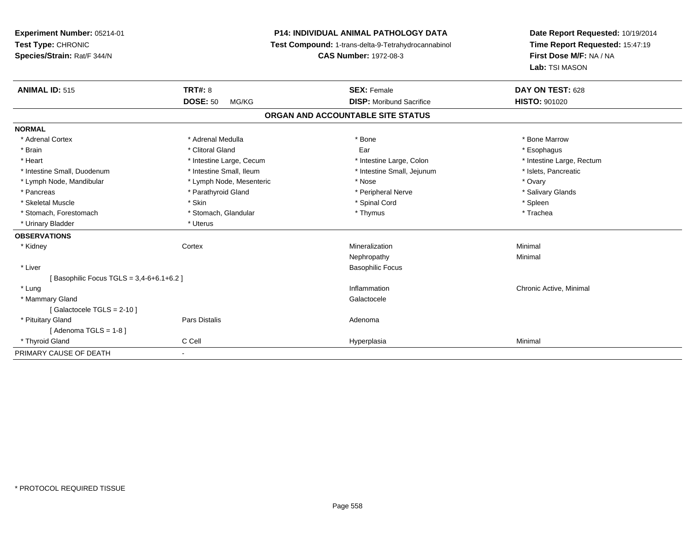# **P14: INDIVIDUAL ANIMAL PATHOLOGY DATA**

**Test Compound:** 1-trans-delta-9-Tetrahydrocannabinol

**CAS Number:** 1972-08-3

| <b>ANIMAL ID: 515</b>                   | <b>TRT#: 8</b>           | <b>SEX: Female</b>                | DAY ON TEST: 628          |  |  |  |
|-----------------------------------------|--------------------------|-----------------------------------|---------------------------|--|--|--|
|                                         | <b>DOSE: 50</b><br>MG/KG | <b>DISP:</b> Moribund Sacrifice   | <b>HISTO: 901020</b>      |  |  |  |
|                                         |                          | ORGAN AND ACCOUNTABLE SITE STATUS |                           |  |  |  |
| <b>NORMAL</b>                           |                          |                                   |                           |  |  |  |
| * Adrenal Cortex                        | * Adrenal Medulla        | * Bone                            | * Bone Marrow             |  |  |  |
| * Brain                                 | * Clitoral Gland         | Ear                               | * Esophagus               |  |  |  |
| * Heart                                 | * Intestine Large, Cecum | * Intestine Large, Colon          | * Intestine Large, Rectum |  |  |  |
| * Intestine Small, Duodenum             | * Intestine Small, Ileum | * Intestine Small, Jejunum        | * Islets, Pancreatic      |  |  |  |
| * Lymph Node, Mandibular                | * Lymph Node, Mesenteric | * Nose                            | * Ovary                   |  |  |  |
| * Pancreas                              | * Parathyroid Gland      | * Peripheral Nerve                | * Salivary Glands         |  |  |  |
| * Skeletal Muscle                       | * Skin                   | * Spinal Cord                     | * Spleen                  |  |  |  |
| * Stomach, Forestomach                  | * Stomach, Glandular     | * Thymus                          | * Trachea                 |  |  |  |
| * Urinary Bladder                       | * Uterus                 |                                   |                           |  |  |  |
| <b>OBSERVATIONS</b>                     |                          |                                   |                           |  |  |  |
| * Kidney                                | Cortex                   | Mineralization                    | Minimal                   |  |  |  |
|                                         |                          | Nephropathy                       | Minimal                   |  |  |  |
| * Liver                                 |                          | <b>Basophilic Focus</b>           |                           |  |  |  |
| Basophilic Focus TGLS = 3,4-6+6.1+6.2 ] |                          |                                   |                           |  |  |  |
| * Lung                                  |                          | Inflammation                      | Chronic Active, Minimal   |  |  |  |
| * Mammary Gland                         |                          | Galactocele                       |                           |  |  |  |
| [Galactocele TGLS = 2-10]               |                          |                                   |                           |  |  |  |
| * Pituitary Gland                       | Pars Distalis            | Adenoma                           |                           |  |  |  |
| [Adenoma TGLS = $1-8$ ]                 |                          |                                   |                           |  |  |  |
| * Thyroid Gland                         | C Cell                   | Hyperplasia                       | Minimal                   |  |  |  |
| PRIMARY CAUSE OF DEATH                  |                          |                                   |                           |  |  |  |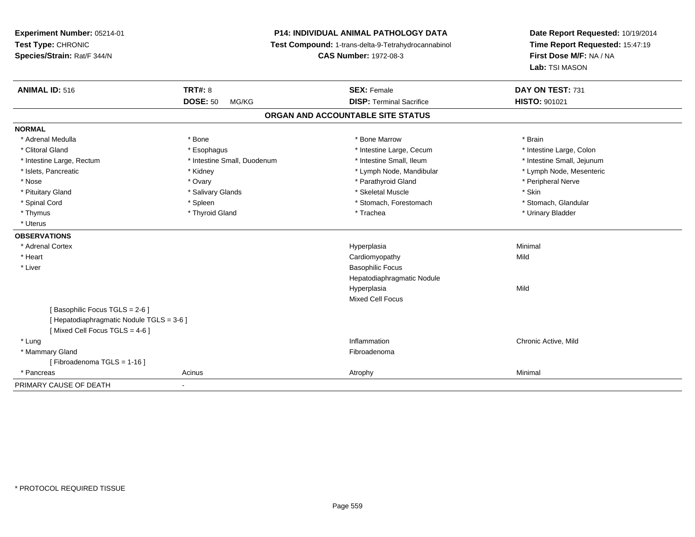**Experiment Number:** 05214-01**Test Type:** CHRONIC **Species/Strain:** Rat/F 344/N**P14: INDIVIDUAL ANIMAL PATHOLOGY DATA Test Compound:** 1-trans-delta-9-Tetrahydrocannabinol **CAS Number:** 1972-08-3**Date Report Requested:** 10/19/2014**Time Report Requested:** 15:47:19**First Dose M/F:** NA / NA**Lab:** TSI MASON**ANIMAL ID:** 516**6 DAY ON TEST:** 731 **DOSE:** 50 MG/KG**DISP:** Terminal Sacrifice **HISTO:** 901021 **ORGAN AND ACCOUNTABLE SITE STATUSNORMAL**\* Adrenal Medulla \* \* Annual Medulla \* Brain \* Bone \* \* Bone Marrow \* Bone Marrow \* \* Brain \* Brain \* Brain \* Brain \* Brain \* Brain \* Brain \* Brain \* Brain \* Brain \* Brain \* Brain \* Brain \* Brain \* Brain \* Brain \* Brain \* \* Intestine Large, Colon \* Clitoral Gland \* **Exophagus \* Exophagus \*** The strain that the Large, Cecum \* intestine Large, Cecum \* Intestine Large, Rectum \* Thestine Small, Duodenum \* Number of the small, Ileum \* Intestine Small, Jejunum \* Intestine Small, Jejunum \* Lymph Node, Mesenteric \* Islets, Pancreatic **\* Kidney \* Kidney \* And Account Account Account Account Account Account Account Account Account Account Account Account Account Account Account Account Account Account Account Account Account Account** \* Nose \* Ovary \* Parathyroid Gland \* Peripheral Nerve \* \* Peripheral Nerve \* Pituitary Gland \* \* \* Salivary Glands \* \* Salivary Glands \* \* \$keletal Muscle \* \* \$ \* \$kin \* \* \$ \* \$ \* \$ \* \$ \* Stomach. Glandular \* Spinal Cord \* Spinal Cord \* Spinal Cord \* Stomach, Forestomach \* Stomach, Forestomach \* Stomach, Forestomach \* Thymus \* Thyroid Gland \* Trachea \* Urinary Bladder \* \* Uterus**OBSERVATIONS** \* Adrenal Cortexx and the contract of the contract of the contract of the contract of the contract of the contract of the contract of the contract of the contract of the contract of the contract of the contract of the contract of the cont a and a studies of the studies of the Minimal \* Heart Cardiomyopathyy Mild \* Liver Basophilic Focus Hepatodiaphragmatic NoduleHyperplasiaa Mild Mixed Cell Focus[ Basophilic Focus TGLS = 2-6 ][ Hepatodiaphragmatic Nodule TGLS = 3-6 ][ Mixed Cell Focus TGLS = 4-6 ] \* Lungg is a controller to the controller of the controller of the controller of the controller of the chronic Active, Mild \* Mammary Glandd **Executive Contract of the Contract Contract Contract Contract Contract Contract Contract Contract Contract Contract Contract Contract Contract Contract Contract Contract Contract Contract Contract Contract Contract Cont** [ Fibroadenoma TGLS = 1-16 ] \* Pancreass and the control of the control of the control of the control of the control of the control of the control of the control of the control of the control of the control of the control of the control of the control of the co PRIMARY CAUSE OF DEATH-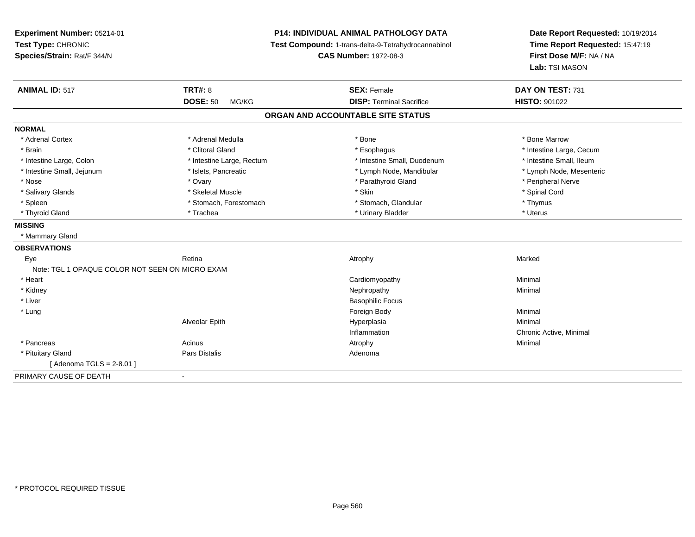**Experiment Number:** 05214-01**Test Type:** CHRONIC **Species/Strain:** Rat/F 344/N**P14: INDIVIDUAL ANIMAL PATHOLOGY DATA Test Compound:** 1-trans-delta-9-Tetrahydrocannabinol **CAS Number:** 1972-08-3**Date Report Requested:** 10/19/2014**Time Report Requested:** 15:47:19**First Dose M/F:** NA / NA**Lab:** TSI MASON**ANIMAL ID:** 517**TRT#:** 8 **SEX:** Female **DAY ON TEST:** 731 **DOSE:** 50 MG/KG**DISP:** Terminal Sacrifice **HISTO:** 901022 **ORGAN AND ACCOUNTABLE SITE STATUSNORMAL**\* Adrenal Cortex \* Adrenal Medulla \* Adrenal Medulla \* Bone \* Bone \* Bone \* Bone \* Bone Marrow \* Brain \* Alternation of the state of the state of the state of the state of the state of the state of the state of the state of the state of the state of the state of the state of the state of the state of the state of th \* Intestine Small, Ileum \* Intestine Large, Colon \* Intestine Large, Rectum \* Intestine Small, Duodenum \* Intestine Small, Duodenum \* Lymph Node, Mesenteric \* Intestine Small, Jejunum \* Mandibular \* Islets, Pancreatic \* Mandibular \* Lymph Node, Mandibular \* Nose \* Ovary \* Parathyroid Gland \* Peripheral Nerve \* \* Peripheral Nerve \* Salivary Glands \* \* Steeden \* \* Skeletal Muscle \* \* Skin \* \* Skin \* \* Steeden \* Spinal Cord \* Spinal Cord \* Spinal Cord \* Spinal Cord \* Spinal Cord \* Spinal Cord \* Spinal Cord \* Spinal Cord \* Spinal Cord \* Spinal Cord \* \* Spleen \* Stomach, Forestomach \* Stomach \* Stomach, Glandular \* Stomach, Glandular \* Thymus \* Uterus \* Thyroid Gland \* \* Trachea \* \* Trachea \* Trachea \* \* Urinary Bladder \* \* Urinary Bladder \* \* Uterus \* Uterus **MISSING** \* Mammary Gland**OBSERVATIONS** Eyee the controller of the Retina Attachment and the Atrophy the Controller of the Marked Marked Street and Marked Street and Marked Street and Marked Street and Marked Street and Marked Street and Marked Street and Marked St Note: TGL 1 OPAQUE COLOR NOT SEEN ON MICRO EXAM \* Heart Cardiomyopathy Minimal \* Kidneyy the control of the control of the control of the control of the control of the control of the control of the control of the control of the control of the control of the control of the control of the control of the contro \* Liver Basophilic Focus \* Lungg and the state of the state of the state of the state of the state of the state of the state of the state of the state of the state of the state of the state of the state of the state of the state of the state of the stat Alveolar Epithh anns an t-Imperplasia anns an t-Imperplasia anns an t-Imperplasia anns an t-Imperplasia anns an t-Imperplasi<br>Iomraidhean Inflammation Chronic Active, Minimal \* Pancreass the control of the control of the control of the control of the control of the control of the control of the control of the control of the control of the control of the control of the control of the control of the contro \* Pituitary Glandd and the set of Pars Distalis and the Second Adenomal Adenomal Second Second Pars Distallis [ Adenoma TGLS = 2-8.01 ]PRIMARY CAUSE OF DEATH-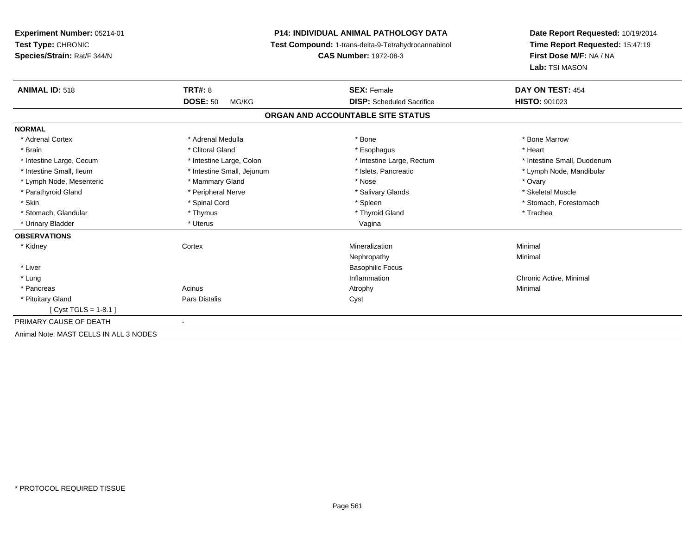**Experiment Number:** 05214-01**Test Type:** CHRONIC **Species/Strain:** Rat/F 344/N**P14: INDIVIDUAL ANIMAL PATHOLOGY DATA Test Compound:** 1-trans-delta-9-Tetrahydrocannabinol **CAS Number:** 1972-08-3**Date Report Requested:** 10/19/2014**Time Report Requested:** 15:47:19**First Dose M/F:** NA / NA**Lab:** TSI MASON**ANIMAL ID:** 518**EX:** Female **DAY ON TEST:** 454 **DOSE:** 50 MG/KG **DISP:** Scheduled Sacrifice **HISTO:** <sup>901023</sup> **ORGAN AND ACCOUNTABLE SITE STATUSNORMAL**\* Adrenal Cortex \* Adrenal Medulla \* Adrenal Medulla \* Bone \* Bone \* Bone \* Bone \* Bone Marrow \* Brain \* Alternative of the state of the state of the state of the state of the state of the state of the state of the state of the state of the state of the state of the state of the state of the state of the state of th \* Intestine Large, Cecum \* Intestine Large, Colon \* Intestine Large, Rectum \* Intestine Small, Duodenum \* Intestine Small, Ileum \* \* Thestine Small, Jejunum \* \* Sets, Pancreatic \* \* Thestine Small, Nejunum \* Lymph Node, Mandibular \* Lymph Node, Mesenteric \* \* Mammary Gland \* \* Nose \* Ovary \* Ovary \* Ovary \* Ovary \* Ovary \* Ovary \* Ovary \* Ovary \* Skeletal Muscle \* Parathyroid Gland \* **All and \* Skeletal Muscle All and \* Peripheral Nerve** \* Salivary Glands \* Salivary Glands \* Skin \* Spinal Cord \* Spinal Cord \* Spinal Cord \* Spinal \* Spinal \* Stomach, Forestomach \* Stomach, Forestomach \* Stomach, Glandular \* Thymus \* Thymus \* Thymus \* Thyroid Gland \* Thyroid Gland \* Thachea \* Urinary Bladder \* North and the second term in the second variable values of the variable values of variable values  $\sim$  Vagina **OBSERVATIONS** \* Kidneyy which is a context of the Cortext of the Cortext of the Cortext of the Mineralization n Minimal Nephropathyy the contract of the Minimal Minimal Section 1996 and the contract of the Minimal Section 1997 and the contract of the contract of the contract of the contract of the contract of the contract of the contract of the contra \* Liver Basophilic Focus \* Lungg is a controller to the controller of the controller of the chronic Active, Minimal of the chronic Active, Minimal of the chronic Active, Minimal of the chronic Active, Minimal of the chronic Active, Minimal of the chroni \* Pancreass the control of the control of the control of the control of the control of the control of the control of the control of the control of the control of the control of the control of the control of the control of the contro \* Pituitary Glandd Cyst Constants Constants Constants Constants Constants Constants Constants Constants Constants Constants Const [ Cyst TGLS = 1-8.1 ]PRIMARY CAUSE OF DEATH - Animal Note: MAST CELLS IN ALL 3 NODES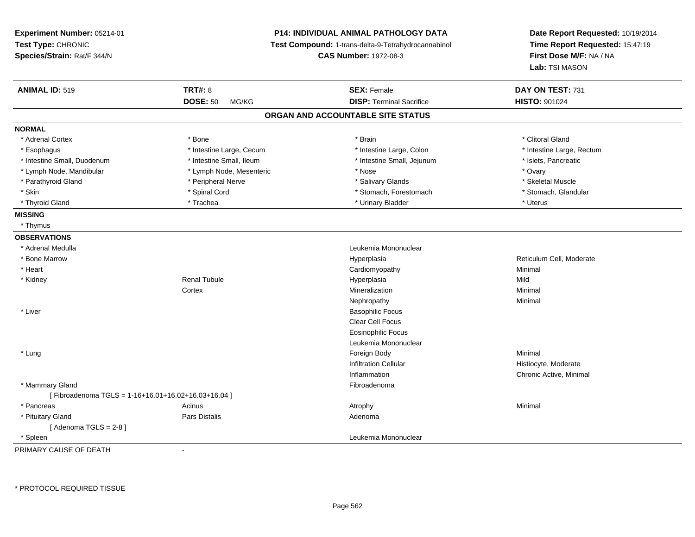| Experiment Number: 05214-01<br>Test Type: CHRONIC<br>Species/Strain: Rat/F 344/N |                          | <b>P14: INDIVIDUAL ANIMAL PATHOLOGY DATA</b><br>Test Compound: 1-trans-delta-9-Tetrahydrocannabinol<br><b>CAS Number: 1972-08-3</b> | Date Report Requested: 10/19/2014<br>Time Report Requested: 15:47:19<br>First Dose M/F: NA / NA<br>Lab: TSI MASON |  |
|----------------------------------------------------------------------------------|--------------------------|-------------------------------------------------------------------------------------------------------------------------------------|-------------------------------------------------------------------------------------------------------------------|--|
| <b>ANIMAL ID: 519</b>                                                            | <b>TRT#: 8</b>           | <b>SEX: Female</b>                                                                                                                  | DAY ON TEST: 731                                                                                                  |  |
|                                                                                  | <b>DOSE: 50</b><br>MG/KG | <b>DISP: Terminal Sacrifice</b>                                                                                                     | HISTO: 901024                                                                                                     |  |
|                                                                                  |                          | ORGAN AND ACCOUNTABLE SITE STATUS                                                                                                   |                                                                                                                   |  |
| <b>NORMAL</b>                                                                    |                          |                                                                                                                                     |                                                                                                                   |  |
| * Adrenal Cortex                                                                 | * Bone                   | * Brain                                                                                                                             | * Clitoral Gland                                                                                                  |  |
| * Esophagus                                                                      | * Intestine Large, Cecum | * Intestine Large, Colon                                                                                                            | * Intestine Large, Rectum                                                                                         |  |
| * Intestine Small, Duodenum                                                      | * Intestine Small, Ileum | * Intestine Small, Jejunum                                                                                                          | * Islets, Pancreatic                                                                                              |  |
| * Lymph Node, Mandibular                                                         | * Lymph Node, Mesenteric | * Nose                                                                                                                              | * Ovary                                                                                                           |  |
| * Parathyroid Gland                                                              | * Peripheral Nerve       | * Salivary Glands                                                                                                                   | * Skeletal Muscle                                                                                                 |  |
| * Skin                                                                           | * Spinal Cord            | * Stomach, Forestomach                                                                                                              | * Stomach, Glandular                                                                                              |  |
| * Thyroid Gland                                                                  | * Trachea                | * Urinary Bladder                                                                                                                   | * Uterus                                                                                                          |  |
| <b>MISSING</b>                                                                   |                          |                                                                                                                                     |                                                                                                                   |  |
| * Thymus                                                                         |                          |                                                                                                                                     |                                                                                                                   |  |
| <b>OBSERVATIONS</b>                                                              |                          |                                                                                                                                     |                                                                                                                   |  |
| * Adrenal Medulla                                                                |                          | Leukemia Mononuclear                                                                                                                |                                                                                                                   |  |
| * Bone Marrow                                                                    |                          | Hyperplasia                                                                                                                         | Reticulum Cell, Moderate                                                                                          |  |
| * Heart                                                                          |                          | Cardiomyopathy                                                                                                                      | Minimal                                                                                                           |  |
| * Kidney                                                                         | <b>Renal Tubule</b>      | Hyperplasia                                                                                                                         | Mild                                                                                                              |  |
|                                                                                  | Cortex                   | Mineralization                                                                                                                      | Minimal                                                                                                           |  |
|                                                                                  |                          | Nephropathy                                                                                                                         | Minimal                                                                                                           |  |
| * Liver                                                                          |                          | <b>Basophilic Focus</b>                                                                                                             |                                                                                                                   |  |
|                                                                                  |                          | Clear Cell Focus                                                                                                                    |                                                                                                                   |  |
|                                                                                  |                          | <b>Eosinophilic Focus</b>                                                                                                           |                                                                                                                   |  |
|                                                                                  |                          | Leukemia Mononuclear                                                                                                                |                                                                                                                   |  |
| * Lung                                                                           |                          | Foreign Body                                                                                                                        | Minimal                                                                                                           |  |
|                                                                                  |                          | <b>Infiltration Cellular</b>                                                                                                        | Histiocyte, Moderate                                                                                              |  |
|                                                                                  |                          | Inflammation                                                                                                                        | Chronic Active, Minimal                                                                                           |  |
| * Mammary Gland                                                                  |                          | Fibroadenoma                                                                                                                        |                                                                                                                   |  |
| [Fibroadenoma TGLS = $1-16+16.01+16.02+16.03+16.04$ ]                            |                          |                                                                                                                                     |                                                                                                                   |  |
| * Pancreas                                                                       | Acinus                   | Atrophy                                                                                                                             | Minimal                                                                                                           |  |
| * Pituitary Gland                                                                | Pars Distalis            | Adenoma                                                                                                                             |                                                                                                                   |  |
| [Adenoma TGLS = $2-8$ ]                                                          |                          |                                                                                                                                     |                                                                                                                   |  |
| * Spleen                                                                         |                          | Leukemia Mononuclear                                                                                                                |                                                                                                                   |  |
|                                                                                  |                          |                                                                                                                                     |                                                                                                                   |  |

PRIMARY CAUSE OF DEATH-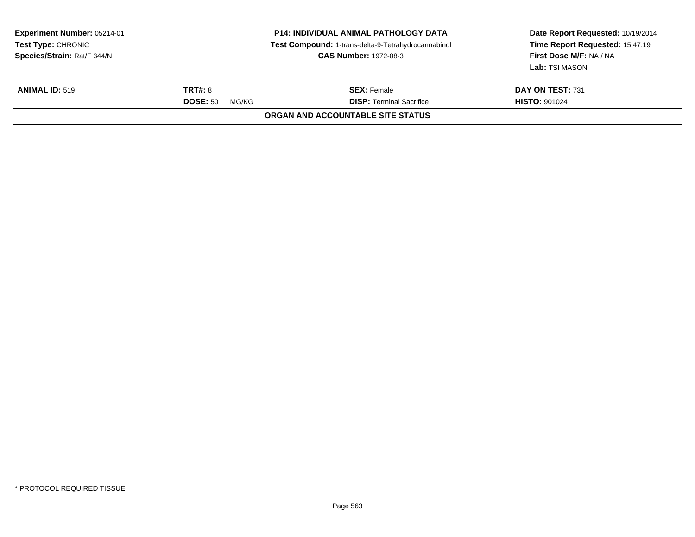| Experiment Number: 05214-01<br>Test Type: CHRONIC<br>Species/Strain: Rat/F 344/N |                                            | <b>P14: INDIVIDUAL ANIMAL PATHOLOGY DATA</b><br>Test Compound: 1-trans-delta-9-Tetrahydrocannabinol<br><b>CAS Number: 1972-08-3</b> | Date Report Requested: 10/19/2014<br>Time Report Requested: 15:47:19<br>First Dose M/F: NA / NA<br><b>Lab:</b> TSI MASON |
|----------------------------------------------------------------------------------|--------------------------------------------|-------------------------------------------------------------------------------------------------------------------------------------|--------------------------------------------------------------------------------------------------------------------------|
| <b>ANIMAL ID: 519</b>                                                            | <b>TRT#: 8</b><br><b>DOSE: 50</b><br>MG/KG | <b>SEX: Female</b><br><b>DISP: Terminal Sacrifice</b>                                                                               | DAY ON TEST: 731<br><b>HISTO: 901024</b>                                                                                 |
|                                                                                  |                                            | ORGAN AND ACCOUNTABLE SITE STATUS                                                                                                   |                                                                                                                          |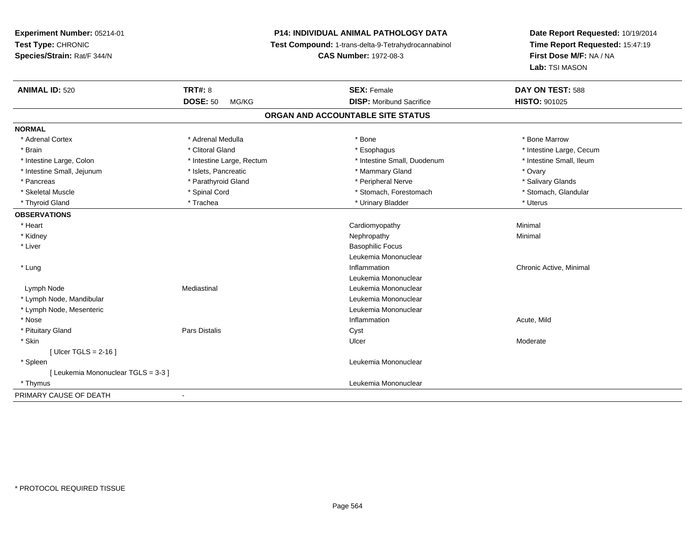# **P14: INDIVIDUAL ANIMAL PATHOLOGY DATA**

**Test Compound:** 1-trans-delta-9-Tetrahydrocannabinol

**CAS Number:** 1972-08-3

| <b>ANIMAL ID: 520</b>                              | <b>TRT#: 8</b>                    | <b>SEX: Female</b>              | DAY ON TEST: 588         |  |  |  |
|----------------------------------------------------|-----------------------------------|---------------------------------|--------------------------|--|--|--|
|                                                    | <b>DOSE: 50</b><br>MG/KG          | <b>DISP:</b> Moribund Sacrifice | HISTO: 901025            |  |  |  |
|                                                    | ORGAN AND ACCOUNTABLE SITE STATUS |                                 |                          |  |  |  |
| <b>NORMAL</b>                                      |                                   |                                 |                          |  |  |  |
| * Adrenal Cortex                                   | * Adrenal Medulla                 | * Bone                          | * Bone Marrow            |  |  |  |
| * Brain                                            | * Clitoral Gland                  | * Esophagus                     | * Intestine Large, Cecum |  |  |  |
| * Intestine Large, Colon                           | * Intestine Large, Rectum         | * Intestine Small, Duodenum     | * Intestine Small, Ileum |  |  |  |
| * Intestine Small, Jejunum                         | * Islets, Pancreatic              | * Mammary Gland                 | * Ovary                  |  |  |  |
| * Pancreas                                         | * Parathyroid Gland               | * Peripheral Nerve              | * Salivary Glands        |  |  |  |
| * Skeletal Muscle                                  | * Spinal Cord                     | * Stomach, Forestomach          | * Stomach, Glandular     |  |  |  |
| * Thyroid Gland                                    | * Trachea                         | * Urinary Bladder               | * Uterus                 |  |  |  |
| <b>OBSERVATIONS</b>                                |                                   |                                 |                          |  |  |  |
| * Heart                                            |                                   | Cardiomyopathy                  | Minimal                  |  |  |  |
| * Kidney                                           |                                   | Nephropathy                     | Minimal                  |  |  |  |
| * Liver                                            |                                   | <b>Basophilic Focus</b>         |                          |  |  |  |
|                                                    |                                   | Leukemia Mononuclear            |                          |  |  |  |
| * Lung                                             |                                   | Inflammation                    | Chronic Active, Minimal  |  |  |  |
|                                                    |                                   | Leukemia Mononuclear            |                          |  |  |  |
| Lymph Node                                         | Mediastinal                       | Leukemia Mononuclear            |                          |  |  |  |
| * Lymph Node, Mandibular                           |                                   | Leukemia Mononuclear            |                          |  |  |  |
| * Lymph Node, Mesenteric                           |                                   | Leukemia Mononuclear            |                          |  |  |  |
| * Nose                                             |                                   | Inflammation                    | Acute, Mild              |  |  |  |
| * Pituitary Gland                                  | Pars Distalis                     | Cyst                            |                          |  |  |  |
| * Skin                                             |                                   | Ulcer                           | Moderate                 |  |  |  |
| [Ulcer TGLS = $2-16$ ]                             |                                   |                                 |                          |  |  |  |
| * Spleen                                           |                                   | Leukemia Mononuclear            |                          |  |  |  |
| [ Leukemia Mononuclear TGLS = 3-3 ]                |                                   |                                 |                          |  |  |  |
| * Thymus                                           |                                   | Leukemia Mononuclear            |                          |  |  |  |
| PRIMARY CAUSE OF DEATH<br>$\overline{\phantom{0}}$ |                                   |                                 |                          |  |  |  |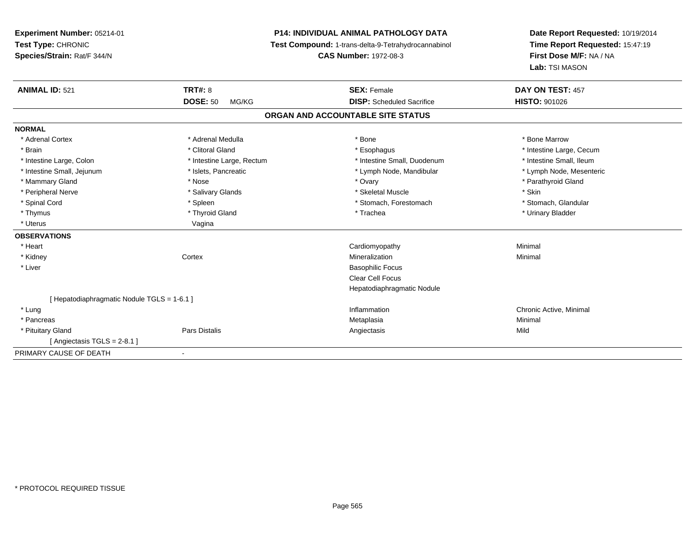**Experiment Number:** 05214-01**Test Type:** CHRONIC **Species/Strain:** Rat/F 344/N**P14: INDIVIDUAL ANIMAL PATHOLOGY DATA Test Compound:** 1-trans-delta-9-Tetrahydrocannabinol **CAS Number:** 1972-08-3**Date Report Requested:** 10/19/2014**Time Report Requested:** 15:47:19**First Dose M/F:** NA / NA**Lab:** TSI MASON**ANIMAL ID:** 521**TRT#:** 8 **SEX:** Female **DAY ON TEST:** 457 **DOSE:** 50 MG/KG **DISP:** Scheduled Sacrifice **HISTO:** <sup>901026</sup> **ORGAN AND ACCOUNTABLE SITE STATUSNORMAL**\* Adrenal Cortex \* Adrenal Medulla \* Adrenal Medulla \* Bone \* Bone \* Bone \* Bone \* Bone Marrow \* Brain \* Alternation of the state of the state of the state of the state of the state of the state of the state of the state of the state of the state of the state of the state of the state of the state of the state of th \* Intestine Small, Ileum \* Intestine Large, Colon \* Intestine Large, Rectum \* Intestine Small, Duodenum \* Intestine Small, Duodenum \* Lymph Node, Mesenteric \* Intestine Small, Jejunum \* Mandibular \* Islets, Pancreatic \* Mandibular \* Lymph Node, Mandibular \* Mammary Gland \* \* Nose \* \* Nose \* \* Ovary \* Ovary \* Ovary \* The material structure of the term of the term \* Parathyroid Gland \* Parathyroid Gland \* Parathyroid Gland \* Nose \* \* Parathyroid Gland \* \* Parathyroid Gland \* \* Peripheral Nerve \* Salivary Glands \* Skeletal Muscle \* Skin\* Stomach. Glandular \* Spinal Cord \* Spinal Cord \* Spinal Cord \* Stomach, Forestomach \* Stomach, Forestomach \* Stomach, Forestomach \* Thymus \* Thyroid Gland \* Trachea \* Urinary Bladder \* \* Uterus Vagina**OBSERVATIONS** \* Heart Cardiomyopathy Minimal \* Kidneyy which is a context of the Cortext of the Cortext of the Cortext of the Mineralization n Minimal \* Liver Basophilic Focus Clear Cell Focus Hepatodiaphragmatic Nodule[ Hepatodiaphragmatic Nodule TGLS = 1-6.1 ] \* Lungg is a controller to the controller of the controller of the chronic Active, Minimal of the chronic Active, Minimal of the chronic Active, Minimal of the chronic Active, Minimal of the chronic Active, Minimal of the chroni \* Pancreas Metaplasiaa and a studies of the studies of the Minimal \* Pituitary GlandPars Distalis Angiectasis Mild

 $[$  Angiectasis TGLS = 2-8.1  $]$ 

PRIMARY CAUSE OF DEATH-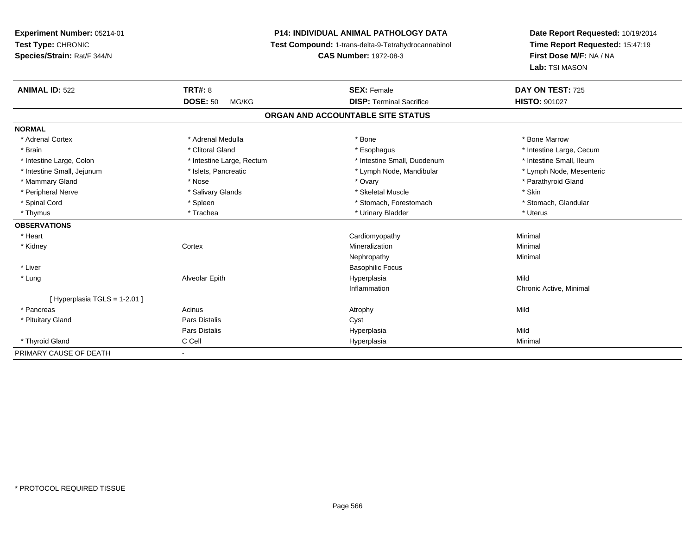# **P14: INDIVIDUAL ANIMAL PATHOLOGY DATA**

**Test Compound:** 1-trans-delta-9-Tetrahydrocannabinol

**CAS Number:** 1972-08-3

| <b>ANIMAL ID: 522</b>                              | <b>TRT#: 8</b>            | <b>SEX: Female</b>                | DAY ON TEST: 725         |  |
|----------------------------------------------------|---------------------------|-----------------------------------|--------------------------|--|
|                                                    | <b>DOSE: 50</b><br>MG/KG  | <b>DISP: Terminal Sacrifice</b>   | <b>HISTO: 901027</b>     |  |
|                                                    |                           | ORGAN AND ACCOUNTABLE SITE STATUS |                          |  |
| <b>NORMAL</b>                                      |                           |                                   |                          |  |
| * Adrenal Cortex                                   | * Adrenal Medulla         | * Bone                            | * Bone Marrow            |  |
| * Brain                                            | * Clitoral Gland          | * Esophagus                       | * Intestine Large, Cecum |  |
| * Intestine Large, Colon                           | * Intestine Large, Rectum | * Intestine Small, Duodenum       | * Intestine Small, Ileum |  |
| * Intestine Small, Jejunum                         | * Islets, Pancreatic      | * Lymph Node, Mandibular          | * Lymph Node, Mesenteric |  |
| * Mammary Gland                                    | * Nose                    | * Ovary                           | * Parathyroid Gland      |  |
| * Peripheral Nerve                                 | * Salivary Glands         | * Skeletal Muscle                 | * Skin                   |  |
| * Spinal Cord                                      | * Spleen                  | * Stomach, Forestomach            | * Stomach, Glandular     |  |
| * Thymus                                           | * Trachea                 | * Urinary Bladder                 | * Uterus                 |  |
| <b>OBSERVATIONS</b>                                |                           |                                   |                          |  |
| * Heart                                            |                           | Cardiomyopathy                    | Minimal                  |  |
| * Kidney                                           | Cortex                    | Mineralization                    | Minimal                  |  |
|                                                    |                           | Nephropathy                       | Minimal                  |  |
| * Liver                                            |                           | <b>Basophilic Focus</b>           |                          |  |
| * Lung                                             | Alveolar Epith            | Hyperplasia                       | Mild                     |  |
|                                                    |                           | Inflammation                      | Chronic Active, Minimal  |  |
| [Hyperplasia TGLS = 1-2.01]                        |                           |                                   |                          |  |
| * Pancreas                                         | Acinus                    | Atrophy                           | Mild                     |  |
| * Pituitary Gland                                  | Pars Distalis             | Cyst                              |                          |  |
|                                                    | <b>Pars Distalis</b>      | Hyperplasia                       | Mild                     |  |
| * Thyroid Gland                                    | C Cell                    | Hyperplasia                       | Minimal                  |  |
| PRIMARY CAUSE OF DEATH<br>$\overline{\phantom{0}}$ |                           |                                   |                          |  |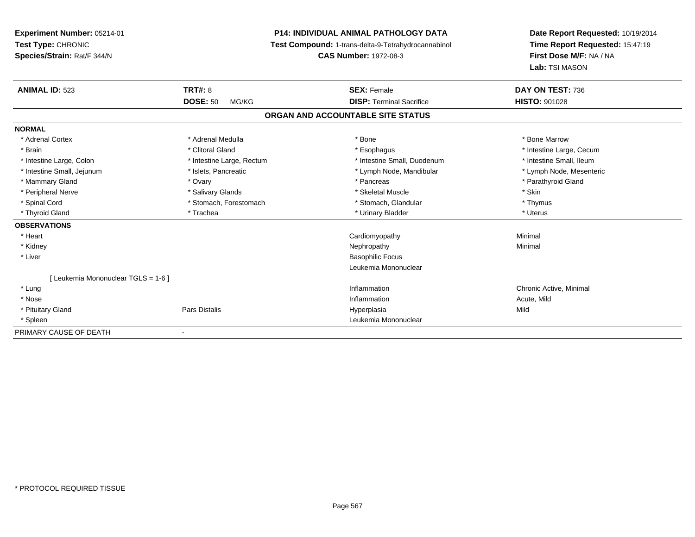**Experiment Number:** 05214-01**Test Type:** CHRONIC **Species/Strain:** Rat/F 344/N**P14: INDIVIDUAL ANIMAL PATHOLOGY DATA Test Compound:** 1-trans-delta-9-Tetrahydrocannabinol **CAS Number:** 1972-08-3**Date Report Requested:** 10/19/2014**Time Report Requested:** 15:47:19**First Dose M/F:** NA / NA**Lab:** TSI MASON**ANIMAL ID:** 523**TRT#:** 8 **SEX:** Female **SEX: Female DAY ON TEST:** 736 **DOSE:** 50 MG/KG**DISP:** Terminal Sacrifice **HISTO:** 901028 **ORGAN AND ACCOUNTABLE SITE STATUSNORMAL**\* Adrenal Cortex \* Adrenal Medulla \* Adrenal Medulla \* Bone \* Bone \* Bone \* Bone \* Bone Marrow \* Brain \* Alternation of the state of the state of the state of the state of the state of the state of the state of the state of the state of the state of the state of the state of the state of the state of the state of th \* Intestine Small, Ileum \* Intestine Large, Colon \* Intestine Large, Rectum \* Intestine Small, Duodenum \* Intestine Small, Duodenum \* Lymph Node, Mesenteric \* Intestine Small, Jejunum \* Mandibular \* Islets, Pancreatic \* Mandibular \* Lymph Node, Mandibular \* Mammary Gland \* \* Andrew \* Ovary \* Andrew \* Ovary \* Pancreas \* Pancreas \* \* Pancreas \* \* Pancreas \* \* Pancreas \* \* Pancreas \* \* Pancreas \* \* Pancreas \* \* Pancreas \* \* Pancreas \* \* Pancreas \* \* Pancreas \* \* Pancreas \* \* P \* Peripheral Nerve \* Salivary Glands \* Skeletal Muscle \* Skin\* Thymus \* Spinal Cord \* Stomach, Forestomach \* Stomach \* Stomach, Glandular \* Stomach, Glandular \* Uterus \* Thyroid Gland \* \* Trachea \* \* Trachea \* Trachea \* \* Urinary Bladder \* \* Urinary Bladder \* \* Uterus \* Uterus **OBSERVATIONS** \* Heart Cardiomyopathy Minimal \* Kidneyy the control of the control of the control of the control of the control of the control of the control of the control of the control of the control of the control of the control of the control of the control of the contro \* Liver Basophilic Focus Leukemia Mononuclear[ Leukemia Mononuclear TGLS = 1-6 ] \* Lungg is a controller to the controller of the controller of the chronic Active, Minimal of the chronic Active, Minimal of the chronic Active, Minimal of the chronic Active, Minimal of the chronic Active, Minimal of the chroni \* Nosee the contraction of the contraction of the contraction of the contraction of the contraction of the contraction  $\mathsf{Acute},\mathsf{Mild}$  \* Pituitary Gland Pars Distalis Hyperplasia Mild \* Spleen Leukemia Mononuclear PRIMARY CAUSE OF DEATH-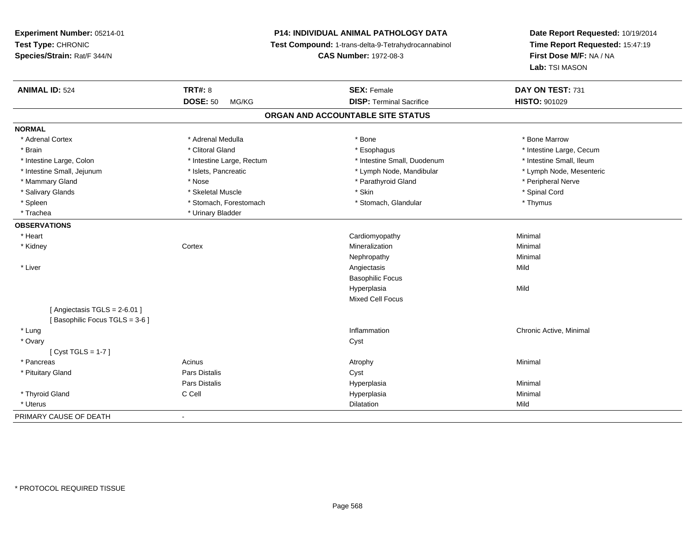**Experiment Number:** 05214-01**Test Type:** CHRONIC **Species/Strain:** Rat/F 344/N**P14: INDIVIDUAL ANIMAL PATHOLOGY DATA Test Compound:** 1-trans-delta-9-Tetrahydrocannabinol **CAS Number:** 1972-08-3**Date Report Requested:** 10/19/2014**Time Report Requested:** 15:47:19**First Dose M/F:** NA / NA**Lab:** TSI MASON**ANIMAL ID:** 524**TRT#:** 8 **SEX:** Female **DAY ON TEST:** 731 **DOSE:** 50 MG/KG**DISP:** Terminal Sacrifice **HISTO:** 901029 **ORGAN AND ACCOUNTABLE SITE STATUSNORMAL**\* Adrenal Cortex \* Adrenal Medulla \* Adrenal Medulla \* Bone \* Bone \* Bone \* Bone \* Bone Marrow \* Brain \* Alternation of the state of the state of the state of the state of the state of the state of the state of the state of the state of the state of the state of the state of the state of the state of the state of th \* Intestine Small, Ileum \* Intestine Large, Colon \* Intestine Large, Rectum \* Intestine Small, Duodenum \* Intestine Small, Duodenum \* Lymph Node, Mesenteric \* Intestine Small, Jejunum \* Mandibular \* Islets, Pancreatic \* Mandibular \* Lymph Node, Mandibular \* Mammary Gland \* \* Annume \* Nose \* \* Nose \* \* Parathyroid Gland \* Peripheral Nerve \* Peripheral Nerve \* \* Peripheral Nerve \* \* Peripheral Nerve \* \* Peripheral Nerve \* \* Peripheral Nerve \* \* Peripheral Nerve \* \* \* \* \* \* \* \* Salivary Glands \* \* Steeden \* \* Skeletal Muscle \* \* Skin \* \* Skin \* \* Steeden \* Spinal Cord \* Spinal Cord \* Spinal Cord \* Spinal Cord \* Spinal Cord \* Spinal Cord \* Spinal Cord \* Spinal Cord \* Spinal Cord \* Spinal Cord \* \* Spleen \* Stomach, Forestomach \* Stomach \* Stomach, Glandular \* Thymus \* Thymus \* Trachea \* Urinary Bladder**OBSERVATIONS** \* Heart Cardiomyopathy Minimal \* Kidneyy which is a context of the Cortext of the Cortext of the Cortext of the Mineralization n Minimal Nephropathyy the contract of the Minimal Minimal Section 1996 and the contract of the Minimal Section 1997 and the contract of the contract of the contract of the contract of the contract of the contract of the contract of the contra \* Liverr and the contract of the contract of the contract of the contract of the contract of the contract of the contract of the contract of the contract of the contract of the contract of the contract of the contract of the cont s Mild Basophilic FocusHyperplasiaa Mild Mixed Cell Focus $[$  Angiectasis TGLS = 2-6.01  $]$ [ Basophilic Focus TGLS = 3-6 ] \* Lungg is a controller to the controller of the controller of the chronic Active, Minimal of the chronic Active, Minimal of the chronic Active, Minimal of the chronic Active, Minimal of the chronic Active, Minimal of the chroni \* Ovaryy cystem in the control of the control of the control of the control of the control of the control of the control of the control of the control of the control of the control of the control of the control of the control of [ Cyst TGLS = 1-7 ] \* Pancreass the control of the control of the control of the control of the control of the control of the control of the control of the control of the control of the control of the control of the control of the control of the contro \* Pituitary Glandd Cyst Constants Constants Constants Constants Constants Constants Constants Constants Constants Constants Const Pars Distalis Hyperplasiaa and a studies of the studies of the Minimal \* Thyroid Gland C Cell Hyperplasia Minimal \* Uteruss and the contract of the contract of the contract of the contract of the contract of the contract of the contract of the contract of the contract of the contract of the contract of the contract of the contract of the cont n Mild PRIMARY CAUSE OF DEATH-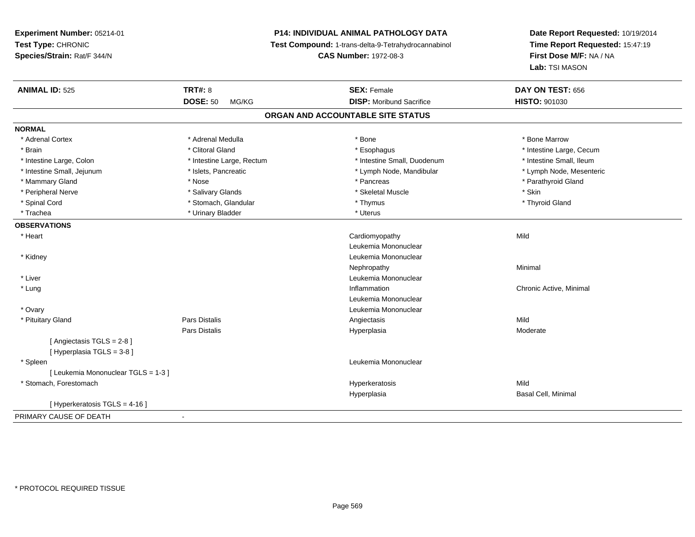# **P14: INDIVIDUAL ANIMAL PATHOLOGY DATA**

**Test Compound:** 1-trans-delta-9-Tetrahydrocannabinol

**CAS Number:** 1972-08-3

| <b>ANIMAL ID: 525</b>               | <b>TRT#: 8</b>            | <b>SEX: Female</b>              | DAY ON TEST: 656         |  |  |
|-------------------------------------|---------------------------|---------------------------------|--------------------------|--|--|
|                                     | <b>DOSE: 50</b><br>MG/KG  | <b>DISP:</b> Moribund Sacrifice | <b>HISTO: 901030</b>     |  |  |
| ORGAN AND ACCOUNTABLE SITE STATUS   |                           |                                 |                          |  |  |
| <b>NORMAL</b>                       |                           |                                 |                          |  |  |
| * Adrenal Cortex                    | * Adrenal Medulla         | * Bone                          | * Bone Marrow            |  |  |
| * Brain                             | * Clitoral Gland          | * Esophagus                     | * Intestine Large, Cecum |  |  |
| * Intestine Large, Colon            | * Intestine Large, Rectum | * Intestine Small, Duodenum     | * Intestine Small, Ileum |  |  |
| * Intestine Small, Jejunum          | * Islets, Pancreatic      | * Lymph Node, Mandibular        | * Lymph Node, Mesenteric |  |  |
| * Mammary Gland                     | * Nose                    | * Pancreas                      | * Parathyroid Gland      |  |  |
| * Peripheral Nerve                  | * Salivary Glands         | * Skeletal Muscle               | * Skin                   |  |  |
| * Spinal Cord                       | * Stomach, Glandular      | * Thymus                        | * Thyroid Gland          |  |  |
| * Trachea                           | * Urinary Bladder         | * Uterus                        |                          |  |  |
| <b>OBSERVATIONS</b>                 |                           |                                 |                          |  |  |
| * Heart                             |                           | Cardiomyopathy                  | Mild                     |  |  |
|                                     |                           | Leukemia Mononuclear            |                          |  |  |
| * Kidney                            |                           | Leukemia Mononuclear            |                          |  |  |
|                                     |                           | Nephropathy                     | Minimal                  |  |  |
| * Liver                             |                           | Leukemia Mononuclear            |                          |  |  |
| * Lung                              |                           | Inflammation                    | Chronic Active, Minimal  |  |  |
|                                     |                           | Leukemia Mononuclear            |                          |  |  |
| * Ovary                             |                           | Leukemia Mononuclear            |                          |  |  |
| * Pituitary Gland                   | Pars Distalis             | Angiectasis                     | Mild                     |  |  |
|                                     | Pars Distalis             | Hyperplasia                     | Moderate                 |  |  |
| [Angiectasis TGLS = $2-8$ ]         |                           |                                 |                          |  |  |
| [Hyperplasia TGLS = 3-8]            |                           |                                 |                          |  |  |
| * Spleen                            |                           | Leukemia Mononuclear            |                          |  |  |
| [ Leukemia Mononuclear TGLS = 1-3 ] |                           |                                 |                          |  |  |
| * Stomach, Forestomach              |                           | Hyperkeratosis                  | Mild                     |  |  |
|                                     |                           | Hyperplasia                     | Basal Cell, Minimal      |  |  |
| [ Hyperkeratosis TGLS = 4-16 ]      |                           |                                 |                          |  |  |
| PRIMARY CAUSE OF DEATH              | $\blacksquare$            |                                 |                          |  |  |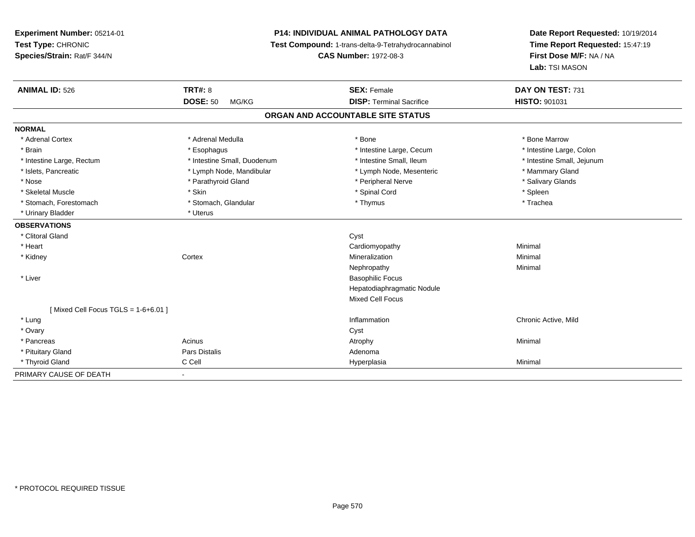# **P14: INDIVIDUAL ANIMAL PATHOLOGY DATA**

**Test Compound:** 1-trans-delta-9-Tetrahydrocannabinol

**CAS Number:** 1972-08-3

| <b>ANIMAL ID: 526</b>                 | <b>TRT#: 8</b>              | <b>SEX: Female</b>                | DAY ON TEST: 731           |
|---------------------------------------|-----------------------------|-----------------------------------|----------------------------|
|                                       | <b>DOSE: 50</b><br>MG/KG    | <b>DISP: Terminal Sacrifice</b>   | HISTO: 901031              |
|                                       |                             | ORGAN AND ACCOUNTABLE SITE STATUS |                            |
| <b>NORMAL</b>                         |                             |                                   |                            |
| * Adrenal Cortex                      | * Adrenal Medulla           | * Bone                            | * Bone Marrow              |
| * Brain                               | * Esophagus                 | * Intestine Large, Cecum          | * Intestine Large, Colon   |
| * Intestine Large, Rectum             | * Intestine Small, Duodenum | * Intestine Small, Ileum          | * Intestine Small, Jejunum |
| * Islets, Pancreatic                  | * Lymph Node, Mandibular    | * Lymph Node, Mesenteric          | * Mammary Gland            |
| * Nose                                | * Parathyroid Gland         | * Peripheral Nerve                | * Salivary Glands          |
| * Skeletal Muscle                     | * Skin                      | * Spinal Cord                     | * Spleen                   |
| * Stomach, Forestomach                | * Stomach, Glandular        | * Thymus                          | * Trachea                  |
| * Urinary Bladder                     | * Uterus                    |                                   |                            |
| <b>OBSERVATIONS</b>                   |                             |                                   |                            |
| * Clitoral Gland                      |                             | Cyst                              |                            |
| * Heart                               |                             | Cardiomyopathy                    | Minimal                    |
| * Kidney                              | Cortex                      | Mineralization                    | Minimal                    |
|                                       |                             | Nephropathy                       | Minimal                    |
| * Liver                               |                             | <b>Basophilic Focus</b>           |                            |
|                                       |                             | Hepatodiaphragmatic Nodule        |                            |
|                                       |                             | <b>Mixed Cell Focus</b>           |                            |
| [Mixed Cell Focus TGLS = $1-6+6.01$ ] |                             |                                   |                            |
| * Lung                                |                             | Inflammation                      | Chronic Active, Mild       |
| * Ovary                               |                             | Cyst                              |                            |
| * Pancreas                            | Acinus                      | Atrophy                           | Minimal                    |
| * Pituitary Gland                     | Pars Distalis               | Adenoma                           |                            |
| * Thyroid Gland                       | C Cell                      | Hyperplasia                       | Minimal                    |
| PRIMARY CAUSE OF DEATH                | $\blacksquare$              |                                   |                            |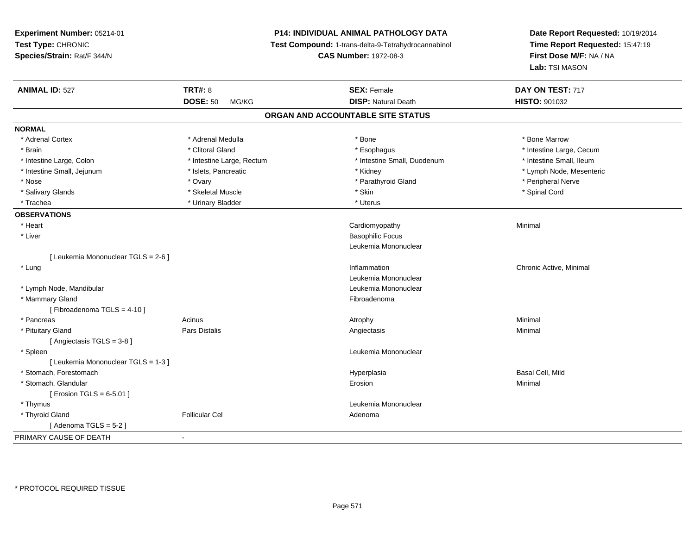# **P14: INDIVIDUAL ANIMAL PATHOLOGY DATA**

**Test Compound:** 1-trans-delta-9-Tetrahydrocannabinol

**CAS Number:** 1972-08-3

| <b>ANIMAL ID: 527</b>               | <b>TRT#: 8</b>            | <b>SEX: Female</b>          | DAY ON TEST: 717         |  |  |
|-------------------------------------|---------------------------|-----------------------------|--------------------------|--|--|
|                                     | <b>DOSE: 50</b><br>MG/KG  | <b>DISP: Natural Death</b>  | <b>HISTO: 901032</b>     |  |  |
| ORGAN AND ACCOUNTABLE SITE STATUS   |                           |                             |                          |  |  |
| <b>NORMAL</b>                       |                           |                             |                          |  |  |
| * Adrenal Cortex                    | * Adrenal Medulla         | * Bone                      | * Bone Marrow            |  |  |
| * Brain                             | * Clitoral Gland          | * Esophagus                 | * Intestine Large, Cecum |  |  |
| * Intestine Large, Colon            | * Intestine Large, Rectum | * Intestine Small, Duodenum | * Intestine Small, Ileum |  |  |
| * Intestine Small, Jejunum          | * Islets, Pancreatic      | * Kidney                    | * Lymph Node, Mesenteric |  |  |
| * Nose                              | * Ovary                   | * Parathyroid Gland         | * Peripheral Nerve       |  |  |
| * Salivary Glands                   | * Skeletal Muscle         | * Skin                      | * Spinal Cord            |  |  |
| * Trachea                           | * Urinary Bladder         | * Uterus                    |                          |  |  |
| <b>OBSERVATIONS</b>                 |                           |                             |                          |  |  |
| * Heart                             |                           | Cardiomyopathy              | Minimal                  |  |  |
| * Liver                             |                           | <b>Basophilic Focus</b>     |                          |  |  |
|                                     |                           | Leukemia Mononuclear        |                          |  |  |
| [ Leukemia Mononuclear TGLS = 2-6 ] |                           |                             |                          |  |  |
| * Lung                              |                           | Inflammation                | Chronic Active, Minimal  |  |  |
|                                     |                           | Leukemia Mononuclear        |                          |  |  |
| * Lymph Node, Mandibular            |                           | Leukemia Mononuclear        |                          |  |  |
| * Mammary Gland                     |                           | Fibroadenoma                |                          |  |  |
| [Fibroadenoma TGLS = 4-10]          |                           |                             |                          |  |  |
| * Pancreas                          | Acinus                    | Atrophy                     | Minimal                  |  |  |
| * Pituitary Gland                   | Pars Distalis             | Angiectasis                 | Minimal                  |  |  |
| [Angiectasis TGLS = 3-8]            |                           |                             |                          |  |  |
| * Spleen                            |                           | Leukemia Mononuclear        |                          |  |  |
| [ Leukemia Mononuclear TGLS = 1-3 ] |                           |                             |                          |  |  |
| * Stomach, Forestomach              |                           | Hyperplasia                 | Basal Cell, Mild         |  |  |
| * Stomach, Glandular                |                           | Erosion                     | Minimal                  |  |  |
| [ Erosion TGLS = $6-5.01$ ]         |                           |                             |                          |  |  |
| * Thymus                            |                           | Leukemia Mononuclear        |                          |  |  |
| * Thyroid Gland                     | <b>Follicular Cel</b>     | Adenoma                     |                          |  |  |
| [Adenoma TGLS = $5-2$ ]             |                           |                             |                          |  |  |
| PRIMARY CAUSE OF DEATH              | $\blacksquare$            |                             |                          |  |  |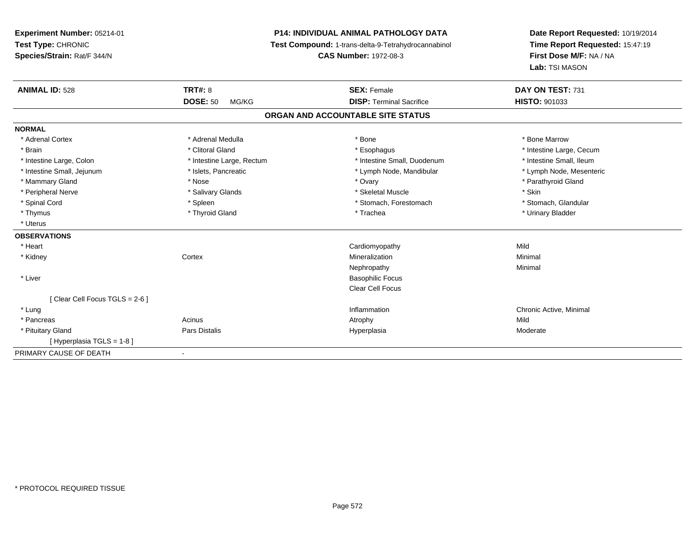**Experiment Number:** 05214-01**Test Type:** CHRONIC **Species/Strain:** Rat/F 344/N**P14: INDIVIDUAL ANIMAL PATHOLOGY DATA Test Compound:** 1-trans-delta-9-Tetrahydrocannabinol **CAS Number:** 1972-08-3**Date Report Requested:** 10/19/2014**Time Report Requested:** 15:47:19**First Dose M/F:** NA / NA**Lab:** TSI MASON**ANIMAL ID:** 528**EX:** Female **DAY ON TEST:** 731 **DOSE:** 50 MG/KG **DISP:** Terminal Sacrifice **HISTO:** <sup>901033</sup> **ORGAN AND ACCOUNTABLE SITE STATUSNORMAL**\* Adrenal Cortex \* Adrenal Medulla \* Adrenal Medulla \* Bone \* Bone \* Bone \* Bone \* Bone Marrow \* Brain \* Alternation of the state of the state of the state of the state of the state of the state of the state of the state of the state of the state of the state of the state of the state of the state of the state of th \* Intestine Small, Ileum \* Intestine Large, Colon \* Intestine Large, Rectum \* Intestine Small, Duodenum \* Intestine Small, Duodenum \* Lymph Node, Mesenteric \* Intestine Small, Jejunum \* Mandibular \* Islets, Pancreatic \* Mandibular \* Lymph Node, Mandibular \* Mammary Gland \* \* Nose \* \* Nose \* \* Ovary \* Ovary \* Ovary \* The material structure of the term of the term \* Parathyroid Gland \* Parathyroid Gland \* Parathyroid Gland \* Nose \* \* Parathyroid Gland \* \* Parathyroid Gland \* \* Peripheral Nerve \* Salivary Glands \* Skeletal Muscle \* Skin\* Stomach. Glandular \* Spinal Cord \* Spinal Cord \* Spinal Cord \* Stomach, Forestomach \* Stomach, Forestomach \* Stomach, Forestomach \* Thymus \* Thyroid Gland \* Trachea \* Urinary Bladder \* \* Uterus**OBSERVATIONS** \* Heart Cardiomyopathyy Mild Minimal \* Kidneyy which is a context of the Cortext of the Cortext of the Cortext of the Mineralization n Minimal Nephropathyy the contract of the Minimal Minimal Section 1996 and the contract of the Minimal Section 1997 and the contract of the contract of the contract of the contract of the contract of the contract of the contract of the contra \* Liver Basophilic Focus Clear Cell Focus[ Clear Cell Focus TGLS = 2-6 ] \* Lungg is a controller to the controller of the controller of the chronic Active, Minimal of the chronic Active, Minimal of the chronic Active, Minimal of the chronic Active, Minimal of the chronic Active, Minimal of the chroni \* Pancreass and the contract of the Acinus and Acinus and Acinus and Acinus Atrophy and Acinus and Mild Moderate \* Pituitary Gland Pars Distalis Hyperplasia Moderate [ Hyperplasia TGLS = 1-8 ]PRIMARY CAUSE OF DEATH-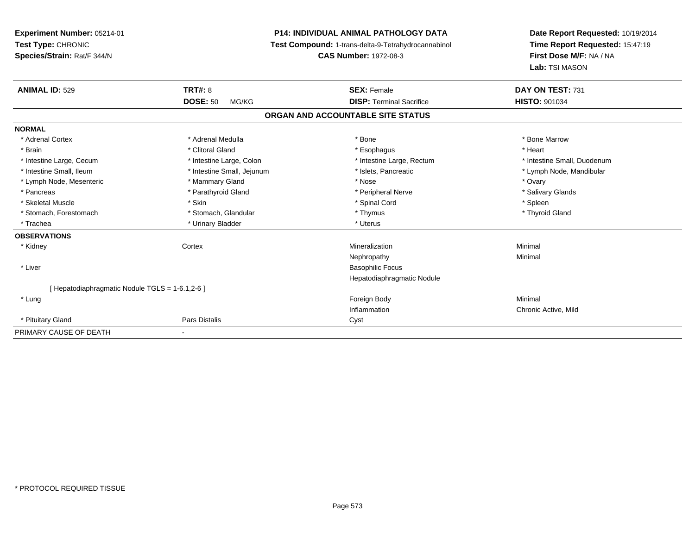**Experiment Number:** 05214-01**Test Type:** CHRONIC **Species/Strain:** Rat/F 344/N**P14: INDIVIDUAL ANIMAL PATHOLOGY DATA Test Compound:** 1-trans-delta-9-Tetrahydrocannabinol **CAS Number:** 1972-08-3**Date Report Requested:** 10/19/2014**Time Report Requested:** 15:47:19**First Dose M/F:** NA / NA**Lab:** TSI MASON**ANIMAL ID:** 529**9 TRT#:** 8 **TRT#:** 8 **SEX:** Female **SEX: Female DAY ON TEST:** 731 **DOSE:** 50 MG/KG**DISP:** Terminal Sacrifice **HISTO:** 901034 **ORGAN AND ACCOUNTABLE SITE STATUSNORMAL**\* Adrenal Cortex \* Adrenal Medulla \* Adrenal Medulla \* Bone \* Bone \* Bone \* Bone \* Bone Marrow \* Brain \* Alternative of the state of the state of the state of the state of the state of the state of the state of the state of the state of the state of the state of the state of the state of the state of the state of th \* Intestine Large, Cecum \* Intestine Large, Colon \* Intestine Large, Rectum \* Intestine Small, Duodenum \* Intestine Small, Ileum \* \* Thestine Small, Jejunum \* \* Sets, Pancreatic \* \* Thestine Small, Nejunum \* Lymph Node, Mandibular \* Lymph Node, Mesenteric \* \* Mammary Gland \* Mammary Gland \* Nose \* Ovary \* Ovary \* Ovary \* Ovary \* Ovary \* Ovary \* Salivary Glands \* Pancreas \* And the section of the section of the section of the section of the section of the section of the section of the section of the section of the section of the section of the section of the section of the sectio \* Skeletal Muscle \* Skin \* Spinal Cord \* Spleen \* Thyroid Gland \* Stomach, Forestomach \* Thymus \* Stomach, Glandular \* Thymus \* Thymus \* Thymus \* Thymus \* Thymus \* Thymus \* Thymus \* Thymus \* Thymus \* Thymus \* Thymus \* Thymus \* Thymus \* Thymus \* Thymus \* Thymus \* Thymus \* Thymus \* Thymu \* Trachea \* Urinary Bladder \* Urinary Bladder \* Urinary Bladder \* Uterus **OBSERVATIONS** \* Kidneyy which is a context of the Cortext of the Cortext of the Cortext of the Mineralization n Minimal Nephropathyy the contract of the Minimal Minimal Section 1996 and the contract of the Minimal Section 1997 and the contract of the contract of the contract of the contract of the contract of the contract of the contract of the contra \* Liver Basophilic Focus Hepatodiaphragmatic Nodule[ Hepatodiaphragmatic Nodule TGLS = 1-6.1,2-6 ] \* Lungg and the state of the state of the state of the state of the state of the state of the state of the state of the state of the state of the state of the state of the state of the state of the state of the state of the stat Inflammation Chronic Active, Mild \* Pituitary Glandd **Pars Distalis Community Community** Cyst PRIMARY CAUSE OF DEATH-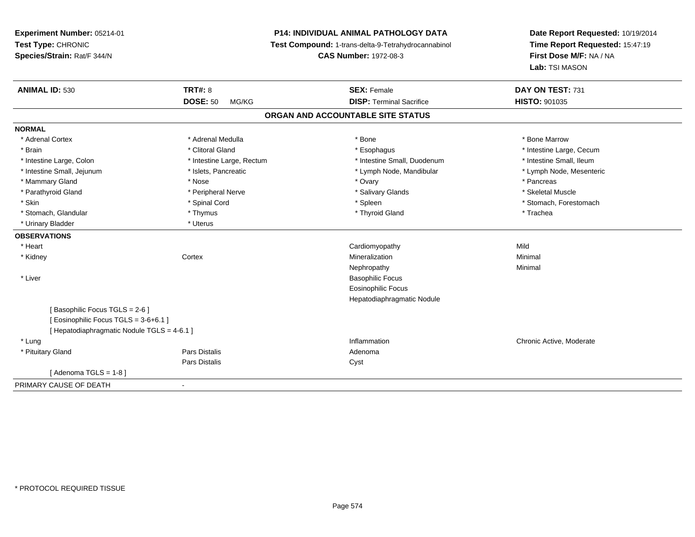**Experiment Number:** 05214-01**Test Type:** CHRONIC **Species/Strain:** Rat/F 344/N**P14: INDIVIDUAL ANIMAL PATHOLOGY DATA Test Compound:** 1-trans-delta-9-Tetrahydrocannabinol **CAS Number:** 1972-08-3**Date Report Requested:** 10/19/2014**Time Report Requested:** 15:47:19**First Dose M/F:** NA / NA**Lab:** TSI MASON**ANIMAL ID:** 530**C TRT#:** 8 **SEX:** Female **SEX: Female DAY ON TEST:** 731 **DOSE:** 50 MG/KG **DISP:** Terminal Sacrifice **HISTO:** <sup>901035</sup> **ORGAN AND ACCOUNTABLE SITE STATUSNORMAL**\* Adrenal Cortex \* Adrenal Medulla \* Adrenal Medulla \* Bone \* Bone \* Bone \* Bone \* Bone Marrow \* Brain \* Alternation of the state of the state of the state of the state of the state of the state of the state of the state of the state of the state of the state of the state of the state of the state of the state of th \* Intestine Small, Ileum \* Intestine Large, Colon \* Intestine Large, Rectum \* Intestine Small, Duodenum \* Intestine Small, Duodenum \* Lymph Node, Mesenteric \* Intestine Small, Jejunum \* Mandibular \* Islets, Pancreatic \* Mandibular \* Lymph Node, Mandibular \* Mammary Gland \* \* Andrew \* Nose \* \* Nose \* \* Ovary \* Ovary \* Ovary \* \* Ovary \* \* Pancreas \* \* Pancreas \* \* Pancreas \* \* Pancreas \* \* Pancreas \* \* Pancreas \* \* Pancreas \* \* Pancreas \* \* Pancreas \* \* Pancreas \* \* Pancreas \* Skeletal Muscle \* Parathyroid Gland \* \* \* And \* \* Peripheral Nerve \* \* \* Salivary Glands \* \* Salivary Glands \* \* Skeletal Muscle \* \* Skeletal Muscle \* \* Skeletal Muscle \* \* Skeletal Muscle \* \* Skeletal Muscle \* \* Skeletal Muscle \* \* Skele \* Skin \* Spinal Cord \* Spinal Cord \* Spinal Cord \* Spinal \* Spinal \* Stomach, Forestomach \* Stomach, Forestomach \* Stomach, Glandular \* Thymus \* Thymus \* Thymus \* Thyroid Gland \* Thyroid Gland \* Thachea \* Urinary Bladder \* Uterus **OBSERVATIONS** \* Heart Cardiomyopathyy Mild Minimal \* Kidneyy which is a context of the Cortext of the Cortext of the Cortext of the Mineralization n Minimal Nephropathyy the contract of the Minimal Minimal Section 1996 and the contract of the Minimal Section 1997 and the contract of the contract of the contract of the contract of the contract of the contract of the contract of the contra \* Liver Basophilic Focus Eosinophilic Focus Hepatodiaphragmatic Nodule[ Basophilic Focus TGLS = 2-6 ][ Eosinophilic Focus TGLS = 3-6+6.1 ][ Hepatodiaphragmatic Nodule TGLS = 4-6.1 ] \* Lung Inflammation Chronic Active, Moderate \* Pituitary Glandd and the contract of Pars Distalis and the contract of Adenoma and Adenoma and the Adenoma and the Adenoma and  $\lambda$ Pars Distaliss Cyst  $[$  Adenoma TGLS = 1-8  $]$ PRIMARY CAUSE OF DEATH-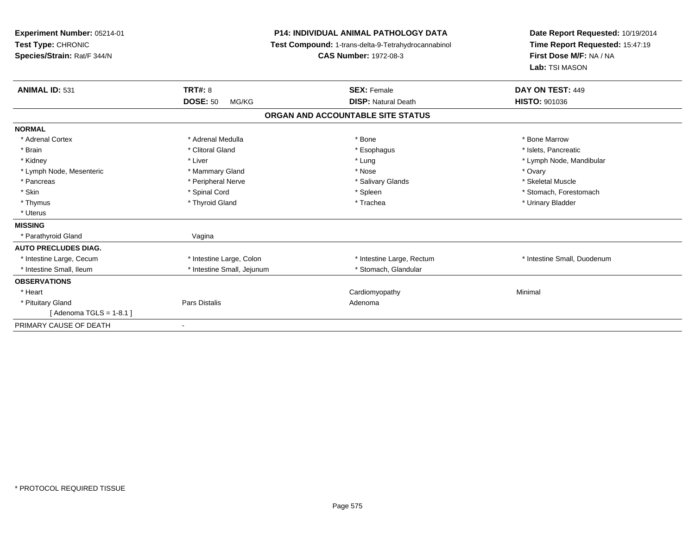| Experiment Number: 05214-01<br>Test Type: CHRONIC<br>Species/Strain: Rat/F 344/N |                            | <b>P14: INDIVIDUAL ANIMAL PATHOLOGY DATA</b><br>Test Compound: 1-trans-delta-9-Tetrahydrocannabinol<br><b>CAS Number: 1972-08-3</b> | Date Report Requested: 10/19/2014<br>Time Report Requested: 15:47:19<br>First Dose M/F: NA / NA<br>Lab: TSI MASON |  |
|----------------------------------------------------------------------------------|----------------------------|-------------------------------------------------------------------------------------------------------------------------------------|-------------------------------------------------------------------------------------------------------------------|--|
| <b>ANIMAL ID: 531</b>                                                            | TRT#: 8                    | <b>SEX: Female</b>                                                                                                                  | DAY ON TEST: 449                                                                                                  |  |
|                                                                                  | <b>DOSE: 50</b><br>MG/KG   | <b>DISP: Natural Death</b>                                                                                                          | <b>HISTO: 901036</b>                                                                                              |  |
|                                                                                  |                            | ORGAN AND ACCOUNTABLE SITE STATUS                                                                                                   |                                                                                                                   |  |
| <b>NORMAL</b>                                                                    |                            |                                                                                                                                     |                                                                                                                   |  |
| * Adrenal Cortex                                                                 | * Adrenal Medulla          | * Bone                                                                                                                              | * Bone Marrow                                                                                                     |  |
| * Brain                                                                          | * Clitoral Gland           | * Esophagus                                                                                                                         | * Islets. Pancreatic                                                                                              |  |
| * Kidney                                                                         | * Liver                    | * Lung                                                                                                                              | * Lymph Node, Mandibular                                                                                          |  |
| * Lymph Node, Mesenteric                                                         | * Mammary Gland            | * Nose                                                                                                                              | * Ovary                                                                                                           |  |
| * Pancreas                                                                       | * Peripheral Nerve         | * Salivary Glands                                                                                                                   | * Skeletal Muscle                                                                                                 |  |
| * Skin                                                                           | * Spinal Cord              | * Spleen                                                                                                                            | * Stomach, Forestomach                                                                                            |  |
| * Thymus                                                                         | * Thyroid Gland            | * Trachea                                                                                                                           | * Urinary Bladder                                                                                                 |  |
| * Uterus                                                                         |                            |                                                                                                                                     |                                                                                                                   |  |
| <b>MISSING</b>                                                                   |                            |                                                                                                                                     |                                                                                                                   |  |
| * Parathyroid Gland                                                              | Vagina                     |                                                                                                                                     |                                                                                                                   |  |
| <b>AUTO PRECLUDES DIAG.</b>                                                      |                            |                                                                                                                                     |                                                                                                                   |  |
| * Intestine Large, Cecum                                                         | * Intestine Large, Colon   | * Intestine Large, Rectum                                                                                                           | * Intestine Small, Duodenum                                                                                       |  |
| * Intestine Small. Ileum                                                         | * Intestine Small, Jejunum | * Stomach, Glandular                                                                                                                |                                                                                                                   |  |
| <b>OBSERVATIONS</b>                                                              |                            |                                                                                                                                     |                                                                                                                   |  |
| * Heart                                                                          |                            | Cardiomyopathy                                                                                                                      | Minimal                                                                                                           |  |
| * Pituitary Gland                                                                | Pars Distalis              | Adenoma                                                                                                                             |                                                                                                                   |  |
| [Adenoma TGLS = $1-8.1$ ]                                                        |                            |                                                                                                                                     |                                                                                                                   |  |
| PRIMARY CAUSE OF DEATH                                                           | $\blacksquare$             |                                                                                                                                     |                                                                                                                   |  |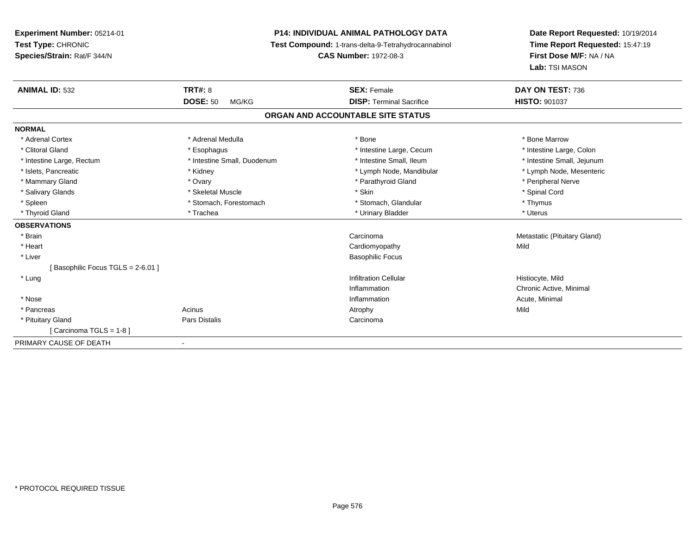# **P14: INDIVIDUAL ANIMAL PATHOLOGY DATA**

**Test Compound:** 1-trans-delta-9-Tetrahydrocannabinol

**CAS Number:** 1972-08-3

| <b>ANIMAL ID: 532</b>            | <b>TRT#: 8</b><br><b>DOSE: 50</b><br>MG/KG | <b>SEX: Female</b><br><b>DISP: Terminal Sacrifice</b> | DAY ON TEST: 736<br><b>HISTO: 901037</b> |
|----------------------------------|--------------------------------------------|-------------------------------------------------------|------------------------------------------|
|                                  |                                            | ORGAN AND ACCOUNTABLE SITE STATUS                     |                                          |
| <b>NORMAL</b>                    |                                            |                                                       |                                          |
| * Adrenal Cortex                 | * Adrenal Medulla                          | * Bone                                                | * Bone Marrow                            |
| * Clitoral Gland                 | * Esophagus                                | * Intestine Large, Cecum                              | * Intestine Large, Colon                 |
| * Intestine Large, Rectum        | * Intestine Small, Duodenum                | * Intestine Small. Ileum                              | * Intestine Small, Jejunum               |
| * Islets. Pancreatic             | * Kidney                                   | * Lymph Node, Mandibular                              | * Lymph Node, Mesenteric                 |
| * Mammary Gland                  | * Ovary                                    | * Parathyroid Gland                                   | * Peripheral Nerve                       |
| * Salivary Glands                | * Skeletal Muscle                          | * Skin                                                | * Spinal Cord                            |
| * Spleen                         | * Stomach, Forestomach                     | * Stomach, Glandular                                  | * Thymus                                 |
| * Thyroid Gland                  | * Trachea                                  | * Urinary Bladder                                     | * Uterus                                 |
| <b>OBSERVATIONS</b>              |                                            |                                                       |                                          |
| * Brain                          |                                            | Carcinoma                                             | Metastatic (Pituitary Gland)             |
| * Heart                          |                                            | Cardiomyopathy                                        | Mild                                     |
| * Liver                          |                                            | <b>Basophilic Focus</b>                               |                                          |
| [Basophilic Focus TGLS = 2-6.01] |                                            |                                                       |                                          |
| * Lung                           |                                            | <b>Infiltration Cellular</b>                          | Histiocyte, Mild                         |
|                                  |                                            | Inflammation                                          | Chronic Active, Minimal                  |
| * Nose                           |                                            | Inflammation                                          | Acute, Minimal                           |
| * Pancreas                       | Acinus                                     | Atrophy                                               | Mild                                     |
| * Pituitary Gland                | Pars Distalis                              | Carcinoma                                             |                                          |
| [Carcinoma TGLS = $1-8$ ]        |                                            |                                                       |                                          |
| PRIMARY CAUSE OF DEATH           | $\overline{\phantom{a}}$                   |                                                       |                                          |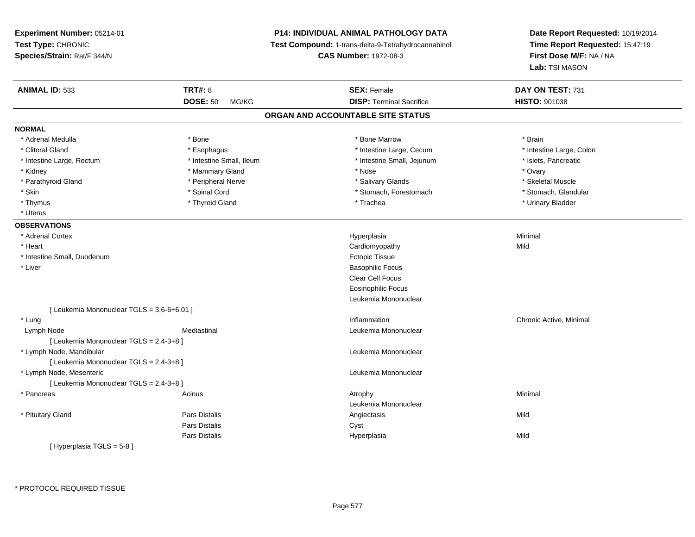**Experiment Number:** 05214-01**Test Type:** CHRONIC **Species/Strain:** Rat/F 344/N**P14: INDIVIDUAL ANIMAL PATHOLOGY DATA Test Compound:** 1-trans-delta-9-Tetrahydrocannabinol **CAS Number:** 1972-08-3**Date Report Requested:** 10/19/2014**Time Report Requested:** 15:47:19**First Dose M/F:** NA / NA**Lab:** TSI MASON**ANIMAL ID:** 533**TRT#:** 8 **SEX:** Female **SEX: Female DAY ON TEST:** 731 **DOSE:** 50 MG/KG**DISP:** Terminal Sacrifice **HISTO:** 901038 **ORGAN AND ACCOUNTABLE SITE STATUSNORMAL**\* Adrenal Medulla \* \* Annual Medulla \* Brain \* Bone \* \* Bone Marrow \* Bone Marrow \* \* Brain \* Brain \* Brain \* Brain \* Brain \* Brain \* Brain \* Brain \* Brain \* Brain \* Brain \* Brain \* Brain \* Brain \* Brain \* Brain \* Brain \* \* Intestine Large, Colon \* Clitoral Gland \* **Exophagus \* Exophagus \*** The strain that the Large, Cecum \* intestine Large, Cecum \* Intestine Large, Rectum \* Intestine Small, Ileum \* Intestine Small, Jejunum \* Islets, Pancreatic \* Kidney \* Mammary Gland \* Nose \* Ovary\* Skeletal Muscle \* Parathyroid Gland \* \* \* And \* \* Peripheral Nerve \* \* \* Salivary Glands \* \* Salivary Glands \* \* Skeletal Muscle \* \* Skeletal Muscle \* \* Skeletal Muscle \* \* Skeletal Muscle \* \* Skeletal Muscle \* \* Skeletal Muscle \* \* Skele \* Stomach. Glandular \* Skin \* Spinal Cord \* Spinal Cord \* Stomach, Forestomach \* Stomach, Forestomach \* Thymus \* Thyroid Gland \* Trachea \* Urinary Bladder \* \* Uterus**OBSERVATIONS** \* Adrenal Cortexx and the contract of the contract of the contract of the contract of the contract of the contract of the contract of the contract of the contract of the contract of the contract of the contract of the contract of the cont a and a studies of the studies of the Minimal \* Heart Cardiomyopathyy Mild \* Intestine Small, Duodenummetric to the control of the control of the control of the control of the control of the control of the control of the control of the control of the control of the control of the control of the control of the control of th \* Liver Basophilic Focus Clear Cell Focus Eosinophilic Focus Leukemia Mononuclear[ Leukemia Mononuclear TGLS = 3,6-6+6.01 ] \* Lungg is a controller to the controller of the controller of the chronic Active, Minimal of the chronic Active, Minimal of the chronic Active, Minimal of the chronic Active, Minimal of the chronic Active, Minimal of the chroni Lymph NodeMediastinal **Mediastinal** Mononuclear [ Leukemia Mononuclear TGLS = 2,4-3+8 ] \* Lymph Node, Mandibular Leukemia Mononuclear [ Leukemia Mononuclear TGLS = 2,4-3+8 ] \* Lymph Node, Mesenteric Leukemia Mononuclear [ Leukemia Mononuclear TGLS = 2,4-3+8 ] \* Pancreass the control of the control of the control of the control of the control of the control of the control of the control of the control of the control of the control of the control of the control of the control of the contro Leukemia Mononuclear \* Pituitary Gland Pars Distalis Angiectasis Mild Pars Distaliss Cyst Pars Distalis Hyperplasiaa Mild [ Hyperplasia TGLS = 5-8 ]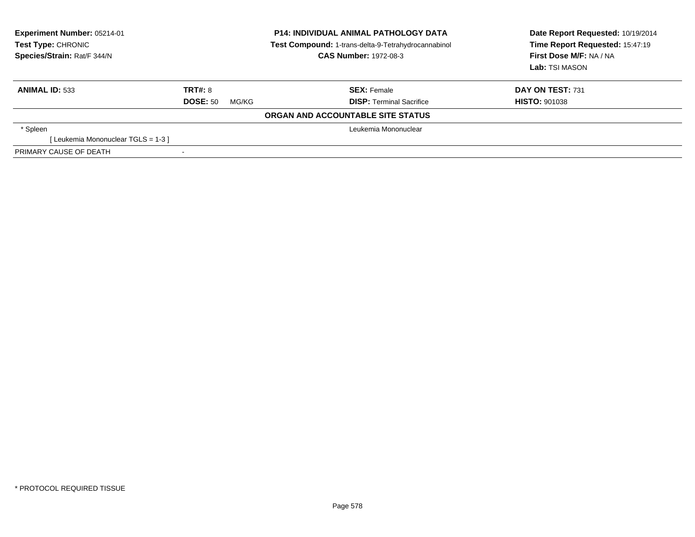| Experiment Number: 05214-01<br>Test Type: CHRONIC<br>Species/Strain: Rat/F 344/N |                          | <b>P14: INDIVIDUAL ANIMAL PATHOLOGY DATA</b><br>Test Compound: 1-trans-delta-9-Tetrahydrocannabinol<br><b>CAS Number: 1972-08-3</b> | Date Report Requested: 10/19/2014<br>Time Report Requested: 15:47:19<br>First Dose M/F: NA / NA<br>Lab: TSI MASON |  |  |  |
|----------------------------------------------------------------------------------|--------------------------|-------------------------------------------------------------------------------------------------------------------------------------|-------------------------------------------------------------------------------------------------------------------|--|--|--|
| <b>ANIMAL ID: 533</b>                                                            | TRT#: 8                  | <b>SEX:</b> Female                                                                                                                  | DAY ON TEST: 731                                                                                                  |  |  |  |
|                                                                                  | <b>DOSE: 50</b><br>MG/KG | <b>DISP:</b> Terminal Sacrifice                                                                                                     | <b>HISTO: 901038</b>                                                                                              |  |  |  |
| ORGAN AND ACCOUNTABLE SITE STATUS                                                |                          |                                                                                                                                     |                                                                                                                   |  |  |  |
| * Spleen                                                                         | Leukemia Mononuclear     |                                                                                                                                     |                                                                                                                   |  |  |  |
| [Leukemia Mononuclear TGLS = 1-3]                                                |                          |                                                                                                                                     |                                                                                                                   |  |  |  |
| PRIMARY CAUSE OF DEATH                                                           |                          |                                                                                                                                     |                                                                                                                   |  |  |  |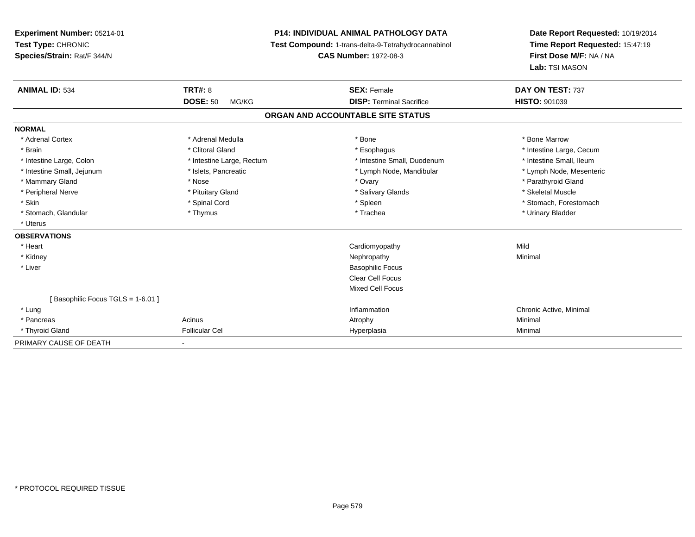**Experiment Number:** 05214-01**Test Type:** CHRONIC **Species/Strain:** Rat/F 344/N**P14: INDIVIDUAL ANIMAL PATHOLOGY DATA Test Compound:** 1-trans-delta-9-Tetrahydrocannabinol **CAS Number:** 1972-08-3**Date Report Requested:** 10/19/2014**Time Report Requested:** 15:47:19**First Dose M/F:** NA / NA**Lab:** TSI MASON**ANIMAL ID:** 534**TRT#:** 8 **SEX:** Female **DAY ON TEST:** 737 **DOSE:** 50 MG/KG**DISP:** Terminal Sacrifice **HISTO:** 901039 **ORGAN AND ACCOUNTABLE SITE STATUSNORMAL**\* Adrenal Cortex \* Adrenal Medulla \* Adrenal Medulla \* Bone \* Bone \* Bone \* Bone \* Bone Marrow \* Brain \* Alternation of the state of the state of the state of the state of the state of the state of the state of the state of the state of the state of the state of the state of the state of the state of the state of th \* Intestine Small, Ileum \* Intestine Large, Colon \* Intestine Large, Rectum \* Intestine Small, Duodenum \* Intestine Small, Duodenum \* Lymph Node, Mesenteric \* Intestine Small, Jejunum \* Mandibular \* Islets, Pancreatic \* Mandibular \* Lymph Node, Mandibular \* Mammary Gland \* \* Nose \* \* Nose \* \* Ovary \* Ovary \* Ovary \* The material structure of the term of the term \* Parathyroid Gland \* Parathyroid Gland \* Parathyroid Gland \* Nose \* \* Parathyroid Gland \* \* Parathyroid Gland \* \* Peripheral Nerve \* \* \* Aliundration of the term of the state of the term of the state of the state of the state of the state of the state of the state of the state of the state of the state of the state of the state of t \* Skin \* Spinal Cord \* Spinal Cord \* Spinal Cord \* Spinal \* Spinal \* Stomach, Forestomach \* Stomach, Forestomach \* Stomach, Glandular \* Thymus \* Thymus \* Thymus \* Trachea \* Trachea \* Trachea \* Urinary Bladder \* Uterus**OBSERVATIONS** \* Heart Cardiomyopathyy Mild Minimal \* Kidneyy the control of the control of the control of the control of the control of the control of the control of the control of the control of the control of the control of the control of the control of the control of the contro \* Liver Basophilic Focus Clear Cell Focus Mixed Cell Focus[ Basophilic Focus TGLS = 1-6.01 ] \* Lungg is a controller to the controller of the controller of the chronic Active, Minimal of the chronic Active, Minimal of the chronic Active, Minimal of the chronic Active, Minimal of the chronic Active, Minimal of the chroni \* Pancreass the control of the control of the control of the control of the control of the control of the control of the control of the control of the control of the control of the control of the control of the control of the contro \* Thyroid Gland Follicular Cel Hyperplasia Minimal PRIMARY CAUSE OF DEATH-